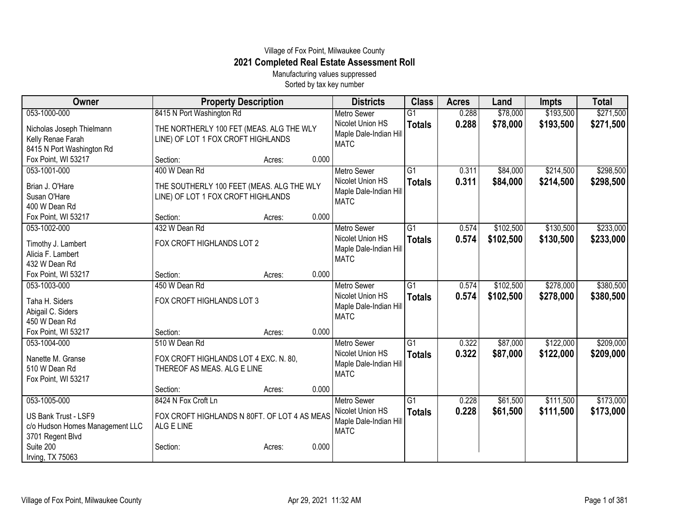## Village of Fox Point, Milwaukee County **2021 Completed Real Estate Assessment Roll**

Manufacturing values suppressed Sorted by tax key number

| Owner                                   | <b>Property Description</b>                  |        |       | <b>Districts</b>       | <b>Class</b>    | <b>Acres</b> | Land      | <b>Impts</b> | <b>Total</b> |
|-----------------------------------------|----------------------------------------------|--------|-------|------------------------|-----------------|--------------|-----------|--------------|--------------|
| 053-1000-000                            | 8415 N Port Washington Rd                    |        |       | <b>Metro Sewer</b>     | $\overline{G1}$ | 0.288        | \$78,000  | \$193,500    | \$271,500    |
| Nicholas Joseph Thielmann               | THE NORTHERLY 100 FET (MEAS. ALG THE WLY     |        |       | Nicolet Union HS       | <b>Totals</b>   | 0.288        | \$78,000  | \$193,500    | \$271,500    |
| Kelly Renae Farah                       | LINE) OF LOT 1 FOX CROFT HIGHLANDS           |        |       | Maple Dale-Indian Hill |                 |              |           |              |              |
| 8415 N Port Washington Rd               |                                              |        |       | <b>MATC</b>            |                 |              |           |              |              |
| Fox Point, WI 53217                     | Section:                                     | Acres: | 0.000 |                        |                 |              |           |              |              |
| 053-1001-000                            | 400 W Dean Rd                                |        |       | <b>Metro Sewer</b>     | $\overline{G1}$ | 0.311        | \$84,000  | \$214,500    | \$298,500    |
| Brian J. O'Hare                         | THE SOUTHERLY 100 FEET (MEAS. ALG THE WLY    |        |       | Nicolet Union HS       | <b>Totals</b>   | 0.311        | \$84,000  | \$214,500    | \$298,500    |
| Susan O'Hare                            | LINE) OF LOT 1 FOX CROFT HIGHLANDS           |        |       | Maple Dale-Indian Hill |                 |              |           |              |              |
| 400 W Dean Rd                           |                                              |        |       | <b>MATC</b>            |                 |              |           |              |              |
| Fox Point, WI 53217                     | Section:                                     | Acres: | 0.000 |                        |                 |              |           |              |              |
| 053-1002-000                            | 432 W Dean Rd                                |        |       | <b>Metro Sewer</b>     | $\overline{G1}$ | 0.574        | \$102,500 | \$130,500    | \$233,000    |
|                                         | FOX CROFT HIGHLANDS LOT 2                    |        |       | Nicolet Union HS       | <b>Totals</b>   | 0.574        | \$102,500 | \$130,500    | \$233,000    |
| Timothy J. Lambert<br>Alicia F. Lambert |                                              |        |       | Maple Dale-Indian Hill |                 |              |           |              |              |
| 432 W Dean Rd                           |                                              |        |       | <b>MATC</b>            |                 |              |           |              |              |
| Fox Point, WI 53217                     | Section:                                     | Acres: | 0.000 |                        |                 |              |           |              |              |
| 053-1003-000                            | 450 W Dean Rd                                |        |       | <b>Metro Sewer</b>     | $\overline{G1}$ | 0.574        | \$102,500 | \$278,000    | \$380,500    |
|                                         |                                              |        |       | Nicolet Union HS       | <b>Totals</b>   | 0.574        | \$102,500 | \$278,000    | \$380,500    |
| Taha H. Siders                          | FOX CROFT HIGHLANDS LOT 3                    |        |       | Maple Dale-Indian Hill |                 |              |           |              |              |
| Abigail C. Siders                       |                                              |        |       | <b>MATC</b>            |                 |              |           |              |              |
| 450 W Dean Rd                           |                                              |        |       |                        |                 |              |           |              |              |
| Fox Point, WI 53217                     | Section:                                     | Acres: | 0.000 |                        |                 |              |           |              |              |
| 053-1004-000                            | 510 W Dean Rd                                |        |       | <b>Metro Sewer</b>     | $\overline{G1}$ | 0.322        | \$87,000  | \$122,000    | \$209,000    |
| Nanette M. Granse                       | FOX CROFT HIGHLANDS LOT 4 EXC. N. 80,        |        |       | Nicolet Union HS       | <b>Totals</b>   | 0.322        | \$87,000  | \$122,000    | \$209,000    |
| 510 W Dean Rd                           | THEREOF AS MEAS. ALG E LINE                  |        |       | Maple Dale-Indian Hill |                 |              |           |              |              |
| Fox Point, WI 53217                     |                                              |        |       | <b>MATC</b>            |                 |              |           |              |              |
|                                         | Section:                                     | Acres: | 0.000 |                        |                 |              |           |              |              |
| 053-1005-000                            | 8424 N Fox Croft Ln                          |        |       | <b>Metro Sewer</b>     | G1              | 0.228        | \$61,500  | \$111,500    | \$173,000    |
|                                         |                                              |        |       | Nicolet Union HS       | <b>Totals</b>   | 0.228        | \$61,500  | \$111,500    | \$173,000    |
| US Bank Trust - LSF9                    | FOX CROFT HIGHLANDS N 80FT. OF LOT 4 AS MEAS |        |       | Maple Dale-Indian Hill |                 |              |           |              |              |
| c/o Hudson Homes Management LLC         | ALG E LINE                                   |        |       | <b>MATC</b>            |                 |              |           |              |              |
| 3701 Regent Blvd<br>Suite 200           |                                              |        |       |                        |                 |              |           |              |              |
|                                         | Section:                                     | Acres: | 0.000 |                        |                 |              |           |              |              |
| Irving, TX 75063                        |                                              |        |       |                        |                 |              |           |              |              |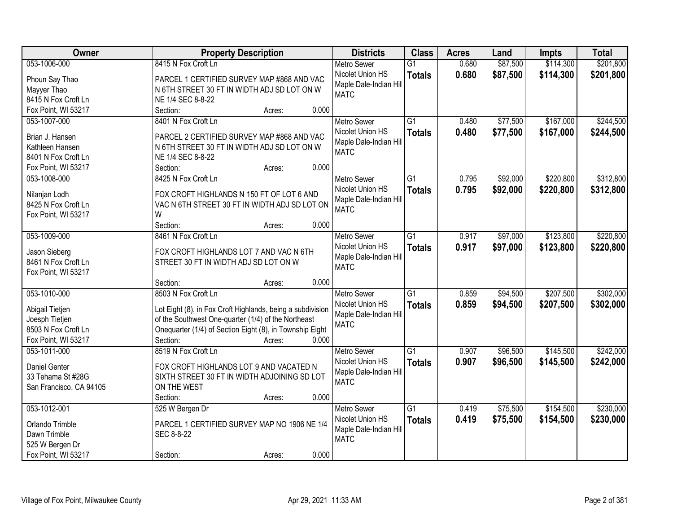| Owner                                     | <b>Property Description</b>                                | <b>Districts</b>                     | <b>Class</b>    | <b>Acres</b> | Land     | <b>Impts</b> | <b>Total</b> |
|-------------------------------------------|------------------------------------------------------------|--------------------------------------|-----------------|--------------|----------|--------------|--------------|
| 053-1006-000                              | 8415 N Fox Croft Ln                                        | <b>Metro Sewer</b>                   | $\overline{G1}$ | 0.680        | \$87,500 | \$114,300    | \$201,800    |
| Phoun Say Thao                            | PARCEL 1 CERTIFIED SURVEY MAP #868 AND VAC                 | Nicolet Union HS                     | <b>Totals</b>   | 0.680        | \$87,500 | \$114,300    | \$201,800    |
| Mayyer Thao                               | N 6TH STREET 30 FT IN WIDTH ADJ SD LOT ON W                | Maple Dale-Indian Hill               |                 |              |          |              |              |
| 8415 N Fox Croft Ln                       | NE 1/4 SEC 8-8-22                                          | <b>MATC</b>                          |                 |              |          |              |              |
| Fox Point, WI 53217                       | 0.000<br>Section:<br>Acres:                                |                                      |                 |              |          |              |              |
| 053-1007-000                              | 8401 N Fox Croft Ln                                        | <b>Metro Sewer</b>                   | $\overline{G1}$ | 0.480        | \$77,500 | \$167,000    | \$244,500    |
|                                           |                                                            | Nicolet Union HS                     | <b>Totals</b>   | 0.480        | \$77,500 | \$167,000    | \$244,500    |
| Brian J. Hansen                           | PARCEL 2 CERTIFIED SURVEY MAP #868 AND VAC                 | Maple Dale-Indian Hill               |                 |              |          |              |              |
| Kathleen Hansen                           | N 6TH STREET 30 FT IN WIDTH ADJ SD LOT ON W                | <b>MATC</b>                          |                 |              |          |              |              |
| 8401 N Fox Croft Ln                       | NE 1/4 SEC 8-8-22                                          |                                      |                 |              |          |              |              |
| Fox Point, WI 53217                       | 0.000<br>Section:<br>Acres:                                |                                      |                 |              |          |              |              |
| 053-1008-000                              | 8425 N Fox Croft Ln                                        | <b>Metro Sewer</b>                   | $\overline{G1}$ | 0.795        | \$92,000 | \$220,800    | \$312,800    |
| Nilanjan Lodh                             | FOX CROFT HIGHLANDS N 150 FT OF LOT 6 AND                  | Nicolet Union HS                     | <b>Totals</b>   | 0.795        | \$92,000 | \$220,800    | \$312,800    |
| 8425 N Fox Croft Ln                       | VAC N 6TH STREET 30 FT IN WIDTH ADJ SD LOT ON              | Maple Dale-Indian Hill               |                 |              |          |              |              |
| Fox Point, WI 53217                       | W                                                          | <b>MATC</b>                          |                 |              |          |              |              |
|                                           | Section:<br>0.000<br>Acres:                                |                                      |                 |              |          |              |              |
| 053-1009-000                              | 8461 N Fox Croft Ln                                        | <b>Metro Sewer</b>                   | G1              | 0.917        | \$97,000 | \$123,800    | \$220,800    |
|                                           |                                                            | Nicolet Union HS                     | <b>Totals</b>   | 0.917        | \$97,000 | \$123,800    | \$220,800    |
| Jason Sieberg                             | FOX CROFT HIGHLANDS LOT 7 AND VAC N 6TH                    | Maple Dale-Indian Hill               |                 |              |          |              |              |
| 8461 N Fox Croft Ln                       | STREET 30 FT IN WIDTH ADJ SD LOT ON W                      | <b>MATC</b>                          |                 |              |          |              |              |
| Fox Point, WI 53217                       |                                                            |                                      |                 |              |          |              |              |
|                                           | 0.000<br>Section:<br>Acres:                                |                                      |                 |              |          |              |              |
| 053-1010-000                              | 8503 N Fox Croft Ln                                        | <b>Metro Sewer</b>                   | $\overline{G1}$ | 0.859        | \$94,500 | \$207,500    | \$302,000    |
| Abigail Tietjen                           | Lot Eight (8), in Fox Croft Highlands, being a subdivision | Nicolet Union HS                     | <b>Totals</b>   | 0.859        | \$94,500 | \$207,500    | \$302,000    |
| Joesph Tietjen                            | of the Southwest One-quarter (1/4) of the Northeast        | Maple Dale-Indian Hill               |                 |              |          |              |              |
| 8503 N Fox Croft Ln                       | Onequarter (1/4) of Section Eight (8), in Township Eight   | <b>MATC</b>                          |                 |              |          |              |              |
| Fox Point, WI 53217                       | Section:<br>0.000<br>Acres:                                |                                      |                 |              |          |              |              |
| 053-1011-000                              | 8519 N Fox Croft Ln                                        | <b>Metro Sewer</b>                   | $\overline{G1}$ | 0.907        | \$96,500 | \$145,500    | \$242,000    |
|                                           |                                                            | Nicolet Union HS                     | <b>Totals</b>   | 0.907        | \$96,500 | \$145,500    | \$242,000    |
| <b>Daniel Genter</b><br>33 Tehama St #28G | FOX CROFT HIGHLANDS LOT 9 AND VACATED N                    | Maple Dale-Indian Hill               |                 |              |          |              |              |
|                                           | SIXTH STREET 30 FT IN WIDTH ADJOINING SD LOT               | <b>MATC</b>                          |                 |              |          |              |              |
| San Francisco, CA 94105                   | ON THE WEST<br>0.000                                       |                                      |                 |              |          |              |              |
| 053-1012-001                              | Section:<br>Acres:                                         |                                      |                 |              |          | \$154,500    | \$230,000    |
|                                           | 525 W Bergen Dr                                            | <b>Metro Sewer</b>                   | G1              | 0.419        | \$75,500 |              |              |
| Orlando Trimble                           | PARCEL 1 CERTIFIED SURVEY MAP NO 1906 NE 1/4               | Nicolet Union HS                     | <b>Totals</b>   | 0.419        | \$75,500 | \$154,500    | \$230,000    |
| Dawn Trimble                              | SEC 8-8-22                                                 | Maple Dale-Indian Hil<br><b>MATC</b> |                 |              |          |              |              |
| 525 W Bergen Dr                           |                                                            |                                      |                 |              |          |              |              |
| Fox Point, WI 53217                       | 0.000<br>Section:<br>Acres:                                |                                      |                 |              |          |              |              |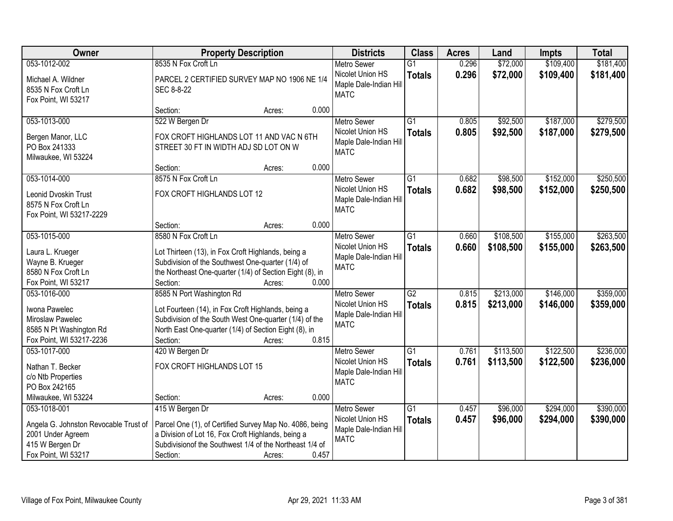| Owner                                                                                                                | <b>Property Description</b>                                                                                                                                                                                                       | <b>Districts</b>                                                                | <b>Class</b>                     | <b>Acres</b>   | Land                   | <b>Impts</b>           | <b>Total</b>           |
|----------------------------------------------------------------------------------------------------------------------|-----------------------------------------------------------------------------------------------------------------------------------------------------------------------------------------------------------------------------------|---------------------------------------------------------------------------------|----------------------------------|----------------|------------------------|------------------------|------------------------|
| 053-1012-002                                                                                                         | 8535 N Fox Croft Ln                                                                                                                                                                                                               | <b>Metro Sewer</b>                                                              | $\overline{G1}$                  | 0.296          | \$72,000               | \$109,400              | \$181,400              |
| Michael A. Wildner<br>8535 N Fox Croft Ln<br>Fox Point, WI 53217                                                     | PARCEL 2 CERTIFIED SURVEY MAP NO 1906 NE 1/4<br>SEC 8-8-22                                                                                                                                                                        | Nicolet Union HS<br>Maple Dale-Indian Hill<br><b>MATC</b>                       | <b>Totals</b>                    | 0.296          | \$72,000               | \$109,400              | \$181,400              |
|                                                                                                                      | 0.000<br>Section:<br>Acres:                                                                                                                                                                                                       |                                                                                 |                                  |                |                        |                        |                        |
| 053-1013-000<br>Bergen Manor, LLC<br>PO Box 241333<br>Milwaukee, WI 53224                                            | 522 W Bergen Dr<br>FOX CROFT HIGHLANDS LOT 11 AND VAC N 6TH<br>STREET 30 FT IN WIDTH ADJ SD LOT ON W                                                                                                                              | <b>Metro Sewer</b><br>Nicolet Union HS<br>Maple Dale-Indian Hill<br><b>MATC</b> | $\overline{G1}$<br><b>Totals</b> | 0.805<br>0.805 | \$92,500<br>\$92,500   | \$187,000<br>\$187,000 | \$279,500<br>\$279,500 |
|                                                                                                                      | 0.000<br>Section:<br>Acres:                                                                                                                                                                                                       |                                                                                 |                                  |                |                        |                        |                        |
| 053-1014-000<br>Leonid Dvoskin Trust<br>8575 N Fox Croft Ln<br>Fox Point, WI 53217-2229                              | 8575 N Fox Croft Ln<br>FOX CROFT HIGHLANDS LOT 12                                                                                                                                                                                 | <b>Metro Sewer</b><br>Nicolet Union HS<br>Maple Dale-Indian Hill<br><b>MATC</b> | G1<br><b>Totals</b>              | 0.682<br>0.682 | \$98,500<br>\$98,500   | \$152,000<br>\$152,000 | \$250,500<br>\$250,500 |
|                                                                                                                      | 0.000<br>Section:<br>Acres:                                                                                                                                                                                                       |                                                                                 |                                  |                |                        |                        |                        |
| 053-1015-000<br>Laura L. Krueger<br>Wayne B. Krueger<br>8580 N Fox Croft Ln<br>Fox Point, WI 53217                   | 8580 N Fox Croft Ln<br>Lot Thirteen (13), in Fox Croft Highlands, being a<br>Subdivision of the Southwest One-quarter (1/4) of<br>the Northeast One-quarter (1/4) of Section Eight (8), in<br>Section:<br>0.000<br>Acres:         | <b>Metro Sewer</b><br>Nicolet Union HS<br>Maple Dale-Indian Hill<br><b>MATC</b> | $\overline{G1}$<br><b>Totals</b> | 0.660<br>0.660 | \$108,500<br>\$108,500 | \$155,000<br>\$155,000 | \$263,500<br>\$263,500 |
| 053-1016-000<br>Iwona Pawelec<br>Miroslaw Pawelec<br>8585 N Pt Washington Rd<br>Fox Point, WI 53217-2236             | 8585 N Port Washington Rd<br>Lot Fourteen (14), in Fox Croft Highlands, being a<br>Subdivision of the South West One-quarter (1/4) of the<br>North East One-quarter (1/4) of Section Eight (8), in<br>Section:<br>0.815<br>Acres: | <b>Metro Sewer</b><br>Nicolet Union HS<br>Maple Dale-Indian Hill<br><b>MATC</b> | $\overline{G2}$<br><b>Totals</b> | 0.815<br>0.815 | \$213,000<br>\$213,000 | \$146,000<br>\$146,000 | \$359,000<br>\$359,000 |
| 053-1017-000<br>Nathan T. Becker<br>c/o Ntb Properties<br>PO Box 242165<br>Milwaukee, WI 53224                       | 420 W Bergen Dr<br>FOX CROFT HIGHLANDS LOT 15<br>0.000<br>Section:<br>Acres:                                                                                                                                                      | Metro Sewer<br>Nicolet Union HS<br>Maple Dale-Indian Hill<br><b>MATC</b>        | $\overline{G1}$<br><b>Totals</b> | 0.761<br>0.761 | \$113,500<br>\$113,500 | \$122,500<br>\$122,500 | \$236,000<br>\$236,000 |
| 053-1018-001<br>Angela G. Johnston Revocable Trust of<br>2001 Under Agreem<br>415 W Bergen Dr<br>Fox Point, WI 53217 | 415 W Bergen Dr<br>Parcel One (1), of Certified Survey Map No. 4086, being<br>a Division of Lot 16, Fox Croft Highlands, being a<br>Subdivision of the Southwest 1/4 of the Northeast 1/4 of<br>0.457<br>Section:<br>Acres:       | <b>Metro Sewer</b><br>Nicolet Union HS<br>Maple Dale-Indian Hill<br><b>MATC</b> | $\overline{G1}$<br><b>Totals</b> | 0.457<br>0.457 | \$96,000<br>\$96,000   | \$294,000<br>\$294,000 | \$390,000<br>\$390,000 |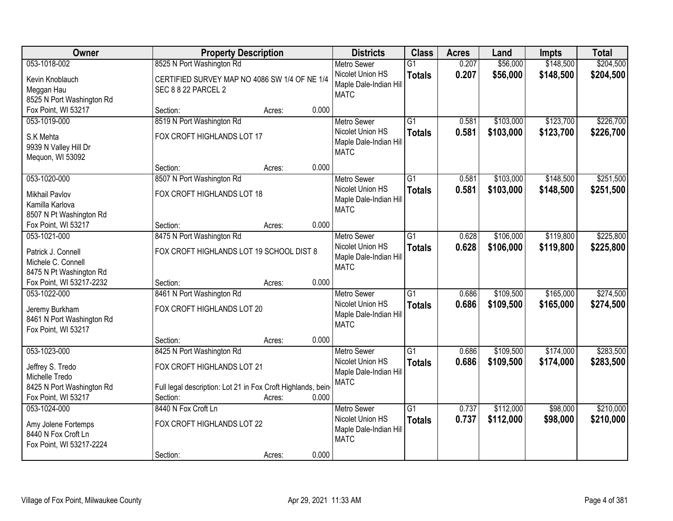| Owner                                                                  |                                                                             | <b>Property Description</b> |       | <b>Districts</b>                                          | <b>Class</b>                     | <b>Acres</b>   | Land                   | <b>Impts</b>           | <b>Total</b>           |
|------------------------------------------------------------------------|-----------------------------------------------------------------------------|-----------------------------|-------|-----------------------------------------------------------|----------------------------------|----------------|------------------------|------------------------|------------------------|
| 053-1018-002                                                           | 8525 N Port Washington Rd                                                   |                             |       | <b>Metro Sewer</b>                                        | $\overline{G1}$                  | 0.207          | \$56,000               | \$148,500              | \$204,500              |
| Kevin Knoblauch<br>Meggan Hau<br>8525 N Port Washington Rd             | CERTIFIED SURVEY MAP NO 4086 SW 1/4 OF NE 1/4<br><b>SEC 8 8 22 PARCEL 2</b> |                             |       | Nicolet Union HS<br>Maple Dale-Indian Hill<br><b>MATC</b> | <b>Totals</b>                    | 0.207          | \$56,000               | \$148,500              | \$204,500              |
| Fox Point, WI 53217                                                    | Section:                                                                    | Acres:                      | 0.000 |                                                           |                                  |                |                        |                        |                        |
| 053-1019-000                                                           | 8519 N Port Washington Rd<br>FOX CROFT HIGHLANDS LOT 17                     |                             |       | <b>Metro Sewer</b><br>Nicolet Union HS                    | $\overline{G1}$<br><b>Totals</b> | 0.581<br>0.581 | \$103,000<br>\$103,000 | \$123,700<br>\$123,700 | \$226,700<br>\$226,700 |
| S.K Mehta<br>9939 N Valley Hill Dr<br>Mequon, WI 53092                 |                                                                             |                             |       | Maple Dale-Indian Hill<br><b>MATC</b>                     |                                  |                |                        |                        |                        |
|                                                                        | Section:                                                                    | Acres:                      | 0.000 |                                                           |                                  |                |                        |                        |                        |
| 053-1020-000                                                           | 8507 N Port Washington Rd                                                   |                             |       | <b>Metro Sewer</b>                                        | $\overline{G1}$                  | 0.581          | \$103,000              | \$148,500              | \$251,500              |
| <b>Mikhail Pavlov</b><br>Kamilla Karlova<br>8507 N Pt Washington Rd    | FOX CROFT HIGHLANDS LOT 18                                                  |                             |       | Nicolet Union HS<br>Maple Dale-Indian Hill<br><b>MATC</b> | <b>Totals</b>                    | 0.581          | \$103,000              | \$148,500              | \$251,500              |
| Fox Point, WI 53217                                                    | Section:                                                                    | Acres:                      | 0.000 |                                                           |                                  |                |                        |                        |                        |
| 053-1021-000                                                           | 8475 N Port Washington Rd                                                   |                             |       | <b>Metro Sewer</b>                                        | $\overline{G1}$                  | 0.628          | \$106,000              | \$119,800              | \$225,800              |
| Patrick J. Connell<br>Michele C. Connell<br>8475 N Pt Washington Rd    | FOX CROFT HIGHLANDS LOT 19 SCHOOL DIST 8                                    |                             |       | Nicolet Union HS<br>Maple Dale-Indian Hill<br><b>MATC</b> | <b>Totals</b>                    | 0.628          | \$106,000              | \$119,800              | \$225,800              |
| Fox Point, WI 53217-2232                                               | Section:                                                                    | Acres:                      | 0.000 |                                                           |                                  |                |                        |                        |                        |
| 053-1022-000<br>Jeremy Burkham                                         | 8461 N Port Washington Rd<br>FOX CROFT HIGHLANDS LOT 20                     |                             |       | <b>Metro Sewer</b><br>Nicolet Union HS                    | $\overline{G1}$<br><b>Totals</b> | 0.686<br>0.686 | \$109,500<br>\$109,500 | \$165,000<br>\$165,000 | \$274,500<br>\$274,500 |
| 8461 N Port Washington Rd<br>Fox Point, WI 53217                       |                                                                             |                             |       | Maple Dale-Indian Hill<br><b>MATC</b>                     |                                  |                |                        |                        |                        |
|                                                                        | Section:                                                                    | Acres:                      | 0.000 |                                                           |                                  |                |                        |                        |                        |
| 053-1023-000                                                           | 8425 N Port Washington Rd                                                   |                             |       | <b>Metro Sewer</b>                                        | $\overline{G1}$                  | 0.686          | \$109,500              | \$174,000              | \$283,500              |
| Jeffrey S. Tredo<br>Michelle Tredo                                     | FOX CROFT HIGHLANDS LOT 21                                                  |                             |       | Nicolet Union HS<br>Maple Dale-Indian Hill<br><b>MATC</b> | <b>Totals</b>                    | 0.686          | \$109,500              | \$174,000              | \$283,500              |
| 8425 N Port Washington Rd                                              | Full legal description: Lot 21 in Fox Croft Highlands, being                |                             |       |                                                           |                                  |                |                        |                        |                        |
| Fox Point, WI 53217                                                    | Section:                                                                    | Acres:                      | 0.000 |                                                           |                                  |                |                        |                        |                        |
| 053-1024-000                                                           | 8440 N Fox Croft Ln                                                         |                             |       | <b>Metro Sewer</b>                                        | $\overline{G1}$                  | 0.737          | \$112,000              | \$98,000               | \$210,000              |
| Amy Jolene Fortemps<br>8440 N Fox Croft Ln<br>Fox Point, WI 53217-2224 | FOX CROFT HIGHLANDS LOT 22                                                  |                             |       | Nicolet Union HS<br>Maple Dale-Indian Hill<br><b>MATC</b> | <b>Totals</b>                    | 0.737          | \$112,000              | \$98,000               | \$210,000              |
|                                                                        | Section:                                                                    | Acres:                      | 0.000 |                                                           |                                  |                |                        |                        |                        |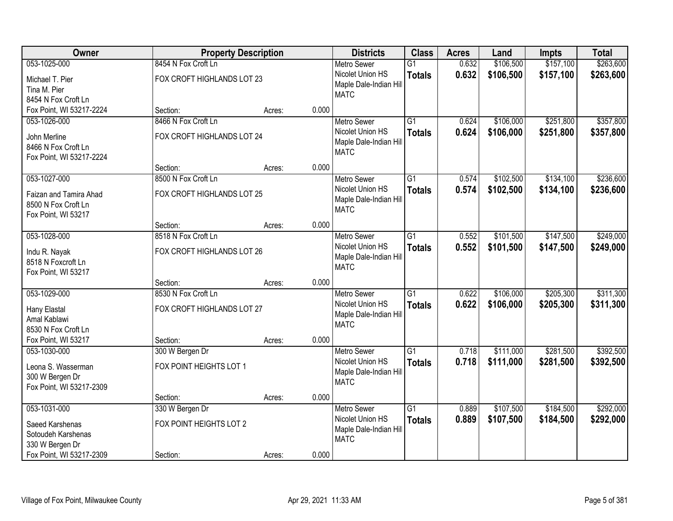| Owner                                     |                            | <b>Property Description</b> |       | <b>Districts</b>                      | <b>Class</b>    | <b>Acres</b> | Land      | <b>Impts</b> | <b>Total</b> |
|-------------------------------------------|----------------------------|-----------------------------|-------|---------------------------------------|-----------------|--------------|-----------|--------------|--------------|
| 053-1025-000                              | 8454 N Fox Croft Ln        |                             |       | <b>Metro Sewer</b>                    | $\overline{G1}$ | 0.632        | \$106,500 | \$157,100    | \$263,600    |
| Michael T. Pier                           | FOX CROFT HIGHLANDS LOT 23 |                             |       | Nicolet Union HS                      | <b>Totals</b>   | 0.632        | \$106,500 | \$157,100    | \$263,600    |
| Tina M. Pier                              |                            |                             |       | Maple Dale-Indian Hill                |                 |              |           |              |              |
| 8454 N Fox Croft Ln                       |                            |                             |       | <b>MATC</b>                           |                 |              |           |              |              |
| Fox Point, WI 53217-2224                  | Section:                   | Acres:                      | 0.000 |                                       |                 |              |           |              |              |
| 053-1026-000                              | 8466 N Fox Croft Ln        |                             |       | <b>Metro Sewer</b>                    | $\overline{G1}$ | 0.624        | \$106,000 | \$251,800    | \$357,800    |
| John Merline                              | FOX CROFT HIGHLANDS LOT 24 |                             |       | Nicolet Union HS                      | <b>Totals</b>   | 0.624        | \$106,000 | \$251,800    | \$357,800    |
| 8466 N Fox Croft Ln                       |                            |                             |       | Maple Dale-Indian Hill                |                 |              |           |              |              |
| Fox Point, WI 53217-2224                  |                            |                             |       | <b>MATC</b>                           |                 |              |           |              |              |
|                                           | Section:                   | Acres:                      | 0.000 |                                       |                 |              |           |              |              |
| 053-1027-000                              | 8500 N Fox Croft Ln        |                             |       | Metro Sewer                           | $\overline{G1}$ | 0.574        | \$102,500 | \$134,100    | \$236,600    |
| Faizan and Tamira Ahad                    | FOX CROFT HIGHLANDS LOT 25 |                             |       | Nicolet Union HS                      | <b>Totals</b>   | 0.574        | \$102,500 | \$134,100    | \$236,600    |
| 8500 N Fox Croft Ln                       |                            |                             |       | Maple Dale-Indian Hill                |                 |              |           |              |              |
| Fox Point, WI 53217                       |                            |                             |       | <b>MATC</b>                           |                 |              |           |              |              |
|                                           | Section:                   | Acres:                      | 0.000 |                                       |                 |              |           |              |              |
| 053-1028-000                              | 8518 N Fox Croft Ln        |                             |       | <b>Metro Sewer</b>                    | $\overline{G1}$ | 0.552        | \$101,500 | \$147,500    | \$249,000    |
|                                           | FOX CROFT HIGHLANDS LOT 26 |                             |       | Nicolet Union HS                      | <b>Totals</b>   | 0.552        | \$101,500 | \$147,500    | \$249,000    |
| Indu R. Nayak                             |                            |                             |       | Maple Dale-Indian Hill                |                 |              |           |              |              |
| 8518 N Foxcroft Ln<br>Fox Point, WI 53217 |                            |                             |       | <b>MATC</b>                           |                 |              |           |              |              |
|                                           | Section:                   | Acres:                      | 0.000 |                                       |                 |              |           |              |              |
| 053-1029-000                              | 8530 N Fox Croft Ln        |                             |       | <b>Metro Sewer</b>                    | $\overline{G1}$ | 0.622        | \$106,000 | \$205,300    | \$311,300    |
|                                           |                            |                             |       | Nicolet Union HS                      | <b>Totals</b>   | 0.622        | \$106,000 | \$205,300    | \$311,300    |
| Hany Elastal                              | FOX CROFT HIGHLANDS LOT 27 |                             |       | Maple Dale-Indian Hill                |                 |              |           |              |              |
| Amal Kablawi                              |                            |                             |       | <b>MATC</b>                           |                 |              |           |              |              |
| 8530 N Fox Croft Ln                       |                            |                             |       |                                       |                 |              |           |              |              |
| Fox Point, WI 53217                       | Section:                   | Acres:                      | 0.000 |                                       |                 |              |           |              |              |
| 053-1030-000                              | 300 W Bergen Dr            |                             |       | <b>Metro Sewer</b>                    | $\overline{G1}$ | 0.718        | \$111,000 | \$281,500    | \$392,500    |
| Leona S. Wasserman                        | FOX POINT HEIGHTS LOT 1    |                             |       | Nicolet Union HS                      | <b>Totals</b>   | 0.718        | \$111,000 | \$281,500    | \$392,500    |
| 300 W Bergen Dr                           |                            |                             |       | Maple Dale-Indian Hill<br><b>MATC</b> |                 |              |           |              |              |
| Fox Point, WI 53217-2309                  |                            |                             |       |                                       |                 |              |           |              |              |
|                                           | Section:                   | Acres:                      | 0.000 |                                       |                 |              |           |              |              |
| 053-1031-000                              | 330 W Bergen Dr            |                             |       | <b>Metro Sewer</b>                    | $\overline{G1}$ | 0.889        | \$107,500 | \$184,500    | \$292,000    |
| Saeed Karshenas                           | FOX POINT HEIGHTS LOT 2    |                             |       | Nicolet Union HS                      | <b>Totals</b>   | 0.889        | \$107,500 | \$184,500    | \$292,000    |
| Sotoudeh Karshenas                        |                            |                             |       | Maple Dale-Indian Hill                |                 |              |           |              |              |
| 330 W Bergen Dr                           |                            |                             |       | <b>MATC</b>                           |                 |              |           |              |              |
| Fox Point, WI 53217-2309                  | Section:                   | Acres:                      | 0.000 |                                       |                 |              |           |              |              |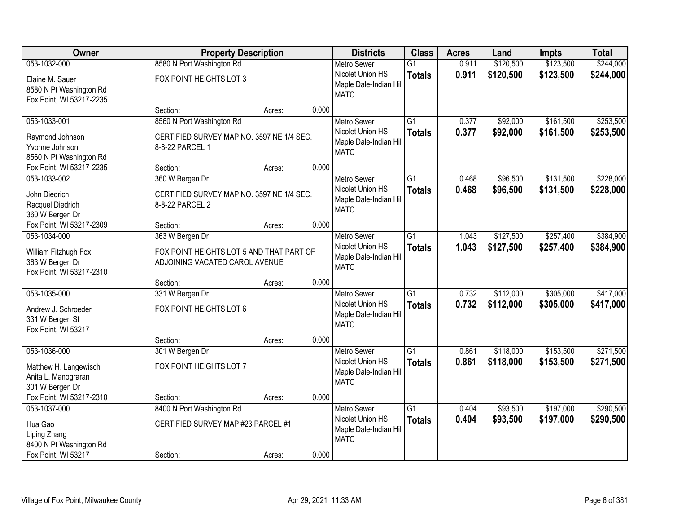| Owner                                                                                     | <b>Property Description</b>                                                                   |        |       | <b>Districts</b>                                                                | <b>Class</b>                     | <b>Acres</b>   | Land                   | <b>Impts</b>           | <b>Total</b>           |
|-------------------------------------------------------------------------------------------|-----------------------------------------------------------------------------------------------|--------|-------|---------------------------------------------------------------------------------|----------------------------------|----------------|------------------------|------------------------|------------------------|
| 053-1032-000                                                                              | 8580 N Port Washington Rd                                                                     |        |       | <b>Metro Sewer</b>                                                              | $\overline{G1}$                  | 0.911          | \$120,500              | \$123,500              | \$244,000              |
| Elaine M. Sauer<br>8580 N Pt Washington Rd<br>Fox Point, WI 53217-2235                    | FOX POINT HEIGHTS LOT 3                                                                       |        |       | Nicolet Union HS<br>Maple Dale-Indian Hill<br><b>MATC</b>                       | <b>Totals</b>                    | 0.911          | \$120,500              | \$123,500              | \$244,000              |
|                                                                                           | Section:                                                                                      | Acres: | 0.000 |                                                                                 |                                  |                |                        |                        |                        |
| 053-1033-001<br>Raymond Johnson<br>Yvonne Johnson<br>8560 N Pt Washington Rd              | 8560 N Port Washington Rd<br>CERTIFIED SURVEY MAP NO. 3597 NE 1/4 SEC.<br>8-8-22 PARCEL 1     |        |       | <b>Metro Sewer</b><br>Nicolet Union HS<br>Maple Dale-Indian Hill<br><b>MATC</b> | $\overline{G1}$<br><b>Totals</b> | 0.377<br>0.377 | \$92,000<br>\$92,000   | \$161,500<br>\$161,500 | \$253,500<br>\$253,500 |
| Fox Point, WI 53217-2235                                                                  | Section:                                                                                      | Acres: | 0.000 |                                                                                 |                                  |                |                        |                        |                        |
| 053-1033-002<br>John Diedrich<br>Racquel Diedrich<br>360 W Bergen Dr                      | 360 W Bergen Dr<br>CERTIFIED SURVEY MAP NO. 3597 NE 1/4 SEC.<br>8-8-22 PARCEL 2               |        |       | <b>Metro Sewer</b><br>Nicolet Union HS<br>Maple Dale-Indian Hill<br><b>MATC</b> | G1<br><b>Totals</b>              | 0.468<br>0.468 | \$96,500<br>\$96,500   | \$131,500<br>\$131,500 | \$228,000<br>\$228,000 |
| Fox Point, WI 53217-2309                                                                  | Section:                                                                                      | Acres: | 0.000 |                                                                                 |                                  |                |                        |                        |                        |
| 053-1034-000<br>William Fitzhugh Fox<br>363 W Bergen Dr<br>Fox Point, WI 53217-2310       | 363 W Bergen Dr<br>FOX POINT HEIGHTS LOT 5 AND THAT PART OF<br>ADJOINING VACATED CAROL AVENUE |        |       | <b>Metro Sewer</b><br>Nicolet Union HS<br>Maple Dale-Indian Hill<br><b>MATC</b> | $\overline{G1}$<br><b>Totals</b> | 1.043<br>1.043 | \$127,500<br>\$127,500 | \$257,400<br>\$257,400 | \$384,900<br>\$384,900 |
|                                                                                           | Section:                                                                                      | Acres: | 0.000 |                                                                                 |                                  |                |                        |                        |                        |
| 053-1035-000<br>Andrew J. Schroeder<br>331 W Bergen St<br>Fox Point, WI 53217             | 331 W Bergen Dr<br>FOX POINT HEIGHTS LOT 6<br>Section:                                        | Acres: | 0.000 | <b>Metro Sewer</b><br>Nicolet Union HS<br>Maple Dale-Indian Hill<br><b>MATC</b> | $\overline{G1}$<br><b>Totals</b> | 0.732<br>0.732 | \$112,000<br>\$112,000 | \$305,000<br>\$305,000 | \$417,000<br>\$417,000 |
| 053-1036-000                                                                              | 301 W Bergen Dr                                                                               |        |       | <b>Metro Sewer</b>                                                              | $\overline{G1}$                  | 0.861          | \$118,000              | \$153,500              | \$271,500              |
| Matthew H. Langewisch<br>Anita L. Manograran<br>301 W Bergen Dr                           | FOX POINT HEIGHTS LOT 7                                                                       |        |       | Nicolet Union HS<br>Maple Dale-Indian Hill<br><b>MATC</b>                       | <b>Totals</b>                    | 0.861          | \$118,000              | \$153,500              | \$271,500              |
| Fox Point, WI 53217-2310                                                                  | Section:                                                                                      | Acres: | 0.000 |                                                                                 |                                  |                |                        |                        |                        |
| 053-1037-000<br>Hua Gao<br>Liping Zhang<br>8400 N Pt Washington Rd<br>Fox Point, WI 53217 | 8400 N Port Washington Rd<br>CERTIFIED SURVEY MAP #23 PARCEL #1<br>Section:                   | Acres: | 0.000 | <b>Metro Sewer</b><br>Nicolet Union HS<br>Maple Dale-Indian Hill<br><b>MATC</b> | $\overline{G1}$<br><b>Totals</b> | 0.404<br>0.404 | \$93,500<br>\$93,500   | \$197,000<br>\$197,000 | \$290,500<br>\$290,500 |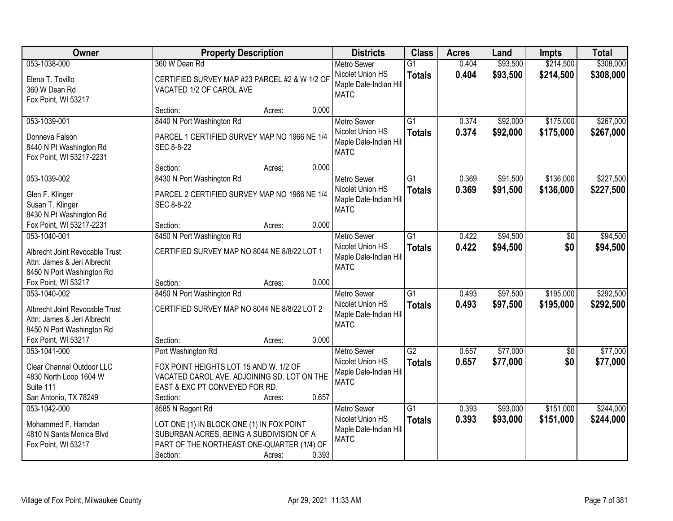| Owner                                                         | <b>Property Description</b>                                | <b>Districts</b>                           | <b>Class</b>    | <b>Acres</b> | Land     | Impts      | <b>Total</b> |
|---------------------------------------------------------------|------------------------------------------------------------|--------------------------------------------|-----------------|--------------|----------|------------|--------------|
| 053-1038-000                                                  | 360 W Dean Rd                                              | <b>Metro Sewer</b>                         | $\overline{G1}$ | 0.404        | \$93,500 | \$214,500  | \$308,000    |
| Elena T. Tovillo<br>360 W Dean Rd                             | CERTIFIED SURVEY MAP #23 PARCEL #2 & W 1/2 OF              | Nicolet Union HS<br>Maple Dale-Indian Hill | <b>Totals</b>   | 0.404        | \$93,500 | \$214,500  | \$308,000    |
| Fox Point, WI 53217                                           | VACATED 1/2 OF CAROL AVE                                   | <b>MATC</b>                                |                 |              |          |            |              |
|                                                               | 0.000<br>Section:<br>Acres:                                |                                            |                 |              |          |            |              |
| 053-1039-001                                                  | 8440 N Port Washington Rd                                  | <b>Metro Sewer</b>                         | $\overline{G1}$ | 0.374        | \$92,000 | \$175,000  | \$267,000    |
| Donneva Falson                                                |                                                            | Nicolet Union HS                           | <b>Totals</b>   | 0.374        | \$92,000 | \$175,000  | \$267,000    |
| 8440 N Pt Washington Rd                                       | PARCEL 1 CERTIFIED SURVEY MAP NO 1966 NE 1/4<br>SEC 8-8-22 | Maple Dale-Indian Hill                     |                 |              |          |            |              |
| Fox Point, WI 53217-2231                                      |                                                            | <b>MATC</b>                                |                 |              |          |            |              |
|                                                               | 0.000<br>Section:<br>Acres:                                |                                            |                 |              |          |            |              |
| 053-1039-002                                                  | 8430 N Port Washington Rd                                  | Metro Sewer                                | $\overline{G1}$ | 0.369        | \$91,500 | \$136,000  | \$227,500    |
| Glen F. Klinger                                               | PARCEL 2 CERTIFIED SURVEY MAP NO 1966 NE 1/4               | Nicolet Union HS                           | <b>Totals</b>   | 0.369        | \$91,500 | \$136,000  | \$227,500    |
| Susan T. Klinger                                              | SEC 8-8-22                                                 | Maple Dale-Indian Hill                     |                 |              |          |            |              |
| 8430 N Pt Washington Rd                                       |                                                            | <b>MATC</b>                                |                 |              |          |            |              |
| Fox Point, WI 53217-2231                                      | 0.000<br>Section:<br>Acres:                                |                                            |                 |              |          |            |              |
| 053-1040-001                                                  | 8450 N Port Washington Rd                                  | <b>Metro Sewer</b>                         | $\overline{G1}$ | 0.422        | \$94,500 | \$0        | \$94,500     |
|                                                               |                                                            | Nicolet Union HS                           | <b>Totals</b>   | 0.422        | \$94,500 | \$0        | \$94,500     |
| Albrecht Joint Revocable Trust<br>Attn: James & Jeri Albrecht | CERTIFIED SURVEY MAP NO 8044 NE 8/8/22 LOT 1               | Maple Dale-Indian Hill                     |                 |              |          |            |              |
| 8450 N Port Washington Rd                                     |                                                            | <b>MATC</b>                                |                 |              |          |            |              |
| Fox Point, WI 53217                                           | 0.000<br>Section:<br>Acres:                                |                                            |                 |              |          |            |              |
| 053-1040-002                                                  | 8450 N Port Washington Rd                                  | <b>Metro Sewer</b>                         | $\overline{G1}$ | 0.493        | \$97,500 | \$195,000  | \$292,500    |
|                                                               |                                                            | Nicolet Union HS                           | <b>Totals</b>   | 0.493        | \$97,500 | \$195,000  | \$292,500    |
| Albrecht Joint Revocable Trust                                | CERTIFIED SURVEY MAP NO 8044 NE 8/8/22 LOT 2               | Maple Dale-Indian Hill                     |                 |              |          |            |              |
| Attn: James & Jeri Albrecht                                   |                                                            | <b>MATC</b>                                |                 |              |          |            |              |
| 8450 N Port Washington Rd<br>Fox Point, WI 53217              | 0.000                                                      |                                            |                 |              |          |            |              |
| 053-1041-000                                                  | Section:<br>Acres:<br>Port Washington Rd                   | <b>Metro Sewer</b>                         | G2              | 0.657        | \$77,000 | $\sqrt{6}$ | \$77,000     |
|                                                               |                                                            | Nicolet Union HS                           | <b>Totals</b>   | 0.657        | \$77,000 | \$0        | \$77,000     |
| Clear Channel Outdoor LLC                                     | FOX POINT HEIGHTS LOT 15 AND W. 1/2 OF                     | Maple Dale-Indian Hill                     |                 |              |          |            |              |
| 4830 North Loop 1604 W                                        | VACATED CAROL AVE. ADJOINING SD. LOT ON THE                | <b>MATC</b>                                |                 |              |          |            |              |
| Suite 111                                                     | EAST & EXC PT CONVEYED FOR RD.                             |                                            |                 |              |          |            |              |
| San Antonio, TX 78249                                         | 0.657<br>Section:<br>Acres:                                |                                            |                 |              |          |            |              |
| 053-1042-000                                                  | 8585 N Regent Rd                                           | <b>Metro Sewer</b>                         | $\overline{G1}$ | 0.393        | \$93,000 | \$151,000  | \$244,000    |
| Mohammed F. Hamdan                                            | LOT ONE (1) IN BLOCK ONE (1) IN FOX POINT                  | Nicolet Union HS                           | <b>Totals</b>   | 0.393        | \$93,000 | \$151,000  | \$244,000    |
| 4810 N Santa Monica Blvd                                      | SUBURBAN ACRES, BEING A SUBDIVISION OF A                   | Maple Dale-Indian Hill<br><b>MATC</b>      |                 |              |          |            |              |
| Fox Point, WI 53217                                           | PART OF THE NORTHEAST ONE-QUARTER (1/4) OF                 |                                            |                 |              |          |            |              |
|                                                               | 0.393<br>Section:<br>Acres:                                |                                            |                 |              |          |            |              |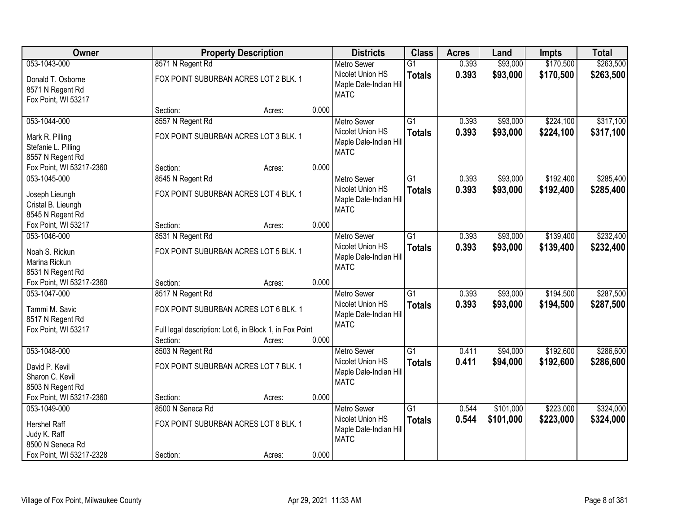| Owner                                                                     |                                                                       | <b>Property Description</b>                                       |       | <b>Districts</b>                                                                | <b>Class</b>                     | <b>Acres</b>   | Land                   | <b>Impts</b>           | <b>Total</b>           |
|---------------------------------------------------------------------------|-----------------------------------------------------------------------|-------------------------------------------------------------------|-------|---------------------------------------------------------------------------------|----------------------------------|----------------|------------------------|------------------------|------------------------|
| 053-1043-000                                                              | 8571 N Regent Rd                                                      |                                                                   |       | <b>Metro Sewer</b>                                                              | $\overline{G1}$                  | 0.393          | \$93,000               | \$170,500              | \$263,500              |
| Donald T. Osborne<br>8571 N Regent Rd<br>Fox Point, WI 53217              | FOX POINT SUBURBAN ACRES LOT 2 BLK. 1                                 |                                                                   |       | Nicolet Union HS<br>Maple Dale-Indian Hill<br><b>MATC</b>                       | <b>Totals</b>                    | 0.393          | \$93,000               | \$170,500              | \$263,500              |
|                                                                           | Section:                                                              | Acres:                                                            | 0.000 |                                                                                 |                                  |                |                        |                        |                        |
| 053-1044-000                                                              | 8557 N Regent Rd                                                      |                                                                   |       | <b>Metro Sewer</b>                                                              | $\overline{G1}$                  | 0.393          | \$93,000               | \$224,100              | \$317,100              |
| Mark R. Pilling<br>Stefanie L. Pilling<br>8557 N Regent Rd                | FOX POINT SUBURBAN ACRES LOT 3 BLK. 1                                 |                                                                   |       | Nicolet Union HS<br>Maple Dale-Indian Hill<br><b>MATC</b>                       | <b>Totals</b>                    | 0.393          | \$93,000               | \$224,100              | \$317,100              |
| Fox Point, WI 53217-2360                                                  | Section:                                                              | Acres:                                                            | 0.000 |                                                                                 |                                  |                |                        |                        |                        |
| 053-1045-000                                                              | 8545 N Regent Rd                                                      |                                                                   |       | <b>Metro Sewer</b>                                                              | $\overline{G1}$                  | 0.393          | \$93,000               | \$192,400              | \$285,400              |
| Joseph Lieungh<br>Cristal B. Lieungh<br>8545 N Regent Rd                  | FOX POINT SUBURBAN ACRES LOT 4 BLK. 1                                 |                                                                   |       | Nicolet Union HS<br>Maple Dale-Indian Hill<br><b>MATC</b>                       | <b>Totals</b>                    | 0.393          | \$93,000               | \$192,400              | \$285,400              |
| Fox Point, WI 53217                                                       | Section:                                                              | Acres:                                                            | 0.000 |                                                                                 |                                  |                |                        |                        |                        |
| 053-1046-000                                                              | 8531 N Regent Rd                                                      |                                                                   |       | <b>Metro Sewer</b>                                                              | $\overline{G1}$                  | 0.393          | \$93,000               | \$139,400              | \$232,400              |
| Noah S. Rickun<br>Marina Rickun<br>8531 N Regent Rd                       |                                                                       | FOX POINT SUBURBAN ACRES LOT 5 BLK. 1                             |       | Nicolet Union HS<br>Maple Dale-Indian Hill<br><b>MATC</b>                       | <b>Totals</b>                    | 0.393          | \$93,000               | \$139,400              | \$232,400              |
| Fox Point, WI 53217-2360                                                  | Section:                                                              | Acres:                                                            | 0.000 |                                                                                 |                                  |                |                        |                        |                        |
| 053-1047-000<br>Tammi M. Savic<br>8517 N Regent Rd<br>Fox Point, WI 53217 | 8517 N Regent Rd<br>FOX POINT SUBURBAN ACRES LOT 6 BLK. 1<br>Section: | Full legal description: Lot 6, in Block 1, in Fox Point<br>Acres: | 0.000 | <b>Metro Sewer</b><br>Nicolet Union HS<br>Maple Dale-Indian Hill<br><b>MATC</b> | $\overline{G1}$<br><b>Totals</b> | 0.393<br>0.393 | \$93,000<br>\$93,000   | \$194,500<br>\$194,500 | \$287,500<br>\$287,500 |
| 053-1048-000                                                              | 8503 N Regent Rd                                                      |                                                                   |       | <b>Metro Sewer</b>                                                              | $\overline{G1}$                  | 0.411          | \$94,000               | \$192,600              | \$286,600              |
| David P. Kevil<br>Sharon C. Kevil<br>8503 N Regent Rd                     | FOX POINT SUBURBAN ACRES LOT 7 BLK. 1                                 |                                                                   |       | Nicolet Union HS<br>Maple Dale-Indian Hill<br><b>MATC</b>                       | <b>Totals</b>                    | 0.411          | \$94,000               | \$192,600              | \$286,600              |
| Fox Point, WI 53217-2360                                                  | Section:                                                              | Acres:                                                            | 0.000 |                                                                                 |                                  |                |                        |                        |                        |
| 053-1049-000<br><b>Hershel Raff</b><br>Judy K. Raff<br>8500 N Seneca Rd   | 8500 N Seneca Rd<br>FOX POINT SUBURBAN ACRES LOT 8 BLK. 1             |                                                                   | 0.000 | <b>Metro Sewer</b><br>Nicolet Union HS<br>Maple Dale-Indian Hill<br><b>MATC</b> | $\overline{G1}$<br><b>Totals</b> | 0.544<br>0.544 | \$101,000<br>\$101,000 | \$223,000<br>\$223,000 | \$324,000<br>\$324,000 |
| Fox Point, WI 53217-2328                                                  | Section:                                                              | Acres:                                                            |       |                                                                                 |                                  |                |                        |                        |                        |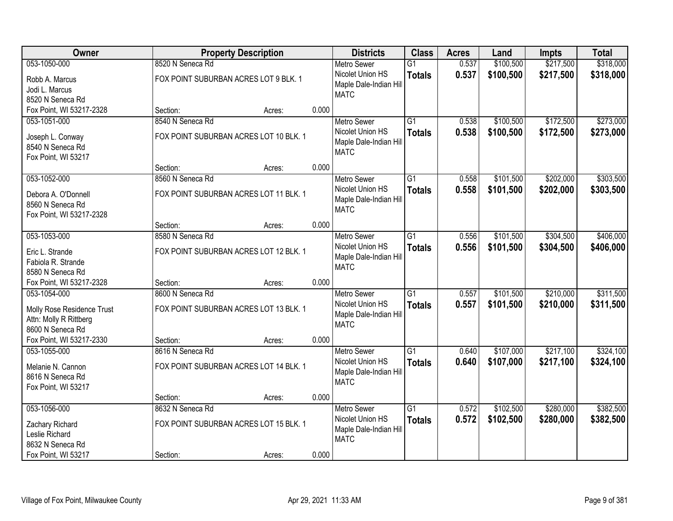| Owner                      |                                        | <b>Property Description</b> |       | <b>Districts</b>       | <b>Class</b>    | <b>Acres</b> | Land      | <b>Impts</b> | <b>Total</b> |
|----------------------------|----------------------------------------|-----------------------------|-------|------------------------|-----------------|--------------|-----------|--------------|--------------|
| 053-1050-000               | 8520 N Seneca Rd                       |                             |       | <b>Metro Sewer</b>     | $\overline{G1}$ | 0.537        | \$100,500 | \$217,500    | \$318,000    |
| Robb A. Marcus             | FOX POINT SUBURBAN ACRES LOT 9 BLK. 1  |                             |       | Nicolet Union HS       | <b>Totals</b>   | 0.537        | \$100,500 | \$217,500    | \$318,000    |
| Jodi L. Marcus             |                                        |                             |       | Maple Dale-Indian Hill |                 |              |           |              |              |
| 8520 N Seneca Rd           |                                        |                             |       | <b>MATC</b>            |                 |              |           |              |              |
| Fox Point, WI 53217-2328   | Section:                               | Acres:                      | 0.000 |                        |                 |              |           |              |              |
| 053-1051-000               | 8540 N Seneca Rd                       |                             |       | <b>Metro Sewer</b>     | $\overline{G1}$ | 0.538        | \$100,500 | \$172,500    | \$273,000    |
| Joseph L. Conway           | FOX POINT SUBURBAN ACRES LOT 10 BLK. 1 |                             |       | Nicolet Union HS       | <b>Totals</b>   | 0.538        | \$100,500 | \$172,500    | \$273,000    |
| 8540 N Seneca Rd           |                                        |                             |       | Maple Dale-Indian Hill |                 |              |           |              |              |
| Fox Point, WI 53217        |                                        |                             |       | <b>MATC</b>            |                 |              |           |              |              |
|                            | Section:                               | Acres:                      | 0.000 |                        |                 |              |           |              |              |
| 053-1052-000               | 8560 N Seneca Rd                       |                             |       | Metro Sewer            | $\overline{G1}$ | 0.558        | \$101,500 | \$202,000    | \$303,500    |
| Debora A. O'Donnell        | FOX POINT SUBURBAN ACRES LOT 11 BLK. 1 |                             |       | Nicolet Union HS       | <b>Totals</b>   | 0.558        | \$101,500 | \$202,000    | \$303,500    |
| 8560 N Seneca Rd           |                                        |                             |       | Maple Dale-Indian Hill |                 |              |           |              |              |
| Fox Point, WI 53217-2328   |                                        |                             |       | <b>MATC</b>            |                 |              |           |              |              |
|                            | Section:                               | Acres:                      | 0.000 |                        |                 |              |           |              |              |
| 053-1053-000               | 8580 N Seneca Rd                       |                             |       | <b>Metro Sewer</b>     | $\overline{G1}$ | 0.556        | \$101,500 | \$304,500    | \$406,000    |
| Eric L. Strande            | FOX POINT SUBURBAN ACRES LOT 12 BLK. 1 |                             |       | Nicolet Union HS       | <b>Totals</b>   | 0.556        | \$101,500 | \$304,500    | \$406,000    |
| Fabiola R. Strande         |                                        |                             |       | Maple Dale-Indian Hill |                 |              |           |              |              |
| 8580 N Seneca Rd           |                                        |                             |       | <b>MATC</b>            |                 |              |           |              |              |
| Fox Point, WI 53217-2328   | Section:                               | Acres:                      | 0.000 |                        |                 |              |           |              |              |
| 053-1054-000               | 8600 N Seneca Rd                       |                             |       | <b>Metro Sewer</b>     | $\overline{G1}$ | 0.557        | \$101,500 | \$210,000    | \$311,500    |
| Molly Rose Residence Trust | FOX POINT SUBURBAN ACRES LOT 13 BLK. 1 |                             |       | Nicolet Union HS       | <b>Totals</b>   | 0.557        | \$101,500 | \$210,000    | \$311,500    |
| Attn: Molly R Rittberg     |                                        |                             |       | Maple Dale-Indian Hill |                 |              |           |              |              |
| 8600 N Seneca Rd           |                                        |                             |       | <b>MATC</b>            |                 |              |           |              |              |
| Fox Point, WI 53217-2330   | Section:                               | Acres:                      | 0.000 |                        |                 |              |           |              |              |
| 053-1055-000               | 8616 N Seneca Rd                       |                             |       | <b>Metro Sewer</b>     | $\overline{G1}$ | 0.640        | \$107,000 | \$217,100    | \$324,100    |
| Melanie N. Cannon          | FOX POINT SUBURBAN ACRES LOT 14 BLK. 1 |                             |       | Nicolet Union HS       | <b>Totals</b>   | 0.640        | \$107,000 | \$217,100    | \$324,100    |
| 8616 N Seneca Rd           |                                        |                             |       | Maple Dale-Indian Hill |                 |              |           |              |              |
| Fox Point, WI 53217        |                                        |                             |       | <b>MATC</b>            |                 |              |           |              |              |
|                            | Section:                               | Acres:                      | 0.000 |                        |                 |              |           |              |              |
| 053-1056-000               | 8632 N Seneca Rd                       |                             |       | <b>Metro Sewer</b>     | $\overline{G1}$ | 0.572        | \$102,500 | \$280,000    | \$382,500    |
| Zachary Richard            | FOX POINT SUBURBAN ACRES LOT 15 BLK. 1 |                             |       | Nicolet Union HS       | <b>Totals</b>   | 0.572        | \$102,500 | \$280,000    | \$382,500    |
| Leslie Richard             |                                        |                             |       | Maple Dale-Indian Hill |                 |              |           |              |              |
| 8632 N Seneca Rd           |                                        |                             |       | <b>MATC</b>            |                 |              |           |              |              |
| Fox Point, WI 53217        | Section:                               | Acres:                      | 0.000 |                        |                 |              |           |              |              |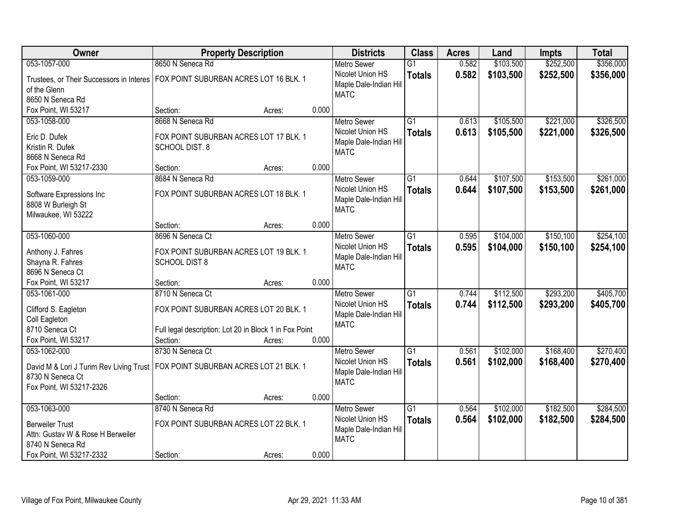| Owner                                                                            | <b>Property Description</b>                            |        |       | <b>Districts</b>                      | <b>Class</b>    | <b>Acres</b> | Land      | <b>Impts</b> | <b>Total</b> |
|----------------------------------------------------------------------------------|--------------------------------------------------------|--------|-------|---------------------------------------|-----------------|--------------|-----------|--------------|--------------|
| 053-1057-000                                                                     | 8650 N Seneca Rd                                       |        |       | <b>Metro Sewer</b>                    | $\overline{G1}$ | 0.582        | \$103,500 | \$252,500    | \$356,000    |
| Trustees, or Their Successors in Interes                                         | FOX POINT SUBURBAN ACRES LOT 16 BLK. 1                 |        |       | Nicolet Union HS                      | <b>Totals</b>   | 0.582        | \$103,500 | \$252,500    | \$356,000    |
| of the Glenn                                                                     |                                                        |        |       | Maple Dale-Indian Hill<br><b>MATC</b> |                 |              |           |              |              |
| 8650 N Seneca Rd                                                                 |                                                        |        |       |                                       |                 |              |           |              |              |
| Fox Point, WI 53217                                                              | Section:                                               | Acres: | 0.000 |                                       |                 |              |           |              |              |
| 053-1058-000                                                                     | 8668 N Seneca Rd                                       |        |       | <b>Metro Sewer</b>                    | $\overline{G1}$ | 0.613        | \$105,500 | \$221,000    | \$326,500    |
| Eric D. Dufek                                                                    | FOX POINT SUBURBAN ACRES LOT 17 BLK. 1                 |        |       | Nicolet Union HS                      | <b>Totals</b>   | 0.613        | \$105,500 | \$221,000    | \$326,500    |
| Kristin R. Dufek                                                                 | <b>SCHOOL DIST. 8</b>                                  |        |       | Maple Dale-Indian Hill                |                 |              |           |              |              |
| 8668 N Seneca Rd                                                                 |                                                        |        |       | <b>MATC</b>                           |                 |              |           |              |              |
| Fox Point, WI 53217-2330                                                         | Section:                                               | Acres: | 0.000 |                                       |                 |              |           |              |              |
| 053-1059-000                                                                     | 8684 N Seneca Rd                                       |        |       | <b>Metro Sewer</b>                    | $\overline{G1}$ | 0.644        | \$107,500 | \$153,500    | \$261,000    |
|                                                                                  |                                                        |        |       | Nicolet Union HS                      | <b>Totals</b>   | 0.644        | \$107,500 | \$153,500    | \$261,000    |
| Software Expressions Inc                                                         | FOX POINT SUBURBAN ACRES LOT 18 BLK. 1                 |        |       | Maple Dale-Indian Hill                |                 |              |           |              |              |
| 8808 W Burleigh St                                                               |                                                        |        |       | <b>MATC</b>                           |                 |              |           |              |              |
| Milwaukee, WI 53222                                                              |                                                        |        |       |                                       |                 |              |           |              |              |
|                                                                                  | Section:                                               | Acres: | 0.000 |                                       |                 |              |           |              |              |
| 053-1060-000                                                                     | 8696 N Seneca Ct                                       |        |       | <b>Metro Sewer</b>                    | $\overline{G1}$ | 0.595        | \$104,000 | \$150,100    | \$254,100    |
| Anthony J. Fahres                                                                | FOX POINT SUBURBAN ACRES LOT 19 BLK. 1                 |        |       | Nicolet Union HS                      | <b>Totals</b>   | 0.595        | \$104,000 | \$150,100    | \$254,100    |
| Shayna R. Fahres                                                                 | <b>SCHOOL DIST 8</b>                                   |        |       | Maple Dale-Indian Hill                |                 |              |           |              |              |
| 8696 N Seneca Ct                                                                 |                                                        |        |       | <b>MATC</b>                           |                 |              |           |              |              |
| Fox Point, WI 53217                                                              | Section:                                               | Acres: | 0.000 |                                       |                 |              |           |              |              |
| 053-1061-000                                                                     | 8710 N Seneca Ct                                       |        |       | <b>Metro Sewer</b>                    | $\overline{G1}$ | 0.744        | \$112,500 | \$293,200    | \$405,700    |
|                                                                                  |                                                        |        |       | Nicolet Union HS                      | <b>Totals</b>   | 0.744        | \$112,500 | \$293,200    | \$405,700    |
| Clifford S. Eagleton                                                             | FOX POINT SUBURBAN ACRES LOT 20 BLK. 1                 |        |       | Maple Dale-Indian Hill                |                 |              |           |              |              |
| Coll Eagleton                                                                    |                                                        |        |       | <b>MATC</b>                           |                 |              |           |              |              |
| 8710 Seneca Ct                                                                   | Full legal description: Lot 20 in Block 1 in Fox Point |        |       |                                       |                 |              |           |              |              |
| Fox Point, WI 53217                                                              | Section:                                               | Acres: | 0.000 |                                       |                 |              |           |              |              |
| 053-1062-000                                                                     | 8730 N Seneca Ct                                       |        |       | <b>Metro Sewer</b>                    | $\overline{G1}$ | 0.561        | \$102,000 | \$168,400    | \$270,400    |
| David M & Lori J Turim Rev Living Trust   FOX POINT SUBURBAN ACRES LOT 21 BLK. 1 |                                                        |        |       | Nicolet Union HS                      | <b>Totals</b>   | 0.561        | \$102,000 | \$168,400    | \$270,400    |
| 8730 N Seneca Ct                                                                 |                                                        |        |       | Maple Dale-Indian Hill                |                 |              |           |              |              |
| Fox Point, WI 53217-2326                                                         |                                                        |        |       | <b>MATC</b>                           |                 |              |           |              |              |
|                                                                                  | Section:                                               | Acres: | 0.000 |                                       |                 |              |           |              |              |
| 053-1063-000                                                                     | 8740 N Seneca Rd                                       |        |       | <b>Metro Sewer</b>                    | $\overline{G1}$ | 0.564        | \$102,000 | \$182,500    | \$284,500    |
| <b>Berweiler Trust</b>                                                           | FOX POINT SUBURBAN ACRES LOT 22 BLK. 1                 |        |       | Nicolet Union HS                      | <b>Totals</b>   | 0.564        | \$102,000 | \$182,500    | \$284,500    |
|                                                                                  |                                                        |        |       | Maple Dale-Indian Hill                |                 |              |           |              |              |
| Attn: Gustav W & Rose H Berweiler<br>8740 N Seneca Rd                            |                                                        |        |       | <b>MATC</b>                           |                 |              |           |              |              |
| Fox Point, WI 53217-2332                                                         | Section:                                               |        | 0.000 |                                       |                 |              |           |              |              |
|                                                                                  |                                                        | Acres: |       |                                       |                 |              |           |              |              |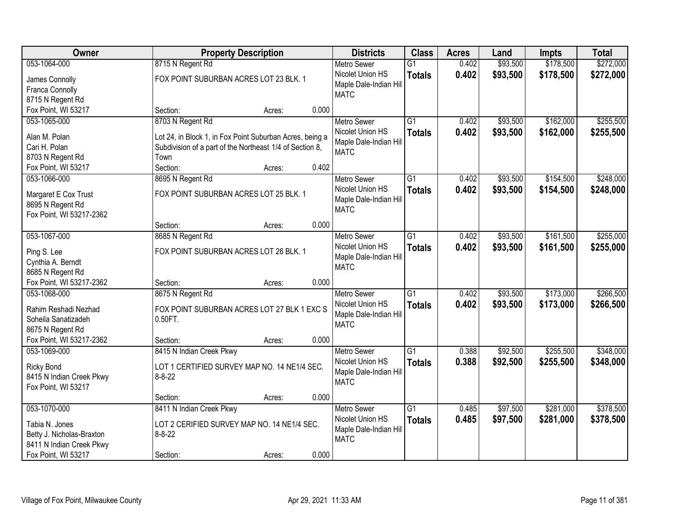| <b>Owner</b>                                          |                                                                                                                      | <b>Property Description</b> |       | <b>Districts</b>                      | <b>Class</b>    | <b>Acres</b> | Land     | <b>Impts</b> | <b>Total</b> |
|-------------------------------------------------------|----------------------------------------------------------------------------------------------------------------------|-----------------------------|-------|---------------------------------------|-----------------|--------------|----------|--------------|--------------|
| 053-1064-000                                          | 8715 N Regent Rd                                                                                                     |                             |       | <b>Metro Sewer</b>                    | $\overline{G1}$ | 0.402        | \$93,500 | \$178,500    | \$272,000    |
| James Connolly                                        | FOX POINT SUBURBAN ACRES LOT 23 BLK. 1                                                                               |                             |       | Nicolet Union HS                      | <b>Totals</b>   | 0.402        | \$93,500 | \$178,500    | \$272,000    |
| Franca Connolly                                       |                                                                                                                      |                             |       | Maple Dale-Indian Hill                |                 |              |          |              |              |
| 8715 N Regent Rd                                      |                                                                                                                      |                             |       | <b>MATC</b>                           |                 |              |          |              |              |
| Fox Point, WI 53217                                   | Section:                                                                                                             | Acres:                      | 0.000 |                                       |                 |              |          |              |              |
| 053-1065-000                                          | 8703 N Regent Rd                                                                                                     |                             |       | <b>Metro Sewer</b>                    | $\overline{G1}$ | 0.402        | \$93,500 | \$162,000    | \$255,500    |
| Alan M. Polan                                         |                                                                                                                      |                             |       | Nicolet Union HS                      | <b>Totals</b>   | 0.402        | \$93,500 | \$162,000    | \$255,500    |
| Cari H. Polan                                         | Lot 24, in Block 1, in Fox Point Suburban Acres, being a<br>Subdivision of a part of the Northeast 1/4 of Section 8, |                             |       | Maple Dale-Indian Hill                |                 |              |          |              |              |
| 8703 N Regent Rd                                      | Town                                                                                                                 |                             |       | <b>MATC</b>                           |                 |              |          |              |              |
| Fox Point, WI 53217                                   | Section:                                                                                                             | Acres:                      | 0.402 |                                       |                 |              |          |              |              |
| 053-1066-000                                          | 8695 N Regent Rd                                                                                                     |                             |       | <b>Metro Sewer</b>                    | $\overline{G1}$ | 0.402        | \$93,500 | \$154,500    | \$248,000    |
|                                                       |                                                                                                                      |                             |       | Nicolet Union HS                      | <b>Totals</b>   | 0.402        | \$93,500 | \$154,500    | \$248,000    |
| Margaret E Cox Trust                                  | FOX POINT SUBURBAN ACRES LOT 25 BLK. 1                                                                               |                             |       | Maple Dale-Indian Hill                |                 |              |          |              |              |
| 8695 N Regent Rd                                      |                                                                                                                      |                             |       | <b>MATC</b>                           |                 |              |          |              |              |
| Fox Point, WI 53217-2362                              |                                                                                                                      |                             |       |                                       |                 |              |          |              |              |
|                                                       | Section:                                                                                                             | Acres:                      | 0.000 |                                       |                 |              |          |              |              |
| 053-1067-000                                          | 8685 N Regent Rd                                                                                                     |                             |       | <b>Metro Sewer</b>                    | G1              | 0.402        | \$93,500 | \$161,500    | \$255,000    |
| Ping S. Lee                                           | FOX POINT SUBURBAN ACRES LOT 26 BLK. 1                                                                               |                             |       | Nicolet Union HS                      | <b>Totals</b>   | 0.402        | \$93,500 | \$161,500    | \$255,000    |
| Cynthia A. Berndt                                     |                                                                                                                      |                             |       | Maple Dale-Indian Hill<br><b>MATC</b> |                 |              |          |              |              |
| 8685 N Regent Rd                                      |                                                                                                                      |                             |       |                                       |                 |              |          |              |              |
| Fox Point, WI 53217-2362                              | Section:                                                                                                             | Acres:                      | 0.000 |                                       |                 |              |          |              |              |
| 053-1068-000                                          | 8675 N Regent Rd                                                                                                     |                             |       | <b>Metro Sewer</b>                    | $\overline{G1}$ | 0.402        | \$93,500 | \$173,000    | \$266,500    |
| Rahim Reshadi Nezhad                                  | FOX POINT SUBURBAN ACRES LOT 27 BLK 1 EXC S                                                                          |                             |       | Nicolet Union HS                      | <b>Totals</b>   | 0.402        | \$93,500 | \$173,000    | \$266,500    |
| Soheila Sanatizadeh                                   | 0.50FT.                                                                                                              |                             |       | Maple Dale-Indian Hill                |                 |              |          |              |              |
| 8675 N Regent Rd                                      |                                                                                                                      |                             |       | <b>MATC</b>                           |                 |              |          |              |              |
| Fox Point, WI 53217-2362                              | Section:                                                                                                             | Acres:                      | 0.000 |                                       |                 |              |          |              |              |
| 053-1069-000                                          | 8415 N Indian Creek Pkwy                                                                                             |                             |       | <b>Metro Sewer</b>                    | G1              | 0.388        | \$92,500 | \$255,500    | \$348,000    |
| <b>Ricky Bond</b>                                     | LOT 1 CERTIFIED SURVEY MAP NO. 14 NE1/4 SEC.                                                                         |                             |       | Nicolet Union HS                      | <b>Totals</b>   | 0.388        | \$92,500 | \$255,500    | \$348,000    |
| 8415 N Indian Creek Pkwy                              | $8 - 8 - 22$                                                                                                         |                             |       | Maple Dale-Indian Hill                |                 |              |          |              |              |
| Fox Point, WI 53217                                   |                                                                                                                      |                             |       | <b>MATC</b>                           |                 |              |          |              |              |
|                                                       | Section:                                                                                                             | Acres:                      | 0.000 |                                       |                 |              |          |              |              |
| 053-1070-000                                          | 8411 N Indian Creek Pkwy                                                                                             |                             |       | <b>Metro Sewer</b>                    | $\overline{G1}$ | 0.485        | \$97,500 | \$281,000    | \$378,500    |
|                                                       |                                                                                                                      |                             |       | Nicolet Union HS                      | <b>Totals</b>   | 0.485        | \$97,500 | \$281,000    | \$378,500    |
| Tabia N. Jones                                        | LOT 2 CERIFIED SURVEY MAP NO. 14 NE1/4 SEC.                                                                          |                             |       | Maple Dale-Indian Hill                |                 |              |          |              |              |
| Betty J. Nicholas-Braxton<br>8411 N Indian Creek Pkwy | $8 - 8 - 22$                                                                                                         |                             |       | <b>MATC</b>                           |                 |              |          |              |              |
| Fox Point, WI 53217                                   | Section:                                                                                                             | Acres:                      | 0.000 |                                       |                 |              |          |              |              |
|                                                       |                                                                                                                      |                             |       |                                       |                 |              |          |              |              |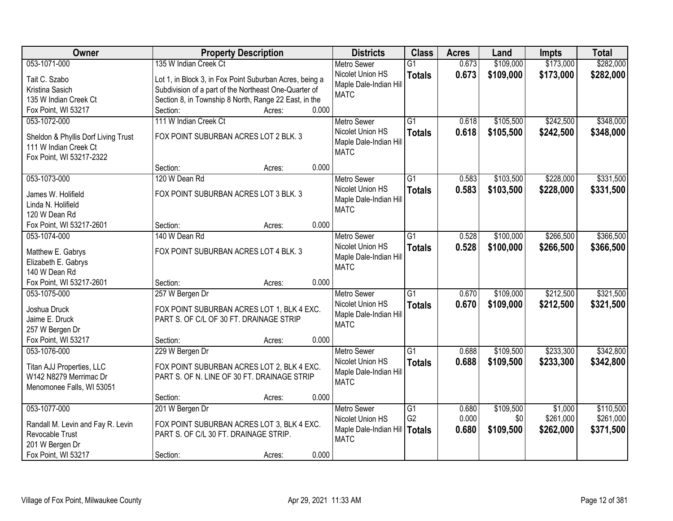| Owner                               |                                                         | <b>Property Description</b> |       | <b>Districts</b>                           | <b>Class</b>    | <b>Acres</b> | Land      | <b>Impts</b> | <b>Total</b> |
|-------------------------------------|---------------------------------------------------------|-----------------------------|-------|--------------------------------------------|-----------------|--------------|-----------|--------------|--------------|
| 053-1071-000                        | 135 W Indian Creek Ct                                   |                             |       | <b>Metro Sewer</b>                         | $\overline{G1}$ | 0.673        | \$109,000 | \$173,000    | \$282,000    |
| Tait C. Szabo                       | Lot 1, in Block 3, in Fox Point Suburban Acres, being a |                             |       | Nicolet Union HS                           | <b>Totals</b>   | 0.673        | \$109,000 | \$173,000    | \$282,000    |
| Kristina Sasich                     | Subdivision of a part of the Northeast One-Quarter of   |                             |       | Maple Dale-Indian Hill                     |                 |              |           |              |              |
| 135 W Indian Creek Ct               | Section 8, in Township 8 North, Range 22 East, in the   |                             |       | <b>MATC</b>                                |                 |              |           |              |              |
| Fox Point, WI 53217                 | Section:                                                | Acres:                      | 0.000 |                                            |                 |              |           |              |              |
| 053-1072-000                        | 111 W Indian Creek Ct                                   |                             |       | <b>Metro Sewer</b>                         | $\overline{G1}$ | 0.618        | \$105,500 | \$242,500    | \$348,000    |
|                                     |                                                         |                             |       | Nicolet Union HS                           | <b>Totals</b>   | 0.618        | \$105,500 | \$242,500    | \$348,000    |
| Sheldon & Phyllis Dorf Living Trust | FOX POINT SUBURBAN ACRES LOT 2 BLK. 3                   |                             |       | Maple Dale-Indian Hill                     |                 |              |           |              |              |
| 111 W Indian Creek Ct               |                                                         |                             |       | <b>MATC</b>                                |                 |              |           |              |              |
| Fox Point, WI 53217-2322            |                                                         |                             | 0.000 |                                            |                 |              |           |              |              |
|                                     | Section:                                                | Acres:                      |       |                                            |                 |              |           |              |              |
| 053-1073-000                        | 120 W Dean Rd                                           |                             |       | Metro Sewer                                | $\overline{G1}$ | 0.583        | \$103,500 | \$228,000    | \$331,500    |
| James W. Holifield                  | FOX POINT SUBURBAN ACRES LOT 3 BLK. 3                   |                             |       | Nicolet Union HS<br>Maple Dale-Indian Hill | <b>Totals</b>   | 0.583        | \$103,500 | \$228,000    | \$331,500    |
| Linda N. Holifield                  |                                                         |                             |       | <b>MATC</b>                                |                 |              |           |              |              |
| 120 W Dean Rd                       |                                                         |                             |       |                                            |                 |              |           |              |              |
| Fox Point, WI 53217-2601            | Section:                                                | Acres:                      | 0.000 |                                            |                 |              |           |              |              |
| 053-1074-000                        | 140 W Dean Rd                                           |                             |       | <b>Metro Sewer</b>                         | G1              | 0.528        | \$100,000 | \$266,500    | \$366,500    |
| Matthew E. Gabrys                   | FOX POINT SUBURBAN ACRES LOT 4 BLK. 3                   |                             |       | Nicolet Union HS                           | <b>Totals</b>   | 0.528        | \$100,000 | \$266,500    | \$366,500    |
| Elizabeth E. Gabrys                 |                                                         |                             |       | Maple Dale-Indian Hill                     |                 |              |           |              |              |
| 140 W Dean Rd                       |                                                         |                             |       | <b>MATC</b>                                |                 |              |           |              |              |
| Fox Point, WI 53217-2601            | Section:                                                | Acres:                      | 0.000 |                                            |                 |              |           |              |              |
| 053-1075-000                        | 257 W Bergen Dr                                         |                             |       | <b>Metro Sewer</b>                         | $\overline{G1}$ | 0.670        | \$109,000 | \$212,500    | \$321,500    |
|                                     |                                                         |                             |       | Nicolet Union HS                           | <b>Totals</b>   | 0.670        | \$109,000 | \$212,500    | \$321,500    |
| Joshua Druck                        | FOX POINT SUBURBAN ACRES LOT 1, BLK 4 EXC.              |                             |       | Maple Dale-Indian Hill                     |                 |              |           |              |              |
| Jaime E. Druck                      | PART S. OF C/L OF 30 FT. DRAINAGE STRIP                 |                             |       | <b>MATC</b>                                |                 |              |           |              |              |
| 257 W Bergen Dr                     |                                                         |                             |       |                                            |                 |              |           |              |              |
| Fox Point, WI 53217                 | Section:                                                | Acres:                      | 0.000 |                                            |                 |              |           |              |              |
| 053-1076-000                        | 229 W Bergen Dr                                         |                             |       | <b>Metro Sewer</b>                         | $\overline{G1}$ | 0.688        | \$109,500 | \$233,300    | \$342,800    |
| Titan AJJ Properties, LLC           | FOX POINT SUBURBAN ACRES LOT 2, BLK 4 EXC.              |                             |       | Nicolet Union HS                           | <b>Totals</b>   | 0.688        | \$109,500 | \$233,300    | \$342,800    |
| W142 N8279 Merrimac Dr              | PART S. OF N. LINE OF 30 FT. DRAINAGE STRIP             |                             |       | Maple Dale-Indian Hill<br><b>MATC</b>      |                 |              |           |              |              |
| Menomonee Falls, WI 53051           |                                                         |                             |       |                                            |                 |              |           |              |              |
|                                     | Section:                                                | Acres:                      | 0.000 |                                            |                 |              |           |              |              |
| 053-1077-000                        | 201 W Bergen Dr                                         |                             |       | <b>Metro Sewer</b>                         | $\overline{G1}$ | 0.680        | \$109,500 | \$1,000      | \$110,500    |
| Randall M. Levin and Fay R. Levin   | FOX POINT SUBURBAN ACRES LOT 3, BLK 4 EXC.              |                             |       | Nicolet Union HS                           | G <sub>2</sub>  | 0.000        | \$0       | \$261,000    | \$261,000    |
| Revocable Trust                     | PART S. OF C/L 30 FT. DRAINAGE STRIP.                   |                             |       | Maple Dale-Indian Hill                     | <b>Totals</b>   | 0.680        | \$109,500 | \$262,000    | \$371,500    |
| 201 W Bergen Dr                     |                                                         |                             |       | <b>MATC</b>                                |                 |              |           |              |              |
| Fox Point, WI 53217                 | Section:                                                | Acres:                      | 0.000 |                                            |                 |              |           |              |              |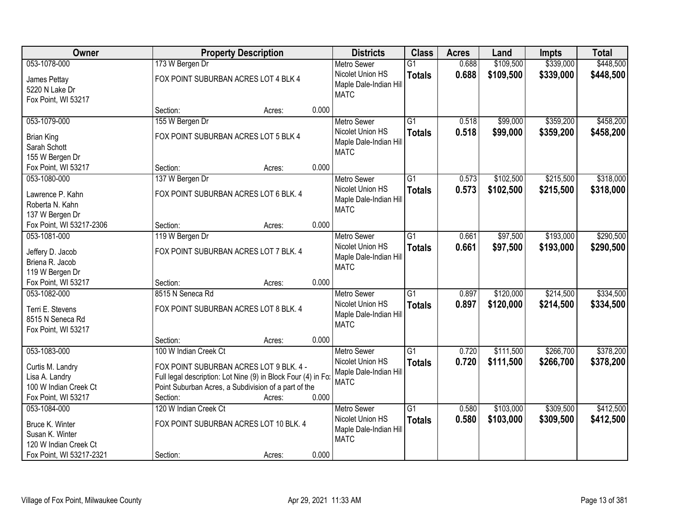| Owner                                                                              |                       | <b>Property Description</b>                                                                                                                                                |       |                                                                                 | <b>Class</b>                     | <b>Acres</b>   | Land                   | <b>Impts</b>           | <b>Total</b>           |
|------------------------------------------------------------------------------------|-----------------------|----------------------------------------------------------------------------------------------------------------------------------------------------------------------------|-------|---------------------------------------------------------------------------------|----------------------------------|----------------|------------------------|------------------------|------------------------|
| 053-1078-000                                                                       | 173 W Bergen Dr       |                                                                                                                                                                            |       | <b>Metro Sewer</b>                                                              | $\overline{G1}$                  | 0.688          | \$109,500              | \$339,000              | \$448,500              |
| James Pettay<br>5220 N Lake Dr<br>Fox Point, WI 53217                              |                       | FOX POINT SUBURBAN ACRES LOT 4 BLK 4                                                                                                                                       |       | Nicolet Union HS<br>Maple Dale-Indian Hill<br><b>MATC</b>                       | <b>Totals</b>                    | 0.688          | \$109,500              | \$339,000              | \$448,500              |
|                                                                                    | Section:              | Acres:                                                                                                                                                                     | 0.000 |                                                                                 |                                  |                |                        |                        |                        |
| 053-1079-000                                                                       | 155 W Bergen Dr       |                                                                                                                                                                            |       | <b>Metro Sewer</b>                                                              | $\overline{G1}$                  | 0.518          | \$99,000               | \$359,200              | \$458,200              |
| <b>Brian King</b><br>Sarah Schott<br>155 W Bergen Dr                               |                       | FOX POINT SUBURBAN ACRES LOT 5 BLK 4                                                                                                                                       |       | Nicolet Union HS<br>Maple Dale-Indian Hill<br><b>MATC</b>                       | <b>Totals</b>                    | 0.518          | \$99,000               | \$359,200              | \$458,200              |
| Fox Point, WI 53217                                                                | Section:              | Acres:                                                                                                                                                                     | 0.000 |                                                                                 |                                  |                |                        |                        |                        |
| 053-1080-000                                                                       | 137 W Bergen Dr       |                                                                                                                                                                            |       | <b>Metro Sewer</b>                                                              | G1                               | 0.573          | \$102,500              | \$215,500              | \$318,000              |
| Lawrence P. Kahn<br>Roberta N. Kahn<br>137 W Bergen Dr                             |                       | FOX POINT SUBURBAN ACRES LOT 6 BLK. 4                                                                                                                                      |       | Nicolet Union HS<br>Maple Dale-Indian Hill<br><b>MATC</b>                       | <b>Totals</b>                    | 0.573          | \$102,500              | \$215,500              | \$318,000              |
| Fox Point, WI 53217-2306                                                           | Section:              | Acres:                                                                                                                                                                     | 0.000 |                                                                                 |                                  |                |                        |                        |                        |
| 053-1081-000                                                                       | 119 W Bergen Dr       |                                                                                                                                                                            |       | <b>Metro Sewer</b>                                                              | G1                               | 0.661          | \$97,500               | \$193,000              | \$290,500              |
| Jeffery D. Jacob<br>Briena R. Jacob<br>119 W Bergen Dr                             |                       | FOX POINT SUBURBAN ACRES LOT 7 BLK. 4                                                                                                                                      |       | Nicolet Union HS<br>Maple Dale-Indian Hill<br><b>MATC</b>                       | <b>Totals</b>                    | 0.661          | \$97,500               | \$193,000              | \$290,500              |
| Fox Point, WI 53217                                                                | Section:              | Acres:                                                                                                                                                                     | 0.000 |                                                                                 |                                  |                |                        |                        |                        |
| 053-1082-000<br>Terri E. Stevens<br>8515 N Seneca Rd<br>Fox Point, WI 53217        | 8515 N Seneca Rd      | FOX POINT SUBURBAN ACRES LOT 8 BLK. 4                                                                                                                                      |       | <b>Metro Sewer</b><br>Nicolet Union HS<br>Maple Dale-Indian Hill<br><b>MATC</b> | $\overline{G1}$<br><b>Totals</b> | 0.897<br>0.897 | \$120,000<br>\$120,000 | \$214,500<br>\$214,500 | \$334,500<br>\$334,500 |
|                                                                                    | Section:              | Acres:                                                                                                                                                                     | 0.000 |                                                                                 |                                  |                |                        |                        |                        |
| 053-1083-000                                                                       | 100 W Indian Creek Ct |                                                                                                                                                                            |       | <b>Metro Sewer</b>                                                              | $\overline{G1}$                  | 0.720          | \$111,500              | \$266,700              | \$378,200              |
| Curtis M. Landry<br>Lisa A. Landry<br>100 W Indian Creek Ct<br>Fox Point, WI 53217 | Section:              | FOX POINT SUBURBAN ACRES LOT 9 BLK. 4 -<br>Full legal description: Lot Nine (9) in Block Four (4) in Fo:<br>Point Suburban Acres, a Subdivision of a part of the<br>Acres: | 0.000 | Nicolet Union HS<br>Maple Dale-Indian Hill<br><b>MATC</b>                       | <b>Totals</b>                    | 0.720          | \$111,500              | \$266,700              | \$378,200              |
| 053-1084-000                                                                       | 120 W Indian Creek Ct |                                                                                                                                                                            |       | <b>Metro Sewer</b>                                                              | $\overline{G1}$                  | 0.580          | \$103,000              | \$309,500              | \$412,500              |
| Bruce K. Winter<br>Susan K. Winter<br>120 W Indian Creek Ct                        |                       | FOX POINT SUBURBAN ACRES LOT 10 BLK. 4                                                                                                                                     |       | Nicolet Union HS<br>Maple Dale-Indian Hill<br><b>MATC</b>                       | <b>Totals</b>                    | 0.580          | \$103,000              | \$309,500              | \$412,500              |
| Fox Point, WI 53217-2321                                                           | Section:              | Acres:                                                                                                                                                                     | 0.000 |                                                                                 |                                  |                |                        |                        |                        |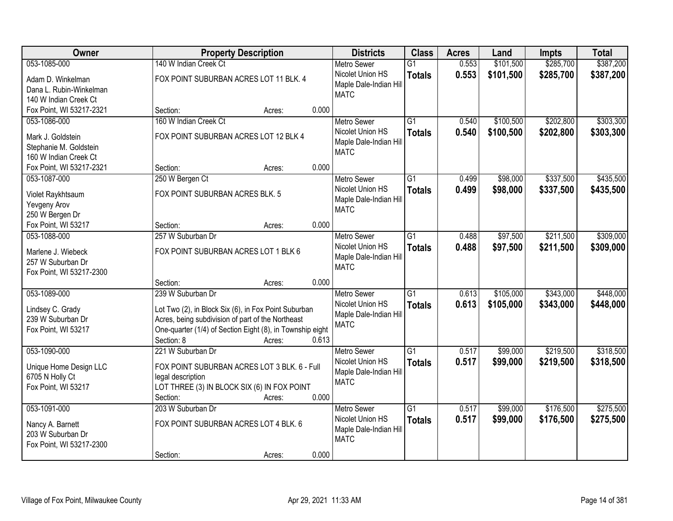| Owner                    |                                                           | <b>Property Description</b> |       |                                       | <b>Class</b>    | <b>Acres</b> | Land      | <b>Impts</b> | <b>Total</b> |
|--------------------------|-----------------------------------------------------------|-----------------------------|-------|---------------------------------------|-----------------|--------------|-----------|--------------|--------------|
| 053-1085-000             | 140 W Indian Creek Ct                                     |                             |       | <b>Metro Sewer</b>                    | $\overline{G1}$ | 0.553        | \$101,500 | \$285,700    | \$387,200    |
| Adam D. Winkelman        | FOX POINT SUBURBAN ACRES LOT 11 BLK. 4                    |                             |       | Nicolet Union HS                      | <b>Totals</b>   | 0.553        | \$101,500 | \$285,700    | \$387,200    |
| Dana L. Rubin-Winkelman  |                                                           |                             |       | Maple Dale-Indian Hill                |                 |              |           |              |              |
| 140 W Indian Creek Ct    |                                                           |                             |       | <b>MATC</b>                           |                 |              |           |              |              |
| Fox Point, WI 53217-2321 | Section:                                                  | Acres:                      | 0.000 |                                       |                 |              |           |              |              |
| 053-1086-000             | 160 W Indian Creek Ct                                     |                             |       | <b>Metro Sewer</b>                    | $\overline{G1}$ | 0.540        | \$100,500 | \$202,800    | \$303,300    |
| Mark J. Goldstein        | FOX POINT SUBURBAN ACRES LOT 12 BLK 4                     |                             |       | Nicolet Union HS                      | <b>Totals</b>   | 0.540        | \$100,500 | \$202,800    | \$303,300    |
| Stephanie M. Goldstein   |                                                           |                             |       | Maple Dale-Indian Hill                |                 |              |           |              |              |
| 160 W Indian Creek Ct    |                                                           |                             |       | <b>MATC</b>                           |                 |              |           |              |              |
| Fox Point, WI 53217-2321 | Section:                                                  | Acres:                      | 0.000 |                                       |                 |              |           |              |              |
| 053-1087-000             | 250 W Bergen Ct                                           |                             |       | <b>Metro Sewer</b>                    | G1              | 0.499        | \$98,000  | \$337,500    | \$435,500    |
|                          |                                                           |                             |       | Nicolet Union HS                      | <b>Totals</b>   | 0.499        | \$98,000  | \$337,500    | \$435,500    |
| Violet Raykhtsaum        | FOX POINT SUBURBAN ACRES BLK. 5                           |                             |       | Maple Dale-Indian Hill                |                 |              |           |              |              |
| Yevgeny Arov             |                                                           |                             |       | <b>MATC</b>                           |                 |              |           |              |              |
| 250 W Bergen Dr          |                                                           |                             |       |                                       |                 |              |           |              |              |
| Fox Point, WI 53217      | Section:                                                  | Acres:                      | 0.000 |                                       |                 |              |           |              |              |
| 053-1088-000             | 257 W Suburban Dr                                         |                             |       | <b>Metro Sewer</b>                    | G1              | 0.488        | \$97,500  | \$211,500    | \$309,000    |
| Marlene J. Wiebeck       | FOX POINT SUBURBAN ACRES LOT 1 BLK 6                      |                             |       | Nicolet Union HS                      | <b>Totals</b>   | 0.488        | \$97,500  | \$211,500    | \$309,000    |
| 257 W Suburban Dr        |                                                           |                             |       | Maple Dale-Indian Hill<br><b>MATC</b> |                 |              |           |              |              |
| Fox Point, WI 53217-2300 |                                                           |                             |       |                                       |                 |              |           |              |              |
|                          | Section:                                                  | Acres:                      | 0.000 |                                       |                 |              |           |              |              |
| 053-1089-000             | 239 W Suburban Dr                                         |                             |       | <b>Metro Sewer</b>                    | $\overline{G1}$ | 0.613        | \$105,000 | \$343,000    | \$448,000    |
| Lindsey C. Grady         | Lot Two (2), in Block Six (6), in Fox Point Suburban      |                             |       | Nicolet Union HS                      | <b>Totals</b>   | 0.613        | \$105,000 | \$343,000    | \$448,000    |
| 239 W Suburban Dr        | Acres, being subdivision of part of the Northeast         |                             |       | Maple Dale-Indian Hill                |                 |              |           |              |              |
| Fox Point, WI 53217      | One-quarter (1/4) of Section Eight (8), in Township eight |                             |       | <b>MATC</b>                           |                 |              |           |              |              |
|                          | Section: 8                                                | Acres:                      | 0.613 |                                       |                 |              |           |              |              |
| 053-1090-000             | 221 W Suburban Dr                                         |                             |       | <b>Metro Sewer</b>                    | $\overline{G1}$ | 0.517        | \$99,000  | \$219,500    | \$318,500    |
|                          |                                                           |                             |       | Nicolet Union HS                      | <b>Totals</b>   | 0.517        | \$99,000  | \$219,500    | \$318,500    |
| Unique Home Design LLC   | FOX POINT SUBURBAN ACRES LOT 3 BLK. 6 - Full              |                             |       | Maple Dale-Indian Hill                |                 |              |           |              |              |
| 6705 N Holly Ct          | legal description                                         |                             |       | <b>MATC</b>                           |                 |              |           |              |              |
| Fox Point, WI 53217      | LOT THREE (3) IN BLOCK SIX (6) IN FOX POINT               |                             | 0.000 |                                       |                 |              |           |              |              |
| 053-1091-000             | Section:<br>203 W Suburban Dr                             | Acres:                      |       | <b>Metro Sewer</b>                    | $\overline{G1}$ | 0.517        | \$99,000  | \$176,500    | \$275,500    |
|                          |                                                           |                             |       | Nicolet Union HS                      |                 |              |           |              |              |
| Nancy A. Barnett         | FOX POINT SUBURBAN ACRES LOT 4 BLK. 6                     |                             |       | Maple Dale-Indian Hill                | <b>Totals</b>   | 0.517        | \$99,000  | \$176,500    | \$275,500    |
| 203 W Suburban Dr        |                                                           |                             |       | <b>MATC</b>                           |                 |              |           |              |              |
| Fox Point, WI 53217-2300 |                                                           |                             |       |                                       |                 |              |           |              |              |
|                          | Section:                                                  | Acres:                      | 0.000 |                                       |                 |              |           |              |              |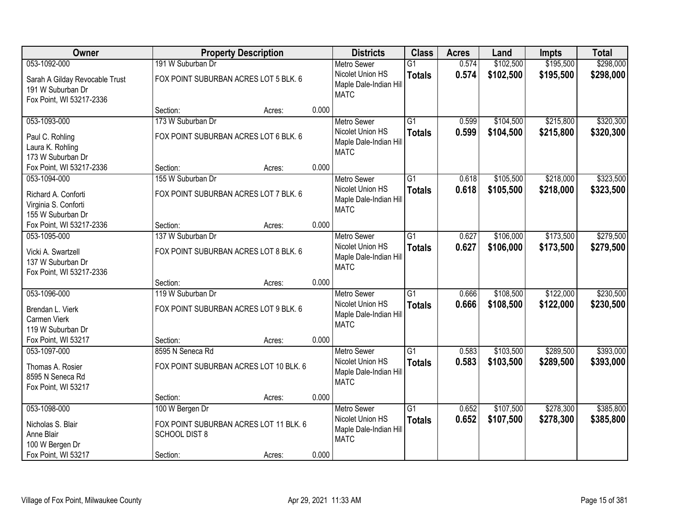| Owner                                                                           |                                                                                   | <b>Property Description</b> |       | <b>Districts</b>                                                                | <b>Class</b>                     | <b>Acres</b>   | Land                   | <b>Impts</b>           | <b>Total</b>           |
|---------------------------------------------------------------------------------|-----------------------------------------------------------------------------------|-----------------------------|-------|---------------------------------------------------------------------------------|----------------------------------|----------------|------------------------|------------------------|------------------------|
| 053-1092-000                                                                    | 191 W Suburban Dr                                                                 |                             |       | <b>Metro Sewer</b>                                                              | $\overline{G1}$                  | 0.574          | \$102,500              | \$195,500              | \$298,000              |
| Sarah A Gilday Revocable Trust<br>191 W Suburban Dr<br>Fox Point, WI 53217-2336 | FOX POINT SUBURBAN ACRES LOT 5 BLK. 6                                             |                             |       | Nicolet Union HS<br>Maple Dale-Indian Hill<br><b>MATC</b>                       | <b>Totals</b>                    | 0.574          | \$102,500              | \$195,500              | \$298,000              |
|                                                                                 | Section:                                                                          | Acres:                      | 0.000 |                                                                                 |                                  |                |                        |                        |                        |
| 053-1093-000                                                                    | 173 W Suburban Dr                                                                 |                             |       | <b>Metro Sewer</b>                                                              | $\overline{G1}$                  | 0.599          | \$104,500              | \$215,800              | \$320,300              |
| Paul C. Rohling<br>Laura K. Rohling<br>173 W Suburban Dr                        | FOX POINT SUBURBAN ACRES LOT 6 BLK. 6                                             |                             |       | Nicolet Union HS<br>Maple Dale-Indian Hill<br><b>MATC</b>                       | <b>Totals</b>                    | 0.599          | \$104,500              | \$215,800              | \$320,300              |
| Fox Point, WI 53217-2336                                                        | Section:                                                                          | Acres:                      | 0.000 |                                                                                 |                                  |                |                        |                        |                        |
| 053-1094-000                                                                    | 155 W Suburban Dr                                                                 |                             |       | <b>Metro Sewer</b>                                                              | $\overline{G1}$                  | 0.618          | \$105,500              | \$218,000              | \$323,500              |
| Richard A. Conforti<br>Virginia S. Conforti<br>155 W Suburban Dr                | FOX POINT SUBURBAN ACRES LOT 7 BLK. 6                                             |                             |       | Nicolet Union HS<br>Maple Dale-Indian Hill<br><b>MATC</b>                       | <b>Totals</b>                    | 0.618          | \$105,500              | \$218,000              | \$323,500              |
| Fox Point, WI 53217-2336                                                        | Section:                                                                          | Acres:                      | 0.000 |                                                                                 |                                  |                |                        |                        |                        |
| 053-1095-000                                                                    | 137 W Suburban Dr                                                                 |                             |       | <b>Metro Sewer</b>                                                              | $\overline{G1}$                  | 0.627          | \$106,000              | \$173,500              | \$279,500              |
| Vicki A. Swartzell<br>137 W Suburban Dr<br>Fox Point, WI 53217-2336             | FOX POINT SUBURBAN ACRES LOT 8 BLK. 6                                             |                             |       | Nicolet Union HS<br>Maple Dale-Indian Hill<br><b>MATC</b>                       | <b>Totals</b>                    | 0.627          | \$106,000              | \$173,500              | \$279,500              |
|                                                                                 | Section:                                                                          | Acres:                      | 0.000 |                                                                                 |                                  |                |                        |                        |                        |
| 053-1096-000<br>Brendan L. Vierk<br>Carmen Vierk<br>119 W Suburban Dr           | 119 W Suburban Dr<br>FOX POINT SUBURBAN ACRES LOT 9 BLK. 6                        |                             |       | <b>Metro Sewer</b><br>Nicolet Union HS<br>Maple Dale-Indian Hill<br><b>MATC</b> | $\overline{G1}$<br><b>Totals</b> | 0.666<br>0.666 | \$108,500<br>\$108,500 | \$122,000<br>\$122,000 | \$230,500<br>\$230,500 |
| Fox Point, WI 53217                                                             | Section:                                                                          | Acres:                      | 0.000 |                                                                                 |                                  |                |                        |                        |                        |
| 053-1097-000                                                                    | 8595 N Seneca Rd                                                                  |                             |       | Metro Sewer                                                                     | $\overline{G1}$                  | 0.583          | \$103,500              | \$289,500              | \$393,000              |
| Thomas A. Rosier<br>8595 N Seneca Rd<br>Fox Point, WI 53217                     | FOX POINT SUBURBAN ACRES LOT 10 BLK. 6                                            |                             |       | Nicolet Union HS<br>Maple Dale-Indian Hill<br><b>MATC</b>                       | <b>Totals</b>                    | 0.583          | \$103,500              | \$289,500              | \$393,000              |
|                                                                                 | Section:                                                                          | Acres:                      | 0.000 |                                                                                 |                                  |                |                        |                        |                        |
| 053-1098-000<br>Nicholas S. Blair<br>Anne Blair<br>100 W Bergen Dr              | 100 W Bergen Dr<br>FOX POINT SUBURBAN ACRES LOT 11 BLK. 6<br><b>SCHOOL DIST 8</b> |                             | 0.000 | <b>Metro Sewer</b><br>Nicolet Union HS<br>Maple Dale-Indian Hill<br><b>MATC</b> | $\overline{G1}$<br><b>Totals</b> | 0.652<br>0.652 | \$107,500<br>\$107,500 | \$278,300<br>\$278,300 | \$385,800<br>\$385,800 |
| Fox Point, WI 53217                                                             | Section:                                                                          | Acres:                      |       |                                                                                 |                                  |                |                        |                        |                        |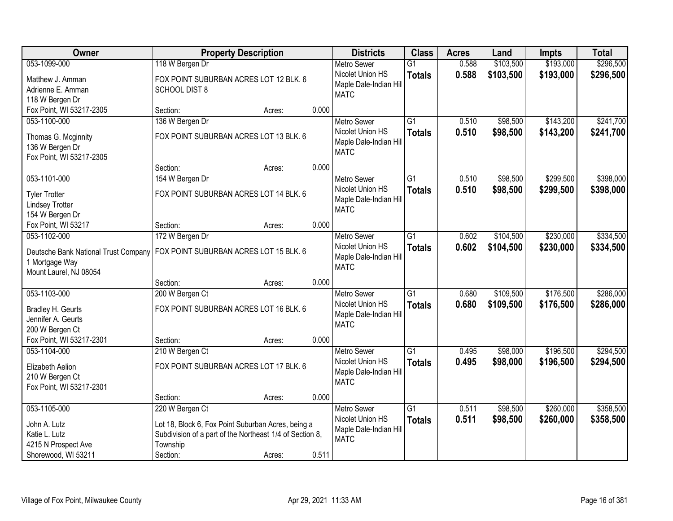| Owner                                                                                           | <b>Property Description</b>                              |        |       | <b>Districts</b>       | <b>Class</b>    | <b>Acres</b> | Land      | Impts     | <b>Total</b> |
|-------------------------------------------------------------------------------------------------|----------------------------------------------------------|--------|-------|------------------------|-----------------|--------------|-----------|-----------|--------------|
| 053-1099-000                                                                                    | 118 W Bergen Dr                                          |        |       | <b>Metro Sewer</b>     | $\overline{G1}$ | 0.588        | \$103,500 | \$193,000 | \$296,500    |
| Matthew J. Amman                                                                                | FOX POINT SUBURBAN ACRES LOT 12 BLK. 6                   |        |       | Nicolet Union HS       | <b>Totals</b>   | 0.588        | \$103,500 | \$193,000 | \$296,500    |
| Adrienne E. Amman                                                                               | <b>SCHOOL DIST 8</b>                                     |        |       | Maple Dale-Indian Hill |                 |              |           |           |              |
| 118 W Bergen Dr                                                                                 |                                                          |        |       | <b>MATC</b>            |                 |              |           |           |              |
| Fox Point, WI 53217-2305                                                                        | Section:                                                 | Acres: | 0.000 |                        |                 |              |           |           |              |
| 053-1100-000                                                                                    | 136 W Bergen Dr                                          |        |       | <b>Metro Sewer</b>     | $\overline{G1}$ | 0.510        | \$98,500  | \$143,200 | \$241,700    |
| Thomas G. Mcginnity                                                                             | FOX POINT SUBURBAN ACRES LOT 13 BLK. 6                   |        |       | Nicolet Union HS       | <b>Totals</b>   | 0.510        | \$98,500  | \$143,200 | \$241,700    |
| 136 W Bergen Dr                                                                                 |                                                          |        |       | Maple Dale-Indian Hill |                 |              |           |           |              |
| Fox Point, WI 53217-2305                                                                        |                                                          |        |       | <b>MATC</b>            |                 |              |           |           |              |
|                                                                                                 | Section:                                                 | Acres: | 0.000 |                        |                 |              |           |           |              |
| 053-1101-000                                                                                    | 154 W Bergen Dr                                          |        |       | <b>Metro Sewer</b>     | $\overline{G1}$ | 0.510        | \$98,500  | \$299,500 | \$398,000    |
| <b>Tyler Trotter</b>                                                                            | FOX POINT SUBURBAN ACRES LOT 14 BLK. 6                   |        |       | Nicolet Union HS       | <b>Totals</b>   | 0.510        | \$98,500  | \$299,500 | \$398,000    |
| <b>Lindsey Trotter</b>                                                                          |                                                          |        |       | Maple Dale-Indian Hill |                 |              |           |           |              |
| 154 W Bergen Dr                                                                                 |                                                          |        |       | <b>MATC</b>            |                 |              |           |           |              |
| Fox Point, WI 53217                                                                             | Section:                                                 | Acres: | 0.000 |                        |                 |              |           |           |              |
| 053-1102-000                                                                                    | 172 W Bergen Dr                                          |        |       | <b>Metro Sewer</b>     | G1              | 0.602        | \$104,500 | \$230,000 | \$334,500    |
|                                                                                                 |                                                          |        |       | Nicolet Union HS       | <b>Totals</b>   | 0.602        | \$104,500 | \$230,000 | \$334,500    |
| Deutsche Bank National Trust Company   FOX POINT SUBURBAN ACRES LOT 15 BLK. 6<br>1 Mortgage Way |                                                          |        |       | Maple Dale-Indian Hill |                 |              |           |           |              |
| Mount Laurel, NJ 08054                                                                          |                                                          |        |       | <b>MATC</b>            |                 |              |           |           |              |
|                                                                                                 | Section:                                                 | Acres: | 0.000 |                        |                 |              |           |           |              |
| 053-1103-000                                                                                    | 200 W Bergen Ct                                          |        |       | <b>Metro Sewer</b>     | $\overline{G1}$ | 0.680        | \$109,500 | \$176,500 | \$286,000    |
|                                                                                                 |                                                          |        |       | Nicolet Union HS       | <b>Totals</b>   | 0.680        | \$109,500 | \$176,500 | \$286,000    |
| Bradley H. Geurts                                                                               | FOX POINT SUBURBAN ACRES LOT 16 BLK. 6                   |        |       | Maple Dale-Indian Hill |                 |              |           |           |              |
| Jennifer A. Geurts<br>200 W Bergen Ct                                                           |                                                          |        |       | <b>MATC</b>            |                 |              |           |           |              |
| Fox Point, WI 53217-2301                                                                        | Section:                                                 | Acres: | 0.000 |                        |                 |              |           |           |              |
| 053-1104-000                                                                                    | 210 W Bergen Ct                                          |        |       | <b>Metro Sewer</b>     | $\overline{G1}$ | 0.495        | \$98,000  | \$196,500 | \$294,500    |
|                                                                                                 |                                                          |        |       | Nicolet Union HS       | <b>Totals</b>   | 0.495        | \$98,000  | \$196,500 | \$294,500    |
| Elizabeth Aelion                                                                                | FOX POINT SUBURBAN ACRES LOT 17 BLK. 6                   |        |       | Maple Dale-Indian Hill |                 |              |           |           |              |
| 210 W Bergen Ct                                                                                 |                                                          |        |       | <b>MATC</b>            |                 |              |           |           |              |
| Fox Point, WI 53217-2301                                                                        |                                                          |        | 0.000 |                        |                 |              |           |           |              |
| 053-1105-000                                                                                    | Section:<br>220 W Bergen Ct                              | Acres: |       | <b>Metro Sewer</b>     | $\overline{G1}$ | 0.511        | \$98,500  | \$260,000 | \$358,500    |
|                                                                                                 |                                                          |        |       | Nicolet Union HS       | <b>Totals</b>   | 0.511        | \$98,500  | \$260,000 | \$358,500    |
| John A. Lutz                                                                                    | Lot 18, Block 6, Fox Point Suburban Acres, being a       |        |       | Maple Dale-Indian Hill |                 |              |           |           |              |
| Katie L. Lutz                                                                                   | Subdivision of a part of the Northeast 1/4 of Section 8, |        |       | <b>MATC</b>            |                 |              |           |           |              |
| 4215 N Prospect Ave                                                                             | Township                                                 |        |       |                        |                 |              |           |           |              |
| Shorewood, WI 53211                                                                             | Section:                                                 | Acres: | 0.511 |                        |                 |              |           |           |              |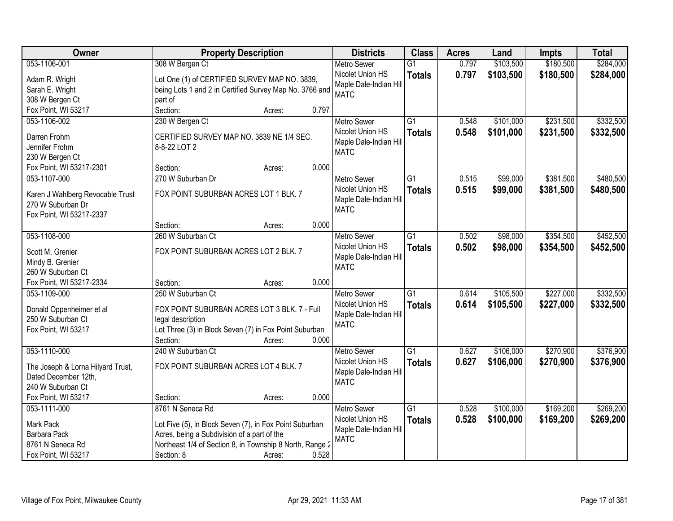| Owner                             | <b>Property Description</b>                              | <b>Districts</b>       | <b>Class</b>    | <b>Acres</b> | Land      | <b>Impts</b> | <b>Total</b> |
|-----------------------------------|----------------------------------------------------------|------------------------|-----------------|--------------|-----------|--------------|--------------|
| 053-1106-001                      | 308 W Bergen Ct                                          | <b>Metro Sewer</b>     | $\overline{G1}$ | 0.797        | \$103,500 | \$180,500    | \$284,000    |
| Adam R. Wright                    | Lot One (1) of CERTIFIED SURVEY MAP NO. 3839,            | Nicolet Union HS       | <b>Totals</b>   | 0.797        | \$103,500 | \$180,500    | \$284,000    |
| Sarah E. Wright                   | being Lots 1 and 2 in Certified Survey Map No. 3766 and  | Maple Dale-Indian Hill |                 |              |           |              |              |
| 308 W Bergen Ct                   | part of                                                  | <b>MATC</b>            |                 |              |           |              |              |
| Fox Point, WI 53217               | 0.797<br>Section:<br>Acres:                              |                        |                 |              |           |              |              |
| 053-1106-002                      | 230 W Bergen Ct                                          | <b>Metro Sewer</b>     | $\overline{G1}$ | 0.548        | \$101,000 | \$231,500    | \$332,500    |
|                                   |                                                          | Nicolet Union HS       | <b>Totals</b>   | 0.548        | \$101,000 | \$231,500    | \$332,500    |
| Darren Frohm                      | CERTIFIED SURVEY MAP NO. 3839 NE 1/4 SEC.                | Maple Dale-Indian Hill |                 |              |           |              |              |
| Jennifer Frohm                    | 8-8-22 LOT 2                                             | <b>MATC</b>            |                 |              |           |              |              |
| 230 W Bergen Ct                   |                                                          |                        |                 |              |           |              |              |
| Fox Point, WI 53217-2301          | 0.000<br>Section:<br>Acres:                              |                        |                 |              |           |              |              |
| 053-1107-000                      | 270 W Suburban Dr                                        | <b>Metro Sewer</b>     | G1              | 0.515        | \$99,000  | \$381,500    | \$480,500    |
| Karen J Wahlberg Revocable Trust  | FOX POINT SUBURBAN ACRES LOT 1 BLK. 7                    | Nicolet Union HS       | <b>Totals</b>   | 0.515        | \$99,000  | \$381,500    | \$480,500    |
| 270 W Suburban Dr                 |                                                          | Maple Dale-Indian Hill |                 |              |           |              |              |
| Fox Point, WI 53217-2337          |                                                          | <b>MATC</b>            |                 |              |           |              |              |
|                                   | 0.000<br>Section:<br>Acres:                              |                        |                 |              |           |              |              |
| 053-1108-000                      | 260 W Suburban Ct                                        | <b>Metro Sewer</b>     | $\overline{G1}$ | 0.502        | \$98,000  | \$354,500    | \$452,500    |
|                                   |                                                          | Nicolet Union HS       | <b>Totals</b>   | 0.502        | \$98,000  | \$354,500    | \$452,500    |
| Scott M. Grenier                  | FOX POINT SUBURBAN ACRES LOT 2 BLK. 7                    | Maple Dale-Indian Hill |                 |              |           |              |              |
| Mindy B. Grenier                  |                                                          | <b>MATC</b>            |                 |              |           |              |              |
| 260 W Suburban Ct                 |                                                          |                        |                 |              |           |              |              |
| Fox Point, WI 53217-2334          | 0.000<br>Section:<br>Acres:                              |                        |                 |              |           |              |              |
| 053-1109-000                      | 250 W Suburban Ct                                        | <b>Metro Sewer</b>     | $\overline{G1}$ | 0.614        | \$105,500 | \$227,000    | \$332,500    |
| Donald Oppenheimer et al          | FOX POINT SUBURBAN ACRES LOT 3 BLK. 7 - Full             | Nicolet Union HS       | <b>Totals</b>   | 0.614        | \$105,500 | \$227,000    | \$332,500    |
| 250 W Suburban Ct                 | legal description                                        | Maple Dale-Indian Hill |                 |              |           |              |              |
| Fox Point, WI 53217               | Lot Three (3) in Block Seven (7) in Fox Point Suburban   | <b>MATC</b>            |                 |              |           |              |              |
|                                   | 0.000<br>Section:<br>Acres:                              |                        |                 |              |           |              |              |
| 053-1110-000                      | 240 W Suburban Ct                                        | Metro Sewer            | $\overline{G1}$ | 0.627        | \$106,000 | \$270,900    | \$376,900    |
|                                   |                                                          | Nicolet Union HS       | <b>Totals</b>   | 0.627        | \$106,000 | \$270,900    | \$376,900    |
| The Joseph & Lorna Hilyard Trust, | FOX POINT SUBURBAN ACRES LOT 4 BLK. 7                    | Maple Dale-Indian Hill |                 |              |           |              |              |
| Dated December 12th,              |                                                          | <b>MATC</b>            |                 |              |           |              |              |
| 240 W Suburban Ct                 |                                                          |                        |                 |              |           |              |              |
| Fox Point, WI 53217               | 0.000<br>Section:<br>Acres:                              |                        |                 |              |           |              |              |
| 053-1111-000                      | 8761 N Seneca Rd                                         | <b>Metro Sewer</b>     | $\overline{G1}$ | 0.528        | \$100,000 | \$169,200    | \$269,200    |
| Mark Pack                         | Lot Five (5), in Block Seven (7), in Fox Point Suburban  | Nicolet Union HS       | <b>Totals</b>   | 0.528        | \$100,000 | \$169,200    | \$269,200    |
| Barbara Pack                      | Acres, being a Subdivision of a part of the              | Maple Dale-Indian Hil  |                 |              |           |              |              |
| 8761 N Seneca Rd                  | Northeast 1/4 of Section 8, in Township 8 North, Range 2 | <b>MATC</b>            |                 |              |           |              |              |
| Fox Point, WI 53217               | 0.528<br>Section: 8<br>Acres:                            |                        |                 |              |           |              |              |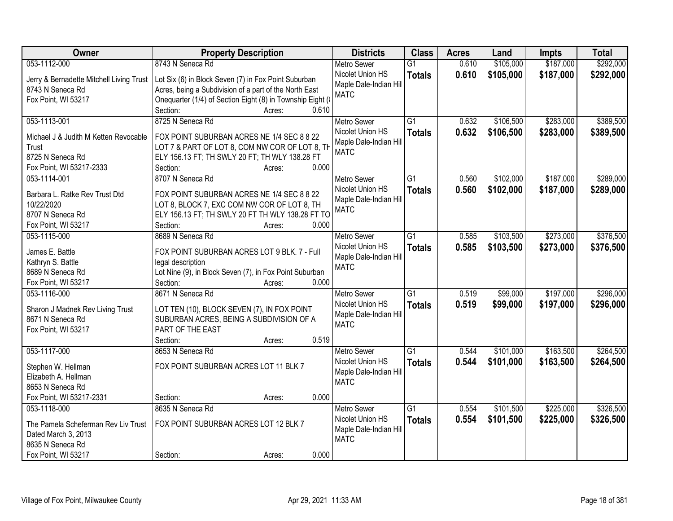| Owner                                    | <b>Property Description</b>                                 |       | <b>Districts</b>       | <b>Class</b>    | <b>Acres</b> | Land      | <b>Impts</b> | <b>Total</b> |
|------------------------------------------|-------------------------------------------------------------|-------|------------------------|-----------------|--------------|-----------|--------------|--------------|
| 053-1112-000                             | 8743 N Seneca Rd                                            |       | <b>Metro Sewer</b>     | $\overline{G1}$ | 0.610        | \$105,000 | \$187,000    | \$292,000    |
| Jerry & Bernadette Mitchell Living Trust | Lot Six (6) in Block Seven (7) in Fox Point Suburban        |       | Nicolet Union HS       | <b>Totals</b>   | 0.610        | \$105,000 | \$187,000    | \$292,000    |
| 8743 N Seneca Rd                         | Acres, being a Subdivision of a part of the North East      |       | Maple Dale-Indian Hill |                 |              |           |              |              |
| Fox Point, WI 53217                      | Onequarter (1/4) of Section Eight (8) in Township Eight (8) |       | <b>MATC</b>            |                 |              |           |              |              |
|                                          | Section:<br>Acres:                                          | 0.610 |                        |                 |              |           |              |              |
| 053-1113-001                             | 8725 N Seneca Rd                                            |       | <b>Metro Sewer</b>     | $\overline{G1}$ | 0.632        | \$106,500 | \$283,000    | \$389,500    |
|                                          |                                                             |       | Nicolet Union HS       | <b>Totals</b>   | 0.632        | \$106,500 | \$283,000    | \$389,500    |
| Michael J & Judith M Ketten Revocable    | FOX POINT SUBURBAN ACRES NE 1/4 SEC 8 8 22                  |       | Maple Dale-Indian Hill |                 |              |           |              |              |
| Trust                                    | LOT 7 & PART OF LOT 8, COM NW COR OF LOT 8, TH              |       | <b>MATC</b>            |                 |              |           |              |              |
| 8725 N Seneca Rd                         | ELY 156.13 FT; TH SWLY 20 FT; TH WLY 138.28 FT              |       |                        |                 |              |           |              |              |
| Fox Point, WI 53217-2333                 | Section:<br>Acres:                                          | 0.000 |                        |                 |              |           |              |              |
| 053-1114-001                             | 8707 N Seneca Rd                                            |       | <b>Metro Sewer</b>     | G1              | 0.560        | \$102,000 | \$187,000    | \$289,000    |
| Barbara L. Ratke Rev Trust Dtd           | FOX POINT SUBURBAN ACRES NE 1/4 SEC 8 8 22                  |       | Nicolet Union HS       | <b>Totals</b>   | 0.560        | \$102,000 | \$187,000    | \$289,000    |
| 10/22/2020                               | LOT 8, BLOCK 7, EXC COM NW COR OF LOT 8, TH                 |       | Maple Dale-Indian Hill |                 |              |           |              |              |
| 8707 N Seneca Rd                         | ELY 156.13 FT; TH SWLY 20 FT TH WLY 138.28 FT TO            |       | <b>MATC</b>            |                 |              |           |              |              |
| Fox Point, WI 53217                      | Section:<br>Acres:                                          | 0.000 |                        |                 |              |           |              |              |
| 053-1115-000                             | 8689 N Seneca Rd                                            |       | <b>Metro Sewer</b>     | $\overline{G1}$ | 0.585        | \$103,500 | \$273,000    | \$376,500    |
|                                          |                                                             |       | Nicolet Union HS       | <b>Totals</b>   | 0.585        | \$103,500 | \$273,000    | \$376,500    |
| James E. Battle                          | FOX POINT SUBURBAN ACRES LOT 9 BLK. 7 - Full                |       | Maple Dale-Indian Hill |                 |              |           |              |              |
| Kathryn S. Battle                        | legal description                                           |       | <b>MATC</b>            |                 |              |           |              |              |
| 8689 N Seneca Rd                         | Lot Nine (9), in Block Seven (7), in Fox Point Suburban     |       |                        |                 |              |           |              |              |
| Fox Point, WI 53217                      | Section:<br>Acres:                                          | 0.000 |                        |                 |              |           |              |              |
| 053-1116-000                             | 8671 N Seneca Rd                                            |       | Metro Sewer            | $\overline{G1}$ | 0.519        | \$99,000  | \$197,000    | \$296,000    |
| Sharon J Madnek Rev Living Trust         | LOT TEN (10), BLOCK SEVEN (7), IN FOX POINT                 |       | Nicolet Union HS       | <b>Totals</b>   | 0.519        | \$99,000  | \$197,000    | \$296,000    |
| 8671 N Seneca Rd                         | SUBURBAN ACRES, BEING A SUBDIVISION OF A                    |       | Maple Dale-Indian Hill |                 |              |           |              |              |
| Fox Point, WI 53217                      | PART OF THE EAST                                            |       | <b>MATC</b>            |                 |              |           |              |              |
|                                          | Section:<br>Acres:                                          | 0.519 |                        |                 |              |           |              |              |
| 053-1117-000                             | 8653 N Seneca Rd                                            |       | Metro Sewer            | $\overline{G1}$ | 0.544        | \$101,000 | \$163,500    | \$264,500    |
| Stephen W. Hellman                       | FOX POINT SUBURBAN ACRES LOT 11 BLK 7                       |       | Nicolet Union HS       | <b>Totals</b>   | 0.544        | \$101,000 | \$163,500    | \$264,500    |
| Elizabeth A. Hellman                     |                                                             |       | Maple Dale-Indian Hill |                 |              |           |              |              |
| 8653 N Seneca Rd                         |                                                             |       | <b>MATC</b>            |                 |              |           |              |              |
| Fox Point, WI 53217-2331                 | Section:<br>Acres:                                          | 0.000 |                        |                 |              |           |              |              |
| 053-1118-000                             | 8635 N Seneca Rd                                            |       | <b>Metro Sewer</b>     | $\overline{G1}$ | 0.554        | \$101,500 | \$225,000    | \$326,500    |
|                                          |                                                             |       | Nicolet Union HS       |                 |              |           |              |              |
| The Pamela Scheferman Rev Liv Trust      | FOX POINT SUBURBAN ACRES LOT 12 BLK 7                       |       | Maple Dale-Indian Hill | <b>Totals</b>   | 0.554        | \$101,500 | \$225,000    | \$326,500    |
| Dated March 3, 2013                      |                                                             |       | <b>MATC</b>            |                 |              |           |              |              |
| 8635 N Seneca Rd                         |                                                             |       |                        |                 |              |           |              |              |
| Fox Point, WI 53217                      | Section:<br>Acres:                                          | 0.000 |                        |                 |              |           |              |              |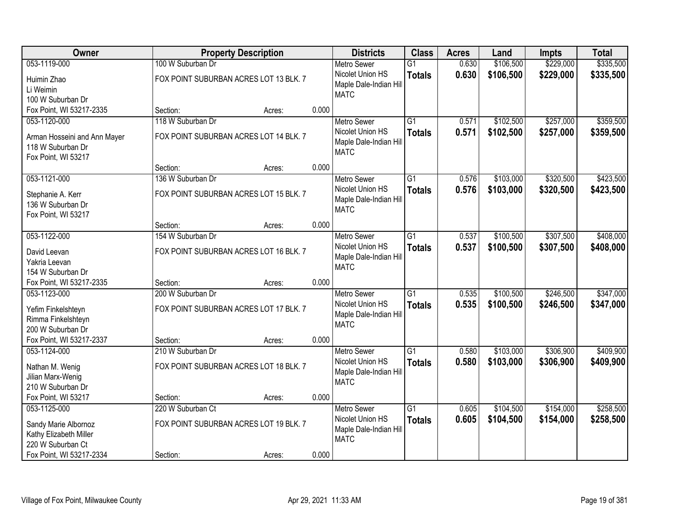| Owner                                          | <b>Property Description</b>            |        |       | <b>Districts</b>       | <b>Class</b>    | <b>Acres</b> | Land      | <b>Impts</b> | <b>Total</b> |
|------------------------------------------------|----------------------------------------|--------|-------|------------------------|-----------------|--------------|-----------|--------------|--------------|
| 053-1119-000                                   | 100 W Suburban Dr                      |        |       | <b>Metro Sewer</b>     | $\overline{G1}$ | 0.630        | \$106,500 | \$229,000    | \$335,500    |
| Huimin Zhao                                    | FOX POINT SUBURBAN ACRES LOT 13 BLK. 7 |        |       | Nicolet Union HS       | <b>Totals</b>   | 0.630        | \$106,500 | \$229,000    | \$335,500    |
| Li Weimin                                      |                                        |        |       | Maple Dale-Indian Hill |                 |              |           |              |              |
| 100 W Suburban Dr                              |                                        |        |       | <b>MATC</b>            |                 |              |           |              |              |
| Fox Point, WI 53217-2335                       | Section:                               | Acres: | 0.000 |                        |                 |              |           |              |              |
| 053-1120-000                                   | 118 W Suburban Dr                      |        |       | <b>Metro Sewer</b>     | $\overline{G1}$ | 0.571        | \$102,500 | \$257,000    | \$359,500    |
| Arman Hosseini and Ann Mayer                   | FOX POINT SUBURBAN ACRES LOT 14 BLK. 7 |        |       | Nicolet Union HS       | <b>Totals</b>   | 0.571        | \$102,500 | \$257,000    | \$359,500    |
| 118 W Suburban Dr                              |                                        |        |       | Maple Dale-Indian Hill |                 |              |           |              |              |
| Fox Point, WI 53217                            |                                        |        |       | <b>MATC</b>            |                 |              |           |              |              |
|                                                | Section:                               | Acres: | 0.000 |                        |                 |              |           |              |              |
| 053-1121-000                                   | 136 W Suburban Dr                      |        |       | <b>Metro Sewer</b>     | G1              | 0.576        | \$103,000 | \$320,500    | \$423,500    |
| Stephanie A. Kerr                              | FOX POINT SUBURBAN ACRES LOT 15 BLK. 7 |        |       | Nicolet Union HS       | <b>Totals</b>   | 0.576        | \$103,000 | \$320,500    | \$423,500    |
| 136 W Suburban Dr                              |                                        |        |       | Maple Dale-Indian Hill |                 |              |           |              |              |
| Fox Point, WI 53217                            |                                        |        |       | <b>MATC</b>            |                 |              |           |              |              |
|                                                | Section:                               | Acres: | 0.000 |                        |                 |              |           |              |              |
| 053-1122-000                                   | 154 W Suburban Dr                      |        |       | <b>Metro Sewer</b>     | G1              | 0.537        | \$100,500 | \$307,500    | \$408,000    |
| David Leevan                                   | FOX POINT SUBURBAN ACRES LOT 16 BLK. 7 |        |       | Nicolet Union HS       | <b>Totals</b>   | 0.537        | \$100,500 | \$307,500    | \$408,000    |
| Yakria Leevan                                  |                                        |        |       | Maple Dale-Indian Hill |                 |              |           |              |              |
| 154 W Suburban Dr                              |                                        |        |       | <b>MATC</b>            |                 |              |           |              |              |
| Fox Point, WI 53217-2335                       | Section:                               | Acres: | 0.000 |                        |                 |              |           |              |              |
| 053-1123-000                                   | 200 W Suburban Dr                      |        |       | <b>Metro Sewer</b>     | $\overline{G1}$ | 0.535        | \$100,500 | \$246,500    | \$347,000    |
| Yefim Finkelshteyn                             | FOX POINT SUBURBAN ACRES LOT 17 BLK. 7 |        |       | Nicolet Union HS       | <b>Totals</b>   | 0.535        | \$100,500 | \$246,500    | \$347,000    |
| Rimma Finkelshteyn                             |                                        |        |       | Maple Dale-Indian Hill |                 |              |           |              |              |
| 200 W Suburban Dr                              |                                        |        |       | <b>MATC</b>            |                 |              |           |              |              |
| Fox Point, WI 53217-2337                       | Section:                               | Acres: | 0.000 |                        |                 |              |           |              |              |
| 053-1124-000                                   | 210 W Suburban Dr                      |        |       | <b>Metro Sewer</b>     | $\overline{G1}$ | 0.580        | \$103,000 | \$306,900    | \$409,900    |
|                                                | FOX POINT SUBURBAN ACRES LOT 18 BLK. 7 |        |       | Nicolet Union HS       | <b>Totals</b>   | 0.580        | \$103,000 | \$306,900    | \$409,900    |
| Nathan M. Wenig<br>Jilian Marx-Wenig           |                                        |        |       | Maple Dale-Indian Hill |                 |              |           |              |              |
| 210 W Suburban Dr                              |                                        |        |       | <b>MATC</b>            |                 |              |           |              |              |
| Fox Point, WI 53217                            | Section:                               | Acres: | 0.000 |                        |                 |              |           |              |              |
| 053-1125-000                                   | 220 W Suburban Ct                      |        |       | <b>Metro Sewer</b>     | $\overline{G1}$ | 0.605        | \$104,500 | \$154,000    | \$258,500    |
|                                                |                                        |        |       | Nicolet Union HS       | <b>Totals</b>   | 0.605        | \$104,500 | \$154,000    | \$258,500    |
| Sandy Marie Albornoz<br>Kathy Elizabeth Miller | FOX POINT SUBURBAN ACRES LOT 19 BLK. 7 |        |       | Maple Dale-Indian Hill |                 |              |           |              |              |
| 220 W Suburban Ct                              |                                        |        |       | <b>MATC</b>            |                 |              |           |              |              |
| Fox Point, WI 53217-2334                       | Section:                               | Acres: | 0.000 |                        |                 |              |           |              |              |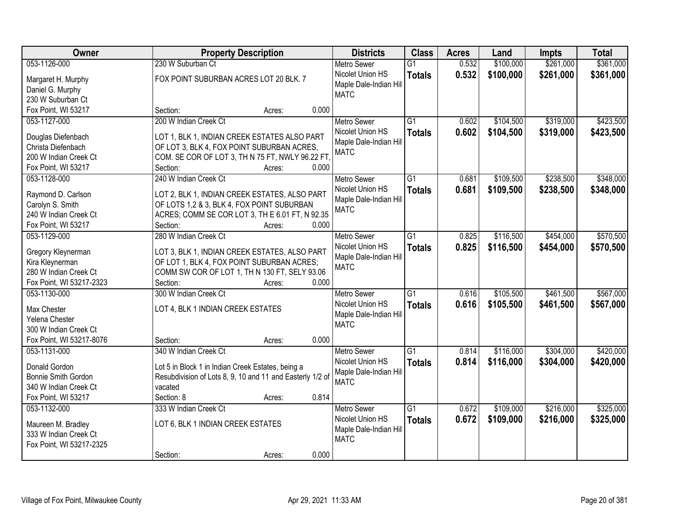| Owner                                       | <b>Property Description</b>                               | <b>Districts</b>                      | <b>Class</b>    | <b>Acres</b> | Land      | <b>Impts</b> | <b>Total</b> |
|---------------------------------------------|-----------------------------------------------------------|---------------------------------------|-----------------|--------------|-----------|--------------|--------------|
| 053-1126-000                                | 230 W Suburban Ct                                         | <b>Metro Sewer</b>                    | $\overline{G1}$ | 0.532        | \$100,000 | \$261,000    | \$361,000    |
| Margaret H. Murphy                          | FOX POINT SUBURBAN ACRES LOT 20 BLK. 7                    | Nicolet Union HS                      | <b>Totals</b>   | 0.532        | \$100,000 | \$261,000    | \$361,000    |
| Daniel G. Murphy                            |                                                           | Maple Dale-Indian Hill                |                 |              |           |              |              |
| 230 W Suburban Ct                           |                                                           | <b>MATC</b>                           |                 |              |           |              |              |
| Fox Point, WI 53217                         | 0.000<br>Section:<br>Acres:                               |                                       |                 |              |           |              |              |
| 053-1127-000                                | 200 W Indian Creek Ct                                     | <b>Metro Sewer</b>                    | $\overline{G1}$ | 0.602        | \$104,500 | \$319,000    | \$423,500    |
|                                             |                                                           | Nicolet Union HS                      | <b>Totals</b>   | 0.602        | \$104,500 | \$319,000    | \$423,500    |
| Douglas Diefenbach                          | LOT 1, BLK 1, INDIAN CREEK ESTATES ALSO PART              | Maple Dale-Indian Hill                |                 |              |           |              |              |
| Christa Diefenbach                          | OF LOT 3, BLK 4, FOX POINT SUBURBAN ACRES,                | <b>MATC</b>                           |                 |              |           |              |              |
| 200 W Indian Creek Ct                       | COM. SE COR OF LOT 3, TH N 75 FT, NWLY 96.22 FT.          |                                       |                 |              |           |              |              |
| Fox Point, WI 53217                         | 0.000<br>Section:<br>Acres:                               |                                       |                 |              |           |              |              |
| 053-1128-000                                | 240 W Indian Creek Ct                                     | <b>Metro Sewer</b>                    | G1              | 0.681        | \$109,500 | \$238,500    | \$348,000    |
| Raymond D. Carlson                          | LOT 2, BLK 1, INDIAN CREEK ESTATES, ALSO PART             | Nicolet Union HS                      | <b>Totals</b>   | 0.681        | \$109,500 | \$238,500    | \$348,000    |
| Carolyn S. Smith                            | OF LOTS 1,2 & 3, BLK 4, FOX POINT SUBURBAN                | Maple Dale-Indian Hill                |                 |              |           |              |              |
| 240 W Indian Creek Ct                       | ACRES; COMM SE COR LOT 3, TH E 6.01 FT, N 92.35           | <b>MATC</b>                           |                 |              |           |              |              |
| Fox Point, WI 53217                         | Section:<br>0.000<br>Acres:                               |                                       |                 |              |           |              |              |
| 053-1129-000                                | 280 W Indian Creek Ct                                     | <b>Metro Sewer</b>                    | G1              | 0.825        | \$116,500 | \$454,000    | \$570,500    |
|                                             |                                                           | Nicolet Union HS                      |                 | 0.825        |           |              |              |
| Gregory Kleynerman                          | LOT 3, BLK 1, INDIAN CREEK ESTATES, ALSO PART             | Maple Dale-Indian Hill                | <b>Totals</b>   |              | \$116,500 | \$454,000    | \$570,500    |
| Kira Kleynerman                             | OF LOT 1, BLK 4, FOX POINT SUBURBAN ACRES;                | <b>MATC</b>                           |                 |              |           |              |              |
| 280 W Indian Creek Ct                       | COMM SW COR OF LOT 1, TH N 130 FT, SELY 93.06             |                                       |                 |              |           |              |              |
| Fox Point, WI 53217-2323                    | 0.000<br>Section:<br>Acres:                               |                                       |                 |              |           |              |              |
| 053-1130-000                                | 300 W Indian Creek Ct                                     | <b>Metro Sewer</b>                    | $\overline{G1}$ | 0.616        | \$105,500 | \$461,500    | \$567,000    |
| Max Chester                                 | LOT 4, BLK 1 INDIAN CREEK ESTATES                         | Nicolet Union HS                      | <b>Totals</b>   | 0.616        | \$105,500 | \$461,500    | \$567,000    |
| Yelena Chester                              |                                                           | Maple Dale-Indian Hill                |                 |              |           |              |              |
| 300 W Indian Creek Ct                       |                                                           | <b>MATC</b>                           |                 |              |           |              |              |
| Fox Point, WI 53217-8076                    | 0.000<br>Section:<br>Acres:                               |                                       |                 |              |           |              |              |
| 053-1131-000                                | 340 W Indian Creek Ct                                     | <b>Metro Sewer</b>                    | $\overline{G1}$ | 0.814        | \$116,000 | \$304,000    | \$420,000    |
|                                             |                                                           |                                       |                 |              |           |              |              |
| Donald Gordon                               | Lot 5 in Block 1 in Indian Creek Estates, being a         | Nicolet Union HS                      | <b>Totals</b>   | 0.814        | \$116,000 | \$304,000    | \$420,000    |
| Bonnie Smith Gordon                         | Resubdivision of Lots 8, 9, 10 and 11 and Easterly 1/2 of | Maple Dale-Indian Hill<br><b>MATC</b> |                 |              |           |              |              |
| 340 W Indian Creek Ct                       | vacated                                                   |                                       |                 |              |           |              |              |
| Fox Point, WI 53217                         | 0.814<br>Section: 8<br>Acres:                             |                                       |                 |              |           |              |              |
| 053-1132-000                                | 333 W Indian Creek Ct                                     | <b>Metro Sewer</b>                    | $\overline{G1}$ | 0.672        | \$109,000 | \$216,000    | \$325,000    |
|                                             |                                                           | Nicolet Union HS                      | <b>Totals</b>   | 0.672        | \$109,000 | \$216,000    | \$325,000    |
| Maureen M. Bradley<br>333 W Indian Creek Ct | LOT 6, BLK 1 INDIAN CREEK ESTATES                         | Maple Dale-Indian Hill                |                 |              |           |              |              |
|                                             |                                                           | <b>MATC</b>                           |                 |              |           |              |              |
| Fox Point, WI 53217-2325                    | 0.000                                                     |                                       |                 |              |           |              |              |
|                                             | Section:<br>Acres:                                        |                                       |                 |              |           |              |              |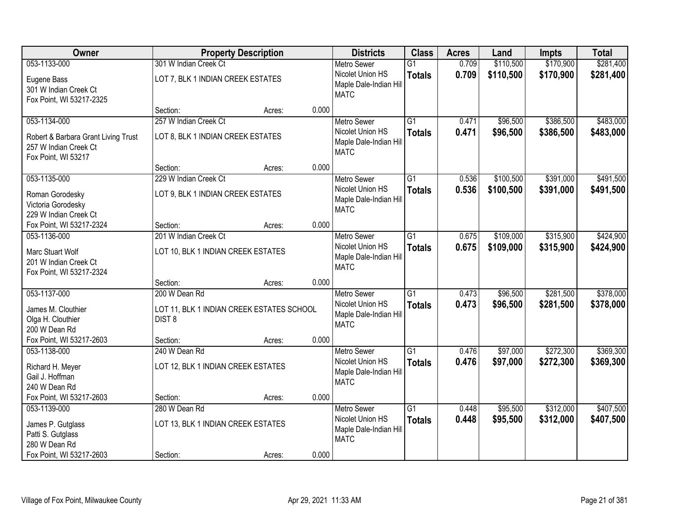| Owner                                                                               |                                                            | <b>Property Description</b> |       | <b>Districts</b>                                                 | <b>Class</b>                     | <b>Acres</b>   | Land                 | <b>Impts</b>           | <b>Total</b>           |
|-------------------------------------------------------------------------------------|------------------------------------------------------------|-----------------------------|-------|------------------------------------------------------------------|----------------------------------|----------------|----------------------|------------------------|------------------------|
| 053-1133-000                                                                        | 301 W Indian Creek Ct                                      |                             |       | <b>Metro Sewer</b>                                               | $\overline{G1}$                  | 0.709          | \$110,500            | \$170,900              | \$281,400              |
| Eugene Bass<br>301 W Indian Creek Ct<br>Fox Point, WI 53217-2325                    | LOT 7, BLK 1 INDIAN CREEK ESTATES                          |                             |       | Nicolet Union HS<br>Maple Dale-Indian Hill<br><b>MATC</b>        | <b>Totals</b>                    | 0.709          | \$110,500            | \$170,900              | \$281,400              |
|                                                                                     | Section:                                                   | Acres:                      | 0.000 |                                                                  |                                  |                |                      |                        |                        |
| 053-1134-000                                                                        | 257 W Indian Creek Ct                                      |                             |       | <b>Metro Sewer</b>                                               | $\overline{G1}$                  | 0.471          | \$96,500             | \$386,500              | \$483,000              |
| Robert & Barbara Grant Living Trust<br>257 W Indian Creek Ct<br>Fox Point, WI 53217 | LOT 8, BLK 1 INDIAN CREEK ESTATES                          |                             |       | Nicolet Union HS<br>Maple Dale-Indian Hill<br><b>MATC</b>        | <b>Totals</b>                    | 0.471          | \$96,500             | \$386,500              | \$483,000              |
|                                                                                     | Section:                                                   | Acres:                      | 0.000 |                                                                  |                                  |                |                      |                        |                        |
| 053-1135-000                                                                        | 229 W Indian Creek Ct                                      |                             |       | <b>Metro Sewer</b>                                               | $\overline{G1}$                  | 0.536          | \$100,500            | \$391,000              | \$491,500              |
| Roman Gorodesky<br>Victoria Gorodesky<br>229 W Indian Creek Ct                      | LOT 9, BLK 1 INDIAN CREEK ESTATES                          |                             |       | Nicolet Union HS<br>Maple Dale-Indian Hill<br><b>MATC</b>        | <b>Totals</b>                    | 0.536          | \$100,500            | \$391,000              | \$491,500              |
| Fox Point, WI 53217-2324                                                            | Section:                                                   | Acres:                      | 0.000 |                                                                  |                                  |                |                      |                        |                        |
| 053-1136-000                                                                        | 201 W Indian Creek Ct                                      |                             |       | <b>Metro Sewer</b>                                               | $\overline{G1}$                  | 0.675          | \$109,000            | \$315,900              | \$424,900              |
| Marc Stuart Wolf<br>201 W Indian Creek Ct<br>Fox Point, WI 53217-2324               | LOT 10, BLK 1 INDIAN CREEK ESTATES                         |                             |       | Nicolet Union HS<br>Maple Dale-Indian Hill<br><b>MATC</b>        | <b>Totals</b>                    | 0.675          | \$109,000            | \$315,900              | \$424,900              |
|                                                                                     | Section:                                                   | Acres:                      | 0.000 |                                                                  |                                  |                |                      |                        |                        |
| 053-1137-000<br>James M. Clouthier                                                  | 200 W Dean Rd<br>LOT 11, BLK 1 INDIAN CREEK ESTATES SCHOOL |                             |       | <b>Metro Sewer</b><br>Nicolet Union HS<br>Maple Dale-Indian Hill | $\overline{G1}$<br><b>Totals</b> | 0.473<br>0.473 | \$96,500<br>\$96,500 | \$281,500<br>\$281,500 | \$378,000<br>\$378,000 |
| Olga H. Clouthier<br>200 W Dean Rd                                                  | DIST <sub>8</sub>                                          |                             |       | <b>MATC</b>                                                      |                                  |                |                      |                        |                        |
| Fox Point, WI 53217-2603                                                            | Section:                                                   | Acres:                      | 0.000 |                                                                  |                                  |                |                      |                        |                        |
| 053-1138-000                                                                        | 240 W Dean Rd                                              |                             |       | Metro Sewer                                                      | $\overline{G1}$                  | 0.476          | \$97,000             | \$272,300              | \$369,300              |
| Richard H. Meyer<br>Gail J. Hoffman<br>240 W Dean Rd                                | LOT 12, BLK 1 INDIAN CREEK ESTATES                         |                             |       | Nicolet Union HS<br>Maple Dale-Indian Hill<br><b>MATC</b>        | <b>Totals</b>                    | 0.476          | \$97,000             | \$272,300              | \$369,300              |
| Fox Point, WI 53217-2603                                                            | Section:                                                   | Acres:                      | 0.000 |                                                                  |                                  |                |                      |                        |                        |
| 053-1139-000                                                                        | 280 W Dean Rd                                              |                             |       | <b>Metro Sewer</b>                                               | $\overline{G1}$                  | 0.448          | \$95,500             | \$312,000              | \$407,500              |
| James P. Gutglass<br>Patti S. Gutglass<br>280 W Dean Rd                             | LOT 13, BLK 1 INDIAN CREEK ESTATES                         |                             |       | Nicolet Union HS<br>Maple Dale-Indian Hill<br><b>MATC</b>        | <b>Totals</b>                    | 0.448          | \$95,500             | \$312,000              | \$407,500              |
| Fox Point, WI 53217-2603                                                            | Section:                                                   | Acres:                      | 0.000 |                                                                  |                                  |                |                      |                        |                        |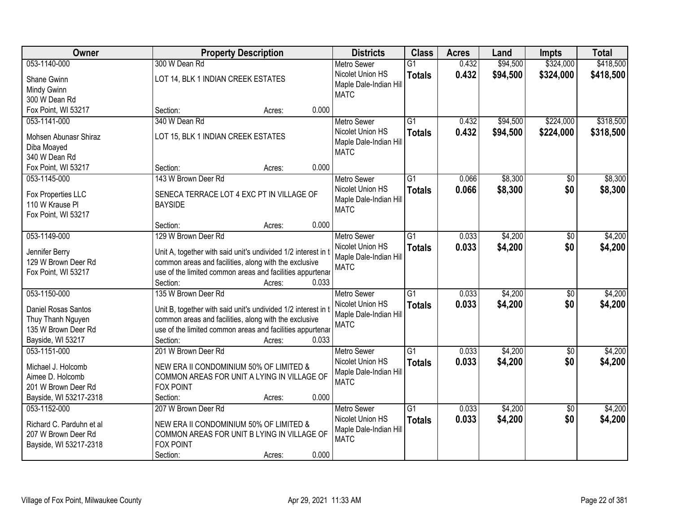| <b>Owner</b>             | <b>Property Description</b>                                        | <b>Districts</b>                      | <b>Class</b>    | <b>Acres</b> | Land     | <b>Impts</b>    | <b>Total</b> |
|--------------------------|--------------------------------------------------------------------|---------------------------------------|-----------------|--------------|----------|-----------------|--------------|
| 053-1140-000             | 300 W Dean Rd                                                      | <b>Metro Sewer</b>                    | $\overline{G1}$ | 0.432        | \$94,500 | \$324,000       | \$418,500    |
| Shane Gwinn              | LOT 14, BLK 1 INDIAN CREEK ESTATES                                 | Nicolet Union HS                      | <b>Totals</b>   | 0.432        | \$94,500 | \$324,000       | \$418,500    |
| Mindy Gwinn              |                                                                    | Maple Dale-Indian Hill                |                 |              |          |                 |              |
| 300 W Dean Rd            |                                                                    | <b>MATC</b>                           |                 |              |          |                 |              |
| Fox Point, WI 53217      | 0.000<br>Section:<br>Acres:                                        |                                       |                 |              |          |                 |              |
| 053-1141-000             | 340 W Dean Rd                                                      | <b>Metro Sewer</b>                    | $\overline{G1}$ | 0.432        | \$94,500 | \$224,000       | \$318,500    |
|                          |                                                                    | Nicolet Union HS                      | <b>Totals</b>   | 0.432        | \$94,500 | \$224,000       | \$318,500    |
| Mohsen Abunasr Shiraz    | LOT 15, BLK 1 INDIAN CREEK ESTATES                                 | Maple Dale-Indian Hill                |                 |              |          |                 |              |
| Diba Moayed              |                                                                    | <b>MATC</b>                           |                 |              |          |                 |              |
| 340 W Dean Rd            |                                                                    |                                       |                 |              |          |                 |              |
| Fox Point, WI 53217      | 0.000<br>Section:<br>Acres:                                        |                                       |                 |              |          |                 |              |
| 053-1145-000             | 143 W Brown Deer Rd                                                | <b>Metro Sewer</b>                    | G1              | 0.066        | \$8,300  | $\sqrt{6}$      | \$8,300      |
| Fox Properties LLC       | SENECA TERRACE LOT 4 EXC PT IN VILLAGE OF                          | Nicolet Union HS                      | <b>Totals</b>   | 0.066        | \$8,300  | \$0             | \$8,300      |
| 110 W Krause Pl          | <b>BAYSIDE</b>                                                     | Maple Dale-Indian Hill                |                 |              |          |                 |              |
| Fox Point, WI 53217      |                                                                    | <b>MATC</b>                           |                 |              |          |                 |              |
|                          | 0.000<br>Section:<br>Acres:                                        |                                       |                 |              |          |                 |              |
| 053-1149-000             | 129 W Brown Deer Rd                                                | <b>Metro Sewer</b>                    | G1              | 0.033        | \$4,200  | \$0             | \$4,200      |
|                          |                                                                    | Nicolet Union HS                      | <b>Totals</b>   | 0.033        | \$4,200  | \$0             | \$4,200      |
| Jennifer Berry           | Unit A, together with said unit's undivided 1/2 interest in t      | Maple Dale-Indian Hill                |                 |              |          |                 |              |
| 129 W Brown Deer Rd      | common areas and facilities, along with the exclusive              | <b>MATC</b>                           |                 |              |          |                 |              |
| Fox Point, WI 53217      | use of the limited common areas and facilities appurtenar<br>0.033 |                                       |                 |              |          |                 |              |
| 053-1150-000             | Section:<br>Acres:<br>135 W Brown Deer Rd                          |                                       | $\overline{G1}$ | 0.033        |          |                 | \$4,200      |
|                          |                                                                    | <b>Metro Sewer</b>                    |                 |              | \$4,200  | $\overline{50}$ |              |
| Daniel Rosas Santos      | Unit B, together with said unit's undivided 1/2 interest in t      | Nicolet Union HS                      | <b>Totals</b>   | 0.033        | \$4,200  | \$0             | \$4,200      |
| Thuy Thanh Nguyen        | common areas and facilities, along with the exclusive              | Maple Dale-Indian Hill<br><b>MATC</b> |                 |              |          |                 |              |
| 135 W Brown Deer Rd      | use of the limited common areas and facilities appurtenar          |                                       |                 |              |          |                 |              |
| Bayside, WI 53217        | Section:<br>0.033<br>Acres:                                        |                                       |                 |              |          |                 |              |
| 053-1151-000             | 201 W Brown Deer Rd                                                | Metro Sewer                           | $\overline{G1}$ | 0.033        | \$4,200  | $\sqrt{6}$      | \$4,200      |
| Michael J. Holcomb       | NEW ERA II CONDOMINIUM 50% OF LIMITED &                            | Nicolet Union HS                      | <b>Totals</b>   | 0.033        | \$4,200  | \$0             | \$4,200      |
| Aimee D. Holcomb         | COMMON AREAS FOR UNIT A LYING IN VILLAGE OF                        | Maple Dale-Indian Hill                |                 |              |          |                 |              |
| 201 W Brown Deer Rd      | FOX POINT                                                          | <b>MATC</b>                           |                 |              |          |                 |              |
| Bayside, WI 53217-2318   | 0.000<br>Section:<br>Acres:                                        |                                       |                 |              |          |                 |              |
| 053-1152-000             | 207 W Brown Deer Rd                                                | <b>Metro Sewer</b>                    | $\overline{G1}$ | 0.033        | \$4,200  | $\overline{50}$ | \$4,200      |
|                          |                                                                    | Nicolet Union HS                      |                 |              |          |                 |              |
| Richard C. Parduhn et al | NEW ERA II CONDOMINIUM 50% OF LIMITED &                            |                                       | <b>Totals</b>   | 0.033        | \$4,200  | \$0             | \$4,200      |
| 207 W Brown Deer Rd      | COMMON AREAS FOR UNIT B LYING IN VILLAGE OF                        | Maple Dale-Indian Hill<br><b>MATC</b> |                 |              |          |                 |              |
| Bayside, WI 53217-2318   | <b>FOX POINT</b>                                                   |                                       |                 |              |          |                 |              |
|                          | 0.000<br>Section:<br>Acres:                                        |                                       |                 |              |          |                 |              |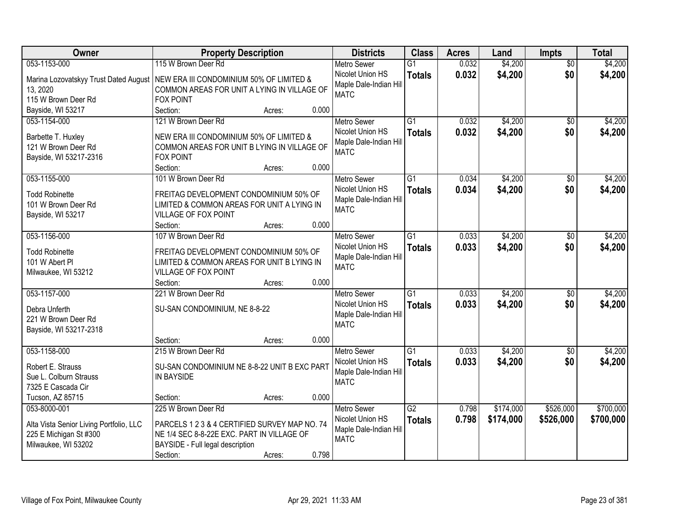| Owner                                   | <b>Property Description</b>                   |        |       | <b>Districts</b>                      | <b>Class</b>    | <b>Acres</b> | Land      | <b>Impts</b>    | <b>Total</b> |
|-----------------------------------------|-----------------------------------------------|--------|-------|---------------------------------------|-----------------|--------------|-----------|-----------------|--------------|
| 053-1153-000                            | 115 W Brown Deer Rd                           |        |       | Metro Sewer                           | $\overline{G1}$ | 0.032        | \$4,200   | $\overline{50}$ | \$4,200      |
| Marina Lozovatskyy Trust Dated August   | NEW ERA III CONDOMINIUM 50% OF LIMITED &      |        |       | Nicolet Union HS                      | <b>Totals</b>   | 0.032        | \$4,200   | \$0             | \$4,200      |
| 13, 2020                                | COMMON AREAS FOR UNIT A LYING IN VILLAGE OF   |        |       | Maple Dale-Indian Hill                |                 |              |           |                 |              |
| 115 W Brown Deer Rd                     | <b>FOX POINT</b>                              |        |       | <b>MATC</b>                           |                 |              |           |                 |              |
| Bayside, WI 53217                       | Section:                                      | Acres: | 0.000 |                                       |                 |              |           |                 |              |
| 053-1154-000                            | 121 W Brown Deer Rd                           |        |       | <b>Metro Sewer</b>                    | $\overline{G1}$ | 0.032        | \$4,200   | $\overline{30}$ | \$4,200      |
|                                         |                                               |        |       | Nicolet Union HS                      | <b>Totals</b>   | 0.032        | \$4,200   | \$0             | \$4,200      |
| Barbette T. Huxley                      | NEW ERA III CONDOMINIUM 50% OF LIMITED &      |        |       | Maple Dale-Indian Hill                |                 |              |           |                 |              |
| 121 W Brown Deer Rd                     | COMMON AREAS FOR UNIT B LYING IN VILLAGE OF   |        |       | <b>MATC</b>                           |                 |              |           |                 |              |
| Bayside, WI 53217-2316                  | <b>FOX POINT</b>                              |        |       |                                       |                 |              |           |                 |              |
|                                         | Section:                                      | Acres: | 0.000 |                                       |                 |              |           |                 |              |
| 053-1155-000                            | 101 W Brown Deer Rd                           |        |       | Metro Sewer                           | $\overline{G1}$ | 0.034        | \$4,200   | \$0             | \$4,200      |
| <b>Todd Robinette</b>                   | FREITAG DEVELOPMENT CONDOMINIUM 50% OF        |        |       | Nicolet Union HS                      | <b>Totals</b>   | 0.034        | \$4,200   | \$0             | \$4,200      |
| 101 W Brown Deer Rd                     | LIMITED & COMMON AREAS FOR UNIT A LYING IN    |        |       | Maple Dale-Indian Hill                |                 |              |           |                 |              |
| Bayside, WI 53217                       | VILLAGE OF FOX POINT                          |        |       | <b>MATC</b>                           |                 |              |           |                 |              |
|                                         | Section:                                      | Acres: | 0.000 |                                       |                 |              |           |                 |              |
| 053-1156-000                            | 107 W Brown Deer Rd                           |        |       | <b>Metro Sewer</b>                    | $\overline{G1}$ | 0.033        | \$4,200   | \$0             | \$4,200      |
|                                         |                                               |        |       | Nicolet Union HS                      | <b>Totals</b>   | 0.033        | \$4,200   | \$0             | \$4,200      |
| <b>Todd Robinette</b>                   | FREITAG DEVELOPMENT CONDOMINIUM 50% OF        |        |       | Maple Dale-Indian Hill                |                 |              |           |                 |              |
| 101 W Abert PI                          | LIMITED & COMMON AREAS FOR UNIT B LYING IN    |        |       | <b>MATC</b>                           |                 |              |           |                 |              |
| Milwaukee, WI 53212                     | VILLAGE OF FOX POINT                          |        |       |                                       |                 |              |           |                 |              |
|                                         | Section:                                      | Acres: | 0.000 |                                       |                 |              |           |                 |              |
| 053-1157-000                            | 221 W Brown Deer Rd                           |        |       | Metro Sewer                           | $\overline{G1}$ | 0.033        | \$4,200   | \$0             | \$4,200      |
| Debra Unferth                           | SU-SAN CONDOMINIUM, NE 8-8-22                 |        |       | Nicolet Union HS                      | <b>Totals</b>   | 0.033        | \$4,200   | \$0             | \$4,200      |
| 221 W Brown Deer Rd                     |                                               |        |       | Maple Dale-Indian Hill<br><b>MATC</b> |                 |              |           |                 |              |
| Bayside, WI 53217-2318                  |                                               |        |       |                                       |                 |              |           |                 |              |
|                                         | Section:                                      | Acres: | 0.000 |                                       |                 |              |           |                 |              |
| 053-1158-000                            | 215 W Brown Deer Rd                           |        |       | <b>Metro Sewer</b>                    | $\overline{G1}$ | 0.033        | \$4,200   | $\sqrt{6}$      | \$4,200      |
| Robert E. Strauss                       | SU-SAN CONDOMINIUM NE 8-8-22 UNIT B EXC PART  |        |       | Nicolet Union HS                      | <b>Totals</b>   | 0.033        | \$4,200   | \$0             | \$4,200      |
| Sue L. Colburn Strauss                  | IN BAYSIDE                                    |        |       | Maple Dale-Indian Hill                |                 |              |           |                 |              |
| 7325 E Cascada Cir                      |                                               |        |       | <b>MATC</b>                           |                 |              |           |                 |              |
| Tucson, AZ 85715                        | Section:                                      | Acres: | 0.000 |                                       |                 |              |           |                 |              |
| 053-8000-001                            | 225 W Brown Deer Rd                           |        |       | <b>Metro Sewer</b>                    | $\overline{G2}$ | 0.798        | \$174,000 | \$526,000       | \$700,000    |
|                                         |                                               |        |       | Nicolet Union HS                      | <b>Totals</b>   | 0.798        | \$174,000 | \$526,000       | \$700,000    |
| Alta Vista Senior Living Portfolio, LLC | PARCELS 1 2 3 & 4 CERTIFIED SURVEY MAP NO. 74 |        |       | Maple Dale-Indian Hill                |                 |              |           |                 |              |
| 225 E Michigan St #300                  | NE 1/4 SEC 8-8-22E EXC. PART IN VILLAGE OF    |        |       | <b>MATC</b>                           |                 |              |           |                 |              |
| Milwaukee, WI 53202                     | BAYSIDE - Full legal description              |        |       |                                       |                 |              |           |                 |              |
|                                         | Section:                                      | Acres: | 0.798 |                                       |                 |              |           |                 |              |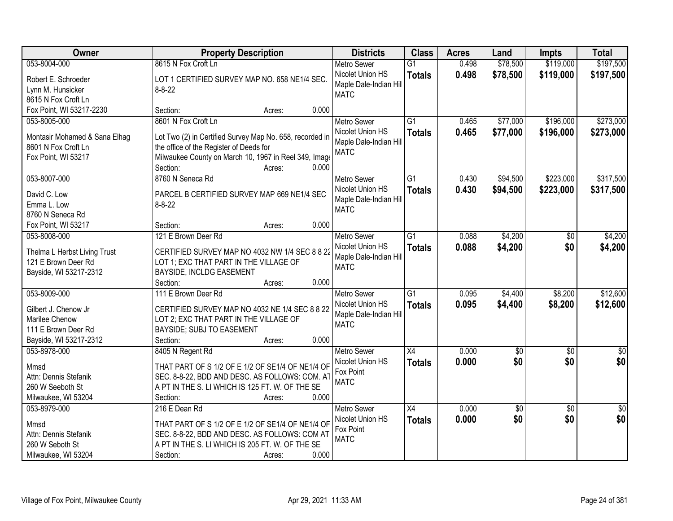| \$119,000<br>\$197,500<br>053-8004-000<br>8615 N Fox Croft Ln<br>0.498<br>\$78,500<br>$\overline{G1}$<br><b>Metro Sewer</b><br>Nicolet Union HS<br>0.498<br>\$78,500<br>\$119,000<br>\$197,500<br><b>Totals</b><br>Robert E. Schroeder<br>LOT 1 CERTIFIED SURVEY MAP NO. 658 NE1/4 SEC.<br>Maple Dale-Indian Hill<br>$8 - 8 - 22$<br>Lynn M. Hunsicker<br><b>MATC</b><br>8615 N Fox Croft Ln<br>0.000<br>Fox Point, WI 53217-2230<br>Section:<br>Acres:<br>\$273,000<br>8601 N Fox Croft Ln<br>$\overline{G1}$<br>\$77,000<br>\$196,000<br>053-8005-000<br>0.465<br><b>Metro Sewer</b><br>0.465<br>\$77,000<br>\$196,000<br>Nicolet Union HS<br>\$273,000<br><b>Totals</b><br>Lot Two (2) in Certified Survey Map No. 658, recorded in<br>Montasir Mohamed & Sana Elhag<br>Maple Dale-Indian Hill<br>8601 N Fox Croft Ln<br>the office of the Register of Deeds for<br><b>MATC</b><br>Milwaukee County on March 10, 1967 in Reel 349, Image<br>Fox Point, WI 53217<br>0.000<br>Section:<br>Acres:<br>\$223,000<br>\$317,500<br>053-8007-000<br>8760 N Seneca Rd<br>$\overline{G1}$<br>0.430<br>\$94,500<br>Metro Sewer<br>Nicolet Union HS<br>0.430<br>\$94,500<br>\$223,000<br>\$317,500<br><b>Totals</b><br>PARCEL B CERTIFIED SURVEY MAP 669 NE1/4 SEC<br>David C. Low<br>Maple Dale-Indian Hill<br>Emma L. Low<br>$8 - 8 - 22$<br><b>MATC</b><br>8760 N Seneca Rd<br>0.000<br>Fox Point, WI 53217<br>Section:<br>Acres:<br>121 E Brown Deer Rd<br>\$4,200<br>\$4,200<br>053-8008-000<br>G1<br>0.088<br><b>Metro Sewer</b><br>$\sqrt[6]{}$<br>0.088<br>Nicolet Union HS<br>\$4,200<br>\$0<br>\$4,200<br><b>Totals</b><br>Thelma L Herbst Living Trust<br>CERTIFIED SURVEY MAP NO 4032 NW 1/4 SEC 8 8 22<br>Maple Dale-Indian Hill<br>121 E Brown Deer Rd<br>LOT 1; EXC THAT PART IN THE VILLAGE OF<br><b>MATC</b><br>Bayside, WI 53217-2312<br>BAYSIDE, INCLDG EASEMENT<br>0.000<br>Section:<br>Acres:<br>$\overline{G1}$<br>\$4,400<br>\$12,600<br>053-8009-000<br>111 E Brown Deer Rd<br>0.095<br>\$8,200<br><b>Metro Sewer</b><br>0.095<br>\$4,400<br>\$8,200<br>\$12,600<br>Nicolet Union HS<br><b>Totals</b><br>Gilbert J. Chenow Jr<br>CERTIFIED SURVEY MAP NO 4032 NE 1/4 SEC 8 8 22<br>Maple Dale-Indian Hill<br>Marilee Chenow<br>LOT 2; EXC THAT PART IN THE VILLAGE OF<br><b>MATC</b><br>111 E Brown Deer Rd<br>BAYSIDE; SUBJ TO EASEMENT<br>Bayside, WI 53217-2312<br>0.000<br>Section:<br>Acres:<br>$\overline{X4}$<br>053-8978-000<br>8405 N Regent Rd<br><b>Metro Sewer</b><br>0.000<br>$\sqrt{6}$<br>$\sqrt{6}$<br>$\frac{1}{6}$<br>\$0<br>\$0<br>\$0<br>Nicolet Union HS<br>0.000<br><b>Totals</b><br>THAT PART OF S 1/2 OF E 1/2 OF SE1/4 OF NE1/4 OF<br>Mmsd<br>Fox Point<br>Attn: Dennis Stefanik<br>SEC. 8-8-22, BDD AND DESC. AS FOLLOWS: COM. AT<br><b>MATC</b><br>A PT IN THE S. LI WHICH IS 125 FT. W. OF THE SE<br>260 W Seeboth St<br>0.000<br>Milwaukee, WI 53204<br>Section:<br>Acres:<br>0.000<br>$\overline{50}$<br>053-8979-000<br>216 E Dean Rd<br><b>Metro Sewer</b><br>$\overline{X4}$<br>\$0<br>$\overline{50}$ | Owner | <b>Property Description</b> | <b>Districts</b> | <b>Class</b>  | <b>Acres</b> | Land | <b>Impts</b> | <b>Total</b> |
|--------------------------------------------------------------------------------------------------------------------------------------------------------------------------------------------------------------------------------------------------------------------------------------------------------------------------------------------------------------------------------------------------------------------------------------------------------------------------------------------------------------------------------------------------------------------------------------------------------------------------------------------------------------------------------------------------------------------------------------------------------------------------------------------------------------------------------------------------------------------------------------------------------------------------------------------------------------------------------------------------------------------------------------------------------------------------------------------------------------------------------------------------------------------------------------------------------------------------------------------------------------------------------------------------------------------------------------------------------------------------------------------------------------------------------------------------------------------------------------------------------------------------------------------------------------------------------------------------------------------------------------------------------------------------------------------------------------------------------------------------------------------------------------------------------------------------------------------------------------------------------------------------------------------------------------------------------------------------------------------------------------------------------------------------------------------------------------------------------------------------------------------------------------------------------------------------------------------------------------------------------------------------------------------------------------------------------------------------------------------------------------------------------------------------------------------------------------------------------------------------------------------------------------------------------------------------------------------------------------------------------------------------------------------------------------------------------------------------------------------------------------------------------------------------------------------------------------------------------------------------------------------------------------------------------------------------------------------------------------------------------------------------------------------------------|-------|-----------------------------|------------------|---------------|--------------|------|--------------|--------------|
|                                                                                                                                                                                                                                                                                                                                                                                                                                                                                                                                                                                                                                                                                                                                                                                                                                                                                                                                                                                                                                                                                                                                                                                                                                                                                                                                                                                                                                                                                                                                                                                                                                                                                                                                                                                                                                                                                                                                                                                                                                                                                                                                                                                                                                                                                                                                                                                                                                                                                                                                                                                                                                                                                                                                                                                                                                                                                                                                                                                                                                                        |       |                             |                  |               |              |      |              |              |
|                                                                                                                                                                                                                                                                                                                                                                                                                                                                                                                                                                                                                                                                                                                                                                                                                                                                                                                                                                                                                                                                                                                                                                                                                                                                                                                                                                                                                                                                                                                                                                                                                                                                                                                                                                                                                                                                                                                                                                                                                                                                                                                                                                                                                                                                                                                                                                                                                                                                                                                                                                                                                                                                                                                                                                                                                                                                                                                                                                                                                                                        |       |                             |                  |               |              |      |              |              |
|                                                                                                                                                                                                                                                                                                                                                                                                                                                                                                                                                                                                                                                                                                                                                                                                                                                                                                                                                                                                                                                                                                                                                                                                                                                                                                                                                                                                                                                                                                                                                                                                                                                                                                                                                                                                                                                                                                                                                                                                                                                                                                                                                                                                                                                                                                                                                                                                                                                                                                                                                                                                                                                                                                                                                                                                                                                                                                                                                                                                                                                        |       |                             |                  |               |              |      |              |              |
|                                                                                                                                                                                                                                                                                                                                                                                                                                                                                                                                                                                                                                                                                                                                                                                                                                                                                                                                                                                                                                                                                                                                                                                                                                                                                                                                                                                                                                                                                                                                                                                                                                                                                                                                                                                                                                                                                                                                                                                                                                                                                                                                                                                                                                                                                                                                                                                                                                                                                                                                                                                                                                                                                                                                                                                                                                                                                                                                                                                                                                                        |       |                             |                  |               |              |      |              |              |
|                                                                                                                                                                                                                                                                                                                                                                                                                                                                                                                                                                                                                                                                                                                                                                                                                                                                                                                                                                                                                                                                                                                                                                                                                                                                                                                                                                                                                                                                                                                                                                                                                                                                                                                                                                                                                                                                                                                                                                                                                                                                                                                                                                                                                                                                                                                                                                                                                                                                                                                                                                                                                                                                                                                                                                                                                                                                                                                                                                                                                                                        |       |                             |                  |               |              |      |              |              |
|                                                                                                                                                                                                                                                                                                                                                                                                                                                                                                                                                                                                                                                                                                                                                                                                                                                                                                                                                                                                                                                                                                                                                                                                                                                                                                                                                                                                                                                                                                                                                                                                                                                                                                                                                                                                                                                                                                                                                                                                                                                                                                                                                                                                                                                                                                                                                                                                                                                                                                                                                                                                                                                                                                                                                                                                                                                                                                                                                                                                                                                        |       |                             |                  |               |              |      |              |              |
|                                                                                                                                                                                                                                                                                                                                                                                                                                                                                                                                                                                                                                                                                                                                                                                                                                                                                                                                                                                                                                                                                                                                                                                                                                                                                                                                                                                                                                                                                                                                                                                                                                                                                                                                                                                                                                                                                                                                                                                                                                                                                                                                                                                                                                                                                                                                                                                                                                                                                                                                                                                                                                                                                                                                                                                                                                                                                                                                                                                                                                                        |       |                             |                  |               |              |      |              |              |
|                                                                                                                                                                                                                                                                                                                                                                                                                                                                                                                                                                                                                                                                                                                                                                                                                                                                                                                                                                                                                                                                                                                                                                                                                                                                                                                                                                                                                                                                                                                                                                                                                                                                                                                                                                                                                                                                                                                                                                                                                                                                                                                                                                                                                                                                                                                                                                                                                                                                                                                                                                                                                                                                                                                                                                                                                                                                                                                                                                                                                                                        |       |                             |                  |               |              |      |              |              |
|                                                                                                                                                                                                                                                                                                                                                                                                                                                                                                                                                                                                                                                                                                                                                                                                                                                                                                                                                                                                                                                                                                                                                                                                                                                                                                                                                                                                                                                                                                                                                                                                                                                                                                                                                                                                                                                                                                                                                                                                                                                                                                                                                                                                                                                                                                                                                                                                                                                                                                                                                                                                                                                                                                                                                                                                                                                                                                                                                                                                                                                        |       |                             |                  |               |              |      |              |              |
|                                                                                                                                                                                                                                                                                                                                                                                                                                                                                                                                                                                                                                                                                                                                                                                                                                                                                                                                                                                                                                                                                                                                                                                                                                                                                                                                                                                                                                                                                                                                                                                                                                                                                                                                                                                                                                                                                                                                                                                                                                                                                                                                                                                                                                                                                                                                                                                                                                                                                                                                                                                                                                                                                                                                                                                                                                                                                                                                                                                                                                                        |       |                             |                  |               |              |      |              |              |
|                                                                                                                                                                                                                                                                                                                                                                                                                                                                                                                                                                                                                                                                                                                                                                                                                                                                                                                                                                                                                                                                                                                                                                                                                                                                                                                                                                                                                                                                                                                                                                                                                                                                                                                                                                                                                                                                                                                                                                                                                                                                                                                                                                                                                                                                                                                                                                                                                                                                                                                                                                                                                                                                                                                                                                                                                                                                                                                                                                                                                                                        |       |                             |                  |               |              |      |              |              |
|                                                                                                                                                                                                                                                                                                                                                                                                                                                                                                                                                                                                                                                                                                                                                                                                                                                                                                                                                                                                                                                                                                                                                                                                                                                                                                                                                                                                                                                                                                                                                                                                                                                                                                                                                                                                                                                                                                                                                                                                                                                                                                                                                                                                                                                                                                                                                                                                                                                                                                                                                                                                                                                                                                                                                                                                                                                                                                                                                                                                                                                        |       |                             |                  |               |              |      |              |              |
|                                                                                                                                                                                                                                                                                                                                                                                                                                                                                                                                                                                                                                                                                                                                                                                                                                                                                                                                                                                                                                                                                                                                                                                                                                                                                                                                                                                                                                                                                                                                                                                                                                                                                                                                                                                                                                                                                                                                                                                                                                                                                                                                                                                                                                                                                                                                                                                                                                                                                                                                                                                                                                                                                                                                                                                                                                                                                                                                                                                                                                                        |       |                             |                  |               |              |      |              |              |
|                                                                                                                                                                                                                                                                                                                                                                                                                                                                                                                                                                                                                                                                                                                                                                                                                                                                                                                                                                                                                                                                                                                                                                                                                                                                                                                                                                                                                                                                                                                                                                                                                                                                                                                                                                                                                                                                                                                                                                                                                                                                                                                                                                                                                                                                                                                                                                                                                                                                                                                                                                                                                                                                                                                                                                                                                                                                                                                                                                                                                                                        |       |                             |                  |               |              |      |              |              |
|                                                                                                                                                                                                                                                                                                                                                                                                                                                                                                                                                                                                                                                                                                                                                                                                                                                                                                                                                                                                                                                                                                                                                                                                                                                                                                                                                                                                                                                                                                                                                                                                                                                                                                                                                                                                                                                                                                                                                                                                                                                                                                                                                                                                                                                                                                                                                                                                                                                                                                                                                                                                                                                                                                                                                                                                                                                                                                                                                                                                                                                        |       |                             |                  |               |              |      |              |              |
|                                                                                                                                                                                                                                                                                                                                                                                                                                                                                                                                                                                                                                                                                                                                                                                                                                                                                                                                                                                                                                                                                                                                                                                                                                                                                                                                                                                                                                                                                                                                                                                                                                                                                                                                                                                                                                                                                                                                                                                                                                                                                                                                                                                                                                                                                                                                                                                                                                                                                                                                                                                                                                                                                                                                                                                                                                                                                                                                                                                                                                                        |       |                             |                  |               |              |      |              |              |
|                                                                                                                                                                                                                                                                                                                                                                                                                                                                                                                                                                                                                                                                                                                                                                                                                                                                                                                                                                                                                                                                                                                                                                                                                                                                                                                                                                                                                                                                                                                                                                                                                                                                                                                                                                                                                                                                                                                                                                                                                                                                                                                                                                                                                                                                                                                                                                                                                                                                                                                                                                                                                                                                                                                                                                                                                                                                                                                                                                                                                                                        |       |                             |                  |               |              |      |              |              |
|                                                                                                                                                                                                                                                                                                                                                                                                                                                                                                                                                                                                                                                                                                                                                                                                                                                                                                                                                                                                                                                                                                                                                                                                                                                                                                                                                                                                                                                                                                                                                                                                                                                                                                                                                                                                                                                                                                                                                                                                                                                                                                                                                                                                                                                                                                                                                                                                                                                                                                                                                                                                                                                                                                                                                                                                                                                                                                                                                                                                                                                        |       |                             |                  |               |              |      |              |              |
|                                                                                                                                                                                                                                                                                                                                                                                                                                                                                                                                                                                                                                                                                                                                                                                                                                                                                                                                                                                                                                                                                                                                                                                                                                                                                                                                                                                                                                                                                                                                                                                                                                                                                                                                                                                                                                                                                                                                                                                                                                                                                                                                                                                                                                                                                                                                                                                                                                                                                                                                                                                                                                                                                                                                                                                                                                                                                                                                                                                                                                                        |       |                             |                  |               |              |      |              |              |
|                                                                                                                                                                                                                                                                                                                                                                                                                                                                                                                                                                                                                                                                                                                                                                                                                                                                                                                                                                                                                                                                                                                                                                                                                                                                                                                                                                                                                                                                                                                                                                                                                                                                                                                                                                                                                                                                                                                                                                                                                                                                                                                                                                                                                                                                                                                                                                                                                                                                                                                                                                                                                                                                                                                                                                                                                                                                                                                                                                                                                                                        |       |                             |                  |               |              |      |              |              |
|                                                                                                                                                                                                                                                                                                                                                                                                                                                                                                                                                                                                                                                                                                                                                                                                                                                                                                                                                                                                                                                                                                                                                                                                                                                                                                                                                                                                                                                                                                                                                                                                                                                                                                                                                                                                                                                                                                                                                                                                                                                                                                                                                                                                                                                                                                                                                                                                                                                                                                                                                                                                                                                                                                                                                                                                                                                                                                                                                                                                                                                        |       |                             |                  |               |              |      |              |              |
|                                                                                                                                                                                                                                                                                                                                                                                                                                                                                                                                                                                                                                                                                                                                                                                                                                                                                                                                                                                                                                                                                                                                                                                                                                                                                                                                                                                                                                                                                                                                                                                                                                                                                                                                                                                                                                                                                                                                                                                                                                                                                                                                                                                                                                                                                                                                                                                                                                                                                                                                                                                                                                                                                                                                                                                                                                                                                                                                                                                                                                                        |       |                             |                  |               |              |      |              |              |
|                                                                                                                                                                                                                                                                                                                                                                                                                                                                                                                                                                                                                                                                                                                                                                                                                                                                                                                                                                                                                                                                                                                                                                                                                                                                                                                                                                                                                                                                                                                                                                                                                                                                                                                                                                                                                                                                                                                                                                                                                                                                                                                                                                                                                                                                                                                                                                                                                                                                                                                                                                                                                                                                                                                                                                                                                                                                                                                                                                                                                                                        |       |                             |                  |               |              |      |              |              |
|                                                                                                                                                                                                                                                                                                                                                                                                                                                                                                                                                                                                                                                                                                                                                                                                                                                                                                                                                                                                                                                                                                                                                                                                                                                                                                                                                                                                                                                                                                                                                                                                                                                                                                                                                                                                                                                                                                                                                                                                                                                                                                                                                                                                                                                                                                                                                                                                                                                                                                                                                                                                                                                                                                                                                                                                                                                                                                                                                                                                                                                        |       |                             |                  |               |              |      |              |              |
|                                                                                                                                                                                                                                                                                                                                                                                                                                                                                                                                                                                                                                                                                                                                                                                                                                                                                                                                                                                                                                                                                                                                                                                                                                                                                                                                                                                                                                                                                                                                                                                                                                                                                                                                                                                                                                                                                                                                                                                                                                                                                                                                                                                                                                                                                                                                                                                                                                                                                                                                                                                                                                                                                                                                                                                                                                                                                                                                                                                                                                                        |       |                             |                  |               |              |      |              |              |
|                                                                                                                                                                                                                                                                                                                                                                                                                                                                                                                                                                                                                                                                                                                                                                                                                                                                                                                                                                                                                                                                                                                                                                                                                                                                                                                                                                                                                                                                                                                                                                                                                                                                                                                                                                                                                                                                                                                                                                                                                                                                                                                                                                                                                                                                                                                                                                                                                                                                                                                                                                                                                                                                                                                                                                                                                                                                                                                                                                                                                                                        |       |                             |                  |               |              |      |              |              |
|                                                                                                                                                                                                                                                                                                                                                                                                                                                                                                                                                                                                                                                                                                                                                                                                                                                                                                                                                                                                                                                                                                                                                                                                                                                                                                                                                                                                                                                                                                                                                                                                                                                                                                                                                                                                                                                                                                                                                                                                                                                                                                                                                                                                                                                                                                                                                                                                                                                                                                                                                                                                                                                                                                                                                                                                                                                                                                                                                                                                                                                        |       |                             |                  |               |              |      |              |              |
|                                                                                                                                                                                                                                                                                                                                                                                                                                                                                                                                                                                                                                                                                                                                                                                                                                                                                                                                                                                                                                                                                                                                                                                                                                                                                                                                                                                                                                                                                                                                                                                                                                                                                                                                                                                                                                                                                                                                                                                                                                                                                                                                                                                                                                                                                                                                                                                                                                                                                                                                                                                                                                                                                                                                                                                                                                                                                                                                                                                                                                                        |       |                             |                  |               |              |      |              |              |
|                                                                                                                                                                                                                                                                                                                                                                                                                                                                                                                                                                                                                                                                                                                                                                                                                                                                                                                                                                                                                                                                                                                                                                                                                                                                                                                                                                                                                                                                                                                                                                                                                                                                                                                                                                                                                                                                                                                                                                                                                                                                                                                                                                                                                                                                                                                                                                                                                                                                                                                                                                                                                                                                                                                                                                                                                                                                                                                                                                                                                                                        |       |                             |                  |               |              |      |              |              |
|                                                                                                                                                                                                                                                                                                                                                                                                                                                                                                                                                                                                                                                                                                                                                                                                                                                                                                                                                                                                                                                                                                                                                                                                                                                                                                                                                                                                                                                                                                                                                                                                                                                                                                                                                                                                                                                                                                                                                                                                                                                                                                                                                                                                                                                                                                                                                                                                                                                                                                                                                                                                                                                                                                                                                                                                                                                                                                                                                                                                                                                        |       |                             |                  |               |              |      |              |              |
|                                                                                                                                                                                                                                                                                                                                                                                                                                                                                                                                                                                                                                                                                                                                                                                                                                                                                                                                                                                                                                                                                                                                                                                                                                                                                                                                                                                                                                                                                                                                                                                                                                                                                                                                                                                                                                                                                                                                                                                                                                                                                                                                                                                                                                                                                                                                                                                                                                                                                                                                                                                                                                                                                                                                                                                                                                                                                                                                                                                                                                                        |       |                             |                  |               |              |      |              |              |
|                                                                                                                                                                                                                                                                                                                                                                                                                                                                                                                                                                                                                                                                                                                                                                                                                                                                                                                                                                                                                                                                                                                                                                                                                                                                                                                                                                                                                                                                                                                                                                                                                                                                                                                                                                                                                                                                                                                                                                                                                                                                                                                                                                                                                                                                                                                                                                                                                                                                                                                                                                                                                                                                                                                                                                                                                                                                                                                                                                                                                                                        |       |                             |                  |               |              |      |              |              |
|                                                                                                                                                                                                                                                                                                                                                                                                                                                                                                                                                                                                                                                                                                                                                                                                                                                                                                                                                                                                                                                                                                                                                                                                                                                                                                                                                                                                                                                                                                                                                                                                                                                                                                                                                                                                                                                                                                                                                                                                                                                                                                                                                                                                                                                                                                                                                                                                                                                                                                                                                                                                                                                                                                                                                                                                                                                                                                                                                                                                                                                        |       |                             |                  |               |              |      |              |              |
|                                                                                                                                                                                                                                                                                                                                                                                                                                                                                                                                                                                                                                                                                                                                                                                                                                                                                                                                                                                                                                                                                                                                                                                                                                                                                                                                                                                                                                                                                                                                                                                                                                                                                                                                                                                                                                                                                                                                                                                                                                                                                                                                                                                                                                                                                                                                                                                                                                                                                                                                                                                                                                                                                                                                                                                                                                                                                                                                                                                                                                                        |       |                             |                  |               |              |      |              |              |
| THAT PART OF S 1/2 OF E 1/2 OF SE1/4 OF NE1/4 OF<br>Mmsd                                                                                                                                                                                                                                                                                                                                                                                                                                                                                                                                                                                                                                                                                                                                                                                                                                                                                                                                                                                                                                                                                                                                                                                                                                                                                                                                                                                                                                                                                                                                                                                                                                                                                                                                                                                                                                                                                                                                                                                                                                                                                                                                                                                                                                                                                                                                                                                                                                                                                                                                                                                                                                                                                                                                                                                                                                                                                                                                                                                               |       |                             | Nicolet Union HS | <b>Totals</b> | 0.000        | \$0  | \$0          | \$0          |
| Fox Point<br>Attn: Dennis Stefanik<br>SEC. 8-8-22, BDD AND DESC. AS FOLLOWS: COM AT                                                                                                                                                                                                                                                                                                                                                                                                                                                                                                                                                                                                                                                                                                                                                                                                                                                                                                                                                                                                                                                                                                                                                                                                                                                                                                                                                                                                                                                                                                                                                                                                                                                                                                                                                                                                                                                                                                                                                                                                                                                                                                                                                                                                                                                                                                                                                                                                                                                                                                                                                                                                                                                                                                                                                                                                                                                                                                                                                                    |       |                             |                  |               |              |      |              |              |
| <b>MATC</b><br>A PT IN THE S. LI WHICH IS 205 FT. W. OF THE SE<br>260 W Seboth St                                                                                                                                                                                                                                                                                                                                                                                                                                                                                                                                                                                                                                                                                                                                                                                                                                                                                                                                                                                                                                                                                                                                                                                                                                                                                                                                                                                                                                                                                                                                                                                                                                                                                                                                                                                                                                                                                                                                                                                                                                                                                                                                                                                                                                                                                                                                                                                                                                                                                                                                                                                                                                                                                                                                                                                                                                                                                                                                                                      |       |                             |                  |               |              |      |              |              |
| 0.000<br>Milwaukee, WI 53204<br>Section:<br>Acres:                                                                                                                                                                                                                                                                                                                                                                                                                                                                                                                                                                                                                                                                                                                                                                                                                                                                                                                                                                                                                                                                                                                                                                                                                                                                                                                                                                                                                                                                                                                                                                                                                                                                                                                                                                                                                                                                                                                                                                                                                                                                                                                                                                                                                                                                                                                                                                                                                                                                                                                                                                                                                                                                                                                                                                                                                                                                                                                                                                                                     |       |                             |                  |               |              |      |              |              |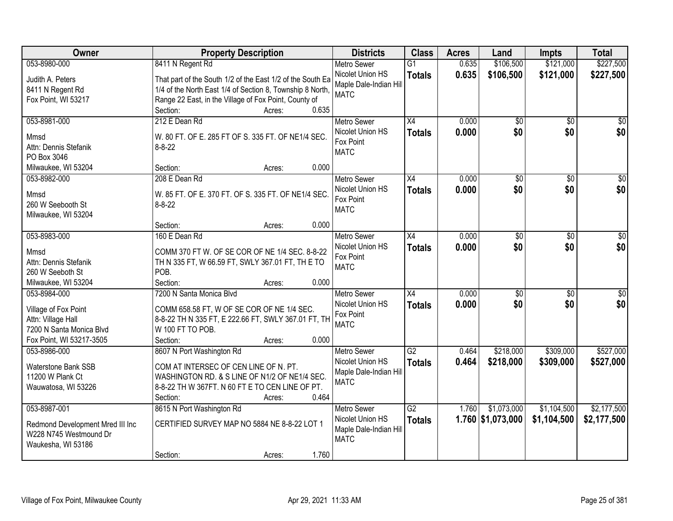| Owner                            | <b>Property Description</b>                                | <b>Districts</b>              | <b>Class</b>    | <b>Acres</b> | Land              | Impts           | <b>Total</b>     |
|----------------------------------|------------------------------------------------------------|-------------------------------|-----------------|--------------|-------------------|-----------------|------------------|
| 053-8980-000                     | 8411 N Regent Rd                                           | <b>Metro Sewer</b>            | $\overline{G1}$ | 0.635        | \$106,500         | \$121,000       | \$227,500        |
| Judith A. Peters                 | That part of the South 1/2 of the East 1/2 of the South Ea | Nicolet Union HS              | <b>Totals</b>   | 0.635        | \$106,500         | \$121,000       | \$227,500        |
| 8411 N Regent Rd                 | 1/4 of the North East 1/4 of Section 8, Township 8 North,  | Maple Dale-Indian Hill        |                 |              |                   |                 |                  |
| Fox Point, WI 53217              | Range 22 East, in the Village of Fox Point, County of      | <b>MATC</b>                   |                 |              |                   |                 |                  |
|                                  | 0.635<br>Section:<br>Acres:                                |                               |                 |              |                   |                 |                  |
| 053-8981-000                     | 212 E Dean Rd                                              | <b>Metro Sewer</b>            | $\overline{X4}$ | 0.000        | $\overline{50}$   | $\overline{50}$ | $\sqrt{50}$      |
| Mmsd                             | W. 80 FT. OF E. 285 FT OF S. 335 FT. OF NE1/4 SEC.         | Nicolet Union HS              | <b>Totals</b>   | 0.000        | \$0               | \$0             | \$0              |
| Attn: Dennis Stefanik            | $8 - 8 - 22$                                               | Fox Point                     |                 |              |                   |                 |                  |
| PO Box 3046                      |                                                            | <b>MATC</b>                   |                 |              |                   |                 |                  |
| Milwaukee, WI 53204              | 0.000<br>Section:<br>Acres:                                |                               |                 |              |                   |                 |                  |
| 053-8982-000                     | 208 E Dean Rd                                              | <b>Metro Sewer</b>            | X4              | 0.000        | \$0               | \$0             | \$0              |
|                                  |                                                            | Nicolet Union HS              | <b>Totals</b>   | 0.000        | \$0               | \$0             | \$0              |
| Mmsd                             | W. 85 FT. OF E. 370 FT. OF S. 335 FT. OF NE1/4 SEC.        | Fox Point                     |                 |              |                   |                 |                  |
| 260 W Seebooth St                | $8 - 8 - 22$                                               | <b>MATC</b>                   |                 |              |                   |                 |                  |
| Milwaukee, WI 53204              | 0.000                                                      |                               |                 |              |                   |                 |                  |
|                                  | Section:<br>Acres:                                         |                               |                 |              |                   |                 |                  |
| 053-8983-000                     | 160 E Dean Rd                                              | <b>Metro Sewer</b>            | X4              | 0.000        | \$0               | \$0             | \$0              |
| Mmsd                             | COMM 370 FT W. OF SE COR OF NE 1/4 SEC. 8-8-22             | Nicolet Union HS<br>Fox Point | <b>Totals</b>   | 0.000        | \$0               | \$0             | \$0              |
| Attn: Dennis Stefanik            | TH N 335 FT, W 66.59 FT, SWLY 367.01 FT, TH E TO           | <b>MATC</b>                   |                 |              |                   |                 |                  |
| 260 W Seeboth St                 | POB.                                                       |                               |                 |              |                   |                 |                  |
| Milwaukee, WI 53204              | 0.000<br>Section:<br>Acres:                                |                               |                 |              |                   |                 |                  |
| 053-8984-000                     | 7200 N Santa Monica Blvd                                   | <b>Metro Sewer</b>            | $\overline{X4}$ | 0.000        | $\overline{50}$   | $\overline{30}$ | $\overline{\$0}$ |
| Village of Fox Point             | COMM 658.58 FT, W OF SE COR OF NE 1/4 SEC.                 | Nicolet Union HS              | Totals          | 0.000        | \$0               | \$0             | \$0              |
| Attn: Village Hall               | 8-8-22 TH N 335 FT, E 222.66 FT, SWLY 367.01 FT, TH        | Fox Point                     |                 |              |                   |                 |                  |
| 7200 N Santa Monica Blvd         | W 100 FT TO POB.                                           | <b>MATC</b>                   |                 |              |                   |                 |                  |
| Fox Point, WI 53217-3505         | Section:<br>0.000<br>Acres:                                |                               |                 |              |                   |                 |                  |
| 053-8986-000                     | 8607 N Port Washington Rd                                  | Metro Sewer                   | $\overline{G2}$ | 0.464        | \$218,000         | \$309,000       | \$527,000        |
|                                  |                                                            | Nicolet Union HS              | <b>Totals</b>   | 0.464        | \$218,000         | \$309,000       | \$527,000        |
| Waterstone Bank SSB              | COM AT INTERSEC OF CEN LINE OF N. PT.                      | Maple Dale-Indian Hill        |                 |              |                   |                 |                  |
| 11200 W Plank Ct                 | WASHINGTON RD. & S LINE OF N1/2 OF NE1/4 SEC.              | <b>MATC</b>                   |                 |              |                   |                 |                  |
| Wauwatosa, WI 53226              | 8-8-22 TH W 367FT. N 60 FT E TO CEN LINE OF PT.<br>0.464   |                               |                 |              |                   |                 |                  |
| 053-8987-001                     | Section:<br>Acres:<br>8615 N Port Washington Rd            | <b>Metro Sewer</b>            | $\overline{G2}$ | 1.760        | \$1,073,000       | \$1,104,500     | \$2,177,500      |
|                                  |                                                            | Nicolet Union HS              |                 |              |                   |                 |                  |
| Redmond Development Mred III Inc | CERTIFIED SURVEY MAP NO 5884 NE 8-8-22 LOT 1               | Maple Dale-Indian Hill        | <b>Totals</b>   |              | 1.760 \$1,073,000 | \$1,104,500     | \$2,177,500      |
| W228 N745 Westmound Dr           |                                                            | <b>MATC</b>                   |                 |              |                   |                 |                  |
| Waukesha, WI 53186               |                                                            |                               |                 |              |                   |                 |                  |
|                                  | 1.760<br>Section:<br>Acres:                                |                               |                 |              |                   |                 |                  |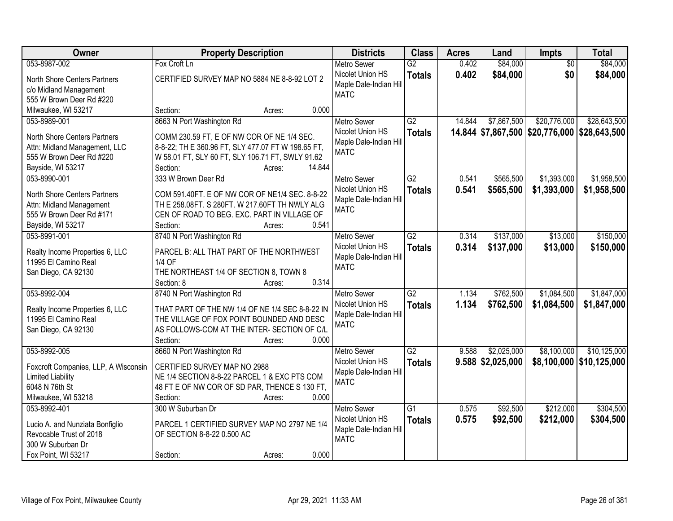| Owner                                | <b>Property Description</b>                        | <b>Districts</b>       | <b>Class</b>    | <b>Acres</b> | Land                | Impts                                        | <b>Total</b>               |
|--------------------------------------|----------------------------------------------------|------------------------|-----------------|--------------|---------------------|----------------------------------------------|----------------------------|
| 053-8987-002                         | Fox Croft Ln                                       | <b>Metro Sewer</b>     | $\overline{G2}$ | 0.402        | \$84,000            | $\overline{50}$                              | \$84,000                   |
| North Shore Centers Partners         | CERTIFIED SURVEY MAP NO 5884 NE 8-8-92 LOT 2       | Nicolet Union HS       | <b>Totals</b>   | 0.402        | \$84,000            | \$0                                          | \$84,000                   |
| c/o Midland Management               |                                                    | Maple Dale-Indian Hill |                 |              |                     |                                              |                            |
| 555 W Brown Deer Rd #220             |                                                    | <b>MATC</b>            |                 |              |                     |                                              |                            |
| Milwaukee, WI 53217                  | 0.000<br>Section:<br>Acres:                        |                        |                 |              |                     |                                              |                            |
| 053-8989-001                         | 8663 N Port Washington Rd                          | <b>Metro Sewer</b>     | $\overline{G2}$ | 14.844       | \$7,867,500         | \$20,776,000                                 | \$28,643,500               |
|                                      |                                                    | Nicolet Union HS       | <b>Totals</b>   |              |                     | 14.844 \$7,867,500 \$20,776,000 \$28,643,500 |                            |
| North Shore Centers Partners         | COMM 230.59 FT, E OF NW COR OF NE 1/4 SEC.         | Maple Dale-Indian Hill |                 |              |                     |                                              |                            |
| Attn: Midland Management, LLC        | 8-8-22; TH E 360.96 FT, SLY 477.07 FT W 198.65 FT, | <b>MATC</b>            |                 |              |                     |                                              |                            |
| 555 W Brown Deer Rd #220             | W 58.01 FT, SLY 60 FT, SLY 106.71 FT, SWLY 91.62   |                        |                 |              |                     |                                              |                            |
| Bayside, WI 53217                    | 14.844<br>Section:<br>Acres:                       |                        |                 |              |                     |                                              |                            |
| 053-8990-001                         | 333 W Brown Deer Rd                                | <b>Metro Sewer</b>     | G2              | 0.541        | \$565,500           | \$1,393,000                                  | \$1,958,500                |
| North Shore Centers Partners         | COM 591.40FT. E OF NW COR OF NE1/4 SEC. 8-8-22     | Nicolet Union HS       | <b>Totals</b>   | 0.541        | \$565,500           | \$1,393,000                                  | \$1,958,500                |
| Attn: Midland Management             | TH E 258.08FT. S 280FT. W 217.60FT TH NWLY ALG     | Maple Dale-Indian Hil  |                 |              |                     |                                              |                            |
| 555 W Brown Deer Rd #171             | CEN OF ROAD TO BEG. EXC. PART IN VILLAGE OF        | <b>MATC</b>            |                 |              |                     |                                              |                            |
| Bayside, WI 53217                    | 0.541<br>Section:<br>Acres:                        |                        |                 |              |                     |                                              |                            |
| 053-8991-001                         | 8740 N Port Washington Rd                          | <b>Metro Sewer</b>     | G2              | 0.314        | \$137,000           | \$13,000                                     | \$150,000                  |
|                                      |                                                    | Nicolet Union HS       | <b>Totals</b>   | 0.314        | \$137,000           | \$13,000                                     | \$150,000                  |
| Realty Income Properties 6, LLC      | PARCEL B: ALL THAT PART OF THE NORTHWEST           | Maple Dale-Indian Hill |                 |              |                     |                                              |                            |
| 11995 El Camino Real                 | 1/4 OF                                             | <b>MATC</b>            |                 |              |                     |                                              |                            |
| San Diego, CA 92130                  | THE NORTHEAST 1/4 OF SECTION 8, TOWN 8             |                        |                 |              |                     |                                              |                            |
|                                      | Section: 8<br>0.314<br>Acres:                      |                        |                 |              |                     |                                              |                            |
| 053-8992-004                         | 8740 N Port Washington Rd                          | <b>Metro Sewer</b>     | $\overline{G2}$ | 1.134        | \$762,500           | \$1,084,500                                  | \$1,847,000                |
| Realty Income Properties 6, LLC      | THAT PART OF THE NW 1/4 OF NE 1/4 SEC 8-8-22 IN    | Nicolet Union HS       | <b>Totals</b>   | 1.134        | \$762,500           | \$1,084,500                                  | \$1,847,000                |
| 11995 El Camino Real                 | THE VILLAGE OF FOX POINT BOUNDED AND DESC          | Maple Dale-Indian Hill |                 |              |                     |                                              |                            |
| San Diego, CA 92130                  | AS FOLLOWS-COM AT THE INTER- SECTION OF C/L        | <b>MATC</b>            |                 |              |                     |                                              |                            |
|                                      | 0.000<br>Section:<br>Acres:                        |                        |                 |              |                     |                                              |                            |
| 053-8992-005                         | 8660 N Port Washington Rd                          | <b>Metro Sewer</b>     | $\overline{G2}$ | 9.588        | \$2,025,000         | \$8,100,000                                  | \$10,125,000               |
|                                      |                                                    | Nicolet Union HS       | <b>Totals</b>   |              | $9.588$ \$2,025,000 |                                              | \$8,100,000   \$10,125,000 |
| Foxcroft Companies, LLP, A Wisconsin | CERTIFIED SURVEY MAP NO 2988                       | Maple Dale-Indian Hill |                 |              |                     |                                              |                            |
| <b>Limited Liability</b>             | NE 1/4 SECTION 8-8-22 PARCEL 1 & EXC PTS COM       | <b>MATC</b>            |                 |              |                     |                                              |                            |
| 6048 N 76th St                       | 48 FT E OF NW COR OF SD PAR, THENCE S 130 FT,      |                        |                 |              |                     |                                              |                            |
| Milwaukee, WI 53218                  | Section:<br>0.000<br>Acres:                        |                        |                 |              |                     |                                              |                            |
| 053-8992-401                         | 300 W Suburban Dr                                  | <b>Metro Sewer</b>     | $\overline{G1}$ | 0.575        | \$92,500            | \$212,000                                    | \$304,500                  |
| Lucio A. and Nunziata Bonfiglio      | PARCEL 1 CERTIFIED SURVEY MAP NO 2797 NE 1/4       | Nicolet Union HS       | <b>Totals</b>   | 0.575        | \$92,500            | \$212,000                                    | \$304,500                  |
| Revocable Trust of 2018              | OF SECTION 8-8-22 0.500 AC                         | Maple Dale-Indian Hill |                 |              |                     |                                              |                            |
| 300 W Suburban Dr                    |                                                    | <b>MATC</b>            |                 |              |                     |                                              |                            |
| Fox Point, WI 53217                  | 0.000<br>Section:<br>Acres:                        |                        |                 |              |                     |                                              |                            |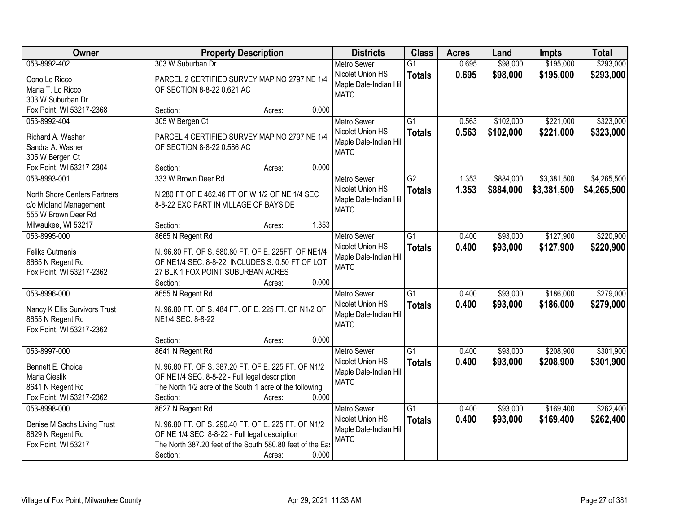| Owner                                             | <b>Property Description</b>                                                | <b>Districts</b>                          | <b>Class</b>    | <b>Acres</b> | Land      | <b>Impts</b> | <b>Total</b> |
|---------------------------------------------------|----------------------------------------------------------------------------|-------------------------------------------|-----------------|--------------|-----------|--------------|--------------|
| 053-8992-402                                      | 303 W Suburban Dr                                                          | <b>Metro Sewer</b>                        | $\overline{G1}$ | 0.695        | \$98,000  | \$195,000    | \$293,000    |
| Cono Lo Ricco                                     | PARCEL 2 CERTIFIED SURVEY MAP NO 2797 NE 1/4                               | Nicolet Union HS                          | <b>Totals</b>   | 0.695        | \$98,000  | \$195,000    | \$293,000    |
| Maria T. Lo Ricco                                 | OF SECTION 8-8-22 0.621 AC                                                 | Maple Dale-Indian Hill                    |                 |              |           |              |              |
| 303 W Suburban Dr                                 |                                                                            | <b>MATC</b>                               |                 |              |           |              |              |
| Fox Point, WI 53217-2368                          | 0.000<br>Section:<br>Acres:                                                |                                           |                 |              |           |              |              |
| 053-8992-404                                      | 305 W Bergen Ct                                                            | <b>Metro Sewer</b>                        | $\overline{G1}$ | 0.563        | \$102,000 | \$221,000    | \$323,000    |
|                                                   |                                                                            | Nicolet Union HS                          | <b>Totals</b>   | 0.563        | \$102,000 | \$221,000    | \$323,000    |
| Richard A. Washer<br>Sandra A. Washer             | PARCEL 4 CERTIFIED SURVEY MAP NO 2797 NE 1/4<br>OF SECTION 8-8-22 0.586 AC | Maple Dale-Indian Hill                    |                 |              |           |              |              |
| 305 W Bergen Ct                                   |                                                                            | <b>MATC</b>                               |                 |              |           |              |              |
| Fox Point, WI 53217-2304                          | 0.000<br>Section:<br>Acres:                                                |                                           |                 |              |           |              |              |
| 053-8993-001                                      | 333 W Brown Deer Rd                                                        | <b>Metro Sewer</b>                        | $\overline{G2}$ | 1.353        | \$884,000 | \$3,381,500  | \$4,265,500  |
|                                                   |                                                                            | Nicolet Union HS                          | <b>Totals</b>   | 1.353        | \$884,000 | \$3,381,500  | \$4,265,500  |
| North Shore Centers Partners                      | N 280 FT OF E 462.46 FT OF W 1/2 OF NE 1/4 SEC                             | Maple Dale-Indian Hill                    |                 |              |           |              |              |
| c/o Midland Management                            | 8-8-22 EXC PART IN VILLAGE OF BAYSIDE                                      | <b>MATC</b>                               |                 |              |           |              |              |
| 555 W Brown Deer Rd                               |                                                                            |                                           |                 |              |           |              |              |
| Milwaukee, WI 53217                               | 1.353<br>Section:<br>Acres:                                                |                                           |                 |              |           |              |              |
| 053-8995-000                                      | 8665 N Regent Rd                                                           | <b>Metro Sewer</b>                        | G1              | 0.400        | \$93,000  | \$127,900    | \$220,900    |
| <b>Feliks Gutmanis</b>                            | N. 96.80 FT. OF S. 580.80 FT. OF E. 225FT. OF NE1/4                        | Nicolet Union HS                          | <b>Totals</b>   | 0.400        | \$93,000  | \$127,900    | \$220,900    |
| 8665 N Regent Rd                                  | OF NE1/4 SEC. 8-8-22, INCLUDES S. 0.50 FT OF LOT                           | Maple Dale-Indian Hill                    |                 |              |           |              |              |
| Fox Point, WI 53217-2362                          | 27 BLK 1 FOX POINT SUBURBAN ACRES                                          | <b>MATC</b>                               |                 |              |           |              |              |
|                                                   | 0.000<br>Section:<br>Acres:                                                |                                           |                 |              |           |              |              |
| 053-8996-000                                      | 8655 N Regent Rd                                                           | <b>Metro Sewer</b>                        | $\overline{G1}$ | 0.400        | \$93,000  | \$186,000    | \$279,000    |
|                                                   | N. 96.80 FT. OF S. 484 FT. OF E. 225 FT. OF N1/2 OF                        | Nicolet Union HS                          | <b>Totals</b>   | 0.400        | \$93,000  | \$186,000    | \$279,000    |
| Nancy K Ellis Survivors Trust<br>8655 N Regent Rd | NE1/4 SEC. 8-8-22                                                          | Maple Dale-Indian Hill                    |                 |              |           |              |              |
| Fox Point, WI 53217-2362                          |                                                                            | <b>MATC</b>                               |                 |              |           |              |              |
|                                                   | 0.000<br>Section:<br>Acres:                                                |                                           |                 |              |           |              |              |
| 053-8997-000                                      | 8641 N Regent Rd                                                           | <b>Metro Sewer</b>                        | $\overline{G1}$ | 0.400        | \$93,000  | \$208,900    | \$301,900    |
|                                                   |                                                                            | Nicolet Union HS                          | <b>Totals</b>   | 0.400        | \$93,000  | \$208,900    | \$301,900    |
| Bennett E. Choice                                 | N. 96.80 FT. OF S. 387.20 FT. OF E. 225 FT. OF N1/2                        | Maple Dale-Indian Hill                    |                 |              |           |              |              |
| Maria Cieslik                                     | OF NE1/4 SEC. 8-8-22 - Full legal description                              | <b>MATC</b>                               |                 |              |           |              |              |
| 8641 N Regent Rd<br>Fox Point, WI 53217-2362      | The North 1/2 acre of the South 1 acre of the following<br>0.000           |                                           |                 |              |           |              |              |
| 053-8998-000                                      | Section:<br>Acres:                                                         |                                           |                 |              |           |              | \$262,400    |
|                                                   | 8627 N Regent Rd                                                           | <b>Metro Sewer</b>                        | $\overline{G1}$ | 0.400        | \$93,000  | \$169,400    |              |
| Denise M Sachs Living Trust                       | N. 96.80 FT. OF S. 290.40 FT. OF E. 225 FT. OF N1/2                        | Nicolet Union HS<br>Maple Dale-Indian Hil | <b>Totals</b>   | 0.400        | \$93,000  | \$169,400    | \$262,400    |
| 8629 N Regent Rd                                  | OF NE 1/4 SEC. 8-8-22 - Full legal description                             | <b>MATC</b>                               |                 |              |           |              |              |
| Fox Point, WI 53217                               | The North 387.20 feet of the South 580.80 feet of the East                 |                                           |                 |              |           |              |              |
|                                                   | 0.000<br>Section:<br>Acres:                                                |                                           |                 |              |           |              |              |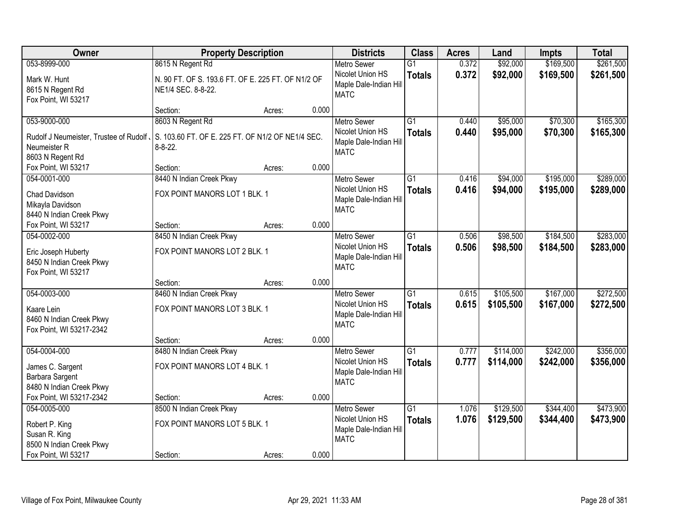| Owner                                                | <b>Property Description</b>                        |        |       | <b>Districts</b>                      | <b>Class</b>    | <b>Acres</b> | Land      | <b>Impts</b> | <b>Total</b> |
|------------------------------------------------------|----------------------------------------------------|--------|-------|---------------------------------------|-----------------|--------------|-----------|--------------|--------------|
| 053-8999-000                                         | 8615 N Regent Rd                                   |        |       | <b>Metro Sewer</b>                    | $\overline{G1}$ | 0.372        | \$92,000  | \$169,500    | \$261,500    |
| Mark W. Hunt                                         | N. 90 FT. OF S. 193.6 FT. OF E. 225 FT. OF N1/2 OF |        |       | Nicolet Union HS                      | <b>Totals</b>   | 0.372        | \$92,000  | \$169,500    | \$261,500    |
| 8615 N Regent Rd                                     | NE1/4 SEC. 8-8-22.                                 |        |       | Maple Dale-Indian Hill<br><b>MATC</b> |                 |              |           |              |              |
| Fox Point, WI 53217                                  |                                                    |        |       |                                       |                 |              |           |              |              |
|                                                      | Section:                                           | Acres: | 0.000 |                                       |                 |              |           |              |              |
| 053-9000-000                                         | 8603 N Regent Rd                                   |        |       | <b>Metro Sewer</b>                    | $\overline{G1}$ | 0.440        | \$95,000  | \$70,300     | \$165,300    |
| Rudolf J Neumeister, Trustee of Rudolf,              | S. 103.60 FT. OF E. 225 FT. OF N1/2 OF NE1/4 SEC.  |        |       | Nicolet Union HS                      | <b>Totals</b>   | 0.440        | \$95,000  | \$70,300     | \$165,300    |
| Neumeister R                                         | $8 - 8 - 22$ .                                     |        |       | Maple Dale-Indian Hill                |                 |              |           |              |              |
| 8603 N Regent Rd                                     |                                                    |        |       | <b>MATC</b>                           |                 |              |           |              |              |
| Fox Point, WI 53217                                  | Section:                                           | Acres: | 0.000 |                                       |                 |              |           |              |              |
| 054-0001-000                                         | 8440 N Indian Creek Pkwy                           |        |       | <b>Metro Sewer</b>                    | G1              | 0.416        | \$94,000  | \$195,000    | \$289,000    |
| <b>Chad Davidson</b>                                 | FOX POINT MANORS LOT 1 BLK. 1                      |        |       | Nicolet Union HS                      | <b>Totals</b>   | 0.416        | \$94,000  | \$195,000    | \$289,000    |
| Mikayla Davidson                                     |                                                    |        |       | Maple Dale-Indian Hill                |                 |              |           |              |              |
| 8440 N Indian Creek Pkwy                             |                                                    |        |       | <b>MATC</b>                           |                 |              |           |              |              |
| Fox Point, WI 53217                                  | Section:                                           | Acres: | 0.000 |                                       |                 |              |           |              |              |
| 054-0002-000                                         | 8450 N Indian Creek Pkwy                           |        |       | <b>Metro Sewer</b>                    | G1              | 0.506        | \$98,500  | \$184,500    | \$283,000    |
|                                                      | FOX POINT MANORS LOT 2 BLK. 1                      |        |       | Nicolet Union HS                      | <b>Totals</b>   | 0.506        | \$98,500  | \$184,500    | \$283,000    |
| Eric Joseph Huberty<br>8450 N Indian Creek Pkwy      |                                                    |        |       | Maple Dale-Indian Hill                |                 |              |           |              |              |
| Fox Point, WI 53217                                  |                                                    |        |       | <b>MATC</b>                           |                 |              |           |              |              |
|                                                      | Section:                                           | Acres: | 0.000 |                                       |                 |              |           |              |              |
| 054-0003-000                                         | 8460 N Indian Creek Pkwy                           |        |       | <b>Metro Sewer</b>                    | $\overline{G1}$ | 0.615        | \$105,500 | \$167,000    | \$272,500    |
|                                                      |                                                    |        |       | Nicolet Union HS                      | <b>Totals</b>   | 0.615        | \$105,500 | \$167,000    | \$272,500    |
| Kaare Lein                                           | FOX POINT MANORS LOT 3 BLK. 1                      |        |       | Maple Dale-Indian Hill                |                 |              |           |              |              |
| 8460 N Indian Creek Pkwy<br>Fox Point, WI 53217-2342 |                                                    |        |       | <b>MATC</b>                           |                 |              |           |              |              |
|                                                      | Section:                                           | Acres: | 0.000 |                                       |                 |              |           |              |              |
| 054-0004-000                                         | 8480 N Indian Creek Pkwy                           |        |       | <b>Metro Sewer</b>                    | $\overline{G1}$ | 0.777        | \$114,000 | \$242,000    | \$356,000    |
|                                                      |                                                    |        |       | Nicolet Union HS                      | <b>Totals</b>   | 0.777        | \$114,000 | \$242,000    | \$356,000    |
| James C. Sargent                                     | FOX POINT MANORS LOT 4 BLK. 1                      |        |       | Maple Dale-Indian Hill                |                 |              |           |              |              |
| Barbara Sargent<br>8480 N Indian Creek Pkwy          |                                                    |        |       | <b>MATC</b>                           |                 |              |           |              |              |
| Fox Point, WI 53217-2342                             | Section:                                           | Acres: | 0.000 |                                       |                 |              |           |              |              |
| 054-0005-000                                         | 8500 N Indian Creek Pkwy                           |        |       | <b>Metro Sewer</b>                    | $\overline{G1}$ | 1.076        | \$129,500 | \$344,400    | \$473,900    |
|                                                      |                                                    |        |       | Nicolet Union HS                      | <b>Totals</b>   | 1.076        | \$129,500 | \$344,400    | \$473,900    |
| Robert P. King                                       | FOX POINT MANORS LOT 5 BLK. 1                      |        |       | Maple Dale-Indian Hill                |                 |              |           |              |              |
| Susan R. King                                        |                                                    |        |       | <b>MATC</b>                           |                 |              |           |              |              |
| 8500 N Indian Creek Pkwy                             |                                                    |        |       |                                       |                 |              |           |              |              |
| Fox Point, WI 53217                                  | Section:                                           | Acres: | 0.000 |                                       |                 |              |           |              |              |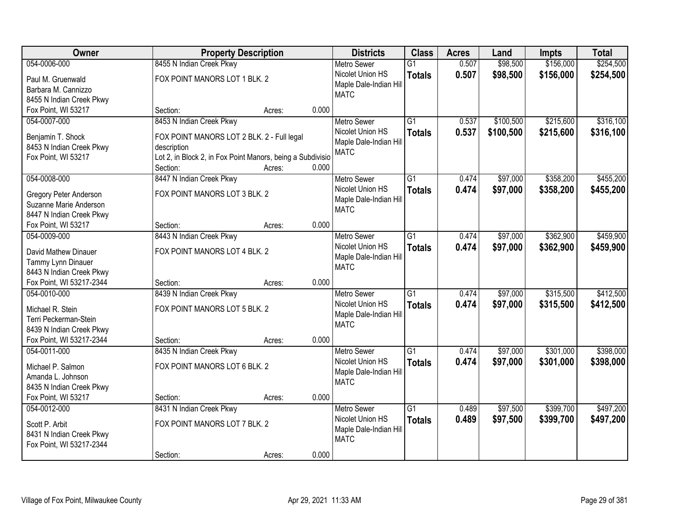| Owner                                                | <b>Property Description</b>                                |        |       | <b>Districts</b>                       | <b>Class</b>    | <b>Acres</b> | Land      | <b>Impts</b> | <b>Total</b> |
|------------------------------------------------------|------------------------------------------------------------|--------|-------|----------------------------------------|-----------------|--------------|-----------|--------------|--------------|
| 054-0006-000                                         | 8455 N Indian Creek Pkwy                                   |        |       | <b>Metro Sewer</b>                     | $\overline{G1}$ | 0.507        | \$98,500  | \$156,000    | \$254,500    |
| Paul M. Gruenwald                                    | FOX POINT MANORS LOT 1 BLK. 2                              |        |       | Nicolet Union HS                       | <b>Totals</b>   | 0.507        | \$98,500  | \$156,000    | \$254,500    |
| Barbara M. Cannizzo                                  |                                                            |        |       | Maple Dale-Indian Hill                 |                 |              |           |              |              |
| 8455 N Indian Creek Pkwy                             |                                                            |        |       | <b>MATC</b>                            |                 |              |           |              |              |
| Fox Point, WI 53217                                  | Section:                                                   | Acres: | 0.000 |                                        |                 |              |           |              |              |
| 054-0007-000                                         | 8453 N Indian Creek Pkwy                                   |        |       | <b>Metro Sewer</b>                     | $\overline{G1}$ | 0.537        | \$100,500 | \$215,600    | \$316,100    |
|                                                      |                                                            |        |       | Nicolet Union HS                       | <b>Totals</b>   | 0.537        | \$100,500 | \$215,600    | \$316,100    |
| Benjamin T. Shock                                    | FOX POINT MANORS LOT 2 BLK. 2 - Full legal                 |        |       | Maple Dale-Indian Hill                 |                 |              |           |              |              |
| 8453 N Indian Creek Pkwy                             | description                                                |        |       | <b>MATC</b>                            |                 |              |           |              |              |
| Fox Point, WI 53217                                  | Lot 2, in Block 2, in Fox Point Manors, being a Subdivisio |        |       |                                        |                 |              |           |              |              |
|                                                      | Section:                                                   | Acres: | 0.000 |                                        |                 |              |           |              |              |
| 054-0008-000                                         | 8447 N Indian Creek Pkwy                                   |        |       | Metro Sewer                            | G1              | 0.474        | \$97,000  | \$358,200    | \$455,200    |
| <b>Gregory Peter Anderson</b>                        | FOX POINT MANORS LOT 3 BLK. 2                              |        |       | Nicolet Union HS                       | <b>Totals</b>   | 0.474        | \$97,000  | \$358,200    | \$455,200    |
| Suzanne Marie Anderson                               |                                                            |        |       | Maple Dale-Indian Hill                 |                 |              |           |              |              |
| 8447 N Indian Creek Pkwy                             |                                                            |        |       | <b>MATC</b>                            |                 |              |           |              |              |
| Fox Point, WI 53217                                  | Section:                                                   | Acres: | 0.000 |                                        |                 |              |           |              |              |
| 054-0009-000                                         | 8443 N Indian Creek Pkwy                                   |        |       | <b>Metro Sewer</b>                     | $\overline{G1}$ | 0.474        | \$97,000  | \$362,900    | \$459,900    |
|                                                      |                                                            |        |       | Nicolet Union HS                       | <b>Totals</b>   | 0.474        | \$97,000  | \$362,900    | \$459,900    |
| David Mathew Dinauer                                 | FOX POINT MANORS LOT 4 BLK. 2                              |        |       | Maple Dale-Indian Hill                 |                 |              |           |              |              |
| Tammy Lynn Dinauer                                   |                                                            |        |       | <b>MATC</b>                            |                 |              |           |              |              |
| 8443 N Indian Creek Pkwy<br>Fox Point, WI 53217-2344 |                                                            |        | 0.000 |                                        |                 |              |           |              |              |
| 054-0010-000                                         | Section:<br>8439 N Indian Creek Pkwy                       | Acres: |       |                                        | $\overline{G1}$ | 0.474        | \$97,000  | \$315,500    | \$412,500    |
|                                                      |                                                            |        |       | <b>Metro Sewer</b><br>Nicolet Union HS |                 |              |           |              |              |
| Michael R. Stein                                     | FOX POINT MANORS LOT 5 BLK. 2                              |        |       |                                        | <b>Totals</b>   | 0.474        | \$97,000  | \$315,500    | \$412,500    |
| Terri Peckerman-Stein                                |                                                            |        |       | Maple Dale-Indian Hill<br><b>MATC</b>  |                 |              |           |              |              |
| 8439 N Indian Creek Pkwy                             |                                                            |        |       |                                        |                 |              |           |              |              |
| Fox Point, WI 53217-2344                             | Section:                                                   | Acres: | 0.000 |                                        |                 |              |           |              |              |
| 054-0011-000                                         | 8435 N Indian Creek Pkwy                                   |        |       | <b>Metro Sewer</b>                     | $\overline{G1}$ | 0.474        | \$97,000  | \$301,000    | \$398,000    |
| Michael P. Salmon                                    | FOX POINT MANORS LOT 6 BLK. 2                              |        |       | Nicolet Union HS                       | <b>Totals</b>   | 0.474        | \$97,000  | \$301,000    | \$398,000    |
| Amanda L. Johnson                                    |                                                            |        |       | Maple Dale-Indian Hill                 |                 |              |           |              |              |
| 8435 N Indian Creek Pkwy                             |                                                            |        |       | <b>MATC</b>                            |                 |              |           |              |              |
| Fox Point, WI 53217                                  | Section:                                                   | Acres: | 0.000 |                                        |                 |              |           |              |              |
| 054-0012-000                                         | 8431 N Indian Creek Pkwy                                   |        |       | <b>Metro Sewer</b>                     | $\overline{G1}$ | 0.489        | \$97,500  | \$399,700    | \$497,200    |
|                                                      |                                                            |        |       | Nicolet Union HS                       | <b>Totals</b>   | 0.489        | \$97,500  | \$399,700    | \$497,200    |
| Scott P. Arbit                                       | FOX POINT MANORS LOT 7 BLK. 2                              |        |       | Maple Dale-Indian Hill                 |                 |              |           |              |              |
| 8431 N Indian Creek Pkwy                             |                                                            |        |       | <b>MATC</b>                            |                 |              |           |              |              |
| Fox Point, WI 53217-2344                             |                                                            |        |       |                                        |                 |              |           |              |              |
|                                                      | Section:                                                   | Acres: | 0.000 |                                        |                 |              |           |              |              |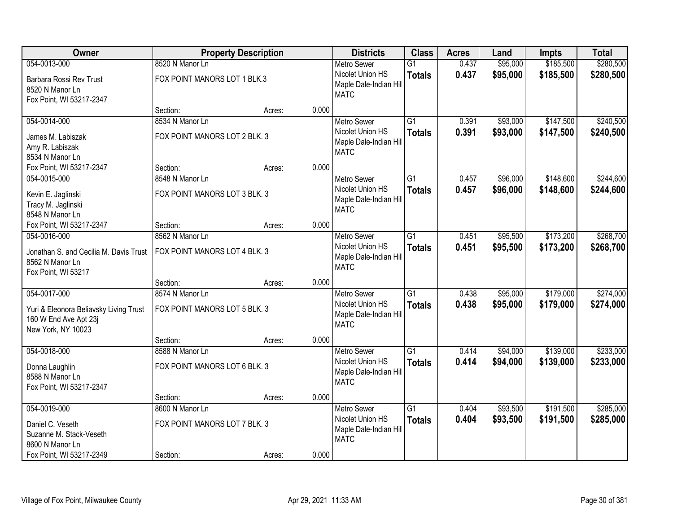| Owner                                                     | <b>Property Description</b>   |        |       | <b>Districts</b>                      | <b>Class</b>    | <b>Acres</b> | Land     | <b>Impts</b> | <b>Total</b> |
|-----------------------------------------------------------|-------------------------------|--------|-------|---------------------------------------|-----------------|--------------|----------|--------------|--------------|
| 054-0013-000                                              | 8520 N Manor Ln               |        |       | <b>Metro Sewer</b>                    | $\overline{G1}$ | 0.437        | \$95,000 | \$185,500    | \$280,500    |
| Barbara Rossi Rev Trust                                   | FOX POINT MANORS LOT 1 BLK.3  |        |       | Nicolet Union HS                      | <b>Totals</b>   | 0.437        | \$95,000 | \$185,500    | \$280,500    |
| 8520 N Manor Ln                                           |                               |        |       | Maple Dale-Indian Hill                |                 |              |          |              |              |
| Fox Point, WI 53217-2347                                  |                               |        |       | <b>MATC</b>                           |                 |              |          |              |              |
|                                                           | Section:                      | Acres: | 0.000 |                                       |                 |              |          |              |              |
| 054-0014-000                                              | 8534 N Manor Ln               |        |       | <b>Metro Sewer</b>                    | $\overline{G1}$ | 0.391        | \$93,000 | \$147,500    | \$240,500    |
| James M. Labiszak                                         | FOX POINT MANORS LOT 2 BLK. 3 |        |       | Nicolet Union HS                      | <b>Totals</b>   | 0.391        | \$93,000 | \$147,500    | \$240,500    |
| Amy R. Labiszak                                           |                               |        |       | Maple Dale-Indian Hill                |                 |              |          |              |              |
| 8534 N Manor Ln                                           |                               |        |       | <b>MATC</b>                           |                 |              |          |              |              |
| Fox Point, WI 53217-2347                                  | Section:                      | Acres: | 0.000 |                                       |                 |              |          |              |              |
| 054-0015-000                                              | 8548 N Manor Ln               |        |       | Metro Sewer                           | $\overline{G1}$ | 0.457        | \$96,000 | \$148,600    | \$244,600    |
| Kevin E. Jaglinski                                        | FOX POINT MANORS LOT 3 BLK. 3 |        |       | Nicolet Union HS                      | <b>Totals</b>   | 0.457        | \$96,000 | \$148,600    | \$244,600    |
| Tracy M. Jaglinski                                        |                               |        |       | Maple Dale-Indian Hill                |                 |              |          |              |              |
| 8548 N Manor Ln                                           |                               |        |       | <b>MATC</b>                           |                 |              |          |              |              |
| Fox Point, WI 53217-2347                                  | Section:                      | Acres: | 0.000 |                                       |                 |              |          |              |              |
| 054-0016-000                                              | 8562 N Manor Ln               |        |       | <b>Metro Sewer</b>                    | $\overline{G1}$ | 0.451        | \$95,500 | \$173,200    | \$268,700    |
|                                                           | FOX POINT MANORS LOT 4 BLK. 3 |        |       | Nicolet Union HS                      | <b>Totals</b>   | 0.451        | \$95,500 | \$173,200    | \$268,700    |
| Jonathan S. and Cecilia M. Davis Trust<br>8562 N Manor Ln |                               |        |       | Maple Dale-Indian Hill                |                 |              |          |              |              |
| Fox Point, WI 53217                                       |                               |        |       | <b>MATC</b>                           |                 |              |          |              |              |
|                                                           | Section:                      | Acres: | 0.000 |                                       |                 |              |          |              |              |
| 054-0017-000                                              | 8574 N Manor Ln               |        |       | <b>Metro Sewer</b>                    | $\overline{G1}$ | 0.438        | \$95,000 | \$179,000    | \$274,000    |
|                                                           |                               |        |       | Nicolet Union HS                      | <b>Totals</b>   | 0.438        | \$95,000 | \$179,000    | \$274,000    |
| Yuri & Eleonora Beliavsky Living Trust                    | FOX POINT MANORS LOT 5 BLK. 3 |        |       | Maple Dale-Indian Hill                |                 |              |          |              |              |
| 160 W End Ave Apt 23j                                     |                               |        |       | <b>MATC</b>                           |                 |              |          |              |              |
| New York, NY 10023                                        |                               |        |       |                                       |                 |              |          |              |              |
|                                                           | Section:                      | Acres: | 0.000 |                                       |                 |              |          |              |              |
| 054-0018-000                                              | 8588 N Manor Ln               |        |       | <b>Metro Sewer</b>                    | $\overline{G1}$ | 0.414        | \$94,000 | \$139,000    | \$233,000    |
| Donna Laughlin                                            | FOX POINT MANORS LOT 6 BLK. 3 |        |       | Nicolet Union HS                      | <b>Totals</b>   | 0.414        | \$94,000 | \$139,000    | \$233,000    |
| 8588 N Manor Ln                                           |                               |        |       | Maple Dale-Indian Hill<br><b>MATC</b> |                 |              |          |              |              |
| Fox Point, WI 53217-2347                                  |                               |        |       |                                       |                 |              |          |              |              |
|                                                           | Section:                      | Acres: | 0.000 |                                       |                 |              |          |              |              |
| 054-0019-000                                              | 8600 N Manor Ln               |        |       | <b>Metro Sewer</b>                    | $\overline{G1}$ | 0.404        | \$93,500 | \$191,500    | \$285,000    |
| Daniel C. Veseth                                          | FOX POINT MANORS LOT 7 BLK. 3 |        |       | Nicolet Union HS                      | <b>Totals</b>   | 0.404        | \$93,500 | \$191,500    | \$285,000    |
| Suzanne M. Stack-Veseth                                   |                               |        |       | Maple Dale-Indian Hill                |                 |              |          |              |              |
| 8600 N Manor Ln                                           |                               |        |       | <b>MATC</b>                           |                 |              |          |              |              |
| Fox Point, WI 53217-2349                                  | Section:                      | Acres: | 0.000 |                                       |                 |              |          |              |              |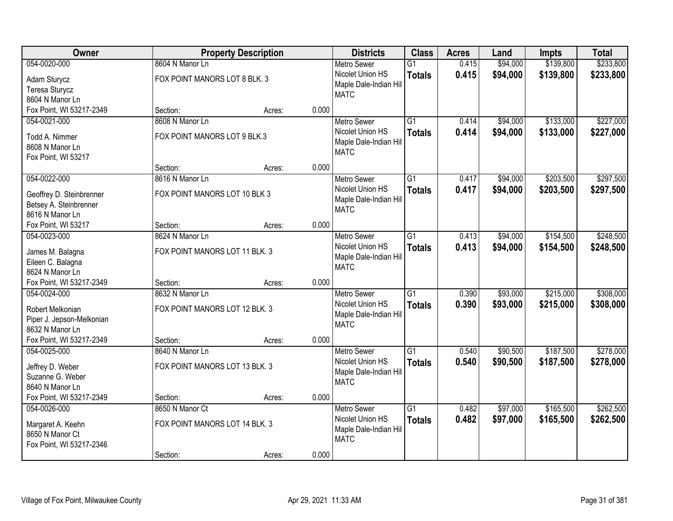| Owner                                    | <b>Property Description</b>    |        |       | <b>Districts</b>                       | <b>Class</b>    | <b>Acres</b> | Land     | <b>Impts</b> | <b>Total</b> |
|------------------------------------------|--------------------------------|--------|-------|----------------------------------------|-----------------|--------------|----------|--------------|--------------|
| 054-0020-000                             | 8604 N Manor Ln                |        |       | <b>Metro Sewer</b>                     | $\overline{G1}$ | 0.415        | \$94,000 | \$139,800    | \$233,800    |
| Adam Sturycz                             | FOX POINT MANORS LOT 8 BLK. 3  |        |       | Nicolet Union HS                       | <b>Totals</b>   | 0.415        | \$94,000 | \$139,800    | \$233,800    |
| Teresa Sturycz                           |                                |        |       | Maple Dale-Indian Hill                 |                 |              |          |              |              |
| 8604 N Manor Ln                          |                                |        |       | <b>MATC</b>                            |                 |              |          |              |              |
| Fox Point, WI 53217-2349                 | Section:                       | Acres: | 0.000 |                                        |                 |              |          |              |              |
| 054-0021-000                             | 8608 N Manor Ln                |        |       | <b>Metro Sewer</b>                     | $\overline{G1}$ | 0.414        | \$94,000 | \$133,000    | \$227,000    |
| Todd A. Nimmer                           | FOX POINT MANORS LOT 9 BLK.3   |        |       | Nicolet Union HS                       | <b>Totals</b>   | 0.414        | \$94,000 | \$133,000    | \$227,000    |
| 8608 N Manor Ln                          |                                |        |       | Maple Dale-Indian Hill                 |                 |              |          |              |              |
| Fox Point, WI 53217                      |                                |        |       | <b>MATC</b>                            |                 |              |          |              |              |
|                                          | Section:                       | Acres: | 0.000 |                                        |                 |              |          |              |              |
| 054-0022-000                             | 8616 N Manor Ln                |        |       | Metro Sewer                            | $\overline{G1}$ | 0.417        | \$94,000 | \$203,500    | \$297,500    |
| Geoffrey D. Steinbrenner                 | FOX POINT MANORS LOT 10 BLK 3  |        |       | Nicolet Union HS                       | <b>Totals</b>   | 0.417        | \$94,000 | \$203,500    | \$297,500    |
| Betsey A. Steinbrenner                   |                                |        |       | Maple Dale-Indian Hill                 |                 |              |          |              |              |
| 8616 N Manor Ln                          |                                |        |       | <b>MATC</b>                            |                 |              |          |              |              |
| Fox Point, WI 53217                      | Section:                       | Acres: | 0.000 |                                        |                 |              |          |              |              |
| 054-0023-000                             | 8624 N Manor Ln                |        |       | <b>Metro Sewer</b>                     | $\overline{G1}$ | 0.413        | \$94,000 | \$154,500    | \$248,500    |
|                                          |                                |        |       | Nicolet Union HS                       | <b>Totals</b>   | 0.413        | \$94,000 | \$154,500    | \$248,500    |
| James M. Balagna                         | FOX POINT MANORS LOT 11 BLK. 3 |        |       | Maple Dale-Indian Hill                 |                 |              |          |              |              |
| Eileen C. Balagna                        |                                |        |       | <b>MATC</b>                            |                 |              |          |              |              |
| 8624 N Manor Ln                          |                                |        | 0.000 |                                        |                 |              |          |              |              |
| Fox Point, WI 53217-2349<br>054-0024-000 | Section:<br>8632 N Manor Ln    | Acres: |       |                                        | $\overline{G1}$ | 0.390        | \$93,000 | \$215,000    | \$308,000    |
|                                          |                                |        |       | <b>Metro Sewer</b><br>Nicolet Union HS |                 |              |          |              |              |
| Robert Melkonian                         | FOX POINT MANORS LOT 12 BLK. 3 |        |       | Maple Dale-Indian Hill                 | <b>Totals</b>   | 0.390        | \$93,000 | \$215,000    | \$308,000    |
| Piper J. Jepson-Melkonian                |                                |        |       | <b>MATC</b>                            |                 |              |          |              |              |
| 8632 N Manor Ln                          |                                |        |       |                                        |                 |              |          |              |              |
| Fox Point, WI 53217-2349                 | Section:                       | Acres: | 0.000 |                                        |                 |              |          |              |              |
| 054-0025-000                             | 8640 N Manor Ln                |        |       | <b>Metro Sewer</b>                     | $\overline{G1}$ | 0.540        | \$90,500 | \$187,500    | \$278,000    |
| Jeffrey D. Weber                         | FOX POINT MANORS LOT 13 BLK. 3 |        |       | Nicolet Union HS                       | <b>Totals</b>   | 0.540        | \$90,500 | \$187,500    | \$278,000    |
| Suzanne G. Weber                         |                                |        |       | Maple Dale-Indian Hill                 |                 |              |          |              |              |
| 8640 N Manor Ln                          |                                |        |       | <b>MATC</b>                            |                 |              |          |              |              |
| Fox Point, WI 53217-2349                 | Section:                       | Acres: | 0.000 |                                        |                 |              |          |              |              |
| 054-0026-000                             | 8650 N Manor Ct                |        |       | <b>Metro Sewer</b>                     | $\overline{G1}$ | 0.482        | \$97,000 | \$165,500    | \$262,500    |
| Margaret A. Keehn                        | FOX POINT MANORS LOT 14 BLK. 3 |        |       | Nicolet Union HS                       | <b>Totals</b>   | 0.482        | \$97,000 | \$165,500    | \$262,500    |
| 8650 N Manor Ct                          |                                |        |       | Maple Dale-Indian Hill                 |                 |              |          |              |              |
| Fox Point, WI 53217-2346                 |                                |        |       | <b>MATC</b>                            |                 |              |          |              |              |
|                                          | Section:                       | Acres: | 0.000 |                                        |                 |              |          |              |              |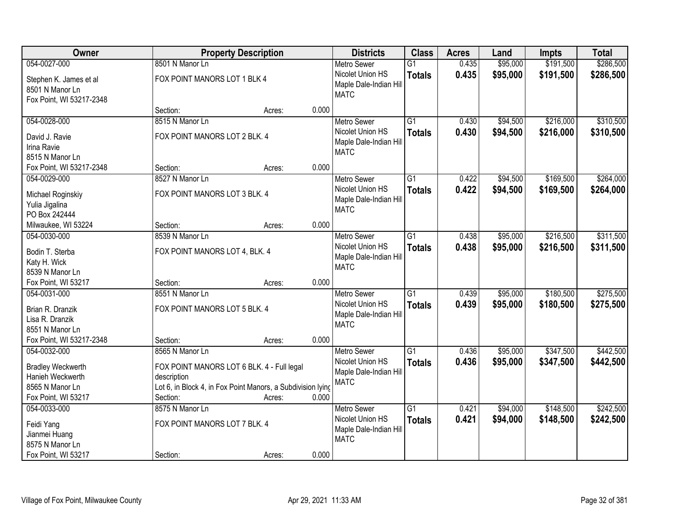| Owner                                                                                  |                                                                                                                                      | <b>Property Description</b> |       | <b>Districts</b>                                                                | <b>Class</b>                     | <b>Acres</b>   | Land                 | <b>Impts</b>           | <b>Total</b>           |
|----------------------------------------------------------------------------------------|--------------------------------------------------------------------------------------------------------------------------------------|-----------------------------|-------|---------------------------------------------------------------------------------|----------------------------------|----------------|----------------------|------------------------|------------------------|
| 054-0027-000                                                                           | 8501 N Manor Ln                                                                                                                      |                             |       | <b>Metro Sewer</b>                                                              | $\overline{G1}$                  | 0.435          | \$95,000             | \$191,500              | \$286,500              |
| Stephen K. James et al<br>8501 N Manor Ln<br>Fox Point, WI 53217-2348                  | FOX POINT MANORS LOT 1 BLK 4                                                                                                         |                             |       | Nicolet Union HS<br>Maple Dale-Indian Hill<br><b>MATC</b>                       | <b>Totals</b>                    | 0.435          | \$95,000             | \$191,500              | \$286,500              |
|                                                                                        | Section:                                                                                                                             | Acres:                      | 0.000 |                                                                                 |                                  |                |                      |                        |                        |
| 054-0028-000                                                                           | 8515 N Manor Ln                                                                                                                      |                             |       | <b>Metro Sewer</b>                                                              | $\overline{G1}$                  | 0.430          | \$94,500             | \$216,000              | \$310,500              |
| David J. Ravie<br>Irina Ravie<br>8515 N Manor Ln                                       | FOX POINT MANORS LOT 2 BLK. 4                                                                                                        |                             |       | Nicolet Union HS<br>Maple Dale-Indian Hill<br><b>MATC</b>                       | <b>Totals</b>                    | 0.430          | \$94,500             | \$216,000              | \$310,500              |
| Fox Point, WI 53217-2348                                                               | Section:                                                                                                                             | Acres:                      | 0.000 |                                                                                 |                                  |                |                      |                        |                        |
| 054-0029-000                                                                           | 8527 N Manor Ln                                                                                                                      |                             |       | <b>Metro Sewer</b>                                                              | $\overline{G1}$                  | 0.422          | \$94,500             | \$169,500              | \$264,000              |
| Michael Roginskiy<br>Yulia Jigalina<br>PO Box 242444                                   | FOX POINT MANORS LOT 3 BLK. 4                                                                                                        |                             |       | Nicolet Union HS<br>Maple Dale-Indian Hill<br><b>MATC</b>                       | <b>Totals</b>                    | 0.422          | \$94,500             | \$169,500              | \$264,000              |
| Milwaukee, WI 53224                                                                    | Section:                                                                                                                             | Acres:                      | 0.000 |                                                                                 |                                  |                |                      |                        |                        |
| 054-0030-000                                                                           | 8539 N Manor Ln                                                                                                                      |                             |       | <b>Metro Sewer</b>                                                              | $\overline{G1}$                  | 0.438          | \$95,000             | \$216,500              | \$311,500              |
| Bodin T. Sterba<br>Katy H. Wick<br>8539 N Manor Ln                                     | FOX POINT MANORS LOT 4, BLK. 4                                                                                                       |                             |       | Nicolet Union HS<br>Maple Dale-Indian Hill<br><b>MATC</b>                       | <b>Totals</b>                    | 0.438          | \$95,000             | \$216,500              | \$311,500              |
| Fox Point, WI 53217                                                                    | Section:                                                                                                                             | Acres:                      | 0.000 |                                                                                 |                                  |                |                      |                        |                        |
| 054-0031-000<br>Brian R. Dranzik<br>Lisa R. Dranzik<br>8551 N Manor Ln                 | 8551 N Manor Ln<br>FOX POINT MANORS LOT 5 BLK. 4                                                                                     |                             |       | <b>Metro Sewer</b><br>Nicolet Union HS<br>Maple Dale-Indian Hill<br><b>MATC</b> | $\overline{G1}$<br><b>Totals</b> | 0.439<br>0.439 | \$95,000<br>\$95,000 | \$180,500<br>\$180,500 | \$275,500<br>\$275,500 |
| Fox Point, WI 53217-2348                                                               | Section:                                                                                                                             | Acres:                      | 0.000 |                                                                                 |                                  |                |                      |                        |                        |
| 054-0032-000                                                                           | 8565 N Manor Ln                                                                                                                      |                             |       | <b>Metro Sewer</b>                                                              | $\overline{G1}$                  | 0.436          | \$95,000             | \$347,500              | \$442,500              |
| <b>Bradley Weckwerth</b><br>Hanieh Weckwerth<br>8565 N Manor Ln<br>Fox Point, WI 53217 | FOX POINT MANORS LOT 6 BLK. 4 - Full legal<br>description<br>Lot 6, in Block 4, in Fox Point Manors, a Subdivision lying<br>Section: | Acres:                      | 0.000 | Nicolet Union HS<br>Maple Dale-Indian Hill<br><b>MATC</b>                       | <b>Totals</b>                    | 0.436          | \$95,000             | \$347,500              | \$442,500              |
| 054-0033-000                                                                           | 8575 N Manor Ln                                                                                                                      |                             |       | <b>Metro Sewer</b>                                                              | $\overline{G1}$                  | 0.421          | \$94,000             | \$148,500              | \$242,500              |
| Feidi Yang<br>Jianmei Huang<br>8575 N Manor Ln                                         | FOX POINT MANORS LOT 7 BLK. 4                                                                                                        |                             |       | Nicolet Union HS<br>Maple Dale-Indian Hill<br><b>MATC</b>                       | <b>Totals</b>                    | 0.421          | \$94,000             | \$148,500              | \$242,500              |
| Fox Point, WI 53217                                                                    | Section:                                                                                                                             | Acres:                      | 0.000 |                                                                                 |                                  |                |                      |                        |                        |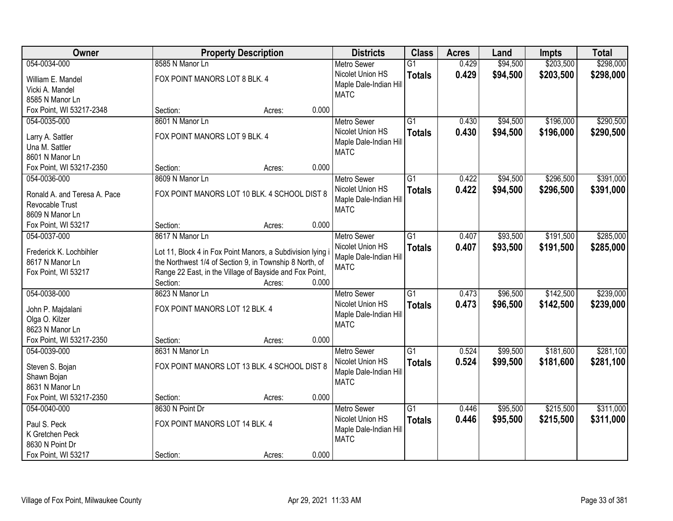| Owner                             |                                                            | <b>Property Description</b> |       | <b>Districts</b>       | <b>Class</b>    | <b>Acres</b> | Land     | <b>Impts</b> | <b>Total</b> |
|-----------------------------------|------------------------------------------------------------|-----------------------------|-------|------------------------|-----------------|--------------|----------|--------------|--------------|
| 054-0034-000                      | 8585 N Manor Ln                                            |                             |       | <b>Metro Sewer</b>     | $\overline{G1}$ | 0.429        | \$94,500 | \$203,500    | \$298,000    |
| William E. Mandel                 | FOX POINT MANORS LOT 8 BLK. 4                              |                             |       | Nicolet Union HS       | <b>Totals</b>   | 0.429        | \$94,500 | \$203,500    | \$298,000    |
| Vicki A. Mandel                   |                                                            |                             |       | Maple Dale-Indian Hill |                 |              |          |              |              |
| 8585 N Manor Ln                   |                                                            |                             |       | <b>MATC</b>            |                 |              |          |              |              |
| Fox Point, WI 53217-2348          | Section:                                                   | Acres:                      | 0.000 |                        |                 |              |          |              |              |
| 054-0035-000                      | 8601 N Manor Ln                                            |                             |       | <b>Metro Sewer</b>     | $\overline{G1}$ | 0.430        | \$94,500 | \$196,000    | \$290,500    |
|                                   |                                                            |                             |       | Nicolet Union HS       | <b>Totals</b>   | 0.430        | \$94,500 | \$196,000    | \$290,500    |
| Larry A. Sattler                  | FOX POINT MANORS LOT 9 BLK. 4                              |                             |       | Maple Dale-Indian Hill |                 |              |          |              |              |
| Una M. Sattler                    |                                                            |                             |       | <b>MATC</b>            |                 |              |          |              |              |
| 8601 N Manor Ln                   |                                                            |                             |       |                        |                 |              |          |              |              |
| Fox Point, WI 53217-2350          | Section:                                                   | Acres:                      | 0.000 |                        |                 |              |          |              |              |
| 054-0036-000                      | 8609 N Manor Ln                                            |                             |       | <b>Metro Sewer</b>     | G1              | 0.422        | \$94,500 | \$296,500    | \$391,000    |
| Ronald A. and Teresa A. Pace      | FOX POINT MANORS LOT 10 BLK. 4 SCHOOL DIST 8               |                             |       | Nicolet Union HS       | <b>Totals</b>   | 0.422        | \$94,500 | \$296,500    | \$391,000    |
| Revocable Trust                   |                                                            |                             |       | Maple Dale-Indian Hill |                 |              |          |              |              |
| 8609 N Manor Ln                   |                                                            |                             |       | <b>MATC</b>            |                 |              |          |              |              |
| Fox Point, WI 53217               | Section:                                                   | Acres:                      | 0.000 |                        |                 |              |          |              |              |
| 054-0037-000                      | 8617 N Manor Ln                                            |                             |       | <b>Metro Sewer</b>     | $\overline{G1}$ | 0.407        | \$93,500 | \$191,500    | \$285,000    |
|                                   |                                                            |                             |       | Nicolet Union HS       |                 | 0.407        |          |              |              |
| Frederick K. Lochbihler           | Lot 11, Block 4 in Fox Point Manors, a Subdivision lying i |                             |       | Maple Dale-Indian Hill | <b>Totals</b>   |              | \$93,500 | \$191,500    | \$285,000    |
| 8617 N Manor Ln                   | the Northwest 1/4 of Section 9, in Township 8 North, of    |                             |       | <b>MATC</b>            |                 |              |          |              |              |
| Fox Point, WI 53217               | Range 22 East, in the Village of Bayside and Fox Point,    |                             |       |                        |                 |              |          |              |              |
|                                   | Section:                                                   | Acres:                      | 0.000 |                        |                 |              |          |              |              |
| 054-0038-000                      | 8623 N Manor Ln                                            |                             |       | <b>Metro Sewer</b>     | $\overline{G1}$ | 0.473        | \$96,500 | \$142,500    | \$239,000    |
|                                   | FOX POINT MANORS LOT 12 BLK. 4                             |                             |       | Nicolet Union HS       | <b>Totals</b>   | 0.473        | \$96,500 | \$142,500    | \$239,000    |
| John P. Majdalani                 |                                                            |                             |       | Maple Dale-Indian Hill |                 |              |          |              |              |
| Olga O. Kilzer<br>8623 N Manor Ln |                                                            |                             |       | <b>MATC</b>            |                 |              |          |              |              |
| Fox Point, WI 53217-2350          |                                                            |                             | 0.000 |                        |                 |              |          |              |              |
|                                   | Section:                                                   | Acres:                      |       |                        |                 |              |          |              |              |
| 054-0039-000                      | 8631 N Manor Ln                                            |                             |       | <b>Metro Sewer</b>     | $\overline{G1}$ | 0.524        | \$99,500 | \$181,600    | \$281,100    |
| Steven S. Bojan                   | FOX POINT MANORS LOT 13 BLK. 4 SCHOOL DIST 8               |                             |       | Nicolet Union HS       | <b>Totals</b>   | 0.524        | \$99,500 | \$181,600    | \$281,100    |
| Shawn Bojan                       |                                                            |                             |       | Maple Dale-Indian Hill |                 |              |          |              |              |
| 8631 N Manor Ln                   |                                                            |                             |       | <b>MATC</b>            |                 |              |          |              |              |
| Fox Point, WI 53217-2350          | Section:                                                   | Acres:                      | 0.000 |                        |                 |              |          |              |              |
| 054-0040-000                      | 8630 N Point Dr                                            |                             |       | <b>Metro Sewer</b>     | $\overline{G1}$ | 0.446        | \$95,500 | \$215,500    | \$311,000    |
|                                   |                                                            |                             |       | Nicolet Union HS       | <b>Totals</b>   | 0.446        | \$95,500 | \$215,500    | \$311,000    |
| Paul S. Peck                      | FOX POINT MANORS LOT 14 BLK. 4                             |                             |       | Maple Dale-Indian Hill |                 |              |          |              |              |
| K Gretchen Peck                   |                                                            |                             |       | <b>MATC</b>            |                 |              |          |              |              |
| 8630 N Point Dr                   |                                                            |                             |       |                        |                 |              |          |              |              |
| Fox Point, WI 53217               | Section:                                                   | Acres:                      | 0.000 |                        |                 |              |          |              |              |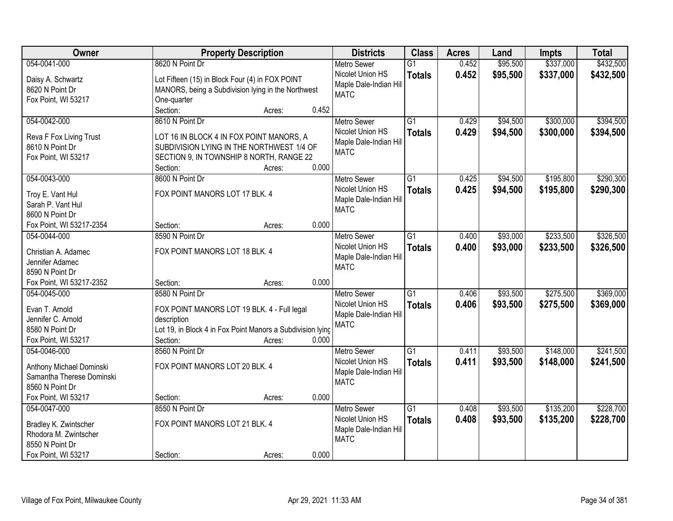| <b>Class</b><br>Owner<br><b>Property Description</b><br><b>Districts</b><br><b>Acres</b>                  | Land              | <b>Impts</b> | <b>Total</b> |
|-----------------------------------------------------------------------------------------------------------|-------------------|--------------|--------------|
| 054-0041-000<br>8620 N Point Dr<br><b>Metro Sewer</b><br>$\overline{G1}$                                  | 0.452<br>\$95,500 | \$337,000    | \$432,500    |
| Nicolet Union HS<br><b>Totals</b><br>Lot Fifteen (15) in Block Four (4) in FOX POINT<br>Daisy A. Schwartz | 0.452<br>\$95,500 | \$337,000    | \$432,500    |
| Maple Dale-Indian Hill<br>8620 N Point Dr<br>MANORS, being a Subdivision lying in the Northwest           |                   |              |              |
| <b>MATC</b><br>Fox Point, WI 53217<br>One-quarter                                                         |                   |              |              |
| Section:<br>0.452<br>Acres:                                                                               |                   |              |              |
| 054-0042-000<br>8610 N Point Dr<br>$\overline{G1}$<br><b>Metro Sewer</b>                                  | \$94,500<br>0.429 | \$300,000    | \$394,500    |
| Nicolet Union HS<br><b>Totals</b>                                                                         | 0.429<br>\$94,500 | \$300,000    | \$394,500    |
| LOT 16 IN BLOCK 4 IN FOX POINT MANORS, A<br>Reva F Fox Living Trust<br>Maple Dale-Indian Hill             |                   |              |              |
| 8610 N Point Dr<br>SUBDIVISION LYING IN THE NORTHWEST 1/4 OF<br><b>MATC</b>                               |                   |              |              |
| SECTION 9, IN TOWNSHIP 8 NORTH, RANGE 22<br>Fox Point, WI 53217<br>0.000<br>Section:<br>Acres:            |                   |              |              |
| 054-0043-000<br>8600 N Point Dr<br>$\overline{G1}$<br>Metro Sewer                                         | \$94,500<br>0.425 | \$195,800    | \$290,300    |
| Nicolet Union HS                                                                                          | 0.425<br>\$94,500 | \$195,800    | \$290,300    |
| <b>Totals</b><br>FOX POINT MANORS LOT 17 BLK. 4<br>Troy E. Vant Hul<br>Maple Dale-Indian Hill             |                   |              |              |
| Sarah P. Vant Hul<br><b>MATC</b>                                                                          |                   |              |              |
| 8600 N Point Dr                                                                                           |                   |              |              |
| 0.000<br>Fox Point, WI 53217-2354<br>Section:<br>Acres:                                                   |                   |              |              |
| 054-0044-000<br>8590 N Point Dr<br>$\overline{G1}$<br><b>Metro Sewer</b>                                  | \$93,000<br>0.400 | \$233,500    | \$326,500    |
| Nicolet Union HS<br><b>Totals</b><br>FOX POINT MANORS LOT 18 BLK. 4<br>Christian A. Adamec                | 0.400<br>\$93,000 | \$233,500    | \$326,500    |
| Maple Dale-Indian Hill<br>Jennifer Adamec                                                                 |                   |              |              |
| <b>MATC</b><br>8590 N Point Dr                                                                            |                   |              |              |
| Fox Point, WI 53217-2352<br>0.000<br>Section:<br>Acres:                                                   |                   |              |              |
| 8580 N Point Dr<br>$\overline{G1}$<br>054-0045-000<br><b>Metro Sewer</b>                                  | \$93,500<br>0.406 | \$275,500    | \$369,000    |
| Nicolet Union HS<br><b>Totals</b>                                                                         | 0.406<br>\$93,500 | \$275,500    | \$369,000    |
| Evan T. Arnold<br>FOX POINT MANORS LOT 19 BLK. 4 - Full legal<br>Maple Dale-Indian Hill                   |                   |              |              |
| Jennifer C. Arnold<br>description<br><b>MATC</b>                                                          |                   |              |              |
| Lot 19, in Block 4 in Fox Point Manors a Subdivision lying<br>8580 N Point Dr                             |                   |              |              |
| Fox Point, WI 53217<br>Section:<br>0.000<br>Acres:                                                        |                   |              |              |
| $\overline{G1}$<br>8560 N Point Dr<br>054-0046-000<br><b>Metro Sewer</b>                                  | \$93,500<br>0.411 | \$148,000    | \$241,500    |
| Nicolet Union HS<br><b>Totals</b><br>FOX POINT MANORS LOT 20 BLK. 4<br>Anthony Michael Dominski           | \$93,500<br>0.411 | \$148,000    | \$241,500    |
| Maple Dale-Indian Hill<br>Samantha Therese Dominski                                                       |                   |              |              |
| <b>MATC</b><br>8560 N Point Dr                                                                            |                   |              |              |
| 0.000<br>Fox Point, WI 53217<br>Section:<br>Acres:                                                        |                   |              |              |
| 054-0047-000<br>8550 N Point Dr<br>$\overline{G1}$<br><b>Metro Sewer</b>                                  | \$93,500<br>0.408 | \$135,200    | \$228,700    |
| Nicolet Union HS<br><b>Totals</b><br>FOX POINT MANORS LOT 21 BLK. 4<br>Bradley K. Zwintscher              | 0.408<br>\$93,500 | \$135,200    | \$228,700    |
| Maple Dale-Indian Hill<br>Rhodora M. Zwintscher                                                           |                   |              |              |
| <b>MATC</b><br>8550 N Point Dr                                                                            |                   |              |              |
| 0.000<br>Fox Point, WI 53217<br>Section:<br>Acres:                                                        |                   |              |              |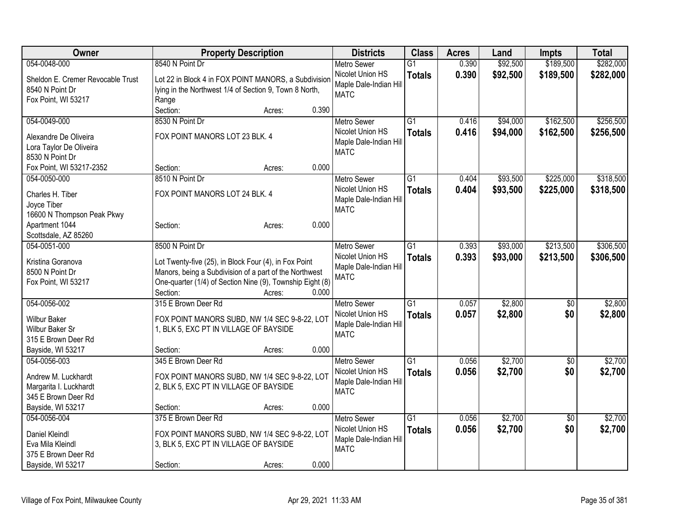| <b>Owner</b>                               | <b>Property Description</b>                                                             |       | <b>Districts</b>       | <b>Class</b>    | <b>Acres</b> | Land     | Impts           | <b>Total</b> |
|--------------------------------------------|-----------------------------------------------------------------------------------------|-------|------------------------|-----------------|--------------|----------|-----------------|--------------|
| 054-0048-000                               | 8540 N Point Dr                                                                         |       | <b>Metro Sewer</b>     | $\overline{G1}$ | 0.390        | \$92,500 | \$189,500       | \$282,000    |
| Sheldon E. Cremer Revocable Trust          | Lot 22 in Block 4 in FOX POINT MANORS, a Subdivision                                    |       | Nicolet Union HS       | <b>Totals</b>   | 0.390        | \$92,500 | \$189,500       | \$282,000    |
| 8540 N Point Dr                            | lying in the Northwest 1/4 of Section 9, Town 8 North,                                  |       | Maple Dale-Indian Hill |                 |              |          |                 |              |
| Fox Point, WI 53217                        | Range                                                                                   |       | <b>MATC</b>            |                 |              |          |                 |              |
|                                            | Section:<br>Acres:                                                                      | 0.390 |                        |                 |              |          |                 |              |
| 054-0049-000                               | 8530 N Point Dr                                                                         |       | <b>Metro Sewer</b>     | $\overline{G1}$ | 0.416        | \$94,000 | \$162,500       | \$256,500    |
|                                            | FOX POINT MANORS LOT 23 BLK. 4                                                          |       | Nicolet Union HS       | <b>Totals</b>   | 0.416        | \$94,000 | \$162,500       | \$256,500    |
| Alexandre De Oliveira                      |                                                                                         |       | Maple Dale-Indian Hill |                 |              |          |                 |              |
| Lora Taylor De Oliveira<br>8530 N Point Dr |                                                                                         |       | <b>MATC</b>            |                 |              |          |                 |              |
| Fox Point, WI 53217-2352                   | Section:<br>Acres:                                                                      | 0.000 |                        |                 |              |          |                 |              |
| 054-0050-000                               | 8510 N Point Dr                                                                         |       | <b>Metro Sewer</b>     | G1              | 0.404        | \$93,500 | \$225,000       | \$318,500    |
|                                            |                                                                                         |       | Nicolet Union HS       |                 | 0.404        | \$93,500 | \$225,000       |              |
| Charles H. Tiber                           | FOX POINT MANORS LOT 24 BLK. 4                                                          |       | Maple Dale-Indian Hill | <b>Totals</b>   |              |          |                 | \$318,500    |
| Joyce Tiber                                |                                                                                         |       | <b>MATC</b>            |                 |              |          |                 |              |
| 16600 N Thompson Peak Pkwy                 |                                                                                         |       |                        |                 |              |          |                 |              |
| Apartment 1044                             | Section:<br>Acres:                                                                      | 0.000 |                        |                 |              |          |                 |              |
| Scottsdale, AZ 85260                       |                                                                                         |       |                        |                 |              |          |                 |              |
| 054-0051-000                               | 8500 N Point Dr                                                                         |       | <b>Metro Sewer</b>     | G1              | 0.393        | \$93,000 | \$213,500       | \$306,500    |
| Kristina Goranova                          | Lot Twenty-five (25), in Block Four (4), in Fox Point                                   |       | Nicolet Union HS       | <b>Totals</b>   | 0.393        | \$93,000 | \$213,500       | \$306,500    |
| 8500 N Point Dr                            | Manors, being a Subdivision of a part of the Northwest                                  |       | Maple Dale-Indian Hill |                 |              |          |                 |              |
| Fox Point, WI 53217                        | One-quarter (1/4) of Section Nine (9), Township Eight (8)                               |       | <b>MATC</b>            |                 |              |          |                 |              |
|                                            | Section:<br>Acres:                                                                      | 0.000 |                        |                 |              |          |                 |              |
| 054-0056-002                               | 315 E Brown Deer Rd                                                                     |       | <b>Metro Sewer</b>     | $\overline{G1}$ | 0.057        | \$2,800  | \$0             | \$2,800      |
|                                            |                                                                                         |       | Nicolet Union HS       | <b>Totals</b>   | 0.057        | \$2,800  | \$0             | \$2,800      |
| <b>Wilbur Baker</b><br>Wilbur Baker Sr     | FOX POINT MANORS SUBD, NW 1/4 SEC 9-8-22, LOT<br>1, BLK 5, EXC PT IN VILLAGE OF BAYSIDE |       | Maple Dale-Indian Hill |                 |              |          |                 |              |
| 315 E Brown Deer Rd                        |                                                                                         |       | <b>MATC</b>            |                 |              |          |                 |              |
| Bayside, WI 53217                          | Section:<br>Acres:                                                                      | 0.000 |                        |                 |              |          |                 |              |
| 054-0056-003                               | 345 E Brown Deer Rd                                                                     |       | <b>Metro Sewer</b>     | $\overline{G1}$ | 0.056        | \$2,700  | $\overline{50}$ | \$2,700      |
|                                            |                                                                                         |       | Nicolet Union HS       | <b>Totals</b>   | 0.056        | \$2,700  | \$0             | \$2,700      |
| Andrew M. Luckhardt                        | FOX POINT MANORS SUBD, NW 1/4 SEC 9-8-22, LOT                                           |       | Maple Dale-Indian Hill |                 |              |          |                 |              |
| Margarita I. Luckhardt                     | 2, BLK 5, EXC PT IN VILLAGE OF BAYSIDE                                                  |       | <b>MATC</b>            |                 |              |          |                 |              |
| 345 E Brown Deer Rd                        |                                                                                         |       |                        |                 |              |          |                 |              |
| Bayside, WI 53217                          | Section:<br>Acres:                                                                      | 0.000 |                        |                 |              |          |                 |              |
| 054-0056-004                               | 375 E Brown Deer Rd                                                                     |       | Metro Sewer            | $\overline{G1}$ | 0.056        | \$2,700  | $\overline{50}$ | \$2,700      |
| <b>Daniel Kleindl</b>                      | FOX POINT MANORS SUBD, NW 1/4 SEC 9-8-22, LOT                                           |       | Nicolet Union HS       | <b>Totals</b>   | 0.056        | \$2,700  | \$0             | \$2,700      |
| Eva Mila Kleindl                           | 3, BLK 5, EXC PT IN VILLAGE OF BAYSIDE                                                  |       | Maple Dale-Indian Hill |                 |              |          |                 |              |
| 375 E Brown Deer Rd                        |                                                                                         |       | <b>MATC</b>            |                 |              |          |                 |              |
| Bayside, WI 53217                          | Section:<br>Acres:                                                                      | 0.000 |                        |                 |              |          |                 |              |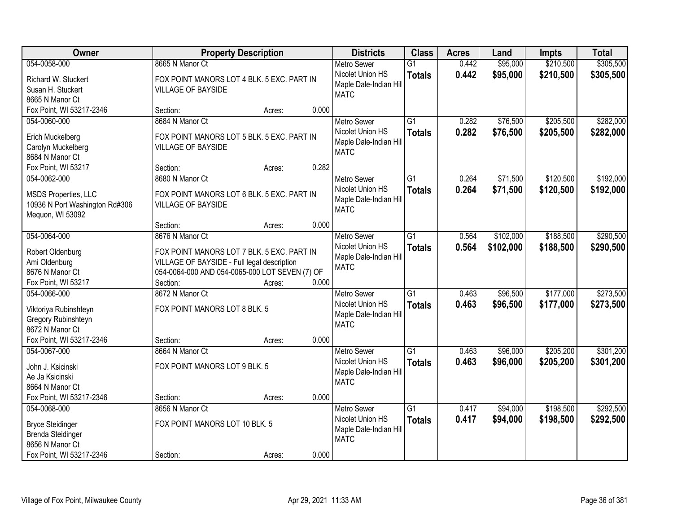| <b>Owner</b>                   | <b>Property Description</b>                    |        |       | <b>Districts</b>       | <b>Class</b>    | <b>Acres</b> | Land      | <b>Impts</b> | <b>Total</b> |
|--------------------------------|------------------------------------------------|--------|-------|------------------------|-----------------|--------------|-----------|--------------|--------------|
| 054-0058-000                   | 8665 N Manor Ct                                |        |       | <b>Metro Sewer</b>     | $\overline{G1}$ | 0.442        | \$95,000  | \$210,500    | \$305,500    |
| Richard W. Stuckert            | FOX POINT MANORS LOT 4 BLK. 5 EXC. PART IN     |        |       | Nicolet Union HS       | <b>Totals</b>   | 0.442        | \$95,000  | \$210,500    | \$305,500    |
| Susan H. Stuckert              | <b>VILLAGE OF BAYSIDE</b>                      |        |       | Maple Dale-Indian Hill |                 |              |           |              |              |
| 8665 N Manor Ct                |                                                |        |       | <b>MATC</b>            |                 |              |           |              |              |
| Fox Point, WI 53217-2346       | Section:                                       | Acres: | 0.000 |                        |                 |              |           |              |              |
| 054-0060-000                   | 8684 N Manor Ct                                |        |       | <b>Metro Sewer</b>     | $\overline{G1}$ | 0.282        | \$76,500  | \$205,500    | \$282,000    |
| Erich Muckelberg               | FOX POINT MANORS LOT 5 BLK. 5 EXC. PART IN     |        |       | Nicolet Union HS       | <b>Totals</b>   | 0.282        | \$76,500  | \$205,500    | \$282,000    |
| Carolyn Muckelberg             | <b>VILLAGE OF BAYSIDE</b>                      |        |       | Maple Dale-Indian Hill |                 |              |           |              |              |
| 8684 N Manor Ct                |                                                |        |       | <b>MATC</b>            |                 |              |           |              |              |
| Fox Point, WI 53217            | Section:                                       | Acres: | 0.282 |                        |                 |              |           |              |              |
| 054-0062-000                   | 8680 N Manor Ct                                |        |       | <b>Metro Sewer</b>     | G1              | 0.264        | \$71,500  | \$120,500    | \$192,000    |
|                                |                                                |        |       | Nicolet Union HS       | <b>Totals</b>   | 0.264        | \$71,500  | \$120,500    | \$192,000    |
| <b>MSDS Properties, LLC</b>    | FOX POINT MANORS LOT 6 BLK. 5 EXC. PART IN     |        |       | Maple Dale-Indian Hill |                 |              |           |              |              |
| 10936 N Port Washington Rd#306 | <b>VILLAGE OF BAYSIDE</b>                      |        |       | <b>MATC</b>            |                 |              |           |              |              |
| Mequon, WI 53092               | Section:                                       | Acres: | 0.000 |                        |                 |              |           |              |              |
| 054-0064-000                   | 8676 N Manor Ct                                |        |       | <b>Metro Sewer</b>     | $\overline{G1}$ | 0.564        | \$102,000 | \$188,500    | \$290,500    |
|                                |                                                |        |       | Nicolet Union HS       | <b>Totals</b>   | 0.564        | \$102,000 | \$188,500    | \$290,500    |
| Robert Oldenburg               | FOX POINT MANORS LOT 7 BLK. 5 EXC. PART IN     |        |       | Maple Dale-Indian Hill |                 |              |           |              |              |
| Ami Oldenburg                  | VILLAGE OF BAYSIDE - Full legal description    |        |       | <b>MATC</b>            |                 |              |           |              |              |
| 8676 N Manor Ct                | 054-0064-000 AND 054-0065-000 LOT SEVEN (7) OF |        |       |                        |                 |              |           |              |              |
| Fox Point, WI 53217            | Section:                                       | Acres: | 0.000 |                        |                 |              |           |              |              |
| 054-0066-000                   | 8672 N Manor Ct                                |        |       | <b>Metro Sewer</b>     | $\overline{G1}$ | 0.463        | \$96,500  | \$177,000    | \$273,500    |
| Viktoriya Rubinshteyn          | FOX POINT MANORS LOT 8 BLK. 5                  |        |       | Nicolet Union HS       | <b>Totals</b>   | 0.463        | \$96,500  | \$177,000    | \$273,500    |
| Gregory Rubinshteyn            |                                                |        |       | Maple Dale-Indian Hill |                 |              |           |              |              |
| 8672 N Manor Ct                |                                                |        |       | <b>MATC</b>            |                 |              |           |              |              |
| Fox Point, WI 53217-2346       | Section:                                       | Acres: | 0.000 |                        |                 |              |           |              |              |
| 054-0067-000                   | 8664 N Manor Ct                                |        |       | <b>Metro Sewer</b>     | $\overline{G1}$ | 0.463        | \$96,000  | \$205,200    | \$301,200    |
| John J. Ksicinski              | FOX POINT MANORS LOT 9 BLK. 5                  |        |       | Nicolet Union HS       | <b>Totals</b>   | 0.463        | \$96,000  | \$205,200    | \$301,200    |
| Ae Ja Ksicinski                |                                                |        |       | Maple Dale-Indian Hill |                 |              |           |              |              |
| 8664 N Manor Ct                |                                                |        |       | <b>MATC</b>            |                 |              |           |              |              |
| Fox Point, WI 53217-2346       | Section:                                       | Acres: | 0.000 |                        |                 |              |           |              |              |
| 054-0068-000                   | 8656 N Manor Ct                                |        |       | <b>Metro Sewer</b>     | $\overline{G1}$ | 0.417        | \$94,000  | \$198,500    | \$292,500    |
| <b>Bryce Steidinger</b>        | FOX POINT MANORS LOT 10 BLK. 5                 |        |       | Nicolet Union HS       | <b>Totals</b>   | 0.417        | \$94,000  | \$198,500    | \$292,500    |
| <b>Brenda Steidinger</b>       |                                                |        |       | Maple Dale-Indian Hill |                 |              |           |              |              |
| 8656 N Manor Ct                |                                                |        |       | <b>MATC</b>            |                 |              |           |              |              |
| Fox Point, WI 53217-2346       | Section:                                       | Acres: | 0.000 |                        |                 |              |           |              |              |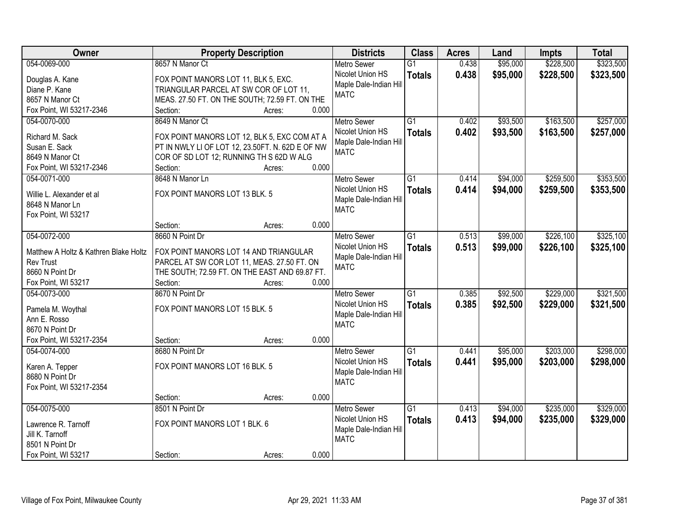| Owner                                 | <b>Property Description</b>                      |       | <b>Districts</b>       | <b>Class</b>    | <b>Acres</b> | Land     | <b>Impts</b> | <b>Total</b> |
|---------------------------------------|--------------------------------------------------|-------|------------------------|-----------------|--------------|----------|--------------|--------------|
| 054-0069-000                          | 8657 N Manor Ct                                  |       | <b>Metro Sewer</b>     | $\overline{G1}$ | 0.438        | \$95,000 | \$228,500    | \$323,500    |
| Douglas A. Kane                       | FOX POINT MANORS LOT 11, BLK 5, EXC.             |       | Nicolet Union HS       | <b>Totals</b>   | 0.438        | \$95,000 | \$228,500    | \$323,500    |
| Diane P. Kane                         | TRIANGULAR PARCEL AT SW COR OF LOT 11,           |       | Maple Dale-Indian Hill |                 |              |          |              |              |
| 8657 N Manor Ct                       | MEAS. 27.50 FT. ON THE SOUTH; 72.59 FT. ON THE   |       | <b>MATC</b>            |                 |              |          |              |              |
| Fox Point, WI 53217-2346              | Section:<br>Acres:                               | 0.000 |                        |                 |              |          |              |              |
| 054-0070-000                          | 8649 N Manor Ct                                  |       | <b>Metro Sewer</b>     | $\overline{G1}$ | 0.402        | \$93,500 | \$163,500    | \$257,000    |
|                                       |                                                  |       | Nicolet Union HS       |                 | 0.402        |          |              |              |
| Richard M. Sack                       | FOX POINT MANORS LOT 12, BLK 5, EXC COM AT A     |       | Maple Dale-Indian Hill | <b>Totals</b>   |              | \$93,500 | \$163,500    | \$257,000    |
| Susan E. Sack                         | PT IN NWLY LI OF LOT 12, 23.50FT. N. 62D E OF NW |       | <b>MATC</b>            |                 |              |          |              |              |
| 8649 N Manor Ct                       | COR OF SD LOT 12; RUNNING TH S 62D W ALG         |       |                        |                 |              |          |              |              |
| Fox Point, WI 53217-2346              | Section:<br>Acres:                               | 0.000 |                        |                 |              |          |              |              |
| 054-0071-000                          | 8648 N Manor Ln                                  |       | <b>Metro Sewer</b>     | G1              | 0.414        | \$94,000 | \$259,500    | \$353,500    |
|                                       | FOX POINT MANORS LOT 13 BLK. 5                   |       | Nicolet Union HS       | <b>Totals</b>   | 0.414        | \$94,000 | \$259,500    | \$353,500    |
| Willie L. Alexander et al             |                                                  |       | Maple Dale-Indian Hill |                 |              |          |              |              |
| 8648 N Manor Ln                       |                                                  |       | <b>MATC</b>            |                 |              |          |              |              |
| Fox Point, WI 53217                   |                                                  | 0.000 |                        |                 |              |          |              |              |
|                                       | Section:<br>Acres:                               |       |                        |                 |              |          |              |              |
| 054-0072-000                          | 8660 N Point Dr                                  |       | <b>Metro Sewer</b>     | G1              | 0.513        | \$99,000 | \$226,100    | \$325,100    |
| Matthew A Holtz & Kathren Blake Holtz | FOX POINT MANORS LOT 14 AND TRIANGULAR           |       | Nicolet Union HS       | <b>Totals</b>   | 0.513        | \$99,000 | \$226,100    | \$325,100    |
| <b>Rev Trust</b>                      | PARCEL AT SW COR LOT 11, MEAS. 27.50 FT. ON      |       | Maple Dale-Indian Hill |                 |              |          |              |              |
| 8660 N Point Dr                       | THE SOUTH; 72.59 FT. ON THE EAST AND 69.87 FT.   |       | <b>MATC</b>            |                 |              |          |              |              |
| Fox Point, WI 53217                   | Section:<br>Acres:                               | 0.000 |                        |                 |              |          |              |              |
| 054-0073-000                          | 8670 N Point Dr                                  |       | <b>Metro Sewer</b>     | $\overline{G1}$ | 0.385        | \$92,500 | \$229,000    | \$321,500    |
|                                       |                                                  |       | Nicolet Union HS       | <b>Totals</b>   | 0.385        | \$92,500 | \$229,000    | \$321,500    |
| Pamela M. Woythal                     | FOX POINT MANORS LOT 15 BLK. 5                   |       | Maple Dale-Indian Hill |                 |              |          |              |              |
| Ann E. Rosso                          |                                                  |       | <b>MATC</b>            |                 |              |          |              |              |
| 8670 N Point Dr                       |                                                  |       |                        |                 |              |          |              |              |
| Fox Point, WI 53217-2354              | Section:<br>Acres:                               | 0.000 |                        |                 |              |          |              |              |
| 054-0074-000                          | 8680 N Point Dr                                  |       | <b>Metro Sewer</b>     | $\overline{G1}$ | 0.441        | \$95,000 | \$203,000    | \$298,000    |
| Karen A. Tepper                       | FOX POINT MANORS LOT 16 BLK. 5                   |       | Nicolet Union HS       | <b>Totals</b>   | 0.441        | \$95,000 | \$203,000    | \$298,000    |
| 8680 N Point Dr                       |                                                  |       | Maple Dale-Indian Hill |                 |              |          |              |              |
| Fox Point, WI 53217-2354              |                                                  |       | <b>MATC</b>            |                 |              |          |              |              |
|                                       | Section:<br>Acres:                               | 0.000 |                        |                 |              |          |              |              |
| 054-0075-000                          | 8501 N Point Dr                                  |       | <b>Metro Sewer</b>     | $\overline{G1}$ | 0.413        | \$94,000 | \$235,000    | \$329,000    |
|                                       |                                                  |       | Nicolet Union HS       | <b>Totals</b>   | 0.413        | \$94,000 | \$235,000    | \$329,000    |
| Lawrence R. Tarnoff                   | FOX POINT MANORS LOT 1 BLK. 6                    |       | Maple Dale-Indian Hill |                 |              |          |              |              |
| Jill K. Tarnoff                       |                                                  |       | <b>MATC</b>            |                 |              |          |              |              |
| 8501 N Point Dr                       |                                                  |       |                        |                 |              |          |              |              |
| Fox Point, WI 53217                   | Section:<br>Acres:                               | 0.000 |                        |                 |              |          |              |              |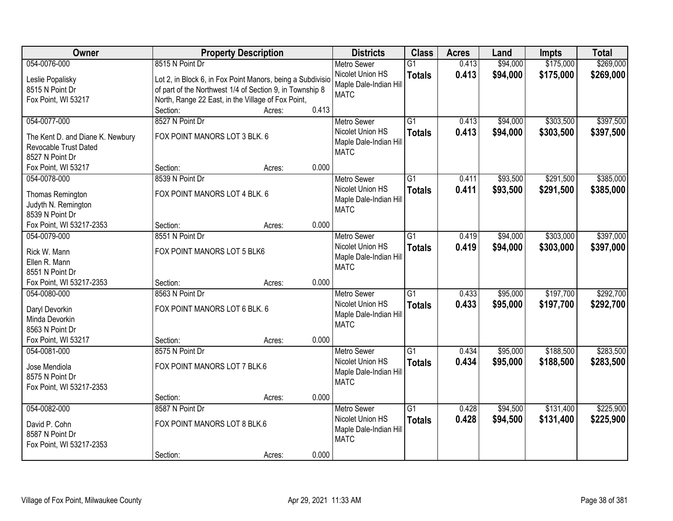| Owner                            | <b>Property Description</b>                                |        |       | <b>Districts</b>                      | <b>Class</b>    | <b>Acres</b> | Land     | <b>Impts</b> | <b>Total</b> |
|----------------------------------|------------------------------------------------------------|--------|-------|---------------------------------------|-----------------|--------------|----------|--------------|--------------|
| 054-0076-000                     | 8515 N Point Dr                                            |        |       | <b>Metro Sewer</b>                    | $\overline{G1}$ | 0.413        | \$94,000 | \$175,000    | \$269,000    |
| Leslie Popalisky                 | Lot 2, in Block 6, in Fox Point Manors, being a Subdivisio |        |       | Nicolet Union HS                      | <b>Totals</b>   | 0.413        | \$94,000 | \$175,000    | \$269,000    |
| 8515 N Point Dr                  | of part of the Northwest 1/4 of Section 9, in Township 8   |        |       | Maple Dale-Indian Hill                |                 |              |          |              |              |
| Fox Point, WI 53217              | North, Range 22 East, in the Village of Fox Point,         |        |       | <b>MATC</b>                           |                 |              |          |              |              |
|                                  | Section:                                                   | Acres: | 0.413 |                                       |                 |              |          |              |              |
| 054-0077-000                     | 8527 N Point Dr                                            |        |       | <b>Metro Sewer</b>                    | $\overline{G1}$ | 0.413        | \$94,000 | \$303,500    | \$397,500    |
|                                  |                                                            |        |       | Nicolet Union HS                      | <b>Totals</b>   | 0.413        | \$94,000 | \$303,500    | \$397,500    |
| The Kent D. and Diane K. Newbury | FOX POINT MANORS LOT 3 BLK. 6                              |        |       | Maple Dale-Indian Hill                |                 |              |          |              |              |
| Revocable Trust Dated            |                                                            |        |       | <b>MATC</b>                           |                 |              |          |              |              |
| 8527 N Point Dr                  |                                                            |        |       |                                       |                 |              |          |              |              |
| Fox Point, WI 53217              | Section:                                                   | Acres: | 0.000 |                                       |                 |              |          |              |              |
| 054-0078-000                     | 8539 N Point Dr                                            |        |       | Metro Sewer                           | $\overline{G1}$ | 0.411        | \$93,500 | \$291,500    | \$385,000    |
| Thomas Remington                 | FOX POINT MANORS LOT 4 BLK. 6                              |        |       | Nicolet Union HS                      | <b>Totals</b>   | 0.411        | \$93,500 | \$291,500    | \$385,000    |
| Judyth N. Remington              |                                                            |        |       | Maple Dale-Indian Hill                |                 |              |          |              |              |
| 8539 N Point Dr                  |                                                            |        |       | <b>MATC</b>                           |                 |              |          |              |              |
| Fox Point, WI 53217-2353         | Section:                                                   | Acres: | 0.000 |                                       |                 |              |          |              |              |
| 054-0079-000                     | 8551 N Point Dr                                            |        |       | <b>Metro Sewer</b>                    | $\overline{G1}$ | 0.419        | \$94,000 | \$303,000    | \$397,000    |
| Rick W. Mann                     | FOX POINT MANORS LOT 5 BLK6                                |        |       | Nicolet Union HS                      | <b>Totals</b>   | 0.419        | \$94,000 | \$303,000    | \$397,000    |
| Ellen R. Mann                    |                                                            |        |       | Maple Dale-Indian Hill                |                 |              |          |              |              |
| 8551 N Point Dr                  |                                                            |        |       | <b>MATC</b>                           |                 |              |          |              |              |
| Fox Point, WI 53217-2353         | Section:                                                   | Acres: | 0.000 |                                       |                 |              |          |              |              |
| 054-0080-000                     | 8563 N Point Dr                                            |        |       | <b>Metro Sewer</b>                    | $\overline{G1}$ | 0.433        | \$95,000 | \$197,700    | \$292,700    |
|                                  |                                                            |        |       |                                       |                 |              |          |              |              |
| Daryl Devorkin                   | FOX POINT MANORS LOT 6 BLK. 6                              |        |       | Nicolet Union HS                      | <b>Totals</b>   | 0.433        | \$95,000 | \$197,700    | \$292,700    |
| Minda Devorkin                   |                                                            |        |       | Maple Dale-Indian Hill<br><b>MATC</b> |                 |              |          |              |              |
| 8563 N Point Dr                  |                                                            |        |       |                                       |                 |              |          |              |              |
| Fox Point, WI 53217              | Section:                                                   | Acres: | 0.000 |                                       |                 |              |          |              |              |
| 054-0081-000                     | 8575 N Point Dr                                            |        |       | <b>Metro Sewer</b>                    | $\overline{G1}$ | 0.434        | \$95,000 | \$188,500    | \$283,500    |
| Jose Mendiola                    | FOX POINT MANORS LOT 7 BLK.6                               |        |       | Nicolet Union HS                      | <b>Totals</b>   | 0.434        | \$95,000 | \$188,500    | \$283,500    |
| 8575 N Point Dr                  |                                                            |        |       | Maple Dale-Indian Hill                |                 |              |          |              |              |
| Fox Point, WI 53217-2353         |                                                            |        |       | <b>MATC</b>                           |                 |              |          |              |              |
|                                  | Section:                                                   | Acres: | 0.000 |                                       |                 |              |          |              |              |
| 054-0082-000                     | 8587 N Point Dr                                            |        |       | <b>Metro Sewer</b>                    | $\overline{G1}$ | 0.428        | \$94,500 | \$131,400    | \$225,900    |
|                                  |                                                            |        |       | Nicolet Union HS                      | <b>Totals</b>   | 0.428        | \$94,500 | \$131,400    | \$225,900    |
| David P. Cohn                    | FOX POINT MANORS LOT 8 BLK.6                               |        |       | Maple Dale-Indian Hill                |                 |              |          |              |              |
| 8587 N Point Dr                  |                                                            |        |       | <b>MATC</b>                           |                 |              |          |              |              |
| Fox Point, WI 53217-2353         |                                                            |        |       |                                       |                 |              |          |              |              |
|                                  | Section:                                                   | Acres: | 0.000 |                                       |                 |              |          |              |              |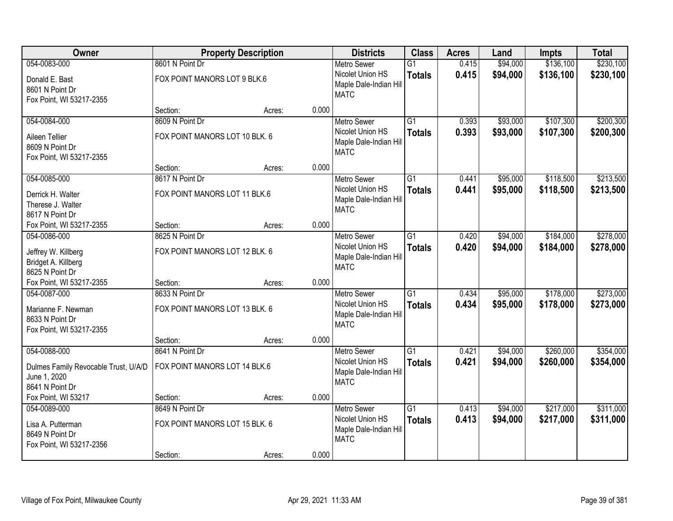| Owner                                                                             |                                                   | <b>Property Description</b> |       | <b>Districts</b>                                                                | <b>Class</b>                     | <b>Acres</b>   | Land                 | <b>Impts</b>           | <b>Total</b>           |
|-----------------------------------------------------------------------------------|---------------------------------------------------|-----------------------------|-------|---------------------------------------------------------------------------------|----------------------------------|----------------|----------------------|------------------------|------------------------|
| 054-0083-000                                                                      | 8601 N Point Dr                                   |                             |       | <b>Metro Sewer</b>                                                              | $\overline{G1}$                  | 0.415          | \$94,000             | \$136,100              | \$230,100              |
| Donald E. Bast<br>8601 N Point Dr<br>Fox Point, WI 53217-2355                     | FOX POINT MANORS LOT 9 BLK.6                      |                             |       | Nicolet Union HS<br>Maple Dale-Indian Hill<br><b>MATC</b>                       | <b>Totals</b>                    | 0.415          | \$94,000             | \$136,100              | \$230,100              |
|                                                                                   | Section:                                          | Acres:                      | 0.000 |                                                                                 |                                  |                |                      |                        |                        |
| 054-0084-000                                                                      | 8609 N Point Dr                                   |                             |       | <b>Metro Sewer</b>                                                              | $\overline{G1}$                  | 0.393          | \$93,000             | \$107,300              | \$200,300              |
| Aileen Tellier<br>8609 N Point Dr<br>Fox Point, WI 53217-2355                     | FOX POINT MANORS LOT 10 BLK. 6                    |                             |       | Nicolet Union HS<br>Maple Dale-Indian Hill<br><b>MATC</b>                       | <b>Totals</b>                    | 0.393          | \$93,000             | \$107,300              | \$200,300              |
|                                                                                   | Section:                                          | Acres:                      | 0.000 |                                                                                 |                                  |                |                      |                        |                        |
| 054-0085-000                                                                      | 8617 N Point Dr                                   |                             |       | <b>Metro Sewer</b>                                                              | $\overline{G1}$                  | 0.441          | \$95,000             | \$118,500              | \$213,500              |
| Derrick H. Walter<br>Therese J. Walter<br>8617 N Point Dr                         | FOX POINT MANORS LOT 11 BLK.6                     |                             |       | Nicolet Union HS<br>Maple Dale-Indian Hill<br><b>MATC</b>                       | <b>Totals</b>                    | 0.441          | \$95,000             | \$118,500              | \$213,500              |
| Fox Point, WI 53217-2355                                                          | Section:                                          | Acres:                      | 0.000 |                                                                                 |                                  |                |                      |                        |                        |
| 054-0086-000                                                                      | 8625 N Point Dr                                   |                             |       | <b>Metro Sewer</b>                                                              | $\overline{G1}$                  | 0.420          | \$94,000             | \$184,000              | \$278,000              |
| Jeffrey W. Killberg<br>Bridget A. Killberg<br>8625 N Point Dr                     | FOX POINT MANORS LOT 12 BLK. 6                    |                             |       | Nicolet Union HS<br>Maple Dale-Indian Hill<br><b>MATC</b>                       | <b>Totals</b>                    | 0.420          | \$94,000             | \$184,000              | \$278,000              |
| Fox Point, WI 53217-2355                                                          | Section:                                          | Acres:                      | 0.000 |                                                                                 |                                  |                |                      |                        |                        |
| 054-0087-000<br>Marianne F. Newman<br>8633 N Point Dr<br>Fox Point, WI 53217-2355 | 8633 N Point Dr<br>FOX POINT MANORS LOT 13 BLK. 6 |                             |       | <b>Metro Sewer</b><br>Nicolet Union HS<br>Maple Dale-Indian Hill<br><b>MATC</b> | $\overline{G1}$<br><b>Totals</b> | 0.434<br>0.434 | \$95,000<br>\$95,000 | \$178,000<br>\$178,000 | \$273,000<br>\$273,000 |
|                                                                                   | Section:                                          | Acres:                      | 0.000 |                                                                                 |                                  |                |                      |                        |                        |
| 054-0088-000                                                                      | 8641 N Point Dr                                   |                             |       | <b>Metro Sewer</b>                                                              | $\overline{G1}$                  | 0.421          | \$94,000             | \$260,000              | \$354,000              |
| Dulmes Family Revocable Trust, U/A/D<br>June 1, 2020<br>8641 N Point Dr           | FOX POINT MANORS LOT 14 BLK.6                     |                             |       | Nicolet Union HS<br>Maple Dale-Indian Hill<br><b>MATC</b>                       | <b>Totals</b>                    | 0.421          | \$94,000             | \$260,000              | \$354,000              |
| Fox Point, WI 53217                                                               | Section:                                          | Acres:                      | 0.000 |                                                                                 |                                  |                |                      |                        |                        |
| 054-0089-000<br>Lisa A. Putterman<br>8649 N Point Dr<br>Fox Point, WI 53217-2356  | 8649 N Point Dr<br>FOX POINT MANORS LOT 15 BLK. 6 |                             |       | <b>Metro Sewer</b><br>Nicolet Union HS<br>Maple Dale-Indian Hill<br><b>MATC</b> | $\overline{G1}$<br><b>Totals</b> | 0.413<br>0.413 | \$94,000<br>\$94,000 | \$217,000<br>\$217,000 | \$311,000<br>\$311,000 |
|                                                                                   | Section:                                          | Acres:                      | 0.000 |                                                                                 |                                  |                |                      |                        |                        |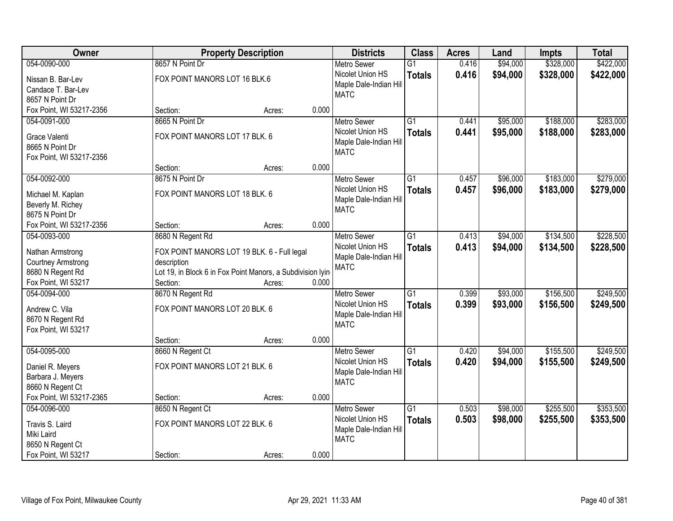| Owner                                       |                                                            | <b>Property Description</b> |       | <b>Districts</b>                      | <b>Class</b>    | <b>Acres</b> | Land     | <b>Impts</b> | <b>Total</b> |
|---------------------------------------------|------------------------------------------------------------|-----------------------------|-------|---------------------------------------|-----------------|--------------|----------|--------------|--------------|
| 054-0090-000                                | 8657 N Point Dr                                            |                             |       | <b>Metro Sewer</b>                    | $\overline{G1}$ | 0.416        | \$94,000 | \$328,000    | \$422,000    |
| Nissan B. Bar-Lev                           | FOX POINT MANORS LOT 16 BLK.6                              |                             |       | Nicolet Union HS                      | <b>Totals</b>   | 0.416        | \$94,000 | \$328,000    | \$422,000    |
| Candace T. Bar-Lev                          |                                                            |                             |       | Maple Dale-Indian Hill                |                 |              |          |              |              |
| 8657 N Point Dr                             |                                                            |                             |       | <b>MATC</b>                           |                 |              |          |              |              |
| Fox Point, WI 53217-2356                    | Section:                                                   | Acres:                      | 0.000 |                                       |                 |              |          |              |              |
| 054-0091-000                                | 8665 N Point Dr                                            |                             |       | <b>Metro Sewer</b>                    | $\overline{G1}$ | 0.441        | \$95,000 | \$188,000    | \$283,000    |
|                                             | FOX POINT MANORS LOT 17 BLK. 6                             |                             |       | Nicolet Union HS                      | <b>Totals</b>   | 0.441        | \$95,000 | \$188,000    | \$283,000    |
| Grace Valenti                               |                                                            |                             |       | Maple Dale-Indian Hill                |                 |              |          |              |              |
| 8665 N Point Dr<br>Fox Point, WI 53217-2356 |                                                            |                             |       | <b>MATC</b>                           |                 |              |          |              |              |
|                                             | Section:                                                   | Acres:                      | 0.000 |                                       |                 |              |          |              |              |
| 054-0092-000                                | 8675 N Point Dr                                            |                             |       | <b>Metro Sewer</b>                    | $\overline{G1}$ | 0.457        | \$96,000 | \$183,000    | \$279,000    |
|                                             |                                                            |                             |       | Nicolet Union HS                      | <b>Totals</b>   | 0.457        | \$96,000 | \$183,000    | \$279,000    |
| Michael M. Kaplan                           | FOX POINT MANORS LOT 18 BLK. 6                             |                             |       | Maple Dale-Indian Hill                |                 |              |          |              |              |
| Beverly M. Richey                           |                                                            |                             |       | <b>MATC</b>                           |                 |              |          |              |              |
| 8675 N Point Dr                             |                                                            |                             |       |                                       |                 |              |          |              |              |
| Fox Point, WI 53217-2356                    | Section:                                                   | Acres:                      | 0.000 |                                       |                 |              |          |              |              |
| 054-0093-000                                | 8680 N Regent Rd                                           |                             |       | <b>Metro Sewer</b>                    | $\overline{G1}$ | 0.413        | \$94,000 | \$134,500    | \$228,500    |
| Nathan Armstrong                            | FOX POINT MANORS LOT 19 BLK. 6 - Full legal                |                             |       | Nicolet Union HS                      | <b>Totals</b>   | 0.413        | \$94,000 | \$134,500    | \$228,500    |
| <b>Courtney Armstrong</b>                   | description                                                |                             |       | Maple Dale-Indian Hill<br><b>MATC</b> |                 |              |          |              |              |
| 8680 N Regent Rd                            | Lot 19, in Block 6 in Fox Point Manors, a Subdivision lyin |                             |       |                                       |                 |              |          |              |              |
| Fox Point, WI 53217                         | Section:                                                   | Acres:                      | 0.000 |                                       |                 |              |          |              |              |
| 054-0094-000                                | 8670 N Regent Rd                                           |                             |       | <b>Metro Sewer</b>                    | $\overline{G1}$ | 0.399        | \$93,000 | \$156,500    | \$249,500    |
| Andrew C. Vila                              | FOX POINT MANORS LOT 20 BLK. 6                             |                             |       | Nicolet Union HS                      | <b>Totals</b>   | 0.399        | \$93,000 | \$156,500    | \$249,500    |
| 8670 N Regent Rd                            |                                                            |                             |       | Maple Dale-Indian Hill                |                 |              |          |              |              |
| Fox Point, WI 53217                         |                                                            |                             |       | <b>MATC</b>                           |                 |              |          |              |              |
|                                             | Section:                                                   | Acres:                      | 0.000 |                                       |                 |              |          |              |              |
| 054-0095-000                                | 8660 N Regent Ct                                           |                             |       | <b>Metro Sewer</b>                    | $\overline{G1}$ | 0.420        | \$94,000 | \$155,500    | \$249,500    |
|                                             | FOX POINT MANORS LOT 21 BLK. 6                             |                             |       | Nicolet Union HS                      | <b>Totals</b>   | 0.420        | \$94,000 | \$155,500    | \$249,500    |
| Daniel R. Meyers<br>Barbara J. Meyers       |                                                            |                             |       | Maple Dale-Indian Hill                |                 |              |          |              |              |
| 8660 N Regent Ct                            |                                                            |                             |       | <b>MATC</b>                           |                 |              |          |              |              |
| Fox Point, WI 53217-2365                    | Section:                                                   | Acres:                      | 0.000 |                                       |                 |              |          |              |              |
| 054-0096-000                                | 8650 N Regent Ct                                           |                             |       | <b>Metro Sewer</b>                    | $\overline{G1}$ | 0.503        | \$98,000 | \$255,500    | \$353,500    |
|                                             |                                                            |                             |       | Nicolet Union HS                      | <b>Totals</b>   | 0.503        | \$98,000 | \$255,500    | \$353,500    |
| Travis S. Laird                             | FOX POINT MANORS LOT 22 BLK. 6                             |                             |       | Maple Dale-Indian Hill                |                 |              |          |              |              |
| Miki Laird                                  |                                                            |                             |       | <b>MATC</b>                           |                 |              |          |              |              |
| 8650 N Regent Ct                            |                                                            |                             |       |                                       |                 |              |          |              |              |
| Fox Point, WI 53217                         | Section:                                                   | Acres:                      | 0.000 |                                       |                 |              |          |              |              |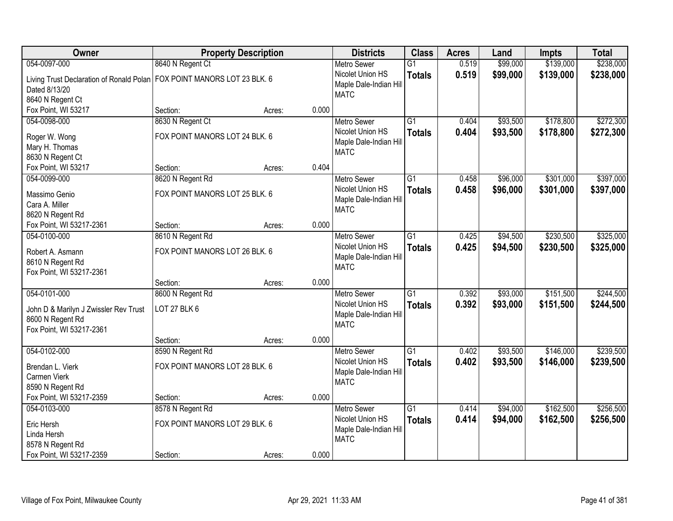| Owner                                                                     |                                | <b>Property Description</b> |       | <b>Districts</b>                      | <b>Class</b>    | <b>Acres</b> | Land     | <b>Impts</b> | <b>Total</b> |
|---------------------------------------------------------------------------|--------------------------------|-----------------------------|-------|---------------------------------------|-----------------|--------------|----------|--------------|--------------|
| 054-0097-000                                                              | 8640 N Regent Ct               |                             |       | <b>Metro Sewer</b>                    | $\overline{G1}$ | 0.519        | \$99,000 | \$139,000    | \$238,000    |
| Living Trust Declaration of Ronald Polan   FOX POINT MANORS LOT 23 BLK. 6 |                                |                             |       | Nicolet Union HS                      | <b>Totals</b>   | 0.519        | \$99,000 | \$139,000    | \$238,000    |
| Dated 8/13/20                                                             |                                |                             |       | Maple Dale-Indian Hill                |                 |              |          |              |              |
| 8640 N Regent Ct                                                          |                                |                             |       | <b>MATC</b>                           |                 |              |          |              |              |
| Fox Point, WI 53217                                                       | Section:                       | Acres:                      | 0.000 |                                       |                 |              |          |              |              |
| 054-0098-000                                                              | 8630 N Regent Ct               |                             |       | <b>Metro Sewer</b>                    | $\overline{G1}$ | 0.404        | \$93,500 | \$178,800    | \$272,300    |
|                                                                           |                                |                             |       | Nicolet Union HS                      | <b>Totals</b>   | 0.404        | \$93,500 | \$178,800    | \$272,300    |
| Roger W. Wong                                                             | FOX POINT MANORS LOT 24 BLK. 6 |                             |       | Maple Dale-Indian Hill                |                 |              |          |              |              |
| Mary H. Thomas                                                            |                                |                             |       | <b>MATC</b>                           |                 |              |          |              |              |
| 8630 N Regent Ct                                                          |                                |                             | 0.404 |                                       |                 |              |          |              |              |
| Fox Point, WI 53217                                                       | Section:                       | Acres:                      |       |                                       |                 |              |          |              |              |
| 054-0099-000                                                              | 8620 N Regent Rd               |                             |       | <b>Metro Sewer</b>                    | $\overline{G1}$ | 0.458        | \$96,000 | \$301,000    | \$397,000    |
| Massimo Genio                                                             | FOX POINT MANORS LOT 25 BLK. 6 |                             |       | Nicolet Union HS                      | <b>Totals</b>   | 0.458        | \$96,000 | \$301,000    | \$397,000    |
| Cara A. Miller                                                            |                                |                             |       | Maple Dale-Indian Hill<br><b>MATC</b> |                 |              |          |              |              |
| 8620 N Regent Rd                                                          |                                |                             |       |                                       |                 |              |          |              |              |
| Fox Point, WI 53217-2361                                                  | Section:                       | Acres:                      | 0.000 |                                       |                 |              |          |              |              |
| 054-0100-000                                                              | 8610 N Regent Rd               |                             |       | <b>Metro Sewer</b>                    | $\overline{G1}$ | 0.425        | \$94,500 | \$230,500    | \$325,000    |
| Robert A. Asmann                                                          | FOX POINT MANORS LOT 26 BLK. 6 |                             |       | Nicolet Union HS                      | <b>Totals</b>   | 0.425        | \$94,500 | \$230,500    | \$325,000    |
|                                                                           |                                |                             |       | Maple Dale-Indian Hill                |                 |              |          |              |              |
| 8610 N Regent Rd<br>Fox Point, WI 53217-2361                              |                                |                             |       | <b>MATC</b>                           |                 |              |          |              |              |
|                                                                           | Section:                       | Acres:                      | 0.000 |                                       |                 |              |          |              |              |
| 054-0101-000                                                              | 8600 N Regent Rd               |                             |       | <b>Metro Sewer</b>                    | $\overline{G1}$ | 0.392        | \$93,000 | \$151,500    | \$244,500    |
|                                                                           |                                |                             |       | Nicolet Union HS                      |                 | 0.392        |          |              |              |
| John D & Marilyn J Zwissler Rev Trust                                     | <b>LOT 27 BLK 6</b>            |                             |       | Maple Dale-Indian Hill                | <b>Totals</b>   |              | \$93,000 | \$151,500    | \$244,500    |
| 8600 N Regent Rd                                                          |                                |                             |       | <b>MATC</b>                           |                 |              |          |              |              |
| Fox Point, WI 53217-2361                                                  |                                |                             |       |                                       |                 |              |          |              |              |
|                                                                           | Section:                       | Acres:                      | 0.000 |                                       |                 |              |          |              |              |
| 054-0102-000                                                              | 8590 N Regent Rd               |                             |       | <b>Metro Sewer</b>                    | $\overline{G1}$ | 0.402        | \$93,500 | \$146,000    | \$239,500    |
| Brendan L. Vierk                                                          | FOX POINT MANORS LOT 28 BLK. 6 |                             |       | Nicolet Union HS                      | <b>Totals</b>   | 0.402        | \$93,500 | \$146,000    | \$239,500    |
| Carmen Vierk                                                              |                                |                             |       | Maple Dale-Indian Hill                |                 |              |          |              |              |
| 8590 N Regent Rd                                                          |                                |                             |       | <b>MATC</b>                           |                 |              |          |              |              |
| Fox Point, WI 53217-2359                                                  | Section:                       | Acres:                      | 0.000 |                                       |                 |              |          |              |              |
| 054-0103-000                                                              | 8578 N Regent Rd               |                             |       | <b>Metro Sewer</b>                    | $\overline{G1}$ | 0.414        | \$94,000 | \$162,500    | \$256,500    |
|                                                                           |                                |                             |       | Nicolet Union HS                      | <b>Totals</b>   | 0.414        | \$94,000 | \$162,500    | \$256,500    |
| Eric Hersh                                                                | FOX POINT MANORS LOT 29 BLK. 6 |                             |       | Maple Dale-Indian Hill                |                 |              |          |              |              |
| Linda Hersh                                                               |                                |                             |       | <b>MATC</b>                           |                 |              |          |              |              |
| 8578 N Regent Rd                                                          |                                |                             |       |                                       |                 |              |          |              |              |
| Fox Point, WI 53217-2359                                                  | Section:                       | Acres:                      | 0.000 |                                       |                 |              |          |              |              |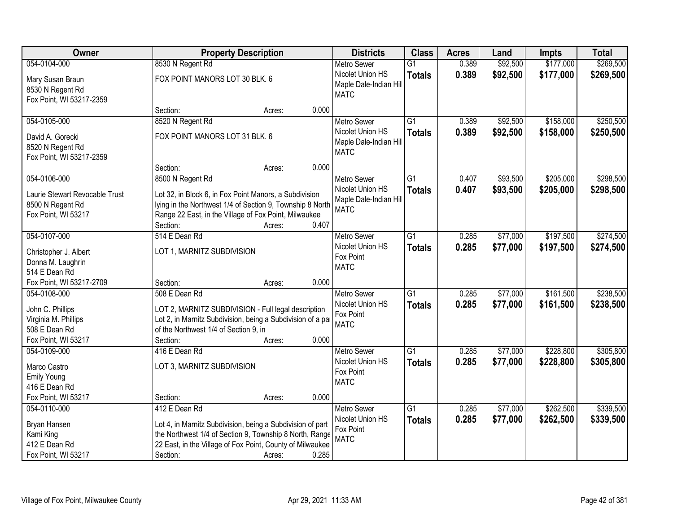| Owner                              | <b>Property Description</b>                                 |        |       | <b>Districts</b>       | <b>Class</b>    | <b>Acres</b> | Land     | <b>Impts</b> | <b>Total</b> |
|------------------------------------|-------------------------------------------------------------|--------|-------|------------------------|-----------------|--------------|----------|--------------|--------------|
| 054-0104-000                       | 8530 N Regent Rd                                            |        |       | <b>Metro Sewer</b>     | $\overline{G1}$ | 0.389        | \$92,500 | \$177,000    | \$269,500    |
| Mary Susan Braun                   | FOX POINT MANORS LOT 30 BLK. 6                              |        |       | Nicolet Union HS       | <b>Totals</b>   | 0.389        | \$92,500 | \$177,000    | \$269,500    |
| 8530 N Regent Rd                   |                                                             |        |       | Maple Dale-Indian Hill |                 |              |          |              |              |
| Fox Point, WI 53217-2359           |                                                             |        |       | <b>MATC</b>            |                 |              |          |              |              |
|                                    | Section:                                                    | Acres: | 0.000 |                        |                 |              |          |              |              |
| 054-0105-000                       | 8520 N Regent Rd                                            |        |       | <b>Metro Sewer</b>     | $\overline{G1}$ | 0.389        | \$92,500 | \$158,000    | \$250,500    |
| David A. Gorecki                   | FOX POINT MANORS LOT 31 BLK. 6                              |        |       | Nicolet Union HS       | <b>Totals</b>   | 0.389        | \$92,500 | \$158,000    | \$250,500    |
| 8520 N Regent Rd                   |                                                             |        |       | Maple Dale-Indian Hill |                 |              |          |              |              |
| Fox Point, WI 53217-2359           |                                                             |        |       | <b>MATC</b>            |                 |              |          |              |              |
|                                    | Section:                                                    | Acres: | 0.000 |                        |                 |              |          |              |              |
| 054-0106-000                       | 8500 N Regent Rd                                            |        |       | Metro Sewer            | G1              | 0.407        | \$93,500 | \$205,000    | \$298,500    |
| Laurie Stewart Revocable Trust     | Lot 32, in Block 6, in Fox Point Manors, a Subdivision      |        |       | Nicolet Union HS       | <b>Totals</b>   | 0.407        | \$93,500 | \$205,000    | \$298,500    |
| 8500 N Regent Rd                   | lying in the Northwest 1/4 of Section 9, Township 8 North   |        |       | Maple Dale-Indian Hill |                 |              |          |              |              |
| Fox Point, WI 53217                | Range 22 East, in the Village of Fox Point, Milwaukee       |        |       | <b>MATC</b>            |                 |              |          |              |              |
|                                    | Section:                                                    | Acres: | 0.407 |                        |                 |              |          |              |              |
| 054-0107-000                       | 514 E Dean Rd                                               |        |       | <b>Metro Sewer</b>     | G1              | 0.285        | \$77,000 | \$197,500    | \$274,500    |
|                                    |                                                             |        |       | Nicolet Union HS       | <b>Totals</b>   | 0.285        | \$77,000 | \$197,500    | \$274,500    |
| Christopher J. Albert              | LOT 1, MARNITZ SUBDIVISION                                  |        |       | Fox Point              |                 |              |          |              |              |
| Donna M. Laughrin<br>514 E Dean Rd |                                                             |        |       | <b>MATC</b>            |                 |              |          |              |              |
| Fox Point, WI 53217-2709           | Section:                                                    | Acres: | 0.000 |                        |                 |              |          |              |              |
| 054-0108-000                       | 508 E Dean Rd                                               |        |       | <b>Metro Sewer</b>     | $\overline{G1}$ | 0.285        | \$77,000 | \$161,500    | \$238,500    |
|                                    |                                                             |        |       | Nicolet Union HS       | <b>Totals</b>   | 0.285        | \$77,000 | \$161,500    | \$238,500    |
| John C. Phillips                   | LOT 2, MARNITZ SUBDIVISION - Full legal description         |        |       | Fox Point              |                 |              |          |              |              |
| Virginia M. Phillips               | Lot 2, in Marnitz Subdivision, being a Subdivision of a par |        |       | <b>MATC</b>            |                 |              |          |              |              |
| 508 E Dean Rd                      | of the Northwest 1/4 of Section 9, in                       |        |       |                        |                 |              |          |              |              |
| Fox Point, WI 53217                | Section:                                                    | Acres: | 0.000 |                        |                 |              |          |              |              |
| 054-0109-000                       | 416 E Dean Rd                                               |        |       | <b>Metro Sewer</b>     | $\overline{G1}$ | 0.285        | \$77,000 | \$228,800    | \$305,800    |
| Marco Castro                       | LOT 3, MARNITZ SUBDIVISION                                  |        |       | Nicolet Union HS       | <b>Totals</b>   | 0.285        | \$77,000 | \$228,800    | \$305,800    |
| <b>Emily Young</b>                 |                                                             |        |       | Fox Point              |                 |              |          |              |              |
| 416 E Dean Rd                      |                                                             |        |       | <b>MATC</b>            |                 |              |          |              |              |
| Fox Point, WI 53217                | Section:                                                    | Acres: | 0.000 |                        |                 |              |          |              |              |
| 054-0110-000                       | 412 E Dean Rd                                               |        |       | <b>Metro Sewer</b>     | $\overline{G1}$ | 0.285        | \$77,000 | \$262,500    | \$339,500    |
| Bryan Hansen                       | Lot 4, in Marnitz Subdivision, being a Subdivision of part  |        |       | Nicolet Union HS       | <b>Totals</b>   | 0.285        | \$77,000 | \$262,500    | \$339,500    |
| Kami King                          | the Northwest 1/4 of Section 9, Township 8 North, Range     |        |       | Fox Point              |                 |              |          |              |              |
| 412 E Dean Rd                      | 22 East, in the Village of Fox Point, County of Milwaukee   |        |       | <b>MATC</b>            |                 |              |          |              |              |
| Fox Point, WI 53217                | Section:                                                    | Acres: | 0.285 |                        |                 |              |          |              |              |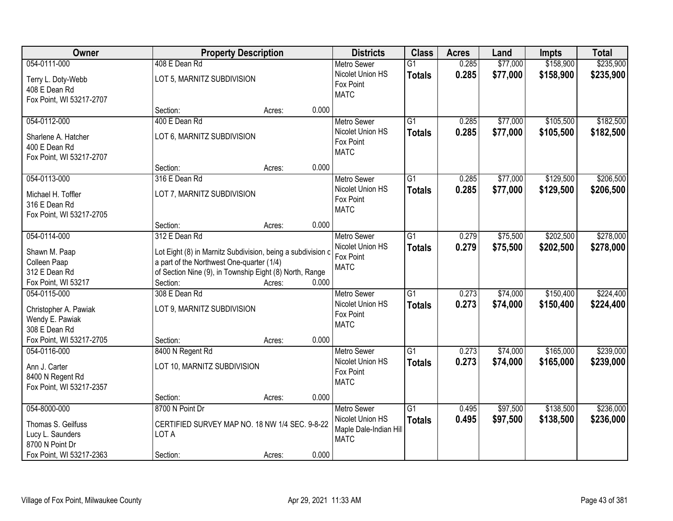| Owner                                                                                                 |                                                                                                                                                                                      | <b>Property Description</b> |       | <b>Districts</b>                                                                | <b>Class</b>                     | <b>Acres</b>   | Land                 | <b>Impts</b>           | <b>Total</b>           |
|-------------------------------------------------------------------------------------------------------|--------------------------------------------------------------------------------------------------------------------------------------------------------------------------------------|-----------------------------|-------|---------------------------------------------------------------------------------|----------------------------------|----------------|----------------------|------------------------|------------------------|
| 054-0111-000                                                                                          | 408 E Dean Rd                                                                                                                                                                        |                             |       | <b>Metro Sewer</b>                                                              | $\overline{G1}$                  | 0.285          | \$77,000             | \$158,900              | \$235,900              |
| Terry L. Doty-Webb<br>408 E Dean Rd<br>Fox Point, WI 53217-2707                                       | LOT 5, MARNITZ SUBDIVISION                                                                                                                                                           |                             |       | Nicolet Union HS<br>Fox Point<br><b>MATC</b>                                    | <b>Totals</b>                    | 0.285          | \$77,000             | \$158,900              | \$235,900              |
|                                                                                                       | Section:                                                                                                                                                                             | Acres:                      | 0.000 |                                                                                 |                                  |                |                      |                        |                        |
| 054-0112-000<br>Sharlene A. Hatcher<br>400 E Dean Rd<br>Fox Point, WI 53217-2707                      | 400 E Dean Rd<br>LOT 6, MARNITZ SUBDIVISION                                                                                                                                          |                             |       | <b>Metro Sewer</b><br>Nicolet Union HS<br>Fox Point<br><b>MATC</b>              | $\overline{G1}$<br><b>Totals</b> | 0.285<br>0.285 | \$77,000<br>\$77,000 | \$105,500<br>\$105,500 | \$182,500<br>\$182,500 |
|                                                                                                       | Section:                                                                                                                                                                             | Acres:                      | 0.000 |                                                                                 |                                  |                |                      |                        |                        |
| 054-0113-000<br>Michael H. Toffler<br>316 E Dean Rd<br>Fox Point, WI 53217-2705                       | 316 E Dean Rd<br>LOT 7, MARNITZ SUBDIVISION                                                                                                                                          |                             |       | <b>Metro Sewer</b><br>Nicolet Union HS<br>Fox Point<br><b>MATC</b>              | $\overline{G1}$<br><b>Totals</b> | 0.285<br>0.285 | \$77,000<br>\$77,000 | \$129,500<br>\$129,500 | \$206,500<br>\$206,500 |
|                                                                                                       | Section:                                                                                                                                                                             | Acres:                      | 0.000 |                                                                                 |                                  |                |                      |                        |                        |
| 054-0114-000<br>Shawn M. Paap<br>Colleen Paap<br>312 E Dean Rd                                        | 312 E Dean Rd<br>Lot Eight (8) in Marnitz Subdivision, being a subdivision c<br>a part of the Northwest One-quarter (1/4)<br>of Section Nine (9), in Township Eight (8) North, Range |                             |       | <b>Metro Sewer</b><br>Nicolet Union HS<br>Fox Point<br><b>MATC</b>              | G1<br><b>Totals</b>              | 0.279<br>0.279 | \$75,500<br>\$75,500 | \$202,500<br>\$202,500 | \$278,000<br>\$278,000 |
| Fox Point, WI 53217                                                                                   | Section:                                                                                                                                                                             | Acres:                      | 0.000 |                                                                                 |                                  |                |                      |                        |                        |
| 054-0115-000<br>Christopher A. Pawiak<br>Wendy E. Pawiak<br>308 E Dean Rd                             | 308 E Dean Rd<br>LOT 9, MARNITZ SUBDIVISION                                                                                                                                          |                             |       | Metro Sewer<br>Nicolet Union HS<br>Fox Point<br><b>MATC</b>                     | $\overline{G1}$<br><b>Totals</b> | 0.273<br>0.273 | \$74,000<br>\$74,000 | \$150,400<br>\$150,400 | \$224,400<br>\$224,400 |
| Fox Point, WI 53217-2705                                                                              | Section:                                                                                                                                                                             | Acres:                      | 0.000 |                                                                                 |                                  |                |                      |                        |                        |
| 054-0116-000<br>Ann J. Carter<br>8400 N Regent Rd<br>Fox Point, WI 53217-2357                         | 8400 N Regent Rd<br>LOT 10, MARNITZ SUBDIVISION                                                                                                                                      |                             |       | <b>Metro Sewer</b><br>Nicolet Union HS<br>Fox Point<br><b>MATC</b>              | $\overline{G1}$<br><b>Totals</b> | 0.273<br>0.273 | \$74,000<br>\$74,000 | \$165,000<br>\$165,000 | \$239,000<br>\$239,000 |
|                                                                                                       | Section:                                                                                                                                                                             | Acres:                      | 0.000 |                                                                                 |                                  |                |                      |                        |                        |
| 054-8000-000<br>Thomas S. Geilfuss<br>Lucy L. Saunders<br>8700 N Point Dr<br>Fox Point, WI 53217-2363 | 8700 N Point Dr<br>CERTIFIED SURVEY MAP NO. 18 NW 1/4 SEC. 9-8-22<br>LOT A<br>Section:                                                                                               | Acres:                      | 0.000 | <b>Metro Sewer</b><br>Nicolet Union HS<br>Maple Dale-Indian Hill<br><b>MATC</b> | $\overline{G1}$<br><b>Totals</b> | 0.495<br>0.495 | \$97,500<br>\$97,500 | \$138,500<br>\$138,500 | \$236,000<br>\$236,000 |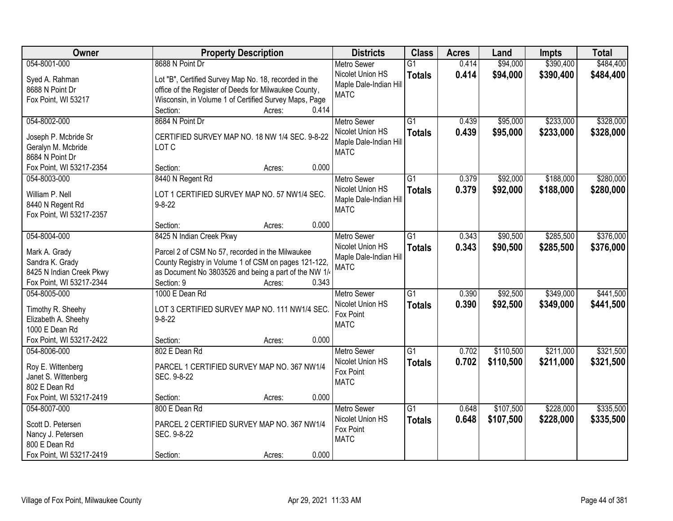| Owner                                 | <b>Property Description</b>                                                                                    | <b>Districts</b>                           | <b>Class</b>    | <b>Acres</b> | Land      | <b>Impts</b> | <b>Total</b> |
|---------------------------------------|----------------------------------------------------------------------------------------------------------------|--------------------------------------------|-----------------|--------------|-----------|--------------|--------------|
| 054-8001-000                          | 8688 N Point Dr                                                                                                | <b>Metro Sewer</b>                         | $\overline{G1}$ | 0.414        | \$94,000  | \$390,400    | \$484,400    |
| Syed A. Rahman<br>8688 N Point Dr     | Lot "B", Certified Survey Map No. 18, recorded in the<br>office of the Register of Deeds for Milwaukee County, | Nicolet Union HS<br>Maple Dale-Indian Hill | <b>Totals</b>   | 0.414        | \$94,000  | \$390,400    | \$484,400    |
| Fox Point, WI 53217                   | Wisconsin, in Volume 1 of Certified Survey Maps, Page                                                          | <b>MATC</b>                                |                 |              |           |              |              |
|                                       | 0.414<br>Section:<br>Acres:                                                                                    |                                            |                 |              |           |              |              |
| 054-8002-000                          | 8684 N Point Dr                                                                                                | <b>Metro Sewer</b>                         | $\overline{G1}$ | 0.439        | \$95,000  | \$233,000    | \$328,000    |
|                                       |                                                                                                                | Nicolet Union HS                           | <b>Totals</b>   | 0.439        | \$95,000  | \$233,000    | \$328,000    |
| Joseph P. Mcbride Sr                  | CERTIFIED SURVEY MAP NO. 18 NW 1/4 SEC. 9-8-22                                                                 | Maple Dale-Indian Hill                     |                 |              |           |              |              |
| Geralyn M. Mcbride                    | LOT C                                                                                                          | <b>MATC</b>                                |                 |              |           |              |              |
| 8684 N Point Dr                       |                                                                                                                |                                            |                 |              |           |              |              |
| Fox Point, WI 53217-2354              | 0.000<br>Section:<br>Acres:                                                                                    |                                            |                 |              |           |              |              |
| 054-8003-000                          | 8440 N Regent Rd                                                                                               | <b>Metro Sewer</b>                         | $\overline{G1}$ | 0.379        | \$92,000  | \$188,000    | \$280,000    |
| William P. Nell                       | LOT 1 CERTIFIED SURVEY MAP NO. 57 NW1/4 SEC.                                                                   | Nicolet Union HS                           | <b>Totals</b>   | 0.379        | \$92,000  | \$188,000    | \$280,000    |
| 8440 N Regent Rd                      | $9 - 8 - 22$                                                                                                   | Maple Dale-Indian Hill                     |                 |              |           |              |              |
| Fox Point, WI 53217-2357              |                                                                                                                | <b>MATC</b>                                |                 |              |           |              |              |
|                                       | 0.000<br>Section:<br>Acres:                                                                                    |                                            |                 |              |           |              |              |
| 054-8004-000                          | 8425 N Indian Creek Pkwy                                                                                       | <b>Metro Sewer</b>                         | $\overline{G1}$ | 0.343        | \$90,500  | \$285,500    | \$376,000    |
|                                       |                                                                                                                | Nicolet Union HS                           |                 | 0.343        |           |              |              |
| Mark A. Grady                         | Parcel 2 of CSM No 57, recorded in the Milwaukee                                                               | Maple Dale-Indian Hill                     | <b>Totals</b>   |              | \$90,500  | \$285,500    | \$376,000    |
| Sandra K. Grady                       | County Registry in Volume 1 of CSM on pages 121-122,                                                           | <b>MATC</b>                                |                 |              |           |              |              |
| 8425 N Indian Creek Pkwy              | as Document No 3803526 and being a part of the NW 1/                                                           |                                            |                 |              |           |              |              |
| Fox Point, WI 53217-2344              | Section: 9<br>0.343<br>Acres:                                                                                  |                                            |                 |              |           |              |              |
| 054-8005-000                          | 1000 E Dean Rd                                                                                                 | <b>Metro Sewer</b>                         | $\overline{G1}$ | 0.390        | \$92,500  | \$349,000    | \$441,500    |
|                                       | LOT 3 CERTIFIED SURVEY MAP NO. 111 NW1/4 SEC.                                                                  | Nicolet Union HS                           | <b>Totals</b>   | 0.390        | \$92,500  | \$349,000    | \$441,500    |
| Timothy R. Sheehy                     | $9 - 8 - 22$                                                                                                   | Fox Point                                  |                 |              |           |              |              |
| Elizabeth A. Sheehy<br>1000 E Dean Rd |                                                                                                                | <b>MATC</b>                                |                 |              |           |              |              |
| Fox Point, WI 53217-2422              | 0.000<br>Section:<br>Acres:                                                                                    |                                            |                 |              |           |              |              |
| 054-8006-000                          | 802 E Dean Rd                                                                                                  |                                            | G1              | 0.702        | \$110,500 | \$211,000    | \$321,500    |
|                                       |                                                                                                                | Metro Sewer                                |                 |              |           |              |              |
| Roy E. Wittenberg                     | PARCEL 1 CERTIFIED SURVEY MAP NO. 367 NW1/4                                                                    | Nicolet Union HS<br>Fox Point              | <b>Totals</b>   | 0.702        | \$110,500 | \$211,000    | \$321,500    |
| Janet S. Wittenberg                   | SEC. 9-8-22                                                                                                    | <b>MATC</b>                                |                 |              |           |              |              |
| 802 E Dean Rd                         |                                                                                                                |                                            |                 |              |           |              |              |
| Fox Point, WI 53217-2419              | 0.000<br>Section:<br>Acres:                                                                                    |                                            |                 |              |           |              |              |
| 054-8007-000                          | 800 E Dean Rd                                                                                                  | <b>Metro Sewer</b>                         | G1              | 0.648        | \$107,500 | \$228,000    | \$335,500    |
| Scott D. Petersen                     | PARCEL 2 CERTIFIED SURVEY MAP NO. 367 NW1/4                                                                    | Nicolet Union HS                           | <b>Totals</b>   | 0.648        | \$107,500 | \$228,000    | \$335,500    |
|                                       | SEC. 9-8-22                                                                                                    | Fox Point                                  |                 |              |           |              |              |
| Nancy J. Petersen<br>800 E Dean Rd    |                                                                                                                | <b>MATC</b>                                |                 |              |           |              |              |
| Fox Point, WI 53217-2419              | 0.000<br>Section:                                                                                              |                                            |                 |              |           |              |              |
|                                       | Acres:                                                                                                         |                                            |                 |              |           |              |              |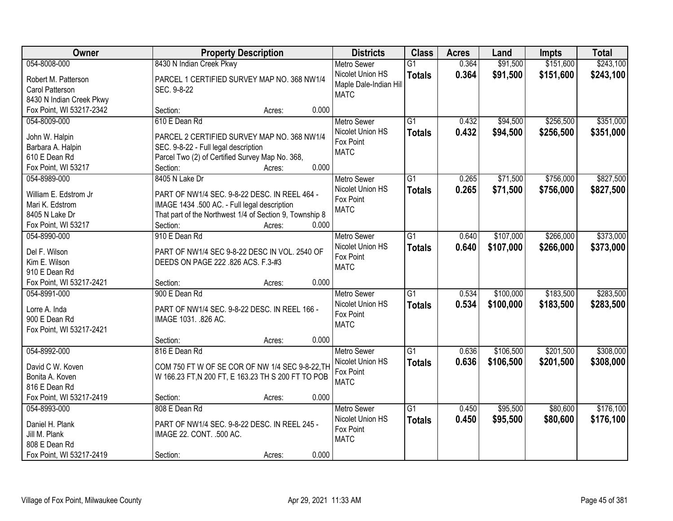| Owner                    |                                                         | <b>Property Description</b> | <b>Districts</b>       | <b>Class</b>    | <b>Acres</b> | Land      | <b>Impts</b> | <b>Total</b> |
|--------------------------|---------------------------------------------------------|-----------------------------|------------------------|-----------------|--------------|-----------|--------------|--------------|
| 054-8008-000             | 8430 N Indian Creek Pkwy                                |                             | <b>Metro Sewer</b>     | $\overline{G1}$ | 0.364        | \$91,500  | \$151,600    | \$243,100    |
| Robert M. Patterson      | PARCEL 1 CERTIFIED SURVEY MAP NO. 368 NW1/4             |                             | Nicolet Union HS       | <b>Totals</b>   | 0.364        | \$91,500  | \$151,600    | \$243,100    |
| Carol Patterson          | SEC. 9-8-22                                             |                             | Maple Dale-Indian Hill |                 |              |           |              |              |
| 8430 N Indian Creek Pkwy |                                                         |                             | <b>MATC</b>            |                 |              |           |              |              |
| Fox Point, WI 53217-2342 | Section:                                                | 0.000<br>Acres:             |                        |                 |              |           |              |              |
| 054-8009-000             | 610 E Dean Rd                                           |                             | <b>Metro Sewer</b>     | $\overline{G1}$ | 0.432        | \$94,500  | \$256,500    | \$351,000    |
|                          |                                                         |                             | Nicolet Union HS       | <b>Totals</b>   | 0.432        | \$94,500  | \$256,500    | \$351,000    |
| John W. Halpin           | PARCEL 2 CERTIFIED SURVEY MAP NO. 368 NW1/4             |                             | Fox Point              |                 |              |           |              |              |
| Barbara A. Halpin        | SEC. 9-8-22 - Full legal description                    |                             | <b>MATC</b>            |                 |              |           |              |              |
| 610 E Dean Rd            | Parcel Two (2) of Certified Survey Map No. 368,         | 0.000                       |                        |                 |              |           |              |              |
| Fox Point, WI 53217      | Section:                                                | Acres:                      |                        |                 |              |           |              |              |
| 054-8989-000             | 8405 N Lake Dr                                          |                             | Metro Sewer            | G1              | 0.265        | \$71,500  | \$756,000    | \$827,500    |
| William E. Edstrom Jr    | PART OF NW1/4 SEC. 9-8-22 DESC. IN REEL 464 -           |                             | Nicolet Union HS       | <b>Totals</b>   | 0.265        | \$71,500  | \$756,000    | \$827,500    |
| Mari K. Edstrom          | IMAGE 1434 .500 AC. - Full legal description            |                             | Fox Point              |                 |              |           |              |              |
| 8405 N Lake Dr           | That part of the Northwest 1/4 of Section 9, Township 8 |                             | <b>MATC</b>            |                 |              |           |              |              |
| Fox Point, WI 53217      | Section:                                                | 0.000<br>Acres:             |                        |                 |              |           |              |              |
| 054-8990-000             | 910 E Dean Rd                                           |                             | <b>Metro Sewer</b>     | G1              | 0.640        | \$107,000 | \$266,000    | \$373,000    |
|                          |                                                         |                             | Nicolet Union HS       | <b>Totals</b>   | 0.640        | \$107,000 | \$266,000    | \$373,000    |
| Del F. Wilson            | PART OF NW1/4 SEC 9-8-22 DESC IN VOL. 2540 OF           |                             | Fox Point              |                 |              |           |              |              |
| Kim E. Wilson            | DEEDS ON PAGE 222 .826 ACS. F.3-#3                      |                             | <b>MATC</b>            |                 |              |           |              |              |
| 910 E Dean Rd            |                                                         |                             |                        |                 |              |           |              |              |
| Fox Point, WI 53217-2421 | Section:                                                | 0.000<br>Acres:             |                        |                 |              |           |              |              |
| 054-8991-000             | 900 E Dean Rd                                           |                             | <b>Metro Sewer</b>     | $\overline{G1}$ | 0.534        | \$100,000 | \$183,500    | \$283,500    |
| Lorre A. Inda            | PART OF NW1/4 SEC. 9-8-22 DESC. IN REEL 166 -           |                             | Nicolet Union HS       | <b>Totals</b>   | 0.534        | \$100,000 | \$183,500    | \$283,500    |
| 900 E Dean Rd            | IMAGE 1031. .826 AC.                                    |                             | Fox Point              |                 |              |           |              |              |
| Fox Point, WI 53217-2421 |                                                         |                             | <b>MATC</b>            |                 |              |           |              |              |
|                          | Section:                                                | 0.000<br>Acres:             |                        |                 |              |           |              |              |
| 054-8992-000             | 816 E Dean Rd                                           |                             | <b>Metro Sewer</b>     | G1              | 0.636        | \$106,500 | \$201,500    | \$308,000    |
| David C W. Koven         | COM 750 FT W OF SE COR OF NW 1/4 SEC 9-8-22, TH         |                             | Nicolet Union HS       | <b>Totals</b>   | 0.636        | \$106,500 | \$201,500    | \$308,000    |
| Bonita A. Koven          | W 166.23 FT, N 200 FT, E 163.23 TH S 200 FT TO POB      |                             | Fox Point              |                 |              |           |              |              |
| 816 E Dean Rd            |                                                         |                             | <b>MATC</b>            |                 |              |           |              |              |
| Fox Point, WI 53217-2419 | Section:                                                | 0.000<br>Acres:             |                        |                 |              |           |              |              |
| 054-8993-000             | 808 E Dean Rd                                           |                             | <b>Metro Sewer</b>     | $\overline{G1}$ | 0.450        | \$95,500  | \$80,600     | \$176,100    |
|                          |                                                         |                             | Nicolet Union HS       |                 |              |           |              |              |
| Daniel H. Plank          | PART OF NW1/4 SEC. 9-8-22 DESC. IN REEL 245 -           |                             | Fox Point              | <b>Totals</b>   | 0.450        | \$95,500  | \$80,600     | \$176,100    |
| Jill M. Plank            | IMAGE 22. CONT. .500 AC.                                |                             | <b>MATC</b>            |                 |              |           |              |              |
| 808 E Dean Rd            |                                                         |                             |                        |                 |              |           |              |              |
| Fox Point, WI 53217-2419 | Section:                                                | 0.000<br>Acres:             |                        |                 |              |           |              |              |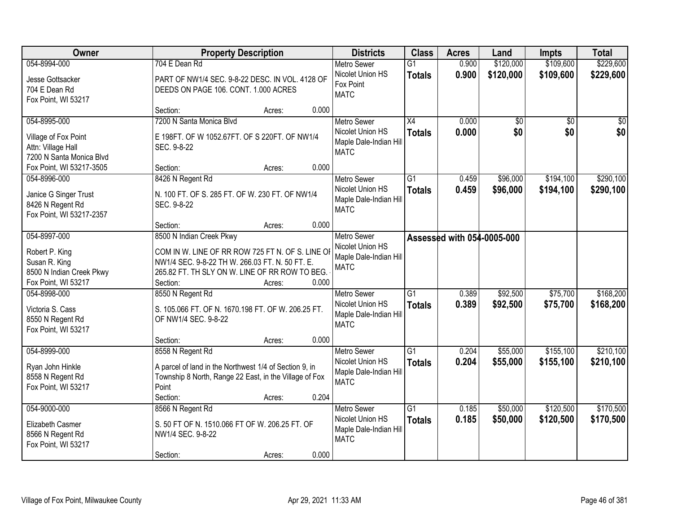| Owner                           | <b>Property Description</b>                                                                         |        |       | <b>Districts</b>       | <b>Class</b>    | <b>Acres</b>               | Land      | Impts           | <b>Total</b>    |
|---------------------------------|-----------------------------------------------------------------------------------------------------|--------|-------|------------------------|-----------------|----------------------------|-----------|-----------------|-----------------|
| 054-8994-000                    | 704 E Dean Rd                                                                                       |        |       | <b>Metro Sewer</b>     | $\overline{G1}$ | 0.900                      | \$120,000 | \$109,600       | \$229,600       |
| Jesse Gottsacker                | PART OF NW1/4 SEC. 9-8-22 DESC. IN VOL. 4128 OF                                                     |        |       | Nicolet Union HS       | <b>Totals</b>   | 0.900                      | \$120,000 | \$109,600       | \$229,600       |
| 704 E Dean Rd                   | DEEDS ON PAGE 106. CONT. 1.000 ACRES                                                                |        |       | Fox Point              |                 |                            |           |                 |                 |
| Fox Point, WI 53217             |                                                                                                     |        |       | <b>MATC</b>            |                 |                            |           |                 |                 |
|                                 | Section:                                                                                            | Acres: | 0.000 |                        |                 |                            |           |                 |                 |
| 054-8995-000                    | 7200 N Santa Monica Blvd                                                                            |        |       | <b>Metro Sewer</b>     | $\overline{X4}$ | 0.000                      | \$0       | $\overline{50}$ | $\overline{50}$ |
| Village of Fox Point            | E 198FT. OF W 1052.67FT. OF S 220FT. OF NW1/4                                                       |        |       | Nicolet Union HS       | <b>Totals</b>   | 0.000                      | \$0       | \$0             | \$0             |
| Attn: Village Hall              | SEC. 9-8-22                                                                                         |        |       | Maple Dale-Indian Hill |                 |                            |           |                 |                 |
| 7200 N Santa Monica Blvd        |                                                                                                     |        |       | <b>MATC</b>            |                 |                            |           |                 |                 |
| Fox Point, WI 53217-3505        | Section:                                                                                            | Acres: | 0.000 |                        |                 |                            |           |                 |                 |
| 054-8996-000                    | 8426 N Regent Rd                                                                                    |        |       | <b>Metro Sewer</b>     | $\overline{G1}$ | 0.459                      | \$96,000  | \$194,100       | \$290,100       |
| Janice G Singer Trust           | N. 100 FT. OF S. 285 FT. OF W. 230 FT. OF NW1/4                                                     |        |       | Nicolet Union HS       | <b>Totals</b>   | 0.459                      | \$96,000  | \$194,100       | \$290,100       |
| 8426 N Regent Rd                | SEC. 9-8-22                                                                                         |        |       | Maple Dale-Indian Hill |                 |                            |           |                 |                 |
| Fox Point, WI 53217-2357        |                                                                                                     |        |       | <b>MATC</b>            |                 |                            |           |                 |                 |
|                                 | Section:                                                                                            | Acres: | 0.000 |                        |                 |                            |           |                 |                 |
| 054-8997-000                    | 8500 N Indian Creek Pkwy                                                                            |        |       | Metro Sewer            |                 | Assessed with 054-0005-000 |           |                 |                 |
|                                 |                                                                                                     |        |       | Nicolet Union HS       |                 |                            |           |                 |                 |
| Robert P. King<br>Susan R. King | COM IN W. LINE OF RR ROW 725 FT N. OF S. LINE OI<br>NW1/4 SEC. 9-8-22 TH W. 266.03 FT. N. 50 FT. E. |        |       | Maple Dale-Indian Hill |                 |                            |           |                 |                 |
| 8500 N Indian Creek Pkwy        | 265.82 FT. TH SLY ON W. LINE OF RR ROW TO BEG.                                                      |        |       | <b>MATC</b>            |                 |                            |           |                 |                 |
| Fox Point, WI 53217             | Section:                                                                                            | Acres: | 0.000 |                        |                 |                            |           |                 |                 |
| 054-8998-000                    | 8550 N Regent Rd                                                                                    |        |       | <b>Metro Sewer</b>     | $\overline{G1}$ | 0.389                      | \$92,500  | \$75,700        | \$168,200       |
|                                 |                                                                                                     |        |       | Nicolet Union HS       | <b>Totals</b>   | 0.389                      | \$92,500  | \$75,700        | \$168,200       |
| Victoria S. Cass                | S. 105.066 FT. OF N. 1670.198 FT. OF W. 206.25 FT.                                                  |        |       | Maple Dale-Indian Hill |                 |                            |           |                 |                 |
| 8550 N Regent Rd                | OF NW1/4 SEC. 9-8-22                                                                                |        |       | <b>MATC</b>            |                 |                            |           |                 |                 |
| Fox Point, WI 53217             |                                                                                                     |        |       |                        |                 |                            |           |                 |                 |
| 054-8999-000                    | Section:<br>8558 N Regent Rd                                                                        | Acres: | 0.000 | Metro Sewer            | $\overline{G1}$ | 0.204                      | \$55,000  | \$155,100       | \$210,100       |
|                                 |                                                                                                     |        |       | Nicolet Union HS       |                 | 0.204                      | \$55,000  | \$155,100       | \$210,100       |
| Ryan John Hinkle                | A parcel of land in the Northwest 1/4 of Section 9, in                                              |        |       | Maple Dale-Indian Hill | <b>Totals</b>   |                            |           |                 |                 |
| 8558 N Regent Rd                | Township 8 North, Range 22 East, in the Village of Fox                                              |        |       | <b>MATC</b>            |                 |                            |           |                 |                 |
| Fox Point, WI 53217             | Point                                                                                               |        |       |                        |                 |                            |           |                 |                 |
|                                 | Section:                                                                                            | Acres: | 0.204 |                        |                 |                            |           |                 |                 |
| 054-9000-000                    | 8566 N Regent Rd                                                                                    |        |       | <b>Metro Sewer</b>     | G1              | 0.185                      | \$50,000  | \$120,500       | \$170,500       |
| Elizabeth Casmer                | S. 50 FT OF N. 1510.066 FT OF W. 206.25 FT. OF                                                      |        |       | Nicolet Union HS       | <b>Totals</b>   | 0.185                      | \$50,000  | \$120,500       | \$170,500       |
| 8566 N Regent Rd                | NW1/4 SEC. 9-8-22                                                                                   |        |       | Maple Dale-Indian Hill |                 |                            |           |                 |                 |
| Fox Point, WI 53217             |                                                                                                     |        |       | <b>MATC</b>            |                 |                            |           |                 |                 |
|                                 | Section:                                                                                            | Acres: | 0.000 |                        |                 |                            |           |                 |                 |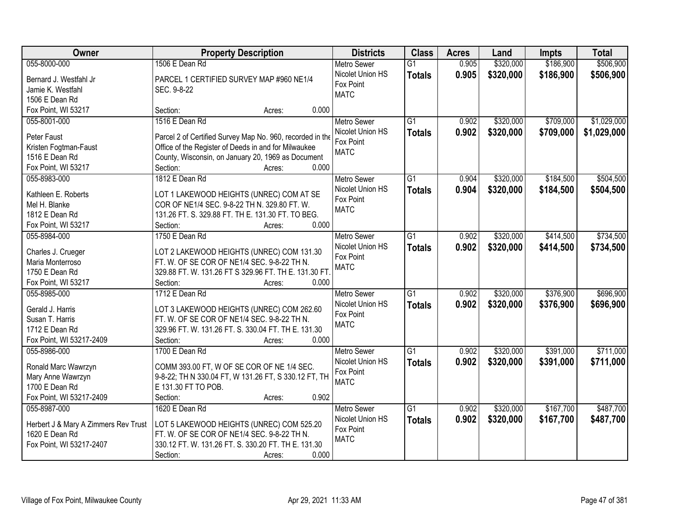| Owner                                | <b>Property Description</b>                               | <b>Districts</b>   | <b>Class</b>    | <b>Acres</b> | Land      | <b>Impts</b> | <b>Total</b> |
|--------------------------------------|-----------------------------------------------------------|--------------------|-----------------|--------------|-----------|--------------|--------------|
| 055-8000-000                         | 1506 E Dean Rd                                            | <b>Metro Sewer</b> | $\overline{G1}$ | 0.905        | \$320,000 | \$186,900    | \$506,900    |
| Bernard J. Westfahl Jr               | PARCEL 1 CERTIFIED SURVEY MAP #960 NE1/4                  | Nicolet Union HS   | <b>Totals</b>   | 0.905        | \$320,000 | \$186,900    | \$506,900    |
| Jamie K. Westfahl                    | SEC. 9-8-22                                               | Fox Point          |                 |              |           |              |              |
| 1506 E Dean Rd                       |                                                           | <b>MATC</b>        |                 |              |           |              |              |
| Fox Point, WI 53217                  | 0.000<br>Section:<br>Acres:                               |                    |                 |              |           |              |              |
| 055-8001-000                         | 1516 E Dean Rd                                            | <b>Metro Sewer</b> | $\overline{G1}$ | 0.902        | \$320,000 | \$709,000    | \$1,029,000  |
|                                      |                                                           | Nicolet Union HS   | <b>Totals</b>   | 0.902        | \$320,000 | \$709,000    | \$1,029,000  |
| Peter Faust                          | Parcel 2 of Certified Survey Map No. 960, recorded in the | Fox Point          |                 |              |           |              |              |
| Kristen Fogtman-Faust                | Office of the Register of Deeds in and for Milwaukee      | <b>MATC</b>        |                 |              |           |              |              |
| 1516 E Dean Rd                       | County, Wisconsin, on January 20, 1969 as Document        |                    |                 |              |           |              |              |
| Fox Point, WI 53217                  | 0.000<br>Section:<br>Acres:                               |                    |                 |              |           |              |              |
| 055-8983-000                         | 1812 E Dean Rd                                            | Metro Sewer        | G1              | 0.904        | \$320,000 | \$184,500    | \$504,500    |
| Kathleen E. Roberts                  | LOT 1 LAKEWOOD HEIGHTS (UNREC) COM AT SE                  | Nicolet Union HS   | <b>Totals</b>   | 0.904        | \$320,000 | \$184,500    | \$504,500    |
| Mel H. Blanke                        | COR OF NE1/4 SEC. 9-8-22 TH N. 329.80 FT. W.              | Fox Point          |                 |              |           |              |              |
| 1812 E Dean Rd                       | 131.26 FT. S. 329.88 FT. TH E. 131.30 FT. TO BEG.         | <b>MATC</b>        |                 |              |           |              |              |
| Fox Point, WI 53217                  | Section:<br>0.000<br>Acres:                               |                    |                 |              |           |              |              |
| 055-8984-000                         | 1750 E Dean Rd                                            | <b>Metro Sewer</b> | G1              | 0.902        | \$320,000 | \$414,500    | \$734,500    |
|                                      |                                                           | Nicolet Union HS   | <b>Totals</b>   | 0.902        | \$320,000 | \$414,500    | \$734,500    |
| Charles J. Crueger                   | LOT 2 LAKEWOOD HEIGHTS (UNREC) COM 131.30                 | Fox Point          |                 |              |           |              |              |
| Maria Monterroso                     | FT. W. OF SE COR OF NE1/4 SEC. 9-8-22 TH N.               | <b>MATC</b>        |                 |              |           |              |              |
| 1750 E Dean Rd                       | 329.88 FT. W. 131.26 FT S 329.96 FT. TH E. 131.30 FT.     |                    |                 |              |           |              |              |
| Fox Point, WI 53217                  | Section:<br>0.000<br>Acres:                               |                    |                 |              |           |              |              |
| 055-8985-000                         | 1712 E Dean Rd                                            | <b>Metro Sewer</b> | $\overline{G1}$ | 0.902        | \$320,000 | \$376,900    | \$696,900    |
| Gerald J. Harris                     | LOT 3 LAKEWOOD HEIGHTS (UNREC) COM 262.60                 | Nicolet Union HS   | <b>Totals</b>   | 0.902        | \$320,000 | \$376,900    | \$696,900    |
| Susan T. Harris                      | FT. W. OF SE COR OF NE1/4 SEC. 9-8-22 TH N.               | Fox Point          |                 |              |           |              |              |
| 1712 E Dean Rd                       | 329.96 FT. W. 131.26 FT. S. 330.04 FT. TH E. 131.30       | <b>MATC</b>        |                 |              |           |              |              |
| Fox Point, WI 53217-2409             | 0.000<br>Section:<br>Acres:                               |                    |                 |              |           |              |              |
| 055-8986-000                         | 1700 E Dean Rd                                            | <b>Metro Sewer</b> | G1              | 0.902        | \$320,000 | \$391,000    | \$711,000    |
|                                      |                                                           | Nicolet Union HS   | <b>Totals</b>   | 0.902        | \$320,000 | \$391,000    | \$711,000    |
| Ronald Marc Wawrzyn                  | COMM 393.00 FT, W OF SE COR OF NE 1/4 SEC.                | Fox Point          |                 |              |           |              |              |
| Mary Anne Wawrzyn                    | 9-8-22; TH N 330.04 FT, W 131.26 FT, S 330.12 FT, TH      | <b>MATC</b>        |                 |              |           |              |              |
| 1700 E Dean Rd                       | E 131.30 FT TO POB.                                       |                    |                 |              |           |              |              |
| Fox Point, WI 53217-2409             | 0.902<br>Section:<br>Acres:                               |                    |                 |              |           |              |              |
| 055-8987-000                         | 1620 E Dean Rd                                            | <b>Metro Sewer</b> | $\overline{G1}$ | 0.902        | \$320,000 | \$167,700    | \$487,700    |
| Herbert J & Mary A Zimmers Rev Trust | LOT 5 LAKEWOOD HEIGHTS (UNREC) COM 525.20                 | Nicolet Union HS   | <b>Totals</b>   | 0.902        | \$320,000 | \$167,700    | \$487,700    |
| 1620 E Dean Rd                       | FT. W. OF SE COR OF NE1/4 SEC. 9-8-22 TH N.               | Fox Point          |                 |              |           |              |              |
| Fox Point, WI 53217-2407             | 330.12 FT. W. 131.26 FT. S. 330.20 FT. TH E. 131.30       | <b>MATC</b>        |                 |              |           |              |              |
|                                      | 0.000<br>Section:<br>Acres:                               |                    |                 |              |           |              |              |
|                                      |                                                           |                    |                 |              |           |              |              |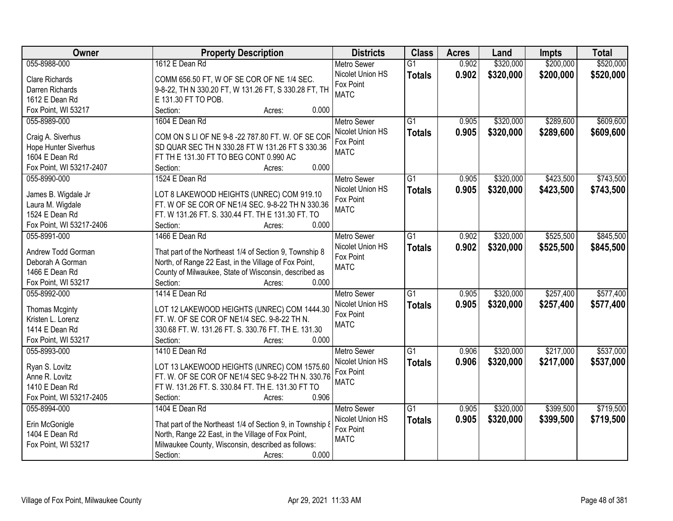| Owner                            | <b>Property Description</b>                                                                                      | <b>Districts</b>   | <b>Class</b>    | <b>Acres</b> | Land      | <b>Impts</b> | <b>Total</b> |
|----------------------------------|------------------------------------------------------------------------------------------------------------------|--------------------|-----------------|--------------|-----------|--------------|--------------|
| 055-8988-000                     | 1612 E Dean Rd                                                                                                   | <b>Metro Sewer</b> | $\overline{G1}$ | 0.902        | \$320,000 | \$200,000    | \$520,000    |
| Clare Richards                   | COMM 656.50 FT, W OF SE COR OF NE 1/4 SEC.                                                                       | Nicolet Union HS   | <b>Totals</b>   | 0.902        | \$320,000 | \$200,000    | \$520,000    |
| Darren Richards                  | 9-8-22, TH N 330.20 FT, W 131.26 FT, S 330.28 FT, TH                                                             | Fox Point          |                 |              |           |              |              |
| 1612 E Dean Rd                   | E 131.30 FT TO POB.                                                                                              | <b>MATC</b>        |                 |              |           |              |              |
| Fox Point, WI 53217              | Section:<br>0.000<br>Acres:                                                                                      |                    |                 |              |           |              |              |
| 055-8989-000                     | 1604 E Dean Rd                                                                                                   | <b>Metro Sewer</b> | $\overline{G1}$ | 0.905        | \$320,000 | \$289,600    | \$609,600    |
|                                  |                                                                                                                  | Nicolet Union HS   | <b>Totals</b>   | 0.905        | \$320,000 | \$289,600    | \$609,600    |
| Craig A. Siverhus                | COM ON S LI OF NE 9-8 -22 787.80 FT. W. OF SE COR                                                                | Fox Point          |                 |              |           |              |              |
| Hope Hunter Siverhus             | SD QUAR SEC TH N 330.28 FT W 131.26 FT S 330.36                                                                  | <b>MATC</b>        |                 |              |           |              |              |
| 1604 E Dean Rd                   | FT TH E 131.30 FT TO BEG CONT 0.990 AC                                                                           |                    |                 |              |           |              |              |
| Fox Point, WI 53217-2407         | 0.000<br>Section:<br>Acres:                                                                                      |                    |                 |              |           |              |              |
| 055-8990-000                     | 1524 E Dean Rd                                                                                                   | Metro Sewer        | $\overline{G1}$ | 0.905        | \$320,000 | \$423,500    | \$743,500    |
| James B. Wigdale Jr              | LOT 8 LAKEWOOD HEIGHTS (UNREC) COM 919.10                                                                        | Nicolet Union HS   | <b>Totals</b>   | 0.905        | \$320,000 | \$423,500    | \$743,500    |
| Laura M. Wigdale                 | FT. W OF SE COR OF NE1/4 SEC. 9-8-22 TH N 330.36                                                                 | Fox Point          |                 |              |           |              |              |
| 1524 E Dean Rd                   | FT. W 131.26 FT. S. 330.44 FT. TH E 131.30 FT. TO                                                                | <b>MATC</b>        |                 |              |           |              |              |
| Fox Point, WI 53217-2406         | 0.000<br>Section:<br>Acres:                                                                                      |                    |                 |              |           |              |              |
| 055-8991-000                     | 1466 E Dean Rd                                                                                                   | <b>Metro Sewer</b> | G1              | 0.902        | \$320,000 | \$525,500    | \$845,500    |
|                                  |                                                                                                                  | Nicolet Union HS   | <b>Totals</b>   | 0.902        | \$320,000 | \$525,500    | \$845,500    |
| Andrew Todd Gorman               | That part of the Northeast 1/4 of Section 9, Township 8                                                          | Fox Point          |                 |              |           |              |              |
| Deborah A Gorman                 | North, of Range 22 East, in the Village of Fox Point,                                                            | <b>MATC</b>        |                 |              |           |              |              |
| 1466 E Dean Rd                   | County of Milwaukee, State of Wisconsin, described as                                                            |                    |                 |              |           |              |              |
| Fox Point, WI 53217              | Section:<br>0.000<br>Acres:                                                                                      |                    |                 |              |           |              |              |
| 055-8992-000                     | 1414 E Dean Rd                                                                                                   | <b>Metro Sewer</b> | $\overline{G1}$ | 0.905        | \$320,000 | \$257,400    | \$577,400    |
| <b>Thomas Mcginty</b>            | LOT 12 LAKEWOOD HEIGHTS (UNREC) COM 1444.30                                                                      | Nicolet Union HS   | <b>Totals</b>   | 0.905        | \$320,000 | \$257,400    | \$577,400    |
| Kristen L. Lorenz                | FT. W. OF SE COR OF NE1/4 SEC. 9-8-22 TH N.                                                                      | Fox Point          |                 |              |           |              |              |
| 1414 E Dean Rd                   | 330.68 FT. W. 131.26 FT. S. 330.76 FT. TH E. 131.30                                                              | <b>MATC</b>        |                 |              |           |              |              |
| Fox Point, WI 53217              | 0.000<br>Section:<br>Acres:                                                                                      |                    |                 |              |           |              |              |
| 055-8993-000                     | 1410 E Dean Rd                                                                                                   | <b>Metro Sewer</b> | G1              | 0.906        | \$320,000 | \$217,000    | \$537,000    |
|                                  |                                                                                                                  | Nicolet Union HS   |                 |              |           |              |              |
| Ryan S. Lovitz                   | LOT 13 LAKEWOOD HEIGHTS (UNREC) COM 1575.60                                                                      | Fox Point          | <b>Totals</b>   | 0.906        | \$320,000 | \$217,000    | \$537,000    |
| Anne R. Lovitz                   | FT. W. OF SE COR OF NE1/4 SEC 9-8-22 TH N. 330.76                                                                | <b>MATC</b>        |                 |              |           |              |              |
| 1410 E Dean Rd                   | FT W. 131.26 FT. S. 330.84 FT. TH E. 131.30 FT TO                                                                |                    |                 |              |           |              |              |
| Fox Point, WI 53217-2405         | 0.906<br>Section:<br>Acres:                                                                                      |                    |                 |              |           |              |              |
| 055-8994-000                     | 1404 E Dean Rd                                                                                                   | <b>Metro Sewer</b> | $\overline{G1}$ | 0.905        | \$320,000 | \$399,500    | \$719,500    |
|                                  |                                                                                                                  | Nicolet Union HS   | <b>Totals</b>   | 0.905        | \$320,000 | \$399,500    | \$719,500    |
| Erin McGonigle<br>1404 E Dean Rd | That part of the Northeast 1/4 of Section 9, in Township 8<br>North, Range 22 East, in the Village of Fox Point, | Fox Point          |                 |              |           |              |              |
|                                  | Milwaukee County, Wisconsin, described as follows:                                                               | <b>MATC</b>        |                 |              |           |              |              |
| Fox Point, WI 53217              | 0.000                                                                                                            |                    |                 |              |           |              |              |
|                                  | Section:<br>Acres:                                                                                               |                    |                 |              |           |              |              |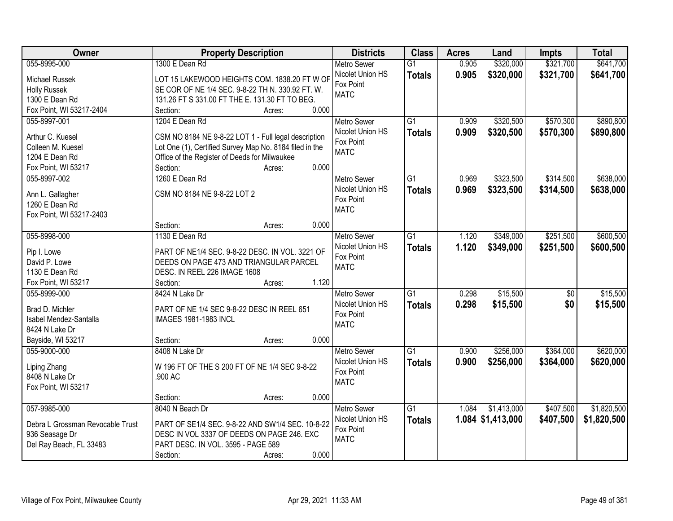| Owner                            | <b>Property Description</b>                             | <b>Districts</b>   | <b>Class</b>    | <b>Acres</b> | Land                | <b>Impts</b>    | <b>Total</b> |
|----------------------------------|---------------------------------------------------------|--------------------|-----------------|--------------|---------------------|-----------------|--------------|
| 055-8995-000                     | 1300 E Dean Rd                                          | <b>Metro Sewer</b> | $\overline{G1}$ | 0.905        | \$320,000           | \$321,700       | \$641,700    |
| Michael Russek                   | LOT 15 LAKEWOOD HEIGHTS COM. 1838.20 FT W OF            | Nicolet Union HS   | <b>Totals</b>   | 0.905        | \$320,000           | \$321,700       | \$641,700    |
| <b>Holly Russek</b>              | SE COR OF NE 1/4 SEC. 9-8-22 TH N. 330.92 FT. W.        | Fox Point          |                 |              |                     |                 |              |
| 1300 E Dean Rd                   | 131.26 FT S 331.00 FT THE E. 131.30 FT TO BEG.          | <b>MATC</b>        |                 |              |                     |                 |              |
| Fox Point, WI 53217-2404         | 0.000<br>Section:<br>Acres:                             |                    |                 |              |                     |                 |              |
| 055-8997-001                     | 1204 E Dean Rd                                          | <b>Metro Sewer</b> | $\overline{G1}$ | 0.909        | \$320,500           | \$570,300       | \$890,800    |
|                                  |                                                         | Nicolet Union HS   | <b>Totals</b>   | 0.909        | \$320,500           | \$570,300       | \$890,800    |
| Arthur C. Kuesel                 | CSM NO 8184 NE 9-8-22 LOT 1 - Full legal description    | Fox Point          |                 |              |                     |                 |              |
| Colleen M. Kuesel                | Lot One (1), Certified Survey Map No. 8184 filed in the | <b>MATC</b>        |                 |              |                     |                 |              |
| 1204 E Dean Rd                   | Office of the Register of Deeds for Milwaukee           |                    |                 |              |                     |                 |              |
| Fox Point, WI 53217              | 0.000<br>Section:<br>Acres:                             |                    |                 |              |                     |                 |              |
| 055-8997-002                     | 1260 E Dean Rd                                          | Metro Sewer        | G1              | 0.969        | \$323,500           | \$314,500       | \$638,000    |
| Ann L. Gallagher                 | CSM NO 8184 NE 9-8-22 LOT 2                             | Nicolet Union HS   | <b>Totals</b>   | 0.969        | \$323,500           | \$314,500       | \$638,000    |
| 1260 E Dean Rd                   |                                                         | Fox Point          |                 |              |                     |                 |              |
| Fox Point, WI 53217-2403         |                                                         | <b>MATC</b>        |                 |              |                     |                 |              |
|                                  | 0.000<br>Section:<br>Acres:                             |                    |                 |              |                     |                 |              |
| 055-8998-000                     | 1130 E Dean Rd                                          | <b>Metro Sewer</b> | G1              | 1.120        | \$349,000           | \$251,500       | \$600,500    |
|                                  |                                                         | Nicolet Union HS   |                 | 1.120        |                     |                 |              |
| Pip I. Lowe                      | PART OF NE1/4 SEC. 9-8-22 DESC. IN VOL. 3221 OF         | Fox Point          | <b>Totals</b>   |              | \$349,000           | \$251,500       | \$600,500    |
| David P. Lowe                    | DEEDS ON PAGE 473 AND TRIANGULAR PARCEL                 | <b>MATC</b>        |                 |              |                     |                 |              |
| 1130 E Dean Rd                   | DESC. IN REEL 226 IMAGE 1608                            |                    |                 |              |                     |                 |              |
| Fox Point, WI 53217              | 1.120<br>Section:<br>Acres:                             |                    |                 |              |                     |                 |              |
| 055-8999-000                     | 8424 N Lake Dr                                          | <b>Metro Sewer</b> | $\overline{G1}$ | 0.298        | \$15,500            | $\overline{50}$ | \$15,500     |
|                                  |                                                         | Nicolet Union HS   | <b>Totals</b>   | 0.298        | \$15,500            | \$0             | \$15,500     |
| Brad D. Michler                  | PART OF NE 1/4 SEC 9-8-22 DESC IN REEL 651              | Fox Point          |                 |              |                     |                 |              |
| Isabel Mendez-Santalla           | <b>IMAGES 1981-1983 INCL</b>                            | <b>MATC</b>        |                 |              |                     |                 |              |
| 8424 N Lake Dr                   |                                                         |                    |                 |              |                     |                 |              |
| Bayside, WI 53217                | 0.000<br>Section:<br>Acres:                             |                    |                 |              |                     |                 |              |
| 055-9000-000                     | 8408 N Lake Dr                                          | Metro Sewer        | $\overline{G1}$ | 0.900        | \$256,000           | \$364,000       | \$620,000    |
| Liping Zhang                     | W 196 FT OF THE S 200 FT OF NE 1/4 SEC 9-8-22           | Nicolet Union HS   | <b>Totals</b>   | 0.900        | \$256,000           | \$364,000       | \$620,000    |
| 8408 N Lake Dr                   | .900 AC                                                 | Fox Point          |                 |              |                     |                 |              |
| Fox Point, WI 53217              |                                                         | <b>MATC</b>        |                 |              |                     |                 |              |
|                                  | 0.000<br>Section:<br>Acres:                             |                    |                 |              |                     |                 |              |
| 057-9985-000                     | 8040 N Beach Dr                                         | <b>Metro Sewer</b> | $\overline{G1}$ | 1.084        | \$1,413,000         | \$407,500       | \$1,820,500  |
|                                  |                                                         | Nicolet Union HS   | <b>Totals</b>   |              | $1.084$ \$1,413,000 | \$407,500       | \$1,820,500  |
| Debra L Grossman Revocable Trust | PART OF SE1/4 SEC. 9-8-22 AND SW1/4 SEC. 10-8-22        | Fox Point          |                 |              |                     |                 |              |
| 936 Seasage Dr                   | DESC IN VOL 3337 OF DEEDS ON PAGE 246. EXC              | <b>MATC</b>        |                 |              |                     |                 |              |
| Del Ray Beach, FL 33483          | PART DESC. IN VOL. 3595 - PAGE 589                      |                    |                 |              |                     |                 |              |
|                                  | 0.000<br>Section:<br>Acres:                             |                    |                 |              |                     |                 |              |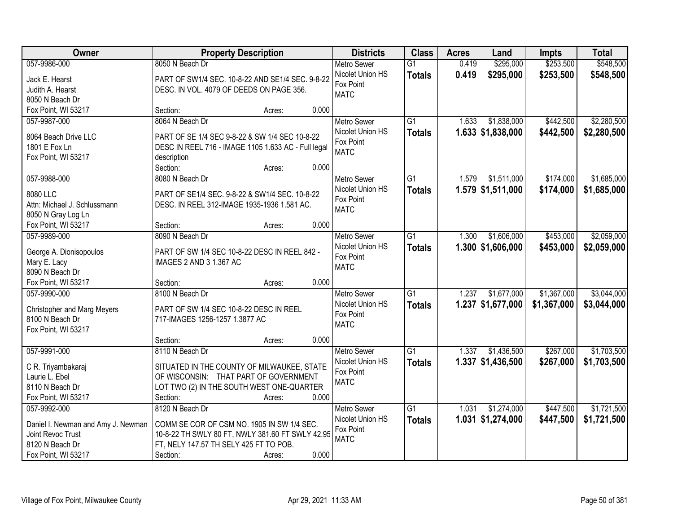| Owner                                 | <b>Property Description</b>                                                         | <b>Districts</b>   | <b>Class</b>    | <b>Acres</b> | Land                | <b>Impts</b> | <b>Total</b> |
|---------------------------------------|-------------------------------------------------------------------------------------|--------------------|-----------------|--------------|---------------------|--------------|--------------|
| 057-9986-000                          | 8050 N Beach Dr                                                                     | <b>Metro Sewer</b> | $\overline{G1}$ | 0.419        | \$295,000           | \$253,500    | \$548,500    |
| Jack E. Hearst                        | PART OF SW1/4 SEC. 10-8-22 AND SE1/4 SEC. 9-8-22                                    | Nicolet Union HS   | <b>Totals</b>   | 0.419        | \$295,000           | \$253,500    | \$548,500    |
| Judith A. Hearst                      | DESC. IN VOL. 4079 OF DEEDS ON PAGE 356.                                            | Fox Point          |                 |              |                     |              |              |
| 8050 N Beach Dr                       |                                                                                     | <b>MATC</b>        |                 |              |                     |              |              |
| Fox Point, WI 53217                   | 0.000<br>Section:<br>Acres:                                                         |                    |                 |              |                     |              |              |
| 057-9987-000                          | 8064 N Beach Dr                                                                     | Metro Sewer        | $\overline{G1}$ | 1.633        | \$1,838,000         | \$442,500    | \$2,280,500  |
|                                       |                                                                                     | Nicolet Union HS   | <b>Totals</b>   |              | $1.633$ \$1,838,000 | \$442,500    | \$2,280,500  |
| 8064 Beach Drive LLC<br>1801 E Fox Ln | PART OF SE 1/4 SEC 9-8-22 & SW 1/4 SEC 10-8-22                                      | Fox Point          |                 |              |                     |              |              |
| Fox Point, WI 53217                   | DESC IN REEL 716 - IMAGE 1105 1.633 AC - Full legal<br>description                  | <b>MATC</b>        |                 |              |                     |              |              |
|                                       | 0.000<br>Section:<br>Acres:                                                         |                    |                 |              |                     |              |              |
| 057-9988-000                          | 8080 N Beach Dr                                                                     | Metro Sewer        | $\overline{G1}$ | 1.579        | \$1,511,000         | \$174,000    | \$1,685,000  |
|                                       |                                                                                     | Nicolet Union HS   | <b>Totals</b>   |              | $1.579$ \$1,511,000 | \$174,000    | \$1,685,000  |
| 8080 LLC                              | PART OF SE1/4 SEC. 9-8-22 & SW1/4 SEC. 10-8-22                                      | Fox Point          |                 |              |                     |              |              |
| Attn: Michael J. Schlussmann          | DESC. IN REEL 312-IMAGE 1935-1936 1.581 AC.                                         | <b>MATC</b>        |                 |              |                     |              |              |
| 8050 N Gray Log Ln                    |                                                                                     |                    |                 |              |                     |              |              |
| Fox Point, WI 53217                   | 0.000<br>Section:<br>Acres:                                                         |                    |                 |              |                     |              |              |
| 057-9989-000                          | 8090 N Beach Dr                                                                     | <b>Metro Sewer</b> | $\overline{G1}$ | 1.300        | \$1,606,000         | \$453,000    | \$2,059,000  |
| George A. Dionisopoulos               | PART OF SW 1/4 SEC 10-8-22 DESC IN REEL 842 -                                       | Nicolet Union HS   | <b>Totals</b>   |              | $1.300$ \$1,606,000 | \$453,000    | \$2,059,000  |
| Mary E. Lacy                          | IMAGES 2 AND 3 1.367 AC                                                             | Fox Point          |                 |              |                     |              |              |
| 8090 N Beach Dr                       |                                                                                     | <b>MATC</b>        |                 |              |                     |              |              |
| Fox Point, WI 53217                   | 0.000<br>Section:<br>Acres:                                                         |                    |                 |              |                     |              |              |
| 057-9990-000                          | 8100 N Beach Dr                                                                     | <b>Metro Sewer</b> | $\overline{G1}$ | 1.237        | \$1,677,000         | \$1,367,000  | \$3,044,000  |
| <b>Christopher and Marg Meyers</b>    | PART OF SW 1/4 SEC 10-8-22 DESC IN REEL                                             | Nicolet Union HS   | Totals          |              | $1.237$ \$1,677,000 | \$1,367,000  | \$3,044,000  |
| 8100 N Beach Dr                       | 717-IMAGES 1256-1257 1.3877 AC                                                      | Fox Point          |                 |              |                     |              |              |
| Fox Point, WI 53217                   |                                                                                     | <b>MATC</b>        |                 |              |                     |              |              |
|                                       | 0.000<br>Section:<br>Acres:                                                         |                    |                 |              |                     |              |              |
| 057-9991-000                          | 8110 N Beach Dr                                                                     | Metro Sewer        | $\overline{G1}$ | 1.337        | \$1,436,500         | \$267,000    | \$1,703,500  |
|                                       |                                                                                     | Nicolet Union HS   | <b>Totals</b>   |              | $1.337$ \$1,436,500 | \$267,000    | \$1,703,500  |
| C R. Triyambakaraj<br>Laurie L. Ebel  | SITUATED IN THE COUNTY OF MILWAUKEE, STATE<br>OF WISCONSIN: THAT PART OF GOVERNMENT | Fox Point          |                 |              |                     |              |              |
| 8110 N Beach Dr                       | LOT TWO (2) IN THE SOUTH WEST ONE-QUARTER                                           | <b>MATC</b>        |                 |              |                     |              |              |
| Fox Point, WI 53217                   | 0.000<br>Section:<br>Acres:                                                         |                    |                 |              |                     |              |              |
| 057-9992-000                          | 8120 N Beach Dr                                                                     | <b>Metro Sewer</b> | $\overline{G1}$ | 1.031        | \$1,274,000         | \$447,500    | \$1,721,500  |
|                                       |                                                                                     | Nicolet Union HS   |                 |              | $1.031$ \$1,274,000 |              |              |
| Daniel I. Newman and Amy J. Newman    | COMM SE COR OF CSM NO. 1905 IN SW 1/4 SEC.                                          | Fox Point          | <b>Totals</b>   |              |                     | \$447,500    | \$1,721,500  |
| Joint Revoc Trust                     | 10-8-22 TH SWLY 80 FT, NWLY 381.60 FT SWLY 42.95                                    | <b>MATC</b>        |                 |              |                     |              |              |
| 8120 N Beach Dr                       | FT, NELY 147.57 TH SELY 425 FT TO POB.                                              |                    |                 |              |                     |              |              |
| Fox Point, WI 53217                   | 0.000<br>Section:<br>Acres:                                                         |                    |                 |              |                     |              |              |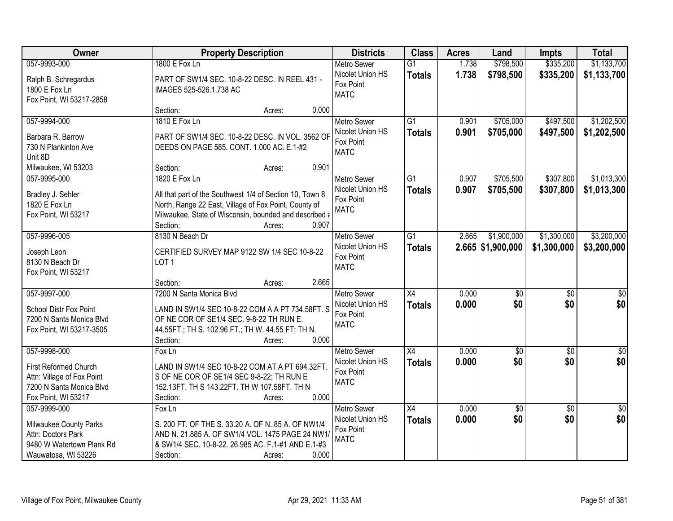| Owner                          | <b>Property Description</b>                                      | <b>Districts</b>              | <b>Class</b>    | <b>Acres</b> | Land                | <b>Impts</b>    | <b>Total</b>       |
|--------------------------------|------------------------------------------------------------------|-------------------------------|-----------------|--------------|---------------------|-----------------|--------------------|
| 057-9993-000                   | 1800 E Fox Ln                                                    | <b>Metro Sewer</b>            | $\overline{G1}$ | 1.738        | \$798,500           | \$335,200       | \$1,133,700        |
| Ralph B. Schregardus           | PART OF SW1/4 SEC. 10-8-22 DESC. IN REEL 431 -                   | Nicolet Union HS              | <b>Totals</b>   | 1.738        | \$798,500           | \$335,200       | \$1,133,700        |
| 1800 E Fox Ln                  | IMAGES 525-526.1.738 AC                                          | Fox Point                     |                 |              |                     |                 |                    |
| Fox Point, WI 53217-2858       |                                                                  | <b>MATC</b>                   |                 |              |                     |                 |                    |
|                                | 0.000<br>Section:<br>Acres:                                      |                               |                 |              |                     |                 |                    |
| 057-9994-000                   | 1810 E Fox Ln                                                    | <b>Metro Sewer</b>            | $\overline{G1}$ | 0.901        | \$705,000           | \$497,500       | \$1,202,500        |
| Barbara R. Barrow              | PART OF SW1/4 SEC. 10-8-22 DESC. IN VOL. 3562 OF                 | Nicolet Union HS              | <b>Totals</b>   | 0.901        | \$705,000           | \$497,500       | \$1,202,500        |
| 730 N Plankinton Ave           | DEEDS ON PAGE 585. CONT. 1.000 AC. E.1-#2                        | Fox Point                     |                 |              |                     |                 |                    |
| Unit 8D                        |                                                                  | <b>MATC</b>                   |                 |              |                     |                 |                    |
| Milwaukee, WI 53203            | 0.901<br>Section:<br>Acres:                                      |                               |                 |              |                     |                 |                    |
| 057-9995-000                   | 1820 E Fox Ln                                                    | Metro Sewer                   | G1              | 0.907        | \$705,500           | \$307,800       | \$1,013,300        |
| Bradley J. Sehler              | All that part of the Southwest 1/4 of Section 10, Town 8         | Nicolet Union HS              | <b>Totals</b>   | 0.907        | \$705,500           | \$307,800       | \$1,013,300        |
| 1820 E Fox Ln                  | North, Range 22 East, Village of Fox Point, County of            | Fox Point                     |                 |              |                     |                 |                    |
| Fox Point, WI 53217            | Milwaukee, State of Wisconsin, bounded and described a           | <b>MATC</b>                   |                 |              |                     |                 |                    |
|                                | Section:<br>0.907<br>Acres:                                      |                               |                 |              |                     |                 |                    |
| 057-9996-005                   | 8130 N Beach Dr                                                  | <b>Metro Sewer</b>            | $\overline{G1}$ | 2.665        | \$1,900,000         | \$1,300,000     | \$3,200,000        |
|                                |                                                                  | Nicolet Union HS              | <b>Totals</b>   |              | $2.665$ \$1,900,000 | \$1,300,000     | \$3,200,000        |
| Joseph Leon<br>8130 N Beach Dr | CERTIFIED SURVEY MAP 9122 SW 1/4 SEC 10-8-22<br>LOT <sub>1</sub> | Fox Point                     |                 |              |                     |                 |                    |
| Fox Point, WI 53217            |                                                                  | <b>MATC</b>                   |                 |              |                     |                 |                    |
|                                | 2.665<br>Section:<br>Acres:                                      |                               |                 |              |                     |                 |                    |
| 057-9997-000                   | 7200 N Santa Monica Blvd                                         | <b>Metro Sewer</b>            | $\overline{X4}$ | 0.000        | $\overline{50}$     | $\overline{50}$ | \$0                |
|                                |                                                                  | Nicolet Union HS              | <b>Totals</b>   | 0.000        | \$0                 | \$0             | \$0                |
| <b>School Distr Fox Point</b>  | LAND IN SW1/4 SEC 10-8-22 COM A A PT 734.58FT. S                 | Fox Point                     |                 |              |                     |                 |                    |
| 7200 N Santa Monica Blvd       | OF NE COR OF SE1/4 SEC. 9-8-22 TH RUN E.                         | <b>MATC</b>                   |                 |              |                     |                 |                    |
| Fox Point, WI 53217-3505       | 44.55FT.; TH S. 102.96 FT.; TH W. 44.55 FT; TH N.                |                               |                 |              |                     |                 |                    |
|                                | 0.000<br>Section:<br>Acres:                                      |                               |                 |              |                     |                 |                    |
| 057-9998-000                   | Fox Ln                                                           | <b>Metro Sewer</b>            | $\overline{X4}$ | 0.000        | $\overline{60}$     | $\overline{50}$ | $\sqrt{60}$<br>\$0 |
| First Reformed Church          | LAND IN SW1/4 SEC 10-8-22 COM AT A PT 694.32FT.                  | Nicolet Union HS<br>Fox Point | <b>Totals</b>   | 0.000        | \$0                 | \$0             |                    |
| Attn: Village of Fox Point     | S OF NE COR OF SE1/4 SEC 9-8-22; TH RUN E                        | <b>MATC</b>                   |                 |              |                     |                 |                    |
| 7200 N Santa Monica Blvd       | 152.13FT. TH S 143.22FT. TH W 107.58FT. TH N                     |                               |                 |              |                     |                 |                    |
| Fox Point, WI 53217            | 0.000<br>Section:<br>Acres:                                      |                               |                 |              |                     |                 |                    |
| 057-9999-000                   | Fox Ln                                                           | <b>Metro Sewer</b>            | $\overline{X4}$ | 0.000        | \$0                 | $\overline{50}$ | $\overline{50}$    |
| Milwaukee County Parks         | S. 200 FT. OF THE S. 33.20 A. OF N. 85 A. OF NW1/4               | Nicolet Union HS              | <b>Totals</b>   | 0.000        | \$0                 | \$0             | \$0                |
| Attn: Doctors Park             | AND N. 21.885 A. OF SW1/4 VOL. 1475 PAGE 24 NW1/                 | Fox Point                     |                 |              |                     |                 |                    |
| 9480 W Watertown Plank Rd      | & SW1/4 SEC. 10-8-22. 26.985 AC. F.1-#1 AND E.1-#3               | <b>MATC</b>                   |                 |              |                     |                 |                    |
| Wauwatosa, WI 53226            | 0.000<br>Section:<br>Acres:                                      |                               |                 |              |                     |                 |                    |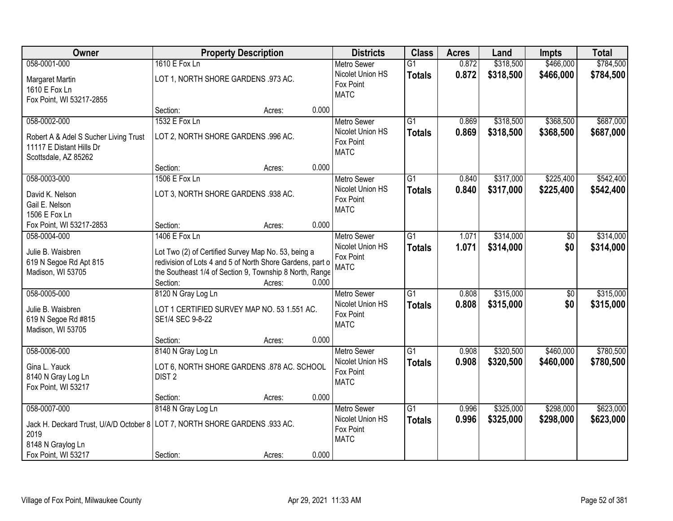| Owner                                                                      | <b>Property Description</b>                               |        |       | <b>Districts</b>              | <b>Class</b>    | <b>Acres</b> | Land      | <b>Impts</b>    | <b>Total</b> |
|----------------------------------------------------------------------------|-----------------------------------------------------------|--------|-------|-------------------------------|-----------------|--------------|-----------|-----------------|--------------|
| 058-0001-000                                                               | 1610 E Fox Ln                                             |        |       | <b>Metro Sewer</b>            | $\overline{G1}$ | 0.872        | \$318,500 | \$466,000       | \$784,500    |
| Margaret Martin                                                            | LOT 1, NORTH SHORE GARDENS .973 AC.                       |        |       | Nicolet Union HS<br>Fox Point | <b>Totals</b>   | 0.872        | \$318,500 | \$466,000       | \$784,500    |
| 1610 E Fox Ln                                                              |                                                           |        |       | <b>MATC</b>                   |                 |              |           |                 |              |
| Fox Point, WI 53217-2855                                                   |                                                           |        |       |                               |                 |              |           |                 |              |
|                                                                            | Section:                                                  | Acres: | 0.000 |                               |                 |              |           |                 |              |
| 058-0002-000                                                               | 1532 E Fox Ln                                             |        |       | <b>Metro Sewer</b>            | $\overline{G1}$ | 0.869        | \$318,500 | \$368,500       | \$687,000    |
| Robert A & Adel S Sucher Living Trust                                      | LOT 2, NORTH SHORE GARDENS .996 AC.                       |        |       | Nicolet Union HS              | <b>Totals</b>   | 0.869        | \$318,500 | \$368,500       | \$687,000    |
| 11117 E Distant Hills Dr                                                   |                                                           |        |       | Fox Point                     |                 |              |           |                 |              |
| Scottsdale, AZ 85262                                                       |                                                           |        |       | <b>MATC</b>                   |                 |              |           |                 |              |
|                                                                            | Section:                                                  | Acres: | 0.000 |                               |                 |              |           |                 |              |
| 058-0003-000                                                               | 1506 E Fox Ln                                             |        |       | Metro Sewer                   | $\overline{G1}$ | 0.840        | \$317,000 | \$225,400       | \$542,400    |
| David K. Nelson                                                            | LOT 3, NORTH SHORE GARDENS .938 AC.                       |        |       | Nicolet Union HS              | <b>Totals</b>   | 0.840        | \$317,000 | \$225,400       | \$542,400    |
| Gail E. Nelson                                                             |                                                           |        |       | Fox Point                     |                 |              |           |                 |              |
| 1506 E Fox Ln                                                              |                                                           |        |       | <b>MATC</b>                   |                 |              |           |                 |              |
| Fox Point, WI 53217-2853                                                   | Section:                                                  | Acres: | 0.000 |                               |                 |              |           |                 |              |
| 058-0004-000                                                               | 1406 E Fox Ln                                             |        |       | <b>Metro Sewer</b>            | $\overline{G1}$ | 1.071        | \$314,000 | \$0             | \$314,000    |
|                                                                            |                                                           |        |       | Nicolet Union HS              | <b>Totals</b>   | 1.071        | \$314,000 | \$0             | \$314,000    |
| Julie B. Waisbren                                                          | Lot Two (2) of Certified Survey Map No. 53, being a       |        |       | Fox Point                     |                 |              |           |                 |              |
| 619 N Segoe Rd Apt 815                                                     | redivision of Lots 4 and 5 of North Shore Gardens, part o |        |       | <b>MATC</b>                   |                 |              |           |                 |              |
| Madison, WI 53705                                                          | the Southeast 1/4 of Section 9, Township 8 North, Range   |        |       |                               |                 |              |           |                 |              |
|                                                                            | Section:                                                  | Acres: | 0.000 |                               |                 |              |           |                 |              |
| 058-0005-000                                                               | 8120 N Gray Log Ln                                        |        |       | Metro Sewer                   | $\overline{G1}$ | 0.808        | \$315,000 | $\overline{50}$ | \$315,000    |
| Julie B. Waisbren                                                          | LOT 1 CERTIFIED SURVEY MAP NO. 53 1.551 AC.               |        |       | Nicolet Union HS              | <b>Totals</b>   | 0.808        | \$315,000 | \$0             | \$315,000    |
| 619 N Segoe Rd #815                                                        | SE1/4 SEC 9-8-22                                          |        |       | Fox Point                     |                 |              |           |                 |              |
| Madison, WI 53705                                                          |                                                           |        |       | <b>MATC</b>                   |                 |              |           |                 |              |
|                                                                            | Section:                                                  | Acres: | 0.000 |                               |                 |              |           |                 |              |
| 058-0006-000                                                               | 8140 N Gray Log Ln                                        |        |       | <b>Metro Sewer</b>            | $\overline{G1}$ | 0.908        | \$320,500 | \$460,000       | \$780,500    |
| Gina L. Yauck                                                              | LOT 6, NORTH SHORE GARDENS .878 AC. SCHOOL                |        |       | Nicolet Union HS              | <b>Totals</b>   | 0.908        | \$320,500 | \$460,000       | \$780,500    |
| 8140 N Gray Log Ln                                                         | DIST <sub>2</sub>                                         |        |       | Fox Point                     |                 |              |           |                 |              |
| Fox Point, WI 53217                                                        |                                                           |        |       | <b>MATC</b>                   |                 |              |           |                 |              |
|                                                                            | Section:                                                  | Acres: | 0.000 |                               |                 |              |           |                 |              |
| 058-0007-000                                                               | 8148 N Gray Log Ln                                        |        |       | <b>Metro Sewer</b>            | $\overline{G1}$ | 0.996        | \$325,000 | \$298,000       | \$623,000    |
|                                                                            |                                                           |        |       | Nicolet Union HS              | <b>Totals</b>   | 0.996        | \$325,000 | \$298,000       | \$623,000    |
| Jack H. Deckard Trust, U/A/D October 8 LOT 7, NORTH SHORE GARDENS .933 AC. |                                                           |        |       | Fox Point                     |                 |              |           |                 |              |
| 2019                                                                       |                                                           |        |       | <b>MATC</b>                   |                 |              |           |                 |              |
| 8148 N Graylog Ln                                                          |                                                           |        |       |                               |                 |              |           |                 |              |
| Fox Point, WI 53217                                                        | Section:                                                  | Acres: | 0.000 |                               |                 |              |           |                 |              |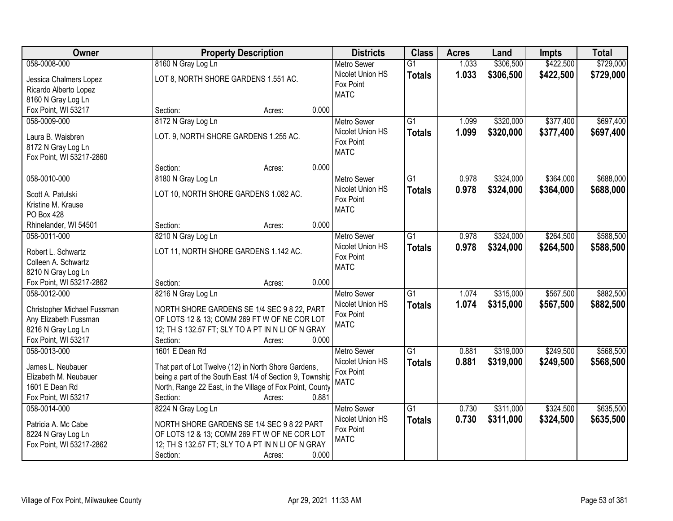| Owner                                   | <b>Property Description</b>                                                    | <b>Districts</b>                       | <b>Class</b>    | <b>Acres</b> | Land      | <b>Impts</b> | <b>Total</b> |
|-----------------------------------------|--------------------------------------------------------------------------------|----------------------------------------|-----------------|--------------|-----------|--------------|--------------|
| 058-0008-000                            | 8160 N Gray Log Ln                                                             | <b>Metro Sewer</b>                     | $\overline{G1}$ | 1.033        | \$306,500 | \$422,500    | \$729,000    |
| Jessica Chalmers Lopez                  | LOT 8, NORTH SHORE GARDENS 1.551 AC.                                           | Nicolet Union HS                       | <b>Totals</b>   | 1.033        | \$306,500 | \$422,500    | \$729,000    |
| Ricardo Alberto Lopez                   |                                                                                | Fox Point                              |                 |              |           |              |              |
| 8160 N Gray Log Ln                      |                                                                                | <b>MATC</b>                            |                 |              |           |              |              |
| Fox Point, WI 53217                     | 0.000<br>Section:<br>Acres:                                                    |                                        |                 |              |           |              |              |
| 058-0009-000                            | 8172 N Gray Log Ln                                                             | <b>Metro Sewer</b>                     | $\overline{G1}$ | 1.099        | \$320,000 | \$377,400    | \$697,400    |
| Laura B. Waisbren                       | LOT. 9, NORTH SHORE GARDENS 1.255 AC.                                          | Nicolet Union HS                       | <b>Totals</b>   | 1.099        | \$320,000 | \$377,400    | \$697,400    |
| 8172 N Gray Log Ln                      |                                                                                | Fox Point                              |                 |              |           |              |              |
| Fox Point, WI 53217-2860                |                                                                                | <b>MATC</b>                            |                 |              |           |              |              |
|                                         | 0.000<br>Section:<br>Acres:                                                    |                                        |                 |              |           |              |              |
| 058-0010-000                            | 8180 N Gray Log Ln                                                             | <b>Metro Sewer</b>                     | $\overline{G1}$ | 0.978        | \$324,000 | \$364,000    | \$688,000    |
|                                         |                                                                                | Nicolet Union HS                       | <b>Totals</b>   | 0.978        | \$324,000 | \$364,000    | \$688,000    |
| Scott A. Patulski                       | LOT 10, NORTH SHORE GARDENS 1.082 AC.                                          | Fox Point                              |                 |              |           |              |              |
| Kristine M. Krause                      |                                                                                | <b>MATC</b>                            |                 |              |           |              |              |
| <b>PO Box 428</b>                       | 0.000                                                                          |                                        |                 |              |           |              |              |
| Rhinelander, WI 54501<br>058-0011-000   | Section:<br>Acres:                                                             |                                        |                 |              |           |              |              |
|                                         | 8210 N Gray Log Ln                                                             | <b>Metro Sewer</b><br>Nicolet Union HS | G1              | 0.978        | \$324,000 | \$264,500    | \$588,500    |
| Robert L. Schwartz                      | LOT 11, NORTH SHORE GARDENS 1.142 AC.                                          | Fox Point                              | <b>Totals</b>   | 0.978        | \$324,000 | \$264,500    | \$588,500    |
| Colleen A. Schwartz                     |                                                                                | <b>MATC</b>                            |                 |              |           |              |              |
| 8210 N Gray Log Ln                      |                                                                                |                                        |                 |              |           |              |              |
| Fox Point, WI 53217-2862                | 0.000<br>Section:<br>Acres:                                                    |                                        |                 |              |           |              |              |
| 058-0012-000                            | 8216 N Gray Log Ln                                                             | <b>Metro Sewer</b>                     | $\overline{G1}$ | 1.074        | \$315,000 | \$567,500    | \$882,500    |
| Christopher Michael Fussman             | NORTH SHORE GARDENS SE 1/4 SEC 9 8 22, PART                                    | Nicolet Union HS                       | <b>Totals</b>   | 1.074        | \$315,000 | \$567,500    | \$882,500    |
| Any Elizabeth Fussman                   | OF LOTS 12 & 13; COMM 269 FT W OF NE COR LOT                                   | Fox Point                              |                 |              |           |              |              |
| 8216 N Gray Log Ln                      | 12; TH S 132.57 FT; SLY TO A PT IN N LI OF N GRAY                              | <b>MATC</b>                            |                 |              |           |              |              |
| Fox Point, WI 53217                     | Section:<br>0.000<br>Acres:                                                    |                                        |                 |              |           |              |              |
| 058-0013-000                            | 1601 E Dean Rd                                                                 | <b>Metro Sewer</b>                     | $\overline{G1}$ | 0.881        | \$319,000 | \$249,500    | \$568,500    |
|                                         |                                                                                | Nicolet Union HS                       | <b>Totals</b>   | 0.881        | \$319,000 | \$249,500    | \$568,500    |
| James L. Neubauer                       | That part of Lot Twelve (12) in North Shore Gardens,                           | Fox Point                              |                 |              |           |              |              |
| Elizabeth M. Neubauer<br>1601 E Dean Rd | being a part of the South East 1/4 of Section 9, Township                      | <b>MATC</b>                            |                 |              |           |              |              |
| Fox Point, WI 53217                     | North, Range 22 East, in the Village of Fox Point, County<br>0.881<br>Section: |                                        |                 |              |           |              |              |
| 058-0014-000                            | Acres:                                                                         |                                        | $\overline{G1}$ | 0.730        | \$311,000 | \$324,500    | \$635,500    |
|                                         | 8224 N Gray Log Ln                                                             | <b>Metro Sewer</b><br>Nicolet Union HS |                 |              |           |              |              |
| Patricia A. Mc Cabe                     | NORTH SHORE GARDENS SE 1/4 SEC 9 8 22 PART                                     | Fox Point                              | <b>Totals</b>   | 0.730        | \$311,000 | \$324,500    | \$635,500    |
| 8224 N Gray Log Ln                      | OF LOTS 12 & 13; COMM 269 FT W OF NE COR LOT                                   | <b>MATC</b>                            |                 |              |           |              |              |
| Fox Point, WI 53217-2862                | 12; TH S 132.57 FT; SLY TO A PT IN N LI OF N GRAY                              |                                        |                 |              |           |              |              |
|                                         | Section:<br>0.000<br>Acres:                                                    |                                        |                 |              |           |              |              |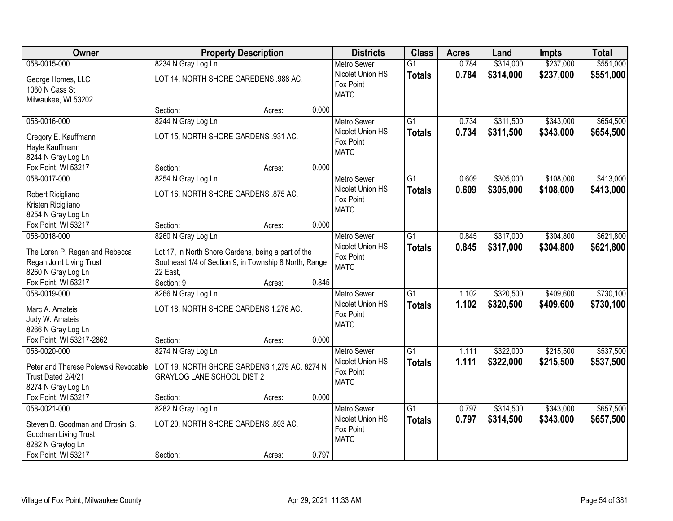| <b>Owner</b>                                                                                   |                                                                                                                           | <b>Property Description</b> |       | <b>Districts</b>                                                   | <b>Class</b>                     | <b>Acres</b>   | Land                   | <b>Impts</b>           | <b>Total</b>           |
|------------------------------------------------------------------------------------------------|---------------------------------------------------------------------------------------------------------------------------|-----------------------------|-------|--------------------------------------------------------------------|----------------------------------|----------------|------------------------|------------------------|------------------------|
| 058-0015-000                                                                                   | 8234 N Gray Log Ln                                                                                                        |                             |       | <b>Metro Sewer</b>                                                 | $\overline{G1}$                  | 0.784          | \$314,000              | \$237,000              | \$551,000              |
| George Homes, LLC<br>1060 N Cass St<br>Milwaukee, WI 53202                                     | LOT 14, NORTH SHORE GAREDENS .988 AC.                                                                                     |                             |       | Nicolet Union HS<br>Fox Point<br><b>MATC</b>                       | <b>Totals</b>                    | 0.784          | \$314,000              | \$237,000              | \$551,000              |
|                                                                                                | Section:                                                                                                                  | Acres:                      | 0.000 |                                                                    |                                  |                |                        |                        |                        |
| 058-0016-000<br>Gregory E. Kauffmann<br>Hayle Kauffmann                                        | 8244 N Gray Log Ln<br>LOT 15, NORTH SHORE GARDENS .931 AC.                                                                |                             |       | <b>Metro Sewer</b><br>Nicolet Union HS<br>Fox Point<br><b>MATC</b> | $\overline{G1}$<br><b>Totals</b> | 0.734<br>0.734 | \$311,500<br>\$311,500 | \$343,000<br>\$343,000 | \$654,500<br>\$654,500 |
| 8244 N Gray Log Ln<br>Fox Point, WI 53217                                                      | Section:                                                                                                                  | Acres:                      | 0.000 |                                                                    |                                  |                |                        |                        |                        |
| 058-0017-000                                                                                   | 8254 N Gray Log Ln                                                                                                        |                             |       | <b>Metro Sewer</b>                                                 | $\overline{G1}$                  | 0.609          | \$305,000              | \$108,000              | \$413,000              |
| Robert Ricigliano<br>Kristen Ricigliano<br>8254 N Gray Log Ln                                  | LOT 16, NORTH SHORE GARDENS .875 AC.                                                                                      |                             |       | Nicolet Union HS<br>Fox Point<br><b>MATC</b>                       | <b>Totals</b>                    | 0.609          | \$305,000              | \$108,000              | \$413,000              |
| Fox Point, WI 53217                                                                            | Section:                                                                                                                  | Acres:                      | 0.000 |                                                                    |                                  |                |                        |                        |                        |
| 058-0018-000                                                                                   | 8260 N Gray Log Ln                                                                                                        |                             |       | <b>Metro Sewer</b><br>Nicolet Union HS                             | G1<br><b>Totals</b>              | 0.845<br>0.845 | \$317,000<br>\$317,000 | \$304,800<br>\$304,800 | \$621,800<br>\$621,800 |
| The Loren P. Regan and Rebecca<br>Regan Joint Living Trust<br>8260 N Gray Log Ln               | Lot 17, in North Shore Gardens, being a part of the<br>Southeast 1/4 of Section 9, in Township 8 North, Range<br>22 East, |                             |       | Fox Point<br><b>MATC</b>                                           |                                  |                |                        |                        |                        |
| Fox Point, WI 53217                                                                            | Section: 9                                                                                                                | Acres:                      | 0.845 |                                                                    |                                  |                |                        |                        |                        |
| 058-0019-000<br>Marc A. Amateis<br>Judy W. Amateis<br>8266 N Gray Log Ln                       | 8266 N Gray Log Ln<br>LOT 18, NORTH SHORE GARDENS 1.276 AC.                                                               |                             |       | <b>Metro Sewer</b><br>Nicolet Union HS<br>Fox Point<br><b>MATC</b> | $\overline{G1}$<br><b>Totals</b> | 1.102<br>1.102 | \$320,500<br>\$320,500 | \$409,600<br>\$409,600 | \$730,100<br>\$730,100 |
| Fox Point, WI 53217-2862                                                                       | Section:                                                                                                                  | Acres:                      | 0.000 |                                                                    |                                  |                |                        |                        |                        |
| 058-0020-000<br>Peter and Therese Polewski Revocable                                           | 8274 N Gray Log Ln<br>LOT 19, NORTH SHORE GARDENS 1,279 AC. 8274 N                                                        |                             |       | <b>Metro Sewer</b><br>Nicolet Union HS<br>Fox Point                | G1<br><b>Totals</b>              | 1.111<br>1.111 | \$322,000<br>\$322,000 | \$215,500<br>\$215,500 | \$537,500<br>\$537,500 |
| Trust Dated 2/4/21<br>8274 N Gray Log Ln                                                       | <b>GRAYLOG LANE SCHOOL DIST 2</b>                                                                                         |                             |       | <b>MATC</b>                                                        |                                  |                |                        |                        |                        |
| Fox Point, WI 53217                                                                            | Section:                                                                                                                  | Acres:                      | 0.000 |                                                                    |                                  |                |                        |                        |                        |
| 058-0021-000<br>Steven B. Goodman and Efrosini S.<br>Goodman Living Trust<br>8282 N Graylog Ln | 8282 N Gray Log Ln<br>LOT 20, NORTH SHORE GARDENS .893 AC.                                                                |                             |       | <b>Metro Sewer</b><br>Nicolet Union HS<br>Fox Point<br><b>MATC</b> | $\overline{G1}$<br><b>Totals</b> | 0.797<br>0.797 | \$314,500<br>\$314,500 | \$343,000<br>\$343,000 | \$657,500<br>\$657,500 |
| Fox Point, WI 53217                                                                            | Section:                                                                                                                  | Acres:                      | 0.797 |                                                                    |                                  |                |                        |                        |                        |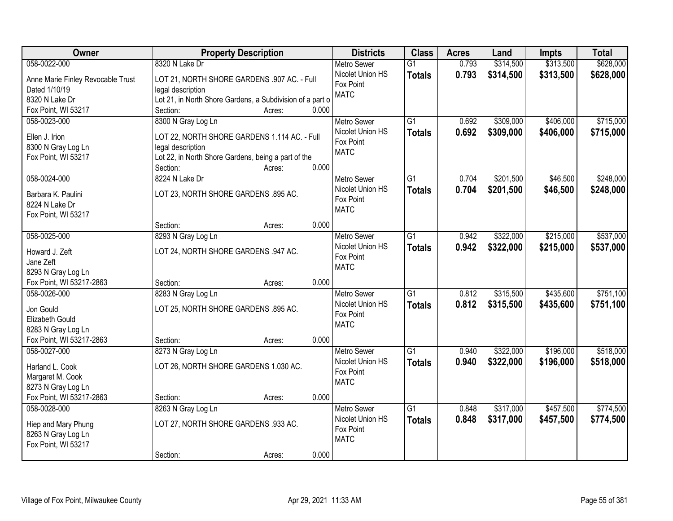| Owner                             | <b>Property Description</b>                                              | <b>Districts</b>              | <b>Class</b>    | <b>Acres</b> | Land      | <b>Impts</b> | <b>Total</b> |
|-----------------------------------|--------------------------------------------------------------------------|-------------------------------|-----------------|--------------|-----------|--------------|--------------|
| 058-0022-000                      | 8320 N Lake Dr                                                           | <b>Metro Sewer</b>            | $\overline{G1}$ | 0.793        | \$314,500 | \$313,500    | \$628,000    |
| Anne Marie Finley Revocable Trust | LOT 21, NORTH SHORE GARDENS .907 AC. - Full                              | Nicolet Union HS              | <b>Totals</b>   | 0.793        | \$314,500 | \$313,500    | \$628,000    |
| Dated 1/10/19                     | legal description                                                        | Fox Point                     |                 |              |           |              |              |
| 8320 N Lake Dr                    | Lot 21, in North Shore Gardens, a Subdivision of a part o                | <b>MATC</b>                   |                 |              |           |              |              |
| Fox Point, WI 53217               | 0.000<br>Section:<br>Acres:                                              |                               |                 |              |           |              |              |
| 058-0023-000                      | 8300 N Gray Log Ln                                                       | <b>Metro Sewer</b>            | G1              | 0.692        | \$309,000 | \$406,000    | \$715,000    |
|                                   |                                                                          | Nicolet Union HS              | <b>Totals</b>   | 0.692        | \$309,000 | \$406,000    | \$715,000    |
| Ellen J. Irion                    | LOT 22, NORTH SHORE GARDENS 1.114 AC. - Full                             | Fox Point                     |                 |              |           |              |              |
| 8300 N Gray Log Ln                | legal description                                                        | <b>MATC</b>                   |                 |              |           |              |              |
| Fox Point, WI 53217               | Lot 22, in North Shore Gardens, being a part of the<br>0.000<br>Section: |                               |                 |              |           |              |              |
| 058-0024-000                      | Acres:<br>8224 N Lake Dr                                                 | Metro Sewer                   | $\overline{G1}$ | 0.704        | \$201,500 | \$46,500     | \$248,000    |
|                                   |                                                                          | Nicolet Union HS              |                 |              |           |              |              |
| Barbara K. Paulini                | LOT 23, NORTH SHORE GARDENS .895 AC.                                     | Fox Point                     | <b>Totals</b>   | 0.704        | \$201,500 | \$46,500     | \$248,000    |
| 8224 N Lake Dr                    |                                                                          | <b>MATC</b>                   |                 |              |           |              |              |
| Fox Point, WI 53217               |                                                                          |                               |                 |              |           |              |              |
|                                   | 0.000<br>Section:<br>Acres:                                              |                               |                 |              |           |              |              |
| 058-0025-000                      | 8293 N Gray Log Ln                                                       | <b>Metro Sewer</b>            | $\overline{G1}$ | 0.942        | \$322,000 | \$215,000    | \$537,000    |
| Howard J. Zeft                    | LOT 24, NORTH SHORE GARDENS .947 AC.                                     | Nicolet Union HS              | <b>Totals</b>   | 0.942        | \$322,000 | \$215,000    | \$537,000    |
| Jane Zeft                         |                                                                          | Fox Point                     |                 |              |           |              |              |
| 8293 N Gray Log Ln                |                                                                          | <b>MATC</b>                   |                 |              |           |              |              |
| Fox Point, WI 53217-2863          | 0.000<br>Section:<br>Acres:                                              |                               |                 |              |           |              |              |
| 058-0026-000                      | 8283 N Gray Log Ln                                                       | <b>Metro Sewer</b>            | $\overline{G1}$ | 0.812        | \$315,500 | \$435,600    | \$751,100    |
|                                   |                                                                          | Nicolet Union HS              | <b>Totals</b>   | 0.812        | \$315,500 | \$435,600    | \$751,100    |
| Jon Gould                         | LOT 25, NORTH SHORE GARDENS .895 AC.                                     | Fox Point                     |                 |              |           |              |              |
| Elizabeth Gould                   |                                                                          | <b>MATC</b>                   |                 |              |           |              |              |
| 8283 N Gray Log Ln                |                                                                          |                               |                 |              |           |              |              |
| Fox Point, WI 53217-2863          | 0.000<br>Section:<br>Acres:                                              |                               |                 |              |           |              |              |
| 058-0027-000                      | 8273 N Gray Log Ln                                                       | <b>Metro Sewer</b>            | $\overline{G1}$ | 0.940        | \$322,000 | \$196,000    | \$518,000    |
| Harland L. Cook                   | LOT 26, NORTH SHORE GARDENS 1.030 AC.                                    | Nicolet Union HS<br>Fox Point | <b>Totals</b>   | 0.940        | \$322,000 | \$196,000    | \$518,000    |
| Margaret M. Cook                  |                                                                          | <b>MATC</b>                   |                 |              |           |              |              |
| 8273 N Gray Log Ln                |                                                                          |                               |                 |              |           |              |              |
| Fox Point, WI 53217-2863          | 0.000<br>Section:<br>Acres:                                              |                               |                 |              |           |              |              |
| 058-0028-000                      | 8263 N Gray Log Ln                                                       | <b>Metro Sewer</b>            | $\overline{G1}$ | 0.848        | \$317,000 | \$457,500    | \$774,500    |
| Hiep and Mary Phung               | LOT 27, NORTH SHORE GARDENS .933 AC.                                     | Nicolet Union HS              | <b>Totals</b>   | 0.848        | \$317,000 | \$457,500    | \$774,500    |
| 8263 N Gray Log Ln                |                                                                          | Fox Point                     |                 |              |           |              |              |
| Fox Point, WI 53217               |                                                                          | <b>MATC</b>                   |                 |              |           |              |              |
|                                   | 0.000<br>Section:<br>Acres:                                              |                               |                 |              |           |              |              |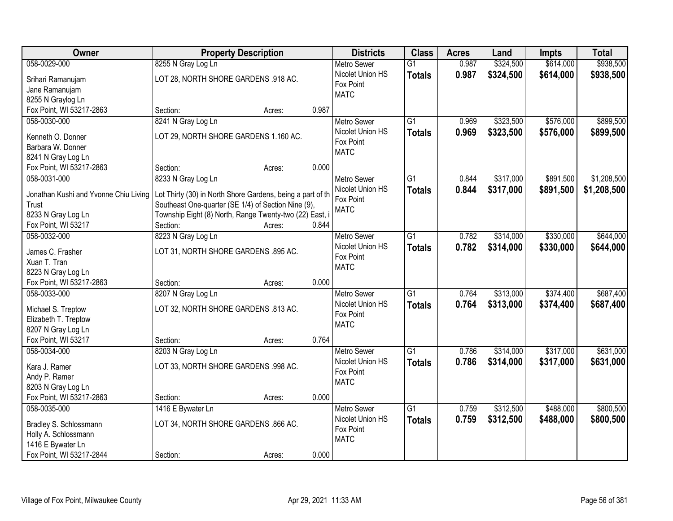| Owner                                 | <b>Property Description</b>                                | <b>Districts</b>                       | <b>Class</b>    | <b>Acres</b> | Land      | Impts     | <b>Total</b> |
|---------------------------------------|------------------------------------------------------------|----------------------------------------|-----------------|--------------|-----------|-----------|--------------|
| 058-0029-000                          | 8255 N Gray Log Ln                                         | <b>Metro Sewer</b>                     | $\overline{G1}$ | 0.987        | \$324,500 | \$614,000 | \$938,500    |
| Srihari Ramanujam                     | LOT 28, NORTH SHORE GARDENS .918 AC.                       | Nicolet Union HS<br>Fox Point          | <b>Totals</b>   | 0.987        | \$324,500 | \$614,000 | \$938,500    |
| Jane Ramanujam                        |                                                            | <b>MATC</b>                            |                 |              |           |           |              |
| 8255 N Graylog Ln                     |                                                            |                                        |                 |              |           |           |              |
| Fox Point, WI 53217-2863              | 0.987<br>Section:<br>Acres:                                |                                        |                 |              |           |           |              |
| 058-0030-000                          | 8241 N Gray Log Ln                                         | <b>Metro Sewer</b>                     | $\overline{G1}$ | 0.969        | \$323,500 | \$576,000 | \$899,500    |
| Kenneth O. Donner                     | LOT 29, NORTH SHORE GARDENS 1.160 AC.                      | Nicolet Union HS                       | <b>Totals</b>   | 0.969        | \$323,500 | \$576,000 | \$899,500    |
| Barbara W. Donner                     |                                                            | Fox Point                              |                 |              |           |           |              |
| 8241 N Gray Log Ln                    |                                                            | <b>MATC</b>                            |                 |              |           |           |              |
| Fox Point, WI 53217-2863              | 0.000<br>Section:<br>Acres:                                |                                        |                 |              |           |           |              |
| 058-0031-000                          | 8233 N Gray Log Ln                                         | <b>Metro Sewer</b>                     | G1              | 0.844        | \$317,000 | \$891,500 | \$1,208,500  |
|                                       |                                                            | Nicolet Union HS                       | <b>Totals</b>   | 0.844        | \$317,000 | \$891,500 | \$1,208,500  |
| Jonathan Kushi and Yvonne Chiu Living | Lot Thirty (30) in North Shore Gardens, being a part of th | Fox Point                              |                 |              |           |           |              |
| Trust                                 | Southeast One-quarter (SE 1/4) of Section Nine (9),        | <b>MATC</b>                            |                 |              |           |           |              |
| 8233 N Gray Log Ln                    | Township Eight (8) North, Range Twenty-two (22) East, i    |                                        |                 |              |           |           |              |
| Fox Point, WI 53217                   | Section:<br>0.844<br>Acres:                                |                                        |                 |              |           |           |              |
| 058-0032-000                          | 8223 N Gray Log Ln                                         | <b>Metro Sewer</b><br>Nicolet Union HS | G1              | 0.782        | \$314,000 | \$330,000 | \$644,000    |
| James C. Frasher                      | LOT 31, NORTH SHORE GARDENS .895 AC.                       | Fox Point                              | <b>Totals</b>   | 0.782        | \$314,000 | \$330,000 | \$644,000    |
| Xuan T. Tran                          |                                                            | <b>MATC</b>                            |                 |              |           |           |              |
| 8223 N Gray Log Ln                    |                                                            |                                        |                 |              |           |           |              |
| Fox Point, WI 53217-2863              | 0.000<br>Section:<br>Acres:                                |                                        |                 |              |           |           |              |
| 058-0033-000                          | 8207 N Gray Log Ln                                         | <b>Metro Sewer</b>                     | $\overline{G1}$ | 0.764        | \$313,000 | \$374,400 | \$687,400    |
| Michael S. Treptow                    | LOT 32, NORTH SHORE GARDENS .813 AC.                       | Nicolet Union HS                       | Totals          | 0.764        | \$313,000 | \$374,400 | \$687,400    |
| Elizabeth T. Treptow                  |                                                            | Fox Point                              |                 |              |           |           |              |
| 8207 N Gray Log Ln                    |                                                            | <b>MATC</b>                            |                 |              |           |           |              |
| Fox Point, WI 53217                   | 0.764<br>Section:<br>Acres:                                |                                        |                 |              |           |           |              |
| 058-0034-000                          | 8203 N Gray Log Ln                                         | Metro Sewer                            | $\overline{G1}$ | 0.786        | \$314,000 | \$317,000 | \$631,000    |
| Kara J. Ramer                         |                                                            | Nicolet Union HS                       | <b>Totals</b>   | 0.786        | \$314,000 | \$317,000 | \$631,000    |
| Andy P. Ramer                         | LOT 33, NORTH SHORE GARDENS .998 AC.                       | Fox Point                              |                 |              |           |           |              |
| 8203 N Gray Log Ln                    |                                                            | <b>MATC</b>                            |                 |              |           |           |              |
| Fox Point, WI 53217-2863              | 0.000<br>Section:<br>Acres:                                |                                        |                 |              |           |           |              |
| 058-0035-000                          | 1416 E Bywater Ln                                          | <b>Metro Sewer</b>                     | $\overline{G1}$ | 0.759        | \$312,500 | \$488,000 | \$800,500    |
|                                       |                                                            | Nicolet Union HS                       | <b>Totals</b>   | 0.759        | \$312,500 | \$488,000 | \$800,500    |
| Bradley S. Schlossmann                | LOT 34, NORTH SHORE GARDENS .866 AC.                       | Fox Point                              |                 |              |           |           |              |
| Holly A. Schlossmann                  |                                                            | <b>MATC</b>                            |                 |              |           |           |              |
| 1416 E Bywater Ln                     |                                                            |                                        |                 |              |           |           |              |
| Fox Point, WI 53217-2844              | 0.000<br>Section:<br>Acres:                                |                                        |                 |              |           |           |              |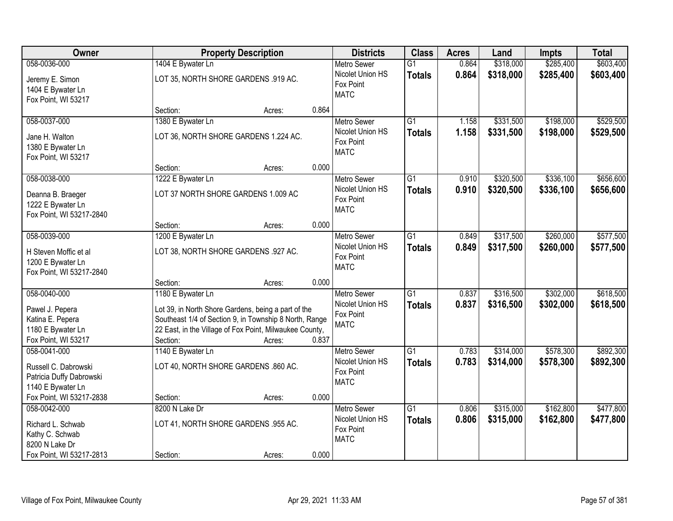| Owner                                                                  |                   | <b>Property Description</b>                                       |       |                                              | <b>Class</b>                     | <b>Acres</b>   | Land                   | <b>Impts</b>           | <b>Total</b>           |
|------------------------------------------------------------------------|-------------------|-------------------------------------------------------------------|-------|----------------------------------------------|----------------------------------|----------------|------------------------|------------------------|------------------------|
| 058-0036-000                                                           | 1404 E Bywater Ln |                                                                   |       | <b>Metro Sewer</b>                           | $\overline{G1}$                  | 0.864          | \$318,000              | \$285,400              | \$603,400              |
| Jeremy E. Simon<br>1404 E Bywater Ln<br>Fox Point, WI 53217            |                   | LOT 35, NORTH SHORE GARDENS .919 AC.                              |       | Nicolet Union HS<br>Fox Point<br><b>MATC</b> | <b>Totals</b>                    | 0.864          | \$318,000              | \$285,400              | \$603,400              |
|                                                                        | Section:          | Acres:                                                            | 0.864 |                                              |                                  |                |                        |                        |                        |
| 058-0037-000                                                           | 1380 E Bywater Ln |                                                                   |       | <b>Metro Sewer</b>                           | G1                               | 1.158          | \$331,500              | \$198,000              | \$529,500              |
| Jane H. Walton<br>1380 E Bywater Ln<br>Fox Point, WI 53217             |                   | LOT 36, NORTH SHORE GARDENS 1.224 AC.                             |       | Nicolet Union HS<br>Fox Point<br><b>MATC</b> | <b>Totals</b>                    | 1.158          | \$331,500              | \$198,000              | \$529,500              |
|                                                                        | Section:          | Acres:                                                            | 0.000 |                                              |                                  |                |                        |                        |                        |
| 058-0038-000                                                           | 1222 E Bywater Ln |                                                                   |       | Metro Sewer                                  | $\overline{G1}$                  | 0.910          | \$320,500              | \$336,100              | \$656,600              |
| Deanna B. Braeger<br>1222 E Bywater Ln<br>Fox Point, WI 53217-2840     |                   | LOT 37 NORTH SHORE GARDENS 1.009 AC                               |       | Nicolet Union HS<br>Fox Point<br><b>MATC</b> | <b>Totals</b>                    | 0.910          | \$320,500              | \$336,100              | \$656,600              |
|                                                                        | Section:          | Acres:                                                            | 0.000 |                                              |                                  |                |                        |                        |                        |
| 058-0039-000                                                           | 1200 E Bywater Ln |                                                                   |       | <b>Metro Sewer</b>                           | $\overline{G1}$                  | 0.849          | \$317,500              | \$260,000              | \$577,500              |
| H Steven Moffic et al<br>1200 E Bywater Ln<br>Fox Point, WI 53217-2840 |                   | LOT 38, NORTH SHORE GARDENS .927 AC.                              |       | Nicolet Union HS<br>Fox Point<br><b>MATC</b> | <b>Totals</b>                    | 0.849          | \$317,500              | \$260,000              | \$577,500              |
|                                                                        | Section:          | Acres:                                                            | 0.000 |                                              |                                  |                |                        |                        |                        |
| 058-0040-000                                                           | 1180 E Bywater Ln |                                                                   |       | <b>Metro Sewer</b><br>Nicolet Union HS       | $\overline{G1}$<br><b>Totals</b> | 0.837<br>0.837 | \$316,500<br>\$316,500 | \$302,000<br>\$302,000 | \$618,500<br>\$618,500 |
| Pawel J. Pepera                                                        |                   | Lot 39, in North Shore Gardens, being a part of the               |       | Fox Point                                    |                                  |                |                        |                        |                        |
| Katina E. Pepera                                                       |                   | Southeast 1/4 of Section 9, in Township 8 North, Range            |       | <b>MATC</b>                                  |                                  |                |                        |                        |                        |
| 1180 E Bywater Ln<br>Fox Point, WI 53217                               | Section:          | 22 East, in the Village of Fox Point, Milwaukee County,<br>Acres: | 0.837 |                                              |                                  |                |                        |                        |                        |
| 058-0041-000                                                           | 1140 E Bywater Ln |                                                                   |       | <b>Metro Sewer</b>                           | $\overline{G1}$                  | 0.783          | \$314,000              | \$578,300              | \$892,300              |
| Russell C. Dabrowski<br>Patricia Duffy Dabrowski<br>1140 E Bywater Ln  |                   | LOT 40, NORTH SHORE GARDENS .860 AC.                              |       | Nicolet Union HS<br>Fox Point<br><b>MATC</b> | <b>Totals</b>                    | 0.783          | \$314,000              | \$578,300              | \$892,300              |
| Fox Point, WI 53217-2838                                               | Section:          | Acres:                                                            | 0.000 |                                              |                                  |                |                        |                        |                        |
| 058-0042-000                                                           | 8200 N Lake Dr    |                                                                   |       | <b>Metro Sewer</b>                           | $\overline{G1}$                  | 0.806          | \$315,000              | \$162,800              | \$477,800              |
| Richard L. Schwab<br>Kathy C. Schwab<br>8200 N Lake Dr                 |                   | LOT 41, NORTH SHORE GARDENS .955 AC.                              |       | Nicolet Union HS<br>Fox Point<br><b>MATC</b> | <b>Totals</b>                    | 0.806          | \$315,000              | \$162,800              | \$477,800              |
| Fox Point, WI 53217-2813                                               | Section:          | Acres:                                                            | 0.000 |                                              |                                  |                |                        |                        |                        |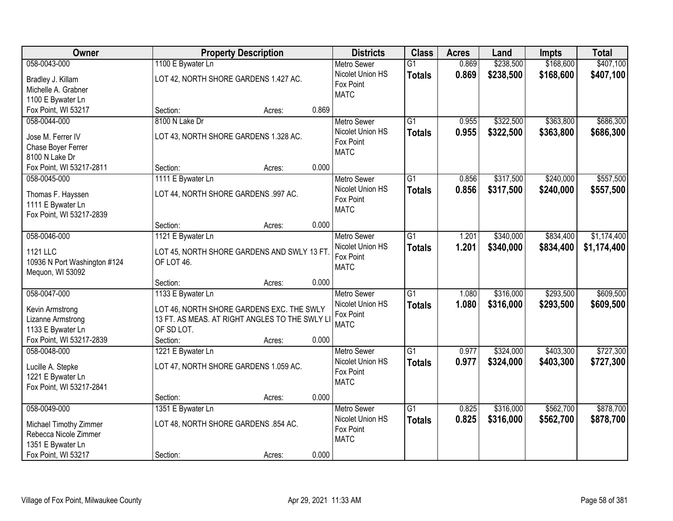| Owner                        | <b>Property Description</b>          |                                                |       | <b>Districts</b>   | <b>Class</b>    | <b>Acres</b> | Land      | <b>Impts</b> | <b>Total</b> |
|------------------------------|--------------------------------------|------------------------------------------------|-------|--------------------|-----------------|--------------|-----------|--------------|--------------|
| 058-0043-000                 | 1100 E Bywater Ln                    |                                                |       | <b>Metro Sewer</b> | $\overline{G1}$ | 0.869        | \$238,500 | \$168,600    | \$407,100    |
| Bradley J. Killam            |                                      | LOT 42, NORTH SHORE GARDENS 1.427 AC.          |       | Nicolet Union HS   | <b>Totals</b>   | 0.869        | \$238,500 | \$168,600    | \$407,100    |
| Michelle A. Grabner          |                                      |                                                |       | Fox Point          |                 |              |           |              |              |
| 1100 E Bywater Ln            |                                      |                                                |       | <b>MATC</b>        |                 |              |           |              |              |
| Fox Point, WI 53217          | Section:                             | Acres:                                         | 0.869 |                    |                 |              |           |              |              |
| 058-0044-000                 | 8100 N Lake Dr                       |                                                |       | <b>Metro Sewer</b> | $\overline{G1}$ | 0.955        | \$322,500 | \$363,800    | \$686,300    |
|                              |                                      |                                                |       | Nicolet Union HS   | <b>Totals</b>   | 0.955        | \$322,500 | \$363,800    | \$686,300    |
| Jose M. Ferrer IV            |                                      | LOT 43, NORTH SHORE GARDENS 1.328 AC.          |       | Fox Point          |                 |              |           |              |              |
| Chase Boyer Ferrer           |                                      |                                                |       | <b>MATC</b>        |                 |              |           |              |              |
| 8100 N Lake Dr               |                                      |                                                |       |                    |                 |              |           |              |              |
| Fox Point, WI 53217-2811     | Section:                             | Acres:                                         | 0.000 |                    |                 |              |           |              |              |
| 058-0045-000                 | 1111 E Bywater Ln                    |                                                |       | <b>Metro Sewer</b> | G1              | 0.856        | \$317,500 | \$240,000    | \$557,500    |
| Thomas F. Hayssen            | LOT 44, NORTH SHORE GARDENS .997 AC. |                                                |       | Nicolet Union HS   | <b>Totals</b>   | 0.856        | \$317,500 | \$240,000    | \$557,500    |
| 1111 E Bywater Ln            |                                      |                                                |       | Fox Point          |                 |              |           |              |              |
| Fox Point, WI 53217-2839     |                                      |                                                |       | <b>MATC</b>        |                 |              |           |              |              |
|                              | Section:                             | Acres:                                         | 0.000 |                    |                 |              |           |              |              |
| 058-0046-000                 | 1121 E Bywater Ln                    |                                                |       | <b>Metro Sewer</b> | G1              | 1.201        | \$340,000 | \$834,400    | \$1,174,400  |
| 1121 LLC                     |                                      | LOT 45, NORTH SHORE GARDENS AND SWLY 13 FT     |       | Nicolet Union HS   | <b>Totals</b>   | 1.201        | \$340,000 | \$834,400    | \$1,174,400  |
| 10936 N Port Washington #124 | OF LOT 46.                           |                                                |       | Fox Point          |                 |              |           |              |              |
| Mequon, WI 53092             |                                      |                                                |       | <b>MATC</b>        |                 |              |           |              |              |
|                              | Section:                             | Acres:                                         | 0.000 |                    |                 |              |           |              |              |
| 058-0047-000                 | 1133 E Bywater Ln                    |                                                |       | <b>Metro Sewer</b> | $\overline{G1}$ | 1.080        | \$316,000 | \$293,500    | \$609,500    |
|                              |                                      |                                                |       | Nicolet Union HS   | <b>Totals</b>   | 1.080        | \$316,000 | \$293,500    | \$609,500    |
| Kevin Armstrong              |                                      | LOT 46, NORTH SHORE GARDENS EXC. THE SWLY      |       | Fox Point          |                 |              |           |              |              |
| Lizanne Armstrong            |                                      | 13 FT. AS MEAS. AT RIGHT ANGLES TO THE SWLY LI |       | <b>MATC</b>        |                 |              |           |              |              |
| 1133 E Bywater Ln            | OF SD LOT.                           |                                                |       |                    |                 |              |           |              |              |
| Fox Point, WI 53217-2839     | Section:                             | Acres:                                         | 0.000 |                    |                 |              |           |              |              |
| 058-0048-000                 | 1221 E Bywater Ln                    |                                                |       | Metro Sewer        | $\overline{G1}$ | 0.977        | \$324,000 | \$403,300    | \$727,300    |
| Lucille A. Stepke            |                                      | LOT 47, NORTH SHORE GARDENS 1.059 AC.          |       | Nicolet Union HS   | <b>Totals</b>   | 0.977        | \$324,000 | \$403,300    | \$727,300    |
| 1221 E Bywater Ln            |                                      |                                                |       | Fox Point          |                 |              |           |              |              |
| Fox Point, WI 53217-2841     |                                      |                                                |       | <b>MATC</b>        |                 |              |           |              |              |
|                              | Section:                             | Acres:                                         | 0.000 |                    |                 |              |           |              |              |
| 058-0049-000                 | 1351 E Bywater Ln                    |                                                |       | <b>Metro Sewer</b> | $\overline{G1}$ | 0.825        | \$316,000 | \$562,700    | \$878,700    |
|                              |                                      |                                                |       | Nicolet Union HS   | <b>Totals</b>   | 0.825        | \$316,000 | \$562,700    | \$878,700    |
| Michael Timothy Zimmer       | LOT 48, NORTH SHORE GARDENS .854 AC. |                                                |       | Fox Point          |                 |              |           |              |              |
| Rebecca Nicole Zimmer        |                                      |                                                |       | <b>MATC</b>        |                 |              |           |              |              |
| 1351 E Bywater Ln            |                                      |                                                |       |                    |                 |              |           |              |              |
| Fox Point, WI 53217          | Section:                             | Acres:                                         | 0.000 |                    |                 |              |           |              |              |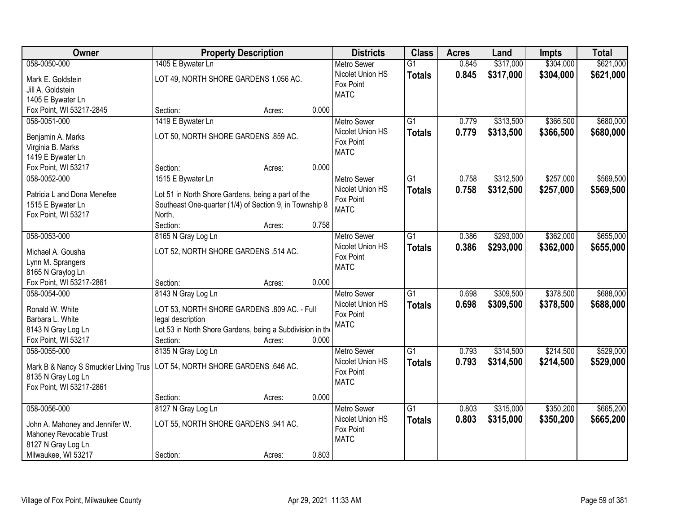| <b>Owner</b>                          | <b>Property Description</b>                               |        |       | <b>Districts</b>   | <b>Class</b>    | <b>Acres</b> | Land      | <b>Impts</b> | <b>Total</b> |
|---------------------------------------|-----------------------------------------------------------|--------|-------|--------------------|-----------------|--------------|-----------|--------------|--------------|
| 058-0050-000                          | 1405 E Bywater Ln                                         |        |       | <b>Metro Sewer</b> | $\overline{G1}$ | 0.845        | \$317,000 | \$304,000    | \$621,000    |
| Mark E. Goldstein                     | LOT 49, NORTH SHORE GARDENS 1.056 AC.                     |        |       | Nicolet Union HS   | <b>Totals</b>   | 0.845        | \$317,000 | \$304,000    | \$621,000    |
| Jill A. Goldstein                     |                                                           |        |       | Fox Point          |                 |              |           |              |              |
| 1405 E Bywater Ln                     |                                                           |        |       | <b>MATC</b>        |                 |              |           |              |              |
| Fox Point, WI 53217-2845              | Section:                                                  | Acres: | 0.000 |                    |                 |              |           |              |              |
| 058-0051-000                          | 1419 E Bywater Ln                                         |        |       | <b>Metro Sewer</b> | $\overline{G1}$ | 0.779        | \$313,500 | \$366,500    | \$680,000    |
|                                       |                                                           |        |       | Nicolet Union HS   | <b>Totals</b>   | 0.779        | \$313,500 | \$366,500    | \$680,000    |
| Benjamin A. Marks                     | LOT 50, NORTH SHORE GARDENS .859 AC.                      |        |       | Fox Point          |                 |              |           |              |              |
| Virginia B. Marks                     |                                                           |        |       | <b>MATC</b>        |                 |              |           |              |              |
| 1419 E Bywater Ln                     |                                                           |        |       |                    |                 |              |           |              |              |
| Fox Point, WI 53217                   | Section:                                                  | Acres: | 0.000 |                    |                 |              |           |              |              |
| 058-0052-000                          | 1515 E Bywater Ln                                         |        |       | Metro Sewer        | G1              | 0.758        | \$312,500 | \$257,000    | \$569,500    |
| Patricia L and Dona Menefee           | Lot 51 in North Shore Gardens, being a part of the        |        |       | Nicolet Union HS   | <b>Totals</b>   | 0.758        | \$312,500 | \$257,000    | \$569,500    |
| 1515 E Bywater Ln                     | Southeast One-quarter (1/4) of Section 9, in Township 8   |        |       | Fox Point          |                 |              |           |              |              |
| Fox Point, WI 53217                   | North,                                                    |        |       | <b>MATC</b>        |                 |              |           |              |              |
|                                       | Section:                                                  | Acres: | 0.758 |                    |                 |              |           |              |              |
| 058-0053-000                          | 8165 N Gray Log Ln                                        |        |       | <b>Metro Sewer</b> | G1              | 0.386        | \$293,000 | \$362,000    | \$655,000    |
|                                       |                                                           |        |       | Nicolet Union HS   | <b>Totals</b>   | 0.386        | \$293,000 | \$362,000    | \$655,000    |
| Michael A. Gousha                     | LOT 52, NORTH SHORE GARDENS .514 AC.                      |        |       | Fox Point          |                 |              |           |              |              |
| Lynn M. Sprangers                     |                                                           |        |       | <b>MATC</b>        |                 |              |           |              |              |
| 8165 N Graylog Ln                     |                                                           |        |       |                    |                 |              |           |              |              |
| Fox Point, WI 53217-2861              | Section:                                                  | Acres: | 0.000 |                    |                 |              |           |              |              |
| 058-0054-000                          | 8143 N Gray Log Ln                                        |        |       | <b>Metro Sewer</b> | $\overline{G1}$ | 0.698        | \$309,500 | \$378,500    | \$688,000    |
| Ronald W. White                       | LOT 53, NORTH SHORE GARDENS .809 AC. - Full               |        |       | Nicolet Union HS   | <b>Totals</b>   | 0.698        | \$309,500 | \$378,500    | \$688,000    |
| Barbara L. White                      | legal description                                         |        |       | Fox Point          |                 |              |           |              |              |
| 8143 N Gray Log Ln                    | Lot 53 in North Shore Gardens, being a Subdivision in the |        |       | <b>MATC</b>        |                 |              |           |              |              |
| Fox Point, WI 53217                   | Section:                                                  | Acres: | 0.000 |                    |                 |              |           |              |              |
| 058-0055-000                          | 8135 N Gray Log Ln                                        |        |       | <b>Metro Sewer</b> | $\overline{G1}$ | 0.793        | \$314,500 | \$214,500    | \$529,000    |
|                                       |                                                           |        |       | Nicolet Union HS   | <b>Totals</b>   | 0.793        | \$314,500 | \$214,500    | \$529,000    |
| Mark B & Nancy S Smuckler Living Trus | LOT 54, NORTH SHORE GARDENS .646 AC.                      |        |       | Fox Point          |                 |              |           |              |              |
| 8135 N Gray Log Ln                    |                                                           |        |       | <b>MATC</b>        |                 |              |           |              |              |
| Fox Point, WI 53217-2861              |                                                           |        |       |                    |                 |              |           |              |              |
|                                       | Section:                                                  | Acres: | 0.000 |                    |                 |              |           |              |              |
| 058-0056-000                          | 8127 N Gray Log Ln                                        |        |       | <b>Metro Sewer</b> | $\overline{G1}$ | 0.803        | \$315,000 | \$350,200    | \$665,200    |
| John A. Mahoney and Jennifer W.       | LOT 55, NORTH SHORE GARDENS .941 AC.                      |        |       | Nicolet Union HS   | <b>Totals</b>   | 0.803        | \$315,000 | \$350,200    | \$665,200    |
| Mahoney Revocable Trust               |                                                           |        |       | Fox Point          |                 |              |           |              |              |
| 8127 N Gray Log Ln                    |                                                           |        |       | <b>MATC</b>        |                 |              |           |              |              |
| Milwaukee, WI 53217                   | Section:                                                  | Acres: | 0.803 |                    |                 |              |           |              |              |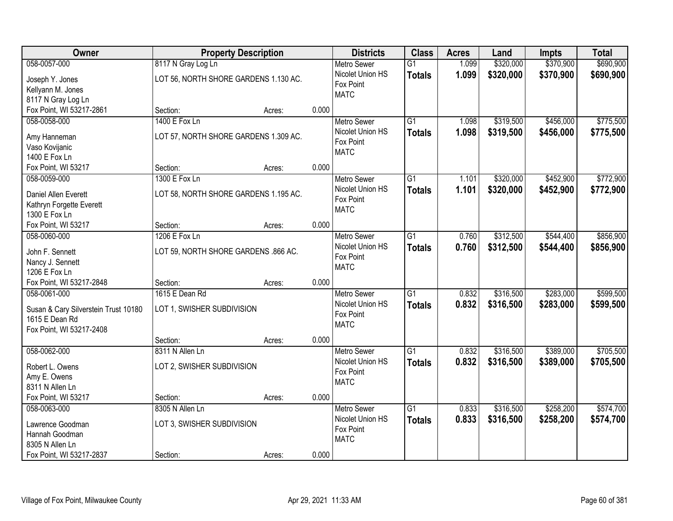| Owner                                     | <b>Property Description</b>           |        |       | <b>Districts</b>                             | <b>Class</b>    | <b>Acres</b> | Land      | <b>Impts</b> | <b>Total</b> |
|-------------------------------------------|---------------------------------------|--------|-------|----------------------------------------------|-----------------|--------------|-----------|--------------|--------------|
| 058-0057-000                              | 8117 N Gray Log Ln                    |        |       | <b>Metro Sewer</b>                           | $\overline{G1}$ | 1.099        | \$320,000 | \$370,900    | \$690,900    |
| Joseph Y. Jones<br>Kellyann M. Jones      | LOT 56, NORTH SHORE GARDENS 1.130 AC. |        |       | Nicolet Union HS<br>Fox Point<br><b>MATC</b> | <b>Totals</b>   | 1.099        | \$320,000 | \$370,900    | \$690,900    |
| 8117 N Gray Log Ln                        |                                       |        |       |                                              |                 |              |           |              |              |
| Fox Point, WI 53217-2861                  | Section:                              | Acres: | 0.000 |                                              |                 |              |           |              |              |
| 058-0058-000                              | 1400 E Fox Ln                         |        |       | <b>Metro Sewer</b>                           | $\overline{G1}$ | 1.098        | \$319,500 | \$456,000    | \$775,500    |
| Amy Hanneman                              | LOT 57, NORTH SHORE GARDENS 1.309 AC. |        |       | Nicolet Union HS                             | <b>Totals</b>   | 1.098        | \$319,500 | \$456,000    | \$775,500    |
| Vaso Kovijanic                            |                                       |        |       | Fox Point                                    |                 |              |           |              |              |
| 1400 E Fox Ln                             |                                       |        |       | <b>MATC</b>                                  |                 |              |           |              |              |
| Fox Point, WI 53217                       | Section:                              | Acres: | 0.000 |                                              |                 |              |           |              |              |
| 058-0059-000                              | 1300 E Fox Ln                         |        |       | <b>Metro Sewer</b>                           | G1              | 1.101        | \$320,000 | \$452,900    | \$772,900    |
|                                           |                                       |        |       | Nicolet Union HS                             | <b>Totals</b>   | 1.101        | \$320,000 | \$452,900    | \$772,900    |
| Daniel Allen Everett                      | LOT 58, NORTH SHORE GARDENS 1.195 AC. |        |       | Fox Point                                    |                 |              |           |              |              |
| Kathryn Forgette Everett<br>1300 E Fox Ln |                                       |        |       | <b>MATC</b>                                  |                 |              |           |              |              |
| Fox Point, WI 53217                       | Section:                              | Acres: | 0.000 |                                              |                 |              |           |              |              |
| 058-0060-000                              | 1206 E Fox Ln                         |        |       | <b>Metro Sewer</b>                           | G1              | 0.760        | \$312,500 | \$544,400    | \$856,900    |
|                                           |                                       |        |       | Nicolet Union HS                             | <b>Totals</b>   | 0.760        | \$312,500 | \$544,400    | \$856,900    |
| John F. Sennett                           | LOT 59, NORTH SHORE GARDENS .866 AC.  |        |       | Fox Point                                    |                 |              |           |              |              |
| Nancy J. Sennett                          |                                       |        |       | <b>MATC</b>                                  |                 |              |           |              |              |
| 1206 E Fox Ln                             |                                       |        |       |                                              |                 |              |           |              |              |
| Fox Point, WI 53217-2848                  | Section:                              | Acres: | 0.000 |                                              |                 |              |           |              |              |
| 058-0061-000                              | 1615 E Dean Rd                        |        |       | <b>Metro Sewer</b>                           | $\overline{G1}$ | 0.832        | \$316,500 | \$283,000    | \$599,500    |
| Susan & Cary Silverstein Trust 10180      | LOT 1, SWISHER SUBDIVISION            |        |       | Nicolet Union HS                             | <b>Totals</b>   | 0.832        | \$316,500 | \$283,000    | \$599,500    |
| 1615 E Dean Rd                            |                                       |        |       | Fox Point                                    |                 |              |           |              |              |
| Fox Point, WI 53217-2408                  |                                       |        |       | <b>MATC</b>                                  |                 |              |           |              |              |
|                                           | Section:                              | Acres: | 0.000 |                                              |                 |              |           |              |              |
| 058-0062-000                              | 8311 N Allen Ln                       |        |       | <b>Metro Sewer</b>                           | $\overline{G1}$ | 0.832        | \$316,500 | \$389,000    | \$705,500    |
| Robert L. Owens                           | LOT 2, SWISHER SUBDIVISION            |        |       | Nicolet Union HS                             | <b>Totals</b>   | 0.832        | \$316,500 | \$389,000    | \$705,500    |
| Amy E. Owens                              |                                       |        |       | Fox Point                                    |                 |              |           |              |              |
| 8311 N Allen Ln                           |                                       |        |       | <b>MATC</b>                                  |                 |              |           |              |              |
| Fox Point, WI 53217                       | Section:                              | Acres: | 0.000 |                                              |                 |              |           |              |              |
| 058-0063-000                              | 8305 N Allen Ln                       |        |       | <b>Metro Sewer</b>                           | $\overline{G1}$ | 0.833        | \$316,500 | \$258,200    | \$574,700    |
|                                           |                                       |        |       | Nicolet Union HS                             | <b>Totals</b>   | 0.833        | \$316,500 | \$258,200    | \$574,700    |
| Lawrence Goodman                          | LOT 3, SWISHER SUBDIVISION            |        |       | Fox Point                                    |                 |              |           |              |              |
| Hannah Goodman                            |                                       |        |       | <b>MATC</b>                                  |                 |              |           |              |              |
| 8305 N Allen Ln                           |                                       |        |       |                                              |                 |              |           |              |              |
| Fox Point, WI 53217-2837                  | Section:                              | Acres: | 0.000 |                                              |                 |              |           |              |              |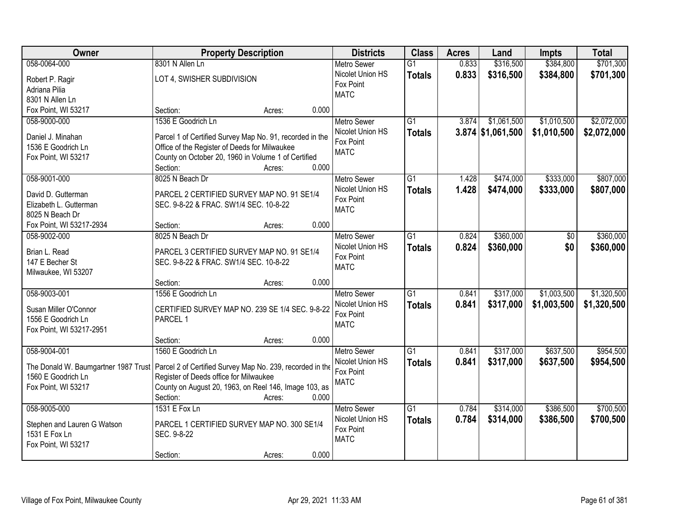| <b>Owner</b>                     | <b>Property Description</b>                                                                      | <b>Districts</b>              | <b>Class</b>    | <b>Acres</b> | Land                | <b>Impts</b> | <b>Total</b> |
|----------------------------------|--------------------------------------------------------------------------------------------------|-------------------------------|-----------------|--------------|---------------------|--------------|--------------|
| 058-0064-000                     | 8301 N Allen Ln                                                                                  | <b>Metro Sewer</b>            | $\overline{G1}$ | 0.833        | \$316,500           | \$384,800    | \$701,300    |
| Robert P. Ragir                  | LOT 4, SWISHER SUBDIVISION                                                                       | Nicolet Union HS              | <b>Totals</b>   | 0.833        | \$316,500           | \$384,800    | \$701,300    |
| Adriana Pilia                    |                                                                                                  | Fox Point                     |                 |              |                     |              |              |
| 8301 N Allen Ln                  |                                                                                                  | <b>MATC</b>                   |                 |              |                     |              |              |
| Fox Point, WI 53217              | Section:<br>Acres:                                                                               | 0.000                         |                 |              |                     |              |              |
| 058-9000-000                     | 1536 E Goodrich Ln                                                                               | <b>Metro Sewer</b>            | $\overline{G1}$ | 3.874        | \$1,061,500         | \$1,010,500  | \$2,072,000  |
|                                  |                                                                                                  | Nicolet Union HS              | <b>Totals</b>   |              | $3.874$ \$1,061,500 | \$1,010,500  | \$2,072,000  |
| Daniel J. Minahan                | Parcel 1 of Certified Survey Map No. 91, recorded in the                                         | Fox Point                     |                 |              |                     |              |              |
| 1536 E Goodrich Ln               | Office of the Register of Deeds for Milwaukee                                                    | <b>MATC</b>                   |                 |              |                     |              |              |
| Fox Point, WI 53217              | County on October 20, 1960 in Volume 1 of Certified                                              |                               |                 |              |                     |              |              |
|                                  | Section:<br>Acres:                                                                               | 0.000                         |                 |              |                     |              |              |
| 058-9001-000                     | 8025 N Beach Dr                                                                                  | Metro Sewer                   | G1              | 1.428        | \$474,000           | \$333,000    | \$807,000    |
| David D. Gutterman               | PARCEL 2 CERTIFIED SURVEY MAP NO. 91 SE1/4                                                       | Nicolet Union HS              | <b>Totals</b>   | 1.428        | \$474,000           | \$333,000    | \$807,000    |
| Elizabeth L. Gutterman           | SEC. 9-8-22 & FRAC. SW1/4 SEC. 10-8-22                                                           | Fox Point                     |                 |              |                     |              |              |
| 8025 N Beach Dr                  |                                                                                                  | <b>MATC</b>                   |                 |              |                     |              |              |
| Fox Point, WI 53217-2934         | Section:<br>Acres:                                                                               | 0.000                         |                 |              |                     |              |              |
| 058-9002-000                     | 8025 N Beach Dr                                                                                  | <b>Metro Sewer</b>            | G1              | 0.824        | \$360,000           | \$0          | \$360,000    |
|                                  |                                                                                                  | Nicolet Union HS              | <b>Totals</b>   | 0.824        | \$360,000           | \$0          | \$360,000    |
| Brian L. Read<br>147 E Becher St | PARCEL 3 CERTIFIED SURVEY MAP NO. 91 SE1/4<br>SEC. 9-8-22 & FRAC. SW1/4 SEC. 10-8-22             | Fox Point                     |                 |              |                     |              |              |
|                                  |                                                                                                  | <b>MATC</b>                   |                 |              |                     |              |              |
| Milwaukee, WI 53207              | Section:                                                                                         | 0.000                         |                 |              |                     |              |              |
| 058-9003-001                     | Acres:<br>1556 E Goodrich Ln                                                                     | <b>Metro Sewer</b>            | $\overline{G1}$ | 0.841        | \$317,000           | \$1,003,500  | \$1,320,500  |
|                                  |                                                                                                  |                               |                 |              |                     |              |              |
| Susan Miller O'Connor            | CERTIFIED SURVEY MAP NO. 239 SE 1/4 SEC. 9-8-22                                                  | Nicolet Union HS<br>Fox Point | <b>Totals</b>   | 0.841        | \$317,000           | \$1,003,500  | \$1,320,500  |
| 1556 E Goodrich Ln               | PARCEL 1                                                                                         | <b>MATC</b>                   |                 |              |                     |              |              |
| Fox Point, WI 53217-2951         |                                                                                                  |                               |                 |              |                     |              |              |
|                                  | Section:<br>Acres:                                                                               | 0.000                         |                 |              |                     |              |              |
| 058-9004-001                     | 1560 E Goodrich Ln                                                                               | <b>Metro Sewer</b>            | $\overline{G1}$ | 0.841        | \$317,000           | \$637,500    | \$954,500    |
|                                  | The Donald W. Baumgartner 1987 Trust   Parcel 2 of Certified Survey Map No. 239, recorded in the | Nicolet Union HS              | <b>Totals</b>   | 0.841        | \$317,000           | \$637,500    | \$954,500    |
| 1560 E Goodrich Ln               | Register of Deeds office for Milwaukee                                                           | Fox Point                     |                 |              |                     |              |              |
| Fox Point, WI 53217              | County on August 20, 1963, on Reel 146, Image 103, as                                            | <b>MATC</b>                   |                 |              |                     |              |              |
|                                  | Section:<br>Acres:                                                                               | 0.000                         |                 |              |                     |              |              |
| 058-9005-000                     | 1531 E Fox Ln                                                                                    | <b>Metro Sewer</b>            | $\overline{G1}$ | 0.784        | \$314,000           | \$386,500    | \$700,500    |
|                                  |                                                                                                  | Nicolet Union HS              | <b>Totals</b>   | 0.784        | \$314,000           | \$386,500    | \$700,500    |
| Stephen and Lauren G Watson      | PARCEL 1 CERTIFIED SURVEY MAP NO. 300 SE1/4                                                      | Fox Point                     |                 |              |                     |              |              |
| 1531 E Fox Ln                    | SEC. 9-8-22                                                                                      | <b>MATC</b>                   |                 |              |                     |              |              |
| Fox Point, WI 53217              |                                                                                                  |                               |                 |              |                     |              |              |
|                                  | Section:<br>Acres:                                                                               | 0.000                         |                 |              |                     |              |              |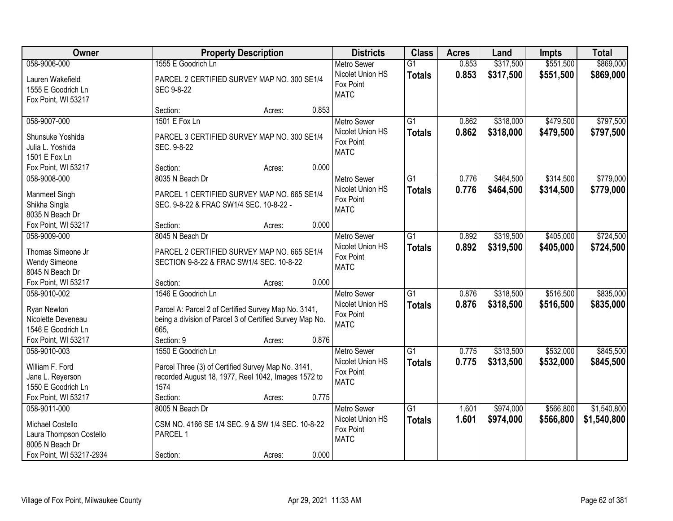| Owner                                                                                          |                                                                                                                                                              | <b>Property Description</b> |       | <b>Districts</b>                                                   | <b>Class</b>                     | <b>Acres</b>   | Land                   | <b>Impts</b>           | <b>Total</b>           |
|------------------------------------------------------------------------------------------------|--------------------------------------------------------------------------------------------------------------------------------------------------------------|-----------------------------|-------|--------------------------------------------------------------------|----------------------------------|----------------|------------------------|------------------------|------------------------|
| 058-9006-000                                                                                   | 1555 E Goodrich Ln                                                                                                                                           |                             |       | <b>Metro Sewer</b>                                                 | $\overline{G1}$                  | 0.853          | \$317,500              | \$551,500              | \$869,000              |
| Lauren Wakefield<br>1555 E Goodrich Ln<br>Fox Point, WI 53217                                  | PARCEL 2 CERTIFIED SURVEY MAP NO. 300 SE1/4<br>SEC 9-8-22                                                                                                    |                             |       | Nicolet Union HS<br>Fox Point<br><b>MATC</b>                       | <b>Totals</b>                    | 0.853          | \$317,500              | \$551,500              | \$869,000              |
|                                                                                                | Section:                                                                                                                                                     | Acres:                      | 0.853 |                                                                    |                                  |                |                        |                        |                        |
| 058-9007-000<br>Shunsuke Yoshida<br>Julia L. Yoshida<br>1501 E Fox Ln                          | 1501 E Fox Ln<br>PARCEL 3 CERTIFIED SURVEY MAP NO. 300 SE1/4<br>SEC. 9-8-22                                                                                  |                             |       | <b>Metro Sewer</b><br>Nicolet Union HS<br>Fox Point<br><b>MATC</b> | $\overline{G1}$<br><b>Totals</b> | 0.862<br>0.862 | \$318,000<br>\$318,000 | \$479,500<br>\$479,500 | \$797,500<br>\$797,500 |
| Fox Point, WI 53217                                                                            | Section:                                                                                                                                                     | Acres:                      | 0.000 |                                                                    |                                  |                |                        |                        |                        |
| 058-9008-000<br>Manmeet Singh<br>Shikha Singla<br>8035 N Beach Dr                              | 8035 N Beach Dr<br>PARCEL 1 CERTIFIED SURVEY MAP NO. 665 SE1/4<br>SEC. 9-8-22 & FRAC SW1/4 SEC. 10-8-22 -                                                    |                             |       | <b>Metro Sewer</b><br>Nicolet Union HS<br>Fox Point<br><b>MATC</b> | $\overline{G1}$<br><b>Totals</b> | 0.776<br>0.776 | \$464,500<br>\$464,500 | \$314,500<br>\$314,500 | \$779,000<br>\$779,000 |
| Fox Point, WI 53217                                                                            | Section:                                                                                                                                                     | Acres:                      | 0.000 |                                                                    |                                  |                |                        |                        |                        |
| 058-9009-000<br>Thomas Simeone Jr<br><b>Wendy Simeone</b><br>8045 N Beach Dr                   | 8045 N Beach Dr<br>PARCEL 2 CERTIFIED SURVEY MAP NO. 665 SE1/4<br>SECTION 9-8-22 & FRAC SW1/4 SEC. 10-8-22                                                   |                             |       | <b>Metro Sewer</b><br>Nicolet Union HS<br>Fox Point<br><b>MATC</b> | G1<br><b>Totals</b>              | 0.892<br>0.892 | \$319,500<br>\$319,500 | \$405,000<br>\$405,000 | \$724,500<br>\$724,500 |
| Fox Point, WI 53217                                                                            | Section:                                                                                                                                                     | Acres:                      | 0.000 |                                                                    |                                  |                |                        |                        |                        |
| 058-9010-002<br>Ryan Newton<br>Nicolette Deveneau<br>1546 E Goodrich Ln<br>Fox Point, WI 53217 | 1546 E Goodrich Ln<br>Parcel A: Parcel 2 of Certified Survey Map No. 3141,<br>being a division of Parcel 3 of Certified Survey Map No.<br>665.<br>Section: 9 | Acres:                      | 0.876 | <b>Metro Sewer</b><br>Nicolet Union HS<br>Fox Point<br><b>MATC</b> | $\overline{G1}$<br><b>Totals</b> | 0.876<br>0.876 | \$318,500<br>\$318,500 | \$516,500<br>\$516,500 | \$835,000<br>\$835,000 |
| 058-9010-003                                                                                   | 1550 E Goodrich Ln                                                                                                                                           |                             |       | <b>Metro Sewer</b>                                                 | $\overline{G1}$                  | 0.775          | \$313,500              | \$532,000              | \$845,500              |
| William F. Ford<br>Jane L. Reyerson<br>1550 E Goodrich Ln<br>Fox Point, WI 53217               | Parcel Three (3) of Certified Survey Map No. 3141,<br>recorded August 18, 1977, Reel 1042, Images 1572 to<br>1574<br>Section:                                | Acres:                      | 0.775 | Nicolet Union HS<br>Fox Point<br><b>MATC</b>                       | <b>Totals</b>                    | 0.775          | \$313,500              | \$532,000              | \$845,500              |
| 058-9011-000                                                                                   | 8005 N Beach Dr                                                                                                                                              |                             |       | <b>Metro Sewer</b>                                                 | $\overline{G1}$                  | 1.601          | \$974,000              | \$566,800              | \$1,540,800            |
| Michael Costello<br>Laura Thompson Costello<br>8005 N Beach Dr<br>Fox Point, WI 53217-2934     | CSM NO. 4166 SE 1/4 SEC. 9 & SW 1/4 SEC. 10-8-22<br>PARCEL 1<br>Section:                                                                                     | Acres:                      | 0.000 | Nicolet Union HS<br>Fox Point<br><b>MATC</b>                       | <b>Totals</b>                    | 1.601          | \$974,000              | \$566,800              | \$1,540,800            |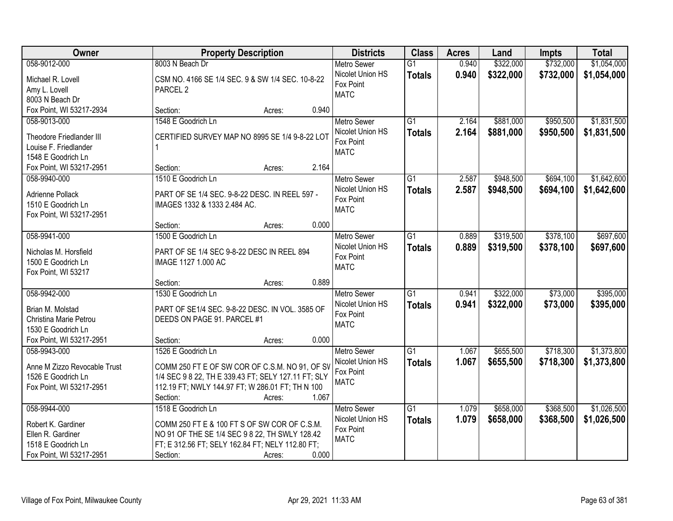| Owner                           | <b>Property Description</b>                               | <b>Districts</b>   | <b>Class</b>    | <b>Acres</b> | Land      | <b>Impts</b> | <b>Total</b> |
|---------------------------------|-----------------------------------------------------------|--------------------|-----------------|--------------|-----------|--------------|--------------|
| 058-9012-000                    | 8003 N Beach Dr                                           | <b>Metro Sewer</b> | $\overline{G1}$ | 0.940        | \$322,000 | \$732,000    | \$1,054,000  |
| Michael R. Lovell               | CSM NO. 4166 SE 1/4 SEC. 9 & SW 1/4 SEC. 10-8-22          | Nicolet Union HS   | <b>Totals</b>   | 0.940        | \$322,000 | \$732,000    | \$1,054,000  |
| Amy L. Lovell                   | PARCEL <sub>2</sub>                                       | Fox Point          |                 |              |           |              |              |
| 8003 N Beach Dr                 |                                                           | <b>MATC</b>        |                 |              |           |              |              |
| Fox Point, WI 53217-2934        | 0.940<br>Section:<br>Acres:                               |                    |                 |              |           |              |              |
| 058-9013-000                    | 1548 E Goodrich Ln                                        | <b>Metro Sewer</b> | $\overline{G1}$ | 2.164        | \$881,000 | \$950,500    | \$1,831,500  |
|                                 |                                                           | Nicolet Union HS   | <b>Totals</b>   | 2.164        | \$881,000 | \$950,500    | \$1,831,500  |
| <b>Theodore Friedlander III</b> | CERTIFIED SURVEY MAP NO 8995 SE 1/4 9-8-22 LOT            | Fox Point          |                 |              |           |              |              |
| Louise F. Friedlander           |                                                           | <b>MATC</b>        |                 |              |           |              |              |
| 1548 E Goodrich Ln              |                                                           |                    |                 |              |           |              |              |
| Fox Point, WI 53217-2951        | 2.164<br>Section:<br>Acres:                               |                    |                 |              |           |              |              |
| 058-9940-000                    | 1510 E Goodrich Ln                                        | Metro Sewer        | G1              | 2.587        | \$948,500 | \$694,100    | \$1,642,600  |
| Adrienne Pollack                | PART OF SE 1/4 SEC. 9-8-22 DESC. IN REEL 597 -            | Nicolet Union HS   | <b>Totals</b>   | 2.587        | \$948,500 | \$694,100    | \$1,642,600  |
| 1510 E Goodrich Ln              | IMAGES 1332 & 1333 2.484 AC.                              | Fox Point          |                 |              |           |              |              |
| Fox Point, WI 53217-2951        |                                                           | <b>MATC</b>        |                 |              |           |              |              |
|                                 | 0.000<br>Section:<br>Acres:                               |                    |                 |              |           |              |              |
| 058-9941-000                    | 1500 E Goodrich Ln                                        | <b>Metro Sewer</b> | G1              | 0.889        | \$319,500 | \$378,100    | \$697,600    |
|                                 |                                                           | Nicolet Union HS   | <b>Totals</b>   | 0.889        | \$319,500 | \$378,100    | \$697,600    |
| Nicholas M. Horsfield           | PART OF SE 1/4 SEC 9-8-22 DESC IN REEL 894                | Fox Point          |                 |              |           |              |              |
| 1500 E Goodrich Ln              | IMAGE 1127 1.000 AC                                       | <b>MATC</b>        |                 |              |           |              |              |
| Fox Point, WI 53217             |                                                           |                    |                 |              |           |              |              |
|                                 | 0.889<br>Section:<br>Acres:                               |                    |                 |              |           |              |              |
| 058-9942-000                    | 1530 E Goodrich Ln                                        | <b>Metro Sewer</b> | $\overline{G1}$ | 0.941        | \$322,000 | \$73,000     | \$395,000    |
| Brian M. Molstad                | PART OF SE1/4 SEC. 9-8-22 DESC. IN VOL. 3585 OF           | Nicolet Union HS   | <b>Totals</b>   | 0.941        | \$322,000 | \$73,000     | \$395,000    |
| Christina Marie Petrou          | DEEDS ON PAGE 91. PARCEL #1                               | Fox Point          |                 |              |           |              |              |
| 1530 E Goodrich Ln              |                                                           | <b>MATC</b>        |                 |              |           |              |              |
| Fox Point, WI 53217-2951        | 0.000<br>Section:<br>Acres:                               |                    |                 |              |           |              |              |
| 058-9943-000                    | 1526 E Goodrich Ln                                        | <b>Metro Sewer</b> | G1              | 1.067        | \$655,500 | \$718,300    | \$1,373,800  |
| Anne M Zizzo Revocable Trust    | COMM 250 FT E OF SW COR OF C.S.M. NO 91, OF SV            | Nicolet Union HS   | <b>Totals</b>   | 1.067        | \$655,500 | \$718,300    | \$1,373,800  |
| 1526 E Goodrich Ln              | 1/4 SEC 9 8 22, TH E 339.43 FT; SELY 127.11 FT; SLY       | Fox Point          |                 |              |           |              |              |
|                                 |                                                           | <b>MATC</b>        |                 |              |           |              |              |
| Fox Point, WI 53217-2951        | 112.19 FT; NWLY 144.97 FT; W 286.01 FT; TH N 100<br>1.067 |                    |                 |              |           |              |              |
|                                 | Section:<br>Acres:                                        |                    |                 |              |           |              |              |
| 058-9944-000                    | 1518 E Goodrich Ln                                        | <b>Metro Sewer</b> | $\overline{G1}$ | 1.079        | \$658,000 | \$368,500    | \$1,026,500  |
| Robert K. Gardiner              | COMM 250 FT E & 100 FT S OF SW COR OF C.S.M.              | Nicolet Union HS   | <b>Totals</b>   | 1.079        | \$658,000 | \$368,500    | \$1,026,500  |
| Ellen R. Gardiner               | NO 91 OF THE SE 1/4 SEC 9 8 22, TH SWLY 128.42            | Fox Point          |                 |              |           |              |              |
| 1518 E Goodrich Ln              | FT; E 312.56 FT; SELY 162.84 FT; NELY 112.80 FT;          | <b>MATC</b>        |                 |              |           |              |              |
| Fox Point, WI 53217-2951        | 0.000<br>Section:<br>Acres:                               |                    |                 |              |           |              |              |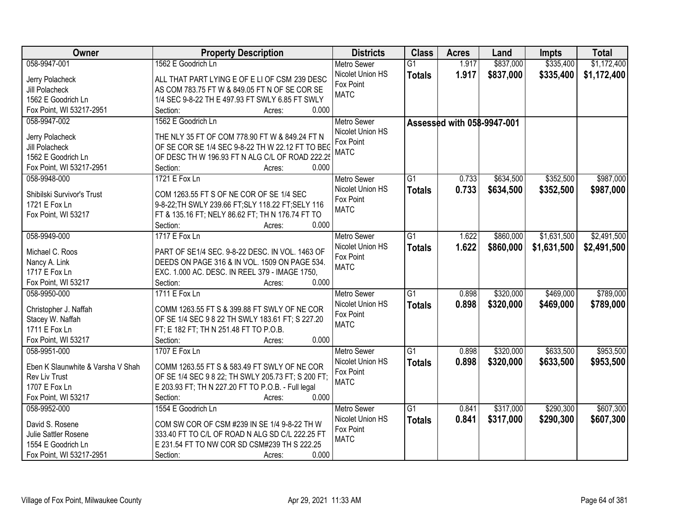| Owner                             | <b>Property Description</b>                               | <b>Districts</b>   | <b>Class</b>    | <b>Acres</b>               | Land      | <b>Impts</b> | <b>Total</b> |
|-----------------------------------|-----------------------------------------------------------|--------------------|-----------------|----------------------------|-----------|--------------|--------------|
| 058-9947-001                      | 1562 E Goodrich Ln                                        | <b>Metro Sewer</b> | $\overline{G1}$ | 1.917                      | \$837,000 | \$335,400    | \$1,172,400  |
| Jerry Polacheck                   | ALL THAT PART LYING E OF E LI OF CSM 239 DESC             | Nicolet Union HS   | <b>Totals</b>   | 1.917                      | \$837,000 | \$335,400    | \$1,172,400  |
| Jill Polacheck                    | AS COM 783.75 FT W & 849.05 FT N OF SE COR SE             | Fox Point          |                 |                            |           |              |              |
| 1562 E Goodrich Ln                | 1/4 SEC 9-8-22 TH E 497.93 FT SWLY 6.85 FT SWLY           | <b>MATC</b>        |                 |                            |           |              |              |
| Fox Point, WI 53217-2951          | 0.000<br>Section:<br>Acres:                               |                    |                 |                            |           |              |              |
| 058-9947-002                      | 1562 E Goodrich Ln                                        | <b>Metro Sewer</b> |                 |                            |           |              |              |
|                                   |                                                           | Nicolet Union HS   |                 | Assessed with 058-9947-001 |           |              |              |
| Jerry Polacheck                   | THE NLY 35 FT OF COM 778.90 FT W & 849.24 FT N            | Fox Point          |                 |                            |           |              |              |
| Jill Polacheck                    | OF SE COR SE 1/4 SEC 9-8-22 TH W 22.12 FT TO BEC          | <b>MATC</b>        |                 |                            |           |              |              |
| 1562 E Goodrich Ln                | OF DESC TH W 196.93 FT N ALG C/L OF ROAD 222.25           |                    |                 |                            |           |              |              |
| Fox Point, WI 53217-2951          | 0.000<br>Section:<br>Acres:                               |                    |                 |                            |           |              |              |
| 058-9948-000                      | 1721 E Fox Ln                                             | Metro Sewer        | G1              | 0.733                      | \$634,500 | \$352,500    | \$987,000    |
|                                   | COM 1263.55 FT S OF NE COR OF SE 1/4 SEC                  | Nicolet Union HS   | <b>Totals</b>   | 0.733                      | \$634,500 | \$352,500    | \$987,000    |
| Shibilski Survivor's Trust        |                                                           | Fox Point          |                 |                            |           |              |              |
| 1721 E Fox Ln                     | 9-8-22; TH SWLY 239.66 FT; SLY 118.22 FT; SELY 116        | <b>MATC</b>        |                 |                            |           |              |              |
| Fox Point, WI 53217               | FT & 135.16 FT; NELY 86.62 FT; TH N 176.74 FT TO<br>0.000 |                    |                 |                            |           |              |              |
|                                   | Section:<br>Acres:                                        |                    |                 |                            |           |              |              |
| 058-9949-000                      | 1717 E Fox Ln                                             | <b>Metro Sewer</b> | G1              | 1.622                      | \$860,000 | \$1,631,500  | \$2,491,500  |
| Michael C. Roos                   | PART OF SE1/4 SEC. 9-8-22 DESC. IN VOL. 1463 OF           | Nicolet Union HS   | <b>Totals</b>   | 1.622                      | \$860,000 | \$1,631,500  | \$2,491,500  |
| Nancy A. Link                     | DEEDS ON PAGE 316 & IN VOL. 1509 ON PAGE 534.             | Fox Point          |                 |                            |           |              |              |
| 1717 E Fox Ln                     | EXC. 1.000 AC. DESC. IN REEL 379 - IMAGE 1750,            | <b>MATC</b>        |                 |                            |           |              |              |
| Fox Point, WI 53217               | Section:<br>0.000<br>Acres:                               |                    |                 |                            |           |              |              |
| 058-9950-000                      | 1711 E Fox Ln                                             | <b>Metro Sewer</b> | $\overline{G1}$ | 0.898                      | \$320,000 | \$469,000    | \$789,000    |
|                                   |                                                           | Nicolet Union HS   | <b>Totals</b>   | 0.898                      | \$320,000 | \$469,000    | \$789,000    |
| Christopher J. Naffah             | COMM 1263.55 FT S & 399.88 FT SWLY OF NE COR              | Fox Point          |                 |                            |           |              |              |
| Stacey W. Naffah                  | OF SE 1/4 SEC 9 8 22 TH SWLY 183.61 FT; S 227.20          | <b>MATC</b>        |                 |                            |           |              |              |
| 1711 E Fox Ln                     | FT; E 182 FT; TH N 251.48 FT TO P.O.B.                    |                    |                 |                            |           |              |              |
| Fox Point, WI 53217               | Section:<br>0.000<br>Acres:                               |                    |                 |                            |           |              |              |
| 058-9951-000                      | 1707 E Fox Ln                                             | <b>Metro Sewer</b> | G1              | 0.898                      | \$320,000 | \$633,500    | \$953,500    |
| Eben K Slaunwhite & Varsha V Shah | COMM 1263.55 FT S & 583.49 FT SWLY OF NE COR              | Nicolet Union HS   | <b>Totals</b>   | 0.898                      | \$320,000 | \$633,500    | \$953,500    |
| Rev Liv Trust                     | OF SE 1/4 SEC 9 8 22; TH SWLY 205.73 FT; S 200 FT;        | Fox Point          |                 |                            |           |              |              |
| 1707 E Fox Ln                     | E 203.93 FT; TH N 227.20 FT TO P.O.B. - Full legal        | <b>MATC</b>        |                 |                            |           |              |              |
| Fox Point, WI 53217               | 0.000<br>Section:<br>Acres:                               |                    |                 |                            |           |              |              |
| 058-9952-000                      | 1554 E Goodrich Ln                                        | <b>Metro Sewer</b> | $\overline{G1}$ | 0.841                      | \$317,000 | \$290,300    | \$607,300    |
|                                   |                                                           | Nicolet Union HS   | <b>Totals</b>   | 0.841                      | \$317,000 | \$290,300    | \$607,300    |
| David S. Rosene                   | COM SW COR OF CSM #239 IN SE 1/4 9-8-22 TH W              | Fox Point          |                 |                            |           |              |              |
| Julie Sattler Rosene              | 333.40 FT TO C/L OF ROAD N ALG SD C/L 222.25 FT           | <b>MATC</b>        |                 |                            |           |              |              |
| 1554 E Goodrich Ln                | E 231.54 FT TO NW COR SD CSM#239 TH S 222.25              |                    |                 |                            |           |              |              |
| Fox Point, WI 53217-2951          | 0.000<br>Section:<br>Acres:                               |                    |                 |                            |           |              |              |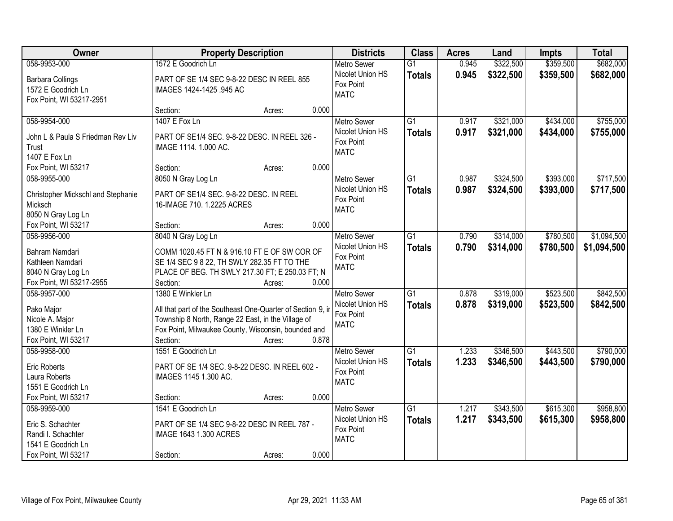| Owner                              | <b>Property Description</b>                                 |        |       | <b>Districts</b>         | <b>Class</b>    | <b>Acres</b> | Land      | <b>Impts</b> | <b>Total</b> |
|------------------------------------|-------------------------------------------------------------|--------|-------|--------------------------|-----------------|--------------|-----------|--------------|--------------|
| 058-9953-000                       | 1572 E Goodrich Ln                                          |        |       | <b>Metro Sewer</b>       | $\overline{G1}$ | 0.945        | \$322,500 | \$359,500    | \$682,000    |
| <b>Barbara Collings</b>            | PART OF SE 1/4 SEC 9-8-22 DESC IN REEL 855                  |        |       | Nicolet Union HS         | <b>Totals</b>   | 0.945        | \$322,500 | \$359,500    | \$682,000    |
| 1572 E Goodrich Ln                 | IMAGES 1424-1425 .945 AC                                    |        |       | Fox Point                |                 |              |           |              |              |
| Fox Point, WI 53217-2951           |                                                             |        |       | <b>MATC</b>              |                 |              |           |              |              |
|                                    | Section:                                                    | Acres: | 0.000 |                          |                 |              |           |              |              |
| 058-9954-000                       | 1407 E Fox Ln                                               |        |       | <b>Metro Sewer</b>       | $\overline{G1}$ | 0.917        | \$321,000 | \$434,000    | \$755,000    |
| John L & Paula S Friedman Rev Liv  | PART OF SE1/4 SEC. 9-8-22 DESC. IN REEL 326 -               |        |       | Nicolet Union HS         | <b>Totals</b>   | 0.917        | \$321,000 | \$434,000    | \$755,000    |
| Trust                              | IMAGE 1114. 1.000 AC.                                       |        |       | Fox Point                |                 |              |           |              |              |
| 1407 E Fox Ln                      |                                                             |        |       | <b>MATC</b>              |                 |              |           |              |              |
| Fox Point, WI 53217                | Section:                                                    | Acres: | 0.000 |                          |                 |              |           |              |              |
| 058-9955-000                       | 8050 N Gray Log Ln                                          |        |       | Metro Sewer              | $\overline{G1}$ | 0.987        | \$324,500 | \$393,000    | \$717,500    |
|                                    |                                                             |        |       | Nicolet Union HS         | <b>Totals</b>   | 0.987        | \$324,500 | \$393,000    | \$717,500    |
| Christopher Mickschl and Stephanie | PART OF SE1/4 SEC. 9-8-22 DESC. IN REEL                     |        |       | Fox Point                |                 |              |           |              |              |
| Micksch                            | 16-IMAGE 710. 1.2225 ACRES                                  |        |       | <b>MATC</b>              |                 |              |           |              |              |
| 8050 N Gray Log Ln                 |                                                             |        |       |                          |                 |              |           |              |              |
| Fox Point, WI 53217                | Section:                                                    | Acres: | 0.000 |                          |                 |              |           |              |              |
| 058-9956-000                       | 8040 N Gray Log Ln                                          |        |       | <b>Metro Sewer</b>       | $\overline{G1}$ | 0.790        | \$314,000 | \$780,500    | \$1,094,500  |
| Bahram Namdari                     | COMM 1020.45 FT N & 916.10 FT E OF SW COR OF                |        |       | Nicolet Union HS         | <b>Totals</b>   | 0.790        | \$314,000 | \$780,500    | \$1,094,500  |
| Kathleen Namdari                   | SE 1/4 SEC 9 8 22, TH SWLY 282.35 FT TO THE                 |        |       | Fox Point<br><b>MATC</b> |                 |              |           |              |              |
| 8040 N Gray Log Ln                 | PLACE OF BEG. TH SWLY 217.30 FT; E 250.03 FT; N             |        |       |                          |                 |              |           |              |              |
| Fox Point, WI 53217-2955           | Section:                                                    | Acres: | 0.000 |                          |                 |              |           |              |              |
| 058-9957-000                       | 1380 E Winkler Ln                                           |        |       | <b>Metro Sewer</b>       | $\overline{G1}$ | 0.878        | \$319,000 | \$523,500    | \$842,500    |
| Pako Major                         | All that part of the Southeast One-Quarter of Section 9, ir |        |       | Nicolet Union HS         | <b>Totals</b>   | 0.878        | \$319,000 | \$523,500    | \$842,500    |
| Nicole A. Major                    | Township 8 North, Range 22 East, in the Village of          |        |       | Fox Point                |                 |              |           |              |              |
| 1380 E Winkler Ln                  | Fox Point, Milwaukee County, Wisconsin, bounded and         |        |       | <b>MATC</b>              |                 |              |           |              |              |
| Fox Point, WI 53217                | Section:                                                    | Acres: | 0.878 |                          |                 |              |           |              |              |
| 058-9958-000                       | 1551 E Goodrich Ln                                          |        |       | <b>Metro Sewer</b>       | $\overline{G1}$ | 1.233        | \$346,500 | \$443,500    | \$790,000    |
|                                    |                                                             |        |       | Nicolet Union HS         | <b>Totals</b>   | 1.233        | \$346,500 | \$443,500    | \$790,000    |
| <b>Eric Roberts</b>                | PART OF SE 1/4 SEC. 9-8-22 DESC. IN REEL 602 -              |        |       | Fox Point                |                 |              |           |              |              |
| Laura Roberts                      | IMAGES 1145 1.300 AC.                                       |        |       | <b>MATC</b>              |                 |              |           |              |              |
| 1551 E Goodrich Ln                 |                                                             |        |       |                          |                 |              |           |              |              |
| Fox Point, WI 53217                | Section:                                                    | Acres: | 0.000 |                          |                 |              |           |              |              |
| 058-9959-000                       | 1541 E Goodrich Ln                                          |        |       | <b>Metro Sewer</b>       | $\overline{G1}$ | 1.217        | \$343,500 | \$615,300    | \$958,800    |
| Eric S. Schachter                  | PART OF SE 1/4 SEC 9-8-22 DESC IN REEL 787 -                |        |       | Nicolet Union HS         | <b>Totals</b>   | 1.217        | \$343,500 | \$615,300    | \$958,800    |
| Randi I. Schachter                 | IMAGE 1643 1.300 ACRES                                      |        |       | Fox Point<br><b>MATC</b> |                 |              |           |              |              |
| 1541 E Goodrich Ln                 |                                                             |        |       |                          |                 |              |           |              |              |
| Fox Point, WI 53217                | Section:                                                    | Acres: | 0.000 |                          |                 |              |           |              |              |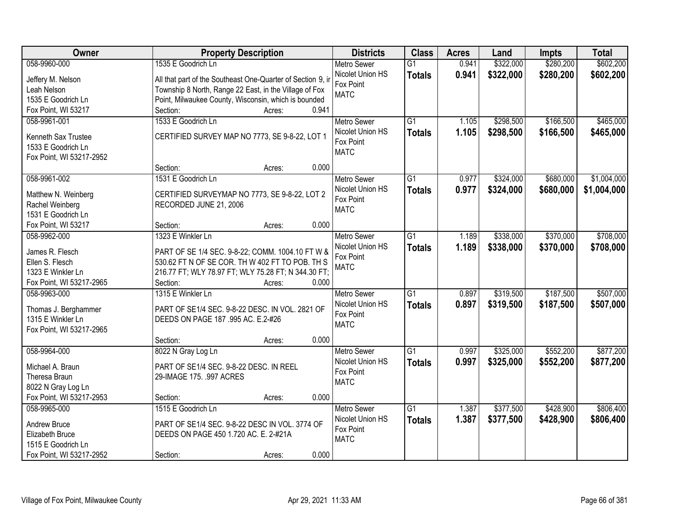| <b>Owner</b>             | <b>Property Description</b>                                 | <b>Districts</b>         | <b>Class</b>    | <b>Acres</b> | Land      | <b>Impts</b> | <b>Total</b> |
|--------------------------|-------------------------------------------------------------|--------------------------|-----------------|--------------|-----------|--------------|--------------|
| 058-9960-000             | 1535 E Goodrich Ln                                          | <b>Metro Sewer</b>       | $\overline{G1}$ | 0.941        | \$322,000 | \$280,200    | \$602,200    |
| Jeffery M. Nelson        | All that part of the Southeast One-Quarter of Section 9, in | Nicolet Union HS         | <b>Totals</b>   | 0.941        | \$322,000 | \$280,200    | \$602,200    |
| Leah Nelson              | Township 8 North, Range 22 East, in the Village of Fox      | Fox Point                |                 |              |           |              |              |
| 1535 E Goodrich Ln       | Point, Milwaukee County, Wisconsin, which is bounded        | <b>MATC</b>              |                 |              |           |              |              |
| Fox Point, WI 53217      | 0.941<br>Section:<br>Acres:                                 |                          |                 |              |           |              |              |
| 058-9961-001             | 1533 E Goodrich Ln                                          | <b>Metro Sewer</b>       | $\overline{G1}$ | 1.105        | \$298,500 | \$166,500    | \$465,000    |
|                          |                                                             | Nicolet Union HS         | <b>Totals</b>   | 1.105        | \$298,500 | \$166,500    | \$465,000    |
| Kenneth Sax Trustee      | CERTIFIED SURVEY MAP NO 7773, SE 9-8-22, LOT 1              | Fox Point                |                 |              |           |              |              |
| 1533 E Goodrich Ln       |                                                             | <b>MATC</b>              |                 |              |           |              |              |
| Fox Point, WI 53217-2952 |                                                             |                          |                 |              |           |              |              |
|                          | 0.000<br>Section:<br>Acres:                                 |                          |                 |              |           |              |              |
| 058-9961-002             | 1531 E Goodrich Ln                                          | <b>Metro Sewer</b>       | G1              | 0.977        | \$324,000 | \$680,000    | \$1,004,000  |
| Matthew N. Weinberg      | CERTIFIED SURVEYMAP NO 7773, SE 9-8-22, LOT 2               | Nicolet Union HS         | <b>Totals</b>   | 0.977        | \$324,000 | \$680,000    | \$1,004,000  |
| Rachel Weinberg          | RECORDED JUNE 21, 2006                                      | Fox Point                |                 |              |           |              |              |
| 1531 E Goodrich Ln       |                                                             | <b>MATC</b>              |                 |              |           |              |              |
| Fox Point, WI 53217      | 0.000<br>Section:<br>Acres:                                 |                          |                 |              |           |              |              |
| 058-9962-000             | 1323 E Winkler Ln                                           | <b>Metro Sewer</b>       | $\overline{G1}$ | 1.189        | \$338,000 | \$370,000    | \$708,000    |
|                          |                                                             | Nicolet Union HS         | <b>Totals</b>   | 1.189        | \$338,000 | \$370,000    | \$708,000    |
| James R. Flesch          | PART OF SE 1/4 SEC. 9-8-22; COMM. 1004.10 FT W &            | Fox Point                |                 |              |           |              |              |
| Ellen S. Flesch          | 530.62 FT N OF SE COR. TH W 402 FT TO POB. TH S             | <b>MATC</b>              |                 |              |           |              |              |
| 1323 E Winkler Ln        | 216.77 FT; WLY 78.97 FT; WLY 75.28 FT; N 344.30 FT;         |                          |                 |              |           |              |              |
| Fox Point, WI 53217-2965 | Section:<br>0.000<br>Acres:                                 |                          | $\overline{G1}$ |              |           |              |              |
| 058-9963-000             | 1315 E Winkler Ln                                           | <b>Metro Sewer</b>       |                 | 0.897        | \$319,500 | \$187,500    | \$507,000    |
| Thomas J. Berghammer     | PART OF SE1/4 SEC. 9-8-22 DESC. IN VOL. 2821 OF             | Nicolet Union HS         | <b>Totals</b>   | 0.897        | \$319,500 | \$187,500    | \$507,000    |
| 1315 E Winkler Ln        | DEEDS ON PAGE 187 .995 AC. E.2-#26                          | Fox Point<br><b>MATC</b> |                 |              |           |              |              |
| Fox Point, WI 53217-2965 |                                                             |                          |                 |              |           |              |              |
|                          | 0.000<br>Section:<br>Acres:                                 |                          |                 |              |           |              |              |
| 058-9964-000             | 8022 N Gray Log Ln                                          | <b>Metro Sewer</b>       | $\overline{G1}$ | 0.997        | \$325,000 | \$552,200    | \$877,200    |
| Michael A. Braun         | PART OF SE1/4 SEC. 9-8-22 DESC. IN REEL                     | Nicolet Union HS         | <b>Totals</b>   | 0.997        | \$325,000 | \$552,200    | \$877,200    |
| Theresa Braun            | 29-IMAGE 175. .997 ACRES                                    | Fox Point                |                 |              |           |              |              |
| 8022 N Gray Log Ln       |                                                             | <b>MATC</b>              |                 |              |           |              |              |
| Fox Point, WI 53217-2953 | 0.000<br>Section:<br>Acres:                                 |                          |                 |              |           |              |              |
| 058-9965-000             | 1515 E Goodrich Ln                                          | <b>Metro Sewer</b>       | $\overline{G1}$ | 1.387        | \$377,500 | \$428,900    | \$806,400    |
|                          |                                                             | Nicolet Union HS         | <b>Totals</b>   | 1.387        | \$377,500 | \$428,900    | \$806,400    |
| Andrew Bruce             | PART OF SE1/4 SEC. 9-8-22 DESC IN VOL. 3774 OF              | Fox Point                |                 |              |           |              |              |
| Elizabeth Bruce          | DEEDS ON PAGE 450 1.720 AC. E. 2-#21A                       | <b>MATC</b>              |                 |              |           |              |              |
| 1515 E Goodrich Ln       |                                                             |                          |                 |              |           |              |              |
| Fox Point, WI 53217-2952 | 0.000<br>Section:<br>Acres:                                 |                          |                 |              |           |              |              |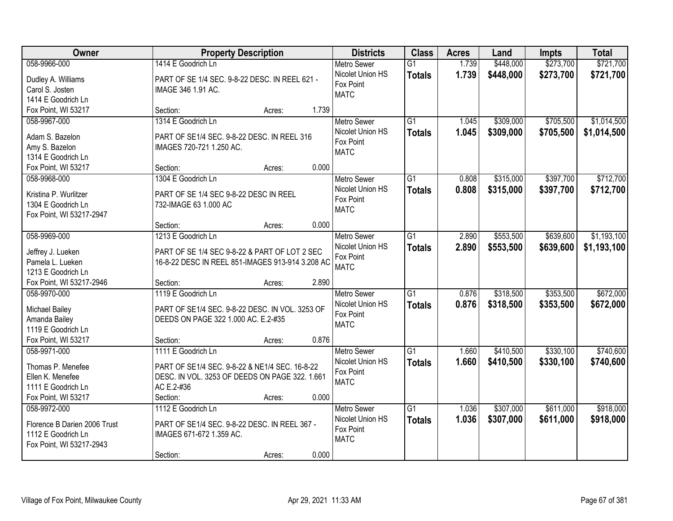| Owner                        | <b>Property Description</b>                      |        |       | <b>Districts</b>   | <b>Class</b>    | <b>Acres</b> | Land      | <b>Impts</b> | <b>Total</b> |
|------------------------------|--------------------------------------------------|--------|-------|--------------------|-----------------|--------------|-----------|--------------|--------------|
| 058-9966-000                 | 1414 E Goodrich Ln                               |        |       | <b>Metro Sewer</b> | $\overline{G1}$ | 1.739        | \$448,000 | \$273,700    | \$721,700    |
| Dudley A. Williams           | PART OF SE 1/4 SEC. 9-8-22 DESC. IN REEL 621 -   |        |       | Nicolet Union HS   | <b>Totals</b>   | 1.739        | \$448,000 | \$273,700    | \$721,700    |
| Carol S. Josten              | IMAGE 346 1.91 AC.                               |        |       | Fox Point          |                 |              |           |              |              |
| 1414 E Goodrich Ln           |                                                  |        |       | <b>MATC</b>        |                 |              |           |              |              |
| Fox Point, WI 53217          | Section:                                         | Acres: | 1.739 |                    |                 |              |           |              |              |
| 058-9967-000                 | 1314 E Goodrich Ln                               |        |       | <b>Metro Sewer</b> | $\overline{G1}$ | 1.045        | \$309,000 | \$705,500    | \$1,014,500  |
| Adam S. Bazelon              | PART OF SE1/4 SEC, 9-8-22 DESC, IN REEL 316      |        |       | Nicolet Union HS   | <b>Totals</b>   | 1.045        | \$309,000 | \$705,500    | \$1,014,500  |
| Amy S. Bazelon               | IMAGES 720-721 1.250 AC.                         |        |       | Fox Point          |                 |              |           |              |              |
| 1314 E Goodrich Ln           |                                                  |        |       | <b>MATC</b>        |                 |              |           |              |              |
| Fox Point, WI 53217          | Section:                                         | Acres: | 0.000 |                    |                 |              |           |              |              |
| 058-9968-000                 | 1304 E Goodrich Ln                               |        |       | <b>Metro Sewer</b> | $\overline{G1}$ | 0.808        | \$315,000 | \$397,700    | \$712,700    |
|                              |                                                  |        |       | Nicolet Union HS   |                 |              |           |              |              |
| Kristina P. Wurlitzer        | PART OF SE 1/4 SEC 9-8-22 DESC IN REEL           |        |       | Fox Point          | <b>Totals</b>   | 0.808        | \$315,000 | \$397,700    | \$712,700    |
| 1304 E Goodrich Ln           | 732-IMAGE 63 1.000 AC                            |        |       | <b>MATC</b>        |                 |              |           |              |              |
| Fox Point, WI 53217-2947     |                                                  |        |       |                    |                 |              |           |              |              |
|                              | Section:                                         | Acres: | 0.000 |                    |                 |              |           |              |              |
| 058-9969-000                 | 1213 E Goodrich Ln                               |        |       | <b>Metro Sewer</b> | $\overline{G1}$ | 2.890        | \$553,500 | \$639,600    | \$1,193,100  |
| Jeffrey J. Lueken            | PART OF SE 1/4 SEC 9-8-22 & PART OF LOT 2 SEC    |        |       | Nicolet Union HS   | <b>Totals</b>   | 2.890        | \$553,500 | \$639,600    | \$1,193,100  |
| Pamela L. Lueken             | 16-8-22 DESC IN REEL 851-IMAGES 913-914 3.208 AC |        |       | Fox Point          |                 |              |           |              |              |
| 1213 E Goodrich Ln           |                                                  |        |       | <b>MATC</b>        |                 |              |           |              |              |
| Fox Point, WI 53217-2946     | Section:                                         | Acres: | 2.890 |                    |                 |              |           |              |              |
| 058-9970-000                 | 1119 E Goodrich Ln                               |        |       | <b>Metro Sewer</b> | $\overline{G1}$ | 0.876        | \$318,500 | \$353,500    | \$672,000    |
|                              |                                                  |        |       | Nicolet Union HS   | Totals          | 0.876        | \$318,500 | \$353,500    | \$672,000    |
| Michael Bailey               | PART OF SE1/4 SEC. 9-8-22 DESC. IN VOL. 3253 OF  |        |       | Fox Point          |                 |              |           |              |              |
| Amanda Bailey                | DEEDS ON PAGE 322 1.000 AC. E.2-#35              |        |       | <b>MATC</b>        |                 |              |           |              |              |
| 1119 E Goodrich Ln           |                                                  |        |       |                    |                 |              |           |              |              |
| Fox Point, WI 53217          | Section:                                         | Acres: | 0.876 |                    |                 |              |           |              |              |
| 058-9971-000                 | 1111 E Goodrich Ln                               |        |       | Metro Sewer        | $\overline{G1}$ | 1.660        | \$410,500 | \$330,100    | \$740,600    |
| Thomas P. Menefee            | PART OF SE1/4 SEC. 9-8-22 & NE1/4 SEC. 16-8-22   |        |       | Nicolet Union HS   | <b>Totals</b>   | 1.660        | \$410,500 | \$330,100    | \$740,600    |
| Ellen K. Menefee             | DESC. IN VOL. 3253 OF DEEDS ON PAGE 322. 1.661   |        |       | Fox Point          |                 |              |           |              |              |
| 1111 E Goodrich Ln           | AC E.2-#36                                       |        |       | <b>MATC</b>        |                 |              |           |              |              |
| Fox Point, WI 53217          | Section:                                         | Acres: | 0.000 |                    |                 |              |           |              |              |
| 058-9972-000                 | 1112 E Goodrich Ln                               |        |       | <b>Metro Sewer</b> | $\overline{G1}$ | 1.036        | \$307,000 | \$611,000    | \$918,000    |
|                              |                                                  |        |       | Nicolet Union HS   | <b>Totals</b>   | 1.036        | \$307,000 | \$611,000    | \$918,000    |
| Florence B Darien 2006 Trust | PART OF SE1/4 SEC. 9-8-22 DESC. IN REEL 367 -    |        |       | Fox Point          |                 |              |           |              |              |
| 1112 E Goodrich Ln           | IMAGES 671-672 1.359 AC.                         |        |       | <b>MATC</b>        |                 |              |           |              |              |
| Fox Point, WI 53217-2943     |                                                  |        |       |                    |                 |              |           |              |              |
|                              | Section:                                         | Acres: | 0.000 |                    |                 |              |           |              |              |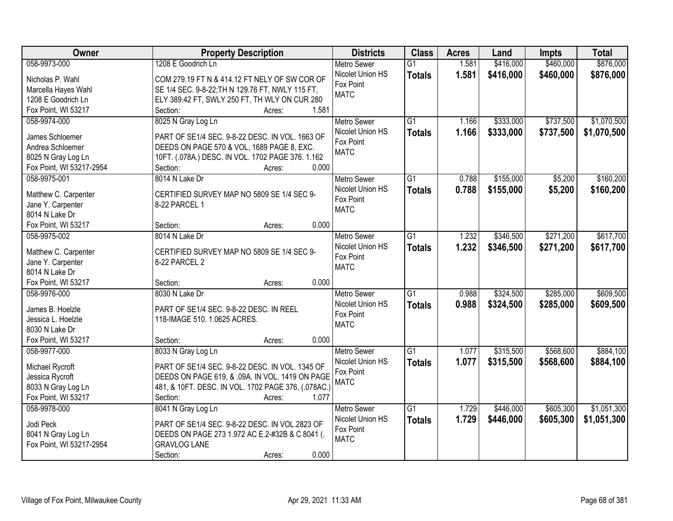| \$460,000<br>\$876,000<br>058-9973-000<br>1208 E Goodrich Ln<br>1.581<br>\$416,000<br><b>Metro Sewer</b><br>$\overline{G1}$<br>Nicolet Union HS<br>1.581<br>\$416,000<br>\$460,000<br>\$876,000<br><b>Totals</b><br>Nicholas P. Wahl<br>COM 279.19 FT N & 414.12 FT NELY OF SW COR OF<br>Fox Point<br>SE 1/4 SEC. 9-8-22; TH N 129.76 FT, NWLY 115 FT,<br>Marcella Hayes Wahl<br><b>MATC</b><br>1208 E Goodrich Ln<br>ELY 389.42 FT, SWLY 250 FT, TH WLY ON CUR 280<br>1.581<br>Fox Point, WI 53217<br>Section:<br>Acres:<br>\$1,070,500<br>8025 N Gray Log Ln<br>$\overline{G1}$<br>\$333,000<br>\$737,500<br>058-9974-000<br>1.166<br><b>Metro Sewer</b><br>1.166<br>Nicolet Union HS<br>\$333,000<br>\$737,500<br>\$1,070,500<br><b>Totals</b><br>James Schloemer<br>PART OF SE1/4 SEC. 9-8-22 DESC. IN VOL. 1663 OF<br>Fox Point<br>Andrea Schloemer<br>DEEDS ON PAGE 570 & VOL, 1689 PAGE 8, EXC.<br><b>MATC</b><br>8025 N Gray Log Ln<br>10FT. (.078A.) DESC. IN VOL. 1702 PAGE 376. 1.162<br>0.000<br>Fox Point, WI 53217-2954<br>Section:<br>Acres:<br>058-9975-001<br>8014 N Lake Dr<br>$\overline{G1}$<br>0.788<br>\$155,000<br>\$5,200<br>\$160,200<br><b>Metro Sewer</b><br>Nicolet Union HS<br>0.788<br>\$155,000<br>\$5,200<br>\$160,200<br><b>Totals</b><br>Matthew C. Carpenter<br>CERTIFIED SURVEY MAP NO 5809 SE 1/4 SEC 9-<br>Fox Point<br>Jane Y. Carpenter<br>8-22 PARCEL 1<br><b>MATC</b><br>8014 N Lake Dr<br>0.000<br>Fox Point, WI 53217<br>Section:<br>Acres:<br>\$346,500<br>\$271,200<br>\$617,700<br>058-9975-002<br>8014 N Lake Dr<br>$\overline{G1}$<br>1.232<br><b>Metro Sewer</b><br>Nicolet Union HS<br>1.232<br>\$346,500<br>\$271,200<br>\$617,700<br><b>Totals</b><br>Matthew C. Carpenter<br>CERTIFIED SURVEY MAP NO 5809 SE 1/4 SEC 9-<br>Fox Point<br>Jane Y. Carpenter<br>8-22 PARCEL 2<br><b>MATC</b><br>8014 N Lake Dr<br>0.000<br>Fox Point, WI 53217<br>Section:<br>Acres:<br>\$609,500<br>$\overline{G1}$<br>\$324,500<br>\$285,000<br>058-9976-000<br>8030 N Lake Dr<br>0.988<br><b>Metro Sewer</b><br>0.988<br>\$324,500<br>Nicolet Union HS<br><b>Totals</b><br>\$285,000<br>\$609,500<br>James B. Hoelzle<br>PART OF SE1/4 SEC. 9-8-22 DESC. IN REEL<br>Fox Point<br>118-IMAGE 510. 1.0625 ACRES.<br>Jessica L. Hoelzle<br><b>MATC</b><br>8030 N Lake Dr<br>Fox Point, WI 53217<br>Section:<br>0.000<br>Acres:<br>$\overline{G1}$<br>\$568,600<br>\$884,100<br>058-9977-000<br>1.077<br>\$315,500<br>8033 N Gray Log Ln<br><b>Metro Sewer</b><br>1.077<br>Nicolet Union HS<br>\$315,500<br>\$568,600<br>\$884,100<br><b>Totals</b><br>Michael Rycroft<br>PART OF SE1/4 SEC. 9-8-22 DESC. IN VOL. 1345 OF<br>Fox Point<br>DEEDS ON PAGE 619, & .09A. IN VOL. 1419 ON PAGE<br>Jessica Rycroft<br><b>MATC</b><br>8033 N Gray Log Ln<br>481, & 10FT. DESC. IN VOL. 1702 PAGE 376, (.078AC.)<br>Fox Point, WI 53217<br>1.077<br>Section:<br>Acres:<br>\$446,000<br>\$605,300<br>\$1,051,300<br>058-9978-000<br>8041 N Gray Log Ln<br>$\overline{G1}$<br>1.729<br><b>Metro Sewer</b><br>1.729<br>Nicolet Union HS<br>\$605,300<br>\$446,000<br>\$1,051,300<br><b>Totals</b><br>Jodi Peck<br>PART OF SE1/4 SEC. 9-8-22 DESC. IN VOL.2823 OF<br>Fox Point<br>8041 N Gray Log Ln<br>DEEDS ON PAGE 273 1.972 AC E.2-#32B & C 8041 (.<br><b>MATC</b><br>Fox Point, WI 53217-2954<br><b>GRAVLOG LANE</b> | Owner | <b>Property Description</b> | <b>Districts</b> | <b>Class</b> | <b>Acres</b> | Land | <b>Impts</b> | <b>Total</b> |
|------------------------------------------------------------------------------------------------------------------------------------------------------------------------------------------------------------------------------------------------------------------------------------------------------------------------------------------------------------------------------------------------------------------------------------------------------------------------------------------------------------------------------------------------------------------------------------------------------------------------------------------------------------------------------------------------------------------------------------------------------------------------------------------------------------------------------------------------------------------------------------------------------------------------------------------------------------------------------------------------------------------------------------------------------------------------------------------------------------------------------------------------------------------------------------------------------------------------------------------------------------------------------------------------------------------------------------------------------------------------------------------------------------------------------------------------------------------------------------------------------------------------------------------------------------------------------------------------------------------------------------------------------------------------------------------------------------------------------------------------------------------------------------------------------------------------------------------------------------------------------------------------------------------------------------------------------------------------------------------------------------------------------------------------------------------------------------------------------------------------------------------------------------------------------------------------------------------------------------------------------------------------------------------------------------------------------------------------------------------------------------------------------------------------------------------------------------------------------------------------------------------------------------------------------------------------------------------------------------------------------------------------------------------------------------------------------------------------------------------------------------------------------------------------------------------------------------------------------------------------------------------------------------------------------------------------------------------------------------------------------------------------------------------------------------------------------------------------------------------------------------------------------------------------------------------------------------------------------------------------------------------------------------------------------------------------------------------------|-------|-----------------------------|------------------|--------------|--------------|------|--------------|--------------|
|                                                                                                                                                                                                                                                                                                                                                                                                                                                                                                                                                                                                                                                                                                                                                                                                                                                                                                                                                                                                                                                                                                                                                                                                                                                                                                                                                                                                                                                                                                                                                                                                                                                                                                                                                                                                                                                                                                                                                                                                                                                                                                                                                                                                                                                                                                                                                                                                                                                                                                                                                                                                                                                                                                                                                                                                                                                                                                                                                                                                                                                                                                                                                                                                                                                                                                                                                |       |                             |                  |              |              |      |              |              |
|                                                                                                                                                                                                                                                                                                                                                                                                                                                                                                                                                                                                                                                                                                                                                                                                                                                                                                                                                                                                                                                                                                                                                                                                                                                                                                                                                                                                                                                                                                                                                                                                                                                                                                                                                                                                                                                                                                                                                                                                                                                                                                                                                                                                                                                                                                                                                                                                                                                                                                                                                                                                                                                                                                                                                                                                                                                                                                                                                                                                                                                                                                                                                                                                                                                                                                                                                |       |                             |                  |              |              |      |              |              |
|                                                                                                                                                                                                                                                                                                                                                                                                                                                                                                                                                                                                                                                                                                                                                                                                                                                                                                                                                                                                                                                                                                                                                                                                                                                                                                                                                                                                                                                                                                                                                                                                                                                                                                                                                                                                                                                                                                                                                                                                                                                                                                                                                                                                                                                                                                                                                                                                                                                                                                                                                                                                                                                                                                                                                                                                                                                                                                                                                                                                                                                                                                                                                                                                                                                                                                                                                |       |                             |                  |              |              |      |              |              |
|                                                                                                                                                                                                                                                                                                                                                                                                                                                                                                                                                                                                                                                                                                                                                                                                                                                                                                                                                                                                                                                                                                                                                                                                                                                                                                                                                                                                                                                                                                                                                                                                                                                                                                                                                                                                                                                                                                                                                                                                                                                                                                                                                                                                                                                                                                                                                                                                                                                                                                                                                                                                                                                                                                                                                                                                                                                                                                                                                                                                                                                                                                                                                                                                                                                                                                                                                |       |                             |                  |              |              |      |              |              |
|                                                                                                                                                                                                                                                                                                                                                                                                                                                                                                                                                                                                                                                                                                                                                                                                                                                                                                                                                                                                                                                                                                                                                                                                                                                                                                                                                                                                                                                                                                                                                                                                                                                                                                                                                                                                                                                                                                                                                                                                                                                                                                                                                                                                                                                                                                                                                                                                                                                                                                                                                                                                                                                                                                                                                                                                                                                                                                                                                                                                                                                                                                                                                                                                                                                                                                                                                |       |                             |                  |              |              |      |              |              |
|                                                                                                                                                                                                                                                                                                                                                                                                                                                                                                                                                                                                                                                                                                                                                                                                                                                                                                                                                                                                                                                                                                                                                                                                                                                                                                                                                                                                                                                                                                                                                                                                                                                                                                                                                                                                                                                                                                                                                                                                                                                                                                                                                                                                                                                                                                                                                                                                                                                                                                                                                                                                                                                                                                                                                                                                                                                                                                                                                                                                                                                                                                                                                                                                                                                                                                                                                |       |                             |                  |              |              |      |              |              |
|                                                                                                                                                                                                                                                                                                                                                                                                                                                                                                                                                                                                                                                                                                                                                                                                                                                                                                                                                                                                                                                                                                                                                                                                                                                                                                                                                                                                                                                                                                                                                                                                                                                                                                                                                                                                                                                                                                                                                                                                                                                                                                                                                                                                                                                                                                                                                                                                                                                                                                                                                                                                                                                                                                                                                                                                                                                                                                                                                                                                                                                                                                                                                                                                                                                                                                                                                |       |                             |                  |              |              |      |              |              |
|                                                                                                                                                                                                                                                                                                                                                                                                                                                                                                                                                                                                                                                                                                                                                                                                                                                                                                                                                                                                                                                                                                                                                                                                                                                                                                                                                                                                                                                                                                                                                                                                                                                                                                                                                                                                                                                                                                                                                                                                                                                                                                                                                                                                                                                                                                                                                                                                                                                                                                                                                                                                                                                                                                                                                                                                                                                                                                                                                                                                                                                                                                                                                                                                                                                                                                                                                |       |                             |                  |              |              |      |              |              |
|                                                                                                                                                                                                                                                                                                                                                                                                                                                                                                                                                                                                                                                                                                                                                                                                                                                                                                                                                                                                                                                                                                                                                                                                                                                                                                                                                                                                                                                                                                                                                                                                                                                                                                                                                                                                                                                                                                                                                                                                                                                                                                                                                                                                                                                                                                                                                                                                                                                                                                                                                                                                                                                                                                                                                                                                                                                                                                                                                                                                                                                                                                                                                                                                                                                                                                                                                |       |                             |                  |              |              |      |              |              |
|                                                                                                                                                                                                                                                                                                                                                                                                                                                                                                                                                                                                                                                                                                                                                                                                                                                                                                                                                                                                                                                                                                                                                                                                                                                                                                                                                                                                                                                                                                                                                                                                                                                                                                                                                                                                                                                                                                                                                                                                                                                                                                                                                                                                                                                                                                                                                                                                                                                                                                                                                                                                                                                                                                                                                                                                                                                                                                                                                                                                                                                                                                                                                                                                                                                                                                                                                |       |                             |                  |              |              |      |              |              |
|                                                                                                                                                                                                                                                                                                                                                                                                                                                                                                                                                                                                                                                                                                                                                                                                                                                                                                                                                                                                                                                                                                                                                                                                                                                                                                                                                                                                                                                                                                                                                                                                                                                                                                                                                                                                                                                                                                                                                                                                                                                                                                                                                                                                                                                                                                                                                                                                                                                                                                                                                                                                                                                                                                                                                                                                                                                                                                                                                                                                                                                                                                                                                                                                                                                                                                                                                |       |                             |                  |              |              |      |              |              |
|                                                                                                                                                                                                                                                                                                                                                                                                                                                                                                                                                                                                                                                                                                                                                                                                                                                                                                                                                                                                                                                                                                                                                                                                                                                                                                                                                                                                                                                                                                                                                                                                                                                                                                                                                                                                                                                                                                                                                                                                                                                                                                                                                                                                                                                                                                                                                                                                                                                                                                                                                                                                                                                                                                                                                                                                                                                                                                                                                                                                                                                                                                                                                                                                                                                                                                                                                |       |                             |                  |              |              |      |              |              |
|                                                                                                                                                                                                                                                                                                                                                                                                                                                                                                                                                                                                                                                                                                                                                                                                                                                                                                                                                                                                                                                                                                                                                                                                                                                                                                                                                                                                                                                                                                                                                                                                                                                                                                                                                                                                                                                                                                                                                                                                                                                                                                                                                                                                                                                                                                                                                                                                                                                                                                                                                                                                                                                                                                                                                                                                                                                                                                                                                                                                                                                                                                                                                                                                                                                                                                                                                |       |                             |                  |              |              |      |              |              |
|                                                                                                                                                                                                                                                                                                                                                                                                                                                                                                                                                                                                                                                                                                                                                                                                                                                                                                                                                                                                                                                                                                                                                                                                                                                                                                                                                                                                                                                                                                                                                                                                                                                                                                                                                                                                                                                                                                                                                                                                                                                                                                                                                                                                                                                                                                                                                                                                                                                                                                                                                                                                                                                                                                                                                                                                                                                                                                                                                                                                                                                                                                                                                                                                                                                                                                                                                |       |                             |                  |              |              |      |              |              |
|                                                                                                                                                                                                                                                                                                                                                                                                                                                                                                                                                                                                                                                                                                                                                                                                                                                                                                                                                                                                                                                                                                                                                                                                                                                                                                                                                                                                                                                                                                                                                                                                                                                                                                                                                                                                                                                                                                                                                                                                                                                                                                                                                                                                                                                                                                                                                                                                                                                                                                                                                                                                                                                                                                                                                                                                                                                                                                                                                                                                                                                                                                                                                                                                                                                                                                                                                |       |                             |                  |              |              |      |              |              |
|                                                                                                                                                                                                                                                                                                                                                                                                                                                                                                                                                                                                                                                                                                                                                                                                                                                                                                                                                                                                                                                                                                                                                                                                                                                                                                                                                                                                                                                                                                                                                                                                                                                                                                                                                                                                                                                                                                                                                                                                                                                                                                                                                                                                                                                                                                                                                                                                                                                                                                                                                                                                                                                                                                                                                                                                                                                                                                                                                                                                                                                                                                                                                                                                                                                                                                                                                |       |                             |                  |              |              |      |              |              |
|                                                                                                                                                                                                                                                                                                                                                                                                                                                                                                                                                                                                                                                                                                                                                                                                                                                                                                                                                                                                                                                                                                                                                                                                                                                                                                                                                                                                                                                                                                                                                                                                                                                                                                                                                                                                                                                                                                                                                                                                                                                                                                                                                                                                                                                                                                                                                                                                                                                                                                                                                                                                                                                                                                                                                                                                                                                                                                                                                                                                                                                                                                                                                                                                                                                                                                                                                |       |                             |                  |              |              |      |              |              |
|                                                                                                                                                                                                                                                                                                                                                                                                                                                                                                                                                                                                                                                                                                                                                                                                                                                                                                                                                                                                                                                                                                                                                                                                                                                                                                                                                                                                                                                                                                                                                                                                                                                                                                                                                                                                                                                                                                                                                                                                                                                                                                                                                                                                                                                                                                                                                                                                                                                                                                                                                                                                                                                                                                                                                                                                                                                                                                                                                                                                                                                                                                                                                                                                                                                                                                                                                |       |                             |                  |              |              |      |              |              |
|                                                                                                                                                                                                                                                                                                                                                                                                                                                                                                                                                                                                                                                                                                                                                                                                                                                                                                                                                                                                                                                                                                                                                                                                                                                                                                                                                                                                                                                                                                                                                                                                                                                                                                                                                                                                                                                                                                                                                                                                                                                                                                                                                                                                                                                                                                                                                                                                                                                                                                                                                                                                                                                                                                                                                                                                                                                                                                                                                                                                                                                                                                                                                                                                                                                                                                                                                |       |                             |                  |              |              |      |              |              |
|                                                                                                                                                                                                                                                                                                                                                                                                                                                                                                                                                                                                                                                                                                                                                                                                                                                                                                                                                                                                                                                                                                                                                                                                                                                                                                                                                                                                                                                                                                                                                                                                                                                                                                                                                                                                                                                                                                                                                                                                                                                                                                                                                                                                                                                                                                                                                                                                                                                                                                                                                                                                                                                                                                                                                                                                                                                                                                                                                                                                                                                                                                                                                                                                                                                                                                                                                |       |                             |                  |              |              |      |              |              |
|                                                                                                                                                                                                                                                                                                                                                                                                                                                                                                                                                                                                                                                                                                                                                                                                                                                                                                                                                                                                                                                                                                                                                                                                                                                                                                                                                                                                                                                                                                                                                                                                                                                                                                                                                                                                                                                                                                                                                                                                                                                                                                                                                                                                                                                                                                                                                                                                                                                                                                                                                                                                                                                                                                                                                                                                                                                                                                                                                                                                                                                                                                                                                                                                                                                                                                                                                |       |                             |                  |              |              |      |              |              |
|                                                                                                                                                                                                                                                                                                                                                                                                                                                                                                                                                                                                                                                                                                                                                                                                                                                                                                                                                                                                                                                                                                                                                                                                                                                                                                                                                                                                                                                                                                                                                                                                                                                                                                                                                                                                                                                                                                                                                                                                                                                                                                                                                                                                                                                                                                                                                                                                                                                                                                                                                                                                                                                                                                                                                                                                                                                                                                                                                                                                                                                                                                                                                                                                                                                                                                                                                |       |                             |                  |              |              |      |              |              |
|                                                                                                                                                                                                                                                                                                                                                                                                                                                                                                                                                                                                                                                                                                                                                                                                                                                                                                                                                                                                                                                                                                                                                                                                                                                                                                                                                                                                                                                                                                                                                                                                                                                                                                                                                                                                                                                                                                                                                                                                                                                                                                                                                                                                                                                                                                                                                                                                                                                                                                                                                                                                                                                                                                                                                                                                                                                                                                                                                                                                                                                                                                                                                                                                                                                                                                                                                |       |                             |                  |              |              |      |              |              |
|                                                                                                                                                                                                                                                                                                                                                                                                                                                                                                                                                                                                                                                                                                                                                                                                                                                                                                                                                                                                                                                                                                                                                                                                                                                                                                                                                                                                                                                                                                                                                                                                                                                                                                                                                                                                                                                                                                                                                                                                                                                                                                                                                                                                                                                                                                                                                                                                                                                                                                                                                                                                                                                                                                                                                                                                                                                                                                                                                                                                                                                                                                                                                                                                                                                                                                                                                |       |                             |                  |              |              |      |              |              |
|                                                                                                                                                                                                                                                                                                                                                                                                                                                                                                                                                                                                                                                                                                                                                                                                                                                                                                                                                                                                                                                                                                                                                                                                                                                                                                                                                                                                                                                                                                                                                                                                                                                                                                                                                                                                                                                                                                                                                                                                                                                                                                                                                                                                                                                                                                                                                                                                                                                                                                                                                                                                                                                                                                                                                                                                                                                                                                                                                                                                                                                                                                                                                                                                                                                                                                                                                |       |                             |                  |              |              |      |              |              |
|                                                                                                                                                                                                                                                                                                                                                                                                                                                                                                                                                                                                                                                                                                                                                                                                                                                                                                                                                                                                                                                                                                                                                                                                                                                                                                                                                                                                                                                                                                                                                                                                                                                                                                                                                                                                                                                                                                                                                                                                                                                                                                                                                                                                                                                                                                                                                                                                                                                                                                                                                                                                                                                                                                                                                                                                                                                                                                                                                                                                                                                                                                                                                                                                                                                                                                                                                |       |                             |                  |              |              |      |              |              |
|                                                                                                                                                                                                                                                                                                                                                                                                                                                                                                                                                                                                                                                                                                                                                                                                                                                                                                                                                                                                                                                                                                                                                                                                                                                                                                                                                                                                                                                                                                                                                                                                                                                                                                                                                                                                                                                                                                                                                                                                                                                                                                                                                                                                                                                                                                                                                                                                                                                                                                                                                                                                                                                                                                                                                                                                                                                                                                                                                                                                                                                                                                                                                                                                                                                                                                                                                |       |                             |                  |              |              |      |              |              |
|                                                                                                                                                                                                                                                                                                                                                                                                                                                                                                                                                                                                                                                                                                                                                                                                                                                                                                                                                                                                                                                                                                                                                                                                                                                                                                                                                                                                                                                                                                                                                                                                                                                                                                                                                                                                                                                                                                                                                                                                                                                                                                                                                                                                                                                                                                                                                                                                                                                                                                                                                                                                                                                                                                                                                                                                                                                                                                                                                                                                                                                                                                                                                                                                                                                                                                                                                |       |                             |                  |              |              |      |              |              |
|                                                                                                                                                                                                                                                                                                                                                                                                                                                                                                                                                                                                                                                                                                                                                                                                                                                                                                                                                                                                                                                                                                                                                                                                                                                                                                                                                                                                                                                                                                                                                                                                                                                                                                                                                                                                                                                                                                                                                                                                                                                                                                                                                                                                                                                                                                                                                                                                                                                                                                                                                                                                                                                                                                                                                                                                                                                                                                                                                                                                                                                                                                                                                                                                                                                                                                                                                |       |                             |                  |              |              |      |              |              |
|                                                                                                                                                                                                                                                                                                                                                                                                                                                                                                                                                                                                                                                                                                                                                                                                                                                                                                                                                                                                                                                                                                                                                                                                                                                                                                                                                                                                                                                                                                                                                                                                                                                                                                                                                                                                                                                                                                                                                                                                                                                                                                                                                                                                                                                                                                                                                                                                                                                                                                                                                                                                                                                                                                                                                                                                                                                                                                                                                                                                                                                                                                                                                                                                                                                                                                                                                |       |                             |                  |              |              |      |              |              |
|                                                                                                                                                                                                                                                                                                                                                                                                                                                                                                                                                                                                                                                                                                                                                                                                                                                                                                                                                                                                                                                                                                                                                                                                                                                                                                                                                                                                                                                                                                                                                                                                                                                                                                                                                                                                                                                                                                                                                                                                                                                                                                                                                                                                                                                                                                                                                                                                                                                                                                                                                                                                                                                                                                                                                                                                                                                                                                                                                                                                                                                                                                                                                                                                                                                                                                                                                |       |                             |                  |              |              |      |              |              |
|                                                                                                                                                                                                                                                                                                                                                                                                                                                                                                                                                                                                                                                                                                                                                                                                                                                                                                                                                                                                                                                                                                                                                                                                                                                                                                                                                                                                                                                                                                                                                                                                                                                                                                                                                                                                                                                                                                                                                                                                                                                                                                                                                                                                                                                                                                                                                                                                                                                                                                                                                                                                                                                                                                                                                                                                                                                                                                                                                                                                                                                                                                                                                                                                                                                                                                                                                |       |                             |                  |              |              |      |              |              |
|                                                                                                                                                                                                                                                                                                                                                                                                                                                                                                                                                                                                                                                                                                                                                                                                                                                                                                                                                                                                                                                                                                                                                                                                                                                                                                                                                                                                                                                                                                                                                                                                                                                                                                                                                                                                                                                                                                                                                                                                                                                                                                                                                                                                                                                                                                                                                                                                                                                                                                                                                                                                                                                                                                                                                                                                                                                                                                                                                                                                                                                                                                                                                                                                                                                                                                                                                |       |                             |                  |              |              |      |              |              |
|                                                                                                                                                                                                                                                                                                                                                                                                                                                                                                                                                                                                                                                                                                                                                                                                                                                                                                                                                                                                                                                                                                                                                                                                                                                                                                                                                                                                                                                                                                                                                                                                                                                                                                                                                                                                                                                                                                                                                                                                                                                                                                                                                                                                                                                                                                                                                                                                                                                                                                                                                                                                                                                                                                                                                                                                                                                                                                                                                                                                                                                                                                                                                                                                                                                                                                                                                |       |                             |                  |              |              |      |              |              |
|                                                                                                                                                                                                                                                                                                                                                                                                                                                                                                                                                                                                                                                                                                                                                                                                                                                                                                                                                                                                                                                                                                                                                                                                                                                                                                                                                                                                                                                                                                                                                                                                                                                                                                                                                                                                                                                                                                                                                                                                                                                                                                                                                                                                                                                                                                                                                                                                                                                                                                                                                                                                                                                                                                                                                                                                                                                                                                                                                                                                                                                                                                                                                                                                                                                                                                                                                |       |                             |                  |              |              |      |              |              |
|                                                                                                                                                                                                                                                                                                                                                                                                                                                                                                                                                                                                                                                                                                                                                                                                                                                                                                                                                                                                                                                                                                                                                                                                                                                                                                                                                                                                                                                                                                                                                                                                                                                                                                                                                                                                                                                                                                                                                                                                                                                                                                                                                                                                                                                                                                                                                                                                                                                                                                                                                                                                                                                                                                                                                                                                                                                                                                                                                                                                                                                                                                                                                                                                                                                                                                                                                |       |                             |                  |              |              |      |              |              |
|                                                                                                                                                                                                                                                                                                                                                                                                                                                                                                                                                                                                                                                                                                                                                                                                                                                                                                                                                                                                                                                                                                                                                                                                                                                                                                                                                                                                                                                                                                                                                                                                                                                                                                                                                                                                                                                                                                                                                                                                                                                                                                                                                                                                                                                                                                                                                                                                                                                                                                                                                                                                                                                                                                                                                                                                                                                                                                                                                                                                                                                                                                                                                                                                                                                                                                                                                |       | 0.000<br>Section:<br>Acres: |                  |              |              |      |              |              |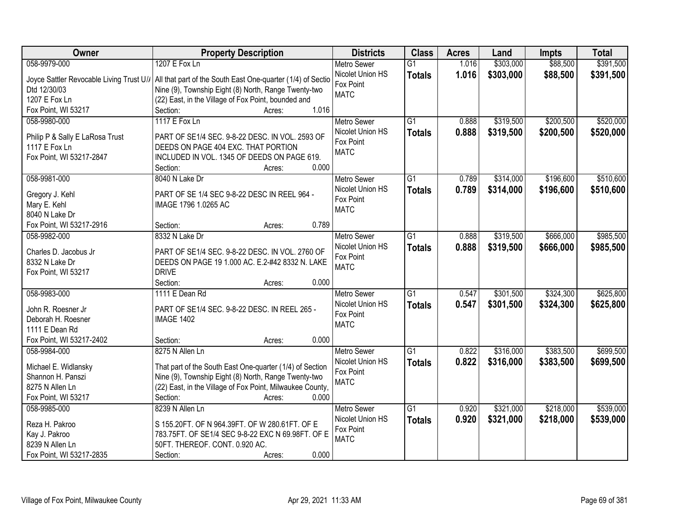| Owner                                    | <b>Property Description</b>                                 | <b>Districts</b>         | <b>Class</b>    | <b>Acres</b> | Land      | <b>Impts</b> | <b>Total</b> |
|------------------------------------------|-------------------------------------------------------------|--------------------------|-----------------|--------------|-----------|--------------|--------------|
| 058-9979-000                             | 1207 E Fox Ln                                               | <b>Metro Sewer</b>       | $\overline{G1}$ | 1.016        | \$303,000 | \$88,500     | \$391,500    |
| Joyce Sattler Revocable Living Trust U// | All that part of the South East One-quarter (1/4) of Sectio | Nicolet Union HS         | <b>Totals</b>   | 1.016        | \$303,000 | \$88,500     | \$391,500    |
| Dtd 12/30/03                             | Nine (9), Township Eight (8) North, Range Twenty-two        | Fox Point                |                 |              |           |              |              |
| 1207 E Fox Ln                            | (22) East, in the Village of Fox Point, bounded and         | <b>MATC</b>              |                 |              |           |              |              |
| Fox Point, WI 53217                      | 1.016<br>Section:<br>Acres:                                 |                          |                 |              |           |              |              |
| 058-9980-000                             | 1117 E Fox Ln                                               | <b>Metro Sewer</b>       | $\overline{G1}$ | 0.888        | \$319,500 | \$200,500    | \$520,000    |
|                                          |                                                             | Nicolet Union HS         |                 | 0.888        |           |              |              |
| Philip P & Sally E LaRosa Trust          | PART OF SE1/4 SEC. 9-8-22 DESC. IN VOL. 2593 OF             | Fox Point                | <b>Totals</b>   |              | \$319,500 | \$200,500    | \$520,000    |
| 1117 E Fox Ln                            | DEEDS ON PAGE 404 EXC. THAT PORTION                         | <b>MATC</b>              |                 |              |           |              |              |
| Fox Point, WI 53217-2847                 | INCLUDED IN VOL. 1345 OF DEEDS ON PAGE 619.                 |                          |                 |              |           |              |              |
|                                          | 0.000<br>Section:<br>Acres:                                 |                          |                 |              |           |              |              |
| 058-9981-000                             | 8040 N Lake Dr                                              | <b>Metro Sewer</b>       | $\overline{G1}$ | 0.789        | \$314,000 | \$196,600    | \$510,600    |
|                                          | PART OF SE 1/4 SEC 9-8-22 DESC IN REEL 964 -                | Nicolet Union HS         | <b>Totals</b>   | 0.789        | \$314,000 | \$196,600    | \$510,600    |
| Gregory J. Kehl<br>Mary E. Kehl          | IMAGE 1796 1.0265 AC                                        | Fox Point                |                 |              |           |              |              |
| 8040 N Lake Dr                           |                                                             | <b>MATC</b>              |                 |              |           |              |              |
| Fox Point, WI 53217-2916                 | 0.789<br>Section:<br>Acres:                                 |                          |                 |              |           |              |              |
| 058-9982-000                             | 8332 N Lake Dr                                              |                          | $\overline{G1}$ |              |           | \$666,000    |              |
|                                          |                                                             | <b>Metro Sewer</b>       |                 | 0.888        | \$319,500 |              | \$985,500    |
| Charles D. Jacobus Jr                    | PART OF SE1/4 SEC. 9-8-22 DESC. IN VOL. 2760 OF             | Nicolet Union HS         | <b>Totals</b>   | 0.888        | \$319,500 | \$666,000    | \$985,500    |
| 8332 N Lake Dr                           | DEEDS ON PAGE 19 1.000 AC. E.2-#42 8332 N. LAKE             | Fox Point<br><b>MATC</b> |                 |              |           |              |              |
| Fox Point, WI 53217                      | <b>DRIVE</b>                                                |                          |                 |              |           |              |              |
|                                          | 0.000<br>Section:<br>Acres:                                 |                          |                 |              |           |              |              |
| 058-9983-000                             | 1111 E Dean Rd                                              | <b>Metro Sewer</b>       | $\overline{G1}$ | 0.547        | \$301,500 | \$324,300    | \$625,800    |
|                                          |                                                             | Nicolet Union HS         | <b>Totals</b>   | 0.547        | \$301,500 | \$324,300    | \$625,800    |
| John R. Roesner Jr                       | PART OF SE1/4 SEC. 9-8-22 DESC. IN REEL 265 -               | Fox Point                |                 |              |           |              |              |
| Deborah H. Roesner                       | <b>IMAGE 1402</b>                                           | <b>MATC</b>              |                 |              |           |              |              |
| 1111 E Dean Rd                           |                                                             |                          |                 |              |           |              |              |
| Fox Point, WI 53217-2402                 | 0.000<br>Section:<br>Acres:                                 |                          |                 |              |           |              |              |
| 058-9984-000                             | 8275 N Allen Ln                                             | Metro Sewer              | $\overline{G1}$ | 0.822        | \$316,000 | \$383,500    | \$699,500    |
| Michael E. Widlansky                     | That part of the South East One-quarter (1/4) of Section    | Nicolet Union HS         | <b>Totals</b>   | 0.822        | \$316,000 | \$383,500    | \$699,500    |
| Shannon H. Panszi                        | Nine (9), Township Eight (8) North, Range Twenty-two        | Fox Point                |                 |              |           |              |              |
| 8275 N Allen Ln                          | (22) East, in the Village of Fox Point, Milwaukee County,   | <b>MATC</b>              |                 |              |           |              |              |
| Fox Point, WI 53217                      | 0.000<br>Section:<br>Acres:                                 |                          |                 |              |           |              |              |
| 058-9985-000                             | 8239 N Allen Ln                                             | <b>Metro Sewer</b>       | $\overline{G1}$ | 0.920        | \$321,000 | \$218,000    | \$539,000    |
|                                          |                                                             | Nicolet Union HS         | <b>Totals</b>   | 0.920        | \$321,000 | \$218,000    | \$539,000    |
| Reza H. Pakroo                           | S 155.20FT. OF N 964.39FT. OF W 280.61FT. OF E              | Fox Point                |                 |              |           |              |              |
| Kay J. Pakroo                            | 783.75FT. OF SE1/4 SEC 9-8-22 EXC N 69.98FT. OF E           | <b>MATC</b>              |                 |              |           |              |              |
| 8239 N Allen Ln                          | 50FT. THEREOF. CONT. 0.920 AC.                              |                          |                 |              |           |              |              |
| Fox Point, WI 53217-2835                 | 0.000<br>Section:<br>Acres:                                 |                          |                 |              |           |              |              |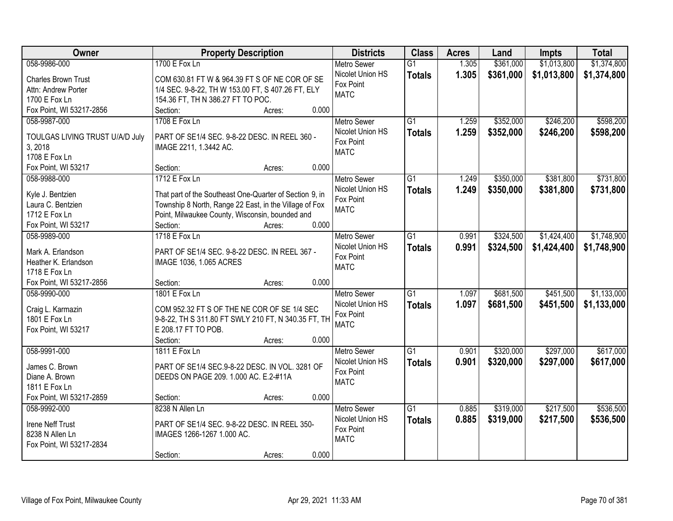| Owner                                 | <b>Property Description</b>                             | <b>Districts</b>              | <b>Class</b>    | <b>Acres</b> | Land      | <b>Impts</b> | <b>Total</b> |
|---------------------------------------|---------------------------------------------------------|-------------------------------|-----------------|--------------|-----------|--------------|--------------|
| 058-9986-000                          | 1700 E Fox Ln                                           | <b>Metro Sewer</b>            | $\overline{G1}$ | 1.305        | \$361,000 | \$1,013,800  | \$1,374,800  |
| <b>Charles Brown Trust</b>            | COM 630.81 FT W & 964.39 FT S OF NE COR OF SE           | Nicolet Union HS              | <b>Totals</b>   | 1.305        | \$361,000 | \$1,013,800  | \$1,374,800  |
| Attn: Andrew Porter                   | 1/4 SEC. 9-8-22, TH W 153.00 FT, S 407.26 FT, ELY       | Fox Point                     |                 |              |           |              |              |
| 1700 E Fox Ln                         | 154.36 FT, TH N 386.27 FT TO POC.                       | <b>MATC</b>                   |                 |              |           |              |              |
| Fox Point, WI 53217-2856              | 0.000<br>Section:<br>Acres:                             |                               |                 |              |           |              |              |
| 058-9987-000                          | 1708 E Fox Ln                                           | <b>Metro Sewer</b>            | $\overline{G1}$ | 1.259        | \$352,000 | \$246,200    | \$598,200    |
|                                       |                                                         | Nicolet Union HS              | <b>Totals</b>   | 1.259        | \$352,000 | \$246,200    | \$598,200    |
| TOULGAS LIVING TRUST U/A/D July       | PART OF SE1/4 SEC. 9-8-22 DESC. IN REEL 360 -           | Fox Point                     |                 |              |           |              |              |
| 3, 2018                               | IMAGE 2211, 1.3442 AC.                                  | <b>MATC</b>                   |                 |              |           |              |              |
| 1708 E Fox Ln                         |                                                         |                               |                 |              |           |              |              |
| Fox Point, WI 53217                   | 0.000<br>Section:<br>Acres:                             |                               |                 |              |           |              |              |
| 058-9988-000                          | 1712 E Fox Ln                                           | Metro Sewer                   | G1              | 1.249        | \$350,000 | \$381,800    | \$731,800    |
| Kyle J. Bentzien                      | That part of the Southeast One-Quarter of Section 9, in | Nicolet Union HS              | <b>Totals</b>   | 1.249        | \$350,000 | \$381,800    | \$731,800    |
| Laura C. Bentzien                     | Township 8 North, Range 22 East, in the Village of Fox  | Fox Point                     |                 |              |           |              |              |
| 1712 E Fox Ln                         | Point, Milwaukee County, Wisconsin, bounded and         | <b>MATC</b>                   |                 |              |           |              |              |
| Fox Point, WI 53217                   | 0.000<br>Section:<br>Acres:                             |                               |                 |              |           |              |              |
| 058-9989-000                          | 1718 E Fox Ln                                           | <b>Metro Sewer</b>            | G1              | 0.991        | \$324,500 | \$1,424,400  | \$1,748,900  |
|                                       |                                                         | Nicolet Union HS              | <b>Totals</b>   | 0.991        | \$324,500 | \$1,424,400  | \$1,748,900  |
| Mark A. Erlandson                     | PART OF SE1/4 SEC. 9-8-22 DESC. IN REEL 367 -           | Fox Point                     |                 |              |           |              |              |
| Heather K. Erlandson<br>1718 E Fox Ln | IMAGE 1036, 1.065 ACRES                                 | <b>MATC</b>                   |                 |              |           |              |              |
| Fox Point, WI 53217-2856              | 0.000<br>Section:                                       |                               |                 |              |           |              |              |
| 058-9990-000                          | Acres:<br>1801 E Fox Ln                                 |                               | $\overline{G1}$ | 1.097        | \$681,500 | \$451,500    | \$1,133,000  |
|                                       |                                                         | <b>Metro Sewer</b>            |                 |              |           |              |              |
| Craig L. Karmazin                     | COM 952.32 FT S OF THE NE COR OF SE 1/4 SEC             | Nicolet Union HS<br>Fox Point | <b>Totals</b>   | 1.097        | \$681,500 | \$451,500    | \$1,133,000  |
| 1801 E Fox Ln                         | 9-8-22, TH S 311.80 FT SWLY 210 FT, N 340.35 FT, TH     | <b>MATC</b>                   |                 |              |           |              |              |
| Fox Point, WI 53217                   | E 208.17 FT TO POB.                                     |                               |                 |              |           |              |              |
|                                       | Section:<br>0.000<br>Acres:                             |                               |                 |              |           |              |              |
| 058-9991-000                          | 1811 E Fox Ln                                           | Metro Sewer                   | $\overline{G1}$ | 0.901        | \$320,000 | \$297,000    | \$617,000    |
| James C. Brown                        | PART OF SE1/4 SEC.9-8-22 DESC. IN VOL. 3281 OF          | Nicolet Union HS              | <b>Totals</b>   | 0.901        | \$320,000 | \$297,000    | \$617,000    |
| Diane A. Brown                        | DEEDS ON PAGE 209. 1.000 AC. E.2-#11A                   | Fox Point                     |                 |              |           |              |              |
| 1811 E Fox Ln                         |                                                         | <b>MATC</b>                   |                 |              |           |              |              |
| Fox Point, WI 53217-2859              | 0.000<br>Section:<br>Acres:                             |                               |                 |              |           |              |              |
| 058-9992-000                          | 8238 N Allen Ln                                         | <b>Metro Sewer</b>            | $\overline{G1}$ | 0.885        | \$319,000 | \$217,500    | \$536,500    |
|                                       |                                                         | Nicolet Union HS              | <b>Totals</b>   | 0.885        | \$319,000 | \$217,500    | \$536,500    |
| Irene Neff Trust                      | PART OF SE1/4 SEC. 9-8-22 DESC. IN REEL 350-            | Fox Point                     |                 |              |           |              |              |
| 8238 N Allen Ln                       | IMAGES 1266-1267 1.000 AC.                              | <b>MATC</b>                   |                 |              |           |              |              |
| Fox Point, WI 53217-2834              |                                                         |                               |                 |              |           |              |              |
|                                       | 0.000<br>Section:<br>Acres:                             |                               |                 |              |           |              |              |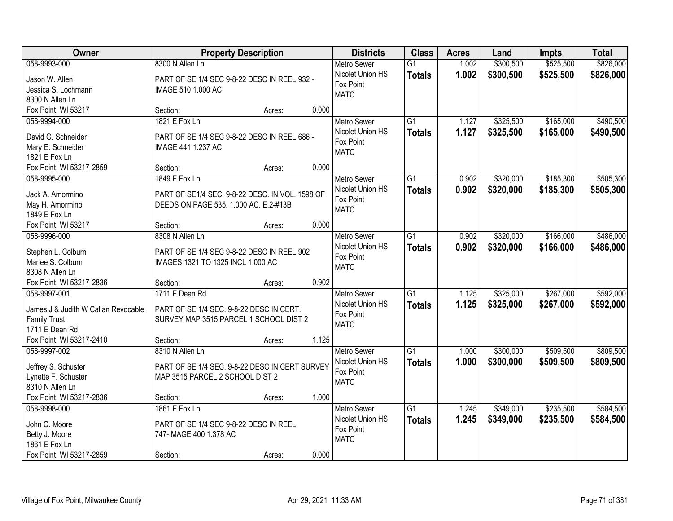| Owner                               | <b>Property Description</b>                     |       | <b>Districts</b>   | <b>Class</b>    | <b>Acres</b> | Land      | <b>Impts</b> | <b>Total</b> |
|-------------------------------------|-------------------------------------------------|-------|--------------------|-----------------|--------------|-----------|--------------|--------------|
| 058-9993-000                        | 8300 N Allen Ln                                 |       | <b>Metro Sewer</b> | $\overline{G1}$ | 1.002        | \$300,500 | \$525,500    | \$826,000    |
| Jason W. Allen                      | PART OF SE 1/4 SEC 9-8-22 DESC IN REEL 932 -    |       | Nicolet Union HS   | <b>Totals</b>   | 1.002        | \$300,500 | \$525,500    | \$826,000    |
| Jessica S. Lochmann                 | IMAGE 510 1.000 AC                              |       | Fox Point          |                 |              |           |              |              |
| 8300 N Allen Ln                     |                                                 |       | <b>MATC</b>        |                 |              |           |              |              |
| Fox Point, WI 53217                 | Section:<br>Acres:                              | 0.000 |                    |                 |              |           |              |              |
| 058-9994-000                        | 1821 E Fox Ln                                   |       | <b>Metro Sewer</b> | $\overline{G1}$ | 1.127        | \$325,500 | \$165,000    | \$490,500    |
|                                     |                                                 |       | Nicolet Union HS   | <b>Totals</b>   | 1.127        | \$325,500 | \$165,000    | \$490,500    |
| David G. Schneider                  | PART OF SE 1/4 SEC 9-8-22 DESC IN REEL 686 -    |       | Fox Point          |                 |              |           |              |              |
| Mary E. Schneider                   | IMAGE 441 1.237 AC                              |       | <b>MATC</b>        |                 |              |           |              |              |
| 1821 E Fox Ln                       |                                                 |       |                    |                 |              |           |              |              |
| Fox Point, WI 53217-2859            | Section:<br>Acres:                              | 0.000 |                    |                 |              |           |              |              |
| 058-9995-000                        | 1849 E Fox Ln                                   |       | <b>Metro Sewer</b> | G <sub>1</sub>  | 0.902        | \$320,000 | \$185,300    | \$505,300    |
| Jack A. Amormino                    | PART OF SE1/4 SEC. 9-8-22 DESC. IN VOL. 1598 OF |       | Nicolet Union HS   | <b>Totals</b>   | 0.902        | \$320,000 | \$185,300    | \$505,300    |
| May H. Amormino                     | DEEDS ON PAGE 535. 1.000 AC. E.2-#13B           |       | Fox Point          |                 |              |           |              |              |
| 1849 E Fox Ln                       |                                                 |       | <b>MATC</b>        |                 |              |           |              |              |
| Fox Point, WI 53217                 | Section:<br>Acres:                              | 0.000 |                    |                 |              |           |              |              |
| 058-9996-000                        | 8308 N Allen Ln                                 |       | <b>Metro Sewer</b> | $\overline{G1}$ | 0.902        | \$320,000 | \$166,000    | \$486,000    |
|                                     |                                                 |       | Nicolet Union HS   | <b>Totals</b>   | 0.902        | \$320,000 | \$166,000    | \$486,000    |
| Stephen L. Colburn                  | PART OF SE 1/4 SEC 9-8-22 DESC IN REEL 902      |       | Fox Point          |                 |              |           |              |              |
| Marlee S. Colburn                   | IMAGES 1321 TO 1325 INCL 1.000 AC               |       | <b>MATC</b>        |                 |              |           |              |              |
| 8308 N Allen Ln                     |                                                 |       |                    |                 |              |           |              |              |
| Fox Point, WI 53217-2836            | Section:<br>Acres:                              | 0.902 |                    |                 |              |           |              |              |
| 058-9997-001                        | 1711 E Dean Rd                                  |       | <b>Metro Sewer</b> | $\overline{G1}$ | 1.125        | \$325,000 | \$267,000    | \$592,000    |
| James J & Judith W Callan Revocable | PART OF SE 1/4 SEC. 9-8-22 DESC IN CERT.        |       | Nicolet Union HS   | <b>Totals</b>   | 1.125        | \$325,000 | \$267,000    | \$592,000    |
| <b>Family Trust</b>                 | SURVEY MAP 3515 PARCEL 1 SCHOOL DIST 2          |       | Fox Point          |                 |              |           |              |              |
| 1711 E Dean Rd                      |                                                 |       | <b>MATC</b>        |                 |              |           |              |              |
| Fox Point, WI 53217-2410            | Section:<br>Acres:                              | 1.125 |                    |                 |              |           |              |              |
| 058-9997-002                        | 8310 N Allen Ln                                 |       | <b>Metro Sewer</b> | $\overline{G1}$ | 1.000        | \$300,000 | \$509,500    | \$809,500    |
|                                     |                                                 |       | Nicolet Union HS   |                 | 1.000        | \$300,000 | \$509,500    | \$809,500    |
| Jeffrey S. Schuster                 | PART OF SE 1/4 SEC. 9-8-22 DESC IN CERT SURVEY  |       | Fox Point          | <b>Totals</b>   |              |           |              |              |
| Lynette F. Schuster                 | MAP 3515 PARCEL 2 SCHOOL DIST 2                 |       | <b>MATC</b>        |                 |              |           |              |              |
| 8310 N Allen Ln                     |                                                 |       |                    |                 |              |           |              |              |
| Fox Point, WI 53217-2836            | Section:<br>Acres:                              | 1.000 |                    |                 |              |           |              |              |
| 058-9998-000                        | 1861 E Fox Ln                                   |       | <b>Metro Sewer</b> | G1              | 1.245        | \$349,000 | \$235,500    | \$584,500    |
| John C. Moore                       | PART OF SE 1/4 SEC 9-8-22 DESC IN REEL          |       | Nicolet Union HS   | <b>Totals</b>   | 1.245        | \$349,000 | \$235,500    | \$584,500    |
| Betty J. Moore                      | 747-IMAGE 400 1.378 AC                          |       | Fox Point          |                 |              |           |              |              |
| 1861 E Fox Ln                       |                                                 |       | <b>MATC</b>        |                 |              |           |              |              |
| Fox Point, WI 53217-2859            |                                                 | 0.000 |                    |                 |              |           |              |              |
|                                     | Section:<br>Acres:                              |       |                    |                 |              |           |              |              |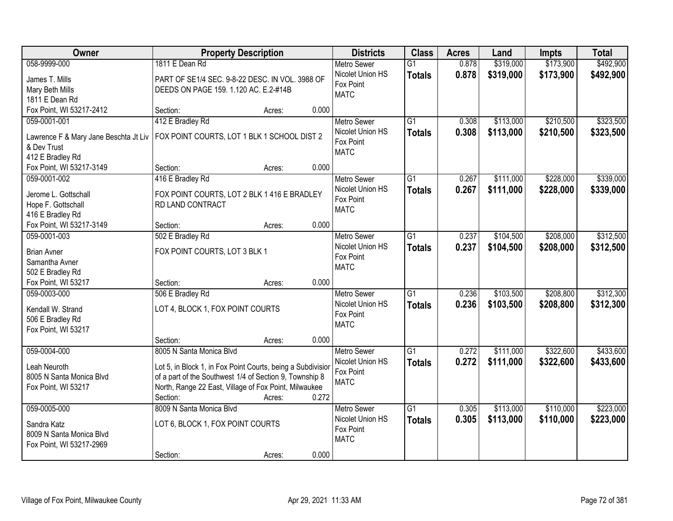| Owner                                  | <b>Property Description</b>                                 |        |       | <b>Districts</b>              | <b>Class</b>    | <b>Acres</b> | Land      | <b>Impts</b> | <b>Total</b> |
|----------------------------------------|-------------------------------------------------------------|--------|-------|-------------------------------|-----------------|--------------|-----------|--------------|--------------|
| 058-9999-000                           | 1811 E Dean Rd                                              |        |       | <b>Metro Sewer</b>            | $\overline{G1}$ | 0.878        | \$319,000 | \$173,900    | \$492,900    |
| James T. Mills                         | PART OF SE1/4 SEC. 9-8-22 DESC. IN VOL. 3988 OF             |        |       | Nicolet Union HS              | <b>Totals</b>   | 0.878        | \$319,000 | \$173,900    | \$492,900    |
| Mary Beth Mills                        | DEEDS ON PAGE 159. 1.120 AC. E.2-#14B                       |        |       | Fox Point                     |                 |              |           |              |              |
| 1811 E Dean Rd                         |                                                             |        |       | <b>MATC</b>                   |                 |              |           |              |              |
| Fox Point, WI 53217-2412               | Section:                                                    | Acres: | 0.000 |                               |                 |              |           |              |              |
| 059-0001-001                           | 412 E Bradley Rd                                            |        |       | <b>Metro Sewer</b>            | $\overline{G1}$ | 0.308        | \$113,000 | \$210,500    | \$323,500    |
| Lawrence F & Mary Jane Beschta Jt Liv  | FOX POINT COURTS, LOT 1 BLK 1 SCHOOL DIST 2                 |        |       | Nicolet Union HS              | <b>Totals</b>   | 0.308        | \$113,000 | \$210,500    | \$323,500    |
| & Dev Trust                            |                                                             |        |       | Fox Point                     |                 |              |           |              |              |
| 412 E Bradley Rd                       |                                                             |        |       | <b>MATC</b>                   |                 |              |           |              |              |
| Fox Point, WI 53217-3149               | Section:                                                    | Acres: | 0.000 |                               |                 |              |           |              |              |
| 059-0001-002                           | 416 E Bradley Rd                                            |        |       | Metro Sewer                   | $\overline{G1}$ | 0.267        | \$111,000 | \$228,000    | \$339,000    |
|                                        |                                                             |        |       | Nicolet Union HS              | <b>Totals</b>   | 0.267        | \$111,000 | \$228,000    | \$339,000    |
| Jerome L. Gottschall                   | FOX POINT COURTS, LOT 2 BLK 1 416 E BRADLEY                 |        |       | Fox Point                     |                 |              |           |              |              |
| Hope F. Gottschall<br>416 E Bradley Rd | RD LAND CONTRACT                                            |        |       | <b>MATC</b>                   |                 |              |           |              |              |
| Fox Point, WI 53217-3149               | Section:                                                    | Acres: | 0.000 |                               |                 |              |           |              |              |
| 059-0001-003                           | 502 E Bradley Rd                                            |        |       | <b>Metro Sewer</b>            | $\overline{G1}$ | 0.237        | \$104,500 | \$208,000    | \$312,500    |
|                                        |                                                             |        |       | Nicolet Union HS              | <b>Totals</b>   | 0.237        | \$104,500 | \$208,000    | \$312,500    |
| <b>Brian Avner</b>                     | FOX POINT COURTS, LOT 3 BLK 1                               |        |       | Fox Point                     |                 |              |           |              |              |
| Samantha Avner                         |                                                             |        |       | <b>MATC</b>                   |                 |              |           |              |              |
| 502 E Bradley Rd                       |                                                             |        |       |                               |                 |              |           |              |              |
| Fox Point, WI 53217                    | Section:                                                    | Acres: | 0.000 |                               |                 |              |           |              |              |
| 059-0003-000                           | 506 E Bradley Rd                                            |        |       | Metro Sewer                   | $\overline{G1}$ | 0.236        | \$103,500 | \$208,800    | \$312,300    |
| Kendall W. Strand                      | LOT 4, BLOCK 1, FOX POINT COURTS                            |        |       | Nicolet Union HS<br>Fox Point | <b>Totals</b>   | 0.236        | \$103,500 | \$208,800    | \$312,300    |
| 506 E Bradley Rd                       |                                                             |        |       | <b>MATC</b>                   |                 |              |           |              |              |
| Fox Point, WI 53217                    |                                                             |        |       |                               |                 |              |           |              |              |
|                                        | Section:                                                    | Acres: | 0.000 |                               |                 |              |           |              |              |
| 059-0004-000                           | 8005 N Santa Monica Blvd                                    |        |       | <b>Metro Sewer</b>            | $\overline{G1}$ | 0.272        | \$111,000 | \$322,600    | \$433,600    |
| Leah Neuroth                           | Lot 5, in Block 1, in Fox Point Courts, being a Subdivisior |        |       | Nicolet Union HS              | <b>Totals</b>   | 0.272        | \$111,000 | \$322,600    | \$433,600    |
| 8005 N Santa Monica Blvd               | of a part of the Southwest 1/4 of Section 9, Township 8     |        |       | Fox Point                     |                 |              |           |              |              |
| Fox Point, WI 53217                    | North, Range 22 East, Village of Fox Point, Milwaukee       |        |       | <b>MATC</b>                   |                 |              |           |              |              |
|                                        | Section:                                                    | Acres: | 0.272 |                               |                 |              |           |              |              |
| 059-0005-000                           | 8009 N Santa Monica Blvd                                    |        |       | <b>Metro Sewer</b>            | $\overline{G1}$ | 0.305        | \$113,000 | \$110,000    | \$223,000    |
| Sandra Katz                            | LOT 6, BLOCK 1, FOX POINT COURTS                            |        |       | Nicolet Union HS              | <b>Totals</b>   | 0.305        | \$113,000 | \$110,000    | \$223,000    |
| 8009 N Santa Monica Blvd               |                                                             |        |       | Fox Point                     |                 |              |           |              |              |
| Fox Point, WI 53217-2969               |                                                             |        |       | <b>MATC</b>                   |                 |              |           |              |              |
|                                        | Section:                                                    | Acres: | 0.000 |                               |                 |              |           |              |              |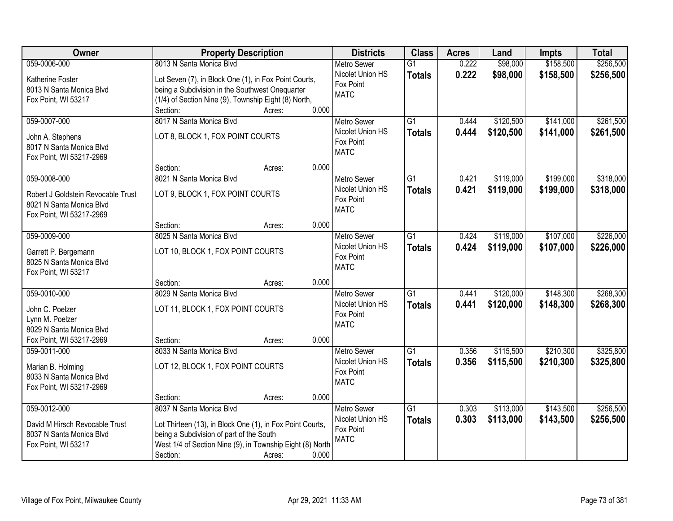| Owner                              | <b>Property Description</b>                               |                 | <b>Districts</b>   | <b>Class</b>    | <b>Acres</b> | Land      | <b>Impts</b> | <b>Total</b> |
|------------------------------------|-----------------------------------------------------------|-----------------|--------------------|-----------------|--------------|-----------|--------------|--------------|
| 059-0006-000                       | 8013 N Santa Monica Blvd                                  |                 | <b>Metro Sewer</b> | $\overline{G1}$ | 0.222        | \$98,000  | \$158,500    | \$256,500    |
| Katherine Foster                   | Lot Seven (7), in Block One (1), in Fox Point Courts,     |                 | Nicolet Union HS   | <b>Totals</b>   | 0.222        | \$98,000  | \$158,500    | \$256,500    |
| 8013 N Santa Monica Blvd           | being a Subdivision in the Southwest Onequarter           |                 | Fox Point          |                 |              |           |              |              |
| Fox Point, WI 53217                | (1/4) of Section Nine (9), Township Eight (8) North,      |                 | <b>MATC</b>        |                 |              |           |              |              |
|                                    | Section:                                                  | 0.000<br>Acres: |                    |                 |              |           |              |              |
| 059-0007-000                       | 8017 N Santa Monica Blvd                                  |                 | <b>Metro Sewer</b> | $\overline{G1}$ | 0.444        | \$120,500 | \$141,000    | \$261,500    |
| John A. Stephens                   | LOT 8, BLOCK 1, FOX POINT COURTS                          |                 | Nicolet Union HS   | <b>Totals</b>   | 0.444        | \$120,500 | \$141,000    | \$261,500    |
| 8017 N Santa Monica Blvd           |                                                           |                 | Fox Point          |                 |              |           |              |              |
| Fox Point, WI 53217-2969           |                                                           |                 | <b>MATC</b>        |                 |              |           |              |              |
|                                    | Section:                                                  | 0.000<br>Acres: |                    |                 |              |           |              |              |
| 059-0008-000                       | 8021 N Santa Monica Blvd                                  |                 | Metro Sewer        | G1              | 0.421        | \$119,000 | \$199,000    | \$318,000    |
| Robert J Goldstein Revocable Trust | LOT 9, BLOCK 1, FOX POINT COURTS                          |                 | Nicolet Union HS   | <b>Totals</b>   | 0.421        | \$119,000 | \$199,000    | \$318,000    |
| 8021 N Santa Monica Blvd           |                                                           |                 | Fox Point          |                 |              |           |              |              |
| Fox Point, WI 53217-2969           |                                                           |                 | <b>MATC</b>        |                 |              |           |              |              |
|                                    | Section:                                                  | 0.000<br>Acres: |                    |                 |              |           |              |              |
| 059-0009-000                       | 8025 N Santa Monica Blvd                                  |                 | <b>Metro Sewer</b> | G1              | 0.424        | \$119,000 | \$107,000    | \$226,000    |
| Garrett P. Bergemann               | LOT 10, BLOCK 1, FOX POINT COURTS                         |                 | Nicolet Union HS   | <b>Totals</b>   | 0.424        | \$119,000 | \$107,000    | \$226,000    |
| 8025 N Santa Monica Blvd           |                                                           |                 | Fox Point          |                 |              |           |              |              |
| Fox Point, WI 53217                |                                                           |                 | <b>MATC</b>        |                 |              |           |              |              |
|                                    | Section:                                                  | 0.000<br>Acres: |                    |                 |              |           |              |              |
| 059-0010-000                       | 8029 N Santa Monica Blvd                                  |                 | <b>Metro Sewer</b> | $\overline{G1}$ | 0.441        | \$120,000 | \$148,300    | \$268,300    |
| John C. Poelzer                    | LOT 11, BLOCK 1, FOX POINT COURTS                         |                 | Nicolet Union HS   | <b>Totals</b>   | 0.441        | \$120,000 | \$148,300    | \$268,300    |
| Lynn M. Poelzer                    |                                                           |                 | Fox Point          |                 |              |           |              |              |
| 8029 N Santa Monica Blvd           |                                                           |                 | <b>MATC</b>        |                 |              |           |              |              |
| Fox Point, WI 53217-2969           | Section:                                                  | 0.000<br>Acres: |                    |                 |              |           |              |              |
| 059-0011-000                       | 8033 N Santa Monica Blvd                                  |                 | <b>Metro Sewer</b> | G1              | 0.356        | \$115,500 | \$210,300    | \$325,800    |
| Marian B. Holming                  | LOT 12, BLOCK 1, FOX POINT COURTS                         |                 | Nicolet Union HS   | <b>Totals</b>   | 0.356        | \$115,500 | \$210,300    | \$325,800    |
| 8033 N Santa Monica Blvd           |                                                           |                 | Fox Point          |                 |              |           |              |              |
| Fox Point, WI 53217-2969           |                                                           |                 | <b>MATC</b>        |                 |              |           |              |              |
|                                    | Section:                                                  | 0.000<br>Acres: |                    |                 |              |           |              |              |
| 059-0012-000                       | 8037 N Santa Monica Blvd                                  |                 | <b>Metro Sewer</b> | $\overline{G1}$ | 0.303        | \$113,000 | \$143,500    | \$256,500    |
| David M Hirsch Revocable Trust     | Lot Thirteen (13), in Block One (1), in Fox Point Courts, |                 | Nicolet Union HS   | <b>Totals</b>   | 0.303        | \$113,000 | \$143,500    | \$256,500    |
| 8037 N Santa Monica Blvd           | being a Subdivision of part of the South                  |                 | Fox Point          |                 |              |           |              |              |
| Fox Point, WI 53217                | West 1/4 of Section Nine (9), in Township Eight (8) North |                 | <b>MATC</b>        |                 |              |           |              |              |
|                                    | Section:                                                  | 0.000<br>Acres: |                    |                 |              |           |              |              |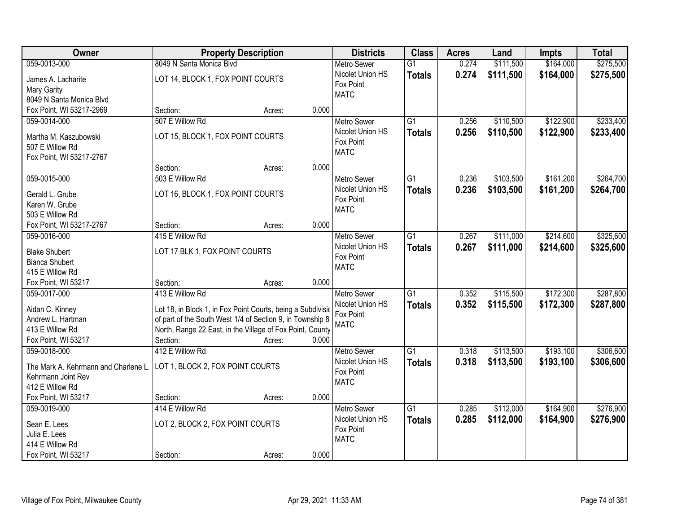| Owner                                                                                          | <b>Property Description</b>                                                                                                                                                                                          |        | <b>Districts</b>                                                            | <b>Class</b>                     | <b>Acres</b>   | Land                   | Impts                  | <b>Total</b>           |
|------------------------------------------------------------------------------------------------|----------------------------------------------------------------------------------------------------------------------------------------------------------------------------------------------------------------------|--------|-----------------------------------------------------------------------------|----------------------------------|----------------|------------------------|------------------------|------------------------|
| 059-0013-000                                                                                   | 8049 N Santa Monica Blvd                                                                                                                                                                                             |        | <b>Metro Sewer</b>                                                          | $\overline{G1}$                  | 0.274          | \$111,500              | \$164,000              | \$275,500              |
| James A. Lacharite<br>Mary Garity<br>8049 N Santa Monica Blvd                                  | LOT 14, BLOCK 1, FOX POINT COURTS                                                                                                                                                                                    |        | Nicolet Union HS<br>Fox Point<br><b>MATC</b>                                | <b>Totals</b>                    | 0.274          | \$111,500              | \$164,000              | \$275,500              |
| Fox Point, WI 53217-2969                                                                       | Section:                                                                                                                                                                                                             | Acres: | 0.000                                                                       |                                  |                |                        |                        |                        |
| 059-0014-000                                                                                   | 507 E Willow Rd                                                                                                                                                                                                      |        | <b>Metro Sewer</b>                                                          | $\overline{G1}$                  | 0.256          | \$110,500              | \$122,900              | \$233,400              |
| Martha M. Kaszubowski<br>507 E Willow Rd<br>Fox Point, WI 53217-2767                           | LOT 15, BLOCK 1, FOX POINT COURTS                                                                                                                                                                                    |        | Nicolet Union HS<br>Fox Point<br><b>MATC</b>                                | <b>Totals</b>                    | 0.256          | \$110,500              | \$122,900              | \$233,400              |
|                                                                                                | Section:                                                                                                                                                                                                             | Acres: | 0.000                                                                       |                                  |                |                        |                        |                        |
| 059-0015-000                                                                                   | 503 E Willow Rd                                                                                                                                                                                                      |        | <b>Metro Sewer</b>                                                          | G1                               | 0.236          | \$103,500              | \$161,200              | \$264,700              |
| Gerald L. Grube<br>Karen W. Grube<br>503 E Willow Rd                                           | LOT 16, BLOCK 1, FOX POINT COURTS                                                                                                                                                                                    |        | Nicolet Union HS<br>Fox Point<br><b>MATC</b>                                | <b>Totals</b>                    | 0.236          | \$103,500              | \$161,200              | \$264,700              |
| Fox Point, WI 53217-2767                                                                       | Section:                                                                                                                                                                                                             | Acres: | 0.000                                                                       |                                  |                |                        |                        |                        |
| 059-0016-000                                                                                   | 415 E Willow Rd                                                                                                                                                                                                      |        | <b>Metro Sewer</b>                                                          | G <sub>1</sub>                   | 0.267          | \$111,000              | \$214,600              | \$325,600              |
| <b>Blake Shubert</b><br><b>Bianca Shubert</b><br>415 E Willow Rd                               | LOT 17 BLK 1, FOX POINT COURTS                                                                                                                                                                                       |        | Nicolet Union HS<br>Fox Point<br><b>MATC</b>                                | <b>Totals</b>                    | 0.267          | \$111,000              | \$214,600              | \$325,600              |
| Fox Point, WI 53217                                                                            | Section:                                                                                                                                                                                                             | Acres: | 0.000                                                                       |                                  |                |                        |                        |                        |
| 059-0017-000<br>Aidan C. Kinney<br>Andrew L. Hartman<br>413 E Willow Rd<br>Fox Point, WI 53217 | 413 E Willow Rd<br>Lot 18, in Block 1, in Fox Point Courts, being a Subdivisio<br>of part of the South West 1/4 of Section 9, in Township 8<br>North, Range 22 East, in the Village of Fox Point, County<br>Section: | Acres: | <b>Metro Sewer</b><br>Nicolet Union HS<br>Fox Point<br><b>MATC</b><br>0.000 | $\overline{G1}$<br><b>Totals</b> | 0.352<br>0.352 | \$115,500<br>\$115,500 | \$172,300<br>\$172,300 | \$287,800<br>\$287,800 |
| 059-0018-000                                                                                   | 412 E Willow Rd                                                                                                                                                                                                      |        | <b>Metro Sewer</b>                                                          | $\overline{G1}$                  | 0.318          | \$113,500              | \$193,100              | \$306,600              |
| The Mark A. Kehrmann and Charlene L.<br>Kehrmann Joint Rev<br>412 E Willow Rd                  | LOT 1, BLOCK 2, FOX POINT COURTS                                                                                                                                                                                     |        | Nicolet Union HS<br>Fox Point<br><b>MATC</b>                                | <b>Totals</b>                    | 0.318          | \$113,500              | \$193,100              | \$306,600              |
| Fox Point, WI 53217                                                                            | Section:                                                                                                                                                                                                             | Acres: | 0.000                                                                       |                                  |                |                        |                        |                        |
| 059-0019-000<br>Sean E. Lees<br>Julia E. Lees<br>414 E Willow Rd<br>Fox Point, WI 53217        | 414 E Willow Rd<br>LOT 2, BLOCK 2, FOX POINT COURTS<br>Section:                                                                                                                                                      | Acres: | <b>Metro Sewer</b><br>Nicolet Union HS<br>Fox Point<br><b>MATC</b><br>0.000 | $\overline{G1}$<br><b>Totals</b> | 0.285<br>0.285 | \$112,000<br>\$112,000 | \$164,900<br>\$164,900 | \$276,900<br>\$276,900 |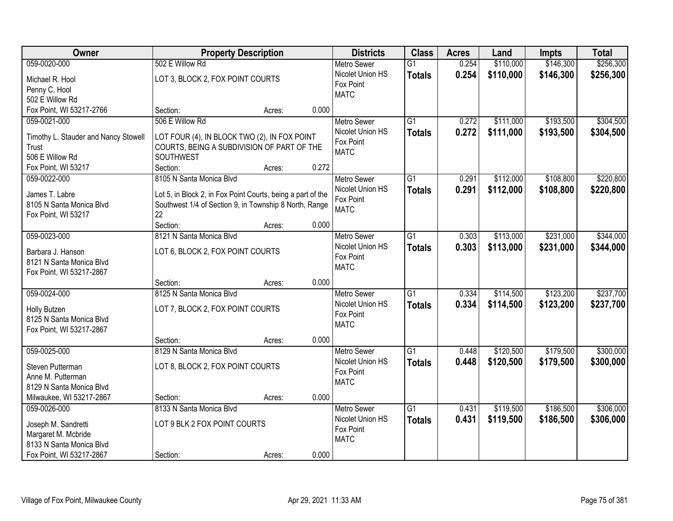| <b>Owner</b>                                         | <b>Property Description</b>                                                                                           |        |       | <b>Districts</b>   | <b>Class</b>    | <b>Acres</b> | Land      | <b>Impts</b> | <b>Total</b> |
|------------------------------------------------------|-----------------------------------------------------------------------------------------------------------------------|--------|-------|--------------------|-----------------|--------------|-----------|--------------|--------------|
| 059-0020-000                                         | 502 E Willow Rd                                                                                                       |        |       | <b>Metro Sewer</b> | $\overline{G1}$ | 0.254        | \$110,000 | \$146,300    | \$256,300    |
| Michael R. Hool                                      | LOT 3, BLOCK 2, FOX POINT COURTS                                                                                      |        |       | Nicolet Union HS   | <b>Totals</b>   | 0.254        | \$110,000 | \$146,300    | \$256,300    |
| Penny C. Hool                                        |                                                                                                                       |        |       | Fox Point          |                 |              |           |              |              |
| 502 E Willow Rd                                      |                                                                                                                       |        |       | <b>MATC</b>        |                 |              |           |              |              |
| Fox Point, WI 53217-2766                             | Section:                                                                                                              | Acres: | 0.000 |                    |                 |              |           |              |              |
| 059-0021-000                                         | 506 E Willow Rd                                                                                                       |        |       | <b>Metro Sewer</b> | $\overline{G1}$ | 0.272        | \$111,000 | \$193,500    | \$304,500    |
| Timothy L. Stauder and Nancy Stowell                 | LOT FOUR (4), IN BLOCK TWO (2), IN FOX POINT                                                                          |        |       | Nicolet Union HS   | <b>Totals</b>   | 0.272        | \$111,000 | \$193,500    | \$304,500    |
| Trust                                                | COURTS, BEING A SUBDIVISION OF PART OF THE                                                                            |        |       | Fox Point          |                 |              |           |              |              |
| 506 E Willow Rd                                      | SOUTHWEST                                                                                                             |        |       | <b>MATC</b>        |                 |              |           |              |              |
| Fox Point, WI 53217                                  | Section:                                                                                                              | Acres: | 0.272 |                    |                 |              |           |              |              |
| 059-0022-000                                         | 8105 N Santa Monica Blvd                                                                                              |        |       | <b>Metro Sewer</b> | G <sub>1</sub>  | 0.291        | \$112,000 | \$108,800    | \$220,800    |
| James T. Labre                                       |                                                                                                                       |        |       | Nicolet Union HS   | <b>Totals</b>   | 0.291        | \$112,000 | \$108,800    | \$220,800    |
| 8105 N Santa Monica Blvd                             | Lot 5, in Block 2, in Fox Point Courts, being a part of the<br>Southwest 1/4 of Section 9, in Township 8 North, Range |        |       | Fox Point          |                 |              |           |              |              |
| Fox Point, WI 53217                                  | 22                                                                                                                    |        |       | <b>MATC</b>        |                 |              |           |              |              |
|                                                      | Section:                                                                                                              | Acres: | 0.000 |                    |                 |              |           |              |              |
| 059-0023-000                                         | 8121 N Santa Monica Blvd                                                                                              |        |       | <b>Metro Sewer</b> | G1              | 0.303        | \$113,000 | \$231,000    | \$344,000    |
|                                                      |                                                                                                                       |        |       | Nicolet Union HS   | <b>Totals</b>   | 0.303        | \$113,000 | \$231,000    | \$344,000    |
| Barbara J. Hanson<br>8121 N Santa Monica Blvd        | LOT 6, BLOCK 2, FOX POINT COURTS                                                                                      |        |       | Fox Point          |                 |              |           |              |              |
| Fox Point, WI 53217-2867                             |                                                                                                                       |        |       | <b>MATC</b>        |                 |              |           |              |              |
|                                                      | Section:                                                                                                              | Acres: | 0.000 |                    |                 |              |           |              |              |
| 059-0024-000                                         | 8125 N Santa Monica Blvd                                                                                              |        |       | <b>Metro Sewer</b> | $\overline{G1}$ | 0.334        | \$114,500 | \$123,200    | \$237,700    |
|                                                      |                                                                                                                       |        |       | Nicolet Union HS   | <b>Totals</b>   | 0.334        | \$114,500 | \$123,200    | \$237,700    |
| Holly Butzen<br>8125 N Santa Monica Blvd             | LOT 7, BLOCK 2, FOX POINT COURTS                                                                                      |        |       | Fox Point          |                 |              |           |              |              |
| Fox Point, WI 53217-2867                             |                                                                                                                       |        |       | <b>MATC</b>        |                 |              |           |              |              |
|                                                      | Section:                                                                                                              | Acres: | 0.000 |                    |                 |              |           |              |              |
| 059-0025-000                                         | 8129 N Santa Monica Blvd                                                                                              |        |       | Metro Sewer        | $\overline{G1}$ | 0.448        | \$120,500 | \$179,500    | \$300,000    |
|                                                      |                                                                                                                       |        |       | Nicolet Union HS   | <b>Totals</b>   | 0.448        | \$120,500 | \$179,500    | \$300,000    |
| Steven Putterman                                     | LOT 8, BLOCK 2, FOX POINT COURTS                                                                                      |        |       | Fox Point          |                 |              |           |              |              |
| Anne M. Putterman                                    |                                                                                                                       |        |       | <b>MATC</b>        |                 |              |           |              |              |
| 8129 N Santa Monica Blvd<br>Milwaukee, WI 53217-2867 | Section:                                                                                                              | Acres: | 0.000 |                    |                 |              |           |              |              |
| 059-0026-000                                         | 8133 N Santa Monica Blvd                                                                                              |        |       | <b>Metro Sewer</b> | $\overline{G1}$ | 0.431        | \$119,500 | \$186,500    | \$306,000    |
|                                                      |                                                                                                                       |        |       | Nicolet Union HS   | <b>Totals</b>   | 0.431        | \$119,500 | \$186,500    | \$306,000    |
| Joseph M. Sandretti                                  | LOT 9 BLK 2 FOX POINT COURTS                                                                                          |        |       | Fox Point          |                 |              |           |              |              |
| Margaret M. Mcbride                                  |                                                                                                                       |        |       | <b>MATC</b>        |                 |              |           |              |              |
| 8133 N Santa Monica Blvd                             |                                                                                                                       |        |       |                    |                 |              |           |              |              |
| Fox Point, WI 53217-2867                             | Section:                                                                                                              | Acres: | 0.000 |                    |                 |              |           |              |              |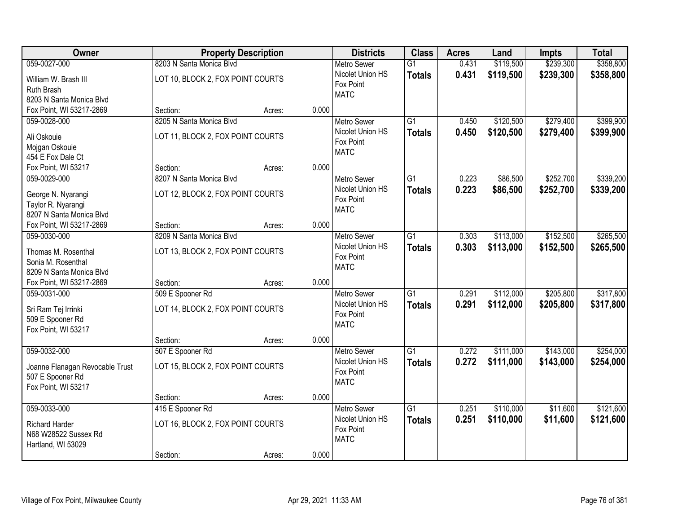| Owner                           |                                   | <b>Property Description</b> |       | <b>Districts</b>              | <b>Class</b>    | <b>Acres</b> | Land      | <b>Impts</b> | <b>Total</b> |
|---------------------------------|-----------------------------------|-----------------------------|-------|-------------------------------|-----------------|--------------|-----------|--------------|--------------|
| 059-0027-000                    | 8203 N Santa Monica Blvd          |                             |       | <b>Metro Sewer</b>            | $\overline{G1}$ | 0.431        | \$119,500 | \$239,300    | \$358,800    |
| William W. Brash III            | LOT 10, BLOCK 2, FOX POINT COURTS |                             |       | Nicolet Union HS              | <b>Totals</b>   | 0.431        | \$119,500 | \$239,300    | \$358,800    |
| Ruth Brash                      |                                   |                             |       | Fox Point                     |                 |              |           |              |              |
| 8203 N Santa Monica Blvd        |                                   |                             |       | <b>MATC</b>                   |                 |              |           |              |              |
| Fox Point, WI 53217-2869        | Section:                          | Acres:                      | 0.000 |                               |                 |              |           |              |              |
| 059-0028-000                    | 8205 N Santa Monica Blvd          |                             |       | <b>Metro Sewer</b>            | $\overline{G1}$ | 0.450        | \$120,500 | \$279,400    | \$399,900    |
| Ali Oskouie                     | LOT 11, BLOCK 2, FOX POINT COURTS |                             |       | Nicolet Union HS              | <b>Totals</b>   | 0.450        | \$120,500 | \$279,400    | \$399,900    |
| Mojgan Oskouie                  |                                   |                             |       | Fox Point                     |                 |              |           |              |              |
| 454 E Fox Dale Ct               |                                   |                             |       | <b>MATC</b>                   |                 |              |           |              |              |
| Fox Point, WI 53217             | Section:                          | Acres:                      | 0.000 |                               |                 |              |           |              |              |
| 059-0029-000                    | 8207 N Santa Monica Blvd          |                             |       | <b>Metro Sewer</b>            | G1              | 0.223        | \$86,500  | \$252,700    | \$339,200    |
|                                 |                                   |                             |       | Nicolet Union HS              | <b>Totals</b>   | 0.223        | \$86,500  | \$252,700    | \$339,200    |
| George N. Nyarangi              | LOT 12, BLOCK 2, FOX POINT COURTS |                             |       | Fox Point                     |                 |              |           |              |              |
| Taylor R. Nyarangi              |                                   |                             |       | <b>MATC</b>                   |                 |              |           |              |              |
| 8207 N Santa Monica Blvd        |                                   |                             |       |                               |                 |              |           |              |              |
| Fox Point, WI 53217-2869        | Section:                          | Acres:                      | 0.000 |                               |                 |              |           |              |              |
| 059-0030-000                    | 8209 N Santa Monica Blvd          |                             |       | <b>Metro Sewer</b>            | G1              | 0.303        | \$113,000 | \$152,500    | \$265,500    |
| Thomas M. Rosenthal             | LOT 13, BLOCK 2, FOX POINT COURTS |                             |       | Nicolet Union HS              | <b>Totals</b>   | 0.303        | \$113,000 | \$152,500    | \$265,500    |
| Sonia M. Rosenthal              |                                   |                             |       | Fox Point<br><b>MATC</b>      |                 |              |           |              |              |
| 8209 N Santa Monica Blvd        |                                   |                             |       |                               |                 |              |           |              |              |
| Fox Point, WI 53217-2869        | Section:                          | Acres:                      | 0.000 |                               |                 |              |           |              |              |
| 059-0031-000                    | 509 E Spooner Rd                  |                             |       | <b>Metro Sewer</b>            | $\overline{G1}$ | 0.291        | \$112,000 | \$205,800    | \$317,800    |
| Sri Ram Tej Irrinki             | LOT 14, BLOCK 2, FOX POINT COURTS |                             |       | Nicolet Union HS              | <b>Totals</b>   | 0.291        | \$112,000 | \$205,800    | \$317,800    |
| 509 E Spooner Rd                |                                   |                             |       | Fox Point                     |                 |              |           |              |              |
| Fox Point, WI 53217             |                                   |                             |       | <b>MATC</b>                   |                 |              |           |              |              |
|                                 | Section:                          | Acres:                      | 0.000 |                               |                 |              |           |              |              |
| 059-0032-000                    | 507 E Spooner Rd                  |                             |       | Metro Sewer                   | $\overline{G1}$ | 0.272        | \$111,000 | \$143,000    | \$254,000    |
|                                 |                                   |                             |       | Nicolet Union HS              | <b>Totals</b>   | 0.272        | \$111,000 | \$143,000    | \$254,000    |
| Joanne Flanagan Revocable Trust | LOT 15, BLOCK 2, FOX POINT COURTS |                             |       | Fox Point                     |                 |              |           |              |              |
| 507 E Spooner Rd                |                                   |                             |       | <b>MATC</b>                   |                 |              |           |              |              |
| Fox Point, WI 53217             |                                   |                             |       |                               |                 |              |           |              |              |
|                                 | Section:                          | Acres:                      | 0.000 |                               |                 |              |           |              |              |
| 059-0033-000                    | 415 E Spooner Rd                  |                             |       | <b>Metro Sewer</b>            | $\overline{G1}$ | 0.251        | \$110,000 | \$11,600     | \$121,600    |
| <b>Richard Harder</b>           | LOT 16, BLOCK 2, FOX POINT COURTS |                             |       | Nicolet Union HS<br>Fox Point | <b>Totals</b>   | 0.251        | \$110,000 | \$11,600     | \$121,600    |
| N68 W28522 Sussex Rd            |                                   |                             |       | <b>MATC</b>                   |                 |              |           |              |              |
| Hartland, WI 53029              |                                   |                             |       |                               |                 |              |           |              |              |
|                                 | Section:                          | Acres:                      | 0.000 |                               |                 |              |           |              |              |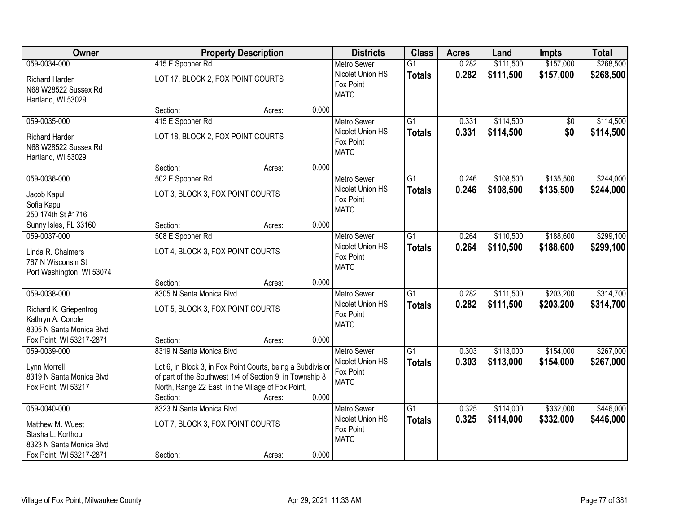| Owner                                                                                          | <b>Property Description</b>                                                                                                                                                                                  | <b>Districts</b>                                                   | <b>Class</b>                     | <b>Acres</b>   | Land                   | <b>Impts</b>           | <b>Total</b>           |
|------------------------------------------------------------------------------------------------|--------------------------------------------------------------------------------------------------------------------------------------------------------------------------------------------------------------|--------------------------------------------------------------------|----------------------------------|----------------|------------------------|------------------------|------------------------|
| 059-0034-000                                                                                   | 415 E Spooner Rd                                                                                                                                                                                             | <b>Metro Sewer</b>                                                 | $\overline{G1}$                  | 0.282          | \$111,500              | \$157,000              | \$268,500              |
| <b>Richard Harder</b><br>N68 W28522 Sussex Rd<br>Hartland, WI 53029                            | LOT 17, BLOCK 2, FOX POINT COURTS                                                                                                                                                                            | Nicolet Union HS<br>Fox Point<br><b>MATC</b>                       | <b>Totals</b>                    | 0.282          | \$111,500              | \$157,000              | \$268,500              |
|                                                                                                | 0.000<br>Section:<br>Acres:                                                                                                                                                                                  |                                                                    |                                  |                |                        |                        |                        |
| 059-0035-000                                                                                   | 415 E Spooner Rd                                                                                                                                                                                             | Metro Sewer                                                        | $\overline{G1}$                  | 0.331          | \$114,500              | \$0                    | \$114,500              |
| <b>Richard Harder</b><br>N68 W28522 Sussex Rd<br>Hartland, WI 53029                            | LOT 18, BLOCK 2, FOX POINT COURTS                                                                                                                                                                            | Nicolet Union HS<br>Fox Point<br><b>MATC</b>                       | <b>Totals</b>                    | 0.331          | \$114,500              | \$0                    | \$114,500              |
|                                                                                                | 0.000<br>Section:<br>Acres:                                                                                                                                                                                  |                                                                    |                                  |                |                        |                        |                        |
| 059-0036-000                                                                                   | 502 E Spooner Rd                                                                                                                                                                                             | <b>Metro Sewer</b>                                                 | $\overline{G1}$                  | 0.246          | \$108,500              | \$135,500              | \$244,000              |
| Jacob Kapul<br>Sofia Kapul<br>250 174th St #1716                                               | LOT 3, BLOCK 3, FOX POINT COURTS                                                                                                                                                                             | Nicolet Union HS<br>Fox Point<br><b>MATC</b>                       | <b>Totals</b>                    | 0.246          | \$108,500              | \$135,500              | \$244,000              |
| Sunny Isles, FL 33160                                                                          | 0.000<br>Section:<br>Acres:                                                                                                                                                                                  |                                                                    |                                  |                |                        |                        |                        |
| 059-0037-000                                                                                   | 508 E Spooner Rd                                                                                                                                                                                             | <b>Metro Sewer</b>                                                 | $\overline{G1}$                  | 0.264          | \$110,500              | \$188,600              | \$299,100              |
| Linda R. Chalmers<br>767 N Wisconsin St<br>Port Washington, WI 53074                           | LOT 4, BLOCK 3, FOX POINT COURTS                                                                                                                                                                             | Nicolet Union HS<br>Fox Point<br><b>MATC</b>                       | <b>Totals</b>                    | 0.264          | \$110,500              | \$188,600              | \$299,100              |
|                                                                                                | 0.000<br>Section:<br>Acres:                                                                                                                                                                                  |                                                                    |                                  |                |                        |                        |                        |
| 059-0038-000<br>Richard K. Griepentrog<br>Kathryn A. Conole<br>8305 N Santa Monica Blvd        | 8305 N Santa Monica Blyd<br>LOT 5, BLOCK 3, FOX POINT COURTS                                                                                                                                                 | <b>Metro Sewer</b><br>Nicolet Union HS<br>Fox Point<br><b>MATC</b> | $\overline{G1}$<br><b>Totals</b> | 0.282<br>0.282 | \$111,500<br>\$111,500 | \$203,200<br>\$203,200 | \$314,700<br>\$314,700 |
| Fox Point, WI 53217-2871                                                                       | 0.000<br>Section:<br>Acres:                                                                                                                                                                                  |                                                                    |                                  |                |                        |                        |                        |
| 059-0039-000                                                                                   | 8319 N Santa Monica Blvd                                                                                                                                                                                     | <b>Metro Sewer</b>                                                 | $\overline{G1}$                  | 0.303          | \$113,000              | \$154,000              | \$267,000              |
| Lynn Morrell<br>8319 N Santa Monica Blvd<br>Fox Point, WI 53217                                | Lot 6, in Block 3, in Fox Point Courts, being a Subdivisior<br>of part of the Southwest 1/4 of Section 9, in Township 8<br>North, Range 22 East, in the Village of Fox Point,<br>0.000<br>Section:<br>Acres: | Nicolet Union HS<br>Fox Point<br><b>MATC</b>                       | <b>Totals</b>                    | 0.303          | \$113,000              | \$154,000              | \$267,000              |
| 059-0040-000                                                                                   | 8323 N Santa Monica Blvd                                                                                                                                                                                     | Metro Sewer                                                        | $\overline{G1}$                  | 0.325          | \$114,000              | \$332,000              | \$446,000              |
| Matthew M. Wuest<br>Stasha L. Korthour<br>8323 N Santa Monica Blvd<br>Fox Point, WI 53217-2871 | LOT 7, BLOCK 3, FOX POINT COURTS<br>0.000<br>Section:<br>Acres:                                                                                                                                              | Nicolet Union HS<br>Fox Point<br><b>MATC</b>                       | <b>Totals</b>                    | 0.325          | \$114,000              | \$332,000              | \$446,000              |
|                                                                                                |                                                                                                                                                                                                              |                                                                    |                                  |                |                        |                        |                        |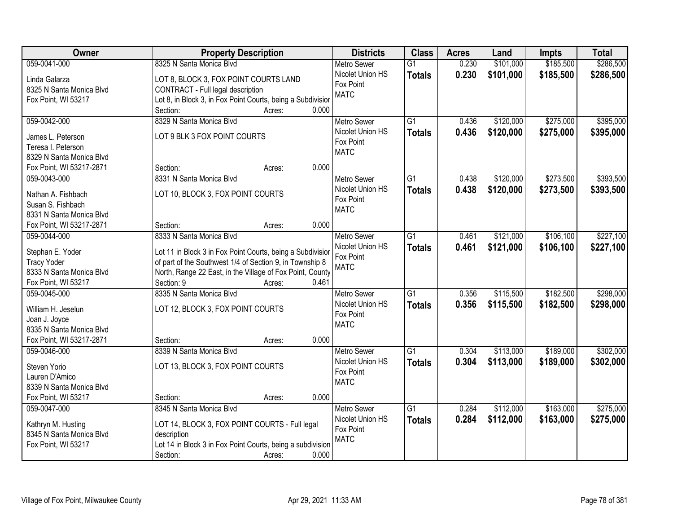| <b>Owner</b>                            | <b>Property Description</b>                                 | <b>Districts</b>              | <b>Class</b>    | <b>Acres</b> | Land      | <b>Impts</b> | <b>Total</b> |
|-----------------------------------------|-------------------------------------------------------------|-------------------------------|-----------------|--------------|-----------|--------------|--------------|
| 059-0041-000                            | 8325 N Santa Monica Blvd                                    | <b>Metro Sewer</b>            | $\overline{G1}$ | 0.230        | \$101,000 | \$185,500    | \$286,500    |
| Linda Galarza                           | LOT 8, BLOCK 3, FOX POINT COURTS LAND                       | Nicolet Union HS              | <b>Totals</b>   | 0.230        | \$101,000 | \$185,500    | \$286,500    |
| 8325 N Santa Monica Blvd                | CONTRACT - Full legal description                           | Fox Point                     |                 |              |           |              |              |
| Fox Point, WI 53217                     | Lot 8, in Block 3, in Fox Point Courts, being a Subdivision | <b>MATC</b>                   |                 |              |           |              |              |
|                                         | 0.000<br>Section:<br>Acres:                                 |                               |                 |              |           |              |              |
| 059-0042-000                            | 8329 N Santa Monica Blvd                                    | <b>Metro Sewer</b>            | $\overline{G1}$ | 0.436        | \$120,000 | \$275,000    | \$395,000    |
|                                         | LOT 9 BLK 3 FOX POINT COURTS                                | Nicolet Union HS              | <b>Totals</b>   | 0.436        | \$120,000 | \$275,000    | \$395,000    |
| James L. Peterson<br>Teresa I. Peterson |                                                             | Fox Point                     |                 |              |           |              |              |
| 8329 N Santa Monica Blvd                |                                                             | <b>MATC</b>                   |                 |              |           |              |              |
| Fox Point, WI 53217-2871                | 0.000<br>Section:<br>Acres:                                 |                               |                 |              |           |              |              |
| 059-0043-000                            | 8331 N Santa Monica Blvd                                    | <b>Metro Sewer</b>            | $\overline{G1}$ | 0.438        | \$120,000 | \$273,500    | \$393,500    |
|                                         |                                                             | Nicolet Union HS              | <b>Totals</b>   | 0.438        | \$120,000 | \$273,500    | \$393,500    |
| Nathan A. Fishbach                      | LOT 10, BLOCK 3, FOX POINT COURTS                           | Fox Point                     |                 |              |           |              |              |
| Susan S. Fishbach                       |                                                             | <b>MATC</b>                   |                 |              |           |              |              |
| 8331 N Santa Monica Blvd                |                                                             |                               |                 |              |           |              |              |
| Fox Point, WI 53217-2871                | 0.000<br>Section:<br>Acres:                                 |                               |                 |              |           |              |              |
| 059-0044-000                            | 8333 N Santa Monica Blvd                                    | <b>Metro Sewer</b>            | G1              | 0.461        | \$121,000 | \$106,100    | \$227,100    |
| Stephan E. Yoder                        | Lot 11 in Block 3 in Fox Point Courts, being a Subdivisior  | Nicolet Union HS<br>Fox Point | <b>Totals</b>   | 0.461        | \$121,000 | \$106,100    | \$227,100    |
| <b>Tracy Yoder</b>                      | of part of the Southwest 1/4 of Section 9, in Township 8    | <b>MATC</b>                   |                 |              |           |              |              |
| 8333 N Santa Monica Blvd                | North, Range 22 East, in the Village of Fox Point, County   |                               |                 |              |           |              |              |
| Fox Point, WI 53217                     | 0.461<br>Section: 9<br>Acres:                               |                               |                 |              |           |              |              |
| 059-0045-000                            | 8335 N Santa Monica Blvd                                    | <b>Metro Sewer</b>            | $\overline{G1}$ | 0.356        | \$115,500 | \$182,500    | \$298,000    |
| William H. Jeselun                      | LOT 12, BLOCK 3, FOX POINT COURTS                           | Nicolet Union HS              | <b>Totals</b>   | 0.356        | \$115,500 | \$182,500    | \$298,000    |
| Joan J. Joyce                           |                                                             | Fox Point                     |                 |              |           |              |              |
| 8335 N Santa Monica Blvd                |                                                             | <b>MATC</b>                   |                 |              |           |              |              |
| Fox Point, WI 53217-2871                | 0.000<br>Section:<br>Acres:                                 |                               |                 |              |           |              |              |
| 059-0046-000                            | 8339 N Santa Monica Blvd                                    | <b>Metro Sewer</b>            | G1              | 0.304        | \$113,000 | \$189,000    | \$302,000    |
|                                         |                                                             | Nicolet Union HS              | <b>Totals</b>   | 0.304        | \$113,000 | \$189,000    | \$302,000    |
| Steven Yorio<br>Lauren D'Amico          | LOT 13, BLOCK 3, FOX POINT COURTS                           | Fox Point                     |                 |              |           |              |              |
| 8339 N Santa Monica Blvd                |                                                             | <b>MATC</b>                   |                 |              |           |              |              |
| Fox Point, WI 53217                     | 0.000<br>Section:<br>Acres:                                 |                               |                 |              |           |              |              |
| 059-0047-000                            | 8345 N Santa Monica Blvd                                    | <b>Metro Sewer</b>            | $\overline{G1}$ | 0.284        | \$112,000 | \$163,000    | \$275,000    |
|                                         |                                                             | Nicolet Union HS              | <b>Totals</b>   | 0.284        | \$112,000 | \$163,000    | \$275,000    |
| Kathryn M. Husting                      | LOT 14, BLOCK 3, FOX POINT COURTS - Full legal              | Fox Point                     |                 |              |           |              |              |
| 8345 N Santa Monica Blvd                | description                                                 | <b>MATC</b>                   |                 |              |           |              |              |
| Fox Point, WI 53217                     | Lot 14 in Block 3 in Fox Point Courts, being a subdivision  |                               |                 |              |           |              |              |
|                                         | Section:<br>0.000<br>Acres:                                 |                               |                 |              |           |              |              |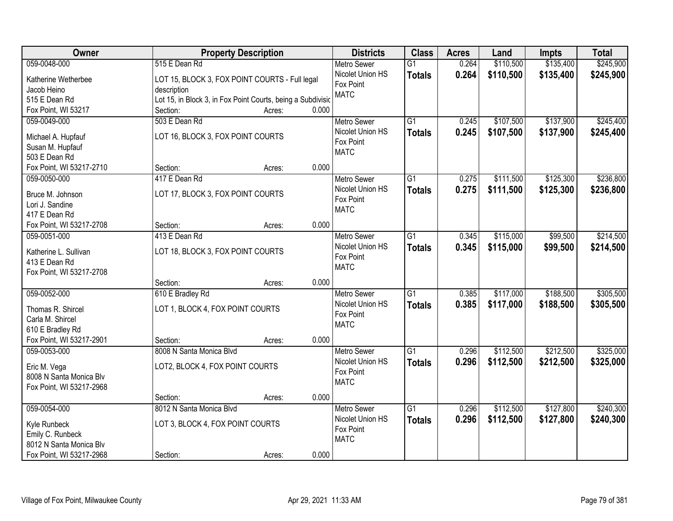| Owner                                  | <b>Property Description</b>                                 |       | <b>Districts</b>   | <b>Class</b>    | <b>Acres</b> | Land      | <b>Impts</b> | <b>Total</b> |
|----------------------------------------|-------------------------------------------------------------|-------|--------------------|-----------------|--------------|-----------|--------------|--------------|
| 059-0048-000                           | 515 E Dean Rd                                               |       | <b>Metro Sewer</b> | $\overline{G1}$ | 0.264        | \$110,500 | \$135,400    | \$245,900    |
| Katherine Wetherbee                    | LOT 15, BLOCK 3, FOX POINT COURTS - Full legal              |       | Nicolet Union HS   | <b>Totals</b>   | 0.264        | \$110,500 | \$135,400    | \$245,900    |
| Jacob Heino                            | description                                                 |       | Fox Point          |                 |              |           |              |              |
| 515 E Dean Rd                          | Lot 15, in Block 3, in Fox Point Courts, being a Subdivisio |       | <b>MATC</b>        |                 |              |           |              |              |
| Fox Point, WI 53217                    | Section:<br>Acres:                                          | 0.000 |                    |                 |              |           |              |              |
| 059-0049-000                           | 503 E Dean Rd                                               |       | <b>Metro Sewer</b> | $\overline{G1}$ | 0.245        | \$107,500 | \$137,900    | \$245,400    |
|                                        |                                                             |       | Nicolet Union HS   | <b>Totals</b>   | 0.245        | \$107,500 | \$137,900    | \$245,400    |
| Michael A. Hupfauf                     | LOT 16, BLOCK 3, FOX POINT COURTS                           |       | Fox Point          |                 |              |           |              |              |
| Susan M. Hupfauf                       |                                                             |       | <b>MATC</b>        |                 |              |           |              |              |
| 503 E Dean Rd                          |                                                             |       |                    |                 |              |           |              |              |
| Fox Point, WI 53217-2710               | Section:<br>Acres:                                          | 0.000 |                    |                 |              |           |              |              |
| 059-0050-000                           | 417 E Dean Rd                                               |       | Metro Sewer        | G1              | 0.275        | \$111,500 | \$125,300    | \$236,800    |
| Bruce M. Johnson                       | LOT 17, BLOCK 3, FOX POINT COURTS                           |       | Nicolet Union HS   | <b>Totals</b>   | 0.275        | \$111,500 | \$125,300    | \$236,800    |
| Lori J. Sandine                        |                                                             |       | Fox Point          |                 |              |           |              |              |
| 417 E Dean Rd                          |                                                             |       | <b>MATC</b>        |                 |              |           |              |              |
| Fox Point, WI 53217-2708               | Section:<br>Acres:                                          | 0.000 |                    |                 |              |           |              |              |
| 059-0051-000                           | 413 E Dean Rd                                               |       | <b>Metro Sewer</b> | G1              | 0.345        | \$115,000 | \$99,500     | \$214,500    |
|                                        |                                                             |       | Nicolet Union HS   | <b>Totals</b>   | 0.345        | \$115,000 | \$99,500     | \$214,500    |
| Katherine L. Sullivan<br>413 E Dean Rd | LOT 18, BLOCK 3, FOX POINT COURTS                           |       | Fox Point          |                 |              |           |              |              |
| Fox Point, WI 53217-2708               |                                                             |       | <b>MATC</b>        |                 |              |           |              |              |
|                                        | Section:<br>Acres:                                          | 0.000 |                    |                 |              |           |              |              |
| 059-0052-000                           | 610 E Bradley Rd                                            |       | <b>Metro Sewer</b> | $\overline{G1}$ | 0.385        | \$117,000 | \$188,500    | \$305,500    |
|                                        |                                                             |       | Nicolet Union HS   | <b>Totals</b>   | 0.385        | \$117,000 | \$188,500    | \$305,500    |
| Thomas R. Shircel                      | LOT 1, BLOCK 4, FOX POINT COURTS                            |       | Fox Point          |                 |              |           |              |              |
| Carla M. Shircel                       |                                                             |       | <b>MATC</b>        |                 |              |           |              |              |
| 610 E Bradley Rd                       |                                                             |       |                    |                 |              |           |              |              |
| Fox Point, WI 53217-2901               | Section:<br>Acres:                                          | 0.000 |                    |                 |              |           |              |              |
| 059-0053-000                           | 8008 N Santa Monica Blvd                                    |       | <b>Metro Sewer</b> | $\overline{G1}$ | 0.296        | \$112,500 | \$212,500    | \$325,000    |
| Eric M. Vega                           | LOT2, BLOCK 4, FOX POINT COURTS                             |       | Nicolet Union HS   | <b>Totals</b>   | 0.296        | \$112,500 | \$212,500    | \$325,000    |
| 8008 N Santa Monica Blv                |                                                             |       | Fox Point          |                 |              |           |              |              |
| Fox Point, WI 53217-2968               |                                                             |       | <b>MATC</b>        |                 |              |           |              |              |
|                                        | Section:<br>Acres:                                          | 0.000 |                    |                 |              |           |              |              |
| 059-0054-000                           | 8012 N Santa Monica Blvd                                    |       | <b>Metro Sewer</b> | $\overline{G1}$ | 0.296        | \$112,500 | \$127,800    | \$240,300    |
|                                        |                                                             |       | Nicolet Union HS   | <b>Totals</b>   | 0.296        | \$112,500 | \$127,800    | \$240,300    |
| Kyle Runbeck                           | LOT 3, BLOCK 4, FOX POINT COURTS                            |       | Fox Point          |                 |              |           |              |              |
| Emily C. Runbeck                       |                                                             |       | <b>MATC</b>        |                 |              |           |              |              |
| 8012 N Santa Monica Blv                |                                                             |       |                    |                 |              |           |              |              |
| Fox Point, WI 53217-2968               | Section:<br>Acres:                                          | 0.000 |                    |                 |              |           |              |              |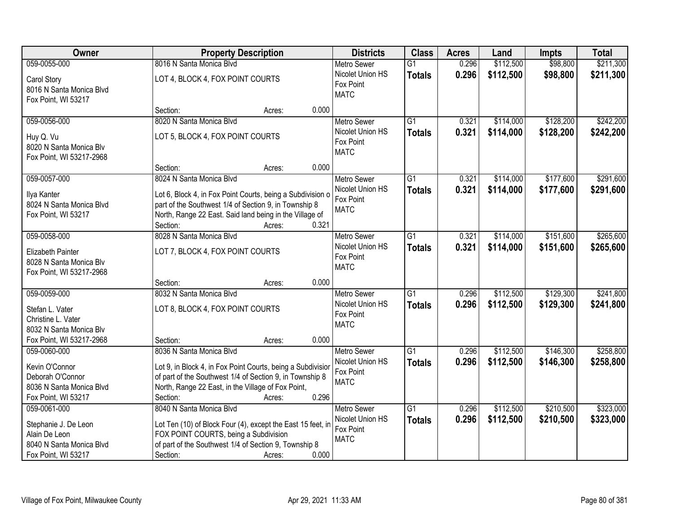| Owner                                                                                                    | <b>Property Description</b>                                                                                                                                                                                     | <b>Districts</b>                                                            | <b>Class</b>                     | <b>Acres</b>   | Land                   | <b>Impts</b>           | <b>Total</b>           |
|----------------------------------------------------------------------------------------------------------|-----------------------------------------------------------------------------------------------------------------------------------------------------------------------------------------------------------------|-----------------------------------------------------------------------------|----------------------------------|----------------|------------------------|------------------------|------------------------|
| 059-0055-000                                                                                             | 8016 N Santa Monica Blvd                                                                                                                                                                                        | <b>Metro Sewer</b>                                                          | $\overline{G1}$                  | 0.296          | \$112,500              | \$98,800               | \$211,300              |
| Carol Story<br>8016 N Santa Monica Blvd<br>Fox Point, WI 53217                                           | LOT 4, BLOCK 4, FOX POINT COURTS                                                                                                                                                                                | Nicolet Union HS<br>Fox Point<br><b>MATC</b>                                | <b>Totals</b>                    | 0.296          | \$112,500              | \$98,800               | \$211,300              |
|                                                                                                          | 0.000<br>Section:<br>Acres:                                                                                                                                                                                     |                                                                             |                                  |                |                        |                        |                        |
| 059-0056-000                                                                                             | 8020 N Santa Monica Blvd                                                                                                                                                                                        | <b>Metro Sewer</b>                                                          | $\overline{G1}$                  | 0.321          | \$114,000              | \$128,200              | \$242,200              |
| Huy Q. Vu<br>8020 N Santa Monica Blv<br>Fox Point, WI 53217-2968                                         | LOT 5, BLOCK 4, FOX POINT COURTS                                                                                                                                                                                | Nicolet Union HS<br>Fox Point<br><b>MATC</b>                                | <b>Totals</b>                    | 0.321          | \$114,000              | \$128,200              | \$242,200              |
|                                                                                                          | Section:<br>Acres:                                                                                                                                                                                              | 0.000                                                                       |                                  |                |                        |                        |                        |
| 059-0057-000                                                                                             | 8024 N Santa Monica Blvd                                                                                                                                                                                        | <b>Metro Sewer</b>                                                          | $\overline{G1}$                  | 0.321          | \$114,000              | \$177,600              | \$291,600              |
| Ilya Kanter<br>8024 N Santa Monica Blvd<br>Fox Point, WI 53217                                           | Lot 6, Block 4, in Fox Point Courts, being a Subdivision o<br>part of the Southwest 1/4 of Section 9, in Township 8<br>North, Range 22 East. Said land being in the Village of<br>Section:<br>0.321<br>Acres:   | Nicolet Union HS<br>Fox Point<br><b>MATC</b>                                | <b>Totals</b>                    | 0.321          | \$114,000              | \$177,600              | \$291,600              |
| 059-0058-000                                                                                             | 8028 N Santa Monica Blvd                                                                                                                                                                                        | <b>Metro Sewer</b>                                                          | G1                               | 0.321          | \$114,000              | \$151,600              | \$265,600              |
| Elizabeth Painter<br>8028 N Santa Monica Blv<br>Fox Point, WI 53217-2968                                 | LOT 7, BLOCK 4, FOX POINT COURTS                                                                                                                                                                                | Nicolet Union HS<br>Fox Point<br><b>MATC</b>                                | <b>Totals</b>                    | 0.321          | \$114,000              | \$151,600              | \$265,600              |
|                                                                                                          | 0.000<br>Section:<br>Acres:                                                                                                                                                                                     |                                                                             |                                  |                |                        |                        |                        |
| 059-0059-000<br>Stefan L. Vater<br>Christine L. Vater<br>8032 N Santa Monica Blv                         | 8032 N Santa Monica Blvd<br>LOT 8, BLOCK 4, FOX POINT COURTS                                                                                                                                                    | Metro Sewer<br>Nicolet Union HS<br>Fox Point<br><b>MATC</b>                 | $\overline{G1}$<br><b>Totals</b> | 0.296<br>0.296 | \$112,500<br>\$112,500 | \$129,300<br>\$129,300 | \$241,800<br>\$241,800 |
| Fox Point, WI 53217-2968                                                                                 | Section:<br>Acres:                                                                                                                                                                                              | 0.000                                                                       |                                  |                |                        |                        |                        |
| 059-0060-000<br>Kevin O'Connor<br>Deborah O'Connor<br>8036 N Santa Monica Blvd                           | 8036 N Santa Monica Blvd<br>Lot 9, in Block 4, in Fox Point Courts, being a Subdivision<br>of part of the Southwest 1/4 of Section 9, in Township 8<br>North, Range 22 East, in the Village of Fox Point,       | Metro Sewer<br>Nicolet Union HS<br>Fox Point<br><b>MATC</b>                 | $\overline{G1}$<br><b>Totals</b> | 0.296<br>0.296 | \$112,500<br>\$112,500 | \$146,300<br>\$146,300 | \$258,800<br>\$258,800 |
| Fox Point, WI 53217                                                                                      | Section:<br>Acres:                                                                                                                                                                                              | 0.296                                                                       |                                  |                |                        |                        |                        |
| 059-0061-000<br>Stephanie J. De Leon<br>Alain De Leon<br>8040 N Santa Monica Blvd<br>Fox Point, WI 53217 | 8040 N Santa Monica Blvd<br>Lot Ten (10) of Block Four (4), except the East 15 feet, in<br>FOX POINT COURTS, being a Subdivision<br>of part of the Southwest 1/4 of Section 9, Township 8<br>Section:<br>Acres: | <b>Metro Sewer</b><br>Nicolet Union HS<br>Fox Point<br><b>MATC</b><br>0.000 | $\overline{G1}$<br><b>Totals</b> | 0.296<br>0.296 | \$112,500<br>\$112,500 | \$210,500<br>\$210,500 | \$323,000<br>\$323,000 |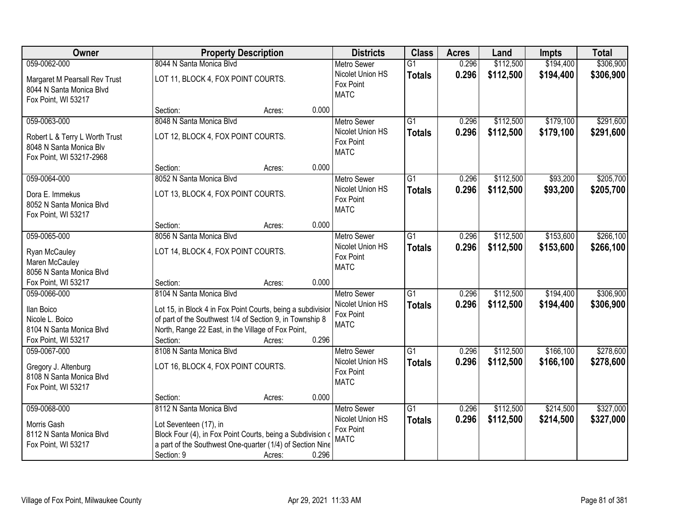| Owner                                                                                                 |                                                                                                                                                                                                                       | <b>Property Description</b> |       | <b>Districts</b>                                                   | <b>Class</b>                     | <b>Acres</b>   | Land                   | <b>Impts</b>           | <b>Total</b>           |
|-------------------------------------------------------------------------------------------------------|-----------------------------------------------------------------------------------------------------------------------------------------------------------------------------------------------------------------------|-----------------------------|-------|--------------------------------------------------------------------|----------------------------------|----------------|------------------------|------------------------|------------------------|
| 059-0062-000                                                                                          | 8044 N Santa Monica Blvd                                                                                                                                                                                              |                             |       | <b>Metro Sewer</b>                                                 | $\overline{G1}$                  | 0.296          | \$112,500              | \$194,400              | \$306,900              |
| Margaret M Pearsall Rev Trust<br>8044 N Santa Monica Blvd<br>Fox Point, WI 53217                      | LOT 11, BLOCK 4, FOX POINT COURTS.                                                                                                                                                                                    |                             |       | Nicolet Union HS<br>Fox Point<br><b>MATC</b>                       | <b>Totals</b>                    | 0.296          | \$112,500              | \$194,400              | \$306,900              |
|                                                                                                       | Section:                                                                                                                                                                                                              | Acres:                      | 0.000 |                                                                    |                                  |                |                        |                        |                        |
| 059-0063-000<br>Robert L & Terry L Worth Trust<br>8048 N Santa Monica Blv<br>Fox Point, WI 53217-2968 | 8048 N Santa Monica Blvd<br>LOT 12, BLOCK 4, FOX POINT COURTS.                                                                                                                                                        |                             |       | <b>Metro Sewer</b><br>Nicolet Union HS<br>Fox Point<br><b>MATC</b> | $\overline{G1}$<br><b>Totals</b> | 0.296<br>0.296 | \$112,500<br>\$112,500 | \$179,100<br>\$179,100 | \$291,600<br>\$291,600 |
|                                                                                                       | Section:                                                                                                                                                                                                              | Acres:                      | 0.000 |                                                                    |                                  |                |                        |                        |                        |
| 059-0064-000<br>Dora E. Immekus<br>8052 N Santa Monica Blvd<br>Fox Point, WI 53217                    | 8052 N Santa Monica Blvd<br>LOT 13, BLOCK 4, FOX POINT COURTS.                                                                                                                                                        |                             |       | <b>Metro Sewer</b><br>Nicolet Union HS<br>Fox Point<br><b>MATC</b> | $\overline{G1}$<br><b>Totals</b> | 0.296<br>0.296 | \$112,500<br>\$112,500 | \$93,200<br>\$93,200   | \$205,700<br>\$205,700 |
|                                                                                                       | Section:                                                                                                                                                                                                              | Acres:                      | 0.000 |                                                                    |                                  |                |                        |                        |                        |
| 059-0065-000<br>Ryan McCauley<br>Maren McCauley<br>8056 N Santa Monica Blvd                           | 8056 N Santa Monica Blvd<br>LOT 14, BLOCK 4, FOX POINT COURTS.                                                                                                                                                        |                             |       | <b>Metro Sewer</b><br>Nicolet Union HS<br>Fox Point<br><b>MATC</b> | G1<br><b>Totals</b>              | 0.296<br>0.296 | \$112,500<br>\$112,500 | \$153,600<br>\$153,600 | \$266,100<br>\$266,100 |
| Fox Point, WI 53217                                                                                   | Section:                                                                                                                                                                                                              | Acres:                      | 0.000 |                                                                    |                                  |                |                        |                        |                        |
| 059-0066-000<br>Ilan Boico<br>Nicole L. Boico<br>8104 N Santa Monica Blvd<br>Fox Point, WI 53217      | 8104 N Santa Monica Blvd<br>Lot 15, in Block 4 in Fox Point Courts, being a subdivisior<br>of part of the Southwest 1/4 of Section 9, in Township 8<br>North, Range 22 East, in the Village of Fox Point,<br>Section: | Acres:                      | 0.296 | <b>Metro Sewer</b><br>Nicolet Union HS<br>Fox Point<br><b>MATC</b> | $\overline{G1}$<br><b>Totals</b> | 0.296<br>0.296 | \$112,500<br>\$112,500 | \$194,400<br>\$194,400 | \$306,900<br>\$306,900 |
| 059-0067-000<br>Gregory J. Altenburg<br>8108 N Santa Monica Blvd<br>Fox Point, WI 53217               | 8108 N Santa Monica Blvd<br>LOT 16, BLOCK 4, FOX POINT COURTS.<br>Section:                                                                                                                                            | Acres:                      | 0.000 | Metro Sewer<br>Nicolet Union HS<br>Fox Point<br><b>MATC</b>        | $\overline{G1}$<br><b>Totals</b> | 0.296<br>0.296 | \$112,500<br>\$112,500 | \$166,100<br>\$166,100 | \$278,600<br>\$278,600 |
| 059-0068-000                                                                                          | 8112 N Santa Monica Blvd                                                                                                                                                                                              |                             |       | <b>Metro Sewer</b>                                                 | $\overline{G1}$                  | 0.296          | \$112,500              | \$214,500              | \$327,000              |
| Morris Gash<br>8112 N Santa Monica Blvd<br>Fox Point, WI 53217                                        | Lot Seventeen (17), in<br>Block Four (4), in Fox Point Courts, being a Subdivision of<br>a part of the Southwest One-quarter (1/4) of Section Nine<br>Section: 9                                                      | Acres:                      | 0.296 | Nicolet Union HS<br>Fox Point<br><b>MATC</b>                       | <b>Totals</b>                    | 0.296          | \$112,500              | \$214,500              | \$327,000              |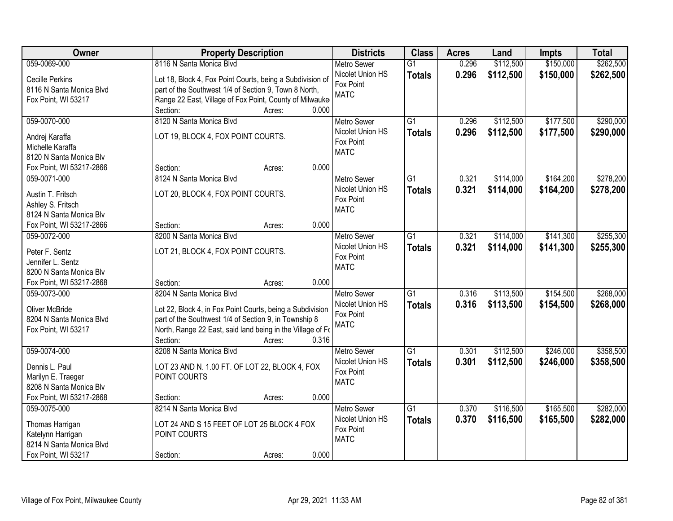| Owner                    | <b>Property Description</b>                                |        |       | <b>Districts</b>   | <b>Class</b>    | <b>Acres</b> | Land      | <b>Impts</b> | <b>Total</b> |
|--------------------------|------------------------------------------------------------|--------|-------|--------------------|-----------------|--------------|-----------|--------------|--------------|
| 059-0069-000             | 8116 N Santa Monica Blvd                                   |        |       | <b>Metro Sewer</b> | $\overline{G1}$ | 0.296        | \$112,500 | \$150,000    | \$262,500    |
| Cecille Perkins          | Lot 18, Block 4, Fox Point Courts, being a Subdivision of  |        |       | Nicolet Union HS   | <b>Totals</b>   | 0.296        | \$112,500 | \$150,000    | \$262,500    |
| 8116 N Santa Monica Blvd | part of the Southwest 1/4 of Section 9, Town 8 North,      |        |       | Fox Point          |                 |              |           |              |              |
| Fox Point, WI 53217      | Range 22 East, Village of Fox Point, County of Milwauke    |        |       | <b>MATC</b>        |                 |              |           |              |              |
|                          | Section:                                                   | Acres: | 0.000 |                    |                 |              |           |              |              |
| 059-0070-000             | 8120 N Santa Monica Blvd                                   |        |       | <b>Metro Sewer</b> | $\overline{G1}$ | 0.296        | \$112,500 | \$177,500    | \$290,000    |
| Andrej Karaffa           | LOT 19, BLOCK 4, FOX POINT COURTS.                         |        |       | Nicolet Union HS   | <b>Totals</b>   | 0.296        | \$112,500 | \$177,500    | \$290,000    |
| Michelle Karaffa         |                                                            |        |       | Fox Point          |                 |              |           |              |              |
| 8120 N Santa Monica Blv  |                                                            |        |       | <b>MATC</b>        |                 |              |           |              |              |
| Fox Point, WI 53217-2866 | Section:                                                   | Acres: | 0.000 |                    |                 |              |           |              |              |
| 059-0071-000             | 8124 N Santa Monica Blvd                                   |        |       | Metro Sewer        | $\overline{G1}$ | 0.321        | \$114,000 | \$164,200    | \$278,200    |
| Austin T. Fritsch        | LOT 20, BLOCK 4, FOX POINT COURTS.                         |        |       | Nicolet Union HS   | <b>Totals</b>   | 0.321        | \$114,000 | \$164,200    | \$278,200    |
| Ashley S. Fritsch        |                                                            |        |       | Fox Point          |                 |              |           |              |              |
| 8124 N Santa Monica Blv  |                                                            |        |       | <b>MATC</b>        |                 |              |           |              |              |
| Fox Point, WI 53217-2866 | Section:                                                   | Acres: | 0.000 |                    |                 |              |           |              |              |
| 059-0072-000             | 8200 N Santa Monica Blvd                                   |        |       | <b>Metro Sewer</b> | G1              | 0.321        | \$114,000 | \$141,300    | \$255,300    |
| Peter F. Sentz           | LOT 21, BLOCK 4, FOX POINT COURTS.                         |        |       | Nicolet Union HS   | <b>Totals</b>   | 0.321        | \$114,000 | \$141,300    | \$255,300    |
| Jennifer L. Sentz        |                                                            |        |       | Fox Point          |                 |              |           |              |              |
| 8200 N Santa Monica Blv  |                                                            |        |       | <b>MATC</b>        |                 |              |           |              |              |
| Fox Point, WI 53217-2868 | Section:                                                   | Acres: | 0.000 |                    |                 |              |           |              |              |
| 059-0073-000             | 8204 N Santa Monica Blvd                                   |        |       | <b>Metro Sewer</b> | $\overline{G1}$ | 0.316        | \$113,500 | \$154,500    | \$268,000    |
| Oliver McBride           | Lot 22, Block 4, in Fox Point Courts, being a Subdivision  |        |       | Nicolet Union HS   | <b>Totals</b>   | 0.316        | \$113,500 | \$154,500    | \$268,000    |
| 8204 N Santa Monica Blvd | part of the Southwest 1/4 of Section 9, in Township 8      |        |       | Fox Point          |                 |              |           |              |              |
| Fox Point, WI 53217      | North, Range 22 East, said land being in the Village of Fo |        |       | <b>MATC</b>        |                 |              |           |              |              |
|                          | Section:                                                   | Acres: | 0.316 |                    |                 |              |           |              |              |
| 059-0074-000             | 8208 N Santa Monica Blvd                                   |        |       | <b>Metro Sewer</b> | G1              | 0.301        | \$112,500 | \$246,000    | \$358,500    |
| Dennis L. Paul           | LOT 23 AND N. 1.00 FT. OF LOT 22, BLOCK 4, FOX             |        |       | Nicolet Union HS   | <b>Totals</b>   | 0.301        | \$112,500 | \$246,000    | \$358,500    |
| Marilyn E. Traeger       | POINT COURTS                                               |        |       | Fox Point          |                 |              |           |              |              |
| 8208 N Santa Monica Blv  |                                                            |        |       | <b>MATC</b>        |                 |              |           |              |              |
| Fox Point, WI 53217-2868 | Section:                                                   | Acres: | 0.000 |                    |                 |              |           |              |              |
| 059-0075-000             | 8214 N Santa Monica Blvd                                   |        |       | <b>Metro Sewer</b> | $\overline{G1}$ | 0.370        | \$116,500 | \$165,500    | \$282,000    |
| Thomas Harrigan          | LOT 24 AND S 15 FEET OF LOT 25 BLOCK 4 FOX                 |        |       | Nicolet Union HS   | <b>Totals</b>   | 0.370        | \$116,500 | \$165,500    | \$282,000    |
| Katelynn Harrigan        | POINT COURTS                                               |        |       | Fox Point          |                 |              |           |              |              |
| 8214 N Santa Monica Blvd |                                                            |        |       | <b>MATC</b>        |                 |              |           |              |              |
| Fox Point, WI 53217      | Section:                                                   | Acres: | 0.000 |                    |                 |              |           |              |              |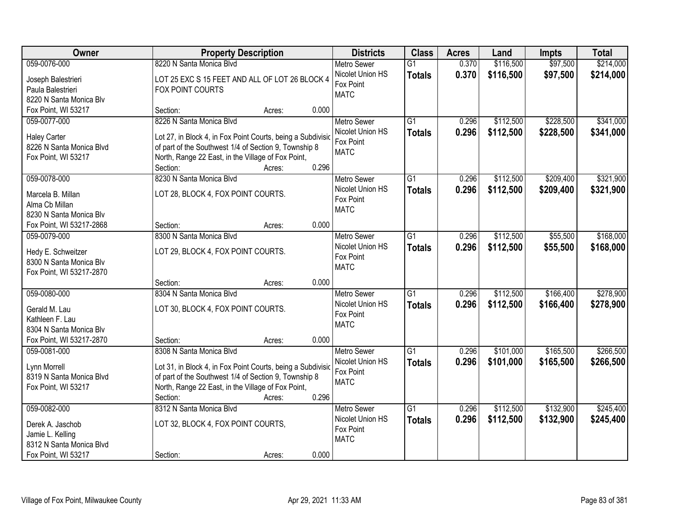| Owner                    | <b>Property Description</b>                                 | <b>Districts</b>              | <b>Class</b>    | <b>Acres</b> | Land      | <b>Impts</b> | <b>Total</b> |
|--------------------------|-------------------------------------------------------------|-------------------------------|-----------------|--------------|-----------|--------------|--------------|
| 059-0076-000             | 8220 N Santa Monica Blvd                                    | <b>Metro Sewer</b>            | $\overline{G1}$ | 0.370        | \$116,500 | \$97,500     | \$214,000    |
| Joseph Balestrieri       | LOT 25 EXC S 15 FEET AND ALL OF LOT 26 BLOCK 4              | Nicolet Union HS              | <b>Totals</b>   | 0.370        | \$116,500 | \$97,500     | \$214,000    |
| Paula Balestrieri        | FOX POINT COURTS                                            | Fox Point                     |                 |              |           |              |              |
| 8220 N Santa Monica Blv  |                                                             | <b>MATC</b>                   |                 |              |           |              |              |
| Fox Point, WI 53217      | 0.000<br>Section:<br>Acres:                                 |                               |                 |              |           |              |              |
| 059-0077-000             | 8226 N Santa Monica Blvd                                    | <b>Metro Sewer</b>            | $\overline{G1}$ | 0.296        | \$112,500 | \$228,500    | \$341,000    |
|                          |                                                             | Nicolet Union HS              | <b>Totals</b>   | 0.296        | \$112,500 | \$228,500    | \$341,000    |
| <b>Haley Carter</b>      | Lot 27, in Block 4, in Fox Point Courts, being a Subdivisic | Fox Point                     |                 |              |           |              |              |
| 8226 N Santa Monica Blvd | of part of the Southwest 1/4 of Section 9, Township 8       | <b>MATC</b>                   |                 |              |           |              |              |
| Fox Point, WI 53217      | North, Range 22 East, in the Village of Fox Point,<br>0.296 |                               |                 |              |           |              |              |
|                          | Section:<br>Acres:                                          |                               |                 |              |           |              |              |
| 059-0078-000             | 8230 N Santa Monica Blvd                                    | <b>Metro Sewer</b>            | G1              | 0.296        | \$112,500 | \$209,400    | \$321,900    |
| Marcela B. Millan        | LOT 28, BLOCK 4, FOX POINT COURTS.                          | Nicolet Union HS              | <b>Totals</b>   | 0.296        | \$112,500 | \$209,400    | \$321,900    |
| Alma Cb Millan           |                                                             | Fox Point                     |                 |              |           |              |              |
| 8230 N Santa Monica Blv  |                                                             | <b>MATC</b>                   |                 |              |           |              |              |
| Fox Point, WI 53217-2868 | 0.000<br>Section:<br>Acres:                                 |                               |                 |              |           |              |              |
| 059-0079-000             | 8300 N Santa Monica Blvd                                    | <b>Metro Sewer</b>            | G1              | 0.296        | \$112,500 | \$55,500     | \$168,000    |
|                          |                                                             | Nicolet Union HS              | <b>Totals</b>   | 0.296        | \$112,500 | \$55,500     | \$168,000    |
| Hedy E. Schweitzer       | LOT 29, BLOCK 4, FOX POINT COURTS.                          | Fox Point                     |                 |              |           |              |              |
| 8300 N Santa Monica Blv  |                                                             | <b>MATC</b>                   |                 |              |           |              |              |
| Fox Point, WI 53217-2870 | 0.000<br>Section:                                           |                               |                 |              |           |              |              |
| 059-0080-000             | Acres:<br>8304 N Santa Monica Blvd                          |                               | $\overline{G1}$ | 0.296        | \$112,500 | \$166,400    | \$278,900    |
|                          |                                                             | <b>Metro Sewer</b>            |                 |              |           |              |              |
| Gerald M. Lau            | LOT 30, BLOCK 4, FOX POINT COURTS.                          | Nicolet Union HS<br>Fox Point | <b>Totals</b>   | 0.296        | \$112,500 | \$166,400    | \$278,900    |
| Kathleen F. Lau          |                                                             | <b>MATC</b>                   |                 |              |           |              |              |
| 8304 N Santa Monica Blv  |                                                             |                               |                 |              |           |              |              |
| Fox Point, WI 53217-2870 | 0.000<br>Section:<br>Acres:                                 |                               |                 |              |           |              |              |
| 059-0081-000             | 8308 N Santa Monica Blvd                                    | <b>Metro Sewer</b>            | $\overline{G1}$ | 0.296        | \$101,000 | \$165,500    | \$266,500    |
| Lynn Morrell             | Lot 31, in Block 4, in Fox Point Courts, being a Subdivisio | Nicolet Union HS              | <b>Totals</b>   | 0.296        | \$101,000 | \$165,500    | \$266,500    |
| 8319 N Santa Monica Blvd | of part of the Southwest 1/4 of Section 9, Township 8       | Fox Point                     |                 |              |           |              |              |
| Fox Point, WI 53217      | North, Range 22 East, in the Village of Fox Point,          | <b>MATC</b>                   |                 |              |           |              |              |
|                          | 0.296<br>Section:<br>Acres:                                 |                               |                 |              |           |              |              |
| 059-0082-000             | 8312 N Santa Monica Blvd                                    | <b>Metro Sewer</b>            | $\overline{G1}$ | 0.296        | \$112,500 | \$132,900    | \$245,400    |
|                          |                                                             | Nicolet Union HS              | <b>Totals</b>   | 0.296        | \$112,500 | \$132,900    | \$245,400    |
| Derek A. Jaschob         | LOT 32, BLOCK 4, FOX POINT COURTS,                          | Fox Point                     |                 |              |           |              |              |
| Jamie L. Kelling         |                                                             | <b>MATC</b>                   |                 |              |           |              |              |
| 8312 N Santa Monica Blvd |                                                             |                               |                 |              |           |              |              |
| Fox Point, WI 53217      | 0.000<br>Section:<br>Acres:                                 |                               |                 |              |           |              |              |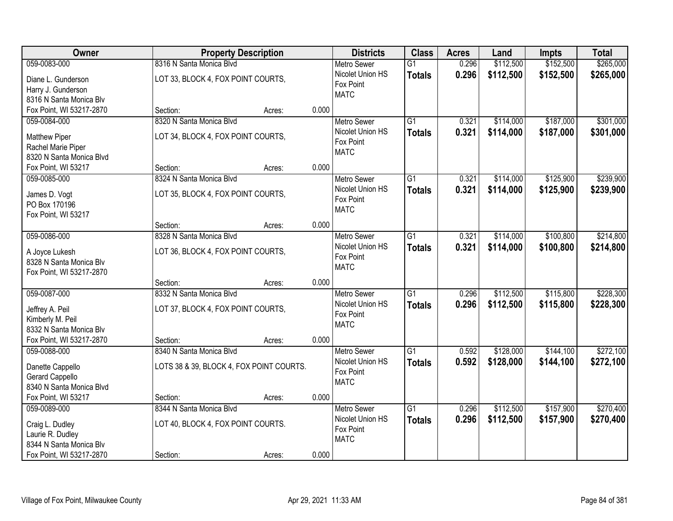| Owner                    | <b>Property Description</b>              |                 | <b>Districts</b>   | <b>Class</b>    | <b>Acres</b> | Land      | <b>Impts</b> | <b>Total</b> |
|--------------------------|------------------------------------------|-----------------|--------------------|-----------------|--------------|-----------|--------------|--------------|
| 059-0083-000             | 8316 N Santa Monica Blvd                 |                 | <b>Metro Sewer</b> | $\overline{G1}$ | 0.296        | \$112,500 | \$152,500    | \$265,000    |
| Diane L. Gunderson       | LOT 33, BLOCK 4, FOX POINT COURTS,       |                 | Nicolet Union HS   | <b>Totals</b>   | 0.296        | \$112,500 | \$152,500    | \$265,000    |
| Harry J. Gunderson       |                                          |                 | Fox Point          |                 |              |           |              |              |
| 8316 N Santa Monica Blv  |                                          |                 | <b>MATC</b>        |                 |              |           |              |              |
| Fox Point, WI 53217-2870 | Section:                                 | 0.000<br>Acres: |                    |                 |              |           |              |              |
| 059-0084-000             | 8320 N Santa Monica Blvd                 |                 | <b>Metro Sewer</b> | G1              | 0.321        | \$114,000 | \$187,000    | \$301,000    |
| <b>Matthew Piper</b>     | LOT 34, BLOCK 4, FOX POINT COURTS,       |                 | Nicolet Union HS   | <b>Totals</b>   | 0.321        | \$114,000 | \$187,000    | \$301,000    |
| Rachel Marie Piper       |                                          |                 | Fox Point          |                 |              |           |              |              |
| 8320 N Santa Monica Blvd |                                          |                 | <b>MATC</b>        |                 |              |           |              |              |
| Fox Point, WI 53217      | Section:                                 | 0.000<br>Acres: |                    |                 |              |           |              |              |
| 059-0085-000             | 8324 N Santa Monica Blvd                 |                 | Metro Sewer        | G1              | 0.321        | \$114,000 | \$125,900    | \$239,900    |
| James D. Vogt            | LOT 35, BLOCK 4, FOX POINT COURTS,       |                 | Nicolet Union HS   | <b>Totals</b>   | 0.321        | \$114,000 | \$125,900    | \$239,900    |
| PO Box 170196            |                                          |                 | Fox Point          |                 |              |           |              |              |
| Fox Point, WI 53217      |                                          |                 | <b>MATC</b>        |                 |              |           |              |              |
|                          | Section:                                 | 0.000<br>Acres: |                    |                 |              |           |              |              |
| 059-0086-000             | 8328 N Santa Monica Blvd                 |                 | <b>Metro Sewer</b> | $\overline{G1}$ | 0.321        | \$114,000 | \$100,800    | \$214,800    |
| A Joyce Lukesh           | LOT 36, BLOCK 4, FOX POINT COURTS,       |                 | Nicolet Union HS   | <b>Totals</b>   | 0.321        | \$114,000 | \$100,800    | \$214,800    |
| 8328 N Santa Monica Blv  |                                          |                 | Fox Point          |                 |              |           |              |              |
| Fox Point, WI 53217-2870 |                                          |                 | <b>MATC</b>        |                 |              |           |              |              |
|                          | Section:                                 | 0.000<br>Acres: |                    |                 |              |           |              |              |
| 059-0087-000             | 8332 N Santa Monica Blyd                 |                 | Metro Sewer        | $\overline{G1}$ | 0.296        | \$112,500 | \$115,800    | \$228,300    |
| Jeffrey A. Peil          | LOT 37, BLOCK 4, FOX POINT COURTS,       |                 | Nicolet Union HS   | <b>Totals</b>   | 0.296        | \$112,500 | \$115,800    | \$228,300    |
| Kimberly M. Peil         |                                          |                 | Fox Point          |                 |              |           |              |              |
| 8332 N Santa Monica Blv  |                                          |                 | <b>MATC</b>        |                 |              |           |              |              |
| Fox Point, WI 53217-2870 | Section:                                 | 0.000<br>Acres: |                    |                 |              |           |              |              |
| 059-0088-000             | 8340 N Santa Monica Blvd                 |                 | Metro Sewer        | $\overline{G1}$ | 0.592        | \$128,000 | \$144,100    | \$272,100    |
| Danette Cappello         | LOTS 38 & 39, BLOCK 4, FOX POINT COURTS. |                 | Nicolet Union HS   | <b>Totals</b>   | 0.592        | \$128,000 | \$144,100    | \$272,100    |
| <b>Gerard Cappello</b>   |                                          |                 | Fox Point          |                 |              |           |              |              |
| 8340 N Santa Monica Blvd |                                          |                 | <b>MATC</b>        |                 |              |           |              |              |
| Fox Point, WI 53217      | Section:                                 | 0.000<br>Acres: |                    |                 |              |           |              |              |
| 059-0089-000             | 8344 N Santa Monica Blvd                 |                 | <b>Metro Sewer</b> | $\overline{G1}$ | 0.296        | \$112,500 | \$157,900    | \$270,400    |
| Craig L. Dudley          | LOT 40, BLOCK 4, FOX POINT COURTS.       |                 | Nicolet Union HS   | <b>Totals</b>   | 0.296        | \$112,500 | \$157,900    | \$270,400    |
| Laurie R. Dudley         |                                          |                 | Fox Point          |                 |              |           |              |              |
| 8344 N Santa Monica Blv  |                                          |                 | <b>MATC</b>        |                 |              |           |              |              |
| Fox Point, WI 53217-2870 | Section:                                 | 0.000<br>Acres: |                    |                 |              |           |              |              |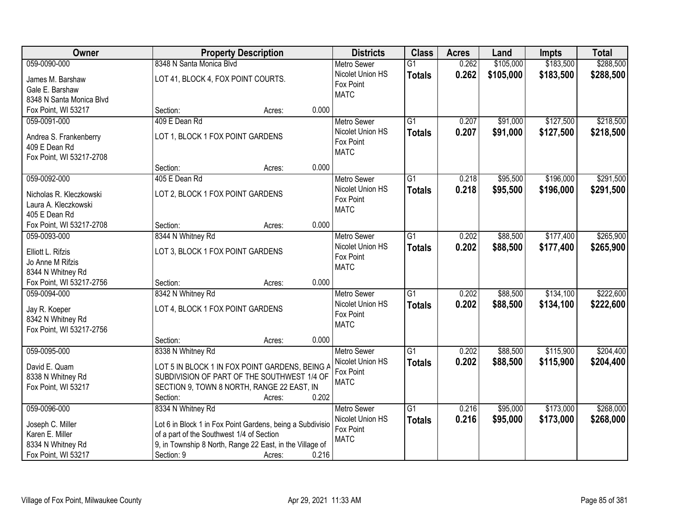| Owner                                    | <b>Property Description</b>                                       | <b>Districts</b>   | <b>Class</b>    | <b>Acres</b> | Land      | <b>Impts</b> | <b>Total</b> |
|------------------------------------------|-------------------------------------------------------------------|--------------------|-----------------|--------------|-----------|--------------|--------------|
| 059-0090-000                             | 8348 N Santa Monica Blvd                                          | <b>Metro Sewer</b> | $\overline{G1}$ | 0.262        | \$105,000 | \$183,500    | \$288,500    |
| James M. Barshaw                         | LOT 41, BLOCK 4, FOX POINT COURTS.                                | Nicolet Union HS   | <b>Totals</b>   | 0.262        | \$105,000 | \$183,500    | \$288,500    |
| Gale E. Barshaw                          |                                                                   | Fox Point          |                 |              |           |              |              |
| 8348 N Santa Monica Blvd                 |                                                                   | <b>MATC</b>        |                 |              |           |              |              |
| Fox Point, WI 53217                      | 0.000<br>Section:<br>Acres:                                       |                    |                 |              |           |              |              |
| 059-0091-000                             | 409 E Dean Rd                                                     | <b>Metro Sewer</b> | $\overline{G1}$ | 0.207        | \$91,000  | \$127,500    | \$218,500    |
| Andrea S. Frankenberry                   | LOT 1, BLOCK 1 FOX POINT GARDENS                                  | Nicolet Union HS   | <b>Totals</b>   | 0.207        | \$91,000  | \$127,500    | \$218,500    |
| 409 E Dean Rd                            |                                                                   | Fox Point          |                 |              |           |              |              |
| Fox Point, WI 53217-2708                 |                                                                   | <b>MATC</b>        |                 |              |           |              |              |
|                                          | 0.000<br>Section:<br>Acres:                                       |                    |                 |              |           |              |              |
| 059-0092-000                             | 405 E Dean Rd                                                     | <b>Metro Sewer</b> | $\overline{G1}$ | 0.218        | \$95,500  | \$196,000    | \$291,500    |
|                                          |                                                                   | Nicolet Union HS   | <b>Totals</b>   | 0.218        | \$95,500  | \$196,000    | \$291,500    |
| Nicholas R. Kleczkowski                  | LOT 2, BLOCK 1 FOX POINT GARDENS                                  | Fox Point          |                 |              |           |              |              |
| Laura A. Kleczkowski                     |                                                                   | <b>MATC</b>        |                 |              |           |              |              |
| 405 E Dean Rd                            | 0.000<br>Section:                                                 |                    |                 |              |           |              |              |
| Fox Point, WI 53217-2708<br>059-0093-000 | Acres:<br>8344 N Whitney Rd                                       | <b>Metro Sewer</b> | G1              | 0.202        | \$88,500  | \$177,400    | \$265,900    |
|                                          |                                                                   | Nicolet Union HS   |                 | 0.202        |           |              |              |
| Elliott L. Rifzis                        | LOT 3, BLOCK 1 FOX POINT GARDENS                                  | Fox Point          | <b>Totals</b>   |              | \$88,500  | \$177,400    | \$265,900    |
| Jo Anne M Rifzis                         |                                                                   | <b>MATC</b>        |                 |              |           |              |              |
| 8344 N Whitney Rd                        |                                                                   |                    |                 |              |           |              |              |
| Fox Point, WI 53217-2756                 | 0.000<br>Section:<br>Acres:                                       |                    |                 |              |           |              |              |
| 059-0094-000                             | 8342 N Whitney Rd                                                 | <b>Metro Sewer</b> | $\overline{G1}$ | 0.202        | \$88,500  | \$134,100    | \$222,600    |
| Jay R. Koeper                            | LOT 4, BLOCK 1 FOX POINT GARDENS                                  | Nicolet Union HS   | <b>Totals</b>   | 0.202        | \$88,500  | \$134,100    | \$222,600    |
| 8342 N Whitney Rd                        |                                                                   | Fox Point          |                 |              |           |              |              |
| Fox Point, WI 53217-2756                 |                                                                   | <b>MATC</b>        |                 |              |           |              |              |
|                                          | Section:<br>0.000<br>Acres:                                       |                    |                 |              |           |              |              |
| 059-0095-000                             | 8338 N Whitney Rd                                                 | <b>Metro Sewer</b> | $\overline{G1}$ | 0.202        | \$88,500  | \$115,900    | \$204,400    |
| David E. Quam                            | LOT 5 IN BLOCK 1 IN FOX POINT GARDENS, BEING A                    | Nicolet Union HS   | <b>Totals</b>   | 0.202        | \$88,500  | \$115,900    | \$204,400    |
| 8338 N Whitney Rd                        | SUBDIVISION OF PART OF THE SOUTHWEST 1/4 OF                       | Fox Point          |                 |              |           |              |              |
| Fox Point, WI 53217                      | SECTION 9, TOWN 8 NORTH, RANGE 22 EAST, IN                        | <b>MATC</b>        |                 |              |           |              |              |
|                                          | 0.202<br>Section:<br>Acres:                                       |                    |                 |              |           |              |              |
| 059-0096-000                             | 8334 N Whitney Rd                                                 | <b>Metro Sewer</b> | $\overline{G1}$ | 0.216        | \$95,000  | \$173,000    | \$268,000    |
|                                          |                                                                   | Nicolet Union HS   | <b>Totals</b>   | 0.216        | \$95,000  | \$173,000    | \$268,000    |
| Joseph C. Miller                         | Lot 6 in Block 1 in Fox Point Gardens, being a Subdivisio         | Fox Point          |                 |              |           |              |              |
| Karen E. Miller                          | of a part of the Southwest 1/4 of Section                         | <b>MATC</b>        |                 |              |           |              |              |
| 8334 N Whitney Rd                        | 9, in Township 8 North, Range 22 East, in the Village of<br>0.216 |                    |                 |              |           |              |              |
| Fox Point, WI 53217                      | Section: 9<br>Acres:                                              |                    |                 |              |           |              |              |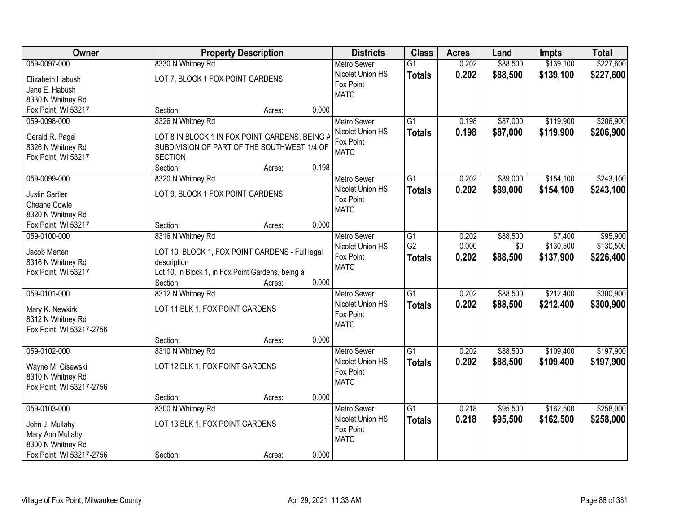| Owner                    |                                                   | <b>Property Description</b> |       |                    | <b>Class</b>    | <b>Acres</b> | Land     | <b>Impts</b> | <b>Total</b> |
|--------------------------|---------------------------------------------------|-----------------------------|-------|--------------------|-----------------|--------------|----------|--------------|--------------|
| 059-0097-000             | 8330 N Whitney Rd                                 |                             |       | <b>Metro Sewer</b> | $\overline{G1}$ | 0.202        | \$88,500 | \$139,100    | \$227,600    |
| Elizabeth Habush         | LOT 7, BLOCK 1 FOX POINT GARDENS                  |                             |       | Nicolet Union HS   | <b>Totals</b>   | 0.202        | \$88,500 | \$139,100    | \$227,600    |
| Jane E. Habush           |                                                   |                             |       | Fox Point          |                 |              |          |              |              |
| 8330 N Whitney Rd        |                                                   |                             |       | <b>MATC</b>        |                 |              |          |              |              |
| Fox Point, WI 53217      | Section:                                          | Acres:                      | 0.000 |                    |                 |              |          |              |              |
| 059-0098-000             | 8326 N Whitney Rd                                 |                             |       | <b>Metro Sewer</b> | $\overline{G1}$ | 0.198        | \$87,000 | \$119,900    | \$206,900    |
|                          |                                                   |                             |       | Nicolet Union HS   | <b>Totals</b>   | 0.198        | \$87,000 | \$119,900    | \$206,900    |
| Gerald R. Pagel          | LOT 8 IN BLOCK 1 IN FOX POINT GARDENS, BEING A    |                             |       | Fox Point          |                 |              |          |              |              |
| 8326 N Whitney Rd        | SUBDIVISION OF PART OF THE SOUTHWEST 1/4 OF       |                             |       | <b>MATC</b>        |                 |              |          |              |              |
| Fox Point, WI 53217      | <b>SECTION</b>                                    |                             |       |                    |                 |              |          |              |              |
|                          | Section:                                          | Acres:                      | 0.198 |                    |                 |              |          |              |              |
| 059-0099-000             | 8320 N Whitney Rd                                 |                             |       | <b>Metro Sewer</b> | G1              | 0.202        | \$89,000 | \$154,100    | \$243,100    |
| <b>Justin Sartler</b>    | LOT 9, BLOCK 1 FOX POINT GARDENS                  |                             |       | Nicolet Union HS   | <b>Totals</b>   | 0.202        | \$89,000 | \$154,100    | \$243,100    |
| Cheane Cowle             |                                                   |                             |       | Fox Point          |                 |              |          |              |              |
| 8320 N Whitney Rd        |                                                   |                             |       | <b>MATC</b>        |                 |              |          |              |              |
| Fox Point, WI 53217      | Section:                                          | Acres:                      | 0.000 |                    |                 |              |          |              |              |
| 059-0100-000             | 8316 N Whitney Rd                                 |                             |       | <b>Metro Sewer</b> | G1              | 0.202        | \$88,500 | \$7,400      | \$95,900     |
|                          |                                                   |                             |       | Nicolet Union HS   | G <sub>2</sub>  | 0.000        | \$0      | \$130,500    | \$130,500    |
| Jacob Merten             | LOT 10, BLOCK 1, FOX POINT GARDENS - Full legal   |                             |       | Fox Point          | <b>Totals</b>   | 0.202        | \$88,500 | \$137,900    | \$226,400    |
| 8316 N Whitney Rd        | description                                       |                             |       | <b>MATC</b>        |                 |              |          |              |              |
| Fox Point, WI 53217      | Lot 10, in Block 1, in Fox Point Gardens, being a |                             |       |                    |                 |              |          |              |              |
|                          | Section:                                          | Acres:                      | 0.000 |                    |                 |              |          |              |              |
| 059-0101-000             | 8312 N Whitney Rd                                 |                             |       | <b>Metro Sewer</b> | $\overline{G1}$ | 0.202        | \$88,500 | \$212,400    | \$300,900    |
| Mary K. Newkirk          | LOT 11 BLK 1, FOX POINT GARDENS                   |                             |       | Nicolet Union HS   | <b>Totals</b>   | 0.202        | \$88,500 | \$212,400    | \$300,900    |
| 8312 N Whitney Rd        |                                                   |                             |       | Fox Point          |                 |              |          |              |              |
| Fox Point, WI 53217-2756 |                                                   |                             |       | <b>MATC</b>        |                 |              |          |              |              |
|                          | Section:                                          | Acres:                      | 0.000 |                    |                 |              |          |              |              |
| 059-0102-000             | 8310 N Whitney Rd                                 |                             |       | Metro Sewer        | $\overline{G1}$ | 0.202        | \$88,500 | \$109,400    | \$197,900    |
| Wayne M. Cisewski        | LOT 12 BLK 1, FOX POINT GARDENS                   |                             |       | Nicolet Union HS   | <b>Totals</b>   | 0.202        | \$88,500 | \$109,400    | \$197,900    |
| 8310 N Whitney Rd        |                                                   |                             |       | Fox Point          |                 |              |          |              |              |
| Fox Point, WI 53217-2756 |                                                   |                             |       | <b>MATC</b>        |                 |              |          |              |              |
|                          | Section:                                          | Acres:                      | 0.000 |                    |                 |              |          |              |              |
| 059-0103-000             | 8300 N Whitney Rd                                 |                             |       | <b>Metro Sewer</b> | $\overline{G1}$ | 0.218        | \$95,500 | \$162,500    | \$258,000    |
|                          |                                                   |                             |       | Nicolet Union HS   | <b>Totals</b>   | 0.218        | \$95,500 | \$162,500    | \$258,000    |
| John J. Mullahy          | LOT 13 BLK 1, FOX POINT GARDENS                   |                             |       | Fox Point          |                 |              |          |              |              |
| Mary Ann Mullahy         |                                                   |                             |       | <b>MATC</b>        |                 |              |          |              |              |
| 8300 N Whitney Rd        |                                                   |                             |       |                    |                 |              |          |              |              |
| Fox Point, WI 53217-2756 | Section:                                          | Acres:                      | 0.000 |                    |                 |              |          |              |              |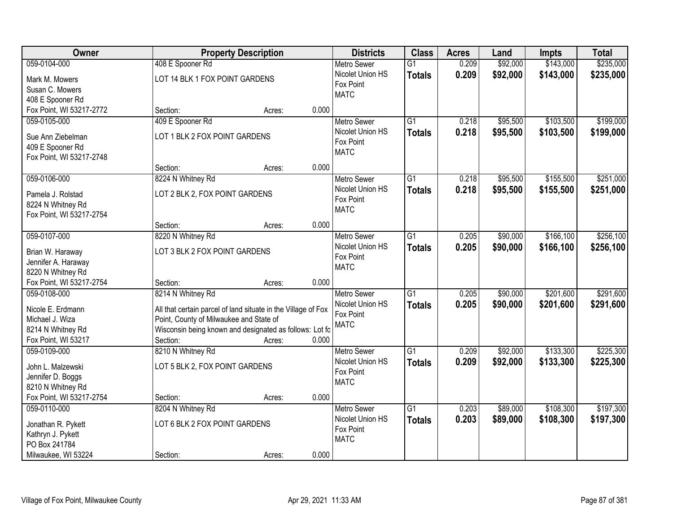| Owner                                         |                                                               | <b>Property Description</b> |                               |                 | <b>Acres</b> | Land     | <b>Impts</b> | <b>Total</b> |
|-----------------------------------------------|---------------------------------------------------------------|-----------------------------|-------------------------------|-----------------|--------------|----------|--------------|--------------|
| 059-0104-000                                  | 408 E Spooner Rd                                              |                             | <b>Metro Sewer</b>            | $\overline{G1}$ | 0.209        | \$92,000 | \$143,000    | \$235,000    |
| Mark M. Mowers                                | LOT 14 BLK 1 FOX POINT GARDENS                                |                             | Nicolet Union HS              | <b>Totals</b>   | 0.209        | \$92,000 | \$143,000    | \$235,000    |
| Susan C. Mowers                               |                                                               |                             | Fox Point                     |                 |              |          |              |              |
| 408 E Spooner Rd                              |                                                               |                             | <b>MATC</b>                   |                 |              |          |              |              |
| Fox Point, WI 53217-2772                      | Section:                                                      | 0.000<br>Acres:             |                               |                 |              |          |              |              |
| 059-0105-000                                  | 409 E Spooner Rd                                              |                             | <b>Metro Sewer</b>            | $\overline{G1}$ | 0.218        | \$95,500 | \$103,500    | \$199,000    |
|                                               |                                                               |                             | Nicolet Union HS              | <b>Totals</b>   | 0.218        | \$95,500 | \$103,500    | \$199,000    |
| Sue Ann Ziebelman                             | LOT 1 BLK 2 FOX POINT GARDENS                                 |                             | Fox Point                     |                 |              |          |              |              |
| 409 E Spooner Rd                              |                                                               |                             | <b>MATC</b>                   |                 |              |          |              |              |
| Fox Point, WI 53217-2748                      |                                                               |                             |                               |                 |              |          |              |              |
|                                               | Section:                                                      | 0.000<br>Acres:             |                               |                 |              |          |              |              |
| 059-0106-000                                  | 8224 N Whitney Rd                                             |                             | Metro Sewer                   | G1              | 0.218        | \$95,500 | \$155,500    | \$251,000    |
| Pamela J. Rolstad                             | LOT 2 BLK 2, FOX POINT GARDENS                                |                             | Nicolet Union HS              | <b>Totals</b>   | 0.218        | \$95,500 | \$155,500    | \$251,000    |
| 8224 N Whitney Rd                             |                                                               |                             | Fox Point                     |                 |              |          |              |              |
| Fox Point, WI 53217-2754                      |                                                               |                             | <b>MATC</b>                   |                 |              |          |              |              |
|                                               | Section:                                                      | 0.000<br>Acres:             |                               |                 |              |          |              |              |
| 059-0107-000                                  | 8220 N Whitney Rd                                             |                             | <b>Metro Sewer</b>            | G1              | 0.205        | \$90,000 | \$166,100    | \$256,100    |
|                                               |                                                               |                             | Nicolet Union HS              | <b>Totals</b>   | 0.205        | \$90,000 | \$166,100    | \$256,100    |
| Brian W. Haraway                              | LOT 3 BLK 2 FOX POINT GARDENS                                 |                             | Fox Point                     |                 |              |          |              |              |
| Jennifer A. Haraway                           |                                                               |                             | <b>MATC</b>                   |                 |              |          |              |              |
| 8220 N Whitney Rd<br>Fox Point, WI 53217-2754 | Section:                                                      | 0.000                       |                               |                 |              |          |              |              |
| 059-0108-000                                  | 8214 N Whitney Rd                                             | Acres:                      |                               | $\overline{G1}$ | 0.205        | \$90,000 | \$201,600    | \$291,600    |
|                                               |                                                               |                             | <b>Metro Sewer</b>            |                 |              |          |              |              |
| Nicole E. Erdmann                             | All that certain parcel of land situate in the Village of Fox |                             | Nicolet Union HS<br>Fox Point | <b>Totals</b>   | 0.205        | \$90,000 | \$201,600    | \$291,600    |
| Michael J. Wiza                               | Point, County of Milwaukee and State of                       |                             | <b>MATC</b>                   |                 |              |          |              |              |
| 8214 N Whitney Rd                             | Wisconsin being known and designated as follows: Lot fo       |                             |                               |                 |              |          |              |              |
| Fox Point, WI 53217                           | Section:                                                      | 0.000<br>Acres:             |                               |                 |              |          |              |              |
| 059-0109-000                                  | 8210 N Whitney Rd                                             |                             | <b>Metro Sewer</b>            | $\overline{G1}$ | 0.209        | \$92,000 | \$133,300    | \$225,300    |
| John L. Malzewski                             | LOT 5 BLK 2, FOX POINT GARDENS                                |                             | Nicolet Union HS              | <b>Totals</b>   | 0.209        | \$92,000 | \$133,300    | \$225,300    |
| Jennifer D. Boggs                             |                                                               |                             | Fox Point                     |                 |              |          |              |              |
| 8210 N Whitney Rd                             |                                                               |                             | <b>MATC</b>                   |                 |              |          |              |              |
| Fox Point, WI 53217-2754                      | Section:                                                      | 0.000<br>Acres:             |                               |                 |              |          |              |              |
| 059-0110-000                                  | 8204 N Whitney Rd                                             |                             | <b>Metro Sewer</b>            | $\overline{G1}$ | 0.203        | \$89,000 | \$108,300    | \$197,300    |
|                                               |                                                               |                             | Nicolet Union HS              | <b>Totals</b>   | 0.203        | \$89,000 | \$108,300    | \$197,300    |
| Jonathan R. Pykett                            | LOT 6 BLK 2 FOX POINT GARDENS                                 |                             | Fox Point                     |                 |              |          |              |              |
| Kathryn J. Pykett                             |                                                               |                             | <b>MATC</b>                   |                 |              |          |              |              |
| PO Box 241784                                 |                                                               |                             |                               |                 |              |          |              |              |
| Milwaukee, WI 53224                           | Section:                                                      | 0.000<br>Acres:             |                               |                 |              |          |              |              |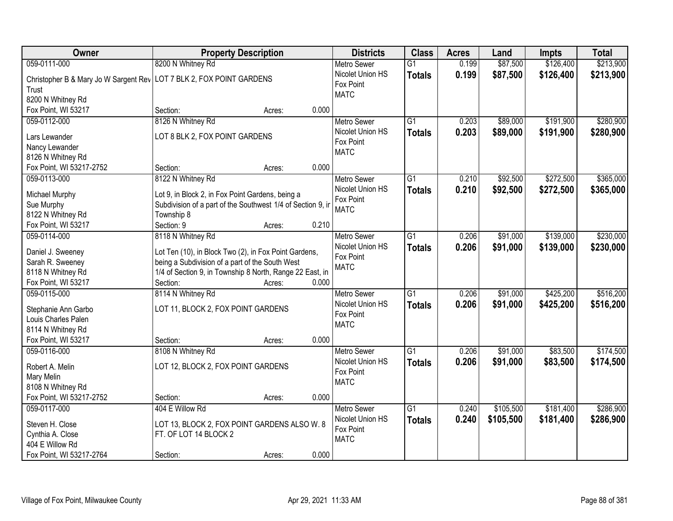| Owner                                                                  | <b>Property Description</b>                                 |        |       | <b>Districts</b>   | <b>Class</b>    | <b>Acres</b> | Land      | <b>Impts</b> | <b>Total</b> |
|------------------------------------------------------------------------|-------------------------------------------------------------|--------|-------|--------------------|-----------------|--------------|-----------|--------------|--------------|
| 059-0111-000                                                           | 8200 N Whitney Rd                                           |        |       | <b>Metro Sewer</b> | $\overline{G1}$ | 0.199        | \$87,500  | \$126,400    | \$213,900    |
| Christopher B & Mary Jo W Sargent Rev   LOT 7 BLK 2, FOX POINT GARDENS |                                                             |        |       | Nicolet Union HS   | <b>Totals</b>   | 0.199        | \$87,500  | \$126,400    | \$213,900    |
| Trust                                                                  |                                                             |        |       | Fox Point          |                 |              |           |              |              |
| 8200 N Whitney Rd                                                      |                                                             |        |       | <b>MATC</b>        |                 |              |           |              |              |
| Fox Point, WI 53217                                                    | Section:                                                    | Acres: | 0.000 |                    |                 |              |           |              |              |
| 059-0112-000                                                           | 8126 N Whitney Rd                                           |        |       | <b>Metro Sewer</b> | $\overline{G1}$ | 0.203        | \$89,000  | \$191,900    | \$280,900    |
|                                                                        |                                                             |        |       | Nicolet Union HS   | <b>Totals</b>   | 0.203        | \$89,000  | \$191,900    | \$280,900    |
| Lars Lewander                                                          | LOT 8 BLK 2, FOX POINT GARDENS                              |        |       | Fox Point          |                 |              |           |              |              |
| Nancy Lewander                                                         |                                                             |        |       | <b>MATC</b>        |                 |              |           |              |              |
| 8126 N Whitney Rd                                                      |                                                             |        |       |                    |                 |              |           |              |              |
| Fox Point, WI 53217-2752                                               | Section:                                                    | Acres: | 0.000 |                    |                 |              |           |              |              |
| 059-0113-000                                                           | 8122 N Whitney Rd                                           |        |       | <b>Metro Sewer</b> | $\overline{G1}$ | 0.210        | \$92,500  | \$272,500    | \$365,000    |
| Michael Murphy                                                         | Lot 9, in Block 2, in Fox Point Gardens, being a            |        |       | Nicolet Union HS   | <b>Totals</b>   | 0.210        | \$92,500  | \$272,500    | \$365,000    |
| Sue Murphy                                                             | Subdivision of a part of the Southwest 1/4 of Section 9, in |        |       | Fox Point          |                 |              |           |              |              |
| 8122 N Whitney Rd                                                      | Township 8                                                  |        |       | <b>MATC</b>        |                 |              |           |              |              |
| Fox Point, WI 53217                                                    | Section: 9                                                  | Acres: | 0.210 |                    |                 |              |           |              |              |
| 059-0114-000                                                           | 8118 N Whitney Rd                                           |        |       | <b>Metro Sewer</b> | G1              | 0.206        | \$91,000  | \$139,000    | \$230,000    |
|                                                                        |                                                             |        |       | Nicolet Union HS   |                 | 0.206        | \$91,000  |              |              |
| Daniel J. Sweeney                                                      | Lot Ten (10), in Block Two (2), in Fox Point Gardens,       |        |       | Fox Point          | <b>Totals</b>   |              |           | \$139,000    | \$230,000    |
| Sarah R. Sweeney                                                       | being a Subdivision of a part of the South West             |        |       | <b>MATC</b>        |                 |              |           |              |              |
| 8118 N Whitney Rd                                                      | 1/4 of Section 9, in Township 8 North, Range 22 East, in    |        |       |                    |                 |              |           |              |              |
| Fox Point, WI 53217                                                    | Section:                                                    | Acres: | 0.000 |                    |                 |              |           |              |              |
| 059-0115-000                                                           | 8114 N Whitney Rd                                           |        |       | Metro Sewer        | $\overline{G1}$ | 0.206        | \$91,000  | \$425,200    | \$516,200    |
|                                                                        |                                                             |        |       | Nicolet Union HS   | <b>Totals</b>   | 0.206        | \$91,000  | \$425,200    | \$516,200    |
| Stephanie Ann Garbo                                                    | LOT 11, BLOCK 2, FOX POINT GARDENS                          |        |       | Fox Point          |                 |              |           |              |              |
| Louis Charles Palen                                                    |                                                             |        |       | <b>MATC</b>        |                 |              |           |              |              |
| 8114 N Whitney Rd                                                      |                                                             |        |       |                    |                 |              |           |              |              |
| Fox Point, WI 53217                                                    | Section:                                                    | Acres: | 0.000 |                    |                 |              |           |              |              |
| 059-0116-000                                                           | 8108 N Whitney Rd                                           |        |       | Metro Sewer        | $\overline{G1}$ | 0.206        | \$91,000  | \$83,500     | \$174,500    |
| Robert A. Melin                                                        | LOT 12, BLOCK 2, FOX POINT GARDENS                          |        |       | Nicolet Union HS   | <b>Totals</b>   | 0.206        | \$91,000  | \$83,500     | \$174,500    |
| Mary Melin                                                             |                                                             |        |       | Fox Point          |                 |              |           |              |              |
| 8108 N Whitney Rd                                                      |                                                             |        |       | <b>MATC</b>        |                 |              |           |              |              |
| Fox Point, WI 53217-2752                                               | Section:                                                    | Acres: | 0.000 |                    |                 |              |           |              |              |
| 059-0117-000                                                           | 404 E Willow Rd                                             |        |       | <b>Metro Sewer</b> | $\overline{G1}$ | 0.240        | \$105,500 | \$181,400    | \$286,900    |
|                                                                        |                                                             |        |       | Nicolet Union HS   | <b>Totals</b>   | 0.240        | \$105,500 | \$181,400    | \$286,900    |
| Steven H. Close                                                        | LOT 13, BLOCK 2, FOX POINT GARDENS ALSO W. 8                |        |       | Fox Point          |                 |              |           |              |              |
| Cynthia A. Close                                                       | FT. OF LOT 14 BLOCK 2                                       |        |       | <b>MATC</b>        |                 |              |           |              |              |
| 404 E Willow Rd                                                        |                                                             |        |       |                    |                 |              |           |              |              |
| Fox Point, WI 53217-2764                                               | Section:                                                    | Acres: | 0.000 |                    |                 |              |           |              |              |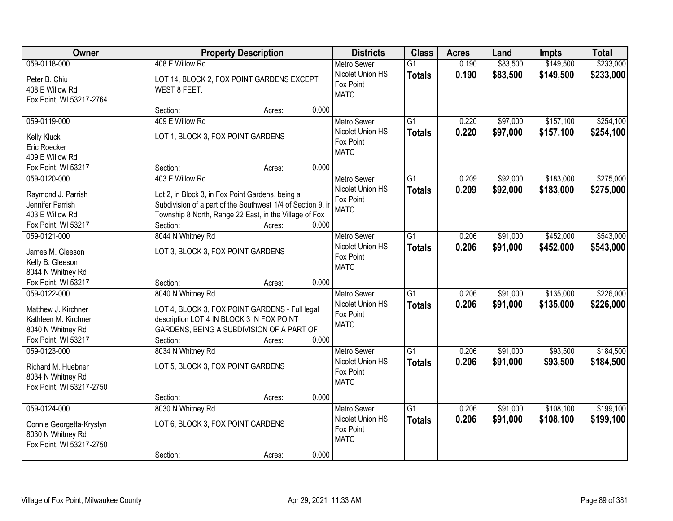| Owner                                                                                                   | <b>Property Description</b>                                                                                                                                                                                                 | <b>Districts</b>                                                   | <b>Class</b>                     | <b>Acres</b>   | Land                 | <b>Impts</b>           | <b>Total</b>           |
|---------------------------------------------------------------------------------------------------------|-----------------------------------------------------------------------------------------------------------------------------------------------------------------------------------------------------------------------------|--------------------------------------------------------------------|----------------------------------|----------------|----------------------|------------------------|------------------------|
| 059-0118-000<br>Peter B. Chiu<br>408 E Willow Rd<br>Fox Point, WI 53217-2764                            | 408 E Willow Rd<br>LOT 14, BLOCK 2, FOX POINT GARDENS EXCEPT<br>WEST 8 FEET.                                                                                                                                                | <b>Metro Sewer</b><br>Nicolet Union HS<br>Fox Point<br><b>MATC</b> | $\overline{G1}$<br><b>Totals</b> | 0.190<br>0.190 | \$83,500<br>\$83,500 | \$149,500<br>\$149,500 | \$233,000<br>\$233,000 |
|                                                                                                         | 0.000<br>Section:<br>Acres:                                                                                                                                                                                                 |                                                                    |                                  |                |                      |                        |                        |
| 059-0119-000<br>Kelly Kluck<br>Eric Roecker<br>409 E Willow Rd                                          | 409 E Willow Rd<br>LOT 1, BLOCK 3, FOX POINT GARDENS                                                                                                                                                                        | <b>Metro Sewer</b><br>Nicolet Union HS<br>Fox Point<br><b>MATC</b> | $\overline{G1}$<br><b>Totals</b> | 0.220<br>0.220 | \$97,000<br>\$97,000 | \$157,100<br>\$157,100 | \$254,100<br>\$254,100 |
| Fox Point, WI 53217                                                                                     | 0.000<br>Section:<br>Acres:                                                                                                                                                                                                 |                                                                    |                                  |                |                      |                        |                        |
| 059-0120-000<br>Raymond J. Parrish<br>Jennifer Parrish<br>403 E Willow Rd<br>Fox Point, WI 53217        | 403 E Willow Rd<br>Lot 2, in Block 3, in Fox Point Gardens, being a<br>Subdivision of a part of the Southwest 1/4 of Section 9, in<br>Township 8 North, Range 22 East, in the Village of Fox<br>0.000<br>Section:<br>Acres: | <b>Metro Sewer</b><br>Nicolet Union HS<br>Fox Point<br><b>MATC</b> | G1<br><b>Totals</b>              | 0.209<br>0.209 | \$92,000<br>\$92,000 | \$183,000<br>\$183,000 | \$275,000<br>\$275,000 |
| 059-0121-000<br>James M. Gleeson<br>Kelly B. Gleeson<br>8044 N Whitney Rd                               | 8044 N Whitney Rd<br>LOT 3, BLOCK 3, FOX POINT GARDENS                                                                                                                                                                      | <b>Metro Sewer</b><br>Nicolet Union HS<br>Fox Point<br><b>MATC</b> | G1<br><b>Totals</b>              | 0.206<br>0.206 | \$91,000<br>\$91,000 | \$452,000<br>\$452,000 | \$543,000<br>\$543,000 |
| Fox Point, WI 53217                                                                                     | 0.000<br>Section:<br>Acres:                                                                                                                                                                                                 |                                                                    |                                  |                |                      |                        |                        |
| 059-0122-000<br>Matthew J. Kirchner<br>Kathleen M. Kirchner<br>8040 N Whitney Rd<br>Fox Point, WI 53217 | 8040 N Whitney Rd<br>LOT 4, BLOCK 3, FOX POINT GARDENS - Full legal<br>description LOT 4 IN BLOCK 3 IN FOX POINT<br>GARDENS, BEING A SUBDIVISION OF A PART OF<br>0.000<br>Section:<br>Acres:                                | <b>Metro Sewer</b><br>Nicolet Union HS<br>Fox Point<br><b>MATC</b> | $\overline{G1}$<br><b>Totals</b> | 0.206<br>0.206 | \$91,000<br>\$91,000 | \$135,000<br>\$135,000 | \$226,000<br>\$226,000 |
| 059-0123-000<br>Richard M. Huebner<br>8034 N Whitney Rd<br>Fox Point, WI 53217-2750                     | 8034 N Whitney Rd<br>LOT 5, BLOCK 3, FOX POINT GARDENS<br>0.000<br>Section:<br>Acres:                                                                                                                                       | <b>Metro Sewer</b><br>Nicolet Union HS<br>Fox Point<br><b>MATC</b> | $\overline{G1}$<br><b>Totals</b> | 0.206<br>0.206 | \$91,000<br>\$91,000 | \$93,500<br>\$93,500   | \$184,500<br>\$184,500 |
| 059-0124-000<br>Connie Georgetta-Krystyn<br>8030 N Whitney Rd<br>Fox Point, WI 53217-2750               | 8030 N Whitney Rd<br>LOT 6, BLOCK 3, FOX POINT GARDENS<br>0.000<br>Section:<br>Acres:                                                                                                                                       | <b>Metro Sewer</b><br>Nicolet Union HS<br>Fox Point<br><b>MATC</b> | $\overline{G1}$<br><b>Totals</b> | 0.206<br>0.206 | \$91,000<br>\$91,000 | \$108,100<br>\$108,100 | \$199,100<br>\$199,100 |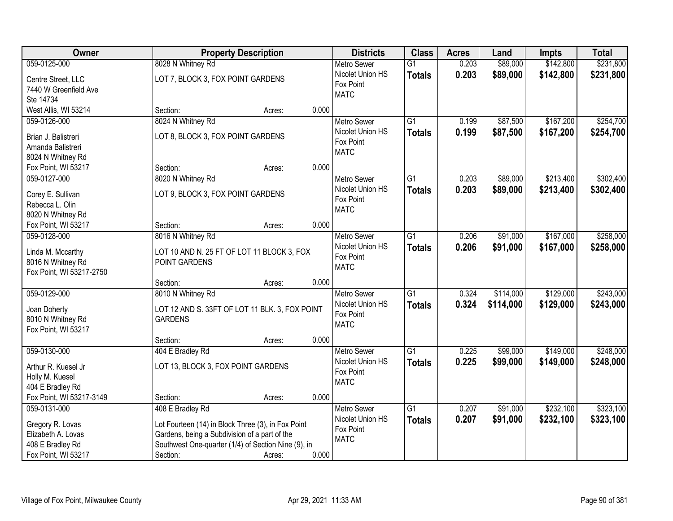| Owner                                        |                                                     | <b>Property Description</b> |       | <b>Districts</b>                       | <b>Class</b>    | <b>Acres</b> | Land      | Impts     | <b>Total</b> |
|----------------------------------------------|-----------------------------------------------------|-----------------------------|-------|----------------------------------------|-----------------|--------------|-----------|-----------|--------------|
| 059-0125-000                                 | 8028 N Whitney Rd                                   |                             |       | <b>Metro Sewer</b>                     | $\overline{G1}$ | 0.203        | \$89,000  | \$142,800 | \$231,800    |
| Centre Street, LLC                           | LOT 7, BLOCK 3, FOX POINT GARDENS                   |                             |       | Nicolet Union HS                       | <b>Totals</b>   | 0.203        | \$89,000  | \$142,800 | \$231,800    |
| 7440 W Greenfield Ave                        |                                                     |                             |       | Fox Point                              |                 |              |           |           |              |
| Ste 14734                                    |                                                     |                             |       | <b>MATC</b>                            |                 |              |           |           |              |
| West Allis, WI 53214                         | Section:                                            | Acres:                      | 0.000 |                                        |                 |              |           |           |              |
| 059-0126-000                                 | 8024 N Whitney Rd                                   |                             |       | <b>Metro Sewer</b>                     | $\overline{G1}$ | 0.199        | \$87,500  | \$167,200 | \$254,700    |
| Brian J. Balistreri                          | LOT 8, BLOCK 3, FOX POINT GARDENS                   |                             |       | Nicolet Union HS                       | <b>Totals</b>   | 0.199        | \$87,500  | \$167,200 | \$254,700    |
| Amanda Balistreri                            |                                                     |                             |       | Fox Point                              |                 |              |           |           |              |
| 8024 N Whitney Rd                            |                                                     |                             |       | <b>MATC</b>                            |                 |              |           |           |              |
| Fox Point, WI 53217                          | Section:                                            | Acres:                      | 0.000 |                                        |                 |              |           |           |              |
| 059-0127-000                                 | 8020 N Whitney Rd                                   |                             |       | <b>Metro Sewer</b>                     | $\overline{G1}$ | 0.203        | \$89,000  | \$213,400 | \$302,400    |
|                                              |                                                     |                             |       | Nicolet Union HS                       | Totals          | 0.203        | \$89,000  | \$213,400 | \$302,400    |
| Corey E. Sullivan                            | LOT 9, BLOCK 3, FOX POINT GARDENS                   |                             |       | Fox Point                              |                 |              |           |           |              |
| Rebecca L. Olin                              |                                                     |                             |       | <b>MATC</b>                            |                 |              |           |           |              |
| 8020 N Whitney Rd                            |                                                     |                             |       |                                        |                 |              |           |           |              |
| Fox Point, WI 53217                          | Section:                                            | Acres:                      | 0.000 |                                        |                 |              |           |           |              |
| 059-0128-000                                 | 8016 N Whitney Rd                                   |                             |       | <b>Metro Sewer</b>                     | $\overline{G1}$ | 0.206        | \$91,000  | \$167,000 | \$258,000    |
| Linda M. Mccarthy                            | LOT 10 AND N. 25 FT OF LOT 11 BLOCK 3, FOX          |                             |       | Nicolet Union HS<br>Fox Point          | <b>Totals</b>   | 0.206        | \$91,000  | \$167,000 | \$258,000    |
| 8016 N Whitney Rd                            | POINT GARDENS                                       |                             |       | <b>MATC</b>                            |                 |              |           |           |              |
| Fox Point, WI 53217-2750                     |                                                     |                             |       |                                        |                 |              |           |           |              |
|                                              | Section:                                            | Acres:                      | 0.000 |                                        |                 |              |           |           |              |
| 059-0129-000                                 | 8010 N Whitney Rd                                   |                             |       | <b>Metro Sewer</b>                     | $\overline{G1}$ | 0.324        | \$114,000 | \$129,000 | \$243,000    |
| Joan Doherty                                 | LOT 12 AND S. 33FT OF LOT 11 BLK. 3, FOX POINT      |                             |       | Nicolet Union HS                       | Totals          | 0.324        | \$114,000 | \$129,000 | \$243,000    |
| 8010 N Whitney Rd                            | <b>GARDENS</b>                                      |                             |       | Fox Point                              |                 |              |           |           |              |
| Fox Point, WI 53217                          |                                                     |                             |       | <b>MATC</b>                            |                 |              |           |           |              |
|                                              | Section:                                            | Acres:                      | 0.000 |                                        |                 |              |           |           |              |
| 059-0130-000                                 | 404 E Bradley Rd                                    |                             |       | Metro Sewer                            | $\overline{G1}$ | 0.225        | \$99,000  | \$149,000 | \$248,000    |
|                                              |                                                     |                             |       | Nicolet Union HS                       | <b>Totals</b>   | 0.225        | \$99,000  | \$149,000 | \$248,000    |
| Arthur R. Kuesel Jr                          | LOT 13, BLOCK 3, FOX POINT GARDENS                  |                             |       | Fox Point                              |                 |              |           |           |              |
| Holly M. Kuesel                              |                                                     |                             |       | <b>MATC</b>                            |                 |              |           |           |              |
| 404 E Bradley Rd<br>Fox Point, WI 53217-3149 |                                                     |                             | 0.000 |                                        |                 |              |           |           |              |
| 059-0131-000                                 | Section:                                            | Acres:                      |       |                                        |                 |              |           | \$232,100 | \$323,100    |
|                                              | 408 E Bradley Rd                                    |                             |       | <b>Metro Sewer</b><br>Nicolet Union HS | $\overline{G1}$ | 0.207        | \$91,000  |           |              |
| Gregory R. Lovas                             | Lot Fourteen (14) in Block Three (3), in Fox Point  |                             |       | Fox Point                              | <b>Totals</b>   | 0.207        | \$91,000  | \$232,100 | \$323,100    |
| Elizabeth A. Lovas                           | Gardens, being a Subdivision of a part of the       |                             |       | <b>MATC</b>                            |                 |              |           |           |              |
| 408 E Bradley Rd                             | Southwest One-quarter (1/4) of Section Nine (9), in |                             |       |                                        |                 |              |           |           |              |
| Fox Point, WI 53217                          | Section:                                            | Acres:                      | 0.000 |                                        |                 |              |           |           |              |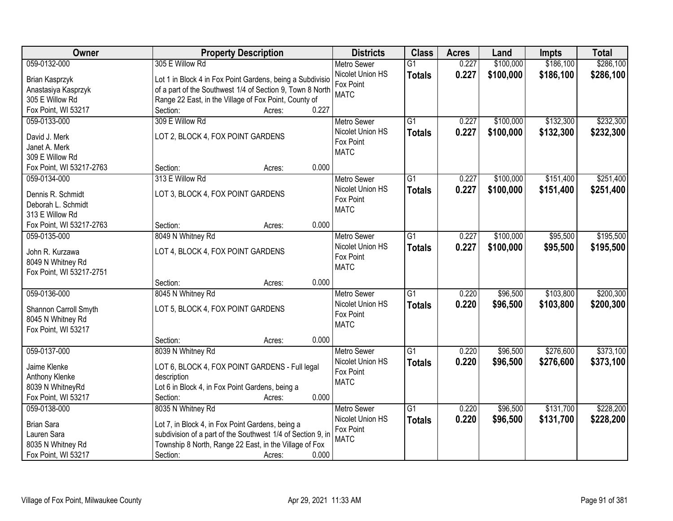| Owner                                         | <b>Property Description</b>                                 | <b>Districts</b>         | <b>Class</b>    | <b>Acres</b> | Land      | <b>Impts</b> | <b>Total</b> |
|-----------------------------------------------|-------------------------------------------------------------|--------------------------|-----------------|--------------|-----------|--------------|--------------|
| 059-0132-000                                  | 305 E Willow Rd                                             | <b>Metro Sewer</b>       | $\overline{G1}$ | 0.227        | \$100,000 | \$186,100    | \$286,100    |
| Brian Kasprzyk                                | Lot 1 in Block 4 in Fox Point Gardens, being a Subdivisio   | Nicolet Union HS         | <b>Totals</b>   | 0.227        | \$100,000 | \$186,100    | \$286,100    |
| Anastasiya Kasprzyk                           | of a part of the Southwest 1/4 of Section 9, Town 8 North   | Fox Point                |                 |              |           |              |              |
| 305 E Willow Rd                               | Range 22 East, in the Village of Fox Point, County of       | <b>MATC</b>              |                 |              |           |              |              |
| Fox Point, WI 53217                           | 0.227<br>Section:<br>Acres:                                 |                          |                 |              |           |              |              |
| 059-0133-000                                  | 309 E Willow Rd                                             | <b>Metro Sewer</b>       | $\overline{G1}$ | 0.227        | \$100,000 | \$132,300    | \$232,300    |
|                                               |                                                             | Nicolet Union HS         | <b>Totals</b>   | 0.227        | \$100,000 | \$132,300    | \$232,300    |
| David J. Merk                                 | LOT 2, BLOCK 4, FOX POINT GARDENS                           | Fox Point                |                 |              |           |              |              |
| Janet A. Merk                                 |                                                             | <b>MATC</b>              |                 |              |           |              |              |
| 309 E Willow Rd                               | 0.000                                                       |                          |                 |              |           |              |              |
| Fox Point, WI 53217-2763                      | Section:<br>Acres:                                          |                          |                 |              |           |              |              |
| 059-0134-000                                  | 313 E Willow Rd                                             | Metro Sewer              | $\overline{G1}$ | 0.227        | \$100,000 | \$151,400    | \$251,400    |
| Dennis R. Schmidt                             | LOT 3, BLOCK 4, FOX POINT GARDENS                           | Nicolet Union HS         | <b>Totals</b>   | 0.227        | \$100,000 | \$151,400    | \$251,400    |
| Deborah L. Schmidt                            |                                                             | Fox Point<br><b>MATC</b> |                 |              |           |              |              |
| 313 E Willow Rd                               |                                                             |                          |                 |              |           |              |              |
| Fox Point, WI 53217-2763                      | 0.000<br>Section:<br>Acres:                                 |                          |                 |              |           |              |              |
| 059-0135-000                                  | 8049 N Whitney Rd                                           | <b>Metro Sewer</b>       | $\overline{G1}$ | 0.227        | \$100,000 | \$95,500     | \$195,500    |
|                                               |                                                             | Nicolet Union HS         | <b>Totals</b>   | 0.227        | \$100,000 | \$95,500     | \$195,500    |
| John R. Kurzawa                               | LOT 4, BLOCK 4, FOX POINT GARDENS                           | Fox Point                |                 |              |           |              |              |
| 8049 N Whitney Rd<br>Fox Point, WI 53217-2751 |                                                             | <b>MATC</b>              |                 |              |           |              |              |
|                                               | 0.000<br>Section:<br>Acres:                                 |                          |                 |              |           |              |              |
| 059-0136-000                                  | 8045 N Whitney Rd                                           | <b>Metro Sewer</b>       | $\overline{G1}$ | 0.220        | \$96,500  | \$103,800    | \$200,300    |
|                                               |                                                             | Nicolet Union HS         |                 |              |           |              |              |
| Shannon Carroll Smyth                         | LOT 5, BLOCK 4, FOX POINT GARDENS                           | Fox Point                | <b>Totals</b>   | 0.220        | \$96,500  | \$103,800    | \$200,300    |
| 8045 N Whitney Rd                             |                                                             | <b>MATC</b>              |                 |              |           |              |              |
| Fox Point, WI 53217                           |                                                             |                          |                 |              |           |              |              |
|                                               | 0.000<br>Section:<br>Acres:                                 |                          |                 |              |           |              |              |
| 059-0137-000                                  | 8039 N Whitney Rd                                           | Metro Sewer              | $\overline{G1}$ | 0.220        | \$96,500  | \$276,600    | \$373,100    |
| Jaime Klenke                                  | LOT 6, BLOCK 4, FOX POINT GARDENS - Full legal              | Nicolet Union HS         | <b>Totals</b>   | 0.220        | \$96,500  | \$276,600    | \$373,100    |
| Anthony Klenke                                | description                                                 | Fox Point                |                 |              |           |              |              |
| 8039 N WhitneyRd                              | Lot 6 in Block 4, in Fox Point Gardens, being a             | <b>MATC</b>              |                 |              |           |              |              |
| Fox Point, WI 53217                           | 0.000<br>Section:<br>Acres:                                 |                          |                 |              |           |              |              |
| 059-0138-000                                  | 8035 N Whitney Rd                                           | <b>Metro Sewer</b>       | $\overline{G1}$ | 0.220        | \$96,500  | \$131,700    | \$228,200    |
|                                               |                                                             | Nicolet Union HS         | <b>Totals</b>   | 0.220        | \$96,500  | \$131,700    | \$228,200    |
| <b>Brian Sara</b>                             | Lot 7, in Block 4, in Fox Point Gardens, being a            | Fox Point                |                 |              |           |              |              |
| Lauren Sara                                   | subdivision of a part of the Southwest 1/4 of Section 9, in | <b>MATC</b>              |                 |              |           |              |              |
| 8035 N Whitney Rd                             | Township 8 North, Range 22 East, in the Village of Fox      |                          |                 |              |           |              |              |
| Fox Point, WI 53217                           | 0.000<br>Section:<br>Acres:                                 |                          |                 |              |           |              |              |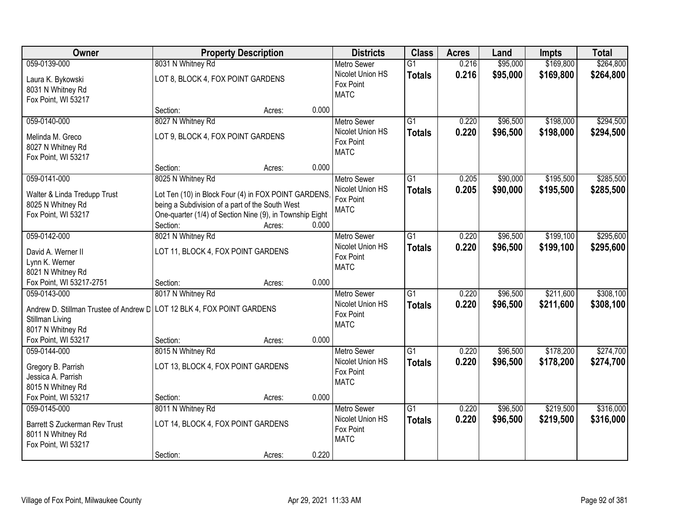| Owner                                                                                            | <b>Property Description</b>                                                                                                                                                                                            | <b>Districts</b>                                                   | <b>Class</b>                     | <b>Acres</b>   | Land                 | <b>Impts</b>           | <b>Total</b>           |
|--------------------------------------------------------------------------------------------------|------------------------------------------------------------------------------------------------------------------------------------------------------------------------------------------------------------------------|--------------------------------------------------------------------|----------------------------------|----------------|----------------------|------------------------|------------------------|
| 059-0139-000                                                                                     | 8031 N Whitney Rd                                                                                                                                                                                                      | <b>Metro Sewer</b>                                                 | $\overline{G1}$                  | 0.216          | \$95,000             | \$169,800              | \$264,800              |
| Laura K. Bykowski<br>8031 N Whitney Rd<br>Fox Point, WI 53217                                    | LOT 8, BLOCK 4, FOX POINT GARDENS                                                                                                                                                                                      | Nicolet Union HS<br>Fox Point<br><b>MATC</b>                       | <b>Totals</b>                    | 0.216          | \$95,000             | \$169,800              | \$264,800              |
|                                                                                                  | 0.000<br>Section:<br>Acres:                                                                                                                                                                                            |                                                                    |                                  |                |                      |                        |                        |
| 059-0140-000<br>Melinda M. Greco<br>8027 N Whitney Rd<br>Fox Point, WI 53217                     | 8027 N Whitney Rd<br>LOT 9, BLOCK 4, FOX POINT GARDENS                                                                                                                                                                 | <b>Metro Sewer</b><br>Nicolet Union HS<br>Fox Point<br><b>MATC</b> | $\overline{G1}$<br><b>Totals</b> | 0.220<br>0.220 | \$96,500<br>\$96,500 | \$198,000<br>\$198,000 | \$294,500<br>\$294,500 |
|                                                                                                  | 0.000<br>Section:<br>Acres:                                                                                                                                                                                            |                                                                    |                                  |                |                      |                        |                        |
| 059-0141-000<br>Walter & Linda Tredupp Trust<br>8025 N Whitney Rd<br>Fox Point, WI 53217         | 8025 N Whitney Rd<br>Lot Ten (10) in Block Four (4) in FOX POINT GARDENS<br>being a Subdivision of a part of the South West<br>One-quarter (1/4) of Section Nine (9), in Township Eight<br>0.000<br>Section:<br>Acres: | Metro Sewer<br>Nicolet Union HS<br>Fox Point<br><b>MATC</b>        | $\overline{G1}$<br><b>Totals</b> | 0.205<br>0.205 | \$90,000<br>\$90,000 | \$195,500<br>\$195,500 | \$285,500<br>\$285,500 |
| 059-0142-000                                                                                     | 8021 N Whitney Rd                                                                                                                                                                                                      | <b>Metro Sewer</b>                                                 | $\overline{G1}$                  | 0.220          | \$96,500             | \$199,100              | \$295,600              |
| David A. Werner II<br>Lynn K. Werner<br>8021 N Whitney Rd                                        | LOT 11, BLOCK 4, FOX POINT GARDENS                                                                                                                                                                                     | Nicolet Union HS<br>Fox Point<br><b>MATC</b>                       | <b>Totals</b>                    | 0.220          | \$96,500             | \$199,100              | \$295,600              |
| Fox Point, WI 53217-2751                                                                         | 0.000<br>Section:<br>Acres:                                                                                                                                                                                            |                                                                    |                                  |                |                      |                        |                        |
| 059-0143-000<br>Stillman Living<br>8017 N Whitney Rd                                             | 8017 N Whitney Rd<br>Andrew D. Stillman Trustee of Andrew D LOT 12 BLK 4, FOX POINT GARDENS                                                                                                                            | <b>Metro Sewer</b><br>Nicolet Union HS<br>Fox Point<br><b>MATC</b> | $\overline{G1}$<br><b>Totals</b> | 0.220<br>0.220 | \$96,500<br>\$96,500 | \$211,600<br>\$211,600 | \$308,100<br>\$308,100 |
| Fox Point, WI 53217                                                                              | Section:<br>0.000<br>Acres:                                                                                                                                                                                            |                                                                    |                                  |                |                      |                        |                        |
| 059-0144-000<br>Gregory B. Parrish<br>Jessica A. Parrish<br>8015 N Whitney Rd                    | 8015 N Whitney Rd<br>LOT 13, BLOCK 4, FOX POINT GARDENS                                                                                                                                                                | <b>Metro Sewer</b><br>Nicolet Union HS<br>Fox Point<br><b>MATC</b> | $\overline{G1}$<br><b>Totals</b> | 0.220<br>0.220 | \$96,500<br>\$96,500 | \$178,200<br>\$178,200 | \$274,700<br>\$274,700 |
| Fox Point, WI 53217                                                                              | 0.000<br>Section:<br>Acres:                                                                                                                                                                                            |                                                                    |                                  |                |                      |                        |                        |
| 059-0145-000<br><b>Barrett S Zuckerman Rev Trust</b><br>8011 N Whitney Rd<br>Fox Point, WI 53217 | 8011 N Whitney Rd<br>LOT 14, BLOCK 4, FOX POINT GARDENS                                                                                                                                                                | <b>Metro Sewer</b><br>Nicolet Union HS<br>Fox Point<br><b>MATC</b> | $\overline{G1}$<br><b>Totals</b> | 0.220<br>0.220 | \$96,500<br>\$96,500 | \$219,500<br>\$219,500 | \$316,000<br>\$316,000 |
|                                                                                                  | 0.220<br>Section:<br>Acres:                                                                                                                                                                                            |                                                                    |                                  |                |                      |                        |                        |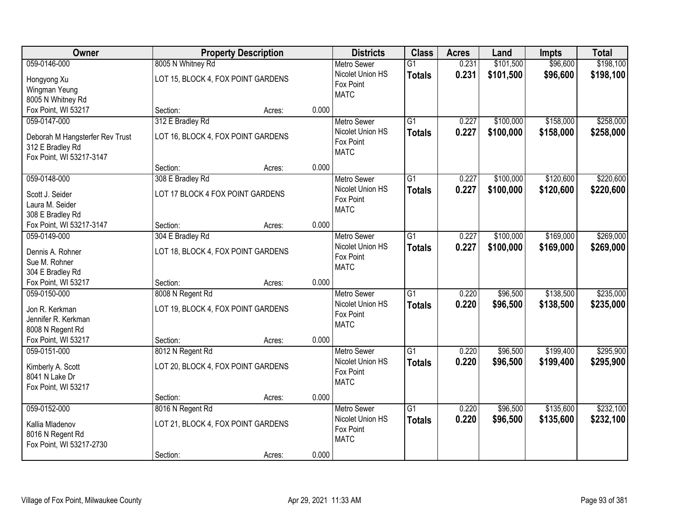| Owner                           |                                    | <b>Property Description</b> |           | <b>Districts</b>              | <b>Class</b>    | <b>Acres</b> | Land      | <b>Impts</b> | <b>Total</b> |
|---------------------------------|------------------------------------|-----------------------------|-----------|-------------------------------|-----------------|--------------|-----------|--------------|--------------|
| 059-0146-000                    | 8005 N Whitney Rd                  |                             |           | <b>Metro Sewer</b>            | $\overline{G1}$ | 0.231        | \$101,500 | \$96,600     | \$198,100    |
| Hongyong Xu                     | LOT 15, BLOCK 4, FOX POINT GARDENS |                             |           | Nicolet Union HS<br>Fox Point | <b>Totals</b>   | 0.231        | \$101,500 | \$96,600     | \$198,100    |
| Wingman Yeung                   |                                    |                             |           | <b>MATC</b>                   |                 |              |           |              |              |
| 8005 N Whitney Rd               |                                    |                             |           |                               |                 |              |           |              |              |
| Fox Point, WI 53217             | Section:                           | Acres:                      | 0.000     |                               |                 |              |           |              |              |
| 059-0147-000                    | 312 E Bradley Rd                   |                             |           | <b>Metro Sewer</b>            | $\overline{G1}$ | 0.227        | \$100,000 | \$158,000    | \$258,000    |
| Deborah M Hangsterfer Rev Trust | LOT 16, BLOCK 4, FOX POINT GARDENS |                             |           | Nicolet Union HS              | <b>Totals</b>   | 0.227        | \$100,000 | \$158,000    | \$258,000    |
| 312 E Bradley Rd                |                                    |                             |           | Fox Point                     |                 |              |           |              |              |
| Fox Point, WI 53217-3147        |                                    |                             |           | <b>MATC</b>                   |                 |              |           |              |              |
|                                 | Section:                           | Acres:                      | 0.000     |                               |                 |              |           |              |              |
| 059-0148-000                    | 308 E Bradley Rd                   |                             |           | Metro Sewer                   | $\overline{G1}$ | 0.227        | \$100,000 | \$120,600    | \$220,600    |
| Scott J. Seider                 | LOT 17 BLOCK 4 FOX POINT GARDENS   |                             |           | Nicolet Union HS              | <b>Totals</b>   | 0.227        | \$100,000 | \$120,600    | \$220,600    |
| Laura M. Seider                 |                                    |                             |           | Fox Point                     |                 |              |           |              |              |
| 308 E Bradley Rd                |                                    |                             |           | <b>MATC</b>                   |                 |              |           |              |              |
| Fox Point, WI 53217-3147        | Section:                           | Acres:                      | 0.000     |                               |                 |              |           |              |              |
| 059-0149-000                    | 304 E Bradley Rd                   |                             |           | <b>Metro Sewer</b>            | $\overline{G1}$ | 0.227        | \$100,000 | \$169,000    | \$269,000    |
|                                 |                                    |                             |           | Nicolet Union HS              | <b>Totals</b>   | 0.227        | \$100,000 | \$169,000    | \$269,000    |
| Dennis A. Rohner                | LOT 18, BLOCK 4, FOX POINT GARDENS |                             |           | Fox Point                     |                 |              |           |              |              |
| Sue M. Rohner                   |                                    |                             |           | <b>MATC</b>                   |                 |              |           |              |              |
| 304 E Bradley Rd                |                                    |                             |           |                               |                 |              |           |              |              |
| Fox Point, WI 53217             | Section:                           | Acres:                      | 0.000     |                               |                 |              |           |              |              |
| 059-0150-000                    | 8008 N Regent Rd                   |                             |           | Metro Sewer                   | $\overline{G1}$ | 0.220        | \$96,500  | \$138,500    | \$235,000    |
| Jon R. Kerkman                  | LOT 19, BLOCK 4, FOX POINT GARDENS |                             |           | Nicolet Union HS              | <b>Totals</b>   | 0.220        | \$96,500  | \$138,500    | \$235,000    |
| Jennifer R. Kerkman             |                                    |                             |           | Fox Point<br><b>MATC</b>      |                 |              |           |              |              |
| 8008 N Regent Rd                |                                    |                             |           |                               |                 |              |           |              |              |
| Fox Point, WI 53217             | Section:                           | Acres:                      | 0.000     |                               |                 |              |           |              |              |
| 059-0151-000                    | 8012 N Regent Rd                   |                             |           | <b>Metro Sewer</b>            | $\overline{G1}$ | 0.220        | \$96,500  | \$199,400    | \$295,900    |
| Kimberly A. Scott               | LOT 20, BLOCK 4, FOX POINT GARDENS |                             |           | Nicolet Union HS              | <b>Totals</b>   | 0.220        | \$96,500  | \$199,400    | \$295,900    |
| 8041 N Lake Dr                  |                                    |                             |           | Fox Point                     |                 |              |           |              |              |
| Fox Point, WI 53217             |                                    |                             |           | <b>MATC</b>                   |                 |              |           |              |              |
|                                 | Section:                           | Acres:                      | 0.000     |                               |                 |              |           |              |              |
| 059-0152-000                    | 8016 N Regent Rd                   |                             |           | Metro Sewer                   | $\overline{G1}$ | 0.220        | \$96,500  | \$135,600    | \$232,100    |
|                                 |                                    |                             |           | Nicolet Union HS              | <b>Totals</b>   | 0.220        | \$96,500  | \$135,600    | \$232,100    |
| Kallia Mladenov                 | LOT 21, BLOCK 4, FOX POINT GARDENS |                             | Fox Point |                               |                 |              |           |              |              |
| 8016 N Regent Rd                |                                    |                             |           | <b>MATC</b>                   |                 |              |           |              |              |
| Fox Point, WI 53217-2730        |                                    |                             |           |                               |                 |              |           |              |              |
|                                 | Section:                           | Acres:                      | 0.000     |                               |                 |              |           |              |              |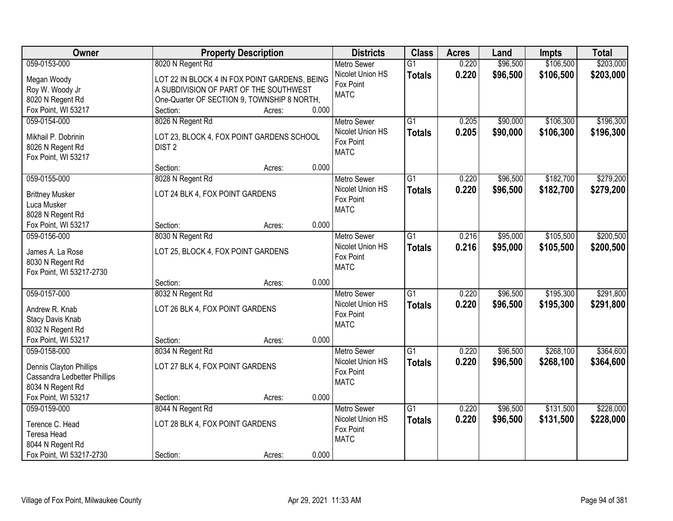| Owner                                   |                                                                | <b>Property Description</b> |       | <b>Districts</b>                       | <b>Class</b>    | <b>Acres</b> | Land     | <b>Impts</b> | <b>Total</b> |
|-----------------------------------------|----------------------------------------------------------------|-----------------------------|-------|----------------------------------------|-----------------|--------------|----------|--------------|--------------|
| 059-0153-000                            | 8020 N Regent Rd                                               |                             |       | <b>Metro Sewer</b>                     | $\overline{G1}$ | 0.220        | \$96,500 | \$106,500    | \$203,000    |
| Megan Woody                             | LOT 22 IN BLOCK 4 IN FOX POINT GARDENS, BEING                  |                             |       | Nicolet Union HS                       | <b>Totals</b>   | 0.220        | \$96,500 | \$106,500    | \$203,000    |
| Roy W. Woody Jr                         | A SUBDIVISION OF PART OF THE SOUTHWEST                         |                             |       | Fox Point                              |                 |              |          |              |              |
| 8020 N Regent Rd                        | One-Quarter OF SECTION 9, TOWNSHIP 8 NORTH,                    |                             |       | <b>MATC</b>                            |                 |              |          |              |              |
| Fox Point, WI 53217                     | Section:                                                       | Acres:                      | 0.000 |                                        |                 |              |          |              |              |
| 059-0154-000                            | 8026 N Regent Rd                                               |                             |       | <b>Metro Sewer</b>                     | $\overline{G1}$ | 0.205        | \$90,000 | \$106,300    | \$196,300    |
| Mikhail P. Dobrinin                     |                                                                |                             |       | Nicolet Union HS                       | <b>Totals</b>   | 0.205        | \$90,000 | \$106,300    | \$196,300    |
| 8026 N Regent Rd                        | LOT 23, BLOCK 4, FOX POINT GARDENS SCHOOL<br>DIST <sub>2</sub> |                             |       | Fox Point                              |                 |              |          |              |              |
| Fox Point, WI 53217                     |                                                                |                             |       | <b>MATC</b>                            |                 |              |          |              |              |
|                                         | Section:                                                       | Acres:                      | 0.000 |                                        |                 |              |          |              |              |
| 059-0155-000                            | 8028 N Regent Rd                                               |                             |       | <b>Metro Sewer</b>                     | $\overline{G1}$ | 0.220        | \$96,500 | \$182,700    | \$279,200    |
|                                         |                                                                |                             |       | Nicolet Union HS                       | <b>Totals</b>   | 0.220        | \$96,500 | \$182,700    | \$279,200    |
| <b>Brittney Musker</b>                  | LOT 24 BLK 4, FOX POINT GARDENS                                |                             |       | Fox Point                              |                 |              |          |              |              |
| Luca Musker                             |                                                                |                             |       | <b>MATC</b>                            |                 |              |          |              |              |
| 8028 N Regent Rd                        |                                                                |                             | 0.000 |                                        |                 |              |          |              |              |
| Fox Point, WI 53217                     | Section:                                                       | Acres:                      |       |                                        |                 |              |          |              |              |
| 059-0156-000                            | 8030 N Regent Rd                                               |                             |       | <b>Metro Sewer</b><br>Nicolet Union HS | G1              | 0.216        | \$95,000 | \$105,500    | \$200,500    |
| James A. La Rose                        | LOT 25, BLOCK 4, FOX POINT GARDENS                             |                             |       | Fox Point                              | <b>Totals</b>   | 0.216        | \$95,000 | \$105,500    | \$200,500    |
| 8030 N Regent Rd                        |                                                                |                             |       | <b>MATC</b>                            |                 |              |          |              |              |
| Fox Point, WI 53217-2730                |                                                                |                             |       |                                        |                 |              |          |              |              |
|                                         | Section:                                                       | Acres:                      | 0.000 |                                        |                 |              |          |              |              |
| 059-0157-000                            | 8032 N Regent Rd                                               |                             |       | <b>Metro Sewer</b>                     | $\overline{G1}$ | 0.220        | \$96,500 | \$195,300    | \$291,800    |
| Andrew R. Knab                          | LOT 26 BLK 4, FOX POINT GARDENS                                |                             |       | Nicolet Union HS                       | <b>Totals</b>   | 0.220        | \$96,500 | \$195,300    | \$291,800    |
| Stacy Davis Knab                        |                                                                |                             |       | Fox Point                              |                 |              |          |              |              |
| 8032 N Regent Rd                        |                                                                |                             |       | <b>MATC</b>                            |                 |              |          |              |              |
| Fox Point, WI 53217                     | Section:                                                       | Acres:                      | 0.000 |                                        |                 |              |          |              |              |
| 059-0158-000                            | 8034 N Regent Rd                                               |                             |       | Metro Sewer                            | $\overline{G1}$ | 0.220        | \$96,500 | \$268,100    | \$364,600    |
|                                         |                                                                |                             |       | Nicolet Union HS                       | <b>Totals</b>   | 0.220        | \$96,500 | \$268,100    | \$364,600    |
| Dennis Clayton Phillips                 | LOT 27 BLK 4, FOX POINT GARDENS                                |                             |       | Fox Point                              |                 |              |          |              |              |
| Cassandra Ledbetter Phillips            |                                                                |                             |       | <b>MATC</b>                            |                 |              |          |              |              |
| 8034 N Regent Rd<br>Fox Point, WI 53217 |                                                                |                             | 0.000 |                                        |                 |              |          |              |              |
| 059-0159-000                            | Section:                                                       | Acres:                      |       |                                        | $\overline{G1}$ | 0.220        | \$96,500 | \$131,500    | \$228,000    |
|                                         | 8044 N Regent Rd                                               |                             |       | <b>Metro Sewer</b><br>Nicolet Union HS |                 |              |          |              |              |
| Terence C. Head                         | LOT 28 BLK 4, FOX POINT GARDENS                                |                             |       | Fox Point                              | <b>Totals</b>   | 0.220        | \$96,500 | \$131,500    | \$228,000    |
| Teresa Head                             |                                                                |                             |       | <b>MATC</b>                            |                 |              |          |              |              |
| 8044 N Regent Rd                        |                                                                |                             |       |                                        |                 |              |          |              |              |
| Fox Point, WI 53217-2730                | Section:                                                       | Acres:                      | 0.000 |                                        |                 |              |          |              |              |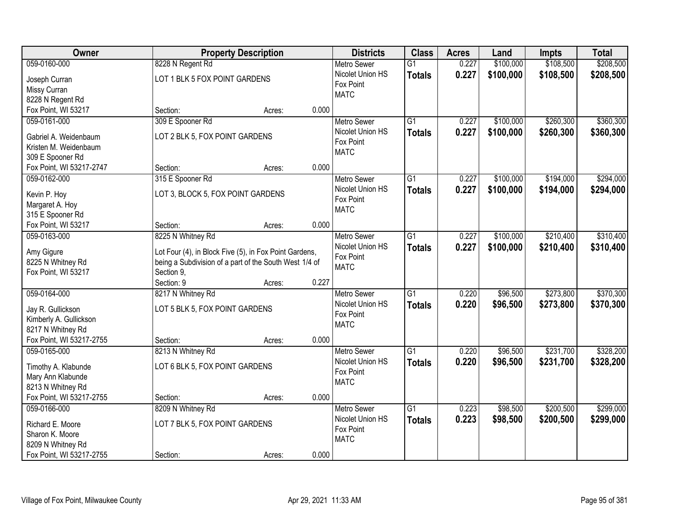| Owner                    |                                                        | <b>Property Description</b> |       |                    | <b>Class</b>    | <b>Acres</b> | Land      | <b>Impts</b> | <b>Total</b> |
|--------------------------|--------------------------------------------------------|-----------------------------|-------|--------------------|-----------------|--------------|-----------|--------------|--------------|
| 059-0160-000             | 8228 N Regent Rd                                       |                             |       | <b>Metro Sewer</b> | $\overline{G1}$ | 0.227        | \$100,000 | \$108,500    | \$208,500    |
| Joseph Curran            | LOT 1 BLK 5 FOX POINT GARDENS                          |                             |       | Nicolet Union HS   | <b>Totals</b>   | 0.227        | \$100,000 | \$108,500    | \$208,500    |
| Missy Curran             |                                                        |                             |       | Fox Point          |                 |              |           |              |              |
| 8228 N Regent Rd         |                                                        |                             |       | <b>MATC</b>        |                 |              |           |              |              |
| Fox Point, WI 53217      | Section:                                               | Acres:                      | 0.000 |                    |                 |              |           |              |              |
| 059-0161-000             | 309 E Spooner Rd                                       |                             |       | <b>Metro Sewer</b> | $\overline{G1}$ | 0.227        | \$100,000 | \$260,300    | \$360,300    |
| Gabriel A. Weidenbaum    | LOT 2 BLK 5, FOX POINT GARDENS                         |                             |       | Nicolet Union HS   | <b>Totals</b>   | 0.227        | \$100,000 | \$260,300    | \$360,300    |
| Kristen M. Weidenbaum    |                                                        |                             |       | Fox Point          |                 |              |           |              |              |
| 309 E Spooner Rd         |                                                        |                             |       | <b>MATC</b>        |                 |              |           |              |              |
| Fox Point, WI 53217-2747 | Section:                                               | Acres:                      | 0.000 |                    |                 |              |           |              |              |
| 059-0162-000             | 315 E Spooner Rd                                       |                             |       | Metro Sewer        | $\overline{G1}$ | 0.227        | \$100,000 | \$194,000    | \$294,000    |
|                          |                                                        |                             |       | Nicolet Union HS   | <b>Totals</b>   | 0.227        | \$100,000 | \$194,000    | \$294,000    |
| Kevin P. Hoy             | LOT 3, BLOCK 5, FOX POINT GARDENS                      |                             |       | Fox Point          |                 |              |           |              |              |
| Margaret A. Hoy          |                                                        |                             |       | <b>MATC</b>        |                 |              |           |              |              |
| 315 E Spooner Rd         |                                                        |                             |       |                    |                 |              |           |              |              |
| Fox Point, WI 53217      | Section:                                               | Acres:                      | 0.000 |                    |                 |              |           |              |              |
| 059-0163-000             | 8225 N Whitney Rd                                      |                             |       | <b>Metro Sewer</b> | $\overline{G1}$ | 0.227        | \$100,000 | \$210,400    | \$310,400    |
| Amy Gigure               | Lot Four (4), in Block Five (5), in Fox Point Gardens, |                             |       | Nicolet Union HS   | <b>Totals</b>   | 0.227        | \$100,000 | \$210,400    | \$310,400    |
| 8225 N Whitney Rd        | being a Subdivision of a part of the South West 1/4 of |                             |       | Fox Point          |                 |              |           |              |              |
| Fox Point, WI 53217      | Section 9,                                             |                             |       | <b>MATC</b>        |                 |              |           |              |              |
|                          | Section: 9                                             | Acres:                      | 0.227 |                    |                 |              |           |              |              |
| 059-0164-000             | 8217 N Whitney Rd                                      |                             |       | <b>Metro Sewer</b> | $\overline{G1}$ | 0.220        | \$96,500  | \$273,800    | \$370,300    |
| Jay R. Gullickson        | LOT 5 BLK 5, FOX POINT GARDENS                         |                             |       | Nicolet Union HS   | <b>Totals</b>   | 0.220        | \$96,500  | \$273,800    | \$370,300    |
| Kimberly A. Gullickson   |                                                        |                             |       | Fox Point          |                 |              |           |              |              |
| 8217 N Whitney Rd        |                                                        |                             |       | <b>MATC</b>        |                 |              |           |              |              |
| Fox Point, WI 53217-2755 | Section:                                               | Acres:                      | 0.000 |                    |                 |              |           |              |              |
| 059-0165-000             | 8213 N Whitney Rd                                      |                             |       | <b>Metro Sewer</b> | $\overline{G1}$ | 0.220        | \$96,500  | \$231,700    | \$328,200    |
|                          |                                                        |                             |       | Nicolet Union HS   | <b>Totals</b>   | 0.220        | \$96,500  | \$231,700    | \$328,200    |
| Timothy A. Klabunde      | LOT 6 BLK 5, FOX POINT GARDENS                         |                             |       | Fox Point          |                 |              |           |              |              |
| Mary Ann Klabunde        |                                                        |                             |       | <b>MATC</b>        |                 |              |           |              |              |
| 8213 N Whitney Rd        |                                                        |                             |       |                    |                 |              |           |              |              |
| Fox Point, WI 53217-2755 | Section:                                               | Acres:                      | 0.000 |                    |                 |              |           |              |              |
| 059-0166-000             | 8209 N Whitney Rd                                      |                             |       | <b>Metro Sewer</b> | $\overline{G1}$ | 0.223        | \$98,500  | \$200,500    | \$299,000    |
| Richard E. Moore         | LOT 7 BLK 5, FOX POINT GARDENS                         |                             |       | Nicolet Union HS   | <b>Totals</b>   | 0.223        | \$98,500  | \$200,500    | \$299,000    |
| Sharon K. Moore          |                                                        |                             |       | Fox Point          |                 |              |           |              |              |
| 8209 N Whitney Rd        |                                                        |                             |       | <b>MATC</b>        |                 |              |           |              |              |
| Fox Point, WI 53217-2755 | Section:                                               | Acres:                      | 0.000 |                    |                 |              |           |              |              |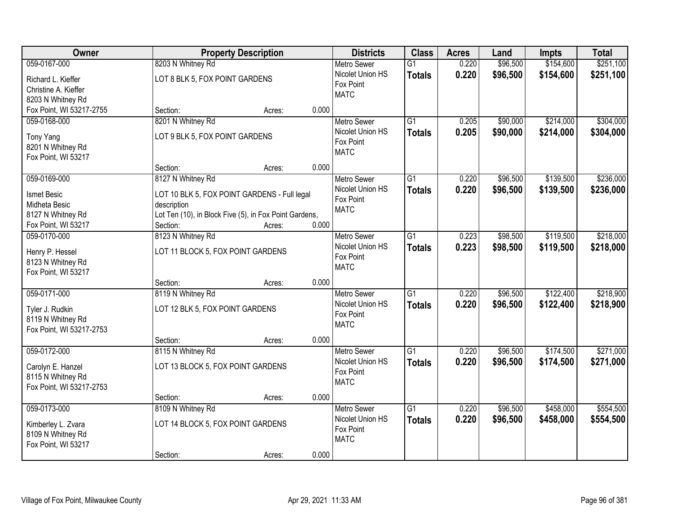| Owner                    |                                                        | <b>Property Description</b> |                    |                 | <b>Acres</b> | Land     | <b>Impts</b> | <b>Total</b> |
|--------------------------|--------------------------------------------------------|-----------------------------|--------------------|-----------------|--------------|----------|--------------|--------------|
| 059-0167-000             | 8203 N Whitney Rd                                      |                             | <b>Metro Sewer</b> | $\overline{G1}$ | 0.220        | \$96,500 | \$154,600    | \$251,100    |
| Richard L. Kieffer       | LOT 8 BLK 5, FOX POINT GARDENS                         |                             | Nicolet Union HS   | <b>Totals</b>   | 0.220        | \$96,500 | \$154,600    | \$251,100    |
| Christine A. Kieffer     |                                                        |                             | Fox Point          |                 |              |          |              |              |
| 8203 N Whitney Rd        |                                                        |                             | <b>MATC</b>        |                 |              |          |              |              |
| Fox Point, WI 53217-2755 | Section:                                               | 0.000<br>Acres:             |                    |                 |              |          |              |              |
| 059-0168-000             | 8201 N Whitney Rd                                      |                             | <b>Metro Sewer</b> | $\overline{G1}$ | 0.205        | \$90,000 | \$214,000    | \$304,000    |
| Tony Yang                | LOT 9 BLK 5, FOX POINT GARDENS                         |                             | Nicolet Union HS   | <b>Totals</b>   | 0.205        | \$90,000 | \$214,000    | \$304,000    |
| 8201 N Whitney Rd        |                                                        |                             | Fox Point          |                 |              |          |              |              |
| Fox Point, WI 53217      |                                                        |                             | <b>MATC</b>        |                 |              |          |              |              |
|                          | Section:                                               | 0.000<br>Acres:             |                    |                 |              |          |              |              |
| 059-0169-000             | 8127 N Whitney Rd                                      |                             | Metro Sewer        | G1              | 0.220        | \$96,500 | \$139,500    | \$236,000    |
| Ismet Besic              | LOT 10 BLK 5, FOX POINT GARDENS - Full legal           |                             | Nicolet Union HS   | <b>Totals</b>   | 0.220        | \$96,500 | \$139,500    | \$236,000    |
| Midheta Besic            | description                                            |                             | Fox Point          |                 |              |          |              |              |
| 8127 N Whitney Rd        | Lot Ten (10), in Block Five (5), in Fox Point Gardens, |                             | <b>MATC</b>        |                 |              |          |              |              |
| Fox Point, WI 53217      | Section:                                               | 0.000<br>Acres:             |                    |                 |              |          |              |              |
| 059-0170-000             | 8123 N Whitney Rd                                      |                             | <b>Metro Sewer</b> | G1              | 0.223        | \$98,500 | \$119,500    | \$218,000    |
|                          |                                                        |                             | Nicolet Union HS   | <b>Totals</b>   | 0.223        | \$98,500 | \$119,500    | \$218,000    |
| Henry P. Hessel          | LOT 11 BLOCK 5, FOX POINT GARDENS                      |                             | Fox Point          |                 |              |          |              |              |
| 8123 N Whitney Rd        |                                                        |                             | <b>MATC</b>        |                 |              |          |              |              |
| Fox Point, WI 53217      | Section:                                               | 0.000                       |                    |                 |              |          |              |              |
| 059-0171-000             | 8119 N Whitney Rd                                      | Acres:                      | <b>Metro Sewer</b> | $\overline{G1}$ | 0.220        | \$96,500 | \$122,400    | \$218,900    |
|                          |                                                        |                             | Nicolet Union HS   |                 | 0.220        |          |              |              |
| Tyler J. Rudkin          | LOT 12 BLK 5, FOX POINT GARDENS                        |                             | Fox Point          | <b>Totals</b>   |              | \$96,500 | \$122,400    | \$218,900    |
| 8119 N Whitney Rd        |                                                        |                             | <b>MATC</b>        |                 |              |          |              |              |
| Fox Point, WI 53217-2753 |                                                        |                             |                    |                 |              |          |              |              |
|                          | Section:                                               | 0.000<br>Acres:             |                    |                 |              |          |              |              |
| 059-0172-000             | 8115 N Whitney Rd                                      |                             | Metro Sewer        | $\overline{G1}$ | 0.220        | \$96,500 | \$174,500    | \$271,000    |
| Carolyn E. Hanzel        | LOT 13 BLOCK 5, FOX POINT GARDENS                      |                             | Nicolet Union HS   | <b>Totals</b>   | 0.220        | \$96,500 | \$174,500    | \$271,000    |
| 8115 N Whitney Rd        |                                                        |                             | Fox Point          |                 |              |          |              |              |
| Fox Point, WI 53217-2753 |                                                        |                             | <b>MATC</b>        |                 |              |          |              |              |
|                          | Section:                                               | 0.000<br>Acres:             |                    |                 |              |          |              |              |
| 059-0173-000             | 8109 N Whitney Rd                                      |                             | <b>Metro Sewer</b> | $\overline{G1}$ | 0.220        | \$96,500 | \$458,000    | \$554,500    |
| Kimberley L. Zvara       | LOT 14 BLOCK 5, FOX POINT GARDENS                      |                             | Nicolet Union HS   | <b>Totals</b>   | 0.220        | \$96,500 | \$458,000    | \$554,500    |
| 8109 N Whitney Rd        |                                                        |                             | Fox Point          |                 |              |          |              |              |
| Fox Point, WI 53217      |                                                        |                             | <b>MATC</b>        |                 |              |          |              |              |
|                          | Section:                                               | 0.000<br>Acres:             |                    |                 |              |          |              |              |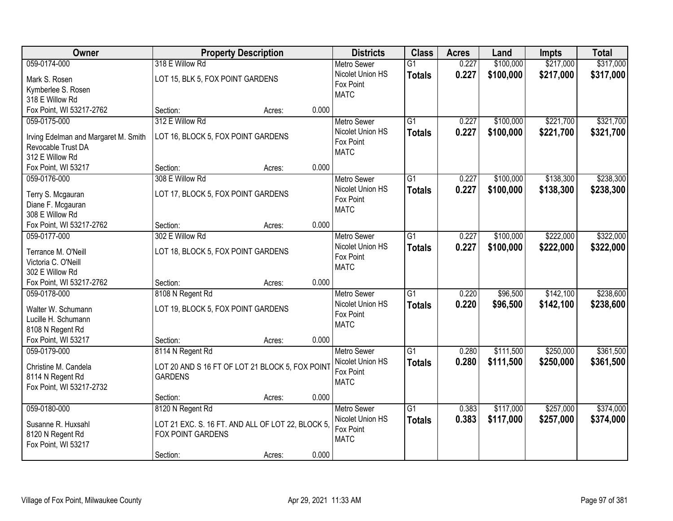| Owner                                                      |                                                  | <b>Property Description</b> |       | <b>Districts</b>                       | <b>Class</b>    | <b>Acres</b> | Land      | <b>Impts</b> | <b>Total</b> |
|------------------------------------------------------------|--------------------------------------------------|-----------------------------|-------|----------------------------------------|-----------------|--------------|-----------|--------------|--------------|
| 059-0174-000                                               | 318 E Willow Rd                                  |                             |       | <b>Metro Sewer</b>                     | $\overline{G1}$ | 0.227        | \$100,000 | \$217,000    | \$317,000    |
| Mark S. Rosen                                              | LOT 15, BLK 5, FOX POINT GARDENS                 |                             |       | Nicolet Union HS                       | <b>Totals</b>   | 0.227        | \$100,000 | \$217,000    | \$317,000    |
| Kymberlee S. Rosen                                         |                                                  |                             |       | Fox Point                              |                 |              |           |              |              |
| 318 E Willow Rd                                            |                                                  |                             |       | <b>MATC</b>                            |                 |              |           |              |              |
| Fox Point, WI 53217-2762                                   | Section:                                         | Acres:                      | 0.000 |                                        |                 |              |           |              |              |
| 059-0175-000                                               | 312 E Willow Rd                                  |                             |       | <b>Metro Sewer</b>                     | $\overline{G1}$ | 0.227        | \$100,000 | \$221,700    | \$321,700    |
|                                                            | LOT 16, BLOCK 5, FOX POINT GARDENS               |                             |       | Nicolet Union HS                       | <b>Totals</b>   | 0.227        | \$100,000 | \$221,700    | \$321,700    |
| Irving Edelman and Margaret M. Smith<br>Revocable Trust DA |                                                  |                             |       | Fox Point                              |                 |              |           |              |              |
| 312 E Willow Rd                                            |                                                  |                             |       | <b>MATC</b>                            |                 |              |           |              |              |
| Fox Point, WI 53217                                        | Section:                                         | Acres:                      | 0.000 |                                        |                 |              |           |              |              |
| 059-0176-000                                               | 308 E Willow Rd                                  |                             |       | <b>Metro Sewer</b>                     | $\overline{G1}$ | 0.227        | \$100,000 | \$138,300    | \$238,300    |
|                                                            |                                                  |                             |       | Nicolet Union HS                       | <b>Totals</b>   | 0.227        | \$100,000 | \$138,300    | \$238,300    |
| Terry S. Mcgauran                                          | LOT 17, BLOCK 5, FOX POINT GARDENS               |                             |       | Fox Point                              |                 |              |           |              |              |
| Diane F. Mcgauran                                          |                                                  |                             |       | <b>MATC</b>                            |                 |              |           |              |              |
| 308 E Willow Rd                                            |                                                  |                             |       |                                        |                 |              |           |              |              |
| Fox Point, WI 53217-2762                                   | Section:                                         | Acres:                      | 0.000 |                                        |                 |              |           |              |              |
| 059-0177-000                                               | 302 E Willow Rd                                  |                             |       | <b>Metro Sewer</b>                     | $\overline{G1}$ | 0.227        | \$100,000 | \$222,000    | \$322,000    |
| Terrance M. O'Neill                                        | LOT 18, BLOCK 5, FOX POINT GARDENS               |                             |       | Nicolet Union HS                       | <b>Totals</b>   | 0.227        | \$100,000 | \$222,000    | \$322,000    |
| Victoria C. O'Neill                                        |                                                  |                             |       | Fox Point<br><b>MATC</b>               |                 |              |           |              |              |
| 302 E Willow Rd                                            |                                                  |                             |       |                                        |                 |              |           |              |              |
| Fox Point, WI 53217-2762                                   | Section:                                         | Acres:                      | 0.000 |                                        |                 |              |           |              |              |
| 059-0178-000                                               | 8108 N Regent Rd                                 |                             |       | Metro Sewer                            | $\overline{G1}$ | 0.220        | \$96,500  | \$142,100    | \$238,600    |
| Walter W. Schumann                                         | LOT 19, BLOCK 5, FOX POINT GARDENS               |                             |       | Nicolet Union HS                       | <b>Totals</b>   | 0.220        | \$96,500  | \$142,100    | \$238,600    |
| Lucille H. Schumann                                        |                                                  |                             |       | Fox Point                              |                 |              |           |              |              |
| 8108 N Regent Rd                                           |                                                  |                             |       | <b>MATC</b>                            |                 |              |           |              |              |
| Fox Point, WI 53217                                        | Section:                                         | Acres:                      | 0.000 |                                        |                 |              |           |              |              |
| 059-0179-000                                               | 8114 N Regent Rd                                 |                             |       | <b>Metro Sewer</b>                     | $\overline{G1}$ | 0.280        | \$111,500 | \$250,000    | \$361,500    |
|                                                            |                                                  |                             |       | Nicolet Union HS                       | <b>Totals</b>   | 0.280        | \$111,500 | \$250,000    | \$361,500    |
| Christine M. Candela                                       | LOT 20 AND S 16 FT OF LOT 21 BLOCK 5, FOX POINT  |                             |       | Fox Point                              |                 |              |           |              |              |
| 8114 N Regent Rd                                           | <b>GARDENS</b>                                   |                             |       | <b>MATC</b>                            |                 |              |           |              |              |
| Fox Point, WI 53217-2732                                   |                                                  |                             |       |                                        |                 |              |           |              |              |
|                                                            | Section:                                         | Acres:                      | 0.000 |                                        |                 |              |           |              |              |
| 059-0180-000                                               | 8120 N Regent Rd                                 |                             |       | <b>Metro Sewer</b><br>Nicolet Union HS | $\overline{G1}$ | 0.383        | \$117,000 | \$257,000    | \$374,000    |
| Susanne R. Huxsahl                                         | LOT 21 EXC. S. 16 FT. AND ALL OF LOT 22, BLOCK 5 |                             |       | Fox Point                              | <b>Totals</b>   | 0.383        | \$117,000 | \$257,000    | \$374,000    |
| 8120 N Regent Rd                                           | <b>FOX POINT GARDENS</b>                         |                             |       | <b>MATC</b>                            |                 |              |           |              |              |
| Fox Point, WI 53217                                        |                                                  |                             |       |                                        |                 |              |           |              |              |
|                                                            | Section:                                         | Acres:                      | 0.000 |                                        |                 |              |           |              |              |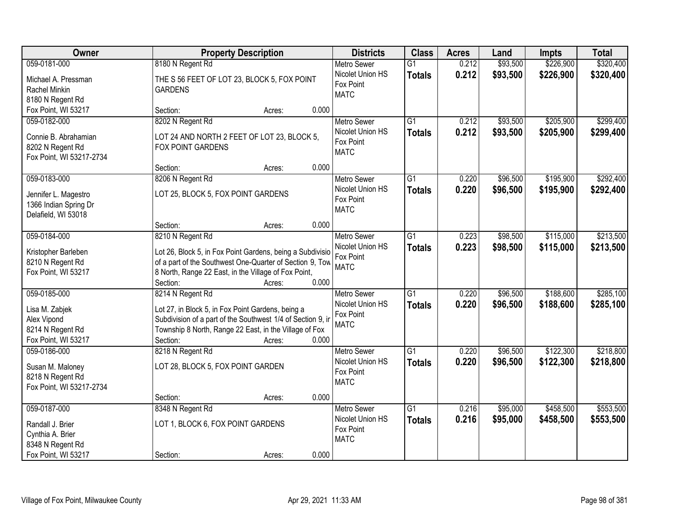| Owner                                   |                                                                                                                       | <b>Property Description</b> |       | <b>Districts</b>                       | <b>Class</b>    | <b>Acres</b> | Land     | <b>Impts</b> | <b>Total</b> |
|-----------------------------------------|-----------------------------------------------------------------------------------------------------------------------|-----------------------------|-------|----------------------------------------|-----------------|--------------|----------|--------------|--------------|
| 059-0181-000                            | 8180 N Regent Rd                                                                                                      |                             |       | <b>Metro Sewer</b>                     | $\overline{G1}$ | 0.212        | \$93,500 | \$226,900    | \$320,400    |
| Michael A. Pressman                     | THE S 56 FEET OF LOT 23, BLOCK 5, FOX POINT                                                                           |                             |       | Nicolet Union HS                       | <b>Totals</b>   | 0.212        | \$93,500 | \$226,900    | \$320,400    |
| Rachel Minkin                           | <b>GARDENS</b>                                                                                                        |                             |       | Fox Point                              |                 |              |          |              |              |
| 8180 N Regent Rd                        |                                                                                                                       |                             |       | <b>MATC</b>                            |                 |              |          |              |              |
| Fox Point, WI 53217                     | Section:                                                                                                              | Acres:                      | 0.000 |                                        |                 |              |          |              |              |
| 059-0182-000                            | 8202 N Regent Rd                                                                                                      |                             |       | <b>Metro Sewer</b>                     | $\overline{G1}$ | 0.212        | \$93,500 | \$205,900    | \$299,400    |
| Connie B. Abrahamian                    | LOT 24 AND NORTH 2 FEET OF LOT 23, BLOCK 5,                                                                           |                             |       | Nicolet Union HS                       | <b>Totals</b>   | 0.212        | \$93,500 | \$205,900    | \$299,400    |
| 8202 N Regent Rd                        | FOX POINT GARDENS                                                                                                     |                             |       | Fox Point                              |                 |              |          |              |              |
| Fox Point, WI 53217-2734                |                                                                                                                       |                             |       | <b>MATC</b>                            |                 |              |          |              |              |
|                                         | Section:                                                                                                              | Acres:                      | 0.000 |                                        |                 |              |          |              |              |
| 059-0183-000                            | 8206 N Regent Rd                                                                                                      |                             |       | <b>Metro Sewer</b>                     | G1              | 0.220        | \$96,500 | \$195,900    | \$292,400    |
| Jennifer L. Magestro                    | LOT 25, BLOCK 5, FOX POINT GARDENS                                                                                    |                             |       | Nicolet Union HS                       | <b>Totals</b>   | 0.220        | \$96,500 | \$195,900    | \$292,400    |
| 1366 Indian Spring Dr                   |                                                                                                                       |                             |       | Fox Point                              |                 |              |          |              |              |
| Delafield, WI 53018                     |                                                                                                                       |                             |       | <b>MATC</b>                            |                 |              |          |              |              |
|                                         | Section:                                                                                                              | Acres:                      | 0.000 |                                        |                 |              |          |              |              |
| 059-0184-000                            | 8210 N Regent Rd                                                                                                      |                             |       | <b>Metro Sewer</b>                     | G1              | 0.223        | \$98,500 | \$115,000    | \$213,500    |
|                                         |                                                                                                                       |                             |       | Nicolet Union HS                       | <b>Totals</b>   | 0.223        | \$98,500 | \$115,000    | \$213,500    |
| Kristopher Barleben<br>8210 N Regent Rd | Lot 26, Block 5, in Fox Point Gardens, being a Subdivisio<br>of a part of the Southwest One-Quarter of Section 9, Tow |                             |       | Fox Point                              |                 |              |          |              |              |
| Fox Point, WI 53217                     | 8 North, Range 22 East, in the Village of Fox Point,                                                                  |                             |       | <b>MATC</b>                            |                 |              |          |              |              |
|                                         | Section:                                                                                                              | Acres:                      | 0.000 |                                        |                 |              |          |              |              |
| 059-0185-000                            | 8214 N Regent Rd                                                                                                      |                             |       | <b>Metro Sewer</b>                     | $\overline{G1}$ | 0.220        | \$96,500 | \$188,600    | \$285,100    |
|                                         |                                                                                                                       |                             |       | Nicolet Union HS                       | <b>Totals</b>   | 0.220        | \$96,500 | \$188,600    | \$285,100    |
| Lisa M. Zabjek                          | Lot 27, in Block 5, in Fox Point Gardens, being a                                                                     |                             |       | Fox Point                              |                 |              |          |              |              |
| Alex Vipond                             | Subdivision of a part of the Southwest 1/4 of Section 9, in                                                           |                             |       | <b>MATC</b>                            |                 |              |          |              |              |
| 8214 N Regent Rd                        | Township 8 North, Range 22 East, in the Village of Fox                                                                |                             |       |                                        |                 |              |          |              |              |
| Fox Point, WI 53217<br>059-0186-000     | Section:                                                                                                              | Acres:                      | 0.000 |                                        | $\overline{G1}$ | 0.220        | \$96,500 | \$122,300    | \$218,800    |
|                                         | 8218 N Regent Rd                                                                                                      |                             |       | <b>Metro Sewer</b><br>Nicolet Union HS |                 |              |          |              |              |
| Susan M. Maloney                        | LOT 28, BLOCK 5, FOX POINT GARDEN                                                                                     |                             |       | Fox Point                              | <b>Totals</b>   | 0.220        | \$96,500 | \$122,300    | \$218,800    |
| 8218 N Regent Rd                        |                                                                                                                       |                             |       | <b>MATC</b>                            |                 |              |          |              |              |
| Fox Point, WI 53217-2734                |                                                                                                                       |                             |       |                                        |                 |              |          |              |              |
|                                         | Section:                                                                                                              | Acres:                      | 0.000 |                                        |                 |              |          |              |              |
| 059-0187-000                            | 8348 N Regent Rd                                                                                                      |                             |       | <b>Metro Sewer</b>                     | $\overline{G1}$ | 0.216        | \$95,000 | \$458,500    | \$553,500    |
| Randall J. Brier                        | LOT 1, BLOCK 6, FOX POINT GARDENS                                                                                     |                             |       | Nicolet Union HS                       | <b>Totals</b>   | 0.216        | \$95,000 | \$458,500    | \$553,500    |
| Cynthia A. Brier                        |                                                                                                                       |                             |       | Fox Point                              |                 |              |          |              |              |
| 8348 N Regent Rd                        |                                                                                                                       |                             |       | <b>MATC</b>                            |                 |              |          |              |              |
| Fox Point, WI 53217                     | Section:                                                                                                              | Acres:                      | 0.000 |                                        |                 |              |          |              |              |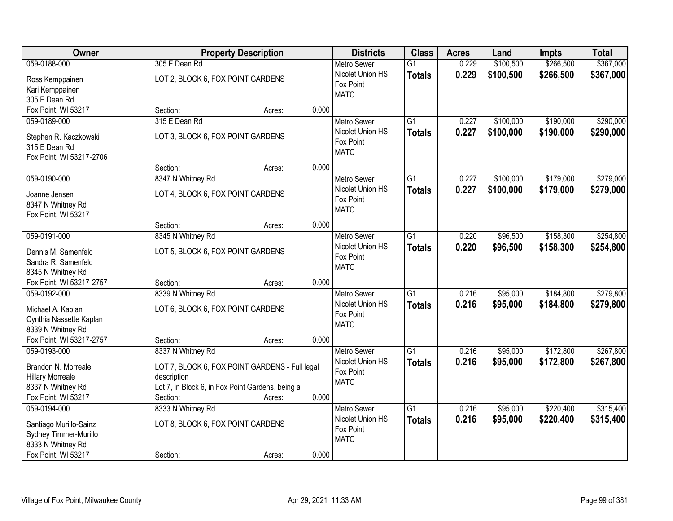| <b>Owner</b>                           | <b>Property Description</b>                      |       | <b>Districts</b>   | <b>Class</b>    | <b>Acres</b> | Land      | <b>Impts</b> | <b>Total</b> |
|----------------------------------------|--------------------------------------------------|-------|--------------------|-----------------|--------------|-----------|--------------|--------------|
| 059-0188-000                           | 305 E Dean Rd                                    |       | <b>Metro Sewer</b> | $\overline{G1}$ | 0.229        | \$100,500 | \$266,500    | \$367,000    |
| Ross Kemppainen                        | LOT 2, BLOCK 6, FOX POINT GARDENS                |       | Nicolet Union HS   | <b>Totals</b>   | 0.229        | \$100,500 | \$266,500    | \$367,000    |
| Kari Kemppainen                        |                                                  |       | Fox Point          |                 |              |           |              |              |
| 305 E Dean Rd                          |                                                  |       | <b>MATC</b>        |                 |              |           |              |              |
| Fox Point, WI 53217                    | Section:<br>Acres:                               | 0.000 |                    |                 |              |           |              |              |
| 059-0189-000                           | 315 E Dean Rd                                    |       | <b>Metro Sewer</b> | $\overline{G1}$ | 0.227        | \$100,000 | \$190,000    | \$290,000    |
|                                        |                                                  |       | Nicolet Union HS   | <b>Totals</b>   | 0.227        | \$100,000 | \$190,000    | \$290,000    |
| Stephen R. Kaczkowski<br>315 E Dean Rd | LOT 3, BLOCK 6, FOX POINT GARDENS                |       | Fox Point          |                 |              |           |              |              |
| Fox Point, WI 53217-2706               |                                                  |       | <b>MATC</b>        |                 |              |           |              |              |
|                                        | Section:<br>Acres:                               | 0.000 |                    |                 |              |           |              |              |
| 059-0190-000                           | 8347 N Whitney Rd                                |       | <b>Metro Sewer</b> | G1              | 0.227        | \$100,000 | \$179,000    | \$279,000    |
|                                        |                                                  |       | Nicolet Union HS   | <b>Totals</b>   | 0.227        | \$100,000 | \$179,000    | \$279,000    |
| Joanne Jensen                          | LOT 4, BLOCK 6, FOX POINT GARDENS                |       | Fox Point          |                 |              |           |              |              |
| 8347 N Whitney Rd                      |                                                  |       | <b>MATC</b>        |                 |              |           |              |              |
| Fox Point, WI 53217                    |                                                  |       |                    |                 |              |           |              |              |
|                                        | Section:<br>Acres:                               | 0.000 |                    |                 |              |           |              |              |
| 059-0191-000                           | 8345 N Whitney Rd                                |       | <b>Metro Sewer</b> | $\overline{G1}$ | 0.220        | \$96,500  | \$158,300    | \$254,800    |
| Dennis M. Samenfeld                    | LOT 5, BLOCK 6, FOX POINT GARDENS                |       | Nicolet Union HS   | <b>Totals</b>   | 0.220        | \$96,500  | \$158,300    | \$254,800    |
| Sandra R. Samenfeld                    |                                                  |       | Fox Point          |                 |              |           |              |              |
| 8345 N Whitney Rd                      |                                                  |       | <b>MATC</b>        |                 |              |           |              |              |
| Fox Point, WI 53217-2757               | Section:<br>Acres:                               | 0.000 |                    |                 |              |           |              |              |
| 059-0192-000                           | 8339 N Whitney Rd                                |       | <b>Metro Sewer</b> | $\overline{G1}$ | 0.216        | \$95,000  | \$184,800    | \$279,800    |
| Michael A. Kaplan                      | LOT 6, BLOCK 6, FOX POINT GARDENS                |       | Nicolet Union HS   | <b>Totals</b>   | 0.216        | \$95,000  | \$184,800    | \$279,800    |
| Cynthia Nassette Kaplan                |                                                  |       | Fox Point          |                 |              |           |              |              |
| 8339 N Whitney Rd                      |                                                  |       | <b>MATC</b>        |                 |              |           |              |              |
| Fox Point, WI 53217-2757               | Section:<br>Acres:                               | 0.000 |                    |                 |              |           |              |              |
| 059-0193-000                           | 8337 N Whitney Rd                                |       | <b>Metro Sewer</b> | $\overline{G1}$ | 0.216        | \$95,000  | \$172,800    | \$267,800    |
|                                        |                                                  |       | Nicolet Union HS   | <b>Totals</b>   | 0.216        | \$95,000  | \$172,800    | \$267,800    |
| Brandon N. Morreale                    | LOT 7, BLOCK 6, FOX POINT GARDENS - Full legal   |       | Fox Point          |                 |              |           |              |              |
| <b>Hillary Morreale</b>                | description                                      |       | <b>MATC</b>        |                 |              |           |              |              |
| 8337 N Whitney Rd                      | Lot 7, in Block 6, in Fox Point Gardens, being a |       |                    |                 |              |           |              |              |
| Fox Point, WI 53217                    | Section:<br>Acres:                               | 0.000 |                    |                 |              |           |              |              |
| 059-0194-000                           | 8333 N Whitney Rd                                |       | <b>Metro Sewer</b> | $\overline{G1}$ | 0.216        | \$95,000  | \$220,400    | \$315,400    |
| Santiago Murillo-Sainz                 | LOT 8, BLOCK 6, FOX POINT GARDENS                |       | Nicolet Union HS   | <b>Totals</b>   | 0.216        | \$95,000  | \$220,400    | \$315,400    |
| Sydney Timmer-Murillo                  |                                                  |       | Fox Point          |                 |              |           |              |              |
| 8333 N Whitney Rd                      |                                                  |       | <b>MATC</b>        |                 |              |           |              |              |
| Fox Point, WI 53217                    | Section:<br>Acres:                               | 0.000 |                    |                 |              |           |              |              |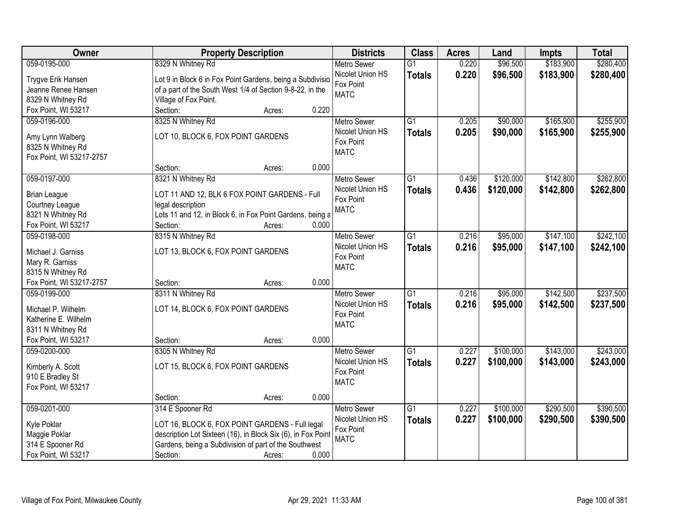| Owner                                         |                                                              | <b>Property Description</b> |       | <b>Districts</b>              | <b>Class</b>    | <b>Acres</b> | Land      | <b>Impts</b> | <b>Total</b> |
|-----------------------------------------------|--------------------------------------------------------------|-----------------------------|-------|-------------------------------|-----------------|--------------|-----------|--------------|--------------|
| 059-0195-000                                  | 8329 N Whitney Rd                                            |                             |       | <b>Metro Sewer</b>            | $\overline{G1}$ | 0.220        | \$96,500  | \$183,900    | \$280,400    |
| Trygve Erik Hansen                            | Lot 9 in Block 6 in Fox Point Gardens, being a Subdivisio    |                             |       | Nicolet Union HS              | <b>Totals</b>   | 0.220        | \$96,500  | \$183,900    | \$280,400    |
| Jeanne Renee Hansen                           | of a part of the South West 1/4 of Section 9-8-22, in the    |                             |       | Fox Point                     |                 |              |           |              |              |
| 8329 N Whitney Rd                             | Village of Fox Point.                                        |                             |       | <b>MATC</b>                   |                 |              |           |              |              |
| Fox Point, WI 53217                           | Section:                                                     | Acres:                      | 0.220 |                               |                 |              |           |              |              |
| 059-0196-000                                  | 8325 N Whitney Rd                                            |                             |       | <b>Metro Sewer</b>            | $\overline{G1}$ | 0.205        | \$90,000  | \$165,900    | \$255,900    |
|                                               |                                                              |                             |       | Nicolet Union HS              | <b>Totals</b>   | 0.205        | \$90,000  | \$165,900    | \$255,900    |
| Amy Lynn Walberg                              | LOT 10, BLOCK 6, FOX POINT GARDENS                           |                             |       | Fox Point                     |                 |              |           |              |              |
| 8325 N Whitney Rd                             |                                                              |                             |       | <b>MATC</b>                   |                 |              |           |              |              |
| Fox Point, WI 53217-2757                      |                                                              |                             | 0.000 |                               |                 |              |           |              |              |
|                                               | Section:                                                     | Acres:                      |       |                               |                 |              |           |              |              |
| 059-0197-000                                  | 8321 N Whitney Rd                                            |                             |       | <b>Metro Sewer</b>            | $\overline{G1}$ | 0.436        | \$120,000 | \$142,800    | \$262,800    |
| <b>Brian League</b>                           | LOT 11 AND 12, BLK 6 FOX POINT GARDENS - Full                |                             |       | Nicolet Union HS              | <b>Totals</b>   | 0.436        | \$120,000 | \$142,800    | \$262,800    |
| Courtney League                               | legal description                                            |                             |       | Fox Point                     |                 |              |           |              |              |
| 8321 N Whitney Rd                             | Lots 11 and 12, in Block 6, in Fox Point Gardens, being a    |                             |       | <b>MATC</b>                   |                 |              |           |              |              |
| Fox Point, WI 53217                           | Section:                                                     | Acres:                      | 0.000 |                               |                 |              |           |              |              |
| 059-0198-000                                  | 8315 N Whitney Rd                                            |                             |       | <b>Metro Sewer</b>            | G1              | 0.216        | \$95,000  | \$147,100    | \$242,100    |
|                                               |                                                              |                             |       | Nicolet Union HS              | <b>Totals</b>   | 0.216        | \$95,000  | \$147,100    | \$242,100    |
| Michael J. Garniss                            | LOT 13, BLOCK 6, FOX POINT GARDENS                           |                             |       | Fox Point                     |                 |              |           |              |              |
| Mary R. Garniss                               |                                                              |                             |       | <b>MATC</b>                   |                 |              |           |              |              |
| 8315 N Whitney Rd<br>Fox Point, WI 53217-2757 |                                                              |                             | 0.000 |                               |                 |              |           |              |              |
| 059-0199-000                                  | Section:<br>8311 N Whitney Rd                                | Acres:                      |       |                               | $\overline{G1}$ | 0.216        | \$95,000  | \$142,500    | \$237,500    |
|                                               |                                                              |                             |       | Metro Sewer                   |                 |              |           |              |              |
| Michael P. Wilhelm                            | LOT 14, BLOCK 6, FOX POINT GARDENS                           |                             |       | Nicolet Union HS<br>Fox Point | <b>Totals</b>   | 0.216        | \$95,000  | \$142,500    | \$237,500    |
| Katherine E. Wilhelm                          |                                                              |                             |       | <b>MATC</b>                   |                 |              |           |              |              |
| 8311 N Whitney Rd                             |                                                              |                             |       |                               |                 |              |           |              |              |
| Fox Point, WI 53217                           | Section:                                                     | Acres:                      | 0.000 |                               |                 |              |           |              |              |
| 059-0200-000                                  | 8305 N Whitney Rd                                            |                             |       | Metro Sewer                   | $\overline{G1}$ | 0.227        | \$100,000 | \$143,000    | \$243,000    |
| Kimberly A. Scott                             | LOT 15, BLOCK 6, FOX POINT GARDENS                           |                             |       | Nicolet Union HS              | <b>Totals</b>   | 0.227        | \$100,000 | \$143,000    | \$243,000    |
| 910 E Bradley St                              |                                                              |                             |       | Fox Point                     |                 |              |           |              |              |
| Fox Point, WI 53217                           |                                                              |                             |       | <b>MATC</b>                   |                 |              |           |              |              |
|                                               | Section:                                                     | Acres:                      | 0.000 |                               |                 |              |           |              |              |
| 059-0201-000                                  | 314 E Spooner Rd                                             |                             |       | <b>Metro Sewer</b>            | $\overline{G1}$ | 0.227        | \$100,000 | \$290,500    | \$390,500    |
|                                               |                                                              |                             |       | Nicolet Union HS              |                 | 0.227        |           |              |              |
| Kyle Poklar                                   | LOT 16, BLOCK 6, FOX POINT GARDENS - Full legal              |                             |       | Fox Point                     | <b>Totals</b>   |              | \$100,000 | \$290,500    | \$390,500    |
| Maggie Poklar                                 | description Lot Sixteen (16), in Block Six (6), in Fox Point |                             |       | <b>MATC</b>                   |                 |              |           |              |              |
| 314 E Spooner Rd                              | Gardens, being a Subdivision of part of the Southwest        |                             |       |                               |                 |              |           |              |              |
| Fox Point, WI 53217                           | Section:                                                     | Acres:                      | 0.000 |                               |                 |              |           |              |              |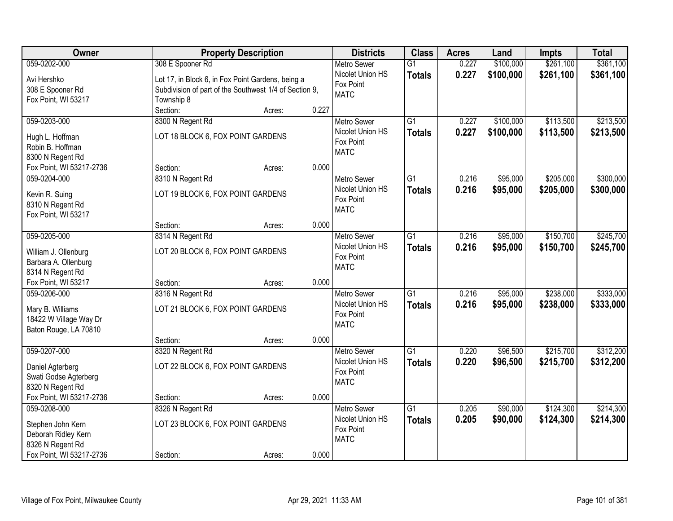| \$261,100<br>\$361,100<br>059-0202-000<br>308 E Spooner Rd<br>\$100,000<br><b>Metro Sewer</b><br>$\overline{G1}$<br>0.227<br>Nicolet Union HS<br>0.227<br>\$100,000<br>\$261,100<br>\$361,100<br><b>Totals</b><br>Avi Hershko<br>Lot 17, in Block 6, in Fox Point Gardens, being a<br>Fox Point<br>308 E Spooner Rd<br>Subdivision of part of the Southwest 1/4 of Section 9,<br><b>MATC</b><br>Fox Point, WI 53217<br>Township 8<br>0.227<br>Section:<br>Acres:<br>059-0203-000<br>8300 N Regent Rd<br>$\overline{G1}$<br>\$100,000<br>\$113,500<br>0.227<br><b>Metro Sewer</b><br>0.227<br>Nicolet Union HS<br>\$100,000<br>\$113,500<br><b>Totals</b><br>LOT 18 BLOCK 6, FOX POINT GARDENS<br>Hugh L. Hoffman<br>Fox Point<br>Robin B. Hoffman<br><b>MATC</b><br>8300 N Regent Rd<br>0.000<br>Fox Point, WI 53217-2736<br>Section:<br>Acres:<br>\$205,000<br>059-0204-000<br>8310 N Regent Rd<br>G1<br>0.216<br>\$95,000<br><b>Metro Sewer</b><br>Nicolet Union HS<br>0.216<br>\$95,000<br>\$205,000<br><b>Totals</b><br>LOT 19 BLOCK 6, FOX POINT GARDENS<br>Kevin R. Suing<br>Fox Point<br>8310 N Regent Rd<br><b>MATC</b><br>Fox Point, WI 53217<br>0.000<br>Section:<br>Acres:<br>059-0205-000<br>\$95,000<br>\$150,700<br>8314 N Regent Rd<br><b>Metro Sewer</b><br>G1<br>0.216<br>Nicolet Union HS<br>0.216<br>\$95,000<br>\$150,700<br><b>Totals</b><br>LOT 20 BLOCK 6, FOX POINT GARDENS<br>William J. Ollenburg<br>Fox Point<br>Barbara A. Ollenburg<br><b>MATC</b><br>8314 N Regent Rd<br>Fox Point, WI 53217<br>0.000<br>Section:<br>Acres:<br>\$238,000<br>059-0206-000<br>8316 N Regent Rd<br>$\overline{G1}$<br>0.216<br>\$95,000<br><b>Metro Sewer</b><br>0.216<br>Nicolet Union HS<br>\$95,000<br>\$238,000<br><b>Totals</b><br>LOT 21 BLOCK 6, FOX POINT GARDENS<br>Mary B. Williams<br>Fox Point<br>18422 W Village Way Dr<br><b>MATC</b><br>Baton Rouge, LA 70810<br>0.000<br>Section:<br>Acres:<br>059-0207-000<br>$\overline{G1}$<br>\$96,500<br>\$215,700<br>8320 N Regent Rd<br>Metro Sewer<br>0.220<br>Nicolet Union HS<br>0.220<br>\$96,500<br>\$215,700<br><b>Totals</b><br>LOT 22 BLOCK 6, FOX POINT GARDENS<br>Daniel Agterberg<br>Fox Point<br>Swati Godse Agterberg<br><b>MATC</b><br>8320 N Regent Rd<br>Fox Point, WI 53217-2736<br>0.000<br>Section:<br>Acres:<br>059-0208-000<br>8326 N Regent Rd<br>$\overline{G1}$<br>\$90,000<br>\$124,300<br><b>Metro Sewer</b><br>0.205<br>Nicolet Union HS<br>0.205<br>\$90,000<br>\$124,300<br><b>Totals</b><br>LOT 23 BLOCK 6, FOX POINT GARDENS<br>Stephen John Kern<br>Fox Point<br>Deborah Ridley Kern<br><b>MATC</b><br>8326 N Regent Rd | Owner | <b>Property Description</b> | <b>Districts</b> | <b>Class</b> | <b>Acres</b> | Land | <b>Impts</b> | <b>Total</b> |
|---------------------------------------------------------------------------------------------------------------------------------------------------------------------------------------------------------------------------------------------------------------------------------------------------------------------------------------------------------------------------------------------------------------------------------------------------------------------------------------------------------------------------------------------------------------------------------------------------------------------------------------------------------------------------------------------------------------------------------------------------------------------------------------------------------------------------------------------------------------------------------------------------------------------------------------------------------------------------------------------------------------------------------------------------------------------------------------------------------------------------------------------------------------------------------------------------------------------------------------------------------------------------------------------------------------------------------------------------------------------------------------------------------------------------------------------------------------------------------------------------------------------------------------------------------------------------------------------------------------------------------------------------------------------------------------------------------------------------------------------------------------------------------------------------------------------------------------------------------------------------------------------------------------------------------------------------------------------------------------------------------------------------------------------------------------------------------------------------------------------------------------------------------------------------------------------------------------------------------------------------------------------------------------------------------------------------------------------------------------------------------------------------------------------------------------------------------------------------------------------------------------------------------------------------------------------------------------------------------------------------|-------|-----------------------------|------------------|--------------|--------------|------|--------------|--------------|
|                                                                                                                                                                                                                                                                                                                                                                                                                                                                                                                                                                                                                                                                                                                                                                                                                                                                                                                                                                                                                                                                                                                                                                                                                                                                                                                                                                                                                                                                                                                                                                                                                                                                                                                                                                                                                                                                                                                                                                                                                                                                                                                                                                                                                                                                                                                                                                                                                                                                                                                                                                                                                           |       |                             |                  |              |              |      |              |              |
| \$213,500<br>\$213,500<br>\$300,000<br>\$300,000<br>\$245,700<br>\$245,700<br>\$214,300                                                                                                                                                                                                                                                                                                                                                                                                                                                                                                                                                                                                                                                                                                                                                                                                                                                                                                                                                                                                                                                                                                                                                                                                                                                                                                                                                                                                                                                                                                                                                                                                                                                                                                                                                                                                                                                                                                                                                                                                                                                                                                                                                                                                                                                                                                                                                                                                                                                                                                                                   |       |                             |                  |              |              |      |              |              |
|                                                                                                                                                                                                                                                                                                                                                                                                                                                                                                                                                                                                                                                                                                                                                                                                                                                                                                                                                                                                                                                                                                                                                                                                                                                                                                                                                                                                                                                                                                                                                                                                                                                                                                                                                                                                                                                                                                                                                                                                                                                                                                                                                                                                                                                                                                                                                                                                                                                                                                                                                                                                                           |       |                             |                  |              |              |      |              |              |
|                                                                                                                                                                                                                                                                                                                                                                                                                                                                                                                                                                                                                                                                                                                                                                                                                                                                                                                                                                                                                                                                                                                                                                                                                                                                                                                                                                                                                                                                                                                                                                                                                                                                                                                                                                                                                                                                                                                                                                                                                                                                                                                                                                                                                                                                                                                                                                                                                                                                                                                                                                                                                           |       |                             |                  |              |              |      |              |              |
|                                                                                                                                                                                                                                                                                                                                                                                                                                                                                                                                                                                                                                                                                                                                                                                                                                                                                                                                                                                                                                                                                                                                                                                                                                                                                                                                                                                                                                                                                                                                                                                                                                                                                                                                                                                                                                                                                                                                                                                                                                                                                                                                                                                                                                                                                                                                                                                                                                                                                                                                                                                                                           |       |                             |                  |              |              |      |              |              |
|                                                                                                                                                                                                                                                                                                                                                                                                                                                                                                                                                                                                                                                                                                                                                                                                                                                                                                                                                                                                                                                                                                                                                                                                                                                                                                                                                                                                                                                                                                                                                                                                                                                                                                                                                                                                                                                                                                                                                                                                                                                                                                                                                                                                                                                                                                                                                                                                                                                                                                                                                                                                                           |       |                             |                  |              |              |      |              |              |
|                                                                                                                                                                                                                                                                                                                                                                                                                                                                                                                                                                                                                                                                                                                                                                                                                                                                                                                                                                                                                                                                                                                                                                                                                                                                                                                                                                                                                                                                                                                                                                                                                                                                                                                                                                                                                                                                                                                                                                                                                                                                                                                                                                                                                                                                                                                                                                                                                                                                                                                                                                                                                           |       |                             |                  |              |              |      |              |              |
|                                                                                                                                                                                                                                                                                                                                                                                                                                                                                                                                                                                                                                                                                                                                                                                                                                                                                                                                                                                                                                                                                                                                                                                                                                                                                                                                                                                                                                                                                                                                                                                                                                                                                                                                                                                                                                                                                                                                                                                                                                                                                                                                                                                                                                                                                                                                                                                                                                                                                                                                                                                                                           |       |                             |                  |              |              |      |              |              |
|                                                                                                                                                                                                                                                                                                                                                                                                                                                                                                                                                                                                                                                                                                                                                                                                                                                                                                                                                                                                                                                                                                                                                                                                                                                                                                                                                                                                                                                                                                                                                                                                                                                                                                                                                                                                                                                                                                                                                                                                                                                                                                                                                                                                                                                                                                                                                                                                                                                                                                                                                                                                                           |       |                             |                  |              |              |      |              |              |
|                                                                                                                                                                                                                                                                                                                                                                                                                                                                                                                                                                                                                                                                                                                                                                                                                                                                                                                                                                                                                                                                                                                                                                                                                                                                                                                                                                                                                                                                                                                                                                                                                                                                                                                                                                                                                                                                                                                                                                                                                                                                                                                                                                                                                                                                                                                                                                                                                                                                                                                                                                                                                           |       |                             |                  |              |              |      |              |              |
|                                                                                                                                                                                                                                                                                                                                                                                                                                                                                                                                                                                                                                                                                                                                                                                                                                                                                                                                                                                                                                                                                                                                                                                                                                                                                                                                                                                                                                                                                                                                                                                                                                                                                                                                                                                                                                                                                                                                                                                                                                                                                                                                                                                                                                                                                                                                                                                                                                                                                                                                                                                                                           |       |                             |                  |              |              |      |              |              |
|                                                                                                                                                                                                                                                                                                                                                                                                                                                                                                                                                                                                                                                                                                                                                                                                                                                                                                                                                                                                                                                                                                                                                                                                                                                                                                                                                                                                                                                                                                                                                                                                                                                                                                                                                                                                                                                                                                                                                                                                                                                                                                                                                                                                                                                                                                                                                                                                                                                                                                                                                                                                                           |       |                             |                  |              |              |      |              |              |
|                                                                                                                                                                                                                                                                                                                                                                                                                                                                                                                                                                                                                                                                                                                                                                                                                                                                                                                                                                                                                                                                                                                                                                                                                                                                                                                                                                                                                                                                                                                                                                                                                                                                                                                                                                                                                                                                                                                                                                                                                                                                                                                                                                                                                                                                                                                                                                                                                                                                                                                                                                                                                           |       |                             |                  |              |              |      |              |              |
|                                                                                                                                                                                                                                                                                                                                                                                                                                                                                                                                                                                                                                                                                                                                                                                                                                                                                                                                                                                                                                                                                                                                                                                                                                                                                                                                                                                                                                                                                                                                                                                                                                                                                                                                                                                                                                                                                                                                                                                                                                                                                                                                                                                                                                                                                                                                                                                                                                                                                                                                                                                                                           |       |                             |                  |              |              |      |              |              |
|                                                                                                                                                                                                                                                                                                                                                                                                                                                                                                                                                                                                                                                                                                                                                                                                                                                                                                                                                                                                                                                                                                                                                                                                                                                                                                                                                                                                                                                                                                                                                                                                                                                                                                                                                                                                                                                                                                                                                                                                                                                                                                                                                                                                                                                                                                                                                                                                                                                                                                                                                                                                                           |       |                             |                  |              |              |      |              |              |
|                                                                                                                                                                                                                                                                                                                                                                                                                                                                                                                                                                                                                                                                                                                                                                                                                                                                                                                                                                                                                                                                                                                                                                                                                                                                                                                                                                                                                                                                                                                                                                                                                                                                                                                                                                                                                                                                                                                                                                                                                                                                                                                                                                                                                                                                                                                                                                                                                                                                                                                                                                                                                           |       |                             |                  |              |              |      |              |              |
|                                                                                                                                                                                                                                                                                                                                                                                                                                                                                                                                                                                                                                                                                                                                                                                                                                                                                                                                                                                                                                                                                                                                                                                                                                                                                                                                                                                                                                                                                                                                                                                                                                                                                                                                                                                                                                                                                                                                                                                                                                                                                                                                                                                                                                                                                                                                                                                                                                                                                                                                                                                                                           |       |                             |                  |              |              |      |              |              |
|                                                                                                                                                                                                                                                                                                                                                                                                                                                                                                                                                                                                                                                                                                                                                                                                                                                                                                                                                                                                                                                                                                                                                                                                                                                                                                                                                                                                                                                                                                                                                                                                                                                                                                                                                                                                                                                                                                                                                                                                                                                                                                                                                                                                                                                                                                                                                                                                                                                                                                                                                                                                                           |       |                             |                  |              |              |      |              |              |
| \$333,000<br>\$333,000<br>\$312,200<br>\$312,200<br>\$214,300                                                                                                                                                                                                                                                                                                                                                                                                                                                                                                                                                                                                                                                                                                                                                                                                                                                                                                                                                                                                                                                                                                                                                                                                                                                                                                                                                                                                                                                                                                                                                                                                                                                                                                                                                                                                                                                                                                                                                                                                                                                                                                                                                                                                                                                                                                                                                                                                                                                                                                                                                             |       |                             |                  |              |              |      |              |              |
|                                                                                                                                                                                                                                                                                                                                                                                                                                                                                                                                                                                                                                                                                                                                                                                                                                                                                                                                                                                                                                                                                                                                                                                                                                                                                                                                                                                                                                                                                                                                                                                                                                                                                                                                                                                                                                                                                                                                                                                                                                                                                                                                                                                                                                                                                                                                                                                                                                                                                                                                                                                                                           |       |                             |                  |              |              |      |              |              |
|                                                                                                                                                                                                                                                                                                                                                                                                                                                                                                                                                                                                                                                                                                                                                                                                                                                                                                                                                                                                                                                                                                                                                                                                                                                                                                                                                                                                                                                                                                                                                                                                                                                                                                                                                                                                                                                                                                                                                                                                                                                                                                                                                                                                                                                                                                                                                                                                                                                                                                                                                                                                                           |       |                             |                  |              |              |      |              |              |
|                                                                                                                                                                                                                                                                                                                                                                                                                                                                                                                                                                                                                                                                                                                                                                                                                                                                                                                                                                                                                                                                                                                                                                                                                                                                                                                                                                                                                                                                                                                                                                                                                                                                                                                                                                                                                                                                                                                                                                                                                                                                                                                                                                                                                                                                                                                                                                                                                                                                                                                                                                                                                           |       |                             |                  |              |              |      |              |              |
|                                                                                                                                                                                                                                                                                                                                                                                                                                                                                                                                                                                                                                                                                                                                                                                                                                                                                                                                                                                                                                                                                                                                                                                                                                                                                                                                                                                                                                                                                                                                                                                                                                                                                                                                                                                                                                                                                                                                                                                                                                                                                                                                                                                                                                                                                                                                                                                                                                                                                                                                                                                                                           |       |                             |                  |              |              |      |              |              |
|                                                                                                                                                                                                                                                                                                                                                                                                                                                                                                                                                                                                                                                                                                                                                                                                                                                                                                                                                                                                                                                                                                                                                                                                                                                                                                                                                                                                                                                                                                                                                                                                                                                                                                                                                                                                                                                                                                                                                                                                                                                                                                                                                                                                                                                                                                                                                                                                                                                                                                                                                                                                                           |       |                             |                  |              |              |      |              |              |
|                                                                                                                                                                                                                                                                                                                                                                                                                                                                                                                                                                                                                                                                                                                                                                                                                                                                                                                                                                                                                                                                                                                                                                                                                                                                                                                                                                                                                                                                                                                                                                                                                                                                                                                                                                                                                                                                                                                                                                                                                                                                                                                                                                                                                                                                                                                                                                                                                                                                                                                                                                                                                           |       |                             |                  |              |              |      |              |              |
|                                                                                                                                                                                                                                                                                                                                                                                                                                                                                                                                                                                                                                                                                                                                                                                                                                                                                                                                                                                                                                                                                                                                                                                                                                                                                                                                                                                                                                                                                                                                                                                                                                                                                                                                                                                                                                                                                                                                                                                                                                                                                                                                                                                                                                                                                                                                                                                                                                                                                                                                                                                                                           |       |                             |                  |              |              |      |              |              |
|                                                                                                                                                                                                                                                                                                                                                                                                                                                                                                                                                                                                                                                                                                                                                                                                                                                                                                                                                                                                                                                                                                                                                                                                                                                                                                                                                                                                                                                                                                                                                                                                                                                                                                                                                                                                                                                                                                                                                                                                                                                                                                                                                                                                                                                                                                                                                                                                                                                                                                                                                                                                                           |       |                             |                  |              |              |      |              |              |
|                                                                                                                                                                                                                                                                                                                                                                                                                                                                                                                                                                                                                                                                                                                                                                                                                                                                                                                                                                                                                                                                                                                                                                                                                                                                                                                                                                                                                                                                                                                                                                                                                                                                                                                                                                                                                                                                                                                                                                                                                                                                                                                                                                                                                                                                                                                                                                                                                                                                                                                                                                                                                           |       |                             |                  |              |              |      |              |              |
|                                                                                                                                                                                                                                                                                                                                                                                                                                                                                                                                                                                                                                                                                                                                                                                                                                                                                                                                                                                                                                                                                                                                                                                                                                                                                                                                                                                                                                                                                                                                                                                                                                                                                                                                                                                                                                                                                                                                                                                                                                                                                                                                                                                                                                                                                                                                                                                                                                                                                                                                                                                                                           |       |                             |                  |              |              |      |              |              |
|                                                                                                                                                                                                                                                                                                                                                                                                                                                                                                                                                                                                                                                                                                                                                                                                                                                                                                                                                                                                                                                                                                                                                                                                                                                                                                                                                                                                                                                                                                                                                                                                                                                                                                                                                                                                                                                                                                                                                                                                                                                                                                                                                                                                                                                                                                                                                                                                                                                                                                                                                                                                                           |       |                             |                  |              |              |      |              |              |
|                                                                                                                                                                                                                                                                                                                                                                                                                                                                                                                                                                                                                                                                                                                                                                                                                                                                                                                                                                                                                                                                                                                                                                                                                                                                                                                                                                                                                                                                                                                                                                                                                                                                                                                                                                                                                                                                                                                                                                                                                                                                                                                                                                                                                                                                                                                                                                                                                                                                                                                                                                                                                           |       |                             |                  |              |              |      |              |              |
|                                                                                                                                                                                                                                                                                                                                                                                                                                                                                                                                                                                                                                                                                                                                                                                                                                                                                                                                                                                                                                                                                                                                                                                                                                                                                                                                                                                                                                                                                                                                                                                                                                                                                                                                                                                                                                                                                                                                                                                                                                                                                                                                                                                                                                                                                                                                                                                                                                                                                                                                                                                                                           |       |                             |                  |              |              |      |              |              |
|                                                                                                                                                                                                                                                                                                                                                                                                                                                                                                                                                                                                                                                                                                                                                                                                                                                                                                                                                                                                                                                                                                                                                                                                                                                                                                                                                                                                                                                                                                                                                                                                                                                                                                                                                                                                                                                                                                                                                                                                                                                                                                                                                                                                                                                                                                                                                                                                                                                                                                                                                                                                                           |       |                             |                  |              |              |      |              |              |
|                                                                                                                                                                                                                                                                                                                                                                                                                                                                                                                                                                                                                                                                                                                                                                                                                                                                                                                                                                                                                                                                                                                                                                                                                                                                                                                                                                                                                                                                                                                                                                                                                                                                                                                                                                                                                                                                                                                                                                                                                                                                                                                                                                                                                                                                                                                                                                                                                                                                                                                                                                                                                           |       |                             |                  |              |              |      |              |              |
|                                                                                                                                                                                                                                                                                                                                                                                                                                                                                                                                                                                                                                                                                                                                                                                                                                                                                                                                                                                                                                                                                                                                                                                                                                                                                                                                                                                                                                                                                                                                                                                                                                                                                                                                                                                                                                                                                                                                                                                                                                                                                                                                                                                                                                                                                                                                                                                                                                                                                                                                                                                                                           |       |                             |                  |              |              |      |              |              |
|                                                                                                                                                                                                                                                                                                                                                                                                                                                                                                                                                                                                                                                                                                                                                                                                                                                                                                                                                                                                                                                                                                                                                                                                                                                                                                                                                                                                                                                                                                                                                                                                                                                                                                                                                                                                                                                                                                                                                                                                                                                                                                                                                                                                                                                                                                                                                                                                                                                                                                                                                                                                                           |       |                             |                  |              |              |      |              |              |
| Fox Point, WI 53217-2736<br>0.000<br>Section:<br>Acres:                                                                                                                                                                                                                                                                                                                                                                                                                                                                                                                                                                                                                                                                                                                                                                                                                                                                                                                                                                                                                                                                                                                                                                                                                                                                                                                                                                                                                                                                                                                                                                                                                                                                                                                                                                                                                                                                                                                                                                                                                                                                                                                                                                                                                                                                                                                                                                                                                                                                                                                                                                   |       |                             |                  |              |              |      |              |              |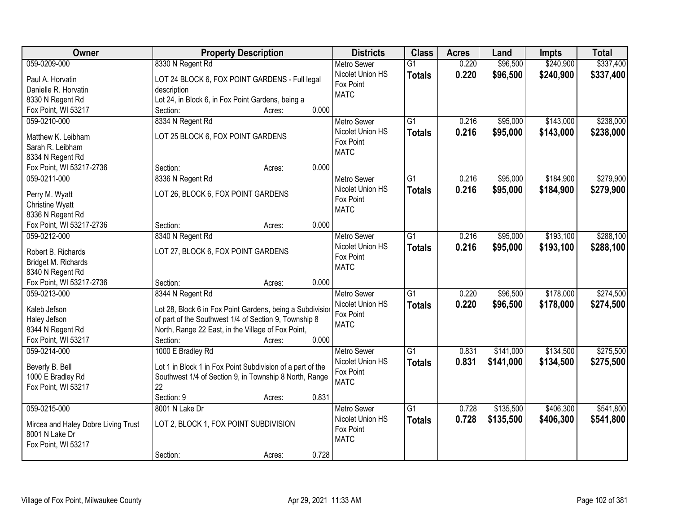| Owner                                        | <b>Property Description</b>                                | <b>Districts</b>              | <b>Class</b>    | <b>Acres</b> | Land      | <b>Impts</b> | <b>Total</b> |
|----------------------------------------------|------------------------------------------------------------|-------------------------------|-----------------|--------------|-----------|--------------|--------------|
| 059-0209-000                                 | 8330 N Regent Rd                                           | <b>Metro Sewer</b>            | $\overline{G1}$ | 0.220        | \$96,500  | \$240,900    | \$337,400    |
| Paul A. Horvatin                             | LOT 24 BLOCK 6, FOX POINT GARDENS - Full legal             | Nicolet Union HS              | <b>Totals</b>   | 0.220        | \$96,500  | \$240,900    | \$337,400    |
| Danielle R. Horvatin                         | description                                                | Fox Point                     |                 |              |           |              |              |
| 8330 N Regent Rd                             | Lot 24, in Block 6, in Fox Point Gardens, being a          | <b>MATC</b>                   |                 |              |           |              |              |
| Fox Point, WI 53217                          | 0.000<br>Section:<br>Acres:                                |                               |                 |              |           |              |              |
| 059-0210-000                                 | 8334 N Regent Rd                                           | <b>Metro Sewer</b>            | $\overline{G1}$ | 0.216        | \$95,000  | \$143,000    | \$238,000    |
|                                              |                                                            | Nicolet Union HS              | <b>Totals</b>   | 0.216        | \$95,000  | \$143,000    | \$238,000    |
| Matthew K. Leibham                           | LOT 25 BLOCK 6, FOX POINT GARDENS                          | Fox Point                     |                 |              |           |              |              |
| Sarah R. Leibham                             |                                                            | <b>MATC</b>                   |                 |              |           |              |              |
| 8334 N Regent Rd                             |                                                            |                               |                 |              |           |              |              |
| Fox Point, WI 53217-2736                     | 0.000<br>Section:<br>Acres:                                |                               |                 |              |           |              |              |
| 059-0211-000                                 | 8336 N Regent Rd                                           | <b>Metro Sewer</b>            | G1              | 0.216        | \$95,000  | \$184,900    | \$279,900    |
| Perry M. Wyatt                               | LOT 26, BLOCK 6, FOX POINT GARDENS                         | Nicolet Union HS              | <b>Totals</b>   | 0.216        | \$95,000  | \$184,900    | \$279,900    |
| <b>Christine Wyatt</b>                       |                                                            | Fox Point                     |                 |              |           |              |              |
| 8336 N Regent Rd                             |                                                            | <b>MATC</b>                   |                 |              |           |              |              |
| Fox Point, WI 53217-2736                     | 0.000<br>Section:<br>Acres:                                |                               |                 |              |           |              |              |
| 059-0212-000                                 | 8340 N Regent Rd                                           | <b>Metro Sewer</b>            | G1              | 0.216        | \$95,000  | \$193,100    | \$288,100    |
|                                              |                                                            | Nicolet Union HS              | <b>Totals</b>   | 0.216        | \$95,000  | \$193,100    | \$288,100    |
| Robert B. Richards                           | LOT 27, BLOCK 6, FOX POINT GARDENS                         | Fox Point                     |                 |              |           |              |              |
| Bridget M. Richards                          |                                                            | <b>MATC</b>                   |                 |              |           |              |              |
| 8340 N Regent Rd<br>Fox Point, WI 53217-2736 | 0.000                                                      |                               |                 |              |           |              |              |
| 059-0213-000                                 | Section:<br>Acres:                                         |                               | $\overline{G1}$ | 0.220        | \$96,500  | \$178,000    | \$274,500    |
|                                              | 8344 N Regent Rd                                           | Metro Sewer                   |                 |              |           |              |              |
| Kaleb Jefson                                 | Lot 28, Block 6 in Fox Point Gardens, being a Subdivisior  | Nicolet Union HS<br>Fox Point | <b>Totals</b>   | 0.220        | \$96,500  | \$178,000    | \$274,500    |
| Haley Jefson                                 | of part of the Southwest 1/4 of Section 9, Township 8      | <b>MATC</b>                   |                 |              |           |              |              |
| 8344 N Regent Rd                             | North, Range 22 East, in the Village of Fox Point,         |                               |                 |              |           |              |              |
| Fox Point, WI 53217                          | 0.000<br>Section:<br>Acres:                                |                               |                 |              |           |              |              |
| 059-0214-000                                 | 1000 E Bradley Rd                                          | Metro Sewer                   | $\overline{G1}$ | 0.831        | \$141,000 | \$134,500    | \$275,500    |
| Beverly B. Bell                              | Lot 1 in Block 1 in Fox Point Subdivision of a part of the | Nicolet Union HS              | <b>Totals</b>   | 0.831        | \$141,000 | \$134,500    | \$275,500    |
| 1000 E Bradley Rd                            | Southwest 1/4 of Section 9, in Township 8 North, Range     | Fox Point                     |                 |              |           |              |              |
| Fox Point, WI 53217                          | 22                                                         | <b>MATC</b>                   |                 |              |           |              |              |
|                                              | 0.831<br>Section: 9<br>Acres:                              |                               |                 |              |           |              |              |
| 059-0215-000                                 | 8001 N Lake Dr                                             | <b>Metro Sewer</b>            | $\overline{G1}$ | 0.728        | \$135,500 | \$406,300    | \$541,800    |
|                                              |                                                            | Nicolet Union HS              |                 | 0.728        | \$135,500 | \$406,300    |              |
| Mircea and Haley Dobre Living Trust          | LOT 2, BLOCK 1, FOX POINT SUBDIVISION                      | Fox Point                     | <b>Totals</b>   |              |           |              | \$541,800    |
| 8001 N Lake Dr                               |                                                            | <b>MATC</b>                   |                 |              |           |              |              |
| Fox Point, WI 53217                          |                                                            |                               |                 |              |           |              |              |
|                                              | 0.728<br>Section:<br>Acres:                                |                               |                 |              |           |              |              |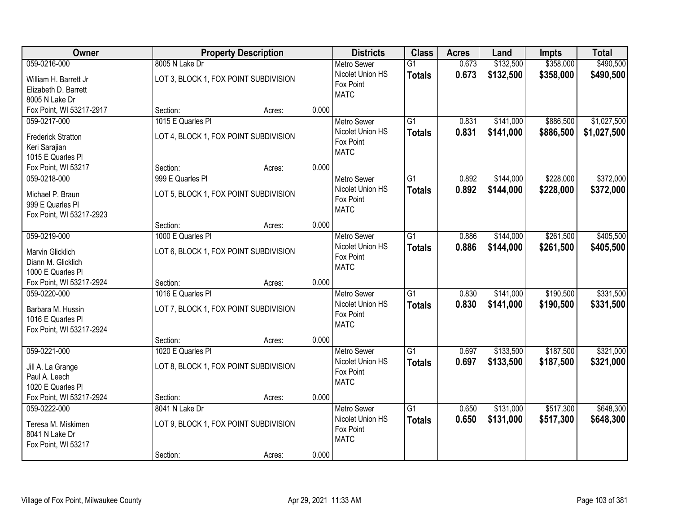| Owner                                  | <b>Property Description</b>             |       | <b>Districts</b>   | <b>Class</b>    | <b>Acres</b> | Land      | <b>Impts</b> | <b>Total</b> |
|----------------------------------------|-----------------------------------------|-------|--------------------|-----------------|--------------|-----------|--------------|--------------|
| 059-0216-000                           | 8005 N Lake Dr                          |       | <b>Metro Sewer</b> | $\overline{G1}$ | 0.673        | \$132,500 | \$358,000    | \$490,500    |
| William H. Barrett Jr                  | LOT 3, BLOCK 1, FOX POINT SUBDIVISION   |       | Nicolet Union HS   | <b>Totals</b>   | 0.673        | \$132,500 | \$358,000    | \$490,500    |
| Elizabeth D. Barrett                   |                                         |       | Fox Point          |                 |              |           |              |              |
| 8005 N Lake Dr                         |                                         |       | <b>MATC</b>        |                 |              |           |              |              |
| Fox Point, WI 53217-2917               | Section:<br>Acres:                      | 0.000 |                    |                 |              |           |              |              |
| 059-0217-000                           | 1015 E Quarles PI                       |       | <b>Metro Sewer</b> | $\overline{G1}$ | 0.831        | \$141,000 | \$886,500    | \$1,027,500  |
| <b>Frederick Stratton</b>              | LOT 4, BLOCK 1, FOX POINT SUBDIVISION   |       | Nicolet Union HS   | <b>Totals</b>   | 0.831        | \$141,000 | \$886,500    | \$1,027,500  |
| Keri Sarajian                          |                                         |       | Fox Point          |                 |              |           |              |              |
| 1015 E Quarles PI                      |                                         |       | <b>MATC</b>        |                 |              |           |              |              |
| Fox Point, WI 53217                    | Section:<br>Acres:                      | 0.000 |                    |                 |              |           |              |              |
| 059-0218-000                           | 999 E Quarles Pl                        |       | Metro Sewer        | G1              | 0.892        | \$144,000 | \$228,000    | \$372,000    |
| Michael P. Braun                       | LOT 5, BLOCK 1, FOX POINT SUBDIVISION   |       | Nicolet Union HS   | <b>Totals</b>   | 0.892        | \$144,000 | \$228,000    | \$372,000    |
| 999 E Quarles PI                       |                                         |       | Fox Point          |                 |              |           |              |              |
| Fox Point, WI 53217-2923               |                                         |       | <b>MATC</b>        |                 |              |           |              |              |
|                                        | Section:<br>Acres:                      | 0.000 |                    |                 |              |           |              |              |
| 059-0219-000                           | 1000 E Quarles Pl                       |       | <b>Metro Sewer</b> | G1              | 0.886        | \$144,000 | \$261,500    | \$405,500    |
|                                        |                                         |       | Nicolet Union HS   | <b>Totals</b>   | 0.886        | \$144,000 | \$261,500    | \$405,500    |
| Marvin Glicklich<br>Diann M. Glicklich | LOT 6, BLOCK 1, FOX POINT SUBDIVISION   |       | Fox Point          |                 |              |           |              |              |
| 1000 E Quarles Pl                      |                                         |       | <b>MATC</b>        |                 |              |           |              |              |
| Fox Point, WI 53217-2924               | Section:<br>Acres:                      | 0.000 |                    |                 |              |           |              |              |
| 059-0220-000                           | 1016 E Quarles PI                       |       | <b>Metro Sewer</b> | $\overline{G1}$ | 0.830        | \$141,000 | \$190,500    | \$331,500    |
|                                        |                                         |       | Nicolet Union HS   | <b>Totals</b>   | 0.830        | \$141,000 | \$190,500    | \$331,500    |
| Barbara M. Hussin                      | LOT 7, BLOCK 1, FOX POINT SUBDIVISION   |       | Fox Point          |                 |              |           |              |              |
| 1016 E Quarles PI                      |                                         |       | <b>MATC</b>        |                 |              |           |              |              |
| Fox Point, WI 53217-2924               |                                         | 0.000 |                    |                 |              |           |              |              |
| 059-0221-000                           | Section:<br>Acres:<br>1020 E Quarles PI |       | <b>Metro Sewer</b> | $\overline{G1}$ | 0.697        | \$133,500 | \$187,500    | \$321,000    |
|                                        |                                         |       | Nicolet Union HS   | <b>Totals</b>   | 0.697        | \$133,500 | \$187,500    | \$321,000    |
| Jill A. La Grange                      | LOT 8, BLOCK 1, FOX POINT SUBDIVISION   |       | Fox Point          |                 |              |           |              |              |
| Paul A. Leech                          |                                         |       | <b>MATC</b>        |                 |              |           |              |              |
| 1020 E Quarles PI                      |                                         |       |                    |                 |              |           |              |              |
| Fox Point, WI 53217-2924               | Section:<br>Acres:                      | 0.000 |                    |                 |              |           |              |              |
| 059-0222-000                           | 8041 N Lake Dr                          |       | <b>Metro Sewer</b> | $\overline{G1}$ | 0.650        | \$131,000 | \$517,300    | \$648,300    |
| Teresa M. Miskimen                     | LOT 9, BLOCK 1, FOX POINT SUBDIVISION   |       | Nicolet Union HS   | <b>Totals</b>   | 0.650        | \$131,000 | \$517,300    | \$648,300    |
| 8041 N Lake Dr                         |                                         |       | Fox Point          |                 |              |           |              |              |
| Fox Point, WI 53217                    |                                         |       | <b>MATC</b>        |                 |              |           |              |              |
|                                        | Section:<br>Acres:                      | 0.000 |                    |                 |              |           |              |              |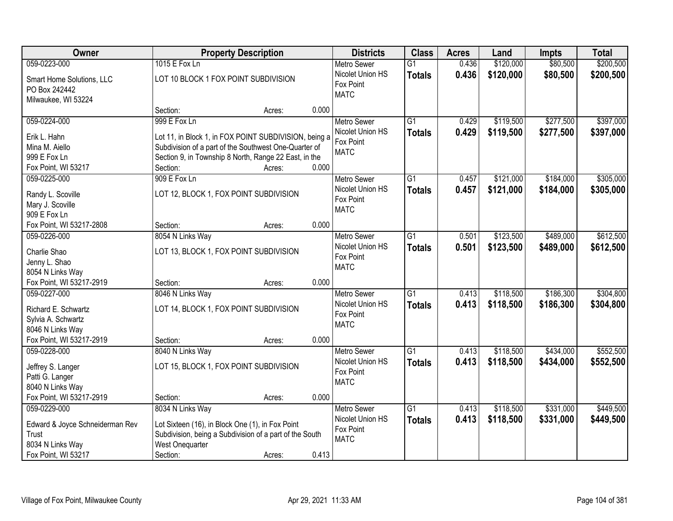| Owner                                                                                               |                                                        | <b>Property Description</b>                                                                                           |       | <b>Districts</b>                                                   | <b>Class</b>                     | <b>Acres</b>   | Land                   | <b>Impts</b>           | <b>Total</b>           |
|-----------------------------------------------------------------------------------------------------|--------------------------------------------------------|-----------------------------------------------------------------------------------------------------------------------|-------|--------------------------------------------------------------------|----------------------------------|----------------|------------------------|------------------------|------------------------|
| 059-0223-000                                                                                        | 1015 E Fox Ln                                          |                                                                                                                       |       | <b>Metro Sewer</b>                                                 | $\overline{G1}$                  | 0.436          | \$120,000              | \$80,500               | \$200,500              |
| Smart Home Solutions, LLC<br>PO Box 242442<br>Milwaukee, WI 53224                                   | LOT 10 BLOCK 1 FOX POINT SUBDIVISION                   |                                                                                                                       |       | Nicolet Union HS<br>Fox Point<br><b>MATC</b>                       | <b>Totals</b>                    | 0.436          | \$120,000              | \$80,500               | \$200,500              |
|                                                                                                     | Section:                                               | Acres:                                                                                                                | 0.000 |                                                                    |                                  |                |                        |                        |                        |
| 059-0224-000<br>Erik L. Hahn                                                                        | 999 E Fox Ln                                           | Lot 11, in Block 1, in FOX POINT SUBDIVISION, being a                                                                 |       | <b>Metro Sewer</b><br>Nicolet Union HS<br>Fox Point                | $\overline{G1}$<br><b>Totals</b> | 0.429<br>0.429 | \$119,500<br>\$119,500 | \$277,500<br>\$277,500 | \$397,000<br>\$397,000 |
| Mina M. Aiello<br>999 E Fox Ln                                                                      |                                                        | Subdivision of a part of the Southwest One-Quarter of<br>Section 9, in Township 8 North, Range 22 East, in the        |       | <b>MATC</b>                                                        |                                  |                |                        |                        |                        |
| Fox Point, WI 53217                                                                                 | Section:                                               | Acres:                                                                                                                | 0.000 |                                                                    |                                  |                |                        |                        |                        |
| 059-0225-000                                                                                        | 909 E Fox Ln                                           |                                                                                                                       |       | <b>Metro Sewer</b>                                                 | $\overline{G1}$                  | 0.457          | \$121,000              | \$184,000              | \$305,000              |
| Randy L. Scoville<br>Mary J. Scoville<br>909 E Fox Ln                                               |                                                        | LOT 12, BLOCK 1, FOX POINT SUBDIVISION                                                                                |       | Nicolet Union HS<br>Fox Point<br><b>MATC</b>                       | <b>Totals</b>                    | 0.457          | \$121,000              | \$184,000              | \$305,000              |
| Fox Point, WI 53217-2808                                                                            | Section:                                               | Acres:                                                                                                                | 0.000 |                                                                    |                                  |                |                        |                        |                        |
| 059-0226-000                                                                                        | 8054 N Links Way                                       |                                                                                                                       |       | <b>Metro Sewer</b>                                                 | $\overline{G1}$                  | 0.501          | \$123,500              | \$489,000              | \$612,500              |
| Charlie Shao<br>Jenny L. Shao<br>8054 N Links Way                                                   |                                                        | LOT 13, BLOCK 1, FOX POINT SUBDIVISION                                                                                |       | Nicolet Union HS<br>Fox Point<br><b>MATC</b>                       | <b>Totals</b>                    | 0.501          | \$123,500              | \$489,000              | \$612,500              |
| Fox Point, WI 53217-2919                                                                            | Section:                                               | Acres:                                                                                                                | 0.000 |                                                                    |                                  |                |                        |                        |                        |
| 059-0227-000<br>Richard E. Schwartz<br>Sylvia A. Schwartz<br>8046 N Links Way                       | 8046 N Links Way                                       | LOT 14, BLOCK 1, FOX POINT SUBDIVISION                                                                                |       | <b>Metro Sewer</b><br>Nicolet Union HS<br>Fox Point<br><b>MATC</b> | $\overline{G1}$<br><b>Totals</b> | 0.413<br>0.413 | \$118,500<br>\$118,500 | \$186,300<br>\$186,300 | \$304,800<br>\$304,800 |
| Fox Point, WI 53217-2919                                                                            | Section:                                               | Acres:                                                                                                                | 0.000 |                                                                    |                                  |                |                        |                        |                        |
| 059-0228-000<br>Jeffrey S. Langer<br>Patti G. Langer<br>8040 N Links Way                            | 8040 N Links Way                                       | LOT 15, BLOCK 1, FOX POINT SUBDIVISION                                                                                |       | Metro Sewer<br>Nicolet Union HS<br>Fox Point<br><b>MATC</b>        | $\overline{G1}$<br><b>Totals</b> | 0.413<br>0.413 | \$118,500<br>\$118,500 | \$434,000<br>\$434,000 | \$552,500<br>\$552,500 |
| Fox Point, WI 53217-2919                                                                            | Section:                                               | Acres:                                                                                                                | 0.000 |                                                                    |                                  |                |                        |                        |                        |
| 059-0229-000<br>Edward & Joyce Schneiderman Rev<br>Trust<br>8034 N Links Way<br>Fox Point, WI 53217 | 8034 N Links Way<br><b>West Onequarter</b><br>Section: | Lot Sixteen (16), in Block One (1), in Fox Point<br>Subdivision, being a Subdivision of a part of the South<br>Acres: | 0.413 | <b>Metro Sewer</b><br>Nicolet Union HS<br>Fox Point<br><b>MATC</b> | $\overline{G1}$<br><b>Totals</b> | 0.413<br>0.413 | \$118,500<br>\$118,500 | \$331,000<br>\$331,000 | \$449,500<br>\$449,500 |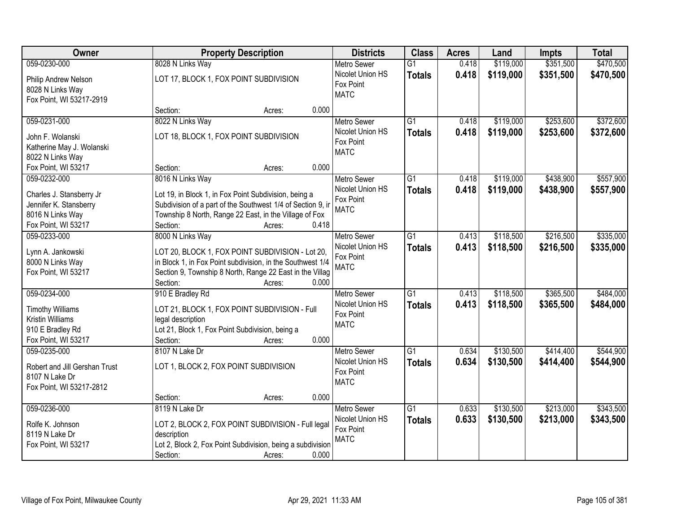| <b>Owner</b>                            | <b>Property Description</b>                                 | <b>Districts</b>              | <b>Class</b>    | <b>Acres</b> | Land      | <b>Impts</b> | <b>Total</b> |
|-----------------------------------------|-------------------------------------------------------------|-------------------------------|-----------------|--------------|-----------|--------------|--------------|
| 059-0230-000                            | 8028 N Links Way                                            | <b>Metro Sewer</b>            | $\overline{G1}$ | 0.418        | \$119,000 | \$351,500    | \$470,500    |
| Philip Andrew Nelson                    | LOT 17, BLOCK 1, FOX POINT SUBDIVISION                      | Nicolet Union HS              | <b>Totals</b>   | 0.418        | \$119,000 | \$351,500    | \$470,500    |
| 8028 N Links Way                        |                                                             | Fox Point                     |                 |              |           |              |              |
| Fox Point, WI 53217-2919                |                                                             | <b>MATC</b>                   |                 |              |           |              |              |
|                                         | 0.000<br>Section:<br>Acres:                                 |                               |                 |              |           |              |              |
| 059-0231-000                            | 8022 N Links Way                                            | <b>Metro Sewer</b>            | $\overline{G1}$ | 0.418        | \$119,000 | \$253,600    | \$372,600    |
| John F. Wolanski                        | LOT 18, BLOCK 1, FOX POINT SUBDIVISION                      | Nicolet Union HS              | <b>Totals</b>   | 0.418        | \$119,000 | \$253,600    | \$372,600    |
| Katherine May J. Wolanski               |                                                             | Fox Point                     |                 |              |           |              |              |
| 8022 N Links Way                        |                                                             | <b>MATC</b>                   |                 |              |           |              |              |
| Fox Point, WI 53217                     | 0.000<br>Section:<br>Acres:                                 |                               |                 |              |           |              |              |
| 059-0232-000                            | 8016 N Links Way                                            | Metro Sewer                   | G1              | 0.418        | \$119,000 | \$438,900    | \$557,900    |
|                                         |                                                             | Nicolet Union HS              | <b>Totals</b>   | 0.418        | \$119,000 | \$438,900    | \$557,900    |
| Charles J. Stansberry Jr                | Lot 19, in Block 1, in Fox Point Subdivision, being a       | Fox Point                     |                 |              |           |              |              |
| Jennifer K. Stansberry                  | Subdivision of a part of the Southwest 1/4 of Section 9, in | <b>MATC</b>                   |                 |              |           |              |              |
| 8016 N Links Way                        | Township 8 North, Range 22 East, in the Village of Fox      |                               |                 |              |           |              |              |
| Fox Point, WI 53217                     | 0.418<br>Section:<br>Acres:                                 |                               |                 |              |           |              |              |
| 059-0233-000                            | 8000 N Links Way                                            | <b>Metro Sewer</b>            | $\overline{G1}$ | 0.413        | \$118,500 | \$216,500    | \$335,000    |
| Lynn A. Jankowski                       | LOT 20, BLOCK 1, FOX POINT SUBDIVISION - Lot 20,            | Nicolet Union HS              | <b>Totals</b>   | 0.413        | \$118,500 | \$216,500    | \$335,000    |
| 8000 N Links Way                        | in Block 1, in Fox Point subdivision, in the Southwest 1/4  | Fox Point                     |                 |              |           |              |              |
| Fox Point, WI 53217                     | Section 9, Township 8 North, Range 22 East in the Villag    | <b>MATC</b>                   |                 |              |           |              |              |
|                                         | Section:<br>0.000<br>Acres:                                 |                               |                 |              |           |              |              |
| 059-0234-000                            | 910 E Bradley Rd                                            | <b>Metro Sewer</b>            | $\overline{G1}$ | 0.413        | \$118,500 | \$365,500    | \$484,000    |
|                                         |                                                             | Nicolet Union HS              | <b>Totals</b>   | 0.413        | \$118,500 | \$365,500    | \$484,000    |
| <b>Timothy Williams</b>                 | LOT 21, BLOCK 1, FOX POINT SUBDIVISION - Full               | Fox Point                     |                 |              |           |              |              |
| Kristin Williams                        | legal description                                           | <b>MATC</b>                   |                 |              |           |              |              |
| 910 E Bradley Rd<br>Fox Point, WI 53217 | Lot 21, Block 1, Fox Point Subdivision, being a<br>0.000    |                               |                 |              |           |              |              |
| 059-0235-000                            | Section:<br>Acres:                                          |                               | $\overline{G1}$ | 0.634        | \$130,500 | \$414,400    | \$544,900    |
|                                         | 8107 N Lake Dr                                              | Metro Sewer                   |                 |              |           |              |              |
| Robert and Jill Gershan Trust           | LOT 1, BLOCK 2, FOX POINT SUBDIVISION                       | Nicolet Union HS<br>Fox Point | <b>Totals</b>   | 0.634        | \$130,500 | \$414,400    | \$544,900    |
| 8107 N Lake Dr                          |                                                             | <b>MATC</b>                   |                 |              |           |              |              |
| Fox Point, WI 53217-2812                |                                                             |                               |                 |              |           |              |              |
|                                         | 0.000<br>Section:<br>Acres:                                 |                               |                 |              |           |              |              |
| 059-0236-000                            | 8119 N Lake Dr                                              | <b>Metro Sewer</b>            | $\overline{G1}$ | 0.633        | \$130,500 | \$213,000    | \$343,500    |
| Rolfe K. Johnson                        | LOT 2, BLOCK 2, FOX POINT SUBDIVISION - Full legal          | Nicolet Union HS              | <b>Totals</b>   | 0.633        | \$130,500 | \$213,000    | \$343,500    |
| 8119 N Lake Dr                          | description                                                 | Fox Point                     |                 |              |           |              |              |
| Fox Point, WI 53217                     | Lot 2, Block 2, Fox Point Subdivision, being a subdivision  | <b>MATC</b>                   |                 |              |           |              |              |
|                                         | Section:<br>0.000<br>Acres:                                 |                               |                 |              |           |              |              |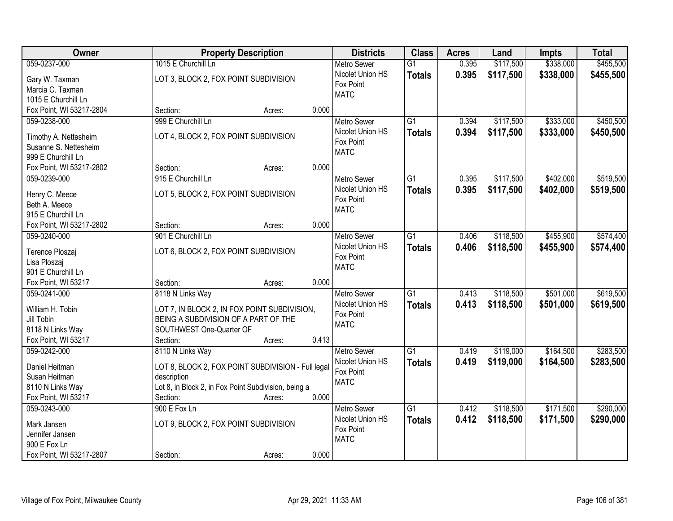| Owner                    | <b>Property Description</b>                          | <b>Districts</b>   | <b>Class</b>    | <b>Acres</b> | Land      | <b>Impts</b> | <b>Total</b> |
|--------------------------|------------------------------------------------------|--------------------|-----------------|--------------|-----------|--------------|--------------|
| 059-0237-000             | 1015 E Churchill Ln                                  | <b>Metro Sewer</b> | $\overline{G1}$ | 0.395        | \$117,500 | \$338,000    | \$455,500    |
| Gary W. Taxman           | LOT 3, BLOCK 2, FOX POINT SUBDIVISION                | Nicolet Union HS   | <b>Totals</b>   | 0.395        | \$117,500 | \$338,000    | \$455,500    |
| Marcia C. Taxman         |                                                      | Fox Point          |                 |              |           |              |              |
| 1015 E Churchill Ln      |                                                      | <b>MATC</b>        |                 |              |           |              |              |
| Fox Point, WI 53217-2804 | 0.000<br>Section:<br>Acres:                          |                    |                 |              |           |              |              |
| 059-0238-000             | 999 E Churchill Ln                                   | <b>Metro Sewer</b> | $\overline{G1}$ | 0.394        | \$117,500 | \$333,000    | \$450,500    |
|                          |                                                      | Nicolet Union HS   | <b>Totals</b>   | 0.394        | \$117,500 | \$333,000    | \$450,500    |
| Timothy A. Nettesheim    | LOT 4, BLOCK 2, FOX POINT SUBDIVISION                | Fox Point          |                 |              |           |              |              |
| Susanne S. Nettesheim    |                                                      | <b>MATC</b>        |                 |              |           |              |              |
| 999 E Churchill Ln       |                                                      |                    |                 |              |           |              |              |
| Fox Point, WI 53217-2802 | 0.000<br>Section:<br>Acres:                          |                    |                 |              |           |              |              |
| 059-0239-000             | 915 E Churchill Ln                                   | <b>Metro Sewer</b> | $\overline{G1}$ | 0.395        | \$117,500 | \$402,000    | \$519,500    |
| Henry C. Meece           | LOT 5, BLOCK 2, FOX POINT SUBDIVISION                | Nicolet Union HS   | <b>Totals</b>   | 0.395        | \$117,500 | \$402,000    | \$519,500    |
| Beth A. Meece            |                                                      | Fox Point          |                 |              |           |              |              |
| 915 E Churchill Ln       |                                                      | <b>MATC</b>        |                 |              |           |              |              |
| Fox Point, WI 53217-2802 | 0.000<br>Section:<br>Acres:                          |                    |                 |              |           |              |              |
| 059-0240-000             | 901 E Churchill Ln                                   | <b>Metro Sewer</b> | $\overline{G1}$ | 0.406        | \$118,500 | \$455,900    | \$574,400    |
|                          |                                                      | Nicolet Union HS   | <b>Totals</b>   | 0.406        | \$118,500 | \$455,900    | \$574,400    |
| Terence Ploszaj          | LOT 6, BLOCK 2, FOX POINT SUBDIVISION                | Fox Point          |                 |              |           |              |              |
| Lisa Ploszaj             |                                                      | <b>MATC</b>        |                 |              |           |              |              |
| 901 E Churchill Ln       |                                                      |                    |                 |              |           |              |              |
| Fox Point, WI 53217      | 0.000<br>Section:<br>Acres:                          |                    |                 |              |           |              |              |
| 059-0241-000             | 8118 N Links Way                                     | <b>Metro Sewer</b> | $\overline{G1}$ | 0.413        | \$118,500 | \$501,000    | \$619,500    |
| William H. Tobin         | LOT 7, IN BLOCK 2, IN FOX POINT SUBDIVISION,         | Nicolet Union HS   | <b>Totals</b>   | 0.413        | \$118,500 | \$501,000    | \$619,500    |
| Jill Tobin               | BEING A SUBDIVISION OF A PART OF THE                 | Fox Point          |                 |              |           |              |              |
| 8118 N Links Way         | SOUTHWEST One-Quarter OF                             | <b>MATC</b>        |                 |              |           |              |              |
| Fox Point, WI 53217      | Section:<br>0.413<br>Acres:                          |                    |                 |              |           |              |              |
| 059-0242-000             | 8110 N Links Way                                     | <b>Metro Sewer</b> | $\overline{G1}$ | 0.419        | \$119,000 | \$164,500    | \$283,500    |
|                          |                                                      | Nicolet Union HS   |                 | 0.419        |           |              |              |
| Daniel Heitman           | LOT 8, BLOCK 2, FOX POINT SUBDIVISION - Full legal   | Fox Point          | <b>Totals</b>   |              | \$119,000 | \$164,500    | \$283,500    |
| Susan Heitman            | description                                          | <b>MATC</b>        |                 |              |           |              |              |
| 8110 N Links Way         | Lot 8, in Block 2, in Fox Point Subdivision, being a |                    |                 |              |           |              |              |
| Fox Point, WI 53217      | 0.000<br>Section:<br>Acres:                          |                    |                 |              |           |              |              |
| 059-0243-000             | 900 E Fox Ln                                         | <b>Metro Sewer</b> | $\overline{G1}$ | 0.412        | \$118,500 | \$171,500    | \$290,000    |
| Mark Jansen              | LOT 9, BLOCK 2, FOX POINT SUBDIVISION                | Nicolet Union HS   | <b>Totals</b>   | 0.412        | \$118,500 | \$171,500    | \$290,000    |
| Jennifer Jansen          |                                                      | Fox Point          |                 |              |           |              |              |
| 900 E Fox Ln             |                                                      | <b>MATC</b>        |                 |              |           |              |              |
|                          | 0.000                                                |                    |                 |              |           |              |              |
| Fox Point, WI 53217-2807 | Section:<br>Acres:                                   |                    |                 |              |           |              |              |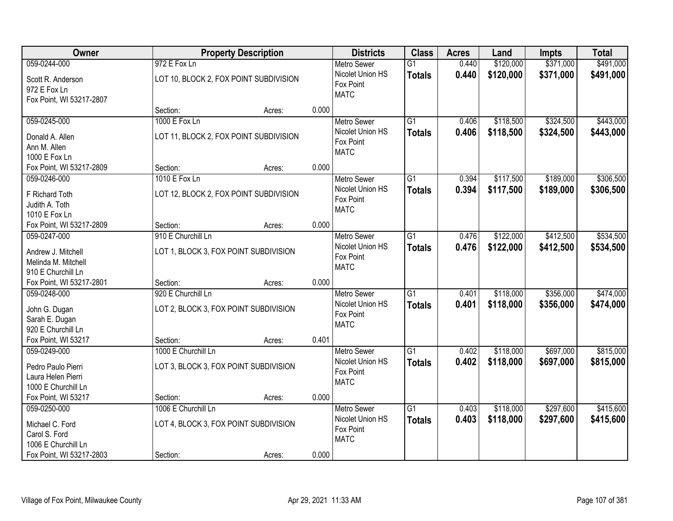| Owner                                     |                                        | <b>Property Description</b>            |       | <b>Districts</b>                             | <b>Class</b>    | <b>Acres</b> | Land      | <b>Impts</b> | <b>Total</b> |
|-------------------------------------------|----------------------------------------|----------------------------------------|-------|----------------------------------------------|-----------------|--------------|-----------|--------------|--------------|
| 059-0244-000                              | 972 E Fox Ln                           |                                        |       | <b>Metro Sewer</b>                           | $\overline{G1}$ | 0.440        | \$120,000 | \$371,000    | \$491,000    |
| Scott R. Anderson<br>972 E Fox Ln         | LOT 10, BLOCK 2, FOX POINT SUBDIVISION |                                        |       | Nicolet Union HS<br>Fox Point<br><b>MATC</b> | <b>Totals</b>   | 0.440        | \$120,000 | \$371,000    | \$491,000    |
| Fox Point, WI 53217-2807                  |                                        |                                        |       |                                              |                 |              |           |              |              |
|                                           | Section:                               | Acres:                                 | 0.000 |                                              |                 |              |           |              |              |
| 059-0245-000                              | 1000 E Fox Ln                          |                                        |       | <b>Metro Sewer</b>                           | $\overline{G1}$ | 0.406        | \$118,500 | \$324,500    | \$443,000    |
| Donald A. Allen                           |                                        | LOT 11, BLOCK 2, FOX POINT SUBDIVISION |       | Nicolet Union HS                             | <b>Totals</b>   | 0.406        | \$118,500 | \$324,500    | \$443,000    |
| Ann M. Allen                              |                                        |                                        |       | Fox Point                                    |                 |              |           |              |              |
| 1000 E Fox Ln                             |                                        |                                        |       | <b>MATC</b>                                  |                 |              |           |              |              |
| Fox Point, WI 53217-2809                  | Section:                               | Acres:                                 | 0.000 |                                              |                 |              |           |              |              |
| 059-0246-000                              | 1010 E Fox Ln                          |                                        |       | <b>Metro Sewer</b>                           | G1              | 0.394        | \$117,500 | \$189,000    | \$306,500    |
|                                           | LOT 12, BLOCK 2, FOX POINT SUBDIVISION |                                        |       | Nicolet Union HS                             | <b>Totals</b>   | 0.394        | \$117,500 | \$189,000    | \$306,500    |
| F Richard Toth<br>Judith A. Toth          |                                        |                                        |       | Fox Point                                    |                 |              |           |              |              |
| 1010 E Fox Ln                             |                                        |                                        |       | <b>MATC</b>                                  |                 |              |           |              |              |
| Fox Point, WI 53217-2809                  | Section:                               | Acres:                                 | 0.000 |                                              |                 |              |           |              |              |
| 059-0247-000                              | 910 E Churchill Ln                     |                                        |       | <b>Metro Sewer</b>                           | G1              | 0.476        | \$122,000 | \$412,500    | \$534,500    |
|                                           |                                        |                                        |       | Nicolet Union HS                             | <b>Totals</b>   | 0.476        | \$122,000 | \$412,500    | \$534,500    |
| Andrew J. Mitchell                        | LOT 1, BLOCK 3, FOX POINT SUBDIVISION  |                                        |       | Fox Point                                    |                 |              |           |              |              |
| Melinda M. Mitchell                       |                                        |                                        |       | <b>MATC</b>                                  |                 |              |           |              |              |
| 910 E Churchill Ln                        |                                        |                                        |       |                                              |                 |              |           |              |              |
| Fox Point, WI 53217-2801                  | Section:                               | Acres:                                 | 0.000 |                                              |                 |              |           |              |              |
| 059-0248-000                              | 920 E Churchill Ln                     |                                        |       | Metro Sewer                                  | $\overline{G1}$ | 0.401        | \$118,000 | \$356,000    | \$474,000    |
| John G. Dugan                             | LOT 2, BLOCK 3, FOX POINT SUBDIVISION  |                                        |       | Nicolet Union HS                             | <b>Totals</b>   | 0.401        | \$118,000 | \$356,000    | \$474,000    |
| Sarah E. Dugan                            |                                        |                                        |       | Fox Point                                    |                 |              |           |              |              |
| 920 E Churchill Ln                        |                                        |                                        |       | <b>MATC</b>                                  |                 |              |           |              |              |
| Fox Point, WI 53217                       | Section:                               | Acres:                                 | 0.401 |                                              |                 |              |           |              |              |
| 059-0249-000                              | 1000 E Churchill Ln                    |                                        |       | Metro Sewer                                  | $\overline{G1}$ | 0.402        | \$118,000 | \$697,000    | \$815,000    |
|                                           |                                        |                                        |       | Nicolet Union HS                             | <b>Totals</b>   | 0.402        | \$118,000 | \$697,000    | \$815,000    |
| Pedro Paulo Pierri                        | LOT 3, BLOCK 3, FOX POINT SUBDIVISION  |                                        |       | Fox Point                                    |                 |              |           |              |              |
| Laura Helen Pierri<br>1000 E Churchill Ln |                                        |                                        |       | <b>MATC</b>                                  |                 |              |           |              |              |
| Fox Point, WI 53217                       | Section:                               | Acres:                                 | 0.000 |                                              |                 |              |           |              |              |
| 059-0250-000                              | 1006 E Churchill Ln                    |                                        |       | <b>Metro Sewer</b>                           | $\overline{G1}$ | 0.403        | \$118,000 | \$297,600    | \$415,600    |
|                                           |                                        |                                        |       | Nicolet Union HS                             |                 |              |           |              |              |
| Michael C. Ford                           | LOT 4, BLOCK 3, FOX POINT SUBDIVISION  |                                        |       | Fox Point                                    | <b>Totals</b>   | 0.403        | \$118,000 | \$297,600    | \$415,600    |
| Carol S. Ford                             |                                        |                                        |       | <b>MATC</b>                                  |                 |              |           |              |              |
| 1006 E Churchill Ln                       |                                        |                                        |       |                                              |                 |              |           |              |              |
| Fox Point, WI 53217-2803                  | Section:                               | Acres:                                 | 0.000 |                                              |                 |              |           |              |              |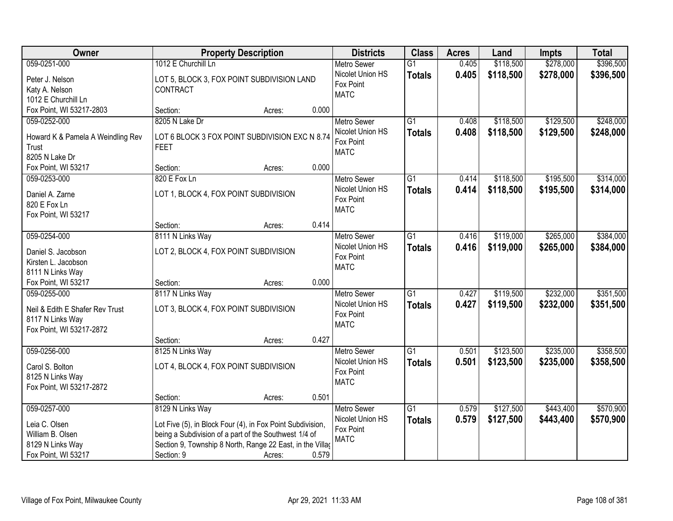| 059-0251-000<br>1012 E Churchill Ln<br>0.405<br>\$118,500<br>\$278,000<br><b>Metro Sewer</b><br>$\overline{G1}$                                     | \$396,500 |
|-----------------------------------------------------------------------------------------------------------------------------------------------------|-----------|
| Nicolet Union HS<br>0.405<br>\$118,500<br>\$278,000<br><b>Totals</b><br>LOT 5, BLOCK 3, FOX POINT SUBDIVISION LAND<br>Peter J. Nelson               | \$396,500 |
| Fox Point<br>Katy A. Nelson<br>CONTRACT                                                                                                             |           |
| <b>MATC</b><br>1012 E Churchill Ln                                                                                                                  |           |
| Fox Point, WI 53217-2803<br>0.000<br>Section:<br>Acres:                                                                                             |           |
| \$129,500<br>059-0252-000<br>8205 N Lake Dr<br>$\overline{G1}$<br>0.408<br>\$118,500<br><b>Metro Sewer</b>                                          | \$248,000 |
| 0.408<br>\$118,500<br>\$129,500<br>Nicolet Union HS<br><b>Totals</b>                                                                                | \$248,000 |
| Howard K & Pamela A Weindling Rev<br>LOT 6 BLOCK 3 FOX POINT SUBDIVISION EXC N 8.74<br>Fox Point                                                    |           |
| Trust<br><b>FEET</b><br><b>MATC</b><br>8205 N Lake Dr                                                                                               |           |
| 0.000<br>Fox Point, WI 53217<br>Section:                                                                                                            |           |
| Acres:<br>\$118,500<br>\$195,500<br>059-0253-000<br>820 E Fox Ln<br>$\overline{G1}$<br><b>Metro Sewer</b><br>0.414                                  | \$314,000 |
| Nicolet Union HS                                                                                                                                    |           |
| 0.414<br>\$118,500<br>\$195,500<br><b>Totals</b><br>Daniel A. Zarne<br>LOT 1, BLOCK 4, FOX POINT SUBDIVISION<br>Fox Point                           | \$314,000 |
| 820 E Fox Ln<br><b>MATC</b>                                                                                                                         |           |
| Fox Point, WI 53217                                                                                                                                 |           |
| 0.414<br>Section:<br>Acres:                                                                                                                         |           |
| 059-0254-000<br>8111 N Links Way<br>$\overline{G1}$<br>\$119,000<br>\$265,000<br><b>Metro Sewer</b><br>0.416                                        | \$384,000 |
| Nicolet Union HS<br>0.416<br>\$119,000<br>\$265,000<br><b>Totals</b><br>LOT 2, BLOCK 4, FOX POINT SUBDIVISION<br>Daniel S. Jacobson                 | \$384,000 |
| Fox Point<br>Kirsten L. Jacobson                                                                                                                    |           |
| <b>MATC</b><br>8111 N Links Way                                                                                                                     |           |
| 0.000<br>Fox Point, WI 53217<br>Section:<br>Acres:                                                                                                  |           |
| \$232,000<br>8117 N Links Way<br>$\overline{G1}$<br>0.427<br>\$119,500<br>059-0255-000<br><b>Metro Sewer</b>                                        | \$351,500 |
| 0.427<br>\$119,500<br>Nicolet Union HS<br>Totals<br>\$232,000                                                                                       | \$351,500 |
| LOT 3, BLOCK 4, FOX POINT SUBDIVISION<br>Neil & Edith E Shafer Rev Trust<br>Fox Point                                                               |           |
| 8117 N Links Way<br><b>MATC</b>                                                                                                                     |           |
| Fox Point, WI 53217-2872                                                                                                                            |           |
| 0.427<br>Section:<br>Acres:                                                                                                                         |           |
| $\overline{G1}$<br>\$123,500<br>\$235,000<br>059-0256-000<br>8125 N Links Way<br>Metro Sewer<br>0.501                                               | \$358,500 |
| Nicolet Union HS<br>0.501<br>\$123,500<br>\$235,000<br><b>Totals</b><br>Carol S. Bolton<br>LOT 4, BLOCK 4, FOX POINT SUBDIVISION                    | \$358,500 |
| Fox Point<br>8125 N Links Way<br><b>MATC</b>                                                                                                        |           |
| Fox Point, WI 53217-2872                                                                                                                            |           |
| 0.501<br>Section:<br>Acres:                                                                                                                         |           |
| 059-0257-000<br>8129 N Links Way<br>$\overline{G1}$<br>\$127,500<br>\$443,400<br><b>Metro Sewer</b><br>0.579                                        | \$570,900 |
| Nicolet Union HS<br>0.579<br>\$127,500<br>\$443,400<br><b>Totals</b><br>Leia C. Olsen<br>Lot Five (5), in Block Four (4), in Fox Point Subdivision, | \$570,900 |
| Fox Point<br>William B. Olsen<br>being a Subdivision of a part of the Southwest 1/4 of                                                              |           |
| <b>MATC</b><br>Section 9, Township 8 North, Range 22 East, in the Villag<br>8129 N Links Way                                                        |           |
| 0.579<br>Fox Point, WI 53217<br>Section: 9<br>Acres:                                                                                                |           |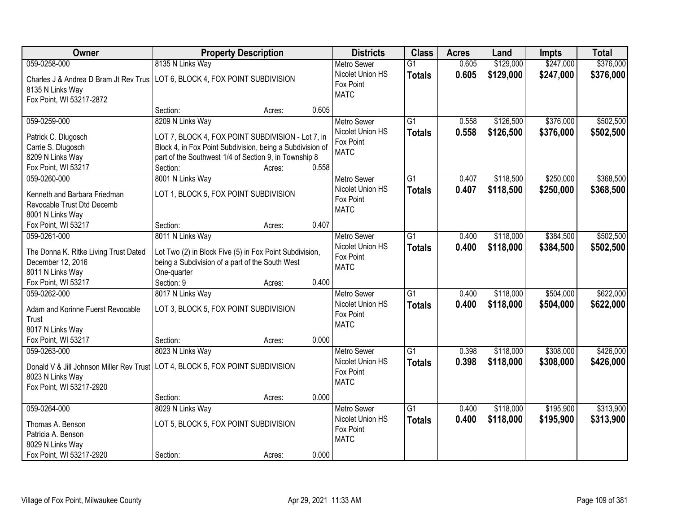| Owner<br><b>Districts</b><br><b>Class</b><br><b>Property Description</b><br><b>Acres</b><br>Land                                                                                                                     | Impts     | <b>Total</b> |
|----------------------------------------------------------------------------------------------------------------------------------------------------------------------------------------------------------------------|-----------|--------------|
| 8135 N Links Way<br>0.605<br>\$129,000<br>059-0258-000<br>$\overline{G1}$<br><b>Metro Sewer</b>                                                                                                                      | \$247,000 | \$376,000    |
| Nicolet Union HS<br>0.605<br>\$129,000<br><b>Totals</b><br>Charles J & Andrea D Bram Jt Rev Trus   LOT 6, BLOCK 4, FOX POINT SUBDIVISION<br>Fox Point<br>8135 N Links Way<br><b>MATC</b><br>Fox Point, WI 53217-2872 | \$247,000 | \$376,000    |
| 0.605<br>Section:<br>Acres:                                                                                                                                                                                          |           |              |
| 8209 N Links Way<br>$\overline{G1}$<br>\$126,500<br>059-0259-000<br>0.558<br><b>Metro Sewer</b><br>Nicolet Union HS                                                                                                  | \$376,000 | \$502,500    |
| 0.558<br>\$126,500<br><b>Totals</b><br>LOT 7, BLOCK 4, FOX POINT SUBDIVISION - Lot 7, in<br>Patrick C. Dlugosch<br>Fox Point                                                                                         | \$376,000 | \$502,500    |
| Carrie S. Dlugosch<br>Block 4, in Fox Point Subdivision, being a Subdivision of<br><b>MATC</b>                                                                                                                       |           |              |
| 8209 N Links Way<br>part of the Southwest 1/4 of Section 9, in Township 8                                                                                                                                            |           |              |
| 0.558<br>Fox Point, WI 53217<br>Section:<br>Acres:                                                                                                                                                                   |           |              |
| 8001 N Links Way<br>059-0260-000<br>G1<br>\$118,500<br><b>Metro Sewer</b><br>0.407                                                                                                                                   | \$250,000 | \$368,500    |
| Nicolet Union HS<br>0.407<br>\$118,500<br><b>Totals</b><br>LOT 1, BLOCK 5, FOX POINT SUBDIVISION<br>Kenneth and Barbara Friedman                                                                                     | \$250,000 | \$368,500    |
| Fox Point<br>Revocable Trust Dtd Decemb                                                                                                                                                                              |           |              |
| <b>MATC</b><br>8001 N Links Way                                                                                                                                                                                      |           |              |
| 0.407<br>Fox Point, WI 53217<br>Section:<br>Acres:                                                                                                                                                                   |           |              |
| 059-0261-000<br>8011 N Links Way<br>\$118,000<br>G1<br><b>Metro Sewer</b><br>0.400                                                                                                                                   | \$384,500 | \$502,500    |
| Nicolet Union HS<br>0.400<br>\$118,000<br><b>Totals</b>                                                                                                                                                              | \$384,500 | \$502,500    |
| The Donna K. Ritke Living Trust Dated<br>Lot Two (2) in Block Five (5) in Fox Point Subdivision,<br>Fox Point                                                                                                        |           |              |
| December 12, 2016<br>being a Subdivision of a part of the South West<br><b>MATC</b>                                                                                                                                  |           |              |
| 8011 N Links Way<br>One-quarter                                                                                                                                                                                      |           |              |
| 0.400<br>Fox Point, WI 53217<br>Section: 9<br>Acres:                                                                                                                                                                 |           |              |
| 059-0262-000<br>8017 N Links Way<br>$\overline{G1}$<br>0.400<br>\$118,000<br>Metro Sewer                                                                                                                             | \$504,000 | \$622,000    |
| Nicolet Union HS<br>0.400<br>\$118,000<br><b>Totals</b><br>LOT 3, BLOCK 5, FOX POINT SUBDIVISION<br>Adam and Korinne Fuerst Revocable                                                                                | \$504,000 | \$622,000    |
| Fox Point<br>Trust                                                                                                                                                                                                   |           |              |
| <b>MATC</b><br>8017 N Links Way                                                                                                                                                                                      |           |              |
| Fox Point, WI 53217<br>0.000<br>Section:<br>Acres:                                                                                                                                                                   |           |              |
| $\overline{G1}$<br>059-0263-000<br>8023 N Links Way<br>0.398<br>\$118,000<br><b>Metro Sewer</b>                                                                                                                      | \$308,000 | \$426,000    |
| Nicolet Union HS<br>0.398<br>\$118,000                                                                                                                                                                               | \$308,000 |              |
| <b>Totals</b><br>Donald V & Jill Johnson Miller Rev Trust LOT 4, BLOCK 5, FOX POINT SUBDIVISION<br>Fox Point                                                                                                         |           | \$426,000    |
| 8023 N Links Way<br><b>MATC</b>                                                                                                                                                                                      |           |              |
| Fox Point, WI 53217-2920                                                                                                                                                                                             |           |              |
| 0.000<br>Section:<br>Acres:                                                                                                                                                                                          |           |              |
| $\overline{G1}$<br>\$118,000<br>059-0264-000<br>8029 N Links Way<br>0.400<br><b>Metro Sewer</b>                                                                                                                      | \$195,900 | \$313,900    |
| Nicolet Union HS<br>0.400<br>\$118,000<br><b>Totals</b><br>LOT 5, BLOCK 5, FOX POINT SUBDIVISION<br>Thomas A. Benson                                                                                                 | \$195,900 | \$313,900    |
| Fox Point<br>Patricia A. Benson                                                                                                                                                                                      |           |              |
| <b>MATC</b><br>8029 N Links Way                                                                                                                                                                                      |           |              |
| 0.000<br>Fox Point, WI 53217-2920<br>Section:<br>Acres:                                                                                                                                                              |           |              |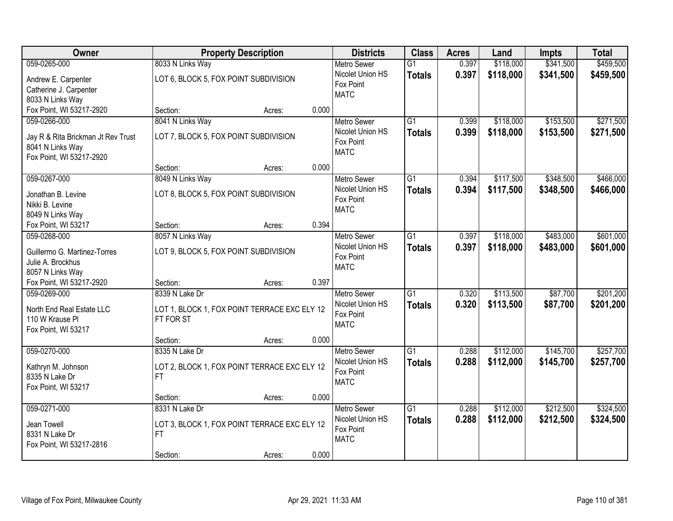| Owner                              | <b>Property Description</b>                               |                 | <b>Districts</b>   | <b>Class</b>    | <b>Acres</b> | Land      | Impts     | <b>Total</b> |
|------------------------------------|-----------------------------------------------------------|-----------------|--------------------|-----------------|--------------|-----------|-----------|--------------|
| 059-0265-000                       | 8033 N Links Way                                          |                 | <b>Metro Sewer</b> | $\overline{G1}$ | 0.397        | \$118,000 | \$341,500 | \$459,500    |
| Andrew E. Carpenter                | LOT 6, BLOCK 5, FOX POINT SUBDIVISION                     |                 | Nicolet Union HS   | <b>Totals</b>   | 0.397        | \$118,000 | \$341,500 | \$459,500    |
| Catherine J. Carpenter             |                                                           |                 | Fox Point          |                 |              |           |           |              |
| 8033 N Links Way                   |                                                           |                 | <b>MATC</b>        |                 |              |           |           |              |
| Fox Point, WI 53217-2920           | Section:                                                  | 0.000<br>Acres: |                    |                 |              |           |           |              |
| 059-0266-000                       | 8041 N Links Way                                          |                 | <b>Metro Sewer</b> | $\overline{G1}$ | 0.399        | \$118,000 | \$153,500 | \$271,500    |
| Jay R & Rita Brickman Jt Rev Trust | LOT 7, BLOCK 5, FOX POINT SUBDIVISION                     |                 | Nicolet Union HS   | <b>Totals</b>   | 0.399        | \$118,000 | \$153,500 | \$271,500    |
| 8041 N Links Way                   |                                                           |                 | Fox Point          |                 |              |           |           |              |
| Fox Point, WI 53217-2920           |                                                           |                 | <b>MATC</b>        |                 |              |           |           |              |
|                                    | Section:                                                  | 0.000<br>Acres: |                    |                 |              |           |           |              |
| 059-0267-000                       | 8049 N Links Way                                          |                 | Metro Sewer        | G1              | 0.394        | \$117,500 | \$348,500 | \$466,000    |
| Jonathan B. Levine                 | LOT 8, BLOCK 5, FOX POINT SUBDIVISION                     |                 | Nicolet Union HS   | <b>Totals</b>   | 0.394        | \$117,500 | \$348,500 | \$466,000    |
| Nikki B. Levine                    |                                                           |                 | Fox Point          |                 |              |           |           |              |
| 8049 N Links Way                   |                                                           |                 | <b>MATC</b>        |                 |              |           |           |              |
| Fox Point, WI 53217                | Section:                                                  | 0.394<br>Acres: |                    |                 |              |           |           |              |
| 059-0268-000                       | 8057 N Links Way                                          |                 | <b>Metro Sewer</b> | G1              | 0.397        | \$118,000 | \$483,000 | \$601,000    |
| Guillermo G. Martinez-Torres       | LOT 9, BLOCK 5, FOX POINT SUBDIVISION                     |                 | Nicolet Union HS   | <b>Totals</b>   | 0.397        | \$118,000 | \$483,000 | \$601,000    |
| Julie A. Brockhus                  |                                                           |                 | Fox Point          |                 |              |           |           |              |
| 8057 N Links Way                   |                                                           |                 | <b>MATC</b>        |                 |              |           |           |              |
| Fox Point, WI 53217-2920           | Section:                                                  | 0.397<br>Acres: |                    |                 |              |           |           |              |
| 059-0269-000                       | 8339 N Lake Dr                                            |                 | <b>Metro Sewer</b> | $\overline{G1}$ | 0.320        | \$113,500 | \$87,700  | \$201,200    |
| North End Real Estate LLC          |                                                           |                 | Nicolet Union HS   | <b>Totals</b>   | 0.320        | \$113,500 | \$87,700  | \$201,200    |
| 110 W Krause Pl                    | LOT 1, BLOCK 1, FOX POINT TERRACE EXC ELY 12<br>FT FOR ST |                 | Fox Point          |                 |              |           |           |              |
| Fox Point, WI 53217                |                                                           |                 | <b>MATC</b>        |                 |              |           |           |              |
|                                    | Section:                                                  | 0.000<br>Acres: |                    |                 |              |           |           |              |
| 059-0270-000                       | 8335 N Lake Dr                                            |                 | Metro Sewer        | $\overline{G1}$ | 0.288        | \$112,000 | \$145,700 | \$257,700    |
| Kathryn M. Johnson                 | LOT 2, BLOCK 1, FOX POINT TERRACE EXC ELY 12              |                 | Nicolet Union HS   | <b>Totals</b>   | 0.288        | \$112,000 | \$145,700 | \$257,700    |
| 8335 N Lake Dr                     | <b>FT</b>                                                 |                 | Fox Point          |                 |              |           |           |              |
| Fox Point, WI 53217                |                                                           |                 | <b>MATC</b>        |                 |              |           |           |              |
|                                    | Section:                                                  | 0.000<br>Acres: |                    |                 |              |           |           |              |
| 059-0271-000                       | 8331 N Lake Dr                                            |                 | <b>Metro Sewer</b> | $\overline{G1}$ | 0.288        | \$112,000 | \$212,500 | \$324,500    |
|                                    |                                                           |                 | Nicolet Union HS   | <b>Totals</b>   | 0.288        | \$112,000 | \$212,500 | \$324,500    |
| Jean Towell<br>8331 N Lake Dr      | LOT 3, BLOCK 1, FOX POINT TERRACE EXC ELY 12<br><b>FT</b> |                 | Fox Point          |                 |              |           |           |              |
| Fox Point, WI 53217-2816           |                                                           |                 | <b>MATC</b>        |                 |              |           |           |              |
|                                    | Section:                                                  | 0.000<br>Acres: |                    |                 |              |           |           |              |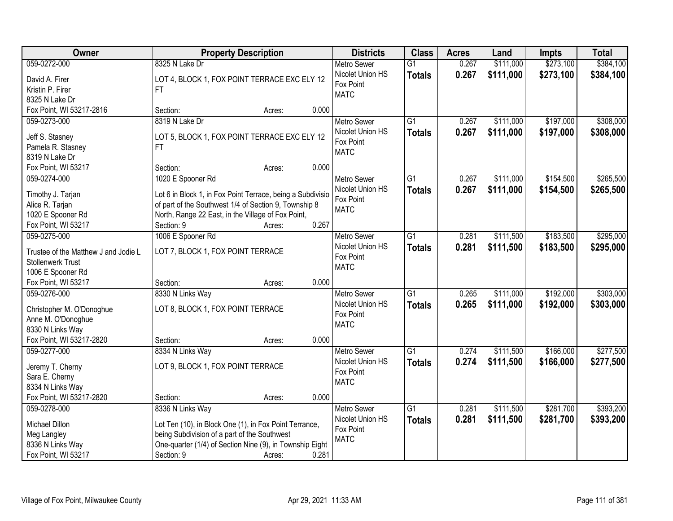| \$273,100<br>\$384,100<br>059-0272-000<br>8325 N Lake Dr<br>0.267<br>\$111,000<br><b>Metro Sewer</b><br>$\overline{G1}$                                        |  |
|----------------------------------------------------------------------------------------------------------------------------------------------------------------|--|
|                                                                                                                                                                |  |
| 0.267<br>Nicolet Union HS<br>\$111,000<br>\$273,100<br>\$384,100<br><b>Totals</b><br>LOT 4, BLOCK 1, FOX POINT TERRACE EXC ELY 12<br>David A. Firer            |  |
| Fox Point<br>Kristin P. Firer<br>FT.                                                                                                                           |  |
| <b>MATC</b><br>8325 N Lake Dr                                                                                                                                  |  |
| Fox Point, WI 53217-2816<br>0.000<br>Section:<br>Acres:                                                                                                        |  |
| $\overline{G1}$<br>\$197,000<br>\$308,000<br>059-0273-000<br>8319 N Lake Dr<br>0.267<br>\$111,000<br><b>Metro Sewer</b>                                        |  |
| Nicolet Union HS<br>0.267<br>\$111,000<br>\$197,000<br>\$308,000<br><b>Totals</b>                                                                              |  |
| Jeff S. Stasney<br>LOT 5, BLOCK 1, FOX POINT TERRACE EXC ELY 12<br>Fox Point<br>Pamela R. Stasney<br>FT                                                        |  |
| <b>MATC</b><br>8319 N Lake Dr                                                                                                                                  |  |
| 0.000<br>Fox Point, WI 53217<br>Section:<br>Acres:                                                                                                             |  |
| \$154,500<br>\$265,500<br>059-0274-000<br>1020 E Spooner Rd<br><b>Metro Sewer</b><br>$\overline{G1}$<br>0.267<br>\$111,000                                     |  |
| Nicolet Union HS<br>0.267<br>\$111,000<br>\$154,500<br>\$265,500                                                                                               |  |
| <b>Totals</b><br>Lot 6 in Block 1, in Fox Point Terrace, being a Subdivisio<br>Timothy J. Tarjan<br>Fox Point                                                  |  |
| of part of the Southwest 1/4 of Section 9, Township 8<br>Alice R. Tarjan<br><b>MATC</b>                                                                        |  |
| North, Range 22 East, in the Village of Fox Point,<br>1020 E Spooner Rd                                                                                        |  |
| 0.267<br>Section: 9<br>Fox Point, WI 53217<br>Acres:                                                                                                           |  |
| \$295,000<br>059-0275-000<br>1006 E Spooner Rd<br>$\overline{G1}$<br>\$111,500<br>\$183,500<br><b>Metro Sewer</b><br>0.281                                     |  |
| Nicolet Union HS<br>0.281<br>\$111,500<br>\$183,500<br>\$295,000<br><b>Totals</b><br>LOT 7, BLOCK 1, FOX POINT TERRACE<br>Trustee of the Matthew J and Jodie L |  |
| Fox Point<br><b>Stollenwerk Trust</b>                                                                                                                          |  |
| <b>MATC</b><br>1006 E Spooner Rd                                                                                                                               |  |
| Fox Point, WI 53217<br>0.000<br>Section:<br>Acres:                                                                                                             |  |
| $\overline{G1}$<br>\$303,000<br>0.265<br>\$111,000<br>\$192,000<br>059-0276-000<br>8330 N Links Way<br><b>Metro Sewer</b>                                      |  |
| 0.265<br>\$111,000<br>\$192,000<br>Nicolet Union HS<br><b>Totals</b><br>\$303,000                                                                              |  |
| LOT 8, BLOCK 1, FOX POINT TERRACE<br>Christopher M. O'Donoghue<br>Fox Point                                                                                    |  |
| Anne M. O'Donoghue<br><b>MATC</b>                                                                                                                              |  |
| 8330 N Links Way                                                                                                                                               |  |
| Fox Point, WI 53217-2820<br>0.000<br>Section:<br>Acres:                                                                                                        |  |
| $\overline{G1}$<br>\$166,000<br>\$277,500<br>059-0277-000<br>8334 N Links Way<br>Metro Sewer<br>0.274<br>\$111,500                                             |  |
| Nicolet Union HS<br>0.274<br>\$111,500<br>\$166,000<br>\$277,500<br><b>Totals</b><br>LOT 9, BLOCK 1, FOX POINT TERRACE<br>Jeremy T. Cherny                     |  |
| Fox Point<br>Sara E. Cherny                                                                                                                                    |  |
| <b>MATC</b><br>8334 N Links Way                                                                                                                                |  |
| Fox Point, WI 53217-2820<br>0.000<br>Section:<br>Acres:                                                                                                        |  |
| 059-0278-000<br>8336 N Links Way<br>$\overline{G1}$<br>\$111,500<br>\$281,700<br>\$393,200<br><b>Metro Sewer</b><br>0.281                                      |  |
| Nicolet Union HS<br>0.281<br>\$111,500<br>\$281,700<br>\$393,200<br><b>Totals</b><br>Michael Dillon<br>Lot Ten (10), in Block One (1), in Fox Point Terrance,  |  |
| Fox Point<br>being Subdivision of a part of the Southwest<br>Meg Langley                                                                                       |  |
| <b>MATC</b><br>One-quarter (1/4) of Section Nine (9), in Township Eight<br>8336 N Links Way                                                                    |  |
| 0.281<br>Fox Point, WI 53217<br>Section: 9<br>Acres:                                                                                                           |  |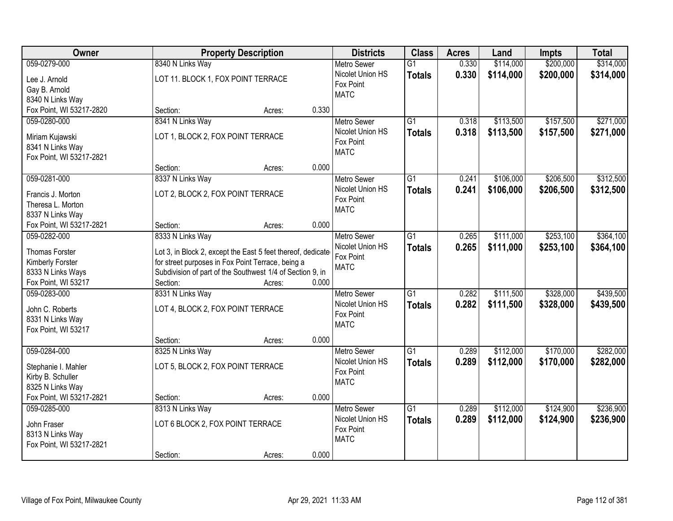| \$200,000<br>059-0279-000<br>8340 N Links Way<br>0.330<br>\$114,000<br>\$314,000<br>$\overline{G1}$<br><b>Metro Sewer</b><br>Nicolet Union HS<br>0.330<br>\$114,000<br>\$200,000<br>\$314,000<br><b>Totals</b><br>LOT 11. BLOCK 1, FOX POINT TERRACE<br>Lee J. Arnold<br>Fox Point<br>Gay B. Arnold<br><b>MATC</b><br>8340 N Links Way<br>Fox Point, WI 53217-2820<br>0.330<br>Section:<br>Acres:<br>$\overline{G1}$<br>\$113,500<br>\$157,500<br>\$271,000<br>059-0280-000<br>8341 N Links Way<br>0.318<br><b>Metro Sewer</b><br>Nicolet Union HS<br>0.318<br>\$113,500<br>\$157,500<br>\$271,000<br><b>Totals</b><br>LOT 1, BLOCK 2, FOX POINT TERRACE<br>Miriam Kujawski<br>Fox Point<br>8341 N Links Way<br><b>MATC</b><br>Fox Point, WI 53217-2821<br>0.000<br>Section:<br>Acres:<br>059-0281-000<br>8337 N Links Way<br>\$106,000<br>\$206,500<br>\$312,500<br>Metro Sewer<br>G1<br>0.241<br>Nicolet Union HS<br>0.241<br>\$106,000<br>\$206,500<br>\$312,500<br><b>Totals</b><br>LOT 2, BLOCK 2, FOX POINT TERRACE<br>Francis J. Morton<br>Fox Point<br>Theresa L. Morton<br><b>MATC</b><br>8337 N Links Way<br>0.000<br>Fox Point, WI 53217-2821<br>Section:<br>Acres:<br>$\overline{G1}$<br>\$111,000<br>\$253,100<br>\$364,100<br>059-0282-000<br>8333 N Links Way<br><b>Metro Sewer</b><br>0.265<br>Nicolet Union HS<br>0.265<br>\$111,000<br>\$253,100<br>\$364,100<br><b>Totals</b><br><b>Thomas Forster</b><br>Lot 3, in Block 2, except the East 5 feet thereof, dedicate<br>Fox Point<br>for street purposes in Fox Point Terrace, being a<br>Kimberly Forster<br><b>MATC</b><br>8333 N Links Ways<br>Subdivision of part of the Southwest 1/4 of Section 9, in<br>Fox Point, WI 53217<br>Section:<br>0.000<br>Acres:<br>$\overline{G1}$<br>\$328,000<br>\$439,500<br>059-0283-000<br>8331 N Links Way<br>0.282<br>\$111,500<br><b>Metro Sewer</b><br>Nicolet Union HS<br>0.282<br>\$328,000<br>\$111,500<br>\$439,500<br><b>Totals</b><br>LOT 4, BLOCK 2, FOX POINT TERRACE<br>John C. Roberts<br>Fox Point<br>8331 N Links Way<br><b>MATC</b><br>Fox Point, WI 53217<br>0.000<br>Section:<br>Acres:<br>059-0284-000<br>8325 N Links Way<br>$\overline{G1}$<br>\$112,000<br>\$170,000<br>\$282,000<br><b>Metro Sewer</b><br>0.289<br>Nicolet Union HS<br>0.289<br>\$112,000<br>\$170,000<br>\$282,000<br><b>Totals</b><br>LOT 5, BLOCK 2, FOX POINT TERRACE<br>Stephanie I. Mahler<br>Fox Point<br>Kirby B. Schuller<br><b>MATC</b><br>8325 N Links Way<br>Fox Point, WI 53217-2821<br>0.000<br>Section:<br>Acres:<br>$\overline{G1}$<br>\$112,000<br>\$124,900<br>\$236,900<br>059-0285-000<br>8313 N Links Way<br>0.289<br><b>Metro Sewer</b><br>Nicolet Union HS<br>0.289<br>\$112,000<br>\$124,900<br>\$236,900<br><b>Totals</b><br>LOT 6 BLOCK 2, FOX POINT TERRACE<br>John Fraser<br>Fox Point<br>8313 N Links Way | Owner | <b>Property Description</b> | <b>Districts</b> | <b>Class</b> | <b>Acres</b> | Land | Impts | <b>Total</b> |
|-------------------------------------------------------------------------------------------------------------------------------------------------------------------------------------------------------------------------------------------------------------------------------------------------------------------------------------------------------------------------------------------------------------------------------------------------------------------------------------------------------------------------------------------------------------------------------------------------------------------------------------------------------------------------------------------------------------------------------------------------------------------------------------------------------------------------------------------------------------------------------------------------------------------------------------------------------------------------------------------------------------------------------------------------------------------------------------------------------------------------------------------------------------------------------------------------------------------------------------------------------------------------------------------------------------------------------------------------------------------------------------------------------------------------------------------------------------------------------------------------------------------------------------------------------------------------------------------------------------------------------------------------------------------------------------------------------------------------------------------------------------------------------------------------------------------------------------------------------------------------------------------------------------------------------------------------------------------------------------------------------------------------------------------------------------------------------------------------------------------------------------------------------------------------------------------------------------------------------------------------------------------------------------------------------------------------------------------------------------------------------------------------------------------------------------------------------------------------------------------------------------------------------------------------------------------------------------------------------------------------------------------------------------------------------------------------------------------------------------------------------------------------------------------------------------------------------------------|-------|-----------------------------|------------------|--------------|--------------|------|-------|--------------|
|                                                                                                                                                                                                                                                                                                                                                                                                                                                                                                                                                                                                                                                                                                                                                                                                                                                                                                                                                                                                                                                                                                                                                                                                                                                                                                                                                                                                                                                                                                                                                                                                                                                                                                                                                                                                                                                                                                                                                                                                                                                                                                                                                                                                                                                                                                                                                                                                                                                                                                                                                                                                                                                                                                                                                                                                                                           |       |                             |                  |              |              |      |       |              |
|                                                                                                                                                                                                                                                                                                                                                                                                                                                                                                                                                                                                                                                                                                                                                                                                                                                                                                                                                                                                                                                                                                                                                                                                                                                                                                                                                                                                                                                                                                                                                                                                                                                                                                                                                                                                                                                                                                                                                                                                                                                                                                                                                                                                                                                                                                                                                                                                                                                                                                                                                                                                                                                                                                                                                                                                                                           |       |                             |                  |              |              |      |       |              |
|                                                                                                                                                                                                                                                                                                                                                                                                                                                                                                                                                                                                                                                                                                                                                                                                                                                                                                                                                                                                                                                                                                                                                                                                                                                                                                                                                                                                                                                                                                                                                                                                                                                                                                                                                                                                                                                                                                                                                                                                                                                                                                                                                                                                                                                                                                                                                                                                                                                                                                                                                                                                                                                                                                                                                                                                                                           |       |                             |                  |              |              |      |       |              |
|                                                                                                                                                                                                                                                                                                                                                                                                                                                                                                                                                                                                                                                                                                                                                                                                                                                                                                                                                                                                                                                                                                                                                                                                                                                                                                                                                                                                                                                                                                                                                                                                                                                                                                                                                                                                                                                                                                                                                                                                                                                                                                                                                                                                                                                                                                                                                                                                                                                                                                                                                                                                                                                                                                                                                                                                                                           |       |                             |                  |              |              |      |       |              |
|                                                                                                                                                                                                                                                                                                                                                                                                                                                                                                                                                                                                                                                                                                                                                                                                                                                                                                                                                                                                                                                                                                                                                                                                                                                                                                                                                                                                                                                                                                                                                                                                                                                                                                                                                                                                                                                                                                                                                                                                                                                                                                                                                                                                                                                                                                                                                                                                                                                                                                                                                                                                                                                                                                                                                                                                                                           |       |                             |                  |              |              |      |       |              |
|                                                                                                                                                                                                                                                                                                                                                                                                                                                                                                                                                                                                                                                                                                                                                                                                                                                                                                                                                                                                                                                                                                                                                                                                                                                                                                                                                                                                                                                                                                                                                                                                                                                                                                                                                                                                                                                                                                                                                                                                                                                                                                                                                                                                                                                                                                                                                                                                                                                                                                                                                                                                                                                                                                                                                                                                                                           |       |                             |                  |              |              |      |       |              |
|                                                                                                                                                                                                                                                                                                                                                                                                                                                                                                                                                                                                                                                                                                                                                                                                                                                                                                                                                                                                                                                                                                                                                                                                                                                                                                                                                                                                                                                                                                                                                                                                                                                                                                                                                                                                                                                                                                                                                                                                                                                                                                                                                                                                                                                                                                                                                                                                                                                                                                                                                                                                                                                                                                                                                                                                                                           |       |                             |                  |              |              |      |       |              |
|                                                                                                                                                                                                                                                                                                                                                                                                                                                                                                                                                                                                                                                                                                                                                                                                                                                                                                                                                                                                                                                                                                                                                                                                                                                                                                                                                                                                                                                                                                                                                                                                                                                                                                                                                                                                                                                                                                                                                                                                                                                                                                                                                                                                                                                                                                                                                                                                                                                                                                                                                                                                                                                                                                                                                                                                                                           |       |                             |                  |              |              |      |       |              |
|                                                                                                                                                                                                                                                                                                                                                                                                                                                                                                                                                                                                                                                                                                                                                                                                                                                                                                                                                                                                                                                                                                                                                                                                                                                                                                                                                                                                                                                                                                                                                                                                                                                                                                                                                                                                                                                                                                                                                                                                                                                                                                                                                                                                                                                                                                                                                                                                                                                                                                                                                                                                                                                                                                                                                                                                                                           |       |                             |                  |              |              |      |       |              |
|                                                                                                                                                                                                                                                                                                                                                                                                                                                                                                                                                                                                                                                                                                                                                                                                                                                                                                                                                                                                                                                                                                                                                                                                                                                                                                                                                                                                                                                                                                                                                                                                                                                                                                                                                                                                                                                                                                                                                                                                                                                                                                                                                                                                                                                                                                                                                                                                                                                                                                                                                                                                                                                                                                                                                                                                                                           |       |                             |                  |              |              |      |       |              |
|                                                                                                                                                                                                                                                                                                                                                                                                                                                                                                                                                                                                                                                                                                                                                                                                                                                                                                                                                                                                                                                                                                                                                                                                                                                                                                                                                                                                                                                                                                                                                                                                                                                                                                                                                                                                                                                                                                                                                                                                                                                                                                                                                                                                                                                                                                                                                                                                                                                                                                                                                                                                                                                                                                                                                                                                                                           |       |                             |                  |              |              |      |       |              |
|                                                                                                                                                                                                                                                                                                                                                                                                                                                                                                                                                                                                                                                                                                                                                                                                                                                                                                                                                                                                                                                                                                                                                                                                                                                                                                                                                                                                                                                                                                                                                                                                                                                                                                                                                                                                                                                                                                                                                                                                                                                                                                                                                                                                                                                                                                                                                                                                                                                                                                                                                                                                                                                                                                                                                                                                                                           |       |                             |                  |              |              |      |       |              |
|                                                                                                                                                                                                                                                                                                                                                                                                                                                                                                                                                                                                                                                                                                                                                                                                                                                                                                                                                                                                                                                                                                                                                                                                                                                                                                                                                                                                                                                                                                                                                                                                                                                                                                                                                                                                                                                                                                                                                                                                                                                                                                                                                                                                                                                                                                                                                                                                                                                                                                                                                                                                                                                                                                                                                                                                                                           |       |                             |                  |              |              |      |       |              |
|                                                                                                                                                                                                                                                                                                                                                                                                                                                                                                                                                                                                                                                                                                                                                                                                                                                                                                                                                                                                                                                                                                                                                                                                                                                                                                                                                                                                                                                                                                                                                                                                                                                                                                                                                                                                                                                                                                                                                                                                                                                                                                                                                                                                                                                                                                                                                                                                                                                                                                                                                                                                                                                                                                                                                                                                                                           |       |                             |                  |              |              |      |       |              |
|                                                                                                                                                                                                                                                                                                                                                                                                                                                                                                                                                                                                                                                                                                                                                                                                                                                                                                                                                                                                                                                                                                                                                                                                                                                                                                                                                                                                                                                                                                                                                                                                                                                                                                                                                                                                                                                                                                                                                                                                                                                                                                                                                                                                                                                                                                                                                                                                                                                                                                                                                                                                                                                                                                                                                                                                                                           |       |                             |                  |              |              |      |       |              |
|                                                                                                                                                                                                                                                                                                                                                                                                                                                                                                                                                                                                                                                                                                                                                                                                                                                                                                                                                                                                                                                                                                                                                                                                                                                                                                                                                                                                                                                                                                                                                                                                                                                                                                                                                                                                                                                                                                                                                                                                                                                                                                                                                                                                                                                                                                                                                                                                                                                                                                                                                                                                                                                                                                                                                                                                                                           |       |                             |                  |              |              |      |       |              |
|                                                                                                                                                                                                                                                                                                                                                                                                                                                                                                                                                                                                                                                                                                                                                                                                                                                                                                                                                                                                                                                                                                                                                                                                                                                                                                                                                                                                                                                                                                                                                                                                                                                                                                                                                                                                                                                                                                                                                                                                                                                                                                                                                                                                                                                                                                                                                                                                                                                                                                                                                                                                                                                                                                                                                                                                                                           |       |                             |                  |              |              |      |       |              |
|                                                                                                                                                                                                                                                                                                                                                                                                                                                                                                                                                                                                                                                                                                                                                                                                                                                                                                                                                                                                                                                                                                                                                                                                                                                                                                                                                                                                                                                                                                                                                                                                                                                                                                                                                                                                                                                                                                                                                                                                                                                                                                                                                                                                                                                                                                                                                                                                                                                                                                                                                                                                                                                                                                                                                                                                                                           |       |                             |                  |              |              |      |       |              |
|                                                                                                                                                                                                                                                                                                                                                                                                                                                                                                                                                                                                                                                                                                                                                                                                                                                                                                                                                                                                                                                                                                                                                                                                                                                                                                                                                                                                                                                                                                                                                                                                                                                                                                                                                                                                                                                                                                                                                                                                                                                                                                                                                                                                                                                                                                                                                                                                                                                                                                                                                                                                                                                                                                                                                                                                                                           |       |                             |                  |              |              |      |       |              |
|                                                                                                                                                                                                                                                                                                                                                                                                                                                                                                                                                                                                                                                                                                                                                                                                                                                                                                                                                                                                                                                                                                                                                                                                                                                                                                                                                                                                                                                                                                                                                                                                                                                                                                                                                                                                                                                                                                                                                                                                                                                                                                                                                                                                                                                                                                                                                                                                                                                                                                                                                                                                                                                                                                                                                                                                                                           |       |                             |                  |              |              |      |       |              |
|                                                                                                                                                                                                                                                                                                                                                                                                                                                                                                                                                                                                                                                                                                                                                                                                                                                                                                                                                                                                                                                                                                                                                                                                                                                                                                                                                                                                                                                                                                                                                                                                                                                                                                                                                                                                                                                                                                                                                                                                                                                                                                                                                                                                                                                                                                                                                                                                                                                                                                                                                                                                                                                                                                                                                                                                                                           |       |                             |                  |              |              |      |       |              |
|                                                                                                                                                                                                                                                                                                                                                                                                                                                                                                                                                                                                                                                                                                                                                                                                                                                                                                                                                                                                                                                                                                                                                                                                                                                                                                                                                                                                                                                                                                                                                                                                                                                                                                                                                                                                                                                                                                                                                                                                                                                                                                                                                                                                                                                                                                                                                                                                                                                                                                                                                                                                                                                                                                                                                                                                                                           |       |                             |                  |              |              |      |       |              |
|                                                                                                                                                                                                                                                                                                                                                                                                                                                                                                                                                                                                                                                                                                                                                                                                                                                                                                                                                                                                                                                                                                                                                                                                                                                                                                                                                                                                                                                                                                                                                                                                                                                                                                                                                                                                                                                                                                                                                                                                                                                                                                                                                                                                                                                                                                                                                                                                                                                                                                                                                                                                                                                                                                                                                                                                                                           |       |                             |                  |              |              |      |       |              |
|                                                                                                                                                                                                                                                                                                                                                                                                                                                                                                                                                                                                                                                                                                                                                                                                                                                                                                                                                                                                                                                                                                                                                                                                                                                                                                                                                                                                                                                                                                                                                                                                                                                                                                                                                                                                                                                                                                                                                                                                                                                                                                                                                                                                                                                                                                                                                                                                                                                                                                                                                                                                                                                                                                                                                                                                                                           |       |                             |                  |              |              |      |       |              |
|                                                                                                                                                                                                                                                                                                                                                                                                                                                                                                                                                                                                                                                                                                                                                                                                                                                                                                                                                                                                                                                                                                                                                                                                                                                                                                                                                                                                                                                                                                                                                                                                                                                                                                                                                                                                                                                                                                                                                                                                                                                                                                                                                                                                                                                                                                                                                                                                                                                                                                                                                                                                                                                                                                                                                                                                                                           |       |                             |                  |              |              |      |       |              |
|                                                                                                                                                                                                                                                                                                                                                                                                                                                                                                                                                                                                                                                                                                                                                                                                                                                                                                                                                                                                                                                                                                                                                                                                                                                                                                                                                                                                                                                                                                                                                                                                                                                                                                                                                                                                                                                                                                                                                                                                                                                                                                                                                                                                                                                                                                                                                                                                                                                                                                                                                                                                                                                                                                                                                                                                                                           |       |                             |                  |              |              |      |       |              |
|                                                                                                                                                                                                                                                                                                                                                                                                                                                                                                                                                                                                                                                                                                                                                                                                                                                                                                                                                                                                                                                                                                                                                                                                                                                                                                                                                                                                                                                                                                                                                                                                                                                                                                                                                                                                                                                                                                                                                                                                                                                                                                                                                                                                                                                                                                                                                                                                                                                                                                                                                                                                                                                                                                                                                                                                                                           |       |                             |                  |              |              |      |       |              |
|                                                                                                                                                                                                                                                                                                                                                                                                                                                                                                                                                                                                                                                                                                                                                                                                                                                                                                                                                                                                                                                                                                                                                                                                                                                                                                                                                                                                                                                                                                                                                                                                                                                                                                                                                                                                                                                                                                                                                                                                                                                                                                                                                                                                                                                                                                                                                                                                                                                                                                                                                                                                                                                                                                                                                                                                                                           |       |                             |                  |              |              |      |       |              |
|                                                                                                                                                                                                                                                                                                                                                                                                                                                                                                                                                                                                                                                                                                                                                                                                                                                                                                                                                                                                                                                                                                                                                                                                                                                                                                                                                                                                                                                                                                                                                                                                                                                                                                                                                                                                                                                                                                                                                                                                                                                                                                                                                                                                                                                                                                                                                                                                                                                                                                                                                                                                                                                                                                                                                                                                                                           |       |                             |                  |              |              |      |       |              |
|                                                                                                                                                                                                                                                                                                                                                                                                                                                                                                                                                                                                                                                                                                                                                                                                                                                                                                                                                                                                                                                                                                                                                                                                                                                                                                                                                                                                                                                                                                                                                                                                                                                                                                                                                                                                                                                                                                                                                                                                                                                                                                                                                                                                                                                                                                                                                                                                                                                                                                                                                                                                                                                                                                                                                                                                                                           |       |                             |                  |              |              |      |       |              |
|                                                                                                                                                                                                                                                                                                                                                                                                                                                                                                                                                                                                                                                                                                                                                                                                                                                                                                                                                                                                                                                                                                                                                                                                                                                                                                                                                                                                                                                                                                                                                                                                                                                                                                                                                                                                                                                                                                                                                                                                                                                                                                                                                                                                                                                                                                                                                                                                                                                                                                                                                                                                                                                                                                                                                                                                                                           |       |                             |                  |              |              |      |       |              |
|                                                                                                                                                                                                                                                                                                                                                                                                                                                                                                                                                                                                                                                                                                                                                                                                                                                                                                                                                                                                                                                                                                                                                                                                                                                                                                                                                                                                                                                                                                                                                                                                                                                                                                                                                                                                                                                                                                                                                                                                                                                                                                                                                                                                                                                                                                                                                                                                                                                                                                                                                                                                                                                                                                                                                                                                                                           |       |                             |                  |              |              |      |       |              |
|                                                                                                                                                                                                                                                                                                                                                                                                                                                                                                                                                                                                                                                                                                                                                                                                                                                                                                                                                                                                                                                                                                                                                                                                                                                                                                                                                                                                                                                                                                                                                                                                                                                                                                                                                                                                                                                                                                                                                                                                                                                                                                                                                                                                                                                                                                                                                                                                                                                                                                                                                                                                                                                                                                                                                                                                                                           |       |                             |                  |              |              |      |       |              |
|                                                                                                                                                                                                                                                                                                                                                                                                                                                                                                                                                                                                                                                                                                                                                                                                                                                                                                                                                                                                                                                                                                                                                                                                                                                                                                                                                                                                                                                                                                                                                                                                                                                                                                                                                                                                                                                                                                                                                                                                                                                                                                                                                                                                                                                                                                                                                                                                                                                                                                                                                                                                                                                                                                                                                                                                                                           |       |                             |                  |              |              |      |       |              |
|                                                                                                                                                                                                                                                                                                                                                                                                                                                                                                                                                                                                                                                                                                                                                                                                                                                                                                                                                                                                                                                                                                                                                                                                                                                                                                                                                                                                                                                                                                                                                                                                                                                                                                                                                                                                                                                                                                                                                                                                                                                                                                                                                                                                                                                                                                                                                                                                                                                                                                                                                                                                                                                                                                                                                                                                                                           |       |                             |                  |              |              |      |       |              |
| Fox Point, WI 53217-2821                                                                                                                                                                                                                                                                                                                                                                                                                                                                                                                                                                                                                                                                                                                                                                                                                                                                                                                                                                                                                                                                                                                                                                                                                                                                                                                                                                                                                                                                                                                                                                                                                                                                                                                                                                                                                                                                                                                                                                                                                                                                                                                                                                                                                                                                                                                                                                                                                                                                                                                                                                                                                                                                                                                                                                                                                  |       |                             | <b>MATC</b>      |              |              |      |       |              |
| 0.000<br>Section:<br>Acres:                                                                                                                                                                                                                                                                                                                                                                                                                                                                                                                                                                                                                                                                                                                                                                                                                                                                                                                                                                                                                                                                                                                                                                                                                                                                                                                                                                                                                                                                                                                                                                                                                                                                                                                                                                                                                                                                                                                                                                                                                                                                                                                                                                                                                                                                                                                                                                                                                                                                                                                                                                                                                                                                                                                                                                                                               |       |                             |                  |              |              |      |       |              |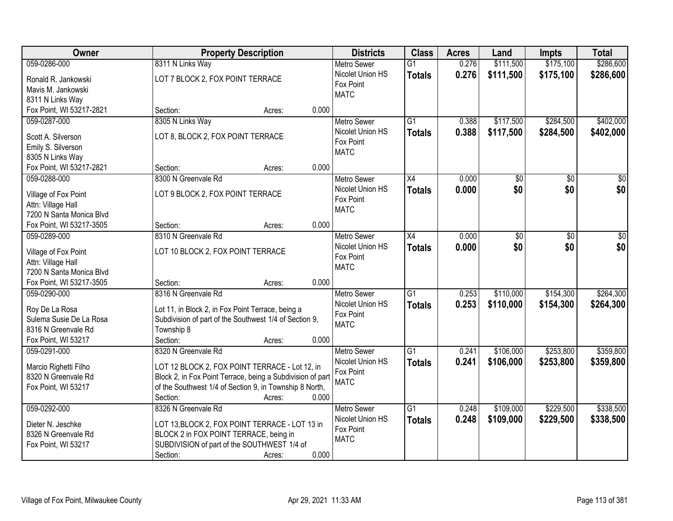| Owner                                     | <b>Property Description</b>                                                                                 | <b>Districts</b>         | <b>Class</b>    | <b>Acres</b> | Land      | <b>Impts</b> | <b>Total</b> |
|-------------------------------------------|-------------------------------------------------------------------------------------------------------------|--------------------------|-----------------|--------------|-----------|--------------|--------------|
| 059-0286-000                              | 8311 N Links Way                                                                                            | <b>Metro Sewer</b>       | $\overline{G1}$ | 0.276        | \$111,500 | \$175,100    | \$286,600    |
| Ronald R. Jankowski                       | LOT 7 BLOCK 2, FOX POINT TERRACE                                                                            | Nicolet Union HS         | <b>Totals</b>   | 0.276        | \$111,500 | \$175,100    | \$286,600    |
| Mavis M. Jankowski                        |                                                                                                             | Fox Point<br><b>MATC</b> |                 |              |           |              |              |
| 8311 N Links Way                          |                                                                                                             |                          |                 |              |           |              |              |
| Fox Point, WI 53217-2821                  | 0.000<br>Section:<br>Acres:                                                                                 |                          |                 |              |           |              |              |
| 059-0287-000                              | 8305 N Links Way                                                                                            | <b>Metro Sewer</b>       | $\overline{G1}$ | 0.388        | \$117,500 | \$284,500    | \$402,000    |
| Scott A. Silverson                        | LOT 8, BLOCK 2, FOX POINT TERRACE                                                                           | Nicolet Union HS         | <b>Totals</b>   | 0.388        | \$117,500 | \$284,500    | \$402,000    |
| Emily S. Silverson                        |                                                                                                             | Fox Point                |                 |              |           |              |              |
| 8305 N Links Way                          |                                                                                                             | <b>MATC</b>              |                 |              |           |              |              |
| Fox Point, WI 53217-2821                  | 0.000<br>Section:<br>Acres:                                                                                 |                          |                 |              |           |              |              |
| 059-0288-000                              | 8300 N Greenvale Rd                                                                                         | <b>Metro Sewer</b>       | X4              | 0.000        | \$0       | \$0          | \$0          |
|                                           |                                                                                                             | Nicolet Union HS         | <b>Totals</b>   | 0.000        | \$0       | \$0          | \$0          |
| Village of Fox Point                      | LOT 9 BLOCK 2, FOX POINT TERRACE                                                                            | Fox Point                |                 |              |           |              |              |
| Attn: Village Hall                        |                                                                                                             | <b>MATC</b>              |                 |              |           |              |              |
| 7200 N Santa Monica Blvd                  |                                                                                                             |                          |                 |              |           |              |              |
| Fox Point, WI 53217-3505                  | 0.000<br>Section:<br>Acres:                                                                                 |                          |                 |              |           |              |              |
| 059-0289-000                              | 8310 N Greenvale Rd                                                                                         | <b>Metro Sewer</b>       | X4              | 0.000        | \$0       | \$0          | \$0          |
| Village of Fox Point                      | LOT 10 BLOCK 2, FOX POINT TERRACE                                                                           | Nicolet Union HS         | <b>Totals</b>   | 0.000        | \$0       | \$0          | \$0          |
| Attn: Village Hall                        |                                                                                                             | Fox Point                |                 |              |           |              |              |
| 7200 N Santa Monica Blvd                  |                                                                                                             | <b>MATC</b>              |                 |              |           |              |              |
| Fox Point, WI 53217-3505                  | 0.000<br>Section:<br>Acres:                                                                                 |                          |                 |              |           |              |              |
| 059-0290-000                              | 8316 N Greenvale Rd                                                                                         | <b>Metro Sewer</b>       | $\overline{G1}$ | 0.253        | \$110,000 | \$154,300    | \$264,300    |
|                                           |                                                                                                             | Nicolet Union HS         | Totals          | 0.253        | \$110,000 | \$154,300    | \$264,300    |
| Roy De La Rosa<br>Sulema Susie De La Rosa | Lot 11, in Block 2, in Fox Point Terrace, being a<br>Subdivision of part of the Southwest 1/4 of Section 9, | Fox Point                |                 |              |           |              |              |
| 8316 N Greenvale Rd                       | Township 8                                                                                                  | <b>MATC</b>              |                 |              |           |              |              |
| Fox Point, WI 53217                       | Section:<br>0.000<br>Acres:                                                                                 |                          |                 |              |           |              |              |
| 059-0291-000                              | 8320 N Greenvale Rd                                                                                         | Metro Sewer              | $\overline{G1}$ | 0.241        | \$106,000 | \$253,800    | \$359,800    |
|                                           |                                                                                                             | Nicolet Union HS         | <b>Totals</b>   | 0.241        | \$106,000 | \$253,800    | \$359,800    |
| Marcio Righetti Filho                     | LOT 12 BLOCK 2, FOX POINT TERRACE - Lot 12, in                                                              | Fox Point                |                 |              |           |              |              |
| 8320 N Greenvale Rd                       | Block 2, in Fox Point Terrace, being a Subdivision of part                                                  | <b>MATC</b>              |                 |              |           |              |              |
| Fox Point, WI 53217                       | of the Southwest 1/4 of Section 9, in Township 8 North,                                                     |                          |                 |              |           |              |              |
|                                           | 0.000<br>Section:<br>Acres:                                                                                 |                          |                 |              |           |              |              |
| 059-0292-000                              | 8326 N Greenvale Rd                                                                                         | <b>Metro Sewer</b>       | $\overline{G1}$ | 0.248        | \$109,000 | \$229,500    | \$338,500    |
| Dieter N. Jeschke                         | LOT 13, BLOCK 2, FOX POINT TERRACE - LOT 13 in                                                              | Nicolet Union HS         | <b>Totals</b>   | 0.248        | \$109,000 | \$229,500    | \$338,500    |
| 8326 N Greenvale Rd                       | BLOCK 2 in FOX POINT TERRACE, being in                                                                      | Fox Point                |                 |              |           |              |              |
| Fox Point, WI 53217                       | SUBDIVISION of part of the SOUTHWEST 1/4 of                                                                 | <b>MATC</b>              |                 |              |           |              |              |
|                                           | 0.000<br>Section:<br>Acres:                                                                                 |                          |                 |              |           |              |              |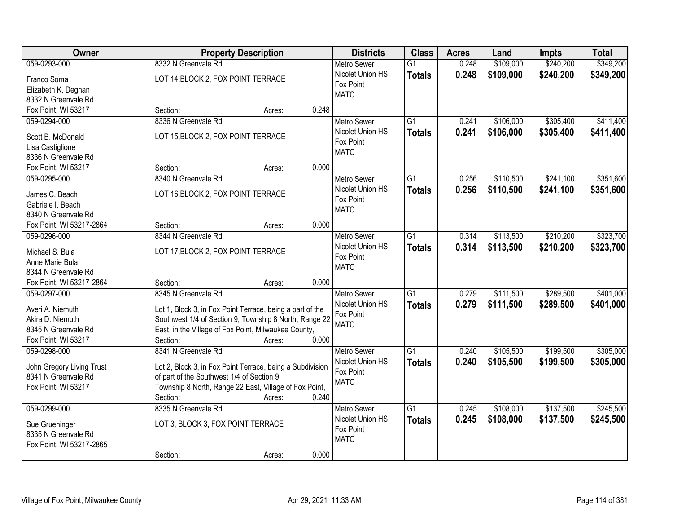| \$240,200<br>\$349,200<br>059-0293-000<br>8332 N Greenvale Rd<br>\$109,000<br><b>Metro Sewer</b><br>$\overline{G1}$<br>0.248<br>Nicolet Union HS<br>0.248<br>\$109,000<br>\$240,200<br><b>Totals</b><br>LOT 14, BLOCK 2, FOX POINT TERRACE<br>Franco Soma<br>Fox Point<br>Elizabeth K. Degnan<br><b>MATC</b><br>8332 N Greenvale Rd<br>Fox Point, WI 53217<br>0.248<br>Section:<br>Acres:<br>\$305,400<br>059-0294-000<br>8336 N Greenvale Rd<br>$\overline{G1}$<br>0.241<br>\$106,000<br><b>Metro Sewer</b><br>Nicolet Union HS<br>0.241<br>\$106,000<br>\$305,400<br><b>Totals</b><br>LOT 15, BLOCK 2, FOX POINT TERRACE<br>Scott B. McDonald<br>Fox Point<br>Lisa Castiglione<br><b>MATC</b><br>8336 N Greenvale Rd<br>0.000<br>Fox Point, WI 53217<br>Section:<br>Acres:<br>$\overline{G1}$<br>\$110,500<br>\$241,100<br>059-0295-000<br>8340 N Greenvale Rd<br>Metro Sewer<br>0.256<br>Nicolet Union HS<br>0.256<br>\$110,500<br>\$241,100<br><b>Totals</b><br>LOT 16, BLOCK 2, FOX POINT TERRACE<br>James C. Beach<br>Fox Point<br>Gabriele I. Beach<br><b>MATC</b><br>8340 N Greenvale Rd<br>Fox Point, WI 53217-2864<br>0.000<br>Section:<br>Acres:<br>\$113,500<br>\$210,200<br>8344 N Greenvale Rd<br>$\overline{G1}$<br>059-0296-000<br><b>Metro Sewer</b><br>0.314<br>Nicolet Union HS<br>0.314<br>\$113,500<br>\$210,200<br><b>Totals</b><br>LOT 17, BLOCK 2, FOX POINT TERRACE<br>Michael S. Bula<br>Fox Point<br>Anne Marie Bula<br><b>MATC</b><br>8344 N Greenvale Rd<br>Fox Point, WI 53217-2864<br>0.000<br>Section:<br>Acres:<br>$\overline{G1}$<br>\$289,500<br>8345 N Greenvale Rd<br>0.279<br>\$111,500<br>059-0297-000<br><b>Metro Sewer</b><br>0.279<br>\$111,500<br>\$289,500<br>Nicolet Union HS<br><b>Totals</b><br>Averi A. Niemuth<br>Lot 1, Block 3, in Fox Point Terrace, being a part of the<br>Fox Point<br>Southwest 1/4 of Section 9, Township 8 North, Range 22<br>Akira D. Niemuth<br><b>MATC</b><br>East, in the Village of Fox Point, Milwaukee County,<br>8345 N Greenvale Rd<br>Fox Point, WI 53217<br>0.000<br>Section:<br>Acres:<br>8341 N Greenvale Rd<br>\$199,500<br>059-0298-000<br>$\overline{G1}$<br>\$105,500<br><b>Metro Sewer</b><br>0.240<br>Nicolet Union HS<br>0.240<br>\$105,500<br>\$199,500<br><b>Totals</b><br>John Gregory Living Trust<br>Lot 2, Block 3, in Fox Point Terrace, being a Subdivision<br>Fox Point<br>of part of the Southwest 1/4 of Section 9,<br>8341 N Greenvale Rd<br><b>MATC</b><br>Township 8 North, Range 22 East, Village of Fox Point,<br>Fox Point, WI 53217<br>0.240<br>Section:<br>Acres:<br>$\overline{G1}$<br>\$137,500<br>059-0299-000<br>8335 N Greenvale Rd<br>\$108,000<br><b>Metro Sewer</b><br>0.245<br>Nicolet Union HS<br>0.245<br>\$137,500<br>\$108,000<br><b>Totals</b><br>LOT 3, BLOCK 3, FOX POINT TERRACE<br>Sue Grueninger<br>Fox Point<br>8335 N Greenvale Rd<br><b>MATC</b><br>Fox Point, WI 53217-2865 | <b>Owner</b> | <b>Property Description</b> | <b>Districts</b> | <b>Class</b> | <b>Acres</b> | Land | Impts | <b>Total</b> |
|--------------------------------------------------------------------------------------------------------------------------------------------------------------------------------------------------------------------------------------------------------------------------------------------------------------------------------------------------------------------------------------------------------------------------------------------------------------------------------------------------------------------------------------------------------------------------------------------------------------------------------------------------------------------------------------------------------------------------------------------------------------------------------------------------------------------------------------------------------------------------------------------------------------------------------------------------------------------------------------------------------------------------------------------------------------------------------------------------------------------------------------------------------------------------------------------------------------------------------------------------------------------------------------------------------------------------------------------------------------------------------------------------------------------------------------------------------------------------------------------------------------------------------------------------------------------------------------------------------------------------------------------------------------------------------------------------------------------------------------------------------------------------------------------------------------------------------------------------------------------------------------------------------------------------------------------------------------------------------------------------------------------------------------------------------------------------------------------------------------------------------------------------------------------------------------------------------------------------------------------------------------------------------------------------------------------------------------------------------------------------------------------------------------------------------------------------------------------------------------------------------------------------------------------------------------------------------------------------------------------------------------------------------------------------------------------------------------------------------------------------------------------------------------------------------------------------------------------------------------------------------------------------------------------|--------------|-----------------------------|------------------|--------------|--------------|------|-------|--------------|
|                                                                                                                                                                                                                                                                                                                                                                                                                                                                                                                                                                                                                                                                                                                                                                                                                                                                                                                                                                                                                                                                                                                                                                                                                                                                                                                                                                                                                                                                                                                                                                                                                                                                                                                                                                                                                                                                                                                                                                                                                                                                                                                                                                                                                                                                                                                                                                                                                                                                                                                                                                                                                                                                                                                                                                                                                                                                                                                    |              |                             |                  |              |              |      |       |              |
| \$411,400<br>\$323,700<br>\$323,700<br>\$401,000<br>\$305,000<br>\$305,000<br>\$245,500<br>\$245,500                                                                                                                                                                                                                                                                                                                                                                                                                                                                                                                                                                                                                                                                                                                                                                                                                                                                                                                                                                                                                                                                                                                                                                                                                                                                                                                                                                                                                                                                                                                                                                                                                                                                                                                                                                                                                                                                                                                                                                                                                                                                                                                                                                                                                                                                                                                                                                                                                                                                                                                                                                                                                                                                                                                                                                                                               |              |                             |                  |              |              |      |       | \$349,200    |
|                                                                                                                                                                                                                                                                                                                                                                                                                                                                                                                                                                                                                                                                                                                                                                                                                                                                                                                                                                                                                                                                                                                                                                                                                                                                                                                                                                                                                                                                                                                                                                                                                                                                                                                                                                                                                                                                                                                                                                                                                                                                                                                                                                                                                                                                                                                                                                                                                                                                                                                                                                                                                                                                                                                                                                                                                                                                                                                    |              |                             |                  |              |              |      |       |              |
|                                                                                                                                                                                                                                                                                                                                                                                                                                                                                                                                                                                                                                                                                                                                                                                                                                                                                                                                                                                                                                                                                                                                                                                                                                                                                                                                                                                                                                                                                                                                                                                                                                                                                                                                                                                                                                                                                                                                                                                                                                                                                                                                                                                                                                                                                                                                                                                                                                                                                                                                                                                                                                                                                                                                                                                                                                                                                                                    |              |                             |                  |              |              |      |       |              |
| \$411,400<br>\$351,600<br>\$351,600<br>\$401,000                                                                                                                                                                                                                                                                                                                                                                                                                                                                                                                                                                                                                                                                                                                                                                                                                                                                                                                                                                                                                                                                                                                                                                                                                                                                                                                                                                                                                                                                                                                                                                                                                                                                                                                                                                                                                                                                                                                                                                                                                                                                                                                                                                                                                                                                                                                                                                                                                                                                                                                                                                                                                                                                                                                                                                                                                                                                   |              |                             |                  |              |              |      |       |              |
|                                                                                                                                                                                                                                                                                                                                                                                                                                                                                                                                                                                                                                                                                                                                                                                                                                                                                                                                                                                                                                                                                                                                                                                                                                                                                                                                                                                                                                                                                                                                                                                                                                                                                                                                                                                                                                                                                                                                                                                                                                                                                                                                                                                                                                                                                                                                                                                                                                                                                                                                                                                                                                                                                                                                                                                                                                                                                                                    |              |                             |                  |              |              |      |       |              |
|                                                                                                                                                                                                                                                                                                                                                                                                                                                                                                                                                                                                                                                                                                                                                                                                                                                                                                                                                                                                                                                                                                                                                                                                                                                                                                                                                                                                                                                                                                                                                                                                                                                                                                                                                                                                                                                                                                                                                                                                                                                                                                                                                                                                                                                                                                                                                                                                                                                                                                                                                                                                                                                                                                                                                                                                                                                                                                                    |              |                             |                  |              |              |      |       |              |
|                                                                                                                                                                                                                                                                                                                                                                                                                                                                                                                                                                                                                                                                                                                                                                                                                                                                                                                                                                                                                                                                                                                                                                                                                                                                                                                                                                                                                                                                                                                                                                                                                                                                                                                                                                                                                                                                                                                                                                                                                                                                                                                                                                                                                                                                                                                                                                                                                                                                                                                                                                                                                                                                                                                                                                                                                                                                                                                    |              |                             |                  |              |              |      |       |              |
|                                                                                                                                                                                                                                                                                                                                                                                                                                                                                                                                                                                                                                                                                                                                                                                                                                                                                                                                                                                                                                                                                                                                                                                                                                                                                                                                                                                                                                                                                                                                                                                                                                                                                                                                                                                                                                                                                                                                                                                                                                                                                                                                                                                                                                                                                                                                                                                                                                                                                                                                                                                                                                                                                                                                                                                                                                                                                                                    |              |                             |                  |              |              |      |       |              |
|                                                                                                                                                                                                                                                                                                                                                                                                                                                                                                                                                                                                                                                                                                                                                                                                                                                                                                                                                                                                                                                                                                                                                                                                                                                                                                                                                                                                                                                                                                                                                                                                                                                                                                                                                                                                                                                                                                                                                                                                                                                                                                                                                                                                                                                                                                                                                                                                                                                                                                                                                                                                                                                                                                                                                                                                                                                                                                                    |              |                             |                  |              |              |      |       |              |
|                                                                                                                                                                                                                                                                                                                                                                                                                                                                                                                                                                                                                                                                                                                                                                                                                                                                                                                                                                                                                                                                                                                                                                                                                                                                                                                                                                                                                                                                                                                                                                                                                                                                                                                                                                                                                                                                                                                                                                                                                                                                                                                                                                                                                                                                                                                                                                                                                                                                                                                                                                                                                                                                                                                                                                                                                                                                                                                    |              |                             |                  |              |              |      |       |              |
|                                                                                                                                                                                                                                                                                                                                                                                                                                                                                                                                                                                                                                                                                                                                                                                                                                                                                                                                                                                                                                                                                                                                                                                                                                                                                                                                                                                                                                                                                                                                                                                                                                                                                                                                                                                                                                                                                                                                                                                                                                                                                                                                                                                                                                                                                                                                                                                                                                                                                                                                                                                                                                                                                                                                                                                                                                                                                                                    |              |                             |                  |              |              |      |       |              |
|                                                                                                                                                                                                                                                                                                                                                                                                                                                                                                                                                                                                                                                                                                                                                                                                                                                                                                                                                                                                                                                                                                                                                                                                                                                                                                                                                                                                                                                                                                                                                                                                                                                                                                                                                                                                                                                                                                                                                                                                                                                                                                                                                                                                                                                                                                                                                                                                                                                                                                                                                                                                                                                                                                                                                                                                                                                                                                                    |              |                             |                  |              |              |      |       |              |
|                                                                                                                                                                                                                                                                                                                                                                                                                                                                                                                                                                                                                                                                                                                                                                                                                                                                                                                                                                                                                                                                                                                                                                                                                                                                                                                                                                                                                                                                                                                                                                                                                                                                                                                                                                                                                                                                                                                                                                                                                                                                                                                                                                                                                                                                                                                                                                                                                                                                                                                                                                                                                                                                                                                                                                                                                                                                                                                    |              |                             |                  |              |              |      |       |              |
|                                                                                                                                                                                                                                                                                                                                                                                                                                                                                                                                                                                                                                                                                                                                                                                                                                                                                                                                                                                                                                                                                                                                                                                                                                                                                                                                                                                                                                                                                                                                                                                                                                                                                                                                                                                                                                                                                                                                                                                                                                                                                                                                                                                                                                                                                                                                                                                                                                                                                                                                                                                                                                                                                                                                                                                                                                                                                                                    |              |                             |                  |              |              |      |       |              |
|                                                                                                                                                                                                                                                                                                                                                                                                                                                                                                                                                                                                                                                                                                                                                                                                                                                                                                                                                                                                                                                                                                                                                                                                                                                                                                                                                                                                                                                                                                                                                                                                                                                                                                                                                                                                                                                                                                                                                                                                                                                                                                                                                                                                                                                                                                                                                                                                                                                                                                                                                                                                                                                                                                                                                                                                                                                                                                                    |              |                             |                  |              |              |      |       |              |
|                                                                                                                                                                                                                                                                                                                                                                                                                                                                                                                                                                                                                                                                                                                                                                                                                                                                                                                                                                                                                                                                                                                                                                                                                                                                                                                                                                                                                                                                                                                                                                                                                                                                                                                                                                                                                                                                                                                                                                                                                                                                                                                                                                                                                                                                                                                                                                                                                                                                                                                                                                                                                                                                                                                                                                                                                                                                                                                    |              |                             |                  |              |              |      |       |              |
|                                                                                                                                                                                                                                                                                                                                                                                                                                                                                                                                                                                                                                                                                                                                                                                                                                                                                                                                                                                                                                                                                                                                                                                                                                                                                                                                                                                                                                                                                                                                                                                                                                                                                                                                                                                                                                                                                                                                                                                                                                                                                                                                                                                                                                                                                                                                                                                                                                                                                                                                                                                                                                                                                                                                                                                                                                                                                                                    |              |                             |                  |              |              |      |       |              |
|                                                                                                                                                                                                                                                                                                                                                                                                                                                                                                                                                                                                                                                                                                                                                                                                                                                                                                                                                                                                                                                                                                                                                                                                                                                                                                                                                                                                                                                                                                                                                                                                                                                                                                                                                                                                                                                                                                                                                                                                                                                                                                                                                                                                                                                                                                                                                                                                                                                                                                                                                                                                                                                                                                                                                                                                                                                                                                                    |              |                             |                  |              |              |      |       |              |
|                                                                                                                                                                                                                                                                                                                                                                                                                                                                                                                                                                                                                                                                                                                                                                                                                                                                                                                                                                                                                                                                                                                                                                                                                                                                                                                                                                                                                                                                                                                                                                                                                                                                                                                                                                                                                                                                                                                                                                                                                                                                                                                                                                                                                                                                                                                                                                                                                                                                                                                                                                                                                                                                                                                                                                                                                                                                                                                    |              |                             |                  |              |              |      |       |              |
|                                                                                                                                                                                                                                                                                                                                                                                                                                                                                                                                                                                                                                                                                                                                                                                                                                                                                                                                                                                                                                                                                                                                                                                                                                                                                                                                                                                                                                                                                                                                                                                                                                                                                                                                                                                                                                                                                                                                                                                                                                                                                                                                                                                                                                                                                                                                                                                                                                                                                                                                                                                                                                                                                                                                                                                                                                                                                                                    |              |                             |                  |              |              |      |       |              |
|                                                                                                                                                                                                                                                                                                                                                                                                                                                                                                                                                                                                                                                                                                                                                                                                                                                                                                                                                                                                                                                                                                                                                                                                                                                                                                                                                                                                                                                                                                                                                                                                                                                                                                                                                                                                                                                                                                                                                                                                                                                                                                                                                                                                                                                                                                                                                                                                                                                                                                                                                                                                                                                                                                                                                                                                                                                                                                                    |              |                             |                  |              |              |      |       |              |
|                                                                                                                                                                                                                                                                                                                                                                                                                                                                                                                                                                                                                                                                                                                                                                                                                                                                                                                                                                                                                                                                                                                                                                                                                                                                                                                                                                                                                                                                                                                                                                                                                                                                                                                                                                                                                                                                                                                                                                                                                                                                                                                                                                                                                                                                                                                                                                                                                                                                                                                                                                                                                                                                                                                                                                                                                                                                                                                    |              |                             |                  |              |              |      |       |              |
|                                                                                                                                                                                                                                                                                                                                                                                                                                                                                                                                                                                                                                                                                                                                                                                                                                                                                                                                                                                                                                                                                                                                                                                                                                                                                                                                                                                                                                                                                                                                                                                                                                                                                                                                                                                                                                                                                                                                                                                                                                                                                                                                                                                                                                                                                                                                                                                                                                                                                                                                                                                                                                                                                                                                                                                                                                                                                                                    |              |                             |                  |              |              |      |       |              |
|                                                                                                                                                                                                                                                                                                                                                                                                                                                                                                                                                                                                                                                                                                                                                                                                                                                                                                                                                                                                                                                                                                                                                                                                                                                                                                                                                                                                                                                                                                                                                                                                                                                                                                                                                                                                                                                                                                                                                                                                                                                                                                                                                                                                                                                                                                                                                                                                                                                                                                                                                                                                                                                                                                                                                                                                                                                                                                                    |              |                             |                  |              |              |      |       |              |
|                                                                                                                                                                                                                                                                                                                                                                                                                                                                                                                                                                                                                                                                                                                                                                                                                                                                                                                                                                                                                                                                                                                                                                                                                                                                                                                                                                                                                                                                                                                                                                                                                                                                                                                                                                                                                                                                                                                                                                                                                                                                                                                                                                                                                                                                                                                                                                                                                                                                                                                                                                                                                                                                                                                                                                                                                                                                                                                    |              |                             |                  |              |              |      |       |              |
|                                                                                                                                                                                                                                                                                                                                                                                                                                                                                                                                                                                                                                                                                                                                                                                                                                                                                                                                                                                                                                                                                                                                                                                                                                                                                                                                                                                                                                                                                                                                                                                                                                                                                                                                                                                                                                                                                                                                                                                                                                                                                                                                                                                                                                                                                                                                                                                                                                                                                                                                                                                                                                                                                                                                                                                                                                                                                                                    |              |                             |                  |              |              |      |       |              |
|                                                                                                                                                                                                                                                                                                                                                                                                                                                                                                                                                                                                                                                                                                                                                                                                                                                                                                                                                                                                                                                                                                                                                                                                                                                                                                                                                                                                                                                                                                                                                                                                                                                                                                                                                                                                                                                                                                                                                                                                                                                                                                                                                                                                                                                                                                                                                                                                                                                                                                                                                                                                                                                                                                                                                                                                                                                                                                                    |              |                             |                  |              |              |      |       |              |
|                                                                                                                                                                                                                                                                                                                                                                                                                                                                                                                                                                                                                                                                                                                                                                                                                                                                                                                                                                                                                                                                                                                                                                                                                                                                                                                                                                                                                                                                                                                                                                                                                                                                                                                                                                                                                                                                                                                                                                                                                                                                                                                                                                                                                                                                                                                                                                                                                                                                                                                                                                                                                                                                                                                                                                                                                                                                                                                    |              |                             |                  |              |              |      |       |              |
|                                                                                                                                                                                                                                                                                                                                                                                                                                                                                                                                                                                                                                                                                                                                                                                                                                                                                                                                                                                                                                                                                                                                                                                                                                                                                                                                                                                                                                                                                                                                                                                                                                                                                                                                                                                                                                                                                                                                                                                                                                                                                                                                                                                                                                                                                                                                                                                                                                                                                                                                                                                                                                                                                                                                                                                                                                                                                                                    |              |                             |                  |              |              |      |       |              |
|                                                                                                                                                                                                                                                                                                                                                                                                                                                                                                                                                                                                                                                                                                                                                                                                                                                                                                                                                                                                                                                                                                                                                                                                                                                                                                                                                                                                                                                                                                                                                                                                                                                                                                                                                                                                                                                                                                                                                                                                                                                                                                                                                                                                                                                                                                                                                                                                                                                                                                                                                                                                                                                                                                                                                                                                                                                                                                                    |              |                             |                  |              |              |      |       |              |
|                                                                                                                                                                                                                                                                                                                                                                                                                                                                                                                                                                                                                                                                                                                                                                                                                                                                                                                                                                                                                                                                                                                                                                                                                                                                                                                                                                                                                                                                                                                                                                                                                                                                                                                                                                                                                                                                                                                                                                                                                                                                                                                                                                                                                                                                                                                                                                                                                                                                                                                                                                                                                                                                                                                                                                                                                                                                                                                    |              |                             |                  |              |              |      |       |              |
|                                                                                                                                                                                                                                                                                                                                                                                                                                                                                                                                                                                                                                                                                                                                                                                                                                                                                                                                                                                                                                                                                                                                                                                                                                                                                                                                                                                                                                                                                                                                                                                                                                                                                                                                                                                                                                                                                                                                                                                                                                                                                                                                                                                                                                                                                                                                                                                                                                                                                                                                                                                                                                                                                                                                                                                                                                                                                                                    |              |                             |                  |              |              |      |       |              |
|                                                                                                                                                                                                                                                                                                                                                                                                                                                                                                                                                                                                                                                                                                                                                                                                                                                                                                                                                                                                                                                                                                                                                                                                                                                                                                                                                                                                                                                                                                                                                                                                                                                                                                                                                                                                                                                                                                                                                                                                                                                                                                                                                                                                                                                                                                                                                                                                                                                                                                                                                                                                                                                                                                                                                                                                                                                                                                                    |              |                             |                  |              |              |      |       |              |
|                                                                                                                                                                                                                                                                                                                                                                                                                                                                                                                                                                                                                                                                                                                                                                                                                                                                                                                                                                                                                                                                                                                                                                                                                                                                                                                                                                                                                                                                                                                                                                                                                                                                                                                                                                                                                                                                                                                                                                                                                                                                                                                                                                                                                                                                                                                                                                                                                                                                                                                                                                                                                                                                                                                                                                                                                                                                                                                    |              |                             |                  |              |              |      |       |              |
|                                                                                                                                                                                                                                                                                                                                                                                                                                                                                                                                                                                                                                                                                                                                                                                                                                                                                                                                                                                                                                                                                                                                                                                                                                                                                                                                                                                                                                                                                                                                                                                                                                                                                                                                                                                                                                                                                                                                                                                                                                                                                                                                                                                                                                                                                                                                                                                                                                                                                                                                                                                                                                                                                                                                                                                                                                                                                                                    |              | 0.000<br>Section:<br>Acres: |                  |              |              |      |       |              |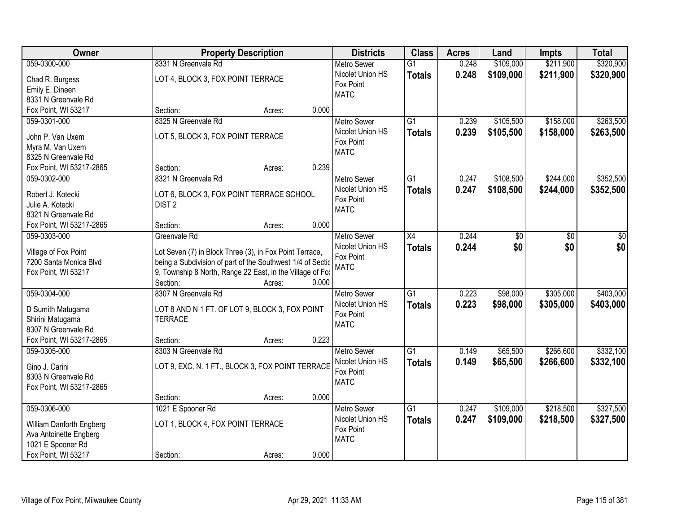| Owner                    | <b>Property Description</b>                                | <b>Districts</b>   | <b>Class</b>    | <b>Acres</b> | Land      | Impts     | <b>Total</b> |
|--------------------------|------------------------------------------------------------|--------------------|-----------------|--------------|-----------|-----------|--------------|
| 059-0300-000             | 8331 N Greenvale Rd                                        | <b>Metro Sewer</b> | $\overline{G1}$ | 0.248        | \$109,000 | \$211,900 | \$320,900    |
| Chad R. Burgess          | LOT 4, BLOCK 3, FOX POINT TERRACE                          | Nicolet Union HS   | <b>Totals</b>   | 0.248        | \$109,000 | \$211,900 | \$320,900    |
| Emily E. Dineen          |                                                            | Fox Point          |                 |              |           |           |              |
| 8331 N Greenvale Rd      |                                                            | <b>MATC</b>        |                 |              |           |           |              |
| Fox Point, WI 53217      | 0.000<br>Section:<br>Acres:                                |                    |                 |              |           |           |              |
| 059-0301-000             | 8325 N Greenvale Rd                                        | <b>Metro Sewer</b> | $\overline{G1}$ | 0.239        | \$105,500 | \$158,000 | \$263,500    |
|                          |                                                            | Nicolet Union HS   | <b>Totals</b>   | 0.239        | \$105,500 | \$158,000 | \$263,500    |
| John P. Van Uxem         | LOT 5, BLOCK 3, FOX POINT TERRACE                          | Fox Point          |                 |              |           |           |              |
| Myra M. Van Uxem         |                                                            | <b>MATC</b>        |                 |              |           |           |              |
| 8325 N Greenvale Rd      |                                                            |                    |                 |              |           |           |              |
| Fox Point, WI 53217-2865 | 0.239<br>Section:<br>Acres:                                |                    |                 |              |           |           |              |
| 059-0302-000             | 8321 N Greenvale Rd                                        | Metro Sewer        | G1              | 0.247        | \$108,500 | \$244,000 | \$352,500    |
| Robert J. Kotecki        | LOT 6, BLOCK 3, FOX POINT TERRACE SCHOOL                   | Nicolet Union HS   | <b>Totals</b>   | 0.247        | \$108,500 | \$244,000 | \$352,500    |
| Julie A. Kotecki         | DIST <sub>2</sub>                                          | Fox Point          |                 |              |           |           |              |
| 8321 N Greenvale Rd      |                                                            | <b>MATC</b>        |                 |              |           |           |              |
| Fox Point, WI 53217-2865 | 0.000<br>Section:<br>Acres:                                |                    |                 |              |           |           |              |
| 059-0303-000             | Greenvale Rd                                               | <b>Metro Sewer</b> | X4              | 0.244        | \$0       | \$0       | \$0          |
|                          |                                                            | Nicolet Union HS   | <b>Totals</b>   | 0.244        | \$0       | \$0       | \$0          |
| Village of Fox Point     | Lot Seven (7) in Block Three (3), in Fox Point Terrace,    | Fox Point          |                 |              |           |           |              |
| 7200 Santa Monica Blvd   | being a Subdivision of part of the Southwest 1/4 of Sectic | <b>MATC</b>        |                 |              |           |           |              |
| Fox Point, WI 53217      | 9, Township 8 North, Range 22 East, in the Village of Fox  |                    |                 |              |           |           |              |
|                          | Section:<br>0.000<br>Acres:                                |                    |                 |              |           |           |              |
| 059-0304-000             | 8307 N Greenvale Rd                                        | <b>Metro Sewer</b> | $\overline{G1}$ | 0.223        | \$98,000  | \$305,000 | \$403,000    |
| D Sumith Matugama        | LOT 8 AND N 1 FT. OF LOT 9, BLOCK 3, FOX POINT             | Nicolet Union HS   | <b>Totals</b>   | 0.223        | \$98,000  | \$305,000 | \$403,000    |
| Shirini Matugama         | <b>TERRACE</b>                                             | Fox Point          |                 |              |           |           |              |
| 8307 N Greenvale Rd      |                                                            | <b>MATC</b>        |                 |              |           |           |              |
| Fox Point, WI 53217-2865 | 0.223<br>Section:<br>Acres:                                |                    |                 |              |           |           |              |
| 059-0305-000             | 8303 N Greenvale Rd                                        | <b>Metro Sewer</b> | $\overline{G1}$ | 0.149        | \$65,500  | \$266,600 | \$332,100    |
|                          |                                                            | Nicolet Union HS   | <b>Totals</b>   | 0.149        | \$65,500  | \$266,600 | \$332,100    |
| Gino J. Carini           | LOT 9, EXC. N. 1 FT., BLOCK 3, FOX POINT TERRACE           | Fox Point          |                 |              |           |           |              |
| 8303 N Greenvale Rd      |                                                            | <b>MATC</b>        |                 |              |           |           |              |
| Fox Point, WI 53217-2865 |                                                            |                    |                 |              |           |           |              |
|                          | 0.000<br>Section:<br>Acres:                                |                    |                 |              |           |           |              |
| 059-0306-000             | 1021 E Spooner Rd                                          | <b>Metro Sewer</b> | $\overline{G1}$ | 0.247        | \$109,000 | \$218,500 | \$327,500    |
| William Danforth Engberg | LOT 1, BLOCK 4, FOX POINT TERRACE                          | Nicolet Union HS   | <b>Totals</b>   | 0.247        | \$109,000 | \$218,500 | \$327,500    |
| Ava Antoinette Engberg   |                                                            | Fox Point          |                 |              |           |           |              |
| 1021 E Spooner Rd        |                                                            | <b>MATC</b>        |                 |              |           |           |              |
| Fox Point, WI 53217      | 0.000<br>Section:<br>Acres:                                |                    |                 |              |           |           |              |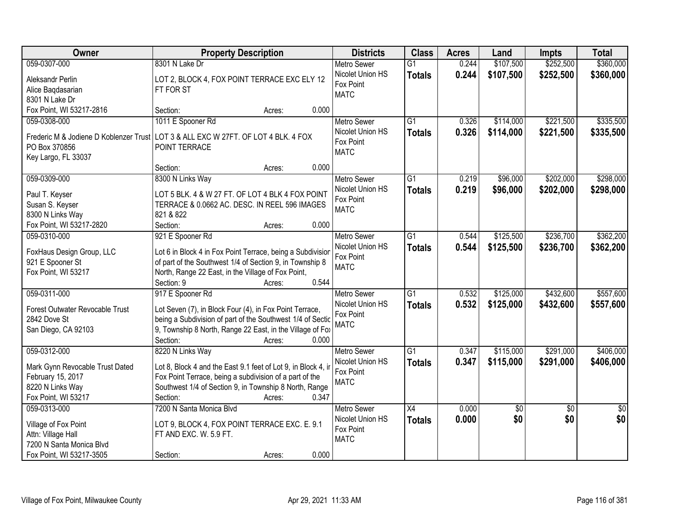| <b>Owner</b>                    | <b>Property Description</b>                                                        | <b>Districts</b>         | <b>Class</b>    | <b>Acres</b> | Land      | <b>Impts</b>    | <b>Total</b>    |
|---------------------------------|------------------------------------------------------------------------------------|--------------------------|-----------------|--------------|-----------|-----------------|-----------------|
| 059-0307-000                    | 8301 N Lake Dr                                                                     | <b>Metro Sewer</b>       | $\overline{G1}$ | 0.244        | \$107,500 | \$252,500       | \$360,000       |
| Aleksandr Perlin                | LOT 2, BLOCK 4, FOX POINT TERRACE EXC ELY 12                                       | Nicolet Union HS         | <b>Totals</b>   | 0.244        | \$107,500 | \$252,500       | \$360,000       |
| Alice Baqdasarian               | FT FOR ST                                                                          | Fox Point                |                 |              |           |                 |                 |
| 8301 N Lake Dr                  |                                                                                    | <b>MATC</b>              |                 |              |           |                 |                 |
| Fox Point, WI 53217-2816        | 0.000<br>Section:<br>Acres:                                                        |                          |                 |              |           |                 |                 |
| 059-0308-000                    | 1011 E Spooner Rd                                                                  | <b>Metro Sewer</b>       | $\overline{G1}$ | 0.326        | \$114,000 | \$221,500       | \$335,500       |
|                                 |                                                                                    | Nicolet Union HS         | <b>Totals</b>   | 0.326        | \$114,000 | \$221,500       | \$335,500       |
|                                 | Frederic M & Jodiene D Koblenzer Trust LOT 3 & ALL EXC W 27FT. OF LOT 4 BLK. 4 FOX | Fox Point                |                 |              |           |                 |                 |
| PO Box 370856                   | POINT TERRACE                                                                      | <b>MATC</b>              |                 |              |           |                 |                 |
| Key Largo, FL 33037             | 0.000<br>Section:                                                                  |                          |                 |              |           |                 |                 |
| 059-0309-000                    | Acres:<br>8300 N Links Way                                                         | <b>Metro Sewer</b>       | $\overline{G1}$ | 0.219        | \$96,000  | \$202,000       | \$298,000       |
|                                 |                                                                                    | Nicolet Union HS         |                 |              |           |                 |                 |
| Paul T. Keyser                  | LOT 5 BLK. 4 & W 27 FT. OF LOT 4 BLK 4 FOX POINT                                   | Fox Point                | <b>Totals</b>   | 0.219        | \$96,000  | \$202,000       | \$298,000       |
| Susan S. Keyser                 | TERRACE & 0.0662 AC. DESC. IN REEL 596 IMAGES                                      | <b>MATC</b>              |                 |              |           |                 |                 |
| 8300 N Links Way                | 821 & 822                                                                          |                          |                 |              |           |                 |                 |
| Fox Point, WI 53217-2820        | Section:<br>0.000<br>Acres:                                                        |                          |                 |              |           |                 |                 |
| 059-0310-000                    | 921 E Spooner Rd                                                                   | <b>Metro Sewer</b>       | G1              | 0.544        | \$125,500 | \$236,700       | \$362,200       |
| FoxHaus Design Group, LLC       | Lot 6 in Block 4 in Fox Point Terrace, being a Subdivisior                         | Nicolet Union HS         | <b>Totals</b>   | 0.544        | \$125,500 | \$236,700       | \$362,200       |
| 921 E Spooner St                | of part of the Southwest 1/4 of Section 9, in Township 8                           | Fox Point                |                 |              |           |                 |                 |
| Fox Point, WI 53217             | North, Range 22 East, in the Village of Fox Point,                                 | <b>MATC</b>              |                 |              |           |                 |                 |
|                                 | 0.544<br>Section: 9<br>Acres:                                                      |                          |                 |              |           |                 |                 |
| 059-0311-000                    | 917 E Spooner Rd                                                                   | <b>Metro Sewer</b>       | $\overline{G1}$ | 0.532        | \$125,000 | \$432,600       | \$557,600       |
|                                 |                                                                                    | Nicolet Union HS         | <b>Totals</b>   | 0.532        | \$125,000 | \$432,600       | \$557,600       |
| Forest Outwater Revocable Trust | Lot Seven (7), in Block Four (4), in Fox Point Terrace,                            | Fox Point                |                 |              |           |                 |                 |
| 2842 Dove St                    | being a Subdivision of part of the Southwest 1/4 of Sectic                         | <b>MATC</b>              |                 |              |           |                 |                 |
| San Diego, CA 92103             | 9, Township 8 North, Range 22 East, in the Village of Fox                          |                          |                 |              |           |                 |                 |
|                                 | Section:<br>0.000<br>Acres:                                                        |                          |                 |              |           |                 |                 |
| 059-0312-000                    | 8220 N Links Way                                                                   | <b>Metro Sewer</b>       | $\overline{G1}$ | 0.347        | \$115,000 | \$291,000       | \$406,000       |
| Mark Gynn Revocable Trust Dated | Lot 8, Block 4 and the East 9.1 feet of Lot 9, in Block 4, in                      | Nicolet Union HS         | <b>Totals</b>   | 0.347        | \$115,000 | \$291,000       | \$406,000       |
| February 15, 2017               | Fox Point Terrace, being a subdivision of a part of the                            | Fox Point<br><b>MATC</b> |                 |              |           |                 |                 |
| 8220 N Links Way                | Southwest 1/4 of Section 9, in Township 8 North, Range                             |                          |                 |              |           |                 |                 |
| Fox Point, WI 53217             | 0.347<br>Section:<br>Acres:                                                        |                          |                 |              |           |                 |                 |
| 059-0313-000                    | 7200 N Santa Monica Blvd                                                           | <b>Metro Sewer</b>       | $\overline{X4}$ | 0.000        | \$0       | $\overline{30}$ | $\overline{50}$ |
| Village of Fox Point            | LOT 9, BLOCK 4, FOX POINT TERRACE EXC. E. 9.1                                      | Nicolet Union HS         | <b>Totals</b>   | 0.000        | \$0       | \$0             | \$0             |
| Attn: Village Hall              | FT AND EXC. W. 5.9 FT.                                                             | Fox Point                |                 |              |           |                 |                 |
| 7200 N Santa Monica Blvd        |                                                                                    | <b>MATC</b>              |                 |              |           |                 |                 |
| Fox Point, WI 53217-3505        | 0.000<br>Section:<br>Acres:                                                        |                          |                 |              |           |                 |                 |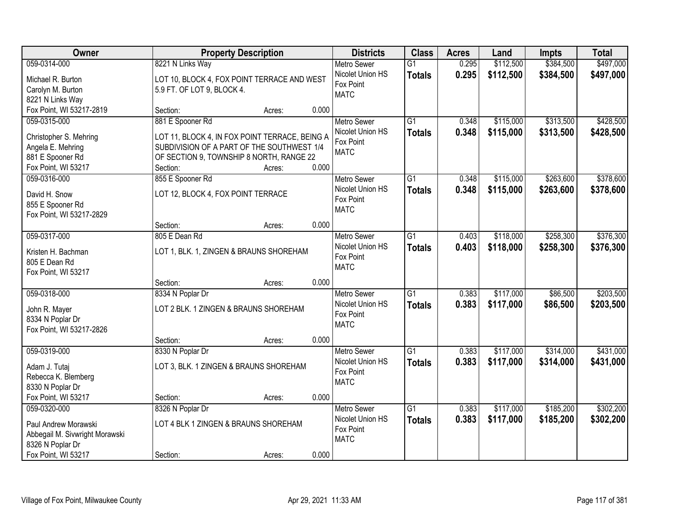| Owner                                        |                                                | <b>Property Description</b> |       | <b>Districts</b>                       | <b>Class</b>    | <b>Acres</b> | Land      | <b>Impts</b> | <b>Total</b> |
|----------------------------------------------|------------------------------------------------|-----------------------------|-------|----------------------------------------|-----------------|--------------|-----------|--------------|--------------|
| 059-0314-000                                 | 8221 N Links Way                               |                             |       | <b>Metro Sewer</b>                     | $\overline{G1}$ | 0.295        | \$112,500 | \$384,500    | \$497,000    |
| Michael R. Burton                            | LOT 10, BLOCK 4, FOX POINT TERRACE AND WEST    |                             |       | Nicolet Union HS                       | <b>Totals</b>   | 0.295        | \$112,500 | \$384,500    | \$497,000    |
| Carolyn M. Burton                            | 5.9 FT. OF LOT 9, BLOCK 4.                     |                             |       | Fox Point                              |                 |              |           |              |              |
| 8221 N Links Way                             |                                                |                             |       | <b>MATC</b>                            |                 |              |           |              |              |
| Fox Point, WI 53217-2819                     | Section:                                       | Acres:                      | 0.000 |                                        |                 |              |           |              |              |
| 059-0315-000                                 | 881 E Spooner Rd                               |                             |       | <b>Metro Sewer</b>                     | $\overline{G1}$ | 0.348        | \$115,000 | \$313,500    | \$428,500    |
| Christopher S. Mehring                       | LOT 11, BLOCK 4, IN FOX POINT TERRACE, BEING A |                             |       | Nicolet Union HS                       | <b>Totals</b>   | 0.348        | \$115,000 | \$313,500    | \$428,500    |
| Angela E. Mehring                            | SUBDIVISION OF A PART OF THE SOUTHWEST 1/4     |                             |       | Fox Point                              |                 |              |           |              |              |
| 881 E Spooner Rd                             | OF SECTION 9, TOWNSHIP 8 NORTH, RANGE 22       |                             |       | <b>MATC</b>                            |                 |              |           |              |              |
| Fox Point, WI 53217                          | Section:                                       | Acres:                      | 0.000 |                                        |                 |              |           |              |              |
| 059-0316-000                                 | 855 E Spooner Rd                               |                             |       | Metro Sewer                            | G1              | 0.348        | \$115,000 | \$263,600    | \$378,600    |
|                                              |                                                |                             |       | Nicolet Union HS                       | <b>Totals</b>   | 0.348        | \$115,000 | \$263,600    | \$378,600    |
| David H. Snow                                | LOT 12, BLOCK 4, FOX POINT TERRACE             |                             |       | Fox Point                              |                 |              |           |              |              |
| 855 E Spooner Rd<br>Fox Point, WI 53217-2829 |                                                |                             |       | <b>MATC</b>                            |                 |              |           |              |              |
|                                              | Section:                                       | Acres:                      | 0.000 |                                        |                 |              |           |              |              |
| 059-0317-000                                 | 805 E Dean Rd                                  |                             |       | <b>Metro Sewer</b>                     | $\overline{G1}$ | 0.403        | \$118,000 | \$258,300    | \$376,300    |
|                                              |                                                |                             |       | Nicolet Union HS                       | <b>Totals</b>   | 0.403        | \$118,000 | \$258,300    | \$376,300    |
| Kristen H. Bachman                           | LOT 1, BLK. 1, ZINGEN & BRAUNS SHOREHAM        |                             |       | Fox Point                              |                 |              |           |              |              |
| 805 E Dean Rd                                |                                                |                             |       | <b>MATC</b>                            |                 |              |           |              |              |
| Fox Point, WI 53217                          |                                                |                             |       |                                        |                 |              |           |              |              |
| 059-0318-000                                 | Section:<br>8334 N Poplar Dr                   | Acres:                      | 0.000 |                                        | $\overline{G1}$ | 0.383        |           | \$86,500     | \$203,500    |
|                                              |                                                |                             |       | <b>Metro Sewer</b><br>Nicolet Union HS |                 |              | \$117,000 |              |              |
| John R. Mayer                                | LOT 2 BLK. 1 ZINGEN & BRAUNS SHOREHAM          |                             |       | Fox Point                              | <b>Totals</b>   | 0.383        | \$117,000 | \$86,500     | \$203,500    |
| 8334 N Poplar Dr                             |                                                |                             |       | <b>MATC</b>                            |                 |              |           |              |              |
| Fox Point, WI 53217-2826                     |                                                |                             |       |                                        |                 |              |           |              |              |
|                                              | Section:                                       | Acres:                      | 0.000 |                                        |                 |              |           |              |              |
| 059-0319-000                                 | 8330 N Poplar Dr                               |                             |       | <b>Metro Sewer</b>                     | $\overline{G1}$ | 0.383        | \$117,000 | \$314,000    | \$431,000    |
| Adam J. Tutaj                                | LOT 3, BLK. 1 ZINGEN & BRAUNS SHOREHAM         |                             |       | Nicolet Union HS                       | <b>Totals</b>   | 0.383        | \$117,000 | \$314,000    | \$431,000    |
| Rebecca K. Blemberg                          |                                                |                             |       | Fox Point<br><b>MATC</b>               |                 |              |           |              |              |
| 8330 N Poplar Dr                             |                                                |                             |       |                                        |                 |              |           |              |              |
| Fox Point, WI 53217                          | Section:                                       | Acres:                      | 0.000 |                                        |                 |              |           |              |              |
| 059-0320-000                                 | 8326 N Poplar Dr                               |                             |       | <b>Metro Sewer</b>                     | $\overline{G1}$ | 0.383        | \$117,000 | \$185,200    | \$302,200    |
| Paul Andrew Morawski                         | LOT 4 BLK 1 ZINGEN & BRAUNS SHOREHAM           |                             |       | Nicolet Union HS                       | <b>Totals</b>   | 0.383        | \$117,000 | \$185,200    | \$302,200    |
| Abbegail M. Sivwright Morawski               |                                                |                             |       | Fox Point                              |                 |              |           |              |              |
| 8326 N Poplar Dr                             |                                                |                             |       | <b>MATC</b>                            |                 |              |           |              |              |
| Fox Point, WI 53217                          | Section:                                       | Acres:                      | 0.000 |                                        |                 |              |           |              |              |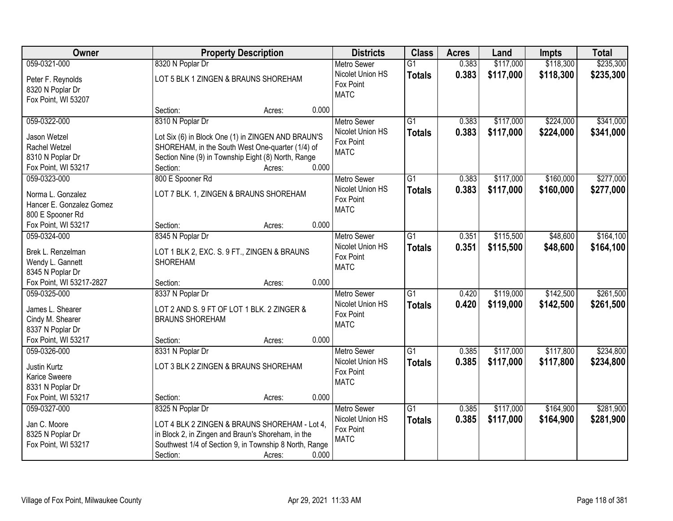| Owner                    |                        | <b>Property Description</b>                            |       | <b>Districts</b>              | <b>Class</b>    | <b>Acres</b> | Land      | <b>Impts</b> | <b>Total</b> |
|--------------------------|------------------------|--------------------------------------------------------|-------|-------------------------------|-----------------|--------------|-----------|--------------|--------------|
| 059-0321-000             | 8320 N Poplar Dr       |                                                        |       | <b>Metro Sewer</b>            | $\overline{G1}$ | 0.383        | \$117,000 | \$118,300    | \$235,300    |
| Peter F. Reynolds        |                        | LOT 5 BLK 1 ZINGEN & BRAUNS SHOREHAM                   |       | Nicolet Union HS              | <b>Totals</b>   | 0.383        | \$117,000 | \$118,300    | \$235,300    |
| 8320 N Poplar Dr         |                        |                                                        |       | Fox Point                     |                 |              |           |              |              |
| Fox Point, WI 53207      |                        |                                                        |       | <b>MATC</b>                   |                 |              |           |              |              |
|                          | Section:               | Acres:                                                 | 0.000 |                               |                 |              |           |              |              |
| 059-0322-000             | 8310 N Poplar Dr       |                                                        |       | Metro Sewer                   | $\overline{G1}$ | 0.383        | \$117,000 | \$224,000    | \$341,000    |
| Jason Wetzel             |                        | Lot Six (6) in Block One (1) in ZINGEN AND BRAUN'S     |       | Nicolet Union HS              | <b>Totals</b>   | 0.383        | \$117,000 | \$224,000    | \$341,000    |
| Rachel Wetzel            |                        | SHOREHAM, in the South West One-quarter (1/4) of       |       | Fox Point                     |                 |              |           |              |              |
| 8310 N Poplar Dr         |                        | Section Nine (9) in Township Eight (8) North, Range    |       | <b>MATC</b>                   |                 |              |           |              |              |
| Fox Point, WI 53217      | Section:               | Acres:                                                 | 0.000 |                               |                 |              |           |              |              |
| 059-0323-000             | 800 E Spooner Rd       |                                                        |       | Metro Sewer                   | $\overline{G1}$ | 0.383        | \$117,000 | \$160,000    | \$277,000    |
|                          |                        |                                                        |       | Nicolet Union HS              | <b>Totals</b>   | 0.383        | \$117,000 | \$160,000    | \$277,000    |
| Norma L. Gonzalez        |                        | LOT 7 BLK. 1, ZINGEN & BRAUNS SHOREHAM                 |       | Fox Point                     |                 |              |           |              |              |
| Hancer E. Gonzalez Gomez |                        |                                                        |       | <b>MATC</b>                   |                 |              |           |              |              |
| 800 E Spooner Rd         |                        |                                                        |       |                               |                 |              |           |              |              |
| Fox Point, WI 53217      | Section:               | Acres:                                                 | 0.000 |                               |                 |              |           |              |              |
| 059-0324-000             | 8345 N Poplar Dr       |                                                        |       | <b>Metro Sewer</b>            | $\overline{G1}$ | 0.351        | \$115,500 | \$48,600     | \$164,100    |
| Brek L. Renzelman        |                        | LOT 1 BLK 2, EXC. S. 9 FT., ZINGEN & BRAUNS            |       | Nicolet Union HS              | <b>Totals</b>   | 0.351        | \$115,500 | \$48,600     | \$164,100    |
| Wendy L. Gannett         | <b>SHOREHAM</b>        |                                                        |       | Fox Point<br><b>MATC</b>      |                 |              |           |              |              |
| 8345 N Poplar Dr         |                        |                                                        |       |                               |                 |              |           |              |              |
| Fox Point, WI 53217-2827 | Section:               | Acres:                                                 | 0.000 |                               |                 |              |           |              |              |
| 059-0325-000             | 8337 N Poplar Dr       |                                                        |       | <b>Metro Sewer</b>            | $\overline{G1}$ | 0.420        | \$119,000 | \$142,500    | \$261,500    |
| James L. Shearer         |                        | LOT 2 AND S. 9 FT OF LOT 1 BLK. 2 ZINGER &             |       | Nicolet Union HS              | <b>Totals</b>   | 0.420        | \$119,000 | \$142,500    | \$261,500    |
| Cindy M. Shearer         | <b>BRAUNS SHOREHAM</b> |                                                        |       | Fox Point                     |                 |              |           |              |              |
| 8337 N Poplar Dr         |                        |                                                        |       | <b>MATC</b>                   |                 |              |           |              |              |
| Fox Point, WI 53217      | Section:               | Acres:                                                 | 0.000 |                               |                 |              |           |              |              |
| 059-0326-000             | 8331 N Poplar Dr       |                                                        |       | Metro Sewer                   | $\overline{G1}$ | 0.385        | \$117,000 | \$117,800    | \$234,800    |
|                          |                        |                                                        |       | Nicolet Union HS              | <b>Totals</b>   | 0.385        | \$117,000 | \$117,800    | \$234,800    |
| Justin Kurtz             |                        | LOT 3 BLK 2 ZINGEN & BRAUNS SHOREHAM                   |       | Fox Point                     |                 |              |           |              |              |
| Karice Sweere            |                        |                                                        |       | <b>MATC</b>                   |                 |              |           |              |              |
| 8331 N Poplar Dr         |                        |                                                        |       |                               |                 |              |           |              |              |
| Fox Point, WI 53217      | Section:               | Acres:                                                 | 0.000 |                               |                 |              |           |              |              |
| 059-0327-000             | 8325 N Poplar Dr       |                                                        |       | <b>Metro Sewer</b>            | $\overline{G1}$ | 0.385        | \$117,000 | \$164,900    | \$281,900    |
| Jan C. Moore             |                        | LOT 4 BLK 2 ZINGEN & BRAUNS SHOREHAM - Lot 4,          |       | Nicolet Union HS<br>Fox Point | <b>Totals</b>   | 0.385        | \$117,000 | \$164,900    | \$281,900    |
| 8325 N Poplar Dr         |                        | in Block 2, in Zingen and Braun's Shoreham, in the     |       | <b>MATC</b>                   |                 |              |           |              |              |
| Fox Point, WI 53217      |                        | Southwest 1/4 of Section 9, in Township 8 North, Range |       |                               |                 |              |           |              |              |
|                          | Section:               | Acres:                                                 | 0.000 |                               |                 |              |           |              |              |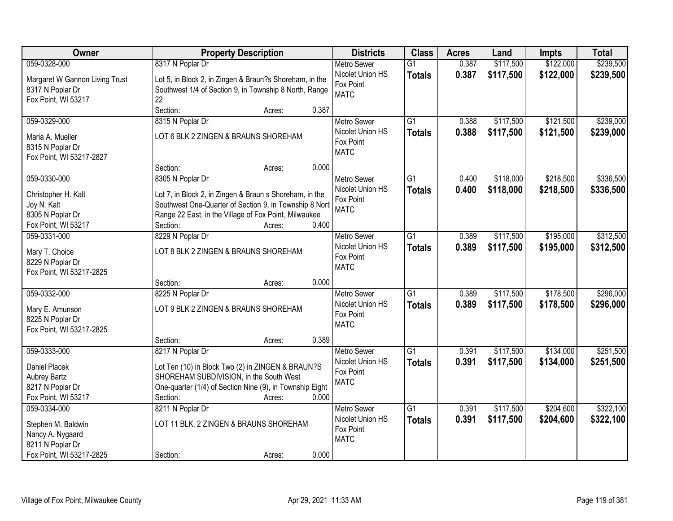| <b>Owner</b>                   | <b>Property Description</b>                                    | <b>Districts</b>                       | <b>Class</b>    | <b>Acres</b> | Land      | <b>Impts</b> | <b>Total</b> |
|--------------------------------|----------------------------------------------------------------|----------------------------------------|-----------------|--------------|-----------|--------------|--------------|
| 059-0328-000                   | 8317 N Poplar Dr                                               | <b>Metro Sewer</b>                     | $\overline{G1}$ | 0.387        | \$117,500 | \$122,000    | \$239,500    |
| Margaret W Gannon Living Trust | Lot 5, in Block 2, in Zingen & Braun?s Shoreham, in the        | Nicolet Union HS                       | <b>Totals</b>   | 0.387        | \$117,500 | \$122,000    | \$239,500    |
| 8317 N Poplar Dr               | Southwest 1/4 of Section 9, in Township 8 North, Range         | Fox Point                              |                 |              |           |              |              |
| Fox Point, WI 53217            | 22                                                             | <b>MATC</b>                            |                 |              |           |              |              |
|                                | 0.387<br>Section:<br>Acres:                                    |                                        |                 |              |           |              |              |
| 059-0329-000                   | 8315 N Poplar Dr                                               | <b>Metro Sewer</b>                     | G1              | 0.388        | \$117,500 | \$121,500    | \$239,000    |
| Maria A. Mueller               | LOT 6 BLK 2 ZINGEN & BRAUNS SHOREHAM                           | Nicolet Union HS                       | <b>Totals</b>   | 0.388        | \$117,500 | \$121,500    | \$239,000    |
| 8315 N Poplar Dr               |                                                                | Fox Point                              |                 |              |           |              |              |
| Fox Point, WI 53217-2827       |                                                                | <b>MATC</b>                            |                 |              |           |              |              |
|                                | 0.000<br>Section:<br>Acres:                                    |                                        |                 |              |           |              |              |
| 059-0330-000                   | 8305 N Poplar Dr                                               | Metro Sewer                            | G1              | 0.400        | \$118,000 | \$218,500    | \$336,500    |
|                                |                                                                | Nicolet Union HS                       | <b>Totals</b>   | 0.400        | \$118,000 | \$218,500    | \$336,500    |
| Christopher H. Kalt            | Lot 7, in Block 2, in Zingen & Braun s Shoreham, in the        | Fox Point                              |                 |              |           |              |              |
| Joy N. Kalt                    | Southwest One-Quarter of Section 9, in Township 8 Nortl        | <b>MATC</b>                            |                 |              |           |              |              |
| 8305 N Poplar Dr               | Range 22 East, in the Village of Fox Point, Milwaukee<br>0.400 |                                        |                 |              |           |              |              |
| Fox Point, WI 53217            | Section:<br>Acres:                                             |                                        |                 |              |           |              |              |
| 059-0331-000                   | 8229 N Poplar Dr                                               | <b>Metro Sewer</b><br>Nicolet Union HS | G1              | 0.389        | \$117,500 | \$195,000    | \$312,500    |
| Mary T. Choice                 | LOT 8 BLK 2 ZINGEN & BRAUNS SHOREHAM                           | Fox Point                              | <b>Totals</b>   | 0.389        | \$117,500 | \$195,000    | \$312,500    |
| 8229 N Poplar Dr               |                                                                | <b>MATC</b>                            |                 |              |           |              |              |
| Fox Point, WI 53217-2825       |                                                                |                                        |                 |              |           |              |              |
|                                | 0.000<br>Section:<br>Acres:                                    |                                        |                 |              |           |              |              |
| 059-0332-000                   | 8225 N Poplar Dr                                               | <b>Metro Sewer</b>                     | $\overline{G1}$ | 0.389        | \$117,500 | \$178,500    | \$296,000    |
| Mary E. Amunson                | LOT 9 BLK 2 ZINGEN & BRAUNS SHOREHAM                           | Nicolet Union HS                       | <b>Totals</b>   | 0.389        | \$117,500 | \$178,500    | \$296,000    |
| 8225 N Poplar Dr               |                                                                | Fox Point                              |                 |              |           |              |              |
| Fox Point, WI 53217-2825       |                                                                | <b>MATC</b>                            |                 |              |           |              |              |
|                                | 0.389<br>Section:<br>Acres:                                    |                                        |                 |              |           |              |              |
| 059-0333-000                   | 8217 N Poplar Dr                                               | Metro Sewer                            | $\overline{G1}$ | 0.391        | \$117,500 | \$134,000    | \$251,500    |
| <b>Daniel Placek</b>           | Lot Ten (10) in Block Two (2) in ZINGEN & BRAUN?S              | Nicolet Union HS                       | <b>Totals</b>   | 0.391        | \$117,500 | \$134,000    | \$251,500    |
| <b>Aubrey Bartz</b>            | SHOREHAM SUBDIVISION, in the South West                        | Fox Point                              |                 |              |           |              |              |
| 8217 N Poplar Dr               | One-quarter (1/4) of Section Nine (9), in Township Eight       | <b>MATC</b>                            |                 |              |           |              |              |
| Fox Point, WI 53217            | 0.000<br>Section:<br>Acres:                                    |                                        |                 |              |           |              |              |
| 059-0334-000                   | 8211 N Poplar Dr                                               | <b>Metro Sewer</b>                     | $\overline{G1}$ | 0.391        | \$117,500 | \$204,600    | \$322,100    |
|                                |                                                                | Nicolet Union HS                       | <b>Totals</b>   | 0.391        | \$117,500 | \$204,600    | \$322,100    |
| Stephen M. Baldwin             | LOT 11 BLK. 2 ZINGEN & BRAUNS SHOREHAM                         | Fox Point                              |                 |              |           |              |              |
| Nancy A. Nygaard               |                                                                | <b>MATC</b>                            |                 |              |           |              |              |
| 8211 N Poplar Dr               |                                                                |                                        |                 |              |           |              |              |
| Fox Point, WI 53217-2825       | 0.000<br>Section:<br>Acres:                                    |                                        |                 |              |           |              |              |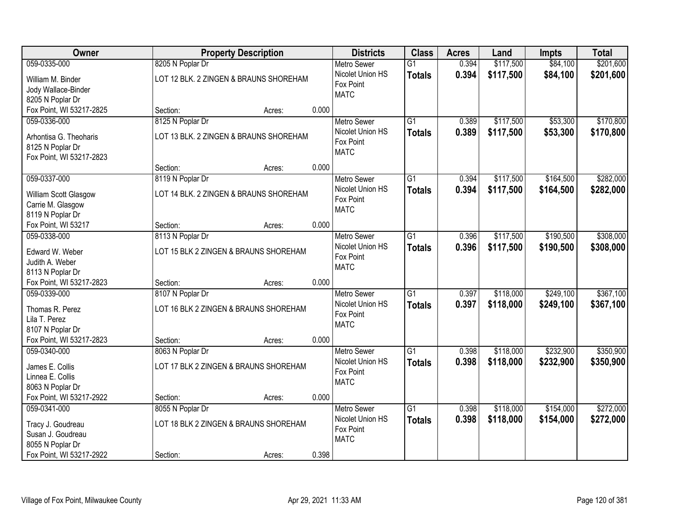| Owner                                        |                                        | <b>Property Description</b> |       | <b>Districts</b>              | <b>Class</b>    | <b>Acres</b> | Land      | <b>Impts</b> | <b>Total</b> |
|----------------------------------------------|----------------------------------------|-----------------------------|-------|-------------------------------|-----------------|--------------|-----------|--------------|--------------|
| 059-0335-000                                 | 8205 N Poplar Dr                       |                             |       | <b>Metro Sewer</b>            | $\overline{G1}$ | 0.394        | \$117,500 | \$84,100     | \$201,600    |
| William M. Binder                            | LOT 12 BLK. 2 ZINGEN & BRAUNS SHOREHAM |                             |       | Nicolet Union HS<br>Fox Point | <b>Totals</b>   | 0.394        | \$117,500 | \$84,100     | \$201,600    |
| Jody Wallace-Binder                          |                                        |                             |       | <b>MATC</b>                   |                 |              |           |              |              |
| 8205 N Poplar Dr                             |                                        |                             |       |                               |                 |              |           |              |              |
| Fox Point, WI 53217-2825                     | Section:                               | Acres:                      | 0.000 |                               |                 |              |           |              |              |
| 059-0336-000                                 | 8125 N Poplar Dr                       |                             |       | <b>Metro Sewer</b>            | $\overline{G1}$ | 0.389        | \$117,500 | \$53,300     | \$170,800    |
| Arhontisa G. Theoharis                       | LOT 13 BLK. 2 ZINGEN & BRAUNS SHOREHAM |                             |       | Nicolet Union HS              | <b>Totals</b>   | 0.389        | \$117,500 | \$53,300     | \$170,800    |
| 8125 N Poplar Dr                             |                                        |                             |       | Fox Point                     |                 |              |           |              |              |
| Fox Point, WI 53217-2823                     |                                        |                             |       | <b>MATC</b>                   |                 |              |           |              |              |
|                                              | Section:                               | Acres:                      | 0.000 |                               |                 |              |           |              |              |
| 059-0337-000                                 | 8119 N Poplar Dr                       |                             |       | Metro Sewer                   | G1              | 0.394        | \$117,500 | \$164,500    | \$282,000    |
|                                              | LOT 14 BLK. 2 ZINGEN & BRAUNS SHOREHAM |                             |       | Nicolet Union HS              | <b>Totals</b>   | 0.394        | \$117,500 | \$164,500    | \$282,000    |
| William Scott Glasgow<br>Carrie M. Glasgow   |                                        |                             |       | Fox Point                     |                 |              |           |              |              |
| 8119 N Poplar Dr                             |                                        |                             |       | <b>MATC</b>                   |                 |              |           |              |              |
| Fox Point, WI 53217                          | Section:                               | Acres:                      | 0.000 |                               |                 |              |           |              |              |
| 059-0338-000                                 | 8113 N Poplar Dr                       |                             |       | <b>Metro Sewer</b>            | G1              | 0.396        | \$117,500 | \$190,500    | \$308,000    |
|                                              |                                        |                             |       | Nicolet Union HS              |                 | 0.396        | \$117,500 | \$190,500    |              |
| Edward W. Weber                              | LOT 15 BLK 2 ZINGEN & BRAUNS SHOREHAM  |                             |       | Fox Point                     | <b>Totals</b>   |              |           |              | \$308,000    |
| Judith A. Weber                              |                                        |                             |       | <b>MATC</b>                   |                 |              |           |              |              |
| 8113 N Poplar Dr                             |                                        |                             |       |                               |                 |              |           |              |              |
| Fox Point, WI 53217-2823                     | Section:                               | Acres:                      | 0.000 |                               |                 |              |           |              |              |
| 059-0339-000                                 | 8107 N Poplar Dr                       |                             |       | <b>Metro Sewer</b>            | $\overline{G1}$ | 0.397        | \$118,000 | \$249,100    | \$367,100    |
| Thomas R. Perez                              | LOT 16 BLK 2 ZINGEN & BRAUNS SHOREHAM  |                             |       | Nicolet Union HS              | <b>Totals</b>   | 0.397        | \$118,000 | \$249,100    | \$367,100    |
| Lila T. Perez                                |                                        |                             |       | Fox Point                     |                 |              |           |              |              |
| 8107 N Poplar Dr                             |                                        |                             |       | <b>MATC</b>                   |                 |              |           |              |              |
| Fox Point, WI 53217-2823                     | Section:                               | Acres:                      | 0.000 |                               |                 |              |           |              |              |
| 059-0340-000                                 | 8063 N Poplar Dr                       |                             |       | Metro Sewer                   | $\overline{G1}$ | 0.398        | \$118,000 | \$232,900    | \$350,900    |
|                                              |                                        |                             |       | Nicolet Union HS              | <b>Totals</b>   | 0.398        | \$118,000 | \$232,900    | \$350,900    |
| James E. Collis                              | LOT 17 BLK 2 ZINGEN & BRAUNS SHOREHAM  |                             |       | Fox Point                     |                 |              |           |              |              |
| Linnea E. Collis                             |                                        |                             |       | <b>MATC</b>                   |                 |              |           |              |              |
| 8063 N Poplar Dr<br>Fox Point, WI 53217-2922 | Section:                               |                             | 0.000 |                               |                 |              |           |              |              |
| 059-0341-000                                 |                                        | Acres:                      |       | <b>Metro Sewer</b>            | $\overline{G1}$ | 0.398        | \$118,000 | \$154,000    | \$272,000    |
|                                              | 8055 N Poplar Dr                       |                             |       | Nicolet Union HS              |                 |              |           |              |              |
| Tracy J. Goudreau                            | LOT 18 BLK 2 ZINGEN & BRAUNS SHOREHAM  |                             |       | Fox Point                     | <b>Totals</b>   | 0.398        | \$118,000 | \$154,000    | \$272,000    |
| Susan J. Goudreau                            |                                        |                             |       | <b>MATC</b>                   |                 |              |           |              |              |
| 8055 N Poplar Dr                             |                                        |                             |       |                               |                 |              |           |              |              |
| Fox Point, WI 53217-2922                     | Section:                               | Acres:                      | 0.398 |                               |                 |              |           |              |              |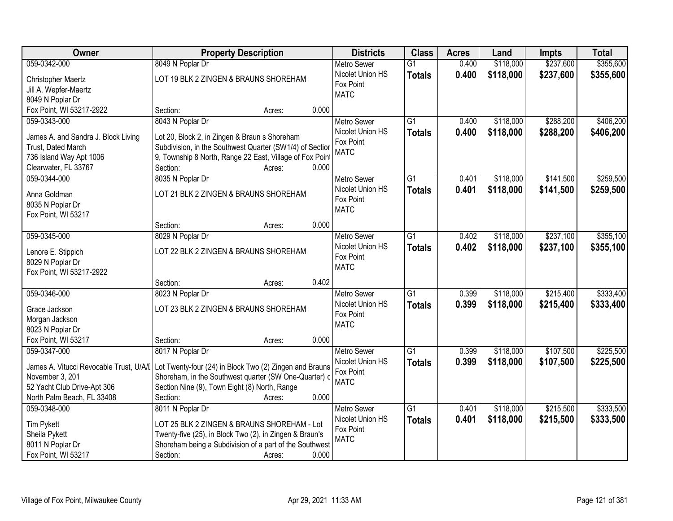| Owner                                        | <b>Property Description</b>                                                                     | <b>Districts</b>   | <b>Class</b>    | <b>Acres</b> | Land      | <b>Impts</b> | <b>Total</b> |
|----------------------------------------------|-------------------------------------------------------------------------------------------------|--------------------|-----------------|--------------|-----------|--------------|--------------|
| 059-0342-000                                 | 8049 N Poplar Dr                                                                                | <b>Metro Sewer</b> | $\overline{G1}$ | 0.400        | \$118,000 | \$237,600    | \$355,600    |
| Christopher Maertz                           | LOT 19 BLK 2 ZINGEN & BRAUNS SHOREHAM                                                           | Nicolet Union HS   | <b>Totals</b>   | 0.400        | \$118,000 | \$237,600    | \$355,600    |
| Jill A. Wepfer-Maertz                        |                                                                                                 | Fox Point          |                 |              |           |              |              |
| 8049 N Poplar Dr                             |                                                                                                 | <b>MATC</b>        |                 |              |           |              |              |
| Fox Point, WI 53217-2922                     | 0.000<br>Section:<br>Acres:                                                                     |                    |                 |              |           |              |              |
| 059-0343-000                                 | 8043 N Poplar Dr                                                                                | <b>Metro Sewer</b> | $\overline{G1}$ | 0.400        | \$118,000 | \$288,200    | \$406,200    |
|                                              |                                                                                                 | Nicolet Union HS   | <b>Totals</b>   | 0.400        | \$118,000 | \$288,200    | \$406,200    |
| James A. and Sandra J. Block Living          | Lot 20, Block 2, in Zingen & Braun s Shoreham                                                   | Fox Point          |                 |              |           |              |              |
| Trust, Dated March                           | Subdivision, in the Southwest Quarter (SW1/4) of Section                                        | <b>MATC</b>        |                 |              |           |              |              |
| 736 Island Way Apt 1006                      | 9, Township 8 North, Range 22 East, Village of Fox Point                                        |                    |                 |              |           |              |              |
| Clearwater, FL 33767                         | Section:<br>0.000<br>Acres:                                                                     |                    |                 |              |           |              |              |
| 059-0344-000                                 | 8035 N Poplar Dr                                                                                | <b>Metro Sewer</b> | G1              | 0.401        | \$118,000 | \$141,500    | \$259,500    |
| Anna Goldman                                 | LOT 21 BLK 2 ZINGEN & BRAUNS SHOREHAM                                                           | Nicolet Union HS   | <b>Totals</b>   | 0.401        | \$118,000 | \$141,500    | \$259,500    |
| 8035 N Poplar Dr                             |                                                                                                 | Fox Point          |                 |              |           |              |              |
| Fox Point, WI 53217                          |                                                                                                 | <b>MATC</b>        |                 |              |           |              |              |
|                                              | 0.000<br>Section:<br>Acres:                                                                     |                    |                 |              |           |              |              |
| 059-0345-000                                 | 8029 N Poplar Dr                                                                                | <b>Metro Sewer</b> | G1              | 0.402        | \$118,000 | \$237,100    | \$355,100    |
|                                              | LOT 22 BLK 2 ZINGEN & BRAUNS SHOREHAM                                                           | Nicolet Union HS   | <b>Totals</b>   | 0.402        | \$118,000 | \$237,100    | \$355,100    |
| Lenore E. Stippich                           |                                                                                                 | Fox Point          |                 |              |           |              |              |
| 8029 N Poplar Dr<br>Fox Point, WI 53217-2922 |                                                                                                 | <b>MATC</b>        |                 |              |           |              |              |
|                                              | 0.402<br>Section:<br>Acres:                                                                     |                    |                 |              |           |              |              |
| 059-0346-000                                 | 8023 N Poplar Dr                                                                                | Metro Sewer        | $\overline{G1}$ | 0.399        | \$118,000 | \$215,400    | \$333,400    |
|                                              |                                                                                                 | Nicolet Union HS   |                 | 0.399        |           |              |              |
| Grace Jackson                                | LOT 23 BLK 2 ZINGEN & BRAUNS SHOREHAM                                                           | Fox Point          | <b>Totals</b>   |              | \$118,000 | \$215,400    | \$333,400    |
| Morgan Jackson                               |                                                                                                 | <b>MATC</b>        |                 |              |           |              |              |
| 8023 N Poplar Dr                             |                                                                                                 |                    |                 |              |           |              |              |
| Fox Point, WI 53217                          | 0.000<br>Section:<br>Acres:                                                                     |                    |                 |              |           |              |              |
| 059-0347-000                                 | 8017 N Poplar Dr                                                                                | <b>Metro Sewer</b> | $\overline{G1}$ | 0.399        | \$118,000 | \$107,500    | \$225,500    |
|                                              | James A. Vitucci Revocable Trust, U/A/I Lot Twenty-four (24) in Block Two (2) Zingen and Brauns | Nicolet Union HS   | <b>Totals</b>   | 0.399        | \$118,000 | \$107,500    | \$225,500    |
| November 3, 201                              | Shoreham, in the Southwest quarter (SW One-Quarter) o                                           | Fox Point          |                 |              |           |              |              |
| 52 Yacht Club Drive-Apt 306                  | Section Nine (9), Town Eight (8) North, Range                                                   | <b>MATC</b>        |                 |              |           |              |              |
| North Palm Beach, FL 33408                   | 0.000<br>Section:<br>Acres:                                                                     |                    |                 |              |           |              |              |
| 059-0348-000                                 | 8011 N Poplar Dr                                                                                | <b>Metro Sewer</b> | $\overline{G1}$ | 0.401        | \$118,000 | \$215,500    | \$333,500    |
|                                              |                                                                                                 | Nicolet Union HS   | <b>Totals</b>   | 0.401        | \$118,000 | \$215,500    | \$333,500    |
| <b>Tim Pykett</b>                            | LOT 25 BLK 2 ZINGEN & BRAUNS SHOREHAM - Lot                                                     | Fox Point          |                 |              |           |              |              |
| Sheila Pykett                                | Twenty-five (25), in Block Two (2), in Zingen & Braun's                                         | <b>MATC</b>        |                 |              |           |              |              |
| 8011 N Poplar Dr                             | Shoreham being a Subdivision of a part of the Southwest                                         |                    |                 |              |           |              |              |
| Fox Point, WI 53217                          | 0.000<br>Section:<br>Acres:                                                                     |                    |                 |              |           |              |              |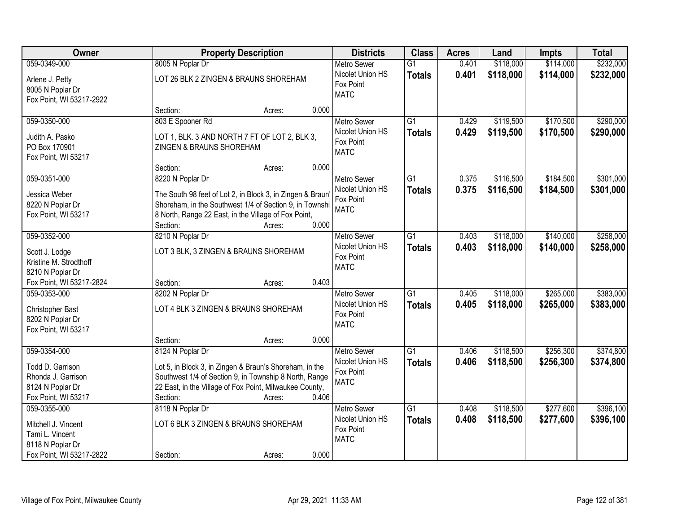| Owner                                                                                                  | <b>Property Description</b>                                                                                                                                                                                                     | <b>Districts</b>                                                   | <b>Class</b>                     | <b>Acres</b>   | Land                   | <b>Impts</b>           | <b>Total</b>           |
|--------------------------------------------------------------------------------------------------------|---------------------------------------------------------------------------------------------------------------------------------------------------------------------------------------------------------------------------------|--------------------------------------------------------------------|----------------------------------|----------------|------------------------|------------------------|------------------------|
| 059-0349-000                                                                                           | 8005 N Poplar Dr                                                                                                                                                                                                                | <b>Metro Sewer</b>                                                 | $\overline{G1}$                  | 0.401          | \$118,000              | \$114,000              | \$232,000              |
| Arlene J. Petty<br>8005 N Poplar Dr<br>Fox Point, WI 53217-2922                                        | LOT 26 BLK 2 ZINGEN & BRAUNS SHOREHAM                                                                                                                                                                                           | Nicolet Union HS<br>Fox Point<br><b>MATC</b>                       | <b>Totals</b>                    | 0.401          | \$118,000              | \$114,000              | \$232,000              |
|                                                                                                        | 0.000<br>Section:<br>Acres:                                                                                                                                                                                                     |                                                                    |                                  |                |                        |                        |                        |
| 059-0350-000<br>Judith A. Pasko<br>PO Box 170901                                                       | 803 E Spooner Rd<br>LOT 1, BLK. 3 AND NORTH 7 FT OF LOT 2, BLK 3,<br>ZINGEN & BRAUNS SHOREHAM                                                                                                                                   | <b>Metro Sewer</b><br>Nicolet Union HS<br>Fox Point<br><b>MATC</b> | $\overline{G1}$<br><b>Totals</b> | 0.429<br>0.429 | \$119,500<br>\$119,500 | \$170,500<br>\$170,500 | \$290,000<br>\$290,000 |
| Fox Point, WI 53217                                                                                    | 0.000<br>Section:<br>Acres:                                                                                                                                                                                                     |                                                                    |                                  |                |                        |                        |                        |
| 059-0351-000                                                                                           | 8220 N Poplar Dr                                                                                                                                                                                                                | <b>Metro Sewer</b>                                                 | G1                               | 0.375          | \$116,500              | \$184,500              | \$301,000              |
| Jessica Weber<br>8220 N Poplar Dr<br>Fox Point, WI 53217                                               | The South 98 feet of Lot 2, in Block 3, in Zingen & Braun<br>Shoreham, in the Southwest 1/4 of Section 9, in Townshi<br>8 North, Range 22 East, in the Village of Fox Point,<br>0.000<br>Section:<br>Acres:                     | Nicolet Union HS<br>Fox Point<br><b>MATC</b>                       | <b>Totals</b>                    | 0.375          | \$116,500              | \$184,500              | \$301,000              |
| 059-0352-000                                                                                           | 8210 N Poplar Dr                                                                                                                                                                                                                | <b>Metro Sewer</b>                                                 | G1                               | 0.403          | \$118,000              | \$140,000              | \$258,000              |
| Scott J. Lodge<br>Kristine M. Strodthoff<br>8210 N Poplar Dr                                           | LOT 3 BLK, 3 ZINGEN & BRAUNS SHOREHAM                                                                                                                                                                                           | Nicolet Union HS<br>Fox Point<br><b>MATC</b>                       | <b>Totals</b>                    | 0.403          | \$118,000              | \$140,000              | \$258,000              |
| Fox Point, WI 53217-2824                                                                               | 0.403<br>Section:<br>Acres:                                                                                                                                                                                                     |                                                                    |                                  |                |                        |                        |                        |
| 059-0353-000<br>Christopher Bast<br>8202 N Poplar Dr<br>Fox Point, WI 53217                            | 8202 N Poplar Dr<br>LOT 4 BLK 3 ZINGEN & BRAUNS SHOREHAM                                                                                                                                                                        | <b>Metro Sewer</b><br>Nicolet Union HS<br>Fox Point<br><b>MATC</b> | $\overline{G1}$<br><b>Totals</b> | 0.405<br>0.405 | \$118,000<br>\$118,000 | \$265,000<br>\$265,000 | \$383,000<br>\$383,000 |
|                                                                                                        | 0.000<br>Section:<br>Acres:                                                                                                                                                                                                     |                                                                    |                                  |                |                        |                        |                        |
| 059-0354-000<br>Todd D. Garrison<br>Rhonda J. Garrison<br>8124 N Poplar Dr<br>Fox Point, WI 53217      | 8124 N Poplar Dr<br>Lot 5, in Block 3, in Zingen & Braun's Shoreham, in the<br>Southwest 1/4 of Section 9, in Township 8 North, Range<br>22 East, in the Village of Fox Point, Milwaukee County,<br>0.406<br>Section:<br>Acres: | Metro Sewer<br>Nicolet Union HS<br>Fox Point<br><b>MATC</b>        | $\overline{G1}$<br><b>Totals</b> | 0.406<br>0.406 | \$118,500<br>\$118,500 | \$256,300<br>\$256,300 | \$374,800<br>\$374,800 |
| 059-0355-000<br>Mitchell J. Vincent<br>Tami L. Vincent<br>8118 N Poplar Dr<br>Fox Point, WI 53217-2822 | 8118 N Poplar Dr<br>LOT 6 BLK 3 ZINGEN & BRAUNS SHOREHAM<br>0.000<br>Section:<br>Acres:                                                                                                                                         | <b>Metro Sewer</b><br>Nicolet Union HS<br>Fox Point<br><b>MATC</b> | $\overline{G1}$<br><b>Totals</b> | 0.408<br>0.408 | \$118,500<br>\$118,500 | \$277,600<br>\$277,600 | \$396,100<br>\$396,100 |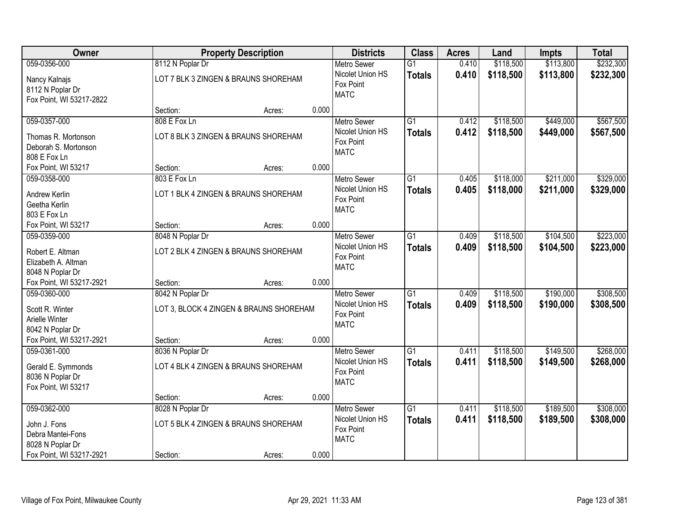| Owner                                                                                             |                              | <b>Property Description</b>                    |       | <b>Districts</b>                                                   | <b>Class</b>                     | <b>Acres</b>   | Land                   | <b>Impts</b>           | <b>Total</b>           |
|---------------------------------------------------------------------------------------------------|------------------------------|------------------------------------------------|-------|--------------------------------------------------------------------|----------------------------------|----------------|------------------------|------------------------|------------------------|
| 059-0356-000                                                                                      | 8112 N Poplar Dr             |                                                |       | <b>Metro Sewer</b>                                                 | $\overline{G1}$                  | 0.410          | \$118,500              | \$113,800              | \$232,300              |
| Nancy Kalnajs<br>8112 N Poplar Dr<br>Fox Point, WI 53217-2822                                     |                              | LOT 7 BLK 3 ZINGEN & BRAUNS SHOREHAM           |       | Nicolet Union HS<br>Fox Point<br><b>MATC</b>                       | <b>Totals</b>                    | 0.410          | \$118,500              | \$113,800              | \$232,300              |
|                                                                                                   | Section:                     | Acres:                                         | 0.000 |                                                                    |                                  |                |                        |                        |                        |
| 059-0357-000<br>Thomas R. Mortonson<br>Deborah S. Mortonson<br>808 E Fox Ln                       | 808 E Fox Ln                 | LOT 8 BLK 3 ZINGEN & BRAUNS SHOREHAM           |       | <b>Metro Sewer</b><br>Nicolet Union HS<br>Fox Point<br><b>MATC</b> | $\overline{G1}$<br><b>Totals</b> | 0.412<br>0.412 | \$118,500<br>\$118,500 | \$449,000<br>\$449,000 | \$567,500<br>\$567,500 |
| Fox Point, WI 53217                                                                               | Section:                     | Acres:                                         | 0.000 |                                                                    |                                  |                |                        |                        |                        |
| 059-0358-000<br>Andrew Kerlin<br>Geetha Kerlin<br>803 E Fox Ln                                    | 803 E Fox Ln                 | LOT 1 BLK 4 ZINGEN & BRAUNS SHOREHAM           |       | Metro Sewer<br>Nicolet Union HS<br>Fox Point<br><b>MATC</b>        | $\overline{G1}$<br><b>Totals</b> | 0.405<br>0.405 | \$118,000<br>\$118,000 | \$211,000<br>\$211,000 | \$329,000<br>\$329,000 |
| Fox Point, WI 53217                                                                               | Section:                     | Acres:                                         | 0.000 |                                                                    |                                  |                |                        |                        |                        |
| 059-0359-000<br>Robert E. Altman<br>Elizabeth A. Altman<br>8048 N Poplar Dr                       | 8048 N Poplar Dr             | LOT 2 BLK 4 ZINGEN & BRAUNS SHOREHAM           |       | <b>Metro Sewer</b><br>Nicolet Union HS<br>Fox Point<br><b>MATC</b> | $\overline{G1}$<br><b>Totals</b> | 0.409<br>0.409 | \$118,500<br>\$118,500 | \$104,500<br>\$104,500 | \$223,000<br>\$223,000 |
| Fox Point, WI 53217-2921                                                                          | Section:                     | Acres:                                         | 0.000 |                                                                    |                                  |                |                        |                        |                        |
| 059-0360-000<br>Scott R. Winter<br>Arielle Winter<br>8042 N Poplar Dr                             | 8042 N Poplar Dr             | LOT 3, BLOCK 4 ZINGEN & BRAUNS SHOREHAM        |       | Metro Sewer<br>Nicolet Union HS<br>Fox Point<br><b>MATC</b>        | $\overline{G1}$<br><b>Totals</b> | 0.409<br>0.409 | \$118,500<br>\$118,500 | \$190,000<br>\$190,000 | \$308,500<br>\$308,500 |
| Fox Point, WI 53217-2921<br>059-0361-000                                                          | Section:<br>8036 N Poplar Dr | Acres:                                         | 0.000 | <b>Metro Sewer</b>                                                 | $\overline{G1}$                  | 0.411          | \$118,500              | \$149,500              | \$268,000              |
| Gerald E. Symmonds<br>8036 N Poplar Dr<br>Fox Point, WI 53217                                     |                              | LOT 4 BLK 4 ZINGEN & BRAUNS SHOREHAM           |       | Nicolet Union HS<br>Fox Point<br><b>MATC</b>                       | <b>Totals</b>                    | 0.411          | \$118,500              | \$149,500              | \$268,000              |
|                                                                                                   | Section:                     | Acres:                                         | 0.000 |                                                                    |                                  |                |                        |                        |                        |
| 059-0362-000<br>John J. Fons<br>Debra Mantei-Fons<br>8028 N Poplar Dr<br>Fox Point, WI 53217-2921 | 8028 N Poplar Dr<br>Section: | LOT 5 BLK 4 ZINGEN & BRAUNS SHOREHAM<br>Acres: | 0.000 | <b>Metro Sewer</b><br>Nicolet Union HS<br>Fox Point<br><b>MATC</b> | $\overline{G1}$<br><b>Totals</b> | 0.411<br>0.411 | \$118,500<br>\$118,500 | \$189,500<br>\$189,500 | \$308,000<br>\$308,000 |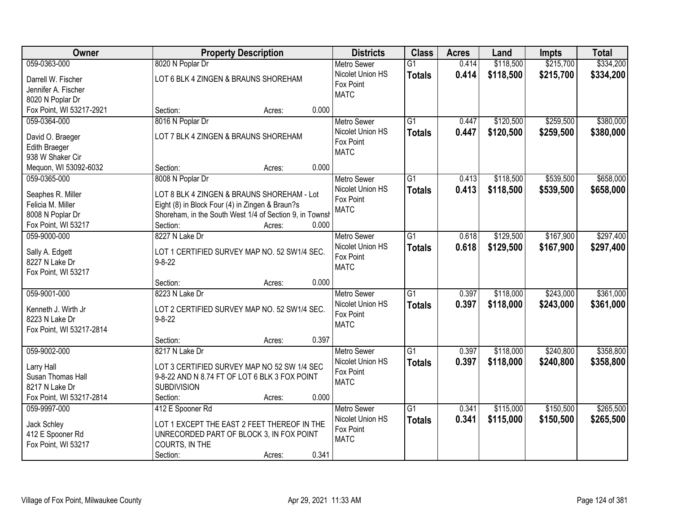| <b>Owner</b>             |                                                         | <b>Property Description</b> |       | <b>Districts</b>   | <b>Class</b>    | <b>Acres</b> | Land      | <b>Impts</b> | <b>Total</b> |
|--------------------------|---------------------------------------------------------|-----------------------------|-------|--------------------|-----------------|--------------|-----------|--------------|--------------|
| 059-0363-000             | 8020 N Poplar Dr                                        |                             |       | <b>Metro Sewer</b> | $\overline{G1}$ | 0.414        | \$118,500 | \$215,700    | \$334,200    |
| Darrell W. Fischer       | LOT 6 BLK 4 ZINGEN & BRAUNS SHOREHAM                    |                             |       | Nicolet Union HS   | <b>Totals</b>   | 0.414        | \$118,500 | \$215,700    | \$334,200    |
| Jennifer A. Fischer      |                                                         |                             |       | Fox Point          |                 |              |           |              |              |
| 8020 N Poplar Dr         |                                                         |                             |       | <b>MATC</b>        |                 |              |           |              |              |
| Fox Point, WI 53217-2921 | Section:                                                | Acres:                      | 0.000 |                    |                 |              |           |              |              |
| 059-0364-000             | 8016 N Poplar Dr                                        |                             |       | <b>Metro Sewer</b> | $\overline{G1}$ | 0.447        | \$120,500 | \$259,500    | \$380,000    |
|                          |                                                         |                             |       | Nicolet Union HS   | Totals          | 0.447        | \$120,500 | \$259,500    | \$380,000    |
| David O. Braeger         | LOT 7 BLK 4 ZINGEN & BRAUNS SHOREHAM                    |                             |       | Fox Point          |                 |              |           |              |              |
| <b>Edith Braeger</b>     |                                                         |                             |       | <b>MATC</b>        |                 |              |           |              |              |
| 938 W Shaker Cir         |                                                         |                             | 0.000 |                    |                 |              |           |              |              |
| Mequon, WI 53092-6032    | Section:                                                | Acres:                      |       |                    |                 |              |           |              |              |
| 059-0365-000             | 8008 N Poplar Dr                                        |                             |       | <b>Metro Sewer</b> | $\overline{G1}$ | 0.413        | \$118,500 | \$539,500    | \$658,000    |
| Seaphes R. Miller        | LOT 8 BLK 4 ZINGEN & BRAUNS SHOREHAM - Lot              |                             |       | Nicolet Union HS   | <b>Totals</b>   | 0.413        | \$118,500 | \$539,500    | \$658,000    |
| Felicia M. Miller        | Eight (8) in Block Four (4) in Zingen & Braun?s         |                             |       | Fox Point          |                 |              |           |              |              |
| 8008 N Poplar Dr         | Shoreham, in the South West 1/4 of Section 9, in Townsh |                             |       | <b>MATC</b>        |                 |              |           |              |              |
| Fox Point, WI 53217      | Section:                                                | Acres:                      | 0.000 |                    |                 |              |           |              |              |
| 059-9000-000             | 8227 N Lake Dr                                          |                             |       | <b>Metro Sewer</b> | $\overline{G1}$ | 0.618        | \$129,500 | \$167,900    | \$297,400    |
|                          |                                                         |                             |       | Nicolet Union HS   | <b>Totals</b>   | 0.618        | \$129,500 | \$167,900    | \$297,400    |
| Sally A. Edgett          | LOT 1 CERTIFIED SURVEY MAP NO. 52 SW1/4 SEC.            |                             |       | Fox Point          |                 |              |           |              |              |
| 8227 N Lake Dr           | $9 - 8 - 22$                                            |                             |       | <b>MATC</b>        |                 |              |           |              |              |
| Fox Point, WI 53217      |                                                         |                             | 0.000 |                    |                 |              |           |              |              |
| 059-9001-000             | Section:                                                | Acres:                      |       |                    | $\overline{G1}$ |              |           |              | \$361,000    |
|                          | 8223 N Lake Dr                                          |                             |       | <b>Metro Sewer</b> |                 | 0.397        | \$118,000 | \$243,000    |              |
| Kenneth J. Wirth Jr      | LOT 2 CERTIFIED SURVEY MAP NO. 52 SW1/4 SEC.            |                             |       | Nicolet Union HS   | <b>Totals</b>   | 0.397        | \$118,000 | \$243,000    | \$361,000    |
| 8223 N Lake Dr           | $9 - 8 - 22$                                            |                             |       | Fox Point          |                 |              |           |              |              |
| Fox Point, WI 53217-2814 |                                                         |                             |       | <b>MATC</b>        |                 |              |           |              |              |
|                          | Section:                                                | Acres:                      | 0.397 |                    |                 |              |           |              |              |
| 059-9002-000             | 8217 N Lake Dr                                          |                             |       | Metro Sewer        | G1              | 0.397        | \$118,000 | \$240,800    | \$358,800    |
| Larry Hall               | LOT 3 CERTIFIED SURVEY MAP NO 52 SW 1/4 SEC             |                             |       | Nicolet Union HS   | <b>Totals</b>   | 0.397        | \$118,000 | \$240,800    | \$358,800    |
| Susan Thomas Hall        | 9-8-22 AND N 8.74 FT OF LOT 6 BLK 3 FOX POINT           |                             |       | Fox Point          |                 |              |           |              |              |
| 8217 N Lake Dr           | <b>SUBDIVISION</b>                                      |                             |       | <b>MATC</b>        |                 |              |           |              |              |
| Fox Point, WI 53217-2814 | Section:                                                | Acres:                      | 0.000 |                    |                 |              |           |              |              |
| 059-9997-000             | 412 E Spooner Rd                                        |                             |       | Metro Sewer        | $\overline{G1}$ | 0.341        | \$115,000 | \$150,500    | \$265,500    |
|                          |                                                         |                             |       | Nicolet Union HS   | <b>Totals</b>   | 0.341        | \$115,000 | \$150,500    | \$265,500    |
| Jack Schley              | LOT 1 EXCEPT THE EAST 2 FEET THEREOF IN THE             |                             |       | Fox Point          |                 |              |           |              |              |
| 412 E Spooner Rd         | UNRECORDED PART OF BLOCK 3, IN FOX POINT                |                             |       | <b>MATC</b>        |                 |              |           |              |              |
| Fox Point, WI 53217      | COURTS, IN THE                                          |                             |       |                    |                 |              |           |              |              |
|                          | Section:                                                | Acres:                      | 0.341 |                    |                 |              |           |              |              |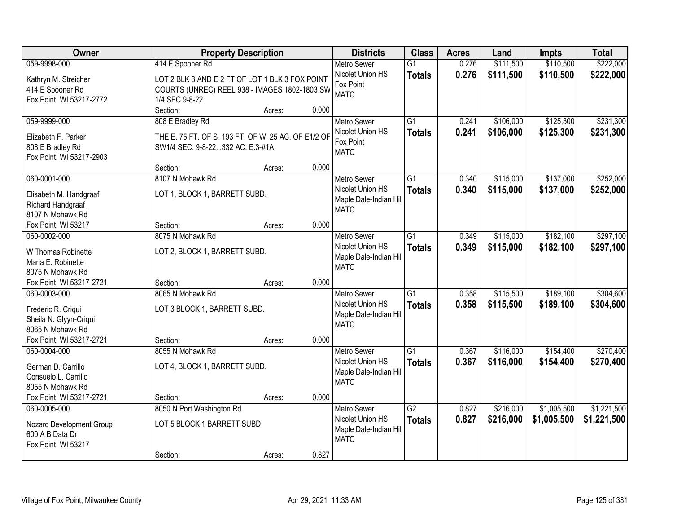| \$110,500<br>\$222,000<br>059-9998-000<br>414 E Spooner Rd<br>\$111,500<br><b>Metro Sewer</b><br>$\overline{G1}$<br>0.276<br>0.276<br>Nicolet Union HS<br>\$111,500<br>\$110,500<br>\$222,000<br><b>Totals</b><br>LOT 2 BLK 3 AND E 2 FT OF LOT 1 BLK 3 FOX POINT<br>Kathryn M. Streicher<br>Fox Point<br>414 E Spooner Rd<br>COURTS (UNREC) REEL 938 - IMAGES 1802-1803 SW<br><b>MATC</b><br>Fox Point, WI 53217-2772<br>1/4 SEC 9-8-22<br>Section:<br>0.000<br>Acres:<br>\$231,300<br>$\overline{G1}$<br>\$106,000<br>\$125,300<br>059-9999-000<br>808 E Bradley Rd<br>0.241<br><b>Metro Sewer</b><br>Nicolet Union HS<br>0.241<br>\$106,000<br>\$125,300<br>\$231,300<br><b>Totals</b><br>THE E. 75 FT. OF S. 193 FT. OF W. 25 AC. OF E1/2 OF<br>Elizabeth F. Parker<br>Fox Point<br>808 E Bradley Rd<br>SW1/4 SEC. 9-8-22. .332 AC. E.3-#1A<br><b>MATC</b><br>Fox Point, WI 53217-2903<br>0.000<br>Section:<br>Acres:<br>\$137,000<br>\$252,000<br>060-0001-000<br>8107 N Mohawk Rd<br>G1<br>0.340<br>\$115,000<br><b>Metro Sewer</b><br>Nicolet Union HS<br>0.340<br>\$115,000<br>\$137,000<br>\$252,000<br><b>Totals</b><br>LOT 1, BLOCK 1, BARRETT SUBD.<br>Elisabeth M. Handgraaf<br>Maple Dale-Indian Hill<br>Richard Handgraaf<br><b>MATC</b><br>8107 N Mohawk Rd<br>0.000<br>Fox Point, WI 53217<br>Section:<br>Acres:<br>\$297,100<br>8075 N Mohawk Rd<br>\$115,000<br>\$182,100<br>060-0002-000<br><b>Metro Sewer</b><br>G1<br>0.349<br>Nicolet Union HS<br>0.349<br>\$115,000<br>\$182,100<br>\$297,100<br><b>Totals</b><br>LOT 2, BLOCK 1, BARRETT SUBD.<br>W Thomas Robinette<br>Maple Dale-Indian Hill<br>Maria E. Robinette<br><b>MATC</b><br>8075 N Mohawk Rd<br>0.000<br>Fox Point, WI 53217-2721<br>Section:<br>Acres:<br>\$189,100<br>060-0003-000<br>8065 N Mohawk Rd<br>$\overline{G1}$<br>0.358<br>\$115,500<br><b>Metro Sewer</b><br>Nicolet Union HS<br>0.358<br>\$115,500<br>\$189,100<br><b>Totals</b><br>LOT 3 BLOCK 1, BARRETT SUBD.<br>Frederic R. Criqui<br>Maple Dale-Indian Hill<br>Sheila N. Glyyn-Criqui<br><b>MATC</b><br>8065 N Mohawk Rd<br>Fox Point, WI 53217-2721<br>0.000<br>Section:<br>Acres:<br>$\overline{G1}$<br>\$154,400<br>060-0004-000<br>8055 N Mohawk Rd<br>0.367<br>\$116,000<br><b>Metro Sewer</b><br>Nicolet Union HS<br>0.367<br>\$116,000<br>\$154,400<br><b>Totals</b><br>German D. Carrillo<br>LOT 4, BLOCK 1, BARRETT SUBD.<br>Maple Dale-Indian Hill<br>Consuelo L. Carrillo<br><b>MATC</b><br>8055 N Mohawk Rd<br>Fox Point, WI 53217-2721<br>0.000<br>Section:<br>Acres:<br>$\overline{G2}$<br>\$216,000<br>\$1,005,500<br>060-0005-000<br>8050 N Port Washington Rd<br>0.827<br><b>Metro Sewer</b><br>Nicolet Union HS<br>0.827<br>\$216,000<br>\$1,005,500<br><b>Totals</b><br>LOT 5 BLOCK 1 BARRETT SUBD<br>Nozarc Development Group<br>Maple Dale-Indian Hill<br>600 A B Data Dr<br><b>MATC</b><br>Fox Point, WI 53217<br>0.827 | Owner | <b>Property Description</b> |        | <b>Districts</b> | <b>Class</b> | <b>Acres</b> | Land | <b>Impts</b> | <b>Total</b> |
|-------------------------------------------------------------------------------------------------------------------------------------------------------------------------------------------------------------------------------------------------------------------------------------------------------------------------------------------------------------------------------------------------------------------------------------------------------------------------------------------------------------------------------------------------------------------------------------------------------------------------------------------------------------------------------------------------------------------------------------------------------------------------------------------------------------------------------------------------------------------------------------------------------------------------------------------------------------------------------------------------------------------------------------------------------------------------------------------------------------------------------------------------------------------------------------------------------------------------------------------------------------------------------------------------------------------------------------------------------------------------------------------------------------------------------------------------------------------------------------------------------------------------------------------------------------------------------------------------------------------------------------------------------------------------------------------------------------------------------------------------------------------------------------------------------------------------------------------------------------------------------------------------------------------------------------------------------------------------------------------------------------------------------------------------------------------------------------------------------------------------------------------------------------------------------------------------------------------------------------------------------------------------------------------------------------------------------------------------------------------------------------------------------------------------------------------------------------------------------------------------------------------------------------------------------------------------------------------------------------------------------------------------------------------------------------------------------------------------------------------------------------------------------------------------------------------------------------------------------------------------------------------------------|-------|-----------------------------|--------|------------------|--------------|--------------|------|--------------|--------------|
|                                                                                                                                                                                                                                                                                                                                                                                                                                                                                                                                                                                                                                                                                                                                                                                                                                                                                                                                                                                                                                                                                                                                                                                                                                                                                                                                                                                                                                                                                                                                                                                                                                                                                                                                                                                                                                                                                                                                                                                                                                                                                                                                                                                                                                                                                                                                                                                                                                                                                                                                                                                                                                                                                                                                                                                                                                                                                                       |       |                             |        |                  |              |              |      |              |              |
|                                                                                                                                                                                                                                                                                                                                                                                                                                                                                                                                                                                                                                                                                                                                                                                                                                                                                                                                                                                                                                                                                                                                                                                                                                                                                                                                                                                                                                                                                                                                                                                                                                                                                                                                                                                                                                                                                                                                                                                                                                                                                                                                                                                                                                                                                                                                                                                                                                                                                                                                                                                                                                                                                                                                                                                                                                                                                                       |       |                             |        |                  |              |              |      |              |              |
|                                                                                                                                                                                                                                                                                                                                                                                                                                                                                                                                                                                                                                                                                                                                                                                                                                                                                                                                                                                                                                                                                                                                                                                                                                                                                                                                                                                                                                                                                                                                                                                                                                                                                                                                                                                                                                                                                                                                                                                                                                                                                                                                                                                                                                                                                                                                                                                                                                                                                                                                                                                                                                                                                                                                                                                                                                                                                                       |       |                             |        |                  |              |              |      |              |              |
|                                                                                                                                                                                                                                                                                                                                                                                                                                                                                                                                                                                                                                                                                                                                                                                                                                                                                                                                                                                                                                                                                                                                                                                                                                                                                                                                                                                                                                                                                                                                                                                                                                                                                                                                                                                                                                                                                                                                                                                                                                                                                                                                                                                                                                                                                                                                                                                                                                                                                                                                                                                                                                                                                                                                                                                                                                                                                                       |       |                             |        |                  |              |              |      |              |              |
|                                                                                                                                                                                                                                                                                                                                                                                                                                                                                                                                                                                                                                                                                                                                                                                                                                                                                                                                                                                                                                                                                                                                                                                                                                                                                                                                                                                                                                                                                                                                                                                                                                                                                                                                                                                                                                                                                                                                                                                                                                                                                                                                                                                                                                                                                                                                                                                                                                                                                                                                                                                                                                                                                                                                                                                                                                                                                                       |       |                             |        |                  |              |              |      |              |              |
|                                                                                                                                                                                                                                                                                                                                                                                                                                                                                                                                                                                                                                                                                                                                                                                                                                                                                                                                                                                                                                                                                                                                                                                                                                                                                                                                                                                                                                                                                                                                                                                                                                                                                                                                                                                                                                                                                                                                                                                                                                                                                                                                                                                                                                                                                                                                                                                                                                                                                                                                                                                                                                                                                                                                                                                                                                                                                                       |       |                             |        |                  |              |              |      |              |              |
|                                                                                                                                                                                                                                                                                                                                                                                                                                                                                                                                                                                                                                                                                                                                                                                                                                                                                                                                                                                                                                                                                                                                                                                                                                                                                                                                                                                                                                                                                                                                                                                                                                                                                                                                                                                                                                                                                                                                                                                                                                                                                                                                                                                                                                                                                                                                                                                                                                                                                                                                                                                                                                                                                                                                                                                                                                                                                                       |       |                             |        |                  |              |              |      |              |              |
|                                                                                                                                                                                                                                                                                                                                                                                                                                                                                                                                                                                                                                                                                                                                                                                                                                                                                                                                                                                                                                                                                                                                                                                                                                                                                                                                                                                                                                                                                                                                                                                                                                                                                                                                                                                                                                                                                                                                                                                                                                                                                                                                                                                                                                                                                                                                                                                                                                                                                                                                                                                                                                                                                                                                                                                                                                                                                                       |       |                             |        |                  |              |              |      |              |              |
|                                                                                                                                                                                                                                                                                                                                                                                                                                                                                                                                                                                                                                                                                                                                                                                                                                                                                                                                                                                                                                                                                                                                                                                                                                                                                                                                                                                                                                                                                                                                                                                                                                                                                                                                                                                                                                                                                                                                                                                                                                                                                                                                                                                                                                                                                                                                                                                                                                                                                                                                                                                                                                                                                                                                                                                                                                                                                                       |       |                             |        |                  |              |              |      |              |              |
|                                                                                                                                                                                                                                                                                                                                                                                                                                                                                                                                                                                                                                                                                                                                                                                                                                                                                                                                                                                                                                                                                                                                                                                                                                                                                                                                                                                                                                                                                                                                                                                                                                                                                                                                                                                                                                                                                                                                                                                                                                                                                                                                                                                                                                                                                                                                                                                                                                                                                                                                                                                                                                                                                                                                                                                                                                                                                                       |       |                             |        |                  |              |              |      |              |              |
|                                                                                                                                                                                                                                                                                                                                                                                                                                                                                                                                                                                                                                                                                                                                                                                                                                                                                                                                                                                                                                                                                                                                                                                                                                                                                                                                                                                                                                                                                                                                                                                                                                                                                                                                                                                                                                                                                                                                                                                                                                                                                                                                                                                                                                                                                                                                                                                                                                                                                                                                                                                                                                                                                                                                                                                                                                                                                                       |       |                             |        |                  |              |              |      |              |              |
|                                                                                                                                                                                                                                                                                                                                                                                                                                                                                                                                                                                                                                                                                                                                                                                                                                                                                                                                                                                                                                                                                                                                                                                                                                                                                                                                                                                                                                                                                                                                                                                                                                                                                                                                                                                                                                                                                                                                                                                                                                                                                                                                                                                                                                                                                                                                                                                                                                                                                                                                                                                                                                                                                                                                                                                                                                                                                                       |       |                             |        |                  |              |              |      |              |              |
|                                                                                                                                                                                                                                                                                                                                                                                                                                                                                                                                                                                                                                                                                                                                                                                                                                                                                                                                                                                                                                                                                                                                                                                                                                                                                                                                                                                                                                                                                                                                                                                                                                                                                                                                                                                                                                                                                                                                                                                                                                                                                                                                                                                                                                                                                                                                                                                                                                                                                                                                                                                                                                                                                                                                                                                                                                                                                                       |       |                             |        |                  |              |              |      |              |              |
|                                                                                                                                                                                                                                                                                                                                                                                                                                                                                                                                                                                                                                                                                                                                                                                                                                                                                                                                                                                                                                                                                                                                                                                                                                                                                                                                                                                                                                                                                                                                                                                                                                                                                                                                                                                                                                                                                                                                                                                                                                                                                                                                                                                                                                                                                                                                                                                                                                                                                                                                                                                                                                                                                                                                                                                                                                                                                                       |       |                             |        |                  |              |              |      |              |              |
|                                                                                                                                                                                                                                                                                                                                                                                                                                                                                                                                                                                                                                                                                                                                                                                                                                                                                                                                                                                                                                                                                                                                                                                                                                                                                                                                                                                                                                                                                                                                                                                                                                                                                                                                                                                                                                                                                                                                                                                                                                                                                                                                                                                                                                                                                                                                                                                                                                                                                                                                                                                                                                                                                                                                                                                                                                                                                                       |       |                             |        |                  |              |              |      |              |              |
|                                                                                                                                                                                                                                                                                                                                                                                                                                                                                                                                                                                                                                                                                                                                                                                                                                                                                                                                                                                                                                                                                                                                                                                                                                                                                                                                                                                                                                                                                                                                                                                                                                                                                                                                                                                                                                                                                                                                                                                                                                                                                                                                                                                                                                                                                                                                                                                                                                                                                                                                                                                                                                                                                                                                                                                                                                                                                                       |       |                             |        |                  |              |              |      |              |              |
|                                                                                                                                                                                                                                                                                                                                                                                                                                                                                                                                                                                                                                                                                                                                                                                                                                                                                                                                                                                                                                                                                                                                                                                                                                                                                                                                                                                                                                                                                                                                                                                                                                                                                                                                                                                                                                                                                                                                                                                                                                                                                                                                                                                                                                                                                                                                                                                                                                                                                                                                                                                                                                                                                                                                                                                                                                                                                                       |       |                             |        |                  |              |              |      |              |              |
| \$304,600<br>\$304,600<br>\$270,400<br>\$270,400<br>\$1,221,500<br>\$1,221,500                                                                                                                                                                                                                                                                                                                                                                                                                                                                                                                                                                                                                                                                                                                                                                                                                                                                                                                                                                                                                                                                                                                                                                                                                                                                                                                                                                                                                                                                                                                                                                                                                                                                                                                                                                                                                                                                                                                                                                                                                                                                                                                                                                                                                                                                                                                                                                                                                                                                                                                                                                                                                                                                                                                                                                                                                        |       |                             |        |                  |              |              |      |              |              |
|                                                                                                                                                                                                                                                                                                                                                                                                                                                                                                                                                                                                                                                                                                                                                                                                                                                                                                                                                                                                                                                                                                                                                                                                                                                                                                                                                                                                                                                                                                                                                                                                                                                                                                                                                                                                                                                                                                                                                                                                                                                                                                                                                                                                                                                                                                                                                                                                                                                                                                                                                                                                                                                                                                                                                                                                                                                                                                       |       |                             |        |                  |              |              |      |              |              |
|                                                                                                                                                                                                                                                                                                                                                                                                                                                                                                                                                                                                                                                                                                                                                                                                                                                                                                                                                                                                                                                                                                                                                                                                                                                                                                                                                                                                                                                                                                                                                                                                                                                                                                                                                                                                                                                                                                                                                                                                                                                                                                                                                                                                                                                                                                                                                                                                                                                                                                                                                                                                                                                                                                                                                                                                                                                                                                       |       |                             |        |                  |              |              |      |              |              |
|                                                                                                                                                                                                                                                                                                                                                                                                                                                                                                                                                                                                                                                                                                                                                                                                                                                                                                                                                                                                                                                                                                                                                                                                                                                                                                                                                                                                                                                                                                                                                                                                                                                                                                                                                                                                                                                                                                                                                                                                                                                                                                                                                                                                                                                                                                                                                                                                                                                                                                                                                                                                                                                                                                                                                                                                                                                                                                       |       |                             |        |                  |              |              |      |              |              |
|                                                                                                                                                                                                                                                                                                                                                                                                                                                                                                                                                                                                                                                                                                                                                                                                                                                                                                                                                                                                                                                                                                                                                                                                                                                                                                                                                                                                                                                                                                                                                                                                                                                                                                                                                                                                                                                                                                                                                                                                                                                                                                                                                                                                                                                                                                                                                                                                                                                                                                                                                                                                                                                                                                                                                                                                                                                                                                       |       |                             |        |                  |              |              |      |              |              |
|                                                                                                                                                                                                                                                                                                                                                                                                                                                                                                                                                                                                                                                                                                                                                                                                                                                                                                                                                                                                                                                                                                                                                                                                                                                                                                                                                                                                                                                                                                                                                                                                                                                                                                                                                                                                                                                                                                                                                                                                                                                                                                                                                                                                                                                                                                                                                                                                                                                                                                                                                                                                                                                                                                                                                                                                                                                                                                       |       |                             |        |                  |              |              |      |              |              |
|                                                                                                                                                                                                                                                                                                                                                                                                                                                                                                                                                                                                                                                                                                                                                                                                                                                                                                                                                                                                                                                                                                                                                                                                                                                                                                                                                                                                                                                                                                                                                                                                                                                                                                                                                                                                                                                                                                                                                                                                                                                                                                                                                                                                                                                                                                                                                                                                                                                                                                                                                                                                                                                                                                                                                                                                                                                                                                       |       |                             |        |                  |              |              |      |              |              |
|                                                                                                                                                                                                                                                                                                                                                                                                                                                                                                                                                                                                                                                                                                                                                                                                                                                                                                                                                                                                                                                                                                                                                                                                                                                                                                                                                                                                                                                                                                                                                                                                                                                                                                                                                                                                                                                                                                                                                                                                                                                                                                                                                                                                                                                                                                                                                                                                                                                                                                                                                                                                                                                                                                                                                                                                                                                                                                       |       |                             |        |                  |              |              |      |              |              |
|                                                                                                                                                                                                                                                                                                                                                                                                                                                                                                                                                                                                                                                                                                                                                                                                                                                                                                                                                                                                                                                                                                                                                                                                                                                                                                                                                                                                                                                                                                                                                                                                                                                                                                                                                                                                                                                                                                                                                                                                                                                                                                                                                                                                                                                                                                                                                                                                                                                                                                                                                                                                                                                                                                                                                                                                                                                                                                       |       |                             |        |                  |              |              |      |              |              |
|                                                                                                                                                                                                                                                                                                                                                                                                                                                                                                                                                                                                                                                                                                                                                                                                                                                                                                                                                                                                                                                                                                                                                                                                                                                                                                                                                                                                                                                                                                                                                                                                                                                                                                                                                                                                                                                                                                                                                                                                                                                                                                                                                                                                                                                                                                                                                                                                                                                                                                                                                                                                                                                                                                                                                                                                                                                                                                       |       |                             |        |                  |              |              |      |              |              |
|                                                                                                                                                                                                                                                                                                                                                                                                                                                                                                                                                                                                                                                                                                                                                                                                                                                                                                                                                                                                                                                                                                                                                                                                                                                                                                                                                                                                                                                                                                                                                                                                                                                                                                                                                                                                                                                                                                                                                                                                                                                                                                                                                                                                                                                                                                                                                                                                                                                                                                                                                                                                                                                                                                                                                                                                                                                                                                       |       |                             |        |                  |              |              |      |              |              |
|                                                                                                                                                                                                                                                                                                                                                                                                                                                                                                                                                                                                                                                                                                                                                                                                                                                                                                                                                                                                                                                                                                                                                                                                                                                                                                                                                                                                                                                                                                                                                                                                                                                                                                                                                                                                                                                                                                                                                                                                                                                                                                                                                                                                                                                                                                                                                                                                                                                                                                                                                                                                                                                                                                                                                                                                                                                                                                       |       |                             |        |                  |              |              |      |              |              |
|                                                                                                                                                                                                                                                                                                                                                                                                                                                                                                                                                                                                                                                                                                                                                                                                                                                                                                                                                                                                                                                                                                                                                                                                                                                                                                                                                                                                                                                                                                                                                                                                                                                                                                                                                                                                                                                                                                                                                                                                                                                                                                                                                                                                                                                                                                                                                                                                                                                                                                                                                                                                                                                                                                                                                                                                                                                                                                       |       |                             |        |                  |              |              |      |              |              |
|                                                                                                                                                                                                                                                                                                                                                                                                                                                                                                                                                                                                                                                                                                                                                                                                                                                                                                                                                                                                                                                                                                                                                                                                                                                                                                                                                                                                                                                                                                                                                                                                                                                                                                                                                                                                                                                                                                                                                                                                                                                                                                                                                                                                                                                                                                                                                                                                                                                                                                                                                                                                                                                                                                                                                                                                                                                                                                       |       |                             |        |                  |              |              |      |              |              |
|                                                                                                                                                                                                                                                                                                                                                                                                                                                                                                                                                                                                                                                                                                                                                                                                                                                                                                                                                                                                                                                                                                                                                                                                                                                                                                                                                                                                                                                                                                                                                                                                                                                                                                                                                                                                                                                                                                                                                                                                                                                                                                                                                                                                                                                                                                                                                                                                                                                                                                                                                                                                                                                                                                                                                                                                                                                                                                       |       |                             |        |                  |              |              |      |              |              |
|                                                                                                                                                                                                                                                                                                                                                                                                                                                                                                                                                                                                                                                                                                                                                                                                                                                                                                                                                                                                                                                                                                                                                                                                                                                                                                                                                                                                                                                                                                                                                                                                                                                                                                                                                                                                                                                                                                                                                                                                                                                                                                                                                                                                                                                                                                                                                                                                                                                                                                                                                                                                                                                                                                                                                                                                                                                                                                       |       |                             |        |                  |              |              |      |              |              |
|                                                                                                                                                                                                                                                                                                                                                                                                                                                                                                                                                                                                                                                                                                                                                                                                                                                                                                                                                                                                                                                                                                                                                                                                                                                                                                                                                                                                                                                                                                                                                                                                                                                                                                                                                                                                                                                                                                                                                                                                                                                                                                                                                                                                                                                                                                                                                                                                                                                                                                                                                                                                                                                                                                                                                                                                                                                                                                       |       |                             |        |                  |              |              |      |              |              |
|                                                                                                                                                                                                                                                                                                                                                                                                                                                                                                                                                                                                                                                                                                                                                                                                                                                                                                                                                                                                                                                                                                                                                                                                                                                                                                                                                                                                                                                                                                                                                                                                                                                                                                                                                                                                                                                                                                                                                                                                                                                                                                                                                                                                                                                                                                                                                                                                                                                                                                                                                                                                                                                                                                                                                                                                                                                                                                       |       | Section:                    | Acres: |                  |              |              |      |              |              |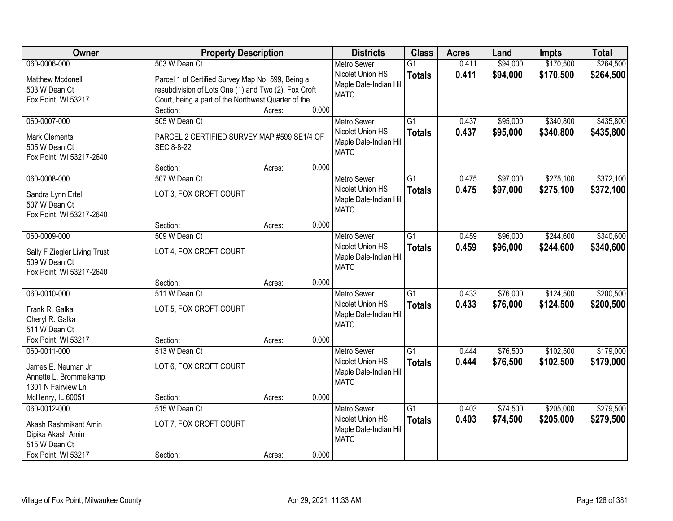| Owner                              | <b>Property Description</b>                          |        |       | <b>Districts</b>                           | <b>Class</b>    | <b>Acres</b> | Land     | <b>Impts</b> | <b>Total</b> |
|------------------------------------|------------------------------------------------------|--------|-------|--------------------------------------------|-----------------|--------------|----------|--------------|--------------|
| 060-0006-000                       | 503 W Dean Ct                                        |        |       | <b>Metro Sewer</b>                         | $\overline{G1}$ | 0.411        | \$94,000 | \$170,500    | \$264,500    |
| <b>Matthew Mcdonell</b>            | Parcel 1 of Certified Survey Map No. 599, Being a    |        |       | Nicolet Union HS                           | <b>Totals</b>   | 0.411        | \$94,000 | \$170,500    | \$264,500    |
| 503 W Dean Ct                      | resubdivision of Lots One (1) and Two (2), Fox Croft |        |       | Maple Dale-Indian Hill                     |                 |              |          |              |              |
| Fox Point, WI 53217                | Court, being a part of the Northwest Quarter of the  |        |       | <b>MATC</b>                                |                 |              |          |              |              |
|                                    | Section:                                             | Acres: | 0.000 |                                            |                 |              |          |              |              |
| 060-0007-000                       | 505 W Dean Ct                                        |        |       | <b>Metro Sewer</b>                         | $\overline{G1}$ | 0.437        | \$95,000 | \$340,800    | \$435,800    |
| <b>Mark Clements</b>               | PARCEL 2 CERTIFIED SURVEY MAP #599 SE1/4 OF          |        |       | Nicolet Union HS                           | <b>Totals</b>   | 0.437        | \$95,000 | \$340,800    | \$435,800    |
| 505 W Dean Ct                      | SEC 8-8-22                                           |        |       | Maple Dale-Indian Hill                     |                 |              |          |              |              |
| Fox Point, WI 53217-2640           |                                                      |        |       | <b>MATC</b>                                |                 |              |          |              |              |
|                                    | Section:                                             | Acres: | 0.000 |                                            |                 |              |          |              |              |
| 060-0008-000                       | 507 W Dean Ct                                        |        |       | <b>Metro Sewer</b>                         | G1              | 0.475        | \$97,000 | \$275,100    | \$372,100    |
|                                    | LOT 3, FOX CROFT COURT                               |        |       | Nicolet Union HS                           | <b>Totals</b>   | 0.475        | \$97,000 | \$275,100    | \$372,100    |
| Sandra Lynn Ertel<br>507 W Dean Ct |                                                      |        |       | Maple Dale-Indian Hill                     |                 |              |          |              |              |
| Fox Point, WI 53217-2640           |                                                      |        |       | <b>MATC</b>                                |                 |              |          |              |              |
|                                    | Section:                                             | Acres: | 0.000 |                                            |                 |              |          |              |              |
| 060-0009-000                       | 509 W Dean Ct                                        |        |       | <b>Metro Sewer</b>                         | $\overline{G1}$ | 0.459        | \$96,000 | \$244,600    | \$340,600    |
|                                    |                                                      |        |       | Nicolet Union HS                           | <b>Totals</b>   | 0.459        | \$96,000 | \$244,600    | \$340,600    |
| Sally F Ziegler Living Trust       | LOT 4, FOX CROFT COURT                               |        |       | Maple Dale-Indian Hill                     |                 |              |          |              |              |
| 509 W Dean Ct                      |                                                      |        |       | <b>MATC</b>                                |                 |              |          |              |              |
| Fox Point, WI 53217-2640           |                                                      |        | 0.000 |                                            |                 |              |          |              |              |
| 060-0010-000                       | Section:<br>511 W Dean Ct                            | Acres: |       |                                            | $\overline{G1}$ | 0.433        | \$76,000 | \$124,500    | \$200,500    |
|                                    |                                                      |        |       | <b>Metro Sewer</b>                         |                 |              |          |              |              |
| Frank R. Galka                     | LOT 5, FOX CROFT COURT                               |        |       | Nicolet Union HS<br>Maple Dale-Indian Hill | <b>Totals</b>   | 0.433        | \$76,000 | \$124,500    | \$200,500    |
| Cheryl R. Galka                    |                                                      |        |       | <b>MATC</b>                                |                 |              |          |              |              |
| 511 W Dean Ct                      |                                                      |        |       |                                            |                 |              |          |              |              |
| Fox Point, WI 53217                | Section:                                             | Acres: | 0.000 |                                            |                 |              |          |              |              |
| 060-0011-000                       | 513 W Dean Ct                                        |        |       | Metro Sewer                                | $\overline{G1}$ | 0.444        | \$76,500 | \$102,500    | \$179,000    |
| James E. Neuman Jr                 | LOT 6, FOX CROFT COURT                               |        |       | Nicolet Union HS                           | <b>Totals</b>   | 0.444        | \$76,500 | \$102,500    | \$179,000    |
| Annette L. Brommelkamp             |                                                      |        |       | Maple Dale-Indian Hill                     |                 |              |          |              |              |
| 1301 N Fairview Ln                 |                                                      |        |       | <b>MATC</b>                                |                 |              |          |              |              |
| McHenry, IL 60051                  | Section:                                             | Acres: | 0.000 |                                            |                 |              |          |              |              |
| 060-0012-000                       | 515 W Dean Ct                                        |        |       | <b>Metro Sewer</b>                         | $\overline{G1}$ | 0.403        | \$74,500 | \$205,000    | \$279,500    |
| Akash Rashmikant Amin              | LOT 7, FOX CROFT COURT                               |        |       | Nicolet Union HS                           | <b>Totals</b>   | 0.403        | \$74,500 | \$205,000    | \$279,500    |
| Dipika Akash Amin                  |                                                      |        |       | Maple Dale-Indian Hill                     |                 |              |          |              |              |
| 515 W Dean Ct                      |                                                      |        |       | <b>MATC</b>                                |                 |              |          |              |              |
| Fox Point, WI 53217                | Section:                                             | Acres: | 0.000 |                                            |                 |              |          |              |              |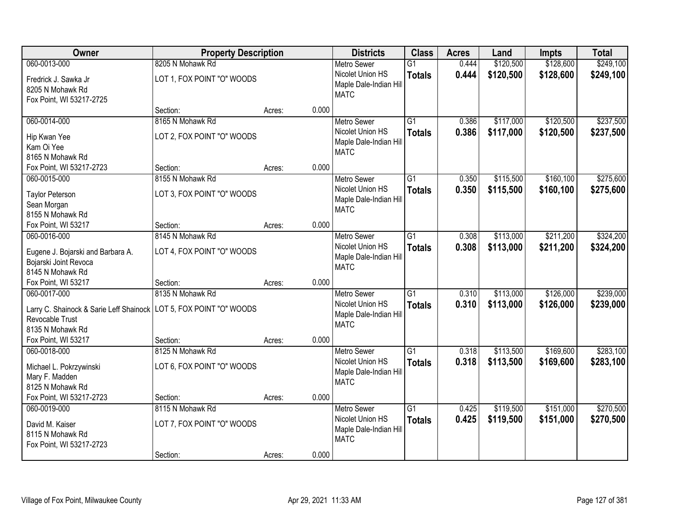| Owner                                                                | <b>Property Description</b> |                 | <b>Districts</b>                       | <b>Class</b>    | <b>Acres</b> | Land      | <b>Impts</b> | <b>Total</b> |
|----------------------------------------------------------------------|-----------------------------|-----------------|----------------------------------------|-----------------|--------------|-----------|--------------|--------------|
| 060-0013-000                                                         | 8205 N Mohawk Rd            |                 | <b>Metro Sewer</b>                     | $\overline{G1}$ | 0.444        | \$120,500 | \$128,600    | \$249,100    |
| Fredrick J. Sawka Jr                                                 | LOT 1, FOX POINT "O" WOODS  |                 | Nicolet Union HS                       | <b>Totals</b>   | 0.444        | \$120,500 | \$128,600    | \$249,100    |
| 8205 N Mohawk Rd                                                     |                             |                 | Maple Dale-Indian Hill                 |                 |              |           |              |              |
| Fox Point, WI 53217-2725                                             |                             |                 | <b>MATC</b>                            |                 |              |           |              |              |
|                                                                      | Section:                    | 0.000<br>Acres: |                                        |                 |              |           |              |              |
| 060-0014-000                                                         | 8165 N Mohawk Rd            |                 | <b>Metro Sewer</b>                     | G1              | 0.386        | \$117,000 | \$120,500    | \$237,500    |
| Hip Kwan Yee                                                         | LOT 2, FOX POINT "O" WOODS  |                 | Nicolet Union HS                       | <b>Totals</b>   | 0.386        | \$117,000 | \$120,500    | \$237,500    |
| Kam Oi Yee                                                           |                             |                 | Maple Dale-Indian Hill                 |                 |              |           |              |              |
| 8165 N Mohawk Rd                                                     |                             |                 | <b>MATC</b>                            |                 |              |           |              |              |
| Fox Point, WI 53217-2723                                             | Section:                    | 0.000<br>Acres: |                                        |                 |              |           |              |              |
| 060-0015-000                                                         | 8155 N Mohawk Rd            |                 | <b>Metro Sewer</b>                     | G1              | 0.350        | \$115,500 | \$160,100    | \$275,600    |
| <b>Taylor Peterson</b>                                               | LOT 3, FOX POINT "O" WOODS  |                 | Nicolet Union HS                       | <b>Totals</b>   | 0.350        | \$115,500 | \$160,100    | \$275,600    |
| Sean Morgan                                                          |                             |                 | Maple Dale-Indian Hill                 |                 |              |           |              |              |
| 8155 N Mohawk Rd                                                     |                             |                 | <b>MATC</b>                            |                 |              |           |              |              |
| Fox Point, WI 53217                                                  | Section:                    | 0.000<br>Acres: |                                        |                 |              |           |              |              |
| 060-0016-000                                                         | 8145 N Mohawk Rd            |                 | <b>Metro Sewer</b>                     | $\overline{G1}$ | 0.308        | \$113,000 | \$211,200    | \$324,200    |
| Eugene J. Bojarski and Barbara A.                                    | LOT 4, FOX POINT "O" WOODS  |                 | Nicolet Union HS                       | <b>Totals</b>   | 0.308        | \$113,000 | \$211,200    | \$324,200    |
| Bojarski Joint Revoca                                                |                             |                 | Maple Dale-Indian Hill                 |                 |              |           |              |              |
| 8145 N Mohawk Rd                                                     |                             |                 | <b>MATC</b>                            |                 |              |           |              |              |
| Fox Point, WI 53217                                                  | Section:                    | 0.000<br>Acres: |                                        |                 |              |           |              |              |
| 060-0017-000                                                         | 8135 N Mohawk Rd            |                 | <b>Metro Sewer</b>                     | $\overline{G1}$ | 0.310        | \$113,000 | \$126,000    | \$239,000    |
| Larry C. Shainock & Sarie Leff Shainock   LOT 5, FOX POINT "O" WOODS |                             |                 | Nicolet Union HS                       | <b>Totals</b>   | 0.310        | \$113,000 | \$126,000    | \$239,000    |
| Revocable Trust                                                      |                             |                 | Maple Dale-Indian Hill                 |                 |              |           |              |              |
| 8135 N Mohawk Rd                                                     |                             |                 | <b>MATC</b>                            |                 |              |           |              |              |
| Fox Point, WI 53217                                                  | Section:                    | 0.000<br>Acres: |                                        |                 |              |           |              |              |
| 060-0018-000                                                         | 8125 N Mohawk Rd            |                 | <b>Metro Sewer</b>                     | $\overline{G1}$ | 0.318        | \$113,500 | \$169,600    | \$283,100    |
|                                                                      |                             |                 | Nicolet Union HS                       | <b>Totals</b>   | 0.318        | \$113,500 | \$169,600    | \$283,100    |
| Michael L. Pokrzywinski                                              | LOT 6, FOX POINT "O" WOODS  |                 | Maple Dale-Indian Hill                 |                 |              |           |              |              |
| Mary F. Madden<br>8125 N Mohawk Rd                                   |                             |                 | <b>MATC</b>                            |                 |              |           |              |              |
| Fox Point, WI 53217-2723                                             | Section:                    | 0.000           |                                        |                 |              |           |              |              |
| 060-0019-000                                                         | 8115 N Mohawk Rd            | Acres:          |                                        | $\overline{G1}$ | 0.425        | \$119,500 | \$151,000    | \$270,500    |
|                                                                      |                             |                 | <b>Metro Sewer</b><br>Nicolet Union HS |                 | 0.425        | \$119,500 |              |              |
| David M. Kaiser                                                      | LOT 7, FOX POINT "O" WOODS  |                 | Maple Dale-Indian Hill                 | <b>Totals</b>   |              |           | \$151,000    | \$270,500    |
| 8115 N Mohawk Rd                                                     |                             |                 | <b>MATC</b>                            |                 |              |           |              |              |
| Fox Point, WI 53217-2723                                             |                             |                 |                                        |                 |              |           |              |              |
|                                                                      | Section:                    | 0.000<br>Acres: |                                        |                 |              |           |              |              |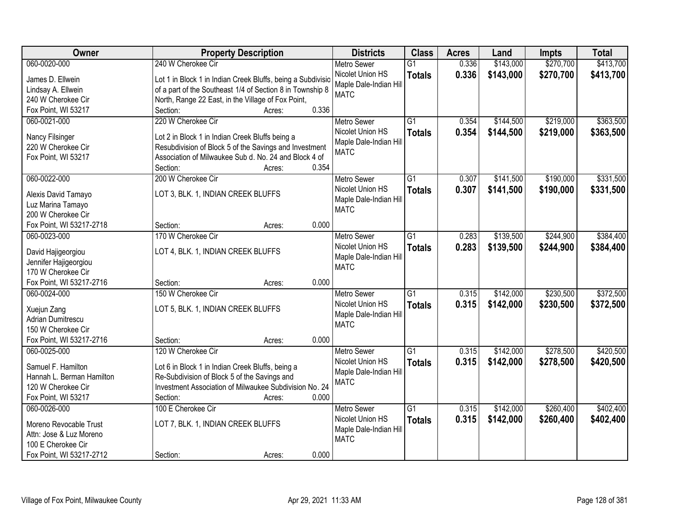| Owner                                          | <b>Property Description</b>                                 | <b>Districts</b>                      | <b>Class</b>    | <b>Acres</b> | Land      | <b>Impts</b> | <b>Total</b> |
|------------------------------------------------|-------------------------------------------------------------|---------------------------------------|-----------------|--------------|-----------|--------------|--------------|
| 060-0020-000                                   | 240 W Cherokee Cir                                          | <b>Metro Sewer</b>                    | $\overline{G1}$ | 0.336        | \$143,000 | \$270,700    | \$413,700    |
| James D. Ellwein                               | Lot 1 in Block 1 in Indian Creek Bluffs, being a Subdivisio | Nicolet Union HS                      | <b>Totals</b>   | 0.336        | \$143,000 | \$270,700    | \$413,700    |
| Lindsay A. Ellwein                             | of a part of the Southeast 1/4 of Section 8 in Township 8   | Maple Dale-Indian Hill                |                 |              |           |              |              |
| 240 W Cherokee Cir                             | North, Range 22 East, in the Village of Fox Point,          | <b>MATC</b>                           |                 |              |           |              |              |
| Fox Point, WI 53217                            | 0.336<br>Section:<br>Acres:                                 |                                       |                 |              |           |              |              |
| 060-0021-000                                   | 220 W Cherokee Cir                                          | <b>Metro Sewer</b>                    | $\overline{G1}$ | 0.354        | \$144,500 | \$219,000    | \$363,500    |
|                                                |                                                             | Nicolet Union HS                      | <b>Totals</b>   | 0.354        | \$144,500 | \$219,000    | \$363,500    |
| Nancy Filsinger                                | Lot 2 in Block 1 in Indian Creek Bluffs being a             | Maple Dale-Indian Hill                |                 |              |           |              |              |
| 220 W Cherokee Cir                             | Resubdivision of Block 5 of the Savings and Investment      | <b>MATC</b>                           |                 |              |           |              |              |
| Fox Point, WI 53217                            | Association of Milwaukee Sub d. No. 24 and Block 4 of       |                                       |                 |              |           |              |              |
|                                                | 0.354<br>Section:<br>Acres:                                 |                                       |                 |              |           |              |              |
| 060-0022-000                                   | 200 W Cherokee Cir                                          | <b>Metro Sewer</b>                    | G1              | 0.307        | \$141,500 | \$190,000    | \$331,500    |
| Alexis David Tamayo                            | LOT 3, BLK. 1, INDIAN CREEK BLUFFS                          | Nicolet Union HS                      | <b>Totals</b>   | 0.307        | \$141,500 | \$190,000    | \$331,500    |
| Luz Marina Tamayo                              |                                                             | Maple Dale-Indian Hill                |                 |              |           |              |              |
| 200 W Cherokee Cir                             |                                                             | <b>MATC</b>                           |                 |              |           |              |              |
| Fox Point, WI 53217-2718                       | 0.000<br>Section:<br>Acres:                                 |                                       |                 |              |           |              |              |
| 060-0023-000                                   | 170 W Cherokee Cir                                          | <b>Metro Sewer</b>                    | G1              | 0.283        | \$139,500 | \$244,900    | \$384,400    |
|                                                |                                                             | Nicolet Union HS                      | <b>Totals</b>   | 0.283        | \$139,500 | \$244,900    | \$384,400    |
| David Hajigeorgiou                             | LOT 4, BLK. 1, INDIAN CREEK BLUFFS                          | Maple Dale-Indian Hill                |                 |              |           |              |              |
| Jennifer Hajigeorgiou                          |                                                             | <b>MATC</b>                           |                 |              |           |              |              |
| 170 W Cherokee Cir<br>Fox Point, WI 53217-2716 | 0.000                                                       |                                       |                 |              |           |              |              |
| 060-0024-000                                   | Section:<br>Acres:<br>150 W Cherokee Cir                    |                                       | $\overline{G1}$ | 0.315        | \$142,000 | \$230,500    | \$372,500    |
|                                                |                                                             | <b>Metro Sewer</b>                    |                 |              |           |              |              |
| Xuejun Zang                                    | LOT 5, BLK. 1, INDIAN CREEK BLUFFS                          | Nicolet Union HS                      | <b>Totals</b>   | 0.315        | \$142,000 | \$230,500    | \$372,500    |
| <b>Adrian Dumitrescu</b>                       |                                                             | Maple Dale-Indian Hill<br><b>MATC</b> |                 |              |           |              |              |
| 150 W Cherokee Cir                             |                                                             |                                       |                 |              |           |              |              |
| Fox Point, WI 53217-2716                       | 0.000<br>Section:<br>Acres:                                 |                                       |                 |              |           |              |              |
| 060-0025-000                                   | 120 W Cherokee Cir                                          | <b>Metro Sewer</b>                    | $\overline{G1}$ | 0.315        | \$142,000 | \$278,500    | \$420,500    |
| Samuel F. Hamilton                             | Lot 6 in Block 1 in Indian Creek Bluffs, being a            | Nicolet Union HS                      | <b>Totals</b>   | 0.315        | \$142,000 | \$278,500    | \$420,500    |
| Hannah L. Berman Hamilton                      | Re-Subdivision of Block 5 of the Savings and                | Maple Dale-Indian Hill                |                 |              |           |              |              |
| 120 W Cherokee Cir                             | Investment Association of Milwaukee Subdivision No. 24      | <b>MATC</b>                           |                 |              |           |              |              |
| Fox Point, WI 53217                            | 0.000<br>Section:<br>Acres:                                 |                                       |                 |              |           |              |              |
| 060-0026-000                                   | 100 E Cherokee Cir                                          | <b>Metro Sewer</b>                    | $\overline{G1}$ | 0.315        | \$142,000 | \$260,400    | \$402,400    |
|                                                |                                                             | Nicolet Union HS                      | <b>Totals</b>   | 0.315        | \$142,000 | \$260,400    | \$402,400    |
| Moreno Revocable Trust                         | LOT 7, BLK. 1, INDIAN CREEK BLUFFS                          | Maple Dale-Indian Hill                |                 |              |           |              |              |
| Attn: Jose & Luz Moreno                        |                                                             | <b>MATC</b>                           |                 |              |           |              |              |
| 100 E Cherokee Cir                             |                                                             |                                       |                 |              |           |              |              |
| Fox Point, WI 53217-2712                       | 0.000<br>Section:<br>Acres:                                 |                                       |                 |              |           |              |              |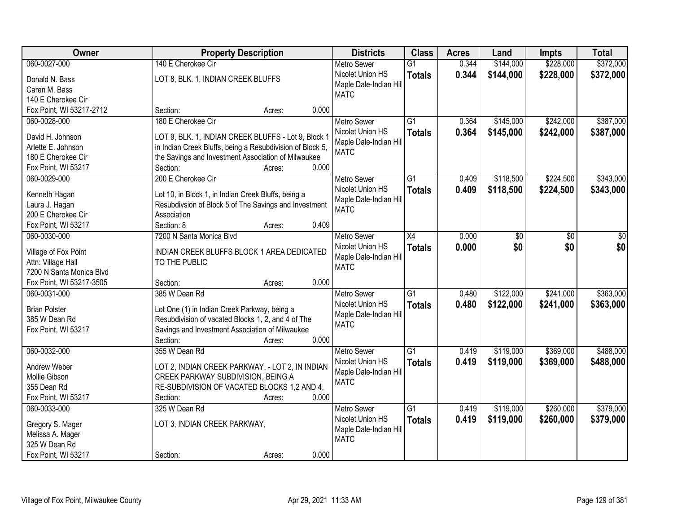| Owner                             | <b>Property Description</b>                               | <b>Districts</b>       | <b>Class</b>    | <b>Acres</b> | Land      | <b>Impts</b> | <b>Total</b> |
|-----------------------------------|-----------------------------------------------------------|------------------------|-----------------|--------------|-----------|--------------|--------------|
| 060-0027-000                      | 140 E Cherokee Cir                                        | <b>Metro Sewer</b>     | $\overline{G1}$ | 0.344        | \$144,000 | \$228,000    | \$372,000    |
| Donald N. Bass                    | LOT 8, BLK. 1, INDIAN CREEK BLUFFS                        | Nicolet Union HS       | <b>Totals</b>   | 0.344        | \$144,000 | \$228,000    | \$372,000    |
| Caren M. Bass                     |                                                           | Maple Dale-Indian Hill |                 |              |           |              |              |
| 140 E Cherokee Cir                |                                                           | <b>MATC</b>            |                 |              |           |              |              |
| Fox Point, WI 53217-2712          | 0.000<br>Section:<br>Acres:                               |                        |                 |              |           |              |              |
| 060-0028-000                      | 180 E Cherokee Cir                                        | <b>Metro Sewer</b>     | $\overline{G1}$ | 0.364        | \$145,000 | \$242,000    | \$387,000    |
| David H. Johnson                  | LOT 9, BLK. 1, INDIAN CREEK BLUFFS - Lot 9, Block 1       | Nicolet Union HS       | <b>Totals</b>   | 0.364        | \$145,000 | \$242,000    | \$387,000    |
| Arlette E. Johnson                | in Indian Creek Bluffs, being a Resubdivision of Block 5, | Maple Dale-Indian Hill |                 |              |           |              |              |
| 180 E Cherokee Cir                | the Savings and Investment Association of Milwaukee       | <b>MATC</b>            |                 |              |           |              |              |
| Fox Point, WI 53217               | 0.000<br>Section:<br>Acres:                               |                        |                 |              |           |              |              |
| 060-0029-000                      | 200 E Cherokee Cir                                        | <b>Metro Sewer</b>     | $\overline{G1}$ | 0.409        | \$118,500 | \$224,500    | \$343,000    |
|                                   |                                                           | Nicolet Union HS       | <b>Totals</b>   | 0.409        | \$118,500 | \$224,500    | \$343,000    |
| Kenneth Hagan                     | Lot 10, in Block 1, in Indian Creek Bluffs, being a       | Maple Dale-Indian Hill |                 |              |           |              |              |
| Laura J. Hagan                    | Resubdivsion of Block 5 of The Savings and Investment     | <b>MATC</b>            |                 |              |           |              |              |
| 200 E Cherokee Cir                | Association                                               |                        |                 |              |           |              |              |
| Fox Point, WI 53217               | Section: 8<br>0.409<br>Acres:                             |                        |                 |              |           |              |              |
| 060-0030-000                      | 7200 N Santa Monica Blvd                                  | <b>Metro Sewer</b>     | $\overline{X4}$ | 0.000        | \$0       | \$0          | \$0          |
| Village of Fox Point              | INDIAN CREEK BLUFFS BLOCK 1 AREA DEDICATED                | Nicolet Union HS       | <b>Totals</b>   | 0.000        | \$0       | \$0          | \$0          |
| Attn: Village Hall                | TO THE PUBLIC                                             | Maple Dale-Indian Hill |                 |              |           |              |              |
| 7200 N Santa Monica Blvd          |                                                           | <b>MATC</b>            |                 |              |           |              |              |
| Fox Point, WI 53217-3505          | 0.000<br>Section:<br>Acres:                               |                        |                 |              |           |              |              |
| 060-0031-000                      | 385 W Dean Rd                                             | <b>Metro Sewer</b>     | $\overline{G1}$ | 0.480        | \$122,000 | \$241,000    | \$363,000    |
|                                   |                                                           | Nicolet Union HS       | <b>Totals</b>   | 0.480        | \$122,000 | \$241,000    | \$363,000    |
| <b>Brian Polster</b>              | Lot One (1) in Indian Creek Parkway, being a              | Maple Dale-Indian Hill |                 |              |           |              |              |
| 385 W Dean Rd                     | Resubdivision of vacated Blocks 1, 2, and 4 of The        | <b>MATC</b>            |                 |              |           |              |              |
| Fox Point, WI 53217               | Savings and Investment Association of Milwaukee           |                        |                 |              |           |              |              |
|                                   | 0.000<br>Section:<br>Acres:                               |                        |                 |              |           |              |              |
| 060-0032-000                      | 355 W Dean Rd                                             | <b>Metro Sewer</b>     | $\overline{G1}$ | 0.419        | \$119,000 | \$369,000    | \$488,000    |
| Andrew Weber                      | LOT 2, INDIAN CREEK PARKWAY, - LOT 2, IN INDIAN           | Nicolet Union HS       | <b>Totals</b>   | 0.419        | \$119,000 | \$369,000    | \$488,000    |
| Mollie Gibson                     | CREEK PARKWAY SUBDIVISION, BEING A                        | Maple Dale-Indian Hill |                 |              |           |              |              |
| 355 Dean Rd                       | RE-SUBDIVISION OF VACATED BLOCKS 1,2 AND 4,               | <b>MATC</b>            |                 |              |           |              |              |
| Fox Point, WI 53217               | 0.000<br>Section:<br>Acres:                               |                        |                 |              |           |              |              |
| 060-0033-000                      | 325 W Dean Rd                                             | <b>Metro Sewer</b>     | $\overline{G1}$ | 0.419        | \$119,000 | \$260,000    | \$379,000    |
|                                   |                                                           | Nicolet Union HS       | <b>Totals</b>   | 0.419        | \$119,000 | \$260,000    | \$379,000    |
| Gregory S. Mager                  | LOT 3, INDIAN CREEK PARKWAY,                              | Maple Dale-Indian Hill |                 |              |           |              |              |
| Melissa A. Mager<br>325 W Dean Rd |                                                           | <b>MATC</b>            |                 |              |           |              |              |
| Fox Point, WI 53217               | 0.000                                                     |                        |                 |              |           |              |              |
|                                   | Section:<br>Acres:                                        |                        |                 |              |           |              |              |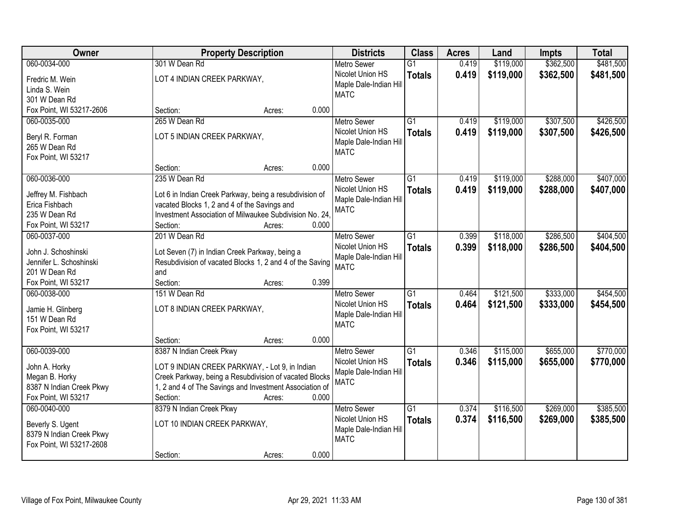| \$362,500<br>060-0034-000<br>\$119,000<br>301 W Dean Rd<br>$\overline{G1}$<br>0.419<br><b>Metro Sewer</b>                                     | \$481,500 |
|-----------------------------------------------------------------------------------------------------------------------------------------------|-----------|
|                                                                                                                                               |           |
| Nicolet Union HS<br>0.419<br>\$119,000<br>\$362,500<br><b>Totals</b><br>LOT 4 INDIAN CREEK PARKWAY,<br>Fredric M. Wein                        | \$481,500 |
| Maple Dale-Indian Hill<br>Linda S. Wein                                                                                                       |           |
| <b>MATC</b><br>301 W Dean Rd                                                                                                                  |           |
| 0.000<br>Fox Point, WI 53217-2606<br>Section:<br>Acres:                                                                                       |           |
| $\overline{G1}$<br>\$119,000<br>\$307,500<br>060-0035-000<br>265 W Dean Rd<br>0.419<br><b>Metro Sewer</b>                                     | \$426,500 |
| Nicolet Union HS<br>0.419<br>\$119,000<br>\$307,500<br><b>Totals</b><br>LOT 5 INDIAN CREEK PARKWAY,                                           | \$426,500 |
| Beryl R. Forman<br>Maple Dale-Indian Hill                                                                                                     |           |
| 265 W Dean Rd<br><b>MATC</b><br>Fox Point, WI 53217                                                                                           |           |
| 0.000<br>Section:<br>Acres:                                                                                                                   |           |
| \$288,000<br>060-0036-000<br>235 W Dean Rd<br>G1<br>\$119,000<br><b>Metro Sewer</b><br>0.419                                                  | \$407,000 |
| Nicolet Union HS<br>0.419<br>\$119,000<br>\$288,000<br><b>Totals</b>                                                                          | \$407,000 |
| Jeffrey M. Fishbach<br>Lot 6 in Indian Creek Parkway, being a resubdivision of<br>Maple Dale-Indian Hill                                      |           |
| vacated Blocks 1, 2 and 4 of the Savings and<br>Erica Fishbach<br><b>MATC</b>                                                                 |           |
| 235 W Dean Rd<br>Investment Association of Milwaukee Subdivision No. 24.                                                                      |           |
| Fox Point, WI 53217<br>Section:<br>0.000<br>Acres:                                                                                            |           |
| 201 W Dean Rd<br>\$118,000<br>\$286,500<br>060-0037-000<br>G1<br>0.399<br><b>Metro Sewer</b>                                                  | \$404,500 |
| Nicolet Union HS<br>0.399<br>\$118,000<br>\$286,500<br><b>Totals</b><br>John J. Schoshinski<br>Lot Seven (7) in Indian Creek Parkway, being a | \$404,500 |
| Maple Dale-Indian Hill<br>Resubdivision of vacated Blocks 1, 2 and 4 of the Saving<br>Jennifer L. Schoshinski                                 |           |
| <b>MATC</b><br>201 W Dean Rd<br>and                                                                                                           |           |
| 0.399<br>Fox Point, WI 53217<br>Section:<br>Acres:                                                                                            |           |
| \$333,000<br>060-0038-000<br>151 W Dean Rd<br>$\overline{G1}$<br>0.464<br>\$121,500<br><b>Metro Sewer</b>                                     | \$454,500 |
| Nicolet Union HS<br>0.464<br>\$121,500<br>\$333,000<br><b>Totals</b>                                                                          | \$454,500 |
| LOT 8 INDIAN CREEK PARKWAY,<br>Jamie H. Glinberg<br>Maple Dale-Indian Hill                                                                    |           |
| 151 W Dean Rd<br><b>MATC</b>                                                                                                                  |           |
| Fox Point, WI 53217                                                                                                                           |           |
| 0.000<br>Section:<br>Acres:                                                                                                                   |           |
| $\overline{G1}$<br>\$655,000<br>060-0039-000<br>8387 N Indian Creek Pkwy<br>\$115,000<br>Metro Sewer<br>0.346                                 | \$770,000 |
| 0.346<br>Nicolet Union HS<br>\$115,000<br>\$655,000<br><b>Totals</b><br>LOT 9 INDIAN CREEK PARKWAY, - Lot 9, in Indian<br>John A. Horky       | \$770,000 |
| Maple Dale-Indian Hill<br>Creek Parkway, being a Resubdivision of vacated Blocks<br>Megan B. Horky<br><b>MATC</b>                             |           |
| 1, 2 and 4 of The Savings and Investment Association of<br>8387 N Indian Creek Pkwy                                                           |           |
| Fox Point, WI 53217<br>0.000<br>Section:<br>Acres:                                                                                            |           |
| 060-0040-000<br>\$116,500<br>\$269,000<br>8379 N Indian Creek Pkwy<br>$\overline{G1}$<br>0.374<br><b>Metro Sewer</b>                          | \$385,500 |
| Nicolet Union HS<br>0.374<br>\$116,500<br>\$269,000<br><b>Totals</b><br>LOT 10 INDIAN CREEK PARKWAY,<br>Beverly S. Ugent                      | \$385,500 |
| Maple Dale-Indian Hill<br>8379 N Indian Creek Pkwy                                                                                            |           |
| <b>MATC</b><br>Fox Point, WI 53217-2608                                                                                                       |           |
| 0.000<br>Section:<br>Acres:                                                                                                                   |           |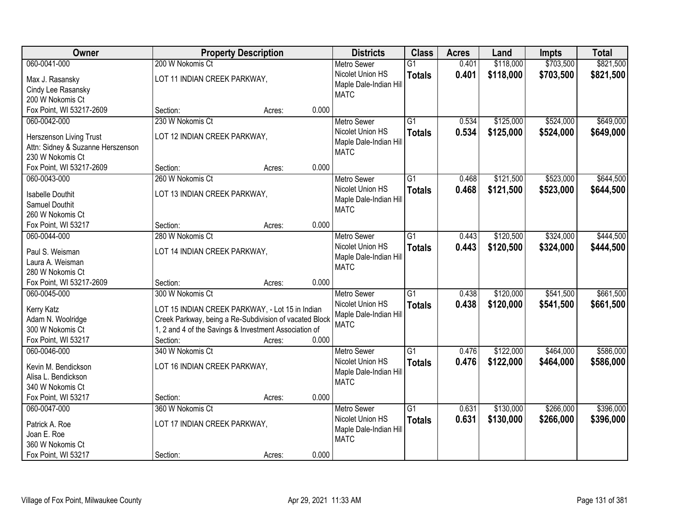| Owner                                                 | <b>Property Description</b>                            |        |       | <b>Districts</b>                       | <b>Class</b>    | <b>Acres</b> | Land      | <b>Impts</b> | <b>Total</b> |
|-------------------------------------------------------|--------------------------------------------------------|--------|-------|----------------------------------------|-----------------|--------------|-----------|--------------|--------------|
| 060-0041-000                                          | 200 W Nokomis Ct                                       |        |       | <b>Metro Sewer</b>                     | $\overline{G1}$ | 0.401        | \$118,000 | \$703,500    | \$821,500    |
| Max J. Rasansky                                       | LOT 11 INDIAN CREEK PARKWAY,                           |        |       | Nicolet Union HS                       | <b>Totals</b>   | 0.401        | \$118,000 | \$703,500    | \$821,500    |
| Cindy Lee Rasansky                                    |                                                        |        |       | Maple Dale-Indian Hill                 |                 |              |           |              |              |
| 200 W Nokomis Ct                                      |                                                        |        |       | <b>MATC</b>                            |                 |              |           |              |              |
| Fox Point, WI 53217-2609                              | Section:                                               | Acres: | 0.000 |                                        |                 |              |           |              |              |
| 060-0042-000                                          | 230 W Nokomis Ct                                       |        |       | <b>Metro Sewer</b>                     | $\overline{G1}$ | 0.534        | \$125,000 | \$524,000    | \$649,000    |
|                                                       |                                                        |        |       | Nicolet Union HS                       | <b>Totals</b>   | 0.534        | \$125,000 | \$524,000    | \$649,000    |
| Herszenson Living Trust                               | LOT 12 INDIAN CREEK PARKWAY,                           |        |       | Maple Dale-Indian Hill                 |                 |              |           |              |              |
| Attn: Sidney & Suzanne Herszenson<br>230 W Nokomis Ct |                                                        |        |       | <b>MATC</b>                            |                 |              |           |              |              |
| Fox Point, WI 53217-2609                              | Section:                                               |        | 0.000 |                                        |                 |              |           |              |              |
| 060-0043-000                                          | 260 W Nokomis Ct                                       | Acres: |       |                                        | G1              | 0.468        |           | \$523,000    | \$644,500    |
|                                                       |                                                        |        |       | <b>Metro Sewer</b><br>Nicolet Union HS |                 |              | \$121,500 |              |              |
| <b>Isabelle Douthit</b>                               | LOT 13 INDIAN CREEK PARKWAY,                           |        |       |                                        | <b>Totals</b>   | 0.468        | \$121,500 | \$523,000    | \$644,500    |
| Samuel Douthit                                        |                                                        |        |       | Maple Dale-Indian Hill<br><b>MATC</b>  |                 |              |           |              |              |
| 260 W Nokomis Ct                                      |                                                        |        |       |                                        |                 |              |           |              |              |
| Fox Point, WI 53217                                   | Section:                                               | Acres: | 0.000 |                                        |                 |              |           |              |              |
| 060-0044-000                                          | 280 W Nokomis Ct                                       |        |       | <b>Metro Sewer</b>                     | G1              | 0.443        | \$120,500 | \$324,000    | \$444,500    |
| Paul S. Weisman                                       | LOT 14 INDIAN CREEK PARKWAY,                           |        |       | Nicolet Union HS                       | <b>Totals</b>   | 0.443        | \$120,500 | \$324,000    | \$444,500    |
| Laura A. Weisman                                      |                                                        |        |       | Maple Dale-Indian Hill                 |                 |              |           |              |              |
| 280 W Nokomis Ct                                      |                                                        |        |       | <b>MATC</b>                            |                 |              |           |              |              |
| Fox Point, WI 53217-2609                              | Section:                                               | Acres: | 0.000 |                                        |                 |              |           |              |              |
| 060-0045-000                                          | 300 W Nokomis Ct                                       |        |       | <b>Metro Sewer</b>                     | $\overline{G1}$ | 0.438        | \$120,000 | \$541,500    | \$661,500    |
|                                                       |                                                        |        |       | Nicolet Union HS                       |                 |              |           |              |              |
| Kerry Katz                                            | LOT 15 INDIAN CREEK PARKWAY, - Lot 15 in Indian        |        |       | Maple Dale-Indian Hill                 | <b>Totals</b>   | 0.438        | \$120,000 | \$541,500    | \$661,500    |
| Adam N. Woolridge                                     | Creek Parkway, being a Re-Subdivision of vacated Block |        |       | <b>MATC</b>                            |                 |              |           |              |              |
| 300 W Nokomis Ct                                      | 1, 2 and 4 of the Savings & Investment Association of  |        |       |                                        |                 |              |           |              |              |
| Fox Point, WI 53217                                   | Section:                                               | Acres: | 0.000 |                                        |                 |              |           |              |              |
| 060-0046-000                                          | 340 W Nokomis Ct                                       |        |       | Metro Sewer                            | $\overline{G1}$ | 0.476        | \$122,000 | \$464,000    | \$586,000    |
| Kevin M. Bendickson                                   | LOT 16 INDIAN CREEK PARKWAY,                           |        |       | Nicolet Union HS                       | <b>Totals</b>   | 0.476        | \$122,000 | \$464,000    | \$586,000    |
| Alisa L. Bendickson                                   |                                                        |        |       | Maple Dale-Indian Hill                 |                 |              |           |              |              |
| 340 W Nokomis Ct                                      |                                                        |        |       | <b>MATC</b>                            |                 |              |           |              |              |
| Fox Point, WI 53217                                   | Section:                                               | Acres: | 0.000 |                                        |                 |              |           |              |              |
| 060-0047-000                                          | 360 W Nokomis Ct                                       |        |       | <b>Metro Sewer</b>                     | $\overline{G1}$ | 0.631        | \$130,000 | \$266,000    | \$396,000    |
|                                                       |                                                        |        |       | Nicolet Union HS                       | <b>Totals</b>   | 0.631        | \$130,000 | \$266,000    | \$396,000    |
| Patrick A. Roe                                        | LOT 17 INDIAN CREEK PARKWAY,                           |        |       | Maple Dale-Indian Hill                 |                 |              |           |              |              |
| Joan E. Roe                                           |                                                        |        |       | <b>MATC</b>                            |                 |              |           |              |              |
| 360 W Nokomis Ct                                      |                                                        |        |       |                                        |                 |              |           |              |              |
| Fox Point, WI 53217                                   | Section:                                               | Acres: | 0.000 |                                        |                 |              |           |              |              |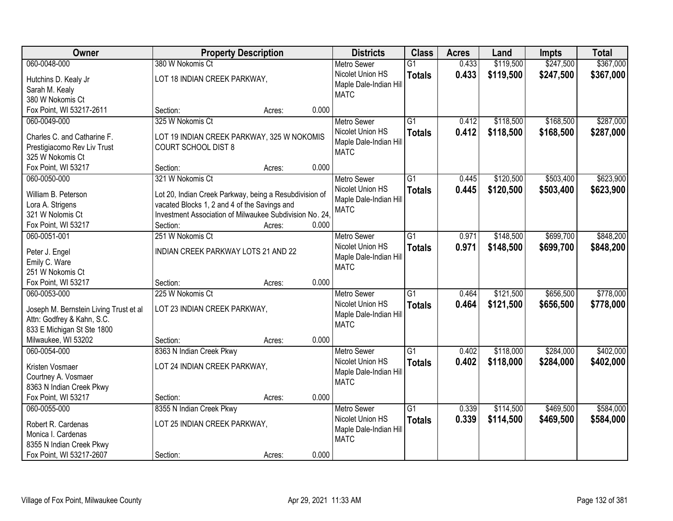| Owner                                  | <b>Property Description</b>                             |                 | <b>Districts</b>                           | <b>Class</b>    | <b>Acres</b> | Land      | <b>Impts</b> | <b>Total</b> |
|----------------------------------------|---------------------------------------------------------|-----------------|--------------------------------------------|-----------------|--------------|-----------|--------------|--------------|
| 060-0048-000                           | 380 W Nokomis Ct                                        |                 | <b>Metro Sewer</b>                         | $\overline{G1}$ | 0.433        | \$119,500 | \$247,500    | \$367,000    |
| Hutchins D. Kealy Jr                   | LOT 18 INDIAN CREEK PARKWAY,                            |                 | Nicolet Union HS<br>Maple Dale-Indian Hill | <b>Totals</b>   | 0.433        | \$119,500 | \$247,500    | \$367,000    |
| Sarah M. Kealy                         |                                                         |                 | <b>MATC</b>                                |                 |              |           |              |              |
| 380 W Nokomis Ct                       |                                                         |                 |                                            |                 |              |           |              |              |
| Fox Point, WI 53217-2611               | Section:                                                | 0.000<br>Acres: |                                            |                 |              |           |              |              |
| 060-0049-000                           | 325 W Nokomis Ct                                        |                 | <b>Metro Sewer</b>                         | $\overline{G1}$ | 0.412        | \$118,500 | \$168,500    | \$287,000    |
| Charles C. and Catharine F.            | LOT 19 INDIAN CREEK PARKWAY, 325 W NOKOMIS              |                 | Nicolet Union HS                           | <b>Totals</b>   | 0.412        | \$118,500 | \$168,500    | \$287,000    |
| Prestigiacomo Rev Liv Trust            | <b>COURT SCHOOL DIST 8</b>                              |                 | Maple Dale-Indian Hill                     |                 |              |           |              |              |
| 325 W Nokomis Ct                       |                                                         |                 | <b>MATC</b>                                |                 |              |           |              |              |
| Fox Point, WI 53217                    | Section:                                                | 0.000<br>Acres: |                                            |                 |              |           |              |              |
| 060-0050-000                           | 321 W Nokomis Ct                                        |                 | <b>Metro Sewer</b>                         | G1              | 0.445        | \$120,500 | \$503,400    | \$623,900    |
|                                        |                                                         |                 | Nicolet Union HS                           | <b>Totals</b>   | 0.445        | \$120,500 | \$503,400    | \$623,900    |
| William B. Peterson                    | Lot 20, Indian Creek Parkway, being a Resubdivision of  |                 | Maple Dale-Indian Hill                     |                 |              |           |              |              |
| Lora A. Strigens                       | vacated Blocks 1, 2 and 4 of the Savings and            |                 | <b>MATC</b>                                |                 |              |           |              |              |
| 321 W Nolomis Ct                       | Investment Association of Milwaukee Subdivision No. 24. |                 |                                            |                 |              |           |              |              |
| Fox Point, WI 53217                    | Section:                                                | 0.000<br>Acres: |                                            |                 |              |           |              |              |
| 060-0051-001                           | 251 W Nokomis Ct                                        |                 | <b>Metro Sewer</b>                         | G1              | 0.971        | \$148,500 | \$699,700    | \$848,200    |
| Peter J. Engel                         | INDIAN CREEK PARKWAY LOTS 21 AND 22                     |                 | Nicolet Union HS                           | <b>Totals</b>   | 0.971        | \$148,500 | \$699,700    | \$848,200    |
| Emily C. Ware                          |                                                         |                 | Maple Dale-Indian Hill                     |                 |              |           |              |              |
| 251 W Nokomis Ct                       |                                                         |                 | <b>MATC</b>                                |                 |              |           |              |              |
| Fox Point, WI 53217                    | Section:                                                | 0.000<br>Acres: |                                            |                 |              |           |              |              |
| 060-0053-000                           | 225 W Nokomis Ct                                        |                 | <b>Metro Sewer</b>                         | $\overline{G1}$ | 0.464        | \$121,500 | \$656,500    | \$778,000    |
|                                        |                                                         |                 | Nicolet Union HS                           | <b>Totals</b>   | 0.464        | \$121,500 | \$656,500    | \$778,000    |
| Joseph M. Bernstein Living Trust et al | LOT 23 INDIAN CREEK PARKWAY,                            |                 | Maple Dale-Indian Hill                     |                 |              |           |              |              |
| Attn: Godfrey & Kahn, S.C.             |                                                         |                 | <b>MATC</b>                                |                 |              |           |              |              |
| 833 E Michigan St Ste 1800             |                                                         |                 |                                            |                 |              |           |              |              |
| Milwaukee, WI 53202                    | Section:                                                | 0.000<br>Acres: |                                            |                 |              |           |              |              |
| 060-0054-000                           | 8363 N Indian Creek Pkwy                                |                 | <b>Metro Sewer</b>                         | $\overline{G1}$ | 0.402        | \$118,000 | \$284,000    | \$402,000    |
| Kristen Vosmaer                        | LOT 24 INDIAN CREEK PARKWAY,                            |                 | Nicolet Union HS                           | <b>Totals</b>   | 0.402        | \$118,000 | \$284,000    | \$402,000    |
| Courtney A. Vosmaer                    |                                                         |                 | Maple Dale-Indian Hill                     |                 |              |           |              |              |
| 8363 N Indian Creek Pkwy               |                                                         |                 | <b>MATC</b>                                |                 |              |           |              |              |
| Fox Point, WI 53217                    | Section:                                                | 0.000<br>Acres: |                                            |                 |              |           |              |              |
| 060-0055-000                           | 8355 N Indian Creek Pkwy                                |                 | <b>Metro Sewer</b>                         | $\overline{G1}$ | 0.339        | \$114,500 | \$469,500    | \$584,000    |
|                                        |                                                         |                 | Nicolet Union HS                           | <b>Totals</b>   | 0.339        | \$114,500 | \$469,500    | \$584,000    |
| Robert R. Cardenas                     | LOT 25 INDIAN CREEK PARKWAY,                            |                 | Maple Dale-Indian Hill                     |                 |              |           |              |              |
| Monica I. Cardenas                     |                                                         |                 | <b>MATC</b>                                |                 |              |           |              |              |
| 8355 N Indian Creek Pkwy               |                                                         |                 |                                            |                 |              |           |              |              |
| Fox Point, WI 53217-2607               | Section:                                                | 0.000<br>Acres: |                                            |                 |              |           |              |              |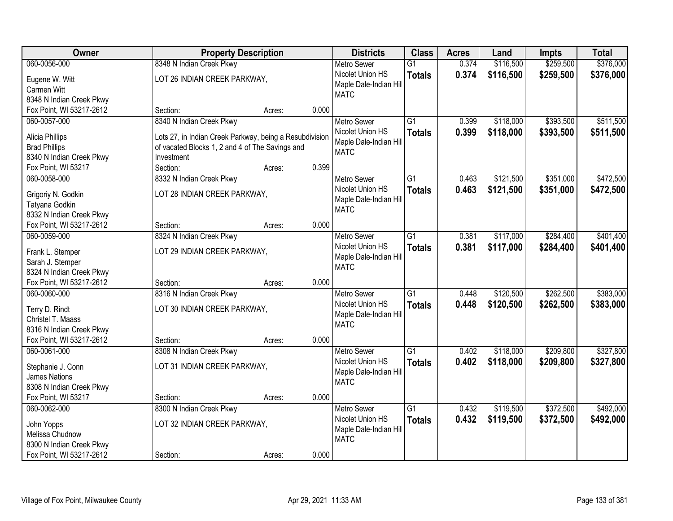| Owner                    | <b>Property Description</b>                             |        |       | <b>Districts</b>                      | <b>Class</b>    | <b>Acres</b> | Land      | <b>Impts</b> | <b>Total</b> |
|--------------------------|---------------------------------------------------------|--------|-------|---------------------------------------|-----------------|--------------|-----------|--------------|--------------|
| 060-0056-000             | 8348 N Indian Creek Pkwy                                |        |       | <b>Metro Sewer</b>                    | $\overline{G1}$ | 0.374        | \$116,500 | \$259,500    | \$376,000    |
| Eugene W. Witt           | LOT 26 INDIAN CREEK PARKWAY,                            |        |       | Nicolet Union HS                      | <b>Totals</b>   | 0.374        | \$116,500 | \$259,500    | \$376,000    |
| Carmen Witt              |                                                         |        |       | Maple Dale-Indian Hill                |                 |              |           |              |              |
| 8348 N Indian Creek Pkwy |                                                         |        |       | <b>MATC</b>                           |                 |              |           |              |              |
| Fox Point, WI 53217-2612 | Section:                                                | Acres: | 0.000 |                                       |                 |              |           |              |              |
| 060-0057-000             | 8340 N Indian Creek Pkwy                                |        |       | <b>Metro Sewer</b>                    | $\overline{G1}$ | 0.399        | \$118,000 | \$393,500    | \$511,500    |
| Alicia Phillips          | Lots 27, in Indian Creek Parkway, being a Resubdivision |        |       | Nicolet Union HS                      | <b>Totals</b>   | 0.399        | \$118,000 | \$393,500    | \$511,500    |
| <b>Brad Phillips</b>     | of vacated Blocks 1, 2 and 4 of The Savings and         |        |       | Maple Dale-Indian Hill                |                 |              |           |              |              |
| 8340 N Indian Creek Pkwy | Investment                                              |        |       | <b>MATC</b>                           |                 |              |           |              |              |
| Fox Point, WI 53217      | Section:                                                | Acres: | 0.399 |                                       |                 |              |           |              |              |
| 060-0058-000             | 8332 N Indian Creek Pkwy                                |        |       | <b>Metro Sewer</b>                    | G1              | 0.463        | \$121,500 | \$351,000    | \$472,500    |
|                          |                                                         |        |       | Nicolet Union HS                      | <b>Totals</b>   | 0.463        | \$121,500 | \$351,000    | \$472,500    |
| Grigoriy N. Godkin       | LOT 28 INDIAN CREEK PARKWAY,                            |        |       | Maple Dale-Indian Hill                |                 |              |           |              |              |
| Tatyana Godkin           |                                                         |        |       | <b>MATC</b>                           |                 |              |           |              |              |
| 8332 N Indian Creek Pkwy |                                                         |        |       |                                       |                 |              |           |              |              |
| Fox Point, WI 53217-2612 | Section:                                                | Acres: | 0.000 |                                       |                 |              |           |              |              |
| 060-0059-000             | 8324 N Indian Creek Pkwy                                |        |       | <b>Metro Sewer</b>                    | G1              | 0.381        | \$117,000 | \$284,400    | \$401,400    |
| Frank L. Stemper         | LOT 29 INDIAN CREEK PARKWAY,                            |        |       | Nicolet Union HS                      | <b>Totals</b>   | 0.381        | \$117,000 | \$284,400    | \$401,400    |
| Sarah J. Stemper         |                                                         |        |       | Maple Dale-Indian Hill                |                 |              |           |              |              |
| 8324 N Indian Creek Pkwy |                                                         |        |       | <b>MATC</b>                           |                 |              |           |              |              |
| Fox Point, WI 53217-2612 | Section:                                                | Acres: | 0.000 |                                       |                 |              |           |              |              |
| 060-0060-000             | 8316 N Indian Creek Pkwy                                |        |       | <b>Metro Sewer</b>                    | $\overline{G1}$ | 0.448        | \$120,500 | \$262,500    | \$383,000    |
|                          |                                                         |        |       | Nicolet Union HS                      | <b>Totals</b>   | 0.448        | \$120,500 | \$262,500    | \$383,000    |
| Terry D. Rindt           | LOT 30 INDIAN CREEK PARKWAY,                            |        |       | Maple Dale-Indian Hill                |                 |              |           |              |              |
| Christel T. Maass        |                                                         |        |       | <b>MATC</b>                           |                 |              |           |              |              |
| 8316 N Indian Creek Pkwy |                                                         |        |       |                                       |                 |              |           |              |              |
| Fox Point, WI 53217-2612 | Section:                                                | Acres: | 0.000 |                                       |                 |              |           |              |              |
| 060-0061-000             | 8308 N Indian Creek Pkwy                                |        |       | <b>Metro Sewer</b>                    | $\overline{G1}$ | 0.402        | \$118,000 | \$209,800    | \$327,800    |
| Stephanie J. Conn        | LOT 31 INDIAN CREEK PARKWAY,                            |        |       | Nicolet Union HS                      | <b>Totals</b>   | 0.402        | \$118,000 | \$209,800    | \$327,800    |
| James Nations            |                                                         |        |       | Maple Dale-Indian Hill<br><b>MATC</b> |                 |              |           |              |              |
| 8308 N Indian Creek Pkwy |                                                         |        |       |                                       |                 |              |           |              |              |
| Fox Point, WI 53217      | Section:                                                | Acres: | 0.000 |                                       |                 |              |           |              |              |
| 060-0062-000             | 8300 N Indian Creek Pkwy                                |        |       | <b>Metro Sewer</b>                    | $\overline{G1}$ | 0.432        | \$119,500 | \$372,500    | \$492,000    |
| John Yopps               | LOT 32 INDIAN CREEK PARKWAY,                            |        |       | Nicolet Union HS                      | <b>Totals</b>   | 0.432        | \$119,500 | \$372,500    | \$492,000    |
| Melissa Chudnow          |                                                         |        |       | Maple Dale-Indian Hill                |                 |              |           |              |              |
| 8300 N Indian Creek Pkwy |                                                         |        |       | <b>MATC</b>                           |                 |              |           |              |              |
| Fox Point, WI 53217-2612 | Section:                                                | Acres: | 0.000 |                                       |                 |              |           |              |              |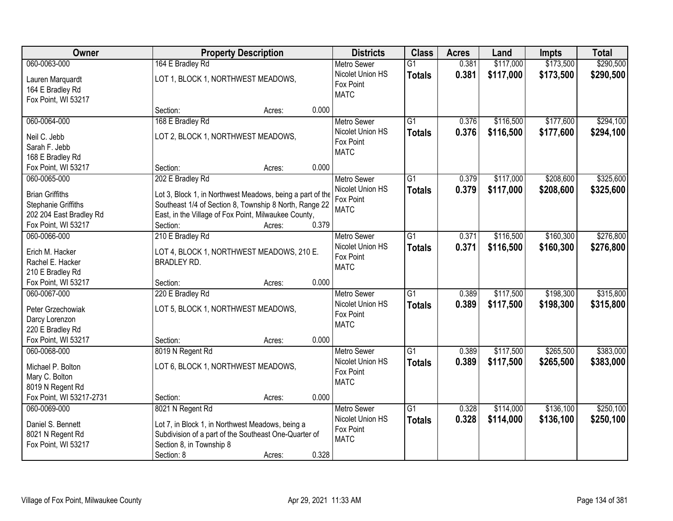| Owner                    | <b>Property Description</b>                               |       | <b>Districts</b>   | <b>Class</b>    | <b>Acres</b> | Land      | <b>Impts</b> | <b>Total</b> |
|--------------------------|-----------------------------------------------------------|-------|--------------------|-----------------|--------------|-----------|--------------|--------------|
| 060-0063-000             | 164 E Bradley Rd                                          |       | <b>Metro Sewer</b> | $\overline{G1}$ | 0.381        | \$117,000 | \$173,500    | \$290,500    |
| Lauren Marquardt         | LOT 1, BLOCK 1, NORTHWEST MEADOWS,                        |       | Nicolet Union HS   | <b>Totals</b>   | 0.381        | \$117,000 | \$173,500    | \$290,500    |
| 164 E Bradley Rd         |                                                           |       | Fox Point          |                 |              |           |              |              |
| Fox Point, WI 53217      |                                                           |       | <b>MATC</b>        |                 |              |           |              |              |
|                          | Section:<br>Acres:                                        | 0.000 |                    |                 |              |           |              |              |
| 060-0064-000             | 168 E Bradley Rd                                          |       | <b>Metro Sewer</b> | $\overline{G1}$ | 0.376        | \$116,500 | \$177,600    | \$294,100    |
| Neil C. Jebb             | LOT 2, BLOCK 1, NORTHWEST MEADOWS,                        |       | Nicolet Union HS   | <b>Totals</b>   | 0.376        | \$116,500 | \$177,600    | \$294,100    |
| Sarah F. Jebb            |                                                           |       | Fox Point          |                 |              |           |              |              |
| 168 E Bradley Rd         |                                                           |       | <b>MATC</b>        |                 |              |           |              |              |
| Fox Point, WI 53217      | Section:<br>Acres:                                        | 0.000 |                    |                 |              |           |              |              |
| 060-0065-000             | 202 E Bradley Rd                                          |       | Metro Sewer        | G1              | 0.379        | \$117,000 | \$208,600    | \$325,600    |
| <b>Brian Griffiths</b>   | Lot 3, Block 1, in Northwest Meadows, being a part of the |       | Nicolet Union HS   | <b>Totals</b>   | 0.379        | \$117,000 | \$208,600    | \$325,600    |
| Stephanie Griffiths      | Southeast 1/4 of Section 8, Township 8 North, Range 22    |       | Fox Point          |                 |              |           |              |              |
| 202 204 East Bradley Rd  | East, in the Village of Fox Point, Milwaukee County,      |       | <b>MATC</b>        |                 |              |           |              |              |
| Fox Point, WI 53217      | Section:<br>Acres:                                        | 0.379 |                    |                 |              |           |              |              |
| 060-0066-000             | 210 E Bradley Rd                                          |       | <b>Metro Sewer</b> | G1              | 0.371        | \$116,500 | \$160,300    | \$276,800    |
|                          |                                                           |       | Nicolet Union HS   | <b>Totals</b>   | 0.371        | \$116,500 | \$160,300    | \$276,800    |
| Erich M. Hacker          | LOT 4, BLOCK 1, NORTHWEST MEADOWS, 210 E.                 |       | Fox Point          |                 |              |           |              |              |
| Rachel E. Hacker         | <b>BRADLEY RD.</b>                                        |       | <b>MATC</b>        |                 |              |           |              |              |
| 210 E Bradley Rd         |                                                           |       |                    |                 |              |           |              |              |
| Fox Point, WI 53217      | Section:<br>Acres:                                        | 0.000 |                    |                 |              |           |              |              |
| 060-0067-000             | 220 E Bradley Rd                                          |       | <b>Metro Sewer</b> | $\overline{G1}$ | 0.389        | \$117,500 | \$198,300    | \$315,800    |
| Peter Grzechowiak        | LOT 5, BLOCK 1, NORTHWEST MEADOWS,                        |       | Nicolet Union HS   | <b>Totals</b>   | 0.389        | \$117,500 | \$198,300    | \$315,800    |
| Darcy Lorenzon           |                                                           |       | Fox Point          |                 |              |           |              |              |
| 220 E Bradley Rd         |                                                           |       | <b>MATC</b>        |                 |              |           |              |              |
| Fox Point, WI 53217      | Section:<br>Acres:                                        | 0.000 |                    |                 |              |           |              |              |
| 060-0068-000             | 8019 N Regent Rd                                          |       | <b>Metro Sewer</b> | G1              | 0.389        | \$117,500 | \$265,500    | \$383,000    |
| Michael P. Bolton        | LOT 6, BLOCK 1, NORTHWEST MEADOWS,                        |       | Nicolet Union HS   | <b>Totals</b>   | 0.389        | \$117,500 | \$265,500    | \$383,000    |
| Mary C. Bolton           |                                                           |       | Fox Point          |                 |              |           |              |              |
| 8019 N Regent Rd         |                                                           |       | <b>MATC</b>        |                 |              |           |              |              |
| Fox Point, WI 53217-2731 | Section:<br>Acres:                                        | 0.000 |                    |                 |              |           |              |              |
| 060-0069-000             | 8021 N Regent Rd                                          |       | <b>Metro Sewer</b> | $\overline{G1}$ | 0.328        | \$114,000 | \$136,100    | \$250,100    |
|                          |                                                           |       | Nicolet Union HS   | <b>Totals</b>   | 0.328        | \$114,000 | \$136,100    | \$250,100    |
| Daniel S. Bennett        | Lot 7, in Block 1, in Northwest Meadows, being a          |       | Fox Point          |                 |              |           |              |              |
| 8021 N Regent Rd         | Subdivision of a part of the Southeast One-Quarter of     |       | <b>MATC</b>        |                 |              |           |              |              |
| Fox Point, WI 53217      | Section 8, in Township 8                                  |       |                    |                 |              |           |              |              |
|                          | Section: 8<br>Acres:                                      | 0.328 |                    |                 |              |           |              |              |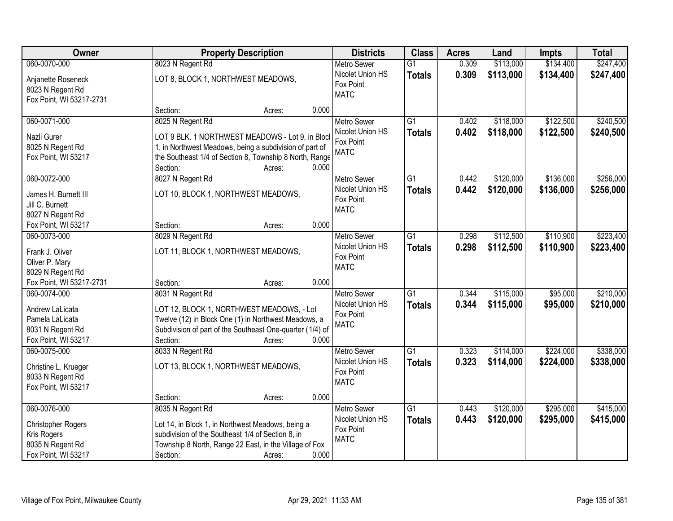| Owner                                                                                         |                                                                                                                                                                                                       | <b>Property Description</b> |       | <b>Districts</b>                                                   | <b>Class</b>                     | <b>Acres</b>   | Land                   | <b>Impts</b>           | <b>Total</b>           |
|-----------------------------------------------------------------------------------------------|-------------------------------------------------------------------------------------------------------------------------------------------------------------------------------------------------------|-----------------------------|-------|--------------------------------------------------------------------|----------------------------------|----------------|------------------------|------------------------|------------------------|
| 060-0070-000                                                                                  | 8023 N Regent Rd                                                                                                                                                                                      |                             |       | <b>Metro Sewer</b>                                                 | $\overline{G1}$                  | 0.309          | \$113,000              | \$134,400              | \$247,400              |
| Anjanette Roseneck<br>8023 N Regent Rd<br>Fox Point, WI 53217-2731                            | LOT 8, BLOCK 1, NORTHWEST MEADOWS,                                                                                                                                                                    |                             |       | Nicolet Union HS<br>Fox Point<br><b>MATC</b>                       | <b>Totals</b>                    | 0.309          | \$113,000              | \$134,400              | \$247,400              |
|                                                                                               | Section:                                                                                                                                                                                              | Acres:                      | 0.000 |                                                                    |                                  |                |                        |                        |                        |
| 060-0071-000<br>Nazli Gurer<br>8025 N Regent Rd<br>Fox Point, WI 53217                        | 8025 N Regent Rd<br>LOT 9 BLK. 1 NORTHWEST MEADOWS - Lot 9, in Bloc<br>1, in Northwest Meadows, being a subdivision of part of<br>the Southeast 1/4 of Section 8, Township 8 North, Range<br>Section: | Acres:                      | 0.000 | <b>Metro Sewer</b><br>Nicolet Union HS<br>Fox Point<br><b>MATC</b> | $\overline{G1}$<br><b>Totals</b> | 0.402<br>0.402 | \$118,000<br>\$118,000 | \$122,500<br>\$122,500 | \$240,500<br>\$240,500 |
| 060-0072-000                                                                                  | 8027 N Regent Rd                                                                                                                                                                                      |                             |       | <b>Metro Sewer</b>                                                 | G1                               | 0.442          | \$120,000              | \$136,000              | \$256,000              |
| James H. Burnett III<br>Jill C. Burnett<br>8027 N Regent Rd                                   | LOT 10, BLOCK 1, NORTHWEST MEADOWS,                                                                                                                                                                   |                             |       | Nicolet Union HS<br>Fox Point<br><b>MATC</b>                       | <b>Totals</b>                    | 0.442          | \$120,000              | \$136,000              | \$256,000              |
| Fox Point, WI 53217                                                                           | Section:                                                                                                                                                                                              | Acres:                      | 0.000 |                                                                    |                                  |                |                        |                        |                        |
| 060-0073-000<br>Frank J. Oliver<br>Oliver P. Mary<br>8029 N Regent Rd                         | 8029 N Regent Rd<br>LOT 11, BLOCK 1, NORTHWEST MEADOWS,                                                                                                                                               |                             |       | <b>Metro Sewer</b><br>Nicolet Union HS<br>Fox Point<br><b>MATC</b> | $\overline{G1}$<br><b>Totals</b> | 0.298<br>0.298 | \$112,500<br>\$112,500 | \$110,900<br>\$110,900 | \$223,400<br>\$223,400 |
| Fox Point, WI 53217-2731                                                                      | Section:                                                                                                                                                                                              | Acres:                      | 0.000 |                                                                    |                                  |                |                        |                        |                        |
| 060-0074-000<br>Andrew LaLicata<br>Pamela LaLicata<br>8031 N Regent Rd<br>Fox Point, WI 53217 | 8031 N Regent Rd<br>LOT 12, BLOCK 1, NORTHWEST MEADOWS, - Lot<br>Twelve (12) in Block One (1) in Northwest Meadows, a<br>Subdivision of part of the Southeast One-quarter (1/4) of<br>Section:        | Acres:                      | 0.000 | <b>Metro Sewer</b><br>Nicolet Union HS<br>Fox Point<br><b>MATC</b> | $\overline{G1}$<br><b>Totals</b> | 0.344<br>0.344 | \$115,000<br>\$115,000 | \$95,000<br>\$95,000   | \$210,000<br>\$210,000 |
| 060-0075-000<br>Christine L. Krueger<br>8033 N Regent Rd<br>Fox Point, WI 53217               | 8033 N Regent Rd<br>LOT 13, BLOCK 1, NORTHWEST MEADOWS,<br>Section:                                                                                                                                   | Acres:                      | 0.000 | <b>Metro Sewer</b><br>Nicolet Union HS<br>Fox Point<br><b>MATC</b> | $\overline{G1}$<br><b>Totals</b> | 0.323<br>0.323 | \$114,000<br>\$114,000 | \$224,000<br>\$224,000 | \$338,000<br>\$338,000 |
| 060-0076-000                                                                                  | 8035 N Regent Rd                                                                                                                                                                                      |                             |       | <b>Metro Sewer</b>                                                 | $\overline{G1}$                  | 0.443          | \$120,000              | \$295,000              | \$415,000              |
| <b>Christopher Rogers</b><br>Kris Rogers<br>8035 N Regent Rd<br>Fox Point, WI 53217           | Lot 14, in Block 1, in Northwest Meadows, being a<br>subdivision of the Southeast 1/4 of Section 8, in<br>Township 8 North, Range 22 East, in the Village of Fox<br>Section:                          | Acres:                      | 0.000 | Nicolet Union HS<br>Fox Point<br><b>MATC</b>                       | <b>Totals</b>                    | 0.443          | \$120,000              | \$295,000              | \$415,000              |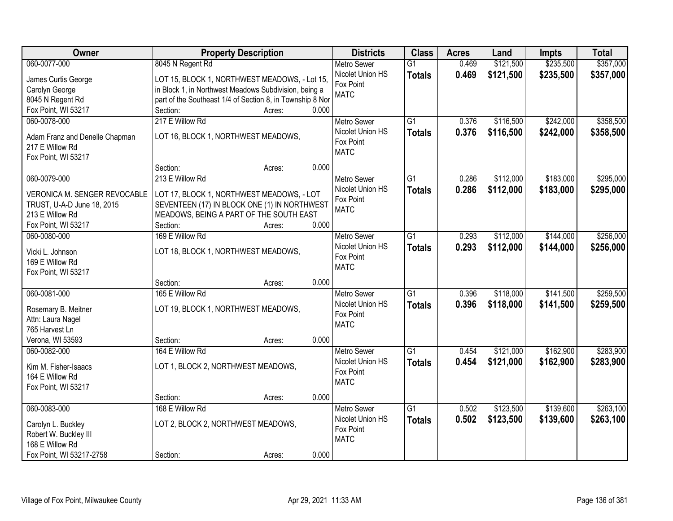| Owner                          | <b>Property Description</b>                               | <b>Districts</b>                       | <b>Class</b>    | <b>Acres</b> | Land      | <b>Impts</b> | <b>Total</b> |
|--------------------------------|-----------------------------------------------------------|----------------------------------------|-----------------|--------------|-----------|--------------|--------------|
| 060-0077-000                   | 8045 N Regent Rd                                          | <b>Metro Sewer</b>                     | $\overline{G1}$ | 0.469        | \$121,500 | \$235,500    | \$357,000    |
| James Curtis George            | LOT 15, BLOCK 1, NORTHWEST MEADOWS, - Lot 15,             | Nicolet Union HS                       | <b>Totals</b>   | 0.469        | \$121,500 | \$235,500    | \$357,000    |
| Carolyn George                 | in Block 1, in Northwest Meadows Subdivision, being a     | Fox Point                              |                 |              |           |              |              |
| 8045 N Regent Rd               | part of the Southeast 1/4 of Section 8, in Township 8 Nor | <b>MATC</b>                            |                 |              |           |              |              |
| Fox Point, WI 53217            | 0.000<br>Section:<br>Acres:                               |                                        |                 |              |           |              |              |
| 060-0078-000                   | 217 E Willow Rd                                           | <b>Metro Sewer</b>                     | $\overline{G1}$ | 0.376        | \$116,500 | \$242,000    | \$358,500    |
|                                |                                                           | Nicolet Union HS                       | <b>Totals</b>   | 0.376        | \$116,500 | \$242,000    | \$358,500    |
| Adam Franz and Denelle Chapman | LOT 16, BLOCK 1, NORTHWEST MEADOWS,                       | Fox Point                              |                 |              |           |              |              |
| 217 E Willow Rd                |                                                           | <b>MATC</b>                            |                 |              |           |              |              |
| Fox Point, WI 53217            | 0.000                                                     |                                        |                 |              |           |              |              |
| 060-0079-000                   | Section:<br>Acres:<br>213 E Willow Rd                     |                                        | G1              | 0.286        |           | \$183,000    | \$295,000    |
|                                |                                                           | <b>Metro Sewer</b><br>Nicolet Union HS |                 |              | \$112,000 |              |              |
| VERONICA M. SENGER REVOCABLE   | LOT 17, BLOCK 1, NORTHWEST MEADOWS, - LOT                 | Fox Point                              | <b>Totals</b>   | 0.286        | \$112,000 | \$183,000    | \$295,000    |
| TRUST, U-A-D June 18, 2015     | SEVENTEEN (17) IN BLOCK ONE (1) IN NORTHWEST              | <b>MATC</b>                            |                 |              |           |              |              |
| 213 E Willow Rd                | MEADOWS, BEING A PART OF THE SOUTH EAST                   |                                        |                 |              |           |              |              |
| Fox Point, WI 53217            | Section:<br>0.000<br>Acres:                               |                                        |                 |              |           |              |              |
| 060-0080-000                   | 169 E Willow Rd                                           | <b>Metro Sewer</b>                     | G1              | 0.293        | \$112,000 | \$144,000    | \$256,000    |
| Vicki L. Johnson               | LOT 18, BLOCK 1, NORTHWEST MEADOWS,                       | Nicolet Union HS                       | <b>Totals</b>   | 0.293        | \$112,000 | \$144,000    | \$256,000    |
| 169 E Willow Rd                |                                                           | Fox Point                              |                 |              |           |              |              |
| Fox Point, WI 53217            |                                                           | <b>MATC</b>                            |                 |              |           |              |              |
|                                | 0.000<br>Section:<br>Acres:                               |                                        |                 |              |           |              |              |
| 060-0081-000                   | 165 E Willow Rd                                           | <b>Metro Sewer</b>                     | $\overline{G1}$ | 0.396        | \$118,000 | \$141,500    | \$259,500    |
|                                |                                                           | Nicolet Union HS                       | <b>Totals</b>   | 0.396        | \$118,000 | \$141,500    | \$259,500    |
| Rosemary B. Meitner            | LOT 19, BLOCK 1, NORTHWEST MEADOWS,                       | Fox Point                              |                 |              |           |              |              |
| Attn: Laura Nagel              |                                                           | <b>MATC</b>                            |                 |              |           |              |              |
| 765 Harvest Ln                 |                                                           |                                        |                 |              |           |              |              |
| Verona, WI 53593               | 0.000<br>Section:<br>Acres:                               |                                        |                 |              |           |              |              |
| 060-0082-000                   | 164 E Willow Rd                                           | <b>Metro Sewer</b>                     | $\overline{G1}$ | 0.454        | \$121,000 | \$162,900    | \$283,900    |
| Kim M. Fisher-Isaacs           | LOT 1, BLOCK 2, NORTHWEST MEADOWS,                        | Nicolet Union HS<br>Fox Point          | <b>Totals</b>   | 0.454        | \$121,000 | \$162,900    | \$283,900    |
| 164 E Willow Rd                |                                                           | <b>MATC</b>                            |                 |              |           |              |              |
| Fox Point, WI 53217            |                                                           |                                        |                 |              |           |              |              |
|                                | 0.000<br>Section:<br>Acres:                               |                                        |                 |              |           |              |              |
| 060-0083-000                   | 168 E Willow Rd                                           | <b>Metro Sewer</b>                     | $\overline{G1}$ | 0.502        | \$123,500 | \$139,600    | \$263,100    |
| Carolyn L. Buckley             | LOT 2, BLOCK 2, NORTHWEST MEADOWS,                        | Nicolet Union HS                       | <b>Totals</b>   | 0.502        | \$123,500 | \$139,600    | \$263,100    |
| Robert W. Buckley III          |                                                           | Fox Point                              |                 |              |           |              |              |
| 168 E Willow Rd                |                                                           | <b>MATC</b>                            |                 |              |           |              |              |
| Fox Point, WI 53217-2758       | 0.000<br>Section:<br>Acres:                               |                                        |                 |              |           |              |              |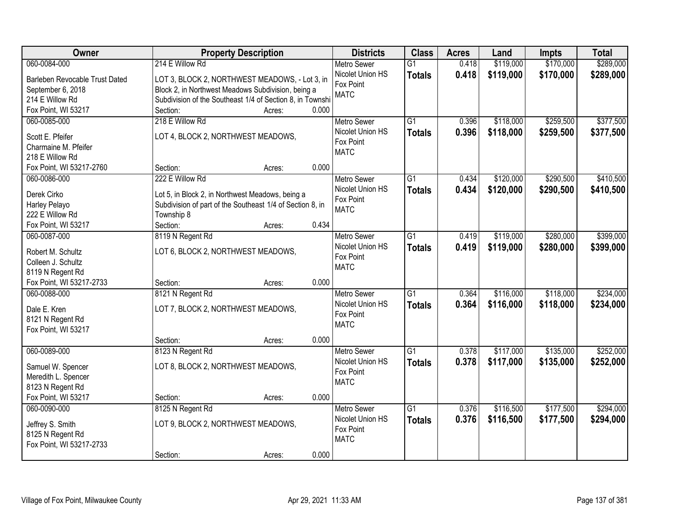| Owner                            | <b>Property Description</b>                               | <b>Districts</b>   | <b>Class</b>    | <b>Acres</b> | Land      | <b>Impts</b> | <b>Total</b> |
|----------------------------------|-----------------------------------------------------------|--------------------|-----------------|--------------|-----------|--------------|--------------|
| 060-0084-000                     | 214 E Willow Rd                                           | <b>Metro Sewer</b> | $\overline{G1}$ | 0.418        | \$119,000 | \$170,000    | \$289,000    |
| Barleben Revocable Trust Dated   | LOT 3, BLOCK 2, NORTHWEST MEADOWS, - Lot 3, in            | Nicolet Union HS   | <b>Totals</b>   | 0.418        | \$119,000 | \$170,000    | \$289,000    |
| September 6, 2018                | Block 2, in Northwest Meadows Subdivision, being a        | Fox Point          |                 |              |           |              |              |
| 214 E Willow Rd                  | Subdivision of the Southeast 1/4 of Section 8, in Townshi | <b>MATC</b>        |                 |              |           |              |              |
| Fox Point, WI 53217              | Section:<br>Acres:                                        | 0.000              |                 |              |           |              |              |
| 060-0085-000                     | 218 E Willow Rd                                           | <b>Metro Sewer</b> | $\overline{G1}$ | 0.396        | \$118,000 | \$259,500    | \$377,500    |
| Scott E. Pfeifer                 | LOT 4, BLOCK 2, NORTHWEST MEADOWS,                        | Nicolet Union HS   | <b>Totals</b>   | 0.396        | \$118,000 | \$259,500    | \$377,500    |
| Charmaine M. Pfeifer             |                                                           | Fox Point          |                 |              |           |              |              |
| 218 E Willow Rd                  |                                                           | <b>MATC</b>        |                 |              |           |              |              |
| Fox Point, WI 53217-2760         | Section:<br>Acres:                                        | 0.000              |                 |              |           |              |              |
| 060-0086-000                     | 222 E Willow Rd                                           | Metro Sewer        | $\overline{G1}$ | 0.434        | \$120,000 | \$290,500    | \$410,500    |
|                                  |                                                           | Nicolet Union HS   | <b>Totals</b>   | 0.434        | \$120,000 | \$290,500    | \$410,500    |
| Derek Cirko                      | Lot 5, in Block 2, in Northwest Meadows, being a          | Fox Point          |                 |              |           |              |              |
| Harley Pelayo<br>222 E Willow Rd | Subdivision of part of the Southeast 1/4 of Section 8, in | <b>MATC</b>        |                 |              |           |              |              |
| Fox Point, WI 53217              | Township 8<br>Section:                                    | 0.434              |                 |              |           |              |              |
| 060-0087-000                     | Acres:<br>8119 N Regent Rd                                | <b>Metro Sewer</b> | $\overline{G1}$ | 0.419        | \$119,000 | \$280,000    | \$399,000    |
|                                  |                                                           | Nicolet Union HS   |                 | 0.419        |           |              |              |
| Robert M. Schultz                | LOT 6, BLOCK 2, NORTHWEST MEADOWS,                        | Fox Point          | <b>Totals</b>   |              | \$119,000 | \$280,000    | \$399,000    |
| Colleen J. Schultz               |                                                           | <b>MATC</b>        |                 |              |           |              |              |
| 8119 N Regent Rd                 |                                                           |                    |                 |              |           |              |              |
| Fox Point, WI 53217-2733         | Section:<br>Acres:                                        | 0.000              |                 |              |           |              |              |
| 060-0088-000                     | 8121 N Regent Rd                                          | <b>Metro Sewer</b> | $\overline{G1}$ | 0.364        | \$116,000 | \$118,000    | \$234,000    |
| Dale E. Kren                     | LOT 7, BLOCK 2, NORTHWEST MEADOWS,                        | Nicolet Union HS   | <b>Totals</b>   | 0.364        | \$116,000 | \$118,000    | \$234,000    |
| 8121 N Regent Rd                 |                                                           | Fox Point          |                 |              |           |              |              |
| Fox Point, WI 53217              |                                                           | <b>MATC</b>        |                 |              |           |              |              |
|                                  | Section:<br>Acres:                                        | 0.000              |                 |              |           |              |              |
| 060-0089-000                     | 8123 N Regent Rd                                          | <b>Metro Sewer</b> | $\overline{G1}$ | 0.378        | \$117,000 | \$135,000    | \$252,000    |
| Samuel W. Spencer                | LOT 8, BLOCK 2, NORTHWEST MEADOWS,                        | Nicolet Union HS   | <b>Totals</b>   | 0.378        | \$117,000 | \$135,000    | \$252,000    |
| Meredith L. Spencer              |                                                           | Fox Point          |                 |              |           |              |              |
| 8123 N Regent Rd                 |                                                           | <b>MATC</b>        |                 |              |           |              |              |
| Fox Point, WI 53217              | Section:<br>Acres:                                        | 0.000              |                 |              |           |              |              |
| 060-0090-000                     | 8125 N Regent Rd                                          | <b>Metro Sewer</b> | $\overline{G1}$ | 0.376        | \$116,500 | \$177,500    | \$294,000    |
|                                  |                                                           | Nicolet Union HS   | <b>Totals</b>   | 0.376        | \$116,500 | \$177,500    | \$294,000    |
| Jeffrey S. Smith                 | LOT 9, BLOCK 2, NORTHWEST MEADOWS,                        | Fox Point          |                 |              |           |              |              |
| 8125 N Regent Rd                 |                                                           | <b>MATC</b>        |                 |              |           |              |              |
| Fox Point, WI 53217-2733         |                                                           |                    |                 |              |           |              |              |
|                                  | Section:<br>Acres:                                        | 0.000              |                 |              |           |              |              |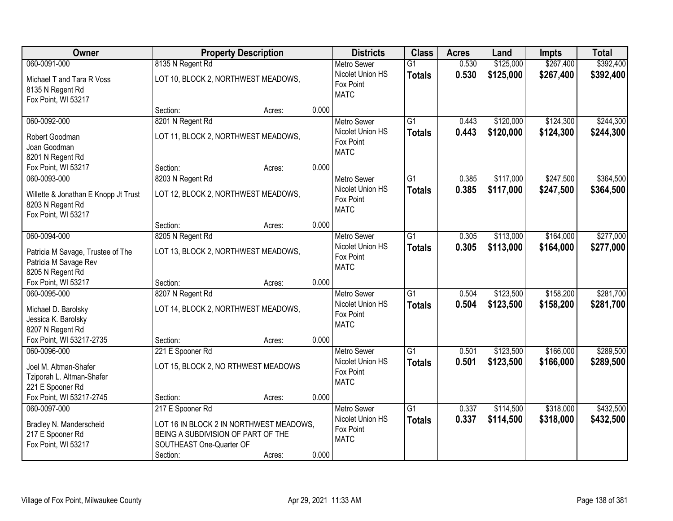| Owner                                                                                           | <b>Property Description</b>                                                                                                               |        |       | <b>Districts</b>                                                   | <b>Class</b>                     | <b>Acres</b>   | Land                   | <b>Impts</b>           | <b>Total</b>           |
|-------------------------------------------------------------------------------------------------|-------------------------------------------------------------------------------------------------------------------------------------------|--------|-------|--------------------------------------------------------------------|----------------------------------|----------------|------------------------|------------------------|------------------------|
| 060-0091-000                                                                                    | 8135 N Regent Rd                                                                                                                          |        |       | <b>Metro Sewer</b>                                                 | $\overline{G1}$                  | 0.530          | \$125,000              | \$267,400              | \$392,400              |
| Michael T and Tara R Voss<br>8135 N Regent Rd<br>Fox Point, WI 53217                            | LOT 10, BLOCK 2, NORTHWEST MEADOWS,                                                                                                       |        |       | Nicolet Union HS<br>Fox Point<br><b>MATC</b>                       | <b>Totals</b>                    | 0.530          | \$125,000              | \$267,400              | \$392,400              |
|                                                                                                 | Section:                                                                                                                                  | Acres: | 0.000 |                                                                    |                                  |                |                        |                        |                        |
| 060-0092-000<br>Robert Goodman<br>Joan Goodman<br>8201 N Regent Rd                              | 8201 N Regent Rd<br>LOT 11, BLOCK 2, NORTHWEST MEADOWS,                                                                                   |        |       | <b>Metro Sewer</b><br>Nicolet Union HS<br>Fox Point<br><b>MATC</b> | $\overline{G1}$<br><b>Totals</b> | 0.443<br>0.443 | \$120,000<br>\$120,000 | \$124,300<br>\$124,300 | \$244,300<br>\$244,300 |
| Fox Point, WI 53217                                                                             | Section:                                                                                                                                  | Acres: | 0.000 |                                                                    |                                  |                |                        |                        |                        |
| 060-0093-000<br>Willette & Jonathan E Knopp Jt Trust<br>8203 N Regent Rd<br>Fox Point, WI 53217 | 8203 N Regent Rd<br>LOT 12, BLOCK 2, NORTHWEST MEADOWS,                                                                                   |        |       | <b>Metro Sewer</b><br>Nicolet Union HS<br>Fox Point<br><b>MATC</b> | G1<br><b>Totals</b>              | 0.385<br>0.385 | \$117,000<br>\$117,000 | \$247,500<br>\$247,500 | \$364,500<br>\$364,500 |
|                                                                                                 | Section:                                                                                                                                  | Acres: | 0.000 |                                                                    |                                  |                |                        |                        |                        |
| 060-0094-000<br>Patricia M Savage, Trustee of The<br>Patricia M Savage Rev<br>8205 N Regent Rd  | 8205 N Regent Rd<br>LOT 13, BLOCK 2, NORTHWEST MEADOWS,                                                                                   |        |       | <b>Metro Sewer</b><br>Nicolet Union HS<br>Fox Point<br><b>MATC</b> | $\overline{G1}$<br><b>Totals</b> | 0.305<br>0.305 | \$113,000<br>\$113,000 | \$164,000<br>\$164,000 | \$277,000<br>\$277,000 |
| Fox Point, WI 53217                                                                             | Section:                                                                                                                                  | Acres: | 0.000 |                                                                    |                                  |                |                        |                        |                        |
| 060-0095-000<br>Michael D. Barolsky<br>Jessica K. Barolsky<br>8207 N Regent Rd                  | 8207 N Regent Rd<br>LOT 14, BLOCK 2, NORTHWEST MEADOWS,                                                                                   |        |       | <b>Metro Sewer</b><br>Nicolet Union HS<br>Fox Point<br><b>MATC</b> | $\overline{G1}$<br><b>Totals</b> | 0.504<br>0.504 | \$123,500<br>\$123,500 | \$158,200<br>\$158,200 | \$281,700<br>\$281,700 |
| Fox Point, WI 53217-2735                                                                        | Section:                                                                                                                                  | Acres: | 0.000 |                                                                    |                                  |                |                        |                        |                        |
| 060-0096-000<br>Joel M. Altman-Shafer<br>Tziporah L. Altman-Shafer<br>221 E Spooner Rd          | 221 E Spooner Rd<br>LOT 15, BLOCK 2, NO RTHWEST MEADOWS                                                                                   |        |       | <b>Metro Sewer</b><br>Nicolet Union HS<br>Fox Point<br><b>MATC</b> | $\overline{G1}$<br><b>Totals</b> | 0.501<br>0.501 | \$123,500<br>\$123,500 | \$166,000<br>\$166,000 | \$289,500<br>\$289,500 |
| Fox Point, WI 53217-2745                                                                        | Section:                                                                                                                                  | Acres: | 0.000 |                                                                    |                                  |                |                        |                        |                        |
| 060-0097-000<br>Bradley N. Manderscheid<br>217 E Spooner Rd<br>Fox Point, WI 53217              | 217 E Spooner Rd<br>LOT 16 IN BLOCK 2 IN NORTHWEST MEADOWS,<br>BEING A SUBDIVISION OF PART OF THE<br>SOUTHEAST One-Quarter OF<br>Section: | Acres: | 0.000 | <b>Metro Sewer</b><br>Nicolet Union HS<br>Fox Point<br><b>MATC</b> | $\overline{G1}$<br><b>Totals</b> | 0.337<br>0.337 | \$114,500<br>\$114,500 | \$318,000<br>\$318,000 | \$432,500<br>\$432,500 |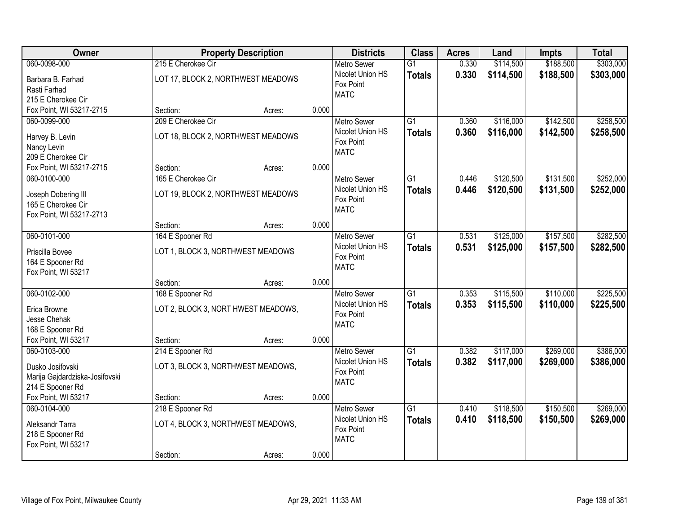| Owner                                                                                  | <b>Property Description</b>                                        |        |       | <b>Districts</b>                                                   | <b>Class</b>                     | <b>Acres</b>   | Land                   | <b>Impts</b>           | <b>Total</b>           |
|----------------------------------------------------------------------------------------|--------------------------------------------------------------------|--------|-------|--------------------------------------------------------------------|----------------------------------|----------------|------------------------|------------------------|------------------------|
| 060-0098-000                                                                           | 215 E Cherokee Cir                                                 |        |       | <b>Metro Sewer</b>                                                 | $\overline{G1}$                  | 0.330          | \$114,500              | \$188,500              | \$303,000              |
| Barbara B. Farhad<br>Rasti Farhad<br>215 E Cherokee Cir                                | LOT 17, BLOCK 2, NORTHWEST MEADOWS                                 |        |       | Nicolet Union HS<br>Fox Point<br><b>MATC</b>                       | <b>Totals</b>                    | 0.330          | \$114,500              | \$188,500              | \$303,000              |
| Fox Point, WI 53217-2715                                                               | Section:                                                           | Acres: | 0.000 |                                                                    |                                  |                |                        |                        |                        |
| 060-0099-000<br>Harvey B. Levin<br>Nancy Levin<br>209 E Cherokee Cir                   | 209 E Cherokee Cir<br>LOT 18, BLOCK 2, NORTHWEST MEADOWS           |        |       | <b>Metro Sewer</b><br>Nicolet Union HS<br>Fox Point<br><b>MATC</b> | $\overline{G1}$<br><b>Totals</b> | 0.360<br>0.360 | \$116,000<br>\$116,000 | \$142,500<br>\$142,500 | \$258,500<br>\$258,500 |
| Fox Point, WI 53217-2715                                                               | Section:                                                           | Acres: | 0.000 |                                                                    |                                  |                |                        |                        |                        |
| 060-0100-000<br>Joseph Dobering III<br>165 E Cherokee Cir<br>Fox Point, WI 53217-2713  | 165 E Cherokee Cir<br>LOT 19, BLOCK 2, NORTHWEST MEADOWS           |        |       | <b>Metro Sewer</b><br>Nicolet Union HS<br>Fox Point<br><b>MATC</b> | G <sub>1</sub><br><b>Totals</b>  | 0.446<br>0.446 | \$120,500<br>\$120,500 | \$131,500<br>\$131,500 | \$252,000<br>\$252,000 |
|                                                                                        | Section:                                                           | Acres: | 0.000 |                                                                    |                                  |                |                        |                        |                        |
| 060-0101-000<br>Priscilla Bovee<br>164 E Spooner Rd<br>Fox Point, WI 53217             | 164 E Spooner Rd<br>LOT 1, BLOCK 3, NORTHWEST MEADOWS              |        |       | <b>Metro Sewer</b><br>Nicolet Union HS<br>Fox Point<br><b>MATC</b> | G1<br><b>Totals</b>              | 0.531<br>0.531 | \$125,000<br>\$125,000 | \$157,500<br>\$157,500 | \$282,500<br>\$282,500 |
|                                                                                        | Section:                                                           | Acres: | 0.000 |                                                                    |                                  |                |                        |                        |                        |
| 060-0102-000<br>Erica Browne<br>Jesse Chehak<br>168 E Spooner Rd                       | 168 E Spooner Rd<br>LOT 2, BLOCK 3, NORT HWEST MEADOWS,            |        |       | <b>Metro Sewer</b><br>Nicolet Union HS<br>Fox Point<br><b>MATC</b> | $\overline{G1}$<br><b>Totals</b> | 0.353<br>0.353 | \$115,500<br>\$115,500 | \$110,000<br>\$110,000 | \$225,500<br>\$225,500 |
| Fox Point, WI 53217                                                                    | Section:                                                           | Acres: | 0.000 |                                                                    |                                  |                |                        |                        |                        |
| 060-0103-000<br>Dusko Josifovski<br>Marija Gajdardziska-Josifovski<br>214 E Spooner Rd | 214 E Spooner Rd<br>LOT 3, BLOCK 3, NORTHWEST MEADOWS,             |        |       | <b>Metro Sewer</b><br>Nicolet Union HS<br>Fox Point<br><b>MATC</b> | $\overline{G1}$<br><b>Totals</b> | 0.382<br>0.382 | \$117,000<br>\$117,000 | \$269,000<br>\$269,000 | \$386,000<br>\$386,000 |
| Fox Point, WI 53217                                                                    | Section:                                                           | Acres: | 0.000 |                                                                    |                                  |                |                        |                        |                        |
| 060-0104-000<br>Aleksandr Tarra<br>218 E Spooner Rd<br>Fox Point, WI 53217             | 218 E Spooner Rd<br>LOT 4, BLOCK 3, NORTHWEST MEADOWS,<br>Section: | Acres: | 0.000 | Metro Sewer<br>Nicolet Union HS<br>Fox Point<br><b>MATC</b>        | $\overline{G1}$<br><b>Totals</b> | 0.410<br>0.410 | \$118,500<br>\$118,500 | \$150,500<br>\$150,500 | \$269,000<br>\$269,000 |
|                                                                                        |                                                                    |        |       |                                                                    |                                  |                |                        |                        |                        |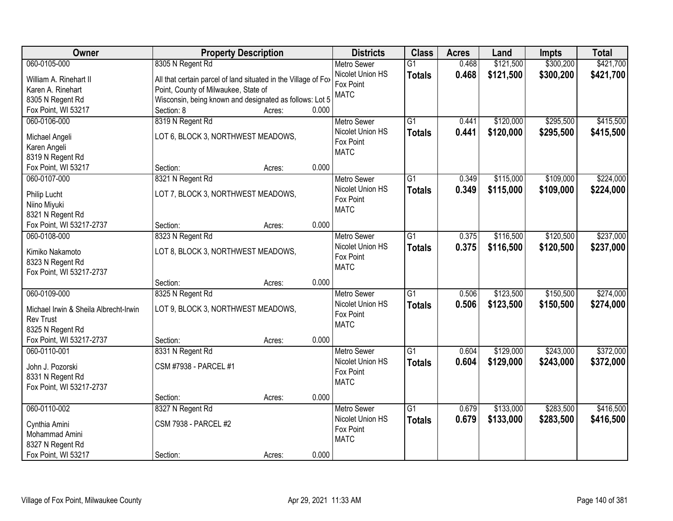| <b>Owner</b>                          | <b>Property Description</b>                                    |                 | <b>Districts</b>         | <b>Class</b>    | <b>Acres</b> | Land      | <b>Impts</b> | <b>Total</b> |
|---------------------------------------|----------------------------------------------------------------|-----------------|--------------------------|-----------------|--------------|-----------|--------------|--------------|
| 060-0105-000                          | 8305 N Regent Rd                                               |                 | <b>Metro Sewer</b>       | $\overline{G1}$ | 0.468        | \$121,500 | \$300,200    | \$421,700    |
| William A. Rinehart II                | All that certain parcel of land situated in the Village of Fox |                 | Nicolet Union HS         | <b>Totals</b>   | 0.468        | \$121,500 | \$300,200    | \$421,700    |
| Karen A. Rinehart                     | Point, County of Milwaukee, State of                           |                 | Fox Point                |                 |              |           |              |              |
| 8305 N Regent Rd                      | Wisconsin, being known and designated as follows: Lot 5        |                 | <b>MATC</b>              |                 |              |           |              |              |
| Fox Point, WI 53217                   | Section: 8                                                     | 0.000<br>Acres: |                          |                 |              |           |              |              |
| 060-0106-000                          | 8319 N Regent Rd                                               |                 | <b>Metro Sewer</b>       | $\overline{G1}$ | 0.441        | \$120,000 | \$295,500    | \$415,500    |
|                                       |                                                                |                 | Nicolet Union HS         | <b>Totals</b>   | 0.441        | \$120,000 | \$295,500    | \$415,500    |
| Michael Angeli                        | LOT 6, BLOCK 3, NORTHWEST MEADOWS,                             |                 | Fox Point                |                 |              |           |              |              |
| Karen Angeli                          |                                                                |                 | <b>MATC</b>              |                 |              |           |              |              |
| 8319 N Regent Rd                      |                                                                |                 |                          |                 |              |           |              |              |
| Fox Point, WI 53217                   | Section:                                                       | 0.000<br>Acres: |                          |                 |              |           |              |              |
| 060-0107-000                          | 8321 N Regent Rd                                               |                 | <b>Metro Sewer</b>       | G1              | 0.349        | \$115,000 | \$109,000    | \$224,000    |
| Philip Lucht                          | LOT 7, BLOCK 3, NORTHWEST MEADOWS,                             |                 | Nicolet Union HS         | <b>Totals</b>   | 0.349        | \$115,000 | \$109,000    | \$224,000    |
| Niino Miyuki                          |                                                                |                 | Fox Point<br><b>MATC</b> |                 |              |           |              |              |
| 8321 N Regent Rd                      |                                                                |                 |                          |                 |              |           |              |              |
| Fox Point, WI 53217-2737              | Section:                                                       | 0.000<br>Acres: |                          |                 |              |           |              |              |
| 060-0108-000                          | 8323 N Regent Rd                                               |                 | <b>Metro Sewer</b>       | G1              | 0.375        | \$116,500 | \$120,500    | \$237,000    |
| Kimiko Nakamoto                       | LOT 8, BLOCK 3, NORTHWEST MEADOWS,                             |                 | Nicolet Union HS         | <b>Totals</b>   | 0.375        | \$116,500 | \$120,500    | \$237,000    |
| 8323 N Regent Rd                      |                                                                |                 | Fox Point                |                 |              |           |              |              |
| Fox Point, WI 53217-2737              |                                                                |                 | <b>MATC</b>              |                 |              |           |              |              |
|                                       | Section:                                                       | 0.000<br>Acres: |                          |                 |              |           |              |              |
| 060-0109-000                          | 8325 N Regent Rd                                               |                 | <b>Metro Sewer</b>       | $\overline{G1}$ | 0.506        | \$123,500 | \$150,500    | \$274,000    |
|                                       |                                                                |                 | Nicolet Union HS         | <b>Totals</b>   | 0.506        | \$123,500 | \$150,500    | \$274,000    |
| Michael Irwin & Sheila Albrecht-Irwin | LOT 9, BLOCK 3, NORTHWEST MEADOWS,                             |                 | Fox Point                |                 |              |           |              |              |
| <b>Rev Trust</b>                      |                                                                |                 | <b>MATC</b>              |                 |              |           |              |              |
| 8325 N Regent Rd                      |                                                                |                 |                          |                 |              |           |              |              |
| Fox Point, WI 53217-2737              | Section:                                                       | 0.000<br>Acres: |                          |                 |              |           |              |              |
| 060-0110-001                          | 8331 N Regent Rd                                               |                 | <b>Metro Sewer</b>       | $\overline{G1}$ | 0.604        | \$129,000 | \$243,000    | \$372,000    |
| John J. Pozorski                      | CSM #7938 - PARCEL #1                                          |                 | Nicolet Union HS         | <b>Totals</b>   | 0.604        | \$129,000 | \$243,000    | \$372,000    |
| 8331 N Regent Rd                      |                                                                |                 | Fox Point                |                 |              |           |              |              |
| Fox Point, WI 53217-2737              |                                                                |                 | <b>MATC</b>              |                 |              |           |              |              |
|                                       | Section:                                                       | 0.000<br>Acres: |                          |                 |              |           |              |              |
| 060-0110-002                          | 8327 N Regent Rd                                               |                 | <b>Metro Sewer</b>       | $\overline{G1}$ | 0.679        | \$133,000 | \$283,500    | \$416,500    |
|                                       |                                                                |                 | Nicolet Union HS         | <b>Totals</b>   | 0.679        | \$133,000 | \$283,500    | \$416,500    |
| Cynthia Amini                         | <b>CSM 7938 - PARCEL #2</b>                                    |                 | Fox Point                |                 |              |           |              |              |
| Mohammad Amini                        |                                                                |                 | <b>MATC</b>              |                 |              |           |              |              |
| 8327 N Regent Rd                      |                                                                |                 |                          |                 |              |           |              |              |
| Fox Point, WI 53217                   | Section:                                                       | 0.000<br>Acres: |                          |                 |              |           |              |              |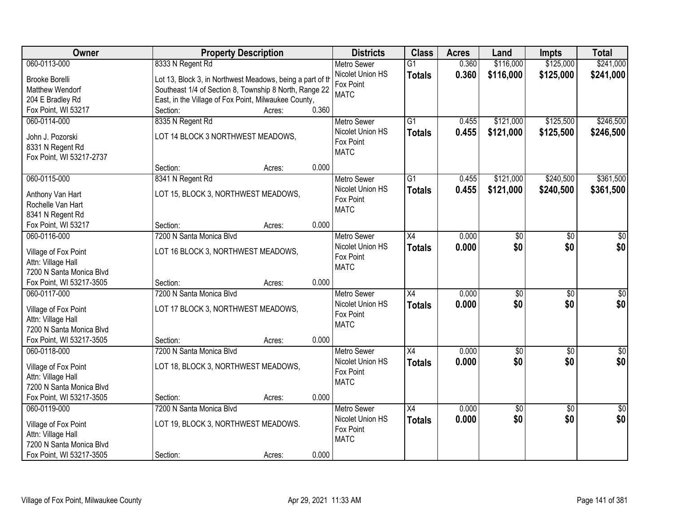| Owner                    | <b>Property Description</b>                               |                 | <b>Districts</b>                       | <b>Class</b>    | <b>Acres</b> | Land            | <b>Impts</b>    | <b>Total</b>    |
|--------------------------|-----------------------------------------------------------|-----------------|----------------------------------------|-----------------|--------------|-----------------|-----------------|-----------------|
| 060-0113-000             | 8333 N Regent Rd                                          |                 | <b>Metro Sewer</b>                     | $\overline{G1}$ | 0.360        | \$116,000       | \$125,000       | \$241,000       |
| <b>Brooke Borelli</b>    | Lot 13, Block 3, in Northwest Meadows, being a part of th |                 | Nicolet Union HS                       | <b>Totals</b>   | 0.360        | \$116,000       | \$125,000       | \$241,000       |
| Matthew Wendorf          | Southeast 1/4 of Section 8, Township 8 North, Range 22    |                 | Fox Point                              |                 |              |                 |                 |                 |
| 204 E Bradley Rd         | East, in the Village of Fox Point, Milwaukee County,      |                 | <b>MATC</b>                            |                 |              |                 |                 |                 |
| Fox Point, WI 53217      | Section:                                                  | 0.360<br>Acres: |                                        |                 |              |                 |                 |                 |
| 060-0114-000             | 8335 N Regent Rd                                          |                 | <b>Metro Sewer</b>                     | $\overline{G1}$ | 0.455        | \$121,000       | \$125,500       | \$246,500       |
|                          |                                                           |                 | Nicolet Union HS                       | <b>Totals</b>   | 0.455        | \$121,000       | \$125,500       | \$246,500       |
| John J. Pozorski         | LOT 14 BLOCK 3 NORTHWEST MEADOWS,                         |                 | Fox Point                              |                 |              |                 |                 |                 |
| 8331 N Regent Rd         |                                                           |                 | <b>MATC</b>                            |                 |              |                 |                 |                 |
| Fox Point, WI 53217-2737 | Section:                                                  | 0.000           |                                        |                 |              |                 |                 |                 |
|                          |                                                           | Acres:          |                                        |                 |              | \$121,000       | \$240,500       | \$361,500       |
| 060-0115-000             | 8341 N Regent Rd                                          |                 | <b>Metro Sewer</b><br>Nicolet Union HS | G <sub>1</sub>  | 0.455        |                 |                 |                 |
| Anthony Van Hart         | LOT 15, BLOCK 3, NORTHWEST MEADOWS,                       |                 | Fox Point                              | <b>Totals</b>   | 0.455        | \$121,000       | \$240,500       | \$361,500       |
| Rochelle Van Hart        |                                                           |                 | <b>MATC</b>                            |                 |              |                 |                 |                 |
| 8341 N Regent Rd         |                                                           |                 |                                        |                 |              |                 |                 |                 |
| Fox Point, WI 53217      | Section:                                                  | 0.000<br>Acres: |                                        |                 |              |                 |                 |                 |
| 060-0116-000             | 7200 N Santa Monica Blvd                                  |                 | <b>Metro Sewer</b>                     | X4              | 0.000        | \$0             | \$0             | \$0             |
| Village of Fox Point     | LOT 16 BLOCK 3, NORTHWEST MEADOWS,                        |                 | Nicolet Union HS                       | <b>Totals</b>   | 0.000        | \$0             | \$0             | \$0             |
| Attn: Village Hall       |                                                           |                 | Fox Point                              |                 |              |                 |                 |                 |
| 7200 N Santa Monica Blvd |                                                           |                 | <b>MATC</b>                            |                 |              |                 |                 |                 |
| Fox Point, WI 53217-3505 | Section:                                                  | 0.000<br>Acres: |                                        |                 |              |                 |                 |                 |
| 060-0117-000             | 7200 N Santa Monica Blyd                                  |                 | <b>Metro Sewer</b>                     | $\overline{X4}$ | 0.000        | \$0             | $\overline{30}$ | \$0             |
|                          |                                                           |                 | Nicolet Union HS                       | <b>Totals</b>   | 0.000        | \$0             | \$0             | \$0             |
| Village of Fox Point     | LOT 17 BLOCK 3, NORTHWEST MEADOWS,                        |                 | Fox Point                              |                 |              |                 |                 |                 |
| Attn: Village Hall       |                                                           |                 | <b>MATC</b>                            |                 |              |                 |                 |                 |
| 7200 N Santa Monica Blvd |                                                           |                 |                                        |                 |              |                 |                 |                 |
| Fox Point, WI 53217-3505 | Section:                                                  | 0.000<br>Acres: |                                        |                 |              |                 |                 |                 |
| 060-0118-000             | 7200 N Santa Monica Blvd                                  |                 | <b>Metro Sewer</b>                     | X4              | 0.000        | $\sqrt{$0}$     | $\overline{50}$ | \$0             |
| Village of Fox Point     | LOT 18, BLOCK 3, NORTHWEST MEADOWS,                       |                 | Nicolet Union HS<br>Fox Point          | <b>Totals</b>   | 0.000        | \$0             | \$0             | \$0             |
| Attn: Village Hall       |                                                           |                 | <b>MATC</b>                            |                 |              |                 |                 |                 |
| 7200 N Santa Monica Blvd |                                                           |                 |                                        |                 |              |                 |                 |                 |
| Fox Point, WI 53217-3505 | Section:                                                  | 0.000<br>Acres: |                                        |                 |              |                 |                 |                 |
| 060-0119-000             | 7200 N Santa Monica Blvd                                  |                 | <b>Metro Sewer</b>                     | $\overline{X4}$ | 0.000        | $\overline{50}$ | $\overline{30}$ | $\overline{50}$ |
| Village of Fox Point     | LOT 19, BLOCK 3, NORTHWEST MEADOWS.                       |                 | Nicolet Union HS                       | <b>Totals</b>   | 0.000        | \$0             | \$0             | \$0             |
| Attn: Village Hall       |                                                           |                 | Fox Point                              |                 |              |                 |                 |                 |
| 7200 N Santa Monica Blvd |                                                           |                 | <b>MATC</b>                            |                 |              |                 |                 |                 |
| Fox Point, WI 53217-3505 | Section:                                                  | 0.000<br>Acres: |                                        |                 |              |                 |                 |                 |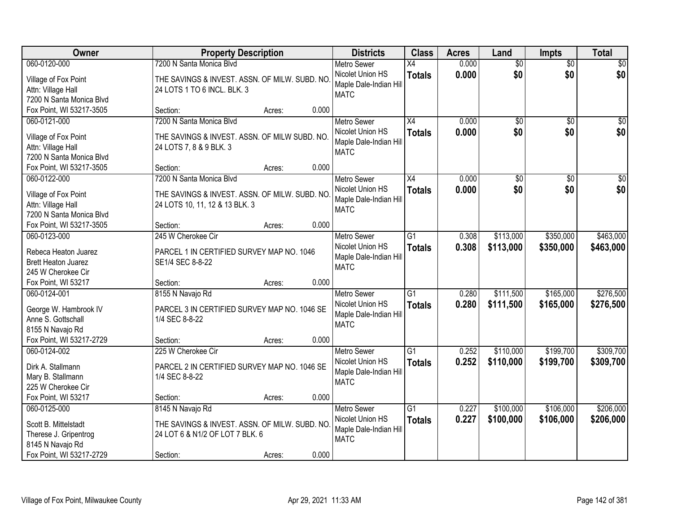| Owner                                              |                                               | <b>Property Description</b> |       | <b>Districts</b>                           | <b>Class</b>    | <b>Acres</b> | Land            | <b>Impts</b>    | <b>Total</b>     |
|----------------------------------------------------|-----------------------------------------------|-----------------------------|-------|--------------------------------------------|-----------------|--------------|-----------------|-----------------|------------------|
| 060-0120-000                                       | 7200 N Santa Monica Blvd                      |                             |       | <b>Metro Sewer</b>                         | X4              | 0.000        | $\overline{50}$ | $\overline{50}$ | \$0              |
| Village of Fox Point                               | THE SAVINGS & INVEST. ASSN. OF MILW. SUBD. NO |                             |       | Nicolet Union HS<br>Maple Dale-Indian Hill | <b>Totals</b>   | 0.000        | \$0             | \$0             | \$0              |
| Attn: Village Hall                                 | 24 LOTS 1 TO 6 INCL. BLK. 3                   |                             |       | <b>MATC</b>                                |                 |              |                 |                 |                  |
| 7200 N Santa Monica Blvd                           |                                               |                             |       |                                            |                 |              |                 |                 |                  |
| Fox Point, WI 53217-3505                           | Section:                                      | Acres:                      | 0.000 |                                            |                 |              |                 |                 |                  |
| 060-0121-000                                       | 7200 N Santa Monica Blvd                      |                             |       | <b>Metro Sewer</b>                         | $\overline{X4}$ | 0.000        | $\overline{50}$ | $\overline{50}$ | \$0              |
| Village of Fox Point                               | THE SAVINGS & INVEST. ASSN. OF MILW SUBD. NO. |                             |       | Nicolet Union HS                           | <b>Totals</b>   | 0.000        | \$0             | \$0             | \$0              |
| Attn: Village Hall                                 | 24 LOTS 7, 8 & 9 BLK. 3                       |                             |       | Maple Dale-Indian Hill                     |                 |              |                 |                 |                  |
| 7200 N Santa Monica Blvd                           |                                               |                             |       | <b>MATC</b>                                |                 |              |                 |                 |                  |
| Fox Point, WI 53217-3505                           | Section:                                      | Acres:                      | 0.000 |                                            |                 |              |                 |                 |                  |
| 060-0122-000                                       | 7200 N Santa Monica Blvd                      |                             |       | <b>Metro Sewer</b>                         | X4              | 0.000        | \$0             | \$0             | $\overline{\$0}$ |
| Village of Fox Point                               | THE SAVINGS & INVEST. ASSN. OF MILW. SUBD. NO |                             |       | Nicolet Union HS                           | <b>Totals</b>   | 0.000        | \$0             | \$0             | \$0              |
| Attn: Village Hall                                 | 24 LOTS 10, 11, 12 & 13 BLK. 3                |                             |       | Maple Dale-Indian Hill                     |                 |              |                 |                 |                  |
| 7200 N Santa Monica Blvd                           |                                               |                             |       | <b>MATC</b>                                |                 |              |                 |                 |                  |
| Fox Point, WI 53217-3505                           | Section:                                      | Acres:                      | 0.000 |                                            |                 |              |                 |                 |                  |
| 060-0123-000                                       | 245 W Cherokee Cir                            |                             |       | <b>Metro Sewer</b>                         | $\overline{G1}$ | 0.308        | \$113,000       | \$350,000       | \$463,000        |
|                                                    |                                               |                             |       | Nicolet Union HS                           | <b>Totals</b>   | 0.308        | \$113,000       | \$350,000       | \$463,000        |
| Rebeca Heaton Juarez<br><b>Brett Heaton Juarez</b> | PARCEL 1 IN CERTIFIED SURVEY MAP NO. 1046     |                             |       | Maple Dale-Indian Hill                     |                 |              |                 |                 |                  |
| 245 W Cherokee Cir                                 | SE1/4 SEC 8-8-22                              |                             |       | <b>MATC</b>                                |                 |              |                 |                 |                  |
| Fox Point, WI 53217                                | Section:                                      | Acres:                      | 0.000 |                                            |                 |              |                 |                 |                  |
| 060-0124-001                                       | 8155 N Navajo Rd                              |                             |       | <b>Metro Sewer</b>                         | $\overline{G1}$ | 0.280        | \$111,500       | \$165,000       | \$276,500        |
|                                                    |                                               |                             |       | Nicolet Union HS                           | <b>Totals</b>   | 0.280        | \$111,500       | \$165,000       | \$276,500        |
| George W. Hambrook IV                              | PARCEL 3 IN CERTIFIED SURVEY MAP NO. 1046 SE  |                             |       | Maple Dale-Indian Hill                     |                 |              |                 |                 |                  |
| Anne S. Gottschall                                 | 1/4 SEC 8-8-22                                |                             |       | <b>MATC</b>                                |                 |              |                 |                 |                  |
| 8155 N Navajo Rd                                   |                                               |                             |       |                                            |                 |              |                 |                 |                  |
| Fox Point, WI 53217-2729                           | Section:                                      | Acres:                      | 0.000 |                                            |                 |              |                 |                 |                  |
| 060-0124-002                                       | 225 W Cherokee Cir                            |                             |       | Metro Sewer                                | $\overline{G1}$ | 0.252        | \$110,000       | \$199,700       | \$309,700        |
| Dirk A. Stallmann                                  | PARCEL 2 IN CERTIFIED SURVEY MAP NO. 1046 SE  |                             |       | Nicolet Union HS<br>Maple Dale-Indian Hill | <b>Totals</b>   | 0.252        | \$110,000       | \$199,700       | \$309,700        |
| Mary B. Stallmann                                  | 1/4 SEC 8-8-22                                |                             |       | <b>MATC</b>                                |                 |              |                 |                 |                  |
| 225 W Cherokee Cir                                 |                                               |                             |       |                                            |                 |              |                 |                 |                  |
| Fox Point, WI 53217                                | Section:                                      | Acres:                      | 0.000 |                                            |                 |              |                 |                 |                  |
| 060-0125-000                                       | 8145 N Navajo Rd                              |                             |       | <b>Metro Sewer</b>                         | $\overline{G1}$ | 0.227        | \$100,000       | \$106,000       | \$206,000        |
| Scott B. Mittelstadt                               | THE SAVINGS & INVEST. ASSN. OF MILW. SUBD. NO |                             |       | Nicolet Union HS                           | <b>Totals</b>   | 0.227        | \$100,000       | \$106,000       | \$206,000        |
| Therese J. Gripentrog                              | 24 LOT 6 & N1/2 OF LOT 7 BLK. 6               |                             |       | Maple Dale-Indian Hill                     |                 |              |                 |                 |                  |
| 8145 N Navajo Rd                                   |                                               |                             |       | <b>MATC</b>                                |                 |              |                 |                 |                  |
| Fox Point, WI 53217-2729                           | Section:                                      | Acres:                      | 0.000 |                                            |                 |              |                 |                 |                  |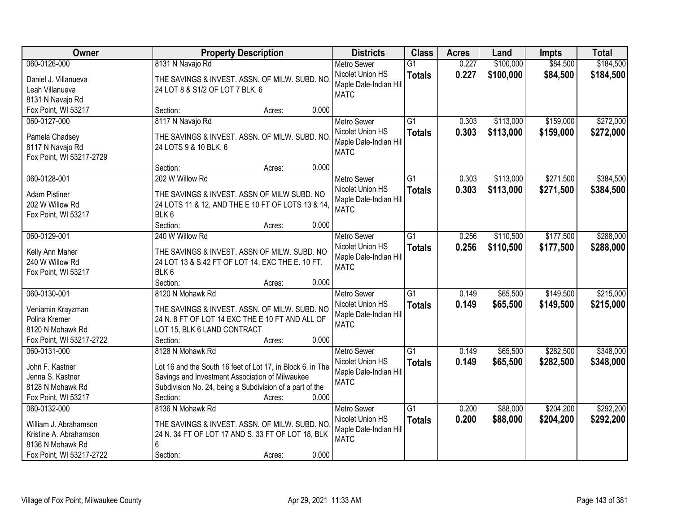| \$100,000<br>\$84,500<br>\$184,500<br>060-0126-000<br>8131 N Navajo Rd<br>0.227<br>$\overline{G1}$<br><b>Metro Sewer</b><br>0.227<br>\$100,000<br>\$84,500<br>Nicolet Union HS<br>\$184,500<br><b>Totals</b><br>THE SAVINGS & INVEST. ASSN. OF MILW. SUBD. NO<br>Daniel J. Villanueva<br>Maple Dale-Indian Hill<br>Leah Villanueva<br>24 LOT 8 & S1/2 OF LOT 7 BLK. 6<br><b>MATC</b><br>8131 N Navajo Rd<br>0.000<br>Fox Point, WI 53217<br>Section:<br>Acres:<br>8117 N Navajo Rd<br>$\overline{G1}$<br>\$113,000<br>\$159,000<br>\$272,000<br>060-0127-000<br>0.303<br><b>Metro Sewer</b><br>Nicolet Union HS<br>0.303<br>\$113,000<br>\$159,000<br>\$272,000<br><b>Totals</b><br>Pamela Chadsey<br>THE SAVINGS & INVEST. ASSN. OF MILW. SUBD. NO<br>Maple Dale-Indian Hill<br>8117 N Navajo Rd<br>24 LOTS 9 & 10 BLK. 6<br><b>MATC</b><br>Fox Point, WI 53217-2729<br>0.000<br>Section:<br>Acres:<br>060-0128-001<br>\$113,000<br>\$271,500<br>\$384,500<br>202 W Willow Rd<br><b>Metro Sewer</b><br>G1<br>0.303<br>Nicolet Union HS<br>0.303<br>\$113,000<br>\$271,500<br>\$384,500<br><b>Totals</b><br><b>Adam Pistiner</b><br>THE SAVINGS & INVEST. ASSN OF MILW SUBD. NO<br>Maple Dale-Indian Hill<br>24 LOTS 11 & 12, AND THE E 10 FT OF LOTS 13 & 14,<br>202 W Willow Rd<br><b>MATC</b><br>BLK <sub>6</sub><br>Fox Point, WI 53217<br>0.000<br>Section:<br>Acres:<br>\$288,000<br>060-0129-001<br>240 W Willow Rd<br>$\overline{G1}$<br>\$110,500<br>\$177,500<br><b>Metro Sewer</b><br>0.256<br>Nicolet Union HS<br>0.256<br>\$110,500<br>\$177,500<br>\$288,000<br><b>Totals</b><br>THE SAVINGS & INVEST. ASSN OF MILW. SUBD. NO<br>Kelly Ann Maher<br>Maple Dale-Indian Hill<br>240 W Willow Rd<br>24 LOT 13 & S.42 FT OF LOT 14, EXC THE E. 10 FT. |
|-----------------------------------------------------------------------------------------------------------------------------------------------------------------------------------------------------------------------------------------------------------------------------------------------------------------------------------------------------------------------------------------------------------------------------------------------------------------------------------------------------------------------------------------------------------------------------------------------------------------------------------------------------------------------------------------------------------------------------------------------------------------------------------------------------------------------------------------------------------------------------------------------------------------------------------------------------------------------------------------------------------------------------------------------------------------------------------------------------------------------------------------------------------------------------------------------------------------------------------------------------------------------------------------------------------------------------------------------------------------------------------------------------------------------------------------------------------------------------------------------------------------------------------------------------------------------------------------------------------------------------------------------------------------------------------------------------------------------------------------------------------------|
|                                                                                                                                                                                                                                                                                                                                                                                                                                                                                                                                                                                                                                                                                                                                                                                                                                                                                                                                                                                                                                                                                                                                                                                                                                                                                                                                                                                                                                                                                                                                                                                                                                                                                                                                                                 |
|                                                                                                                                                                                                                                                                                                                                                                                                                                                                                                                                                                                                                                                                                                                                                                                                                                                                                                                                                                                                                                                                                                                                                                                                                                                                                                                                                                                                                                                                                                                                                                                                                                                                                                                                                                 |
|                                                                                                                                                                                                                                                                                                                                                                                                                                                                                                                                                                                                                                                                                                                                                                                                                                                                                                                                                                                                                                                                                                                                                                                                                                                                                                                                                                                                                                                                                                                                                                                                                                                                                                                                                                 |
|                                                                                                                                                                                                                                                                                                                                                                                                                                                                                                                                                                                                                                                                                                                                                                                                                                                                                                                                                                                                                                                                                                                                                                                                                                                                                                                                                                                                                                                                                                                                                                                                                                                                                                                                                                 |
|                                                                                                                                                                                                                                                                                                                                                                                                                                                                                                                                                                                                                                                                                                                                                                                                                                                                                                                                                                                                                                                                                                                                                                                                                                                                                                                                                                                                                                                                                                                                                                                                                                                                                                                                                                 |
|                                                                                                                                                                                                                                                                                                                                                                                                                                                                                                                                                                                                                                                                                                                                                                                                                                                                                                                                                                                                                                                                                                                                                                                                                                                                                                                                                                                                                                                                                                                                                                                                                                                                                                                                                                 |
|                                                                                                                                                                                                                                                                                                                                                                                                                                                                                                                                                                                                                                                                                                                                                                                                                                                                                                                                                                                                                                                                                                                                                                                                                                                                                                                                                                                                                                                                                                                                                                                                                                                                                                                                                                 |
|                                                                                                                                                                                                                                                                                                                                                                                                                                                                                                                                                                                                                                                                                                                                                                                                                                                                                                                                                                                                                                                                                                                                                                                                                                                                                                                                                                                                                                                                                                                                                                                                                                                                                                                                                                 |
|                                                                                                                                                                                                                                                                                                                                                                                                                                                                                                                                                                                                                                                                                                                                                                                                                                                                                                                                                                                                                                                                                                                                                                                                                                                                                                                                                                                                                                                                                                                                                                                                                                                                                                                                                                 |
|                                                                                                                                                                                                                                                                                                                                                                                                                                                                                                                                                                                                                                                                                                                                                                                                                                                                                                                                                                                                                                                                                                                                                                                                                                                                                                                                                                                                                                                                                                                                                                                                                                                                                                                                                                 |
|                                                                                                                                                                                                                                                                                                                                                                                                                                                                                                                                                                                                                                                                                                                                                                                                                                                                                                                                                                                                                                                                                                                                                                                                                                                                                                                                                                                                                                                                                                                                                                                                                                                                                                                                                                 |
|                                                                                                                                                                                                                                                                                                                                                                                                                                                                                                                                                                                                                                                                                                                                                                                                                                                                                                                                                                                                                                                                                                                                                                                                                                                                                                                                                                                                                                                                                                                                                                                                                                                                                                                                                                 |
|                                                                                                                                                                                                                                                                                                                                                                                                                                                                                                                                                                                                                                                                                                                                                                                                                                                                                                                                                                                                                                                                                                                                                                                                                                                                                                                                                                                                                                                                                                                                                                                                                                                                                                                                                                 |
|                                                                                                                                                                                                                                                                                                                                                                                                                                                                                                                                                                                                                                                                                                                                                                                                                                                                                                                                                                                                                                                                                                                                                                                                                                                                                                                                                                                                                                                                                                                                                                                                                                                                                                                                                                 |
|                                                                                                                                                                                                                                                                                                                                                                                                                                                                                                                                                                                                                                                                                                                                                                                                                                                                                                                                                                                                                                                                                                                                                                                                                                                                                                                                                                                                                                                                                                                                                                                                                                                                                                                                                                 |
|                                                                                                                                                                                                                                                                                                                                                                                                                                                                                                                                                                                                                                                                                                                                                                                                                                                                                                                                                                                                                                                                                                                                                                                                                                                                                                                                                                                                                                                                                                                                                                                                                                                                                                                                                                 |
|                                                                                                                                                                                                                                                                                                                                                                                                                                                                                                                                                                                                                                                                                                                                                                                                                                                                                                                                                                                                                                                                                                                                                                                                                                                                                                                                                                                                                                                                                                                                                                                                                                                                                                                                                                 |
|                                                                                                                                                                                                                                                                                                                                                                                                                                                                                                                                                                                                                                                                                                                                                                                                                                                                                                                                                                                                                                                                                                                                                                                                                                                                                                                                                                                                                                                                                                                                                                                                                                                                                                                                                                 |
|                                                                                                                                                                                                                                                                                                                                                                                                                                                                                                                                                                                                                                                                                                                                                                                                                                                                                                                                                                                                                                                                                                                                                                                                                                                                                                                                                                                                                                                                                                                                                                                                                                                                                                                                                                 |
| <b>MATC</b><br>BLK <sub>6</sub><br>Fox Point, WI 53217                                                                                                                                                                                                                                                                                                                                                                                                                                                                                                                                                                                                                                                                                                                                                                                                                                                                                                                                                                                                                                                                                                                                                                                                                                                                                                                                                                                                                                                                                                                                                                                                                                                                                                          |
| 0.000<br>Section:<br>Acres:                                                                                                                                                                                                                                                                                                                                                                                                                                                                                                                                                                                                                                                                                                                                                                                                                                                                                                                                                                                                                                                                                                                                                                                                                                                                                                                                                                                                                                                                                                                                                                                                                                                                                                                                     |
| 060-0130-001<br>8120 N Mohawk Rd<br>$\overline{G1}$<br>\$65,500<br>\$149,500<br>\$215,000<br>0.149<br>Metro Sewer                                                                                                                                                                                                                                                                                                                                                                                                                                                                                                                                                                                                                                                                                                                                                                                                                                                                                                                                                                                                                                                                                                                                                                                                                                                                                                                                                                                                                                                                                                                                                                                                                                               |
| 0.149<br>Nicolet Union HS<br><b>Totals</b><br>\$65,500<br>\$149,500<br>\$215,000                                                                                                                                                                                                                                                                                                                                                                                                                                                                                                                                                                                                                                                                                                                                                                                                                                                                                                                                                                                                                                                                                                                                                                                                                                                                                                                                                                                                                                                                                                                                                                                                                                                                                |
| THE SAVINGS & INVEST. ASSN. OF MILW. SUBD. NO<br>Veniamin Krayzman<br>Maple Dale-Indian Hill                                                                                                                                                                                                                                                                                                                                                                                                                                                                                                                                                                                                                                                                                                                                                                                                                                                                                                                                                                                                                                                                                                                                                                                                                                                                                                                                                                                                                                                                                                                                                                                                                                                                    |
| Polina Kremer<br>24 N. 8 FT OF LOT 14 EXC THE E 10 FT AND ALL OF<br><b>MATC</b>                                                                                                                                                                                                                                                                                                                                                                                                                                                                                                                                                                                                                                                                                                                                                                                                                                                                                                                                                                                                                                                                                                                                                                                                                                                                                                                                                                                                                                                                                                                                                                                                                                                                                 |
| 8120 N Mohawk Rd<br>LOT 15, BLK 6 LAND CONTRACT                                                                                                                                                                                                                                                                                                                                                                                                                                                                                                                                                                                                                                                                                                                                                                                                                                                                                                                                                                                                                                                                                                                                                                                                                                                                                                                                                                                                                                                                                                                                                                                                                                                                                                                 |
| 0.000<br>Fox Point, WI 53217-2722<br>Section:<br>Acres:                                                                                                                                                                                                                                                                                                                                                                                                                                                                                                                                                                                                                                                                                                                                                                                                                                                                                                                                                                                                                                                                                                                                                                                                                                                                                                                                                                                                                                                                                                                                                                                                                                                                                                         |
| $\overline{G1}$<br>\$65,500<br>\$282,500<br>\$348,000<br>060-0131-000<br>8128 N Mohawk Rd<br><b>Metro Sewer</b><br>0.149                                                                                                                                                                                                                                                                                                                                                                                                                                                                                                                                                                                                                                                                                                                                                                                                                                                                                                                                                                                                                                                                                                                                                                                                                                                                                                                                                                                                                                                                                                                                                                                                                                        |
| 0.149<br>\$65,500<br>Nicolet Union HS<br>\$282,500<br>\$348,000<br><b>Totals</b><br>John F. Kastner<br>Lot 16 and the South 16 feet of Lot 17, in Block 6, in The                                                                                                                                                                                                                                                                                                                                                                                                                                                                                                                                                                                                                                                                                                                                                                                                                                                                                                                                                                                                                                                                                                                                                                                                                                                                                                                                                                                                                                                                                                                                                                                               |
| Maple Dale-Indian Hill<br>Savings and Investment Association of Milwaukee<br>Jenna S. Kastner                                                                                                                                                                                                                                                                                                                                                                                                                                                                                                                                                                                                                                                                                                                                                                                                                                                                                                                                                                                                                                                                                                                                                                                                                                                                                                                                                                                                                                                                                                                                                                                                                                                                   |
| <b>MATC</b><br>Subdivision No. 24, being a Subdivision of a part of the<br>8128 N Mohawk Rd                                                                                                                                                                                                                                                                                                                                                                                                                                                                                                                                                                                                                                                                                                                                                                                                                                                                                                                                                                                                                                                                                                                                                                                                                                                                                                                                                                                                                                                                                                                                                                                                                                                                     |
| Fox Point, WI 53217<br>0.000<br>Section:<br>Acres:                                                                                                                                                                                                                                                                                                                                                                                                                                                                                                                                                                                                                                                                                                                                                                                                                                                                                                                                                                                                                                                                                                                                                                                                                                                                                                                                                                                                                                                                                                                                                                                                                                                                                                              |
| \$204,200<br>\$292,200<br>8136 N Mohawk Rd<br>$\overline{G1}$<br>\$88,000<br>060-0132-000<br><b>Metro Sewer</b><br>0.200                                                                                                                                                                                                                                                                                                                                                                                                                                                                                                                                                                                                                                                                                                                                                                                                                                                                                                                                                                                                                                                                                                                                                                                                                                                                                                                                                                                                                                                                                                                                                                                                                                        |
| 0.200<br>\$88,000<br>\$204,200<br>\$292,200<br>Nicolet Union HS<br><b>Totals</b><br>THE SAVINGS & INVEST. ASSN. OF MILW. SUBD. NO<br>William J. Abrahamson                                                                                                                                                                                                                                                                                                                                                                                                                                                                                                                                                                                                                                                                                                                                                                                                                                                                                                                                                                                                                                                                                                                                                                                                                                                                                                                                                                                                                                                                                                                                                                                                      |
| Maple Dale-Indian Hil<br>24 N. 34 FT OF LOT 17 AND S. 33 FT OF LOT 18, BLK<br>Kristine A. Abrahamson                                                                                                                                                                                                                                                                                                                                                                                                                                                                                                                                                                                                                                                                                                                                                                                                                                                                                                                                                                                                                                                                                                                                                                                                                                                                                                                                                                                                                                                                                                                                                                                                                                                            |
| <b>MATC</b><br>6<br>8136 N Mohawk Rd                                                                                                                                                                                                                                                                                                                                                                                                                                                                                                                                                                                                                                                                                                                                                                                                                                                                                                                                                                                                                                                                                                                                                                                                                                                                                                                                                                                                                                                                                                                                                                                                                                                                                                                            |
| 0.000<br>Fox Point, WI 53217-2722<br>Section:<br>Acres:                                                                                                                                                                                                                                                                                                                                                                                                                                                                                                                                                                                                                                                                                                                                                                                                                                                                                                                                                                                                                                                                                                                                                                                                                                                                                                                                                                                                                                                                                                                                                                                                                                                                                                         |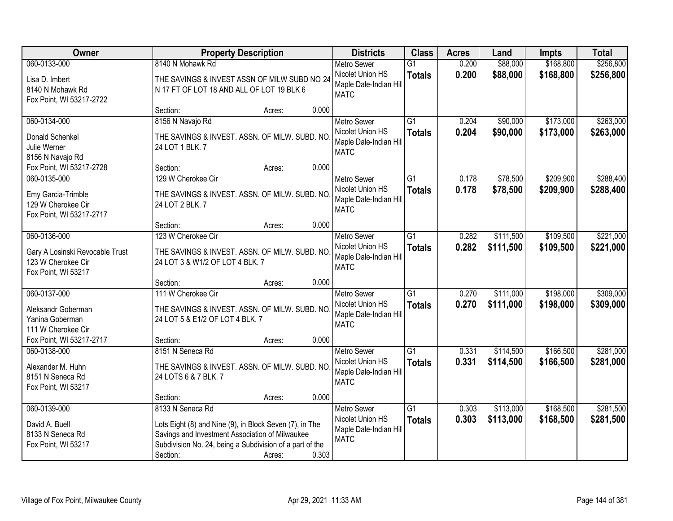| Owner                                                                                                   | <b>Property Description</b>                                                                                                                                                                                      |       | <b>Districts</b>                                                                | <b>Class</b>                     | <b>Acres</b>   | Land                   | <b>Impts</b>           | <b>Total</b>           |
|---------------------------------------------------------------------------------------------------------|------------------------------------------------------------------------------------------------------------------------------------------------------------------------------------------------------------------|-------|---------------------------------------------------------------------------------|----------------------------------|----------------|------------------------|------------------------|------------------------|
| 060-0133-000                                                                                            | 8140 N Mohawk Rd                                                                                                                                                                                                 |       | <b>Metro Sewer</b>                                                              | $\overline{G1}$                  | 0.200          | \$88,000               | \$168,800              | \$256,800              |
| Lisa D. Imbert<br>8140 N Mohawk Rd<br>Fox Point, WI 53217-2722                                          | THE SAVINGS & INVEST ASSN OF MILW SUBD NO 24<br>N 17 FT OF LOT 18 AND ALL OF LOT 19 BLK 6                                                                                                                        |       | Nicolet Union HS<br>Maple Dale-Indian Hill<br><b>MATC</b>                       | <b>Totals</b>                    | 0.200          | \$88,000               | \$168,800              | \$256,800              |
|                                                                                                         | Section:<br>Acres:                                                                                                                                                                                               | 0.000 |                                                                                 |                                  |                |                        |                        |                        |
| 060-0134-000<br>Donald Schenkel<br>Julie Werner<br>8156 N Navajo Rd                                     | 8156 N Navajo Rd<br>THE SAVINGS & INVEST. ASSN. OF MILW. SUBD. NO<br>24 LOT 1 BLK. 7                                                                                                                             |       | <b>Metro Sewer</b><br>Nicolet Union HS<br>Maple Dale-Indian Hill<br><b>MATC</b> | $\overline{G1}$<br><b>Totals</b> | 0.204<br>0.204 | \$90,000<br>\$90,000   | \$173,000<br>\$173,000 | \$263,000<br>\$263,000 |
| Fox Point, WI 53217-2728                                                                                | Section:<br>Acres:                                                                                                                                                                                               | 0.000 |                                                                                 |                                  |                |                        |                        |                        |
| 060-0135-000<br>Emy Garcia-Trimble<br>129 W Cherokee Cir<br>Fox Point, WI 53217-2717                    | 129 W Cherokee Cir<br>THE SAVINGS & INVEST. ASSN. OF MILW. SUBD. NO<br>24 LOT 2 BLK. 7                                                                                                                           |       | <b>Metro Sewer</b><br>Nicolet Union HS<br>Maple Dale-Indian Hill<br><b>MATC</b> | $\overline{G1}$<br><b>Totals</b> | 0.178<br>0.178 | \$78,500<br>\$78,500   | \$209,900<br>\$209,900 | \$288,400<br>\$288,400 |
|                                                                                                         | Section:<br>Acres:                                                                                                                                                                                               | 0.000 |                                                                                 |                                  |                |                        |                        |                        |
| 060-0136-000<br>Gary A Losinski Revocable Trust<br>123 W Cherokee Cir<br>Fox Point, WI 53217            | 123 W Cherokee Cir<br>THE SAVINGS & INVEST. ASSN. OF MILW. SUBD. NO<br>24 LOT 3 & W1/2 OF LOT 4 BLK. 7                                                                                                           |       | <b>Metro Sewer</b><br>Nicolet Union HS<br>Maple Dale-Indian Hill<br><b>MATC</b> | $\overline{G1}$<br><b>Totals</b> | 0.282<br>0.282 | \$111,500<br>\$111,500 | \$109,500<br>\$109,500 | \$221,000<br>\$221,000 |
|                                                                                                         | Section:<br>Acres:                                                                                                                                                                                               | 0.000 |                                                                                 |                                  |                |                        |                        |                        |
| 060-0137-000<br>Aleksandr Goberman<br>Yanina Goberman<br>111 W Cherokee Cir<br>Fox Point, WI 53217-2717 | 111 W Cherokee Cir<br>THE SAVINGS & INVEST. ASSN. OF MILW. SUBD. NO<br>24 LOT 5 & E1/2 OF LOT 4 BLK. 7<br>Section:<br>Acres:                                                                                     | 0.000 | <b>Metro Sewer</b><br>Nicolet Union HS<br>Maple Dale-Indian Hill<br><b>MATC</b> | $\overline{G1}$<br><b>Totals</b> | 0.270<br>0.270 | \$111,000<br>\$111,000 | \$198,000<br>\$198,000 | \$309,000<br>\$309,000 |
| 060-0138-000                                                                                            | 8151 N Seneca Rd                                                                                                                                                                                                 |       | Metro Sewer                                                                     | G1                               | 0.331          | \$114,500              | \$166,500              | \$281,000              |
| Alexander M. Huhn<br>8151 N Seneca Rd<br>Fox Point, WI 53217                                            | THE SAVINGS & INVEST. ASSN. OF MILW. SUBD. NO<br>24 LOTS 6 & 7 BLK. 7                                                                                                                                            |       | Nicolet Union HS<br>Maple Dale-Indian Hill<br><b>MATC</b>                       | <b>Totals</b>                    | 0.331          | \$114,500              | \$166,500              | \$281,000              |
|                                                                                                         | Section:<br>Acres:                                                                                                                                                                                               | 0.000 |                                                                                 |                                  |                |                        |                        |                        |
| 060-0139-000<br>David A. Buell<br>8133 N Seneca Rd<br>Fox Point, WI 53217                               | 8133 N Seneca Rd<br>Lots Eight (8) and Nine (9), in Block Seven (7), in The<br>Savings and Investment Association of Milwaukee<br>Subdivision No. 24, being a Subdivision of a part of the<br>Section:<br>Acres: | 0.303 | <b>Metro Sewer</b><br>Nicolet Union HS<br>Maple Dale-Indian Hill<br><b>MATC</b> | G1<br><b>Totals</b>              | 0.303<br>0.303 | \$113,000<br>\$113,000 | \$168,500<br>\$168,500 | \$281,500<br>\$281,500 |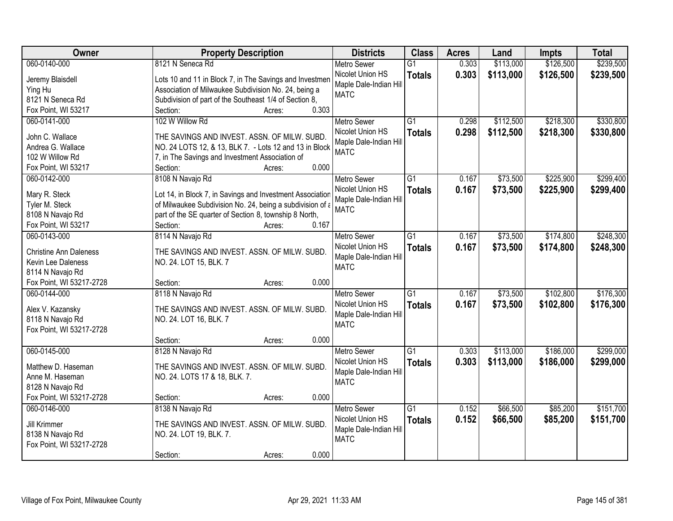| Owner                         | <b>Property Description</b>                               | <b>Districts</b>       | <b>Class</b>    | <b>Acres</b> | Land      | <b>Impts</b> | <b>Total</b> |
|-------------------------------|-----------------------------------------------------------|------------------------|-----------------|--------------|-----------|--------------|--------------|
| 060-0140-000                  | 8121 N Seneca Rd                                          | <b>Metro Sewer</b>     | $\overline{G1}$ | 0.303        | \$113,000 | \$126,500    | \$239,500    |
| Jeremy Blaisdell              | Lots 10 and 11 in Block 7, in The Savings and Investmen   | Nicolet Union HS       | <b>Totals</b>   | 0.303        | \$113,000 | \$126,500    | \$239,500    |
| Ying Hu                       | Association of Milwaukee Subdivision No. 24, being a      | Maple Dale-Indian Hill |                 |              |           |              |              |
| 8121 N Seneca Rd              | Subdivision of part of the Southeast 1/4 of Section 8,    | <b>MATC</b>            |                 |              |           |              |              |
| Fox Point, WI 53217           | 0.303<br>Section:<br>Acres:                               |                        |                 |              |           |              |              |
| 060-0141-000                  | 102 W Willow Rd                                           | <b>Metro Sewer</b>     | $\overline{G1}$ | 0.298        | \$112,500 | \$218,300    | \$330,800    |
|                               |                                                           | Nicolet Union HS       | <b>Totals</b>   | 0.298        | \$112,500 | \$218,300    | \$330,800    |
| John C. Wallace               | THE SAVINGS AND INVEST. ASSN. OF MILW. SUBD.              | Maple Dale-Indian Hill |                 |              |           |              |              |
| Andrea G. Wallace             | NO. 24 LOTS 12, & 13, BLK 7. - Lots 12 and 13 in Block    | <b>MATC</b>            |                 |              |           |              |              |
| 102 W Willow Rd               | 7, in The Savings and Investment Association of           |                        |                 |              |           |              |              |
| Fox Point, WI 53217           | 0.000<br>Section:<br>Acres:                               |                        |                 |              |           |              |              |
| 060-0142-000                  | 8108 N Navajo Rd                                          | Metro Sewer            | G1              | 0.167        | \$73,500  | \$225,900    | \$299,400    |
| Mary R. Steck                 | Lot 14, in Block 7, in Savings and Investment Association | Nicolet Union HS       | <b>Totals</b>   | 0.167        | \$73,500  | \$225,900    | \$299,400    |
| Tyler M. Steck                | of Milwaukee Subdivision No. 24, being a subdivision of a | Maple Dale-Indian Hill |                 |              |           |              |              |
| 8108 N Navajo Rd              | part of the SE quarter of Section 8, township 8 North,    | <b>MATC</b>            |                 |              |           |              |              |
| Fox Point, WI 53217           | 0.167<br>Section:<br>Acres:                               |                        |                 |              |           |              |              |
| 060-0143-000                  | 8114 N Navajo Rd                                          | <b>Metro Sewer</b>     | $\overline{G1}$ | 0.167        | \$73,500  | \$174,800    | \$248,300    |
|                               |                                                           | Nicolet Union HS       | <b>Totals</b>   | 0.167        | \$73,500  | \$174,800    | \$248,300    |
| <b>Christine Ann Daleness</b> | THE SAVINGS AND INVEST. ASSN. OF MILW. SUBD.              | Maple Dale-Indian Hill |                 |              |           |              |              |
| Kevin Lee Daleness            | NO. 24. LOT 15, BLK. 7                                    | <b>MATC</b>            |                 |              |           |              |              |
| 8114 N Navajo Rd              |                                                           |                        |                 |              |           |              |              |
| Fox Point, WI 53217-2728      | 0.000<br>Section:<br>Acres:                               |                        |                 |              |           |              |              |
| 060-0144-000                  | 8118 N Navajo Rd                                          | Metro Sewer            | $\overline{G1}$ | 0.167        | \$73,500  | \$102,800    | \$176,300    |
| Alex V. Kazansky              | THE SAVINGS AND INVEST. ASSN. OF MILW. SUBD.              | Nicolet Union HS       | <b>Totals</b>   | 0.167        | \$73,500  | \$102,800    | \$176,300    |
| 8118 N Navajo Rd              | NO. 24. LOT 16, BLK. 7                                    | Maple Dale-Indian Hill |                 |              |           |              |              |
| Fox Point, WI 53217-2728      |                                                           | <b>MATC</b>            |                 |              |           |              |              |
|                               | Section:<br>0.000<br>Acres:                               |                        |                 |              |           |              |              |
| 060-0145-000                  | 8128 N Navajo Rd                                          | <b>Metro Sewer</b>     | $\overline{G1}$ | 0.303        | \$113,000 | \$186,000    | \$299,000    |
|                               |                                                           | Nicolet Union HS       |                 |              |           |              |              |
| Matthew D. Haseman            | THE SAVINGS AND INVEST. ASSN. OF MILW. SUBD.              | Maple Dale-Indian Hill | <b>Totals</b>   | 0.303        | \$113,000 | \$186,000    | \$299,000    |
| Anne M. Haseman               | NO. 24. LOTS 17 & 18, BLK. 7.                             | <b>MATC</b>            |                 |              |           |              |              |
| 8128 N Navajo Rd              |                                                           |                        |                 |              |           |              |              |
| Fox Point, WI 53217-2728      | 0.000<br>Section:<br>Acres:                               |                        |                 |              |           |              |              |
| 060-0146-000                  | 8138 N Navajo Rd                                          | <b>Metro Sewer</b>     | $\overline{G1}$ | 0.152        | \$66,500  | \$85,200     | \$151,700    |
| Jill Krimmer                  | THE SAVINGS AND INVEST. ASSN. OF MILW. SUBD.              | Nicolet Union HS       | <b>Totals</b>   | 0.152        | \$66,500  | \$85,200     | \$151,700    |
| 8138 N Navajo Rd              | NO. 24. LOT 19, BLK. 7.                                   | Maple Dale-Indian Hill |                 |              |           |              |              |
| Fox Point, WI 53217-2728      |                                                           | <b>MATC</b>            |                 |              |           |              |              |
|                               | 0.000<br>Section:<br>Acres:                               |                        |                 |              |           |              |              |
|                               |                                                           |                        |                 |              |           |              |              |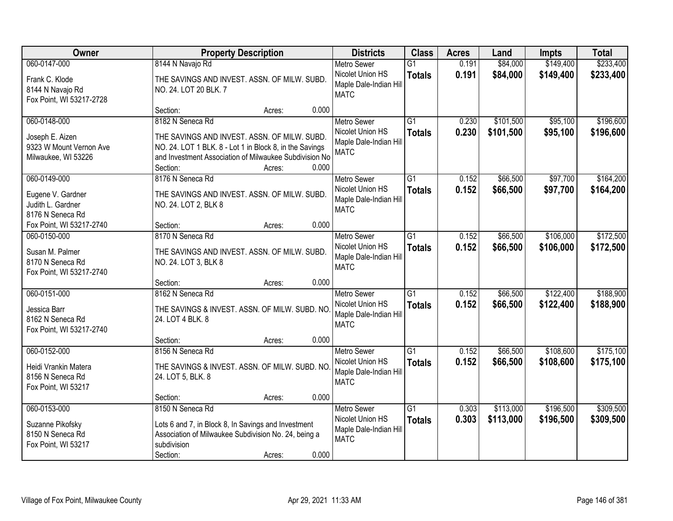| Owner                                                                             | <b>Property Description</b>                                                                                                                                                                                          | <b>Districts</b>                                                                | <b>Class</b>                     | <b>Acres</b>   | Land                   | <b>Impts</b>           | <b>Total</b>           |
|-----------------------------------------------------------------------------------|----------------------------------------------------------------------------------------------------------------------------------------------------------------------------------------------------------------------|---------------------------------------------------------------------------------|----------------------------------|----------------|------------------------|------------------------|------------------------|
| 060-0147-000                                                                      | 8144 N Navajo Rd                                                                                                                                                                                                     | <b>Metro Sewer</b>                                                              | $\overline{G1}$                  | 0.191          | \$84,000               | \$149,400              | \$233,400              |
| Frank C. Klode<br>8144 N Navajo Rd<br>Fox Point, WI 53217-2728                    | THE SAVINGS AND INVEST. ASSN. OF MILW. SUBD.<br>NO. 24. LOT 20 BLK. 7                                                                                                                                                | Nicolet Union HS<br>Maple Dale-Indian Hill<br><b>MATC</b>                       | <b>Totals</b>                    | 0.191          | \$84,000               | \$149,400              | \$233,400              |
|                                                                                   | 0.000<br>Section:<br>Acres:                                                                                                                                                                                          |                                                                                 |                                  |                |                        |                        |                        |
| 060-0148-000<br>Joseph E. Aizen<br>9323 W Mount Vernon Ave<br>Milwaukee, WI 53226 | 8182 N Seneca Rd<br>THE SAVINGS AND INVEST. ASSN. OF MILW. SUBD.<br>NO. 24. LOT 1 BLK. 8 - Lot 1 in Block 8, in the Savings<br>and Investment Association of Milwaukee Subdivision No<br>0.000<br>Section:<br>Acres: | <b>Metro Sewer</b><br>Nicolet Union HS<br>Maple Dale-Indian Hill<br><b>MATC</b> | $\overline{G1}$<br><b>Totals</b> | 0.230<br>0.230 | \$101,500<br>\$101,500 | \$95,100<br>\$95,100   | \$196,600<br>\$196,600 |
| 060-0149-000                                                                      | 8176 N Seneca Rd                                                                                                                                                                                                     | <b>Metro Sewer</b>                                                              | G1                               | 0.152          | \$66,500               | \$97,700               | \$164,200              |
| Eugene V. Gardner<br>Judith L. Gardner<br>8176 N Seneca Rd                        | THE SAVINGS AND INVEST. ASSN. OF MILW. SUBD.<br>NO. 24. LOT 2, BLK 8                                                                                                                                                 | Nicolet Union HS<br>Maple Dale-Indian Hill<br><b>MATC</b>                       | <b>Totals</b>                    | 0.152          | \$66,500               | \$97,700               | \$164,200              |
| Fox Point, WI 53217-2740                                                          | 0.000<br>Section:<br>Acres:                                                                                                                                                                                          |                                                                                 |                                  |                |                        |                        |                        |
| 060-0150-000                                                                      | 8170 N Seneca Rd                                                                                                                                                                                                     | <b>Metro Sewer</b>                                                              | G1                               | 0.152          | \$66,500               | \$106,000              | \$172,500              |
| Susan M. Palmer<br>8170 N Seneca Rd<br>Fox Point, WI 53217-2740                   | THE SAVINGS AND INVEST. ASSN. OF MILW. SUBD.<br>NO. 24. LOT 3, BLK 8                                                                                                                                                 | Nicolet Union HS<br>Maple Dale-Indian Hill<br><b>MATC</b>                       | <b>Totals</b>                    | 0.152          | \$66,500               | \$106,000              | \$172,500              |
|                                                                                   | 0.000<br>Section:<br>Acres:                                                                                                                                                                                          |                                                                                 |                                  |                |                        |                        |                        |
| 060-0151-000<br>Jessica Barr<br>8162 N Seneca Rd<br>Fox Point, WI 53217-2740      | 8162 N Seneca Rd<br>THE SAVINGS & INVEST. ASSN. OF MILW. SUBD. NO<br>24. LOT 4 BLK. 8                                                                                                                                | <b>Metro Sewer</b><br>Nicolet Union HS<br>Maple Dale-Indian Hill<br><b>MATC</b> | $\overline{G1}$<br><b>Totals</b> | 0.152<br>0.152 | \$66,500<br>\$66,500   | \$122,400<br>\$122,400 | \$188,900<br>\$188,900 |
|                                                                                   | 0.000<br>Section:<br>Acres:                                                                                                                                                                                          |                                                                                 |                                  |                |                        |                        |                        |
| 060-0152-000<br>Heidi Vrankin Matera<br>8156 N Seneca Rd<br>Fox Point, WI 53217   | 8156 N Seneca Rd<br>THE SAVINGS & INVEST. ASSN. OF MILW. SUBD. NO<br>24. LOT 5, BLK. 8                                                                                                                               | <b>Metro Sewer</b><br>Nicolet Union HS<br>Maple Dale-Indian Hill<br><b>MATC</b> | $\overline{G1}$<br><b>Totals</b> | 0.152<br>0.152 | \$66,500<br>\$66,500   | \$108,600<br>\$108,600 | \$175,100<br>\$175,100 |
|                                                                                   | 0.000<br>Section:<br>Acres:                                                                                                                                                                                          |                                                                                 |                                  |                |                        |                        |                        |
| 060-0153-000<br>Suzanne Pikofsky<br>8150 N Seneca Rd<br>Fox Point, WI 53217       | 8150 N Seneca Rd<br>Lots 6 and 7, in Block 8, In Savings and Investment<br>Association of Milwaukee Subdivision No. 24, being a<br>subdivision<br>0.000<br>Section:<br>Acres:                                        | <b>Metro Sewer</b><br>Nicolet Union HS<br>Maple Dale-Indian Hill<br><b>MATC</b> | $\overline{G1}$<br><b>Totals</b> | 0.303<br>0.303 | \$113,000<br>\$113,000 | \$196,500<br>\$196,500 | \$309,500<br>\$309,500 |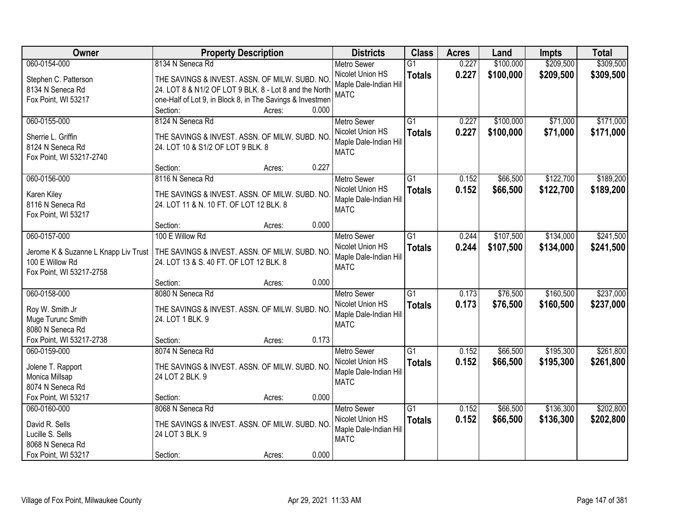| Owner                                   | <b>Property Description</b>                                                        |                 | <b>Districts</b>                      | <b>Class</b>    | <b>Acres</b> | Land      | <b>Impts</b> | <b>Total</b> |
|-----------------------------------------|------------------------------------------------------------------------------------|-----------------|---------------------------------------|-----------------|--------------|-----------|--------------|--------------|
| 060-0154-000                            | 8134 N Seneca Rd                                                                   |                 | <b>Metro Sewer</b>                    | $\overline{G1}$ | 0.227        | \$100,000 | \$209,500    | \$309,500    |
| Stephen C. Patterson                    | THE SAVINGS & INVEST. ASSN. OF MILW. SUBD. NO                                      |                 | Nicolet Union HS                      | <b>Totals</b>   | 0.227        | \$100,000 | \$209,500    | \$309,500    |
| 8134 N Seneca Rd                        | 24. LOT 8 & N1/2 OF LOT 9 BLK. 8 - Lot 8 and the North                             |                 | Maple Dale-Indian Hill                |                 |              |           |              |              |
| Fox Point, WI 53217                     | one-Half of Lot 9, in Block 8, in The Savings & Investmen                          |                 | <b>MATC</b>                           |                 |              |           |              |              |
|                                         | Section:                                                                           | 0.000<br>Acres: |                                       |                 |              |           |              |              |
| 060-0155-000                            | 8124 N Seneca Rd                                                                   |                 | <b>Metro Sewer</b>                    | $\overline{G1}$ | 0.227        | \$100,000 | \$71,000     | \$171,000    |
|                                         |                                                                                    |                 | Nicolet Union HS                      | <b>Totals</b>   | 0.227        | \$100,000 | \$71,000     | \$171,000    |
| Sherrie L. Griffin<br>8124 N Seneca Rd  | THE SAVINGS & INVEST. ASSN. OF MILW. SUBD. NO<br>24. LOT 10 & S1/2 OF LOT 9 BLK. 8 |                 | Maple Dale-Indian Hill                |                 |              |           |              |              |
| Fox Point, WI 53217-2740                |                                                                                    |                 | <b>MATC</b>                           |                 |              |           |              |              |
|                                         | Section:                                                                           | 0.227<br>Acres: |                                       |                 |              |           |              |              |
| 060-0156-000                            | 8116 N Seneca Rd                                                                   |                 | Metro Sewer                           | $\overline{G1}$ | 0.152        | \$66,500  | \$122,700    | \$189,200    |
|                                         |                                                                                    |                 | Nicolet Union HS                      | <b>Totals</b>   | 0.152        | \$66,500  | \$122,700    | \$189,200    |
| Karen Kiley                             | THE SAVINGS & INVEST. ASSN. OF MILW. SUBD. NO                                      |                 | Maple Dale-Indian Hill                |                 |              |           |              |              |
| 8116 N Seneca Rd<br>Fox Point, WI 53217 | 24. LOT 11 & N. 10 FT. OF LOT 12 BLK. 8                                            |                 | <b>MATC</b>                           |                 |              |           |              |              |
|                                         | Section:                                                                           | 0.000<br>Acres: |                                       |                 |              |           |              |              |
| 060-0157-000                            | 100 E Willow Rd                                                                    |                 | <b>Metro Sewer</b>                    | G1              | 0.244        | \$107,500 | \$134,000    | \$241,500    |
|                                         |                                                                                    |                 | Nicolet Union HS                      | <b>Totals</b>   | 0.244        | \$107,500 | \$134,000    | \$241,500    |
| Jerome K & Suzanne L Knapp Liv Trust    | THE SAVINGS & INVEST. ASSN. OF MILW. SUBD. NO                                      |                 | Maple Dale-Indian Hill                |                 |              |           |              |              |
| 100 E Willow Rd                         | 24. LOT 13 & S. 40 FT. OF LOT 12 BLK. 8                                            |                 | <b>MATC</b>                           |                 |              |           |              |              |
| Fox Point, WI 53217-2758                |                                                                                    |                 |                                       |                 |              |           |              |              |
|                                         | Section:                                                                           | 0.000<br>Acres: |                                       |                 |              |           |              |              |
| 060-0158-000                            | 8080 N Seneca Rd                                                                   |                 | <b>Metro Sewer</b>                    | $\overline{G1}$ | 0.173        | \$76,500  | \$160,500    | \$237,000    |
| Roy W. Smith Jr                         | THE SAVINGS & INVEST. ASSN. OF MILW. SUBD. NO                                      |                 | Nicolet Union HS                      | <b>Totals</b>   | 0.173        | \$76,500  | \$160,500    | \$237,000    |
| Muge Turunc Smith                       | 24. LOT 1 BLK. 9                                                                   |                 | Maple Dale-Indian Hill<br><b>MATC</b> |                 |              |           |              |              |
| 8080 N Seneca Rd                        |                                                                                    |                 |                                       |                 |              |           |              |              |
| Fox Point, WI 53217-2738                | Section:                                                                           | 0.173<br>Acres: |                                       |                 |              |           |              |              |
| 060-0159-000                            | 8074 N Seneca Rd                                                                   |                 | Metro Sewer                           | G1              | 0.152        | \$66,500  | \$195,300    | \$261,800    |
| Jolene T. Rapport                       | THE SAVINGS & INVEST. ASSN. OF MILW. SUBD. NO                                      |                 | Nicolet Union HS                      | <b>Totals</b>   | 0.152        | \$66,500  | \$195,300    | \$261,800    |
| Monica Millsap                          | 24 LOT 2 BLK. 9                                                                    |                 | Maple Dale-Indian Hill                |                 |              |           |              |              |
| 8074 N Seneca Rd                        |                                                                                    |                 | <b>MATC</b>                           |                 |              |           |              |              |
| Fox Point, WI 53217                     | Section:                                                                           | 0.000<br>Acres: |                                       |                 |              |           |              |              |
| 060-0160-000                            | 8068 N Seneca Rd                                                                   |                 | <b>Metro Sewer</b>                    | $\overline{G1}$ | 0.152        | \$66,500  | \$136,300    | \$202,800    |
| David R. Sells                          | THE SAVINGS & INVEST. ASSN. OF MILW. SUBD. NO                                      |                 | Nicolet Union HS                      | <b>Totals</b>   | 0.152        | \$66,500  | \$136,300    | \$202,800    |
| Lucille S. Sells                        | 24 LOT 3 BLK. 9                                                                    |                 | Maple Dale-Indian Hill                |                 |              |           |              |              |
| 8068 N Seneca Rd                        |                                                                                    |                 | <b>MATC</b>                           |                 |              |           |              |              |
| Fox Point, WI 53217                     | Section:                                                                           | 0.000<br>Acres: |                                       |                 |              |           |              |              |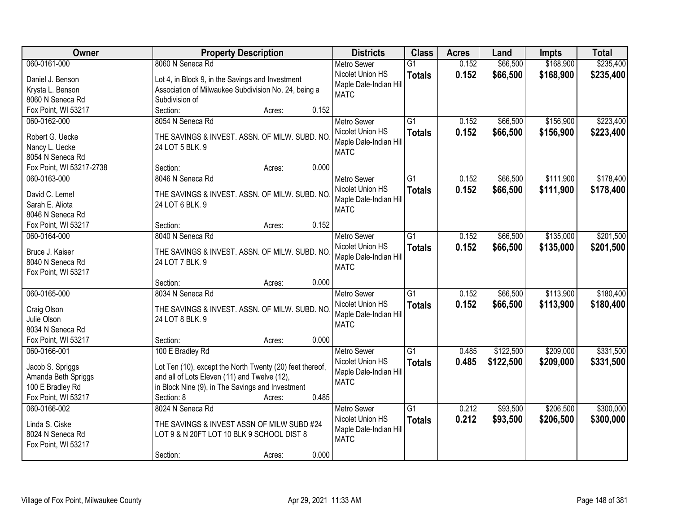| Owner                              | <b>Property Description</b>                              | <b>Districts</b>       | <b>Class</b>    | <b>Acres</b> | Land      | <b>Impts</b> | <b>Total</b> |
|------------------------------------|----------------------------------------------------------|------------------------|-----------------|--------------|-----------|--------------|--------------|
| 060-0161-000                       | 8060 N Seneca Rd                                         | <b>Metro Sewer</b>     | $\overline{G1}$ | 0.152        | \$66,500  | \$168,900    | \$235,400    |
| Daniel J. Benson                   | Lot 4, in Block 9, in the Savings and Investment         | Nicolet Union HS       | <b>Totals</b>   | 0.152        | \$66,500  | \$168,900    | \$235,400    |
| Krysta L. Benson                   | Association of Milwaukee Subdivision No. 24, being a     | Maple Dale-Indian Hill |                 |              |           |              |              |
| 8060 N Seneca Rd                   | Subdivision of                                           | <b>MATC</b>            |                 |              |           |              |              |
| Fox Point, WI 53217                | Section:<br>0.152<br>Acres:                              |                        |                 |              |           |              |              |
| 060-0162-000                       | 8054 N Seneca Rd                                         | <b>Metro Sewer</b>     | $\overline{G1}$ | 0.152        | \$66,500  | \$156,900    | \$223,400    |
|                                    |                                                          | Nicolet Union HS       | <b>Totals</b>   | 0.152        | \$66,500  | \$156,900    | \$223,400    |
| Robert G. Uecke                    | THE SAVINGS & INVEST. ASSN. OF MILW. SUBD. NO            | Maple Dale-Indian Hill |                 |              |           |              |              |
| Nancy L. Uecke<br>8054 N Seneca Rd | 24 LOT 5 BLK. 9                                          | <b>MATC</b>            |                 |              |           |              |              |
| Fox Point, WI 53217-2738           | 0.000<br>Section:<br>Acres:                              |                        |                 |              |           |              |              |
| 060-0163-000                       | 8046 N Seneca Rd                                         | <b>Metro Sewer</b>     | $\overline{G1}$ | 0.152        | \$66,500  | \$111,900    | \$178,400    |
|                                    |                                                          | Nicolet Union HS       |                 |              |           |              |              |
| David C. Lemel                     | THE SAVINGS & INVEST. ASSN. OF MILW. SUBD. NO            | Maple Dale-Indian Hill | <b>Totals</b>   | 0.152        | \$66,500  | \$111,900    | \$178,400    |
| Sarah E. Aliota                    | 24 LOT 6 BLK. 9                                          | <b>MATC</b>            |                 |              |           |              |              |
| 8046 N Seneca Rd                   |                                                          |                        |                 |              |           |              |              |
| Fox Point, WI 53217                | 0.152<br>Section:<br>Acres:                              |                        |                 |              |           |              |              |
| 060-0164-000                       | 8040 N Seneca Rd                                         | <b>Metro Sewer</b>     | $\overline{G1}$ | 0.152        | \$66,500  | \$135,000    | \$201,500    |
| Bruce J. Kaiser                    | THE SAVINGS & INVEST. ASSN. OF MILW. SUBD. NO.           | Nicolet Union HS       | <b>Totals</b>   | 0.152        | \$66,500  | \$135,000    | \$201,500    |
| 8040 N Seneca Rd                   | 24 LOT 7 BLK. 9                                          | Maple Dale-Indian Hill |                 |              |           |              |              |
| Fox Point, WI 53217                |                                                          | <b>MATC</b>            |                 |              |           |              |              |
|                                    | 0.000<br>Section:<br>Acres:                              |                        |                 |              |           |              |              |
| 060-0165-000                       | 8034 N Seneca Rd                                         | Metro Sewer            | $\overline{G1}$ | 0.152        | \$66,500  | \$113,900    | \$180,400    |
|                                    |                                                          | Nicolet Union HS       | <b>Totals</b>   | 0.152        | \$66,500  | \$113,900    | \$180,400    |
| Craig Olson                        | THE SAVINGS & INVEST. ASSN. OF MILW. SUBD. NO            | Maple Dale-Indian Hill |                 |              |           |              |              |
| Julie Olson                        | 24 LOT 8 BLK. 9                                          | <b>MATC</b>            |                 |              |           |              |              |
| 8034 N Seneca Rd                   |                                                          |                        |                 |              |           |              |              |
| Fox Point, WI 53217                | Section:<br>0.000<br>Acres:                              |                        |                 |              |           |              |              |
| 060-0166-001                       | 100 E Bradley Rd                                         | <b>Metro Sewer</b>     | $\overline{G1}$ | 0.485        | \$122,500 | \$209,000    | \$331,500    |
| Jacob S. Spriggs                   | Lot Ten (10), except the North Twenty (20) feet thereof, | Nicolet Union HS       | <b>Totals</b>   | 0.485        | \$122,500 | \$209,000    | \$331,500    |
| Amanda Beth Spriggs                | and all of Lots Eleven (11) and Twelve (12),             | Maple Dale-Indian Hill |                 |              |           |              |              |
| 100 E Bradley Rd                   | in Block Nine (9), in The Savings and Investment         | <b>MATC</b>            |                 |              |           |              |              |
| Fox Point, WI 53217                | 0.485<br>Section: 8<br>Acres:                            |                        |                 |              |           |              |              |
| 060-0166-002                       | 8024 N Seneca Rd                                         | <b>Metro Sewer</b>     | $\overline{G1}$ | 0.212        | \$93,500  | \$206,500    | \$300,000    |
|                                    |                                                          | Nicolet Union HS       | <b>Totals</b>   | 0.212        | \$93,500  | \$206,500    | \$300,000    |
| Linda S. Ciske                     | THE SAVINGS & INVEST ASSN OF MILW SUBD #24               | Maple Dale-Indian Hill |                 |              |           |              |              |
| 8024 N Seneca Rd                   | LOT 9 & N 20FT LOT 10 BLK 9 SCHOOL DIST 8                | <b>MATC</b>            |                 |              |           |              |              |
| Fox Point, WI 53217                |                                                          |                        |                 |              |           |              |              |
|                                    | 0.000<br>Section:<br>Acres:                              |                        |                 |              |           |              |              |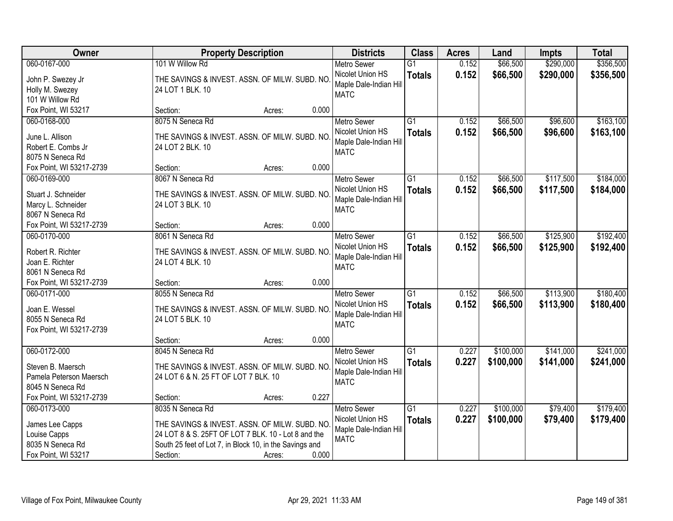| Owner                    | <b>Property Description</b>                             |                 | <b>Districts</b>       | <b>Class</b>    | <b>Acres</b> | Land      | <b>Impts</b> | <b>Total</b> |
|--------------------------|---------------------------------------------------------|-----------------|------------------------|-----------------|--------------|-----------|--------------|--------------|
| 060-0167-000             | 101 W Willow Rd                                         |                 | <b>Metro Sewer</b>     | $\overline{G1}$ | 0.152        | \$66,500  | \$290,000    | \$356,500    |
| John P. Swezey Jr        | THE SAVINGS & INVEST. ASSN. OF MILW. SUBD. NO           |                 | Nicolet Union HS       | <b>Totals</b>   | 0.152        | \$66,500  | \$290,000    | \$356,500    |
| Holly M. Swezey          | 24 LOT 1 BLK. 10                                        |                 | Maple Dale-Indian Hill |                 |              |           |              |              |
| 101 W Willow Rd          |                                                         |                 | <b>MATC</b>            |                 |              |           |              |              |
| Fox Point, WI 53217      | Section:                                                | 0.000<br>Acres: |                        |                 |              |           |              |              |
| 060-0168-000             | 8075 N Seneca Rd                                        |                 | <b>Metro Sewer</b>     | $\overline{G1}$ | 0.152        | \$66,500  | \$96,600     | \$163,100    |
| June L. Allison          | THE SAVINGS & INVEST. ASSN. OF MILW. SUBD. NO           |                 | Nicolet Union HS       | <b>Totals</b>   | 0.152        | \$66,500  | \$96,600     | \$163,100    |
| Robert E. Combs Jr       | 24 LOT 2 BLK. 10                                        |                 | Maple Dale-Indian Hill |                 |              |           |              |              |
| 8075 N Seneca Rd         |                                                         |                 | <b>MATC</b>            |                 |              |           |              |              |
| Fox Point, WI 53217-2739 | Section:                                                | 0.000<br>Acres: |                        |                 |              |           |              |              |
| 060-0169-000             | 8067 N Seneca Rd                                        |                 | Metro Sewer            | $\overline{G1}$ | 0.152        | \$66,500  | \$117,500    | \$184,000    |
|                          |                                                         |                 | Nicolet Union HS       | <b>Totals</b>   | 0.152        | \$66,500  | \$117,500    | \$184,000    |
| Stuart J. Schneider      | THE SAVINGS & INVEST. ASSN. OF MILW. SUBD. NO           |                 | Maple Dale-Indian Hill |                 |              |           |              |              |
| Marcy L. Schneider       | 24 LOT 3 BLK. 10                                        |                 | <b>MATC</b>            |                 |              |           |              |              |
| 8067 N Seneca Rd         |                                                         |                 |                        |                 |              |           |              |              |
| Fox Point, WI 53217-2739 | Section:                                                | 0.000<br>Acres: |                        |                 |              |           |              |              |
| 060-0170-000             | 8061 N Seneca Rd                                        |                 | <b>Metro Sewer</b>     | $\overline{G1}$ | 0.152        | \$66,500  | \$125,900    | \$192,400    |
| Robert R. Richter        | THE SAVINGS & INVEST. ASSN. OF MILW. SUBD. NO           |                 | Nicolet Union HS       | <b>Totals</b>   | 0.152        | \$66,500  | \$125,900    | \$192,400    |
| Joan E. Richter          | 24 LOT 4 BLK. 10                                        |                 | Maple Dale-Indian Hill |                 |              |           |              |              |
| 8061 N Seneca Rd         |                                                         |                 | <b>MATC</b>            |                 |              |           |              |              |
| Fox Point, WI 53217-2739 | Section:                                                | 0.000<br>Acres: |                        |                 |              |           |              |              |
| 060-0171-000             | 8055 N Seneca Rd                                        |                 | <b>Metro Sewer</b>     | $\overline{G1}$ | 0.152        | \$66,500  | \$113,900    | \$180,400    |
| Joan E. Wessel           |                                                         |                 | Nicolet Union HS       | <b>Totals</b>   | 0.152        | \$66,500  | \$113,900    | \$180,400    |
| 8055 N Seneca Rd         | THE SAVINGS & INVEST. ASSN. OF MILW. SUBD. NO           |                 | Maple Dale-Indian Hill |                 |              |           |              |              |
| Fox Point, WI 53217-2739 | 24 LOT 5 BLK. 10                                        |                 | <b>MATC</b>            |                 |              |           |              |              |
|                          | Section:                                                | 0.000<br>Acres: |                        |                 |              |           |              |              |
| 060-0172-000             | 8045 N Seneca Rd                                        |                 | Metro Sewer            | G1              | 0.227        | \$100,000 | \$141,000    | \$241,000    |
|                          |                                                         |                 | Nicolet Union HS       | <b>Totals</b>   | 0.227        | \$100,000 | \$141,000    | \$241,000    |
| Steven B. Maersch        | THE SAVINGS & INVEST. ASSN. OF MILW. SUBD. NO           |                 | Maple Dale-Indian Hill |                 |              |           |              |              |
| Pamela Peterson Maersch  | 24 LOT 6 & N. 25 FT OF LOT 7 BLK. 10                    |                 | <b>MATC</b>            |                 |              |           |              |              |
| 8045 N Seneca Rd         |                                                         |                 |                        |                 |              |           |              |              |
| Fox Point, WI 53217-2739 | Section:                                                | 0.227<br>Acres: |                        |                 |              |           |              |              |
| 060-0173-000             | 8035 N Seneca Rd                                        |                 | <b>Metro Sewer</b>     | $\overline{G1}$ | 0.227        | \$100,000 | \$79,400     | \$179,400    |
| James Lee Capps          | THE SAVINGS & INVEST. ASSN. OF MILW. SUBD. NO           |                 | Nicolet Union HS       | <b>Totals</b>   | 0.227        | \$100,000 | \$79,400     | \$179,400    |
| Louise Capps             | 24 LOT 8 & S. 25FT OF LOT 7 BLK. 10 - Lot 8 and the     |                 | Maple Dale-Indian Hill |                 |              |           |              |              |
| 8035 N Seneca Rd         | South 25 feet of Lot 7, in Block 10, in the Savings and |                 | <b>MATC</b>            |                 |              |           |              |              |
| Fox Point, WI 53217      | Section:                                                | 0.000<br>Acres: |                        |                 |              |           |              |              |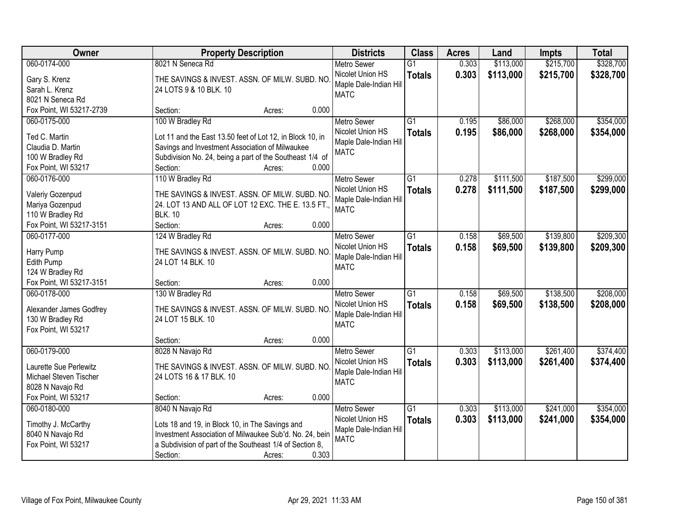| Owner                    | <b>Property Description</b>                               | <b>Districts</b>       | <b>Class</b>    | <b>Acres</b> | Land      | <b>Impts</b> | <b>Total</b> |
|--------------------------|-----------------------------------------------------------|------------------------|-----------------|--------------|-----------|--------------|--------------|
| 060-0174-000             | 8021 N Seneca Rd                                          | <b>Metro Sewer</b>     | $\overline{G1}$ | 0.303        | \$113,000 | \$215,700    | \$328,700    |
| Gary S. Krenz            | THE SAVINGS & INVEST. ASSN. OF MILW. SUBD. NO             | Nicolet Union HS       | <b>Totals</b>   | 0.303        | \$113,000 | \$215,700    | \$328,700    |
| Sarah L. Krenz           | 24 LOTS 9 & 10 BLK. 10                                    | Maple Dale-Indian Hill |                 |              |           |              |              |
| 8021 N Seneca Rd         |                                                           | <b>MATC</b>            |                 |              |           |              |              |
| Fox Point, WI 53217-2739 | 0.000<br>Section:<br>Acres:                               |                        |                 |              |           |              |              |
| 060-0175-000             | 100 W Bradley Rd                                          | <b>Metro Sewer</b>     | $\overline{G1}$ | 0.195        | \$86,000  | \$268,000    | \$354,000    |
|                          |                                                           | Nicolet Union HS       | <b>Totals</b>   | 0.195        | \$86,000  | \$268,000    | \$354,000    |
| Ted C. Martin            | Lot 11 and the East 13.50 feet of Lot 12, in Block 10, in | Maple Dale-Indian Hill |                 |              |           |              |              |
| Claudia D. Martin        | Savings and Investment Association of Milwaukee           | <b>MATC</b>            |                 |              |           |              |              |
| 100 W Bradley Rd         | Subdivision No. 24, being a part of the Southeast 1/4 of  |                        |                 |              |           |              |              |
| Fox Point, WI 53217      | 0.000<br>Section:<br>Acres:                               |                        |                 |              |           |              |              |
| 060-0176-000             | 110 W Bradley Rd                                          | Metro Sewer            | $\overline{G1}$ | 0.278        | \$111,500 | \$187,500    | \$299,000    |
| Valeriy Gozenpud         | THE SAVINGS & INVEST. ASSN. OF MILW. SUBD. NO             | Nicolet Union HS       | <b>Totals</b>   | 0.278        | \$111,500 | \$187,500    | \$299,000    |
| Mariya Gozenpud          | 24. LOT 13 AND ALL OF LOT 12 EXC. THE E. 13.5 FT.,        | Maple Dale-Indian Hill |                 |              |           |              |              |
| 110 W Bradley Rd         | <b>BLK. 10</b>                                            | <b>MATC</b>            |                 |              |           |              |              |
| Fox Point, WI 53217-3151 | 0.000<br>Section:<br>Acres:                               |                        |                 |              |           |              |              |
| 060-0177-000             | 124 W Bradley Rd                                          | <b>Metro Sewer</b>     | $\overline{G1}$ | 0.158        | \$69,500  | \$139,800    | \$209,300    |
|                          |                                                           | Nicolet Union HS       | <b>Totals</b>   | 0.158        | \$69,500  | \$139,800    | \$209,300    |
| Harry Pump               | THE SAVINGS & INVEST. ASSN. OF MILW. SUBD. NO             | Maple Dale-Indian Hill |                 |              |           |              |              |
| Edith Pump               | 24 LOT 14 BLK. 10                                         | <b>MATC</b>            |                 |              |           |              |              |
| 124 W Bradley Rd         |                                                           |                        |                 |              |           |              |              |
| Fox Point, WI 53217-3151 | 0.000<br>Section:<br>Acres:                               |                        |                 |              |           |              |              |
| 060-0178-000             | 130 W Bradley Rd                                          | Metro Sewer            | $\overline{G1}$ | 0.158        | \$69,500  | \$138,500    | \$208,000    |
| Alexander James Godfrey  | THE SAVINGS & INVEST. ASSN. OF MILW. SUBD. NO             | Nicolet Union HS       | <b>Totals</b>   | 0.158        | \$69,500  | \$138,500    | \$208,000    |
| 130 W Bradley Rd         | 24 LOT 15 BLK. 10                                         | Maple Dale-Indian Hill |                 |              |           |              |              |
| Fox Point, WI 53217      |                                                           | <b>MATC</b>            |                 |              |           |              |              |
|                          | 0.000<br>Section:<br>Acres:                               |                        |                 |              |           |              |              |
| 060-0179-000             | 8028 N Navajo Rd                                          | Metro Sewer            | $\overline{G1}$ | 0.303        | \$113,000 | \$261,400    | \$374,400    |
|                          |                                                           | Nicolet Union HS       |                 | 0.303        |           |              |              |
| Laurette Sue Perlewitz   | THE SAVINGS & INVEST. ASSN. OF MILW. SUBD. NO             | Maple Dale-Indian Hill | <b>Totals</b>   |              | \$113,000 | \$261,400    | \$374,400    |
| Michael Steven Tischer   | 24 LOTS 16 & 17 BLK. 10                                   | <b>MATC</b>            |                 |              |           |              |              |
| 8028 N Navajo Rd         |                                                           |                        |                 |              |           |              |              |
| Fox Point, WI 53217      | 0.000<br>Section:<br>Acres:                               |                        |                 |              |           |              |              |
| 060-0180-000             | 8040 N Navajo Rd                                          | <b>Metro Sewer</b>     | $\overline{G1}$ | 0.303        | \$113,000 | \$241,000    | \$354,000    |
| Timothy J. McCarthy      | Lots 18 and 19, in Block 10, in The Savings and           | Nicolet Union HS       | <b>Totals</b>   | 0.303        | \$113,000 | \$241,000    | \$354,000    |
| 8040 N Navajo Rd         | Investment Association of Milwaukee Sub'd. No. 24, bein   | Maple Dale-Indian Hill |                 |              |           |              |              |
|                          |                                                           | <b>MATC</b>            |                 |              |           |              |              |
| Fox Point, WI 53217      | a Subdivision of part of the Southeast 1/4 of Section 8,  |                        |                 |              |           |              |              |
|                          | 0.303<br>Section:<br>Acres:                               |                        |                 |              |           |              |              |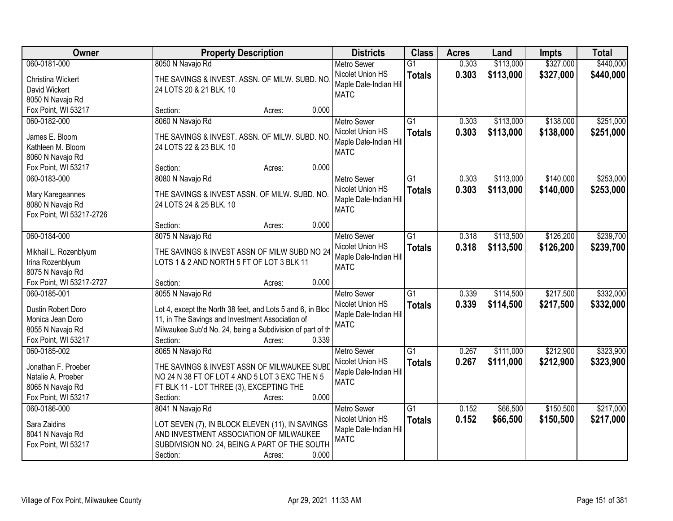| Owner                                     | <b>Property Description</b>                                                                                     | <b>Districts</b>       | <b>Class</b>    | <b>Acres</b> | Land      | <b>Impts</b> | <b>Total</b> |
|-------------------------------------------|-----------------------------------------------------------------------------------------------------------------|------------------------|-----------------|--------------|-----------|--------------|--------------|
| 060-0181-000                              | 8050 N Navajo Rd                                                                                                | <b>Metro Sewer</b>     | $\overline{G1}$ | 0.303        | \$113,000 | \$327,000    | \$440,000    |
| Christina Wickert                         | THE SAVINGS & INVEST. ASSN. OF MILW. SUBD. NO                                                                   | Nicolet Union HS       | <b>Totals</b>   | 0.303        | \$113,000 | \$327,000    | \$440,000    |
| David Wickert                             | 24 LOTS 20 & 21 BLK. 10                                                                                         | Maple Dale-Indian Hill |                 |              |           |              |              |
| 8050 N Navajo Rd                          |                                                                                                                 | <b>MATC</b>            |                 |              |           |              |              |
| Fox Point, WI 53217                       | 0.000<br>Section:<br>Acres:                                                                                     |                        |                 |              |           |              |              |
| 060-0182-000                              | 8060 N Navajo Rd                                                                                                | <b>Metro Sewer</b>     | $\overline{G1}$ | 0.303        | \$113,000 | \$138,000    | \$251,000    |
| James E. Bloom                            | THE SAVINGS & INVEST. ASSN. OF MILW. SUBD. NO                                                                   | Nicolet Union HS       | <b>Totals</b>   | 0.303        | \$113,000 | \$138,000    | \$251,000    |
| Kathleen M. Bloom                         | 24 LOTS 22 & 23 BLK. 10                                                                                         | Maple Dale-Indian Hill |                 |              |           |              |              |
| 8060 N Navajo Rd                          |                                                                                                                 | <b>MATC</b>            |                 |              |           |              |              |
| Fox Point, WI 53217                       | 0.000<br>Section:<br>Acres:                                                                                     |                        |                 |              |           |              |              |
| 060-0183-000                              | 8080 N Navajo Rd                                                                                                | <b>Metro Sewer</b>     | G1              | 0.303        | \$113,000 | \$140,000    | \$253,000    |
| Mary Karegeannes                          | THE SAVINGS & INVEST ASSN. OF MILW. SUBD. NO.                                                                   | Nicolet Union HS       | <b>Totals</b>   | 0.303        | \$113,000 | \$140,000    | \$253,000    |
| 8080 N Navajo Rd                          | 24 LOTS 24 & 25 BLK. 10                                                                                         | Maple Dale-Indian Hill |                 |              |           |              |              |
| Fox Point, WI 53217-2726                  |                                                                                                                 | <b>MATC</b>            |                 |              |           |              |              |
|                                           | 0.000<br>Section:<br>Acres:                                                                                     |                        |                 |              |           |              |              |
| 060-0184-000                              | 8075 N Navajo Rd                                                                                                | <b>Metro Sewer</b>     | G1              | 0.318        | \$113,500 | \$126,200    | \$239,700    |
| Mikhail L. Rozenblyum                     | THE SAVINGS & INVEST ASSN OF MILW SUBD NO 24                                                                    | Nicolet Union HS       | <b>Totals</b>   | 0.318        | \$113,500 | \$126,200    | \$239,700    |
| Irina Rozenblyum                          | LOTS 1 & 2 AND NORTH 5 FT OF LOT 3 BLK 11                                                                       | Maple Dale-Indian Hill |                 |              |           |              |              |
| 8075 N Navajo Rd                          |                                                                                                                 | <b>MATC</b>            |                 |              |           |              |              |
| Fox Point, WI 53217-2727                  | 0.000<br>Section:<br>Acres:                                                                                     |                        |                 |              |           |              |              |
| 060-0185-001                              | 8055 N Navajo Rd                                                                                                | <b>Metro Sewer</b>     | $\overline{G1}$ | 0.339        | \$114,500 | \$217,500    | \$332,000    |
|                                           |                                                                                                                 | Nicolet Union HS       | <b>Totals</b>   | 0.339        | \$114,500 | \$217,500    | \$332,000    |
| Dustin Robert Doro<br>Monica Jean Doro    | Lot 4, except the North 38 feet, and Lots 5 and 6, in Block<br>11, in The Savings and Investment Association of | Maple Dale-Indian Hill |                 |              |           |              |              |
| 8055 N Navajo Rd                          | Milwaukee Sub'd No. 24, being a Subdivision of part of th                                                       | <b>MATC</b>            |                 |              |           |              |              |
| Fox Point, WI 53217                       | 0.339<br>Section:<br>Acres:                                                                                     |                        |                 |              |           |              |              |
| 060-0185-002                              | 8065 N Navajo Rd                                                                                                | <b>Metro Sewer</b>     | $\overline{G1}$ | 0.267        | \$111,000 | \$212,900    | \$323,900    |
|                                           |                                                                                                                 | Nicolet Union HS       | <b>Totals</b>   | 0.267        | \$111,000 | \$212,900    | \$323,900    |
| Jonathan F. Proeber<br>Natalie A. Proeber | THE SAVINGS & INVEST ASSN OF MILWAUKEE SUBD<br>NO 24 N 38 FT OF LOT 4 AND 5 LOT 3 EXC THE N 5                   | Maple Dale-Indian Hill |                 |              |           |              |              |
| 8065 N Navajo Rd                          | FT BLK 11 - LOT THREE (3), EXCEPTING THE                                                                        | <b>MATC</b>            |                 |              |           |              |              |
| Fox Point, WI 53217                       | 0.000<br>Section:<br>Acres:                                                                                     |                        |                 |              |           |              |              |
| 060-0186-000                              | 8041 N Navajo Rd                                                                                                | <b>Metro Sewer</b>     | $\overline{G1}$ | 0.152        | \$66,500  | \$150,500    | \$217,000    |
|                                           |                                                                                                                 | Nicolet Union HS       | <b>Totals</b>   | 0.152        | \$66,500  | \$150,500    | \$217,000    |
| Sara Zaidins                              | LOT SEVEN (7), IN BLOCK ELEVEN (11), IN SAVINGS                                                                 | Maple Dale-Indian Hill |                 |              |           |              |              |
| 8041 N Navajo Rd                          | AND INVESTMENT ASSOCIATION OF MILWAUKEE<br>SUBDIVISION NO. 24, BEING A PART OF THE SOUTH                        | <b>MATC</b>            |                 |              |           |              |              |
| Fox Point, WI 53217                       | 0.000<br>Section:<br>Acres:                                                                                     |                        |                 |              |           |              |              |
|                                           |                                                                                                                 |                        |                 |              |           |              |              |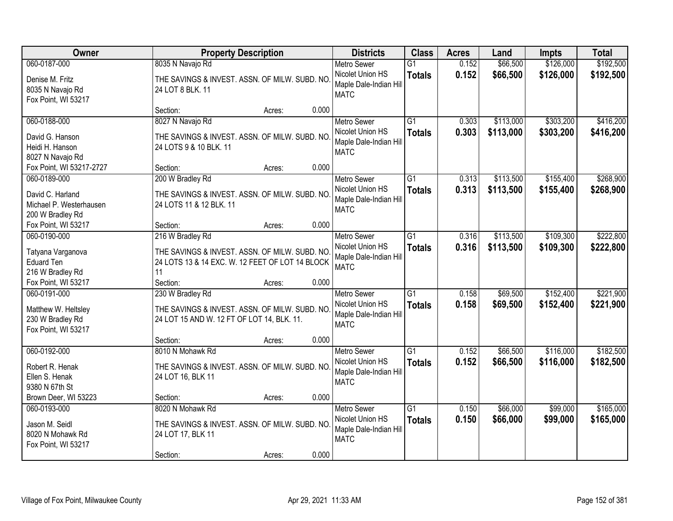| Owner                                  | <b>Property Description</b>                                                                      |                 | <b>Districts</b>                           | <b>Class</b>    | <b>Acres</b> | Land      | <b>Impts</b> | <b>Total</b> |
|----------------------------------------|--------------------------------------------------------------------------------------------------|-----------------|--------------------------------------------|-----------------|--------------|-----------|--------------|--------------|
| 060-0187-000                           | 8035 N Navajo Rd                                                                                 |                 | Metro Sewer                                | $\overline{G1}$ | 0.152        | \$66,500  | \$126,000    | \$192,500    |
| Denise M. Fritz                        | THE SAVINGS & INVEST. ASSN. OF MILW. SUBD. NO                                                    |                 | Nicolet Union HS                           | <b>Totals</b>   | 0.152        | \$66,500  | \$126,000    | \$192,500    |
| 8035 N Navajo Rd                       | 24 LOT 8 BLK. 11                                                                                 |                 | Maple Dale-Indian Hill                     |                 |              |           |              |              |
| Fox Point, WI 53217                    |                                                                                                  |                 | <b>MATC</b>                                |                 |              |           |              |              |
|                                        | Section:                                                                                         | 0.000<br>Acres: |                                            |                 |              |           |              |              |
| 060-0188-000                           | 8027 N Navajo Rd                                                                                 |                 | <b>Metro Sewer</b>                         | $\overline{G1}$ | 0.303        | \$113,000 | \$303,200    | \$416,200    |
| David G. Hanson                        | THE SAVINGS & INVEST. ASSN. OF MILW. SUBD. NO                                                    |                 | Nicolet Union HS                           | <b>Totals</b>   | 0.303        | \$113,000 | \$303,200    | \$416,200    |
| Heidi H. Hanson                        | 24 LOTS 9 & 10 BLK. 11                                                                           |                 | Maple Dale-Indian Hill                     |                 |              |           |              |              |
| 8027 N Navajo Rd                       |                                                                                                  |                 | <b>MATC</b>                                |                 |              |           |              |              |
| Fox Point, WI 53217-2727               | Section:                                                                                         | 0.000<br>Acres: |                                            |                 |              |           |              |              |
| 060-0189-000                           | 200 W Bradley Rd                                                                                 |                 | <b>Metro Sewer</b>                         | $\overline{G1}$ | 0.313        | \$113,500 | \$155,400    | \$268,900    |
| David C. Harland                       | THE SAVINGS & INVEST. ASSN. OF MILW. SUBD. NO                                                    |                 | Nicolet Union HS                           | <b>Totals</b>   | 0.313        | \$113,500 | \$155,400    | \$268,900    |
| Michael P. Westerhausen                | 24 LOTS 11 & 12 BLK. 11                                                                          |                 | Maple Dale-Indian Hill                     |                 |              |           |              |              |
| 200 W Bradley Rd                       |                                                                                                  |                 | <b>MATC</b>                                |                 |              |           |              |              |
| Fox Point, WI 53217                    | Section:                                                                                         | 0.000<br>Acres: |                                            |                 |              |           |              |              |
| 060-0190-000                           | 216 W Bradley Rd                                                                                 |                 | <b>Metro Sewer</b>                         | $\overline{G1}$ | 0.316        | \$113,500 | \$109,300    | \$222,800    |
|                                        |                                                                                                  |                 | Nicolet Union HS                           | <b>Totals</b>   | 0.316        | \$113,500 | \$109,300    | \$222,800    |
| Tatyana Varganova<br><b>Eduard Ten</b> | THE SAVINGS & INVEST. ASSN. OF MILW. SUBD. NO<br>24 LOTS 13 & 14 EXC. W. 12 FEET OF LOT 14 BLOCK |                 | Maple Dale-Indian Hill                     |                 |              |           |              |              |
| 216 W Bradley Rd                       | 11                                                                                               |                 | <b>MATC</b>                                |                 |              |           |              |              |
| Fox Point, WI 53217                    | Section:                                                                                         | 0.000<br>Acres: |                                            |                 |              |           |              |              |
| 060-0191-000                           | 230 W Bradley Rd                                                                                 |                 | <b>Metro Sewer</b>                         | $\overline{G1}$ | 0.158        | \$69,500  | \$152,400    | \$221,900    |
|                                        |                                                                                                  |                 | Nicolet Union HS                           | <b>Totals</b>   | 0.158        | \$69,500  | \$152,400    | \$221,900    |
| Matthew W. Heltsley                    | THE SAVINGS & INVEST. ASSN. OF MILW. SUBD. NO                                                    |                 | Maple Dale-Indian Hill                     |                 |              |           |              |              |
| 230 W Bradley Rd                       | 24 LOT 15 AND W. 12 FT OF LOT 14, BLK. 11.                                                       |                 | <b>MATC</b>                                |                 |              |           |              |              |
| Fox Point, WI 53217                    |                                                                                                  |                 |                                            |                 |              |           |              |              |
|                                        | Section:                                                                                         | 0.000<br>Acres: |                                            |                 |              |           |              |              |
| 060-0192-000                           | 8010 N Mohawk Rd                                                                                 |                 | Metro Sewer                                | $\overline{G1}$ | 0.152        | \$66,500  | \$116,000    | \$182,500    |
| Robert R. Henak                        | THE SAVINGS & INVEST. ASSN. OF MILW. SUBD. NO                                                    |                 | Nicolet Union HS<br>Maple Dale-Indian Hill | <b>Totals</b>   | 0.152        | \$66,500  | \$116,000    | \$182,500    |
| Ellen S. Henak                         | 24 LOT 16, BLK 11                                                                                |                 | <b>MATC</b>                                |                 |              |           |              |              |
| 9380 N 67th St                         |                                                                                                  |                 |                                            |                 |              |           |              |              |
| Brown Deer, WI 53223                   | Section:                                                                                         | 0.000<br>Acres: |                                            |                 |              |           |              |              |
| 060-0193-000                           | 8020 N Mohawk Rd                                                                                 |                 | <b>Metro Sewer</b>                         | $\overline{G1}$ | 0.150        | \$66,000  | \$99,000     | \$165,000    |
| Jason M. Seidl                         | THE SAVINGS & INVEST. ASSN. OF MILW. SUBD. NO.                                                   |                 | Nicolet Union HS                           | <b>Totals</b>   | 0.150        | \$66,000  | \$99,000     | \$165,000    |
| 8020 N Mohawk Rd                       | 24 LOT 17, BLK 11                                                                                |                 | Maple Dale-Indian Hill                     |                 |              |           |              |              |
| Fox Point, WI 53217                    |                                                                                                  |                 | <b>MATC</b>                                |                 |              |           |              |              |
|                                        | Section:                                                                                         | 0.000<br>Acres: |                                            |                 |              |           |              |              |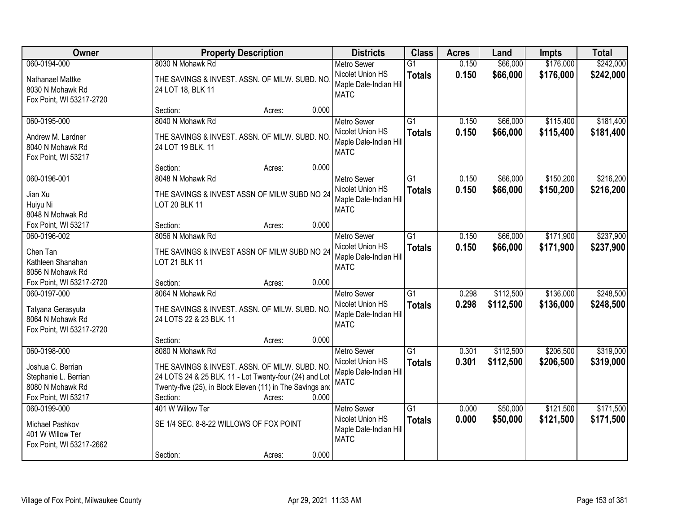| Owner                                                                                | <b>Property Description</b>                                                                                                                                                                         | <b>Districts</b>                                                 | <b>Class</b>                     | <b>Acres</b>   | Land                   | <b>Impts</b>           | <b>Total</b>           |
|--------------------------------------------------------------------------------------|-----------------------------------------------------------------------------------------------------------------------------------------------------------------------------------------------------|------------------------------------------------------------------|----------------------------------|----------------|------------------------|------------------------|------------------------|
| 060-0194-000<br>Nathanael Mattke                                                     | 8030 N Mohawk Rd<br>THE SAVINGS & INVEST. ASSN. OF MILW. SUBD. NO                                                                                                                                   | <b>Metro Sewer</b><br>Nicolet Union HS<br>Maple Dale-Indian Hill | $\overline{G1}$<br><b>Totals</b> | 0.150<br>0.150 | \$66,000<br>\$66,000   | \$176,000<br>\$176,000 | \$242,000<br>\$242,000 |
| 8030 N Mohawk Rd<br>Fox Point, WI 53217-2720                                         | 24 LOT 18, BLK 11                                                                                                                                                                                   | <b>MATC</b>                                                      |                                  |                |                        |                        |                        |
|                                                                                      | 0.000<br>Section:<br>Acres:                                                                                                                                                                         |                                                                  |                                  |                |                        |                        |                        |
| 060-0195-000                                                                         | 8040 N Mohawk Rd                                                                                                                                                                                    | <b>Metro Sewer</b>                                               | $\overline{G1}$                  | 0.150          | \$66,000               | \$115,400              | \$181,400              |
| Andrew M. Lardner<br>8040 N Mohawk Rd<br>Fox Point, WI 53217                         | THE SAVINGS & INVEST. ASSN. OF MILW. SUBD. NO<br>24 LOT 19 BLK. 11                                                                                                                                  | Nicolet Union HS<br>Maple Dale-Indian Hill<br><b>MATC</b>        | <b>Totals</b>                    | 0.150          | \$66,000               | \$115,400              | \$181,400              |
|                                                                                      | 0.000<br>Section:<br>Acres:                                                                                                                                                                         |                                                                  |                                  |                |                        |                        |                        |
| 060-0196-001                                                                         | 8048 N Mohawk Rd                                                                                                                                                                                    | <b>Metro Sewer</b>                                               | $\overline{G1}$                  | 0.150          | \$66,000               | \$150,200              | \$216,200              |
| Jian Xu<br>Huiyu Ni<br>8048 N Mohwak Rd                                              | THE SAVINGS & INVEST ASSN OF MILW SUBD NO 24<br><b>LOT 20 BLK 11</b>                                                                                                                                | Nicolet Union HS<br>Maple Dale-Indian Hill<br><b>MATC</b>        | <b>Totals</b>                    | 0.150          | \$66,000               | \$150,200              | \$216,200              |
| Fox Point, WI 53217                                                                  | 0.000<br>Section:<br>Acres:                                                                                                                                                                         |                                                                  |                                  |                |                        |                        |                        |
| 060-0196-002                                                                         | 8056 N Mohawk Rd                                                                                                                                                                                    | <b>Metro Sewer</b>                                               | $\overline{G1}$                  | 0.150          | \$66,000               | \$171,900              | \$237,900              |
| Chen Tan<br>Kathleen Shanahan<br>8056 N Mohawk Rd                                    | THE SAVINGS & INVEST ASSN OF MILW SUBD NO 24<br>LOT 21 BLK 11                                                                                                                                       | Nicolet Union HS<br>Maple Dale-Indian Hill<br><b>MATC</b>        | <b>Totals</b>                    | 0.150          | \$66,000               | \$171,900              | \$237,900              |
| Fox Point, WI 53217-2720                                                             | 0.000<br>Section:<br>Acres:                                                                                                                                                                         |                                                                  |                                  |                |                        |                        |                        |
| 060-0197-000<br>Tatyana Gerasyuta                                                    | 8064 N Mohawk Rd<br>THE SAVINGS & INVEST. ASSN. OF MILW. SUBD. NO                                                                                                                                   | <b>Metro Sewer</b><br>Nicolet Union HS                           | $\overline{G1}$<br><b>Totals</b> | 0.298<br>0.298 | \$112,500<br>\$112,500 | \$136,000<br>\$136,000 | \$248,500<br>\$248,500 |
| 8064 N Mohawk Rd<br>Fox Point, WI 53217-2720                                         | 24 LOTS 22 & 23 BLK. 11                                                                                                                                                                             | Maple Dale-Indian Hill<br><b>MATC</b>                            |                                  |                |                        |                        |                        |
|                                                                                      | 0.000<br>Section:<br>Acres:                                                                                                                                                                         |                                                                  |                                  |                |                        |                        |                        |
| 060-0198-000                                                                         | 8080 N Mohawk Rd                                                                                                                                                                                    | <b>Metro Sewer</b>                                               | $\overline{G1}$                  | 0.301          | \$112,500              | \$206,500              | \$319,000              |
| Joshua C. Berrian<br>Stephanie L. Berrian<br>8080 N Mohawk Rd<br>Fox Point, WI 53217 | THE SAVINGS & INVEST. ASSN. OF MILW. SUBD. NO<br>24 LOTS 24 & 25 BLK. 11 - Lot Twenty-four (24) and Lot<br>Twenty-five (25), in Block Eleven (11) in The Savings and<br>0.000<br>Section:<br>Acres: | Nicolet Union HS<br>Maple Dale-Indian Hill<br><b>MATC</b>        | <b>Totals</b>                    | 0.301          | \$112,500              | \$206,500              | \$319,000              |
| 060-0199-000                                                                         | 401 W Willow Ter                                                                                                                                                                                    | <b>Metro Sewer</b>                                               | $\overline{G1}$                  | 0.000          | \$50,000               | \$121,500              | \$171,500              |
| Michael Pashkov<br>401 W Willow Ter<br>Fox Point, WI 53217-2662                      | SE 1/4 SEC. 8-8-22 WILLOWS OF FOX POINT                                                                                                                                                             | Nicolet Union HS<br>Maple Dale-Indian Hill<br><b>MATC</b>        | <b>Totals</b>                    | 0.000          | \$50,000               | \$121,500              | \$171,500              |
|                                                                                      | 0.000<br>Section:<br>Acres:                                                                                                                                                                         |                                                                  |                                  |                |                        |                        |                        |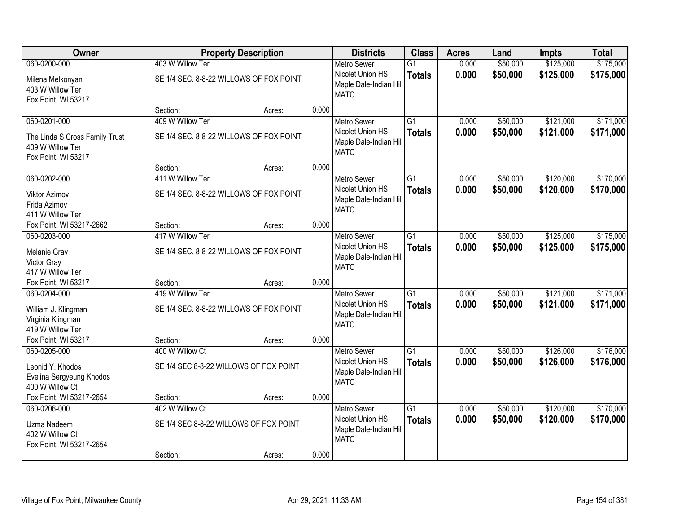| Owner                                                                                     |                                                             | <b>Property Description</b> |       | <b>Districts</b>                                                                | <b>Class</b>                     | <b>Acres</b>   | Land                 | <b>Impts</b>           | <b>Total</b>           |
|-------------------------------------------------------------------------------------------|-------------------------------------------------------------|-----------------------------|-------|---------------------------------------------------------------------------------|----------------------------------|----------------|----------------------|------------------------|------------------------|
| 060-0200-000                                                                              | 403 W Willow Ter                                            |                             |       | <b>Metro Sewer</b>                                                              | $\overline{G1}$                  | 0.000          | \$50,000             | \$125,000              | \$175,000              |
| Milena Melkonyan<br>403 W Willow Ter<br>Fox Point, WI 53217                               | SE 1/4 SEC. 8-8-22 WILLOWS OF FOX POINT                     |                             |       | Nicolet Union HS<br>Maple Dale-Indian Hill<br><b>MATC</b>                       | <b>Totals</b>                    | 0.000          | \$50,000             | \$125,000              | \$175,000              |
|                                                                                           | Section:                                                    | Acres:                      | 0.000 |                                                                                 |                                  |                |                      |                        |                        |
| 060-0201-000<br>The Linda S Cross Family Trust<br>409 W Willow Ter<br>Fox Point, WI 53217 | 409 W Willow Ter<br>SE 1/4 SEC. 8-8-22 WILLOWS OF FOX POINT |                             |       | <b>Metro Sewer</b><br>Nicolet Union HS<br>Maple Dale-Indian Hill<br><b>MATC</b> | $\overline{G1}$<br><b>Totals</b> | 0.000<br>0.000 | \$50,000<br>\$50,000 | \$121,000<br>\$121,000 | \$171,000<br>\$171,000 |
|                                                                                           | Section:                                                    | Acres:                      | 0.000 |                                                                                 |                                  |                |                      |                        |                        |
| 060-0202-000                                                                              | 411 W Willow Ter                                            |                             |       | <b>Metro Sewer</b>                                                              | G1                               | 0.000          | \$50,000             | \$120,000              | \$170,000              |
| <b>Viktor Azimov</b><br>Frida Azimov<br>411 W Willow Ter                                  | SE 1/4 SEC. 8-8-22 WILLOWS OF FOX POINT                     |                             |       | Nicolet Union HS<br>Maple Dale-Indian Hill<br><b>MATC</b>                       | <b>Totals</b>                    | 0.000          | \$50,000             | \$120,000              | \$170,000              |
| Fox Point, WI 53217-2662                                                                  | Section:                                                    | Acres:                      | 0.000 |                                                                                 |                                  |                |                      |                        |                        |
| 060-0203-000                                                                              | 417 W Willow Ter                                            |                             |       | <b>Metro Sewer</b>                                                              | G1                               | 0.000          | \$50,000             | \$125,000              | \$175,000              |
| Melanie Gray<br>Victor Gray<br>417 W Willow Ter                                           | SE 1/4 SEC. 8-8-22 WILLOWS OF FOX POINT                     |                             |       | Nicolet Union HS<br>Maple Dale-Indian Hill<br><b>MATC</b>                       | <b>Totals</b>                    | 0.000          | \$50,000             | \$125,000              | \$175,000              |
| Fox Point, WI 53217                                                                       | Section:                                                    | Acres:                      | 0.000 |                                                                                 |                                  |                |                      |                        |                        |
| 060-0204-000<br>William J. Klingman<br>Virginia Klingman<br>419 W Willow Ter              | 419 W Willow Ter<br>SE 1/4 SEC. 8-8-22 WILLOWS OF FOX POINT |                             |       | <b>Metro Sewer</b><br>Nicolet Union HS<br>Maple Dale-Indian Hill<br><b>MATC</b> | $\overline{G1}$<br><b>Totals</b> | 0.000<br>0.000 | \$50,000<br>\$50,000 | \$121,000<br>\$121,000 | \$171,000<br>\$171,000 |
| Fox Point, WI 53217                                                                       | Section:                                                    | Acres:                      | 0.000 |                                                                                 |                                  |                |                      |                        |                        |
| 060-0205-000<br>Leonid Y. Khodos<br>Evelina Sergyeung Khodos<br>400 W Willow Ct           | 400 W Willow Ct<br>SE 1/4 SEC 8-8-22 WILLOWS OF FOX POINT   |                             |       | <b>Metro Sewer</b><br>Nicolet Union HS<br>Maple Dale-Indian Hill<br><b>MATC</b> | $\overline{G1}$<br><b>Totals</b> | 0.000<br>0.000 | \$50,000<br>\$50,000 | \$126,000<br>\$126,000 | \$176,000<br>\$176,000 |
| Fox Point, WI 53217-2654                                                                  | Section:                                                    | Acres:                      | 0.000 |                                                                                 |                                  |                |                      |                        |                        |
| 060-0206-000<br>Uzma Nadeem<br>402 W Willow Ct<br>Fox Point, WI 53217-2654                | 402 W Willow Ct<br>SE 1/4 SEC 8-8-22 WILLOWS OF FOX POINT   |                             |       | <b>Metro Sewer</b><br>Nicolet Union HS<br>Maple Dale-Indian Hill<br><b>MATC</b> | $\overline{G1}$<br><b>Totals</b> | 0.000<br>0.000 | \$50,000<br>\$50,000 | \$120,000<br>\$120,000 | \$170,000<br>\$170,000 |
|                                                                                           | Section:                                                    | Acres:                      | 0.000 |                                                                                 |                                  |                |                      |                        |                        |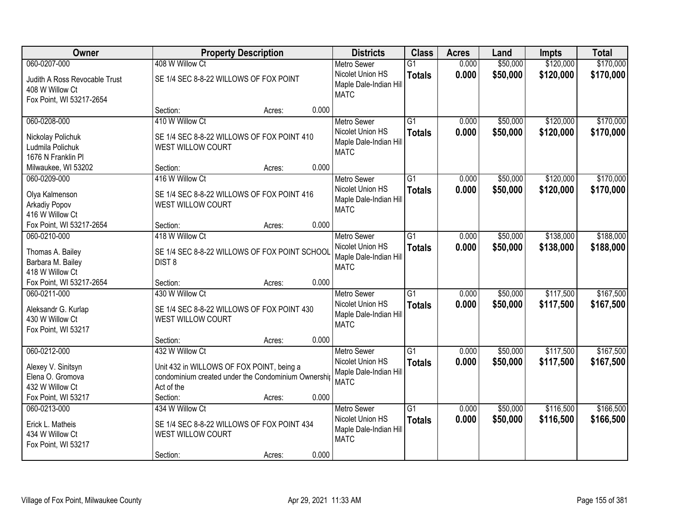| Owner                                                                         | <b>Property Description</b>                                                                                                       |        |       | <b>Districts</b>                                                                | <b>Class</b>                     | <b>Acres</b>   | Land                 | <b>Impts</b>           | <b>Total</b>           |
|-------------------------------------------------------------------------------|-----------------------------------------------------------------------------------------------------------------------------------|--------|-------|---------------------------------------------------------------------------------|----------------------------------|----------------|----------------------|------------------------|------------------------|
| 060-0207-000                                                                  | 408 W Willow Ct                                                                                                                   |        |       | <b>Metro Sewer</b>                                                              | $\overline{G1}$                  | 0.000          | \$50,000             | \$120,000              | \$170,000              |
| Judith A Ross Revocable Trust<br>408 W Willow Ct<br>Fox Point, WI 53217-2654  | SE 1/4 SEC 8-8-22 WILLOWS OF FOX POINT                                                                                            |        |       | Nicolet Union HS<br>Maple Dale-Indian Hill<br><b>MATC</b>                       | <b>Totals</b>                    | 0.000          | \$50,000             | \$120,000              | \$170,000              |
|                                                                               | Section:                                                                                                                          | Acres: | 0.000 |                                                                                 |                                  |                |                      |                        |                        |
| 060-0208-000                                                                  | 410 W Willow Ct                                                                                                                   |        |       | <b>Metro Sewer</b>                                                              | $\overline{G1}$                  | 0.000          | \$50,000             | \$120,000              | \$170,000              |
| Nickolay Polichuk<br>Ludmila Polichuk<br>1676 N Franklin Pl                   | SE 1/4 SEC 8-8-22 WILLOWS OF FOX POINT 410<br>WEST WILLOW COURT                                                                   |        |       | Nicolet Union HS<br>Maple Dale-Indian Hill<br><b>MATC</b>                       | <b>Totals</b>                    | 0.000          | \$50,000             | \$120,000              | \$170,000              |
| Milwaukee, WI 53202                                                           | Section:                                                                                                                          | Acres: | 0.000 |                                                                                 |                                  |                |                      |                        |                        |
| 060-0209-000                                                                  | 416 W Willow Ct                                                                                                                   |        |       | <b>Metro Sewer</b>                                                              | $\overline{G1}$                  | 0.000          | \$50,000             | \$120,000              | \$170,000              |
| Olya Kalmenson<br><b>Arkadiy Popov</b><br>416 W Willow Ct                     | SE 1/4 SEC 8-8-22 WILLOWS OF FOX POINT 416<br>WEST WILLOW COURT                                                                   |        |       | Nicolet Union HS<br>Maple Dale-Indian Hill<br><b>MATC</b>                       | <b>Totals</b>                    | 0.000          | \$50,000             | \$120,000              | \$170,000              |
| Fox Point, WI 53217-2654                                                      | Section:                                                                                                                          | Acres: | 0.000 |                                                                                 |                                  |                |                      |                        |                        |
| 060-0210-000                                                                  | 418 W Willow Ct                                                                                                                   |        |       | <b>Metro Sewer</b>                                                              | $\overline{G1}$                  | 0.000          | \$50,000             | \$138,000              | \$188,000              |
| Thomas A. Bailey<br>Barbara M. Bailey<br>418 W Willow Ct                      | SE 1/4 SEC 8-8-22 WILLOWS OF FOX POINT SCHOOL<br>DIST <sub>8</sub>                                                                |        |       | Nicolet Union HS<br>Maple Dale-Indian Hill<br><b>MATC</b>                       | <b>Totals</b>                    | 0.000          | \$50,000             | \$138,000              | \$188,000              |
| Fox Point, WI 53217-2654                                                      | Section:                                                                                                                          | Acres: | 0.000 |                                                                                 |                                  |                |                      |                        |                        |
| 060-0211-000<br>Aleksandr G. Kurlap<br>430 W Willow Ct<br>Fox Point, WI 53217 | 430 W Willow Ct<br>SE 1/4 SEC 8-8-22 WILLOWS OF FOX POINT 430<br>WEST WILLOW COURT                                                |        |       | <b>Metro Sewer</b><br>Nicolet Union HS<br>Maple Dale-Indian Hill<br><b>MATC</b> | $\overline{G1}$<br><b>Totals</b> | 0.000<br>0.000 | \$50,000<br>\$50,000 | \$117,500<br>\$117,500 | \$167,500<br>\$167,500 |
|                                                                               | Section:                                                                                                                          | Acres: | 0.000 |                                                                                 |                                  |                |                      |                        |                        |
| 060-0212-000<br>Alexey V. Sinitsyn<br>Elena O. Gromova<br>432 W Willow Ct     | 432 W Willow Ct<br>Unit 432 in WILLOWS OF FOX POINT, being a<br>condominium created under the Condominium Ownershij<br>Act of the |        |       | <b>Metro Sewer</b><br>Nicolet Union HS<br>Maple Dale-Indian Hill<br><b>MATC</b> | $\overline{G1}$<br><b>Totals</b> | 0.000<br>0.000 | \$50,000<br>\$50,000 | \$117,500<br>\$117,500 | \$167,500<br>\$167,500 |
| Fox Point, WI 53217                                                           | Section:                                                                                                                          | Acres: | 0.000 |                                                                                 |                                  |                |                      |                        |                        |
| 060-0213-000<br>Erick L. Matheis<br>434 W Willow Ct<br>Fox Point, WI 53217    | 434 W Willow Ct<br>SE 1/4 SEC 8-8-22 WILLOWS OF FOX POINT 434<br>WEST WILLOW COURT<br>Section:                                    | Acres: | 0.000 | <b>Metro Sewer</b><br>Nicolet Union HS<br>Maple Dale-Indian Hill<br><b>MATC</b> | $\overline{G1}$<br><b>Totals</b> | 0.000<br>0.000 | \$50,000<br>\$50,000 | \$116,500<br>\$116,500 | \$166,500<br>\$166,500 |
|                                                                               |                                                                                                                                   |        |       |                                                                                 |                                  |                |                      |                        |                        |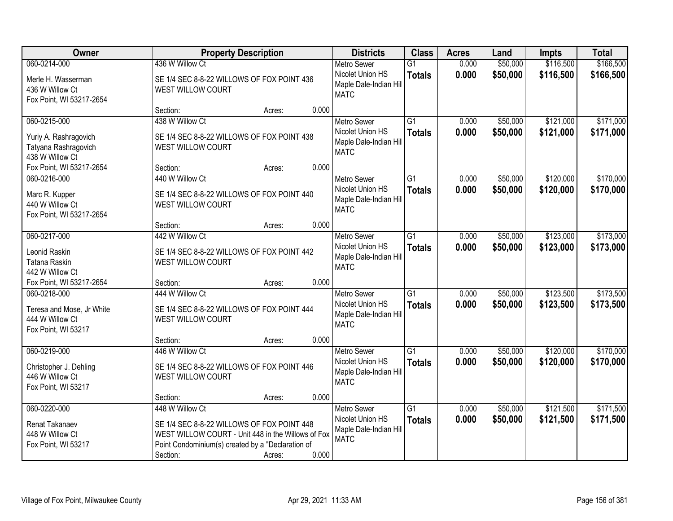| Owner                                                            | <b>Property Description</b>                                                                                                                           |        | <b>Districts</b>                                          | <b>Class</b>                     | <b>Acres</b>   | Land                 | <b>Impts</b>           | <b>Total</b>           |
|------------------------------------------------------------------|-------------------------------------------------------------------------------------------------------------------------------------------------------|--------|-----------------------------------------------------------|----------------------------------|----------------|----------------------|------------------------|------------------------|
| 060-0214-000<br>Merle H. Wasserman                               | 436 W Willow Ct<br>SE 1/4 SEC 8-8-22 WILLOWS OF FOX POINT 436                                                                                         |        | <b>Metro Sewer</b><br>Nicolet Union HS                    | $\overline{G1}$<br><b>Totals</b> | 0.000<br>0.000 | \$50,000<br>\$50,000 | \$116,500<br>\$116,500 | \$166,500<br>\$166,500 |
| 436 W Willow Ct<br>Fox Point, WI 53217-2654                      | WEST WILLOW COURT                                                                                                                                     |        | Maple Dale-Indian Hill<br><b>MATC</b>                     |                                  |                |                      |                        |                        |
|                                                                  | Section:                                                                                                                                              | Acres: | 0.000                                                     |                                  |                |                      |                        |                        |
| 060-0215-000                                                     | 438 W Willow Ct                                                                                                                                       |        | <b>Metro Sewer</b>                                        | $\overline{G1}$                  | 0.000          | \$50,000             | \$121,000              | \$171,000              |
| Yuriy A. Rashragovich<br>Tatyana Rashragovich<br>438 W Willow Ct | SE 1/4 SEC 8-8-22 WILLOWS OF FOX POINT 438<br>WEST WILLOW COURT                                                                                       |        | Nicolet Union HS<br>Maple Dale-Indian Hill<br><b>MATC</b> | <b>Totals</b>                    | 0.000          | \$50,000             | \$121,000              | \$171,000              |
| Fox Point, WI 53217-2654                                         | Section:                                                                                                                                              | Acres: | 0.000                                                     |                                  |                |                      |                        |                        |
| 060-0216-000                                                     | 440 W Willow Ct                                                                                                                                       |        | <b>Metro Sewer</b>                                        | G1                               | 0.000          | \$50,000             | \$120,000              | \$170,000              |
| Marc R. Kupper<br>440 W Willow Ct<br>Fox Point, WI 53217-2654    | SE 1/4 SEC 8-8-22 WILLOWS OF FOX POINT 440<br>WEST WILLOW COURT                                                                                       |        | Nicolet Union HS<br>Maple Dale-Indian Hill<br><b>MATC</b> | <b>Totals</b>                    | 0.000          | \$50,000             | \$120,000              | \$170,000              |
|                                                                  | Section:                                                                                                                                              | Acres: | 0.000                                                     |                                  |                |                      |                        |                        |
| 060-0217-000                                                     | 442 W Willow Ct                                                                                                                                       |        | <b>Metro Sewer</b>                                        | G1                               | 0.000          | \$50,000             | \$123,000              | \$173,000              |
| Leonid Raskin<br>Tatana Raskin<br>442 W Willow Ct                | SE 1/4 SEC 8-8-22 WILLOWS OF FOX POINT 442<br>WEST WILLOW COURT                                                                                       |        | Nicolet Union HS<br>Maple Dale-Indian Hill<br><b>MATC</b> | <b>Totals</b>                    | 0.000          | \$50,000             | \$123,000              | \$173,000              |
| Fox Point, WI 53217-2654                                         | Section:                                                                                                                                              | Acres: | 0.000                                                     |                                  |                |                      |                        |                        |
| 060-0218-000                                                     | 444 W Willow Ct                                                                                                                                       |        | <b>Metro Sewer</b>                                        | $\overline{G1}$                  | 0.000          | \$50,000             | \$123,500              | \$173,500              |
| Teresa and Mose, Jr White<br>444 W Willow Ct                     | SE 1/4 SEC 8-8-22 WILLOWS OF FOX POINT 444<br>WEST WILLOW COURT                                                                                       |        | Nicolet Union HS<br>Maple Dale-Indian Hill<br><b>MATC</b> | <b>Totals</b>                    | 0.000          | \$50,000             | \$123,500              | \$173,500              |
| Fox Point, WI 53217                                              |                                                                                                                                                       |        |                                                           |                                  |                |                      |                        |                        |
| 060-0219-000                                                     | Section:<br>446 W Willow Ct                                                                                                                           | Acres: | 0.000<br><b>Metro Sewer</b>                               | $\overline{G1}$                  | 0.000          | \$50,000             | \$120,000              | \$170,000              |
| Christopher J. Dehling<br>446 W Willow Ct<br>Fox Point, WI 53217 | SE 1/4 SEC 8-8-22 WILLOWS OF FOX POINT 446<br>WEST WILLOW COURT                                                                                       |        | Nicolet Union HS<br>Maple Dale-Indian Hill<br><b>MATC</b> | <b>Totals</b>                    | 0.000          | \$50,000             | \$120,000              | \$170,000              |
|                                                                  | Section:                                                                                                                                              | Acres: | 0.000                                                     |                                  |                |                      |                        |                        |
| 060-0220-000                                                     | 448 W Willow Ct                                                                                                                                       |        | <b>Metro Sewer</b>                                        | $\overline{G1}$                  | 0.000          | \$50,000             | \$121,500              | \$171,500              |
| Renat Takanaev<br>448 W Willow Ct<br>Fox Point, WI 53217         | SE 1/4 SEC 8-8-22 WILLOWS OF FOX POINT 448<br>WEST WILLOW COURT - Unit 448 in the Willows of Fox<br>Point Condominium(s) created by a "Declaration of |        | Nicolet Union HS<br>Maple Dale-Indian Hill<br><b>MATC</b> | <b>Totals</b>                    | 0.000          | \$50,000             | \$121,500              | \$171,500              |
|                                                                  | Section:                                                                                                                                              | Acres: | 0.000                                                     |                                  |                |                      |                        |                        |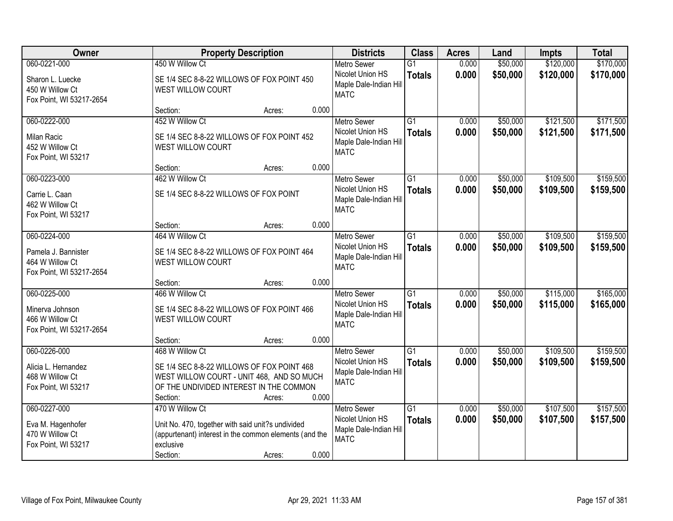| Owner                                                                              | <b>Property Description</b>                                                                                                                                                          | <b>Districts</b>                                                                | <b>Class</b>                     | <b>Acres</b>   | Land                 | <b>Impts</b>           | <b>Total</b>           |
|------------------------------------------------------------------------------------|--------------------------------------------------------------------------------------------------------------------------------------------------------------------------------------|---------------------------------------------------------------------------------|----------------------------------|----------------|----------------------|------------------------|------------------------|
| 060-0221-000<br>Sharon L. Luecke<br>450 W Willow Ct<br>Fox Point, WI 53217-2654    | 450 W Willow Ct<br>SE 1/4 SEC 8-8-22 WILLOWS OF FOX POINT 450<br><b>WEST WILLOW COURT</b>                                                                                            | <b>Metro Sewer</b><br>Nicolet Union HS<br>Maple Dale-Indian Hill<br><b>MATC</b> | $\overline{G1}$<br><b>Totals</b> | 0.000<br>0.000 | \$50,000<br>\$50,000 | \$120,000<br>\$120,000 | \$170,000<br>\$170,000 |
|                                                                                    | 0.000<br>Section:<br>Acres:                                                                                                                                                          |                                                                                 |                                  |                |                      |                        |                        |
| 060-0222-000<br><b>Milan Racic</b><br>452 W Willow Ct<br>Fox Point, WI 53217       | 452 W Willow Ct<br>SE 1/4 SEC 8-8-22 WILLOWS OF FOX POINT 452<br>WEST WILLOW COURT                                                                                                   | <b>Metro Sewer</b><br>Nicolet Union HS<br>Maple Dale-Indian Hill<br><b>MATC</b> | $\overline{G1}$<br><b>Totals</b> | 0.000<br>0.000 | \$50,000<br>\$50,000 | \$121,500<br>\$121,500 | \$171,500<br>\$171,500 |
|                                                                                    | 0.000<br>Section:<br>Acres:                                                                                                                                                          |                                                                                 |                                  |                |                      |                        |                        |
| 060-0223-000<br>Carrie L. Caan<br>462 W Willow Ct<br>Fox Point, WI 53217           | 462 W Willow Ct<br>SE 1/4 SEC 8-8-22 WILLOWS OF FOX POINT                                                                                                                            | <b>Metro Sewer</b><br>Nicolet Union HS<br>Maple Dale-Indian Hill<br><b>MATC</b> | G1<br><b>Totals</b>              | 0.000<br>0.000 | \$50,000<br>\$50,000 | \$109,500<br>\$109,500 | \$159,500<br>\$159,500 |
|                                                                                    | 0.000<br>Section:<br>Acres:                                                                                                                                                          |                                                                                 |                                  |                |                      |                        |                        |
| 060-0224-000<br>Pamela J. Bannister<br>464 W Willow Ct<br>Fox Point, WI 53217-2654 | 464 W Willow Ct<br>SE 1/4 SEC 8-8-22 WILLOWS OF FOX POINT 464<br>WEST WILLOW COURT                                                                                                   | <b>Metro Sewer</b><br>Nicolet Union HS<br>Maple Dale-Indian Hill<br><b>MATC</b> | G1<br><b>Totals</b>              | 0.000<br>0.000 | \$50,000<br>\$50,000 | \$109,500<br>\$109,500 | \$159,500<br>\$159,500 |
|                                                                                    | 0.000<br>Section:<br>Acres:                                                                                                                                                          |                                                                                 |                                  |                |                      |                        |                        |
| 060-0225-000<br>Minerva Johnson<br>466 W Willow Ct<br>Fox Point, WI 53217-2654     | 466 W Willow Ct<br>SE 1/4 SEC 8-8-22 WILLOWS OF FOX POINT 466<br><b>WEST WILLOW COURT</b>                                                                                            | <b>Metro Sewer</b><br>Nicolet Union HS<br>Maple Dale-Indian Hill<br><b>MATC</b> | $\overline{G1}$<br><b>Totals</b> | 0.000<br>0.000 | \$50,000<br>\$50,000 | \$115,000<br>\$115,000 | \$165,000<br>\$165,000 |
|                                                                                    | 0.000<br>Section:<br>Acres:                                                                                                                                                          |                                                                                 |                                  |                |                      |                        |                        |
| 060-0226-000<br>Alicia L. Hernandez<br>468 W Willow Ct<br>Fox Point, WI 53217      | 468 W Willow Ct<br>SE 1/4 SEC 8-8-22 WILLOWS OF FOX POINT 468<br>WEST WILLOW COURT - UNIT 468, AND SO MUCH<br>OF THE UNDIVIDED INTEREST IN THE COMMON<br>0.000<br>Section:<br>Acres: | <b>Metro Sewer</b><br>Nicolet Union HS<br>Maple Dale-Indian Hill<br><b>MATC</b> | $\overline{G1}$<br><b>Totals</b> | 0.000<br>0.000 | \$50,000<br>\$50,000 | \$109,500<br>\$109,500 | \$159,500<br>\$159,500 |
| 060-0227-000<br>Eva M. Hagenhofer<br>470 W Willow Ct<br>Fox Point, WI 53217        | 470 W Willow Ct<br>Unit No. 470, together with said unit?s undivided<br>(appurtenant) interest in the common elements (and the<br>exclusive<br>0.000<br>Section:<br>Acres:           | <b>Metro Sewer</b><br>Nicolet Union HS<br>Maple Dale-Indian Hill<br><b>MATC</b> | $\overline{G1}$<br><b>Totals</b> | 0.000<br>0.000 | \$50,000<br>\$50,000 | \$107,500<br>\$107,500 | \$157,500<br>\$157,500 |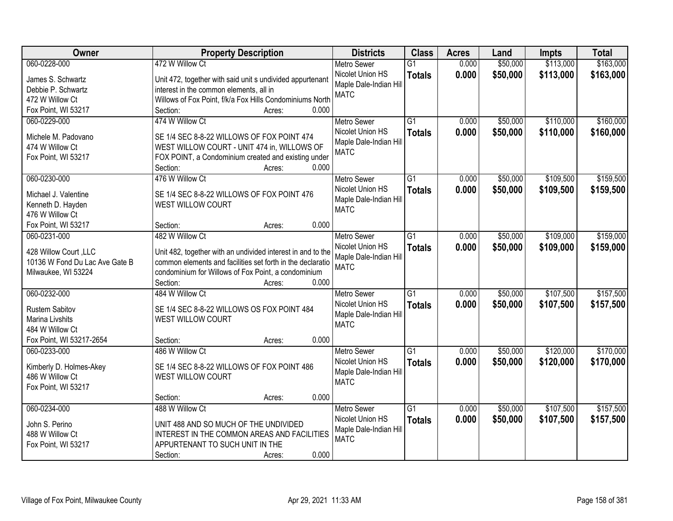| Owner                          | <b>Property Description</b>                                 | <b>Districts</b>       | <b>Class</b>    | <b>Acres</b> | Land     | <b>Impts</b> | <b>Total</b> |
|--------------------------------|-------------------------------------------------------------|------------------------|-----------------|--------------|----------|--------------|--------------|
| 060-0228-000                   | 472 W Willow Ct                                             | <b>Metro Sewer</b>     | $\overline{G1}$ | 0.000        | \$50,000 | \$113,000    | \$163,000    |
| James S. Schwartz              | Unit 472, together with said unit s undivided appurtenant   | Nicolet Union HS       | <b>Totals</b>   | 0.000        | \$50,000 | \$113,000    | \$163,000    |
| Debbie P. Schwartz             | interest in the common elements, all in                     | Maple Dale-Indian Hill |                 |              |          |              |              |
| 472 W Willow Ct                | Willows of Fox Point, f/k/a Fox Hills Condominiums North    | <b>MATC</b>            |                 |              |          |              |              |
| Fox Point, WI 53217            | 0.000<br>Section:<br>Acres:                                 |                        |                 |              |          |              |              |
| 060-0229-000                   | 474 W Willow Ct                                             | <b>Metro Sewer</b>     | $\overline{G1}$ | 0.000        | \$50,000 | \$110,000    | \$160,000    |
|                                |                                                             | Nicolet Union HS       | <b>Totals</b>   | 0.000        | \$50,000 | \$110,000    | \$160,000    |
| Michele M. Padovano            | SE 1/4 SEC 8-8-22 WILLOWS OF FOX POINT 474                  | Maple Dale-Indian Hill |                 |              |          |              |              |
| 474 W Willow Ct                | WEST WILLOW COURT - UNIT 474 in, WILLOWS OF                 | <b>MATC</b>            |                 |              |          |              |              |
| Fox Point, WI 53217            | FOX POINT, a Condominium created and existing under         |                        |                 |              |          |              |              |
|                                | 0.000<br>Section:<br>Acres:                                 |                        |                 |              |          |              |              |
| 060-0230-000                   | 476 W Willow Ct                                             | <b>Metro Sewer</b>     | G1              | 0.000        | \$50,000 | \$109,500    | \$159,500    |
| Michael J. Valentine           | SE 1/4 SEC 8-8-22 WILLOWS OF FOX POINT 476                  | Nicolet Union HS       | <b>Totals</b>   | 0.000        | \$50,000 | \$109,500    | \$159,500    |
| Kenneth D. Hayden              | WEST WILLOW COURT                                           | Maple Dale-Indian Hill |                 |              |          |              |              |
| 476 W Willow Ct                |                                                             | <b>MATC</b>            |                 |              |          |              |              |
| Fox Point, WI 53217            | 0.000<br>Section:<br>Acres:                                 |                        |                 |              |          |              |              |
| 060-0231-000                   | 482 W Willow Ct                                             | <b>Metro Sewer</b>     | G1              | 0.000        | \$50,000 | \$109,000    | \$159,000    |
|                                |                                                             | Nicolet Union HS       | <b>Totals</b>   | 0.000        | \$50,000 | \$109,000    | \$159,000    |
| 428 Willow Court, LLC          | Unit 482, together with an undivided interest in and to the | Maple Dale-Indian Hill |                 |              |          |              |              |
| 10136 W Fond Du Lac Ave Gate B | common elements and facilities set forth in the declaratio  | <b>MATC</b>            |                 |              |          |              |              |
| Milwaukee, WI 53224            | condominium for Willows of Fox Point, a condominium         |                        |                 |              |          |              |              |
|                                | 0.000<br>Section:<br>Acres:                                 |                        |                 |              |          |              |              |
| 060-0232-000                   | 484 W Willow Ct                                             | <b>Metro Sewer</b>     | $\overline{G1}$ | 0.000        | \$50,000 | \$107,500    | \$157,500    |
| <b>Rustem Sabitov</b>          | SE 1/4 SEC 8-8-22 WILLOWS OS FOX POINT 484                  | Nicolet Union HS       | <b>Totals</b>   | 0.000        | \$50,000 | \$107,500    | \$157,500    |
| Marina Livshits                | <b>WEST WILLOW COURT</b>                                    | Maple Dale-Indian Hill |                 |              |          |              |              |
| 484 W Willow Ct                |                                                             | <b>MATC</b>            |                 |              |          |              |              |
| Fox Point, WI 53217-2654       | 0.000<br>Section:<br>Acres:                                 |                        |                 |              |          |              |              |
| 060-0233-000                   | 486 W Willow Ct                                             | <b>Metro Sewer</b>     | $\overline{G1}$ | 0.000        | \$50,000 | \$120,000    | \$170,000    |
|                                |                                                             | Nicolet Union HS       | <b>Totals</b>   | 0.000        | \$50,000 | \$120,000    | \$170,000    |
| Kimberly D. Holmes-Akey        | SE 1/4 SEC 8-8-22 WILLOWS OF FOX POINT 486                  | Maple Dale-Indian Hill |                 |              |          |              |              |
| 486 W Willow Ct                | WEST WILLOW COURT                                           | <b>MATC</b>            |                 |              |          |              |              |
| Fox Point, WI 53217            |                                                             |                        |                 |              |          |              |              |
|                                | 0.000<br>Section:<br>Acres:                                 |                        |                 |              |          |              |              |
| 060-0234-000                   | 488 W Willow Ct                                             | <b>Metro Sewer</b>     | $\overline{G1}$ | 0.000        | \$50,000 | \$107,500    | \$157,500    |
| John S. Perino                 | UNIT 488 AND SO MUCH OF THE UNDIVIDED                       | Nicolet Union HS       | <b>Totals</b>   | 0.000        | \$50,000 | \$107,500    | \$157,500    |
| 488 W Willow Ct                | INTEREST IN THE COMMON AREAS AND FACILITIES                 | Maple Dale-Indian Hill |                 |              |          |              |              |
| Fox Point, WI 53217            | APPURTENANT TO SUCH UNIT IN THE                             | <b>MATC</b>            |                 |              |          |              |              |
|                                | 0.000<br>Section:<br>Acres:                                 |                        |                 |              |          |              |              |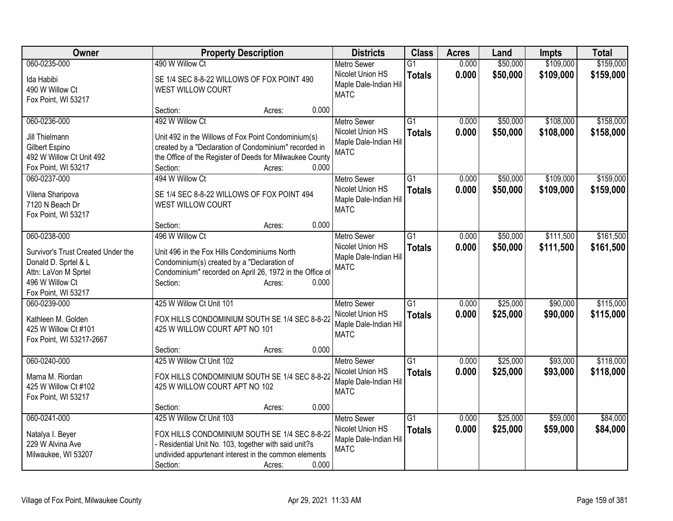| Owner                                      | <b>Property Description</b>                                                                                       | <b>Districts</b>                       | <b>Class</b>    | <b>Acres</b> | Land     | Impts     | <b>Total</b> |
|--------------------------------------------|-------------------------------------------------------------------------------------------------------------------|----------------------------------------|-----------------|--------------|----------|-----------|--------------|
| 060-0235-000                               | 490 W Willow Ct                                                                                                   | <b>Metro Sewer</b>                     | $\overline{G1}$ | 0.000        | \$50,000 | \$109,000 | \$159,000    |
| Ida Habibi                                 | SE 1/4 SEC 8-8-22 WILLOWS OF FOX POINT 490                                                                        | Nicolet Union HS                       | <b>Totals</b>   | 0.000        | \$50,000 | \$109,000 | \$159,000    |
| 490 W Willow Ct                            | WEST WILLOW COURT                                                                                                 | Maple Dale-Indian Hill                 |                 |              |          |           |              |
| Fox Point, WI 53217                        |                                                                                                                   | <b>MATC</b>                            |                 |              |          |           |              |
|                                            | 0.000<br>Section:<br>Acres:                                                                                       |                                        |                 |              |          |           |              |
| 060-0236-000                               | 492 W Willow Ct                                                                                                   | <b>Metro Sewer</b>                     | $\overline{G1}$ | 0.000        | \$50,000 | \$108,000 | \$158,000    |
|                                            |                                                                                                                   | Nicolet Union HS                       | <b>Totals</b>   | 0.000        | \$50,000 | \$108,000 | \$158,000    |
| Jill Thielmann                             | Unit 492 in the Willows of Fox Point Condominium(s)                                                               | Maple Dale-Indian Hill                 |                 |              |          |           |              |
| Gilbert Espino<br>492 W Willow Ct Unit 492 | created by a "Declaration of Condominium" recorded in<br>the Office of the Register of Deeds for Milwaukee County | <b>MATC</b>                            |                 |              |          |           |              |
| Fox Point, WI 53217                        | 0.000<br>Section:<br>Acres:                                                                                       |                                        |                 |              |          |           |              |
| 060-0237-000                               | 494 W Willow Ct                                                                                                   |                                        | $\overline{G1}$ | 0.000        | \$50,000 | \$109,000 | \$159,000    |
|                                            |                                                                                                                   | <b>Metro Sewer</b><br>Nicolet Union HS |                 |              |          |           |              |
| Vilena Sharipova                           | SE 1/4 SEC 8-8-22 WILLOWS OF FOX POINT 494                                                                        | Maple Dale-Indian Hill                 | <b>Totals</b>   | 0.000        | \$50,000 | \$109,000 | \$159,000    |
| 7120 N Beach Dr                            | WEST WILLOW COURT                                                                                                 | <b>MATC</b>                            |                 |              |          |           |              |
| Fox Point, WI 53217                        |                                                                                                                   |                                        |                 |              |          |           |              |
|                                            | 0.000<br>Section:<br>Acres:                                                                                       |                                        |                 |              |          |           |              |
| 060-0238-000                               | 496 W Willow Ct                                                                                                   | <b>Metro Sewer</b>                     | G1              | 0.000        | \$50,000 | \$111,500 | \$161,500    |
| Survivor's Trust Created Under the         | Unit 496 in the Fox Hills Condominiums North                                                                      | Nicolet Union HS                       | <b>Totals</b>   | 0.000        | \$50,000 | \$111,500 | \$161,500    |
| Donald D. Sprtel & L                       | Condominium(s) created by a "Declaration of                                                                       | Maple Dale-Indian Hill                 |                 |              |          |           |              |
| Attn: LaVon M Sprtel                       | Condominium" recorded on April 26, 1972 in the Office of                                                          | <b>MATC</b>                            |                 |              |          |           |              |
| 496 W Willow Ct                            | 0.000<br>Section:<br>Acres:                                                                                       |                                        |                 |              |          |           |              |
| Fox Point, WI 53217                        |                                                                                                                   |                                        |                 |              |          |           |              |
| 060-0239-000                               | 425 W Willow Ct Unit 101                                                                                          | <b>Metro Sewer</b>                     | G1              | 0.000        | \$25,000 | \$90,000  | \$115,000    |
|                                            |                                                                                                                   | Nicolet Union HS                       | <b>Totals</b>   | 0.000        | \$25,000 | \$90,000  | \$115,000    |
| Kathleen M. Golden                         | FOX HILLS CONDOMINIUM SOUTH SE 1/4 SEC 8-8-22                                                                     | Maple Dale-Indian Hill                 |                 |              |          |           |              |
| 425 W Willow Ct #101                       | 425 W WILLOW COURT APT NO 101                                                                                     | <b>MATC</b>                            |                 |              |          |           |              |
| Fox Point, WI 53217-2667                   |                                                                                                                   |                                        |                 |              |          |           |              |
|                                            | 0.000<br>Section:<br>Acres:                                                                                       |                                        |                 |              |          |           |              |
| 060-0240-000                               | 425 W Willow Ct Unit 102                                                                                          | Metro Sewer                            | $\overline{G1}$ | 0.000        | \$25,000 | \$93,000  | \$118,000    |
| Marna M. Riordan                           | FOX HILLS CONDOMINIUM SOUTH SE 1/4 SEC 8-8-22                                                                     | Nicolet Union HS                       | <b>Totals</b>   | 0.000        | \$25,000 | \$93,000  | \$118,000    |
| 425 W Willow Ct #102                       | 425 W WILLOW COURT APT NO 102                                                                                     | Maple Dale-Indian Hill                 |                 |              |          |           |              |
| Fox Point, WI 53217                        |                                                                                                                   | <b>MATC</b>                            |                 |              |          |           |              |
|                                            | 0.000<br>Section:<br>Acres:                                                                                       |                                        |                 |              |          |           |              |
| 060-0241-000                               | 425 W Willow Ct Unit 103                                                                                          | <b>Metro Sewer</b>                     | $\overline{G1}$ | 0.000        | \$25,000 | \$59,000  | \$84,000     |
|                                            | FOX HILLS CONDOMINIUM SOUTH SE 1/4 SEC 8-8-22                                                                     | Nicolet Union HS                       | <b>Totals</b>   | 0.000        | \$25,000 | \$59,000  | \$84,000     |
| Natalya I. Beyer<br>229 W Alvina Ave       | - Residential Unit No. 103, together with said unit?s                                                             | Maple Dale-Indian Hill                 |                 |              |          |           |              |
| Milwaukee, WI 53207                        | undivided appurtenant interest in the common elements                                                             | <b>MATC</b>                            |                 |              |          |           |              |
|                                            | 0.000<br>Section:<br>Acres:                                                                                       |                                        |                 |              |          |           |              |
|                                            |                                                                                                                   |                                        |                 |              |          |           |              |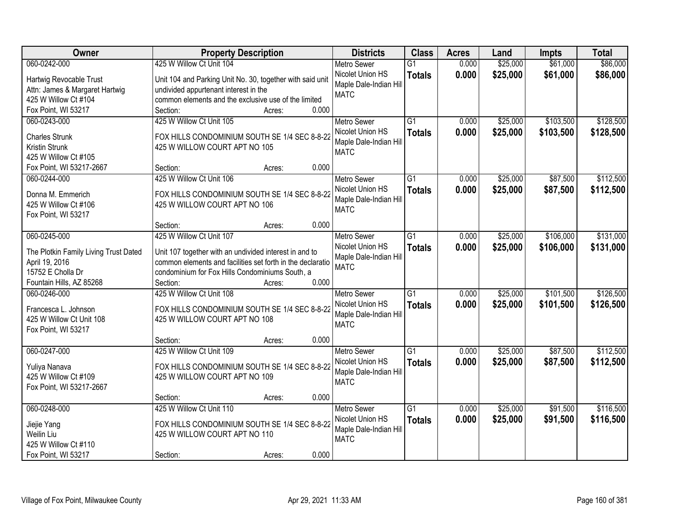| 060-0242-000<br>425 W Willow Ct Unit 104<br>\$25,000<br>\$61,000<br>\$86,000<br>$\overline{G1}$<br>0.000<br><b>Metro Sewer</b><br>\$25,000<br>Nicolet Union HS<br>0.000<br>\$61,000<br>\$86,000<br><b>Totals</b><br>Hartwig Revocable Trust<br>Unit 104 and Parking Unit No. 30, together with said unit<br>Maple Dale-Indian Hill<br>Attn: James & Margaret Hartwig<br>undivided appurtenant interest in the<br><b>MATC</b><br>425 W Willow Ct #104<br>common elements and the exclusive use of the limited<br>0.000<br>Fox Point, WI 53217<br>Section:<br>Acres:<br>425 W Willow Ct Unit 105<br>$\overline{G1}$<br>\$25,000<br>\$103,500<br>060-0243-000<br>0.000<br><b>Metro Sewer</b><br>Nicolet Union HS<br>0.000<br>\$25,000<br>\$103,500<br><b>Totals</b><br>FOX HILLS CONDOMINIUM SOUTH SE 1/4 SEC 8-8-22<br><b>Charles Strunk</b><br>Maple Dale-Indian Hill<br>Kristin Strunk<br>425 W WILLOW COURT APT NO 105<br><b>MATC</b><br>425 W Willow Ct #105<br>0.000<br>Fox Point, WI 53217-2667<br>Section:<br>Acres:<br>\$87,500<br>060-0244-000<br>425 W Willow Ct Unit 106<br>G1<br>\$25,000<br><b>Metro Sewer</b><br>0.000<br>Nicolet Union HS<br>\$25,000<br>0.000<br>\$87,500<br><b>Totals</b><br>FOX HILLS CONDOMINIUM SOUTH SE 1/4 SEC 8-8-22<br>Donna M. Emmerich<br>Maple Dale-Indian Hill<br>425 W Willow Ct #106<br>425 W WILLOW COURT APT NO 106<br><b>MATC</b><br>Fox Point, WI 53217<br>0.000<br>Section:<br>Acres:<br>060-0245-000<br>425 W Willow Ct Unit 107<br>\$25,000<br>\$106,000<br><b>Metro Sewer</b><br>G1<br>0.000<br>Nicolet Union HS<br>0.000<br>\$25,000<br>\$106,000<br><b>Totals</b><br>The Plotkin Family Living Trust Dated<br>Unit 107 together with an undivided interest in and to<br>Maple Dale-Indian Hill<br>common elements and facilities set forth in the declaratio<br>April 19, 2016<br><b>MATC</b><br>15752 E Cholla Dr<br>condominium for Fox Hills Condominiums South, a<br>0.000<br>Fountain Hills, AZ 85268<br>Section:<br>Acres:<br>425 W Willow Ct Unit 108<br>\$101,500<br>060-0246-000<br>$\overline{G1}$<br>0.000<br>\$25,000<br><b>Metro Sewer</b> |
|---------------------------------------------------------------------------------------------------------------------------------------------------------------------------------------------------------------------------------------------------------------------------------------------------------------------------------------------------------------------------------------------------------------------------------------------------------------------------------------------------------------------------------------------------------------------------------------------------------------------------------------------------------------------------------------------------------------------------------------------------------------------------------------------------------------------------------------------------------------------------------------------------------------------------------------------------------------------------------------------------------------------------------------------------------------------------------------------------------------------------------------------------------------------------------------------------------------------------------------------------------------------------------------------------------------------------------------------------------------------------------------------------------------------------------------------------------------------------------------------------------------------------------------------------------------------------------------------------------------------------------------------------------------------------------------------------------------------------------------------------------------------------------------------------------------------------------------------------------------------------------------------------------------------------------------------------------------------------------------------------------------------------------------------------------------------------------------------------------------|
|                                                                                                                                                                                                                                                                                                                                                                                                                                                                                                                                                                                                                                                                                                                                                                                                                                                                                                                                                                                                                                                                                                                                                                                                                                                                                                                                                                                                                                                                                                                                                                                                                                                                                                                                                                                                                                                                                                                                                                                                                                                                                                               |
|                                                                                                                                                                                                                                                                                                                                                                                                                                                                                                                                                                                                                                                                                                                                                                                                                                                                                                                                                                                                                                                                                                                                                                                                                                                                                                                                                                                                                                                                                                                                                                                                                                                                                                                                                                                                                                                                                                                                                                                                                                                                                                               |
|                                                                                                                                                                                                                                                                                                                                                                                                                                                                                                                                                                                                                                                                                                                                                                                                                                                                                                                                                                                                                                                                                                                                                                                                                                                                                                                                                                                                                                                                                                                                                                                                                                                                                                                                                                                                                                                                                                                                                                                                                                                                                                               |
|                                                                                                                                                                                                                                                                                                                                                                                                                                                                                                                                                                                                                                                                                                                                                                                                                                                                                                                                                                                                                                                                                                                                                                                                                                                                                                                                                                                                                                                                                                                                                                                                                                                                                                                                                                                                                                                                                                                                                                                                                                                                                                               |
| \$128,500<br>\$128,500<br>\$112,500<br>\$112,500<br>\$131,000<br>\$131,000                                                                                                                                                                                                                                                                                                                                                                                                                                                                                                                                                                                                                                                                                                                                                                                                                                                                                                                                                                                                                                                                                                                                                                                                                                                                                                                                                                                                                                                                                                                                                                                                                                                                                                                                                                                                                                                                                                                                                                                                                                    |
|                                                                                                                                                                                                                                                                                                                                                                                                                                                                                                                                                                                                                                                                                                                                                                                                                                                                                                                                                                                                                                                                                                                                                                                                                                                                                                                                                                                                                                                                                                                                                                                                                                                                                                                                                                                                                                                                                                                                                                                                                                                                                                               |
|                                                                                                                                                                                                                                                                                                                                                                                                                                                                                                                                                                                                                                                                                                                                                                                                                                                                                                                                                                                                                                                                                                                                                                                                                                                                                                                                                                                                                                                                                                                                                                                                                                                                                                                                                                                                                                                                                                                                                                                                                                                                                                               |
|                                                                                                                                                                                                                                                                                                                                                                                                                                                                                                                                                                                                                                                                                                                                                                                                                                                                                                                                                                                                                                                                                                                                                                                                                                                                                                                                                                                                                                                                                                                                                                                                                                                                                                                                                                                                                                                                                                                                                                                                                                                                                                               |
|                                                                                                                                                                                                                                                                                                                                                                                                                                                                                                                                                                                                                                                                                                                                                                                                                                                                                                                                                                                                                                                                                                                                                                                                                                                                                                                                                                                                                                                                                                                                                                                                                                                                                                                                                                                                                                                                                                                                                                                                                                                                                                               |
|                                                                                                                                                                                                                                                                                                                                                                                                                                                                                                                                                                                                                                                                                                                                                                                                                                                                                                                                                                                                                                                                                                                                                                                                                                                                                                                                                                                                                                                                                                                                                                                                                                                                                                                                                                                                                                                                                                                                                                                                                                                                                                               |
|                                                                                                                                                                                                                                                                                                                                                                                                                                                                                                                                                                                                                                                                                                                                                                                                                                                                                                                                                                                                                                                                                                                                                                                                                                                                                                                                                                                                                                                                                                                                                                                                                                                                                                                                                                                                                                                                                                                                                                                                                                                                                                               |
|                                                                                                                                                                                                                                                                                                                                                                                                                                                                                                                                                                                                                                                                                                                                                                                                                                                                                                                                                                                                                                                                                                                                                                                                                                                                                                                                                                                                                                                                                                                                                                                                                                                                                                                                                                                                                                                                                                                                                                                                                                                                                                               |
|                                                                                                                                                                                                                                                                                                                                                                                                                                                                                                                                                                                                                                                                                                                                                                                                                                                                                                                                                                                                                                                                                                                                                                                                                                                                                                                                                                                                                                                                                                                                                                                                                                                                                                                                                                                                                                                                                                                                                                                                                                                                                                               |
| \$126,500                                                                                                                                                                                                                                                                                                                                                                                                                                                                                                                                                                                                                                                                                                                                                                                                                                                                                                                                                                                                                                                                                                                                                                                                                                                                                                                                                                                                                                                                                                                                                                                                                                                                                                                                                                                                                                                                                                                                                                                                                                                                                                     |
|                                                                                                                                                                                                                                                                                                                                                                                                                                                                                                                                                                                                                                                                                                                                                                                                                                                                                                                                                                                                                                                                                                                                                                                                                                                                                                                                                                                                                                                                                                                                                                                                                                                                                                                                                                                                                                                                                                                                                                                                                                                                                                               |
|                                                                                                                                                                                                                                                                                                                                                                                                                                                                                                                                                                                                                                                                                                                                                                                                                                                                                                                                                                                                                                                                                                                                                                                                                                                                                                                                                                                                                                                                                                                                                                                                                                                                                                                                                                                                                                                                                                                                                                                                                                                                                                               |
|                                                                                                                                                                                                                                                                                                                                                                                                                                                                                                                                                                                                                                                                                                                                                                                                                                                                                                                                                                                                                                                                                                                                                                                                                                                                                                                                                                                                                                                                                                                                                                                                                                                                                                                                                                                                                                                                                                                                                                                                                                                                                                               |
|                                                                                                                                                                                                                                                                                                                                                                                                                                                                                                                                                                                                                                                                                                                                                                                                                                                                                                                                                                                                                                                                                                                                                                                                                                                                                                                                                                                                                                                                                                                                                                                                                                                                                                                                                                                                                                                                                                                                                                                                                                                                                                               |
|                                                                                                                                                                                                                                                                                                                                                                                                                                                                                                                                                                                                                                                                                                                                                                                                                                                                                                                                                                                                                                                                                                                                                                                                                                                                                                                                                                                                                                                                                                                                                                                                                                                                                                                                                                                                                                                                                                                                                                                                                                                                                                               |
|                                                                                                                                                                                                                                                                                                                                                                                                                                                                                                                                                                                                                                                                                                                                                                                                                                                                                                                                                                                                                                                                                                                                                                                                                                                                                                                                                                                                                                                                                                                                                                                                                                                                                                                                                                                                                                                                                                                                                                                                                                                                                                               |
|                                                                                                                                                                                                                                                                                                                                                                                                                                                                                                                                                                                                                                                                                                                                                                                                                                                                                                                                                                                                                                                                                                                                                                                                                                                                                                                                                                                                                                                                                                                                                                                                                                                                                                                                                                                                                                                                                                                                                                                                                                                                                                               |
|                                                                                                                                                                                                                                                                                                                                                                                                                                                                                                                                                                                                                                                                                                                                                                                                                                                                                                                                                                                                                                                                                                                                                                                                                                                                                                                                                                                                                                                                                                                                                                                                                                                                                                                                                                                                                                                                                                                                                                                                                                                                                                               |
| 0.000<br>\$25,000<br>\$101,500<br>\$126,500<br>Nicolet Union HS<br><b>Totals</b>                                                                                                                                                                                                                                                                                                                                                                                                                                                                                                                                                                                                                                                                                                                                                                                                                                                                                                                                                                                                                                                                                                                                                                                                                                                                                                                                                                                                                                                                                                                                                                                                                                                                                                                                                                                                                                                                                                                                                                                                                              |
| Francesca L. Johnson<br>FOX HILLS CONDOMINIUM SOUTH SE 1/4 SEC 8-8-22<br>Maple Dale-Indian Hill                                                                                                                                                                                                                                                                                                                                                                                                                                                                                                                                                                                                                                                                                                                                                                                                                                                                                                                                                                                                                                                                                                                                                                                                                                                                                                                                                                                                                                                                                                                                                                                                                                                                                                                                                                                                                                                                                                                                                                                                               |
| 425 W Willow Ct Unit 108<br>425 W WILLOW COURT APT NO 108<br><b>MATC</b>                                                                                                                                                                                                                                                                                                                                                                                                                                                                                                                                                                                                                                                                                                                                                                                                                                                                                                                                                                                                                                                                                                                                                                                                                                                                                                                                                                                                                                                                                                                                                                                                                                                                                                                                                                                                                                                                                                                                                                                                                                      |
| Fox Point, WI 53217                                                                                                                                                                                                                                                                                                                                                                                                                                                                                                                                                                                                                                                                                                                                                                                                                                                                                                                                                                                                                                                                                                                                                                                                                                                                                                                                                                                                                                                                                                                                                                                                                                                                                                                                                                                                                                                                                                                                                                                                                                                                                           |
| 0.000<br>Section:<br>Acres:                                                                                                                                                                                                                                                                                                                                                                                                                                                                                                                                                                                                                                                                                                                                                                                                                                                                                                                                                                                                                                                                                                                                                                                                                                                                                                                                                                                                                                                                                                                                                                                                                                                                                                                                                                                                                                                                                                                                                                                                                                                                                   |
| 425 W Willow Ct Unit 109<br>$\overline{G1}$<br>\$25,000<br>\$87,500<br>\$112,500<br>060-0247-000<br>0.000<br><b>Metro Sewer</b>                                                                                                                                                                                                                                                                                                                                                                                                                                                                                                                                                                                                                                                                                                                                                                                                                                                                                                                                                                                                                                                                                                                                                                                                                                                                                                                                                                                                                                                                                                                                                                                                                                                                                                                                                                                                                                                                                                                                                                               |
| Nicolet Union HS<br>0.000<br>\$25,000<br>\$112,500<br>\$87,500<br><b>Totals</b><br>FOX HILLS CONDOMINIUM SOUTH SE 1/4 SEC 8-8-22<br>Yuliya Nanava                                                                                                                                                                                                                                                                                                                                                                                                                                                                                                                                                                                                                                                                                                                                                                                                                                                                                                                                                                                                                                                                                                                                                                                                                                                                                                                                                                                                                                                                                                                                                                                                                                                                                                                                                                                                                                                                                                                                                             |
| Maple Dale-Indian Hill<br>425 W Willow Ct #109<br>425 W WILLOW COURT APT NO 109                                                                                                                                                                                                                                                                                                                                                                                                                                                                                                                                                                                                                                                                                                                                                                                                                                                                                                                                                                                                                                                                                                                                                                                                                                                                                                                                                                                                                                                                                                                                                                                                                                                                                                                                                                                                                                                                                                                                                                                                                               |
| <b>MATC</b><br>Fox Point, WI 53217-2667                                                                                                                                                                                                                                                                                                                                                                                                                                                                                                                                                                                                                                                                                                                                                                                                                                                                                                                                                                                                                                                                                                                                                                                                                                                                                                                                                                                                                                                                                                                                                                                                                                                                                                                                                                                                                                                                                                                                                                                                                                                                       |
| 0.000<br>Section:<br>Acres:                                                                                                                                                                                                                                                                                                                                                                                                                                                                                                                                                                                                                                                                                                                                                                                                                                                                                                                                                                                                                                                                                                                                                                                                                                                                                                                                                                                                                                                                                                                                                                                                                                                                                                                                                                                                                                                                                                                                                                                                                                                                                   |
| 060-0248-000<br>425 W Willow Ct Unit 110<br>$\overline{G1}$<br>\$25,000<br>\$91,500<br>\$116,500<br>0.000<br><b>Metro Sewer</b>                                                                                                                                                                                                                                                                                                                                                                                                                                                                                                                                                                                                                                                                                                                                                                                                                                                                                                                                                                                                                                                                                                                                                                                                                                                                                                                                                                                                                                                                                                                                                                                                                                                                                                                                                                                                                                                                                                                                                                               |
| Nicolet Union HS<br>0.000<br>\$25,000<br>\$116,500<br>\$91,500<br><b>Totals</b><br>FOX HILLS CONDOMINIUM SOUTH SE 1/4 SEC 8-8-22                                                                                                                                                                                                                                                                                                                                                                                                                                                                                                                                                                                                                                                                                                                                                                                                                                                                                                                                                                                                                                                                                                                                                                                                                                                                                                                                                                                                                                                                                                                                                                                                                                                                                                                                                                                                                                                                                                                                                                              |
| Jiejie Yang<br>Maple Dale-Indian Hill<br>Weilin Liu<br>425 W WILLOW COURT APT NO 110                                                                                                                                                                                                                                                                                                                                                                                                                                                                                                                                                                                                                                                                                                                                                                                                                                                                                                                                                                                                                                                                                                                                                                                                                                                                                                                                                                                                                                                                                                                                                                                                                                                                                                                                                                                                                                                                                                                                                                                                                          |
| <b>MATC</b><br>425 W Willow Ct #110                                                                                                                                                                                                                                                                                                                                                                                                                                                                                                                                                                                                                                                                                                                                                                                                                                                                                                                                                                                                                                                                                                                                                                                                                                                                                                                                                                                                                                                                                                                                                                                                                                                                                                                                                                                                                                                                                                                                                                                                                                                                           |
| 0.000<br>Fox Point, WI 53217<br>Section:<br>Acres:                                                                                                                                                                                                                                                                                                                                                                                                                                                                                                                                                                                                                                                                                                                                                                                                                                                                                                                                                                                                                                                                                                                                                                                                                                                                                                                                                                                                                                                                                                                                                                                                                                                                                                                                                                                                                                                                                                                                                                                                                                                            |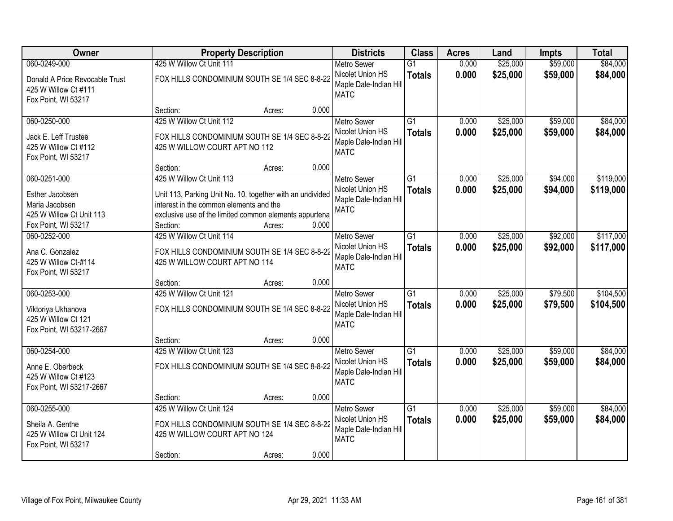| Owner                                                                                                | <b>Property Description</b>                                                                                                                                                                            |        | <b>Districts</b>                                                                         | <b>Class</b>                     | <b>Acres</b>   | Land                 | <b>Impts</b>         | <b>Total</b>           |
|------------------------------------------------------------------------------------------------------|--------------------------------------------------------------------------------------------------------------------------------------------------------------------------------------------------------|--------|------------------------------------------------------------------------------------------|----------------------------------|----------------|----------------------|----------------------|------------------------|
| 060-0249-000                                                                                         | 425 W Willow Ct Unit 111                                                                                                                                                                               |        | <b>Metro Sewer</b>                                                                       | $\overline{G1}$                  | 0.000          | \$25,000             | \$59,000             | \$84,000               |
| Donald A Price Revocable Trust<br>425 W Willow Ct #111<br>Fox Point, WI 53217                        | FOX HILLS CONDOMINIUM SOUTH SE 1/4 SEC 8-8-22                                                                                                                                                          |        | Nicolet Union HS<br>Maple Dale-Indian Hill<br><b>MATC</b>                                | <b>Totals</b>                    | 0.000          | \$25,000             | \$59,000             | \$84,000               |
|                                                                                                      | Section:                                                                                                                                                                                               | Acres: | 0.000                                                                                    |                                  |                |                      |                      |                        |
| 060-0250-000<br>Jack E. Leff Trustee<br>425 W Willow Ct #112<br>Fox Point, WI 53217                  | 425 W Willow Ct Unit 112<br>FOX HILLS CONDOMINIUM SOUTH SE 1/4 SEC 8-8-22<br>425 W WILLOW COURT APT NO 112                                                                                             |        | <b>Metro Sewer</b><br>Nicolet Union HS<br>Maple Dale-Indian Hill<br><b>MATC</b>          | $\overline{G1}$<br><b>Totals</b> | 0.000<br>0.000 | \$25,000<br>\$25,000 | \$59,000<br>\$59,000 | \$84,000<br>\$84,000   |
|                                                                                                      | Section:                                                                                                                                                                                               | Acres: | 0.000                                                                                    |                                  |                |                      |                      |                        |
| 060-0251-000<br>Esther Jacobsen<br>Maria Jacobsen<br>425 W Willow Ct Unit 113<br>Fox Point, WI 53217 | 425 W Willow Ct Unit 113<br>Unit 113, Parking Unit No. 10, together with an undivided<br>interest in the common elements and the<br>exclusive use of the limited common elements appurtena<br>Section: | Acres: | Metro Sewer<br>Nicolet Union HS<br>Maple Dale-Indian Hill<br><b>MATC</b><br>0.000        | $\overline{G1}$<br><b>Totals</b> | 0.000<br>0.000 | \$25,000<br>\$25,000 | \$94,000<br>\$94,000 | \$119,000<br>\$119,000 |
| 060-0252-000                                                                                         | 425 W Willow Ct Unit 114                                                                                                                                                                               |        | <b>Metro Sewer</b>                                                                       | $\overline{G1}$                  | 0.000          | \$25,000             | \$92,000             | \$117,000              |
| Ana C. Gonzalez<br>425 W Willow Ct-#114<br>Fox Point, WI 53217                                       | FOX HILLS CONDOMINIUM SOUTH SE 1/4 SEC 8-8-22<br>425 W WILLOW COURT APT NO 114                                                                                                                         |        | Nicolet Union HS<br>Maple Dale-Indian Hill<br><b>MATC</b>                                | <b>Totals</b>                    | 0.000          | \$25,000             | \$92,000             | \$117,000              |
|                                                                                                      | Section:                                                                                                                                                                                               | Acres: | 0.000                                                                                    |                                  |                |                      |                      |                        |
| 060-0253-000<br>Viktoriya Ukhanova<br>425 W Willow Ct 121<br>Fox Point, WI 53217-2667                | 425 W Willow Ct Unit 121<br>FOX HILLS CONDOMINIUM SOUTH SE 1/4 SEC 8-8-22                                                                                                                              |        | <b>Metro Sewer</b><br>Nicolet Union HS<br>Maple Dale-Indian Hill<br><b>MATC</b>          | $\overline{G1}$<br><b>Totals</b> | 0.000<br>0.000 | \$25,000<br>\$25,000 | \$79,500<br>\$79,500 | \$104,500<br>\$104,500 |
|                                                                                                      | Section:                                                                                                                                                                                               | Acres: | 0.000                                                                                    |                                  |                |                      |                      |                        |
| 060-0254-000<br>Anne E. Oberbeck<br>425 W Willow Ct #123<br>Fox Point, WI 53217-2667                 | 425 W Willow Ct Unit 123<br>FOX HILLS CONDOMINIUM SOUTH SE 1/4 SEC 8-8-22                                                                                                                              |        | <b>Metro Sewer</b><br>Nicolet Union HS<br>Maple Dale-Indian Hill<br><b>MATC</b>          | $\overline{G1}$<br><b>Totals</b> | 0.000<br>0.000 | \$25,000<br>\$25,000 | \$59,000<br>\$59,000 | \$84,000<br>\$84,000   |
|                                                                                                      | Section:                                                                                                                                                                                               | Acres: | 0.000                                                                                    |                                  |                |                      |                      |                        |
| 060-0255-000<br>Sheila A. Genthe<br>425 W Willow Ct Unit 124<br>Fox Point, WI 53217                  | 425 W Willow Ct Unit 124<br>FOX HILLS CONDOMINIUM SOUTH SE 1/4 SEC 8-8-22<br>425 W WILLOW COURT APT NO 124<br>Section:                                                                                 | Acres: | <b>Metro Sewer</b><br>Nicolet Union HS<br>Maple Dale-Indian Hill<br><b>MATC</b><br>0.000 | $\overline{G1}$<br><b>Totals</b> | 0.000<br>0.000 | \$25,000<br>\$25,000 | \$59,000<br>\$59,000 | \$84,000<br>\$84,000   |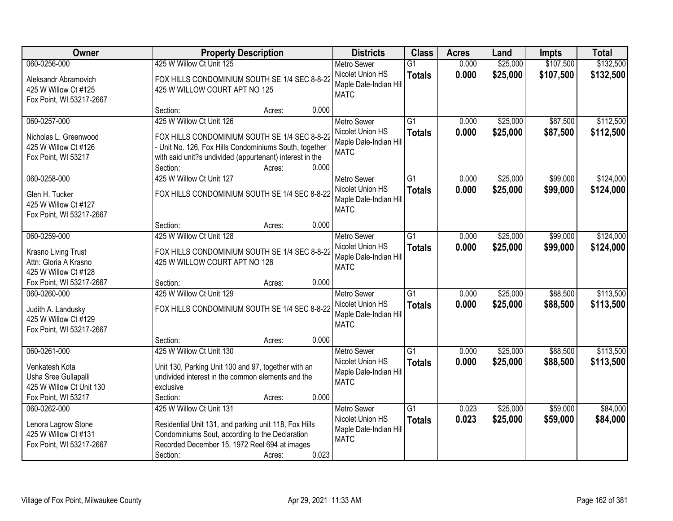| Owner                                                                                                     | <b>Property Description</b>                                                                                                                                                                                           |       | <b>Districts</b>                                                                | <b>Class</b>                     | <b>Acres</b>   | Land                 | <b>Impts</b>         | <b>Total</b>           |
|-----------------------------------------------------------------------------------------------------------|-----------------------------------------------------------------------------------------------------------------------------------------------------------------------------------------------------------------------|-------|---------------------------------------------------------------------------------|----------------------------------|----------------|----------------------|----------------------|------------------------|
| 060-0256-000                                                                                              | 425 W Willow Ct Unit 125                                                                                                                                                                                              |       | <b>Metro Sewer</b>                                                              | $\overline{G1}$                  | 0.000          | \$25,000             | \$107,500            | \$132,500              |
| Aleksandr Abramovich<br>425 W Willow Ct #125<br>Fox Point, WI 53217-2667                                  | FOX HILLS CONDOMINIUM SOUTH SE 1/4 SEC 8-8-22<br>425 W WILLOW COURT APT NO 125                                                                                                                                        |       | Nicolet Union HS<br>Maple Dale-Indian Hill<br><b>MATC</b>                       | <b>Totals</b>                    | 0.000          | \$25,000             | \$107,500            | \$132,500              |
|                                                                                                           | Section:<br>Acres:                                                                                                                                                                                                    | 0.000 |                                                                                 |                                  |                |                      |                      |                        |
| 060-0257-000<br>Nicholas L. Greenwood<br>425 W Willow Ct #126<br>Fox Point, WI 53217                      | 425 W Willow Ct Unit 126<br>FOX HILLS CONDOMINIUM SOUTH SE 1/4 SEC 8-8-22<br>- Unit No. 126, Fox Hills Condominiums South, together<br>with said unit?s undivided (appurtenant) interest in the<br>Section:<br>Acres: | 0.000 | <b>Metro Sewer</b><br>Nicolet Union HS<br>Maple Dale-Indian Hill<br><b>MATC</b> | $\overline{G1}$<br><b>Totals</b> | 0.000<br>0.000 | \$25,000<br>\$25,000 | \$87,500<br>\$87,500 | \$112,500<br>\$112,500 |
| 060-0258-000                                                                                              | 425 W Willow Ct Unit 127                                                                                                                                                                                              |       | <b>Metro Sewer</b>                                                              | $\overline{G1}$                  | 0.000          | \$25,000             | \$99,000             | \$124,000              |
| Glen H. Tucker<br>425 W Willow Ct #127<br>Fox Point, WI 53217-2667                                        | FOX HILLS CONDOMINIUM SOUTH SE 1/4 SEC 8-8-22                                                                                                                                                                         |       | Nicolet Union HS<br>Maple Dale-Indian Hill<br><b>MATC</b>                       | <b>Totals</b>                    | 0.000          | \$25,000             | \$99,000             | \$124,000              |
|                                                                                                           | Section:<br>Acres:                                                                                                                                                                                                    | 0.000 |                                                                                 |                                  |                |                      |                      |                        |
| 060-0259-000                                                                                              | 425 W Willow Ct Unit 128                                                                                                                                                                                              |       | <b>Metro Sewer</b>                                                              | $\overline{G1}$                  | 0.000          | \$25,000             | \$99,000             | \$124,000              |
| Krasno Living Trust<br>Attn: Gloria A Krasno<br>425 W Willow Ct #128                                      | FOX HILLS CONDOMINIUM SOUTH SE 1/4 SEC 8-8-22<br>425 W WILLOW COURT APT NO 128                                                                                                                                        |       | Nicolet Union HS<br>Maple Dale-Indian Hill<br><b>MATC</b>                       | <b>Totals</b>                    | 0.000          | \$25,000             | \$99,000             | \$124,000              |
| Fox Point, WI 53217-2667                                                                                  | Section:<br>Acres:                                                                                                                                                                                                    | 0.000 |                                                                                 |                                  |                |                      |                      |                        |
| 060-0260-000<br>Judith A. Landusky<br>425 W Willow Ct #129<br>Fox Point, WI 53217-2667                    | 425 W Willow Ct Unit 129<br>FOX HILLS CONDOMINIUM SOUTH SE 1/4 SEC 8-8-22                                                                                                                                             |       | <b>Metro Sewer</b><br>Nicolet Union HS<br>Maple Dale-Indian Hill<br><b>MATC</b> | $\overline{G1}$<br><b>Totals</b> | 0.000<br>0.000 | \$25,000<br>\$25,000 | \$88,500<br>\$88,500 | \$113,500<br>\$113,500 |
|                                                                                                           | Section:<br>Acres:                                                                                                                                                                                                    | 0.000 |                                                                                 |                                  |                |                      |                      |                        |
| 060-0261-000<br>Venkatesh Kota<br>Usha Sree Gullapalli<br>425 W Willow Ct Unit 130<br>Fox Point, WI 53217 | 425 W Willow Ct Unit 130<br>Unit 130, Parking Unit 100 and 97, together with an<br>undivided interest in the common elements and the<br>exclusive<br>Section:<br>Acres:                                               | 0.000 | <b>Metro Sewer</b><br>Nicolet Union HS<br>Maple Dale-Indian Hill<br><b>MATC</b> | G1<br><b>Totals</b>              | 0.000<br>0.000 | \$25,000<br>\$25,000 | \$88,500<br>\$88,500 | \$113,500<br>\$113,500 |
| 060-0262-000                                                                                              | 425 W Willow Ct Unit 131                                                                                                                                                                                              |       | <b>Metro Sewer</b>                                                              | G1                               | 0.023          | \$25,000             | \$59,000             | \$84,000               |
| Lenora Lagrow Stone<br>425 W Willow Ct #131<br>Fox Point, WI 53217-2667                                   | Residential Unit 131, and parking unit 118, Fox Hills<br>Condominiums Sout, according to the Declaration<br>Recorded December 15, 1972 Reel 694 at images<br>Section:<br>Acres:                                       | 0.023 | Nicolet Union HS<br>Maple Dale-Indian Hill<br><b>MATC</b>                       | <b>Totals</b>                    | 0.023          | \$25,000             | \$59,000             | \$84,000               |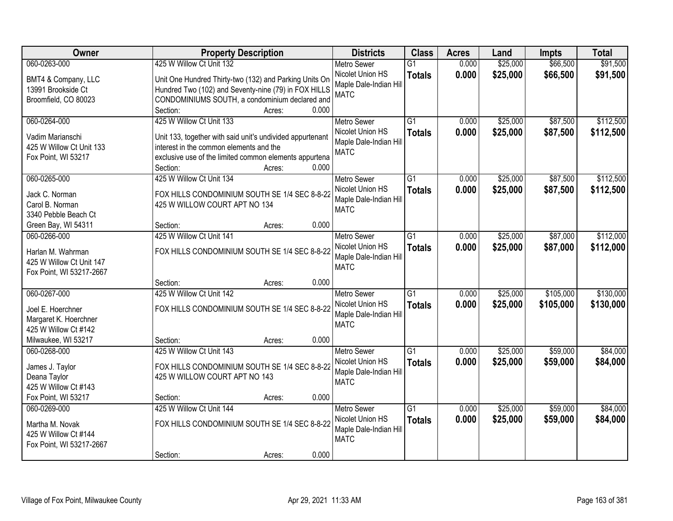| Owner                                                                               | <b>Property Description</b>                                                                                                                                                            |       | <b>Districts</b>                                                                | <b>Class</b>                     | <b>Acres</b>   | Land                 | <b>Impts</b>           | <b>Total</b>           |
|-------------------------------------------------------------------------------------|----------------------------------------------------------------------------------------------------------------------------------------------------------------------------------------|-------|---------------------------------------------------------------------------------|----------------------------------|----------------|----------------------|------------------------|------------------------|
| 060-0263-000                                                                        | 425 W Willow Ct Unit 132                                                                                                                                                               |       | <b>Metro Sewer</b>                                                              | $\overline{G1}$                  | 0.000          | \$25,000             | \$66,500               | \$91,500               |
| BMT4 & Company, LLC<br>13991 Brookside Ct<br>Broomfield, CO 80023                   | Unit One Hundred Thirty-two (132) and Parking Units On<br>Hundred Two (102) and Seventy-nine (79) in FOX HILLS<br>CONDOMINIUMS SOUTH, a condominium declared and<br>Section:<br>Acres: | 0.000 | Nicolet Union HS<br>Maple Dale-Indian Hill<br><b>MATC</b>                       | <b>Totals</b>                    | 0.000          | \$25,000             | \$66,500               | \$91,500               |
| 060-0264-000                                                                        | 425 W Willow Ct Unit 133                                                                                                                                                               |       | <b>Metro Sewer</b>                                                              | $\overline{G1}$                  | 0.000          | \$25,000             | \$87,500               | \$112,500              |
| Vadim Marianschi<br>425 W Willow Ct Unit 133<br>Fox Point, WI 53217                 | Unit 133, together with said unit's undivided appurtenant<br>interest in the common elements and the<br>exclusive use of the limited common elements appurtena<br>Section:<br>Acres:   | 0.000 | Nicolet Union HS<br>Maple Dale-Indian Hill<br><b>MATC</b>                       | <b>Totals</b>                    | 0.000          | \$25,000             | \$87,500               | \$112,500              |
| 060-0265-000                                                                        | 425 W Willow Ct Unit 134                                                                                                                                                               |       | <b>Metro Sewer</b>                                                              | G1                               | 0.000          | \$25,000             | \$87,500               | \$112,500              |
| Jack C. Norman<br>Carol B. Norman<br>3340 Pebble Beach Ct                           | FOX HILLS CONDOMINIUM SOUTH SE 1/4 SEC 8-8-22<br>425 W WILLOW COURT APT NO 134                                                                                                         |       | Nicolet Union HS<br>Maple Dale-Indian Hill<br><b>MATC</b>                       | <b>Totals</b>                    | 0.000          | \$25,000             | \$87,500               | \$112,500              |
| Green Bay, WI 54311                                                                 | Section:<br>Acres:                                                                                                                                                                     | 0.000 |                                                                                 |                                  |                |                      |                        |                        |
| 060-0266-000<br>Harlan M. Wahrman<br>425 W Willow Ct Unit 147                       | 425 W Willow Ct Unit 141<br>FOX HILLS CONDOMINIUM SOUTH SE 1/4 SEC 8-8-22                                                                                                              |       | <b>Metro Sewer</b><br>Nicolet Union HS<br>Maple Dale-Indian Hill<br><b>MATC</b> | G1<br><b>Totals</b>              | 0.000<br>0.000 | \$25,000<br>\$25,000 | \$87,000<br>\$87,000   | \$112,000<br>\$112,000 |
| Fox Point, WI 53217-2667                                                            | Section:                                                                                                                                                                               | 0.000 |                                                                                 |                                  |                |                      |                        |                        |
| 060-0267-000<br>Joel E. Hoerchner<br>Margaret K. Hoerchner<br>425 W Willow Ct #142  | Acres:<br>425 W Willow Ct Unit 142<br>FOX HILLS CONDOMINIUM SOUTH SE 1/4 SEC 8-8-22                                                                                                    |       | <b>Metro Sewer</b><br>Nicolet Union HS<br>Maple Dale-Indian Hill<br><b>MATC</b> | $\overline{G1}$<br><b>Totals</b> | 0.000<br>0.000 | \$25,000<br>\$25,000 | \$105,000<br>\$105,000 | \$130,000<br>\$130,000 |
| Milwaukee, WI 53217                                                                 | Section:<br>Acres:                                                                                                                                                                     | 0.000 |                                                                                 |                                  |                |                      |                        |                        |
| 060-0268-000<br>James J. Taylor<br>Deana Taylor<br>425 W Willow Ct #143             | 425 W Willow Ct Unit 143<br>FOX HILLS CONDOMINIUM SOUTH SE 1/4 SEC 8-8-22<br>425 W WILLOW COURT APT NO 143                                                                             |       | <b>Metro Sewer</b><br>Nicolet Union HS<br>Maple Dale-Indian Hill<br><b>MATC</b> | $\overline{G1}$<br><b>Totals</b> | 0.000<br>0.000 | \$25,000<br>\$25,000 | \$59,000<br>\$59,000   | \$84,000<br>\$84,000   |
| Fox Point, WI 53217                                                                 | Section:<br>Acres:                                                                                                                                                                     | 0.000 |                                                                                 |                                  |                |                      |                        |                        |
| 060-0269-000<br>Martha M. Novak<br>425 W Willow Ct #144<br>Fox Point, WI 53217-2667 | 425 W Willow Ct Unit 144<br>FOX HILLS CONDOMINIUM SOUTH SE 1/4 SEC 8-8-22<br>Section:<br>Acres:                                                                                        | 0.000 | <b>Metro Sewer</b><br>Nicolet Union HS<br>Maple Dale-Indian Hill<br><b>MATC</b> | $\overline{G1}$<br><b>Totals</b> | 0.000<br>0.000 | \$25,000<br>\$25,000 | \$59,000<br>\$59,000   | \$84,000<br>\$84,000   |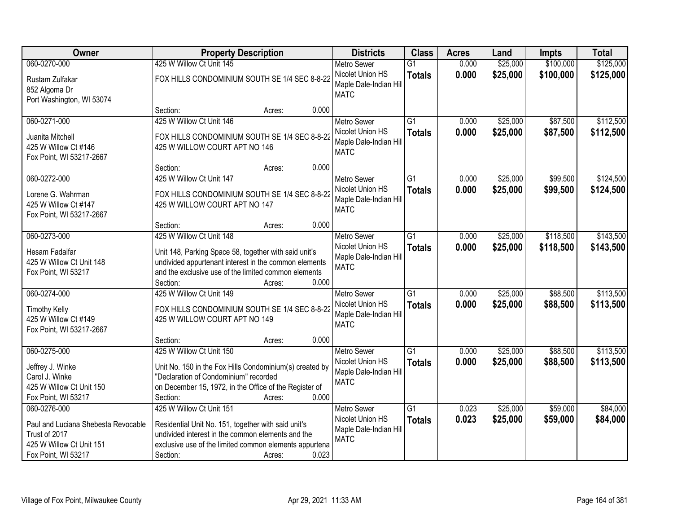| Owner                                     | <b>Property Description</b>                                                    |                 | <b>Districts</b>                           | <b>Class</b>    | <b>Acres</b> | Land     | <b>Impts</b> | <b>Total</b> |
|-------------------------------------------|--------------------------------------------------------------------------------|-----------------|--------------------------------------------|-----------------|--------------|----------|--------------|--------------|
| 060-0270-000                              | 425 W Willow Ct Unit 145                                                       |                 | <b>Metro Sewer</b>                         | $\overline{G1}$ | 0.000        | \$25,000 | \$100,000    | \$125,000    |
| Rustam Zulfakar<br>852 Algoma Dr          | FOX HILLS CONDOMINIUM SOUTH SE 1/4 SEC 8-8-22                                  |                 | Nicolet Union HS<br>Maple Dale-Indian Hill | <b>Totals</b>   | 0.000        | \$25,000 | \$100,000    | \$125,000    |
| Port Washington, WI 53074                 |                                                                                |                 | <b>MATC</b>                                |                 |              |          |              |              |
|                                           | Section:                                                                       | 0.000<br>Acres: |                                            |                 |              |          |              |              |
| 060-0271-000                              | 425 W Willow Ct Unit 146                                                       |                 | <b>Metro Sewer</b>                         | $\overline{G1}$ | 0.000        | \$25,000 | \$87,500     | \$112,500    |
|                                           |                                                                                |                 | Nicolet Union HS                           | <b>Totals</b>   | 0.000        | \$25,000 | \$87,500     | \$112,500    |
| Juanita Mitchell<br>425 W Willow Ct #146  | FOX HILLS CONDOMINIUM SOUTH SE 1/4 SEC 8-8-22<br>425 W WILLOW COURT APT NO 146 |                 | Maple Dale-Indian Hill                     |                 |              |          |              |              |
| Fox Point, WI 53217-2667                  |                                                                                |                 | <b>MATC</b>                                |                 |              |          |              |              |
|                                           | Section:                                                                       | 0.000<br>Acres: |                                            |                 |              |          |              |              |
| 060-0272-000                              | 425 W Willow Ct Unit 147                                                       |                 | Metro Sewer                                | $\overline{G1}$ | 0.000        | \$25,000 | \$99,500     | \$124,500    |
|                                           | FOX HILLS CONDOMINIUM SOUTH SE 1/4 SEC 8-8-22                                  |                 | Nicolet Union HS                           | <b>Totals</b>   | 0.000        | \$25,000 | \$99,500     | \$124,500    |
| Lorene G. Wahrman<br>425 W Willow Ct #147 | 425 W WILLOW COURT APT NO 147                                                  |                 | Maple Dale-Indian Hill                     |                 |              |          |              |              |
| Fox Point, WI 53217-2667                  |                                                                                |                 | <b>MATC</b>                                |                 |              |          |              |              |
|                                           | Section:                                                                       | 0.000<br>Acres: |                                            |                 |              |          |              |              |
| 060-0273-000                              | 425 W Willow Ct Unit 148                                                       |                 | <b>Metro Sewer</b>                         | G1              | 0.000        | \$25,000 | \$118,500    | \$143,500    |
|                                           |                                                                                |                 | Nicolet Union HS                           | <b>Totals</b>   | 0.000        | \$25,000 | \$118,500    | \$143,500    |
| Hesam Fadaifar                            | Unit 148, Parking Space 58, together with said unit's                          |                 | Maple Dale-Indian Hill                     |                 |              |          |              |              |
| 425 W Willow Ct Unit 148                  | undivided appurtenant interest in the common elements                          |                 | <b>MATC</b>                                |                 |              |          |              |              |
| Fox Point, WI 53217                       | and the exclusive use of the limited common elements                           |                 |                                            |                 |              |          |              |              |
|                                           | Section:                                                                       | 0.000<br>Acres: |                                            |                 |              |          |              |              |
| 060-0274-000                              | 425 W Willow Ct Unit 149                                                       |                 | <b>Metro Sewer</b>                         | $\overline{G1}$ | 0.000        | \$25,000 | \$88,500     | \$113,500    |
| <b>Timothy Kelly</b>                      | FOX HILLS CONDOMINIUM SOUTH SE 1/4 SEC 8-8-22                                  |                 | Nicolet Union HS                           | <b>Totals</b>   | 0.000        | \$25,000 | \$88,500     | \$113,500    |
| 425 W Willow Ct #149                      | 425 W WILLOW COURT APT NO 149                                                  |                 | Maple Dale-Indian Hill                     |                 |              |          |              |              |
| Fox Point, WI 53217-2667                  |                                                                                |                 | <b>MATC</b>                                |                 |              |          |              |              |
|                                           | Section:                                                                       | 0.000<br>Acres: |                                            |                 |              |          |              |              |
| 060-0275-000                              | 425 W Willow Ct Unit 150                                                       |                 | Metro Sewer                                | G1              | 0.000        | \$25,000 | \$88,500     | \$113,500    |
| Jeffrey J. Winke                          | Unit No. 150 in the Fox Hills Condominium(s) created by                        |                 | Nicolet Union HS                           | <b>Totals</b>   | 0.000        | \$25,000 | \$88,500     | \$113,500    |
| Carol J. Winke                            | "Declaration of Condominium" recorded                                          |                 | Maple Dale-Indian Hill                     |                 |              |          |              |              |
| 425 W Willow Ct Unit 150                  | on December 15, 1972, in the Office of the Register of                         |                 | <b>MATC</b>                                |                 |              |          |              |              |
| Fox Point, WI 53217                       | Section:                                                                       | 0.000<br>Acres: |                                            |                 |              |          |              |              |
| 060-0276-000                              | 425 W Willow Ct Unit 151                                                       |                 | <b>Metro Sewer</b>                         | $\overline{G1}$ | 0.023        | \$25,000 | \$59,000     | \$84,000     |
| Paul and Luciana Shebesta Revocable       | Residential Unit No. 151, together with said unit's                            |                 | Nicolet Union HS                           | <b>Totals</b>   | 0.023        | \$25,000 | \$59,000     | \$84,000     |
| Trust of 2017                             | undivided interest in the common elements and the                              |                 | Maple Dale-Indian Hill                     |                 |              |          |              |              |
| 425 W Willow Ct Unit 151                  | exclusive use of the limited common elements appurtena                         |                 | <b>MATC</b>                                |                 |              |          |              |              |
| Fox Point, WI 53217                       | Section:                                                                       | 0.023<br>Acres: |                                            |                 |              |          |              |              |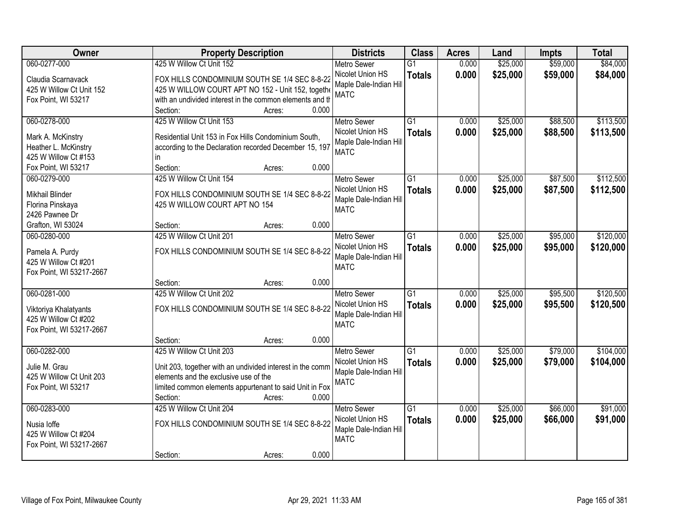| Owner                    | <b>Property Description</b>                               | <b>Districts</b>                      | <b>Class</b>    | <b>Acres</b> | Land     | <b>Impts</b> | <b>Total</b> |
|--------------------------|-----------------------------------------------------------|---------------------------------------|-----------------|--------------|----------|--------------|--------------|
| 060-0277-000             | 425 W Willow Ct Unit 152                                  | <b>Metro Sewer</b>                    | $\overline{G1}$ | 0.000        | \$25,000 | \$59,000     | \$84,000     |
| Claudia Scarnavack       | FOX HILLS CONDOMINIUM SOUTH SE 1/4 SEC 8-8-22             | Nicolet Union HS                      | <b>Totals</b>   | 0.000        | \$25,000 | \$59,000     | \$84,000     |
| 425 W Willow Ct Unit 152 | 425 W WILLOW COURT APT NO 152 - Unit 152, togethe         | Maple Dale-Indian Hill                |                 |              |          |              |              |
| Fox Point, WI 53217      | with an undivided interest in the common elements and th  | <b>MATC</b>                           |                 |              |          |              |              |
|                          | 0.000<br>Section:<br>Acres:                               |                                       |                 |              |          |              |              |
| 060-0278-000             | 425 W Willow Ct Unit 153                                  | <b>Metro Sewer</b>                    | $\overline{G1}$ | 0.000        | \$25,000 | \$88,500     | \$113,500    |
| Mark A. McKinstry        | Residential Unit 153 in Fox Hills Condominium South,      | Nicolet Union HS                      | <b>Totals</b>   | 0.000        | \$25,000 | \$88,500     | \$113,500    |
| Heather L. McKinstry     | according to the Declaration recorded December 15, 197    | Maple Dale-Indian Hill                |                 |              |          |              |              |
| 425 W Willow Ct #153     | in.                                                       | <b>MATC</b>                           |                 |              |          |              |              |
| Fox Point, WI 53217      | Section:<br>0.000<br>Acres:                               |                                       |                 |              |          |              |              |
| 060-0279-000             | 425 W Willow Ct Unit 154                                  | Metro Sewer                           | $\overline{G1}$ | 0.000        | \$25,000 | \$87,500     | \$112,500    |
|                          |                                                           | Nicolet Union HS                      | <b>Totals</b>   | 0.000        | \$25,000 | \$87,500     | \$112,500    |
| Mikhail Blinder          | FOX HILLS CONDOMINIUM SOUTH SE 1/4 SEC 8-8-22             | Maple Dale-Indian Hill                |                 |              |          |              |              |
| Florina Pinskaya         | 425 W WILLOW COURT APT NO 154                             | <b>MATC</b>                           |                 |              |          |              |              |
| 2426 Pawnee Dr           |                                                           |                                       |                 |              |          |              |              |
| Grafton, WI 53024        | 0.000<br>Section:<br>Acres:                               |                                       |                 |              |          |              |              |
| 060-0280-000             | 425 W Willow Ct Unit 201                                  | <b>Metro Sewer</b>                    | $\overline{G1}$ | 0.000        | \$25,000 | \$95,000     | \$120,000    |
| Pamela A. Purdy          | FOX HILLS CONDOMINIUM SOUTH SE 1/4 SEC 8-8-22             | Nicolet Union HS                      | <b>Totals</b>   | 0.000        | \$25,000 | \$95,000     | \$120,000    |
| 425 W Willow Ct #201     |                                                           | Maple Dale-Indian Hill<br><b>MATC</b> |                 |              |          |              |              |
| Fox Point, WI 53217-2667 |                                                           |                                       |                 |              |          |              |              |
|                          | 0.000<br>Section:<br>Acres:                               |                                       |                 |              |          |              |              |
| 060-0281-000             | 425 W Willow Ct Unit 202                                  | <b>Metro Sewer</b>                    | $\overline{G1}$ | 0.000        | \$25,000 | \$95,500     | \$120,500    |
| Viktoriya Khalatyants    | FOX HILLS CONDOMINIUM SOUTH SE 1/4 SEC 8-8-22             | Nicolet Union HS                      | <b>Totals</b>   | 0.000        | \$25,000 | \$95,500     | \$120,500    |
| 425 W Willow Ct #202     |                                                           | Maple Dale-Indian Hill                |                 |              |          |              |              |
| Fox Point, WI 53217-2667 |                                                           | <b>MATC</b>                           |                 |              |          |              |              |
|                          | 0.000<br>Section:<br>Acres:                               |                                       |                 |              |          |              |              |
| 060-0282-000             | 425 W Willow Ct Unit 203                                  | <b>Metro Sewer</b>                    | $\overline{G1}$ | 0.000        | \$25,000 | \$79,000     | \$104,000    |
| Julie M. Grau            | Unit 203, together with an undivided interest in the comm | Nicolet Union HS                      | <b>Totals</b>   | 0.000        | \$25,000 | \$79,000     | \$104,000    |
| 425 W Willow Ct Unit 203 | elements and the exclusive use of the                     | Maple Dale-Indian Hill                |                 |              |          |              |              |
| Fox Point, WI 53217      | limited common elements appurtenant to said Unit in Fox   | <b>MATC</b>                           |                 |              |          |              |              |
|                          | Section:<br>0.000<br>Acres:                               |                                       |                 |              |          |              |              |
| 060-0283-000             | 425 W Willow Ct Unit 204                                  | <b>Metro Sewer</b>                    | $\overline{G1}$ | 0.000        | \$25,000 | \$66,000     | \$91,000     |
|                          |                                                           | Nicolet Union HS                      | <b>Totals</b>   | 0.000        | \$25,000 | \$66,000     | \$91,000     |
| Nusia loffe              | FOX HILLS CONDOMINIUM SOUTH SE 1/4 SEC 8-8-22             | Maple Dale-Indian Hill                |                 |              |          |              |              |
| 425 W Willow Ct #204     |                                                           | <b>MATC</b>                           |                 |              |          |              |              |
| Fox Point, WI 53217-2667 |                                                           |                                       |                 |              |          |              |              |
|                          | 0.000<br>Section:<br>Acres:                               |                                       |                 |              |          |              |              |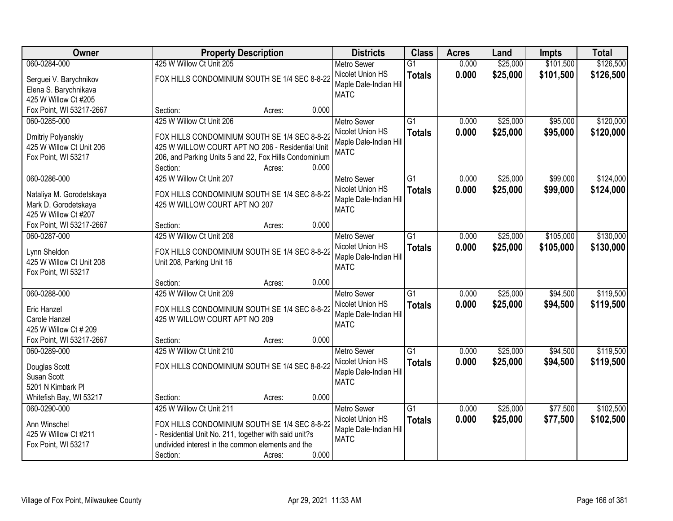| Owner                    |                                                        | <b>Property Description</b> |       | <b>Districts</b>       | <b>Class</b>    | <b>Acres</b> | Land     | <b>Impts</b> | <b>Total</b> |
|--------------------------|--------------------------------------------------------|-----------------------------|-------|------------------------|-----------------|--------------|----------|--------------|--------------|
| 060-0284-000             | 425 W Willow Ct Unit 205                               |                             |       | <b>Metro Sewer</b>     | $\overline{G1}$ | 0.000        | \$25,000 | \$101,500    | \$126,500    |
| Serguei V. Barychnikov   | FOX HILLS CONDOMINIUM SOUTH SE 1/4 SEC 8-8-22          |                             |       | Nicolet Union HS       | <b>Totals</b>   | 0.000        | \$25,000 | \$101,500    | \$126,500    |
| Elena S. Barychnikava    |                                                        |                             |       | Maple Dale-Indian Hill |                 |              |          |              |              |
| 425 W Willow Ct #205     |                                                        |                             |       | <b>MATC</b>            |                 |              |          |              |              |
| Fox Point, WI 53217-2667 | Section:                                               | Acres:                      | 0.000 |                        |                 |              |          |              |              |
| 060-0285-000             | 425 W Willow Ct Unit 206                               |                             |       | <b>Metro Sewer</b>     | $\overline{G1}$ | 0.000        | \$25,000 | \$95,000     | \$120,000    |
| Dmitriy Polyanskiy       | FOX HILLS CONDOMINIUM SOUTH SE 1/4 SEC 8-8-22          |                             |       | Nicolet Union HS       | <b>Totals</b>   | 0.000        | \$25,000 | \$95,000     | \$120,000    |
| 425 W Willow Ct Unit 206 | 425 W WILLOW COURT APT NO 206 - Residential Unit       |                             |       | Maple Dale-Indian Hill |                 |              |          |              |              |
| Fox Point, WI 53217      | 206, and Parking Units 5 and 22, Fox Hills Condominium |                             |       | <b>MATC</b>            |                 |              |          |              |              |
|                          | Section:                                               | Acres:                      | 0.000 |                        |                 |              |          |              |              |
| 060-0286-000             | 425 W Willow Ct Unit 207                               |                             |       | <b>Metro Sewer</b>     | G1              | 0.000        | \$25,000 | \$99,000     | \$124,000    |
| Nataliya M. Gorodetskaya | FOX HILLS CONDOMINIUM SOUTH SE 1/4 SEC 8-8-22          |                             |       | Nicolet Union HS       | <b>Totals</b>   | 0.000        | \$25,000 | \$99,000     | \$124,000    |
| Mark D. Gorodetskaya     | 425 W WILLOW COURT APT NO 207                          |                             |       | Maple Dale-Indian Hill |                 |              |          |              |              |
| 425 W Willow Ct #207     |                                                        |                             |       | <b>MATC</b>            |                 |              |          |              |              |
| Fox Point, WI 53217-2667 | Section:                                               | Acres:                      | 0.000 |                        |                 |              |          |              |              |
| 060-0287-000             | 425 W Willow Ct Unit 208                               |                             |       | <b>Metro Sewer</b>     | G1              | 0.000        | \$25,000 | \$105,000    | \$130,000    |
| Lynn Sheldon             | FOX HILLS CONDOMINIUM SOUTH SE 1/4 SEC 8-8-22          |                             |       | Nicolet Union HS       | <b>Totals</b>   | 0.000        | \$25,000 | \$105,000    | \$130,000    |
| 425 W Willow Ct Unit 208 | Unit 208, Parking Unit 16                              |                             |       | Maple Dale-Indian Hill |                 |              |          |              |              |
| Fox Point, WI 53217      |                                                        |                             |       | <b>MATC</b>            |                 |              |          |              |              |
|                          | Section:                                               | Acres:                      | 0.000 |                        |                 |              |          |              |              |
| 060-0288-000             | 425 W Willow Ct Unit 209                               |                             |       | <b>Metro Sewer</b>     | $\overline{G1}$ | 0.000        | \$25,000 | \$94,500     | \$119,500    |
| <b>Eric Hanzel</b>       | FOX HILLS CONDOMINIUM SOUTH SE 1/4 SEC 8-8-22          |                             |       | Nicolet Union HS       | <b>Totals</b>   | 0.000        | \$25,000 | \$94,500     | \$119,500    |
| Carole Hanzel            | 425 W WILLOW COURT APT NO 209                          |                             |       | Maple Dale-Indian Hill |                 |              |          |              |              |
| 425 W Willow Ct # 209    |                                                        |                             |       | <b>MATC</b>            |                 |              |          |              |              |
| Fox Point, WI 53217-2667 | Section:                                               | Acres:                      | 0.000 |                        |                 |              |          |              |              |
| 060-0289-000             | 425 W Willow Ct Unit 210                               |                             |       | <b>Metro Sewer</b>     | $\overline{G1}$ | 0.000        | \$25,000 | \$94,500     | \$119,500    |
| Douglas Scott            | FOX HILLS CONDOMINIUM SOUTH SE 1/4 SEC 8-8-22          |                             |       | Nicolet Union HS       | <b>Totals</b>   | 0.000        | \$25,000 | \$94,500     | \$119,500    |
| Susan Scott              |                                                        |                             |       | Maple Dale-Indian Hill |                 |              |          |              |              |
| 5201 N Kimbark PI        |                                                        |                             |       | <b>MATC</b>            |                 |              |          |              |              |
| Whitefish Bay, WI 53217  | Section:                                               | Acres:                      | 0.000 |                        |                 |              |          |              |              |
| 060-0290-000             | 425 W Willow Ct Unit 211                               |                             |       | <b>Metro Sewer</b>     | $\overline{G1}$ | 0.000        | \$25,000 | \$77,500     | \$102,500    |
| Ann Winschel             | FOX HILLS CONDOMINIUM SOUTH SE 1/4 SEC 8-8-22          |                             |       | Nicolet Union HS       | <b>Totals</b>   | 0.000        | \$25,000 | \$77,500     | \$102,500    |
| 425 W Willow Ct #211     | - Residential Unit No. 211, together with said unit?s  |                             |       | Maple Dale-Indian Hill |                 |              |          |              |              |
| Fox Point, WI 53217      | undivided interest in the common elements and the      |                             |       | <b>MATC</b>            |                 |              |          |              |              |
|                          | Section:                                               | Acres:                      | 0.000 |                        |                 |              |          |              |              |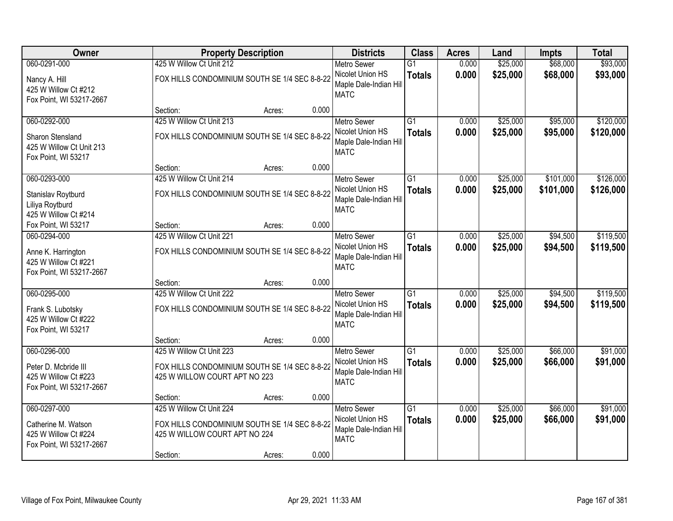| Owner                                                                            |                                                                           | <b>Property Description</b>                   |       | <b>Districts</b>                                                                | <b>Class</b>                     | <b>Acres</b>   | Land                 | <b>Impts</b>         | <b>Total</b>           |
|----------------------------------------------------------------------------------|---------------------------------------------------------------------------|-----------------------------------------------|-------|---------------------------------------------------------------------------------|----------------------------------|----------------|----------------------|----------------------|------------------------|
| 060-0291-000                                                                     | 425 W Willow Ct Unit 212                                                  |                                               |       | <b>Metro Sewer</b>                                                              | $\overline{G1}$                  | 0.000          | \$25,000             | \$68,000             | \$93,000               |
| Nancy A. Hill<br>425 W Willow Ct #212<br>Fox Point, WI 53217-2667                | FOX HILLS CONDOMINIUM SOUTH SE 1/4 SEC 8-8-22                             |                                               |       | Nicolet Union HS<br>Maple Dale-Indian Hill<br><b>MATC</b>                       | <b>Totals</b>                    | 0.000          | \$25,000             | \$68,000             | \$93,000               |
|                                                                                  | Section:                                                                  | Acres:                                        | 0.000 |                                                                                 |                                  |                |                      |                      |                        |
| 060-0292-000                                                                     | 425 W Willow Ct Unit 213                                                  |                                               |       | <b>Metro Sewer</b>                                                              | $\overline{G1}$                  | 0.000          | \$25,000             | \$95,000             | \$120,000              |
| <b>Sharon Stensland</b><br>425 W Willow Ct Unit 213<br>Fox Point, WI 53217       |                                                                           | FOX HILLS CONDOMINIUM SOUTH SE 1/4 SEC 8-8-22 |       | Nicolet Union HS<br>Maple Dale-Indian Hill<br><b>MATC</b>                       | <b>Totals</b>                    | 0.000          | \$25,000             | \$95,000             | \$120,000              |
|                                                                                  | Section:                                                                  | Acres:                                        | 0.000 |                                                                                 |                                  |                |                      |                      |                        |
| 060-0293-000                                                                     | 425 W Willow Ct Unit 214                                                  |                                               |       | Metro Sewer                                                                     | $\overline{G1}$                  | 0.000          | \$25,000             | \$101,000            | \$126,000              |
| Stanislav Roytburd<br>Liliya Roytburd<br>425 W Willow Ct #214                    |                                                                           | FOX HILLS CONDOMINIUM SOUTH SE 1/4 SEC 8-8-22 |       | Nicolet Union HS<br>Maple Dale-Indian Hill<br><b>MATC</b>                       | <b>Totals</b>                    | 0.000          | \$25,000             | \$101,000            | \$126,000              |
| Fox Point, WI 53217                                                              | Section:                                                                  | Acres:                                        | 0.000 |                                                                                 |                                  |                |                      |                      |                        |
| 060-0294-000                                                                     | 425 W Willow Ct Unit 221                                                  |                                               |       | <b>Metro Sewer</b>                                                              | $\overline{G1}$                  | 0.000          | \$25,000             | \$94,500             | \$119,500              |
| Anne K. Harrington<br>425 W Willow Ct #221<br>Fox Point, WI 53217-2667           |                                                                           | FOX HILLS CONDOMINIUM SOUTH SE 1/4 SEC 8-8-22 |       | Nicolet Union HS<br>Maple Dale-Indian Hill<br><b>MATC</b>                       | <b>Totals</b>                    | 0.000          | \$25,000             | \$94,500             | \$119,500              |
|                                                                                  | Section:                                                                  | Acres:                                        | 0.000 |                                                                                 |                                  |                |                      |                      |                        |
| 060-0295-000<br>Frank S. Lubotsky<br>425 W Willow Ct #222<br>Fox Point, WI 53217 | 425 W Willow Ct Unit 222<br>FOX HILLS CONDOMINIUM SOUTH SE 1/4 SEC 8-8-22 |                                               |       | <b>Metro Sewer</b><br>Nicolet Union HS<br>Maple Dale-Indian Hill<br><b>MATC</b> | $\overline{G1}$<br><b>Totals</b> | 0.000<br>0.000 | \$25,000<br>\$25,000 | \$94,500<br>\$94,500 | \$119,500<br>\$119,500 |
|                                                                                  | Section:                                                                  | Acres:                                        | 0.000 |                                                                                 |                                  |                |                      |                      |                        |
| 060-0296-000                                                                     | 425 W Willow Ct Unit 223                                                  |                                               |       | <b>Metro Sewer</b>                                                              | $\overline{G1}$                  | 0.000          | \$25,000             | \$66,000             | \$91,000               |
| Peter D. Mcbride III<br>425 W Willow Ct #223<br>Fox Point, WI 53217-2667         | 425 W WILLOW COURT APT NO 223                                             | FOX HILLS CONDOMINIUM SOUTH SE 1/4 SEC 8-8-22 |       | Nicolet Union HS<br>Maple Dale-Indian Hill<br><b>MATC</b>                       | <b>Totals</b>                    | 0.000          | \$25,000             | \$66,000             | \$91,000               |
|                                                                                  | Section:                                                                  | Acres:                                        | 0.000 |                                                                                 |                                  |                |                      |                      |                        |
| 060-0297-000                                                                     | 425 W Willow Ct Unit 224                                                  |                                               |       | <b>Metro Sewer</b>                                                              | $\overline{G1}$                  | 0.000          | \$25,000             | \$66,000             | \$91,000               |
| Catherine M. Watson<br>425 W Willow Ct #224<br>Fox Point, WI 53217-2667          | 425 W WILLOW COURT APT NO 224                                             | FOX HILLS CONDOMINIUM SOUTH SE 1/4 SEC 8-8-22 |       | Nicolet Union HS<br>Maple Dale-Indian Hill<br><b>MATC</b>                       | <b>Totals</b>                    | 0.000          | \$25,000             | \$66,000             | \$91,000               |
|                                                                                  | Section:                                                                  | Acres:                                        | 0.000 |                                                                                 |                                  |                |                      |                      |                        |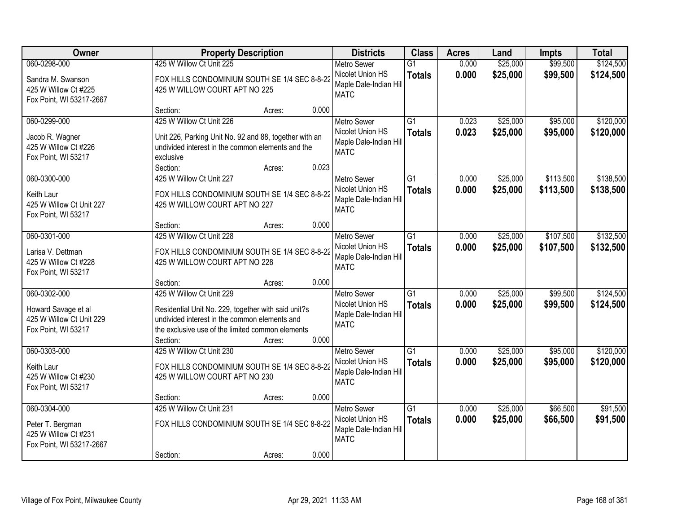| Owner                                                                                  |                                                                                                                                                                                                  | <b>Property Description</b> |       | <b>Districts</b>                                                                | <b>Class</b>                     | <b>Acres</b>   | Land                 | <b>Impts</b>           | <b>Total</b>           |
|----------------------------------------------------------------------------------------|--------------------------------------------------------------------------------------------------------------------------------------------------------------------------------------------------|-----------------------------|-------|---------------------------------------------------------------------------------|----------------------------------|----------------|----------------------|------------------------|------------------------|
| 060-0298-000<br>Sandra M. Swanson<br>425 W Willow Ct #225<br>Fox Point, WI 53217-2667  | 425 W Willow Ct Unit 225<br>FOX HILLS CONDOMINIUM SOUTH SE 1/4 SEC 8-8-22<br>425 W WILLOW COURT APT NO 225                                                                                       |                             |       | <b>Metro Sewer</b><br>Nicolet Union HS<br>Maple Dale-Indian Hill<br><b>MATC</b> | $\overline{G1}$<br><b>Totals</b> | 0.000<br>0.000 | \$25,000<br>\$25,000 | \$99,500<br>\$99,500   | \$124,500<br>\$124,500 |
|                                                                                        | Section:                                                                                                                                                                                         | Acres:                      | 0.000 |                                                                                 |                                  |                |                      |                        |                        |
| 060-0299-000<br>Jacob R. Wagner<br>425 W Willow Ct #226<br>Fox Point, WI 53217         | 425 W Willow Ct Unit 226<br>Unit 226, Parking Unit No. 92 and 88, together with an<br>undivided interest in the common elements and the<br>exclusive<br>Section:                                 | Acres:                      | 0.023 | <b>Metro Sewer</b><br>Nicolet Union HS<br>Maple Dale-Indian Hill<br><b>MATC</b> | $\overline{G1}$<br><b>Totals</b> | 0.023<br>0.023 | \$25,000<br>\$25,000 | \$95,000<br>\$95,000   | \$120,000<br>\$120,000 |
| 060-0300-000                                                                           | 425 W Willow Ct Unit 227                                                                                                                                                                         |                             |       | Metro Sewer<br>Nicolet Union HS                                                 | $\overline{G1}$<br><b>Totals</b> | 0.000<br>0.000 | \$25,000<br>\$25,000 | \$113,500<br>\$113,500 | \$138,500<br>\$138,500 |
| Keith Laur<br>425 W Willow Ct Unit 227<br>Fox Point, WI 53217                          | FOX HILLS CONDOMINIUM SOUTH SE 1/4 SEC 8-8-22<br>425 W WILLOW COURT APT NO 227                                                                                                                   |                             |       | Maple Dale-Indian Hill<br><b>MATC</b>                                           |                                  |                |                      |                        |                        |
|                                                                                        | Section:                                                                                                                                                                                         | Acres:                      | 0.000 |                                                                                 |                                  |                |                      |                        |                        |
| 060-0301-000<br>Larisa V. Dettman<br>425 W Willow Ct #228<br>Fox Point, WI 53217       | 425 W Willow Ct Unit 228<br>FOX HILLS CONDOMINIUM SOUTH SE 1/4 SEC 8-8-22<br>425 W WILLOW COURT APT NO 228                                                                                       |                             |       | <b>Metro Sewer</b><br>Nicolet Union HS<br>Maple Dale-Indian Hill<br><b>MATC</b> | $\overline{G1}$<br><b>Totals</b> | 0.000<br>0.000 | \$25,000<br>\$25,000 | \$107,500<br>\$107,500 | \$132,500<br>\$132,500 |
|                                                                                        | Section:                                                                                                                                                                                         | Acres:                      | 0.000 |                                                                                 |                                  |                |                      |                        |                        |
| 060-0302-000<br>Howard Savage et al<br>425 W Willow Ct Unit 229<br>Fox Point, WI 53217 | 425 W Willow Ct Unit 229<br>Residential Unit No. 229, together with said unit?s<br>undivided interest in the common elements and<br>the exclusive use of the limited common elements<br>Section: | Acres:                      | 0.000 | <b>Metro Sewer</b><br>Nicolet Union HS<br>Maple Dale-Indian Hill<br><b>MATC</b> | $\overline{G1}$<br><b>Totals</b> | 0.000<br>0.000 | \$25,000<br>\$25,000 | \$99,500<br>\$99,500   | \$124,500<br>\$124,500 |
| 060-0303-000<br>Keith Laur<br>425 W Willow Ct #230<br>Fox Point, WI 53217              | 425 W Willow Ct Unit 230<br>FOX HILLS CONDOMINIUM SOUTH SE 1/4 SEC 8-8-22<br>425 W WILLOW COURT APT NO 230                                                                                       |                             |       | Metro Sewer<br>Nicolet Union HS<br>Maple Dale-Indian Hill<br><b>MATC</b>        | $\overline{G1}$<br><b>Totals</b> | 0.000<br>0.000 | \$25,000<br>\$25,000 | \$95,000<br>\$95,000   | \$120,000<br>\$120,000 |
|                                                                                        | Section:                                                                                                                                                                                         | Acres:                      | 0.000 |                                                                                 |                                  |                |                      |                        |                        |
| 060-0304-000<br>Peter T. Bergman<br>425 W Willow Ct #231<br>Fox Point, WI 53217-2667   | 425 W Willow Ct Unit 231<br>FOX HILLS CONDOMINIUM SOUTH SE 1/4 SEC 8-8-22<br>Section:                                                                                                            | Acres:                      | 0.000 | <b>Metro Sewer</b><br>Nicolet Union HS<br>Maple Dale-Indian Hill<br><b>MATC</b> | $\overline{G1}$<br><b>Totals</b> | 0.000<br>0.000 | \$25,000<br>\$25,000 | \$66,500<br>\$66,500   | \$91,500<br>\$91,500   |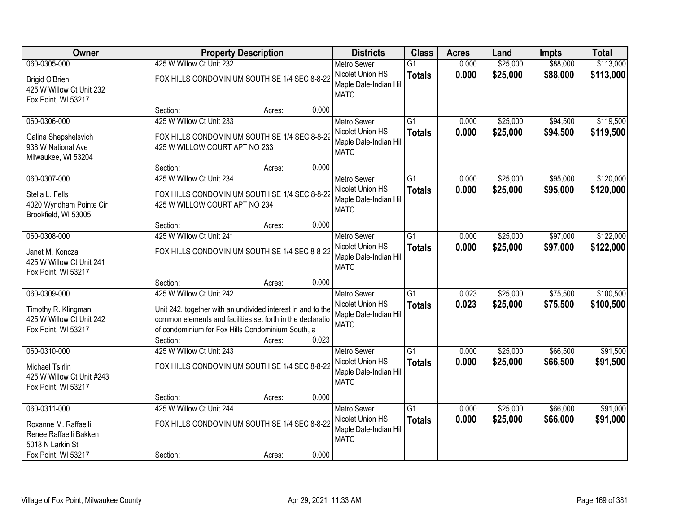| Owner                                                                                  |                                                           | <b>Property Description</b>                                                                                                                                                              |       |                                                                                 |                                  | <b>Acres</b>   | Land                 | <b>Impts</b>         | <b>Total</b>           |
|----------------------------------------------------------------------------------------|-----------------------------------------------------------|------------------------------------------------------------------------------------------------------------------------------------------------------------------------------------------|-------|---------------------------------------------------------------------------------|----------------------------------|----------------|----------------------|----------------------|------------------------|
| 060-0305-000                                                                           | 425 W Willow Ct Unit 232                                  |                                                                                                                                                                                          |       | <b>Metro Sewer</b>                                                              | $\overline{G1}$                  | 0.000          | \$25,000             | \$88,000             | \$113,000              |
| <b>Brigid O'Brien</b><br>425 W Willow Ct Unit 232<br>Fox Point, WI 53217               | FOX HILLS CONDOMINIUM SOUTH SE 1/4 SEC 8-8-22             |                                                                                                                                                                                          |       | Nicolet Union HS<br>Maple Dale-Indian Hill<br><b>MATC</b>                       | <b>Totals</b>                    | 0.000          | \$25,000             | \$88,000             | \$113,000              |
|                                                                                        | Section:                                                  | Acres:                                                                                                                                                                                   | 0.000 |                                                                                 |                                  |                |                      |                      |                        |
| 060-0306-000<br>Galina Shepshelsvich<br>938 W National Ave<br>Milwaukee, WI 53204      | 425 W Willow Ct Unit 233<br>425 W WILLOW COURT APT NO 233 | FOX HILLS CONDOMINIUM SOUTH SE 1/4 SEC 8-8-22                                                                                                                                            |       | <b>Metro Sewer</b><br>Nicolet Union HS<br>Maple Dale-Indian Hill<br><b>MATC</b> | $\overline{G1}$<br><b>Totals</b> | 0.000<br>0.000 | \$25,000<br>\$25,000 | \$94,500<br>\$94,500 | \$119,500<br>\$119,500 |
|                                                                                        | Section:                                                  | Acres:                                                                                                                                                                                   | 0.000 |                                                                                 |                                  |                |                      |                      |                        |
| 060-0307-000                                                                           | 425 W Willow Ct Unit 234                                  |                                                                                                                                                                                          |       | Metro Sewer                                                                     | $\overline{G1}$                  | 0.000          | \$25,000             | \$95,000             | \$120,000              |
| Stella L. Fells<br>4020 Wyndham Pointe Cir<br>Brookfield, WI 53005                     | 425 W WILLOW COURT APT NO 234                             | FOX HILLS CONDOMINIUM SOUTH SE 1/4 SEC 8-8-22                                                                                                                                            |       | Nicolet Union HS<br>Maple Dale-Indian Hill<br><b>MATC</b>                       | <b>Totals</b>                    | 0.000          | \$25,000             | \$95,000             | \$120,000              |
|                                                                                        | Section:                                                  | Acres:                                                                                                                                                                                   | 0.000 |                                                                                 |                                  |                |                      |                      |                        |
| 060-0308-000                                                                           | 425 W Willow Ct Unit 241                                  |                                                                                                                                                                                          |       | <b>Metro Sewer</b>                                                              | G1                               | 0.000          | \$25,000             | \$97,000             | \$122,000              |
| Janet M. Konczal<br>425 W Willow Ct Unit 241<br>Fox Point, WI 53217                    |                                                           | FOX HILLS CONDOMINIUM SOUTH SE 1/4 SEC 8-8-22                                                                                                                                            |       | Nicolet Union HS<br>Maple Dale-Indian Hill<br><b>MATC</b>                       | <b>Totals</b>                    | 0.000          | \$25,000             | \$97,000             | \$122,000              |
|                                                                                        | Section:                                                  | Acres:                                                                                                                                                                                   | 0.000 |                                                                                 |                                  |                |                      |                      |                        |
| 060-0309-000<br>Timothy R. Klingman<br>425 W Willow Ct Unit 242<br>Fox Point, WI 53217 | 425 W Willow Ct Unit 242<br>Section:                      | Unit 242, together with an undivided interest in and to the<br>common elements and facilities set forth in the declaratio<br>of condominium for Fox Hills Condominium South, a<br>Acres: | 0.023 | <b>Metro Sewer</b><br>Nicolet Union HS<br>Maple Dale-Indian Hill<br><b>MATC</b> | $\overline{G1}$<br><b>Totals</b> | 0.023<br>0.023 | \$25,000<br>\$25,000 | \$75,500<br>\$75,500 | \$100,500<br>\$100,500 |
| 060-0310-000                                                                           | 425 W Willow Ct Unit 243                                  |                                                                                                                                                                                          |       | Metro Sewer                                                                     | $\overline{G1}$                  | 0.000          | \$25,000             | \$66,500             | \$91,500               |
| Michael Tsirlin<br>425 W Willow Ct Unit #243<br>Fox Point, WI 53217                    |                                                           | FOX HILLS CONDOMINIUM SOUTH SE 1/4 SEC 8-8-22                                                                                                                                            |       | Nicolet Union HS<br>Maple Dale-Indian Hill<br><b>MATC</b>                       | <b>Totals</b>                    | 0.000          | \$25,000             | \$66,500             | \$91,500               |
|                                                                                        | Section:                                                  | Acres:                                                                                                                                                                                   | 0.000 |                                                                                 |                                  |                |                      |                      |                        |
| 060-0311-000                                                                           | 425 W Willow Ct Unit 244                                  |                                                                                                                                                                                          |       | <b>Metro Sewer</b>                                                              | $\overline{G1}$                  | 0.000          | \$25,000             | \$66,000             | \$91,000               |
| Roxanne M. Raffaelli<br>Renee Raffaelli Bakken<br>5018 N Larkin St                     |                                                           | FOX HILLS CONDOMINIUM SOUTH SE 1/4 SEC 8-8-22                                                                                                                                            |       | Nicolet Union HS<br>Maple Dale-Indian Hill<br><b>MATC</b>                       | <b>Totals</b>                    | 0.000          | \$25,000             | \$66,000             | \$91,000               |
| Fox Point, WI 53217                                                                    | Section:                                                  | Acres:                                                                                                                                                                                   | 0.000 |                                                                                 |                                  |                |                      |                      |                        |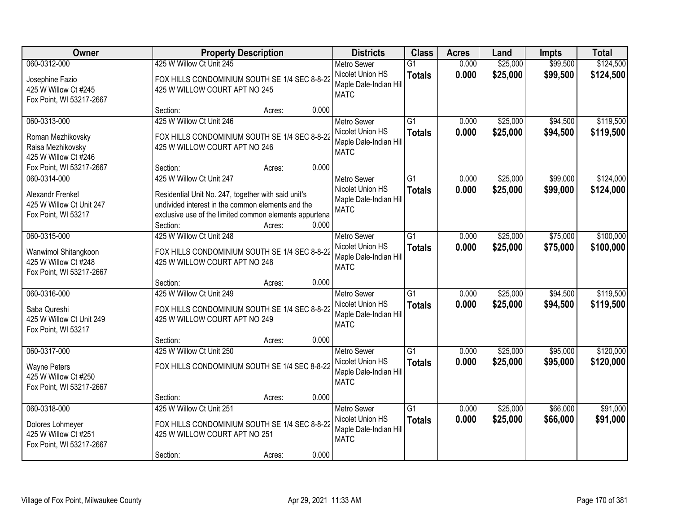| Owner                                                                                                      | <b>Property Description</b>                                                                                                                                                                       | <b>Districts</b>                                                                | <b>Class</b>                     | <b>Acres</b>   | Land                 | <b>Impts</b>         | <b>Total</b>           |
|------------------------------------------------------------------------------------------------------------|---------------------------------------------------------------------------------------------------------------------------------------------------------------------------------------------------|---------------------------------------------------------------------------------|----------------------------------|----------------|----------------------|----------------------|------------------------|
| 060-0312-000                                                                                               | 425 W Willow Ct Unit 245                                                                                                                                                                          | <b>Metro Sewer</b>                                                              | $\overline{G1}$                  | 0.000          | \$25,000             | \$99,500             | \$124,500              |
| Josephine Fazio<br>425 W Willow Ct #245<br>Fox Point, WI 53217-2667                                        | FOX HILLS CONDOMINIUM SOUTH SE 1/4 SEC 8-8-22<br>425 W WILLOW COURT APT NO 245                                                                                                                    | Nicolet Union HS<br>Maple Dale-Indian Hill<br><b>MATC</b>                       | <b>Totals</b>                    | 0.000          | \$25,000             | \$99,500             | \$124,500              |
|                                                                                                            | 0.000<br>Section:<br>Acres:                                                                                                                                                                       |                                                                                 |                                  |                |                      |                      |                        |
| 060-0313-000<br>Roman Mezhikovsky<br>Raisa Mezhikovsky<br>425 W Willow Ct #246<br>Fox Point, WI 53217-2667 | 425 W Willow Ct Unit 246<br>FOX HILLS CONDOMINIUM SOUTH SE 1/4 SEC 8-8-22<br>425 W WILLOW COURT APT NO 246<br>0.000<br>Section:<br>Acres:                                                         | <b>Metro Sewer</b><br>Nicolet Union HS<br>Maple Dale-Indian Hill<br><b>MATC</b> | $\overline{G1}$<br><b>Totals</b> | 0.000<br>0.000 | \$25,000<br>\$25,000 | \$94,500<br>\$94,500 | \$119,500<br>\$119,500 |
| 060-0314-000                                                                                               | 425 W Willow Ct Unit 247                                                                                                                                                                          | <b>Metro Sewer</b>                                                              | G1                               | 0.000          | \$25,000             | \$99,000             | \$124,000              |
| Alexandr Frenkel<br>425 W Willow Ct Unit 247<br>Fox Point, WI 53217                                        | Residential Unit No. 247, together with said unit's<br>undivided interest in the common elements and the<br>exclusive use of the limited common elements appurtena<br>0.000<br>Section:<br>Acres: | Nicolet Union HS<br>Maple Dale-Indian Hill<br><b>MATC</b>                       | <b>Totals</b>                    | 0.000          | \$25,000             | \$99,000             | \$124,000              |
| 060-0315-000                                                                                               | 425 W Willow Ct Unit 248                                                                                                                                                                          | <b>Metro Sewer</b>                                                              | G1                               | 0.000          | \$25,000             | \$75,000             | \$100,000              |
| Wanwimol Shitangkoon<br>425 W Willow Ct #248<br>Fox Point, WI 53217-2667                                   | FOX HILLS CONDOMINIUM SOUTH SE 1/4 SEC 8-8-22<br>425 W WILLOW COURT APT NO 248                                                                                                                    | Nicolet Union HS<br>Maple Dale-Indian Hill<br><b>MATC</b>                       | <b>Totals</b>                    | 0.000          | \$25,000             | \$75,000             | \$100,000              |
|                                                                                                            | 0.000<br>Section:<br>Acres:                                                                                                                                                                       |                                                                                 |                                  |                |                      |                      |                        |
| 060-0316-000<br>Saba Qureshi<br>425 W Willow Ct Unit 249<br>Fox Point, WI 53217                            | 425 W Willow Ct Unit 249<br>FOX HILLS CONDOMINIUM SOUTH SE 1/4 SEC 8-8-22<br>425 W WILLOW COURT APT NO 249<br>0.000<br>Section:<br>Acres:                                                         | <b>Metro Sewer</b><br>Nicolet Union HS<br>Maple Dale-Indian Hill<br><b>MATC</b> | $\overline{G1}$<br><b>Totals</b> | 0.000<br>0.000 | \$25,000<br>\$25,000 | \$94,500<br>\$94,500 | \$119,500<br>\$119,500 |
| 060-0317-000                                                                                               | 425 W Willow Ct Unit 250                                                                                                                                                                          | Metro Sewer                                                                     | $\overline{G1}$                  | 0.000          | \$25,000             | \$95,000             | \$120,000              |
| <b>Wayne Peters</b><br>425 W Willow Ct #250<br>Fox Point, WI 53217-2667                                    | FOX HILLS CONDOMINIUM SOUTH SE 1/4 SEC 8-8-22                                                                                                                                                     | Nicolet Union HS<br>Maple Dale-Indian Hill<br><b>MATC</b>                       | <b>Totals</b>                    | 0.000          | \$25,000             | \$95,000             | \$120,000              |
|                                                                                                            | 0.000<br>Section:<br>Acres:                                                                                                                                                                       |                                                                                 |                                  |                |                      |                      |                        |
| 060-0318-000<br>Dolores Lohmeyer<br>425 W Willow Ct #251<br>Fox Point, WI 53217-2667                       | 425 W Willow Ct Unit 251<br>FOX HILLS CONDOMINIUM SOUTH SE 1/4 SEC 8-8-22<br>425 W WILLOW COURT APT NO 251<br>0.000<br>Section:<br>Acres:                                                         | <b>Metro Sewer</b><br>Nicolet Union HS<br>Maple Dale-Indian Hill<br><b>MATC</b> | $\overline{G1}$<br><b>Totals</b> | 0.000<br>0.000 | \$25,000<br>\$25,000 | \$66,000<br>\$66,000 | \$91,000<br>\$91,000   |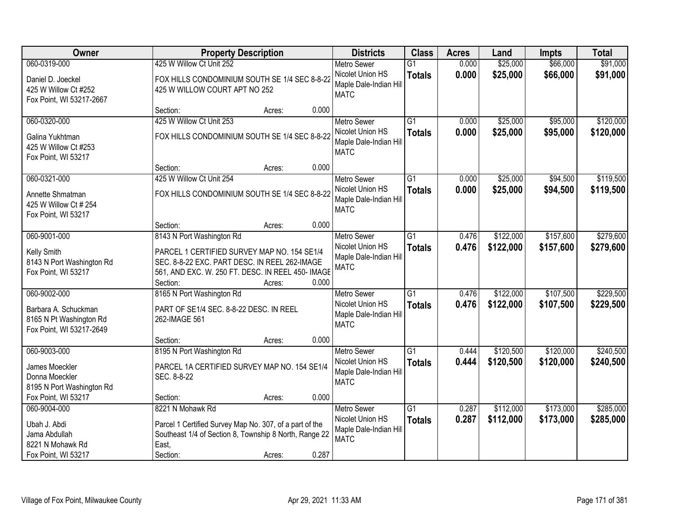| <b>Owner</b>                                                                                         |                                                                                                                                                                                            | <b>Property Description</b> |       |                                                                                 | <b>Class</b>                     | <b>Acres</b>   | Land                   | <b>Impts</b>           | <b>Total</b>           |
|------------------------------------------------------------------------------------------------------|--------------------------------------------------------------------------------------------------------------------------------------------------------------------------------------------|-----------------------------|-------|---------------------------------------------------------------------------------|----------------------------------|----------------|------------------------|------------------------|------------------------|
| 060-0319-000                                                                                         | 425 W Willow Ct Unit 252                                                                                                                                                                   |                             |       | <b>Metro Sewer</b>                                                              | $\overline{G1}$                  | 0.000          | \$25,000               | \$66,000               | \$91,000               |
| Daniel D. Joeckel<br>425 W Willow Ct #252<br>Fox Point, WI 53217-2667                                | FOX HILLS CONDOMINIUM SOUTH SE 1/4 SEC 8-8-22<br>425 W WILLOW COURT APT NO 252                                                                                                             |                             |       | Nicolet Union HS<br>Maple Dale-Indian Hill<br><b>MATC</b>                       | <b>Totals</b>                    | 0.000          | \$25,000               | \$66,000               | \$91,000               |
|                                                                                                      | Section:                                                                                                                                                                                   | Acres:                      | 0.000 |                                                                                 |                                  |                |                        |                        |                        |
| 060-0320-000<br>Galina Yukhtman<br>425 W Willow Ct #253<br>Fox Point, WI 53217                       | 425 W Willow Ct Unit 253<br>FOX HILLS CONDOMINIUM SOUTH SE 1/4 SEC 8-8-22                                                                                                                  |                             |       | <b>Metro Sewer</b><br>Nicolet Union HS<br>Maple Dale-Indian Hill<br><b>MATC</b> | $\overline{G1}$<br><b>Totals</b> | 0.000<br>0.000 | \$25,000<br>\$25,000   | \$95,000<br>\$95,000   | \$120,000<br>\$120,000 |
|                                                                                                      | Section:                                                                                                                                                                                   | Acres:                      | 0.000 |                                                                                 |                                  |                |                        |                        |                        |
| 060-0321-000<br>Annette Shmatman<br>425 W Willow Ct # 254<br>Fox Point, WI 53217                     | 425 W Willow Ct Unit 254<br>FOX HILLS CONDOMINIUM SOUTH SE 1/4 SEC 8-8-22                                                                                                                  |                             |       | Metro Sewer<br>Nicolet Union HS<br>Maple Dale-Indian Hill<br><b>MATC</b>        | $\overline{G1}$<br><b>Totals</b> | 0.000<br>0.000 | \$25,000<br>\$25,000   | \$94,500<br>\$94,500   | \$119,500<br>\$119,500 |
|                                                                                                      | Section:                                                                                                                                                                                   | Acres:                      | 0.000 |                                                                                 |                                  |                |                        |                        |                        |
| 060-9001-000<br>Kelly Smith<br>8143 N Port Washington Rd<br>Fox Point, WI 53217                      | 8143 N Port Washington Rd<br>PARCEL 1 CERTIFIED SURVEY MAP NO. 154 SE1/4<br>SEC. 8-8-22 EXC. PART DESC. IN REEL 262-IMAGE<br>561, AND EXC. W. 250 FT. DESC. IN REEL 450- IMAGE<br>Section: | Acres:                      | 0.000 | <b>Metro Sewer</b><br>Nicolet Union HS<br>Maple Dale-Indian Hill<br><b>MATC</b> | G1<br><b>Totals</b>              | 0.476<br>0.476 | \$122,000<br>\$122,000 | \$157,600<br>\$157,600 | \$279,600<br>\$279,600 |
| 060-9002-000<br>Barbara A. Schuckman<br>8165 N Pt Washington Rd<br>Fox Point, WI 53217-2649          | 8165 N Port Washington Rd<br>PART OF SE1/4 SEC. 8-8-22 DESC. IN REEL<br>262-IMAGE 561                                                                                                      |                             | 0.000 | <b>Metro Sewer</b><br>Nicolet Union HS<br>Maple Dale-Indian Hill<br><b>MATC</b> | $\overline{G1}$<br><b>Totals</b> | 0.476<br>0.476 | \$122,000<br>\$122,000 | \$107,500<br>\$107,500 | \$229,500<br>\$229,500 |
| 060-9003-000<br>James Moeckler<br>Donna Moeckler<br>8195 N Port Washington Rd<br>Fox Point, WI 53217 | Section:<br>8195 N Port Washington Rd<br>PARCEL 1A CERTIFIED SURVEY MAP NO. 154 SE1/4<br>SEC. 8-8-22                                                                                       | Acres:                      | 0.000 | <b>Metro Sewer</b><br>Nicolet Union HS<br>Maple Dale-Indian Hill<br><b>MATC</b> | G1<br><b>Totals</b>              | 0.444<br>0.444 | \$120,500<br>\$120,500 | \$120,000<br>\$120,000 | \$240,500<br>\$240,500 |
| 060-9004-000                                                                                         | Section:<br>8221 N Mohawk Rd                                                                                                                                                               | Acres:                      |       | <b>Metro Sewer</b>                                                              | $\overline{G1}$                  | 0.287          | \$112,000              | \$173,000              | \$285,000              |
| Ubah J. Abdi<br>Jama Abdullah<br>8221 N Mohawk Rd<br>Fox Point, WI 53217                             | Parcel 1 Certified Survey Map No. 307, of a part of the<br>Southeast 1/4 of Section 8, Township 8 North, Range 22<br>East,<br>Section:                                                     | Acres:                      | 0.287 | Nicolet Union HS<br>Maple Dale-Indian Hill<br><b>MATC</b>                       | <b>Totals</b>                    | 0.287          | \$112,000              | \$173,000              | \$285,000              |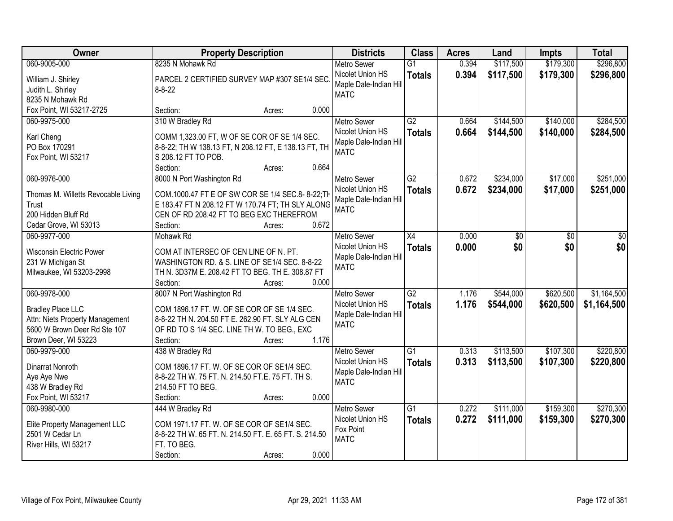| Owner                                                                                                                               | <b>Property Description</b>                                                                                                                                                                                | <b>Districts</b>                                                                | <b>Class</b>                     | <b>Acres</b>   | Land                   | <b>Impts</b>           | <b>Total</b>               |
|-------------------------------------------------------------------------------------------------------------------------------------|------------------------------------------------------------------------------------------------------------------------------------------------------------------------------------------------------------|---------------------------------------------------------------------------------|----------------------------------|----------------|------------------------|------------------------|----------------------------|
| 060-9005-000                                                                                                                        | 8235 N Mohawk Rd                                                                                                                                                                                           | <b>Metro Sewer</b>                                                              | $\overline{G1}$                  | 0.394          | \$117,500              | \$179,300              | \$296,800                  |
| William J. Shirley<br>Judith L. Shirley<br>8235 N Mohawk Rd                                                                         | PARCEL 2 CERTIFIED SURVEY MAP #307 SE1/4 SEC.<br>$8 - 8 - 22$                                                                                                                                              | Nicolet Union HS<br>Maple Dale-Indian Hill<br><b>MATC</b>                       | <b>Totals</b>                    | 0.394          | \$117,500              | \$179,300              | \$296,800                  |
| Fox Point, WI 53217-2725                                                                                                            | 0.000<br>Section:<br>Acres:                                                                                                                                                                                |                                                                                 |                                  |                |                        |                        |                            |
| 060-9975-000<br>Karl Cheng<br>PO Box 170291<br>Fox Point, WI 53217                                                                  | 310 W Bradley Rd<br>COMM 1,323.00 FT, W OF SE COR OF SE 1/4 SEC.<br>8-8-22; TH W 138.13 FT, N 208.12 FT, E 138.13 FT, TH<br>S 208.12 FT TO POB.<br>0.664<br>Section:<br>Acres:                             | <b>Metro Sewer</b><br>Nicolet Union HS<br>Maple Dale-Indian Hill<br><b>MATC</b> | G2<br><b>Totals</b>              | 0.664<br>0.664 | \$144,500<br>\$144,500 | \$140,000<br>\$140,000 | \$284,500<br>\$284,500     |
| 060-9976-000                                                                                                                        | 8000 N Port Washington Rd                                                                                                                                                                                  | <b>Metro Sewer</b>                                                              | G2                               | 0.672          | \$234,000              | \$17,000               | \$251,000                  |
| Thomas M. Willetts Revocable Living<br>Trust<br>200 Hidden Bluff Rd<br>Cedar Grove, WI 53013                                        | COM.1000.47 FT E OF SW COR SE 1/4 SEC.8-8-22; TH<br>E 183.47 FT N 208.12 FT W 170.74 FT; TH SLY ALONG<br>CEN OF RD 208.42 FT TO BEG EXC THEREFROM<br>0.672<br>Section:<br>Acres:                           | Nicolet Union HS<br>Maple Dale-Indian Hill<br><b>MATC</b>                       | <b>Totals</b>                    | 0.672          | \$234,000              | \$17,000               | \$251,000                  |
| 060-9977-000                                                                                                                        | Mohawk Rd                                                                                                                                                                                                  | <b>Metro Sewer</b>                                                              | X4                               | 0.000          | \$0                    | \$0                    | \$0                        |
| <b>Wisconsin Electric Power</b><br>231 W Michigan St<br>Milwaukee, WI 53203-2998                                                    | COM AT INTERSEC OF CEN LINE OF N. PT.<br>WASHINGTON RD. & S. LINE OF SE1/4 SEC. 8-8-22<br>TH N. 3D37M E. 208.42 FT TO BEG. TH E. 308.87 FT<br>Section:<br>0.000<br>Acres:                                  | Nicolet Union HS<br>Maple Dale-Indian Hill<br><b>MATC</b>                       | <b>Totals</b>                    | 0.000          | \$0                    | \$0                    | \$0                        |
| 060-9978-000<br><b>Bradley Place LLC</b><br>Attn: Niets Property Management<br>5600 W Brown Deer Rd Ste 107<br>Brown Deer, WI 53223 | 8007 N Port Washington Rd<br>COM 1896.17 FT. W. OF SE COR OF SE 1/4 SEC.<br>8-8-22 TH N. 204.50 FT E. 262.90 FT. SLY ALG CEN<br>OF RD TO S 1/4 SEC. LINE TH W. TO BEG., EXC<br>1.176<br>Section:<br>Acres: | <b>Metro Sewer</b><br>Nicolet Union HS<br>Maple Dale-Indian Hill<br><b>MATC</b> | $\overline{G2}$<br><b>Totals</b> | 1.176<br>1.176 | \$544,000<br>\$544,000 | \$620,500<br>\$620,500 | \$1,164,500<br>\$1,164,500 |
| 060-9979-000                                                                                                                        | 438 W Bradley Rd                                                                                                                                                                                           | <b>Metro Sewer</b>                                                              | $\overline{G1}$                  | 0.313          | \$113,500              | \$107,300              | \$220,800                  |
| Dinarrat Nonroth<br>Aye Aye Nwe<br>438 W Bradley Rd<br>Fox Point, WI 53217                                                          | COM 1896.17 FT. W. OF SE COR OF SE1/4 SEC.<br>8-8-22 TH W. 75 FT. N. 214.50 FT.E. 75 FT. TH S.<br>214.50 FT TO BEG.<br>0.000<br>Section:<br>Acres:                                                         | Nicolet Union HS<br>Maple Dale-Indian Hill<br><b>MATC</b>                       | <b>Totals</b>                    | 0.313          | \$113,500              | \$107,300              | \$220,800                  |
| 060-9980-000                                                                                                                        | 444 W Bradley Rd                                                                                                                                                                                           | <b>Metro Sewer</b>                                                              | $\overline{G1}$                  | 0.272          | \$111,000              | \$159,300              | \$270,300                  |
| Elite Property Management LLC<br>2501 W Cedar Ln<br>River Hills, WI 53217                                                           | COM 1971.17 FT. W. OF SE COR OF SE1/4 SEC.<br>8-8-22 TH W. 65 FT. N. 214.50 FT. E. 65 FT. S. 214.50<br>FT. TO BEG.<br>0.000<br>Section:<br>Acres:                                                          | Nicolet Union HS<br>Fox Point<br><b>MATC</b>                                    | <b>Totals</b>                    | 0.272          | \$111,000              | \$159,300              | \$270,300                  |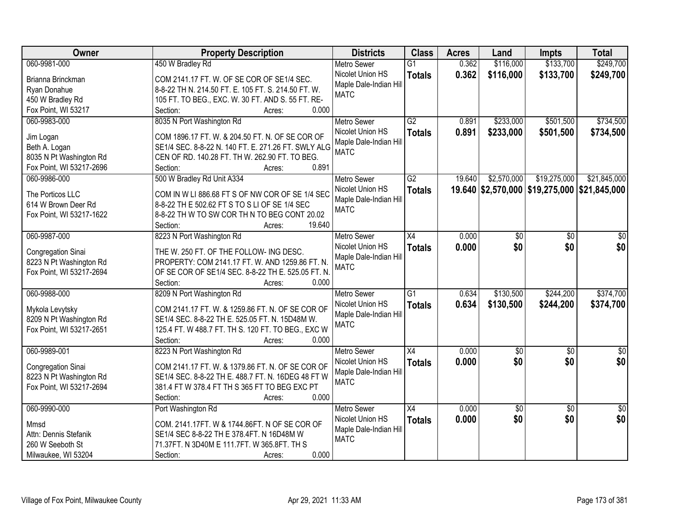| Owner                                   | <b>Property Description</b>                         | <b>Districts</b>       | <b>Class</b>    | <b>Acres</b> | Land            | <b>Impts</b>    | <b>Total</b>                                 |
|-----------------------------------------|-----------------------------------------------------|------------------------|-----------------|--------------|-----------------|-----------------|----------------------------------------------|
| 060-9981-000                            | 450 W Bradley Rd                                    | <b>Metro Sewer</b>     | $\overline{G1}$ | 0.362        | \$116,000       | \$133,700       | \$249,700                                    |
| Brianna Brinckman                       | COM 2141.17 FT. W. OF SE COR OF SE1/4 SEC.          | Nicolet Union HS       | <b>Totals</b>   | 0.362        | \$116,000       | \$133,700       | \$249,700                                    |
| Ryan Donahue                            | 8-8-22 TH N. 214.50 FT. E. 105 FT. S. 214.50 FT. W. | Maple Dale-Indian Hill |                 |              |                 |                 |                                              |
| 450 W Bradley Rd                        | 105 FT. TO BEG., EXC. W. 30 FT. AND S. 55 FT. RE-   | <b>MATC</b>            |                 |              |                 |                 |                                              |
| Fox Point, WI 53217                     | 0.000<br>Section:<br>Acres:                         |                        |                 |              |                 |                 |                                              |
| 060-9983-000                            | 8035 N Port Washington Rd                           | <b>Metro Sewer</b>     | G2              | 0.891        | \$233,000       | \$501,500       | \$734,500                                    |
|                                         |                                                     | Nicolet Union HS       |                 | 0.891        | \$233,000       | \$501,500       | \$734,500                                    |
| Jim Logan                               | COM 1896.17 FT. W. & 204.50 FT. N. OF SE COR OF     | Maple Dale-Indian Hill | <b>Totals</b>   |              |                 |                 |                                              |
| Beth A. Logan                           | SE1/4 SEC. 8-8-22 N. 140 FT. E. 271.26 FT. SWLY ALG | <b>MATC</b>            |                 |              |                 |                 |                                              |
| 8035 N Pt Washington Rd                 | CEN OF RD. 140.28 FT. TH W. 262.90 FT. TO BEG.      |                        |                 |              |                 |                 |                                              |
| Fox Point, WI 53217-2696                | 0.891<br>Section:<br>Acres:                         |                        |                 |              |                 |                 |                                              |
| 060-9986-000                            | 500 W Bradley Rd Unit A334                          | <b>Metro Sewer</b>     | G2              | 19.640       | \$2,570,000     | \$19,275,000    | \$21,845,000                                 |
|                                         | COM IN W LI 886.68 FT S OF NW COR OF SE 1/4 SEC     | Nicolet Union HS       | <b>Totals</b>   |              |                 |                 | 19.640 \$2,570,000 \$19,275,000 \$21,845,000 |
| The Porticos LLC<br>614 W Brown Deer Rd | 8-8-22 TH E 502.62 FT S TO S LI OF SE 1/4 SEC       | Maple Dale-Indian Hill |                 |              |                 |                 |                                              |
|                                         | 8-8-22 TH W TO SW COR TH N TO BEG CONT 20.02        | <b>MATC</b>            |                 |              |                 |                 |                                              |
| Fox Point, WI 53217-1622                | 19.640<br>Section:                                  |                        |                 |              |                 |                 |                                              |
|                                         | Acres:                                              |                        |                 |              |                 |                 |                                              |
| 060-9987-000                            | 8223 N Port Washington Rd                           | <b>Metro Sewer</b>     | X4              | 0.000        | \$0             | \$0             | \$0                                          |
| Congregation Sinai                      | THE W. 250 FT. OF THE FOLLOW- ING DESC.             | Nicolet Union HS       | <b>Totals</b>   | 0.000        | \$0             | \$0             | \$0                                          |
| 8223 N Pt Washington Rd                 | PROPERTY: COM 2141.17 FT. W. AND 1259.86 FT. N.     | Maple Dale-Indian Hill |                 |              |                 |                 |                                              |
| Fox Point, WI 53217-2694                | OF SE COR OF SE1/4 SEC. 8-8-22 TH E. 525.05 FT. N.  | <b>MATC</b>            |                 |              |                 |                 |                                              |
|                                         | Section:<br>0.000<br>Acres:                         |                        |                 |              |                 |                 |                                              |
| 060-9988-000                            | 8209 N Port Washington Rd                           | <b>Metro Sewer</b>     | $\overline{G1}$ | 0.634        | \$130,500       | \$244,200       | \$374,700                                    |
|                                         |                                                     | Nicolet Union HS       | <b>Totals</b>   | 0.634        | \$130,500       | \$244,200       | \$374,700                                    |
| Mykola Levytsky                         | COM 2141.17 FT. W. & 1259.86 FT. N. OF SE COR OF    | Maple Dale-Indian Hill |                 |              |                 |                 |                                              |
| 8209 N Pt Washington Rd                 | SE1/4 SEC. 8-8-22 TH E. 525.05 FT. N. 15D48M W.     | <b>MATC</b>            |                 |              |                 |                 |                                              |
| Fox Point, WI 53217-2651                | 125.4 FT. W 488.7 FT. TH S. 120 FT. TO BEG., EXC W  |                        |                 |              |                 |                 |                                              |
|                                         | Section:<br>0.000<br>Acres:                         |                        |                 |              |                 |                 |                                              |
| 060-9989-001                            | 8223 N Port Washington Rd                           | <b>Metro Sewer</b>     | $\overline{X4}$ | 0.000        | $\overline{50}$ | $\overline{50}$ | $\overline{50}$                              |
| Congregation Sinai                      | COM 2141.17 FT. W. & 1379.86 FT. N. OF SE COR OF    | Nicolet Union HS       | <b>Totals</b>   | 0.000        | \$0             | \$0             | \$0                                          |
| 8223 N Pt Washington Rd                 | SE1/4 SEC. 8-8-22 TH E. 488.7 FT. N. 16DEG 48 FT W  | Maple Dale-Indian Hill |                 |              |                 |                 |                                              |
| Fox Point, WI 53217-2694                | 381.4 FT W 378.4 FT TH S 365 FT TO BEG EXC PT       | <b>MATC</b>            |                 |              |                 |                 |                                              |
|                                         | 0.000<br>Section:<br>Acres:                         |                        |                 |              |                 |                 |                                              |
| 060-9990-000                            | Port Washington Rd                                  | <b>Metro Sewer</b>     | $\overline{X4}$ | 0.000        | $\overline{50}$ | $\overline{50}$ | $\overline{50}$                              |
|                                         |                                                     | Nicolet Union HS       | <b>Totals</b>   | 0.000        | \$0             | \$0             | \$0                                          |
| Mmsd                                    | COM. 2141.17FT. W & 1744.86FT. N OF SE COR OF       | Maple Dale-Indian Hill |                 |              |                 |                 |                                              |
| Attn: Dennis Stefanik                   | SE1/4 SEC 8-8-22 TH E 378.4FT. N 16D48M W           | <b>MATC</b>            |                 |              |                 |                 |                                              |
| 260 W Seeboth St                        | 71.37FT. N 3D40M E 111.7FT. W 365.8FT. TH S         |                        |                 |              |                 |                 |                                              |
| Milwaukee, WI 53204                     | 0.000<br>Section:<br>Acres:                         |                        |                 |              |                 |                 |                                              |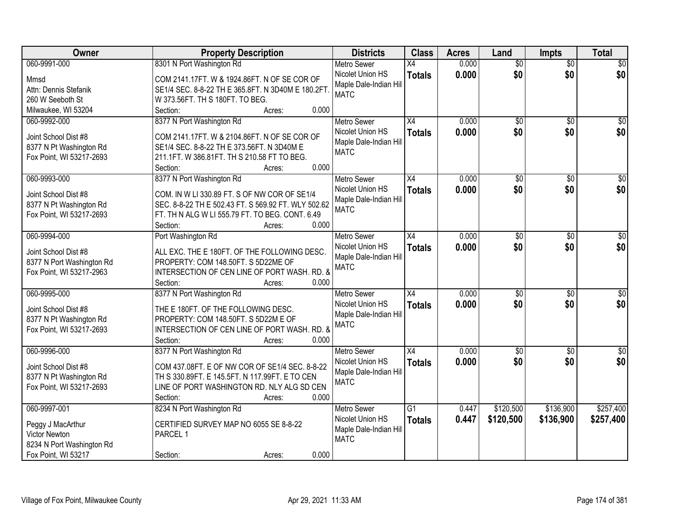| Owner                     | <b>Property Description</b>                         | <b>Districts</b>       | <b>Class</b>    | <b>Acres</b> | Land            | <b>Impts</b>    | <b>Total</b>     |
|---------------------------|-----------------------------------------------------|------------------------|-----------------|--------------|-----------------|-----------------|------------------|
| 060-9991-000              | 8301 N Port Washington Rd                           | <b>Metro Sewer</b>     | X4              | 0.000        | $\overline{50}$ | $\overline{50}$ | \$0              |
| Mmsd                      | COM 2141.17FT. W & 1924.86FT. N OF SE COR OF        | Nicolet Union HS       | <b>Totals</b>   | 0.000        | \$0             | \$0             | \$0              |
| Attn: Dennis Stefanik     | SE1/4 SEC. 8-8-22 TH E 365.8FT. N 3D40M E 180.2FT   | Maple Dale-Indian Hill |                 |              |                 |                 |                  |
| 260 W Seeboth St          | W 373.56FT. TH S 180FT. TO BEG.                     | <b>MATC</b>            |                 |              |                 |                 |                  |
| Milwaukee, WI 53204       | 0.000<br>Section:<br>Acres:                         |                        |                 |              |                 |                 |                  |
| 060-9992-000              | 8377 N Port Washington Rd                           | <b>Metro Sewer</b>     | $\overline{X4}$ | 0.000        | $\overline{50}$ | $\overline{50}$ | \$0              |
|                           |                                                     | Nicolet Union HS       | <b>Totals</b>   | 0.000        | \$0             | \$0             | \$0              |
| Joint School Dist #8      | COM 2141.17FT. W & 2104.86FT. N OF SE COR OF        | Maple Dale-Indian Hill |                 |              |                 |                 |                  |
| 8377 N Pt Washington Rd   | SE1/4 SEC. 8-8-22 TH E 373.56FT. N 3D40M E          | <b>MATC</b>            |                 |              |                 |                 |                  |
| Fox Point, WI 53217-2693  | 211.1FT. W 386.81FT. TH S 210.58 FT TO BEG.         |                        |                 |              |                 |                 |                  |
|                           | 0.000<br>Section:<br>Acres:                         |                        |                 |              |                 |                 |                  |
| 060-9993-000              | 8377 N Port Washington Rd                           | <b>Metro Sewer</b>     | X4              | 0.000        | \$0             | $\sqrt[6]{}$    | $\overline{30}$  |
| Joint School Dist #8      | COM. IN W LI 330.89 FT. S OF NW COR OF SE1/4        | Nicolet Union HS       | <b>Totals</b>   | 0.000        | \$0             | \$0             | \$0              |
| 8377 N Pt Washington Rd   | SEC. 8-8-22 TH E 502.43 FT. S 569.92 FT. WLY 502.62 | Maple Dale-Indian Hill |                 |              |                 |                 |                  |
| Fox Point, WI 53217-2693  | FT. TH N ALG W LI 555.79 FT. TO BEG. CONT. 6.49     | <b>MATC</b>            |                 |              |                 |                 |                  |
|                           | 0.000<br>Section:<br>Acres:                         |                        |                 |              |                 |                 |                  |
| 060-9994-000              | Port Washington Rd                                  | <b>Metro Sewer</b>     | X4              | 0.000        | \$0             | $\sqrt[6]{3}$   | $\sqrt{50}$      |
|                           |                                                     | Nicolet Union HS       | <b>Totals</b>   | 0.000        | \$0             | \$0             | \$0              |
| Joint School Dist #8      | ALL EXC. THE E 180FT. OF THE FOLLOWING DESC.        | Maple Dale-Indian Hill |                 |              |                 |                 |                  |
| 8377 N Port Washington Rd | PROPERTY: COM 148.50FT. S 5D22ME OF                 | <b>MATC</b>            |                 |              |                 |                 |                  |
| Fox Point, WI 53217-2963  | INTERSECTION OF CEN LINE OF PORT WASH. RD. &        |                        |                 |              |                 |                 |                  |
|                           | Section:<br>0.000<br>Acres:                         |                        |                 |              |                 |                 |                  |
| 060-9995-000              | 8377 N Port Washington Rd                           | <b>Metro Sewer</b>     | $\overline{X4}$ | 0.000        | $\overline{50}$ | \$0             | $\overline{50}$  |
| Joint School Dist #8      | THE E 180FT. OF THE FOLLOWING DESC.                 | Nicolet Union HS       | <b>Totals</b>   | 0.000        | \$0             | \$0             | \$0              |
| 8377 N Pt Washington Rd   | PROPERTY: COM 148.50FT. S 5D22M E OF                | Maple Dale-Indian Hill |                 |              |                 |                 |                  |
| Fox Point, WI 53217-2693  | INTERSECTION OF CEN LINE OF PORT WASH. RD. &        | <b>MATC</b>            |                 |              |                 |                 |                  |
|                           | 0.000<br>Section:<br>Acres:                         |                        |                 |              |                 |                 |                  |
| 060-9996-000              | 8377 N Port Washington Rd                           | Metro Sewer            | X4              | 0.000        | $\overline{50}$ | $\overline{30}$ | $\overline{\$0}$ |
|                           |                                                     | Nicolet Union HS       | <b>Totals</b>   | 0.000        | \$0             | \$0             | \$0              |
| Joint School Dist #8      | COM 437.08FT. E OF NW COR OF SE1/4 SEC. 8-8-22      | Maple Dale-Indian Hill |                 |              |                 |                 |                  |
| 8377 N Pt Washington Rd   | TH S 330.89FT. E 145.5FT. N 117.99FT. E TO CEN      | <b>MATC</b>            |                 |              |                 |                 |                  |
| Fox Point, WI 53217-2693  | LINE OF PORT WASHINGTON RD. NLY ALG SD CEN          |                        |                 |              |                 |                 |                  |
|                           | 0.000<br>Section:<br>Acres:                         |                        |                 |              |                 |                 |                  |
| 060-9997-001              | 8234 N Port Washington Rd                           | <b>Metro Sewer</b>     | $\overline{G1}$ | 0.447        | \$120,500       | \$136,900       | \$257,400        |
| Peggy J MacArthur         | CERTIFIED SURVEY MAP NO 6055 SE 8-8-22              | Nicolet Union HS       | <b>Totals</b>   | 0.447        | \$120,500       | \$136,900       | \$257,400        |
| Victor Newton             | PARCEL 1                                            | Maple Dale-Indian Hill |                 |              |                 |                 |                  |
| 8234 N Port Washington Rd |                                                     | <b>MATC</b>            |                 |              |                 |                 |                  |
| Fox Point, WI 53217       | 0.000<br>Section:<br>Acres:                         |                        |                 |              |                 |                 |                  |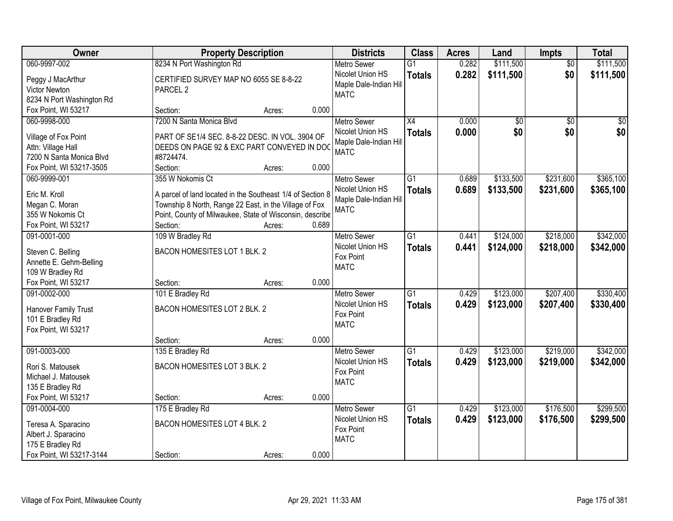| Owner                                     |                                                               | <b>Property Description</b> |       |                                            | <b>Class</b>    | <b>Acres</b> | Land            | Impts           | <b>Total</b>    |
|-------------------------------------------|---------------------------------------------------------------|-----------------------------|-------|--------------------------------------------|-----------------|--------------|-----------------|-----------------|-----------------|
| 060-9997-002                              | 8234 N Port Washington Rd                                     |                             |       | <b>Metro Sewer</b>                         | $\overline{G1}$ | 0.282        | \$111,500       | $\overline{50}$ | \$111,500       |
| Peggy J MacArthur<br><b>Victor Newton</b> | CERTIFIED SURVEY MAP NO 6055 SE 8-8-22<br>PARCEL <sub>2</sub> |                             |       | Nicolet Union HS<br>Maple Dale-Indian Hill | <b>Totals</b>   | 0.282        | \$111,500       | \$0             | \$111,500       |
| 8234 N Port Washington Rd                 |                                                               |                             |       | <b>MATC</b>                                |                 |              |                 |                 |                 |
| Fox Point, WI 53217                       | Section:                                                      | Acres:                      | 0.000 |                                            |                 |              |                 |                 |                 |
| 060-9998-000                              | 7200 N Santa Monica Blvd                                      |                             |       | <b>Metro Sewer</b>                         | $\overline{X4}$ | 0.000        | $\overline{50}$ | $\overline{50}$ | $\overline{50}$ |
| Village of Fox Point                      | PART OF SE1/4 SEC. 8-8-22 DESC. IN VOL. 3904 OF               |                             |       | Nicolet Union HS                           | <b>Totals</b>   | 0.000        | \$0             | \$0             | \$0             |
| Attn: Village Hall                        | DEEDS ON PAGE 92 & EXC PART CONVEYED IN DOC                   |                             |       | Maple Dale-Indian Hill                     |                 |              |                 |                 |                 |
| 7200 N Santa Monica Blvd                  | #8724474.                                                     |                             |       | <b>MATC</b>                                |                 |              |                 |                 |                 |
| Fox Point, WI 53217-3505                  | Section:                                                      | Acres:                      | 0.000 |                                            |                 |              |                 |                 |                 |
| 060-9999-001                              | 355 W Nokomis Ct                                              |                             |       | Metro Sewer                                | G1              | 0.689        | \$133,500       | \$231,600       | \$365,100       |
|                                           |                                                               |                             |       | Nicolet Union HS                           | <b>Totals</b>   | 0.689        | \$133,500       | \$231,600       | \$365,100       |
| Eric M. Kroll                             | A parcel of land located in the Southeast 1/4 of Section 8    |                             |       | Maple Dale-Indian Hill                     |                 |              |                 |                 |                 |
| Megan C. Moran                            | Township 8 North, Range 22 East, in the Village of Fox        |                             |       | <b>MATC</b>                                |                 |              |                 |                 |                 |
| 355 W Nokomis Ct                          | Point, County of Milwaukee, State of Wisconsin, describe      |                             |       |                                            |                 |              |                 |                 |                 |
| Fox Point, WI 53217                       | Section:                                                      | Acres:                      | 0.689 |                                            |                 |              |                 |                 |                 |
| 091-0001-000                              | 109 W Bradley Rd                                              |                             |       | <b>Metro Sewer</b>                         | $\overline{G1}$ | 0.441        | \$124,000       | \$218,000       | \$342,000       |
| Steven C. Belling                         | BACON HOMESITES LOT 1 BLK. 2                                  |                             |       | Nicolet Union HS                           | <b>Totals</b>   | 0.441        | \$124,000       | \$218,000       | \$342,000       |
| Annette E. Gehm-Belling                   |                                                               |                             |       | Fox Point<br><b>MATC</b>                   |                 |              |                 |                 |                 |
| 109 W Bradley Rd                          |                                                               |                             |       |                                            |                 |              |                 |                 |                 |
| Fox Point, WI 53217                       | Section:                                                      | Acres:                      | 0.000 |                                            |                 |              |                 |                 |                 |
| 091-0002-000                              | 101 E Bradley Rd                                              |                             |       | <b>Metro Sewer</b>                         | $\overline{G1}$ | 0.429        | \$123,000       | \$207,400       | \$330,400       |
| Hanover Family Trust                      | BACON HOMESITES LOT 2 BLK. 2                                  |                             |       | Nicolet Union HS                           | <b>Totals</b>   | 0.429        | \$123,000       | \$207,400       | \$330,400       |
| 101 E Bradley Rd                          |                                                               |                             |       | Fox Point                                  |                 |              |                 |                 |                 |
| Fox Point, WI 53217                       |                                                               |                             |       | <b>MATC</b>                                |                 |              |                 |                 |                 |
|                                           | Section:                                                      | Acres:                      | 0.000 |                                            |                 |              |                 |                 |                 |
| 091-0003-000                              | 135 E Bradley Rd                                              |                             |       | Metro Sewer                                | $\overline{G1}$ | 0.429        | \$123,000       | \$219,000       | \$342,000       |
| Rori S. Matousek                          | BACON HOMESITES LOT 3 BLK. 2                                  |                             |       | Nicolet Union HS                           | <b>Totals</b>   | 0.429        | \$123,000       | \$219,000       | \$342,000       |
| Michael J. Matousek                       |                                                               |                             |       | Fox Point                                  |                 |              |                 |                 |                 |
| 135 E Bradley Rd                          |                                                               |                             |       | <b>MATC</b>                                |                 |              |                 |                 |                 |
| Fox Point, WI 53217                       | Section:                                                      | Acres:                      | 0.000 |                                            |                 |              |                 |                 |                 |
| 091-0004-000                              | 175 E Bradley Rd                                              |                             |       | <b>Metro Sewer</b>                         | $\overline{G1}$ | 0.429        | \$123,000       | \$176,500       | \$299,500       |
|                                           |                                                               |                             |       | Nicolet Union HS                           | <b>Totals</b>   | 0.429        | \$123,000       | \$176,500       | \$299,500       |
| Teresa A. Sparacino                       | <b>BACON HOMESITES LOT 4 BLK. 2</b>                           |                             |       | Fox Point                                  |                 |              |                 |                 |                 |
| Albert J. Sparacino                       |                                                               |                             |       | <b>MATC</b>                                |                 |              |                 |                 |                 |
| 175 E Bradley Rd                          |                                                               |                             |       |                                            |                 |              |                 |                 |                 |
| Fox Point, WI 53217-3144                  | Section:                                                      | Acres:                      | 0.000 |                                            |                 |              |                 |                 |                 |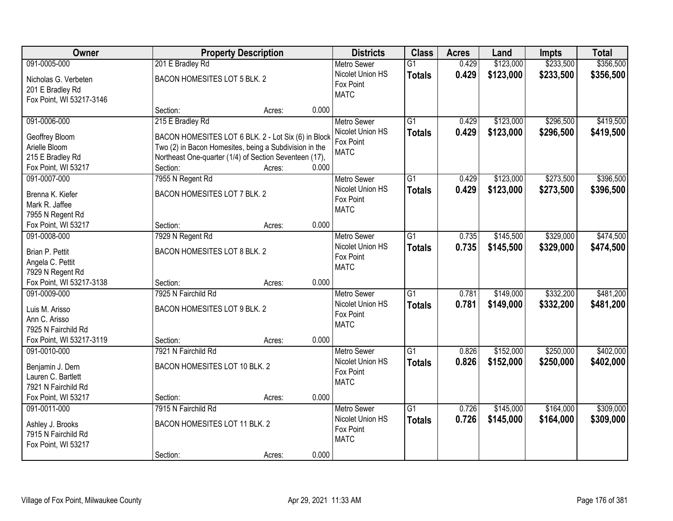| Owner                    |                                                        | <b>Property Description</b> |       |                    | <b>Class</b>    | <b>Acres</b> | Land      | <b>Impts</b> | <b>Total</b> |
|--------------------------|--------------------------------------------------------|-----------------------------|-------|--------------------|-----------------|--------------|-----------|--------------|--------------|
| 091-0005-000             | 201 E Bradley Rd                                       |                             |       | <b>Metro Sewer</b> | $\overline{G1}$ | 0.429        | \$123,000 | \$233,500    | \$356,500    |
| Nicholas G. Verbeten     | BACON HOMESITES LOT 5 BLK. 2                           |                             |       | Nicolet Union HS   | <b>Totals</b>   | 0.429        | \$123,000 | \$233,500    | \$356,500    |
| 201 E Bradley Rd         |                                                        |                             |       | Fox Point          |                 |              |           |              |              |
| Fox Point, WI 53217-3146 |                                                        |                             |       | <b>MATC</b>        |                 |              |           |              |              |
|                          | Section:                                               | Acres:                      | 0.000 |                    |                 |              |           |              |              |
| 091-0006-000             | 215 E Bradley Rd                                       |                             |       | <b>Metro Sewer</b> | $\overline{G1}$ | 0.429        | \$123,000 | \$296,500    | \$419,500    |
| Geoffrey Bloom           | BACON HOMESITES LOT 6 BLK. 2 - Lot Six (6) in Block    |                             |       | Nicolet Union HS   | <b>Totals</b>   | 0.429        | \$123,000 | \$296,500    | \$419,500    |
| Arielle Bloom            | Two (2) in Bacon Homesites, being a Subdivision in the |                             |       | Fox Point          |                 |              |           |              |              |
| 215 E Bradley Rd         | Northeast One-quarter (1/4) of Section Seventeen (17), |                             |       | <b>MATC</b>        |                 |              |           |              |              |
| Fox Point, WI 53217      | Section:                                               | Acres:                      | 0.000 |                    |                 |              |           |              |              |
| 091-0007-000             | 7955 N Regent Rd                                       |                             |       | <b>Metro Sewer</b> | $\overline{G1}$ | 0.429        | \$123,000 | \$273,500    | \$396,500    |
|                          |                                                        |                             |       | Nicolet Union HS   | <b>Totals</b>   | 0.429        | \$123,000 | \$273,500    | \$396,500    |
| Brenna K. Kiefer         | BACON HOMESITES LOT 7 BLK. 2                           |                             |       | Fox Point          |                 |              |           |              |              |
| Mark R. Jaffee           |                                                        |                             |       | <b>MATC</b>        |                 |              |           |              |              |
| 7955 N Regent Rd         |                                                        |                             |       |                    |                 |              |           |              |              |
| Fox Point, WI 53217      | Section:                                               | Acres:                      | 0.000 |                    |                 |              |           |              |              |
| 091-0008-000             | 7929 N Regent Rd                                       |                             |       | <b>Metro Sewer</b> | $\overline{G1}$ | 0.735        | \$145,500 | \$329,000    | \$474,500    |
| Brian P. Pettit          | BACON HOMESITES LOT 8 BLK. 2                           |                             |       | Nicolet Union HS   | <b>Totals</b>   | 0.735        | \$145,500 | \$329,000    | \$474,500    |
| Angela C. Pettit         |                                                        |                             |       | Fox Point          |                 |              |           |              |              |
| 7929 N Regent Rd         |                                                        |                             |       | <b>MATC</b>        |                 |              |           |              |              |
| Fox Point, WI 53217-3138 | Section:                                               | Acres:                      | 0.000 |                    |                 |              |           |              |              |
| 091-0009-000             | 7925 N Fairchild Rd                                    |                             |       | Metro Sewer        | $\overline{G1}$ | 0.781        | \$149,000 | \$332,200    | \$481,200    |
|                          |                                                        |                             |       | Nicolet Union HS   | <b>Totals</b>   | 0.781        | \$149,000 | \$332,200    | \$481,200    |
| Luis M. Arisso           | BACON HOMESITES LOT 9 BLK. 2                           |                             |       | Fox Point          |                 |              |           |              |              |
| Ann C. Arisso            |                                                        |                             |       | <b>MATC</b>        |                 |              |           |              |              |
| 7925 N Fairchild Rd      |                                                        |                             |       |                    |                 |              |           |              |              |
| Fox Point, WI 53217-3119 | Section:                                               | Acres:                      | 0.000 |                    |                 |              |           |              |              |
| 091-0010-000             | 7921 N Fairchild Rd                                    |                             |       | <b>Metro Sewer</b> | $\overline{G1}$ | 0.826        | \$152,000 | \$250,000    | \$402,000    |
| Benjamin J. Dern         | BACON HOMESITES LOT 10 BLK. 2                          |                             |       | Nicolet Union HS   | <b>Totals</b>   | 0.826        | \$152,000 | \$250,000    | \$402,000    |
| Lauren C. Bartlett       |                                                        |                             |       | Fox Point          |                 |              |           |              |              |
| 7921 N Fairchild Rd      |                                                        |                             |       | <b>MATC</b>        |                 |              |           |              |              |
| Fox Point, WI 53217      | Section:                                               | Acres:                      | 0.000 |                    |                 |              |           |              |              |
| 091-0011-000             | 7915 N Fairchild Rd                                    |                             |       | <b>Metro Sewer</b> | $\overline{G1}$ | 0.726        | \$145,000 | \$164,000    | \$309,000    |
| Ashley J. Brooks         | BACON HOMESITES LOT 11 BLK. 2                          |                             |       | Nicolet Union HS   | <b>Totals</b>   | 0.726        | \$145,000 | \$164,000    | \$309,000    |
| 7915 N Fairchild Rd      |                                                        |                             |       | Fox Point          |                 |              |           |              |              |
| Fox Point, WI 53217      |                                                        |                             |       | <b>MATC</b>        |                 |              |           |              |              |
|                          | Section:                                               | Acres:                      | 0.000 |                    |                 |              |           |              |              |
|                          |                                                        |                             |       |                    |                 |              |           |              |              |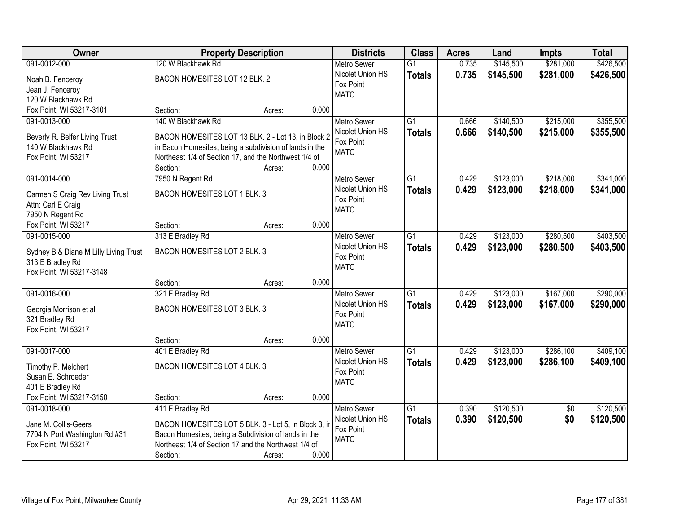| Owner                                 | <b>Property Description</b>                                       |        |       | <b>Districts</b>   | <b>Class</b>    | <b>Acres</b> | Land      | <b>Impts</b>    | <b>Total</b> |
|---------------------------------------|-------------------------------------------------------------------|--------|-------|--------------------|-----------------|--------------|-----------|-----------------|--------------|
| 091-0012-000                          | 120 W Blackhawk Rd                                                |        |       | <b>Metro Sewer</b> | $\overline{G1}$ | 0.735        | \$145,500 | \$281,000       | \$426,500    |
| Noah B. Fenceroy                      | BACON HOMESITES LOT 12 BLK. 2                                     |        |       | Nicolet Union HS   | <b>Totals</b>   | 0.735        | \$145,500 | \$281,000       | \$426,500    |
| Jean J. Fenceroy                      |                                                                   |        |       | Fox Point          |                 |              |           |                 |              |
| 120 W Blackhawk Rd                    |                                                                   |        |       | <b>MATC</b>        |                 |              |           |                 |              |
| Fox Point, WI 53217-3101              | Section:                                                          | Acres: | 0.000 |                    |                 |              |           |                 |              |
| 091-0013-000                          | 140 W Blackhawk Rd                                                |        |       | <b>Metro Sewer</b> | $\overline{G1}$ | 0.666        | \$140,500 | \$215,000       | \$355,500    |
|                                       |                                                                   |        |       | Nicolet Union HS   | <b>Totals</b>   | 0.666        | \$140,500 | \$215,000       | \$355,500    |
| Beverly R. Belfer Living Trust        | BACON HOMESITES LOT 13 BLK. 2 - Lot 13, in Block 2                |        |       | Fox Point          |                 |              |           |                 |              |
| 140 W Blackhawk Rd                    | in Bacon Homesites, being a subdivision of lands in the           |        |       | <b>MATC</b>        |                 |              |           |                 |              |
| Fox Point, WI 53217                   | Northeast 1/4 of Section 17, and the Northwest 1/4 of<br>Section: | Acres: | 0.000 |                    |                 |              |           |                 |              |
| 091-0014-000                          | 7950 N Regent Rd                                                  |        |       | <b>Metro Sewer</b> | $\overline{G1}$ | 0.429        | \$123,000 | \$218,000       | \$341,000    |
|                                       |                                                                   |        |       | Nicolet Union HS   |                 |              |           |                 |              |
| Carmen S Craig Rev Living Trust       | BACON HOMESITES LOT 1 BLK. 3                                      |        |       | Fox Point          | <b>Totals</b>   | 0.429        | \$123,000 | \$218,000       | \$341,000    |
| Attn: Carl E Craig                    |                                                                   |        |       | <b>MATC</b>        |                 |              |           |                 |              |
| 7950 N Regent Rd                      |                                                                   |        |       |                    |                 |              |           |                 |              |
| Fox Point, WI 53217                   | Section:                                                          | Acres: | 0.000 |                    |                 |              |           |                 |              |
| 091-0015-000                          | 313 E Bradley Rd                                                  |        |       | <b>Metro Sewer</b> | $\overline{G1}$ | 0.429        | \$123,000 | \$280,500       | \$403,500    |
| Sydney B & Diane M Lilly Living Trust | BACON HOMESITES LOT 2 BLK. 3                                      |        |       | Nicolet Union HS   | <b>Totals</b>   | 0.429        | \$123,000 | \$280,500       | \$403,500    |
| 313 E Bradley Rd                      |                                                                   |        |       | Fox Point          |                 |              |           |                 |              |
| Fox Point, WI 53217-3148              |                                                                   |        |       | <b>MATC</b>        |                 |              |           |                 |              |
|                                       | Section:                                                          | Acres: | 0.000 |                    |                 |              |           |                 |              |
| 091-0016-000                          | 321 E Bradley Rd                                                  |        |       | <b>Metro Sewer</b> | $\overline{G1}$ | 0.429        | \$123,000 | \$167,000       | \$290,000    |
|                                       |                                                                   |        |       | Nicolet Union HS   | <b>Totals</b>   | 0.429        | \$123,000 | \$167,000       | \$290,000    |
| Georgia Morrison et al                | BACON HOMESITES LOT 3 BLK. 3                                      |        |       | Fox Point          |                 |              |           |                 |              |
| 321 Bradley Rd                        |                                                                   |        |       | <b>MATC</b>        |                 |              |           |                 |              |
| Fox Point, WI 53217                   | Section:                                                          |        | 0.000 |                    |                 |              |           |                 |              |
| 091-0017-000                          | 401 E Bradley Rd                                                  | Acres: |       | Metro Sewer        | G1              | 0.429        | \$123,000 | \$286,100       | \$409,100    |
|                                       |                                                                   |        |       | Nicolet Union HS   |                 | 0.429        |           |                 |              |
| Timothy P. Melchert                   | BACON HOMESITES LOT 4 BLK. 3                                      |        |       | Fox Point          | <b>Totals</b>   |              | \$123,000 | \$286,100       | \$409,100    |
| Susan E. Schroeder                    |                                                                   |        |       | <b>MATC</b>        |                 |              |           |                 |              |
| 401 E Bradley Rd                      |                                                                   |        |       |                    |                 |              |           |                 |              |
| Fox Point, WI 53217-3150              | Section:                                                          | Acres: | 0.000 |                    |                 |              |           |                 |              |
| 091-0018-000                          | 411 E Bradley Rd                                                  |        |       | <b>Metro Sewer</b> | $\overline{G1}$ | 0.390        | \$120,500 | $\overline{50}$ | \$120,500    |
| Jane M. Collis-Geers                  | BACON HOMESITES LOT 5 BLK. 3 - Lot 5, in Block 3, in              |        |       | Nicolet Union HS   | <b>Totals</b>   | 0.390        | \$120,500 | \$0             | \$120,500    |
| 7704 N Port Washington Rd #31         | Bacon Homesites, being a Subdivision of lands in the              |        |       | Fox Point          |                 |              |           |                 |              |
| Fox Point, WI 53217                   | Northeast 1/4 of Section 17 and the Northwest 1/4 of              |        |       | <b>MATC</b>        |                 |              |           |                 |              |
|                                       | Section:                                                          | Acres: | 0.000 |                    |                 |              |           |                 |              |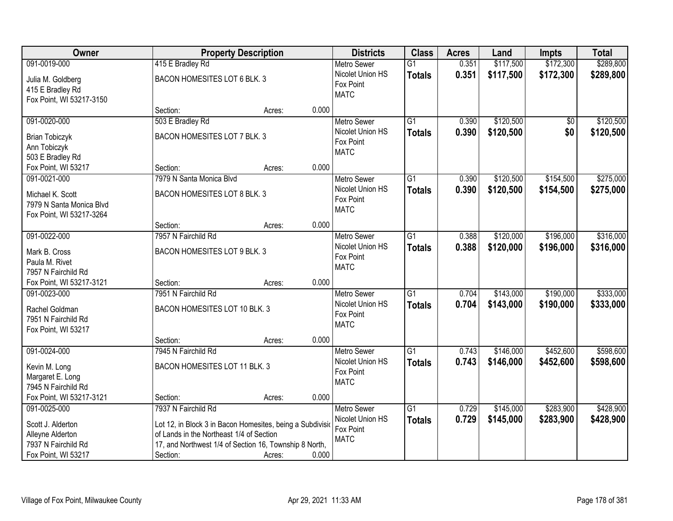| <b>Owner</b>                               |                                                        | <b>Property Description</b>                               |       | <b>Districts</b>   | <b>Class</b>    | <b>Acres</b> | Land      | <b>Impts</b>    | <b>Total</b> |
|--------------------------------------------|--------------------------------------------------------|-----------------------------------------------------------|-------|--------------------|-----------------|--------------|-----------|-----------------|--------------|
| 091-0019-000                               | 415 E Bradley Rd                                       |                                                           |       | <b>Metro Sewer</b> | $\overline{G1}$ | 0.351        | \$117,500 | \$172,300       | \$289,800    |
| Julia M. Goldberg                          | BACON HOMESITES LOT 6 BLK. 3                           |                                                           |       | Nicolet Union HS   | <b>Totals</b>   | 0.351        | \$117,500 | \$172,300       | \$289,800    |
| 415 E Bradley Rd                           |                                                        |                                                           |       | Fox Point          |                 |              |           |                 |              |
| Fox Point, WI 53217-3150                   |                                                        |                                                           |       | <b>MATC</b>        |                 |              |           |                 |              |
|                                            | Section:                                               | Acres:                                                    | 0.000 |                    |                 |              |           |                 |              |
| 091-0020-000                               | 503 E Bradley Rd                                       |                                                           |       | <b>Metro Sewer</b> | $\overline{G1}$ | 0.390        | \$120,500 | $\overline{50}$ | \$120,500    |
| <b>Brian Tobiczyk</b>                      | BACON HOMESITES LOT 7 BLK. 3                           |                                                           |       | Nicolet Union HS   | <b>Totals</b>   | 0.390        | \$120,500 | \$0             | \$120,500    |
| Ann Tobiczyk                               |                                                        |                                                           |       | Fox Point          |                 |              |           |                 |              |
| 503 E Bradley Rd                           |                                                        |                                                           |       | <b>MATC</b>        |                 |              |           |                 |              |
| Fox Point, WI 53217                        | Section:                                               | Acres:                                                    | 0.000 |                    |                 |              |           |                 |              |
| 091-0021-000                               | 7979 N Santa Monica Blvd                               |                                                           |       | Metro Sewer        | $\overline{G1}$ | 0.390        | \$120,500 | \$154,500       | \$275,000    |
| Michael K. Scott                           | BACON HOMESITES LOT 8 BLK. 3                           |                                                           |       | Nicolet Union HS   | <b>Totals</b>   | 0.390        | \$120,500 | \$154,500       | \$275,000    |
| 7979 N Santa Monica Blvd                   |                                                        |                                                           |       | Fox Point          |                 |              |           |                 |              |
| Fox Point, WI 53217-3264                   |                                                        |                                                           |       | <b>MATC</b>        |                 |              |           |                 |              |
|                                            | Section:                                               | Acres:                                                    | 0.000 |                    |                 |              |           |                 |              |
| 091-0022-000                               | 7957 N Fairchild Rd                                    |                                                           |       | <b>Metro Sewer</b> | $\overline{G1}$ | 0.388        | \$120,000 | \$196,000       | \$316,000    |
| Mark B. Cross                              | BACON HOMESITES LOT 9 BLK. 3                           |                                                           |       | Nicolet Union HS   | <b>Totals</b>   | 0.388        | \$120,000 | \$196,000       | \$316,000    |
| Paula M. Rivet                             |                                                        |                                                           |       | Fox Point          |                 |              |           |                 |              |
| 7957 N Fairchild Rd                        |                                                        |                                                           |       | <b>MATC</b>        |                 |              |           |                 |              |
| Fox Point, WI 53217-3121                   | Section:                                               | Acres:                                                    | 0.000 |                    |                 |              |           |                 |              |
| 091-0023-000                               | 7951 N Fairchild Rd                                    |                                                           |       | <b>Metro Sewer</b> | $\overline{G1}$ | 0.704        | \$143,000 | \$190,000       | \$333,000    |
|                                            |                                                        |                                                           |       | Nicolet Union HS   | <b>Totals</b>   | 0.704        | \$143,000 | \$190,000       | \$333,000    |
| Rachel Goldman                             | BACON HOMESITES LOT 10 BLK. 3                          |                                                           |       | Fox Point          |                 |              |           |                 |              |
| 7951 N Fairchild Rd<br>Fox Point, WI 53217 |                                                        |                                                           |       | <b>MATC</b>        |                 |              |           |                 |              |
|                                            | Section:                                               | Acres:                                                    | 0.000 |                    |                 |              |           |                 |              |
| 091-0024-000                               | 7945 N Fairchild Rd                                    |                                                           |       | Metro Sewer        | G1              | 0.743        | \$146,000 | \$452,600       | \$598,600    |
|                                            |                                                        |                                                           |       | Nicolet Union HS   | <b>Totals</b>   | 0.743        | \$146,000 | \$452,600       | \$598,600    |
| Kevin M. Long<br>Margaret E. Long          | BACON HOMESITES LOT 11 BLK. 3                          |                                                           |       | Fox Point          |                 |              |           |                 |              |
| 7945 N Fairchild Rd                        |                                                        |                                                           |       | <b>MATC</b>        |                 |              |           |                 |              |
| Fox Point, WI 53217-3121                   | Section:                                               | Acres:                                                    | 0.000 |                    |                 |              |           |                 |              |
| 091-0025-000                               | 7937 N Fairchild Rd                                    |                                                           |       | <b>Metro Sewer</b> | $\overline{G1}$ | 0.729        | \$145,000 | \$283,900       | \$428,900    |
|                                            |                                                        |                                                           |       | Nicolet Union HS   | <b>Totals</b>   | 0.729        | \$145,000 | \$283,900       | \$428,900    |
| Scott J. Alderton                          |                                                        | Lot 12, in Block 3 in Bacon Homesites, being a Subdivisio |       | Fox Point          |                 |              |           |                 |              |
| Alleyne Alderton                           | of Lands in the Northeast 1/4 of Section               |                                                           |       | <b>MATC</b>        |                 |              |           |                 |              |
| 7937 N Fairchild Rd                        | 17, and Northwest 1/4 of Section 16, Township 8 North, |                                                           |       |                    |                 |              |           |                 |              |
| Fox Point, WI 53217                        | Section:                                               | Acres:                                                    | 0.000 |                    |                 |              |           |                 |              |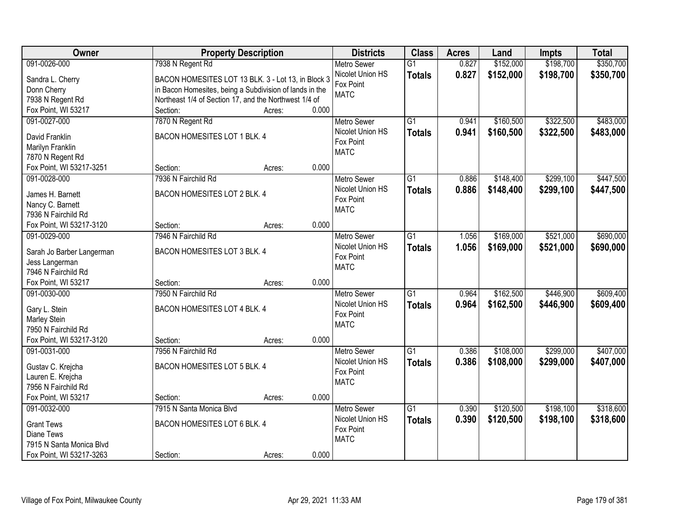| Owner                           |                                                         | <b>Property Description</b> |                               | <b>Class</b>    | <b>Acres</b> | Land      | <b>Impts</b> | <b>Total</b> |
|---------------------------------|---------------------------------------------------------|-----------------------------|-------------------------------|-----------------|--------------|-----------|--------------|--------------|
| 091-0026-000                    | 7938 N Regent Rd                                        |                             | <b>Metro Sewer</b>            | $\overline{G1}$ | 0.827        | \$152,000 | \$198,700    | \$350,700    |
| Sandra L. Cherry                | BACON HOMESITES LOT 13 BLK. 3 - Lot 13, in Block 3      |                             | Nicolet Union HS              | <b>Totals</b>   | 0.827        | \$152,000 | \$198,700    | \$350,700    |
| Donn Cherry                     | in Bacon Homesites, being a Subdivision of lands in the |                             | Fox Point                     |                 |              |           |              |              |
| 7938 N Regent Rd                | Northeast 1/4 of Section 17, and the Northwest 1/4 of   |                             | <b>MATC</b>                   |                 |              |           |              |              |
| Fox Point, WI 53217             | Section:                                                | 0.000<br>Acres:             |                               |                 |              |           |              |              |
| 091-0027-000                    | 7870 N Regent Rd                                        |                             | <b>Metro Sewer</b>            | $\overline{G1}$ | 0.941        | \$160,500 | \$322,500    | \$483,000    |
|                                 |                                                         |                             | Nicolet Union HS              | <b>Totals</b>   | 0.941        | \$160,500 | \$322,500    | \$483,000    |
| David Franklin                  | BACON HOMESITES LOT 1 BLK. 4                            |                             | Fox Point                     |                 |              |           |              |              |
| Marilyn Franklin                |                                                         |                             | <b>MATC</b>                   |                 |              |           |              |              |
| 7870 N Regent Rd                |                                                         | 0.000                       |                               |                 |              |           |              |              |
| Fox Point, WI 53217-3251        | Section:                                                | Acres:                      |                               |                 |              |           |              |              |
| 091-0028-000                    | 7936 N Fairchild Rd                                     |                             | <b>Metro Sewer</b>            | G1              | 0.886        | \$148,400 | \$299,100    | \$447,500    |
| James H. Barnett                | BACON HOMESITES LOT 2 BLK. 4                            |                             | Nicolet Union HS<br>Fox Point | <b>Totals</b>   | 0.886        | \$148,400 | \$299,100    | \$447,500    |
| Nancy C. Barnett                |                                                         |                             | <b>MATC</b>                   |                 |              |           |              |              |
| 7936 N Fairchild Rd             |                                                         |                             |                               |                 |              |           |              |              |
| Fox Point, WI 53217-3120        | Section:                                                | 0.000<br>Acres:             |                               |                 |              |           |              |              |
| 091-0029-000                    | 7946 N Fairchild Rd                                     |                             | <b>Metro Sewer</b>            | $\overline{G1}$ | 1.056        | \$169,000 | \$521,000    | \$690,000    |
| Sarah Jo Barber Langerman       | BACON HOMESITES LOT 3 BLK. 4                            |                             | Nicolet Union HS              | <b>Totals</b>   | 1.056        | \$169,000 | \$521,000    | \$690,000    |
| Jess Langerman                  |                                                         |                             | Fox Point                     |                 |              |           |              |              |
| 7946 N Fairchild Rd             |                                                         |                             | <b>MATC</b>                   |                 |              |           |              |              |
| Fox Point, WI 53217             | Section:                                                | 0.000<br>Acres:             |                               |                 |              |           |              |              |
| 091-0030-000                    | 7950 N Fairchild Rd                                     |                             | <b>Metro Sewer</b>            | $\overline{G1}$ | 0.964        | \$162,500 | \$446,900    | \$609,400    |
|                                 |                                                         |                             | Nicolet Union HS              | <b>Totals</b>   | 0.964        | \$162,500 | \$446,900    | \$609,400    |
| Gary L. Stein                   | BACON HOMESITES LOT 4 BLK. 4                            |                             | Fox Point                     |                 |              |           |              |              |
| Marley Stein                    |                                                         |                             | <b>MATC</b>                   |                 |              |           |              |              |
| 7950 N Fairchild Rd             |                                                         |                             |                               |                 |              |           |              |              |
| Fox Point, WI 53217-3120        | Section:                                                | 0.000<br>Acres:             |                               |                 |              |           |              |              |
| 091-0031-000                    | 7956 N Fairchild Rd                                     |                             | <b>Metro Sewer</b>            | $\overline{G1}$ | 0.386        | \$108,000 | \$299,000    | \$407,000    |
| Gustav C. Krejcha               | BACON HOMESITES LOT 5 BLK. 4                            |                             | Nicolet Union HS              | <b>Totals</b>   | 0.386        | \$108,000 | \$299,000    | \$407,000    |
| Lauren E. Krejcha               |                                                         |                             | Fox Point                     |                 |              |           |              |              |
| 7956 N Fairchild Rd             |                                                         |                             | <b>MATC</b>                   |                 |              |           |              |              |
| Fox Point, WI 53217             | Section:                                                | 0.000<br>Acres:             |                               |                 |              |           |              |              |
| 091-0032-000                    | 7915 N Santa Monica Blvd                                |                             | Metro Sewer                   | $\overline{G1}$ | 0.390        | \$120,500 | \$198,100    | \$318,600    |
|                                 | BACON HOMESITES LOT 6 BLK. 4                            |                             | Nicolet Union HS              | <b>Totals</b>   | 0.390        | \$120,500 | \$198,100    | \$318,600    |
| <b>Grant Tews</b><br>Diane Tews |                                                         |                             | Fox Point                     |                 |              |           |              |              |
| 7915 N Santa Monica Blvd        |                                                         |                             | <b>MATC</b>                   |                 |              |           |              |              |
|                                 |                                                         |                             |                               |                 |              |           |              |              |
| Fox Point, WI 53217-3263        | Section:                                                | 0.000<br>Acres:             |                               |                 |              |           |              |              |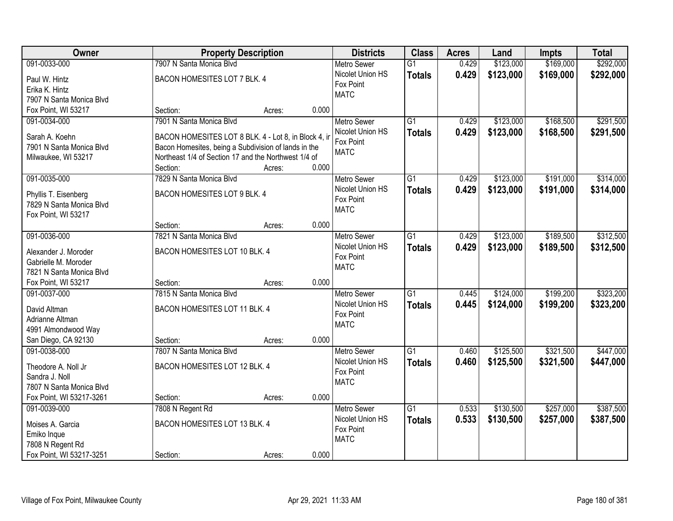| Owner                    | <b>Property Description</b>                                      |        |       | <b>Districts</b>   | <b>Class</b>    | <b>Acres</b> | Land      | <b>Impts</b> | <b>Total</b> |
|--------------------------|------------------------------------------------------------------|--------|-------|--------------------|-----------------|--------------|-----------|--------------|--------------|
| 091-0033-000             | 7907 N Santa Monica Blvd                                         |        |       | <b>Metro Sewer</b> | $\overline{G1}$ | 0.429        | \$123,000 | \$169,000    | \$292,000    |
| Paul W. Hintz            | BACON HOMESITES LOT 7 BLK. 4                                     |        |       | Nicolet Union HS   | <b>Totals</b>   | 0.429        | \$123,000 | \$169,000    | \$292,000    |
| Erika K. Hintz           |                                                                  |        |       | Fox Point          |                 |              |           |              |              |
| 7907 N Santa Monica Blvd |                                                                  |        |       | <b>MATC</b>        |                 |              |           |              |              |
| Fox Point, WI 53217      | Section:                                                         | Acres: | 0.000 |                    |                 |              |           |              |              |
| 091-0034-000             | 7901 N Santa Monica Blvd                                         |        |       | <b>Metro Sewer</b> | $\overline{G1}$ | 0.429        | \$123,000 | \$168,500    | \$291,500    |
|                          |                                                                  |        |       | Nicolet Union HS   | <b>Totals</b>   | 0.429        | \$123,000 | \$168,500    | \$291,500    |
| Sarah A. Koehn           | BACON HOMESITES LOT 8 BLK. 4 - Lot 8, in Block 4, in             |        |       | Fox Point          |                 |              |           |              |              |
| 7901 N Santa Monica Blvd | Bacon Homesites, being a Subdivision of lands in the             |        |       | <b>MATC</b>        |                 |              |           |              |              |
| Milwaukee, WI 53217      | Northeast 1/4 of Section 17 and the Northwest 1/4 of<br>Section: |        | 0.000 |                    |                 |              |           |              |              |
| 091-0035-000             | 7829 N Santa Monica Blvd                                         | Acres: |       | Metro Sewer        | $\overline{G1}$ | 0.429        | \$123,000 | \$191,000    | \$314,000    |
|                          |                                                                  |        |       | Nicolet Union HS   |                 |              |           |              |              |
| Phyllis T. Eisenberg     | BACON HOMESITES LOT 9 BLK. 4                                     |        |       | Fox Point          | <b>Totals</b>   | 0.429        | \$123,000 | \$191,000    | \$314,000    |
| 7829 N Santa Monica Blvd |                                                                  |        |       | <b>MATC</b>        |                 |              |           |              |              |
| Fox Point, WI 53217      |                                                                  |        |       |                    |                 |              |           |              |              |
|                          | Section:                                                         | Acres: | 0.000 |                    |                 |              |           |              |              |
| 091-0036-000             | 7821 N Santa Monica Blvd                                         |        |       | <b>Metro Sewer</b> | $\overline{G1}$ | 0.429        | \$123,000 | \$189,500    | \$312,500    |
| Alexander J. Moroder     | BACON HOMESITES LOT 10 BLK. 4                                    |        |       | Nicolet Union HS   | <b>Totals</b>   | 0.429        | \$123,000 | \$189,500    | \$312,500    |
| Gabrielle M. Moroder     |                                                                  |        |       | Fox Point          |                 |              |           |              |              |
| 7821 N Santa Monica Blvd |                                                                  |        |       | <b>MATC</b>        |                 |              |           |              |              |
| Fox Point, WI 53217      | Section:                                                         | Acres: | 0.000 |                    |                 |              |           |              |              |
| 091-0037-000             | 7815 N Santa Monica Blvd                                         |        |       | <b>Metro Sewer</b> | $\overline{G1}$ | 0.445        | \$124,000 | \$199,200    | \$323,200    |
|                          |                                                                  |        |       | Nicolet Union HS   | <b>Totals</b>   | 0.445        | \$124,000 | \$199,200    | \$323,200    |
| David Altman             | BACON HOMESITES LOT 11 BLK. 4                                    |        |       | Fox Point          |                 |              |           |              |              |
| Adrianne Altman          |                                                                  |        |       | <b>MATC</b>        |                 |              |           |              |              |
| 4991 Almondwood Way      |                                                                  |        |       |                    |                 |              |           |              |              |
| San Diego, CA 92130      | Section:                                                         | Acres: | 0.000 |                    |                 |              |           |              |              |
| 091-0038-000             | 7807 N Santa Monica Blvd                                         |        |       | <b>Metro Sewer</b> | $\overline{G1}$ | 0.460        | \$125,500 | \$321,500    | \$447,000    |
| Theodore A. Noll Jr      | BACON HOMESITES LOT 12 BLK. 4                                    |        |       | Nicolet Union HS   | <b>Totals</b>   | 0.460        | \$125,500 | \$321,500    | \$447,000    |
| Sandra J. Noll           |                                                                  |        |       | Fox Point          |                 |              |           |              |              |
| 7807 N Santa Monica Blvd |                                                                  |        |       | <b>MATC</b>        |                 |              |           |              |              |
| Fox Point, WI 53217-3261 | Section:                                                         | Acres: | 0.000 |                    |                 |              |           |              |              |
| 091-0039-000             | 7808 N Regent Rd                                                 |        |       | <b>Metro Sewer</b> | $\overline{G1}$ | 0.533        | \$130,500 | \$257,000    | \$387,500    |
| Moises A. Garcia         | BACON HOMESITES LOT 13 BLK. 4                                    |        |       | Nicolet Union HS   | <b>Totals</b>   | 0.533        | \$130,500 | \$257,000    | \$387,500    |
| Emiko Inque              |                                                                  |        |       | Fox Point          |                 |              |           |              |              |
| 7808 N Regent Rd         |                                                                  |        |       | <b>MATC</b>        |                 |              |           |              |              |
| Fox Point, WI 53217-3251 | Section:                                                         | Acres: | 0.000 |                    |                 |              |           |              |              |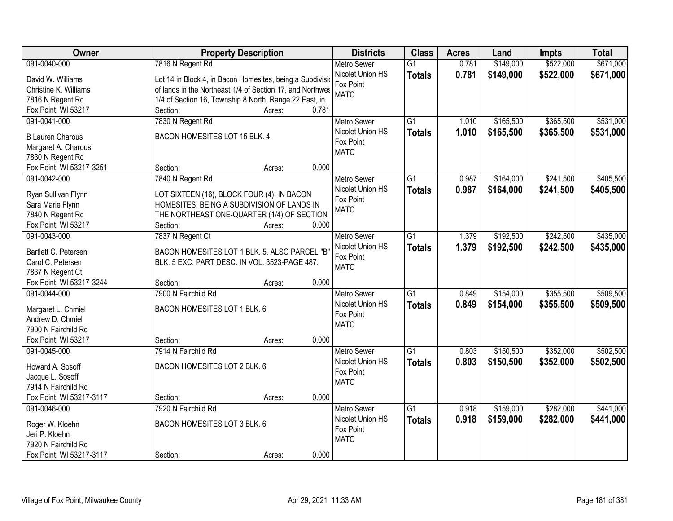| Owner                    | <b>Property Description</b>                               | <b>Districts</b>   | <b>Class</b>    | <b>Acres</b> | Land      | <b>Impts</b> | <b>Total</b> |
|--------------------------|-----------------------------------------------------------|--------------------|-----------------|--------------|-----------|--------------|--------------|
| 091-0040-000             | 7816 N Regent Rd                                          | <b>Metro Sewer</b> | $\overline{G1}$ | 0.781        | \$149,000 | \$522,000    | \$671,000    |
| David W. Williams        | Lot 14 in Block 4, in Bacon Homesites, being a Subdivisio | Nicolet Union HS   | <b>Totals</b>   | 0.781        | \$149,000 | \$522,000    | \$671,000    |
| Christine K. Williams    | of lands in the Northeast 1/4 of Section 17, and Northwes | Fox Point          |                 |              |           |              |              |
| 7816 N Regent Rd         | 1/4 of Section 16, Township 8 North, Range 22 East, in    | <b>MATC</b>        |                 |              |           |              |              |
| Fox Point, WI 53217      | 0.781<br>Section:<br>Acres:                               |                    |                 |              |           |              |              |
| 091-0041-000             | 7830 N Regent Rd                                          | <b>Metro Sewer</b> | $\overline{G1}$ | 1.010        | \$165,500 | \$365,500    | \$531,000    |
|                          |                                                           | Nicolet Union HS   | <b>Totals</b>   | 1.010        | \$165,500 | \$365,500    | \$531,000    |
| <b>B Lauren Charous</b>  | BACON HOMESITES LOT 15 BLK. 4                             | Fox Point          |                 |              |           |              |              |
| Margaret A. Charous      |                                                           | <b>MATC</b>        |                 |              |           |              |              |
| 7830 N Regent Rd         |                                                           |                    |                 |              |           |              |              |
| Fox Point, WI 53217-3251 | 0.000<br>Section:<br>Acres:                               |                    |                 |              |           |              |              |
| 091-0042-000             | 7840 N Regent Rd                                          | <b>Metro Sewer</b> | G1              | 0.987        | \$164,000 | \$241,500    | \$405,500    |
| Ryan Sullivan Flynn      | LOT SIXTEEN (16), BLOCK FOUR (4), IN BACON                | Nicolet Union HS   | <b>Totals</b>   | 0.987        | \$164,000 | \$241,500    | \$405,500    |
| Sara Marie Flynn         | HOMESITES, BEING A SUBDIVISION OF LANDS IN                | Fox Point          |                 |              |           |              |              |
| 7840 N Regent Rd         | THE NORTHEAST ONE-QUARTER (1/4) OF SECTION                | <b>MATC</b>        |                 |              |           |              |              |
| Fox Point, WI 53217      | Section:<br>0.000<br>Acres:                               |                    |                 |              |           |              |              |
| 091-0043-000             | 7837 N Regent Ct                                          | <b>Metro Sewer</b> | G1              | 1.379        | \$192,500 | \$242,500    | \$435,000    |
|                          |                                                           | Nicolet Union HS   | <b>Totals</b>   | 1.379        | \$192,500 | \$242,500    | \$435,000    |
| Bartlett C. Petersen     | BACON HOMESITES LOT 1 BLK. 5. ALSO PARCEL "B"             | Fox Point          |                 |              |           |              |              |
| Carol C. Petersen        | BLK. 5 EXC. PART DESC. IN VOL. 3523-PAGE 487.             | <b>MATC</b>        |                 |              |           |              |              |
| 7837 N Regent Ct         |                                                           |                    |                 |              |           |              |              |
| Fox Point, WI 53217-3244 | 0.000<br>Section:<br>Acres:                               |                    |                 |              |           |              |              |
| 091-0044-000             | 7900 N Fairchild Rd                                       | <b>Metro Sewer</b> | $\overline{G1}$ | 0.849        | \$154,000 | \$355,500    | \$509,500    |
| Margaret L. Chmiel       | BACON HOMESITES LOT 1 BLK. 6                              | Nicolet Union HS   | <b>Totals</b>   | 0.849        | \$154,000 | \$355,500    | \$509,500    |
| Andrew D. Chmiel         |                                                           | Fox Point          |                 |              |           |              |              |
| 7900 N Fairchild Rd      |                                                           | <b>MATC</b>        |                 |              |           |              |              |
| Fox Point, WI 53217      | 0.000<br>Section:<br>Acres:                               |                    |                 |              |           |              |              |
| 091-0045-000             | 7914 N Fairchild Rd                                       | <b>Metro Sewer</b> | $\overline{G1}$ | 0.803        | \$150,500 | \$352,000    | \$502,500    |
|                          |                                                           | Nicolet Union HS   | <b>Totals</b>   | 0.803        | \$150,500 | \$352,000    | \$502,500    |
| Howard A. Sosoff         | BACON HOMESITES LOT 2 BLK. 6                              | Fox Point          |                 |              |           |              |              |
| Jacque L. Sosoff         |                                                           | <b>MATC</b>        |                 |              |           |              |              |
| 7914 N Fairchild Rd      |                                                           |                    |                 |              |           |              |              |
| Fox Point, WI 53217-3117 | 0.000<br>Section:<br>Acres:                               |                    |                 |              |           |              |              |
| 091-0046-000             | 7920 N Fairchild Rd                                       | <b>Metro Sewer</b> | $\overline{G1}$ | 0.918        | \$159,000 | \$282,000    | \$441,000    |
| Roger W. Kloehn          | BACON HOMESITES LOT 3 BLK. 6                              | Nicolet Union HS   | <b>Totals</b>   | 0.918        | \$159,000 | \$282,000    | \$441,000    |
| Jeri P. Kloehn           |                                                           | Fox Point          |                 |              |           |              |              |
| 7920 N Fairchild Rd      |                                                           | <b>MATC</b>        |                 |              |           |              |              |
| Fox Point, WI 53217-3117 | 0.000<br>Section:<br>Acres:                               |                    |                 |              |           |              |              |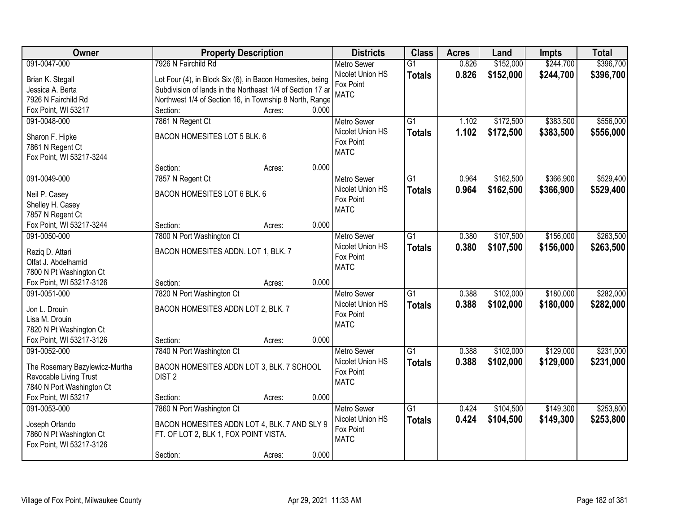| <b>Owner</b>                   | <b>Property Description</b>                                |                 | <b>Districts</b>              | <b>Class</b>    | <b>Acres</b> | Land      | <b>Impts</b> | <b>Total</b> |
|--------------------------------|------------------------------------------------------------|-----------------|-------------------------------|-----------------|--------------|-----------|--------------|--------------|
| 091-0047-000                   | 7926 N Fairchild Rd                                        |                 | <b>Metro Sewer</b>            | $\overline{G1}$ | 0.826        | \$152,000 | \$244,700    | \$396,700    |
| Brian K. Stegall               | Lot Four (4), in Block Six (6), in Bacon Homesites, being  |                 | Nicolet Union HS              | <b>Totals</b>   | 0.826        | \$152,000 | \$244,700    | \$396,700    |
| Jessica A. Berta               | Subdivision of lands in the Northeast 1/4 of Section 17 ar |                 | Fox Point                     |                 |              |           |              |              |
| 7926 N Fairchild Rd            | Northwest 1/4 of Section 16, in Township 8 North, Range    |                 | <b>MATC</b>                   |                 |              |           |              |              |
| Fox Point, WI 53217            | Section:                                                   | 0.000<br>Acres: |                               |                 |              |           |              |              |
| 091-0048-000                   | 7861 N Regent Ct                                           |                 | <b>Metro Sewer</b>            | $\overline{G1}$ | 1.102        | \$172,500 | \$383,500    | \$556,000    |
|                                |                                                            |                 | Nicolet Union HS              | <b>Totals</b>   | 1.102        | \$172,500 | \$383,500    | \$556,000    |
| Sharon F. Hipke                | BACON HOMESITES LOT 5 BLK. 6                               |                 | Fox Point                     |                 |              |           |              |              |
| 7861 N Regent Ct               |                                                            |                 | <b>MATC</b>                   |                 |              |           |              |              |
| Fox Point, WI 53217-3244       |                                                            | 0.000           |                               |                 |              |           |              |              |
|                                | Section:                                                   | Acres:          |                               |                 |              |           |              |              |
| 091-0049-000                   | 7857 N Regent Ct                                           |                 | Metro Sewer                   | G1              | 0.964        | \$162,500 | \$366,900    | \$529,400    |
| Neil P. Casey                  | BACON HOMESITES LOT 6 BLK. 6                               |                 | Nicolet Union HS<br>Fox Point | <b>Totals</b>   | 0.964        | \$162,500 | \$366,900    | \$529,400    |
| Shelley H. Casey               |                                                            |                 | <b>MATC</b>                   |                 |              |           |              |              |
| 7857 N Regent Ct               |                                                            |                 |                               |                 |              |           |              |              |
| Fox Point, WI 53217-3244       | Section:                                                   | 0.000<br>Acres: |                               |                 |              |           |              |              |
| 091-0050-000                   | 7800 N Port Washington Ct                                  |                 | <b>Metro Sewer</b>            | $\overline{G1}$ | 0.380        | \$107,500 | \$156,000    | \$263,500    |
| Rezig D. Attari                | BACON HOMESITES ADDN. LOT 1, BLK. 7                        |                 | Nicolet Union HS              | <b>Totals</b>   | 0.380        | \$107,500 | \$156,000    | \$263,500    |
| Olfat J. Abdelhamid            |                                                            |                 | Fox Point                     |                 |              |           |              |              |
| 7800 N Pt Washington Ct        |                                                            |                 | <b>MATC</b>                   |                 |              |           |              |              |
| Fox Point, WI 53217-3126       | Section:                                                   | 0.000<br>Acres: |                               |                 |              |           |              |              |
| 091-0051-000                   | 7820 N Port Washington Ct                                  |                 | <b>Metro Sewer</b>            | $\overline{G1}$ | 0.388        | \$102,000 | \$180,000    | \$282,000    |
|                                |                                                            |                 | Nicolet Union HS              | <b>Totals</b>   | 0.388        | \$102,000 | \$180,000    | \$282,000    |
| Jon L. Drouin                  | BACON HOMESITES ADDN LOT 2, BLK. 7                         |                 | Fox Point                     |                 |              |           |              |              |
| Lisa M. Drouin                 |                                                            |                 | <b>MATC</b>                   |                 |              |           |              |              |
| 7820 N Pt Washington Ct        |                                                            |                 |                               |                 |              |           |              |              |
| Fox Point, WI 53217-3126       | Section:                                                   | 0.000<br>Acres: |                               |                 |              |           |              |              |
| 091-0052-000                   | 7840 N Port Washington Ct                                  |                 | Metro Sewer                   | $\overline{G1}$ | 0.388        | \$102,000 | \$129,000    | \$231,000    |
| The Rosemary Bazylewicz-Murtha | BACON HOMESITES ADDN LOT 3, BLK. 7 SCHOOL                  |                 | Nicolet Union HS              | <b>Totals</b>   | 0.388        | \$102,000 | \$129,000    | \$231,000    |
| Revocable Living Trust         | DIST <sub>2</sub>                                          |                 | Fox Point                     |                 |              |           |              |              |
| 7840 N Port Washington Ct      |                                                            |                 | <b>MATC</b>                   |                 |              |           |              |              |
| Fox Point, WI 53217            | Section:                                                   | 0.000<br>Acres: |                               |                 |              |           |              |              |
| 091-0053-000                   | 7860 N Port Washington Ct                                  |                 | <b>Metro Sewer</b>            | $\overline{G1}$ | 0.424        | \$104,500 | \$149,300    | \$253,800    |
|                                |                                                            |                 | Nicolet Union HS              | <b>Totals</b>   | 0.424        | \$104,500 | \$149,300    | \$253,800    |
| Joseph Orlando                 | BACON HOMESITES ADDN LOT 4, BLK. 7 AND SLY 9               |                 | Fox Point                     |                 |              |           |              |              |
| 7860 N Pt Washington Ct        | FT. OF LOT 2, BLK 1, FOX POINT VISTA.                      |                 | <b>MATC</b>                   |                 |              |           |              |              |
| Fox Point, WI 53217-3126       |                                                            | 0.000           |                               |                 |              |           |              |              |
|                                | Section:                                                   | Acres:          |                               |                 |              |           |              |              |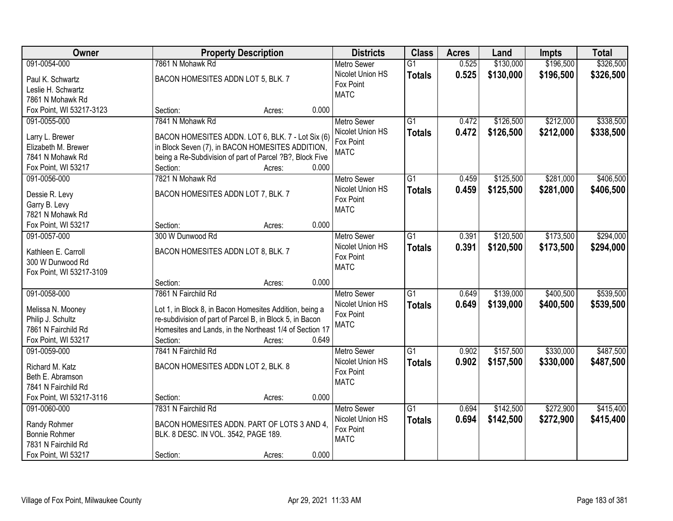| Owner                                |                                                                      | <b>Property Description</b> |       | <b>Districts</b>              | <b>Class</b>    | <b>Acres</b> | Land      | <b>Impts</b> | <b>Total</b> |
|--------------------------------------|----------------------------------------------------------------------|-----------------------------|-------|-------------------------------|-----------------|--------------|-----------|--------------|--------------|
| 091-0054-000                         | 7861 N Mohawk Rd                                                     |                             |       | <b>Metro Sewer</b>            | $\overline{G1}$ | 0.525        | \$130,000 | \$196,500    | \$326,500    |
| Paul K. Schwartz                     | BACON HOMESITES ADDN LOT 5, BLK. 7                                   |                             |       | Nicolet Union HS              | <b>Totals</b>   | 0.525        | \$130,000 | \$196,500    | \$326,500    |
| Leslie H. Schwartz                   |                                                                      |                             |       | Fox Point                     |                 |              |           |              |              |
| 7861 N Mohawk Rd                     |                                                                      |                             |       | <b>MATC</b>                   |                 |              |           |              |              |
| Fox Point, WI 53217-3123             | Section:                                                             | Acres:                      | 0.000 |                               |                 |              |           |              |              |
| 091-0055-000                         | 7841 N Mohawk Rd                                                     |                             |       | <b>Metro Sewer</b>            | $\overline{G1}$ | 0.472        | \$126,500 | \$212,000    | \$338,500    |
|                                      |                                                                      |                             |       | Nicolet Union HS              | <b>Totals</b>   | 0.472        | \$126,500 | \$212,000    | \$338,500    |
| Larry L. Brewer                      | BACON HOMESITES ADDN. LOT 6, BLK. 7 - Lot Six (6)                    |                             |       | Fox Point                     |                 |              |           |              |              |
| Elizabeth M. Brewer                  | in Block Seven (7), in BACON HOMESITES ADDITION,                     |                             |       | <b>MATC</b>                   |                 |              |           |              |              |
| 7841 N Mohawk Rd                     | being a Re-Subdivision of part of Parcel ?B?, Block Five<br>Section: |                             | 0.000 |                               |                 |              |           |              |              |
| Fox Point, WI 53217<br>091-0056-000  | 7821 N Mohawk Rd                                                     | Acres:                      |       |                               | G1              | 0.459        |           | \$281,000    | \$406,500    |
|                                      |                                                                      |                             |       | <b>Metro Sewer</b>            |                 |              | \$125,500 |              |              |
| Dessie R. Levy                       | BACON HOMESITES ADDN LOT 7, BLK. 7                                   |                             |       | Nicolet Union HS<br>Fox Point | <b>Totals</b>   | 0.459        | \$125,500 | \$281,000    | \$406,500    |
| Garry B. Levy                        |                                                                      |                             |       | <b>MATC</b>                   |                 |              |           |              |              |
| 7821 N Mohawk Rd                     |                                                                      |                             |       |                               |                 |              |           |              |              |
| Fox Point, WI 53217                  | Section:                                                             | Acres:                      | 0.000 |                               |                 |              |           |              |              |
| 091-0057-000                         | 300 W Dunwood Rd                                                     |                             |       | <b>Metro Sewer</b>            | G1              | 0.391        | \$120,500 | \$173,500    | \$294,000    |
| Kathleen E. Carroll                  | BACON HOMESITES ADDN LOT 8, BLK. 7                                   |                             |       | Nicolet Union HS              | <b>Totals</b>   | 0.391        | \$120,500 | \$173,500    | \$294,000    |
| 300 W Dunwood Rd                     |                                                                      |                             |       | Fox Point                     |                 |              |           |              |              |
| Fox Point, WI 53217-3109             |                                                                      |                             |       | <b>MATC</b>                   |                 |              |           |              |              |
|                                      | Section:                                                             | Acres:                      | 0.000 |                               |                 |              |           |              |              |
| 091-0058-000                         | 7861 N Fairchild Rd                                                  |                             |       | <b>Metro Sewer</b>            | $\overline{G1}$ | 0.649        | \$139,000 | \$400,500    | \$539,500    |
|                                      |                                                                      |                             |       | Nicolet Union HS              | <b>Totals</b>   | 0.649        | \$139,000 | \$400,500    | \$539,500    |
| Melissa N. Mooney                    | Lot 1, in Block 8, in Bacon Homesites Addition, being a              |                             |       | Fox Point                     |                 |              |           |              |              |
| Philip J. Schultz                    | re-subdivision of part of Parcel B, in Block 5, in Bacon             |                             |       | <b>MATC</b>                   |                 |              |           |              |              |
| 7861 N Fairchild Rd                  | Homesites and Lands, in the Northeast 1/4 of Section 17              |                             |       |                               |                 |              |           |              |              |
| Fox Point, WI 53217                  | Section:                                                             | Acres:                      | 0.649 |                               |                 |              |           |              |              |
| 091-0059-000                         | 7841 N Fairchild Rd                                                  |                             |       | Metro Sewer                   | G1              | 0.902        | \$157,500 | \$330,000    | \$487,500    |
| Richard M. Katz                      | BACON HOMESITES ADDN LOT 2, BLK. 8                                   |                             |       | Nicolet Union HS              | <b>Totals</b>   | 0.902        | \$157,500 | \$330,000    | \$487,500    |
| Beth E. Abramson                     |                                                                      |                             |       | Fox Point                     |                 |              |           |              |              |
| 7841 N Fairchild Rd                  |                                                                      |                             |       | <b>MATC</b>                   |                 |              |           |              |              |
| Fox Point, WI 53217-3116             | Section:                                                             | Acres:                      | 0.000 |                               |                 |              |           |              |              |
| 091-0060-000                         | 7831 N Fairchild Rd                                                  |                             |       | <b>Metro Sewer</b>            | $\overline{G1}$ | 0.694        | \$142,500 | \$272,900    | \$415,400    |
|                                      |                                                                      |                             |       | Nicolet Union HS              | <b>Totals</b>   | 0.694        | \$142,500 | \$272,900    | \$415,400    |
| Randy Rohmer<br><b>Bonnie Rohmer</b> | BACON HOMESITES ADDN. PART OF LOTS 3 AND 4,                          |                             |       | Fox Point                     |                 |              |           |              |              |
| 7831 N Fairchild Rd                  | BLK. 8 DESC. IN VOL. 3542, PAGE 189.                                 |                             |       | <b>MATC</b>                   |                 |              |           |              |              |
| Fox Point, WI 53217                  | Section:                                                             | Acres:                      | 0.000 |                               |                 |              |           |              |              |
|                                      |                                                                      |                             |       |                               |                 |              |           |              |              |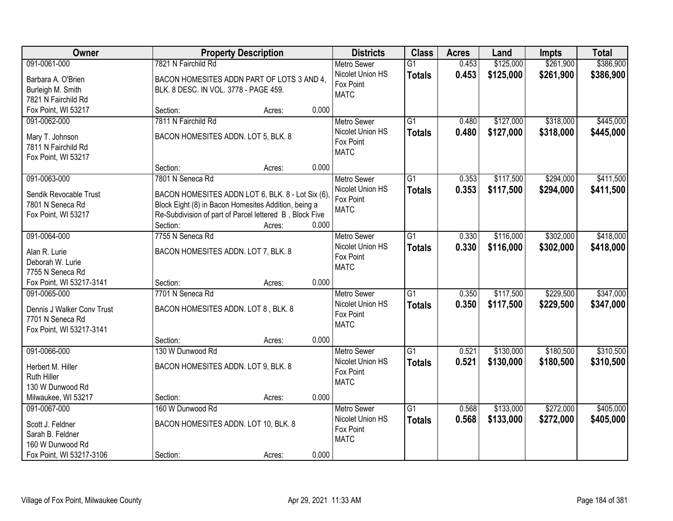| Owner                      | <b>Property Description</b>                             |                 | <b>Districts</b>         | <b>Class</b>    | <b>Acres</b> | Land      | <b>Impts</b> | <b>Total</b> |
|----------------------------|---------------------------------------------------------|-----------------|--------------------------|-----------------|--------------|-----------|--------------|--------------|
| 091-0061-000               | 7821 N Fairchild Rd                                     |                 | <b>Metro Sewer</b>       | $\overline{G1}$ | 0.453        | \$125,000 | \$261,900    | \$386,900    |
| Barbara A. O'Brien         | BACON HOMESITES ADDN PART OF LOTS 3 AND 4,              |                 | Nicolet Union HS         | <b>Totals</b>   | 0.453        | \$125,000 | \$261,900    | \$386,900    |
| Burleigh M. Smith          | BLK. 8 DESC. IN VOL. 3778 - PAGE 459.                   |                 | Fox Point                |                 |              |           |              |              |
| 7821 N Fairchild Rd        |                                                         |                 | <b>MATC</b>              |                 |              |           |              |              |
| Fox Point, WI 53217        | Section:                                                | 0.000<br>Acres: |                          |                 |              |           |              |              |
| 091-0062-000               | 7811 N Fairchild Rd                                     |                 | <b>Metro Sewer</b>       | $\overline{G1}$ | 0.480        | \$127,000 | \$318,000    | \$445,000    |
| Mary T. Johnson            | BACON HOMESITES ADDN. LOT 5, BLK. 8                     |                 | Nicolet Union HS         | <b>Totals</b>   | 0.480        | \$127,000 | \$318,000    | \$445,000    |
| 7811 N Fairchild Rd        |                                                         |                 | Fox Point                |                 |              |           |              |              |
| Fox Point, WI 53217        |                                                         |                 | <b>MATC</b>              |                 |              |           |              |              |
|                            | Section:                                                | 0.000<br>Acres: |                          |                 |              |           |              |              |
| 091-0063-000               | 7801 N Seneca Rd                                        |                 | <b>Metro Sewer</b>       | G1              | 0.353        | \$117,500 | \$294,000    | \$411,500    |
| Sendik Revocable Trust     | BACON HOMESITES ADDN LOT 6, BLK. 8 - Lot Six (6),       |                 | Nicolet Union HS         | <b>Totals</b>   | 0.353        | \$117,500 | \$294,000    | \$411,500    |
| 7801 N Seneca Rd           | Block Eight (8) in Bacon Homesites Addition, being a    |                 | Fox Point                |                 |              |           |              |              |
| Fox Point, WI 53217        | Re-Subdivision of part of Parcel lettered B, Block Five |                 | <b>MATC</b>              |                 |              |           |              |              |
|                            | Section:                                                | 0.000<br>Acres: |                          |                 |              |           |              |              |
| 091-0064-000               | 7755 N Seneca Rd                                        |                 | <b>Metro Sewer</b>       | G1              | 0.330        | \$116,000 | \$302,000    | \$418,000    |
| Alan R. Lurie              | BACON HOMESITES ADDN. LOT 7, BLK. 8                     |                 | Nicolet Union HS         | <b>Totals</b>   | 0.330        | \$116,000 | \$302,000    | \$418,000    |
| Deborah W. Lurie           |                                                         |                 | Fox Point<br><b>MATC</b> |                 |              |           |              |              |
| 7755 N Seneca Rd           |                                                         |                 |                          |                 |              |           |              |              |
| Fox Point, WI 53217-3141   | Section:                                                | 0.000<br>Acres: |                          |                 |              |           |              |              |
| 091-0065-000               | 7701 N Seneca Rd                                        |                 | Metro Sewer              | $\overline{G1}$ | 0.350        | \$117,500 | \$229,500    | \$347,000    |
| Dennis J Walker Conv Trust | BACON HOMESITES ADDN. LOT 8, BLK. 8                     |                 | Nicolet Union HS         | <b>Totals</b>   | 0.350        | \$117,500 | \$229,500    | \$347,000    |
| 7701 N Seneca Rd           |                                                         |                 | Fox Point<br><b>MATC</b> |                 |              |           |              |              |
| Fox Point, WI 53217-3141   |                                                         |                 |                          |                 |              |           |              |              |
|                            | Section:                                                | 0.000<br>Acres: |                          |                 |              |           |              |              |
| 091-0066-000               | 130 W Dunwood Rd                                        |                 | <b>Metro Sewer</b>       | $\overline{G1}$ | 0.521        | \$130,000 | \$180,500    | \$310,500    |
| Herbert M. Hiller          | BACON HOMESITES ADDN. LOT 9, BLK. 8                     |                 | Nicolet Union HS         | <b>Totals</b>   | 0.521        | \$130,000 | \$180,500    | \$310,500    |
| <b>Ruth Hiller</b>         |                                                         |                 | Fox Point<br><b>MATC</b> |                 |              |           |              |              |
| 130 W Dunwood Rd           |                                                         |                 |                          |                 |              |           |              |              |
| Milwaukee, WI 53217        | Section:                                                | 0.000<br>Acres: |                          |                 |              |           |              |              |
| 091-0067-000               | 160 W Dunwood Rd                                        |                 | <b>Metro Sewer</b>       | $\overline{G1}$ | 0.568        | \$133,000 | \$272,000    | \$405,000    |
| Scott J. Feldner           | BACON HOMESITES ADDN. LOT 10, BLK. 8                    |                 | Nicolet Union HS         | <b>Totals</b>   | 0.568        | \$133,000 | \$272,000    | \$405,000    |
| Sarah B. Feldner           |                                                         |                 | Fox Point<br><b>MATC</b> |                 |              |           |              |              |
| 160 W Dunwood Rd           |                                                         |                 |                          |                 |              |           |              |              |
| Fox Point, WI 53217-3106   | Section:                                                | 0.000<br>Acres: |                          |                 |              |           |              |              |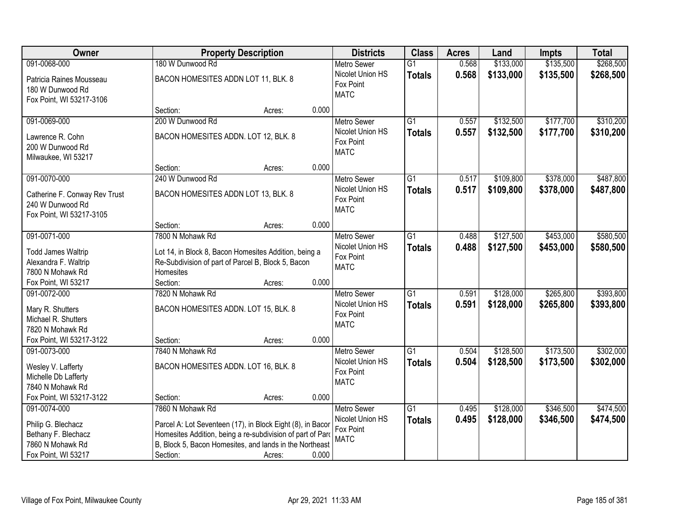| Owner                                             | <b>Property Description</b>                                                                                 |        |       | <b>Districts</b>         | <b>Class</b>    | <b>Acres</b> | Land      | <b>Impts</b> | <b>Total</b> |
|---------------------------------------------------|-------------------------------------------------------------------------------------------------------------|--------|-------|--------------------------|-----------------|--------------|-----------|--------------|--------------|
| 091-0068-000                                      | 180 W Dunwood Rd                                                                                            |        |       | <b>Metro Sewer</b>       | $\overline{G1}$ | 0.568        | \$133,000 | \$135,500    | \$268,500    |
| Patricia Raines Mousseau                          | BACON HOMESITES ADDN LOT 11, BLK. 8                                                                         |        |       | Nicolet Union HS         | <b>Totals</b>   | 0.568        | \$133,000 | \$135,500    | \$268,500    |
| 180 W Dunwood Rd                                  |                                                                                                             |        |       | Fox Point                |                 |              |           |              |              |
| Fox Point, WI 53217-3106                          |                                                                                                             |        |       | <b>MATC</b>              |                 |              |           |              |              |
|                                                   | Section:                                                                                                    | Acres: | 0.000 |                          |                 |              |           |              |              |
| 091-0069-000                                      | 200 W Dunwood Rd                                                                                            |        |       | <b>Metro Sewer</b>       | $\overline{G1}$ | 0.557        | \$132,500 | \$177,700    | \$310,200    |
| Lawrence R. Cohn                                  | BACON HOMESITES ADDN. LOT 12, BLK. 8                                                                        |        |       | Nicolet Union HS         | <b>Totals</b>   | 0.557        | \$132,500 | \$177,700    | \$310,200    |
| 200 W Dunwood Rd                                  |                                                                                                             |        |       | Fox Point                |                 |              |           |              |              |
| Milwaukee, WI 53217                               |                                                                                                             |        |       | <b>MATC</b>              |                 |              |           |              |              |
|                                                   | Section:                                                                                                    | Acres: | 0.000 |                          |                 |              |           |              |              |
| 091-0070-000                                      | 240 W Dunwood Rd                                                                                            |        |       | <b>Metro Sewer</b>       | $\overline{G1}$ | 0.517        | \$109,800 | \$378,000    | \$487,800    |
| Catherine F. Conway Rev Trust                     | BACON HOMESITES ADDN LOT 13, BLK. 8                                                                         |        |       | Nicolet Union HS         | <b>Totals</b>   | 0.517        | \$109,800 | \$378,000    | \$487,800    |
| 240 W Dunwood Rd                                  |                                                                                                             |        |       | Fox Point                |                 |              |           |              |              |
| Fox Point, WI 53217-3105                          |                                                                                                             |        |       | <b>MATC</b>              |                 |              |           |              |              |
|                                                   | Section:                                                                                                    | Acres: | 0.000 |                          |                 |              |           |              |              |
| 091-0071-000                                      | 7800 N Mohawk Rd                                                                                            |        |       | <b>Metro Sewer</b>       | $\overline{G1}$ | 0.488        | \$127,500 | \$453,000    | \$580,500    |
|                                                   |                                                                                                             |        |       | Nicolet Union HS         | <b>Totals</b>   | 0.488        | \$127,500 | \$453,000    | \$580,500    |
| <b>Todd James Waltrip</b><br>Alexandra F. Waltrip | Lot 14, in Block 8, Bacon Homesites Addition, being a<br>Re-Subdivision of part of Parcel B, Block 5, Bacon |        |       | Fox Point                |                 |              |           |              |              |
| 7800 N Mohawk Rd                                  | Homesites                                                                                                   |        |       | <b>MATC</b>              |                 |              |           |              |              |
| Fox Point, WI 53217                               | Section:                                                                                                    | Acres: | 0.000 |                          |                 |              |           |              |              |
| 091-0072-000                                      | 7820 N Mohawk Rd                                                                                            |        |       | <b>Metro Sewer</b>       | $\overline{G1}$ | 0.591        | \$128,000 | \$265,800    | \$393,800    |
|                                                   |                                                                                                             |        |       | Nicolet Union HS         | <b>Totals</b>   | 0.591        | \$128,000 | \$265,800    | \$393,800    |
| Mary R. Shutters                                  | BACON HOMESITES ADDN. LOT 15, BLK. 8                                                                        |        |       | Fox Point                |                 |              |           |              |              |
| Michael R. Shutters                               |                                                                                                             |        |       | <b>MATC</b>              |                 |              |           |              |              |
| 7820 N Mohawk Rd<br>Fox Point, WI 53217-3122      | Section:                                                                                                    |        | 0.000 |                          |                 |              |           |              |              |
| 091-0073-000                                      | 7840 N Mohawk Rd                                                                                            | Acres: |       | Metro Sewer              | $\overline{G1}$ | 0.504        | \$128,500 | \$173,500    | \$302,000    |
|                                                   |                                                                                                             |        |       | Nicolet Union HS         |                 | 0.504        | \$128,500 | \$173,500    | \$302,000    |
| Wesley V. Lafferty                                | BACON HOMESITES ADDN. LOT 16, BLK. 8                                                                        |        |       | Fox Point                | <b>Totals</b>   |              |           |              |              |
| Michelle Db Lafferty                              |                                                                                                             |        |       | <b>MATC</b>              |                 |              |           |              |              |
| 7840 N Mohawk Rd                                  |                                                                                                             |        |       |                          |                 |              |           |              |              |
| Fox Point, WI 53217-3122                          | Section:                                                                                                    | Acres: | 0.000 |                          |                 |              |           |              |              |
| 091-0074-000                                      | 7860 N Mohawk Rd                                                                                            |        |       | <b>Metro Sewer</b>       | $\overline{G1}$ | 0.495        | \$128,000 | \$346,500    | \$474,500    |
| Philip G. Blechacz                                | Parcel A: Lot Seventeen (17), in Block Eight (8), in Bacor                                                  |        |       | Nicolet Union HS         | <b>Totals</b>   | 0.495        | \$128,000 | \$346,500    | \$474,500    |
| Bethany F. Blechacz                               | Homesites Addition, being a re-subdivision of part of Pard                                                  |        |       | Fox Point<br><b>MATC</b> |                 |              |           |              |              |
| 7860 N Mohawk Rd                                  | B, Block 5, Bacon Homesites, and lands in the Northeast                                                     |        |       |                          |                 |              |           |              |              |
| Fox Point, WI 53217                               | Section:                                                                                                    | Acres: | 0.000 |                          |                 |              |           |              |              |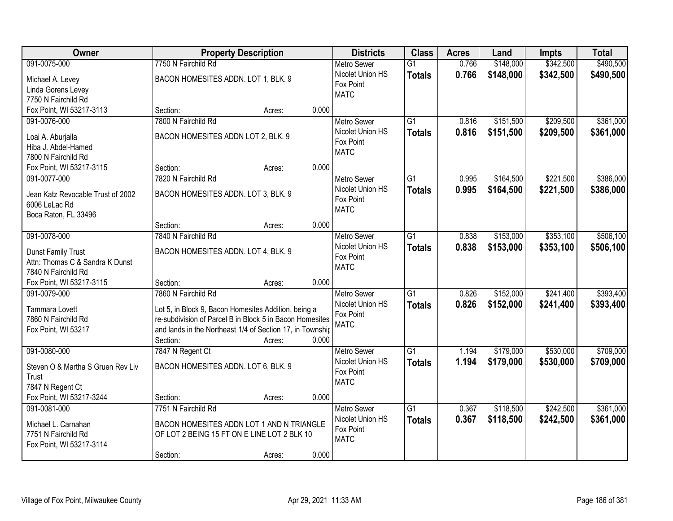| Owner                                                                                                      | <b>Property Description</b>                                                                                                                                                                                                |                 | <b>Districts</b>                                                   | <b>Class</b>                     | <b>Acres</b>   | Land                   | <b>Impts</b>           | <b>Total</b>           |
|------------------------------------------------------------------------------------------------------------|----------------------------------------------------------------------------------------------------------------------------------------------------------------------------------------------------------------------------|-----------------|--------------------------------------------------------------------|----------------------------------|----------------|------------------------|------------------------|------------------------|
| 091-0075-000                                                                                               | 7750 N Fairchild Rd                                                                                                                                                                                                        |                 | <b>Metro Sewer</b>                                                 | $\overline{G1}$                  | 0.766          | \$148,000              | \$342,500              | \$490,500              |
| Michael A. Levey<br>Linda Gorens Levey<br>7750 N Fairchild Rd                                              | BACON HOMESITES ADDN. LOT 1, BLK. 9                                                                                                                                                                                        |                 | Nicolet Union HS<br>Fox Point<br><b>MATC</b>                       | <b>Totals</b>                    | 0.766          | \$148,000              | \$342,500              | \$490,500              |
| Fox Point, WI 53217-3113                                                                                   | Section:                                                                                                                                                                                                                   | 0.000<br>Acres: |                                                                    |                                  |                |                        |                        |                        |
| 091-0076-000<br>Loai A. Aburjaila<br>Hiba J. Abdel-Hamed<br>7800 N Fairchild Rd                            | 7800 N Fairchild Rd<br>BACON HOMESITES ADDN LOT 2, BLK. 9                                                                                                                                                                  |                 | <b>Metro Sewer</b><br>Nicolet Union HS<br>Fox Point<br><b>MATC</b> | $\overline{G1}$<br><b>Totals</b> | 0.816<br>0.816 | \$151,500<br>\$151,500 | \$209,500<br>\$209,500 | \$361,000<br>\$361,000 |
| Fox Point, WI 53217-3115                                                                                   | Section:                                                                                                                                                                                                                   | 0.000<br>Acres: |                                                                    |                                  |                |                        |                        |                        |
| 091-0077-000<br>Jean Katz Revocable Trust of 2002<br>6006 LeLac Rd<br>Boca Raton, FL 33496                 | 7820 N Fairchild Rd<br>BACON HOMESITES ADDN. LOT 3, BLK. 9                                                                                                                                                                 |                 | <b>Metro Sewer</b><br>Nicolet Union HS<br>Fox Point<br><b>MATC</b> | G <sub>1</sub><br><b>Totals</b>  | 0.995<br>0.995 | \$164,500<br>\$164,500 | \$221,500<br>\$221,500 | \$386,000<br>\$386,000 |
|                                                                                                            | Section:                                                                                                                                                                                                                   | 0.000<br>Acres: |                                                                    |                                  |                |                        |                        |                        |
| 091-0078-000<br>Dunst Family Trust<br>Attn: Thomas C & Sandra K Dunst<br>7840 N Fairchild Rd               | 7840 N Fairchild Rd<br>BACON HOMESITES ADDN. LOT 4, BLK. 9                                                                                                                                                                 |                 | <b>Metro Sewer</b><br>Nicolet Union HS<br>Fox Point<br><b>MATC</b> | $\overline{G1}$<br><b>Totals</b> | 0.838<br>0.838 | \$153,000<br>\$153,000 | \$353,100<br>\$353,100 | \$506,100<br>\$506,100 |
| Fox Point, WI 53217-3115                                                                                   | Section:                                                                                                                                                                                                                   | 0.000<br>Acres: |                                                                    |                                  |                |                        |                        |                        |
| 091-0079-000<br>Tammara Lovett<br>7860 N Fairchild Rd<br>Fox Point, WI 53217                               | 7860 N Fairchild Rd<br>Lot 5, in Block 9, Bacon Homesites Addition, being a<br>re-subdivision of Parcel B in Block 5 in Bacon Homesites<br>and lands in the Northeast 1/4 of Section 17, in Township<br>Section:<br>Acres: | 0.000           | <b>Metro Sewer</b><br>Nicolet Union HS<br>Fox Point<br><b>MATC</b> | $\overline{G1}$<br><b>Totals</b> | 0.826<br>0.826 | \$152,000<br>\$152,000 | \$241,400<br>\$241,400 | \$393,400<br>\$393,400 |
| 091-0080-000<br>Steven O & Martha S Gruen Rev Liv<br>Trust<br>7847 N Regent Ct<br>Fox Point, WI 53217-3244 | 7847 N Regent Ct<br>BACON HOMESITES ADDN. LOT 6, BLK. 9<br>Section:                                                                                                                                                        | 0.000<br>Acres: | <b>Metro Sewer</b><br>Nicolet Union HS<br>Fox Point<br><b>MATC</b> | $\overline{G1}$<br><b>Totals</b> | 1.194<br>1.194 | \$179,000<br>\$179,000 | \$530,000<br>\$530,000 | \$709,000<br>\$709,000 |
| 091-0081-000<br>Michael L. Carnahan<br>7751 N Fairchild Rd<br>Fox Point, WI 53217-3114                     | 7751 N Fairchild Rd<br>BACON HOMESITES ADDN LOT 1 AND N TRIANGLE<br>OF LOT 2 BEING 15 FT ON E LINE LOT 2 BLK 10<br>Section:<br>Acres:                                                                                      | 0.000           | <b>Metro Sewer</b><br>Nicolet Union HS<br>Fox Point<br><b>MATC</b> | $\overline{G1}$<br><b>Totals</b> | 0.367<br>0.367 | \$118,500<br>\$118,500 | \$242,500<br>\$242,500 | \$361,000<br>\$361,000 |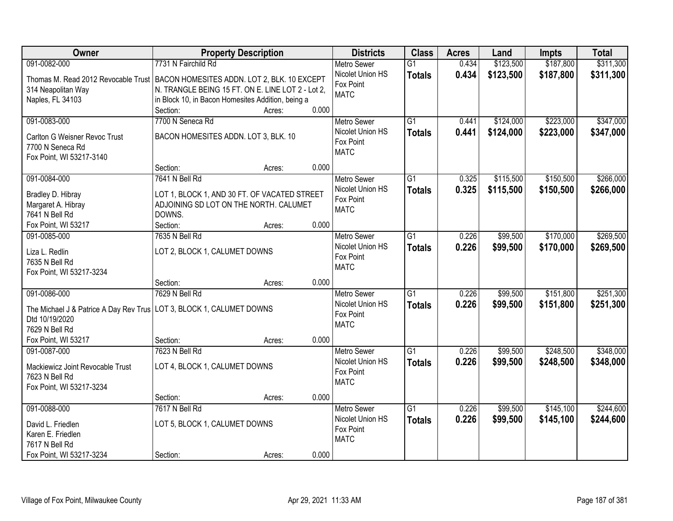| Owner                                                                             | <b>Property Description</b>                       |                 | <b>Districts</b>                       | <b>Class</b>    | <b>Acres</b> | Land      | <b>Impts</b> | <b>Total</b> |
|-----------------------------------------------------------------------------------|---------------------------------------------------|-----------------|----------------------------------------|-----------------|--------------|-----------|--------------|--------------|
| 091-0082-000                                                                      | 7731 N Fairchild Rd                               |                 | <b>Metro Sewer</b>                     | $\overline{G1}$ | 0.434        | \$123,500 | \$187,800    | \$311,300    |
| Thomas M. Read 2012 Revocable Trust   BACON HOMESITES ADDN. LOT 2, BLK. 10 EXCEPT |                                                   |                 | Nicolet Union HS                       | <b>Totals</b>   | 0.434        | \$123,500 | \$187,800    | \$311,300    |
| 314 Neapolitan Way                                                                | N. TRANGLE BEING 15 FT. ON E. LINE LOT 2 - Lot 2, |                 | Fox Point                              |                 |              |           |              |              |
| Naples, FL 34103                                                                  | in Block 10, in Bacon Homesites Addition, being a |                 | <b>MATC</b>                            |                 |              |           |              |              |
|                                                                                   | Section:                                          | 0.000<br>Acres: |                                        |                 |              |           |              |              |
| 091-0083-000                                                                      | 7700 N Seneca Rd                                  |                 | <b>Metro Sewer</b>                     | $\overline{G1}$ | 0.441        | \$124,000 | \$223,000    | \$347,000    |
|                                                                                   | BACON HOMESITES ADDN. LOT 3, BLK. 10              |                 | Nicolet Union HS                       | <b>Totals</b>   | 0.441        | \$124,000 | \$223,000    | \$347,000    |
| Carlton G Weisner Revoc Trust<br>7700 N Seneca Rd                                 |                                                   |                 | Fox Point                              |                 |              |           |              |              |
| Fox Point, WI 53217-3140                                                          |                                                   |                 | <b>MATC</b>                            |                 |              |           |              |              |
|                                                                                   | Section:                                          | 0.000<br>Acres: |                                        |                 |              |           |              |              |
| 091-0084-000                                                                      | 7641 N Bell Rd                                    |                 | Metro Sewer                            | G1              | 0.325        | \$115,500 | \$150,500    | \$266,000    |
|                                                                                   |                                                   |                 | Nicolet Union HS                       | <b>Totals</b>   | 0.325        | \$115,500 | \$150,500    | \$266,000    |
| Bradley D. Hibray                                                                 | LOT 1, BLOCK 1, AND 30 FT. OF VACATED STREET      |                 | Fox Point                              |                 |              |           |              |              |
| Margaret A. Hibray                                                                | ADJOINING SD LOT ON THE NORTH. CALUMET            |                 | <b>MATC</b>                            |                 |              |           |              |              |
| 7641 N Bell Rd                                                                    | DOWNS.                                            |                 |                                        |                 |              |           |              |              |
| Fox Point, WI 53217                                                               | Section:                                          | 0.000<br>Acres: |                                        |                 |              |           |              |              |
| 091-0085-000                                                                      | 7635 N Bell Rd                                    |                 | <b>Metro Sewer</b><br>Nicolet Union HS | $\overline{G1}$ | 0.226        | \$99,500  | \$170,000    | \$269,500    |
| Liza L. Redlin                                                                    | LOT 2, BLOCK 1, CALUMET DOWNS                     |                 | Fox Point                              | <b>Totals</b>   | 0.226        | \$99,500  | \$170,000    | \$269,500    |
| 7635 N Bell Rd                                                                    |                                                   |                 | <b>MATC</b>                            |                 |              |           |              |              |
| Fox Point, WI 53217-3234                                                          |                                                   |                 |                                        |                 |              |           |              |              |
|                                                                                   | Section:                                          | 0.000<br>Acres: |                                        |                 |              |           |              |              |
| 091-0086-000                                                                      | 7629 N Bell Rd                                    |                 | <b>Metro Sewer</b>                     | $\overline{G1}$ | 0.226        | \$99,500  | \$151,800    | \$251,300    |
| The Michael J & Patrice A Day Rev Trus   LOT 3, BLOCK 1, CALUMET DOWNS            |                                                   |                 | Nicolet Union HS                       | <b>Totals</b>   | 0.226        | \$99,500  | \$151,800    | \$251,300    |
| Dtd 10/19/2020                                                                    |                                                   |                 | Fox Point                              |                 |              |           |              |              |
| 7629 N Bell Rd                                                                    |                                                   |                 | <b>MATC</b>                            |                 |              |           |              |              |
| Fox Point, WI 53217                                                               | Section:                                          | 0.000<br>Acres: |                                        |                 |              |           |              |              |
| 091-0087-000                                                                      | 7623 N Bell Rd                                    |                 | Metro Sewer                            | $\overline{G1}$ | 0.226        | \$99,500  | \$248,500    | \$348,000    |
| Mackiewicz Joint Revocable Trust                                                  | LOT 4, BLOCK 1, CALUMET DOWNS                     |                 | Nicolet Union HS                       | <b>Totals</b>   | 0.226        | \$99,500  | \$248,500    | \$348,000    |
| 7623 N Bell Rd                                                                    |                                                   |                 | Fox Point                              |                 |              |           |              |              |
| Fox Point, WI 53217-3234                                                          |                                                   |                 | <b>MATC</b>                            |                 |              |           |              |              |
|                                                                                   | Section:                                          | 0.000<br>Acres: |                                        |                 |              |           |              |              |
| 091-0088-000                                                                      | 7617 N Bell Rd                                    |                 | <b>Metro Sewer</b>                     | $\overline{G1}$ | 0.226        | \$99,500  | \$145,100    | \$244,600    |
|                                                                                   |                                                   |                 | Nicolet Union HS                       | <b>Totals</b>   | 0.226        | \$99,500  | \$145,100    | \$244,600    |
| David L. Friedlen                                                                 | LOT 5, BLOCK 1, CALUMET DOWNS                     |                 | Fox Point                              |                 |              |           |              |              |
| Karen E. Friedlen<br>7617 N Bell Rd                                               |                                                   |                 | <b>MATC</b>                            |                 |              |           |              |              |
| Fox Point, WI 53217-3234                                                          | Section:                                          | 0.000<br>Acres: |                                        |                 |              |           |              |              |
|                                                                                   |                                                   |                 |                                        |                 |              |           |              |              |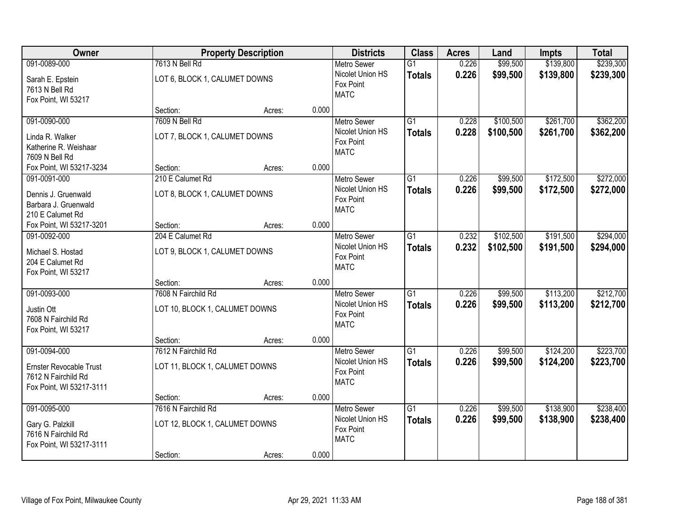| Owner                          |                                 | <b>Property Description</b> |                  | <b>Districts</b>                       | <b>Class</b>    | <b>Acres</b> | Land      | <b>Impts</b> | <b>Total</b> |
|--------------------------------|---------------------------------|-----------------------------|------------------|----------------------------------------|-----------------|--------------|-----------|--------------|--------------|
| 091-0089-000                   | 7613 N Bell Rd                  |                             |                  | <b>Metro Sewer</b>                     | $\overline{G1}$ | 0.226        | \$99,500  | \$139,800    | \$239,300    |
| Sarah E. Epstein               | LOT 6, BLOCK 1, CALUMET DOWNS   |                             |                  | Nicolet Union HS<br>Fox Point          | <b>Totals</b>   | 0.226        | \$99,500  | \$139,800    | \$239,300    |
| 7613 N Bell Rd                 |                                 |                             |                  | <b>MATC</b>                            |                 |              |           |              |              |
| Fox Point, WI 53217            |                                 |                             |                  |                                        |                 |              |           |              |              |
|                                | Section:<br>7609 N Bell Rd      | Acres:                      | 0.000            |                                        | $\overline{G1}$ |              |           |              |              |
| 091-0090-000                   |                                 |                             |                  | <b>Metro Sewer</b><br>Nicolet Union HS |                 | 0.228        | \$100,500 | \$261,700    | \$362,200    |
| Linda R. Walker                | LOT 7, BLOCK 1, CALUMET DOWNS   |                             |                  | Fox Point                              | <b>Totals</b>   | 0.228        | \$100,500 | \$261,700    | \$362,200    |
| Katherine R. Weishaar          |                                 |                             |                  | <b>MATC</b>                            |                 |              |           |              |              |
| 7609 N Bell Rd                 |                                 |                             |                  |                                        |                 |              |           |              |              |
| Fox Point, WI 53217-3234       | Section:                        | Acres:                      | 0.000            |                                        |                 |              |           |              |              |
| 091-0091-000                   | 210 E Calumet Rd                |                             |                  | Metro Sewer                            | G1              | 0.226        | \$99,500  | \$172,500    | \$272,000    |
| Dennis J. Gruenwald            | LOT 8, BLOCK 1, CALUMET DOWNS   |                             |                  | Nicolet Union HS                       | <b>Totals</b>   | 0.226        | \$99,500  | \$172,500    | \$272,000    |
| Barbara J. Gruenwald           |                                 |                             |                  | Fox Point                              |                 |              |           |              |              |
| 210 E Calumet Rd               |                                 |                             |                  | <b>MATC</b>                            |                 |              |           |              |              |
| Fox Point, WI 53217-3201       | Section:                        | Acres:                      | 0.000            |                                        |                 |              |           |              |              |
| 091-0092-000                   | 204 E Calumet Rd                |                             |                  | <b>Metro Sewer</b>                     | G1              | 0.232        | \$102,500 | \$191,500    | \$294,000    |
| Michael S. Hostad              | LOT 9, BLOCK 1, CALUMET DOWNS   |                             |                  | Nicolet Union HS                       | <b>Totals</b>   | 0.232        | \$102,500 | \$191,500    | \$294,000    |
| 204 E Calumet Rd               |                                 |                             |                  | Fox Point                              |                 |              |           |              |              |
| Fox Point, WI 53217            |                                 |                             |                  | <b>MATC</b>                            |                 |              |           |              |              |
|                                | Section:                        | Acres:                      | 0.000            |                                        |                 |              |           |              |              |
| 091-0093-000                   | 7608 N Fairchild Rd             |                             |                  | <b>Metro Sewer</b>                     | $\overline{G1}$ | 0.226        | \$99,500  | \$113,200    | \$212,700    |
|                                |                                 |                             |                  | Nicolet Union HS                       | <b>Totals</b>   | 0.226        | \$99,500  | \$113,200    | \$212,700    |
| Justin Ott                     | LOT 10, BLOCK 1, CALUMET DOWNS  |                             |                  | Fox Point                              |                 |              |           |              |              |
| 7608 N Fairchild Rd            |                                 |                             |                  | <b>MATC</b>                            |                 |              |           |              |              |
| Fox Point, WI 53217            |                                 |                             |                  |                                        |                 |              |           |              |              |
| 091-0094-000                   | Section:<br>7612 N Fairchild Rd | Acres:                      | 0.000            |                                        | $\overline{G1}$ | 0.226        | \$99,500  | \$124,200    | \$223,700    |
|                                |                                 |                             |                  | Metro Sewer<br>Nicolet Union HS        |                 |              |           |              |              |
| <b>Ernster Revocable Trust</b> | LOT 11, BLOCK 1, CALUMET DOWNS  |                             |                  | Fox Point                              | <b>Totals</b>   | 0.226        | \$99,500  | \$124,200    | \$223,700    |
| 7612 N Fairchild Rd            |                                 |                             |                  | <b>MATC</b>                            |                 |              |           |              |              |
| Fox Point, WI 53217-3111       |                                 |                             |                  |                                        |                 |              |           |              |              |
|                                | Section:                        | Acres:                      | 0.000            |                                        |                 |              |           |              |              |
| 091-0095-000                   | 7616 N Fairchild Rd             |                             |                  | <b>Metro Sewer</b>                     | $\overline{G1}$ | 0.226        | \$99,500  | \$138,900    | \$238,400    |
| Gary G. Palzkill               | LOT 12, BLOCK 1, CALUMET DOWNS  |                             | Nicolet Union HS | <b>Totals</b>                          | 0.226           | \$99,500     | \$138,900 | \$238,400    |              |
| 7616 N Fairchild Rd            |                                 |                             |                  | Fox Point                              |                 |              |           |              |              |
| Fox Point, WI 53217-3111       |                                 |                             |                  | <b>MATC</b>                            |                 |              |           |              |              |
|                                | Section:                        | Acres:                      | 0.000            |                                        |                 |              |           |              |              |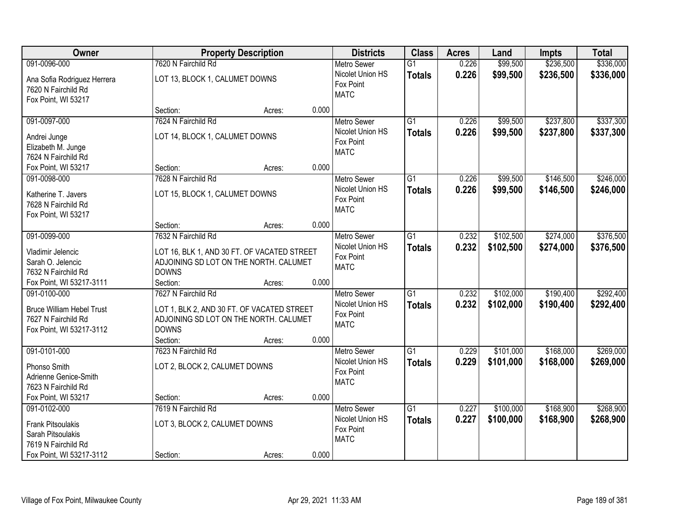| Owner                                                                                               |                                                                                                                                         | <b>Property Description</b> |       | <b>Districts</b>                                                   | <b>Class</b>                     | <b>Acres</b>   | Land                   | <b>Impts</b>           | <b>Total</b>           |
|-----------------------------------------------------------------------------------------------------|-----------------------------------------------------------------------------------------------------------------------------------------|-----------------------------|-------|--------------------------------------------------------------------|----------------------------------|----------------|------------------------|------------------------|------------------------|
| 091-0096-000                                                                                        | 7620 N Fairchild Rd                                                                                                                     |                             |       | <b>Metro Sewer</b>                                                 | $\overline{G1}$                  | 0.226          | \$99,500               | \$236,500              | \$336,000              |
| Ana Sofia Rodriguez Herrera<br>7620 N Fairchild Rd<br>Fox Point, WI 53217                           | LOT 13, BLOCK 1, CALUMET DOWNS                                                                                                          |                             |       | Nicolet Union HS<br>Fox Point<br><b>MATC</b>                       | <b>Totals</b>                    | 0.226          | \$99,500               | \$236,500              | \$336,000              |
|                                                                                                     | Section:                                                                                                                                | Acres:                      | 0.000 |                                                                    |                                  |                |                        |                        |                        |
| 091-0097-000<br>Andrei Junge<br>Elizabeth M. Junge<br>7624 N Fairchild Rd                           | 7624 N Fairchild Rd<br>LOT 14, BLOCK 1, CALUMET DOWNS                                                                                   |                             |       | <b>Metro Sewer</b><br>Nicolet Union HS<br>Fox Point<br><b>MATC</b> | $\overline{G1}$<br><b>Totals</b> | 0.226<br>0.226 | \$99,500<br>\$99,500   | \$237,800<br>\$237,800 | \$337,300<br>\$337,300 |
| Fox Point, WI 53217                                                                                 | Section:                                                                                                                                | Acres:                      | 0.000 |                                                                    |                                  |                |                        |                        |                        |
| 091-0098-000<br>Katherine T. Javers<br>7628 N Fairchild Rd<br>Fox Point, WI 53217                   | 7628 N Fairchild Rd<br>LOT 15, BLOCK 1, CALUMET DOWNS                                                                                   |                             |       | <b>Metro Sewer</b><br>Nicolet Union HS<br>Fox Point<br><b>MATC</b> | G1<br><b>Totals</b>              | 0.226<br>0.226 | \$99,500<br>\$99,500   | \$146,500<br>\$146,500 | \$246,000<br>\$246,000 |
|                                                                                                     | Section:                                                                                                                                | Acres:                      | 0.000 |                                                                    |                                  |                |                        |                        |                        |
| 091-0099-000<br>Vladimir Jelencic<br>Sarah O. Jelencic<br>7632 N Fairchild Rd                       | 7632 N Fairchild Rd<br>LOT 16, BLK 1, AND 30 FT. OF VACATED STREET<br>ADJOINING SD LOT ON THE NORTH. CALUMET<br><b>DOWNS</b>            |                             |       | <b>Metro Sewer</b><br>Nicolet Union HS<br>Fox Point<br><b>MATC</b> | G1<br><b>Totals</b>              | 0.232<br>0.232 | \$102,500<br>\$102,500 | \$274,000<br>\$274,000 | \$376,500<br>\$376,500 |
| Fox Point, WI 53217-3111                                                                            | Section:                                                                                                                                | Acres:                      | 0.000 |                                                                    |                                  |                |                        |                        |                        |
| 091-0100-000<br><b>Bruce William Hebel Trust</b><br>7627 N Fairchild Rd<br>Fox Point, WI 53217-3112 | 7627 N Fairchild Rd<br>LOT 1, BLK 2, AND 30 FT. OF VACATED STREET<br>ADJOINING SD LOT ON THE NORTH. CALUMET<br><b>DOWNS</b><br>Section: | Acres:                      | 0.000 | <b>Metro Sewer</b><br>Nicolet Union HS<br>Fox Point<br><b>MATC</b> | $\overline{G1}$<br><b>Totals</b> | 0.232<br>0.232 | \$102,000<br>\$102,000 | \$190,400<br>\$190,400 | \$292,400<br>\$292,400 |
| 091-0101-000<br>Phonso Smith<br>Adrienne Genice-Smith<br>7623 N Fairchild Rd                        | 7623 N Fairchild Rd<br>LOT 2, BLOCK 2, CALUMET DOWNS                                                                                    |                             |       | <b>Metro Sewer</b><br>Nicolet Union HS<br>Fox Point<br><b>MATC</b> | $\overline{G1}$<br><b>Totals</b> | 0.229<br>0.229 | \$101,000<br>\$101,000 | \$168,000<br>\$168,000 | \$269,000<br>\$269,000 |
| Fox Point, WI 53217<br>091-0102-000                                                                 | Section:<br>7619 N Fairchild Rd                                                                                                         | Acres:                      | 0.000 | <b>Metro Sewer</b>                                                 | $\overline{G1}$                  | 0.227          | \$100,000              | \$168,900              | \$268,900              |
| <b>Frank Pitsoulakis</b><br>Sarah Pitsoulakis<br>7619 N Fairchild Rd<br>Fox Point, WI 53217-3112    | LOT 3, BLOCK 2, CALUMET DOWNS<br>Section:                                                                                               | Acres:                      | 0.000 | Nicolet Union HS<br>Fox Point<br><b>MATC</b>                       | <b>Totals</b>                    | 0.227          | \$100,000              | \$168,900              | \$268,900              |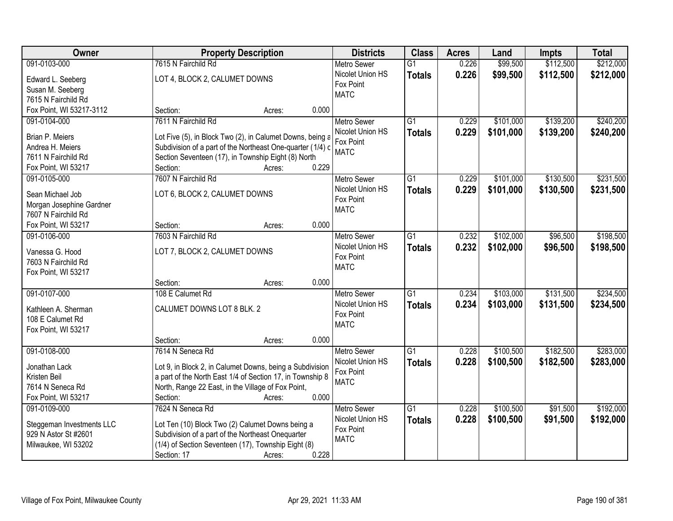| <b>Owner</b>              | <b>Property Description</b>                                | <b>Districts</b>   | <b>Class</b>    | <b>Acres</b> | Land      | <b>Impts</b> | <b>Total</b> |
|---------------------------|------------------------------------------------------------|--------------------|-----------------|--------------|-----------|--------------|--------------|
| 091-0103-000              | 7615 N Fairchild Rd                                        | <b>Metro Sewer</b> | $\overline{G1}$ | 0.226        | \$99,500  | \$112,500    | \$212,000    |
| Edward L. Seeberg         | LOT 4, BLOCK 2, CALUMET DOWNS                              | Nicolet Union HS   | <b>Totals</b>   | 0.226        | \$99,500  | \$112,500    | \$212,000    |
| Susan M. Seeberg          |                                                            | Fox Point          |                 |              |           |              |              |
| 7615 N Fairchild Rd       |                                                            | <b>MATC</b>        |                 |              |           |              |              |
| Fox Point, WI 53217-3112  | 0.000<br>Section:<br>Acres:                                |                    |                 |              |           |              |              |
| 091-0104-000              | 7611 N Fairchild Rd                                        | Metro Sewer        | $\overline{G1}$ | 0.229        | \$101,000 | \$139,200    | \$240,200    |
|                           |                                                            | Nicolet Union HS   | <b>Totals</b>   | 0.229        | \$101,000 | \$139,200    | \$240,200    |
| Brian P. Meiers           | Lot Five (5), in Block Two (2), in Calumet Downs, being a  | Fox Point          |                 |              |           |              |              |
| Andrea H. Meiers          | Subdivision of a part of the Northeast One-quarter (1/4) c | <b>MATC</b>        |                 |              |           |              |              |
| 7611 N Fairchild Rd       | Section Seventeen (17), in Township Eight (8) North        |                    |                 |              |           |              |              |
| Fox Point, WI 53217       | 0.229<br>Section:<br>Acres:                                |                    |                 |              |           |              |              |
| 091-0105-000              | 7607 N Fairchild Rd                                        | <b>Metro Sewer</b> | G1              | 0.229        | \$101,000 | \$130,500    | \$231,500    |
| Sean Michael Job          | LOT 6, BLOCK 2, CALUMET DOWNS                              | Nicolet Union HS   | <b>Totals</b>   | 0.229        | \$101,000 | \$130,500    | \$231,500    |
| Morgan Josephine Gardner  |                                                            | Fox Point          |                 |              |           |              |              |
| 7607 N Fairchild Rd       |                                                            | <b>MATC</b>        |                 |              |           |              |              |
| Fox Point, WI 53217       | 0.000<br>Section:<br>Acres:                                |                    |                 |              |           |              |              |
| 091-0106-000              | 7603 N Fairchild Rd                                        | <b>Metro Sewer</b> | $\overline{G1}$ | 0.232        | \$102,000 | \$96,500     | \$198,500    |
|                           |                                                            | Nicolet Union HS   | <b>Totals</b>   | 0.232        | \$102,000 | \$96,500     | \$198,500    |
| Vanessa G. Hood           | LOT 7, BLOCK 2, CALUMET DOWNS                              | Fox Point          |                 |              |           |              |              |
| 7603 N Fairchild Rd       |                                                            | <b>MATC</b>        |                 |              |           |              |              |
| Fox Point, WI 53217       |                                                            |                    |                 |              |           |              |              |
|                           | 0.000<br>Section:<br>Acres:                                |                    |                 |              |           |              |              |
| 091-0107-000              | 108 E Calumet Rd                                           | Metro Sewer        | $\overline{G1}$ | 0.234        | \$103,000 | \$131,500    | \$234,500    |
| Kathleen A. Sherman       | CALUMET DOWNS LOT 8 BLK. 2                                 | Nicolet Union HS   | <b>Totals</b>   | 0.234        | \$103,000 | \$131,500    | \$234,500    |
| 108 E Calumet Rd          |                                                            | Fox Point          |                 |              |           |              |              |
| Fox Point, WI 53217       |                                                            | <b>MATC</b>        |                 |              |           |              |              |
|                           | 0.000<br>Section:<br>Acres:                                |                    |                 |              |           |              |              |
| 091-0108-000              | 7614 N Seneca Rd                                           | <b>Metro Sewer</b> | G1              | 0.228        | \$100,500 | \$182,500    | \$283,000    |
| Jonathan Lack             | Lot 9, in Block 2, in Calumet Downs, being a Subdivision   | Nicolet Union HS   | <b>Totals</b>   | 0.228        | \$100,500 | \$182,500    | \$283,000    |
| Kristen Beil              | a part of the North East 1/4 of Section 17, in Township 8  | Fox Point          |                 |              |           |              |              |
| 7614 N Seneca Rd          | North, Range 22 East, in the Village of Fox Point,         | <b>MATC</b>        |                 |              |           |              |              |
| Fox Point, WI 53217       | 0.000<br>Section:<br>Acres:                                |                    |                 |              |           |              |              |
| 091-0109-000              | 7624 N Seneca Rd                                           | <b>Metro Sewer</b> | $\overline{G1}$ | 0.228        | \$100,500 | \$91,500     | \$192,000    |
|                           |                                                            | Nicolet Union HS   | <b>Totals</b>   | 0.228        | \$100,500 | \$91,500     | \$192,000    |
| Steggeman Investments LLC | Lot Ten (10) Block Two (2) Calumet Downs being a           | Fox Point          |                 |              |           |              |              |
| 929 N Astor St #2601      | Subdivision of a part of the Northeast Onequarter          | <b>MATC</b>        |                 |              |           |              |              |
| Milwaukee, WI 53202       | (1/4) of Section Seventeen (17), Township Eight (8)        |                    |                 |              |           |              |              |
|                           | 0.228<br>Section: 17<br>Acres:                             |                    |                 |              |           |              |              |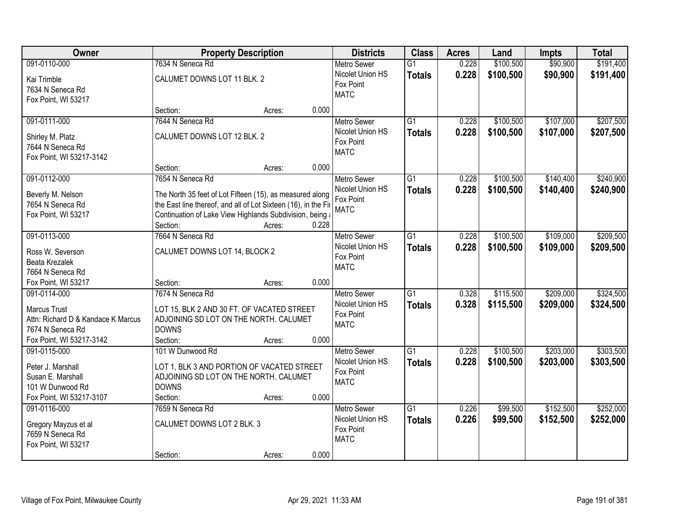| Owner                                                                                                                     | <b>Property Description</b>                                                                                                                                                                                  |       | <b>Districts</b>                                                   | <b>Class</b>                     | <b>Acres</b>   | Land                   | <b>Impts</b>           | <b>Total</b>           |
|---------------------------------------------------------------------------------------------------------------------------|--------------------------------------------------------------------------------------------------------------------------------------------------------------------------------------------------------------|-------|--------------------------------------------------------------------|----------------------------------|----------------|------------------------|------------------------|------------------------|
| 091-0110-000                                                                                                              | 7634 N Seneca Rd                                                                                                                                                                                             |       | <b>Metro Sewer</b>                                                 | $\overline{G1}$                  | 0.228          | \$100,500              | \$90,900               | \$191,400              |
| Kai Trimble<br>7634 N Seneca Rd<br>Fox Point, WI 53217                                                                    | CALUMET DOWNS LOT 11 BLK. 2                                                                                                                                                                                  |       | Nicolet Union HS<br>Fox Point<br><b>MATC</b>                       | <b>Totals</b>                    | 0.228          | \$100,500              | \$90,900               | \$191,400              |
|                                                                                                                           | Section:<br>Acres:                                                                                                                                                                                           | 0.000 |                                                                    |                                  |                |                        |                        |                        |
| 091-0111-000                                                                                                              | 7644 N Seneca Rd                                                                                                                                                                                             |       | <b>Metro Sewer</b>                                                 | $\overline{G1}$                  | 0.228          | \$100,500              | \$107,000              | \$207,500              |
| Shirley M. Platz<br>7644 N Seneca Rd<br>Fox Point, WI 53217-3142                                                          | CALUMET DOWNS LOT 12 BLK. 2                                                                                                                                                                                  |       | Nicolet Union HS<br>Fox Point<br><b>MATC</b>                       | <b>Totals</b>                    | 0.228          | \$100,500              | \$107,000              | \$207,500              |
|                                                                                                                           | Section:<br>Acres:                                                                                                                                                                                           | 0.000 |                                                                    |                                  |                |                        |                        |                        |
| 091-0112-000                                                                                                              | 7654 N Seneca Rd                                                                                                                                                                                             |       | <b>Metro Sewer</b>                                                 | G1                               | 0.228          | \$100,500              | \$140,400              | \$240,900              |
| Beverly M. Nelson<br>7654 N Seneca Rd<br>Fox Point, WI 53217                                                              | The North 35 feet of Lot Fifteen (15), as measured along<br>the East line thereof, and all of Lot Sixteen (16), in the Fir<br>Continuation of Lake View Highlands Subdivision, being a<br>Section:<br>Acres: | 0.228 | Nicolet Union HS<br>Fox Point<br><b>MATC</b>                       | <b>Totals</b>                    | 0.228          | \$100,500              | \$140,400              | \$240,900              |
| 091-0113-000                                                                                                              | 7664 N Seneca Rd                                                                                                                                                                                             |       | <b>Metro Sewer</b>                                                 | G1                               | 0.228          | \$100,500              | \$109,000              | \$209,500              |
| Ross W. Severson<br>Beata Krezalek<br>7664 N Seneca Rd                                                                    | CALUMET DOWNS LOT 14, BLOCK 2                                                                                                                                                                                |       | Nicolet Union HS<br>Fox Point<br><b>MATC</b>                       | <b>Totals</b>                    | 0.228          | \$100,500              | \$109,000              | \$209,500              |
| Fox Point, WI 53217                                                                                                       | Section:<br>Acres:                                                                                                                                                                                           | 0.000 |                                                                    |                                  |                |                        |                        |                        |
| 091-0114-000<br><b>Marcus Trust</b><br>Attn: Richard D & Kandace K Marcus<br>7674 N Seneca Rd<br>Fox Point, WI 53217-3142 | 7674 N Seneca Rd<br>LOT 15, BLK 2 AND 30 FT. OF VACATED STREET<br>ADJOINING SD LOT ON THE NORTH. CALUMET<br><b>DOWNS</b><br>Section:<br>Acres:                                                               | 0.000 | <b>Metro Sewer</b><br>Nicolet Union HS<br>Fox Point<br><b>MATC</b> | $\overline{G1}$<br><b>Totals</b> | 0.328<br>0.328 | \$115,500<br>\$115,500 | \$209,000<br>\$209,000 | \$324,500<br>\$324,500 |
| 091-0115-000                                                                                                              | 101 W Dunwood Rd                                                                                                                                                                                             |       | <b>Metro Sewer</b>                                                 | $\overline{G1}$                  | 0.228          | \$100,500              | \$203,000              | \$303,500              |
| Peter J. Marshall<br>Susan E. Marshall<br>101 W Dunwood Rd<br>Fox Point, WI 53217-3107                                    | LOT 1, BLK 3 AND PORTION OF VACATED STREET<br>ADJOINING SD LOT ON THE NORTH. CALUMET<br><b>DOWNS</b><br>Section:<br>Acres:                                                                                   | 0.000 | Nicolet Union HS<br>Fox Point<br><b>MATC</b>                       | <b>Totals</b>                    | 0.228          | \$100,500              | \$203,000              | \$303,500              |
| 091-0116-000                                                                                                              | 7659 N Seneca Rd                                                                                                                                                                                             |       | <b>Metro Sewer</b>                                                 | $\overline{G1}$                  | 0.226          | \$99,500               | \$152,500              | \$252,000              |
| Gregory Mayzus et al<br>7659 N Seneca Rd<br>Fox Point, WI 53217                                                           | CALUMET DOWNS LOT 2 BLK. 3                                                                                                                                                                                   |       | Nicolet Union HS<br>Fox Point<br><b>MATC</b>                       | <b>Totals</b>                    | 0.226          | \$99,500               | \$152,500              | \$252,000              |
|                                                                                                                           | Section:<br>Acres:                                                                                                                                                                                           | 0.000 |                                                                    |                                  |                |                        |                        |                        |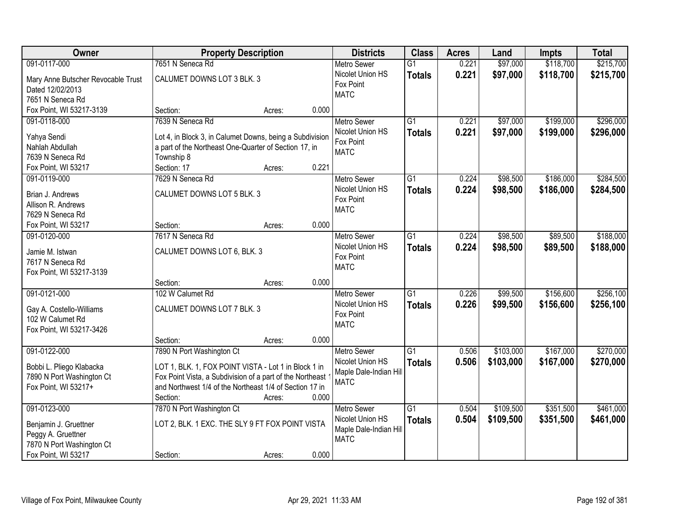| Owner                                                 | <b>Property Description</b>                               |                 | <b>Districts</b>                      | <b>Class</b>    | <b>Acres</b> | Land      | <b>Impts</b> | <b>Total</b> |
|-------------------------------------------------------|-----------------------------------------------------------|-----------------|---------------------------------------|-----------------|--------------|-----------|--------------|--------------|
| 091-0117-000                                          | 7651 N Seneca Rd                                          |                 | <b>Metro Sewer</b>                    | $\overline{G1}$ | 0.221        | \$97,000  | \$118,700    | \$215,700    |
| Mary Anne Butscher Revocable Trust                    | CALUMET DOWNS LOT 3 BLK. 3                                |                 | Nicolet Union HS                      | <b>Totals</b>   | 0.221        | \$97,000  | \$118,700    | \$215,700    |
| Dated 12/02/2013                                      |                                                           |                 | Fox Point                             |                 |              |           |              |              |
| 7651 N Seneca Rd                                      |                                                           |                 | <b>MATC</b>                           |                 |              |           |              |              |
| Fox Point, WI 53217-3139                              | Section:                                                  | 0.000<br>Acres: |                                       |                 |              |           |              |              |
| 091-0118-000                                          | 7639 N Seneca Rd                                          |                 | <b>Metro Sewer</b>                    | $\overline{G1}$ | 0.221        | \$97,000  | \$199,000    | \$296,000    |
|                                                       |                                                           |                 | Nicolet Union HS                      | <b>Totals</b>   | 0.221        | \$97,000  | \$199,000    | \$296,000    |
| Yahya Sendi                                           | Lot 4, in Block 3, in Calumet Downs, being a Subdivision  |                 | Fox Point                             |                 |              |           |              |              |
| Nahlah Abdullah                                       | a part of the Northeast One-Quarter of Section 17, in     |                 | <b>MATC</b>                           |                 |              |           |              |              |
| 7639 N Seneca Rd                                      | Township 8                                                |                 |                                       |                 |              |           |              |              |
| Fox Point, WI 53217                                   | Section: 17                                               | 0.221<br>Acres: |                                       |                 |              |           |              |              |
| 091-0119-000                                          | 7629 N Seneca Rd                                          |                 | <b>Metro Sewer</b>                    | G1              | 0.224        | \$98,500  | \$186,000    | \$284,500    |
| Brian J. Andrews                                      | CALUMET DOWNS LOT 5 BLK. 3                                |                 | Nicolet Union HS                      | <b>Totals</b>   | 0.224        | \$98,500  | \$186,000    | \$284,500    |
| Allison R. Andrews                                    |                                                           |                 | Fox Point                             |                 |              |           |              |              |
| 7629 N Seneca Rd                                      |                                                           |                 | <b>MATC</b>                           |                 |              |           |              |              |
| Fox Point, WI 53217                                   | Section:                                                  | 0.000<br>Acres: |                                       |                 |              |           |              |              |
| 091-0120-000                                          | 7617 N Seneca Rd                                          |                 | <b>Metro Sewer</b>                    | G1              | 0.224        | \$98,500  | \$89,500     | \$188,000    |
|                                                       |                                                           |                 | Nicolet Union HS                      | <b>Totals</b>   | 0.224        | \$98,500  | \$89,500     | \$188,000    |
| Jamie M. Istwan                                       | CALUMET DOWNS LOT 6, BLK. 3                               |                 | Fox Point                             |                 |              |           |              |              |
| 7617 N Seneca Rd                                      |                                                           |                 | <b>MATC</b>                           |                 |              |           |              |              |
| Fox Point, WI 53217-3139                              |                                                           |                 |                                       |                 |              |           |              |              |
|                                                       | Section:                                                  | 0.000<br>Acres: |                                       |                 |              |           |              |              |
| 091-0121-000                                          | 102 W Calumet Rd                                          |                 | <b>Metro Sewer</b>                    | $\overline{G1}$ | 0.226        | \$99,500  | \$156,600    | \$256,100    |
| Gay A. Costello-Williams                              | CALUMET DOWNS LOT 7 BLK. 3                                |                 | Nicolet Union HS                      | <b>Totals</b>   | 0.226        | \$99,500  | \$156,600    | \$256,100    |
| 102 W Calumet Rd                                      |                                                           |                 | Fox Point                             |                 |              |           |              |              |
| Fox Point, WI 53217-3426                              |                                                           |                 | <b>MATC</b>                           |                 |              |           |              |              |
|                                                       | Section:                                                  | 0.000<br>Acres: |                                       |                 |              |           |              |              |
| 091-0122-000                                          | 7890 N Port Washington Ct                                 |                 | Metro Sewer                           | $\overline{G1}$ | 0.506        | \$103,000 | \$167,000    | \$270,000    |
|                                                       | LOT 1, BLK. 1, FOX POINT VISTA - Lot 1 in Block 1 in      |                 | Nicolet Union HS                      | <b>Totals</b>   | 0.506        | \$103,000 | \$167,000    | \$270,000    |
| Bobbi L. Pliego Klabacka<br>7890 N Port Washington Ct | Fox Point Vista, a Subdivision of a part of the Northeast |                 | Maple Dale-Indian Hill                |                 |              |           |              |              |
| Fox Point, WI 53217+                                  | and Northwest 1/4 of the Northeast 1/4 of Section 17 in   |                 | <b>MATC</b>                           |                 |              |           |              |              |
|                                                       | Section:                                                  | 0.000<br>Acres: |                                       |                 |              |           |              |              |
| 091-0123-000                                          | 7870 N Port Washington Ct                                 |                 | <b>Metro Sewer</b>                    | $\overline{G1}$ | 0.504        | \$109,500 | \$351,500    | \$461,000    |
|                                                       |                                                           |                 | Nicolet Union HS                      |                 |              |           |              |              |
| Benjamin J. Gruettner                                 | LOT 2, BLK. 1 EXC. THE SLY 9 FT FOX POINT VISTA           |                 |                                       | <b>Totals</b>   | 0.504        | \$109,500 | \$351,500    | \$461,000    |
| Peggy A. Gruettner                                    |                                                           |                 | Maple Dale-Indian Hill<br><b>MATC</b> |                 |              |           |              |              |
| 7870 N Port Washington Ct                             |                                                           |                 |                                       |                 |              |           |              |              |
| Fox Point, WI 53217                                   | Section:                                                  | 0.000<br>Acres: |                                       |                 |              |           |              |              |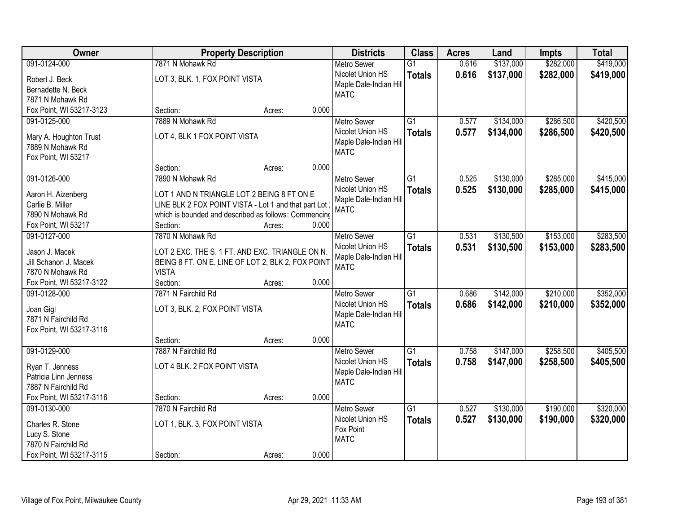| \$137,000<br>\$282,000<br>091-0124-000<br>7871 N Mohawk Rd<br>$\overline{G1}$<br>0.616<br><b>Metro Sewer</b><br>0.616<br>\$282,000<br>Nicolet Union HS<br>\$137,000<br><b>Totals</b><br>LOT 3, BLK. 1, FOX POINT VISTA<br>Robert J. Beck<br>Maple Dale-Indian Hill<br>Bernadette N. Beck<br><b>MATC</b><br>7871 N Mohawk Rd<br>0.000<br>Fox Point, WI 53217-3123<br>Section:<br>Acres:<br>7889 N Mohawk Rd<br>\$134,000<br>\$286,500<br>091-0125-000<br>G1<br>0.577<br><b>Metro Sewer</b><br>Nicolet Union HS<br>0.577<br>\$134,000<br>\$286,500<br><b>Totals</b><br>LOT 4, BLK 1 FOX POINT VISTA<br>Mary A. Houghton Trust<br>Maple Dale-Indian Hill<br>7889 N Mohawk Rd | Owner | <b>Property Description</b> | <b>Districts</b> | <b>Class</b> | <b>Acres</b> | Land | <b>Impts</b> | <b>Total</b> |
|---------------------------------------------------------------------------------------------------------------------------------------------------------------------------------------------------------------------------------------------------------------------------------------------------------------------------------------------------------------------------------------------------------------------------------------------------------------------------------------------------------------------------------------------------------------------------------------------------------------------------------------------------------------------------|-------|-----------------------------|------------------|--------------|--------------|------|--------------|--------------|
|                                                                                                                                                                                                                                                                                                                                                                                                                                                                                                                                                                                                                                                                           |       |                             |                  |              |              |      |              | \$419,000    |
|                                                                                                                                                                                                                                                                                                                                                                                                                                                                                                                                                                                                                                                                           |       |                             |                  |              |              |      |              | \$419,000    |
|                                                                                                                                                                                                                                                                                                                                                                                                                                                                                                                                                                                                                                                                           |       |                             |                  |              |              |      |              |              |
|                                                                                                                                                                                                                                                                                                                                                                                                                                                                                                                                                                                                                                                                           |       |                             |                  |              |              |      |              |              |
|                                                                                                                                                                                                                                                                                                                                                                                                                                                                                                                                                                                                                                                                           |       |                             |                  |              |              |      |              |              |
|                                                                                                                                                                                                                                                                                                                                                                                                                                                                                                                                                                                                                                                                           |       |                             |                  |              |              |      |              | \$420,500    |
|                                                                                                                                                                                                                                                                                                                                                                                                                                                                                                                                                                                                                                                                           |       |                             |                  |              |              |      |              | \$420,500    |
|                                                                                                                                                                                                                                                                                                                                                                                                                                                                                                                                                                                                                                                                           |       |                             |                  |              |              |      |              |              |
| Fox Point, WI 53217                                                                                                                                                                                                                                                                                                                                                                                                                                                                                                                                                                                                                                                       |       |                             | <b>MATC</b>      |              |              |      |              |              |
| 0.000<br>Section:<br>Acres:                                                                                                                                                                                                                                                                                                                                                                                                                                                                                                                                                                                                                                               |       |                             |                  |              |              |      |              |              |
| 091-0126-000<br>G1<br>\$130,000<br>\$285,000<br>7890 N Mohawk Rd<br>Metro Sewer<br>0.525                                                                                                                                                                                                                                                                                                                                                                                                                                                                                                                                                                                  |       |                             |                  |              |              |      |              | \$415,000    |
| Nicolet Union HS<br>0.525<br>\$130,000<br>\$285,000<br><b>Totals</b>                                                                                                                                                                                                                                                                                                                                                                                                                                                                                                                                                                                                      |       |                             |                  |              |              |      |              | \$415,000    |
| LOT 1 AND N TRIANGLE LOT 2 BEING 8 FT ON E<br>Aaron H. Aizenberg<br>Maple Dale-Indian Hill<br>Carlie B. Miller<br>LINE BLK 2 FOX POINT VISTA - Lot 1 and that part Lot                                                                                                                                                                                                                                                                                                                                                                                                                                                                                                    |       |                             |                  |              |              |      |              |              |
| <b>MATC</b><br>7890 N Mohawk Rd<br>which is bounded and described as follows: Commencing                                                                                                                                                                                                                                                                                                                                                                                                                                                                                                                                                                                  |       |                             |                  |              |              |      |              |              |
| 0.000<br>Fox Point, WI 53217<br>Section:<br>Acres:                                                                                                                                                                                                                                                                                                                                                                                                                                                                                                                                                                                                                        |       |                             |                  |              |              |      |              |              |
| \$130,500<br>\$153,000<br>091-0127-000<br>7870 N Mohawk Rd<br>$\overline{G1}$<br>0.531<br><b>Metro Sewer</b>                                                                                                                                                                                                                                                                                                                                                                                                                                                                                                                                                              |       |                             |                  |              |              |      |              | \$283,500    |
| Nicolet Union HS<br>0.531<br>\$153,000<br>\$130,500<br><b>Totals</b>                                                                                                                                                                                                                                                                                                                                                                                                                                                                                                                                                                                                      |       |                             |                  |              |              |      |              | \$283,500    |
| Jason J. Macek<br>LOT 2 EXC. THE S. 1 FT. AND EXC. TRIANGLE ON N.<br>Maple Dale-Indian Hill                                                                                                                                                                                                                                                                                                                                                                                                                                                                                                                                                                               |       |                             |                  |              |              |      |              |              |
| Jill Schanon J. Macek<br>BEING 8 FT. ON E. LINE OF LOT 2, BLK 2, FOX POINT<br><b>MATC</b>                                                                                                                                                                                                                                                                                                                                                                                                                                                                                                                                                                                 |       |                             |                  |              |              |      |              |              |
| <b>VISTA</b><br>7870 N Mohawk Rd                                                                                                                                                                                                                                                                                                                                                                                                                                                                                                                                                                                                                                          |       |                             |                  |              |              |      |              |              |
| Fox Point, WI 53217-3122<br>0.000<br>Section:<br>Acres:                                                                                                                                                                                                                                                                                                                                                                                                                                                                                                                                                                                                                   |       |                             |                  |              |              |      |              |              |
| 7871 N Fairchild Rd<br>$\overline{G1}$<br>\$142,000<br>\$210,000<br>091-0128-000<br>0.686<br><b>Metro Sewer</b>                                                                                                                                                                                                                                                                                                                                                                                                                                                                                                                                                           |       |                             |                  |              |              |      |              | \$352,000    |
| 0.686<br>\$142,000<br>\$210,000<br>Nicolet Union HS<br><b>Totals</b><br>Joan Gigl<br>LOT 3, BLK. 2, FOX POINT VISTA                                                                                                                                                                                                                                                                                                                                                                                                                                                                                                                                                       |       |                             |                  |              |              |      |              | \$352,000    |
| Maple Dale-Indian Hill<br>7871 N Fairchild Rd                                                                                                                                                                                                                                                                                                                                                                                                                                                                                                                                                                                                                             |       |                             |                  |              |              |      |              |              |
| <b>MATC</b><br>Fox Point, WI 53217-3116                                                                                                                                                                                                                                                                                                                                                                                                                                                                                                                                                                                                                                   |       |                             |                  |              |              |      |              |              |
| 0.000<br>Section:<br>Acres:                                                                                                                                                                                                                                                                                                                                                                                                                                                                                                                                                                                                                                               |       |                             |                  |              |              |      |              |              |
| \$258,500<br>091-0129-000<br>7887 N Fairchild Rd<br>G1<br>0.758<br>\$147,000<br><b>Metro Sewer</b>                                                                                                                                                                                                                                                                                                                                                                                                                                                                                                                                                                        |       |                             |                  |              |              |      |              | \$405,500    |
| Nicolet Union HS<br>0.758<br>\$258,500<br>\$147,000<br><b>Totals</b><br>LOT 4 BLK. 2 FOX POINT VISTA<br>Ryan T. Jenness                                                                                                                                                                                                                                                                                                                                                                                                                                                                                                                                                   |       |                             |                  |              |              |      |              | \$405,500    |
| Maple Dale-Indian Hill<br>Patricia Linn Jenness                                                                                                                                                                                                                                                                                                                                                                                                                                                                                                                                                                                                                           |       |                             |                  |              |              |      |              |              |
| <b>MATC</b><br>7887 N Fairchild Rd                                                                                                                                                                                                                                                                                                                                                                                                                                                                                                                                                                                                                                        |       |                             |                  |              |              |      |              |              |
| 0.000<br>Fox Point, WI 53217-3116<br>Section:<br>Acres:                                                                                                                                                                                                                                                                                                                                                                                                                                                                                                                                                                                                                   |       |                             |                  |              |              |      |              |              |
| \$130,000<br>\$190,000<br>091-0130-000<br>7870 N Fairchild Rd<br>$\overline{G1}$<br>0.527<br><b>Metro Sewer</b>                                                                                                                                                                                                                                                                                                                                                                                                                                                                                                                                                           |       |                             |                  |              |              |      |              | \$320,000    |
| Nicolet Union HS<br>0.527<br>\$190,000<br>\$130,000<br><b>Totals</b><br>LOT 1, BLK. 3, FOX POINT VISTA<br>Charles R. Stone                                                                                                                                                                                                                                                                                                                                                                                                                                                                                                                                                |       |                             |                  |              |              |      |              | \$320,000    |
| Fox Point<br>Lucy S. Stone                                                                                                                                                                                                                                                                                                                                                                                                                                                                                                                                                                                                                                                |       |                             |                  |              |              |      |              |              |
| <b>MATC</b><br>7870 N Fairchild Rd                                                                                                                                                                                                                                                                                                                                                                                                                                                                                                                                                                                                                                        |       |                             |                  |              |              |      |              |              |
| 0.000<br>Fox Point, WI 53217-3115<br>Section:<br>Acres:                                                                                                                                                                                                                                                                                                                                                                                                                                                                                                                                                                                                                   |       |                             |                  |              |              |      |              |              |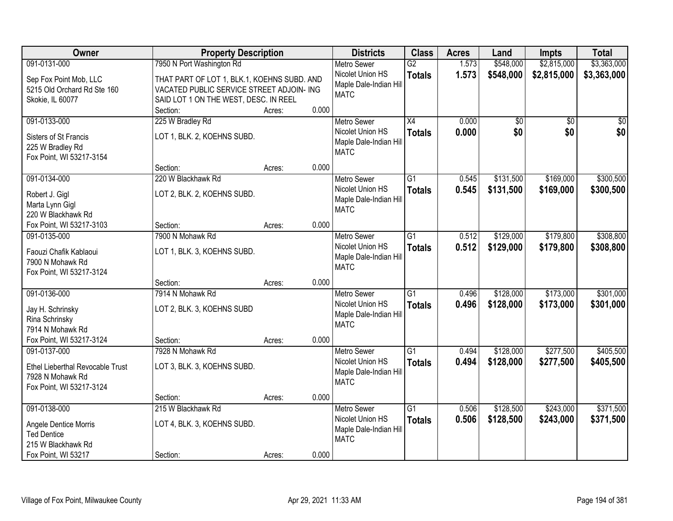| Owner                                 | <b>Property Description</b>                 |        |       | <b>Districts</b>                           | <b>Class</b>    | <b>Acres</b> | Land            | <b>Impts</b>    | <b>Total</b>    |
|---------------------------------------|---------------------------------------------|--------|-------|--------------------------------------------|-----------------|--------------|-----------------|-----------------|-----------------|
| 091-0131-000                          | 7950 N Port Washington Rd                   |        |       | <b>Metro Sewer</b>                         | $\overline{G2}$ | 1.573        | \$548,000       | \$2,815,000     | \$3,363,000     |
| Sep Fox Point Mob, LLC                | THAT PART OF LOT 1, BLK.1, KOEHNS SUBD. AND |        |       | Nicolet Union HS<br>Maple Dale-Indian Hill | <b>Totals</b>   | 1.573        | \$548,000       | \$2,815,000     | \$3,363,000     |
| 5215 Old Orchard Rd Ste 160           | VACATED PUBLIC SERVICE STREET ADJOIN- ING   |        |       | <b>MATC</b>                                |                 |              |                 |                 |                 |
| Skokie, IL 60077                      | SAID LOT 1 ON THE WEST, DESC. IN REEL       |        |       |                                            |                 |              |                 |                 |                 |
|                                       | Section:                                    | Acres: | 0.000 |                                            |                 |              |                 |                 |                 |
| 091-0133-000                          | 225 W Bradley Rd                            |        |       | <b>Metro Sewer</b>                         | $\overline{X4}$ | 0.000        | $\overline{50}$ | $\overline{50}$ | $\overline{50}$ |
| Sisters of St Francis                 | LOT 1, BLK. 2, KOEHNS SUBD.                 |        |       | Nicolet Union HS                           | <b>Totals</b>   | 0.000        | \$0             | \$0             | \$0             |
| 225 W Bradley Rd                      |                                             |        |       | Maple Dale-Indian Hill                     |                 |              |                 |                 |                 |
| Fox Point, WI 53217-3154              |                                             |        |       | <b>MATC</b>                                |                 |              |                 |                 |                 |
|                                       | Section:                                    | Acres: | 0.000 |                                            |                 |              |                 |                 |                 |
| 091-0134-000                          | 220 W Blackhawk Rd                          |        |       | <b>Metro Sewer</b>                         | G1              | 0.545        | \$131,500       | \$169,000       | \$300,500       |
|                                       |                                             |        |       | Nicolet Union HS                           | <b>Totals</b>   | 0.545        | \$131,500       | \$169,000       | \$300,500       |
| Robert J. Gigl                        | LOT 2, BLK. 2, KOEHNS SUBD.                 |        |       | Maple Dale-Indian Hill                     |                 |              |                 |                 |                 |
| Marta Lynn Gigl<br>220 W Blackhawk Rd |                                             |        |       | <b>MATC</b>                                |                 |              |                 |                 |                 |
| Fox Point, WI 53217-3103              | Section:                                    | Acres: | 0.000 |                                            |                 |              |                 |                 |                 |
| 091-0135-000                          | 7900 N Mohawk Rd                            |        |       | <b>Metro Sewer</b>                         | G1              | 0.512        | \$129,000       | \$179,800       | \$308,800       |
|                                       |                                             |        |       | Nicolet Union HS                           |                 |              |                 |                 |                 |
| Faouzi Chafik Kablaoui                | LOT 1, BLK. 3, KOEHNS SUBD.                 |        |       | Maple Dale-Indian Hill                     | <b>Totals</b>   | 0.512        | \$129,000       | \$179,800       | \$308,800       |
| 7900 N Mohawk Rd                      |                                             |        |       | <b>MATC</b>                                |                 |              |                 |                 |                 |
| Fox Point, WI 53217-3124              |                                             |        |       |                                            |                 |              |                 |                 |                 |
|                                       | Section:                                    | Acres: | 0.000 |                                            |                 |              |                 |                 |                 |
| 091-0136-000                          | 7914 N Mohawk Rd                            |        |       | <b>Metro Sewer</b>                         | $\overline{G1}$ | 0.496        | \$128,000       | \$173,000       | \$301,000       |
| Jay H. Schrinsky                      | LOT 2, BLK. 3, KOEHNS SUBD                  |        |       | Nicolet Union HS                           | <b>Totals</b>   | 0.496        | \$128,000       | \$173,000       | \$301,000       |
| Rina Schrinsky                        |                                             |        |       | Maple Dale-Indian Hill                     |                 |              |                 |                 |                 |
| 7914 N Mohawk Rd                      |                                             |        |       | <b>MATC</b>                                |                 |              |                 |                 |                 |
| Fox Point, WI 53217-3124              | Section:                                    | Acres: | 0.000 |                                            |                 |              |                 |                 |                 |
| 091-0137-000                          | 7928 N Mohawk Rd                            |        |       | <b>Metro Sewer</b>                         | $\overline{G1}$ | 0.494        | \$128,000       | \$277,500       | \$405,500       |
|                                       |                                             |        |       | Nicolet Union HS                           | <b>Totals</b>   | 0.494        | \$128,000       | \$277,500       | \$405,500       |
| Ethel Lieberthal Revocable Trust      | LOT 3, BLK. 3, KOEHNS SUBD.                 |        |       | Maple Dale-Indian Hill                     |                 |              |                 |                 |                 |
| 7928 N Mohawk Rd                      |                                             |        |       | <b>MATC</b>                                |                 |              |                 |                 |                 |
| Fox Point, WI 53217-3124              |                                             |        |       |                                            |                 |              |                 |                 |                 |
|                                       | Section:                                    | Acres: | 0.000 |                                            |                 |              |                 |                 |                 |
| 091-0138-000                          | 215 W Blackhawk Rd                          |        |       | <b>Metro Sewer</b>                         | $\overline{G1}$ | 0.506        | \$128,500       | \$243,000       | \$371,500       |
| Angele Dentice Morris                 | LOT 4, BLK. 3, KOEHNS SUBD.                 |        |       | Nicolet Union HS                           | <b>Totals</b>   | 0.506        | \$128,500       | \$243,000       | \$371,500       |
| <b>Ted Dentice</b>                    |                                             |        |       | Maple Dale-Indian Hill                     |                 |              |                 |                 |                 |
| 215 W Blackhawk Rd                    |                                             |        |       | <b>MATC</b>                                |                 |              |                 |                 |                 |
| Fox Point, WI 53217                   | Section:                                    | Acres: | 0.000 |                                            |                 |              |                 |                 |                 |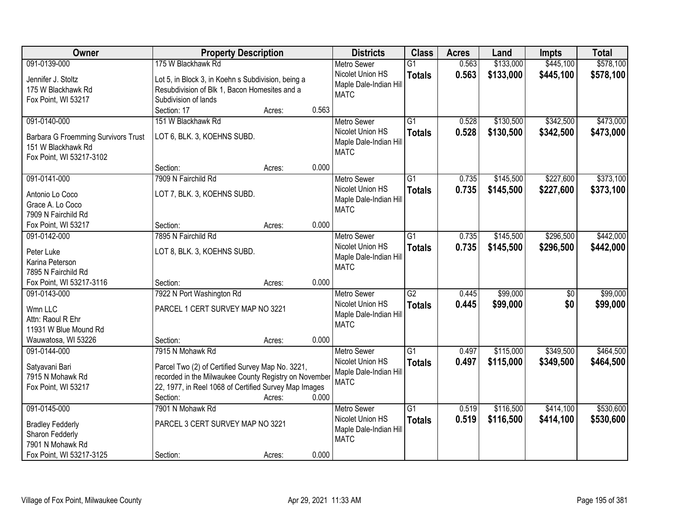| Owner                                      | <b>Property Description</b>                                           |        |       | <b>Districts</b>                           | <b>Class</b>    | <b>Acres</b> | Land      | <b>Impts</b>    | <b>Total</b> |
|--------------------------------------------|-----------------------------------------------------------------------|--------|-------|--------------------------------------------|-----------------|--------------|-----------|-----------------|--------------|
| 091-0139-000                               | 175 W Blackhawk Rd                                                    |        |       | <b>Metro Sewer</b>                         | $\overline{G1}$ | 0.563        | \$133,000 | \$445,100       | \$578,100    |
| Jennifer J. Stoltz                         | Lot 5, in Block 3, in Koehn s Subdivision, being a                    |        |       | Nicolet Union HS<br>Maple Dale-Indian Hill | <b>Totals</b>   | 0.563        | \$133,000 | \$445,100       | \$578,100    |
| 175 W Blackhawk Rd                         | Resubdivision of Blk 1, Bacon Homesites and a<br>Subdivision of lands |        |       | <b>MATC</b>                                |                 |              |           |                 |              |
| Fox Point, WI 53217                        | Section: 17                                                           | Acres: | 0.563 |                                            |                 |              |           |                 |              |
| 091-0140-000                               | 151 W Blackhawk Rd                                                    |        |       |                                            | $\overline{G1}$ | 0.528        | \$130,500 | \$342,500       | \$473,000    |
|                                            |                                                                       |        |       | <b>Metro Sewer</b><br>Nicolet Union HS     |                 |              |           |                 |              |
| <b>Barbara G Froemming Survivors Trust</b> | LOT 6, BLK. 3, KOEHNS SUBD.                                           |        |       |                                            | <b>Totals</b>   | 0.528        | \$130,500 | \$342,500       | \$473,000    |
| 151 W Blackhawk Rd                         |                                                                       |        |       | Maple Dale-Indian Hill<br><b>MATC</b>      |                 |              |           |                 |              |
| Fox Point, WI 53217-3102                   |                                                                       |        |       |                                            |                 |              |           |                 |              |
|                                            | Section:                                                              | Acres: | 0.000 |                                            |                 |              |           |                 |              |
| 091-0141-000                               | 7909 N Fairchild Rd                                                   |        |       | <b>Metro Sewer</b>                         | G1              | 0.735        | \$145,500 | \$227,600       | \$373,100    |
| Antonio Lo Coco                            | LOT 7, BLK. 3, KOEHNS SUBD.                                           |        |       | Nicolet Union HS                           | <b>Totals</b>   | 0.735        | \$145,500 | \$227,600       | \$373,100    |
| Grace A. Lo Coco                           |                                                                       |        |       | Maple Dale-Indian Hill                     |                 |              |           |                 |              |
| 7909 N Fairchild Rd                        |                                                                       |        |       | <b>MATC</b>                                |                 |              |           |                 |              |
| Fox Point, WI 53217                        | Section:                                                              | Acres: | 0.000 |                                            |                 |              |           |                 |              |
| 091-0142-000                               | 7895 N Fairchild Rd                                                   |        |       | <b>Metro Sewer</b>                         | G1              | 0.735        | \$145,500 | \$296,500       | \$442,000    |
|                                            |                                                                       |        |       | Nicolet Union HS                           |                 |              |           |                 |              |
| Peter Luke                                 | LOT 8, BLK. 3, KOEHNS SUBD.                                           |        |       | Maple Dale-Indian Hill                     | <b>Totals</b>   | 0.735        | \$145,500 | \$296,500       | \$442,000    |
| Karina Peterson                            |                                                                       |        |       | <b>MATC</b>                                |                 |              |           |                 |              |
| 7895 N Fairchild Rd                        |                                                                       |        |       |                                            |                 |              |           |                 |              |
| Fox Point, WI 53217-3116                   | Section:                                                              | Acres: | 0.000 |                                            |                 |              |           |                 |              |
| 091-0143-000                               | 7922 N Port Washington Rd                                             |        |       | <b>Metro Sewer</b>                         | $\overline{G2}$ | 0.445        | \$99,000  | $\overline{50}$ | \$99,000     |
| Wmn LLC                                    | PARCEL 1 CERT SURVEY MAP NO 3221                                      |        |       | Nicolet Union HS                           | <b>Totals</b>   | 0.445        | \$99,000  | \$0             | \$99,000     |
| Attn: Raoul R Ehr                          |                                                                       |        |       | Maple Dale-Indian Hill                     |                 |              |           |                 |              |
| 11931 W Blue Mound Rd                      |                                                                       |        |       | <b>MATC</b>                                |                 |              |           |                 |              |
| Wauwatosa, WI 53226                        | Section:                                                              | Acres: | 0.000 |                                            |                 |              |           |                 |              |
| 091-0144-000                               | 7915 N Mohawk Rd                                                      |        |       | Metro Sewer                                | $\overline{G1}$ | 0.497        | \$115,000 | \$349,500       | \$464,500    |
|                                            |                                                                       |        |       | Nicolet Union HS                           | <b>Totals</b>   | 0.497        | \$115,000 | \$349,500       | \$464,500    |
| Satyavani Bari                             | Parcel Two (2) of Certified Survey Map No. 3221,                      |        |       | Maple Dale-Indian Hill                     |                 |              |           |                 |              |
| 7915 N Mohawk Rd                           | recorded in the Milwaukee County Registry on November                 |        |       | <b>MATC</b>                                |                 |              |           |                 |              |
| Fox Point, WI 53217                        | 22, 1977, in Reel 1068 of Certified Survey Map Images                 |        |       |                                            |                 |              |           |                 |              |
|                                            | Section:                                                              | Acres: | 0.000 |                                            |                 |              |           |                 |              |
| 091-0145-000                               | 7901 N Mohawk Rd                                                      |        |       | <b>Metro Sewer</b>                         | $\overline{G1}$ | 0.519        | \$116,500 | \$414,100       | \$530,600    |
| <b>Bradley Fedderly</b>                    | PARCEL 3 CERT SURVEY MAP NO 3221                                      |        |       | Nicolet Union HS                           | <b>Totals</b>   | 0.519        | \$116,500 | \$414,100       | \$530,600    |
| Sharon Fedderly                            |                                                                       |        |       | Maple Dale-Indian Hill                     |                 |              |           |                 |              |
| 7901 N Mohawk Rd                           |                                                                       |        |       | <b>MATC</b>                                |                 |              |           |                 |              |
| Fox Point, WI 53217-3125                   | Section:                                                              | Acres: | 0.000 |                                            |                 |              |           |                 |              |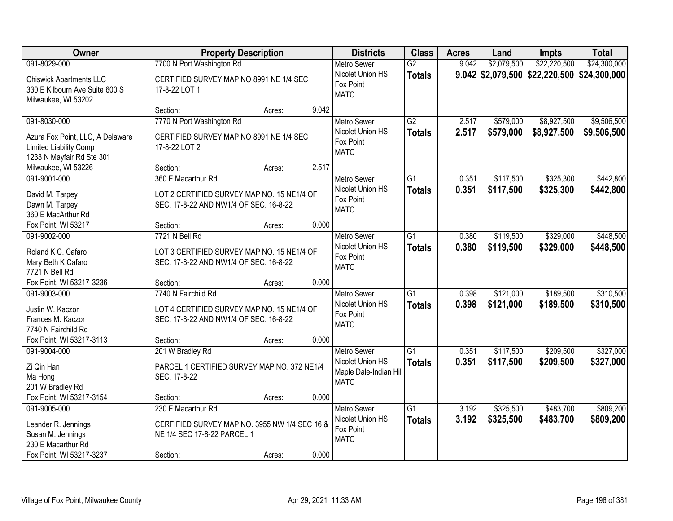| Owner                                                                                                      | <b>Property Description</b>                                                                                    |        |       | <b>Districts</b>                                                                | <b>Class</b>                     | <b>Acres</b>   | Land                   | Impts                                         | <b>Total</b>               |
|------------------------------------------------------------------------------------------------------------|----------------------------------------------------------------------------------------------------------------|--------|-------|---------------------------------------------------------------------------------|----------------------------------|----------------|------------------------|-----------------------------------------------|----------------------------|
| 091-8029-000                                                                                               | 7700 N Port Washington Rd                                                                                      |        |       | <b>Metro Sewer</b>                                                              | $\overline{G2}$                  | 9.042          | \$2,079,500            | \$22,220,500                                  | \$24,300,000               |
| <b>Chiswick Apartments LLC</b><br>330 E Kilbourn Ave Suite 600 S<br>Milwaukee, WI 53202                    | CERTIFIED SURVEY MAP NO 8991 NE 1/4 SEC<br>17-8-22 LOT 1                                                       |        |       | Nicolet Union HS<br>Fox Point<br><b>MATC</b>                                    | <b>Totals</b>                    |                |                        | $9.042$ \$2,079,500 \$22,220,500 \$24,300,000 |                            |
|                                                                                                            | Section:                                                                                                       | Acres: | 9.042 |                                                                                 |                                  |                |                        |                                               |                            |
| 091-8030-000<br>Azura Fox Point, LLC, A Delaware<br>Limited Liability Comp<br>1233 N Mayfair Rd Ste 301    | 7770 N Port Washington Rd<br>CERTIFIED SURVEY MAP NO 8991 NE 1/4 SEC<br>17-8-22 LOT 2                          |        |       | Metro Sewer<br>Nicolet Union HS<br>Fox Point<br><b>MATC</b>                     | $\overline{G2}$<br><b>Totals</b> | 2.517<br>2.517 | \$579,000<br>\$579,000 | \$8,927,500<br>\$8,927,500                    | \$9,506,500<br>\$9,506,500 |
| Milwaukee, WI 53226                                                                                        | Section:                                                                                                       | Acres: | 2.517 |                                                                                 |                                  |                |                        |                                               |                            |
| 091-9001-000<br>David M. Tarpey<br>Dawn M. Tarpey<br>360 E MacArthur Rd                                    | 360 E Macarthur Rd<br>LOT 2 CERTIFIED SURVEY MAP NO. 15 NE1/4 OF<br>SEC. 17-8-22 AND NW1/4 OF SEC. 16-8-22     |        |       | <b>Metro Sewer</b><br>Nicolet Union HS<br>Fox Point<br><b>MATC</b>              | G1<br><b>Totals</b>              | 0.351<br>0.351 | \$117,500<br>\$117,500 | \$325,300<br>\$325,300                        | \$442,800<br>\$442,800     |
| Fox Point, WI 53217                                                                                        | Section:                                                                                                       | Acres: | 0.000 |                                                                                 |                                  |                |                        |                                               |                            |
| 091-9002-000<br>Roland K C. Cafaro<br>Mary Beth K Cafaro<br>7721 N Bell Rd                                 | 7721 N Bell Rd<br>LOT 3 CERTIFIED SURVEY MAP NO. 15 NE1/4 OF<br>SEC. 17-8-22 AND NW1/4 OF SEC. 16-8-22         |        |       | <b>Metro Sewer</b><br>Nicolet Union HS<br>Fox Point<br><b>MATC</b>              | $\overline{G1}$<br><b>Totals</b> | 0.380<br>0.380 | \$119,500<br>\$119,500 | \$329,000<br>\$329,000                        | \$448,500<br>\$448,500     |
| Fox Point, WI 53217-3236                                                                                   | Section:                                                                                                       | Acres: | 0.000 |                                                                                 |                                  |                |                        |                                               |                            |
| 091-9003-000<br>Justin W. Kaczor<br>Frances M. Kaczor<br>7740 N Fairchild Rd                               | 7740 N Fairchild Rd<br>LOT 4 CERTIFIED SURVEY MAP NO. 15 NE1/4 OF<br>SEC. 17-8-22 AND NW1/4 OF SEC. 16-8-22    |        |       | <b>Metro Sewer</b><br>Nicolet Union HS<br>Fox Point<br><b>MATC</b>              | $\overline{G1}$<br><b>Totals</b> | 0.398<br>0.398 | \$121,000<br>\$121,000 | \$189,500<br>\$189,500                        | \$310,500<br>\$310,500     |
| Fox Point, WI 53217-3113                                                                                   | Section:                                                                                                       | Acres: | 0.000 |                                                                                 |                                  |                |                        |                                               |                            |
| 091-9004-000<br>Zi Qin Han<br>Ma Hong<br>201 W Bradley Rd                                                  | 201 W Bradley Rd<br>PARCEL 1 CERTIFIED SURVEY MAP NO. 372 NE1/4<br>SEC. 17-8-22                                |        |       | <b>Metro Sewer</b><br>Nicolet Union HS<br>Maple Dale-Indian Hill<br><b>MATC</b> | $\overline{G1}$<br><b>Totals</b> | 0.351<br>0.351 | \$117,500<br>\$117,500 | \$209,500<br>\$209,500                        | \$327,000<br>\$327,000     |
| Fox Point, WI 53217-3154                                                                                   | Section:                                                                                                       | Acres: | 0.000 |                                                                                 |                                  |                |                        |                                               |                            |
| 091-9005-000<br>Leander R. Jennings<br>Susan M. Jennings<br>230 E Macarthur Rd<br>Fox Point, WI 53217-3237 | 230 E Macarthur Rd<br>CERFIFIED SURVEY MAP NO. 3955 NW 1/4 SEC 16 &<br>NE 1/4 SEC 17-8-22 PARCEL 1<br>Section: | Acres: | 0.000 | <b>Metro Sewer</b><br>Nicolet Union HS<br>Fox Point<br><b>MATC</b>              | $\overline{G1}$<br><b>Totals</b> | 3.192<br>3.192 | \$325,500<br>\$325,500 | \$483,700<br>\$483,700                        | \$809,200<br>\$809,200     |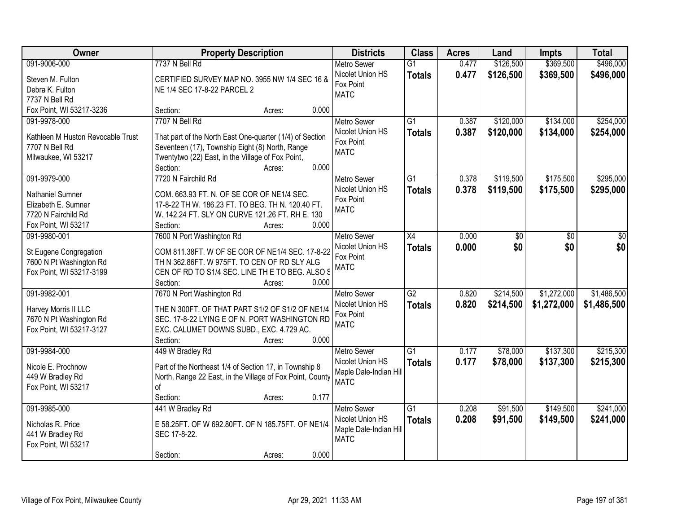| <b>Owner</b>                      | <b>Property Description</b>                               | <b>Districts</b>              | <b>Class</b>    | <b>Acres</b> | Land      | <b>Impts</b> | <b>Total</b> |
|-----------------------------------|-----------------------------------------------------------|-------------------------------|-----------------|--------------|-----------|--------------|--------------|
| 091-9006-000                      | 7737 N Bell Rd                                            | <b>Metro Sewer</b>            | $\overline{G1}$ | 0.477        | \$126,500 | \$369,500    | \$496,000    |
| Steven M. Fulton                  | CERTIFIED SURVEY MAP NO. 3955 NW 1/4 SEC 16 &             | Nicolet Union HS<br>Fox Point | <b>Totals</b>   | 0.477        | \$126,500 | \$369,500    | \$496,000    |
| Debra K. Fulton                   | NE 1/4 SEC 17-8-22 PARCEL 2                               | <b>MATC</b>                   |                 |              |           |              |              |
| 7737 N Bell Rd                    |                                                           |                               |                 |              |           |              |              |
| Fox Point, WI 53217-3236          | 0.000<br>Section:<br>Acres:                               |                               |                 |              |           |              |              |
| 091-9978-000                      | 7707 N Bell Rd                                            | <b>Metro Sewer</b>            | $\overline{G1}$ | 0.387        | \$120,000 | \$134,000    | \$254,000    |
| Kathleen M Huston Revocable Trust | That part of the North East One-quarter (1/4) of Section  | Nicolet Union HS              | <b>Totals</b>   | 0.387        | \$120,000 | \$134,000    | \$254,000    |
| 7707 N Bell Rd                    | Seventeen (17), Township Eight (8) North, Range           | Fox Point                     |                 |              |           |              |              |
| Milwaukee, WI 53217               | Twentytwo (22) East, in the Village of Fox Point,         | <b>MATC</b>                   |                 |              |           |              |              |
|                                   | 0.000<br>Section:<br>Acres:                               |                               |                 |              |           |              |              |
| 091-9979-000                      | 7720 N Fairchild Rd                                       | Metro Sewer                   | $\overline{G1}$ | 0.378        | \$119,500 | \$175,500    | \$295,000    |
| Nathaniel Sumner                  | COM. 663.93 FT. N. OF SE COR OF NE1/4 SEC.                | Nicolet Union HS              | <b>Totals</b>   | 0.378        | \$119,500 | \$175,500    | \$295,000    |
| Elizabeth E. Sumner               | 17-8-22 TH W. 186.23 FT. TO BEG. TH N. 120.40 FT.         | Fox Point                     |                 |              |           |              |              |
| 7720 N Fairchild Rd               | W. 142.24 FT. SLY ON CURVE 121.26 FT. RH E. 130           | <b>MATC</b>                   |                 |              |           |              |              |
| Fox Point, WI 53217               | Section:<br>0.000<br>Acres:                               |                               |                 |              |           |              |              |
| 091-9980-001                      | 7600 N Port Washington Rd                                 | <b>Metro Sewer</b>            | X4              | 0.000        | \$0       | \$0          | \$0          |
|                                   |                                                           | Nicolet Union HS              | <b>Totals</b>   | 0.000        | \$0       | \$0          | \$0          |
| St Eugene Congregation            | COM 811.38FT. W OF SE COR OF NE1/4 SEC. 17-8-22           | Fox Point                     |                 |              |           |              |              |
| 7600 N Pt Washington Rd           | TH N 362.86FT. W 975FT. TO CEN OF RD SLY ALG              | <b>MATC</b>                   |                 |              |           |              |              |
| Fox Point, WI 53217-3199          | CEN OF RD TO S1/4 SEC. LINE TH E TO BEG. ALSO S           |                               |                 |              |           |              |              |
|                                   | Section:<br>0.000<br>Acres:                               |                               |                 |              |           |              |              |
| 091-9982-001                      | 7670 N Port Washington Rd                                 | <b>Metro Sewer</b>            | $\overline{G2}$ | 0.820        | \$214,500 | \$1,272,000  | \$1,486,500  |
| Harvey Morris II LLC              | THE N 300FT. OF THAT PART S1/2 OF S1/2 OF NE1/4           | Nicolet Union HS              | <b>Totals</b>   | 0.820        | \$214,500 | \$1,272,000  | \$1,486,500  |
| 7670 N Pt Washington Rd           | SEC. 17-8-22 LYING E OF N. PORT WASHINGTON RD             | Fox Point                     |                 |              |           |              |              |
| Fox Point, WI 53217-3127          | EXC. CALUMET DOWNS SUBD., EXC. 4.729 AC.                  | <b>MATC</b>                   |                 |              |           |              |              |
|                                   | Section:<br>0.000<br>Acres:                               |                               |                 |              |           |              |              |
| 091-9984-000                      | 449 W Bradley Rd                                          | Metro Sewer                   | G1              | 0.177        | \$78,000  | \$137,300    | \$215,300    |
| Nicole E. Prochnow                | Part of the Northeast 1/4 of Section 17, in Township 8    | Nicolet Union HS              | <b>Totals</b>   | 0.177        | \$78,000  | \$137,300    | \$215,300    |
| 449 W Bradley Rd                  | North, Range 22 East, in the Village of Fox Point, County | Maple Dale-Indian Hill        |                 |              |           |              |              |
| Fox Point, WI 53217               | of                                                        | <b>MATC</b>                   |                 |              |           |              |              |
|                                   | 0.177<br>Section:<br>Acres:                               |                               |                 |              |           |              |              |
| 091-9985-000                      | 441 W Bradley Rd                                          | <b>Metro Sewer</b>            | $\overline{G1}$ | 0.208        | \$91,500  | \$149,500    | \$241,000    |
|                                   |                                                           | Nicolet Union HS              | <b>Totals</b>   | 0.208        | \$91,500  | \$149,500    | \$241,000    |
| Nicholas R. Price                 | E 58.25FT. OF W 692.80FT. OF N 185.75FT. OF NE1/4         | Maple Dale-Indian Hill        |                 |              |           |              |              |
| 441 W Bradley Rd                  | SEC 17-8-22.                                              | <b>MATC</b>                   |                 |              |           |              |              |
| Fox Point, WI 53217               | 0.000                                                     |                               |                 |              |           |              |              |
|                                   | Section:<br>Acres:                                        |                               |                 |              |           |              |              |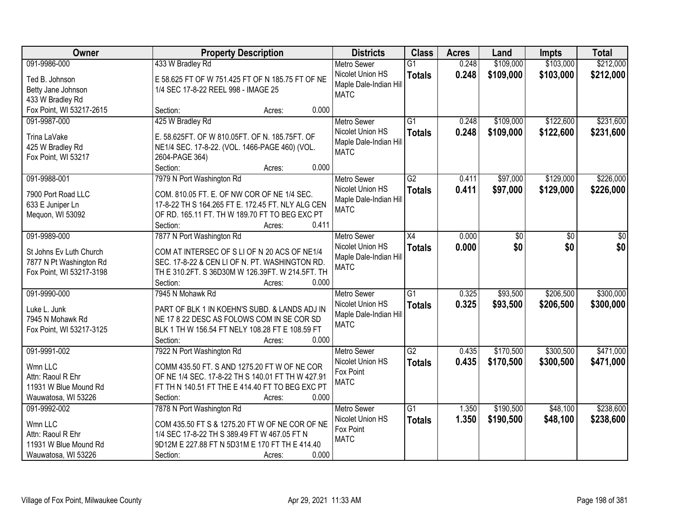| \$103,000<br>\$212,000<br>091-9986-000<br>433 W Bradley Rd<br>\$109,000<br><b>Metro Sewer</b><br>$\overline{G1}$<br>0.248<br>0.248<br>Nicolet Union HS<br>\$109,000<br>\$103,000<br>\$212,000<br><b>Totals</b><br>E 58.625 FT OF W 751.425 FT OF N 185.75 FT OF NE<br>Ted B. Johnson<br>Maple Dale-Indian Hill<br>1/4 SEC 17-8-22 REEL 998 - IMAGE 25<br>Betty Jane Johnson<br><b>MATC</b><br>433 W Bradley Rd<br>0.000<br>Fox Point, WI 53217-2615<br>Section:<br>Acres:<br>425 W Bradley Rd<br>\$122,600<br>091-9987-000<br>$\overline{G1}$<br>0.248<br>\$109,000<br><b>Metro Sewer</b><br>0.248<br>\$109,000<br>\$122,600<br>Nicolet Union HS<br><b>Totals</b><br>Trina LaVake<br>E. 58.625FT. OF W 810.05FT. OF N. 185.75FT. OF<br>Maple Dale-Indian Hill<br>NE1/4 SEC. 17-8-22. (VOL. 1466-PAGE 460) (VOL.<br>425 W Bradley Rd<br><b>MATC</b><br>Fox Point, WI 53217<br>2604-PAGE 364)<br>0.000<br>Section:<br>Acres:<br>\$129,000<br>091-9988-001<br>7979 N Port Washington Rd<br>$\overline{G2}$<br>\$97,000<br>Metro Sewer<br>0.411<br>\$129,000<br>Nicolet Union HS<br>0.411<br>\$97,000<br><b>Totals</b><br>COM. 810.05 FT. E. OF NW COR OF NE 1/4 SEC.<br>7900 Port Road LLC<br>Maple Dale-Indian Hill<br>17-8-22 TH S 164.265 FT E. 172.45 FT. NLY ALG CEN<br>633 E Juniper Ln<br><b>MATC</b><br>OF RD. 165.11 FT. TH W 189.70 FT TO BEG EXC PT<br>Mequon, WI 53092<br>0.411<br>Section:<br>Acres:<br>7877 N Port Washington Rd<br>091-9989-000<br><b>Metro Sewer</b><br>X4<br>0.000<br>\$0<br>\$0<br>\$0<br>\$0<br>0.000<br>\$0<br>\$0<br>Nicolet Union HS<br><b>Totals</b><br>COM AT INTERSEC OF S LI OF N 20 ACS OF NE1/4<br>St Johns Ev Luth Church<br>Maple Dale-Indian Hill<br>7877 N Pt Washington Rd<br>SEC. 17-8-22 & CEN LI OF N. PT. WASHINGTON RD.<br><b>MATC</b><br>Fox Point, WI 53217-3198<br>TH E 310.2FT. S 36D30M W 126.39FT. W 214.5FT. TH<br>Section:<br>0.000<br>Acres:<br>$\overline{G1}$<br>\$93,500<br>\$206,500<br>091-9990-000<br>7945 N Mohawk Rd<br>0.325<br><b>Metro Sewer</b><br>Nicolet Union HS<br><b>Totals</b><br>0.325<br>\$93,500<br>\$206,500<br>Luke L. Junk<br>PART OF BLK 1 IN KOEHN'S SUBD. & LANDS ADJ IN<br>Maple Dale-Indian Hill<br>7945 N Mohawk Rd<br>NE 17 8 22 DESC AS FOLOWS COM IN SE COR SD<br><b>MATC</b><br>Fox Point, WI 53217-3125<br>BLK 1 TH W 156.54 FT NELY 108.28 FT E 108.59 FT<br>Section:<br>0.000<br>Acres:<br>$\overline{G2}$<br>\$170,500<br>\$300,500<br>091-9991-002<br>7922 N Port Washington Rd<br><b>Metro Sewer</b><br>0.435<br>Nicolet Union HS<br>0.435<br>\$170,500<br>\$300,500<br><b>Totals</b><br>Wmn LLC<br>COMM 435.50 FT. S AND 1275.20 FT W OF NE COR<br>Fox Point<br>OF NE 1/4 SEC. 17-8-22 TH S 140.01 FT TH W 427.91<br>Attn: Raoul R Ehr<br><b>MATC</b><br>FT TH N 140.51 FT THE E 414.40 FT TO BEG EXC PT<br>11931 W Blue Mound Rd<br>Wauwatosa, WI 53226<br>Section:<br>0.000<br>Acres:<br>\$190,500<br>\$48,100<br>\$238,600<br>7878 N Port Washington Rd<br>$\overline{G1}$<br>091-9992-002<br><b>Metro Sewer</b><br>1.350<br>1.350<br>\$48,100<br>Nicolet Union HS<br>\$190,500<br><b>Totals</b><br>Wmn LLC<br>COM 435.50 FT S & 1275.20 FT W OF NE COR OF NE<br>Fox Point<br>1/4 SEC 17-8-22 TH S 389.49 FT W 467.05 FT N<br>Attn: Raoul R Ehr<br><b>MATC</b><br>11931 W Blue Mound Rd<br>9D12M E 227.88 FT N 5D31M E 170 FT TH E 414.40 | Owner               | <b>Property Description</b> | <b>Districts</b> | <b>Class</b> | <b>Acres</b> | Land | <b>Impts</b> | <b>Total</b> |
|---------------------------------------------------------------------------------------------------------------------------------------------------------------------------------------------------------------------------------------------------------------------------------------------------------------------------------------------------------------------------------------------------------------------------------------------------------------------------------------------------------------------------------------------------------------------------------------------------------------------------------------------------------------------------------------------------------------------------------------------------------------------------------------------------------------------------------------------------------------------------------------------------------------------------------------------------------------------------------------------------------------------------------------------------------------------------------------------------------------------------------------------------------------------------------------------------------------------------------------------------------------------------------------------------------------------------------------------------------------------------------------------------------------------------------------------------------------------------------------------------------------------------------------------------------------------------------------------------------------------------------------------------------------------------------------------------------------------------------------------------------------------------------------------------------------------------------------------------------------------------------------------------------------------------------------------------------------------------------------------------------------------------------------------------------------------------------------------------------------------------------------------------------------------------------------------------------------------------------------------------------------------------------------------------------------------------------------------------------------------------------------------------------------------------------------------------------------------------------------------------------------------------------------------------------------------------------------------------------------------------------------------------------------------------------------------------------------------------------------------------------------------------------------------------------------------------------------------------------------------------------------------------------------------------------------------------------------------------------------------------------------------------------------------------------------------------------------------------------------------------------------------------------------------------------------------------------------------------------------------------------------------------------------------------------------------------------------------------|---------------------|-----------------------------|------------------|--------------|--------------|------|--------------|--------------|
|                                                                                                                                                                                                                                                                                                                                                                                                                                                                                                                                                                                                                                                                                                                                                                                                                                                                                                                                                                                                                                                                                                                                                                                                                                                                                                                                                                                                                                                                                                                                                                                                                                                                                                                                                                                                                                                                                                                                                                                                                                                                                                                                                                                                                                                                                                                                                                                                                                                                                                                                                                                                                                                                                                                                                                                                                                                                                                                                                                                                                                                                                                                                                                                                                                                                                                                                                   |                     |                             |                  |              |              |      |              |              |
|                                                                                                                                                                                                                                                                                                                                                                                                                                                                                                                                                                                                                                                                                                                                                                                                                                                                                                                                                                                                                                                                                                                                                                                                                                                                                                                                                                                                                                                                                                                                                                                                                                                                                                                                                                                                                                                                                                                                                                                                                                                                                                                                                                                                                                                                                                                                                                                                                                                                                                                                                                                                                                                                                                                                                                                                                                                                                                                                                                                                                                                                                                                                                                                                                                                                                                                                                   |                     |                             |                  |              |              |      |              |              |
| \$231,600<br>\$231,600<br>\$226,000<br>\$226,000<br>\$300,000<br>\$300,000<br>\$471,000<br>\$471,000<br>\$238,600                                                                                                                                                                                                                                                                                                                                                                                                                                                                                                                                                                                                                                                                                                                                                                                                                                                                                                                                                                                                                                                                                                                                                                                                                                                                                                                                                                                                                                                                                                                                                                                                                                                                                                                                                                                                                                                                                                                                                                                                                                                                                                                                                                                                                                                                                                                                                                                                                                                                                                                                                                                                                                                                                                                                                                                                                                                                                                                                                                                                                                                                                                                                                                                                                                 |                     |                             |                  |              |              |      |              |              |
|                                                                                                                                                                                                                                                                                                                                                                                                                                                                                                                                                                                                                                                                                                                                                                                                                                                                                                                                                                                                                                                                                                                                                                                                                                                                                                                                                                                                                                                                                                                                                                                                                                                                                                                                                                                                                                                                                                                                                                                                                                                                                                                                                                                                                                                                                                                                                                                                                                                                                                                                                                                                                                                                                                                                                                                                                                                                                                                                                                                                                                                                                                                                                                                                                                                                                                                                                   |                     |                             |                  |              |              |      |              |              |
|                                                                                                                                                                                                                                                                                                                                                                                                                                                                                                                                                                                                                                                                                                                                                                                                                                                                                                                                                                                                                                                                                                                                                                                                                                                                                                                                                                                                                                                                                                                                                                                                                                                                                                                                                                                                                                                                                                                                                                                                                                                                                                                                                                                                                                                                                                                                                                                                                                                                                                                                                                                                                                                                                                                                                                                                                                                                                                                                                                                                                                                                                                                                                                                                                                                                                                                                                   |                     |                             |                  |              |              |      |              |              |
|                                                                                                                                                                                                                                                                                                                                                                                                                                                                                                                                                                                                                                                                                                                                                                                                                                                                                                                                                                                                                                                                                                                                                                                                                                                                                                                                                                                                                                                                                                                                                                                                                                                                                                                                                                                                                                                                                                                                                                                                                                                                                                                                                                                                                                                                                                                                                                                                                                                                                                                                                                                                                                                                                                                                                                                                                                                                                                                                                                                                                                                                                                                                                                                                                                                                                                                                                   |                     |                             |                  |              |              |      |              |              |
|                                                                                                                                                                                                                                                                                                                                                                                                                                                                                                                                                                                                                                                                                                                                                                                                                                                                                                                                                                                                                                                                                                                                                                                                                                                                                                                                                                                                                                                                                                                                                                                                                                                                                                                                                                                                                                                                                                                                                                                                                                                                                                                                                                                                                                                                                                                                                                                                                                                                                                                                                                                                                                                                                                                                                                                                                                                                                                                                                                                                                                                                                                                                                                                                                                                                                                                                                   |                     |                             |                  |              |              |      |              |              |
|                                                                                                                                                                                                                                                                                                                                                                                                                                                                                                                                                                                                                                                                                                                                                                                                                                                                                                                                                                                                                                                                                                                                                                                                                                                                                                                                                                                                                                                                                                                                                                                                                                                                                                                                                                                                                                                                                                                                                                                                                                                                                                                                                                                                                                                                                                                                                                                                                                                                                                                                                                                                                                                                                                                                                                                                                                                                                                                                                                                                                                                                                                                                                                                                                                                                                                                                                   |                     |                             |                  |              |              |      |              |              |
|                                                                                                                                                                                                                                                                                                                                                                                                                                                                                                                                                                                                                                                                                                                                                                                                                                                                                                                                                                                                                                                                                                                                                                                                                                                                                                                                                                                                                                                                                                                                                                                                                                                                                                                                                                                                                                                                                                                                                                                                                                                                                                                                                                                                                                                                                                                                                                                                                                                                                                                                                                                                                                                                                                                                                                                                                                                                                                                                                                                                                                                                                                                                                                                                                                                                                                                                                   |                     |                             |                  |              |              |      |              |              |
|                                                                                                                                                                                                                                                                                                                                                                                                                                                                                                                                                                                                                                                                                                                                                                                                                                                                                                                                                                                                                                                                                                                                                                                                                                                                                                                                                                                                                                                                                                                                                                                                                                                                                                                                                                                                                                                                                                                                                                                                                                                                                                                                                                                                                                                                                                                                                                                                                                                                                                                                                                                                                                                                                                                                                                                                                                                                                                                                                                                                                                                                                                                                                                                                                                                                                                                                                   |                     |                             |                  |              |              |      |              |              |
|                                                                                                                                                                                                                                                                                                                                                                                                                                                                                                                                                                                                                                                                                                                                                                                                                                                                                                                                                                                                                                                                                                                                                                                                                                                                                                                                                                                                                                                                                                                                                                                                                                                                                                                                                                                                                                                                                                                                                                                                                                                                                                                                                                                                                                                                                                                                                                                                                                                                                                                                                                                                                                                                                                                                                                                                                                                                                                                                                                                                                                                                                                                                                                                                                                                                                                                                                   |                     |                             |                  |              |              |      |              |              |
|                                                                                                                                                                                                                                                                                                                                                                                                                                                                                                                                                                                                                                                                                                                                                                                                                                                                                                                                                                                                                                                                                                                                                                                                                                                                                                                                                                                                                                                                                                                                                                                                                                                                                                                                                                                                                                                                                                                                                                                                                                                                                                                                                                                                                                                                                                                                                                                                                                                                                                                                                                                                                                                                                                                                                                                                                                                                                                                                                                                                                                                                                                                                                                                                                                                                                                                                                   |                     |                             |                  |              |              |      |              |              |
|                                                                                                                                                                                                                                                                                                                                                                                                                                                                                                                                                                                                                                                                                                                                                                                                                                                                                                                                                                                                                                                                                                                                                                                                                                                                                                                                                                                                                                                                                                                                                                                                                                                                                                                                                                                                                                                                                                                                                                                                                                                                                                                                                                                                                                                                                                                                                                                                                                                                                                                                                                                                                                                                                                                                                                                                                                                                                                                                                                                                                                                                                                                                                                                                                                                                                                                                                   |                     |                             |                  |              |              |      |              |              |
|                                                                                                                                                                                                                                                                                                                                                                                                                                                                                                                                                                                                                                                                                                                                                                                                                                                                                                                                                                                                                                                                                                                                                                                                                                                                                                                                                                                                                                                                                                                                                                                                                                                                                                                                                                                                                                                                                                                                                                                                                                                                                                                                                                                                                                                                                                                                                                                                                                                                                                                                                                                                                                                                                                                                                                                                                                                                                                                                                                                                                                                                                                                                                                                                                                                                                                                                                   |                     |                             |                  |              |              |      |              |              |
|                                                                                                                                                                                                                                                                                                                                                                                                                                                                                                                                                                                                                                                                                                                                                                                                                                                                                                                                                                                                                                                                                                                                                                                                                                                                                                                                                                                                                                                                                                                                                                                                                                                                                                                                                                                                                                                                                                                                                                                                                                                                                                                                                                                                                                                                                                                                                                                                                                                                                                                                                                                                                                                                                                                                                                                                                                                                                                                                                                                                                                                                                                                                                                                                                                                                                                                                                   |                     |                             |                  |              |              |      |              |              |
|                                                                                                                                                                                                                                                                                                                                                                                                                                                                                                                                                                                                                                                                                                                                                                                                                                                                                                                                                                                                                                                                                                                                                                                                                                                                                                                                                                                                                                                                                                                                                                                                                                                                                                                                                                                                                                                                                                                                                                                                                                                                                                                                                                                                                                                                                                                                                                                                                                                                                                                                                                                                                                                                                                                                                                                                                                                                                                                                                                                                                                                                                                                                                                                                                                                                                                                                                   |                     |                             |                  |              |              |      |              |              |
|                                                                                                                                                                                                                                                                                                                                                                                                                                                                                                                                                                                                                                                                                                                                                                                                                                                                                                                                                                                                                                                                                                                                                                                                                                                                                                                                                                                                                                                                                                                                                                                                                                                                                                                                                                                                                                                                                                                                                                                                                                                                                                                                                                                                                                                                                                                                                                                                                                                                                                                                                                                                                                                                                                                                                                                                                                                                                                                                                                                                                                                                                                                                                                                                                                                                                                                                                   |                     |                             |                  |              |              |      |              |              |
|                                                                                                                                                                                                                                                                                                                                                                                                                                                                                                                                                                                                                                                                                                                                                                                                                                                                                                                                                                                                                                                                                                                                                                                                                                                                                                                                                                                                                                                                                                                                                                                                                                                                                                                                                                                                                                                                                                                                                                                                                                                                                                                                                                                                                                                                                                                                                                                                                                                                                                                                                                                                                                                                                                                                                                                                                                                                                                                                                                                                                                                                                                                                                                                                                                                                                                                                                   |                     |                             |                  |              |              |      |              |              |
|                                                                                                                                                                                                                                                                                                                                                                                                                                                                                                                                                                                                                                                                                                                                                                                                                                                                                                                                                                                                                                                                                                                                                                                                                                                                                                                                                                                                                                                                                                                                                                                                                                                                                                                                                                                                                                                                                                                                                                                                                                                                                                                                                                                                                                                                                                                                                                                                                                                                                                                                                                                                                                                                                                                                                                                                                                                                                                                                                                                                                                                                                                                                                                                                                                                                                                                                                   |                     |                             |                  |              |              |      |              |              |
|                                                                                                                                                                                                                                                                                                                                                                                                                                                                                                                                                                                                                                                                                                                                                                                                                                                                                                                                                                                                                                                                                                                                                                                                                                                                                                                                                                                                                                                                                                                                                                                                                                                                                                                                                                                                                                                                                                                                                                                                                                                                                                                                                                                                                                                                                                                                                                                                                                                                                                                                                                                                                                                                                                                                                                                                                                                                                                                                                                                                                                                                                                                                                                                                                                                                                                                                                   |                     |                             |                  |              |              |      |              |              |
|                                                                                                                                                                                                                                                                                                                                                                                                                                                                                                                                                                                                                                                                                                                                                                                                                                                                                                                                                                                                                                                                                                                                                                                                                                                                                                                                                                                                                                                                                                                                                                                                                                                                                                                                                                                                                                                                                                                                                                                                                                                                                                                                                                                                                                                                                                                                                                                                                                                                                                                                                                                                                                                                                                                                                                                                                                                                                                                                                                                                                                                                                                                                                                                                                                                                                                                                                   |                     |                             |                  |              |              |      |              |              |
|                                                                                                                                                                                                                                                                                                                                                                                                                                                                                                                                                                                                                                                                                                                                                                                                                                                                                                                                                                                                                                                                                                                                                                                                                                                                                                                                                                                                                                                                                                                                                                                                                                                                                                                                                                                                                                                                                                                                                                                                                                                                                                                                                                                                                                                                                                                                                                                                                                                                                                                                                                                                                                                                                                                                                                                                                                                                                                                                                                                                                                                                                                                                                                                                                                                                                                                                                   |                     |                             |                  |              |              |      |              |              |
|                                                                                                                                                                                                                                                                                                                                                                                                                                                                                                                                                                                                                                                                                                                                                                                                                                                                                                                                                                                                                                                                                                                                                                                                                                                                                                                                                                                                                                                                                                                                                                                                                                                                                                                                                                                                                                                                                                                                                                                                                                                                                                                                                                                                                                                                                                                                                                                                                                                                                                                                                                                                                                                                                                                                                                                                                                                                                                                                                                                                                                                                                                                                                                                                                                                                                                                                                   |                     |                             |                  |              |              |      |              |              |
|                                                                                                                                                                                                                                                                                                                                                                                                                                                                                                                                                                                                                                                                                                                                                                                                                                                                                                                                                                                                                                                                                                                                                                                                                                                                                                                                                                                                                                                                                                                                                                                                                                                                                                                                                                                                                                                                                                                                                                                                                                                                                                                                                                                                                                                                                                                                                                                                                                                                                                                                                                                                                                                                                                                                                                                                                                                                                                                                                                                                                                                                                                                                                                                                                                                                                                                                                   |                     |                             |                  |              |              |      |              |              |
|                                                                                                                                                                                                                                                                                                                                                                                                                                                                                                                                                                                                                                                                                                                                                                                                                                                                                                                                                                                                                                                                                                                                                                                                                                                                                                                                                                                                                                                                                                                                                                                                                                                                                                                                                                                                                                                                                                                                                                                                                                                                                                                                                                                                                                                                                                                                                                                                                                                                                                                                                                                                                                                                                                                                                                                                                                                                                                                                                                                                                                                                                                                                                                                                                                                                                                                                                   |                     |                             |                  |              |              |      |              |              |
|                                                                                                                                                                                                                                                                                                                                                                                                                                                                                                                                                                                                                                                                                                                                                                                                                                                                                                                                                                                                                                                                                                                                                                                                                                                                                                                                                                                                                                                                                                                                                                                                                                                                                                                                                                                                                                                                                                                                                                                                                                                                                                                                                                                                                                                                                                                                                                                                                                                                                                                                                                                                                                                                                                                                                                                                                                                                                                                                                                                                                                                                                                                                                                                                                                                                                                                                                   |                     |                             |                  |              |              |      |              |              |
|                                                                                                                                                                                                                                                                                                                                                                                                                                                                                                                                                                                                                                                                                                                                                                                                                                                                                                                                                                                                                                                                                                                                                                                                                                                                                                                                                                                                                                                                                                                                                                                                                                                                                                                                                                                                                                                                                                                                                                                                                                                                                                                                                                                                                                                                                                                                                                                                                                                                                                                                                                                                                                                                                                                                                                                                                                                                                                                                                                                                                                                                                                                                                                                                                                                                                                                                                   |                     |                             |                  |              |              |      |              |              |
|                                                                                                                                                                                                                                                                                                                                                                                                                                                                                                                                                                                                                                                                                                                                                                                                                                                                                                                                                                                                                                                                                                                                                                                                                                                                                                                                                                                                                                                                                                                                                                                                                                                                                                                                                                                                                                                                                                                                                                                                                                                                                                                                                                                                                                                                                                                                                                                                                                                                                                                                                                                                                                                                                                                                                                                                                                                                                                                                                                                                                                                                                                                                                                                                                                                                                                                                                   |                     |                             |                  |              |              |      |              |              |
|                                                                                                                                                                                                                                                                                                                                                                                                                                                                                                                                                                                                                                                                                                                                                                                                                                                                                                                                                                                                                                                                                                                                                                                                                                                                                                                                                                                                                                                                                                                                                                                                                                                                                                                                                                                                                                                                                                                                                                                                                                                                                                                                                                                                                                                                                                                                                                                                                                                                                                                                                                                                                                                                                                                                                                                                                                                                                                                                                                                                                                                                                                                                                                                                                                                                                                                                                   |                     |                             |                  |              |              |      |              |              |
|                                                                                                                                                                                                                                                                                                                                                                                                                                                                                                                                                                                                                                                                                                                                                                                                                                                                                                                                                                                                                                                                                                                                                                                                                                                                                                                                                                                                                                                                                                                                                                                                                                                                                                                                                                                                                                                                                                                                                                                                                                                                                                                                                                                                                                                                                                                                                                                                                                                                                                                                                                                                                                                                                                                                                                                                                                                                                                                                                                                                                                                                                                                                                                                                                                                                                                                                                   |                     |                             |                  |              |              |      |              |              |
|                                                                                                                                                                                                                                                                                                                                                                                                                                                                                                                                                                                                                                                                                                                                                                                                                                                                                                                                                                                                                                                                                                                                                                                                                                                                                                                                                                                                                                                                                                                                                                                                                                                                                                                                                                                                                                                                                                                                                                                                                                                                                                                                                                                                                                                                                                                                                                                                                                                                                                                                                                                                                                                                                                                                                                                                                                                                                                                                                                                                                                                                                                                                                                                                                                                                                                                                                   |                     |                             |                  |              |              |      |              |              |
|                                                                                                                                                                                                                                                                                                                                                                                                                                                                                                                                                                                                                                                                                                                                                                                                                                                                                                                                                                                                                                                                                                                                                                                                                                                                                                                                                                                                                                                                                                                                                                                                                                                                                                                                                                                                                                                                                                                                                                                                                                                                                                                                                                                                                                                                                                                                                                                                                                                                                                                                                                                                                                                                                                                                                                                                                                                                                                                                                                                                                                                                                                                                                                                                                                                                                                                                                   |                     |                             |                  |              |              |      |              |              |
|                                                                                                                                                                                                                                                                                                                                                                                                                                                                                                                                                                                                                                                                                                                                                                                                                                                                                                                                                                                                                                                                                                                                                                                                                                                                                                                                                                                                                                                                                                                                                                                                                                                                                                                                                                                                                                                                                                                                                                                                                                                                                                                                                                                                                                                                                                                                                                                                                                                                                                                                                                                                                                                                                                                                                                                                                                                                                                                                                                                                                                                                                                                                                                                                                                                                                                                                                   |                     |                             |                  |              |              |      |              |              |
|                                                                                                                                                                                                                                                                                                                                                                                                                                                                                                                                                                                                                                                                                                                                                                                                                                                                                                                                                                                                                                                                                                                                                                                                                                                                                                                                                                                                                                                                                                                                                                                                                                                                                                                                                                                                                                                                                                                                                                                                                                                                                                                                                                                                                                                                                                                                                                                                                                                                                                                                                                                                                                                                                                                                                                                                                                                                                                                                                                                                                                                                                                                                                                                                                                                                                                                                                   |                     |                             |                  |              |              |      |              |              |
|                                                                                                                                                                                                                                                                                                                                                                                                                                                                                                                                                                                                                                                                                                                                                                                                                                                                                                                                                                                                                                                                                                                                                                                                                                                                                                                                                                                                                                                                                                                                                                                                                                                                                                                                                                                                                                                                                                                                                                                                                                                                                                                                                                                                                                                                                                                                                                                                                                                                                                                                                                                                                                                                                                                                                                                                                                                                                                                                                                                                                                                                                                                                                                                                                                                                                                                                                   |                     |                             |                  |              |              |      |              |              |
|                                                                                                                                                                                                                                                                                                                                                                                                                                                                                                                                                                                                                                                                                                                                                                                                                                                                                                                                                                                                                                                                                                                                                                                                                                                                                                                                                                                                                                                                                                                                                                                                                                                                                                                                                                                                                                                                                                                                                                                                                                                                                                                                                                                                                                                                                                                                                                                                                                                                                                                                                                                                                                                                                                                                                                                                                                                                                                                                                                                                                                                                                                                                                                                                                                                                                                                                                   | Wauwatosa, WI 53226 | 0.000<br>Section:<br>Acres: |                  |              |              |      |              |              |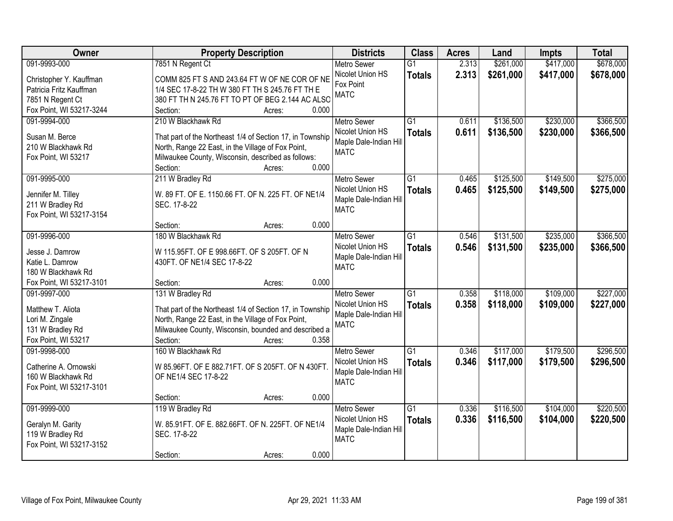| Owner                    | <b>Property Description</b>                               | <b>Districts</b>       | <b>Class</b>    | <b>Acres</b> | Land      | <b>Impts</b> | <b>Total</b> |
|--------------------------|-----------------------------------------------------------|------------------------|-----------------|--------------|-----------|--------------|--------------|
| 091-9993-000             | 7851 N Regent Ct                                          | <b>Metro Sewer</b>     | $\overline{G1}$ | 2.313        | \$261,000 | \$417,000    | \$678,000    |
| Christopher Y. Kauffman  | COMM 825 FT S AND 243.64 FT W OF NE COR OF NE             | Nicolet Union HS       | <b>Totals</b>   | 2.313        | \$261,000 | \$417,000    | \$678,000    |
| Patricia Fritz Kauffman  | 1/4 SEC 17-8-22 TH W 380 FT TH S 245.76 FT TH E           | Fox Point              |                 |              |           |              |              |
| 7851 N Regent Ct         | 380 FT TH N 245.76 FT TO PT OF BEG 2.144 AC ALSO          | <b>MATC</b>            |                 |              |           |              |              |
| Fox Point, WI 53217-3244 | 0.000<br>Section:<br>Acres:                               |                        |                 |              |           |              |              |
| 091-9994-000             | 210 W Blackhawk Rd                                        | <b>Metro Sewer</b>     | $\overline{G1}$ | 0.611        | \$136,500 | \$230,000    | \$366,500    |
|                          |                                                           | Nicolet Union HS       |                 | 0.611        | \$136,500 | \$230,000    | \$366,500    |
| Susan M. Berce           | That part of the Northeast 1/4 of Section 17, in Township | Maple Dale-Indian Hill | <b>Totals</b>   |              |           |              |              |
| 210 W Blackhawk Rd       | North, Range 22 East, in the Village of Fox Point,        | <b>MATC</b>            |                 |              |           |              |              |
| Fox Point, WI 53217      | Milwaukee County, Wisconsin, described as follows:        |                        |                 |              |           |              |              |
|                          | 0.000<br>Section:<br>Acres:                               |                        |                 |              |           |              |              |
| 091-9995-000             | 211 W Bradley Rd                                          | Metro Sewer            | G1              | 0.465        | \$125,500 | \$149,500    | \$275,000    |
|                          |                                                           | Nicolet Union HS       | <b>Totals</b>   | 0.465        | \$125,500 | \$149,500    | \$275,000    |
| Jennifer M. Tilley       | W. 89 FT. OF E. 1150.66 FT. OF N. 225 FT. OF NE1/4        | Maple Dale-Indian Hill |                 |              |           |              |              |
| 211 W Bradley Rd         | SEC. 17-8-22                                              | <b>MATC</b>            |                 |              |           |              |              |
| Fox Point, WI 53217-3154 | 0.000<br>Section:                                         |                        |                 |              |           |              |              |
|                          | Acres:                                                    |                        |                 |              |           |              |              |
| 091-9996-000             | 180 W Blackhawk Rd                                        | <b>Metro Sewer</b>     | $\overline{G1}$ | 0.546        | \$131,500 | \$235,000    | \$366,500    |
| Jesse J. Damrow          | W 115.95FT. OF E 998.66FT. OF S 205FT. OF N               | Nicolet Union HS       | <b>Totals</b>   | 0.546        | \$131,500 | \$235,000    | \$366,500    |
| Katie L. Damrow          | 430FT. OF NE1/4 SEC 17-8-22                               | Maple Dale-Indian Hill |                 |              |           |              |              |
| 180 W Blackhawk Rd       |                                                           | <b>MATC</b>            |                 |              |           |              |              |
| Fox Point, WI 53217-3101 | 0.000<br>Section:<br>Acres:                               |                        |                 |              |           |              |              |
| 091-9997-000             | 131 W Bradley Rd                                          | Metro Sewer            | $\overline{G1}$ | 0.358        | \$118,000 | \$109,000    | \$227,000    |
|                          |                                                           | Nicolet Union HS       | <b>Totals</b>   | 0.358        | \$118,000 | \$109,000    | \$227,000    |
| Matthew T. Aliota        | That part of the Northeast 1/4 of Section 17, in Township | Maple Dale-Indian Hill |                 |              |           |              |              |
| Lori M. Zingale          | North, Range 22 East, in the Village of Fox Point,        | <b>MATC</b>            |                 |              |           |              |              |
| 131 W Bradley Rd         | Milwaukee County, Wisconsin, bounded and described a      |                        |                 |              |           |              |              |
| Fox Point, WI 53217      | Section:<br>0.358<br>Acres:                               |                        |                 |              |           |              |              |
| 091-9998-000             | 160 W Blackhawk Rd                                        | <b>Metro Sewer</b>     | $\overline{G1}$ | 0.346        | \$117,000 | \$179,500    | \$296,500    |
| Catherine A. Ornowski    | W 85.96FT. OF E 882.71FT. OF S 205FT. OF N 430FT.         | Nicolet Union HS       | <b>Totals</b>   | 0.346        | \$117,000 | \$179,500    | \$296,500    |
| 160 W Blackhawk Rd       | OF NE1/4 SEC 17-8-22                                      | Maple Dale-Indian Hill |                 |              |           |              |              |
| Fox Point, WI 53217-3101 |                                                           | <b>MATC</b>            |                 |              |           |              |              |
|                          | 0.000<br>Section:<br>Acres:                               |                        |                 |              |           |              |              |
| 091-9999-000             | 119 W Bradley Rd                                          | <b>Metro Sewer</b>     | $\overline{G1}$ | 0.336        | \$116,500 | \$104,000    | \$220,500    |
|                          |                                                           | Nicolet Union HS       | <b>Totals</b>   | 0.336        | \$116,500 | \$104,000    | \$220,500    |
| Geralyn M. Garity        | W. 85.91FT. OF E. 882.66FT. OF N. 225FT. OF NE1/4         | Maple Dale-Indian Hill |                 |              |           |              |              |
| 119 W Bradley Rd         | SEC. 17-8-22                                              | <b>MATC</b>            |                 |              |           |              |              |
| Fox Point, WI 53217-3152 |                                                           |                        |                 |              |           |              |              |
|                          | 0.000<br>Section:<br>Acres:                               |                        |                 |              |           |              |              |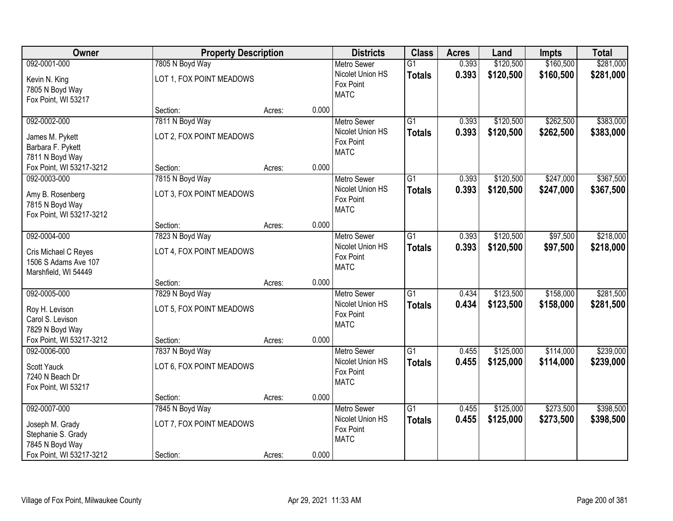| Owner                                                                                                |                                                         | <b>Property Description</b> |       |                                                                    | <b>Class</b>                     | <b>Acres</b>   | Land                   | <b>Impts</b>           | <b>Total</b>           |
|------------------------------------------------------------------------------------------------------|---------------------------------------------------------|-----------------------------|-------|--------------------------------------------------------------------|----------------------------------|----------------|------------------------|------------------------|------------------------|
| 092-0001-000                                                                                         | 7805 N Boyd Way                                         |                             |       | <b>Metro Sewer</b>                                                 | $\overline{G1}$                  | 0.393          | \$120,500              | \$160,500              | \$281,000              |
| Kevin N. King<br>7805 N Boyd Way<br>Fox Point, WI 53217                                              | LOT 1, FOX POINT MEADOWS                                |                             |       | Nicolet Union HS<br>Fox Point<br><b>MATC</b>                       | <b>Totals</b>                    | 0.393          | \$120,500              | \$160,500              | \$281,000              |
|                                                                                                      | Section:                                                | Acres:                      | 0.000 |                                                                    |                                  |                |                        |                        |                        |
| 092-0002-000<br>James M. Pykett<br>Barbara F. Pykett<br>7811 N Boyd Way                              | 7811 N Boyd Way<br>LOT 2, FOX POINT MEADOWS             |                             |       | <b>Metro Sewer</b><br>Nicolet Union HS<br>Fox Point<br><b>MATC</b> | $\overline{G1}$<br><b>Totals</b> | 0.393<br>0.393 | \$120,500<br>\$120,500 | \$262,500<br>\$262,500 | \$383,000<br>\$383,000 |
| Fox Point, WI 53217-3212                                                                             | Section:                                                | Acres:                      | 0.000 |                                                                    |                                  |                |                        |                        |                        |
| 092-0003-000<br>Amy B. Rosenberg<br>7815 N Boyd Way<br>Fox Point, WI 53217-3212                      | 7815 N Boyd Way<br>LOT 3, FOX POINT MEADOWS             |                             |       | Metro Sewer<br>Nicolet Union HS<br>Fox Point<br><b>MATC</b>        | G1<br><b>Totals</b>              | 0.393<br>0.393 | \$120,500<br>\$120,500 | \$247,000<br>\$247,000 | \$367,500<br>\$367,500 |
|                                                                                                      | Section:                                                | Acres:                      | 0.000 |                                                                    |                                  |                |                        |                        |                        |
| 092-0004-000<br>Cris Michael C Reyes<br>1506 S Adams Ave 107<br>Marshfield, WI 54449                 | 7823 N Boyd Way<br>LOT 4, FOX POINT MEADOWS             |                             |       | <b>Metro Sewer</b><br>Nicolet Union HS<br>Fox Point<br><b>MATC</b> | G1<br><b>Totals</b>              | 0.393<br>0.393 | \$120,500<br>\$120,500 | \$97,500<br>\$97,500   | \$218,000<br>\$218,000 |
|                                                                                                      | Section:                                                | Acres:                      | 0.000 |                                                                    |                                  |                |                        |                        |                        |
| 092-0005-000<br>Roy H. Levison<br>Carol S. Levison<br>7829 N Boyd Way<br>Fox Point, WI 53217-3212    | 7829 N Boyd Way<br>LOT 5, FOX POINT MEADOWS<br>Section: |                             | 0.000 | <b>Metro Sewer</b><br>Nicolet Union HS<br>Fox Point<br><b>MATC</b> | $\overline{G1}$<br><b>Totals</b> | 0.434<br>0.434 | \$123,500<br>\$123,500 | \$158,000<br>\$158,000 | \$281,500<br>\$281,500 |
| 092-0006-000                                                                                         | 7837 N Boyd Way                                         | Acres:                      |       | Metro Sewer                                                        | $\overline{G1}$                  | 0.455          | \$125,000              | \$114,000              | \$239,000              |
| <b>Scott Yauck</b><br>7240 N Beach Dr<br>Fox Point, WI 53217                                         | LOT 6, FOX POINT MEADOWS                                |                             |       | Nicolet Union HS<br>Fox Point<br><b>MATC</b>                       | <b>Totals</b>                    | 0.455          | \$125,000              | \$114,000              | \$239,000              |
|                                                                                                      | Section:                                                | Acres:                      | 0.000 |                                                                    |                                  |                |                        |                        |                        |
| 092-0007-000<br>Joseph M. Grady<br>Stephanie S. Grady<br>7845 N Boyd Way<br>Fox Point, WI 53217-3212 | 7845 N Boyd Way<br>LOT 7, FOX POINT MEADOWS<br>Section: | Acres:                      | 0.000 | <b>Metro Sewer</b><br>Nicolet Union HS<br>Fox Point<br><b>MATC</b> | $\overline{G1}$<br><b>Totals</b> | 0.455<br>0.455 | \$125,000<br>\$125,000 | \$273,500<br>\$273,500 | \$398,500<br>\$398,500 |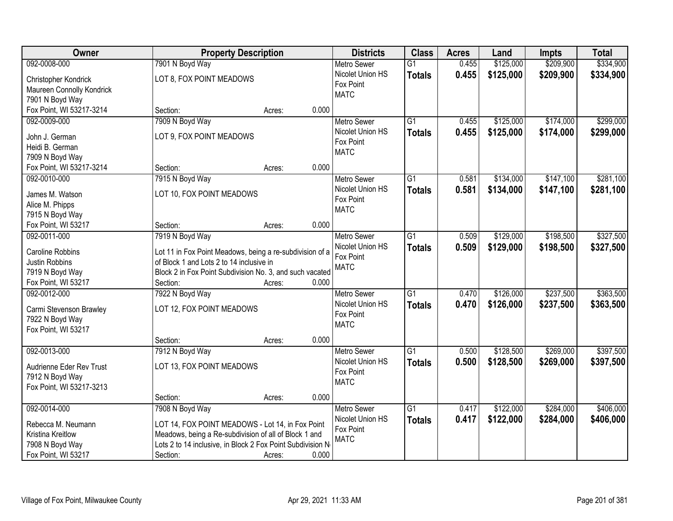| <b>Owner</b>              |                                                            | <b>Property Description</b> |       | <b>Districts</b>              | <b>Class</b>    | <b>Acres</b> | Land      | <b>Impts</b> | <b>Total</b> |
|---------------------------|------------------------------------------------------------|-----------------------------|-------|-------------------------------|-----------------|--------------|-----------|--------------|--------------|
| 092-0008-000              | 7901 N Boyd Way                                            |                             |       | <b>Metro Sewer</b>            | $\overline{G1}$ | 0.455        | \$125,000 | \$209,900    | \$334,900    |
| Christopher Kondrick      | LOT 8, FOX POINT MEADOWS                                   |                             |       | Nicolet Union HS              | <b>Totals</b>   | 0.455        | \$125,000 | \$209,900    | \$334,900    |
| Maureen Connolly Kondrick |                                                            |                             |       | Fox Point                     |                 |              |           |              |              |
| 7901 N Boyd Way           |                                                            |                             |       | <b>MATC</b>                   |                 |              |           |              |              |
| Fox Point, WI 53217-3214  | Section:                                                   | Acres:                      | 0.000 |                               |                 |              |           |              |              |
| 092-0009-000              | 7909 N Boyd Way                                            |                             |       | <b>Metro Sewer</b>            | $\overline{G1}$ | 0.455        | \$125,000 | \$174,000    | \$299,000    |
|                           |                                                            |                             |       | Nicolet Union HS              | <b>Totals</b>   | 0.455        | \$125,000 | \$174,000    | \$299,000    |
| John J. German            | LOT 9, FOX POINT MEADOWS                                   |                             |       | Fox Point                     |                 |              |           |              |              |
| Heidi B. German           |                                                            |                             |       | <b>MATC</b>                   |                 |              |           |              |              |
| 7909 N Boyd Way           | Section:                                                   |                             | 0.000 |                               |                 |              |           |              |              |
| Fox Point, WI 53217-3214  |                                                            | Acres:                      |       |                               | $\overline{G1}$ | 0.581        |           | \$147,100    | \$281,100    |
| 092-0010-000              | 7915 N Boyd Way                                            |                             |       | <b>Metro Sewer</b>            |                 |              | \$134,000 |              |              |
| James M. Watson           | LOT 10, FOX POINT MEADOWS                                  |                             |       | Nicolet Union HS<br>Fox Point | <b>Totals</b>   | 0.581        | \$134,000 | \$147,100    | \$281,100    |
| Alice M. Phipps           |                                                            |                             |       | <b>MATC</b>                   |                 |              |           |              |              |
| 7915 N Boyd Way           |                                                            |                             |       |                               |                 |              |           |              |              |
| Fox Point, WI 53217       | Section:                                                   | Acres:                      | 0.000 |                               |                 |              |           |              |              |
| 092-0011-000              | 7919 N Boyd Way                                            |                             |       | <b>Metro Sewer</b>            | $\overline{G1}$ | 0.509        | \$129,000 | \$198,500    | \$327,500    |
| Caroline Robbins          | Lot 11 in Fox Point Meadows, being a re-subdivision of a   |                             |       | Nicolet Union HS              | <b>Totals</b>   | 0.509        | \$129,000 | \$198,500    | \$327,500    |
| Justin Robbins            | of Block 1 and Lots 2 to 14 inclusive in                   |                             |       | Fox Point                     |                 |              |           |              |              |
| 7919 N Boyd Way           | Block 2 in Fox Point Subdivision No. 3, and such vacated   |                             |       | <b>MATC</b>                   |                 |              |           |              |              |
| Fox Point, WI 53217       | Section:                                                   | Acres:                      | 0.000 |                               |                 |              |           |              |              |
| 092-0012-000              | 7922 N Boyd Way                                            |                             |       | <b>Metro Sewer</b>            | $\overline{G1}$ | 0.470        | \$126,000 | \$237,500    | \$363,500    |
|                           |                                                            |                             |       | Nicolet Union HS              | <b>Totals</b>   | 0.470        | \$126,000 | \$237,500    | \$363,500    |
| Carmi Stevenson Brawley   | LOT 12, FOX POINT MEADOWS                                  |                             |       | Fox Point                     |                 |              |           |              |              |
| 7922 N Boyd Way           |                                                            |                             |       | <b>MATC</b>                   |                 |              |           |              |              |
| Fox Point, WI 53217       |                                                            |                             |       |                               |                 |              |           |              |              |
|                           | Section:                                                   | Acres:                      | 0.000 |                               |                 |              |           |              |              |
| 092-0013-000              | 7912 N Boyd Way                                            |                             |       | Metro Sewer                   | G1              | 0.500        | \$128,500 | \$269,000    | \$397,500    |
| Audrienne Eder Rev Trust  | LOT 13, FOX POINT MEADOWS                                  |                             |       | Nicolet Union HS              | <b>Totals</b>   | 0.500        | \$128,500 | \$269,000    | \$397,500    |
| 7912 N Boyd Way           |                                                            |                             |       | Fox Point                     |                 |              |           |              |              |
| Fox Point, WI 53217-3213  |                                                            |                             |       | <b>MATC</b>                   |                 |              |           |              |              |
|                           | Section:                                                   | Acres:                      | 0.000 |                               |                 |              |           |              |              |
| 092-0014-000              | 7908 N Boyd Way                                            |                             |       | <b>Metro Sewer</b>            | $\overline{G1}$ | 0.417        | \$122,000 | \$284,000    | \$406,000    |
|                           |                                                            |                             |       | Nicolet Union HS              | <b>Totals</b>   | 0.417        | \$122,000 | \$284,000    | \$406,000    |
| Rebecca M. Neumann        | LOT 14, FOX POINT MEADOWS - Lot 14, in Fox Point           |                             |       | Fox Point                     |                 |              |           |              |              |
| Kristina Kreitlow         | Meadows, being a Re-subdivision of all of Block 1 and      |                             |       | <b>MATC</b>                   |                 |              |           |              |              |
| 7908 N Boyd Way           | Lots 2 to 14 inclusive, in Block 2 Fox Point Subdivision N |                             |       |                               |                 |              |           |              |              |
| Fox Point, WI 53217       | Section:                                                   | Acres:                      | 0.000 |                               |                 |              |           |              |              |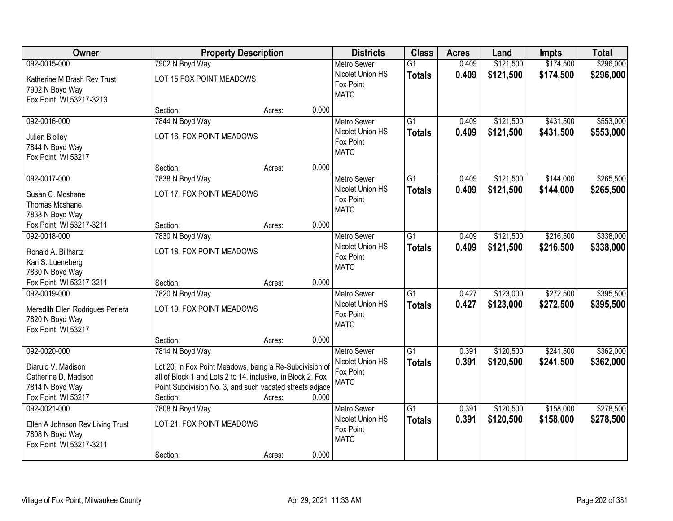| Owner                                                                                           | <b>Property Description</b>                                                                                                                                                                    |        |       | <b>Districts</b>                                                   | <b>Class</b>                     | <b>Acres</b>   | Land                   | <b>Impts</b>           | <b>Total</b>           |
|-------------------------------------------------------------------------------------------------|------------------------------------------------------------------------------------------------------------------------------------------------------------------------------------------------|--------|-------|--------------------------------------------------------------------|----------------------------------|----------------|------------------------|------------------------|------------------------|
| 092-0015-000                                                                                    | 7902 N Boyd Way                                                                                                                                                                                |        |       | <b>Metro Sewer</b>                                                 | $\overline{G1}$                  | 0.409          | \$121,500              | \$174,500              | \$296,000              |
| Katherine M Brash Rev Trust<br>7902 N Boyd Way<br>Fox Point, WI 53217-3213                      | LOT 15 FOX POINT MEADOWS                                                                                                                                                                       |        |       | Nicolet Union HS<br>Fox Point<br><b>MATC</b>                       | <b>Totals</b>                    | 0.409          | \$121,500              | \$174,500              | \$296,000              |
|                                                                                                 | Section:                                                                                                                                                                                       | Acres: | 0.000 |                                                                    |                                  |                |                        |                        |                        |
| 092-0016-000<br>Julien Biolley<br>7844 N Boyd Way<br>Fox Point, WI 53217                        | 7844 N Boyd Way<br>LOT 16, FOX POINT MEADOWS                                                                                                                                                   |        |       | <b>Metro Sewer</b><br>Nicolet Union HS<br>Fox Point<br><b>MATC</b> | $\overline{G1}$<br><b>Totals</b> | 0.409<br>0.409 | \$121,500<br>\$121,500 | \$431,500<br>\$431,500 | \$553,000<br>\$553,000 |
|                                                                                                 | Section:                                                                                                                                                                                       | Acres: | 0.000 |                                                                    |                                  |                |                        |                        |                        |
| 092-0017-000<br>Susan C. Mcshane<br>Thomas Mcshane<br>7838 N Boyd Way                           | 7838 N Boyd Way<br>LOT 17, FOX POINT MEADOWS                                                                                                                                                   |        |       | <b>Metro Sewer</b><br>Nicolet Union HS<br>Fox Point<br><b>MATC</b> | G1<br><b>Totals</b>              | 0.409<br>0.409 | \$121,500<br>\$121,500 | \$144,000<br>\$144,000 | \$265,500<br>\$265,500 |
| Fox Point, WI 53217-3211                                                                        | Section:                                                                                                                                                                                       | Acres: | 0.000 |                                                                    |                                  |                |                        |                        |                        |
| 092-0018-000<br>Ronald A. Billhartz<br>Kari S. Lueneberg<br>7830 N Boyd Way                     | 7830 N Boyd Way<br>LOT 18, FOX POINT MEADOWS                                                                                                                                                   |        |       | <b>Metro Sewer</b><br>Nicolet Union HS<br>Fox Point<br><b>MATC</b> | G1<br><b>Totals</b>              | 0.409<br>0.409 | \$121,500<br>\$121,500 | \$216,500<br>\$216,500 | \$338,000<br>\$338,000 |
| Fox Point, WI 53217-3211                                                                        | Section:                                                                                                                                                                                       | Acres: | 0.000 |                                                                    |                                  |                |                        |                        |                        |
| 092-0019-000<br>Meredith Ellen Rodrigues Periera<br>7820 N Boyd Way<br>Fox Point, WI 53217      | 7820 N Boyd Way<br>LOT 19, FOX POINT MEADOWS                                                                                                                                                   |        | 0.000 | Metro Sewer<br>Nicolet Union HS<br>Fox Point<br><b>MATC</b>        | $\overline{G1}$<br><b>Totals</b> | 0.427<br>0.427 | \$123,000<br>\$123,000 | \$272,500<br>\$272,500 | \$395,500<br>\$395,500 |
| 092-0020-000                                                                                    | Section:<br>7814 N Boyd Way                                                                                                                                                                    | Acres: |       | Metro Sewer                                                        | $\overline{G1}$                  | 0.391          | \$120,500              | \$241,500              | \$362,000              |
| Diarulo V. Madison<br>Catherine D. Madison<br>7814 N Boyd Way<br>Fox Point, WI 53217            | Lot 20, in Fox Point Meadows, being a Re-Subdivision of<br>all of Block 1 and Lots 2 to 14, inclusive, in Block 2, Fox<br>Point Subdivision No. 3, and such vacated streets adjace<br>Section: | Acres: | 0.000 | Nicolet Union HS<br>Fox Point<br><b>MATC</b>                       | <b>Totals</b>                    | 0.391          | \$120,500              | \$241,500              | \$362,000              |
| 092-0021-000<br>Ellen A Johnson Rev Living Trust<br>7808 N Boyd Way<br>Fox Point, WI 53217-3211 | 7808 N Boyd Way<br>LOT 21, FOX POINT MEADOWS<br>Section:                                                                                                                                       | Acres: | 0.000 | <b>Metro Sewer</b><br>Nicolet Union HS<br>Fox Point<br><b>MATC</b> | $\overline{G1}$<br><b>Totals</b> | 0.391<br>0.391 | \$120,500<br>\$120,500 | \$158,000<br>\$158,000 | \$278,500<br>\$278,500 |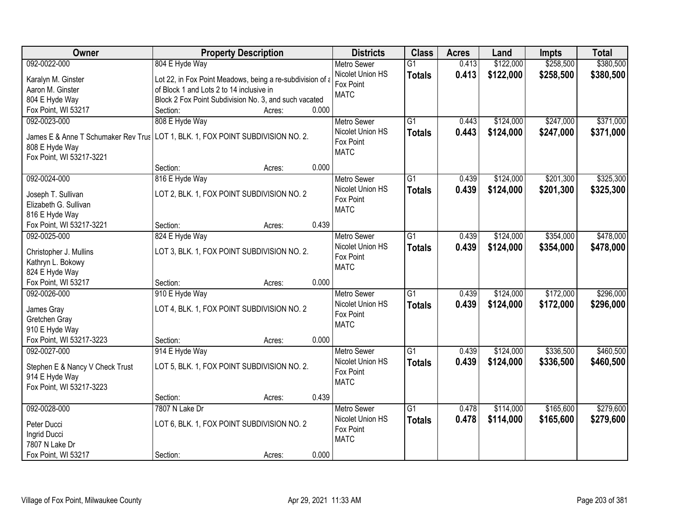| Owner                               | <b>Property Description</b>                                                     | <b>Districts</b>              | <b>Class</b>    | <b>Acres</b> | Land      | <b>Impts</b> | <b>Total</b> |
|-------------------------------------|---------------------------------------------------------------------------------|-------------------------------|-----------------|--------------|-----------|--------------|--------------|
| 092-0022-000                        | 804 E Hyde Way                                                                  | <b>Metro Sewer</b>            | $\overline{G1}$ | 0.413        | \$122,000 | \$258,500    | \$380,500    |
| Karalyn M. Ginster                  | Lot 22, in Fox Point Meadows, being a re-subdivision of a                       | Nicolet Union HS              | <b>Totals</b>   | 0.413        | \$122,000 | \$258,500    | \$380,500    |
| Aaron M. Ginster                    | of Block 1 and Lots 2 to 14 inclusive in                                        | Fox Point                     |                 |              |           |              |              |
| 804 E Hyde Way                      | Block 2 Fox Point Subdivision No. 3, and such vacated                           | <b>MATC</b>                   |                 |              |           |              |              |
| Fox Point, WI 53217                 | 0.000<br>Section:<br>Acres:                                                     |                               |                 |              |           |              |              |
| 092-0023-000                        | 808 E Hyde Way                                                                  | <b>Metro Sewer</b>            | $\overline{G1}$ | 0.443        | \$124,000 | \$247,000    | \$371,000    |
|                                     |                                                                                 | Nicolet Union HS              | <b>Totals</b>   | 0.443        | \$124,000 | \$247,000    | \$371,000    |
|                                     | James E & Anne T Schumaker Rev Trus LOT 1, BLK. 1, FOX POINT SUBDIVISION NO. 2. | Fox Point                     |                 |              |           |              |              |
| 808 E Hyde Way                      |                                                                                 | <b>MATC</b>                   |                 |              |           |              |              |
| Fox Point, WI 53217-3221            |                                                                                 |                               |                 |              |           |              |              |
|                                     | 0.000<br>Section:<br>Acres:                                                     |                               |                 |              |           |              |              |
| 092-0024-000                        | 816 E Hyde Way                                                                  | <b>Metro Sewer</b>            | $\overline{G1}$ | 0.439        | \$124,000 | \$201,300    | \$325,300    |
| Joseph T. Sullivan                  | LOT 2, BLK. 1, FOX POINT SUBDIVISION NO. 2                                      | Nicolet Union HS              | <b>Totals</b>   | 0.439        | \$124,000 | \$201,300    | \$325,300    |
| Elizabeth G. Sullivan               |                                                                                 | Fox Point                     |                 |              |           |              |              |
| 816 E Hyde Way                      |                                                                                 | <b>MATC</b>                   |                 |              |           |              |              |
| Fox Point, WI 53217-3221            | 0.439<br>Section:<br>Acres:                                                     |                               |                 |              |           |              |              |
| 092-0025-000                        | 824 E Hyde Way                                                                  | <b>Metro Sewer</b>            | $\overline{G1}$ | 0.439        | \$124,000 | \$354,000    | \$478,000    |
|                                     |                                                                                 | Nicolet Union HS              | <b>Totals</b>   | 0.439        | \$124,000 | \$354,000    | \$478,000    |
| Christopher J. Mullins              | LOT 3, BLK. 1, FOX POINT SUBDIVISION NO. 2.                                     | Fox Point                     |                 |              |           |              |              |
| Kathryn L. Bokowy                   |                                                                                 | <b>MATC</b>                   |                 |              |           |              |              |
| 824 E Hyde Way                      | 0.000                                                                           |                               |                 |              |           |              |              |
| Fox Point, WI 53217<br>092-0026-000 | Section:<br>Acres:                                                              |                               | $\overline{G1}$ | 0.439        | \$124,000 | \$172,000    | \$296,000    |
|                                     | 910 E Hyde Way                                                                  | <b>Metro Sewer</b>            |                 |              |           |              |              |
| James Gray                          | LOT 4, BLK. 1, FOX POINT SUBDIVISION NO. 2                                      | Nicolet Union HS<br>Fox Point | <b>Totals</b>   | 0.439        | \$124,000 | \$172,000    | \$296,000    |
| Gretchen Gray                       |                                                                                 | <b>MATC</b>                   |                 |              |           |              |              |
| 910 E Hyde Way                      |                                                                                 |                               |                 |              |           |              |              |
| Fox Point, WI 53217-3223            | 0.000<br>Section:<br>Acres:                                                     |                               |                 |              |           |              |              |
| 092-0027-000                        | 914 E Hyde Way                                                                  | <b>Metro Sewer</b>            | $\overline{G1}$ | 0.439        | \$124,000 | \$336,500    | \$460,500    |
| Stephen E & Nancy V Check Trust     | LOT 5, BLK. 1, FOX POINT SUBDIVISION NO. 2.                                     | Nicolet Union HS              | <b>Totals</b>   | 0.439        | \$124,000 | \$336,500    | \$460,500    |
| 914 E Hyde Way                      |                                                                                 | Fox Point                     |                 |              |           |              |              |
| Fox Point, WI 53217-3223            |                                                                                 | <b>MATC</b>                   |                 |              |           |              |              |
|                                     | 0.439<br>Section:<br>Acres:                                                     |                               |                 |              |           |              |              |
| 092-0028-000                        | 7807 N Lake Dr                                                                  | Metro Sewer                   | $\overline{G1}$ | 0.478        | \$114,000 | \$165,600    | \$279,600    |
|                                     |                                                                                 | Nicolet Union HS              | <b>Totals</b>   | 0.478        | \$114,000 | \$165,600    | \$279,600    |
| Peter Ducci                         | LOT 6, BLK. 1, FOX POINT SUBDIVISION NO. 2                                      | Fox Point                     |                 |              |           |              |              |
| Ingrid Ducci                        |                                                                                 | <b>MATC</b>                   |                 |              |           |              |              |
| 7807 N Lake Dr                      |                                                                                 |                               |                 |              |           |              |              |
| Fox Point, WI 53217                 | 0.000<br>Section:<br>Acres:                                                     |                               |                 |              |           |              |              |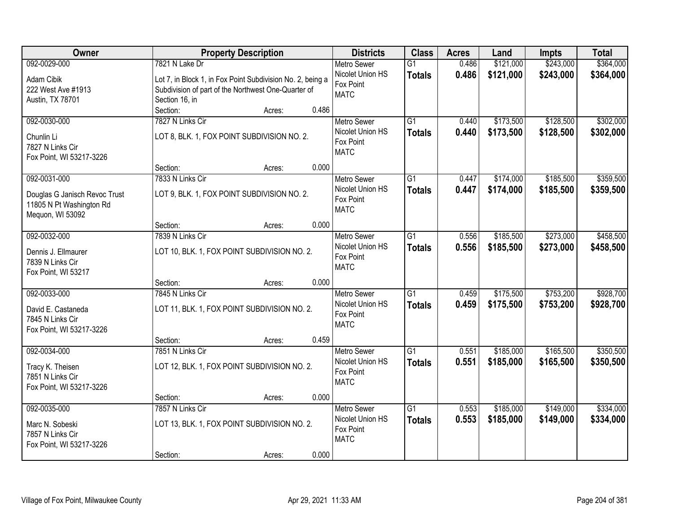| Owner                         |                  | <b>Property Description</b>                                |       | <b>Districts</b>              | <b>Class</b>    | <b>Acres</b> | Land      | <b>Impts</b> | <b>Total</b> |
|-------------------------------|------------------|------------------------------------------------------------|-------|-------------------------------|-----------------|--------------|-----------|--------------|--------------|
| 092-0029-000                  | 7821 N Lake Dr   |                                                            |       | <b>Metro Sewer</b>            | $\overline{G1}$ | 0.486        | \$121,000 | \$243,000    | \$364,000    |
| Adam Cibik                    |                  | Lot 7, in Block 1, in Fox Point Subdivision No. 2, being a |       | Nicolet Union HS              | <b>Totals</b>   | 0.486        | \$121,000 | \$243,000    | \$364,000    |
| 222 West Ave #1913            |                  | Subdivision of part of the Northwest One-Quarter of        |       | Fox Point                     |                 |              |           |              |              |
| Austin, TX 78701              | Section 16, in   |                                                            |       | <b>MATC</b>                   |                 |              |           |              |              |
|                               | Section:         | Acres:                                                     | 0.486 |                               |                 |              |           |              |              |
| 092-0030-000                  | 7827 N Links Cir |                                                            |       | <b>Metro Sewer</b>            | $\overline{G1}$ | 0.440        | \$173,500 | \$128,500    | \$302,000    |
| Chunlin Li                    |                  | LOT 8, BLK. 1, FOX POINT SUBDIVISION NO. 2.                |       | Nicolet Union HS              | <b>Totals</b>   | 0.440        | \$173,500 | \$128,500    | \$302,000    |
| 7827 N Links Cir              |                  |                                                            |       | Fox Point<br><b>MATC</b>      |                 |              |           |              |              |
| Fox Point, WI 53217-3226      |                  |                                                            |       |                               |                 |              |           |              |              |
|                               | Section:         | Acres:                                                     | 0.000 |                               |                 |              |           |              |              |
| 092-0031-000                  | 7833 N Links Cir |                                                            |       | Metro Sewer                   | G1              | 0.447        | \$174,000 | \$185,500    | \$359,500    |
| Douglas G Janisch Revoc Trust |                  | LOT 9, BLK. 1, FOX POINT SUBDIVISION NO. 2.                |       | Nicolet Union HS              | <b>Totals</b>   | 0.447        | \$174,000 | \$185,500    | \$359,500    |
| 11805 N Pt Washington Rd      |                  |                                                            |       | Fox Point                     |                 |              |           |              |              |
| Mequon, WI 53092              |                  |                                                            |       | <b>MATC</b>                   |                 |              |           |              |              |
|                               | Section:         | Acres:                                                     | 0.000 |                               |                 |              |           |              |              |
| 092-0032-000                  | 7839 N Links Cir |                                                            |       | <b>Metro Sewer</b>            | $\overline{G1}$ | 0.556        | \$185,500 | \$273,000    | \$458,500    |
| Dennis J. Ellmaurer           |                  | LOT 10, BLK. 1, FOX POINT SUBDIVISION NO. 2.               |       | Nicolet Union HS              | <b>Totals</b>   | 0.556        | \$185,500 | \$273,000    | \$458,500    |
| 7839 N Links Cir              |                  |                                                            |       | Fox Point<br><b>MATC</b>      |                 |              |           |              |              |
| Fox Point, WI 53217           |                  |                                                            |       |                               |                 |              |           |              |              |
|                               | Section:         | Acres:                                                     | 0.000 |                               |                 |              |           |              |              |
| 092-0033-000                  | 7845 N Links Cir |                                                            |       | Metro Sewer                   | $\overline{G1}$ | 0.459        | \$175,500 | \$753,200    | \$928,700    |
| David E. Castaneda            |                  | LOT 11, BLK. 1, FOX POINT SUBDIVISION NO. 2.               |       | Nicolet Union HS              | <b>Totals</b>   | 0.459        | \$175,500 | \$753,200    | \$928,700    |
| 7845 N Links Cir              |                  |                                                            |       | Fox Point<br><b>MATC</b>      |                 |              |           |              |              |
| Fox Point, WI 53217-3226      |                  |                                                            |       |                               |                 |              |           |              |              |
|                               | Section:         | Acres:                                                     | 0.459 |                               |                 |              |           |              |              |
| 092-0034-000                  | 7851 N Links Cir |                                                            |       | <b>Metro Sewer</b>            | $\overline{G1}$ | 0.551        | \$185,000 | \$165,500    | \$350,500    |
| Tracy K. Theisen              |                  | LOT 12, BLK. 1, FOX POINT SUBDIVISION NO. 2.               |       | Nicolet Union HS<br>Fox Point | <b>Totals</b>   | 0.551        | \$185,000 | \$165,500    | \$350,500    |
| 7851 N Links Cir              |                  |                                                            |       | <b>MATC</b>                   |                 |              |           |              |              |
| Fox Point, WI 53217-3226      |                  |                                                            |       |                               |                 |              |           |              |              |
|                               | Section:         | Acres:                                                     | 0.000 |                               |                 |              |           |              |              |
| 092-0035-000                  | 7857 N Links Cir |                                                            |       | <b>Metro Sewer</b>            | $\overline{G1}$ | 0.553        | \$185,000 | \$149,000    | \$334,000    |
| Marc N. Sobeski               |                  | LOT 13, BLK. 1, FOX POINT SUBDIVISION NO. 2.               |       | Nicolet Union HS<br>Fox Point | <b>Totals</b>   | 0.553        | \$185,000 | \$149,000    | \$334,000    |
| 7857 N Links Cir              |                  |                                                            |       | <b>MATC</b>                   |                 |              |           |              |              |
| Fox Point, WI 53217-3226      |                  |                                                            |       |                               |                 |              |           |              |              |
|                               | Section:         | Acres:                                                     | 0.000 |                               |                 |              |           |              |              |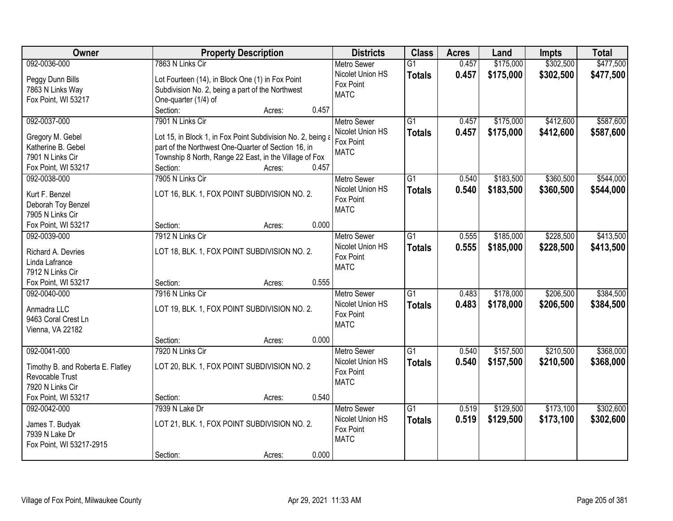| <b>Owner</b>                       | <b>Property Description</b>                                 | <b>Districts</b>   | <b>Class</b>    | <b>Acres</b> | Land      | <b>Impts</b> | <b>Total</b> |
|------------------------------------|-------------------------------------------------------------|--------------------|-----------------|--------------|-----------|--------------|--------------|
| 092-0036-000                       | 7863 N Links Cir                                            | <b>Metro Sewer</b> | $\overline{G1}$ | 0.457        | \$175,000 | \$302,500    | \$477,500    |
| Peggy Dunn Bills                   | Lot Fourteen (14), in Block One (1) in Fox Point            | Nicolet Union HS   | <b>Totals</b>   | 0.457        | \$175,000 | \$302,500    | \$477,500    |
| 7863 N Links Way                   | Subdivision No. 2, being a part of the Northwest            | Fox Point          |                 |              |           |              |              |
| Fox Point, WI 53217                | One-quarter (1/4) of                                        | <b>MATC</b>        |                 |              |           |              |              |
|                                    | Section:<br>0.457<br>Acres:                                 |                    |                 |              |           |              |              |
| 092-0037-000                       | 7901 N Links Cir                                            | <b>Metro Sewer</b> | $\overline{G1}$ | 0.457        | \$175,000 | \$412,600    | \$587,600    |
|                                    |                                                             | Nicolet Union HS   | <b>Totals</b>   | 0.457        | \$175,000 | \$412,600    | \$587,600    |
| Gregory M. Gebel                   | Lot 15, in Block 1, in Fox Point Subdivision No. 2, being a | Fox Point          |                 |              |           |              |              |
| Katherine B. Gebel                 | part of the Northwest One-Quarter of Section 16, in         | <b>MATC</b>        |                 |              |           |              |              |
| 7901 N Links Cir                   | Township 8 North, Range 22 East, in the Village of Fox      |                    |                 |              |           |              |              |
| Fox Point, WI 53217                | 0.457<br>Section:<br>Acres:                                 |                    |                 |              |           |              |              |
| 092-0038-000                       | 7905 N Links Cir                                            | Metro Sewer        | G1              | 0.540        | \$183,500 | \$360,500    | \$544,000    |
| Kurt F. Benzel                     | LOT 16, BLK. 1, FOX POINT SUBDIVISION NO. 2.                | Nicolet Union HS   | <b>Totals</b>   | 0.540        | \$183,500 | \$360,500    | \$544,000    |
| Deborah Toy Benzel                 |                                                             | Fox Point          |                 |              |           |              |              |
| 7905 N Links Cir                   |                                                             | <b>MATC</b>        |                 |              |           |              |              |
| Fox Point, WI 53217                | 0.000<br>Section:<br>Acres:                                 |                    |                 |              |           |              |              |
| 092-0039-000                       | 7912 N Links Cir                                            | <b>Metro Sewer</b> | $\overline{G1}$ | 0.555        | \$185,000 | \$228,500    | \$413,500    |
|                                    |                                                             | Nicolet Union HS   | <b>Totals</b>   | 0.555        | \$185,000 | \$228,500    | \$413,500    |
| Richard A. Devries                 | LOT 18, BLK. 1, FOX POINT SUBDIVISION NO. 2.                | Fox Point          |                 |              |           |              |              |
| Linda Lafrance                     |                                                             | <b>MATC</b>        |                 |              |           |              |              |
| 7912 N Links Cir                   |                                                             |                    |                 |              |           |              |              |
| Fox Point, WI 53217                | 0.555<br>Section:<br>Acres:                                 |                    |                 |              |           |              |              |
| 092-0040-000                       | 7916 N Links Cir                                            | <b>Metro Sewer</b> | $\overline{G1}$ | 0.483        | \$178,000 | \$206,500    | \$384,500    |
|                                    | LOT 19, BLK. 1, FOX POINT SUBDIVISION NO. 2.                | Nicolet Union HS   | <b>Totals</b>   | 0.483        | \$178,000 | \$206,500    | \$384,500    |
| Anmadra LLC<br>9463 Coral Crest Ln |                                                             | Fox Point          |                 |              |           |              |              |
|                                    |                                                             | <b>MATC</b>        |                 |              |           |              |              |
| Vienna, VA 22182                   | 0.000<br>Section:                                           |                    |                 |              |           |              |              |
|                                    | Acres:                                                      |                    |                 |              |           |              |              |
| 092-0041-000                       | 7920 N Links Cir                                            | <b>Metro Sewer</b> | G1              | 0.540        | \$157,500 | \$210,500    | \$368,000    |
| Timothy B. and Roberta E. Flatley  | LOT 20, BLK. 1, FOX POINT SUBDIVISION NO. 2                 | Nicolet Union HS   | <b>Totals</b>   | 0.540        | \$157,500 | \$210,500    | \$368,000    |
| Revocable Trust                    |                                                             | Fox Point          |                 |              |           |              |              |
| 7920 N Links Cir                   |                                                             | <b>MATC</b>        |                 |              |           |              |              |
| Fox Point, WI 53217                | 0.540<br>Section:<br>Acres:                                 |                    |                 |              |           |              |              |
| 092-0042-000                       | 7939 N Lake Dr                                              | <b>Metro Sewer</b> | G1              | 0.519        | \$129,500 | \$173,100    | \$302,600    |
|                                    |                                                             | Nicolet Union HS   | <b>Totals</b>   | 0.519        | \$129,500 | \$173,100    | \$302,600    |
| James T. Budyak                    | LOT 21, BLK. 1, FOX POINT SUBDIVISION NO. 2.                | Fox Point          |                 |              |           |              |              |
| 7939 N Lake Dr                     |                                                             | <b>MATC</b>        |                 |              |           |              |              |
| Fox Point, WI 53217-2915           |                                                             |                    |                 |              |           |              |              |
|                                    | 0.000<br>Section:<br>Acres:                                 |                    |                 |              |           |              |              |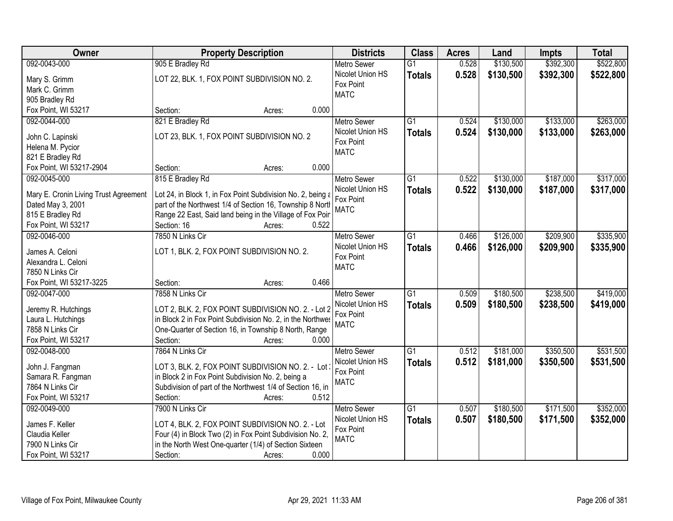| Owner                                  | <b>Property Description</b>                                 | <b>Districts</b>         | <b>Class</b>    | <b>Acres</b> | Land      | <b>Impts</b> | <b>Total</b> |
|----------------------------------------|-------------------------------------------------------------|--------------------------|-----------------|--------------|-----------|--------------|--------------|
| 092-0043-000                           | 905 E Bradley Rd                                            | <b>Metro Sewer</b>       | $\overline{G1}$ | 0.528        | \$130,500 | \$392,300    | \$522,800    |
| Mary S. Grimm                          | LOT 22, BLK. 1, FOX POINT SUBDIVISION NO. 2.                | Nicolet Union HS         | <b>Totals</b>   | 0.528        | \$130,500 | \$392,300    | \$522,800    |
| Mark C. Grimm                          |                                                             | Fox Point                |                 |              |           |              |              |
| 905 Bradley Rd                         |                                                             | <b>MATC</b>              |                 |              |           |              |              |
| Fox Point, WI 53217                    | 0.000<br>Section:<br>Acres:                                 |                          |                 |              |           |              |              |
| 092-0044-000                           | 821 E Bradley Rd                                            | <b>Metro Sewer</b>       | $\overline{G1}$ | 0.524        | \$130,000 | \$133,000    | \$263,000    |
|                                        |                                                             | Nicolet Union HS         | <b>Totals</b>   | 0.524        | \$130,000 | \$133,000    | \$263,000    |
| John C. Lapinski                       | LOT 23, BLK. 1, FOX POINT SUBDIVISION NO. 2                 | Fox Point                |                 |              |           |              |              |
| Helena M. Pycior                       |                                                             | <b>MATC</b>              |                 |              |           |              |              |
| 821 E Bradley Rd                       | 0.000                                                       |                          |                 |              |           |              |              |
| Fox Point, WI 53217-2904               | Section:<br>Acres:                                          |                          |                 |              |           |              |              |
| 092-0045-000                           | 815 E Bradley Rd                                            | <b>Metro Sewer</b>       | $\overline{G1}$ | 0.522        | \$130,000 | \$187,000    | \$317,000    |
| Mary E. Cronin Living Trust Agreement  | Lot 24, in Block 1, in Fox Point Subdivision No. 2, being a | Nicolet Union HS         | <b>Totals</b>   | 0.522        | \$130,000 | \$187,000    | \$317,000    |
| Dated May 3, 2001                      | part of the Northwest 1/4 of Section 16, Township 8 North   | Fox Point<br><b>MATC</b> |                 |              |           |              |              |
| 815 E Bradley Rd                       | Range 22 East, Said land being in the Village of Fox Poir   |                          |                 |              |           |              |              |
| Fox Point, WI 53217                    | Section: 16<br>0.522<br>Acres:                              |                          |                 |              |           |              |              |
| 092-0046-000                           | 7850 N Links Cir                                            | <b>Metro Sewer</b>       | G1              | 0.466        | \$126,000 | \$209,900    | \$335,900    |
|                                        |                                                             | Nicolet Union HS         | <b>Totals</b>   | 0.466        | \$126,000 | \$209,900    | \$335,900    |
| James A. Celoni<br>Alexandra L. Celoni | LOT 1, BLK. 2, FOX POINT SUBDIVISION NO. 2.                 | Fox Point                |                 |              |           |              |              |
| 7850 N Links Cir                       |                                                             | <b>MATC</b>              |                 |              |           |              |              |
| Fox Point, WI 53217-3225               | 0.466<br>Section:<br>Acres:                                 |                          |                 |              |           |              |              |
| 092-0047-000                           | 7858 N Links Cir                                            | <b>Metro Sewer</b>       | $\overline{G1}$ | 0.509        | \$180,500 | \$238,500    | \$419,000    |
|                                        |                                                             | Nicolet Union HS         | <b>Totals</b>   | 0.509        | \$180,500 | \$238,500    | \$419,000    |
| Jeremy R. Hutchings                    | LOT 2, BLK. 2, FOX POINT SUBDIVISION NO. 2. - Lot 2         | Fox Point                |                 |              |           |              |              |
| Laura L. Hutchings                     | in Block 2 in Fox Point Subdivision No. 2, in the Northwes  | <b>MATC</b>              |                 |              |           |              |              |
| 7858 N Links Cir                       | One-Quarter of Section 16, in Township 8 North, Range       |                          |                 |              |           |              |              |
| Fox Point, WI 53217                    | Section:<br>0.000<br>Acres:                                 |                          |                 |              |           |              |              |
| 092-0048-000                           | 7864 N Links Cir                                            | <b>Metro Sewer</b>       | $\overline{G1}$ | 0.512        | \$181,000 | \$350,500    | \$531,500    |
| John J. Fangman                        | LOT 3, BLK. 2, FOX POINT SUBDIVISION NO. 2. - Lot 3         | Nicolet Union HS         | <b>Totals</b>   | 0.512        | \$181,000 | \$350,500    | \$531,500    |
| Samara R. Fangman                      | in Block 2 in Fox Point Subdivision No. 2, being a          | Fox Point                |                 |              |           |              |              |
| 7864 N Links Cir                       | Subdivision of part of the Northwest 1/4 of Section 16, in  | <b>MATC</b>              |                 |              |           |              |              |
| Fox Point, WI 53217                    | 0.512<br>Section:<br>Acres:                                 |                          |                 |              |           |              |              |
| 092-0049-000                           | 7900 N Links Cir                                            | <b>Metro Sewer</b>       | $\overline{G1}$ | 0.507        | \$180,500 | \$171,500    | \$352,000    |
|                                        |                                                             | Nicolet Union HS         | <b>Totals</b>   | 0.507        | \$180,500 | \$171,500    | \$352,000    |
| James F. Keller                        | LOT 4, BLK. 2, FOX POINT SUBDIVISION NO. 2. - Lot           | Fox Point                |                 |              |           |              |              |
| Claudia Keller                         | Four (4) in Block Two (2) in Fox Point Subdivision No. 2,   | <b>MATC</b>              |                 |              |           |              |              |
| 7900 N Links Cir                       | in the North West One-quarter (1/4) of Section Sixteen      |                          |                 |              |           |              |              |
| Fox Point, WI 53217                    | 0.000<br>Section:<br>Acres:                                 |                          |                 |              |           |              |              |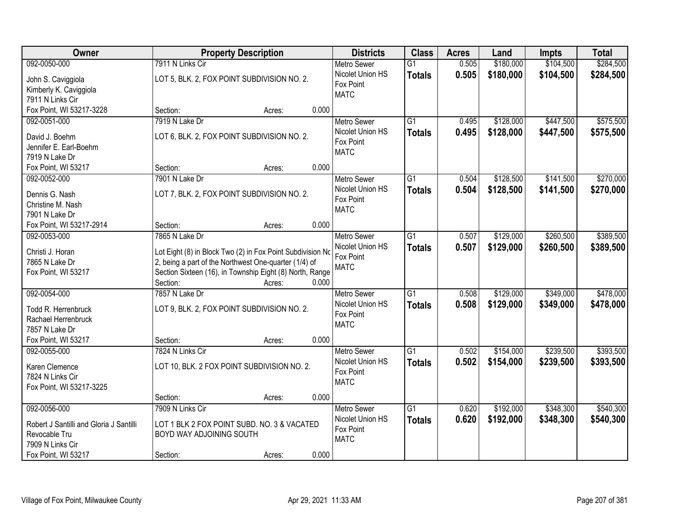| Owner                                   |                          | <b>Property Description</b>                                |       | <b>Districts</b>   | <b>Class</b>    | <b>Acres</b> | Land      | <b>Impts</b> | <b>Total</b> |
|-----------------------------------------|--------------------------|------------------------------------------------------------|-------|--------------------|-----------------|--------------|-----------|--------------|--------------|
| 092-0050-000                            | 7911 N Links Cir         |                                                            |       | <b>Metro Sewer</b> | $\overline{G1}$ | 0.505        | \$180,000 | \$104,500    | \$284,500    |
| John S. Caviggiola                      |                          | LOT 5, BLK. 2, FOX POINT SUBDIVISION NO. 2.                |       | Nicolet Union HS   | <b>Totals</b>   | 0.505        | \$180,000 | \$104,500    | \$284,500    |
| Kimberly K. Caviggiola                  |                          |                                                            |       | Fox Point          |                 |              |           |              |              |
| 7911 N Links Cir                        |                          |                                                            |       | <b>MATC</b>        |                 |              |           |              |              |
| Fox Point, WI 53217-3228                | Section:                 | Acres:                                                     | 0.000 |                    |                 |              |           |              |              |
| 092-0051-000                            | 7919 N Lake Dr           |                                                            |       | <b>Metro Sewer</b> | $\overline{G1}$ | 0.495        | \$128,000 | \$447,500    | \$575,500    |
|                                         |                          |                                                            |       | Nicolet Union HS   | <b>Totals</b>   | 0.495        | \$128,000 | \$447,500    | \$575,500    |
| David J. Boehm                          |                          | LOT 6, BLK. 2, FOX POINT SUBDIVISION NO. 2.                |       | Fox Point          |                 |              |           |              |              |
| Jennifer E. Earl-Boehm                  |                          |                                                            |       | <b>MATC</b>        |                 |              |           |              |              |
| 7919 N Lake Dr<br>Fox Point, WI 53217   | Section:                 | Acres:                                                     | 0.000 |                    |                 |              |           |              |              |
| 092-0052-000                            | 7901 N Lake Dr           |                                                            |       | Metro Sewer        | G1              | 0.504        | \$128,500 | \$141,500    | \$270,000    |
|                                         |                          |                                                            |       | Nicolet Union HS   |                 |              |           |              |              |
| Dennis G. Nash                          |                          | LOT 7, BLK. 2, FOX POINT SUBDIVISION NO. 2.                |       | Fox Point          | <b>Totals</b>   | 0.504        | \$128,500 | \$141,500    | \$270,000    |
| Christine M. Nash                       |                          |                                                            |       | <b>MATC</b>        |                 |              |           |              |              |
| 7901 N Lake Dr                          |                          |                                                            |       |                    |                 |              |           |              |              |
| Fox Point, WI 53217-2914                | Section:                 | Acres:                                                     | 0.000 |                    |                 |              |           |              |              |
| 092-0053-000                            | 7865 N Lake Dr           |                                                            |       | <b>Metro Sewer</b> | $\overline{G1}$ | 0.507        | \$129,000 | \$260,500    | \$389,500    |
| Christi J. Horan                        |                          | Lot Eight (8) in Block Two (2) in Fox Point Subdivision No |       | Nicolet Union HS   | <b>Totals</b>   | 0.507        | \$129,000 | \$260,500    | \$389,500    |
| 7865 N Lake Dr                          |                          | 2, being a part of the Northwest One-quarter (1/4) of      |       | Fox Point          |                 |              |           |              |              |
| Fox Point, WI 53217                     |                          | Section Sixteen (16), in Township Eight (8) North, Range   |       | <b>MATC</b>        |                 |              |           |              |              |
|                                         | Section:                 | Acres:                                                     | 0.000 |                    |                 |              |           |              |              |
| 092-0054-000                            | 7857 N Lake Dr           |                                                            |       | Metro Sewer        | $\overline{G1}$ | 0.508        | \$129,000 | \$349,000    | \$478,000    |
|                                         |                          |                                                            |       | Nicolet Union HS   | <b>Totals</b>   | 0.508        | \$129,000 | \$349,000    | \$478,000    |
| Todd R. Herrenbruck                     |                          | LOT 9, BLK. 2, FOX POINT SUBDIVISION NO. 2.                |       | Fox Point          |                 |              |           |              |              |
| Rachael Herrenbruck                     |                          |                                                            |       | <b>MATC</b>        |                 |              |           |              |              |
| 7857 N Lake Dr                          |                          |                                                            |       |                    |                 |              |           |              |              |
| Fox Point, WI 53217                     | Section:                 | Acres:                                                     | 0.000 |                    |                 |              |           |              |              |
| 092-0055-000                            | 7824 N Links Cir         |                                                            |       | Metro Sewer        | $\overline{G1}$ | 0.502        | \$154,000 | \$239,500    | \$393,500    |
| Karen Clemence                          |                          | LOT 10, BLK. 2 FOX POINT SUBDIVISION NO. 2.                |       | Nicolet Union HS   | <b>Totals</b>   | 0.502        | \$154,000 | \$239,500    | \$393,500    |
| 7824 N Links Cir                        |                          |                                                            |       | Fox Point          |                 |              |           |              |              |
| Fox Point, WI 53217-3225                |                          |                                                            |       | <b>MATC</b>        |                 |              |           |              |              |
|                                         | Section:                 | Acres:                                                     | 0.000 |                    |                 |              |           |              |              |
| 092-0056-000                            | 7909 N Links Cir         |                                                            |       | <b>Metro Sewer</b> | $\overline{G1}$ | 0.620        | \$192,000 | \$348,300    | \$540,300    |
|                                         |                          |                                                            |       | Nicolet Union HS   | <b>Totals</b>   | 0.620        | \$192,000 | \$348,300    | \$540,300    |
| Robert J Santilli and Gloria J Santilli |                          | LOT 1 BLK 2 FOX POINT SUBD. NO. 3 & VACATED                |       | Fox Point          |                 |              |           |              |              |
| Revocable Tru                           | BOYD WAY ADJOINING SOUTH |                                                            |       | <b>MATC</b>        |                 |              |           |              |              |
| 7909 N Links Cir                        |                          |                                                            |       |                    |                 |              |           |              |              |
| Fox Point, WI 53217                     | Section:                 | Acres:                                                     | 0.000 |                    |                 |              |           |              |              |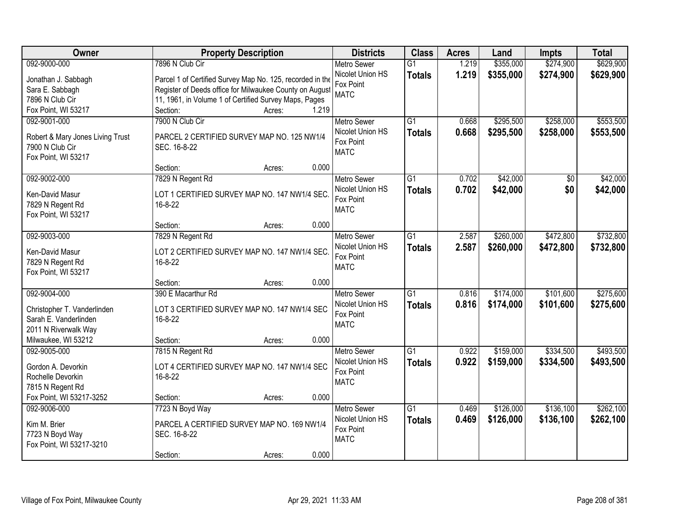| <b>Owner</b>                                | <b>Property Description</b>                               |       | <b>Districts</b>   | <b>Class</b>    | <b>Acres</b> | Land      | <b>Impts</b>    | <b>Total</b> |
|---------------------------------------------|-----------------------------------------------------------|-------|--------------------|-----------------|--------------|-----------|-----------------|--------------|
| 092-9000-000                                | 7896 N Club Cir                                           |       | <b>Metro Sewer</b> | $\overline{G1}$ | 1.219        | \$355,000 | \$274,900       | \$629,900    |
| Jonathan J. Sabbagh                         | Parcel 1 of Certified Survey Map No. 125, recorded in the |       | Nicolet Union HS   | <b>Totals</b>   | 1.219        | \$355,000 | \$274,900       | \$629,900    |
| Sara E. Sabbagh                             | Register of Deeds office for Milwaukee County on August   |       | Fox Point          |                 |              |           |                 |              |
| 7896 N Club Cir                             | 11, 1961, in Volume 1 of Certified Survey Maps, Pages     |       | <b>MATC</b>        |                 |              |           |                 |              |
| Fox Point, WI 53217                         | Section:<br>Acres:                                        | 1.219 |                    |                 |              |           |                 |              |
| 092-9001-000                                | 7900 N Club Cir                                           |       | <b>Metro Sewer</b> | $\overline{G1}$ | 0.668        | \$295,500 | \$258,000       | \$553,500    |
|                                             |                                                           |       | Nicolet Union HS   | <b>Totals</b>   | 0.668        | \$295,500 | \$258,000       | \$553,500    |
| Robert & Mary Jones Living Trust            | PARCEL 2 CERTIFIED SURVEY MAP NO. 125 NW1/4               |       | Fox Point          |                 |              |           |                 |              |
| 7900 N Club Cir                             | SEC. 16-8-22                                              |       | <b>MATC</b>        |                 |              |           |                 |              |
| Fox Point, WI 53217                         | Section:                                                  | 0.000 |                    |                 |              |           |                 |              |
| 092-9002-000                                | Acres:                                                    |       | Metro Sewer        | $\overline{G1}$ | 0.702        | \$42,000  | $\overline{50}$ | \$42,000     |
|                                             | 7829 N Regent Rd                                          |       | Nicolet Union HS   |                 |              |           |                 |              |
| Ken-David Masur                             | LOT 1 CERTIFIED SURVEY MAP NO. 147 NW1/4 SEC.             |       | Fox Point          | <b>Totals</b>   | 0.702        | \$42,000  | \$0             | \$42,000     |
| 7829 N Regent Rd                            | 16-8-22                                                   |       | <b>MATC</b>        |                 |              |           |                 |              |
| Fox Point, WI 53217                         |                                                           |       |                    |                 |              |           |                 |              |
|                                             | Section:<br>Acres:                                        | 0.000 |                    |                 |              |           |                 |              |
| 092-9003-000                                | 7829 N Regent Rd                                          |       | <b>Metro Sewer</b> | G1              | 2.587        | \$260,000 | \$472,800       | \$732,800    |
| Ken-David Masur                             | LOT 2 CERTIFIED SURVEY MAP NO. 147 NW1/4 SEC.             |       | Nicolet Union HS   | <b>Totals</b>   | 2.587        | \$260,000 | \$472,800       | \$732,800    |
| 7829 N Regent Rd                            | 16-8-22                                                   |       | Fox Point          |                 |              |           |                 |              |
| Fox Point, WI 53217                         |                                                           |       | <b>MATC</b>        |                 |              |           |                 |              |
|                                             | Section:<br>Acres:                                        | 0.000 |                    |                 |              |           |                 |              |
| 092-9004-000                                | 390 E Macarthur Rd                                        |       | <b>Metro Sewer</b> | $\overline{G1}$ | 0.816        | \$174,000 | \$101,600       | \$275,600    |
|                                             |                                                           |       | Nicolet Union HS   | <b>Totals</b>   | 0.816        | \$174,000 | \$101,600       | \$275,600    |
| Christopher T. Vanderlinden                 | LOT 3 CERTIFIED SURVEY MAP NO. 147 NW1/4 SEC              |       | Fox Point          |                 |              |           |                 |              |
| Sarah E. Vanderlinden                       | 16-8-22                                                   |       | <b>MATC</b>        |                 |              |           |                 |              |
| 2011 N Riverwalk Way<br>Milwaukee, WI 53212 | Section:                                                  | 0.000 |                    |                 |              |           |                 |              |
| 092-9005-000                                | Acres:                                                    |       | <b>Metro Sewer</b> | G1              | 0.922        | \$159,000 | \$334,500       | \$493,500    |
|                                             | 7815 N Regent Rd                                          |       | Nicolet Union HS   |                 | 0.922        |           |                 |              |
| Gordon A. Devorkin                          | LOT 4 CERTIFIED SURVEY MAP NO. 147 NW1/4 SEC              |       | Fox Point          | <b>Totals</b>   |              | \$159,000 | \$334,500       | \$493,500    |
| Rochelle Devorkin                           | 16-8-22                                                   |       | <b>MATC</b>        |                 |              |           |                 |              |
| 7815 N Regent Rd                            |                                                           |       |                    |                 |              |           |                 |              |
| Fox Point, WI 53217-3252                    | Section:<br>Acres:                                        | 0.000 |                    |                 |              |           |                 |              |
| 092-9006-000                                | 7723 N Boyd Way                                           |       | <b>Metro Sewer</b> | $\overline{G1}$ | 0.469        | \$126,000 | \$136,100       | \$262,100    |
| Kim M. Brier                                | PARCEL A CERTIFIED SURVEY MAP NO. 169 NW1/4               |       | Nicolet Union HS   | <b>Totals</b>   | 0.469        | \$126,000 | \$136,100       | \$262,100    |
| 7723 N Boyd Way                             | SEC. 16-8-22                                              |       | Fox Point          |                 |              |           |                 |              |
| Fox Point, WI 53217-3210                    |                                                           |       | <b>MATC</b>        |                 |              |           |                 |              |
|                                             | Section:<br>Acres:                                        | 0.000 |                    |                 |              |           |                 |              |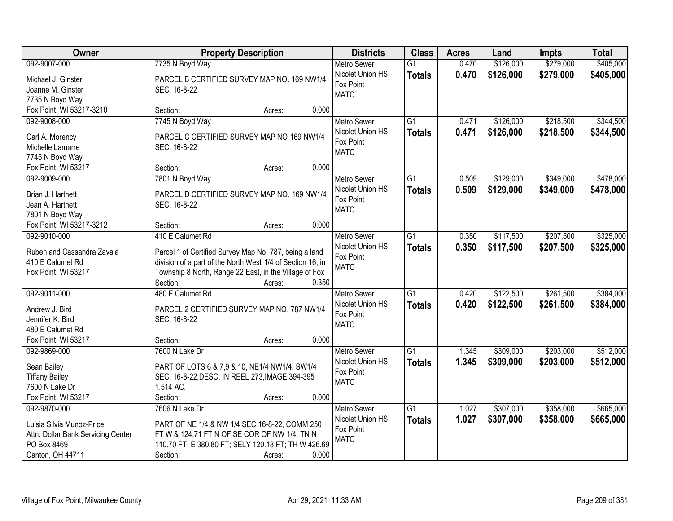| \$279,000<br>\$405,000<br>092-9007-000<br>\$126,000<br>7735 N Boyd Way<br><b>Metro Sewer</b><br>$\overline{G1}$<br>0.470<br>Nicolet Union HS<br>0.470<br>\$126,000<br>\$279,000<br>\$405,000<br><b>Totals</b><br>PARCEL B CERTIFIED SURVEY MAP NO. 169 NW1/4<br>Michael J. Ginster<br>Fox Point<br>SEC. 16-8-22<br>Joanne M. Ginster<br><b>MATC</b><br>7735 N Boyd Way<br>0.000<br>Fox Point, WI 53217-3210<br>Section:<br>Acres:<br>\$218,500<br>\$344,500<br>092-9008-000<br>7745 N Boyd Way<br>$\overline{G1}$<br>\$126,000<br><b>Metro Sewer</b><br>0.471<br>0.471<br>\$126,000<br>Nicolet Union HS<br>\$218,500<br>\$344,500<br><b>Totals</b><br>PARCEL C CERTIFIED SURVEY MAP NO 169 NW1/4<br>Carl A. Morency<br>Fox Point<br>Michelle Lamarre<br>SEC. 16-8-22<br><b>MATC</b><br>7745 N Boyd Way<br>0.000<br>Fox Point, WI 53217<br>Section:<br>Acres:<br>\$349,000<br>092-9009-000<br>7801 N Boyd Way<br>$\overline{G1}$<br>0.509<br>\$129,000<br><b>Metro Sewer</b><br>Nicolet Union HS<br>0.509<br>\$129,000<br>\$349,000<br><b>Totals</b><br>PARCEL D CERTIFIED SURVEY MAP NO. 169 NW1/4<br>Brian J. Hartnett<br>Fox Point<br>Jean A. Hartnett<br>SEC. 16-8-22<br><b>MATC</b><br>7801 N Boyd Way<br>0.000<br>Fox Point, WI 53217-3212<br>Section:<br>Acres:<br>092-9010-000<br>410 E Calumet Rd<br>\$117,500<br>\$207,500<br>\$325,000<br><b>Metro Sewer</b><br>G1<br>0.350<br>Nicolet Union HS<br>0.350<br>\$117,500<br>\$207,500<br>\$325,000<br><b>Totals</b><br>Ruben and Cassandra Zavala<br>Parcel 1 of Certified Survey Map No. 787, being a land<br>Fox Point<br>division of a part of the North West 1/4 of Section 16, in<br>410 E Calumet Rd<br><b>MATC</b><br>Township 8 North, Range 22 East, in the Village of Fox<br>Fox Point, WI 53217<br>0.350<br>Section:<br>Acres:<br>$\overline{G1}$<br>\$122,500<br>\$261,500<br>092-9011-000<br>480 E Calumet Rd<br>0.420<br><b>Metro Sewer</b><br>Nicolet Union HS<br>0.420<br>\$122,500<br>\$384,000<br><b>Totals</b><br>\$261,500<br>PARCEL 2 CERTIFIED SURVEY MAP NO. 787 NW1/4<br>Andrew J. Bird<br>Fox Point<br>SEC. 16-8-22<br>Jennifer K. Bird<br><b>MATC</b><br>480 E Calumet Rd<br>0.000<br>Fox Point, WI 53217<br>Section:<br>Acres:<br>$\overline{G1}$<br>\$309,000<br>\$203,000<br>092-9869-000<br>7600 N Lake Dr<br>Metro Sewer<br>1.345<br>Nicolet Union HS<br>1.345<br>\$309,000<br>\$203,000<br><b>Totals</b><br>Sean Bailey<br>PART OF LOTS 6 & 7,9 & 10, NE1/4 NW1/4, SW1/4<br>Fox Point<br>SEC. 16-8-22, DESC, IN REEL 273, IMAGE 394-395<br><b>Tiffany Bailey</b><br><b>MATC</b><br>1.514 AC.<br>7600 N Lake Dr<br>Fox Point, WI 53217<br>0.000<br>Section:<br>Acres:<br>\$358,000<br>7606 N Lake Dr<br>$\overline{G1}$<br>\$307,000<br>\$665,000<br>092-9870-000<br><b>Metro Sewer</b><br>1.027<br>1.027<br>Nicolet Union HS<br>\$307,000<br>\$358,000<br>\$665,000<br><b>Totals</b><br>Luisia Silvia Munoz-Price<br>PART OF NE 1/4 & NW 1/4 SEC 16-8-22, COMM 250 | Owner | <b>Property Description</b> | <b>Districts</b> | <b>Class</b> | <b>Acres</b> | Land | <b>Impts</b> | <b>Total</b> |
|-----------------------------------------------------------------------------------------------------------------------------------------------------------------------------------------------------------------------------------------------------------------------------------------------------------------------------------------------------------------------------------------------------------------------------------------------------------------------------------------------------------------------------------------------------------------------------------------------------------------------------------------------------------------------------------------------------------------------------------------------------------------------------------------------------------------------------------------------------------------------------------------------------------------------------------------------------------------------------------------------------------------------------------------------------------------------------------------------------------------------------------------------------------------------------------------------------------------------------------------------------------------------------------------------------------------------------------------------------------------------------------------------------------------------------------------------------------------------------------------------------------------------------------------------------------------------------------------------------------------------------------------------------------------------------------------------------------------------------------------------------------------------------------------------------------------------------------------------------------------------------------------------------------------------------------------------------------------------------------------------------------------------------------------------------------------------------------------------------------------------------------------------------------------------------------------------------------------------------------------------------------------------------------------------------------------------------------------------------------------------------------------------------------------------------------------------------------------------------------------------------------------------------------------------------------------------------------------------------------------------------------------------------------------------------------------------------------------------------------------------------------------------------------------------------------------------------------------------------------------------------------------------------------------------------------------------------------|-------|-----------------------------|------------------|--------------|--------------|------|--------------|--------------|
|                                                                                                                                                                                                                                                                                                                                                                                                                                                                                                                                                                                                                                                                                                                                                                                                                                                                                                                                                                                                                                                                                                                                                                                                                                                                                                                                                                                                                                                                                                                                                                                                                                                                                                                                                                                                                                                                                                                                                                                                                                                                                                                                                                                                                                                                                                                                                                                                                                                                                                                                                                                                                                                                                                                                                                                                                                                                                                                                                           |       |                             |                  |              |              |      |              |              |
|                                                                                                                                                                                                                                                                                                                                                                                                                                                                                                                                                                                                                                                                                                                                                                                                                                                                                                                                                                                                                                                                                                                                                                                                                                                                                                                                                                                                                                                                                                                                                                                                                                                                                                                                                                                                                                                                                                                                                                                                                                                                                                                                                                                                                                                                                                                                                                                                                                                                                                                                                                                                                                                                                                                                                                                                                                                                                                                                                           |       |                             |                  |              |              |      |              |              |
| \$478,000<br>\$478,000<br>\$384,000<br>\$512,000                                                                                                                                                                                                                                                                                                                                                                                                                                                                                                                                                                                                                                                                                                                                                                                                                                                                                                                                                                                                                                                                                                                                                                                                                                                                                                                                                                                                                                                                                                                                                                                                                                                                                                                                                                                                                                                                                                                                                                                                                                                                                                                                                                                                                                                                                                                                                                                                                                                                                                                                                                                                                                                                                                                                                                                                                                                                                                          |       |                             |                  |              |              |      |              |              |
|                                                                                                                                                                                                                                                                                                                                                                                                                                                                                                                                                                                                                                                                                                                                                                                                                                                                                                                                                                                                                                                                                                                                                                                                                                                                                                                                                                                                                                                                                                                                                                                                                                                                                                                                                                                                                                                                                                                                                                                                                                                                                                                                                                                                                                                                                                                                                                                                                                                                                                                                                                                                                                                                                                                                                                                                                                                                                                                                                           |       |                             |                  |              |              |      |              |              |
| \$512,000                                                                                                                                                                                                                                                                                                                                                                                                                                                                                                                                                                                                                                                                                                                                                                                                                                                                                                                                                                                                                                                                                                                                                                                                                                                                                                                                                                                                                                                                                                                                                                                                                                                                                                                                                                                                                                                                                                                                                                                                                                                                                                                                                                                                                                                                                                                                                                                                                                                                                                                                                                                                                                                                                                                                                                                                                                                                                                                                                 |       |                             |                  |              |              |      |              |              |
|                                                                                                                                                                                                                                                                                                                                                                                                                                                                                                                                                                                                                                                                                                                                                                                                                                                                                                                                                                                                                                                                                                                                                                                                                                                                                                                                                                                                                                                                                                                                                                                                                                                                                                                                                                                                                                                                                                                                                                                                                                                                                                                                                                                                                                                                                                                                                                                                                                                                                                                                                                                                                                                                                                                                                                                                                                                                                                                                                           |       |                             |                  |              |              |      |              |              |
|                                                                                                                                                                                                                                                                                                                                                                                                                                                                                                                                                                                                                                                                                                                                                                                                                                                                                                                                                                                                                                                                                                                                                                                                                                                                                                                                                                                                                                                                                                                                                                                                                                                                                                                                                                                                                                                                                                                                                                                                                                                                                                                                                                                                                                                                                                                                                                                                                                                                                                                                                                                                                                                                                                                                                                                                                                                                                                                                                           |       |                             |                  |              |              |      |              |              |
|                                                                                                                                                                                                                                                                                                                                                                                                                                                                                                                                                                                                                                                                                                                                                                                                                                                                                                                                                                                                                                                                                                                                                                                                                                                                                                                                                                                                                                                                                                                                                                                                                                                                                                                                                                                                                                                                                                                                                                                                                                                                                                                                                                                                                                                                                                                                                                                                                                                                                                                                                                                                                                                                                                                                                                                                                                                                                                                                                           |       |                             |                  |              |              |      |              |              |
|                                                                                                                                                                                                                                                                                                                                                                                                                                                                                                                                                                                                                                                                                                                                                                                                                                                                                                                                                                                                                                                                                                                                                                                                                                                                                                                                                                                                                                                                                                                                                                                                                                                                                                                                                                                                                                                                                                                                                                                                                                                                                                                                                                                                                                                                                                                                                                                                                                                                                                                                                                                                                                                                                                                                                                                                                                                                                                                                                           |       |                             |                  |              |              |      |              |              |
|                                                                                                                                                                                                                                                                                                                                                                                                                                                                                                                                                                                                                                                                                                                                                                                                                                                                                                                                                                                                                                                                                                                                                                                                                                                                                                                                                                                                                                                                                                                                                                                                                                                                                                                                                                                                                                                                                                                                                                                                                                                                                                                                                                                                                                                                                                                                                                                                                                                                                                                                                                                                                                                                                                                                                                                                                                                                                                                                                           |       |                             |                  |              |              |      |              |              |
|                                                                                                                                                                                                                                                                                                                                                                                                                                                                                                                                                                                                                                                                                                                                                                                                                                                                                                                                                                                                                                                                                                                                                                                                                                                                                                                                                                                                                                                                                                                                                                                                                                                                                                                                                                                                                                                                                                                                                                                                                                                                                                                                                                                                                                                                                                                                                                                                                                                                                                                                                                                                                                                                                                                                                                                                                                                                                                                                                           |       |                             |                  |              |              |      |              |              |
|                                                                                                                                                                                                                                                                                                                                                                                                                                                                                                                                                                                                                                                                                                                                                                                                                                                                                                                                                                                                                                                                                                                                                                                                                                                                                                                                                                                                                                                                                                                                                                                                                                                                                                                                                                                                                                                                                                                                                                                                                                                                                                                                                                                                                                                                                                                                                                                                                                                                                                                                                                                                                                                                                                                                                                                                                                                                                                                                                           |       |                             |                  |              |              |      |              |              |
|                                                                                                                                                                                                                                                                                                                                                                                                                                                                                                                                                                                                                                                                                                                                                                                                                                                                                                                                                                                                                                                                                                                                                                                                                                                                                                                                                                                                                                                                                                                                                                                                                                                                                                                                                                                                                                                                                                                                                                                                                                                                                                                                                                                                                                                                                                                                                                                                                                                                                                                                                                                                                                                                                                                                                                                                                                                                                                                                                           |       |                             |                  |              |              |      |              |              |
|                                                                                                                                                                                                                                                                                                                                                                                                                                                                                                                                                                                                                                                                                                                                                                                                                                                                                                                                                                                                                                                                                                                                                                                                                                                                                                                                                                                                                                                                                                                                                                                                                                                                                                                                                                                                                                                                                                                                                                                                                                                                                                                                                                                                                                                                                                                                                                                                                                                                                                                                                                                                                                                                                                                                                                                                                                                                                                                                                           |       |                             |                  |              |              |      |              |              |
|                                                                                                                                                                                                                                                                                                                                                                                                                                                                                                                                                                                                                                                                                                                                                                                                                                                                                                                                                                                                                                                                                                                                                                                                                                                                                                                                                                                                                                                                                                                                                                                                                                                                                                                                                                                                                                                                                                                                                                                                                                                                                                                                                                                                                                                                                                                                                                                                                                                                                                                                                                                                                                                                                                                                                                                                                                                                                                                                                           |       |                             |                  |              |              |      |              |              |
|                                                                                                                                                                                                                                                                                                                                                                                                                                                                                                                                                                                                                                                                                                                                                                                                                                                                                                                                                                                                                                                                                                                                                                                                                                                                                                                                                                                                                                                                                                                                                                                                                                                                                                                                                                                                                                                                                                                                                                                                                                                                                                                                                                                                                                                                                                                                                                                                                                                                                                                                                                                                                                                                                                                                                                                                                                                                                                                                                           |       |                             |                  |              |              |      |              |              |
|                                                                                                                                                                                                                                                                                                                                                                                                                                                                                                                                                                                                                                                                                                                                                                                                                                                                                                                                                                                                                                                                                                                                                                                                                                                                                                                                                                                                                                                                                                                                                                                                                                                                                                                                                                                                                                                                                                                                                                                                                                                                                                                                                                                                                                                                                                                                                                                                                                                                                                                                                                                                                                                                                                                                                                                                                                                                                                                                                           |       |                             |                  |              |              |      |              |              |
|                                                                                                                                                                                                                                                                                                                                                                                                                                                                                                                                                                                                                                                                                                                                                                                                                                                                                                                                                                                                                                                                                                                                                                                                                                                                                                                                                                                                                                                                                                                                                                                                                                                                                                                                                                                                                                                                                                                                                                                                                                                                                                                                                                                                                                                                                                                                                                                                                                                                                                                                                                                                                                                                                                                                                                                                                                                                                                                                                           |       |                             |                  |              |              |      |              |              |
|                                                                                                                                                                                                                                                                                                                                                                                                                                                                                                                                                                                                                                                                                                                                                                                                                                                                                                                                                                                                                                                                                                                                                                                                                                                                                                                                                                                                                                                                                                                                                                                                                                                                                                                                                                                                                                                                                                                                                                                                                                                                                                                                                                                                                                                                                                                                                                                                                                                                                                                                                                                                                                                                                                                                                                                                                                                                                                                                                           |       |                             |                  |              |              |      |              |              |
|                                                                                                                                                                                                                                                                                                                                                                                                                                                                                                                                                                                                                                                                                                                                                                                                                                                                                                                                                                                                                                                                                                                                                                                                                                                                                                                                                                                                                                                                                                                                                                                                                                                                                                                                                                                                                                                                                                                                                                                                                                                                                                                                                                                                                                                                                                                                                                                                                                                                                                                                                                                                                                                                                                                                                                                                                                                                                                                                                           |       |                             |                  |              |              |      |              |              |
|                                                                                                                                                                                                                                                                                                                                                                                                                                                                                                                                                                                                                                                                                                                                                                                                                                                                                                                                                                                                                                                                                                                                                                                                                                                                                                                                                                                                                                                                                                                                                                                                                                                                                                                                                                                                                                                                                                                                                                                                                                                                                                                                                                                                                                                                                                                                                                                                                                                                                                                                                                                                                                                                                                                                                                                                                                                                                                                                                           |       |                             |                  |              |              |      |              |              |
|                                                                                                                                                                                                                                                                                                                                                                                                                                                                                                                                                                                                                                                                                                                                                                                                                                                                                                                                                                                                                                                                                                                                                                                                                                                                                                                                                                                                                                                                                                                                                                                                                                                                                                                                                                                                                                                                                                                                                                                                                                                                                                                                                                                                                                                                                                                                                                                                                                                                                                                                                                                                                                                                                                                                                                                                                                                                                                                                                           |       |                             |                  |              |              |      |              |              |
|                                                                                                                                                                                                                                                                                                                                                                                                                                                                                                                                                                                                                                                                                                                                                                                                                                                                                                                                                                                                                                                                                                                                                                                                                                                                                                                                                                                                                                                                                                                                                                                                                                                                                                                                                                                                                                                                                                                                                                                                                                                                                                                                                                                                                                                                                                                                                                                                                                                                                                                                                                                                                                                                                                                                                                                                                                                                                                                                                           |       |                             |                  |              |              |      |              |              |
|                                                                                                                                                                                                                                                                                                                                                                                                                                                                                                                                                                                                                                                                                                                                                                                                                                                                                                                                                                                                                                                                                                                                                                                                                                                                                                                                                                                                                                                                                                                                                                                                                                                                                                                                                                                                                                                                                                                                                                                                                                                                                                                                                                                                                                                                                                                                                                                                                                                                                                                                                                                                                                                                                                                                                                                                                                                                                                                                                           |       |                             |                  |              |              |      |              |              |
|                                                                                                                                                                                                                                                                                                                                                                                                                                                                                                                                                                                                                                                                                                                                                                                                                                                                                                                                                                                                                                                                                                                                                                                                                                                                                                                                                                                                                                                                                                                                                                                                                                                                                                                                                                                                                                                                                                                                                                                                                                                                                                                                                                                                                                                                                                                                                                                                                                                                                                                                                                                                                                                                                                                                                                                                                                                                                                                                                           |       |                             |                  |              |              |      |              |              |
|                                                                                                                                                                                                                                                                                                                                                                                                                                                                                                                                                                                                                                                                                                                                                                                                                                                                                                                                                                                                                                                                                                                                                                                                                                                                                                                                                                                                                                                                                                                                                                                                                                                                                                                                                                                                                                                                                                                                                                                                                                                                                                                                                                                                                                                                                                                                                                                                                                                                                                                                                                                                                                                                                                                                                                                                                                                                                                                                                           |       |                             |                  |              |              |      |              |              |
|                                                                                                                                                                                                                                                                                                                                                                                                                                                                                                                                                                                                                                                                                                                                                                                                                                                                                                                                                                                                                                                                                                                                                                                                                                                                                                                                                                                                                                                                                                                                                                                                                                                                                                                                                                                                                                                                                                                                                                                                                                                                                                                                                                                                                                                                                                                                                                                                                                                                                                                                                                                                                                                                                                                                                                                                                                                                                                                                                           |       |                             |                  |              |              |      |              |              |
|                                                                                                                                                                                                                                                                                                                                                                                                                                                                                                                                                                                                                                                                                                                                                                                                                                                                                                                                                                                                                                                                                                                                                                                                                                                                                                                                                                                                                                                                                                                                                                                                                                                                                                                                                                                                                                                                                                                                                                                                                                                                                                                                                                                                                                                                                                                                                                                                                                                                                                                                                                                                                                                                                                                                                                                                                                                                                                                                                           |       |                             |                  |              |              |      |              |              |
|                                                                                                                                                                                                                                                                                                                                                                                                                                                                                                                                                                                                                                                                                                                                                                                                                                                                                                                                                                                                                                                                                                                                                                                                                                                                                                                                                                                                                                                                                                                                                                                                                                                                                                                                                                                                                                                                                                                                                                                                                                                                                                                                                                                                                                                                                                                                                                                                                                                                                                                                                                                                                                                                                                                                                                                                                                                                                                                                                           |       |                             |                  |              |              |      |              |              |
|                                                                                                                                                                                                                                                                                                                                                                                                                                                                                                                                                                                                                                                                                                                                                                                                                                                                                                                                                                                                                                                                                                                                                                                                                                                                                                                                                                                                                                                                                                                                                                                                                                                                                                                                                                                                                                                                                                                                                                                                                                                                                                                                                                                                                                                                                                                                                                                                                                                                                                                                                                                                                                                                                                                                                                                                                                                                                                                                                           |       |                             |                  |              |              |      |              |              |
|                                                                                                                                                                                                                                                                                                                                                                                                                                                                                                                                                                                                                                                                                                                                                                                                                                                                                                                                                                                                                                                                                                                                                                                                                                                                                                                                                                                                                                                                                                                                                                                                                                                                                                                                                                                                                                                                                                                                                                                                                                                                                                                                                                                                                                                                                                                                                                                                                                                                                                                                                                                                                                                                                                                                                                                                                                                                                                                                                           |       |                             |                  |              |              |      |              |              |
|                                                                                                                                                                                                                                                                                                                                                                                                                                                                                                                                                                                                                                                                                                                                                                                                                                                                                                                                                                                                                                                                                                                                                                                                                                                                                                                                                                                                                                                                                                                                                                                                                                                                                                                                                                                                                                                                                                                                                                                                                                                                                                                                                                                                                                                                                                                                                                                                                                                                                                                                                                                                                                                                                                                                                                                                                                                                                                                                                           |       |                             |                  |              |              |      |              |              |
|                                                                                                                                                                                                                                                                                                                                                                                                                                                                                                                                                                                                                                                                                                                                                                                                                                                                                                                                                                                                                                                                                                                                                                                                                                                                                                                                                                                                                                                                                                                                                                                                                                                                                                                                                                                                                                                                                                                                                                                                                                                                                                                                                                                                                                                                                                                                                                                                                                                                                                                                                                                                                                                                                                                                                                                                                                                                                                                                                           |       |                             |                  |              |              |      |              |              |
|                                                                                                                                                                                                                                                                                                                                                                                                                                                                                                                                                                                                                                                                                                                                                                                                                                                                                                                                                                                                                                                                                                                                                                                                                                                                                                                                                                                                                                                                                                                                                                                                                                                                                                                                                                                                                                                                                                                                                                                                                                                                                                                                                                                                                                                                                                                                                                                                                                                                                                                                                                                                                                                                                                                                                                                                                                                                                                                                                           |       |                             |                  |              |              |      |              |              |
|                                                                                                                                                                                                                                                                                                                                                                                                                                                                                                                                                                                                                                                                                                                                                                                                                                                                                                                                                                                                                                                                                                                                                                                                                                                                                                                                                                                                                                                                                                                                                                                                                                                                                                                                                                                                                                                                                                                                                                                                                                                                                                                                                                                                                                                                                                                                                                                                                                                                                                                                                                                                                                                                                                                                                                                                                                                                                                                                                           |       |                             |                  |              |              |      |              |              |
| FTW & 124.71 FTN OFSE COROFNW 1/4, TNN<br>Attn: Dollar Bank Servicing Center                                                                                                                                                                                                                                                                                                                                                                                                                                                                                                                                                                                                                                                                                                                                                                                                                                                                                                                                                                                                                                                                                                                                                                                                                                                                                                                                                                                                                                                                                                                                                                                                                                                                                                                                                                                                                                                                                                                                                                                                                                                                                                                                                                                                                                                                                                                                                                                                                                                                                                                                                                                                                                                                                                                                                                                                                                                                              |       |                             | Fox Point        |              |              |      |              |              |
| <b>MATC</b><br>PO Box 8469<br>110.70 FT; E 380.80 FT; SELY 120.18 FT; TH W 426.69                                                                                                                                                                                                                                                                                                                                                                                                                                                                                                                                                                                                                                                                                                                                                                                                                                                                                                                                                                                                                                                                                                                                                                                                                                                                                                                                                                                                                                                                                                                                                                                                                                                                                                                                                                                                                                                                                                                                                                                                                                                                                                                                                                                                                                                                                                                                                                                                                                                                                                                                                                                                                                                                                                                                                                                                                                                                         |       |                             |                  |              |              |      |              |              |
| 0.000<br>Canton, OH 44711<br>Section:<br>Acres:                                                                                                                                                                                                                                                                                                                                                                                                                                                                                                                                                                                                                                                                                                                                                                                                                                                                                                                                                                                                                                                                                                                                                                                                                                                                                                                                                                                                                                                                                                                                                                                                                                                                                                                                                                                                                                                                                                                                                                                                                                                                                                                                                                                                                                                                                                                                                                                                                                                                                                                                                                                                                                                                                                                                                                                                                                                                                                           |       |                             |                  |              |              |      |              |              |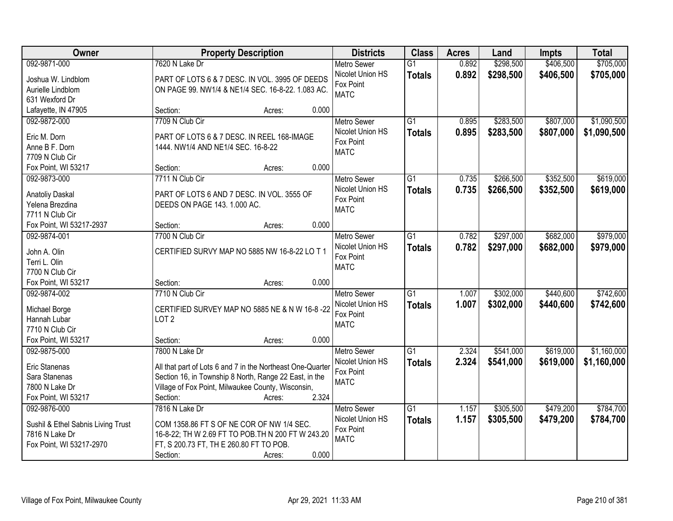| Owner                              |                                                                                                                      | <b>Property Description</b> |       | <b>Districts</b>                       | <b>Class</b>    | <b>Acres</b> | Land      | <b>Impts</b> | <b>Total</b> |
|------------------------------------|----------------------------------------------------------------------------------------------------------------------|-----------------------------|-------|----------------------------------------|-----------------|--------------|-----------|--------------|--------------|
| 092-9871-000                       | 7620 N Lake Dr                                                                                                       |                             |       | <b>Metro Sewer</b>                     | $\overline{G1}$ | 0.892        | \$298,500 | \$406,500    | \$705,000    |
| Joshua W. Lindblom                 | PART OF LOTS 6 & 7 DESC. IN VOL. 3995 OF DEEDS                                                                       |                             |       | Nicolet Union HS                       | <b>Totals</b>   | 0.892        | \$298,500 | \$406,500    | \$705,000    |
| Aurielle Lindblom                  | ON PAGE 99. NW1/4 & NE1/4 SEC. 16-8-22. 1.083 AC.                                                                    |                             |       | Fox Point                              |                 |              |           |              |              |
| 631 Wexford Dr                     |                                                                                                                      |                             |       | <b>MATC</b>                            |                 |              |           |              |              |
| Lafayette, IN 47905                | Section:                                                                                                             | Acres:                      | 0.000 |                                        |                 |              |           |              |              |
| 092-9872-000                       | 7709 N Club Cir                                                                                                      |                             |       | <b>Metro Sewer</b>                     | $\overline{G1}$ | 0.895        | \$283,500 | \$807,000    | \$1,090,500  |
| Eric M. Dorn                       | PART OF LOTS 6 & 7 DESC. IN REEL 168-IMAGE                                                                           |                             |       | Nicolet Union HS                       | <b>Totals</b>   | 0.895        | \$283,500 | \$807,000    | \$1,090,500  |
| Anne B F. Dorn                     | 1444. NW1/4 AND NE1/4 SEC. 16-8-22                                                                                   |                             |       | Fox Point                              |                 |              |           |              |              |
| 7709 N Club Cir                    |                                                                                                                      |                             |       | <b>MATC</b>                            |                 |              |           |              |              |
| Fox Point, WI 53217                | Section:                                                                                                             | Acres:                      | 0.000 |                                        |                 |              |           |              |              |
| 092-9873-000                       | 7711 N Club Cir                                                                                                      |                             |       | <b>Metro Sewer</b>                     | $\overline{G1}$ | 0.735        | \$266,500 | \$352,500    | \$619,000    |
|                                    |                                                                                                                      |                             |       | Nicolet Union HS                       | <b>Totals</b>   | 0.735        | \$266,500 | \$352,500    | \$619,000    |
| Anatoliy Daskal                    | PART OF LOTS 6 AND 7 DESC. IN VOL. 3555 OF                                                                           |                             |       | Fox Point                              |                 |              |           |              |              |
| Yelena Brezdina                    | DEEDS ON PAGE 143. 1.000 AC.                                                                                         |                             |       | <b>MATC</b>                            |                 |              |           |              |              |
| 7711 N Club Cir                    |                                                                                                                      |                             |       |                                        |                 |              |           |              |              |
| Fox Point, WI 53217-2937           | Section:<br>7700 N Club Cir                                                                                          | Acres:                      | 0.000 |                                        |                 |              |           |              |              |
| 092-9874-001                       |                                                                                                                      |                             |       | <b>Metro Sewer</b><br>Nicolet Union HS | G1              | 0.782        | \$297,000 | \$682,000    | \$979,000    |
| John A. Olin                       | CERTIFIED SURVY MAP NO 5885 NW 16-8-22 LO T 1                                                                        |                             |       | Fox Point                              | <b>Totals</b>   | 0.782        | \$297,000 | \$682,000    | \$979,000    |
| Terri L. Olin                      |                                                                                                                      |                             |       | <b>MATC</b>                            |                 |              |           |              |              |
| 7700 N Club Cir                    |                                                                                                                      |                             |       |                                        |                 |              |           |              |              |
| Fox Point, WI 53217                | Section:                                                                                                             | Acres:                      | 0.000 |                                        |                 |              |           |              |              |
| 092-9874-002                       | 7710 N Club Cir                                                                                                      |                             |       | <b>Metro Sewer</b>                     | $\overline{G1}$ | 1.007        | \$302,000 | \$440,600    | \$742,600    |
| Michael Borge                      | CERTIFIED SURVEY MAP NO 5885 NE & N W 16-8-22                                                                        |                             |       | Nicolet Union HS                       | <b>Totals</b>   | 1.007        | \$302,000 | \$440,600    | \$742,600    |
| Hannah Lubar                       | LOT <sub>2</sub>                                                                                                     |                             |       | Fox Point                              |                 |              |           |              |              |
| 7710 N Club Cir                    |                                                                                                                      |                             |       | <b>MATC</b>                            |                 |              |           |              |              |
| Fox Point, WI 53217                | Section:                                                                                                             | Acres:                      | 0.000 |                                        |                 |              |           |              |              |
| 092-9875-000                       | 7800 N Lake Dr                                                                                                       |                             |       | <b>Metro Sewer</b>                     | $\overline{G1}$ | 2.324        | \$541,000 | \$619,000    | \$1,160,000  |
|                                    |                                                                                                                      |                             |       | Nicolet Union HS                       | <b>Totals</b>   | 2.324        | \$541,000 | \$619,000    | \$1,160,000  |
| Eric Stanenas<br>Sara Stanenas     | All that part of Lots 6 and 7 in the Northeast One-Quarter<br>Section 16, in Township 8 North, Range 22 East, in the |                             |       | Fox Point                              |                 |              |           |              |              |
| 7800 N Lake Dr                     | Village of Fox Point, Milwaukee County, Wisconsin,                                                                   |                             |       | <b>MATC</b>                            |                 |              |           |              |              |
| Fox Point, WI 53217                | Section:                                                                                                             | Acres:                      | 2.324 |                                        |                 |              |           |              |              |
| 092-9876-000                       | 7816 N Lake Dr                                                                                                       |                             |       | <b>Metro Sewer</b>                     | $\overline{G1}$ | 1.157        | \$305,500 | \$479,200    | \$784,700    |
|                                    |                                                                                                                      |                             |       | Nicolet Union HS                       |                 | 1.157        | \$305,500 | \$479,200    | \$784,700    |
| Sushil & Ethel Sabnis Living Trust | COM 1358.86 FT S OF NE COR OF NW 1/4 SEC.                                                                            |                             |       | Fox Point                              | <b>Totals</b>   |              |           |              |              |
| 7816 N Lake Dr                     | 16-8-22; TH W 2.69 FT TO POB.TH N 200 FT W 243.20                                                                    |                             |       | <b>MATC</b>                            |                 |              |           |              |              |
| Fox Point, WI 53217-2970           | FT, S 200.73 FT, TH E 260.80 FT TO POB.                                                                              |                             |       |                                        |                 |              |           |              |              |
|                                    | Section:                                                                                                             | Acres:                      | 0.000 |                                        |                 |              |           |              |              |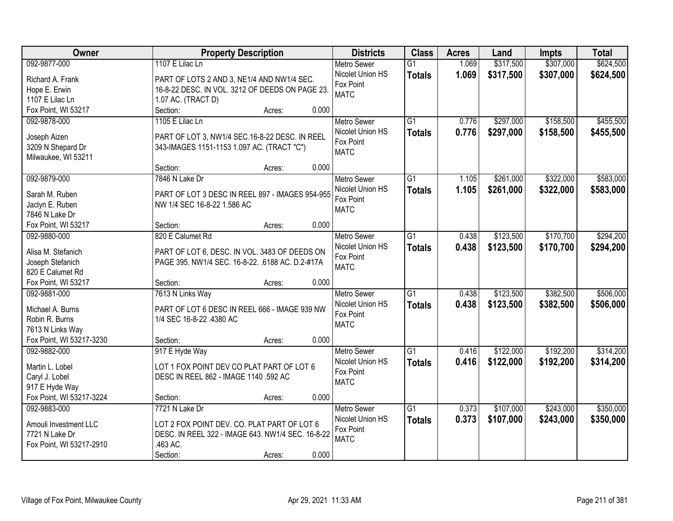| 092-9877-000<br>1107 E Lilac Ln<br>1.069<br>\$317,500<br>\$307,000<br><b>Metro Sewer</b><br>$\overline{G1}$                                  |           |
|----------------------------------------------------------------------------------------------------------------------------------------------|-----------|
|                                                                                                                                              | \$624,500 |
| Nicolet Union HS<br>1.069<br>\$307,000<br>\$317,500<br><b>Totals</b><br>PART OF LOTS 2 AND 3, NE1/4 AND NW1/4 SEC.<br>Richard A. Frank       | \$624,500 |
| Fox Point<br>16-8-22 DESC. IN VOL. 3212 OF DEEDS ON PAGE 23.<br>Hope E. Erwin                                                                |           |
| <b>MATC</b><br>1107 E Lilac Ln<br>1.07 AC. (TRACT D)                                                                                         |           |
| Fox Point, WI 53217<br>Section:<br>0.000<br>Acres:                                                                                           |           |
| $\overline{G1}$<br>\$297,000<br>\$158,500<br>092-9878-000<br>1105 E Lilac Ln<br>0.776<br>Metro Sewer                                         | \$455,500 |
| 0.776<br>Nicolet Union HS<br>\$297,000<br>\$158,500<br><b>Totals</b>                                                                         | \$455,500 |
| PART OF LOT 3, NW1/4 SEC.16-8-22 DESC. IN REEL<br>Joseph Aizen<br>Fox Point                                                                  |           |
| 3209 N Shepard Dr<br>343-IMAGES 1151-1153 1.097 AC. (TRACT "C")<br><b>MATC</b>                                                               |           |
| Milwaukee, WI 53211<br>0.000                                                                                                                 |           |
| Section:<br>Acres:                                                                                                                           |           |
| 092-9879-000<br>$\overline{G1}$<br>\$261,000<br>\$322,000<br>7846 N Lake Dr<br><b>Metro Sewer</b><br>1.105                                   | \$583,000 |
| Nicolet Union HS<br>1.105<br>\$261,000<br>\$322,000<br><b>Totals</b><br>Sarah M. Ruben<br>PART OF LOT 3 DESC IN REEL 897 - IMAGES 954-955    | \$583,000 |
| Fox Point<br>Jaclyn E. Ruben<br>NW 1/4 SEC 16-8-22 1.586 AC<br><b>MATC</b>                                                                   |           |
| 7846 N Lake Dr                                                                                                                               |           |
| 0.000<br>Fox Point, WI 53217<br>Section:<br>Acres:                                                                                           |           |
| 820 E Calumet Rd<br>\$123,500<br>\$170,700<br>092-9880-000<br>$\overline{G1}$<br>0.438<br><b>Metro Sewer</b>                                 | \$294,200 |
| Nicolet Union HS<br>0.438<br>\$123,500<br>\$170,700<br><b>Totals</b><br>Alisa M. Stefanich<br>PART OF LOT 6, DESC. IN VOL. 3483 OF DEEDS ON  | \$294,200 |
| Fox Point<br>Joseph Stefanich<br>PAGE 395. NW1/4 SEC. 16-8-22. .6188 AC. D.2-#17A                                                            |           |
| <b>MATC</b><br>820 E Calumet Rd                                                                                                              |           |
| 0.000<br>Fox Point, WI 53217<br>Section:<br>Acres:                                                                                           |           |
| $\overline{G1}$<br>\$123,500<br>\$382,500<br>092-9881-000<br>7613 N Links Way<br>0.438<br><b>Metro Sewer</b>                                 | \$506,000 |
| 0.438<br>Nicolet Union HS<br>\$123,500<br>\$382,500<br><b>Totals</b>                                                                         | \$506,000 |
| PART OF LOT 6 DESC IN REEL 666 - IMAGE 939 NW<br>Michael A. Burns<br>Fox Point                                                               |           |
| Robin R. Burns<br>1/4 SEC 16-8-22 .4380 AC<br><b>MATC</b>                                                                                    |           |
| 7613 N Links Way                                                                                                                             |           |
| Fox Point, WI 53217-3230<br>0.000<br>Section:<br>Acres:                                                                                      |           |
| 092-9882-000<br>$\overline{G1}$<br>\$122,000<br>\$192,200<br>917 E Hyde Way<br>0.416<br><b>Metro Sewer</b>                                   | \$314,200 |
| Nicolet Union HS<br>0.416<br>\$122,000<br>\$192,200<br><b>Totals</b><br>LOT 1 FOX POINT DEV CO PLAT PART OF LOT 6<br>Martin L. Lobel         | \$314,200 |
| Fox Point<br>Caryl J. Lobel<br>DESC IN REEL 862 - IMAGE 1140 .592 AC                                                                         |           |
| <b>MATC</b><br>917 E Hyde Way                                                                                                                |           |
| Fox Point, WI 53217-3224<br>0.000<br>Section:<br>Acres:                                                                                      |           |
| $\overline{G1}$<br>\$107,000<br>\$243,000<br>092-9883-000<br>7721 N Lake Dr<br>Metro Sewer<br>0.373                                          | \$350,000 |
| 0.373<br>Nicolet Union HS<br>\$107,000<br>\$243,000<br><b>Totals</b><br>LOT 2 FOX POINT DEV. CO. PLAT PART OF LOT 6<br>Amouli Investment LLC | \$350,000 |
| Fox Point<br>7721 N Lake Dr<br>DESC. IN REEL 322 - IMAGE 643. NW1/4 SEC. 16-8-22                                                             |           |
| <b>MATC</b><br>.463 AC.<br>Fox Point, WI 53217-2910                                                                                          |           |
| 0.000<br>Section:<br>Acres:                                                                                                                  |           |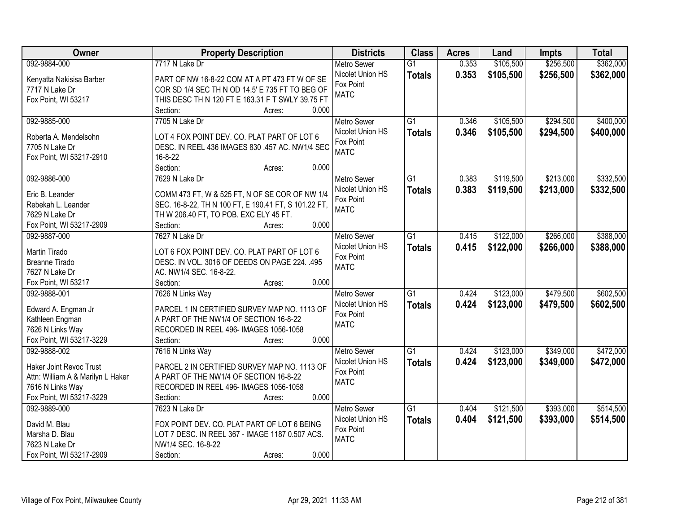| Owner                             | <b>Property Description</b>                                | <b>Districts</b>   | <b>Class</b>    | <b>Acres</b> | Land      | <b>Impts</b> | <b>Total</b> |
|-----------------------------------|------------------------------------------------------------|--------------------|-----------------|--------------|-----------|--------------|--------------|
| 092-9884-000                      | 7717 N Lake Dr                                             | <b>Metro Sewer</b> | $\overline{G1}$ | 0.353        | \$105,500 | \$256,500    | \$362,000    |
| Kenyatta Nakisisa Barber          | PART OF NW 16-8-22 COM AT A PT 473 FT W OF SE              | Nicolet Union HS   | <b>Totals</b>   | 0.353        | \$105,500 | \$256,500    | \$362,000    |
| 7717 N Lake Dr                    | COR SD 1/4 SEC TH N OD 14.5' E 735 FT TO BEG OF            | Fox Point          |                 |              |           |              |              |
| Fox Point, WI 53217               | THIS DESC TH N 120 FT E 163.31 F T SWLY 39.75 FT           | <b>MATC</b>        |                 |              |           |              |              |
|                                   | Section:<br>0.000<br>Acres:                                |                    |                 |              |           |              |              |
| 092-9885-000                      | 7705 N Lake Dr                                             | <b>Metro Sewer</b> | $\overline{G1}$ | 0.346        | \$105,500 | \$294,500    | \$400,000    |
|                                   |                                                            | Nicolet Union HS   | <b>Totals</b>   | 0.346        | \$105,500 | \$294,500    | \$400,000    |
| Roberta A. Mendelsohn             | LOT 4 FOX POINT DEV. CO. PLAT PART OF LOT 6                | Fox Point          |                 |              |           |              |              |
| 7705 N Lake Dr                    | DESC. IN REEL 436 IMAGES 830 .457 AC. NW1/4 SEC<br>16-8-22 | <b>MATC</b>        |                 |              |           |              |              |
| Fox Point, WI 53217-2910          | 0.000<br>Section:<br>Acres:                                |                    |                 |              |           |              |              |
| 092-9886-000                      | 7629 N Lake Dr                                             | <b>Metro Sewer</b> | $\overline{G1}$ | 0.383        | \$119,500 | \$213,000    | \$332,500    |
|                                   |                                                            | Nicolet Union HS   |                 | 0.383        | \$119,500 | \$213,000    | \$332,500    |
| Eric B. Leander                   | COMM 473 FT, W & 525 FT, N OF SE COR OF NW 1/4             | Fox Point          | <b>Totals</b>   |              |           |              |              |
| Rebekah L. Leander                | SEC. 16-8-22, TH N 100 FT, E 190.41 FT, S 101.22 FT,       | <b>MATC</b>        |                 |              |           |              |              |
| 7629 N Lake Dr                    | TH W 206.40 FT, TO POB. EXC ELY 45 FT.                     |                    |                 |              |           |              |              |
| Fox Point, WI 53217-2909          | 0.000<br>Section:<br>Acres:                                |                    |                 |              |           |              |              |
| 092-9887-000                      | 7627 N Lake Dr                                             | <b>Metro Sewer</b> | G1              | 0.415        | \$122,000 | \$266,000    | \$388,000    |
| Martin Tirado                     | LOT 6 FOX POINT DEV. CO. PLAT PART OF LOT 6                | Nicolet Union HS   | <b>Totals</b>   | 0.415        | \$122,000 | \$266,000    | \$388,000    |
| <b>Breanne Tirado</b>             | DESC. IN VOL. 3016 OF DEEDS ON PAGE 224. .495              | Fox Point          |                 |              |           |              |              |
| 7627 N Lake Dr                    | AC. NW1/4 SEC. 16-8-22.                                    | <b>MATC</b>        |                 |              |           |              |              |
| Fox Point, WI 53217               | Section:<br>0.000<br>Acres:                                |                    |                 |              |           |              |              |
| 092-9888-001                      | 7626 N Links Way                                           | <b>Metro Sewer</b> | $\overline{G1}$ | 0.424        | \$123,000 | \$479,500    | \$602,500    |
|                                   |                                                            | Nicolet Union HS   | <b>Totals</b>   | 0.424        | \$123,000 | \$479,500    | \$602,500    |
| Edward A. Engman Jr               | PARCEL 1 IN CERTIFIED SURVEY MAP NO. 1113 OF               | Fox Point          |                 |              |           |              |              |
| Kathleen Engman                   | A PART OF THE NW1/4 OF SECTION 16-8-22                     | <b>MATC</b>        |                 |              |           |              |              |
| 7626 N Links Way                  | RECORDED IN REEL 496- IMAGES 1056-1058                     |                    |                 |              |           |              |              |
| Fox Point, WI 53217-3229          | 0.000<br>Section:<br>Acres:                                |                    |                 |              |           |              |              |
| 092-9888-002                      | 7616 N Links Way                                           | <b>Metro Sewer</b> | $\overline{G1}$ | 0.424        | \$123,000 | \$349,000    | \$472,000    |
| <b>Haker Joint Revoc Trust</b>    | PARCEL 2 IN CERTIFIED SURVEY MAP NO. 1113 OF               | Nicolet Union HS   | <b>Totals</b>   | 0.424        | \$123,000 | \$349,000    | \$472,000    |
| Attn: William A & Marilyn L Haker | A PART OF THE NW1/4 OF SECTION 16-8-22                     | Fox Point          |                 |              |           |              |              |
| 7616 N Links Way                  | RECORDED IN REEL 496- IMAGES 1056-1058                     | <b>MATC</b>        |                 |              |           |              |              |
| Fox Point, WI 53217-3229          | 0.000<br>Section:<br>Acres:                                |                    |                 |              |           |              |              |
| 092-9889-000                      | 7623 N Lake Dr                                             | <b>Metro Sewer</b> | $\overline{G1}$ | 0.404        | \$121,500 | \$393,000    | \$514,500    |
| David M. Blau                     | FOX POINT DEV. CO. PLAT PART OF LOT 6 BEING                | Nicolet Union HS   | <b>Totals</b>   | 0.404        | \$121,500 | \$393,000    | \$514,500    |
| Marsha D. Blau                    | LOT 7 DESC. IN REEL 367 - IMAGE 1187 0.507 ACS.            | Fox Point          |                 |              |           |              |              |
| 7623 N Lake Dr                    | NW1/4 SEC. 16-8-22                                         | <b>MATC</b>        |                 |              |           |              |              |
| Fox Point, WI 53217-2909          | 0.000<br>Section:                                          |                    |                 |              |           |              |              |
|                                   | Acres:                                                     |                    |                 |              |           |              |              |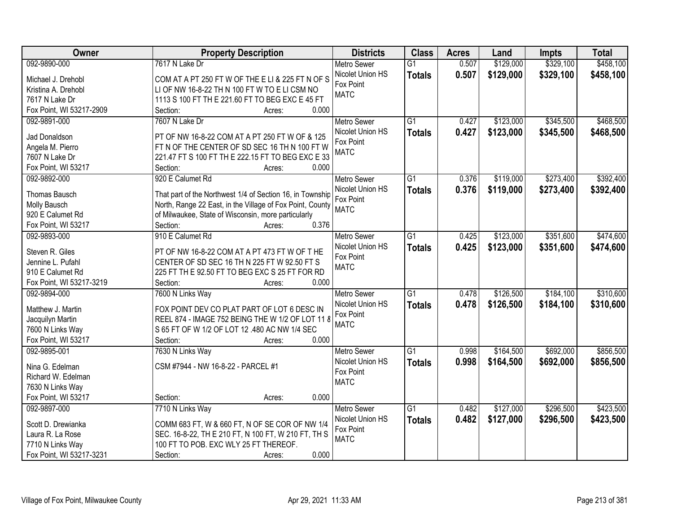| <b>Owner</b>             | <b>Property Description</b>                               | <b>Districts</b>   | <b>Class</b>    | <b>Acres</b> | Land      | <b>Impts</b> | <b>Total</b> |
|--------------------------|-----------------------------------------------------------|--------------------|-----------------|--------------|-----------|--------------|--------------|
| 092-9890-000             | 7617 N Lake Dr                                            | <b>Metro Sewer</b> | $\overline{G1}$ | 0.507        | \$129,000 | \$329,100    | \$458,100    |
| Michael J. Drehobl       | COM AT A PT 250 FT W OF THE E LI & 225 FT N OF S          | Nicolet Union HS   | <b>Totals</b>   | 0.507        | \$129,000 | \$329,100    | \$458,100    |
| Kristina A. Drehobl      | LI OF NW 16-8-22 TH N 100 FT W TO E LI CSM NO             | Fox Point          |                 |              |           |              |              |
| 7617 N Lake Dr           | 1113 S 100 FT TH E 221.60 FT TO BEG EXC E 45 FT           | <b>MATC</b>        |                 |              |           |              |              |
| Fox Point, WI 53217-2909 | 0.000<br>Section:<br>Acres:                               |                    |                 |              |           |              |              |
| 092-9891-000             | 7607 N Lake Dr                                            | <b>Metro Sewer</b> | $\overline{G1}$ | 0.427        | \$123,000 | \$345,500    | \$468,500    |
|                          |                                                           | Nicolet Union HS   | <b>Totals</b>   | 0.427        | \$123,000 | \$345,500    | \$468,500    |
| Jad Donaldson            | PT OF NW 16-8-22 COM AT A PT 250 FT W OF & 125            | Fox Point          |                 |              |           |              |              |
| Angela M. Pierro         | FT N OF THE CENTER OF SD SEC 16 TH N 100 FT W             | <b>MATC</b>        |                 |              |           |              |              |
| 7607 N Lake Dr           | 221.47 FT S 100 FT TH E 222.15 FT TO BEG EXC E 33         |                    |                 |              |           |              |              |
| Fox Point, WI 53217      | 0.000<br>Section:<br>Acres:                               |                    |                 |              |           |              |              |
| 092-9892-000             | 920 E Calumet Rd                                          | <b>Metro Sewer</b> | $\overline{G1}$ | 0.376        | \$119,000 | \$273,400    | \$392,400    |
| <b>Thomas Bausch</b>     | That part of the Northwest 1/4 of Section 16, in Township | Nicolet Union HS   | <b>Totals</b>   | 0.376        | \$119,000 | \$273,400    | \$392,400    |
| Molly Bausch             | North, Range 22 East, in the Village of Fox Point, County | Fox Point          |                 |              |           |              |              |
| 920 E Calumet Rd         | of Milwaukee, State of Wisconsin, more particularly       | <b>MATC</b>        |                 |              |           |              |              |
| Fox Point, WI 53217      | 0.376<br>Section:<br>Acres:                               |                    |                 |              |           |              |              |
| 092-9893-000             | 910 E Calumet Rd                                          | <b>Metro Sewer</b> | $\overline{G1}$ | 0.425        | \$123,000 | \$351,600    | \$474,600    |
|                          |                                                           | Nicolet Union HS   | <b>Totals</b>   | 0.425        | \$123,000 | \$351,600    | \$474,600    |
| Steven R. Giles          | PT OF NW 16-8-22 COM AT A PT 473 FT W OF THE              | Fox Point          |                 |              |           |              |              |
| Jennine L. Pufahl        | CENTER OF SD SEC 16 TH N 225 FT W 92.50 FT S              | <b>MATC</b>        |                 |              |           |              |              |
| 910 E Calumet Rd         | 225 FT TH E 92.50 FT TO BEG EXC S 25 FT FOR RD            |                    |                 |              |           |              |              |
| Fox Point, WI 53217-3219 | Section:<br>0.000<br>Acres:                               |                    |                 |              |           |              |              |
| 092-9894-000             | 7600 N Links Way                                          | Metro Sewer        | $\overline{G1}$ | 0.478        | \$126,500 | \$184,100    | \$310,600    |
| Matthew J. Martin        | FOX POINT DEV CO PLAT PART OF LOT 6 DESC IN               | Nicolet Union HS   | <b>Totals</b>   | 0.478        | \$126,500 | \$184,100    | \$310,600    |
| Jacquilyn Martin         | REEL 874 - IMAGE 752 BEING THE W 1/2 OF LOT 11 8          | Fox Point          |                 |              |           |              |              |
| 7600 N Links Way         | S 65 FT OF W 1/2 OF LOT 12 .480 AC NW 1/4 SEC             | <b>MATC</b>        |                 |              |           |              |              |
| Fox Point, WI 53217      | 0.000<br>Section:<br>Acres:                               |                    |                 |              |           |              |              |
| 092-9895-001             | 7630 N Links Way                                          | <b>Metro Sewer</b> | $\overline{G1}$ | 0.998        | \$164,500 | \$692,000    | \$856,500    |
|                          |                                                           | Nicolet Union HS   |                 | 0.998        | \$164,500 | \$692,000    | \$856,500    |
| Nina G. Edelman          | CSM #7944 - NW 16-8-22 - PARCEL #1                        | Fox Point          | <b>Totals</b>   |              |           |              |              |
| Richard W. Edelman       |                                                           | <b>MATC</b>        |                 |              |           |              |              |
| 7630 N Links Way         |                                                           |                    |                 |              |           |              |              |
| Fox Point, WI 53217      | 0.000<br>Section:<br>Acres:                               |                    |                 |              |           |              |              |
| 092-9897-000             | 7710 N Links Way                                          | <b>Metro Sewer</b> | $\overline{G1}$ | 0.482        | \$127,000 | \$296,500    | \$423,500    |
| Scott D. Drewianka       | COMM 683 FT, W & 660 FT, N OF SE COR OF NW 1/4            | Nicolet Union HS   | <b>Totals</b>   | 0.482        | \$127,000 | \$296,500    | \$423,500    |
| Laura R. La Rose         | SEC. 16-8-22, TH E 210 FT, N 100 FT, W 210 FT, TH S       | Fox Point          |                 |              |           |              |              |
| 7710 N Links Way         | 100 FT TO POB. EXC WLY 25 FT THEREOF.                     | <b>MATC</b>        |                 |              |           |              |              |
|                          |                                                           |                    |                 |              |           |              |              |
| Fox Point, WI 53217-3231 | 0.000<br>Section:<br>Acres:                               |                    |                 |              |           |              |              |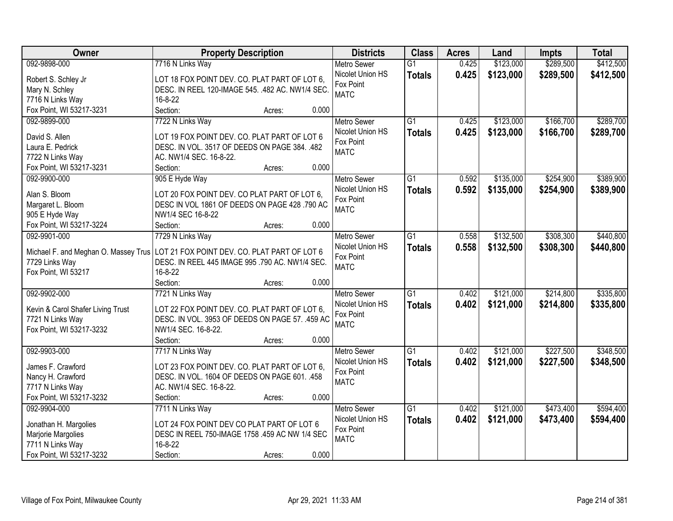| <b>Owner</b>                         | <b>Property Description</b>                      | <b>Districts</b>         | <b>Class</b>    | <b>Acres</b> | Land      | <b>Impts</b> | <b>Total</b> |
|--------------------------------------|--------------------------------------------------|--------------------------|-----------------|--------------|-----------|--------------|--------------|
| 092-9898-000                         | 7716 N Links Way                                 | <b>Metro Sewer</b>       | $\overline{G1}$ | 0.425        | \$123,000 | \$289,500    | \$412,500    |
| Robert S. Schley Jr                  | LOT 18 FOX POINT DEV. CO. PLAT PART OF LOT 6,    | Nicolet Union HS         | <b>Totals</b>   | 0.425        | \$123,000 | \$289,500    | \$412,500    |
| Mary N. Schley                       | DESC. IN REEL 120-IMAGE 545. .482 AC. NW1/4 SEC. | Fox Point                |                 |              |           |              |              |
| 7716 N Links Way                     | 16-8-22                                          | <b>MATC</b>              |                 |              |           |              |              |
| Fox Point, WI 53217-3231             | Section:<br>0.000<br>Acres:                      |                          |                 |              |           |              |              |
| 092-9899-000                         | 7722 N Links Way                                 | <b>Metro Sewer</b>       | $\overline{G1}$ | 0.425        | \$123,000 | \$166,700    | \$289,700    |
|                                      |                                                  | Nicolet Union HS         | <b>Totals</b>   | 0.425        | \$123,000 | \$166,700    | \$289,700    |
| David S. Allen                       | LOT 19 FOX POINT DEV. CO. PLAT PART OF LOT 6     | Fox Point                |                 |              |           |              |              |
| Laura E. Pedrick                     | DESC. IN VOL. 3517 OF DEEDS ON PAGE 384. .482    | <b>MATC</b>              |                 |              |           |              |              |
| 7722 N Links Way                     | AC. NW1/4 SEC. 16-8-22.                          |                          |                 |              |           |              |              |
| Fox Point, WI 53217-3231             | 0.000<br>Section:<br>Acres:                      |                          |                 |              |           |              |              |
| 092-9900-000                         | 905 E Hyde Way                                   | Metro Sewer              | G1              | 0.592        | \$135,000 | \$254,900    | \$389,900    |
| Alan S. Bloom                        | LOT 20 FOX POINT DEV. CO PLAT PART OF LOT 6,     | Nicolet Union HS         | <b>Totals</b>   | 0.592        | \$135,000 | \$254,900    | \$389,900    |
| Margaret L. Bloom                    | DESC IN VOL 1861 OF DEEDS ON PAGE 428 .790 AC    | Fox Point                |                 |              |           |              |              |
| 905 E Hyde Way                       | NW1/4 SEC 16-8-22                                | <b>MATC</b>              |                 |              |           |              |              |
| Fox Point, WI 53217-3224             | 0.000<br>Section:<br>Acres:                      |                          |                 |              |           |              |              |
| 092-9901-000                         | 7729 N Links Way                                 | <b>Metro Sewer</b>       | G1              | 0.558        | \$132,500 | \$308,300    | \$440,800    |
|                                      |                                                  | Nicolet Union HS         | <b>Totals</b>   | 0.558        | \$132,500 | \$308,300    | \$440,800    |
| Michael F. and Meghan O. Massey Trus | LOT 21 FOX POINT DEV. CO. PLAT PART OF LOT 6     | Fox Point                |                 |              |           |              |              |
| 7729 Links Way                       | DESC. IN REEL 445 IMAGE 995 .790 AC. NW1/4 SEC.  | <b>MATC</b>              |                 |              |           |              |              |
| Fox Point, WI 53217                  | 16-8-22                                          |                          |                 |              |           |              |              |
|                                      | 0.000<br>Section:<br>Acres:                      |                          |                 |              |           |              |              |
| 092-9902-000                         | 7721 N Links Way                                 | <b>Metro Sewer</b>       | $\overline{G1}$ | 0.402        | \$121,000 | \$214,800    | \$335,800    |
| Kevin & Carol Shafer Living Trust    | LOT 22 FOX POINT DEV. CO. PLAT PART OF LOT 6,    | Nicolet Union HS         | <b>Totals</b>   | 0.402        | \$121,000 | \$214,800    | \$335,800    |
| 7721 N Links Way                     | DESC. IN VOL. 3953 OF DEEDS ON PAGE 57. .459 AC  | Fox Point                |                 |              |           |              |              |
| Fox Point, WI 53217-3232             | NW1/4 SEC. 16-8-22.                              | <b>MATC</b>              |                 |              |           |              |              |
|                                      | 0.000<br>Section:<br>Acres:                      |                          |                 |              |           |              |              |
| 092-9903-000                         | 7717 N Links Way                                 | Metro Sewer              | $\overline{G1}$ | 0.402        | \$121,000 | \$227,500    | \$348,500    |
|                                      |                                                  |                          |                 |              |           |              |              |
| James F. Crawford                    | LOT 23 FOX POINT DEV. CO. PLAT PART OF LOT 6,    | Nicolet Union HS         | <b>Totals</b>   | 0.402        | \$121,000 | \$227,500    | \$348,500    |
| Nancy H. Crawford                    | DESC. IN VOL. 1604 OF DEEDS ON PAGE 601. .458    | Fox Point<br><b>MATC</b> |                 |              |           |              |              |
| 7717 N Links Way                     | AC. NW1/4 SEC. 16-8-22.                          |                          |                 |              |           |              |              |
| Fox Point, WI 53217-3232             | 0.000<br>Section:<br>Acres:                      |                          |                 |              |           |              |              |
| 092-9904-000                         | 7711 N Links Way                                 | <b>Metro Sewer</b>       | $\overline{G1}$ | 0.402        | \$121,000 | \$473,400    | \$594,400    |
|                                      | LOT 24 FOX POINT DEV CO PLAT PART OF LOT 6       | Nicolet Union HS         | <b>Totals</b>   | 0.402        | \$121,000 | \$473,400    | \$594,400    |
| Jonathan H. Margolies                | DESC IN REEL 750-IMAGE 1758 .459 AC NW 1/4 SEC   | Fox Point                |                 |              |           |              |              |
| Marjorie Margolies                   | 16-8-22                                          | <b>MATC</b>              |                 |              |           |              |              |
| 7711 N Links Way                     | 0.000                                            |                          |                 |              |           |              |              |
| Fox Point, WI 53217-3232             | Section:<br>Acres:                               |                          |                 |              |           |              |              |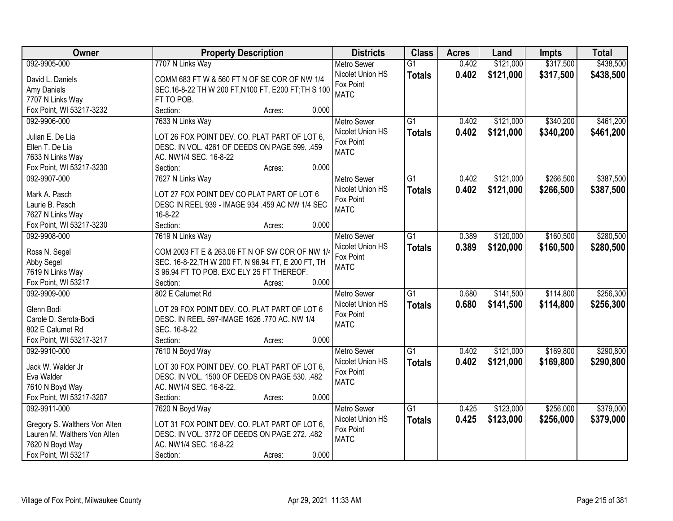| Owner                         | <b>Property Description</b>                         | <b>Districts</b>   | <b>Class</b>    | <b>Acres</b> | Land      | <b>Impts</b> | <b>Total</b> |
|-------------------------------|-----------------------------------------------------|--------------------|-----------------|--------------|-----------|--------------|--------------|
| 092-9905-000                  | 7707 N Links Way                                    | <b>Metro Sewer</b> | $\overline{G1}$ | 0.402        | \$121,000 | \$317,500    | \$438,500    |
| David L. Daniels              | COMM 683 FT W & 560 FT N OF SE COR OF NW 1/4        | Nicolet Union HS   | <b>Totals</b>   | 0.402        | \$121,000 | \$317,500    | \$438,500    |
| Amy Daniels                   | SEC.16-8-22 TH W 200 FT, N100 FT, E200 FT; TH S 100 | Fox Point          |                 |              |           |              |              |
| 7707 N Links Way              | FT TO POB.                                          | <b>MATC</b>        |                 |              |           |              |              |
| Fox Point, WI 53217-3232      | 0.000<br>Section:<br>Acres:                         |                    |                 |              |           |              |              |
| 092-9906-000                  | 7633 N Links Way                                    | <b>Metro Sewer</b> | $\overline{G1}$ | 0.402        | \$121,000 | \$340,200    | \$461,200    |
|                               |                                                     | Nicolet Union HS   | <b>Totals</b>   | 0.402        | \$121,000 | \$340,200    | \$461,200    |
| Julian E. De Lia              | LOT 26 FOX POINT DEV. CO. PLAT PART OF LOT 6,       | Fox Point          |                 |              |           |              |              |
| Ellen T. De Lia               | DESC. IN VOL. 4261 OF DEEDS ON PAGE 599. .459       | <b>MATC</b>        |                 |              |           |              |              |
| 7633 N Links Way              | AC. NW1/4 SEC. 16-8-22                              |                    |                 |              |           |              |              |
| Fox Point, WI 53217-3230      | 0.000<br>Section:<br>Acres:                         |                    |                 |              |           |              |              |
| 092-9907-000                  | 7627 N Links Way                                    | Metro Sewer        | $\overline{G1}$ | 0.402        | \$121,000 | \$266,500    | \$387,500    |
| Mark A. Pasch                 | LOT 27 FOX POINT DEV CO PLAT PART OF LOT 6          | Nicolet Union HS   | <b>Totals</b>   | 0.402        | \$121,000 | \$266,500    | \$387,500    |
| Laurie B. Pasch               | DESC IN REEL 939 - IMAGE 934 .459 AC NW 1/4 SEC     | Fox Point          |                 |              |           |              |              |
| 7627 N Links Way              | $16 - 8 - 22$                                       | <b>MATC</b>        |                 |              |           |              |              |
| Fox Point, WI 53217-3230      | Section:<br>0.000<br>Acres:                         |                    |                 |              |           |              |              |
| 092-9908-000                  | 7619 N Links Way                                    | <b>Metro Sewer</b> | $\overline{G1}$ | 0.389        | \$120,000 | \$160,500    | \$280,500    |
|                               |                                                     | Nicolet Union HS   |                 | 0.389        | \$120,000 | \$160,500    | \$280,500    |
| Ross N. Segel                 | COM 2003 FT E & 263.06 FT N OF SW COR OF NW 1/4     | Fox Point          | <b>Totals</b>   |              |           |              |              |
| Abby Segel                    | SEC. 16-8-22, TH W 200 FT, N 96.94 FT, E 200 FT, TH | <b>MATC</b>        |                 |              |           |              |              |
| 7619 N Links Way              | S 96.94 FT TO POB. EXC ELY 25 FT THEREOF.           |                    |                 |              |           |              |              |
| Fox Point, WI 53217           | 0.000<br>Section:<br>Acres:                         |                    |                 |              |           |              |              |
| 092-9909-000                  | 802 E Calumet Rd                                    | <b>Metro Sewer</b> | $\overline{G1}$ | 0.680        | \$141,500 | \$114,800    | \$256,300    |
| Glenn Bodi                    | LOT 29 FOX POINT DEV. CO. PLAT PART OF LOT 6        | Nicolet Union HS   | <b>Totals</b>   | 0.680        | \$141,500 | \$114,800    | \$256,300    |
| Carole D. Serota-Bodi         | DESC. IN REEL 597-IMAGE 1626 .770 AC. NW 1/4        | Fox Point          |                 |              |           |              |              |
| 802 E Calumet Rd              | SEC. 16-8-22                                        | <b>MATC</b>        |                 |              |           |              |              |
| Fox Point, WI 53217-3217      | Section:<br>0.000<br>Acres:                         |                    |                 |              |           |              |              |
| 092-9910-000                  | 7610 N Boyd Way                                     | <b>Metro Sewer</b> | $\overline{G1}$ | 0.402        | \$121,000 | \$169,800    | \$290,800    |
|                               |                                                     | Nicolet Union HS   |                 | 0.402        | \$121,000 | \$169,800    | \$290,800    |
| Jack W. Walder Jr             | LOT 30 FOX POINT DEV. CO. PLAT PART OF LOT 6,       | Fox Point          | <b>Totals</b>   |              |           |              |              |
| Eva Walder                    | DESC. IN VOL. 1500 OF DEEDS ON PAGE 530. .482       | <b>MATC</b>        |                 |              |           |              |              |
| 7610 N Boyd Way               | AC. NW1/4 SEC. 16-8-22.                             |                    |                 |              |           |              |              |
| Fox Point, WI 53217-3207      | 0.000<br>Section:<br>Acres:                         |                    |                 |              |           |              |              |
| 092-9911-000                  | 7620 N Boyd Way                                     | <b>Metro Sewer</b> | $\overline{G1}$ | 0.425        | \$123,000 | \$256,000    | \$379,000    |
| Gregory S. Walthers Von Alten | LOT 31 FOX POINT DEV. CO. PLAT PART OF LOT 6,       | Nicolet Union HS   | <b>Totals</b>   | 0.425        | \$123,000 | \$256,000    | \$379,000    |
| Lauren M. Walthers Von Alten  | DESC. IN VOL. 3772 OF DEEDS ON PAGE 272. .482       | Fox Point          |                 |              |           |              |              |
| 7620 N Boyd Way               | AC. NW1/4 SEC. 16-8-22                              | <b>MATC</b>        |                 |              |           |              |              |
| Fox Point, WI 53217           | 0.000<br>Section:<br>Acres:                         |                    |                 |              |           |              |              |
|                               |                                                     |                    |                 |              |           |              |              |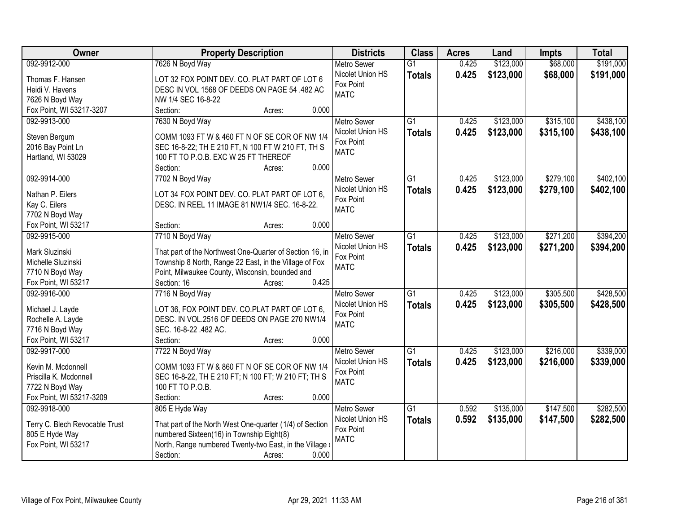| <b>Owner</b>                         | <b>Property Description</b>                                                                                        | <b>Districts</b>         | <b>Class</b>    | <b>Acres</b> | Land      | <b>Impts</b> | <b>Total</b> |
|--------------------------------------|--------------------------------------------------------------------------------------------------------------------|--------------------------|-----------------|--------------|-----------|--------------|--------------|
| 092-9912-000                         | 7626 N Boyd Way                                                                                                    | <b>Metro Sewer</b>       | $\overline{G1}$ | 0.425        | \$123,000 | \$68,000     | \$191,000    |
| Thomas F. Hansen                     | LOT 32 FOX POINT DEV. CO. PLAT PART OF LOT 6                                                                       | Nicolet Union HS         | <b>Totals</b>   | 0.425        | \$123,000 | \$68,000     | \$191,000    |
| Heidi V. Havens                      | DESC IN VOL 1568 OF DEEDS ON PAGE 54 .482 AC                                                                       | Fox Point                |                 |              |           |              |              |
| 7626 N Boyd Way                      | NW 1/4 SEC 16-8-22                                                                                                 | <b>MATC</b>              |                 |              |           |              |              |
| Fox Point, WI 53217-3207             | Section:<br>0.000<br>Acres:                                                                                        |                          |                 |              |           |              |              |
| 092-9913-000                         | 7630 N Boyd Way                                                                                                    | <b>Metro Sewer</b>       | $\overline{G1}$ | 0.425        | \$123,000 | \$315,100    | \$438,100    |
|                                      |                                                                                                                    | Nicolet Union HS         | <b>Totals</b>   | 0.425        | \$123,000 | \$315,100    | \$438,100    |
| Steven Bergum                        | COMM 1093 FT W & 460 FT N OF SE COR OF NW 1/4                                                                      | Fox Point                |                 |              |           |              |              |
| 2016 Bay Point Ln                    | SEC 16-8-22; TH E 210 FT, N 100 FT W 210 FT, TH S                                                                  | <b>MATC</b>              |                 |              |           |              |              |
| Hartland, WI 53029                   | 100 FT TO P.O.B. EXC W 25 FT THEREOF<br>0.000                                                                      |                          |                 |              |           |              |              |
|                                      | Section:<br>Acres:                                                                                                 |                          |                 |              |           |              |              |
| 092-9914-000                         | 7702 N Boyd Way                                                                                                    | Metro Sewer              | $\overline{G1}$ | 0.425        | \$123,000 | \$279,100    | \$402,100    |
| Nathan P. Eilers                     | LOT 34 FOX POINT DEV. CO. PLAT PART OF LOT 6,                                                                      | Nicolet Union HS         | <b>Totals</b>   | 0.425        | \$123,000 | \$279,100    | \$402,100    |
| Kay C. Eilers                        | DESC. IN REEL 11 IMAGE 81 NW1/4 SEC. 16-8-22.                                                                      | Fox Point<br><b>MATC</b> |                 |              |           |              |              |
| 7702 N Boyd Way                      |                                                                                                                    |                          |                 |              |           |              |              |
| Fox Point, WI 53217                  | 0.000<br>Section:<br>Acres:                                                                                        |                          |                 |              |           |              |              |
| 092-9915-000                         | 7710 N Boyd Way                                                                                                    | <b>Metro Sewer</b>       | G1              | 0.425        | \$123,000 | \$271,200    | \$394,200    |
|                                      |                                                                                                                    | Nicolet Union HS         | <b>Totals</b>   | 0.425        | \$123,000 | \$271,200    | \$394,200    |
| Mark Sluzinski<br>Michelle Sluzinski | That part of the Northwest One-Quarter of Section 16, in<br>Township 8 North, Range 22 East, in the Village of Fox | Fox Point                |                 |              |           |              |              |
| 7710 N Boyd Way                      | Point, Milwaukee County, Wisconsin, bounded and                                                                    | <b>MATC</b>              |                 |              |           |              |              |
| Fox Point, WI 53217                  | 0.425<br>Section: 16<br>Acres:                                                                                     |                          |                 |              |           |              |              |
| 092-9916-000                         | 7716 N Boyd Way                                                                                                    | <b>Metro Sewer</b>       | $\overline{G1}$ | 0.425        | \$123,000 | \$305,500    | \$428,500    |
|                                      |                                                                                                                    | Nicolet Union HS         | <b>Totals</b>   | 0.425        | \$123,000 | \$305,500    | \$428,500    |
| Michael J. Layde                     | LOT 36, FOX POINT DEV. CO.PLAT PART OF LOT 6,                                                                      | Fox Point                |                 |              |           |              |              |
| Rochelle A. Layde                    | DESC. IN VOL.2516 OF DEEDS ON PAGE 270 NW1/4                                                                       | <b>MATC</b>              |                 |              |           |              |              |
| 7716 N Boyd Way                      | SEC. 16-8-22.482 AC.                                                                                               |                          |                 |              |           |              |              |
| Fox Point, WI 53217                  | Section:<br>0.000<br>Acres:                                                                                        |                          |                 |              |           |              |              |
| 092-9917-000                         | 7722 N Boyd Way                                                                                                    | Metro Sewer              | $\overline{G1}$ | 0.425        | \$123,000 | \$216,000    | \$339,000    |
| Kevin M. Mcdonnell                   | COMM 1093 FT W & 860 FT N OF SE COR OF NW 1/4                                                                      | Nicolet Union HS         | <b>Totals</b>   | 0.425        | \$123,000 | \$216,000    | \$339,000    |
| Priscilla K. Mcdonnell               | SEC 16-8-22, TH E 210 FT; N 100 FT; W 210 FT; TH S                                                                 | Fox Point                |                 |              |           |              |              |
| 7722 N Boyd Way                      | 100 FT TO P.O.B.                                                                                                   | <b>MATC</b>              |                 |              |           |              |              |
| Fox Point, WI 53217-3209             | 0.000<br>Section:<br>Acres:                                                                                        |                          |                 |              |           |              |              |
| 092-9918-000                         | 805 E Hyde Way                                                                                                     | <b>Metro Sewer</b>       | $\overline{G1}$ | 0.592        | \$135,000 | \$147,500    | \$282,500    |
|                                      |                                                                                                                    | Nicolet Union HS         | <b>Totals</b>   | 0.592        | \$135,000 | \$147,500    | \$282,500    |
| Terry C. Blech Revocable Trust       | That part of the North West One-quarter (1/4) of Section                                                           | Fox Point                |                 |              |           |              |              |
| 805 E Hyde Way                       | numbered Sixteen(16) in Township Eight(8)                                                                          | <b>MATC</b>              |                 |              |           |              |              |
| Fox Point, WI 53217                  | North, Range numbered Twenty-two East, in the Village of                                                           |                          |                 |              |           |              |              |
|                                      | Section:<br>0.000<br>Acres:                                                                                        |                          |                 |              |           |              |              |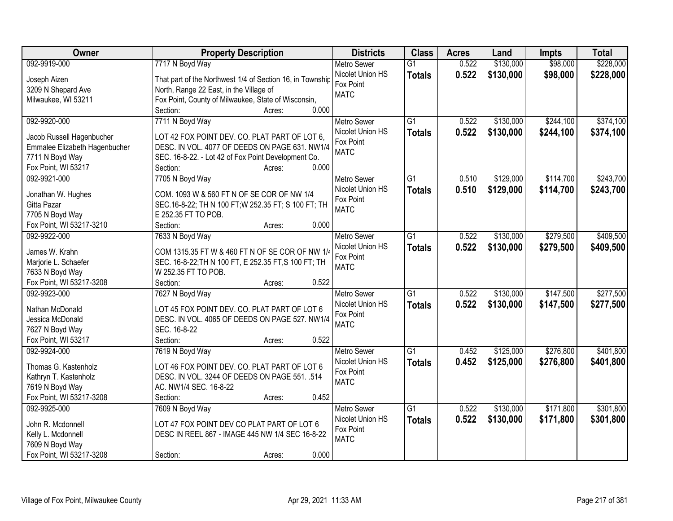| Owner                         | <b>Property Description</b>                               | <b>Districts</b>   | <b>Class</b>    | <b>Acres</b> | Land      | <b>Impts</b> | <b>Total</b> |
|-------------------------------|-----------------------------------------------------------|--------------------|-----------------|--------------|-----------|--------------|--------------|
| 092-9919-000                  | 7717 N Boyd Way                                           | <b>Metro Sewer</b> | $\overline{G1}$ | 0.522        | \$130,000 | \$98,000     | \$228,000    |
| Joseph Aizen                  | That part of the Northwest 1/4 of Section 16, in Township | Nicolet Union HS   | <b>Totals</b>   | 0.522        | \$130,000 | \$98,000     | \$228,000    |
| 3209 N Shepard Ave            | North, Range 22 East, in the Village of                   | Fox Point          |                 |              |           |              |              |
| Milwaukee, WI 53211           | Fox Point, County of Milwaukee, State of Wisconsin,       | <b>MATC</b>        |                 |              |           |              |              |
|                               | 0.000<br>Section:<br>Acres:                               |                    |                 |              |           |              |              |
| 092-9920-000                  | 7711 N Boyd Way                                           | <b>Metro Sewer</b> | $\overline{G1}$ | 0.522        | \$130,000 | \$244,100    | \$374,100    |
|                               |                                                           | Nicolet Union HS   | <b>Totals</b>   | 0.522        | \$130,000 | \$244,100    | \$374,100    |
| Jacob Russell Hagenbucher     | LOT 42 FOX POINT DEV. CO. PLAT PART OF LOT 6,             | Fox Point          |                 |              |           |              |              |
| Emmalee Elizabeth Hagenbucher | DESC. IN VOL. 4077 OF DEEDS ON PAGE 631. NW1/4            | <b>MATC</b>        |                 |              |           |              |              |
| 7711 N Boyd Way               | SEC. 16-8-22. - Lot 42 of Fox Point Development Co.       |                    |                 |              |           |              |              |
| Fox Point, WI 53217           | 0.000<br>Section:<br>Acres:                               |                    |                 |              |           |              |              |
| 092-9921-000                  | 7705 N Boyd Way                                           | <b>Metro Sewer</b> | G1              | 0.510        | \$129,000 | \$114,700    | \$243,700    |
| Jonathan W. Hughes            | COM. 1093 W & 560 FT N OF SE COR OF NW 1/4                | Nicolet Union HS   | <b>Totals</b>   | 0.510        | \$129,000 | \$114,700    | \$243,700    |
| Gitta Pazar                   | SEC.16-8-22; TH N 100 FT; W 252.35 FT; S 100 FT; TH       | Fox Point          |                 |              |           |              |              |
| 7705 N Boyd Way               | E 252.35 FT TO POB.                                       | <b>MATC</b>        |                 |              |           |              |              |
| Fox Point, WI 53217-3210      | 0.000<br>Section:<br>Acres:                               |                    |                 |              |           |              |              |
| 092-9922-000                  | 7633 N Boyd Way                                           | <b>Metro Sewer</b> | $\overline{G1}$ | 0.522        | \$130,000 | \$279,500    | \$409,500    |
|                               |                                                           | Nicolet Union HS   | <b>Totals</b>   | 0.522        | \$130,000 | \$279,500    | \$409,500    |
| James W. Krahn                | COM 1315.35 FT W & 460 FT N OF SE COR OF NW 1/4           | Fox Point          |                 |              |           |              |              |
| Marjorie L. Schaefer          | SEC. 16-8-22; TH N 100 FT, E 252.35 FT, S 100 FT; TH      | <b>MATC</b>        |                 |              |           |              |              |
| 7633 N Boyd Way               | W 252.35 FT TO POB.                                       |                    |                 |              |           |              |              |
| Fox Point, WI 53217-3208      | 0.522<br>Section:<br>Acres:                               |                    |                 |              |           |              |              |
| 092-9923-000                  | 7627 N Boyd Way                                           | <b>Metro Sewer</b> | $\overline{G1}$ | 0.522        | \$130,000 | \$147,500    | \$277,500    |
| Nathan McDonald               | LOT 45 FOX POINT DEV. CO. PLAT PART OF LOT 6              | Nicolet Union HS   | <b>Totals</b>   | 0.522        | \$130,000 | \$147,500    | \$277,500    |
| Jessica McDonald              | DESC. IN VOL. 4065 OF DEEDS ON PAGE 527. NW1/4            | Fox Point          |                 |              |           |              |              |
| 7627 N Boyd Way               | SEC. 16-8-22                                              | <b>MATC</b>        |                 |              |           |              |              |
| Fox Point, WI 53217           | Section:<br>0.522<br>Acres:                               |                    |                 |              |           |              |              |
| 092-9924-000                  | 7619 N Boyd Way                                           | <b>Metro Sewer</b> | $\overline{G1}$ | 0.452        | \$125,000 | \$276,800    | \$401,800    |
|                               |                                                           | Nicolet Union HS   | <b>Totals</b>   | 0.452        | \$125,000 | \$276,800    | \$401,800    |
| Thomas G. Kastenholz          | LOT 46 FOX POINT DEV. CO. PLAT PART OF LOT 6              | Fox Point          |                 |              |           |              |              |
| Kathryn T. Kastenholz         | DESC. IN VOL. 3244 OF DEEDS ON PAGE 551. .514             | <b>MATC</b>        |                 |              |           |              |              |
| 7619 N Boyd Way               | AC. NW1/4 SEC. 16-8-22                                    |                    |                 |              |           |              |              |
| Fox Point, WI 53217-3208      | 0.452<br>Section:<br>Acres:                               |                    |                 |              |           |              |              |
| 092-9925-000                  | 7609 N Boyd Way                                           | <b>Metro Sewer</b> | $\overline{G1}$ | 0.522        | \$130,000 | \$171,800    | \$301,800    |
| John R. Mcdonnell             | LOT 47 FOX POINT DEV CO PLAT PART OF LOT 6                | Nicolet Union HS   | <b>Totals</b>   | 0.522        | \$130,000 | \$171,800    | \$301,800    |
| Kelly L. Mcdonnell            | DESC IN REEL 867 - IMAGE 445 NW 1/4 SEC 16-8-22           | Fox Point          |                 |              |           |              |              |
| 7609 N Boyd Way               |                                                           | <b>MATC</b>        |                 |              |           |              |              |
| Fox Point, WI 53217-3208      | 0.000<br>Section:<br>Acres:                               |                    |                 |              |           |              |              |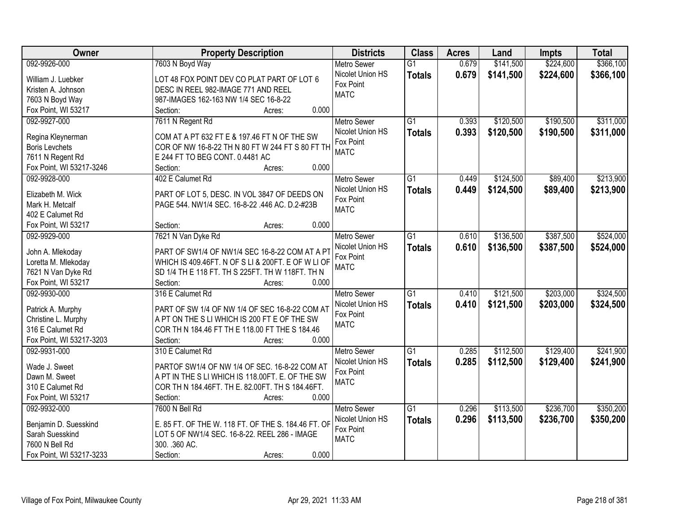| <b>Owner</b>             | <b>Property Description</b>                         | <b>Districts</b>   | <b>Class</b>    | <b>Acres</b> | Land      | <b>Impts</b> | <b>Total</b> |
|--------------------------|-----------------------------------------------------|--------------------|-----------------|--------------|-----------|--------------|--------------|
| 092-9926-000             | 7603 N Boyd Way                                     | <b>Metro Sewer</b> | $\overline{G1}$ | 0.679        | \$141,500 | \$224,600    | \$366,100    |
| William J. Luebker       | LOT 48 FOX POINT DEV CO PLAT PART OF LOT 6          | Nicolet Union HS   | <b>Totals</b>   | 0.679        | \$141,500 | \$224,600    | \$366,100    |
| Kristen A. Johnson       | DESC IN REEL 982-IMAGE 771 AND REEL                 | Fox Point          |                 |              |           |              |              |
| 7603 N Boyd Way          | 987-IMAGES 162-163 NW 1/4 SEC 16-8-22               | <b>MATC</b>        |                 |              |           |              |              |
| Fox Point, WI 53217      | 0.000<br>Section:<br>Acres:                         |                    |                 |              |           |              |              |
| 092-9927-000             | 7611 N Regent Rd                                    | <b>Metro Sewer</b> | $\overline{G1}$ | 0.393        | \$120,500 | \$190,500    | \$311,000    |
|                          |                                                     | Nicolet Union HS   | <b>Totals</b>   | 0.393        | \$120,500 | \$190,500    | \$311,000    |
| Regina Kleynerman        | COM AT A PT 632 FT E & 197.46 FT N OF THE SW        | Fox Point          |                 |              |           |              |              |
| <b>Boris Levchets</b>    | COR OF NW 16-8-22 TH N 80 FT W 244 FT S 80 FT TH    | <b>MATC</b>        |                 |              |           |              |              |
| 7611 N Regent Rd         | E 244 FT TO BEG CONT. 0.4481 AC                     |                    |                 |              |           |              |              |
| Fox Point, WI 53217-3246 | 0.000<br>Section:<br>Acres:                         |                    |                 |              |           |              |              |
| 092-9928-000             | 402 E Calumet Rd                                    | <b>Metro Sewer</b> | G1              | 0.449        | \$124,500 | \$89,400     | \$213,900    |
| Elizabeth M. Wick        | PART OF LOT 5, DESC. IN VOL 3847 OF DEEDS ON        | Nicolet Union HS   | <b>Totals</b>   | 0.449        | \$124,500 | \$89,400     | \$213,900    |
| Mark H. Metcalf          | PAGE 544. NW1/4 SEC. 16-8-22 .446 AC. D.2-#23B      | Fox Point          |                 |              |           |              |              |
| 402 E Calumet Rd         |                                                     | <b>MATC</b>        |                 |              |           |              |              |
| Fox Point, WI 53217      | 0.000<br>Section:<br>Acres:                         |                    |                 |              |           |              |              |
| 092-9929-000             | 7621 N Van Dyke Rd                                  | <b>Metro Sewer</b> | $\overline{G1}$ | 0.610        | \$136,500 | \$387,500    | \$524,000    |
|                          |                                                     | Nicolet Union HS   | <b>Totals</b>   | 0.610        | \$136,500 | \$387,500    | \$524,000    |
| John A. Mlekoday         | PART OF SW1/4 OF NW1/4 SEC 16-8-22 COM AT A P       | Fox Point          |                 |              |           |              |              |
| Loretta M. Mlekoday      | WHICH IS 409.46FT. N OF S LI & 200FT. E OF W LI OF  | <b>MATC</b>        |                 |              |           |              |              |
| 7621 N Van Dyke Rd       | SD 1/4 TH E 118 FT. TH S 225FT. TH W 118FT. TH N    |                    |                 |              |           |              |              |
| Fox Point, WI 53217      | 0.000<br>Section:<br>Acres:                         |                    |                 |              |           |              |              |
| 092-9930-000             | 316 E Calumet Rd                                    | <b>Metro Sewer</b> | $\overline{G1}$ | 0.410        | \$121,500 | \$203,000    | \$324,500    |
| Patrick A. Murphy        | PART OF SW 1/4 OF NW 1/4 OF SEC 16-8-22 COM AT      | Nicolet Union HS   | <b>Totals</b>   | 0.410        | \$121,500 | \$203,000    | \$324,500    |
| Christine L. Murphy      | A PT ON THE S LI WHICH IS 200 FT E OF THE SW        | Fox Point          |                 |              |           |              |              |
| 316 E Calumet Rd         | COR TH N 184.46 FT TH E 118.00 FT THE S 184.46      | <b>MATC</b>        |                 |              |           |              |              |
| Fox Point, WI 53217-3203 | 0.000<br>Section:<br>Acres:                         |                    |                 |              |           |              |              |
| 092-9931-000             | 310 E Calumet Rd                                    | <b>Metro Sewer</b> | $\overline{G1}$ | 0.285        | \$112,500 | \$129,400    | \$241,900    |
|                          |                                                     | Nicolet Union HS   | <b>Totals</b>   | 0.285        | \$112,500 | \$129,400    | \$241,900    |
| Wade J. Sweet            | PARTOF SW1/4 OF NW 1/4 OF SEC. 16-8-22 COM AT       | Fox Point          |                 |              |           |              |              |
| Dawn M. Sweet            | A PT IN THE S LI WHICH IS 118.00FT. E. OF THE SW    | <b>MATC</b>        |                 |              |           |              |              |
| 310 E Calumet Rd         | COR TH N 184.46FT. TH E. 82.00FT. TH S 184.46FT.    |                    |                 |              |           |              |              |
| Fox Point, WI 53217      | 0.000<br>Section:<br>Acres:                         |                    |                 |              |           |              |              |
| 092-9932-000             | 7600 N Bell Rd                                      | <b>Metro Sewer</b> | $\overline{G1}$ | 0.296        | \$113,500 | \$236,700    | \$350,200    |
| Benjamin D. Suesskind    | E. 85 FT. OF THE W. 118 FT. OF THE S. 184.46 FT. OF | Nicolet Union HS   | <b>Totals</b>   | 0.296        | \$113,500 | \$236,700    | \$350,200    |
| Sarah Suesskind          | LOT 5 OF NW1/4 SEC. 16-8-22. REEL 286 - IMAGE       | Fox Point          |                 |              |           |              |              |
| 7600 N Bell Rd           | 300. . 360 AC.                                      | <b>MATC</b>        |                 |              |           |              |              |
| Fox Point, WI 53217-3233 | 0.000<br>Section:<br>Acres:                         |                    |                 |              |           |              |              |
|                          |                                                     |                    |                 |              |           |              |              |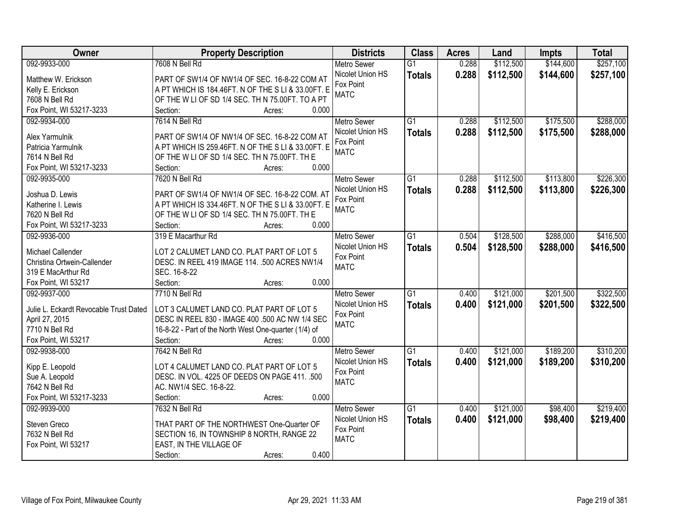| Owner                                  | <b>Property Description</b>                           | <b>Districts</b>   | <b>Class</b>    | <b>Acres</b> | Land      | <b>Impts</b> | <b>Total</b> |
|----------------------------------------|-------------------------------------------------------|--------------------|-----------------|--------------|-----------|--------------|--------------|
| 092-9933-000                           | 7608 N Bell Rd                                        | <b>Metro Sewer</b> | $\overline{G1}$ | 0.288        | \$112,500 | \$144,600    | \$257,100    |
| Matthew W. Erickson                    | PART OF SW1/4 OF NW1/4 OF SEC. 16-8-22 COM AT         | Nicolet Union HS   | <b>Totals</b>   | 0.288        | \$112,500 | \$144,600    | \$257,100    |
| Kelly E. Erickson                      | A PT WHICH IS 184.46FT. N OF THE S LI & 33.00FT. E    | Fox Point          |                 |              |           |              |              |
| 7608 N Bell Rd                         | OF THE W LI OF SD 1/4 SEC. TH N 75.00FT. TO A PT      | <b>MATC</b>        |                 |              |           |              |              |
| Fox Point, WI 53217-3233               | 0.000<br>Section:<br>Acres:                           |                    |                 |              |           |              |              |
| 092-9934-000                           | 7614 N Bell Rd                                        | <b>Metro Sewer</b> | $\overline{G1}$ | 0.288        | \$112,500 | \$175,500    | \$288,000    |
|                                        |                                                       | Nicolet Union HS   | <b>Totals</b>   | 0.288        | \$112,500 | \$175,500    | \$288,000    |
| Alex Yarmulnik                         | PART OF SW1/4 OF NW1/4 OF SEC. 16-8-22 COM AT         | Fox Point          |                 |              |           |              |              |
| Patricia Yarmulnik                     | A PT WHICH IS 259.46FT. N OF THE S LI & 33.00FT. E    | <b>MATC</b>        |                 |              |           |              |              |
| 7614 N Bell Rd                         | OF THE W LI OF SD 1/4 SEC. TH N 75.00FT. TH E         |                    |                 |              |           |              |              |
| Fox Point, WI 53217-3233               | 0.000<br>Section:<br>Acres:                           |                    |                 |              |           |              |              |
| 092-9935-000                           | 7620 N Bell Rd                                        | Metro Sewer        | G1              | 0.288        | \$112,500 | \$113,800    | \$226,300    |
| Joshua D. Lewis                        | PART OF SW1/4 OF NW1/4 OF SEC. 16-8-22 COM. AT        | Nicolet Union HS   | <b>Totals</b>   | 0.288        | \$112,500 | \$113,800    | \$226,300    |
| Katherine I. Lewis                     | A PT WHICH IS 334.46FT. N OF THE S LI & 33.00FT. E    | Fox Point          |                 |              |           |              |              |
| 7620 N Bell Rd                         | OF THE W LI OF SD 1/4 SEC. TH N 75.00FT. TH E         | <b>MATC</b>        |                 |              |           |              |              |
| Fox Point, WI 53217-3233               | Section:<br>0.000<br>Acres:                           |                    |                 |              |           |              |              |
| 092-9936-000                           | 319 E Macarthur Rd                                    | <b>Metro Sewer</b> | G1              | 0.504        | \$128,500 | \$288,000    | \$416,500    |
|                                        |                                                       | Nicolet Union HS   |                 | 0.504        |           |              |              |
| Michael Callender                      | LOT 2 CALUMET LAND CO. PLAT PART OF LOT 5             | Fox Point          | <b>Totals</b>   |              | \$128,500 | \$288,000    | \$416,500    |
| Christina Ortwein-Callender            | DESC. IN REEL 419 IMAGE 114. .500 ACRES NW1/4         | <b>MATC</b>        |                 |              |           |              |              |
| 319 E MacArthur Rd                     | SEC. 16-8-22                                          |                    |                 |              |           |              |              |
| Fox Point, WI 53217                    | 0.000<br>Section:<br>Acres:                           |                    |                 |              |           |              |              |
| 092-9937-000                           | 7710 N Bell Rd                                        | <b>Metro Sewer</b> | $\overline{G1}$ | 0.400        | \$121,000 | \$201,500    | \$322,500    |
| Julie L. Eckardt Revocable Trust Dated | LOT 3 CALUMET LAND CO. PLAT PART OF LOT 5             | Nicolet Union HS   | <b>Totals</b>   | 0.400        | \$121,000 | \$201,500    | \$322,500    |
| April 27, 2015                         | DESC IN REEL 830 - IMAGE 400 .500 AC NW 1/4 SEC       | Fox Point          |                 |              |           |              |              |
| 7710 N Bell Rd                         | 16-8-22 - Part of the North West One-quarter (1/4) of | <b>MATC</b>        |                 |              |           |              |              |
| Fox Point, WI 53217                    | Section:<br>0.000                                     |                    |                 |              |           |              |              |
|                                        | Acres:                                                |                    | $\overline{G1}$ |              |           |              |              |
| 092-9938-000                           | 7642 N Bell Rd                                        | <b>Metro Sewer</b> |                 | 0.400        | \$121,000 | \$189,200    | \$310,200    |
| Kipp E. Leopold                        | LOT 4 CALUMET LAND CO. PLAT PART OF LOT 5             | Nicolet Union HS   | <b>Totals</b>   | 0.400        | \$121,000 | \$189,200    | \$310,200    |
| Sue A. Leopold                         | DESC. IN VOL. 4225 OF DEEDS ON PAGE 411. .500         | Fox Point          |                 |              |           |              |              |
| 7642 N Bell Rd                         | AC. NW1/4 SEC. 16-8-22.                               | <b>MATC</b>        |                 |              |           |              |              |
| Fox Point, WI 53217-3233               | 0.000<br>Section:<br>Acres:                           |                    |                 |              |           |              |              |
| 092-9939-000                           | 7632 N Bell Rd                                        | <b>Metro Sewer</b> | $\overline{G1}$ | 0.400        | \$121,000 | \$98,400     | \$219,400    |
|                                        |                                                       | Nicolet Union HS   | <b>Totals</b>   | 0.400        | \$121,000 | \$98,400     | \$219,400    |
| Steven Greco                           | THAT PART OF THE NORTHWEST One-Quarter OF             | Fox Point          |                 |              |           |              |              |
| 7632 N Bell Rd                         | SECTION 16, IN TOWNSHIP 8 NORTH, RANGE 22             | <b>MATC</b>        |                 |              |           |              |              |
| Fox Point, WI 53217                    | EAST, IN THE VILLAGE OF                               |                    |                 |              |           |              |              |
|                                        | 0.400<br>Section:<br>Acres:                           |                    |                 |              |           |              |              |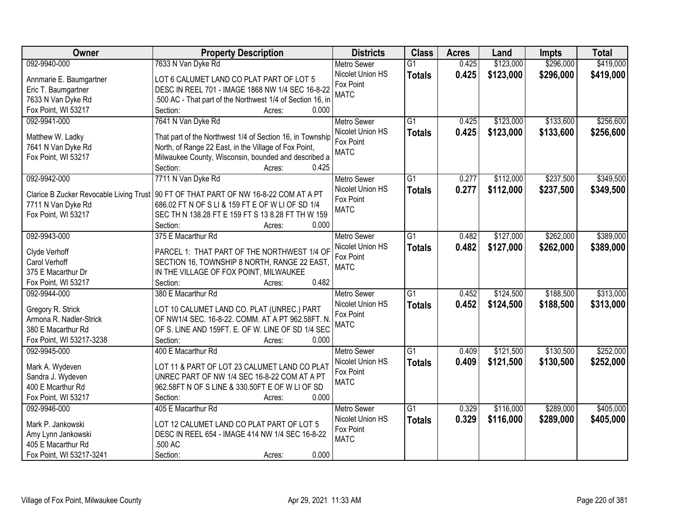| Owner                          | <b>Property Description</b>                                                                 | <b>Districts</b>   | <b>Class</b>    | <b>Acres</b> | Land      | <b>Impts</b> | <b>Total</b> |
|--------------------------------|---------------------------------------------------------------------------------------------|--------------------|-----------------|--------------|-----------|--------------|--------------|
| 092-9940-000                   | 7633 N Van Dyke Rd                                                                          | <b>Metro Sewer</b> | $\overline{G1}$ | 0.425        | \$123,000 | \$296,000    | \$419,000    |
| Annmarie E. Baumgartner        | LOT 6 CALUMET LAND CO PLAT PART OF LOT 5                                                    | Nicolet Union HS   | <b>Totals</b>   | 0.425        | \$123,000 | \$296,000    | \$419,000    |
| Eric T. Baumgartner            | DESC IN REEL 701 - IMAGE 1868 NW 1/4 SEC 16-8-22                                            | Fox Point          |                 |              |           |              |              |
| 7633 N Van Dyke Rd             | 500 AC - That part of the Northwest 1/4 of Section 16, in                                   | <b>MATC</b>        |                 |              |           |              |              |
| Fox Point, WI 53217            | 0.000<br>Section:<br>Acres:                                                                 |                    |                 |              |           |              |              |
| 092-9941-000                   | 7641 N Van Dyke Rd                                                                          | <b>Metro Sewer</b> | $\overline{G1}$ | 0.425        | \$123,000 | \$133,600    | \$256,600    |
|                                |                                                                                             | Nicolet Union HS   | <b>Totals</b>   | 0.425        | \$123,000 | \$133,600    | \$256,600    |
| Matthew W. Ladky               | That part of the Northwest 1/4 of Section 16, in Township                                   | Fox Point          |                 |              |           |              |              |
| 7641 N Van Dyke Rd             | North, of Range 22 East, in the Village of Fox Point,                                       | <b>MATC</b>        |                 |              |           |              |              |
| Fox Point, WI 53217            | Milwaukee County, Wisconsin, bounded and described a                                        |                    |                 |              |           |              |              |
|                                | 0.425<br>Section:<br>Acres:                                                                 |                    |                 |              |           |              |              |
| 092-9942-000                   | 7711 N Van Dyke Rd                                                                          | <b>Metro Sewer</b> | $\overline{G1}$ | 0.277        | \$112,000 | \$237,500    | \$349,500    |
|                                | Clarice B Zucker Revocable Living Trust   90 FT OF THAT PART OF NW 16-8-22 COM AT A PT      | Nicolet Union HS   | <b>Totals</b>   | 0.277        | \$112,000 | \$237,500    | \$349,500    |
| 7711 N Van Dyke Rd             | 686.02 FT N OF S LI & 159 FT E OF W LI OF SD 1/4                                            | Fox Point          |                 |              |           |              |              |
| Fox Point, WI 53217            | SEC TH N 138.28 FT E 159 FT S 13 8.28 FT TH W 159                                           | <b>MATC</b>        |                 |              |           |              |              |
|                                | Section:<br>0.000<br>Acres:                                                                 |                    |                 |              |           |              |              |
| 092-9943-000                   | 375 E Macarthur Rd                                                                          | <b>Metro Sewer</b> | G1              | 0.482        | \$127,000 | \$262,000    | \$389,000    |
|                                |                                                                                             | Nicolet Union HS   | <b>Totals</b>   | 0.482        | \$127,000 | \$262,000    | \$389,000    |
| Clyde Verhoff<br>Carol Verhoff | PARCEL 1: THAT PART OF THE NORTHWEST 1/4 OF<br>SECTION 16, TOWNSHIP 8 NORTH, RANGE 22 EAST, | Fox Point          |                 |              |           |              |              |
| 375 E Macarthur Dr             | IN THE VILLAGE OF FOX POINT, MILWAUKEE                                                      | <b>MATC</b>        |                 |              |           |              |              |
| Fox Point, WI 53217            | 0.482<br>Section:<br>Acres:                                                                 |                    |                 |              |           |              |              |
| 092-9944-000                   | 380 E Macarthur Rd                                                                          | <b>Metro Sewer</b> | $\overline{G1}$ | 0.452        | \$124,500 | \$188,500    | \$313,000    |
|                                |                                                                                             | Nicolet Union HS   |                 | 0.452        | \$124,500 | \$188,500    |              |
| Gregory R. Strick              | LOT 10 CALUMET LAND CO. PLAT (UNREC.) PART                                                  | Fox Point          | <b>Totals</b>   |              |           |              | \$313,000    |
| Armona R. Nadler-Strick        | OF NW1/4 SEC. 16-8-22. COMM. AT A PT 962.58FT. N                                            | <b>MATC</b>        |                 |              |           |              |              |
| 380 E Macarthur Rd             | OF S. LINE AND 159FT. E. OF W. LINE OF SD 1/4 SEC                                           |                    |                 |              |           |              |              |
| Fox Point, WI 53217-3238       | Section:<br>0.000<br>Acres:                                                                 |                    |                 |              |           |              |              |
| 092-9945-000                   | 400 E Macarthur Rd                                                                          | <b>Metro Sewer</b> | $\overline{G1}$ | 0.409        | \$121,500 | \$130,500    | \$252,000    |
| Mark A. Wydeven                | LOT 11 & PART OF LOT 23 CALUMET LAND CO PLAT                                                | Nicolet Union HS   | <b>Totals</b>   | 0.409        | \$121,500 | \$130,500    | \$252,000    |
| Sandra J. Wydeven              | UNREC PART OF NW 1/4 SEC 16-8-22 COM AT A PT                                                | Fox Point          |                 |              |           |              |              |
| 400 E Mcarthur Rd              | 962.58FT N OF S LINE & 330.50FT E OF W LI OF SD                                             | <b>MATC</b>        |                 |              |           |              |              |
| Fox Point, WI 53217            | 0.000<br>Section:<br>Acres:                                                                 |                    |                 |              |           |              |              |
| 092-9946-000                   | 405 E Macarthur Rd                                                                          | <b>Metro Sewer</b> | $\overline{G1}$ | 0.329        | \$116,000 | \$289,000    | \$405,000    |
|                                |                                                                                             | Nicolet Union HS   | <b>Totals</b>   | 0.329        | \$116,000 | \$289,000    | \$405,000    |
| Mark P. Jankowski              | LOT 12 CALUMET LAND CO PLAT PART OF LOT 5                                                   | Fox Point          |                 |              |           |              |              |
| Amy Lynn Jankowski             | DESC IN REEL 654 - IMAGE 414 NW 1/4 SEC 16-8-22                                             | <b>MATC</b>        |                 |              |           |              |              |
| 405 E Macarthur Rd             | .500 AC                                                                                     |                    |                 |              |           |              |              |
| Fox Point, WI 53217-3241       | 0.000<br>Section:<br>Acres:                                                                 |                    |                 |              |           |              |              |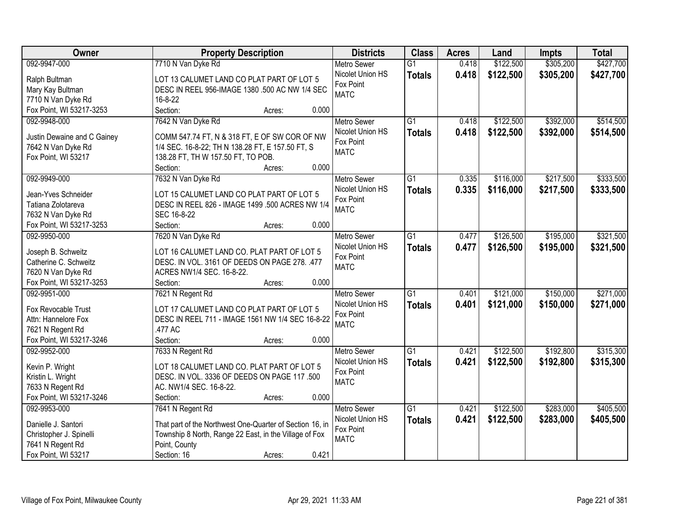| Owner                       | <b>Property Description</b>                              | <b>Districts</b>   | <b>Class</b>    | <b>Acres</b> | Land      | <b>Impts</b> | <b>Total</b> |
|-----------------------------|----------------------------------------------------------|--------------------|-----------------|--------------|-----------|--------------|--------------|
| 092-9947-000                | 7710 N Van Dyke Rd                                       | Metro Sewer        | $\overline{G1}$ | 0.418        | \$122,500 | \$305,200    | \$427,700    |
| Ralph Bultman               | LOT 13 CALUMET LAND CO PLAT PART OF LOT 5                | Nicolet Union HS   | <b>Totals</b>   | 0.418        | \$122,500 | \$305,200    | \$427,700    |
| Mary Kay Bultman            | DESC IN REEL 956-IMAGE 1380 .500 AC NW 1/4 SEC           | Fox Point          |                 |              |           |              |              |
| 7710 N Van Dyke Rd          | 16-8-22                                                  | <b>MATC</b>        |                 |              |           |              |              |
| Fox Point, WI 53217-3253    | 0.000<br>Section:<br>Acres:                              |                    |                 |              |           |              |              |
| 092-9948-000                | 7642 N Van Dyke Rd                                       | <b>Metro Sewer</b> | $\overline{G1}$ | 0.418        | \$122,500 | \$392,000    | \$514,500    |
|                             |                                                          | Nicolet Union HS   | <b>Totals</b>   | 0.418        | \$122,500 | \$392,000    | \$514,500    |
| Justin Dewaine and C Gainey | COMM 547.74 FT, N & 318 FT, E OF SW COR OF NW            | Fox Point          |                 |              |           |              |              |
| 7642 N Van Dyke Rd          | 1/4 SEC. 16-8-22; TH N 138.28 FT, E 157.50 FT, S         | <b>MATC</b>        |                 |              |           |              |              |
| Fox Point, WI 53217         | 138.28 FT, TH W 157.50 FT, TO POB.                       |                    |                 |              |           |              |              |
|                             | 0.000<br>Section:<br>Acres:                              |                    |                 |              |           |              |              |
| 092-9949-000                | 7632 N Van Dyke Rd                                       | Metro Sewer        | $\overline{G1}$ | 0.335        | \$116,000 | \$217,500    | \$333,500    |
| Jean-Yves Schneider         | LOT 15 CALUMET LAND CO PLAT PART OF LOT 5                | Nicolet Union HS   | <b>Totals</b>   | 0.335        | \$116,000 | \$217,500    | \$333,500    |
| Tatiana Zolotareva          | DESC IN REEL 826 - IMAGE 1499 .500 ACRES NW 1/4          | Fox Point          |                 |              |           |              |              |
| 7632 N Van Dyke Rd          | SEC 16-8-22                                              | <b>MATC</b>        |                 |              |           |              |              |
| Fox Point, WI 53217-3253    | Section:<br>0.000<br>Acres:                              |                    |                 |              |           |              |              |
| 092-9950-000                | 7620 N Van Dyke Rd                                       | <b>Metro Sewer</b> | $\overline{G1}$ | 0.477        | \$126,500 | \$195,000    | \$321,500    |
|                             |                                                          | Nicolet Union HS   | <b>Totals</b>   | 0.477        | \$126,500 | \$195,000    | \$321,500    |
| Joseph B. Schweitz          | LOT 16 CALUMET LAND CO. PLAT PART OF LOT 5               | Fox Point          |                 |              |           |              |              |
| Catherine C. Schweitz       | DESC. IN VOL. 3161 OF DEEDS ON PAGE 278. .477            | <b>MATC</b>        |                 |              |           |              |              |
| 7620 N Van Dyke Rd          | ACRES NW1/4 SEC. 16-8-22.                                |                    |                 |              |           |              |              |
| Fox Point, WI 53217-3253    | 0.000<br>Section:<br>Acres:                              |                    |                 |              |           |              |              |
| 092-9951-000                | 7621 N Regent Rd                                         | <b>Metro Sewer</b> | $\overline{G1}$ | 0.401        | \$121,000 | \$150,000    | \$271,000    |
| Fox Revocable Trust         | LOT 17 CALUMET LAND CO PLAT PART OF LOT 5                | Nicolet Union HS   | <b>Totals</b>   | 0.401        | \$121,000 | \$150,000    | \$271,000    |
| Attn: Hannelore Fox         | DESC IN REEL 711 - IMAGE 1561 NW 1/4 SEC 16-8-22         | Fox Point          |                 |              |           |              |              |
| 7621 N Regent Rd            | 477 AC                                                   | <b>MATC</b>        |                 |              |           |              |              |
| Fox Point, WI 53217-3246    | Section:<br>0.000<br>Acres:                              |                    |                 |              |           |              |              |
| 092-9952-000                | 7633 N Regent Rd                                         | <b>Metro Sewer</b> | $\overline{G1}$ | 0.421        | \$122,500 | \$192,800    | \$315,300    |
|                             |                                                          | Nicolet Union HS   | <b>Totals</b>   | 0.421        | \$122,500 | \$192,800    | \$315,300    |
| Kevin P. Wright             | LOT 18 CALUMET LAND CO. PLAT PART OF LOT 5               | Fox Point          |                 |              |           |              |              |
| Kristin L. Wright           | DESC. IN VOL. 3336 OF DEEDS ON PAGE 117 .500             | <b>MATC</b>        |                 |              |           |              |              |
| 7633 N Regent Rd            | AC. NW1/4 SEC. 16-8-22.                                  |                    |                 |              |           |              |              |
| Fox Point, WI 53217-3246    | 0.000<br>Section:<br>Acres:                              |                    |                 |              |           |              |              |
| 092-9953-000                | 7641 N Regent Rd                                         | <b>Metro Sewer</b> | $\overline{G1}$ | 0.421        | \$122,500 | \$283,000    | \$405,500    |
| Danielle J. Santori         | That part of the Northwest One-Quarter of Section 16, in | Nicolet Union HS   | <b>Totals</b>   | 0.421        | \$122,500 | \$283,000    | \$405,500    |
| Christopher J. Spinelli     | Township 8 North, Range 22 East, in the Village of Fox   | Fox Point          |                 |              |           |              |              |
| 7641 N Regent Rd            | Point, County                                            | <b>MATC</b>        |                 |              |           |              |              |
| Fox Point, WI 53217         | 0.421<br>Section: 16<br>Acres:                           |                    |                 |              |           |              |              |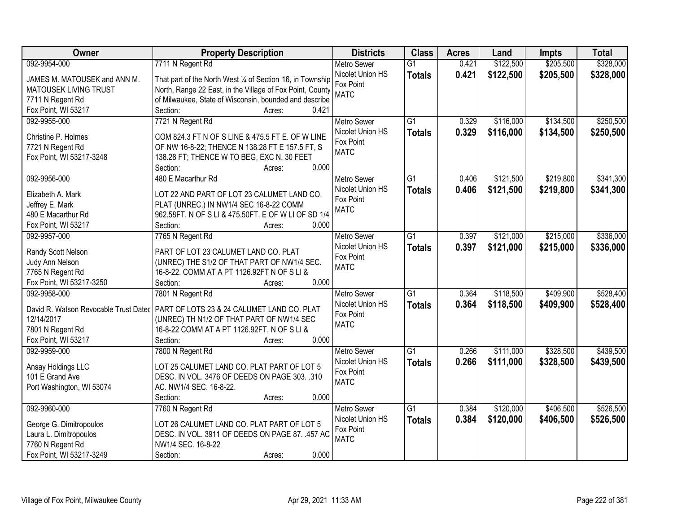| Owner                        | <b>Property Description</b>                                                        | <b>Districts</b>   | <b>Class</b>    | <b>Acres</b> | Land      | <b>Impts</b> | <b>Total</b> |
|------------------------------|------------------------------------------------------------------------------------|--------------------|-----------------|--------------|-----------|--------------|--------------|
| 092-9954-000                 | 7711 N Regent Rd                                                                   | <b>Metro Sewer</b> | $\overline{G1}$ | 0.421        | \$122,500 | \$205,500    | \$328,000    |
| JAMES M. MATOUSEK and ANN M. | That part of the North West 1/4 of Section 16, in Township                         | Nicolet Union HS   | <b>Totals</b>   | 0.421        | \$122,500 | \$205,500    | \$328,000    |
| <b>MATOUSEK LIVING TRUST</b> | North, Range 22 East, in the Village of Fox Point, County                          | Fox Point          |                 |              |           |              |              |
| 7711 N Regent Rd             | of Milwaukee, State of Wisconsin, bounded and describe                             | <b>MATC</b>        |                 |              |           |              |              |
| Fox Point, WI 53217          | Section:<br>0.421<br>Acres:                                                        |                    |                 |              |           |              |              |
| 092-9955-000                 | 7721 N Regent Rd                                                                   | <b>Metro Sewer</b> | $\overline{G1}$ | 0.329        | \$116,000 | \$134,500    | \$250,500    |
|                              |                                                                                    | Nicolet Union HS   | <b>Totals</b>   | 0.329        | \$116,000 | \$134,500    | \$250,500    |
| Christine P. Holmes          | COM 824.3 FT N OF S LINE & 475.5 FT E. OF W LINE                                   | Fox Point          |                 |              |           |              |              |
| 7721 N Regent Rd             | OF NW 16-8-22; THENCE N 138.28 FT E 157.5 FT, S                                    | <b>MATC</b>        |                 |              |           |              |              |
| Fox Point, WI 53217-3248     | 138.28 FT; THENCE W TO BEG, EXC N. 30 FEET                                         |                    |                 |              |           |              |              |
|                              | 0.000<br>Section:<br>Acres:                                                        |                    |                 |              |           |              |              |
| 092-9956-000                 | 480 E Macarthur Rd                                                                 | Metro Sewer        | G1              | 0.406        | \$121,500 | \$219,800    | \$341,300    |
| Elizabeth A. Mark            | LOT 22 AND PART OF LOT 23 CALUMET LAND CO.                                         | Nicolet Union HS   | <b>Totals</b>   | 0.406        | \$121,500 | \$219,800    | \$341,300    |
| Jeffrey E. Mark              | PLAT (UNREC.) IN NW1/4 SEC 16-8-22 COMM                                            | Fox Point          |                 |              |           |              |              |
| 480 E Macarthur Rd           | 962.58FT. N OF S LI & 475.50FT. E OF W LI OF SD 1/4                                | <b>MATC</b>        |                 |              |           |              |              |
| Fox Point, WI 53217          | Section:<br>0.000<br>Acres:                                                        |                    |                 |              |           |              |              |
| 092-9957-000                 | 7765 N Regent Rd                                                                   | <b>Metro Sewer</b> | $\overline{G1}$ | 0.397        | \$121,000 | \$215,000    | \$336,000    |
|                              |                                                                                    | Nicolet Union HS   |                 |              |           |              |              |
| Randy Scott Nelson           | PART OF LOT 23 CALUMET LAND CO. PLAT                                               | Fox Point          | <b>Totals</b>   | 0.397        | \$121,000 | \$215,000    | \$336,000    |
| Judy Ann Nelson              | (UNREC) THE S1/2 OF THAT PART OF NW1/4 SEC.                                        | <b>MATC</b>        |                 |              |           |              |              |
| 7765 N Regent Rd             | 16-8-22. COMM AT A PT 1126.92FT N OF S LI &                                        |                    |                 |              |           |              |              |
| Fox Point, WI 53217-3250     | 0.000<br>Section:<br>Acres:                                                        |                    |                 |              |           |              |              |
| 092-9958-000                 | 7801 N Regent Rd                                                                   | Metro Sewer        | $\overline{G1}$ | 0.364        | \$118,500 | \$409,900    | \$528,400    |
|                              |                                                                                    | Nicolet Union HS   | <b>Totals</b>   | 0.364        | \$118,500 | \$409,900    | \$528,400    |
|                              | David R. Watson Revocable Trust Datec   PART OF LOTS 23 & 24 CALUMET LAND CO. PLAT | Fox Point          |                 |              |           |              |              |
| 12/14/2017                   | (UNREC) TH N1/2 OF THAT PART OF NW1/4 SEC                                          | <b>MATC</b>        |                 |              |           |              |              |
| 7801 N Regent Rd             | 16-8-22 COMM AT A PT 1126.92FT. N OF S LI &<br>0.000                               |                    |                 |              |           |              |              |
| Fox Point, WI 53217          | Section:<br>Acres:                                                                 |                    |                 |              |           |              |              |
| 092-9959-000                 | 7800 N Regent Rd                                                                   | <b>Metro Sewer</b> | $\overline{G1}$ | 0.266        | \$111,000 | \$328,500    | \$439,500    |
| Ansay Holdings LLC           | LOT 25 CALUMET LAND CO. PLAT PART OF LOT 5                                         | Nicolet Union HS   | <b>Totals</b>   | 0.266        | \$111,000 | \$328,500    | \$439,500    |
| 101 E Grand Ave              | DESC. IN VOL. 3476 OF DEEDS ON PAGE 303. .310                                      | Fox Point          |                 |              |           |              |              |
| Port Washington, WI 53074    | AC. NW1/4 SEC. 16-8-22.                                                            | <b>MATC</b>        |                 |              |           |              |              |
|                              | 0.000<br>Section:<br>Acres:                                                        |                    |                 |              |           |              |              |
| 092-9960-000                 | 7760 N Regent Rd                                                                   | <b>Metro Sewer</b> | $\overline{G1}$ | 0.384        | \$120,000 | \$406,500    | \$526,500    |
|                              |                                                                                    | Nicolet Union HS   | <b>Totals</b>   | 0.384        | \$120,000 | \$406,500    | \$526,500    |
| George G. Dimitropoulos      | LOT 26 CALUMET LAND CO. PLAT PART OF LOT 5                                         | Fox Point          |                 |              |           |              |              |
| Laura L. Dimitropoulos       | DESC. IN VOL. 3911 OF DEEDS ON PAGE 87. .457 AC                                    | <b>MATC</b>        |                 |              |           |              |              |
| 7760 N Regent Rd             | NW1/4 SEC. 16-8-22                                                                 |                    |                 |              |           |              |              |
| Fox Point, WI 53217-3249     | 0.000<br>Section:<br>Acres:                                                        |                    |                 |              |           |              |              |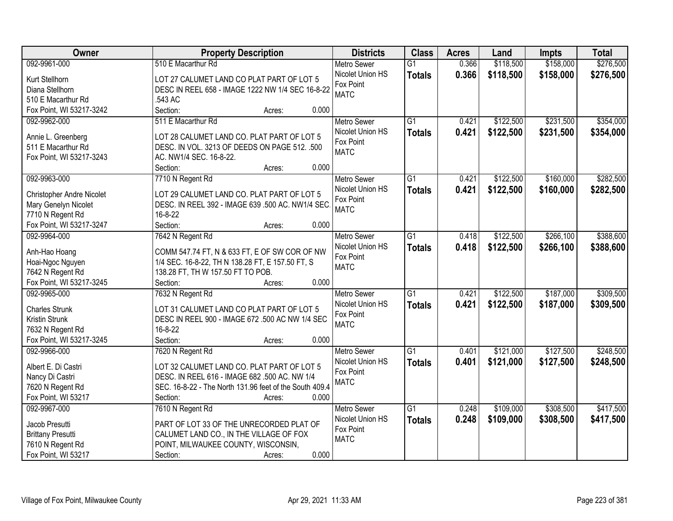| Owner                                | <b>Property Description</b>                                                           | <b>Districts</b>         | <b>Class</b>    | <b>Acres</b> | Land      | <b>Impts</b> | <b>Total</b> |
|--------------------------------------|---------------------------------------------------------------------------------------|--------------------------|-----------------|--------------|-----------|--------------|--------------|
| 092-9961-000                         | 510 E Macarthur Rd                                                                    | <b>Metro Sewer</b>       | $\overline{G1}$ | 0.366        | \$118,500 | \$158,000    | \$276,500    |
| Kurt Stellhorn                       | LOT 27 CALUMET LAND CO PLAT PART OF LOT 5                                             | Nicolet Union HS         | <b>Totals</b>   | 0.366        | \$118,500 | \$158,000    | \$276,500    |
| Diana Stellhorn                      | DESC IN REEL 658 - IMAGE 1222 NW 1/4 SEC 16-8-22                                      | Fox Point                |                 |              |           |              |              |
| 510 E Macarthur Rd                   | 543 AC                                                                                | <b>MATC</b>              |                 |              |           |              |              |
| Fox Point, WI 53217-3242             | 0.000<br>Section:<br>Acres:                                                           |                          |                 |              |           |              |              |
| 092-9962-000                         | 511 E Macarthur Rd                                                                    | <b>Metro Sewer</b>       | $\overline{G1}$ | 0.421        | \$122,500 | \$231,500    | \$354,000    |
|                                      |                                                                                       | Nicolet Union HS         | <b>Totals</b>   | 0.421        | \$122,500 | \$231,500    | \$354,000    |
| Annie L. Greenberg                   | LOT 28 CALUMET LAND CO. PLAT PART OF LOT 5                                            | Fox Point                |                 |              |           |              |              |
| 511 E Macarthur Rd                   | DESC. IN VOL. 3213 OF DEEDS ON PAGE 512. .500                                         | <b>MATC</b>              |                 |              |           |              |              |
| Fox Point, WI 53217-3243             | AC. NW1/4 SEC. 16-8-22.                                                               |                          |                 |              |           |              |              |
|                                      | 0.000<br>Section:<br>Acres:                                                           |                          |                 |              |           |              |              |
| 092-9963-000                         | 7710 N Regent Rd                                                                      | <b>Metro Sewer</b>       | $\overline{G1}$ | 0.421        | \$122,500 | \$160,000    | \$282,500    |
| <b>Christopher Andre Nicolet</b>     | LOT 29 CALUMET LAND CO. PLAT PART OF LOT 5                                            | Nicolet Union HS         | <b>Totals</b>   | 0.421        | \$122,500 | \$160,000    | \$282,500    |
| Mary Genelyn Nicolet                 | DESC. IN REEL 392 - IMAGE 639 .500 AC. NW1/4 SEC.                                     | Fox Point<br><b>MATC</b> |                 |              |           |              |              |
| 7710 N Regent Rd                     | 16-8-22                                                                               |                          |                 |              |           |              |              |
| Fox Point, WI 53217-3247             | Section:<br>0.000<br>Acres:                                                           |                          |                 |              |           |              |              |
| 092-9964-000                         | 7642 N Regent Rd                                                                      | <b>Metro Sewer</b>       | $\overline{G1}$ | 0.418        | \$122,500 | \$266,100    | \$388,600    |
|                                      |                                                                                       | Nicolet Union HS         | <b>Totals</b>   | 0.418        | \$122,500 | \$266,100    | \$388,600    |
| Anh-Hao Hoang                        | COMM 547.74 FT, N & 633 FT, E OF SW COR OF NW                                         | Fox Point                |                 |              |           |              |              |
| Hoai-Ngoc Nguyen<br>7642 N Regent Rd | 1/4 SEC. 16-8-22, TH N 138.28 FT, E 157.50 FT, S<br>138.28 FT, TH W 157.50 FT TO POB. | <b>MATC</b>              |                 |              |           |              |              |
| Fox Point, WI 53217-3245             | 0.000<br>Section:<br>Acres:                                                           |                          |                 |              |           |              |              |
| 092-9965-000                         | 7632 N Regent Rd                                                                      | <b>Metro Sewer</b>       | $\overline{G1}$ | 0.421        | \$122,500 | \$187,000    | \$309,500    |
|                                      |                                                                                       | Nicolet Union HS         |                 | 0.421        | \$122,500 | \$187,000    |              |
| <b>Charles Strunk</b>                | LOT 31 CALUMET LAND CO PLAT PART OF LOT 5                                             | Fox Point                | <b>Totals</b>   |              |           |              | \$309,500    |
| Kristin Strunk                       | DESC IN REEL 900 - IMAGE 672 .500 AC NW 1/4 SEC                                       | <b>MATC</b>              |                 |              |           |              |              |
| 7632 N Regent Rd                     | 16-8-22                                                                               |                          |                 |              |           |              |              |
| Fox Point, WI 53217-3245             | Section:<br>0.000<br>Acres:                                                           |                          |                 |              |           |              |              |
| 092-9966-000                         | 7620 N Regent Rd                                                                      | <b>Metro Sewer</b>       | $\overline{G1}$ | 0.401        | \$121,000 | \$127,500    | \$248,500    |
| Albert E. Di Castri                  | LOT 32 CALUMET LAND CO. PLAT PART OF LOT 5                                            | Nicolet Union HS         | <b>Totals</b>   | 0.401        | \$121,000 | \$127,500    | \$248,500    |
| Nancy Di Castri                      | DESC. IN REEL 616 - IMAGE 682 .500 AC. NW 1/4                                         | Fox Point                |                 |              |           |              |              |
| 7620 N Regent Rd                     | SEC. 16-8-22 - The North 131.96 feet of the South 409.4                               | <b>MATC</b>              |                 |              |           |              |              |
| Fox Point, WI 53217                  | 0.000<br>Section:<br>Acres:                                                           |                          |                 |              |           |              |              |
| 092-9967-000                         | 7610 N Regent Rd                                                                      | <b>Metro Sewer</b>       | $\overline{G1}$ | 0.248        | \$109,000 | \$308,500    | \$417,500    |
|                                      |                                                                                       | Nicolet Union HS         | <b>Totals</b>   | 0.248        | \$109,000 | \$308,500    | \$417,500    |
| Jacob Presutti                       | PART OF LOT 33 OF THE UNRECORDED PLAT OF                                              | Fox Point                |                 |              |           |              |              |
| <b>Brittany Presutti</b>             | CALUMET LAND CO., IN THE VILLAGE OF FOX                                               | <b>MATC</b>              |                 |              |           |              |              |
| 7610 N Regent Rd                     | POINT, MILWAUKEE COUNTY, WISCONSIN,                                                   |                          |                 |              |           |              |              |
| Fox Point, WI 53217                  | 0.000<br>Section:<br>Acres:                                                           |                          |                 |              |           |              |              |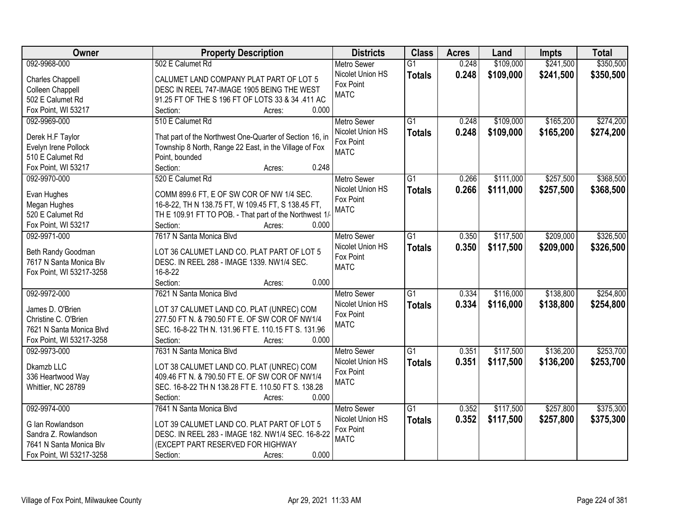| <b>Owner</b>                     | <b>Property Description</b>                              | <b>Districts</b>         | <b>Class</b>    | <b>Acres</b> | Land      | <b>Impts</b> | <b>Total</b> |
|----------------------------------|----------------------------------------------------------|--------------------------|-----------------|--------------|-----------|--------------|--------------|
| 092-9968-000                     | 502 E Calumet Rd                                         | <b>Metro Sewer</b>       | $\overline{G1}$ | 0.248        | \$109,000 | \$241,500    | \$350,500    |
| <b>Charles Chappell</b>          | CALUMET LAND COMPANY PLAT PART OF LOT 5                  | Nicolet Union HS         | <b>Totals</b>   | 0.248        | \$109,000 | \$241,500    | \$350,500    |
| Colleen Chappell                 | DESC IN REEL 747-IMAGE 1905 BEING THE WEST               | Fox Point                |                 |              |           |              |              |
| 502 E Calumet Rd                 | 91.25 FT OF THE S 196 FT OF LOTS 33 & 34 .411 AC         | <b>MATC</b>              |                 |              |           |              |              |
| Fox Point, WI 53217              | 0.000<br>Section:<br>Acres:                              |                          |                 |              |           |              |              |
| 092-9969-000                     | 510 E Calumet Rd                                         | <b>Metro Sewer</b>       | $\overline{G1}$ | 0.248        | \$109,000 | \$165,200    | \$274,200    |
|                                  |                                                          | Nicolet Union HS         | <b>Totals</b>   | 0.248        | \$109,000 | \$165,200    | \$274,200    |
| Derek H.F Taylor                 | That part of the Northwest One-Quarter of Section 16, in | Fox Point                |                 |              |           |              |              |
| Evelyn Irene Pollock             | Township 8 North, Range 22 East, in the Village of Fox   | <b>MATC</b>              |                 |              |           |              |              |
| 510 E Calumet Rd                 | Point, bounded                                           |                          |                 |              |           |              |              |
| Fox Point, WI 53217              | 0.248<br>Section:<br>Acres:                              |                          |                 |              |           |              |              |
| 092-9970-000                     | 520 E Calumet Rd                                         | Metro Sewer              | G1              | 0.266        | \$111,000 | \$257,500    | \$368,500    |
| Evan Hughes                      | COMM 899.6 FT, E OF SW COR OF NW 1/4 SEC.                | Nicolet Union HS         | <b>Totals</b>   | 0.266        | \$111,000 | \$257,500    | \$368,500    |
|                                  | 16-8-22, TH N 138.75 FT, W 109.45 FT, S 138.45 FT,       | Fox Point                |                 |              |           |              |              |
| Megan Hughes<br>520 E Calumet Rd | TH E 109.91 FT TO POB. - That part of the Northwest 1/   | <b>MATC</b>              |                 |              |           |              |              |
| Fox Point, WI 53217              | Section:<br>0.000                                        |                          |                 |              |           |              |              |
| 092-9971-000                     | Acres:<br>7617 N Santa Monica Blvd                       |                          | $\overline{G1}$ |              |           |              |              |
|                                  |                                                          | <b>Metro Sewer</b>       |                 | 0.350        | \$117,500 | \$209,000    | \$326,500    |
| Beth Randy Goodman               | LOT 36 CALUMET LAND CO. PLAT PART OF LOT 5               | Nicolet Union HS         | <b>Totals</b>   | 0.350        | \$117,500 | \$209,000    | \$326,500    |
| 7617 N Santa Monica Blv          | DESC. IN REEL 288 - IMAGE 1339. NW1/4 SEC.               | Fox Point<br><b>MATC</b> |                 |              |           |              |              |
| Fox Point, WI 53217-3258         | 16-8-22                                                  |                          |                 |              |           |              |              |
|                                  | 0.000<br>Section:<br>Acres:                              |                          |                 |              |           |              |              |
| 092-9972-000                     | 7621 N Santa Monica Blvd                                 | <b>Metro Sewer</b>       | $\overline{G1}$ | 0.334        | \$116,000 | \$138,800    | \$254,800    |
|                                  |                                                          | Nicolet Union HS         | <b>Totals</b>   | 0.334        | \$116,000 | \$138,800    | \$254,800    |
| James D. O'Brien                 | LOT 37 CALUMET LAND CO. PLAT (UNREC) COM                 | Fox Point                |                 |              |           |              |              |
| Christine C. O'Brien             | 277.50 FT N. & 790.50 FT E. OF SW COR OF NW1/4           | <b>MATC</b>              |                 |              |           |              |              |
| 7621 N Santa Monica Blvd         | SEC. 16-8-22 TH N. 131.96 FT E. 110.15 FT S. 131.96      |                          |                 |              |           |              |              |
| Fox Point, WI 53217-3258         | Section:<br>0.000<br>Acres:                              |                          |                 |              |           |              |              |
| 092-9973-000                     | 7631 N Santa Monica Blvd                                 | <b>Metro Sewer</b>       | $\overline{G1}$ | 0.351        | \$117,500 | \$136,200    | \$253,700    |
| Dkamzb LLC                       | LOT 38 CALUMET LAND CO. PLAT (UNREC) COM                 | Nicolet Union HS         | <b>Totals</b>   | 0.351        | \$117,500 | \$136,200    | \$253,700    |
| 336 Heartwood Way                | 409.46 FT N. & 790.50 FT E. OF SW COR OF NW1/4           | Fox Point                |                 |              |           |              |              |
| Whittier, NC 28789               | SEC. 16-8-22 TH N 138.28 FT E. 110.50 FT S. 138.28       | <b>MATC</b>              |                 |              |           |              |              |
|                                  | 0.000<br>Section:<br>Acres:                              |                          |                 |              |           |              |              |
| 092-9974-000                     | 7641 N Santa Monica Blvd                                 | <b>Metro Sewer</b>       | $\overline{G1}$ | 0.352        | \$117,500 | \$257,800    | \$375,300    |
|                                  |                                                          | Nicolet Union HS         | <b>Totals</b>   | 0.352        | \$117,500 | \$257,800    | \$375,300    |
| G Ian Rowlandson                 | LOT 39 CALUMET LAND CO. PLAT PART OF LOT 5               | Fox Point                |                 |              |           |              |              |
| Sandra Z. Rowlandson             | DESC. IN REEL 283 - IMAGE 182. NW1/4 SEC. 16-8-22        | <b>MATC</b>              |                 |              |           |              |              |
| 7641 N Santa Monica Blv          | (EXCEPT PART RESERVED FOR HIGHWAY                        |                          |                 |              |           |              |              |
| Fox Point, WI 53217-3258         | 0.000<br>Section:<br>Acres:                              |                          |                 |              |           |              |              |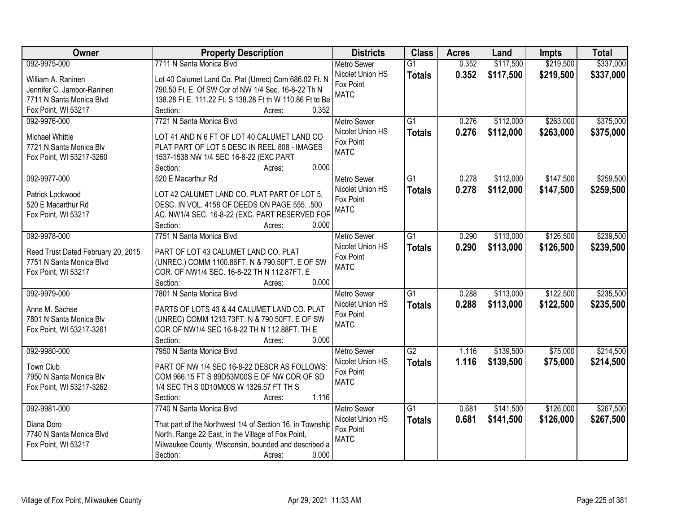| Owner                              | <b>Property Description</b>                                                                                     | <b>Districts</b>              | <b>Class</b>    | <b>Acres</b> | Land      | <b>Impts</b> | <b>Total</b> |
|------------------------------------|-----------------------------------------------------------------------------------------------------------------|-------------------------------|-----------------|--------------|-----------|--------------|--------------|
| 092-9975-000                       | 7711 N Santa Monica Blvd                                                                                        | Metro Sewer                   | $\overline{G1}$ | 0.352        | \$117,500 | \$219,500    | \$337,000    |
| William A. Raninen                 | Lot 40 Calumet Land Co. Plat (Unrec) Com 686.02 Ft. N                                                           | Nicolet Union HS              | <b>Totals</b>   | 0.352        | \$117,500 | \$219,500    | \$337,000    |
| Jennifer C. Jambor-Raninen         | 790.50 Ft. E. Of SW Cor of NW 1/4 Sec. 16-8-22 Th N                                                             | Fox Point                     |                 |              |           |              |              |
| 7711 N Santa Monica Blvd           | 138.28 Ft E. 111.22 Ft. S 138.28 Ft th W 110.86 Ft to Be                                                        | <b>MATC</b>                   |                 |              |           |              |              |
| Fox Point, WI 53217                | Section:<br>0.352<br>Acres:                                                                                     |                               |                 |              |           |              |              |
| 092-9976-000                       | 7721 N Santa Monica Blvd                                                                                        | <b>Metro Sewer</b>            | $\overline{G1}$ | 0.276        | \$112,000 | \$263,000    | \$375,000    |
|                                    |                                                                                                                 | Nicolet Union HS              | <b>Totals</b>   | 0.276        | \$112,000 | \$263,000    | \$375,000    |
| <b>Michael Whittle</b>             | LOT 41 AND N 6 FT OF LOT 40 CALUMET LAND CO                                                                     | Fox Point                     |                 |              |           |              |              |
| 7721 N Santa Monica Blv            | PLAT PART OF LOT 5 DESC IN REEL 808 - IMAGES                                                                    | <b>MATC</b>                   |                 |              |           |              |              |
| Fox Point, WI 53217-3260           | 1537-1538 NW 1/4 SEC 16-8-22 (EXC PART<br>0.000                                                                 |                               |                 |              |           |              |              |
|                                    | Section:<br>Acres:                                                                                              |                               |                 |              |           |              |              |
| 092-9977-000                       | 520 E Macarthur Rd                                                                                              | <b>Metro Sewer</b>            | $\overline{G1}$ | 0.278        | \$112,000 | \$147,500    | \$259,500    |
| Patrick Lockwood                   | LOT 42 CALUMET LAND CO. PLAT PART OF LOT 5,                                                                     | Nicolet Union HS<br>Fox Point | <b>Totals</b>   | 0.278        | \$112,000 | \$147,500    | \$259,500    |
| 520 E Macarthur Rd                 | DESC. IN VOL. 4158 OF DEEDS ON PAGE 555. .500                                                                   | <b>MATC</b>                   |                 |              |           |              |              |
| Fox Point, WI 53217                | AC. NW1/4 SEC. 16-8-22 (EXC. PART RESERVED FOR                                                                  |                               |                 |              |           |              |              |
|                                    | Section:<br>0.000<br>Acres:                                                                                     |                               |                 |              |           |              |              |
| 092-9978-000                       | 7751 N Santa Monica Blvd                                                                                        | <b>Metro Sewer</b>            | G1              | 0.290        | \$113,000 | \$126,500    | \$239,500    |
| Reed Trust Dated February 20, 2015 | PART OF LOT 43 CALUMET LAND CO. PLAT                                                                            | Nicolet Union HS              | <b>Totals</b>   | 0.290        | \$113,000 | \$126,500    | \$239,500    |
| 7751 N Santa Monica Blvd           | (UNREC.) COMM 1100.86FT. N & 790.50FT. E OF SW                                                                  | Fox Point                     |                 |              |           |              |              |
| Fox Point, WI 53217                | COR. OF NW1/4 SEC. 16-8-22 TH N 112.87FT. E                                                                     | <b>MATC</b>                   |                 |              |           |              |              |
|                                    | Section:<br>0.000<br>Acres:                                                                                     |                               |                 |              |           |              |              |
| 092-9979-000                       | 7801 N Santa Monica Blvd                                                                                        | <b>Metro Sewer</b>            | $\overline{G1}$ | 0.288        | \$113,000 | \$122,500    | \$235,500    |
|                                    |                                                                                                                 | Nicolet Union HS              | <b>Totals</b>   | 0.288        | \$113,000 | \$122,500    | \$235,500    |
| Anne M. Sachse                     | PARTS OF LOTS 43 & 44 CALUMET LAND CO. PLAT                                                                     | Fox Point                     |                 |              |           |              |              |
| 7801 N Santa Monica Blv            | (UNREC) COMM 1213.73FT. N & 790.50FT. E OF SW                                                                   | <b>MATC</b>                   |                 |              |           |              |              |
| Fox Point, WI 53217-3261           | COR OF NW1/4 SEC 16-8-22 TH N 112.88FT. TH E                                                                    |                               |                 |              |           |              |              |
|                                    | 0.000<br>Section:<br>Acres:                                                                                     |                               |                 |              |           |              |              |
| 092-9980-000                       | 7950 N Santa Monica Blvd                                                                                        | <b>Metro Sewer</b>            | $\overline{G2}$ | 1.116        | \$139,500 | \$75,000     | \$214,500    |
| Town Club                          | PART OF NW 1/4 SEC 16-8-22 DESCR AS FOLLOWS:                                                                    | Nicolet Union HS              | <b>Totals</b>   | 1.116        | \$139,500 | \$75,000     | \$214,500    |
| 7950 N Santa Monica Blv            | COM 966.15 FT S 89D53M00S E OF NW COR OF SD                                                                     | Fox Point                     |                 |              |           |              |              |
| Fox Point, WI 53217-3262           | 1/4 SEC TH S 0D10M00S W 1326.57 FT TH S                                                                         | <b>MATC</b>                   |                 |              |           |              |              |
|                                    | 1.116<br>Section:<br>Acres:                                                                                     |                               |                 |              |           |              |              |
| 092-9981-000                       | 7740 N Santa Monica Blvd                                                                                        | <b>Metro Sewer</b>            | $\overline{G1}$ | 0.681        | \$141,500 | \$126,000    | \$267,500    |
| Diana Doro                         |                                                                                                                 | Nicolet Union HS              | <b>Totals</b>   | 0.681        | \$141,500 | \$126,000    | \$267,500    |
| 7740 N Santa Monica Blvd           | That part of the Northwest 1/4 of Section 16, in Township<br>North, Range 22 East, in the Village of Fox Point, | Fox Point                     |                 |              |           |              |              |
| Fox Point, WI 53217                | Milwaukee County, Wisconsin, bounded and described a                                                            | <b>MATC</b>                   |                 |              |           |              |              |
|                                    | 0.000<br>Section:<br>Acres:                                                                                     |                               |                 |              |           |              |              |
|                                    |                                                                                                                 |                               |                 |              |           |              |              |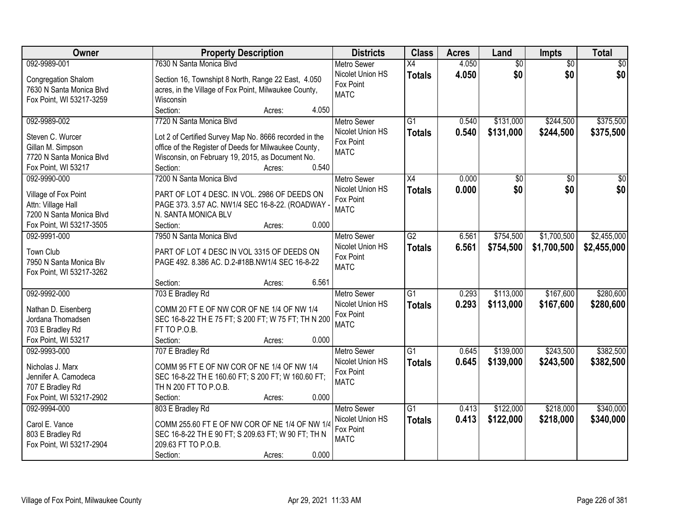| Owner                                                                                                    | <b>Property Description</b>                                                                                                                                                                                                    | <b>Districts</b>                                                   | <b>Class</b>                     | <b>Acres</b>   | Land                   | <b>Impts</b>           | <b>Total</b>           |
|----------------------------------------------------------------------------------------------------------|--------------------------------------------------------------------------------------------------------------------------------------------------------------------------------------------------------------------------------|--------------------------------------------------------------------|----------------------------------|----------------|------------------------|------------------------|------------------------|
| 092-9989-001                                                                                             | 7630 N Santa Monica Blvd                                                                                                                                                                                                       | <b>Metro Sewer</b>                                                 | $\overline{X4}$                  | 4.050          | $\overline{50}$        | $\overline{50}$        | $\overline{30}$        |
| Congregation Shalom<br>7630 N Santa Monica Blvd<br>Fox Point, WI 53217-3259                              | Section 16, Townshipt 8 North, Range 22 East, 4.050<br>acres, in the Village of Fox Point, Milwaukee County,<br>Wisconsin                                                                                                      | Nicolet Union HS<br>Fox Point<br><b>MATC</b>                       | <b>Totals</b>                    | 4.050          | \$0                    | \$0                    | \$0                    |
|                                                                                                          | Section:<br>4.050<br>Acres:                                                                                                                                                                                                    |                                                                    |                                  |                |                        |                        |                        |
| 092-9989-002<br>Steven C. Wurcer<br>Gillan M. Simpson<br>7720 N Santa Monica Blvd<br>Fox Point, WI 53217 | 7720 N Santa Monica Blvd<br>Lot 2 of Certified Survey Map No. 8666 recorded in the<br>office of the Register of Deeds for Milwaukee County,<br>Wisconsin, on February 19, 2015, as Document No.<br>0.540<br>Section:<br>Acres: | <b>Metro Sewer</b><br>Nicolet Union HS<br>Fox Point<br><b>MATC</b> | $\overline{G1}$<br><b>Totals</b> | 0.540<br>0.540 | \$131,000<br>\$131,000 | \$244,500<br>\$244,500 | \$375,500<br>\$375,500 |
| 092-9990-000                                                                                             | 7200 N Santa Monica Blyd                                                                                                                                                                                                       | <b>Metro Sewer</b>                                                 | X4                               | 0.000          | \$0                    | $\sqrt{50}$            | \$0                    |
| Village of Fox Point<br>Attn: Village Hall<br>7200 N Santa Monica Blvd<br>Fox Point, WI 53217-3505       | PART OF LOT 4 DESC. IN VOL. 2986 OF DEEDS ON<br>PAGE 373. 3.57 AC. NW1/4 SEC 16-8-22. (ROADWAY -<br>N. SANTA MONICA BLV<br>Section:<br>0.000<br>Acres:                                                                         | Nicolet Union HS<br>Fox Point<br><b>MATC</b>                       | <b>Totals</b>                    | 0.000          | \$0                    | \$0                    | \$0                    |
| 092-9991-000                                                                                             | 7950 N Santa Monica Blvd                                                                                                                                                                                                       | <b>Metro Sewer</b>                                                 | $\overline{G2}$                  | 6.561          | \$754,500              | \$1,700,500            | \$2,455,000            |
| Town Club<br>7950 N Santa Monica Blv<br>Fox Point, WI 53217-3262                                         | PART OF LOT 4 DESC IN VOL 3315 OF DEEDS ON<br>PAGE 492. 8.386 AC. D.2-#18B.NW1/4 SEC 16-8-22                                                                                                                                   | Nicolet Union HS<br>Fox Point<br><b>MATC</b>                       | <b>Totals</b>                    | 6.561          | \$754,500              | \$1,700,500            | \$2,455,000            |
|                                                                                                          | 6.561<br>Section:<br>Acres:                                                                                                                                                                                                    |                                                                    |                                  |                |                        |                        |                        |
| 092-9992-000<br>Nathan D. Eisenberg<br>Jordana Thomadsen<br>703 E Bradley Rd<br>Fox Point, WI 53217      | 703 E Bradley Rd<br>COMM 20 FT E OF NW COR OF NE 1/4 OF NW 1/4<br>SEC 16-8-22 TH E 75 FT; S 200 FT; W 75 FT; TH N 200<br>FT TO P.O.B.<br>Section:<br>0.000<br>Acres:                                                           | <b>Metro Sewer</b><br>Nicolet Union HS<br>Fox Point<br><b>MATC</b> | $\overline{G1}$<br>Totals        | 0.293<br>0.293 | \$113,000<br>\$113,000 | \$167,600<br>\$167,600 | \$280,600<br>\$280,600 |
| 092-9993-000                                                                                             | 707 E Bradley Rd                                                                                                                                                                                                               | Metro Sewer                                                        | $\overline{G1}$                  | 0.645          | \$139,000              | \$243,500              | \$382,500              |
| Nicholas J. Marx<br>Jennifer A. Camodeca<br>707 E Bradley Rd<br>Fox Point, WI 53217-2902                 | COMM 95 FT E OF NW COR OF NE 1/4 OF NW 1/4<br>SEC 16-8-22 TH E 160.60 FT; S 200 FT; W 160.60 FT;<br>TH N 200 FT TO P.O.B.<br>0.000<br>Section:<br>Acres:                                                                       | Nicolet Union HS<br>Fox Point<br><b>MATC</b>                       | <b>Totals</b>                    | 0.645          | \$139,000              | \$243,500              | \$382,500              |
| 092-9994-000                                                                                             | 803 E Bradley Rd                                                                                                                                                                                                               | <b>Metro Sewer</b>                                                 | $\overline{G1}$                  | 0.413          | \$122,000              | \$218,000              | \$340,000              |
| Carol E. Vance<br>803 E Bradley Rd<br>Fox Point, WI 53217-2904                                           | COMM 255.60 FT E OF NW COR OF NE 1/4 OF NW 1/4<br>SEC 16-8-22 TH E 90 FT; S 209.63 FT; W 90 FT; TH N<br>209.63 FT TO P.O.B.<br>0.000<br>Section:<br>Acres:                                                                     | Nicolet Union HS<br>Fox Point<br><b>MATC</b>                       | <b>Totals</b>                    | 0.413          | \$122,000              | \$218,000              | \$340,000              |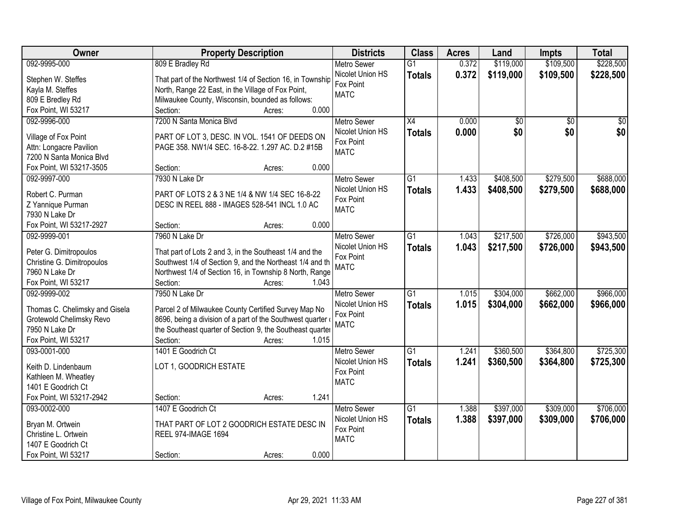| Owner                                        | <b>Property Description</b>                                                                                         | <b>Districts</b>   | <b>Class</b>    | <b>Acres</b> | Land      | <b>Impts</b>    | <b>Total</b> |
|----------------------------------------------|---------------------------------------------------------------------------------------------------------------------|--------------------|-----------------|--------------|-----------|-----------------|--------------|
| 092-9995-000                                 | 809 E Bradley Rd                                                                                                    | <b>Metro Sewer</b> | $\overline{G1}$ | 0.372        | \$119,000 | \$109,500       | \$228,500    |
| Stephen W. Steffes                           | That part of the Northwest 1/4 of Section 16, in Township                                                           | Nicolet Union HS   | <b>Totals</b>   | 0.372        | \$119,000 | \$109,500       | \$228,500    |
| Kayla M. Steffes                             | North, Range 22 East, in the Village of Fox Point,                                                                  | Fox Point          |                 |              |           |                 |              |
| 809 E Bredley Rd                             | Milwaukee County, Wisconsin, bounded as follows:                                                                    | <b>MATC</b>        |                 |              |           |                 |              |
| Fox Point, WI 53217                          | 0.000<br>Section:<br>Acres:                                                                                         |                    |                 |              |           |                 |              |
| 092-9996-000                                 | 7200 N Santa Monica Blvd                                                                                            | <b>Metro Sewer</b> | $\overline{X4}$ | 0.000        | \$0       | $\overline{50}$ | \$0          |
|                                              |                                                                                                                     | Nicolet Union HS   | <b>Totals</b>   | 0.000        | \$0       | \$0             | \$0          |
| Village of Fox Point                         | PART OF LOT 3, DESC. IN VOL. 1541 OF DEEDS ON                                                                       | Fox Point          |                 |              |           |                 |              |
| Attn: Longacre Pavilion                      | PAGE 358. NW1/4 SEC. 16-8-22. 1.297 AC. D.2 #15B                                                                    | <b>MATC</b>        |                 |              |           |                 |              |
| 7200 N Santa Monica Blvd                     |                                                                                                                     |                    |                 |              |           |                 |              |
| Fox Point, WI 53217-3505                     | 0.000<br>Section:<br>Acres:                                                                                         |                    |                 |              |           |                 |              |
| 092-9997-000                                 | 7930 N Lake Dr                                                                                                      | <b>Metro Sewer</b> | $\overline{G1}$ | 1.433        | \$408,500 | \$279,500       | \$688,000    |
| Robert C. Purman                             | PART OF LOTS 2 & 3 NE 1/4 & NW 1/4 SEC 16-8-22                                                                      | Nicolet Union HS   | <b>Totals</b>   | 1.433        | \$408,500 | \$279,500       | \$688,000    |
| Z Yannique Purman                            | DESC IN REEL 888 - IMAGES 528-541 INCL 1.0 AC                                                                       | Fox Point          |                 |              |           |                 |              |
| 7930 N Lake Dr                               |                                                                                                                     | <b>MATC</b>        |                 |              |           |                 |              |
| Fox Point, WI 53217-2927                     | 0.000<br>Section:<br>Acres:                                                                                         |                    |                 |              |           |                 |              |
| 092-9999-001                                 | 7960 N Lake Dr                                                                                                      | <b>Metro Sewer</b> | G1              | 1.043        | \$217,500 | \$726,000       | \$943,500    |
|                                              |                                                                                                                     | Nicolet Union HS   | <b>Totals</b>   | 1.043        | \$217,500 | \$726,000       | \$943,500    |
| Peter G. Dimitropoulos                       | That part of Lots 2 and 3, in the Southeast 1/4 and the                                                             | Fox Point          |                 |              |           |                 |              |
| Christine G. Dimitropoulos<br>7960 N Lake Dr | Southwest 1/4 of Section 9, and the Northeast 1/4 and th<br>Northwest 1/4 of Section 16, in Township 8 North, Range | <b>MATC</b>        |                 |              |           |                 |              |
| Fox Point, WI 53217                          | Section:<br>1.043<br>Acres:                                                                                         |                    |                 |              |           |                 |              |
| 092-9999-002                                 | 7950 N Lake Dr                                                                                                      | <b>Metro Sewer</b> | $\overline{G1}$ | 1.015        | \$304,000 | \$662,000       | \$966,000    |
|                                              |                                                                                                                     | Nicolet Union HS   |                 | 1.015        |           |                 |              |
| Thomas C. Chelimsky and Gisela               | Parcel 2 of Milwaukee County Certified Survey Map No                                                                | Fox Point          | <b>Totals</b>   |              | \$304,000 | \$662,000       | \$966,000    |
| Grotewold Chelimsky Revo                     | 8696, being a division of a part of the Southwest quarter                                                           | <b>MATC</b>        |                 |              |           |                 |              |
| 7950 N Lake Dr                               | the Southeast quarter of Section 9, the Southeast quarter                                                           |                    |                 |              |           |                 |              |
| Fox Point, WI 53217                          | 1.015<br>Section:<br>Acres:                                                                                         |                    |                 |              |           |                 |              |
| 093-0001-000                                 | 1401 E Goodrich Ct                                                                                                  | <b>Metro Sewer</b> | $\overline{G1}$ | 1.241        | \$360,500 | \$364,800       | \$725,300    |
| Keith D. Lindenbaum                          | LOT 1, GOODRICH ESTATE                                                                                              | Nicolet Union HS   | <b>Totals</b>   | 1.241        | \$360,500 | \$364,800       | \$725,300    |
| Kathleen M. Wheatley                         |                                                                                                                     | Fox Point          |                 |              |           |                 |              |
| 1401 E Goodrich Ct                           |                                                                                                                     | <b>MATC</b>        |                 |              |           |                 |              |
| Fox Point, WI 53217-2942                     | 1.241<br>Section:<br>Acres:                                                                                         |                    |                 |              |           |                 |              |
| 093-0002-000                                 | 1407 E Goodrich Ct                                                                                                  | <b>Metro Sewer</b> | $\overline{G1}$ | 1.388        | \$397,000 | \$309,000       | \$706,000    |
|                                              |                                                                                                                     | Nicolet Union HS   | <b>Totals</b>   | 1.388        | \$397,000 | \$309,000       | \$706,000    |
| Bryan M. Ortwein                             | THAT PART OF LOT 2 GOODRICH ESTATE DESC IN                                                                          | Fox Point          |                 |              |           |                 |              |
| Christine L. Ortwein                         | <b>REEL 974-IMAGE 1694</b>                                                                                          | <b>MATC</b>        |                 |              |           |                 |              |
| 1407 E Goodrich Ct                           |                                                                                                                     |                    |                 |              |           |                 |              |
| Fox Point, WI 53217                          | 0.000<br>Section:<br>Acres:                                                                                         |                    |                 |              |           |                 |              |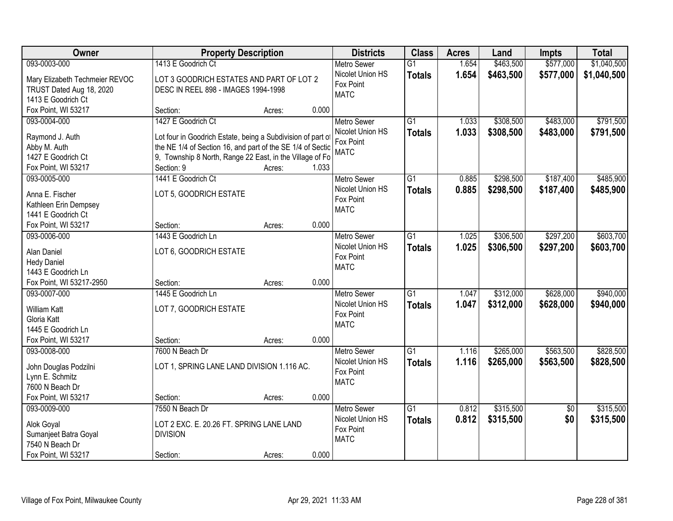| Owner                                          |                                                             | <b>Property Description</b> |       | <b>Districts</b>              | <b>Class</b>    | <b>Acres</b> | Land      | <b>Impts</b>    | <b>Total</b> |
|------------------------------------------------|-------------------------------------------------------------|-----------------------------|-------|-------------------------------|-----------------|--------------|-----------|-----------------|--------------|
| 093-0003-000                                   | 1413 E Goodrich Ct                                          |                             |       | <b>Metro Sewer</b>            | $\overline{G1}$ | 1.654        | \$463,500 | \$577,000       | \$1,040,500  |
| Mary Elizabeth Techmeier REVOC                 | LOT 3 GOODRICH ESTATES AND PART OF LOT 2                    |                             |       | Nicolet Union HS              | <b>Totals</b>   | 1.654        | \$463,500 | \$577,000       | \$1,040,500  |
| TRUST Dated Aug 18, 2020                       | DESC IN REEL 898 - IMAGES 1994-1998                         |                             |       | Fox Point                     |                 |              |           |                 |              |
| 1413 E Goodrich Ct                             |                                                             |                             |       | <b>MATC</b>                   |                 |              |           |                 |              |
| Fox Point, WI 53217                            | Section:                                                    | Acres:                      | 0.000 |                               |                 |              |           |                 |              |
| 093-0004-000                                   | 1427 E Goodrich Ct                                          |                             |       | <b>Metro Sewer</b>            | $\overline{G1}$ | 1.033        | \$308,500 | \$483,000       | \$791,500    |
|                                                |                                                             |                             |       | Nicolet Union HS              | <b>Totals</b>   | 1.033        | \$308,500 | \$483,000       | \$791,500    |
| Raymond J. Auth                                | Lot four in Goodrich Estate, being a Subdivision of part of |                             |       | Fox Point                     |                 |              |           |                 |              |
| Abby M. Auth                                   | the NE 1/4 of Section 16, and part of the SE 1/4 of Sectio  |                             |       | <b>MATC</b>                   |                 |              |           |                 |              |
| 1427 E Goodrich Ct                             | 9, Township 8 North, Range 22 East, in the Village of Fo    |                             | 1.033 |                               |                 |              |           |                 |              |
| Fox Point, WI 53217                            | Section: 9                                                  | Acres:                      |       |                               |                 |              |           |                 |              |
| 093-0005-000                                   | 1441 E Goodrich Ct                                          |                             |       | Metro Sewer                   | $\overline{G1}$ | 0.885        | \$298,500 | \$187,400       | \$485,900    |
| Anna E. Fischer                                | LOT 5, GOODRICH ESTATE                                      |                             |       | Nicolet Union HS              | <b>Totals</b>   | 0.885        | \$298,500 | \$187,400       | \$485,900    |
| Kathleen Erin Dempsey                          |                                                             |                             |       | Fox Point                     |                 |              |           |                 |              |
| 1441 E Goodrich Ct                             |                                                             |                             |       | <b>MATC</b>                   |                 |              |           |                 |              |
| Fox Point, WI 53217                            | Section:                                                    | Acres:                      | 0.000 |                               |                 |              |           |                 |              |
| 093-0006-000                                   | 1443 E Goodrich Ln                                          |                             |       | <b>Metro Sewer</b>            | $\overline{G1}$ | 1.025        | \$306,500 | \$297,200       | \$603,700    |
|                                                |                                                             |                             |       | Nicolet Union HS              | <b>Totals</b>   | 1.025        | \$306,500 | \$297,200       | \$603,700    |
| Alan Daniel                                    | LOT 6, GOODRICH ESTATE                                      |                             |       | Fox Point                     |                 |              |           |                 |              |
| <b>Hedy Daniel</b>                             |                                                             |                             |       | <b>MATC</b>                   |                 |              |           |                 |              |
| 1443 E Goodrich Ln<br>Fox Point, WI 53217-2950 | Section:                                                    |                             | 0.000 |                               |                 |              |           |                 |              |
|                                                | 1445 E Goodrich Ln                                          | Acres:                      |       |                               | $\overline{G1}$ | 1.047        | \$312,000 | \$628,000       | \$940,000    |
| 093-0007-000                                   |                                                             |                             |       | <b>Metro Sewer</b>            |                 |              |           |                 |              |
| <b>William Katt</b>                            | LOT 7, GOODRICH ESTATE                                      |                             |       | Nicolet Union HS<br>Fox Point | <b>Totals</b>   | 1.047        | \$312,000 | \$628,000       | \$940,000    |
| Gloria Katt                                    |                                                             |                             |       | <b>MATC</b>                   |                 |              |           |                 |              |
| 1445 E Goodrich Ln                             |                                                             |                             |       |                               |                 |              |           |                 |              |
| Fox Point, WI 53217                            | Section:                                                    | Acres:                      | 0.000 |                               |                 |              |           |                 |              |
| 093-0008-000                                   | 7600 N Beach Dr                                             |                             |       | Metro Sewer                   | $\overline{G1}$ | 1.116        | \$265,000 | \$563,500       | \$828,500    |
| John Douglas Podzilni                          | LOT 1, SPRING LANE LAND DIVISION 1.116 AC.                  |                             |       | Nicolet Union HS              | <b>Totals</b>   | 1.116        | \$265,000 | \$563,500       | \$828,500    |
| Lynn E. Schmitz                                |                                                             |                             |       | Fox Point                     |                 |              |           |                 |              |
| 7600 N Beach Dr                                |                                                             |                             |       | <b>MATC</b>                   |                 |              |           |                 |              |
| Fox Point, WI 53217                            | Section:                                                    |                             | 0.000 |                               |                 |              |           |                 |              |
| 093-0009-000                                   | 7550 N Beach Dr                                             | Acres:                      |       | <b>Metro Sewer</b>            | $\overline{G1}$ | 0.812        | \$315,500 |                 | \$315,500    |
|                                                |                                                             |                             |       | Nicolet Union HS              |                 |              |           | $\overline{50}$ |              |
| Alok Goyal                                     | LOT 2 EXC. E. 20.26 FT. SPRING LANE LAND                    |                             |       | Fox Point                     | <b>Totals</b>   | 0.812        | \$315,500 | \$0             | \$315,500    |
| Sumanjeet Batra Goyal                          | <b>DIVISION</b>                                             |                             |       | <b>MATC</b>                   |                 |              |           |                 |              |
| 7540 N Beach Dr                                |                                                             |                             |       |                               |                 |              |           |                 |              |
| Fox Point, WI 53217                            | Section:                                                    | Acres:                      | 0.000 |                               |                 |              |           |                 |              |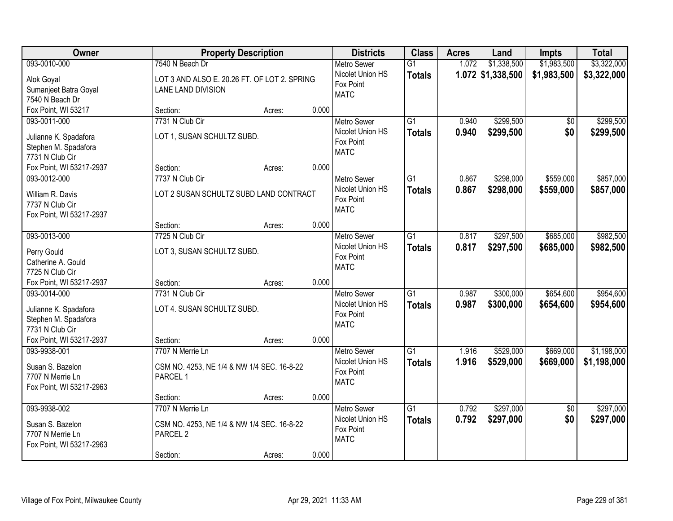| Owner                                       | <b>Property Description</b>                  |        |       | <b>Districts</b>                       | <b>Class</b>    | <b>Acres</b> | Land                | <b>Impts</b>    | <b>Total</b> |
|---------------------------------------------|----------------------------------------------|--------|-------|----------------------------------------|-----------------|--------------|---------------------|-----------------|--------------|
| 093-0010-000                                | 7540 N Beach Dr                              |        |       | <b>Metro Sewer</b>                     | $\overline{G1}$ | 1.072        | \$1,338,500         | \$1,983,500     | \$3,322,000  |
| Alok Goyal                                  | LOT 3 AND ALSO E. 20.26 FT. OF LOT 2. SPRING |        |       | Nicolet Union HS                       | <b>Totals</b>   |              | $1.072$ \$1,338,500 | \$1,983,500     | \$3,322,000  |
| Sumanjeet Batra Goyal                       | LANE LAND DIVISION                           |        |       | Fox Point                              |                 |              |                     |                 |              |
| 7540 N Beach Dr                             |                                              |        |       | <b>MATC</b>                            |                 |              |                     |                 |              |
| Fox Point, WI 53217                         | Section:                                     | Acres: | 0.000 |                                        |                 |              |                     |                 |              |
| 093-0011-000                                | 7731 N Club Cir                              |        |       | <b>Metro Sewer</b>                     | $\overline{G1}$ | 0.940        | \$299,500           | \$0             | \$299,500    |
| Julianne K. Spadafora                       | LOT 1, SUSAN SCHULTZ SUBD.                   |        |       | Nicolet Union HS                       | <b>Totals</b>   | 0.940        | \$299,500           | \$0             | \$299,500    |
| Stephen M. Spadafora                        |                                              |        |       | Fox Point                              |                 |              |                     |                 |              |
| 7731 N Club Cir                             |                                              |        |       | <b>MATC</b>                            |                 |              |                     |                 |              |
| Fox Point, WI 53217-2937                    | Section:                                     | Acres: | 0.000 |                                        |                 |              |                     |                 |              |
| 093-0012-000                                | 7737 N Club Cir                              |        |       | Metro Sewer                            | G1              | 0.867        | \$298,000           | \$559,000       | \$857,000    |
|                                             |                                              |        |       | Nicolet Union HS                       | <b>Totals</b>   | 0.867        | \$298,000           | \$559,000       | \$857,000    |
| William R. Davis                            | LOT 2 SUSAN SCHULTZ SUBD LAND CONTRACT       |        |       | Fox Point                              |                 |              |                     |                 |              |
| 7737 N Club Cir<br>Fox Point, WI 53217-2937 |                                              |        |       | <b>MATC</b>                            |                 |              |                     |                 |              |
|                                             | Section:                                     | Acres: | 0.000 |                                        |                 |              |                     |                 |              |
| 093-0013-000                                | 7725 N Club Cir                              |        |       | <b>Metro Sewer</b>                     | $\overline{G1}$ | 0.817        | \$297,500           | \$685,000       | \$982,500    |
|                                             |                                              |        |       | Nicolet Union HS                       | <b>Totals</b>   | 0.817        | \$297,500           | \$685,000       | \$982,500    |
| Perry Gould                                 | LOT 3, SUSAN SCHULTZ SUBD.                   |        |       | Fox Point                              |                 |              |                     |                 |              |
| Catherine A. Gould                          |                                              |        |       | <b>MATC</b>                            |                 |              |                     |                 |              |
| 7725 N Club Cir                             |                                              |        |       |                                        |                 |              |                     |                 |              |
| Fox Point, WI 53217-2937                    | Section:                                     | Acres: | 0.000 |                                        | $\overline{G1}$ |              |                     |                 |              |
| 093-0014-000                                | 7731 N Club Cir                              |        |       | <b>Metro Sewer</b><br>Nicolet Union HS |                 | 0.987        | \$300,000           | \$654,600       | \$954,600    |
| Julianne K. Spadafora                       | LOT 4. SUSAN SCHULTZ SUBD.                   |        |       | Fox Point                              | <b>Totals</b>   | 0.987        | \$300,000           | \$654,600       | \$954,600    |
| Stephen M. Spadafora                        |                                              |        |       | <b>MATC</b>                            |                 |              |                     |                 |              |
| 7731 N Club Cir                             |                                              |        |       |                                        |                 |              |                     |                 |              |
| Fox Point, WI 53217-2937                    | Section:                                     | Acres: | 0.000 |                                        |                 |              |                     |                 |              |
| 093-9938-001                                | 7707 N Merrie Ln                             |        |       | <b>Metro Sewer</b>                     | $\overline{G1}$ | 1.916        | \$529,000           | \$669,000       | \$1,198,000  |
| Susan S. Bazelon                            | CSM NO. 4253, NE 1/4 & NW 1/4 SEC. 16-8-22   |        |       | Nicolet Union HS                       | <b>Totals</b>   | 1.916        | \$529,000           | \$669,000       | \$1,198,000  |
| 7707 N Merrie Ln                            | PARCEL 1                                     |        |       | Fox Point                              |                 |              |                     |                 |              |
| Fox Point, WI 53217-2963                    |                                              |        |       | <b>MATC</b>                            |                 |              |                     |                 |              |
|                                             | Section:                                     | Acres: | 0.000 |                                        |                 |              |                     |                 |              |
| 093-9938-002                                | 7707 N Merrie Ln                             |        |       | <b>Metro Sewer</b>                     | $\overline{G1}$ | 0.792        | \$297,000           | $\overline{50}$ | \$297,000    |
| Susan S. Bazelon                            | CSM NO. 4253, NE 1/4 & NW 1/4 SEC. 16-8-22   |        |       | Nicolet Union HS                       | <b>Totals</b>   | 0.792        | \$297,000           | \$0             | \$297,000    |
| 7707 N Merrie Ln                            | PARCEL <sub>2</sub>                          |        |       | Fox Point                              |                 |              |                     |                 |              |
| Fox Point, WI 53217-2963                    |                                              |        |       | <b>MATC</b>                            |                 |              |                     |                 |              |
|                                             | Section:                                     | Acres: | 0.000 |                                        |                 |              |                     |                 |              |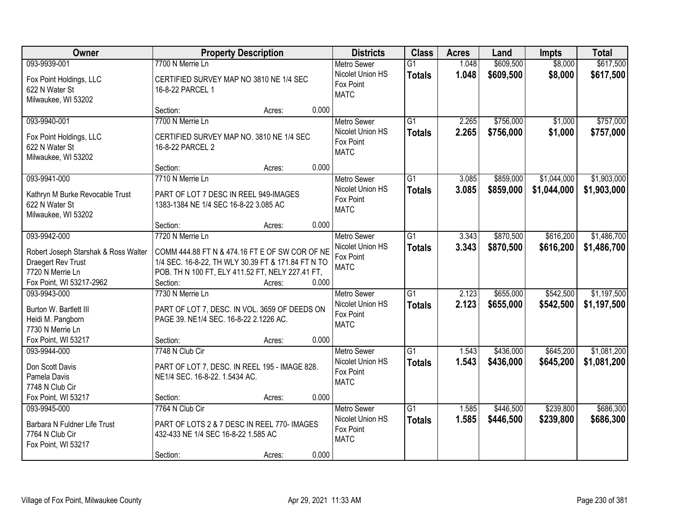| Owner                                                                                                                      | <b>Property Description</b>                                                                                                                                                                                 | <b>Districts</b>                                                   | <b>Class</b>                     | <b>Acres</b>   | Land                   | <b>Impts</b>               | <b>Total</b>               |
|----------------------------------------------------------------------------------------------------------------------------|-------------------------------------------------------------------------------------------------------------------------------------------------------------------------------------------------------------|--------------------------------------------------------------------|----------------------------------|----------------|------------------------|----------------------------|----------------------------|
| 093-9939-001                                                                                                               | 7700 N Merrie Ln                                                                                                                                                                                            | <b>Metro Sewer</b>                                                 | $\overline{G1}$                  | 1.048          | \$609,500              | \$8,000                    | \$617,500                  |
| Fox Point Holdings, LLC<br>622 N Water St<br>Milwaukee, WI 53202                                                           | CERTIFIED SURVEY MAP NO 3810 NE 1/4 SEC<br>16-8-22 PARCEL 1                                                                                                                                                 | Nicolet Union HS<br>Fox Point<br><b>MATC</b>                       | <b>Totals</b>                    | 1.048          | \$609,500              | \$8,000                    | \$617,500                  |
|                                                                                                                            | 0.000<br>Section:<br>Acres:                                                                                                                                                                                 |                                                                    |                                  |                |                        |                            |                            |
| 093-9940-001<br>Fox Point Holdings, LLC<br>622 N Water St<br>Milwaukee, WI 53202                                           | 7700 N Merrie Ln<br>CERTIFIED SURVEY MAP NO. 3810 NE 1/4 SEC<br>16-8-22 PARCEL 2                                                                                                                            | <b>Metro Sewer</b><br>Nicolet Union HS<br>Fox Point<br><b>MATC</b> | $\overline{G1}$<br><b>Totals</b> | 2.265<br>2.265 | \$756,000<br>\$756,000 | \$1,000<br>\$1,000         | \$757,000<br>\$757,000     |
|                                                                                                                            | 0.000<br>Section:<br>Acres:                                                                                                                                                                                 |                                                                    |                                  |                |                        |                            |                            |
| 093-9941-000<br>Kathryn M Burke Revocable Trust<br>622 N Water St<br>Milwaukee, WI 53202                                   | 7710 N Merrie Ln<br>PART OF LOT 7 DESC IN REEL 949-IMAGES<br>1383-1384 NE 1/4 SEC 16-8-22 3.085 AC                                                                                                          | <b>Metro Sewer</b><br>Nicolet Union HS<br>Fox Point<br><b>MATC</b> | G1<br><b>Totals</b>              | 3.085<br>3.085 | \$859,000<br>\$859,000 | \$1,044,000<br>\$1,044,000 | \$1,903,000<br>\$1,903,000 |
|                                                                                                                            | 0.000<br>Section:<br>Acres:                                                                                                                                                                                 |                                                                    |                                  |                |                        |                            |                            |
| 093-9942-000<br>Robert Joseph Starshak & Ross Walter<br>Draegert Rev Trust<br>7720 N Merrie Ln<br>Fox Point, WI 53217-2962 | 7720 N Merrie Ln<br>COMM 444.88 FT N & 474.16 FT E OF SW COR OF NE<br>1/4 SEC. 16-8-22, TH WLY 30.39 FT & 171.84 FT N TO<br>POB. TH N 100 FT, ELY 411.52 FT, NELY 227.41 FT,<br>0.000<br>Section:<br>Acres: | <b>Metro Sewer</b><br>Nicolet Union HS<br>Fox Point<br><b>MATC</b> | $\overline{G1}$<br><b>Totals</b> | 3.343<br>3.343 | \$870,500<br>\$870,500 | \$616,200<br>\$616,200     | \$1,486,700<br>\$1,486,700 |
| 093-9943-000<br>Burton W. Bartlett III<br>Heidi M. Pangborn<br>7730 N Merrie Ln<br>Fox Point, WI 53217                     | 7730 N Merrie Ln<br>PART OF LOT 7, DESC. IN VOL. 3659 OF DEEDS ON<br>PAGE 39. NE1/4 SEC. 16-8-22 2.1226 AC.<br>0.000<br>Section:<br>Acres:                                                                  | <b>Metro Sewer</b><br>Nicolet Union HS<br>Fox Point<br><b>MATC</b> | $\overline{G1}$<br><b>Totals</b> | 2.123<br>2.123 | \$655,000<br>\$655,000 | \$542,500<br>\$542,500     | \$1,197,500<br>\$1,197,500 |
| 093-9944-000<br>Don Scott Davis<br>Pamela Davis<br>7748 N Club Cir<br>Fox Point, WI 53217                                  | 7748 N Club Cir<br>PART OF LOT 7, DESC. IN REEL 195 - IMAGE 828.<br>NE1/4 SEC. 16-8-22. 1.5434 AC.<br>0.000<br>Section:<br>Acres:                                                                           | Metro Sewer<br>Nicolet Union HS<br>Fox Point<br><b>MATC</b>        | $\overline{G1}$<br><b>Totals</b> | 1.543<br>1.543 | \$436,000<br>\$436,000 | \$645,200<br>\$645,200     | \$1,081,200<br>\$1,081,200 |
| 093-9945-000<br>Barbara N Fuldner Life Trust<br>7764 N Club Cir<br>Fox Point, WI 53217                                     | 7764 N Club Cir<br>PART OF LOTS 2 & 7 DESC IN REEL 770- IMAGES<br>432-433 NE 1/4 SEC 16-8-22 1.585 AC<br>0.000<br>Section:<br>Acres:                                                                        | <b>Metro Sewer</b><br>Nicolet Union HS<br>Fox Point<br><b>MATC</b> | $\overline{G1}$<br><b>Totals</b> | 1.585<br>1.585 | \$446,500<br>\$446,500 | \$239,800<br>\$239,800     | \$686,300<br>\$686,300     |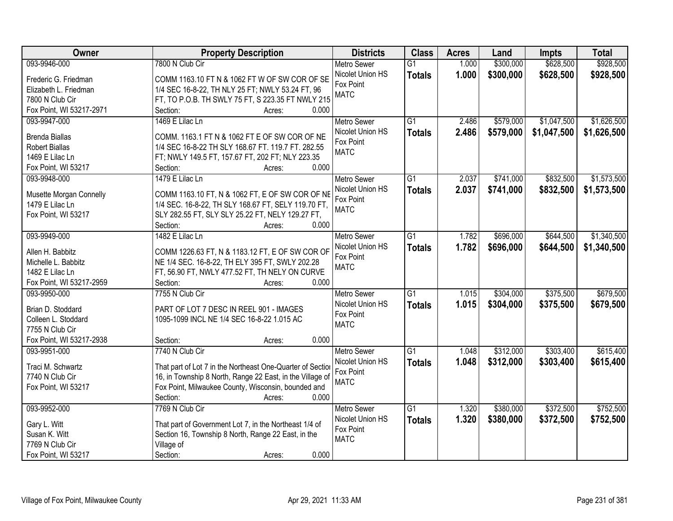| Owner                    | <b>Property Description</b>                                | <b>Districts</b>   | <b>Class</b>    | <b>Acres</b> | Land      | <b>Impts</b> | <b>Total</b> |
|--------------------------|------------------------------------------------------------|--------------------|-----------------|--------------|-----------|--------------|--------------|
| 093-9946-000             | 7800 N Club Cir                                            | <b>Metro Sewer</b> | $\overline{G1}$ | 1.000        | \$300,000 | \$628,500    | \$928,500    |
| Frederic G. Friedman     | COMM 1163.10 FT N & 1062 FT W OF SW COR OF SE              | Nicolet Union HS   | <b>Totals</b>   | 1.000        | \$300,000 | \$628,500    | \$928,500    |
| Elizabeth L. Friedman    | 1/4 SEC 16-8-22, TH NLY 25 FT; NWLY 53.24 FT, 96           | Fox Point          |                 |              |           |              |              |
| 7800 N Club Cir          | FT, TO P.O.B. TH SWLY 75 FT, S 223.35 FT NWLY 215          | <b>MATC</b>        |                 |              |           |              |              |
| Fox Point, WI 53217-2971 | 0.000<br>Section:<br>Acres:                                |                    |                 |              |           |              |              |
| 093-9947-000             | 1469 E Lilac Ln                                            | <b>Metro Sewer</b> | $\overline{G1}$ | 2.486        | \$579,000 | \$1,047,500  | \$1,626,500  |
|                          |                                                            | Nicolet Union HS   | <b>Totals</b>   | 2.486        | \$579,000 | \$1,047,500  | \$1,626,500  |
| <b>Brenda Biallas</b>    | COMM. 1163.1 FT N & 1062 FT E OF SW COR OF NE              | Fox Point          |                 |              |           |              |              |
| <b>Robert Biallas</b>    | 1/4 SEC 16-8-22 TH SLY 168.67 FT. 119.7 FT. 282.55         | <b>MATC</b>        |                 |              |           |              |              |
| 1469 E Lilac Ln          | FT; NWLY 149.5 FT, 157.67 FT, 202 FT; NLY 223.35           |                    |                 |              |           |              |              |
| Fox Point, WI 53217      | 0.000<br>Section:<br>Acres:                                |                    |                 |              |           |              |              |
| 093-9948-000             | 1479 E Lilac Ln                                            | Metro Sewer        | G1              | 2.037        | \$741,000 | \$832,500    | \$1,573,500  |
| Musette Morgan Connelly  | COMM 1163.10 FT, N & 1062 FT, E OF SW COR OF NE            | Nicolet Union HS   | <b>Totals</b>   | 2.037        | \$741,000 | \$832,500    | \$1,573,500  |
| 1479 E Lilac Ln          | 1/4 SEC. 16-8-22, TH SLY 168.67 FT, SELY 119.70 FT,        | Fox Point          |                 |              |           |              |              |
| Fox Point, WI 53217      | SLY 282.55 FT, SLY SLY 25.22 FT, NELY 129.27 FT,           | <b>MATC</b>        |                 |              |           |              |              |
|                          | 0.000<br>Section:<br>Acres:                                |                    |                 |              |           |              |              |
| 093-9949-000             | 1482 E Lilac Ln                                            | <b>Metro Sewer</b> | G1              | 1.782        | \$696,000 | \$644,500    | \$1,340,500  |
|                          |                                                            | Nicolet Union HS   | <b>Totals</b>   | 1.782        | \$696,000 | \$644,500    | \$1,340,500  |
| Allen H. Babbitz         | COMM 1226.63 FT, N & 1183.12 FT, E OF SW COR OF            | Fox Point          |                 |              |           |              |              |
| Michelle L. Babbitz      | NE 1/4 SEC. 16-8-22, TH ELY 395 FT, SWLY 202.28            | <b>MATC</b>        |                 |              |           |              |              |
| 1482 E Lilac Ln          | FT, 56.90 FT, NWLY 477.52 FT, TH NELY ON CURVE             |                    |                 |              |           |              |              |
| Fox Point, WI 53217-2959 | Section:<br>0.000<br>Acres:                                |                    |                 |              |           |              |              |
| 093-9950-000             | 7755 N Club Cir                                            | <b>Metro Sewer</b> | $\overline{G1}$ | 1.015        | \$304,000 | \$375,500    | \$679,500    |
| Brian D. Stoddard        | PART OF LOT 7 DESC IN REEL 901 - IMAGES                    | Nicolet Union HS   | <b>Totals</b>   | 1.015        | \$304,000 | \$375,500    | \$679,500    |
| Colleen L. Stoddard      | 1095-1099 INCL NE 1/4 SEC 16-8-22 1.015 AC                 | Fox Point          |                 |              |           |              |              |
| 7755 N Club Cir          |                                                            | <b>MATC</b>        |                 |              |           |              |              |
| Fox Point, WI 53217-2938 | Section:<br>0.000<br>Acres:                                |                    |                 |              |           |              |              |
| 093-9951-000             | 7740 N Club Cir                                            | <b>Metro Sewer</b> | G1              | 1.048        | \$312,000 | \$303,400    | \$615,400    |
|                          |                                                            | Nicolet Union HS   |                 |              |           |              |              |
| Traci M. Schwartz        | That part of Lot 7 in the Northeast One-Quarter of Section | Fox Point          | <b>Totals</b>   | 1.048        | \$312,000 | \$303,400    | \$615,400    |
| 7740 N Club Cir          | 16, in Township 8 North, Range 22 East, in the Village of  | <b>MATC</b>        |                 |              |           |              |              |
| Fox Point, WI 53217      | Fox Point, Milwaukee County, Wisconsin, bounded and        |                    |                 |              |           |              |              |
|                          | 0.000<br>Section:<br>Acres:                                |                    |                 |              |           |              |              |
| 093-9952-000             | 7769 N Club Cir                                            | <b>Metro Sewer</b> | $\overline{G1}$ | 1.320        | \$380,000 | \$372,500    | \$752,500    |
| Gary L. Witt             | That part of Government Lot 7, in the Northeast 1/4 of     | Nicolet Union HS   | <b>Totals</b>   | 1.320        | \$380,000 | \$372,500    | \$752,500    |
| Susan K. Witt            | Section 16, Township 8 North, Range 22 East, in the        | Fox Point          |                 |              |           |              |              |
| 7769 N Club Cir          |                                                            | <b>MATC</b>        |                 |              |           |              |              |
| Fox Point, WI 53217      | Village of<br>0.000                                        |                    |                 |              |           |              |              |
|                          | Section:<br>Acres:                                         |                    |                 |              |           |              |              |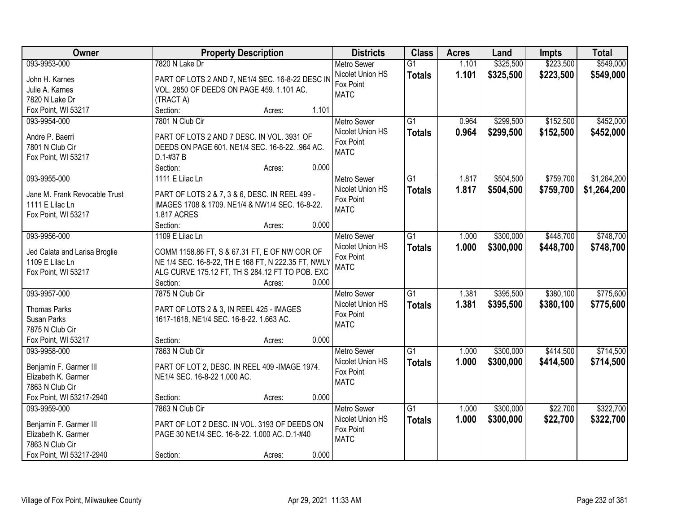| Owner                                         |                                                                               | <b>Property Description</b> |       | <b>Districts</b>              | <b>Class</b>    | <b>Acres</b> | Land      | <b>Impts</b> | <b>Total</b> |
|-----------------------------------------------|-------------------------------------------------------------------------------|-----------------------------|-------|-------------------------------|-----------------|--------------|-----------|--------------|--------------|
| 093-9953-000                                  | 7820 N Lake Dr                                                                |                             |       | Metro Sewer                   | $\overline{G1}$ | 1.101        | \$325,500 | \$223,500    | \$549,000    |
| John H. Karnes                                | PART OF LOTS 2 AND 7, NE1/4 SEC. 16-8-22 DESC IN                              |                             |       | Nicolet Union HS              | <b>Totals</b>   | 1.101        | \$325,500 | \$223,500    | \$549,000    |
| Julie A. Karnes                               | VOL. 2850 OF DEEDS ON PAGE 459. 1.101 AC.                                     |                             |       | Fox Point                     |                 |              |           |              |              |
| 7820 N Lake Dr                                | (TRACT A)                                                                     |                             |       | <b>MATC</b>                   |                 |              |           |              |              |
| Fox Point, WI 53217                           | Section:                                                                      | Acres:                      | 1.101 |                               |                 |              |           |              |              |
| 093-9954-000                                  | 7801 N Club Cir                                                               |                             |       | <b>Metro Sewer</b>            | $\overline{G1}$ | 0.964        | \$299,500 | \$152,500    | \$452,000    |
|                                               |                                                                               |                             |       | Nicolet Union HS              | <b>Totals</b>   | 0.964        | \$299,500 | \$152,500    | \$452,000    |
| Andre P. Baerri                               | PART OF LOTS 2 AND 7 DESC. IN VOL. 3931 OF                                    |                             |       | Fox Point                     |                 |              |           |              |              |
| 7801 N Club Cir                               | DEEDS ON PAGE 601. NE1/4 SEC. 16-8-22. .964 AC.                               |                             |       | <b>MATC</b>                   |                 |              |           |              |              |
| Fox Point, WI 53217                           | D.1-#37 B                                                                     |                             |       |                               |                 |              |           |              |              |
|                                               | Section:                                                                      | Acres:                      | 0.000 |                               |                 |              |           |              |              |
| 093-9955-000                                  | 1111 E Lilac Ln                                                               |                             |       | <b>Metro Sewer</b>            | $\overline{G1}$ | 1.817        | \$504,500 | \$759,700    | \$1,264,200  |
| Jane M. Frank Revocable Trust                 | PART OF LOTS 2 & 7, 3 & 6, DESC. IN REEL 499 -                                |                             |       | Nicolet Union HS              | <b>Totals</b>   | 1.817        | \$504,500 | \$759,700    | \$1,264,200  |
| 1111 E Lilac Ln                               | IMAGES 1708 & 1709. NE1/4 & NW1/4 SEC. 16-8-22.                               |                             |       | Fox Point                     |                 |              |           |              |              |
| Fox Point, WI 53217                           | <b>1.817 ACRES</b>                                                            |                             |       | <b>MATC</b>                   |                 |              |           |              |              |
|                                               | Section:                                                                      | Acres:                      | 0.000 |                               |                 |              |           |              |              |
| 093-9956-000                                  | 1109 E Lilac Ln                                                               |                             |       | <b>Metro Sewer</b>            | $\overline{G1}$ | 1.000        | \$300,000 | \$448,700    | \$748,700    |
|                                               |                                                                               |                             |       | Nicolet Union HS              | <b>Totals</b>   | 1.000        | \$300,000 | \$448,700    | \$748,700    |
| Jed Calata and Larisa Broglie                 | COMM 1158.86 FT, S & 67.31 FT, E OF NW COR OF                                 |                             |       | Fox Point                     |                 |              |           |              |              |
| 1109 E Lilac Ln                               | NE 1/4 SEC. 16-8-22, TH E 168 FT, N 222.35 FT, NWLY                           |                             |       | <b>MATC</b>                   |                 |              |           |              |              |
| Fox Point, WI 53217                           | ALG CURVE 175.12 FT, TH S 284.12 FT TO POB. EXC                               |                             |       |                               |                 |              |           |              |              |
|                                               | Section:                                                                      | Acres:                      | 0.000 |                               |                 |              |           |              |              |
| 093-9957-000                                  | 7875 N Club Cir                                                               |                             |       | Metro Sewer                   | $\overline{G1}$ | 1.381        | \$395,500 | \$380,100    | \$775,600    |
| <b>Thomas Parks</b>                           | PART OF LOTS 2 & 3, IN REEL 425 - IMAGES                                      |                             |       | Nicolet Union HS              | <b>Totals</b>   | 1.381        | \$395,500 | \$380,100    | \$775,600    |
| Susan Parks                                   | 1617-1618, NE1/4 SEC. 16-8-22. 1.663 AC.                                      |                             |       | Fox Point                     |                 |              |           |              |              |
| 7875 N Club Cir                               |                                                                               |                             |       | <b>MATC</b>                   |                 |              |           |              |              |
| Fox Point, WI 53217                           | Section:                                                                      | Acres:                      | 0.000 |                               |                 |              |           |              |              |
| 093-9958-000                                  | 7863 N Club Cir                                                               |                             |       | Metro Sewer                   | $\overline{G1}$ | 1.000        | \$300,000 | \$414,500    | \$714,500    |
|                                               |                                                                               |                             |       | Nicolet Union HS              | <b>Totals</b>   | 1.000        | \$300,000 | \$414,500    | \$714,500    |
| Benjamin F. Garmer III<br>Elizabeth K. Garmer | PART OF LOT 2, DESC. IN REEL 409 -IMAGE 1974.<br>NE1/4 SEC. 16-8-22 1.000 AC. |                             |       | Fox Point                     |                 |              |           |              |              |
| 7863 N Club Cir                               |                                                                               |                             |       | <b>MATC</b>                   |                 |              |           |              |              |
| Fox Point, WI 53217-2940                      | Section:                                                                      |                             | 0.000 |                               |                 |              |           |              |              |
| 093-9959-000                                  | 7863 N Club Cir                                                               | Acres:                      |       | <b>Metro Sewer</b>            | $\overline{G1}$ | 1.000        | \$300,000 | \$22,700     | \$322,700    |
|                                               |                                                                               |                             |       |                               |                 |              |           |              |              |
| Benjamin F. Garmer III                        | PART OF LOT 2 DESC. IN VOL. 3193 OF DEEDS ON                                  |                             |       | Nicolet Union HS<br>Fox Point | <b>Totals</b>   | 1.000        | \$300,000 | \$22,700     | \$322,700    |
| Elizabeth K. Garmer                           | PAGE 30 NE1/4 SEC. 16-8-22. 1.000 AC. D.1-#40                                 |                             |       | <b>MATC</b>                   |                 |              |           |              |              |
| 7863 N Club Cir                               |                                                                               |                             |       |                               |                 |              |           |              |              |
| Fox Point, WI 53217-2940                      | Section:                                                                      | Acres:                      | 0.000 |                               |                 |              |           |              |              |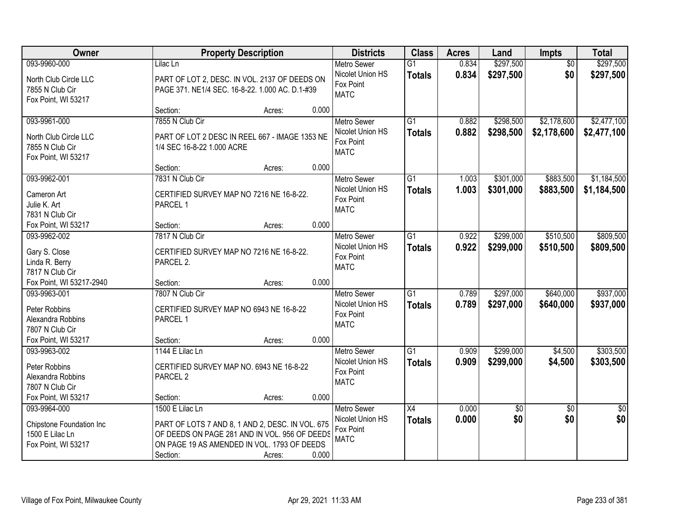| Owner                             |                                          | <b>Property Description</b>                      |       | <b>Districts</b>   | <b>Class</b>    | <b>Acres</b> | Land            | <b>Impts</b>    | <b>Total</b>    |
|-----------------------------------|------------------------------------------|--------------------------------------------------|-------|--------------------|-----------------|--------------|-----------------|-----------------|-----------------|
| 093-9960-000                      | Lilac Ln                                 |                                                  |       | <b>Metro Sewer</b> | $\overline{G1}$ | 0.834        | \$297,500       | $\overline{50}$ | \$297,500       |
| North Club Circle LLC             |                                          | PART OF LOT 2, DESC. IN VOL. 2137 OF DEEDS ON    |       | Nicolet Union HS   | <b>Totals</b>   | 0.834        | \$297,500       | \$0             | \$297,500       |
| 7855 N Club Cir                   |                                          | PAGE 371. NE1/4 SEC. 16-8-22. 1.000 AC. D.1-#39  |       | Fox Point          |                 |              |                 |                 |                 |
| Fox Point, WI 53217               |                                          |                                                  |       | <b>MATC</b>        |                 |              |                 |                 |                 |
|                                   | Section:                                 | Acres:                                           | 0.000 |                    |                 |              |                 |                 |                 |
| 093-9961-000                      | 7855 N Club Cir                          |                                                  |       | <b>Metro Sewer</b> | $\overline{G1}$ | 0.882        | \$298,500       | \$2,178,600     | \$2,477,100     |
| North Club Circle LLC             |                                          | PART OF LOT 2 DESC IN REEL 667 - IMAGE 1353 NE   |       | Nicolet Union HS   | <b>Totals</b>   | 0.882        | \$298,500       | \$2,178,600     | \$2,477,100     |
| 7855 N Club Cir                   | 1/4 SEC 16-8-22 1.000 ACRE               |                                                  |       | Fox Point          |                 |              |                 |                 |                 |
| Fox Point, WI 53217               |                                          |                                                  |       | <b>MATC</b>        |                 |              |                 |                 |                 |
|                                   | Section:                                 | Acres:                                           | 0.000 |                    |                 |              |                 |                 |                 |
| 093-9962-001                      | 7831 N Club Cir                          |                                                  |       | <b>Metro Sewer</b> | $\overline{G1}$ | 1.003        | \$301,000       | \$883,500       | \$1,184,500     |
| Cameron Art                       | CERTIFIED SURVEY MAP NO 7216 NE 16-8-22. |                                                  |       | Nicolet Union HS   | Totals          | 1.003        | \$301,000       | \$883,500       | \$1,184,500     |
| Julie K. Art                      | PARCEL 1                                 |                                                  |       | Fox Point          |                 |              |                 |                 |                 |
| 7831 N Club Cir                   |                                          |                                                  |       | <b>MATC</b>        |                 |              |                 |                 |                 |
| Fox Point, WI 53217               | Section:                                 | Acres:                                           | 0.000 |                    |                 |              |                 |                 |                 |
| 093-9962-002                      | 7817 N Club Cir                          |                                                  |       | <b>Metro Sewer</b> | $\overline{G1}$ | 0.922        | \$299,000       | \$510,500       | \$809,500       |
|                                   |                                          |                                                  |       | Nicolet Union HS   | <b>Totals</b>   | 0.922        | \$299,000       | \$510,500       | \$809,500       |
| Gary S. Close                     | CERTIFIED SURVEY MAP NO 7216 NE 16-8-22. |                                                  |       | Fox Point          |                 |              |                 |                 |                 |
| Linda R. Berry<br>7817 N Club Cir | PARCEL 2.                                |                                                  |       | <b>MATC</b>        |                 |              |                 |                 |                 |
| Fox Point, WI 53217-2940          | Section:                                 | Acres:                                           | 0.000 |                    |                 |              |                 |                 |                 |
| 093-9963-001                      | 7807 N Club Cir                          |                                                  |       | Metro Sewer        | $\overline{G1}$ | 0.789        | \$297,000       | \$640,000       | \$937,000       |
|                                   |                                          |                                                  |       | Nicolet Union HS   | Totals          | 0.789        | \$297,000       | \$640,000       | \$937,000       |
| Peter Robbins                     | CERTIFIED SURVEY MAP NO 6943 NE 16-8-22  |                                                  |       | Fox Point          |                 |              |                 |                 |                 |
| Alexandra Robbins                 | PARCEL 1                                 |                                                  |       | <b>MATC</b>        |                 |              |                 |                 |                 |
| 7807 N Club Cir                   |                                          |                                                  |       |                    |                 |              |                 |                 |                 |
| Fox Point, WI 53217               | Section:                                 | Acres:                                           | 0.000 |                    |                 |              |                 |                 |                 |
| 093-9963-002                      | 1144 E Lilac Ln                          |                                                  |       | Metro Sewer        | $\overline{G1}$ | 0.909        | \$299,000       | \$4,500         | \$303,500       |
| Peter Robbins                     | CERTIFIED SURVEY MAP NO. 6943 NE 16-8-22 |                                                  |       | Nicolet Union HS   | <b>Totals</b>   | 0.909        | \$299,000       | \$4,500         | \$303,500       |
| Alexandra Robbins                 | PARCEL <sub>2</sub>                      |                                                  |       | Fox Point          |                 |              |                 |                 |                 |
| 7807 N Club Cir                   |                                          |                                                  |       | <b>MATC</b>        |                 |              |                 |                 |                 |
| Fox Point, WI 53217               | Section:                                 | Acres:                                           | 0.000 |                    |                 |              |                 |                 |                 |
| 093-9964-000                      | 1500 E Lilac Ln                          |                                                  |       | <b>Metro Sewer</b> | X4              | 0.000        | $\overline{50}$ | $\overline{50}$ | $\overline{50}$ |
| Chipstone Foundation Inc          |                                          | PART OF LOTS 7 AND 8, 1 AND 2, DESC. IN VOL. 675 |       | Nicolet Union HS   | <b>Totals</b>   | 0.000        | \$0             | \$0             | \$0             |
| 1500 E Lilac Ln                   |                                          | OF DEEDS ON PAGE 281 AND IN VOL. 956 OF DEEDS    |       | Fox Point          |                 |              |                 |                 |                 |
| Fox Point, WI 53217               |                                          | ON PAGE 19 AS AMENDED IN VOL. 1793 OF DEEDS      |       | <b>MATC</b>        |                 |              |                 |                 |                 |
|                                   | Section:                                 | Acres:                                           | 0.000 |                    |                 |              |                 |                 |                 |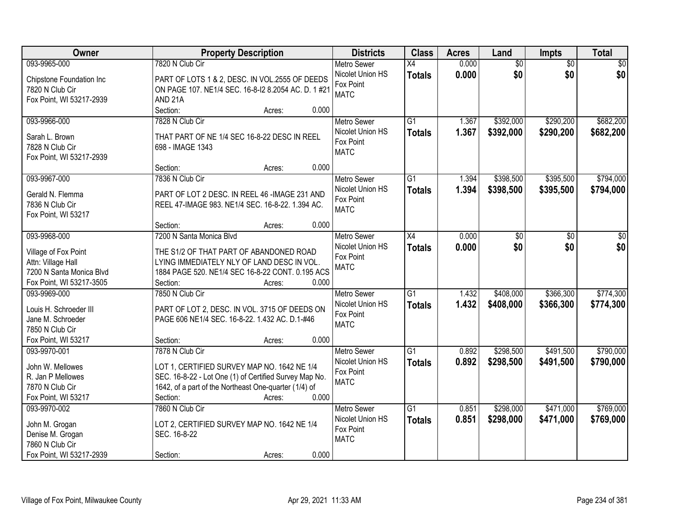| <b>Owner</b>             | <b>Property Description</b>                            | <b>Districts</b>              | <b>Class</b>    | <b>Acres</b> | Land            | Impts           | <b>Total</b>    |
|--------------------------|--------------------------------------------------------|-------------------------------|-----------------|--------------|-----------------|-----------------|-----------------|
| 093-9965-000             | 7820 N Club Cir                                        | <b>Metro Sewer</b>            | $\overline{X4}$ | 0.000        | $\overline{60}$ | $\overline{50}$ | $\overline{50}$ |
| Chipstone Foundation Inc | PART OF LOTS 1 & 2, DESC. IN VOL.2555 OF DEEDS         | Nicolet Union HS<br>Fox Point | <b>Totals</b>   | 0.000        | \$0             | \$0             | \$0             |
| 7820 N Club Cir          | ON PAGE 107. NE1/4 SEC. 16-8-12 8.2054 AC. D. 1 #21    | <b>MATC</b>                   |                 |              |                 |                 |                 |
| Fox Point, WI 53217-2939 | AND <sub>21A</sub>                                     |                               |                 |              |                 |                 |                 |
|                          | Section:<br>0.000<br>Acres:                            |                               |                 |              |                 |                 |                 |
| 093-9966-000             | 7828 N Club Cir                                        | <b>Metro Sewer</b>            | $\overline{G1}$ | 1.367        | \$392,000       | \$290,200       | \$682,200       |
| Sarah L. Brown           | THAT PART OF NE 1/4 SEC 16-8-22 DESC IN REEL           | Nicolet Union HS              | <b>Totals</b>   | 1.367        | \$392,000       | \$290,200       | \$682,200       |
| 7828 N Club Cir          | 698 - IMAGE 1343                                       | Fox Point                     |                 |              |                 |                 |                 |
| Fox Point, WI 53217-2939 |                                                        | <b>MATC</b>                   |                 |              |                 |                 |                 |
|                          | 0.000<br>Section:<br>Acres:                            |                               |                 |              |                 |                 |                 |
| 093-9967-000             | 7836 N Club Cir                                        | <b>Metro Sewer</b>            | $\overline{G1}$ | 1.394        | \$398,500       | \$395,500       | \$794,000       |
|                          |                                                        | Nicolet Union HS              | <b>Totals</b>   | 1.394        | \$398,500       | \$395,500       | \$794,000       |
| Gerald N. Flemma         | PART OF LOT 2 DESC. IN REEL 46 -IMAGE 231 AND          | Fox Point                     |                 |              |                 |                 |                 |
| 7836 N Club Cir          | REEL 47-IMAGE 983. NE1/4 SEC. 16-8-22. 1.394 AC.       | <b>MATC</b>                   |                 |              |                 |                 |                 |
| Fox Point, WI 53217      | 0.000<br>Section:                                      |                               |                 |              |                 |                 |                 |
| 093-9968-000             | Acres:<br>7200 N Santa Monica Blvd                     | <b>Metro Sewer</b>            | X4              | 0.000        |                 |                 |                 |
|                          |                                                        | Nicolet Union HS              |                 |              | \$0             | \$0             | \$0             |
| Village of Fox Point     | THE S1/2 OF THAT PART OF ABANDONED ROAD                | Fox Point                     | <b>Totals</b>   | 0.000        | \$0             | \$0             | \$0             |
| Attn: Village Hall       | LYING IMMEDIATELY NLY OF LAND DESC IN VOL.             | <b>MATC</b>                   |                 |              |                 |                 |                 |
| 7200 N Santa Monica Blvd | 1884 PAGE 520. NE1/4 SEC 16-8-22 CONT. 0.195 ACS       |                               |                 |              |                 |                 |                 |
| Fox Point, WI 53217-3505 | 0.000<br>Section:<br>Acres:                            |                               |                 |              |                 |                 |                 |
| 093-9969-000             | 7850 N Club Cir                                        | <b>Metro Sewer</b>            | $\overline{G1}$ | 1.432        | \$408,000       | \$366,300       | \$774,300       |
| Louis H. Schroeder III   | PART OF LOT 2, DESC. IN VOL. 3715 OF DEEDS ON          | Nicolet Union HS              | <b>Totals</b>   | 1.432        | \$408,000       | \$366,300       | \$774,300       |
| Jane M. Schroeder        | PAGE 606 NE1/4 SEC. 16-8-22. 1.432 AC. D.1-#46         | Fox Point                     |                 |              |                 |                 |                 |
| 7850 N Club Cir          |                                                        | <b>MATC</b>                   |                 |              |                 |                 |                 |
| Fox Point, WI 53217      | Section:<br>0.000<br>Acres:                            |                               |                 |              |                 |                 |                 |
| 093-9970-001             | 7878 N Club Cir                                        | Metro Sewer                   | $\overline{G1}$ | 0.892        | \$298,500       | \$491,500       | \$790,000       |
|                          |                                                        | Nicolet Union HS              | <b>Totals</b>   | 0.892        | \$298,500       | \$491,500       | \$790,000       |
| John W. Mellowes         | LOT 1, CERTIFIED SURVEY MAP NO. 1642 NE 1/4            | Fox Point                     |                 |              |                 |                 |                 |
| R. Jan P Mellowes        | SEC. 16-8-22 - Lot One (1) of Certified Survey Map No. | <b>MATC</b>                   |                 |              |                 |                 |                 |
| 7870 N Club Cir          | 1642, of a part of the Northeast One-quarter (1/4) of  |                               |                 |              |                 |                 |                 |
| Fox Point, WI 53217      | 0.000<br>Section:<br>Acres:                            |                               |                 |              |                 |                 |                 |
| 093-9970-002             | 7860 N Club Cir                                        | <b>Metro Sewer</b>            | $\overline{G1}$ | 0.851        | \$298,000       | \$471,000       | \$769,000       |
| John M. Grogan           | LOT 2, CERTIFIED SURVEY MAP NO. 1642 NE 1/4            | Nicolet Union HS              | <b>Totals</b>   | 0.851        | \$298,000       | \$471,000       | \$769,000       |
| Denise M. Grogan         | SEC. 16-8-22                                           | Fox Point                     |                 |              |                 |                 |                 |
| 7860 N Club Cir          |                                                        | <b>MATC</b>                   |                 |              |                 |                 |                 |
| Fox Point, WI 53217-2939 | 0.000<br>Section:<br>Acres:                            |                               |                 |              |                 |                 |                 |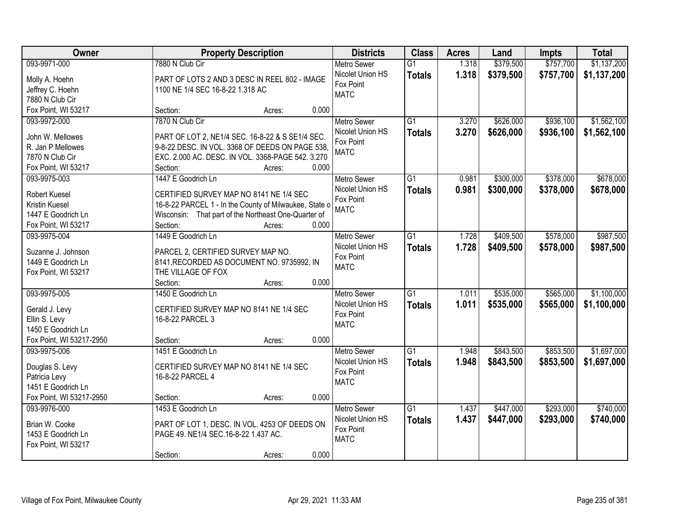| Owner                    | <b>Property Description</b>                            | <b>Districts</b>   | <b>Class</b>    | <b>Acres</b> | Land      | <b>Impts</b> | <b>Total</b> |
|--------------------------|--------------------------------------------------------|--------------------|-----------------|--------------|-----------|--------------|--------------|
| 093-9971-000             | 7880 N Club Cir                                        | <b>Metro Sewer</b> | $\overline{G1}$ | 1.318        | \$379,500 | \$757,700    | \$1,137,200  |
| Molly A. Hoehn           | PART OF LOTS 2 AND 3 DESC IN REEL 802 - IMAGE          | Nicolet Union HS   | <b>Totals</b>   | 1.318        | \$379,500 | \$757,700    | \$1,137,200  |
| Jeffrey C. Hoehn         | 1100 NE 1/4 SEC 16-8-22 1.318 AC                       | Fox Point          |                 |              |           |              |              |
| 7880 N Club Cir          |                                                        | <b>MATC</b>        |                 |              |           |              |              |
| Fox Point, WI 53217      | Section:<br>Acres:                                     | 0.000              |                 |              |           |              |              |
| 093-9972-000             | 7870 N Club Cir                                        | Metro Sewer        | $\overline{G1}$ | 3.270        | \$626,000 | \$936,100    | \$1,562,100  |
|                          |                                                        | Nicolet Union HS   | <b>Totals</b>   | 3.270        | \$626,000 | \$936,100    | \$1,562,100  |
| John W. Mellowes         | PART OF LOT 2, NE1/4 SEC. 16-8-22 & S SE1/4 SEC.       | Fox Point          |                 |              |           |              |              |
| R. Jan P Mellowes        | 9-8-22 DESC. IN VOL. 3368 OF DEEDS ON PAGE 538,        | <b>MATC</b>        |                 |              |           |              |              |
| 7870 N Club Cir          | EXC. 2.000 AC. DESC. IN VOL. 3368-PAGE 542. 3.270      |                    |                 |              |           |              |              |
| Fox Point, WI 53217      | Section:<br>Acres:                                     | 0.000              |                 |              |           |              |              |
| 093-9975-003             | 1447 E Goodrich Ln                                     | Metro Sewer        | $\overline{G1}$ | 0.981        | \$300,000 | \$378,000    | \$678,000    |
| Robert Kuesel            | CERTIFIED SURVEY MAP NO 8141 NE 1/4 SEC                | Nicolet Union HS   | <b>Totals</b>   | 0.981        | \$300,000 | \$378,000    | \$678,000    |
| Kristin Kuesel           | 16-8-22 PARCEL 1 - In the County of Milwaukee, State o | Fox Point          |                 |              |           |              |              |
| 1447 E Goodrich Ln       | Wisconsin: That part of the Northeast One-Quarter of   | <b>MATC</b>        |                 |              |           |              |              |
| Fox Point, WI 53217      | Section:<br>Acres:                                     | 0.000              |                 |              |           |              |              |
| 093-9975-004             | 1449 E Goodrich Ln                                     | <b>Metro Sewer</b> | $\overline{G1}$ | 1.728        | \$409,500 | \$578,000    | \$987,500    |
|                          |                                                        | Nicolet Union HS   | <b>Totals</b>   | 1.728        | \$409,500 | \$578,000    | \$987,500    |
| Suzanne J. Johnson       | PARCEL 2, CERTIFIED SURVEY MAP NO.                     | Fox Point          |                 |              |           |              |              |
| 1449 E Goodrich Ln       | 8141, RECORDED AS DOCUMENT NO. 9735992, IN             | <b>MATC</b>        |                 |              |           |              |              |
| Fox Point, WI 53217      | THE VILLAGE OF FOX                                     |                    |                 |              |           |              |              |
|                          | Section:<br>Acres:                                     | 0.000              |                 |              |           |              |              |
| 093-9975-005             | 1450 E Goodrich Ln                                     | <b>Metro Sewer</b> | $\overline{G1}$ | 1.011        | \$535,000 | \$565,000    | \$1,100,000  |
| Gerald J. Levy           | CERTIFIED SURVEY MAP NO 8141 NE 1/4 SEC                | Nicolet Union HS   | <b>Totals</b>   | 1.011        | \$535,000 | \$565,000    | \$1,100,000  |
| Ellin S. Levy            | 16-8-22 PARCEL 3                                       | Fox Point          |                 |              |           |              |              |
| 1450 E Goodrich Ln       |                                                        | <b>MATC</b>        |                 |              |           |              |              |
| Fox Point, WI 53217-2950 | Section:<br>Acres:                                     | 0.000              |                 |              |           |              |              |
| 093-9975-006             | 1451 E Goodrich Ln                                     | <b>Metro Sewer</b> | G1              | 1.948        | \$843,500 | \$853,500    | \$1,697,000  |
|                          |                                                        | Nicolet Union HS   | <b>Totals</b>   | 1.948        | \$843,500 | \$853,500    | \$1,697,000  |
| Douglas S. Levy          | CERTIFIED SURVEY MAP NO 8141 NE 1/4 SEC                | Fox Point          |                 |              |           |              |              |
| Patricia Levy            | 16-8-22 PARCEL 4                                       | <b>MATC</b>        |                 |              |           |              |              |
| 1451 E Goodrich Ln       |                                                        |                    |                 |              |           |              |              |
| Fox Point, WI 53217-2950 | Section:<br>Acres:                                     | 0.000              |                 |              |           |              |              |
| 093-9976-000             | 1453 E Goodrich Ln                                     | <b>Metro Sewer</b> | $\overline{G1}$ | 1.437        | \$447,000 | \$293,000    | \$740,000    |
| Brian W. Cooke           | PART OF LOT 1, DESC. IN VOL. 4253 OF DEEDS ON          | Nicolet Union HS   | <b>Totals</b>   | 1.437        | \$447,000 | \$293,000    | \$740,000    |
| 1453 E Goodrich Ln       | PAGE 49. NE1/4 SEC.16-8-22 1.437 AC.                   | Fox Point          |                 |              |           |              |              |
| Fox Point, WI 53217      |                                                        | <b>MATC</b>        |                 |              |           |              |              |
|                          | Section:<br>Acres:                                     | 0.000              |                 |              |           |              |              |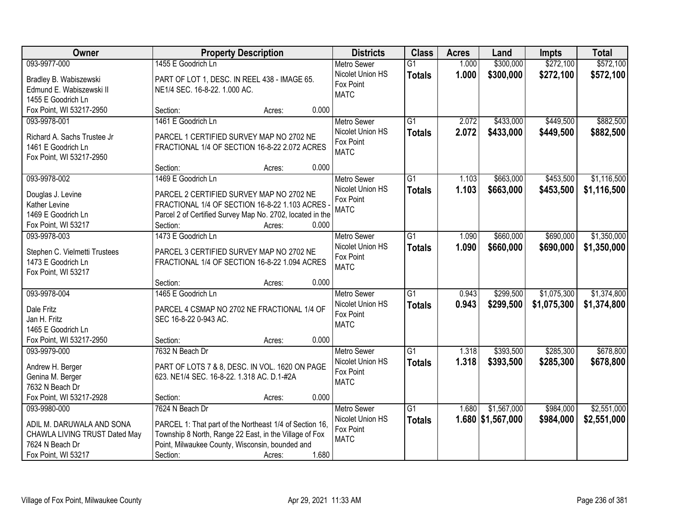| Owner                                          |                                                           | <b>Property Description</b> |       | <b>Districts</b>              | <b>Class</b>    | <b>Acres</b> | Land              | <b>Impts</b> | <b>Total</b> |
|------------------------------------------------|-----------------------------------------------------------|-----------------------------|-------|-------------------------------|-----------------|--------------|-------------------|--------------|--------------|
| 093-9977-000                                   | 1455 E Goodrich Ln                                        |                             |       | Metro Sewer                   | $\overline{G1}$ | 1.000        | \$300,000         | \$272,100    | \$572,100    |
| Bradley B. Wabiszewski                         | PART OF LOT 1, DESC. IN REEL 438 - IMAGE 65.              |                             |       | Nicolet Union HS              | <b>Totals</b>   | 1.000        | \$300,000         | \$272,100    | \$572,100    |
| Edmund E. Wabiszewski II                       | NE1/4 SEC. 16-8-22. 1.000 AC.                             |                             |       | Fox Point                     |                 |              |                   |              |              |
| 1455 E Goodrich Ln                             |                                                           |                             |       | <b>MATC</b>                   |                 |              |                   |              |              |
| Fox Point, WI 53217-2950                       | Section:                                                  | Acres:                      | 0.000 |                               |                 |              |                   |              |              |
| 093-9978-001                                   | 1461 E Goodrich Ln                                        |                             |       | <b>Metro Sewer</b>            | $\overline{G1}$ | 2.072        | \$433,000         | \$449,500    | \$882,500    |
|                                                |                                                           |                             |       | Nicolet Union HS              | <b>Totals</b>   | 2.072        | \$433,000         | \$449,500    | \$882,500    |
| Richard A. Sachs Trustee Jr                    | PARCEL 1 CERTIFIED SURVEY MAP NO 2702 NE                  |                             |       | Fox Point                     |                 |              |                   |              |              |
| 1461 E Goodrich Ln                             | FRACTIONAL 1/4 OF SECTION 16-8-22 2.072 ACRES             |                             |       | <b>MATC</b>                   |                 |              |                   |              |              |
| Fox Point, WI 53217-2950                       | Section:                                                  |                             | 0.000 |                               |                 |              |                   |              |              |
| 093-9978-002                                   | 1469 E Goodrich Ln                                        | Acres:                      |       | <b>Metro Sewer</b>            | $\overline{G1}$ | 1.103        | \$663,000         | \$453,500    | \$1,116,500  |
|                                                |                                                           |                             |       | Nicolet Union HS              |                 | 1.103        | \$663,000         | \$453,500    |              |
| Douglas J. Levine                              | PARCEL 2 CERTIFIED SURVEY MAP NO 2702 NE                  |                             |       | Fox Point                     | <b>Totals</b>   |              |                   |              | \$1,116,500  |
| Kather Levine                                  | FRACTIONAL 1/4 OF SECTION 16-8-22 1.103 ACRES             |                             |       | <b>MATC</b>                   |                 |              |                   |              |              |
| 1469 E Goodrich Ln                             | Parcel 2 of Certified Survey Map No. 2702, located in the |                             |       |                               |                 |              |                   |              |              |
| Fox Point, WI 53217                            | Section:                                                  | Acres:                      | 0.000 |                               |                 |              |                   |              |              |
| 093-9978-003                                   | 1473 E Goodrich Ln                                        |                             |       | <b>Metro Sewer</b>            | $\overline{G1}$ | 1.090        | \$660,000         | \$690,000    | \$1,350,000  |
| Stephen C. Vielmetti Trustees                  | PARCEL 3 CERTIFIED SURVEY MAP NO 2702 NE                  |                             |       | Nicolet Union HS              | <b>Totals</b>   | 1.090        | \$660,000         | \$690,000    | \$1,350,000  |
| 1473 E Goodrich Ln                             | FRACTIONAL 1/4 OF SECTION 16-8-22 1.094 ACRES             |                             |       | Fox Point                     |                 |              |                   |              |              |
| Fox Point, WI 53217                            |                                                           |                             |       | <b>MATC</b>                   |                 |              |                   |              |              |
|                                                | Section:                                                  | Acres:                      | 0.000 |                               |                 |              |                   |              |              |
| 093-9978-004                                   | 1465 E Goodrich Ln                                        |                             |       | <b>Metro Sewer</b>            | $\overline{G1}$ | 0.943        | \$299,500         | \$1,075,300  | \$1,374,800  |
|                                                |                                                           |                             |       | Nicolet Union HS              | <b>Totals</b>   | 0.943        | \$299,500         | \$1,075,300  | \$1,374,800  |
| Dale Fritz                                     | PARCEL 4 CSMAP NO 2702 NE FRACTIONAL 1/4 OF               |                             |       | Fox Point                     |                 |              |                   |              |              |
| Jan H. Fritz                                   | SEC 16-8-22 0-943 AC.                                     |                             |       | <b>MATC</b>                   |                 |              |                   |              |              |
| 1465 E Goodrich Ln<br>Fox Point, WI 53217-2950 |                                                           |                             | 0.000 |                               |                 |              |                   |              |              |
|                                                | Section:                                                  | Acres:                      |       |                               | $\overline{G1}$ |              |                   |              | \$678,800    |
| 093-9979-000                                   | 7632 N Beach Dr                                           |                             |       | Metro Sewer                   |                 | 1.318        | \$393,500         | \$285,300    |              |
| Andrew H. Berger                               | PART OF LOTS 7 & 8, DESC. IN VOL. 1620 ON PAGE            |                             |       | Nicolet Union HS<br>Fox Point | <b>Totals</b>   | 1.318        | \$393,500         | \$285,300    | \$678,800    |
| Genina M. Berger                               | 623. NE1/4 SEC. 16-8-22. 1.318 AC. D.1-#2A                |                             |       | <b>MATC</b>                   |                 |              |                   |              |              |
| 7632 N Beach Dr                                |                                                           |                             |       |                               |                 |              |                   |              |              |
| Fox Point, WI 53217-2928                       | Section:                                                  | Acres:                      | 0.000 |                               |                 |              |                   |              |              |
| 093-9980-000                                   | 7624 N Beach Dr                                           |                             |       | Metro Sewer                   | $\overline{G1}$ | 1.680        | \$1,567,000       | \$984,000    | \$2,551,000  |
| ADIL M. DARUWALA AND SONA                      | PARCEL 1: That part of the Northeast 1/4 of Section 16,   |                             |       | Nicolet Union HS              | <b>Totals</b>   |              | 1.680 \$1,567,000 | \$984,000    | \$2,551,000  |
| CHAWLA LIVING TRUST Dated May                  | Township 8 North, Range 22 East, in the Village of Fox    |                             |       | Fox Point                     |                 |              |                   |              |              |
| 7624 N Beach Dr                                | Point, Milwaukee County, Wisconsin, bounded and           |                             |       | <b>MATC</b>                   |                 |              |                   |              |              |
| Fox Point, WI 53217                            | Section:                                                  | Acres:                      | 1.680 |                               |                 |              |                   |              |              |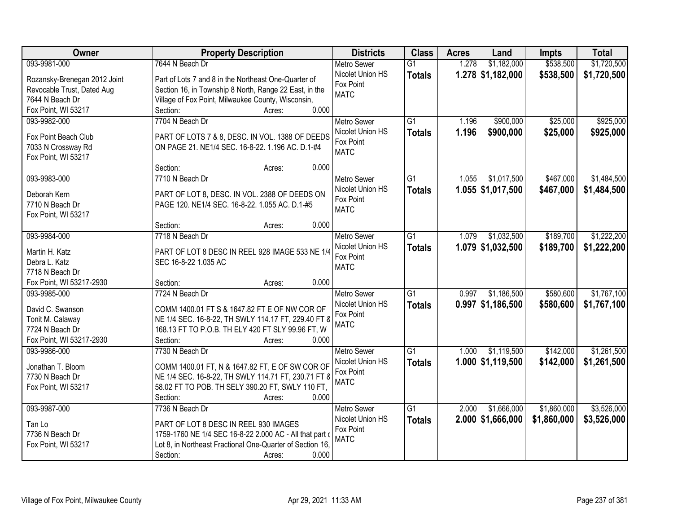| Owner                        | <b>Property Description</b>                               | <b>Districts</b>                       | <b>Class</b>    | <b>Acres</b> | Land                | <b>Impts</b> | <b>Total</b> |
|------------------------------|-----------------------------------------------------------|----------------------------------------|-----------------|--------------|---------------------|--------------|--------------|
| 093-9981-000                 | 7644 N Beach Dr                                           | <b>Metro Sewer</b>                     | $\overline{G1}$ | 1.278        | \$1,182,000         | \$538,500    | \$1,720,500  |
| Rozansky-Brenegan 2012 Joint | Part of Lots 7 and 8 in the Northeast One-Quarter of      | Nicolet Union HS                       | <b>Totals</b>   |              | $1.278$ \$1,182,000 | \$538,500    | \$1,720,500  |
| Revocable Trust, Dated Aug   | Section 16, in Township 8 North, Range 22 East, in the    | Fox Point                              |                 |              |                     |              |              |
| 7644 N Beach Dr              | Village of Fox Point, Milwaukee County, Wisconsin,        | <b>MATC</b>                            |                 |              |                     |              |              |
| Fox Point, WI 53217          | 0.000<br>Section:<br>Acres:                               |                                        |                 |              |                     |              |              |
| 093-9982-000                 | 7704 N Beach Dr                                           | <b>Metro Sewer</b>                     | $\overline{G1}$ | 1.196        | \$900,000           | \$25,000     | \$925,000    |
| Fox Point Beach Club         | PART OF LOTS 7 & 8, DESC. IN VOL. 1388 OF DEEDS           | Nicolet Union HS                       | <b>Totals</b>   | 1.196        | \$900,000           | \$25,000     | \$925,000    |
| 7033 N Crossway Rd           | ON PAGE 21. NE1/4 SEC. 16-8-22. 1.196 AC. D.1-#4          | Fox Point                              |                 |              |                     |              |              |
| Fox Point, WI 53217          |                                                           | <b>MATC</b>                            |                 |              |                     |              |              |
|                              | 0.000<br>Section:<br>Acres:                               |                                        |                 |              |                     |              |              |
| 093-9983-000                 | 7710 N Beach Dr                                           | <b>Metro Sewer</b>                     | G1              | 1.055        | \$1,017,500         | \$467,000    | \$1,484,500  |
|                              |                                                           | Nicolet Union HS                       | <b>Totals</b>   |              | $1.055$ \$1,017,500 | \$467,000    | \$1,484,500  |
| Deborah Kern                 | PART OF LOT 8, DESC. IN VOL. 2388 OF DEEDS ON             | Fox Point                              |                 |              |                     |              |              |
| 7710 N Beach Dr              | PAGE 120. NE1/4 SEC. 16-8-22. 1.055 AC. D.1-#5            | <b>MATC</b>                            |                 |              |                     |              |              |
| Fox Point, WI 53217          |                                                           |                                        |                 |              |                     |              |              |
| 093-9984-000                 | 0.000<br>Section:<br>Acres:<br>7718 N Beach Dr            |                                        |                 | 1.079        | \$1,032,500         | \$189,700    | \$1,222,200  |
|                              |                                                           | <b>Metro Sewer</b><br>Nicolet Union HS | G1              |              |                     |              |              |
| Martin H. Katz               | PART OF LOT 8 DESC IN REEL 928 IMAGE 533 NE 1/4           | Fox Point                              | <b>Totals</b>   |              | 1.079 \$1,032,500   | \$189,700    | \$1,222,200  |
| Debra L. Katz                | SEC 16-8-22 1.035 AC                                      | <b>MATC</b>                            |                 |              |                     |              |              |
| 7718 N Beach Dr              |                                                           |                                        |                 |              |                     |              |              |
| Fox Point, WI 53217-2930     | 0.000<br>Section:<br>Acres:                               |                                        |                 |              |                     |              |              |
| 093-9985-000                 | 7724 N Beach Dr                                           | <b>Metro Sewer</b>                     | $\overline{G1}$ | 0.997        | \$1,186,500         | \$580,600    | \$1,767,100  |
| David C. Swanson             | COMM 1400.01 FT S & 1647.82 FT E OF NW COR OF             | Nicolet Union HS                       | <b>Totals</b>   |              | $0.997$ \$1,186,500 | \$580,600    | \$1,767,100  |
| Tonit M. Calaway             | NE 1/4 SEC. 16-8-22, TH SWLY 114.17 FT, 229.40 FT 8       | Fox Point                              |                 |              |                     |              |              |
| 7724 N Beach Dr              | 168.13 FT TO P.O.B. TH ELY 420 FT SLY 99.96 FT, W         | <b>MATC</b>                            |                 |              |                     |              |              |
| Fox Point, WI 53217-2930     | Section:<br>0.000<br>Acres:                               |                                        |                 |              |                     |              |              |
| 093-9986-000                 | 7730 N Beach Dr                                           | <b>Metro Sewer</b>                     | $\overline{G1}$ | 1.000        | \$1,119,500         | \$142,000    | \$1,261,500  |
| Jonathan T. Bloom            | COMM 1400.01 FT, N & 1647.82 FT, E OF SW COR OF           | Nicolet Union HS                       | <b>Totals</b>   |              | $1.000$ \$1,119,500 | \$142,000    | \$1,261,500  |
| 7730 N Beach Dr              | NE 1/4 SEC. 16-8-22, TH SWLY 114.71 FT, 230.71 FT 8       | Fox Point                              |                 |              |                     |              |              |
| Fox Point, WI 53217          | 58.02 FT TO POB. TH SELY 390.20 FT, SWLY 110 FT,          | <b>MATC</b>                            |                 |              |                     |              |              |
|                              | 0.000<br>Section:<br>Acres:                               |                                        |                 |              |                     |              |              |
| 093-9987-000                 | 7736 N Beach Dr                                           | <b>Metro Sewer</b>                     | $\overline{G1}$ | 2.000        | \$1,666,000         | \$1,860,000  | \$3,526,000  |
|                              |                                                           | Nicolet Union HS                       | <b>Totals</b>   |              | $2.000$ \$1,666,000 | \$1,860,000  | \$3,526,000  |
| Tan Lo                       | PART OF LOT 8 DESC IN REEL 930 IMAGES                     | Fox Point                              |                 |              |                     |              |              |
| 7736 N Beach Dr              | 1759-1760 NE 1/4 SEC 16-8-22 2.000 AC - All that part o   | <b>MATC</b>                            |                 |              |                     |              |              |
| Fox Point, WI 53217          | Lot 8, in Northeast Fractional One-Quarter of Section 16, |                                        |                 |              |                     |              |              |
|                              | 0.000<br>Section:<br>Acres:                               |                                        |                 |              |                     |              |              |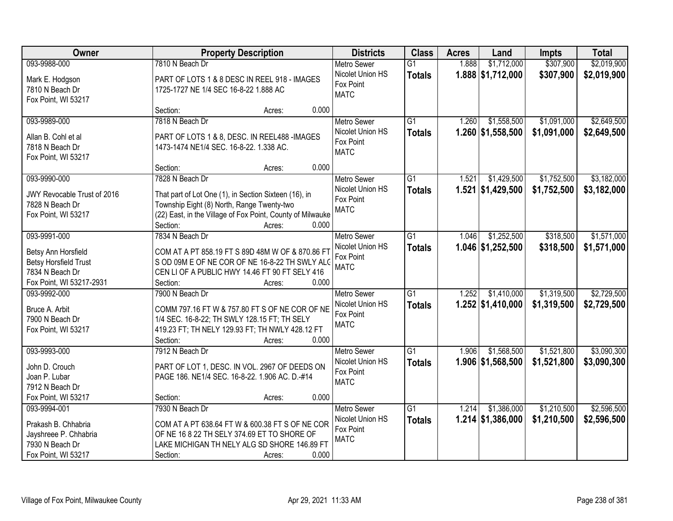| Owner                                          | <b>Property Description</b>                                                                         | <b>Districts</b>   | <b>Class</b>    | <b>Acres</b> | Land                | <b>Impts</b> | <b>Total</b> |
|------------------------------------------------|-----------------------------------------------------------------------------------------------------|--------------------|-----------------|--------------|---------------------|--------------|--------------|
| 093-9988-000                                   | 7810 N Beach Dr                                                                                     | Metro Sewer        | $\overline{G1}$ | 1.888        | \$1,712,000         | \$307,900    | \$2,019,900  |
| Mark E. Hodgson                                | PART OF LOTS 1 & 8 DESC IN REEL 918 - IMAGES                                                        | Nicolet Union HS   | <b>Totals</b>   |              | 1.888 \$1,712,000   | \$307,900    | \$2,019,900  |
| 7810 N Beach Dr                                | 1725-1727 NE 1/4 SEC 16-8-22 1.888 AC                                                               | Fox Point          |                 |              |                     |              |              |
| Fox Point, WI 53217                            |                                                                                                     | <b>MATC</b>        |                 |              |                     |              |              |
|                                                | Section:<br>0.000<br>Acres:                                                                         |                    |                 |              |                     |              |              |
| 093-9989-000                                   | 7818 N Beach Dr                                                                                     | <b>Metro Sewer</b> | G1              | 1.260        | \$1,558,500         | \$1,091,000  | \$2,649,500  |
| Allan B. Cohl et al                            | PART OF LOTS 1 & 8, DESC. IN REEL488 - IMAGES                                                       | Nicolet Union HS   | <b>Totals</b>   |              | 1.260 \$1,558,500   | \$1,091,000  | \$2,649,500  |
| 7818 N Beach Dr                                | 1473-1474 NE1/4 SEC. 16-8-22. 1.338 AC.                                                             | Fox Point          |                 |              |                     |              |              |
| Fox Point, WI 53217                            |                                                                                                     | <b>MATC</b>        |                 |              |                     |              |              |
|                                                | 0.000<br>Section:<br>Acres:                                                                         |                    |                 |              |                     |              |              |
| 093-9990-000                                   | 7828 N Beach Dr                                                                                     | <b>Metro Sewer</b> | G1              | 1.521        | \$1,429,500         | \$1,752,500  | \$3,182,000  |
|                                                |                                                                                                     | Nicolet Union HS   | <b>Totals</b>   |              | 1.521 \$1,429,500   | \$1,752,500  | \$3,182,000  |
| JWY Revocable Trust of 2016<br>7828 N Beach Dr | That part of Lot One (1), in Section Sixteen (16), in<br>Township Eight (8) North, Range Twenty-two | Fox Point          |                 |              |                     |              |              |
| Fox Point, WI 53217                            | (22) East, in the Village of Fox Point, County of Milwauke                                          | <b>MATC</b>        |                 |              |                     |              |              |
|                                                | Section:<br>0.000<br>Acres:                                                                         |                    |                 |              |                     |              |              |
| 093-9991-000                                   | 7834 N Beach Dr                                                                                     | <b>Metro Sewer</b> | $\overline{G1}$ | 1.046        | \$1,252,500         | \$318,500    | \$1,571,000  |
|                                                |                                                                                                     | Nicolet Union HS   | <b>Totals</b>   |              | $1.046$ \$1,252,500 | \$318,500    | \$1,571,000  |
| Betsy Ann Horsfield                            | COM AT A PT 858.19 FT S 89D 48M W OF & 870.86 FT                                                    | Fox Point          |                 |              |                     |              |              |
| <b>Betsy Horsfield Trust</b>                   | S OD 09M E OF NE COR OF NE 16-8-22 TH SWLY ALO                                                      | <b>MATC</b>        |                 |              |                     |              |              |
| 7834 N Beach Dr                                | CEN LI OF A PUBLIC HWY 14.46 FT 90 FT SELY 416                                                      |                    |                 |              |                     |              |              |
| Fox Point, WI 53217-2931                       | 0.000<br>Section:<br>Acres:                                                                         |                    |                 |              |                     |              |              |
| 093-9992-000                                   | 7900 N Beach Dr                                                                                     | Metro Sewer        | $\overline{G1}$ | 1.252        | \$1,410,000         | \$1,319,500  | \$2,729,500  |
| Bruce A. Arbit                                 | COMM 797.16 FT W & 757.80 FT S OF NE COR OF NE                                                      | Nicolet Union HS   | <b>Totals</b>   |              | $1.252$ \$1,410,000 | \$1,319,500  | \$2,729,500  |
| 7900 N Beach Dr                                | 1/4 SEC. 16-8-22; TH SWLY 128.15 FT; TH SELY                                                        | Fox Point          |                 |              |                     |              |              |
| Fox Point, WI 53217                            | 419.23 FT; TH NELY 129.93 FT; TH NWLY 428.12 FT                                                     | <b>MATC</b>        |                 |              |                     |              |              |
|                                                | Section:<br>0.000<br>Acres:                                                                         |                    |                 |              |                     |              |              |
| 093-9993-000                                   | 7912 N Beach Dr                                                                                     | Metro Sewer        | $\overline{G1}$ | 1.906        | \$1,568,500         | \$1,521,800  | \$3,090,300  |
| John D. Crouch                                 | PART OF LOT 1, DESC. IN VOL. 2967 OF DEEDS ON                                                       | Nicolet Union HS   | <b>Totals</b>   |              | 1.906 \$1,568,500   | \$1,521,800  | \$3,090,300  |
| Joan P. Lubar                                  | PAGE 186. NE1/4 SEC. 16-8-22. 1.906 AC. D.-#14                                                      | Fox Point          |                 |              |                     |              |              |
| 7912 N Beach Dr                                |                                                                                                     | <b>MATC</b>        |                 |              |                     |              |              |
| Fox Point, WI 53217                            | 0.000<br>Section:<br>Acres:                                                                         |                    |                 |              |                     |              |              |
| 093-9994-001                                   | 7930 N Beach Dr                                                                                     | <b>Metro Sewer</b> | $\overline{G1}$ | 1.214        | \$1,386,000         | \$1,210,500  | \$2,596,500  |
|                                                |                                                                                                     | Nicolet Union HS   | <b>Totals</b>   |              | $1.214$ \$1,386,000 | \$1,210,500  | \$2,596,500  |
| Prakash B. Chhabria                            | COM AT A PT 638.64 FT W & 600.38 FT S OF NE COR<br>OF NE 16 8 22 TH SELY 374.69 ET TO SHORE OF      | Fox Point          |                 |              |                     |              |              |
| Jayshreee P. Chhabria<br>7930 N Beach Dr       | LAKE MICHIGAN TH NELY ALG SD SHORE 146.89 FT                                                        | <b>MATC</b>        |                 |              |                     |              |              |
| Fox Point, WI 53217                            | 0.000<br>Section:<br>Acres:                                                                         |                    |                 |              |                     |              |              |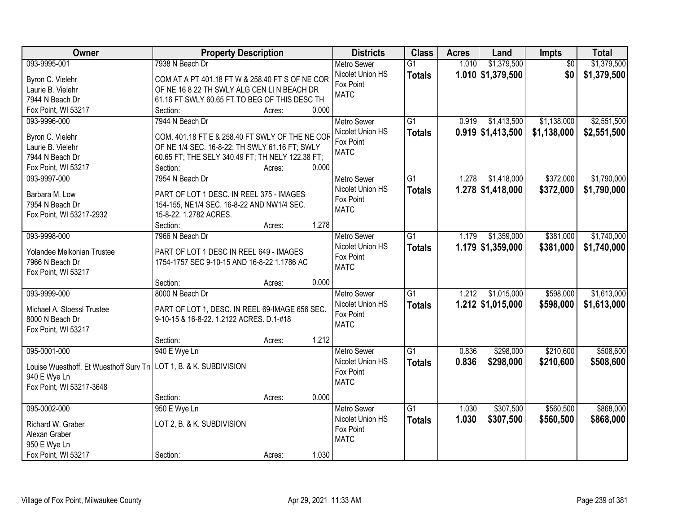| Owner                                                              | <b>Property Description</b>                      |       | <b>Districts</b>   | <b>Class</b>    | <b>Acres</b> | Land                | Impts           | <b>Total</b> |
|--------------------------------------------------------------------|--------------------------------------------------|-------|--------------------|-----------------|--------------|---------------------|-----------------|--------------|
| 093-9995-001                                                       | 7938 N Beach Dr                                  |       | <b>Metro Sewer</b> | $\overline{G1}$ | 1.010        | \$1,379,500         | $\overline{50}$ | \$1,379,500  |
| Byron C. Vielehr                                                   | COM AT A PT 401.18 FT W & 258.40 FT S OF NE COR  |       | Nicolet Union HS   | <b>Totals</b>   |              | $1.010$ \$1,379,500 | \$0             | \$1,379,500  |
| Laurie B. Vielehr                                                  | OF NE 16 8 22 TH SWLY ALG CEN LIN BEACH DR       |       | Fox Point          |                 |              |                     |                 |              |
| 7944 N Beach Dr                                                    | 61.16 FT SWLY 60.65 FT TO BEG OF THIS DESC TH    |       | <b>MATC</b>        |                 |              |                     |                 |              |
| Fox Point, WI 53217                                                | Section:<br>Acres:                               | 0.000 |                    |                 |              |                     |                 |              |
| 093-9996-000                                                       | 7944 N Beach Dr                                  |       | <b>Metro Sewer</b> | $\overline{G1}$ | 0.919        | \$1,413,500         | \$1,138,000     | \$2,551,500  |
|                                                                    |                                                  |       | Nicolet Union HS   | <b>Totals</b>   |              | $0.919$ \$1,413,500 | \$1,138,000     | \$2,551,500  |
| Byron C. Vielehr                                                   | COM. 401.18 FT E & 258.40 FT SWLY OF THE NE COR  |       | Fox Point          |                 |              |                     |                 |              |
| Laurie B. Vielehr                                                  | OF NE 1/4 SEC. 16-8-22; TH SWLY 61.16 FT; SWLY   |       | <b>MATC</b>        |                 |              |                     |                 |              |
| 7944 N Beach Dr                                                    | 60.65 FT; THE SELY 340.49 FT; TH NELY 122.38 FT; |       |                    |                 |              |                     |                 |              |
| Fox Point, WI 53217                                                | Section:<br>Acres:                               | 0.000 |                    |                 |              |                     |                 |              |
| 093-9997-000                                                       | 7954 N Beach Dr                                  |       | Metro Sewer        | G1              | 1.278        | \$1,418,000         | \$372,000       | \$1,790,000  |
| Barbara M. Low                                                     | PART OF LOT 1 DESC. IN REEL 375 - IMAGES         |       | Nicolet Union HS   | <b>Totals</b>   |              | $1.278$ \$1,418,000 | \$372,000       | \$1,790,000  |
| 7954 N Beach Dr                                                    | 154-155, NE1/4 SEC. 16-8-22 AND NW1/4 SEC.       |       | Fox Point          |                 |              |                     |                 |              |
| Fox Point, WI 53217-2932                                           | 15-8-22. 1.2782 ACRES.                           |       | <b>MATC</b>        |                 |              |                     |                 |              |
|                                                                    | Section:<br>Acres:                               | 1.278 |                    |                 |              |                     |                 |              |
| 093-9998-000                                                       | 7966 N Beach Dr                                  |       | <b>Metro Sewer</b> | G1              | 1.179        | \$1,359,000         | \$381,000       | \$1,740,000  |
|                                                                    |                                                  |       | Nicolet Union HS   |                 |              | $1.179$ \$1,359,000 | \$381,000       | \$1,740,000  |
| Yolandee Melkonian Trustee                                         | PART OF LOT 1 DESC IN REEL 649 - IMAGES          |       | Fox Point          | <b>Totals</b>   |              |                     |                 |              |
| 7966 N Beach Dr                                                    | 1754-1757 SEC 9-10-15 AND 16-8-22 1.1786 AC      |       | <b>MATC</b>        |                 |              |                     |                 |              |
| Fox Point, WI 53217                                                |                                                  |       |                    |                 |              |                     |                 |              |
|                                                                    | Section:<br>Acres:                               | 0.000 |                    |                 |              |                     |                 |              |
| 093-9999-000                                                       | 8000 N Beach Dr                                  |       | <b>Metro Sewer</b> | $\overline{G1}$ | 1.212        | \$1,015,000         | \$598,000       | \$1,613,000  |
| Michael A. Stoessl Trustee                                         | PART OF LOT 1, DESC. IN REEL 69-IMAGE 656 SEC.   |       | Nicolet Union HS   | <b>Totals</b>   |              | $1.212$ \$1,015,000 | \$598,000       | \$1,613,000  |
| 8000 N Beach Dr                                                    | 9-10-15 & 16-8-22. 1.2122 ACRES. D.1-#18         |       | Fox Point          |                 |              |                     |                 |              |
|                                                                    |                                                  |       | <b>MATC</b>        |                 |              |                     |                 |              |
| Fox Point, WI 53217                                                | Section:                                         | 1.212 |                    |                 |              |                     |                 |              |
|                                                                    | Acres:                                           |       |                    |                 |              |                     |                 |              |
| 095-0001-000                                                       | 940 E Wye Ln                                     |       | <b>Metro Sewer</b> | $\overline{G1}$ | 0.836        | \$298,000           | \$210,600       | \$508,600    |
| Louise Wuesthoff, Et Wuesthoff Surv Tri LOT 1, B. & K. SUBDIVISION |                                                  |       | Nicolet Union HS   | <b>Totals</b>   | 0.836        | \$298,000           | \$210,600       | \$508,600    |
| 940 E Wye Ln                                                       |                                                  |       | Fox Point          |                 |              |                     |                 |              |
| Fox Point, WI 53217-3648                                           |                                                  |       | <b>MATC</b>        |                 |              |                     |                 |              |
|                                                                    | Section:<br>Acres:                               | 0.000 |                    |                 |              |                     |                 |              |
| 095-0002-000                                                       | 950 E Wye Ln                                     |       | <b>Metro Sewer</b> | $\overline{G1}$ | 1.030        | \$307,500           | \$560,500       | \$868,000    |
|                                                                    |                                                  |       | Nicolet Union HS   | <b>Totals</b>   | 1.030        | \$307,500           | \$560,500       | \$868,000    |
| Richard W. Graber                                                  | LOT 2, B. & K. SUBDIVISION                       |       | Fox Point          |                 |              |                     |                 |              |
| Alexan Graber                                                      |                                                  |       | <b>MATC</b>        |                 |              |                     |                 |              |
| 950 E Wye Ln                                                       |                                                  |       |                    |                 |              |                     |                 |              |
| Fox Point, WI 53217                                                | Section:<br>Acres:                               | 1.030 |                    |                 |              |                     |                 |              |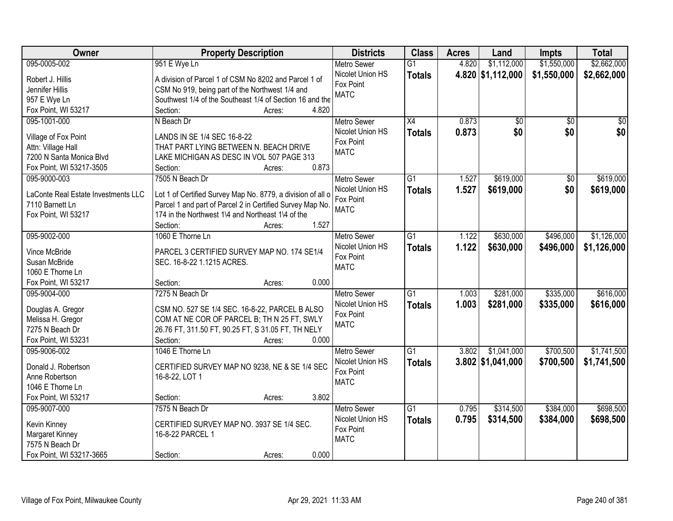| Owner                               | <b>Property Description</b>                                                                                    | <b>Districts</b>   | <b>Class</b>    | <b>Acres</b> | Land                | <b>Impts</b>    | <b>Total</b>    |
|-------------------------------------|----------------------------------------------------------------------------------------------------------------|--------------------|-----------------|--------------|---------------------|-----------------|-----------------|
| 095-0005-002                        | 951 E Wye Ln                                                                                                   | <b>Metro Sewer</b> | $\overline{G1}$ | 4.820        | \$1,112,000         | \$1,550,000     | \$2,662,000     |
| Robert J. Hillis                    | A division of Parcel 1 of CSM No 8202 and Parcel 1 of                                                          | Nicolet Union HS   | <b>Totals</b>   |              | 4.820 \$1,112,000   | \$1,550,000     | \$2,662,000     |
| Jennifer Hillis                     | CSM No 919, being part of the Northwest 1/4 and                                                                | Fox Point          |                 |              |                     |                 |                 |
| 957 E Wye Ln                        | Southwest 1/4 of the Southeast 1/4 of Section 16 and the                                                       | <b>MATC</b>        |                 |              |                     |                 |                 |
| Fox Point, WI 53217                 | 4.820<br>Section:<br>Acres:                                                                                    |                    |                 |              |                     |                 |                 |
| 095-1001-000                        | N Beach Dr                                                                                                     | <b>Metro Sewer</b> | $\overline{X4}$ | 0.873        | \$0                 | $\overline{50}$ | $\overline{50}$ |
|                                     |                                                                                                                | Nicolet Union HS   |                 | 0.873        | \$0                 | \$0             | \$0             |
| Village of Fox Point                | LANDS IN SE 1/4 SEC 16-8-22                                                                                    | Fox Point          | <b>Totals</b>   |              |                     |                 |                 |
| Attn: Village Hall                  | THAT PART LYING BETWEEN N. BEACH DRIVE                                                                         | <b>MATC</b>        |                 |              |                     |                 |                 |
| 7200 N Santa Monica Blvd            | LAKE MICHIGAN AS DESC IN VOL 507 PAGE 313                                                                      |                    |                 |              |                     |                 |                 |
| Fox Point, WI 53217-3505            | 0.873<br>Section:<br>Acres:                                                                                    |                    |                 |              |                     |                 |                 |
| 095-9000-003                        | 7505 N Beach Dr                                                                                                | Metro Sewer        | G1              | 1.527        | \$619,000           | $\overline{50}$ | \$619,000       |
|                                     |                                                                                                                | Nicolet Union HS   | <b>Totals</b>   | 1.527        | \$619,000           | \$0             | \$619,000       |
| LaConte Real Estate Investments LLC | Lot 1 of Certified Survey Map No. 8779, a division of all o                                                    | Fox Point          |                 |              |                     |                 |                 |
| 7110 Barnett Ln                     | Parcel 1 and part of Parcel 2 in Certified Survey Map No.<br>174 in the Northwest 1\4 and Northeast 1\4 of the | <b>MATC</b>        |                 |              |                     |                 |                 |
| Fox Point, WI 53217                 | 1.527<br>Section:                                                                                              |                    |                 |              |                     |                 |                 |
|                                     | Acres:<br>1060 E Thorne Ln                                                                                     |                    |                 |              |                     |                 |                 |
| 095-9002-000                        |                                                                                                                | <b>Metro Sewer</b> | G1              | 1.122        | \$630,000           | \$496,000       | \$1,126,000     |
| Vince McBride                       | PARCEL 3 CERTIFIED SURVEY MAP NO. 174 SE1/4                                                                    | Nicolet Union HS   | <b>Totals</b>   | 1.122        | \$630,000           | \$496,000       | \$1,126,000     |
| Susan McBride                       | SEC. 16-8-22 1.1215 ACRES.                                                                                     | Fox Point          |                 |              |                     |                 |                 |
| 1060 E Thorne Ln                    |                                                                                                                | <b>MATC</b>        |                 |              |                     |                 |                 |
| Fox Point, WI 53217                 | 0.000<br>Section:<br>Acres:                                                                                    |                    |                 |              |                     |                 |                 |
| 095-9004-000                        | 7275 N Beach Dr                                                                                                | <b>Metro Sewer</b> | $\overline{G1}$ | 1.003        | \$281,000           | \$335,000       | \$616,000       |
|                                     |                                                                                                                | Nicolet Union HS   | <b>Totals</b>   | 1.003        | \$281,000           | \$335,000       | \$616,000       |
| Douglas A. Gregor                   | CSM NO. 527 SE 1/4 SEC. 16-8-22, PARCEL B ALSO                                                                 | Fox Point          |                 |              |                     |                 |                 |
| Melissa H. Gregor                   | COM AT NE COR OF PARCEL B; TH N 25 FT, SWLY                                                                    | <b>MATC</b>        |                 |              |                     |                 |                 |
| 7275 N Beach Dr                     | 26.76 FT, 311.50 FT, 90.25 FT, S 31.05 FT, TH NELY                                                             |                    |                 |              |                     |                 |                 |
| Fox Point, WI 53231                 | Section:<br>0.000<br>Acres:                                                                                    |                    |                 |              |                     |                 |                 |
| 095-9006-002                        | 1046 E Thorne Ln                                                                                               | <b>Metro Sewer</b> | G1              | 3.802        | \$1,041,000         | \$700,500       | \$1,741,500     |
| Donald J. Robertson                 | CERTIFIED SURVEY MAP NO 9238, NE & SE 1/4 SEC                                                                  | Nicolet Union HS   | <b>Totals</b>   |              | $3.802$ \$1,041,000 | \$700,500       | \$1,741,500     |
| Anne Robertson                      | 16-8-22, LOT 1                                                                                                 | Fox Point          |                 |              |                     |                 |                 |
| 1046 E Thorne Ln                    |                                                                                                                | <b>MATC</b>        |                 |              |                     |                 |                 |
| Fox Point, WI 53217                 | 3.802<br>Section:<br>Acres:                                                                                    |                    |                 |              |                     |                 |                 |
| 095-9007-000                        | 7575 N Beach Dr                                                                                                | <b>Metro Sewer</b> | $\overline{G1}$ | 0.795        | \$314,500           | \$384,000       | \$698,500       |
|                                     |                                                                                                                | Nicolet Union HS   | <b>Totals</b>   | 0.795        | \$314,500           | \$384,000       | \$698,500       |
| Kevin Kinney                        | CERTIFIED SURVEY MAP NO. 3937 SE 1/4 SEC.                                                                      | Fox Point          |                 |              |                     |                 |                 |
| Margaret Kinney                     | 16-8-22 PARCEL 1                                                                                               | <b>MATC</b>        |                 |              |                     |                 |                 |
| 7575 N Beach Dr                     |                                                                                                                |                    |                 |              |                     |                 |                 |
| Fox Point, WI 53217-3665            | 0.000<br>Section:<br>Acres:                                                                                    |                    |                 |              |                     |                 |                 |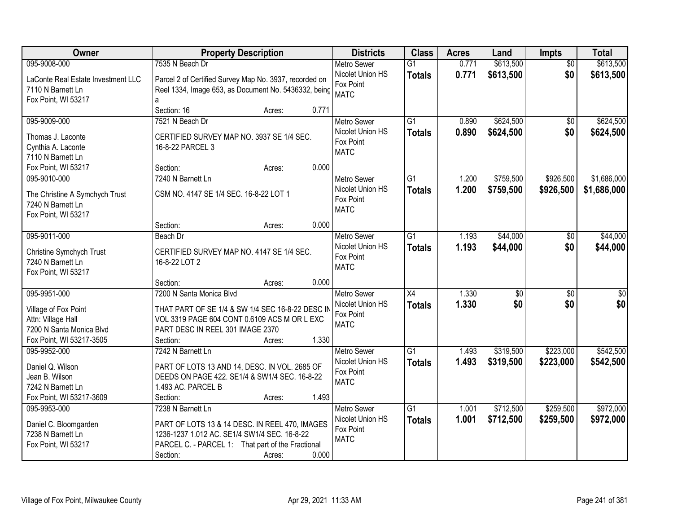| Owner                                         |                                                        | <b>Property Description</b> |       | <b>Districts</b>                       | <b>Class</b>    | <b>Acres</b> | Land            | Impts           | <b>Total</b>    |
|-----------------------------------------------|--------------------------------------------------------|-----------------------------|-------|----------------------------------------|-----------------|--------------|-----------------|-----------------|-----------------|
| 095-9008-000                                  | 7535 N Beach Dr                                        |                             |       | <b>Metro Sewer</b>                     | $\overline{G1}$ | 0.771        | \$613,500       | $\overline{50}$ | \$613,500       |
| LaConte Real Estate Investment LLC            | Parcel 2 of Certified Survey Map No. 3937, recorded on |                             |       | Nicolet Union HS                       | <b>Totals</b>   | 0.771        | \$613,500       | \$0             | \$613,500       |
| 7110 N Barnett Ln                             | Reel 1334, Image 653, as Document No. 5436332, being   |                             |       | Fox Point                              |                 |              |                 |                 |                 |
| Fox Point, WI 53217                           | a                                                      |                             |       | <b>MATC</b>                            |                 |              |                 |                 |                 |
|                                               | Section: 16                                            | Acres:                      | 0.771 |                                        |                 |              |                 |                 |                 |
| 095-9009-000                                  | 7521 N Beach Dr                                        |                             |       | <b>Metro Sewer</b>                     | $\overline{G1}$ | 0.890        | \$624,500       | $\overline{50}$ | \$624,500       |
|                                               | CERTIFIED SURVEY MAP NO. 3937 SE 1/4 SEC.              |                             |       | Nicolet Union HS                       | <b>Totals</b>   | 0.890        | \$624,500       | \$0             | \$624,500       |
| Thomas J. Laconte<br>Cynthia A. Laconte       | 16-8-22 PARCEL 3                                       |                             |       | Fox Point                              |                 |              |                 |                 |                 |
| 7110 N Barnett Ln                             |                                                        |                             |       | <b>MATC</b>                            |                 |              |                 |                 |                 |
| Fox Point, WI 53217                           | Section:                                               | Acres:                      | 0.000 |                                        |                 |              |                 |                 |                 |
| 095-9010-000                                  | 7240 N Barnett Ln                                      |                             |       | <b>Metro Sewer</b>                     | $\overline{G1}$ | 1.200        | \$759,500       | \$926,500       | \$1,686,000     |
|                                               |                                                        |                             |       | Nicolet Union HS                       | <b>Totals</b>   | 1.200        | \$759,500       | \$926,500       | \$1,686,000     |
| The Christine A Symchych Trust                | CSM NO. 4147 SE 1/4 SEC. 16-8-22 LOT 1                 |                             |       | Fox Point                              |                 |              |                 |                 |                 |
| 7240 N Barnett Ln                             |                                                        |                             |       | <b>MATC</b>                            |                 |              |                 |                 |                 |
| Fox Point, WI 53217                           |                                                        |                             |       |                                        |                 |              |                 |                 |                 |
|                                               | Section:                                               | Acres:                      | 0.000 |                                        |                 |              |                 |                 |                 |
| 095-9011-000                                  | Beach Dr                                               |                             |       | <b>Metro Sewer</b>                     | G1              | 1.193        | \$44,000        | \$0             | \$44,000        |
| Christine Symchych Trust                      | CERTIFIED SURVEY MAP NO. 4147 SE 1/4 SEC.              |                             |       | Nicolet Union HS                       | <b>Totals</b>   | 1.193        | \$44,000        | \$0             | \$44,000        |
| 7240 N Barnett Ln                             | 16-8-22 LOT 2                                          |                             |       | Fox Point                              |                 |              |                 |                 |                 |
| Fox Point, WI 53217                           |                                                        |                             |       | <b>MATC</b>                            |                 |              |                 |                 |                 |
|                                               | Section:                                               | Acres:                      | 0.000 |                                        |                 |              |                 |                 |                 |
| 095-9951-000                                  | 7200 N Santa Monica Blvd                               |                             |       | <b>Metro Sewer</b>                     | $\overline{X4}$ | 1.330        | $\overline{50}$ | $\overline{50}$ | $\overline{50}$ |
| Village of Fox Point                          | THAT PART OF SE 1/4 & SW 1/4 SEC 16-8-22 DESC IN       |                             |       | Nicolet Union HS                       | <b>Totals</b>   | 1.330        | \$0             | \$0             | \$0             |
| Attn: Village Hall                            | VOL 3319 PAGE 604 CONT 0.6109 ACS M OR L EXC           |                             |       | Fox Point                              |                 |              |                 |                 |                 |
| 7200 N Santa Monica Blvd                      | PART DESC IN REEL 301 IMAGE 2370                       |                             |       | <b>MATC</b>                            |                 |              |                 |                 |                 |
| Fox Point, WI 53217-3505                      | Section:                                               | Acres:                      | 1.330 |                                        |                 |              |                 |                 |                 |
| 095-9952-000                                  | 7242 N Barnett Ln                                      |                             |       | <b>Metro Sewer</b>                     | G1              | 1.493        | \$319,500       | \$223,000       | \$542,500       |
|                                               |                                                        |                             |       | Nicolet Union HS                       | <b>Totals</b>   | 1.493        | \$319,500       | \$223,000       | \$542,500       |
| Daniel Q. Wilson                              | PART OF LOTS 13 AND 14, DESC. IN VOL. 2685 OF          |                             |       | Fox Point                              |                 |              |                 |                 |                 |
| Jean B. Wilson                                | DEEDS ON PAGE 422. SE1/4 & SW1/4 SEC. 16-8-22          |                             |       | <b>MATC</b>                            |                 |              |                 |                 |                 |
| 7242 N Barnett Ln<br>Fox Point, WI 53217-3609 | 1.493 AC. PARCEL B<br>Section:                         |                             | 1.493 |                                        |                 |              |                 |                 |                 |
|                                               | 7238 N Barnett Ln                                      | Acres:                      |       |                                        | $\overline{G1}$ | 1.001        | \$712,500       | \$259,500       | \$972,000       |
| 095-9953-000                                  |                                                        |                             |       | <b>Metro Sewer</b><br>Nicolet Union HS |                 |              |                 |                 |                 |
| Daniel C. Bloomgarden                         | PART OF LOTS 13 & 14 DESC. IN REEL 470, IMAGES         |                             |       | Fox Point                              | <b>Totals</b>   | 1.001        | \$712,500       | \$259,500       | \$972,000       |
| 7238 N Barnett Ln                             | 1236-1237 1.012 AC. SE1/4 SW1/4 SEC. 16-8-22           |                             |       | <b>MATC</b>                            |                 |              |                 |                 |                 |
| Fox Point, WI 53217                           | PARCEL C. - PARCEL 1: That part of the Fractional      |                             |       |                                        |                 |              |                 |                 |                 |
|                                               | Section:                                               | Acres:                      | 0.000 |                                        |                 |              |                 |                 |                 |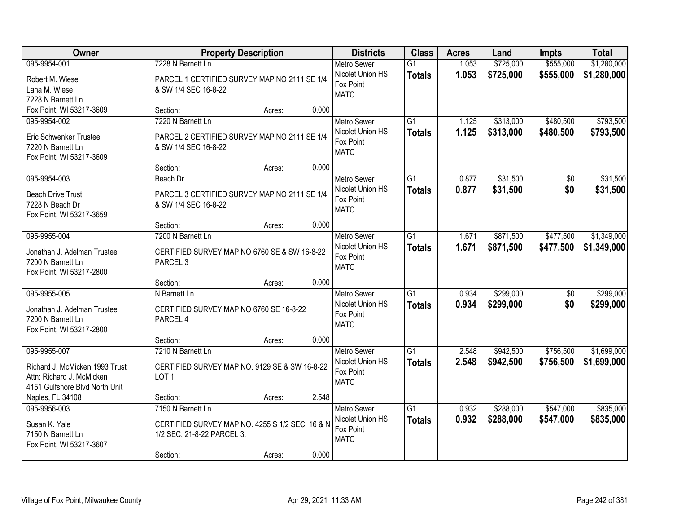| Owner                          |                                                 | <b>Property Description</b> |       | <b>Districts</b>   | <b>Class</b>    | <b>Acres</b> | Land      | <b>Impts</b>    | <b>Total</b> |
|--------------------------------|-------------------------------------------------|-----------------------------|-------|--------------------|-----------------|--------------|-----------|-----------------|--------------|
| 095-9954-001                   | 7228 N Barnett Ln                               |                             |       | <b>Metro Sewer</b> | $\overline{G1}$ | 1.053        | \$725,000 | \$555,000       | \$1,280,000  |
| Robert M. Wiese                | PARCEL 1 CERTIFIED SURVEY MAP NO 2111 SE 1/4    |                             |       | Nicolet Union HS   | <b>Totals</b>   | 1.053        | \$725,000 | \$555,000       | \$1,280,000  |
| Lana M. Wiese                  | & SW 1/4 SEC 16-8-22                            |                             |       | Fox Point          |                 |              |           |                 |              |
| 7228 N Barnett Ln              |                                                 |                             |       | <b>MATC</b>        |                 |              |           |                 |              |
| Fox Point, WI 53217-3609       | Section:                                        | Acres:                      | 0.000 |                    |                 |              |           |                 |              |
| 095-9954-002                   | 7220 N Barnett Ln                               |                             |       | <b>Metro Sewer</b> | $\overline{G1}$ | 1.125        | \$313,000 | \$480,500       | \$793,500    |
| Eric Schwenker Trustee         | PARCEL 2 CERTIFIED SURVEY MAP NO 2111 SE 1/4    |                             |       | Nicolet Union HS   | <b>Totals</b>   | 1.125        | \$313,000 | \$480,500       | \$793,500    |
| 7220 N Barnett Ln              | & SW 1/4 SEC 16-8-22                            |                             |       | Fox Point          |                 |              |           |                 |              |
| Fox Point, WI 53217-3609       |                                                 |                             |       | <b>MATC</b>        |                 |              |           |                 |              |
|                                | Section:                                        | Acres:                      | 0.000 |                    |                 |              |           |                 |              |
| 095-9954-003                   | Beach Dr                                        |                             |       | <b>Metro Sewer</b> | G1              | 0.877        | \$31,500  | \$0             | \$31,500     |
| <b>Beach Drive Trust</b>       | PARCEL 3 CERTIFIED SURVEY MAP NO 2111 SE 1/4    |                             |       | Nicolet Union HS   | <b>Totals</b>   | 0.877        | \$31,500  | \$0             | \$31,500     |
| 7228 N Beach Dr                | & SW 1/4 SEC 16-8-22                            |                             |       | Fox Point          |                 |              |           |                 |              |
| Fox Point, WI 53217-3659       |                                                 |                             |       | <b>MATC</b>        |                 |              |           |                 |              |
|                                | Section:                                        | Acres:                      | 0.000 |                    |                 |              |           |                 |              |
| 095-9955-004                   | 7200 N Barnett Ln                               |                             |       | <b>Metro Sewer</b> | $\overline{G1}$ | 1.671        | \$871,500 | \$477,500       | \$1,349,000  |
| Jonathan J. Adelman Trustee    | CERTIFIED SURVEY MAP NO 6760 SE & SW 16-8-22    |                             |       | Nicolet Union HS   | <b>Totals</b>   | 1.671        | \$871,500 | \$477,500       | \$1,349,000  |
| 7200 N Barnett Ln              | PARCEL <sub>3</sub>                             |                             |       | Fox Point          |                 |              |           |                 |              |
| Fox Point, WI 53217-2800       |                                                 |                             |       | <b>MATC</b>        |                 |              |           |                 |              |
|                                | Section:                                        | Acres:                      | 0.000 |                    |                 |              |           |                 |              |
| 095-9955-005                   | N Barnett Ln                                    |                             |       | Metro Sewer        | $\overline{G1}$ | 0.934        | \$299,000 | $\overline{30}$ | \$299,000    |
| Jonathan J. Adelman Trustee    | CERTIFIED SURVEY MAP NO 6760 SE 16-8-22         |                             |       | Nicolet Union HS   | <b>Totals</b>   | 0.934        | \$299,000 | \$0             | \$299,000    |
| 7200 N Barnett Ln              | PARCEL 4                                        |                             |       | Fox Point          |                 |              |           |                 |              |
| Fox Point, WI 53217-2800       |                                                 |                             |       | <b>MATC</b>        |                 |              |           |                 |              |
|                                | Section:                                        | Acres:                      | 0.000 |                    |                 |              |           |                 |              |
| 095-9955-007                   | 7210 N Barnett Ln                               |                             |       | <b>Metro Sewer</b> | $\overline{G1}$ | 2.548        | \$942,500 | \$756,500       | \$1,699,000  |
| Richard J. McMicken 1993 Trust | CERTIFIED SURVEY MAP NO. 9129 SE & SW 16-8-22   |                             |       | Nicolet Union HS   | <b>Totals</b>   | 2.548        | \$942,500 | \$756,500       | \$1,699,000  |
| Attn: Richard J. McMicken      | LOT <sub>1</sub>                                |                             |       | Fox Point          |                 |              |           |                 |              |
| 4151 Gulfshore Blvd North Unit |                                                 |                             |       | <b>MATC</b>        |                 |              |           |                 |              |
| Naples, FL 34108               | Section:                                        | Acres:                      | 2.548 |                    |                 |              |           |                 |              |
| 095-9956-003                   | 7150 N Barnett Ln                               |                             |       | <b>Metro Sewer</b> | $\overline{G1}$ | 0.932        | \$288,000 | \$547,000       | \$835,000    |
| Susan K. Yale                  | CERTIFIED SURVEY MAP NO. 4255 S 1/2 SEC. 16 & N |                             |       | Nicolet Union HS   | <b>Totals</b>   | 0.932        | \$288,000 | \$547,000       | \$835,000    |
| 7150 N Barnett Ln              | 1/2 SEC. 21-8-22 PARCEL 3.                      |                             |       | Fox Point          |                 |              |           |                 |              |
| Fox Point, WI 53217-3607       |                                                 |                             |       | <b>MATC</b>        |                 |              |           |                 |              |
|                                | Section:                                        | Acres:                      | 0.000 |                    |                 |              |           |                 |              |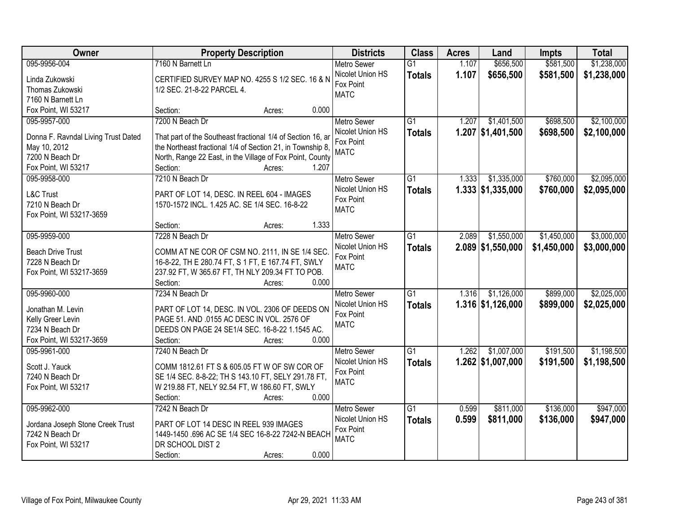| <b>Owner</b>                        | <b>Property Description</b>                                 | <b>Districts</b>   | <b>Class</b>    | <b>Acres</b> | Land                | <b>Impts</b> | <b>Total</b> |
|-------------------------------------|-------------------------------------------------------------|--------------------|-----------------|--------------|---------------------|--------------|--------------|
| 095-9956-004                        | 7160 N Barnett Ln                                           | <b>Metro Sewer</b> | $\overline{G1}$ | 1.107        | \$656,500           | \$581,500    | \$1,238,000  |
| Linda Zukowski                      | CERTIFIED SURVEY MAP NO. 4255 S 1/2 SEC. 16 & N             | Nicolet Union HS   | <b>Totals</b>   | 1.107        | \$656,500           | \$581,500    | \$1,238,000  |
| Thomas Zukowski                     | 1/2 SEC. 21-8-22 PARCEL 4.                                  | Fox Point          |                 |              |                     |              |              |
| 7160 N Barnett Ln                   |                                                             | <b>MATC</b>        |                 |              |                     |              |              |
| Fox Point, WI 53217                 | 0.000<br>Section:<br>Acres:                                 |                    |                 |              |                     |              |              |
| 095-9957-000                        | 7200 N Beach Dr                                             | <b>Metro Sewer</b> | $\overline{G1}$ | 1.207        | \$1,401,500         | \$698,500    | \$2,100,000  |
|                                     |                                                             | Nicolet Union HS   | <b>Totals</b>   |              | $1.207$ \$1,401,500 | \$698,500    | \$2,100,000  |
| Donna F. Ravndal Living Trust Dated | That part of the Southeast fractional 1/4 of Section 16, ar | Fox Point          |                 |              |                     |              |              |
| May 10, 2012                        | the Northeast fractional 1/4 of Section 21, in Township 8,  | <b>MATC</b>        |                 |              |                     |              |              |
| 7200 N Beach Dr                     | North, Range 22 East, in the Village of Fox Point, County   |                    |                 |              |                     |              |              |
| Fox Point, WI 53217                 | 1.207<br>Section:<br>Acres:                                 |                    |                 |              |                     |              |              |
| 095-9958-000                        | 7210 N Beach Dr                                             | <b>Metro Sewer</b> | G1              | 1.333        | \$1,335,000         | \$760,000    | \$2,095,000  |
| <b>L&amp;C Trust</b>                | PART OF LOT 14, DESC. IN REEL 604 - IMAGES                  | Nicolet Union HS   | <b>Totals</b>   |              | $1.333$ \$1,335,000 | \$760,000    | \$2,095,000  |
| 7210 N Beach Dr                     | 1570-1572 INCL. 1.425 AC. SE 1/4 SEC. 16-8-22               | Fox Point          |                 |              |                     |              |              |
| Fox Point, WI 53217-3659            |                                                             | <b>MATC</b>        |                 |              |                     |              |              |
|                                     | 1.333<br>Section:<br>Acres:                                 |                    |                 |              |                     |              |              |
| 095-9959-000                        | 7228 N Beach Dr                                             | <b>Metro Sewer</b> | $\overline{G1}$ | 2.089        | \$1,550,000         | \$1,450,000  | \$3,000,000  |
|                                     |                                                             | Nicolet Union HS   | <b>Totals</b>   |              | $2.089$ \$1,550,000 | \$1,450,000  | \$3,000,000  |
| <b>Beach Drive Trust</b>            | COMM AT NE COR OF CSM NO. 2111, IN SE 1/4 SEC.              | Fox Point          |                 |              |                     |              |              |
| 7228 N Beach Dr                     | 16-8-22, TH E 280.74 FT, S 1 FT, E 167.74 FT, SWLY          | <b>MATC</b>        |                 |              |                     |              |              |
| Fox Point, WI 53217-3659            | 237.92 FT, W 365.67 FT, TH NLY 209.34 FT TO POB.            |                    |                 |              |                     |              |              |
|                                     | Section:<br>0.000<br>Acres:                                 |                    |                 |              |                     |              |              |
| 095-9960-000                        | 7234 N Beach Dr                                             | <b>Metro Sewer</b> | $\overline{G1}$ | 1.316        | \$1,126,000         | \$899,000    | \$2,025,000  |
| Jonathan M. Levin                   | PART OF LOT 14, DESC. IN VOL. 2306 OF DEEDS ON              | Nicolet Union HS   | <b>Totals</b>   |              | $1.316$ \$1,126,000 | \$899,000    | \$2,025,000  |
| Kelly Greer Levin                   | PAGE 51. AND .0155 AC DESC IN VOL. 2576 OF                  | Fox Point          |                 |              |                     |              |              |
| 7234 N Beach Dr                     | DEEDS ON PAGE 24 SE1/4 SEC. 16-8-22 1.1545 AC.              | <b>MATC</b>        |                 |              |                     |              |              |
| Fox Point, WI 53217-3659            | Section:<br>0.000<br>Acres:                                 |                    |                 |              |                     |              |              |
| 095-9961-000                        | 7240 N Beach Dr                                             | <b>Metro Sewer</b> | $\overline{G1}$ | 1.262        | \$1,007,000         | \$191,500    | \$1,198,500  |
|                                     |                                                             | Nicolet Union HS   | <b>Totals</b>   |              | $1.262$ \$1,007,000 | \$191,500    | \$1,198,500  |
| Scott J. Yauck                      | COMM 1812.61 FT S & 605.05 FT W OF SW COR OF                | Fox Point          |                 |              |                     |              |              |
| 7240 N Beach Dr                     | SE 1/4 SEC. 8-8-22; TH S 143.10 FT, SELY 291.78 FT,         | <b>MATC</b>        |                 |              |                     |              |              |
| Fox Point, WI 53217                 | W 219.88 FT, NELY 92.54 FT, W 186.60 FT, SWLY               |                    |                 |              |                     |              |              |
|                                     | 0.000<br>Section:<br>Acres:                                 |                    |                 |              |                     |              |              |
| 095-9962-000                        | 7242 N Beach Dr                                             | <b>Metro Sewer</b> | $\overline{G1}$ | 0.599        | \$811,000           | \$136,000    | \$947,000    |
| Jordana Joseph Stone Creek Trust    | PART OF LOT 14 DESC IN REEL 939 IMAGES                      | Nicolet Union HS   | <b>Totals</b>   | 0.599        | \$811,000           | \$136,000    | \$947,000    |
| 7242 N Beach Dr                     | 1449-1450 .696 AC SE 1/4 SEC 16-8-22 7242-N BEACH           | Fox Point          |                 |              |                     |              |              |
| Fox Point, WI 53217                 | DR SCHOOL DIST 2                                            | <b>MATC</b>        |                 |              |                     |              |              |
|                                     | 0.000<br>Section:<br>Acres:                                 |                    |                 |              |                     |              |              |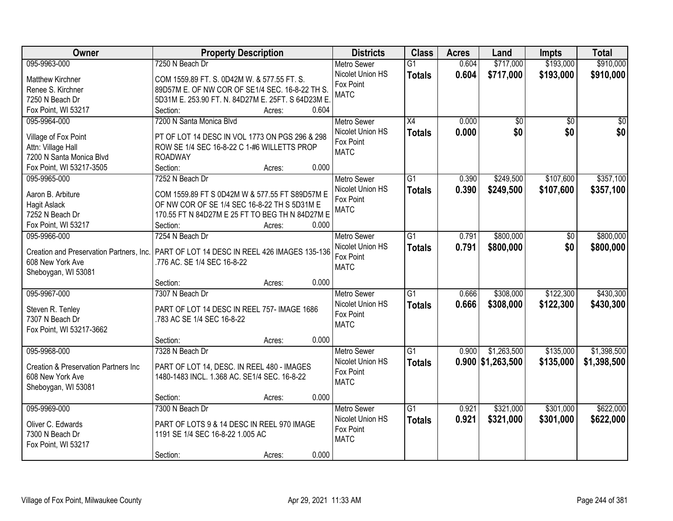| Owner                                    | <b>Property Description</b>                       | <b>Districts</b>   | <b>Class</b>    | <b>Acres</b> | Land                | <b>Impts</b>    | <b>Total</b> |
|------------------------------------------|---------------------------------------------------|--------------------|-----------------|--------------|---------------------|-----------------|--------------|
| 095-9963-000                             | 7250 N Beach Dr                                   | <b>Metro Sewer</b> | $\overline{G1}$ | 0.604        | \$717,000           | \$193,000       | \$910,000    |
| <b>Matthew Kirchner</b>                  | COM 1559.89 FT. S. 0D42M W. & 577.55 FT. S.       | Nicolet Union HS   | <b>Totals</b>   | 0.604        | \$717,000           | \$193,000       | \$910,000    |
| Renee S. Kirchner                        | 89D57M E. OF NW COR OF SE1/4 SEC. 16-8-22 TH S.   | Fox Point          |                 |              |                     |                 |              |
| 7250 N Beach Dr                          | 5D31M E. 253.90 FT. N. 84D27M E. 25FT. S 64D23M E | <b>MATC</b>        |                 |              |                     |                 |              |
| Fox Point, WI 53217                      | 0.604<br>Section:<br>Acres:                       |                    |                 |              |                     |                 |              |
| 095-9964-000                             | 7200 N Santa Monica Blvd                          | <b>Metro Sewer</b> | X4              | 0.000        | \$0                 | $\overline{50}$ | \$0          |
|                                          |                                                   | Nicolet Union HS   | <b>Totals</b>   | 0.000        | \$0                 | \$0             | \$0          |
| Village of Fox Point                     | PT OF LOT 14 DESC IN VOL 1773 ON PGS 296 & 298    | Fox Point          |                 |              |                     |                 |              |
| Attn: Village Hall                       | ROW SE 1/4 SEC 16-8-22 C 1-#6 WILLETTS PROP       | <b>MATC</b>        |                 |              |                     |                 |              |
| 7200 N Santa Monica Blvd                 | <b>ROADWAY</b>                                    |                    |                 |              |                     |                 |              |
| Fox Point, WI 53217-3505                 | 0.000<br>Section:<br>Acres:                       |                    |                 |              |                     |                 |              |
| 095-9965-000                             | 7252 N Beach Dr                                   | <b>Metro Sewer</b> | G <sub>1</sub>  | 0.390        | \$249,500           | \$107,600       | \$357,100    |
| Aaron B. Arbiture                        | COM 1559.89 FT S 0D42M W & 577.55 FT S89D57M E    | Nicolet Union HS   | <b>Totals</b>   | 0.390        | \$249,500           | \$107,600       | \$357,100    |
| <b>Hagit Aslack</b>                      | OF NW COR OF SE 1/4 SEC 16-8-22 TH S 5D31M E      | Fox Point          |                 |              |                     |                 |              |
| 7252 N Beach Dr                          | 170.55 FT N 84D27M E 25 FT TO BEG TH N 84D27M E   | <b>MATC</b>        |                 |              |                     |                 |              |
| Fox Point, WI 53217                      | Section:<br>0.000<br>Acres:                       |                    |                 |              |                     |                 |              |
| 095-9966-000                             | 7254 N Beach Dr                                   | <b>Metro Sewer</b> | $\overline{G1}$ | 0.791        | \$800,000           | \$0             | \$800,000    |
|                                          |                                                   | Nicolet Union HS   | <b>Totals</b>   | 0.791        | \$800,000           | \$0             | \$800,000    |
| Creation and Preservation Partners, Inc. | PART OF LOT 14 DESC IN REEL 426 IMAGES 135-136    | Fox Point          |                 |              |                     |                 |              |
| 608 New York Ave                         | .776 AC. SE 1/4 SEC 16-8-22                       | <b>MATC</b>        |                 |              |                     |                 |              |
| Sheboygan, WI 53081                      |                                                   |                    |                 |              |                     |                 |              |
|                                          | 0.000<br>Section:<br>Acres:                       |                    |                 |              |                     |                 |              |
| 095-9967-000                             | 7307 N Beach Dr                                   | Metro Sewer        | $\overline{G1}$ | 0.666        | \$308,000           | \$122,300       | \$430,300    |
| Steven R. Tenley                         | PART OF LOT 14 DESC IN REEL 757- IMAGE 1686       | Nicolet Union HS   | <b>Totals</b>   | 0.666        | \$308,000           | \$122,300       | \$430,300    |
| 7307 N Beach Dr                          | .783 AC SE 1/4 SEC 16-8-22                        | Fox Point          |                 |              |                     |                 |              |
| Fox Point, WI 53217-3662                 |                                                   | <b>MATC</b>        |                 |              |                     |                 |              |
|                                          | 0.000<br>Section:<br>Acres:                       |                    |                 |              |                     |                 |              |
| 095-9968-000                             | 7328 N Beach Dr                                   | <b>Metro Sewer</b> | $\overline{G1}$ | 0.900        | \$1,263,500         | \$135,000       | \$1,398,500  |
|                                          |                                                   | Nicolet Union HS   | <b>Totals</b>   |              | $0.900$ \$1,263,500 | \$135,000       | \$1,398,500  |
| Creation & Preservation Partners Inc     | PART OF LOT 14, DESC. IN REEL 480 - IMAGES        | Fox Point          |                 |              |                     |                 |              |
| 608 New York Ave                         | 1480-1483 INCL. 1.368 AC. SE1/4 SEC. 16-8-22      | <b>MATC</b>        |                 |              |                     |                 |              |
| Sheboygan, WI 53081                      |                                                   |                    |                 |              |                     |                 |              |
|                                          | 0.000<br>Section:<br>Acres:                       |                    |                 |              |                     |                 |              |
| 095-9969-000                             | 7300 N Beach Dr                                   | <b>Metro Sewer</b> | $\overline{G1}$ | 0.921        | \$321,000           | \$301,000       | \$622,000    |
| Oliver C. Edwards                        | PART OF LOTS 9 & 14 DESC IN REEL 970 IMAGE        | Nicolet Union HS   | <b>Totals</b>   | 0.921        | \$321,000           | \$301,000       | \$622,000    |
| 7300 N Beach Dr                          | 1191 SE 1/4 SEC 16-8-22 1.005 AC                  | Fox Point          |                 |              |                     |                 |              |
| Fox Point, WI 53217                      |                                                   | <b>MATC</b>        |                 |              |                     |                 |              |
|                                          | 0.000<br>Section:<br>Acres:                       |                    |                 |              |                     |                 |              |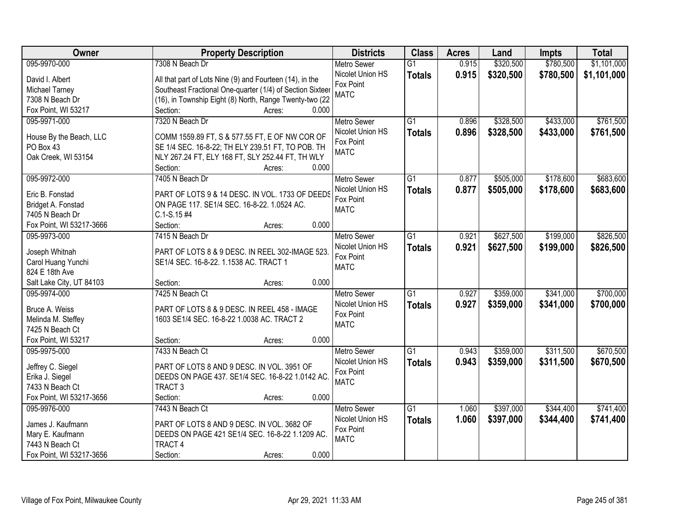| Owner                    | <b>Property Description</b>                               | <b>Districts</b>   | <b>Class</b>    | <b>Acres</b> | Land      | <b>Impts</b> | <b>Total</b> |
|--------------------------|-----------------------------------------------------------|--------------------|-----------------|--------------|-----------|--------------|--------------|
| 095-9970-000             | 7308 N Beach Dr                                           | <b>Metro Sewer</b> | $\overline{G1}$ | 0.915        | \$320,500 | \$780,500    | \$1,101,000  |
| David I. Albert          | All that part of Lots Nine (9) and Fourteen (14), in the  | Nicolet Union HS   | <b>Totals</b>   | 0.915        | \$320,500 | \$780,500    | \$1,101,000  |
| Michael Tarney           | Southeast Fractional One-quarter (1/4) of Section Sixteer | Fox Point          |                 |              |           |              |              |
| 7308 N Beach Dr          | (16), in Township Eight (8) North, Range Twenty-two (22   | <b>MATC</b>        |                 |              |           |              |              |
| Fox Point, WI 53217      | 0.000<br>Section:<br>Acres:                               |                    |                 |              |           |              |              |
| 095-9971-000             | 7320 N Beach Dr                                           | <b>Metro Sewer</b> | $\overline{G1}$ | 0.896        | \$328,500 | \$433,000    | \$761,500    |
|                          |                                                           | Nicolet Union HS   | <b>Totals</b>   | 0.896        | \$328,500 | \$433,000    | \$761,500    |
| House By the Beach, LLC  | COMM 1559.89 FT, S & 577.55 FT, E OF NW COR OF            | Fox Point          |                 |              |           |              |              |
| PO Box 43                | SE 1/4 SEC. 16-8-22; TH ELY 239.51 FT, TO POB. TH         | <b>MATC</b>        |                 |              |           |              |              |
| Oak Creek, WI 53154      | NLY 267.24 FT, ELY 168 FT, SLY 252.44 FT, TH WLY          |                    |                 |              |           |              |              |
|                          | 0.000<br>Section:<br>Acres:                               |                    |                 |              |           |              |              |
| 095-9972-000             | 7405 N Beach Dr                                           | Metro Sewer        | G1              | 0.877        | \$505,000 | \$178,600    | \$683,600    |
| Eric B. Fonstad          | PART OF LOTS 9 & 14 DESC. IN VOL. 1733 OF DEEDS           | Nicolet Union HS   | <b>Totals</b>   | 0.877        | \$505,000 | \$178,600    | \$683,600    |
| Bridget A. Fonstad       | ON PAGE 117. SE1/4 SEC. 16-8-22. 1.0524 AC.               | Fox Point          |                 |              |           |              |              |
| 7405 N Beach Dr          | $C.1-S.15#4$                                              | <b>MATC</b>        |                 |              |           |              |              |
| Fox Point, WI 53217-3666 | 0.000<br>Section:<br>Acres:                               |                    |                 |              |           |              |              |
| 095-9973-000             | 7415 N Beach Dr                                           | <b>Metro Sewer</b> | G1              | 0.921        | \$627,500 | \$199,000    | \$826,500    |
|                          |                                                           | Nicolet Union HS   | <b>Totals</b>   | 0.921        | \$627,500 | \$199,000    | \$826,500    |
| Joseph Whitnah           | PART OF LOTS 8 & 9 DESC. IN REEL 302-IMAGE 523.           | Fox Point          |                 |              |           |              |              |
| Carol Huang Yunchi       | SE1/4 SEC. 16-8-22. 1.1538 AC. TRACT 1                    | <b>MATC</b>        |                 |              |           |              |              |
| 824 E 18th Ave           |                                                           |                    |                 |              |           |              |              |
| Salt Lake City, UT 84103 | 0.000<br>Section:<br>Acres:                               |                    |                 |              |           |              |              |
| 095-9974-000             | 7425 N Beach Ct                                           | <b>Metro Sewer</b> | $\overline{G1}$ | 0.927        | \$359,000 | \$341,000    | \$700,000    |
| Bruce A. Weiss           | PART OF LOTS 8 & 9 DESC. IN REEL 458 - IMAGE              | Nicolet Union HS   | <b>Totals</b>   | 0.927        | \$359,000 | \$341,000    | \$700,000    |
| Melinda M. Steffey       | 1603 SE1/4 SEC. 16-8-22 1.0038 AC. TRACT 2                | Fox Point          |                 |              |           |              |              |
| 7425 N Beach Ct          |                                                           | <b>MATC</b>        |                 |              |           |              |              |
| Fox Point, WI 53217      | 0.000<br>Section:<br>Acres:                               |                    |                 |              |           |              |              |
| 095-9975-000             | 7433 N Beach Ct                                           | <b>Metro Sewer</b> | G1              | 0.943        | \$359,000 | \$311,500    | \$670,500    |
|                          |                                                           | Nicolet Union HS   | <b>Totals</b>   | 0.943        | \$359,000 | \$311,500    | \$670,500    |
| Jeffrey C. Siegel        | PART OF LOTS 8 AND 9 DESC. IN VOL. 3951 OF                | Fox Point          |                 |              |           |              |              |
| Erika J. Siegel          | DEEDS ON PAGE 437. SE1/4 SEC. 16-8-22 1.0142 AC.          | <b>MATC</b>        |                 |              |           |              |              |
| 7433 N Beach Ct          | TRACT <sub>3</sub>                                        |                    |                 |              |           |              |              |
| Fox Point, WI 53217-3656 | Section:<br>0.000<br>Acres:                               |                    |                 |              |           |              |              |
| 095-9976-000             | 7443 N Beach Ct                                           | <b>Metro Sewer</b> | $\overline{G1}$ | 1.060        | \$397,000 | \$344,400    | \$741,400    |
| James J. Kaufmann        | PART OF LOTS 8 AND 9 DESC. IN VOL. 3682 OF                | Nicolet Union HS   | <b>Totals</b>   | 1.060        | \$397,000 | \$344,400    | \$741,400    |
| Mary E. Kaufmann         | DEEDS ON PAGE 421 SE1/4 SEC. 16-8-22 1.1209 AC.           | Fox Point          |                 |              |           |              |              |
| 7443 N Beach Ct          | <b>TRACT 4</b>                                            | <b>MATC</b>        |                 |              |           |              |              |
| Fox Point, WI 53217-3656 | 0.000<br>Section:<br>Acres:                               |                    |                 |              |           |              |              |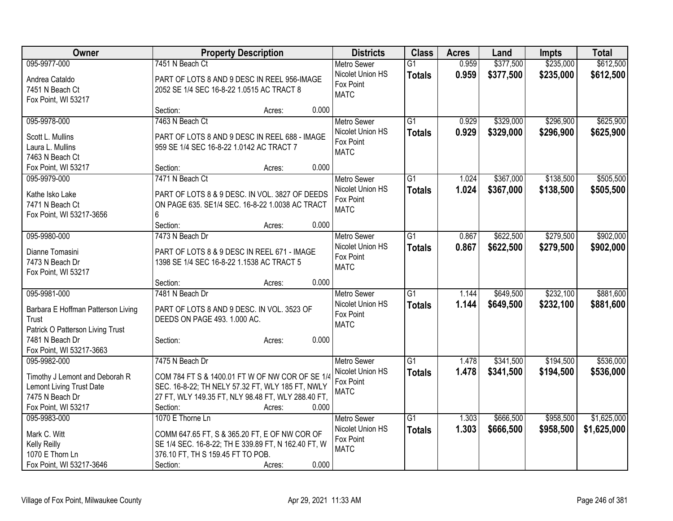| Owner                                     |                                                                            | <b>Property Description</b> |                    |                 | <b>Acres</b> | Land      | <b>Impts</b> | <b>Total</b> |
|-------------------------------------------|----------------------------------------------------------------------------|-----------------------------|--------------------|-----------------|--------------|-----------|--------------|--------------|
| 095-9977-000                              | 7451 N Beach Ct                                                            |                             | <b>Metro Sewer</b> | $\overline{G1}$ | 0.959        | \$377,500 | \$235,000    | \$612,500    |
| Andrea Cataldo                            | PART OF LOTS 8 AND 9 DESC IN REEL 956-IMAGE                                |                             | Nicolet Union HS   | <b>Totals</b>   | 0.959        | \$377,500 | \$235,000    | \$612,500    |
| 7451 N Beach Ct                           | 2052 SE 1/4 SEC 16-8-22 1.0515 AC TRACT 8                                  |                             | Fox Point          |                 |              |           |              |              |
| Fox Point, WI 53217                       |                                                                            |                             | <b>MATC</b>        |                 |              |           |              |              |
|                                           | Section:<br>Acres:                                                         | 0.000                       |                    |                 |              |           |              |              |
| 095-9978-000                              | 7463 N Beach Ct                                                            |                             | <b>Metro Sewer</b> | $\overline{G1}$ | 0.929        | \$329,000 | \$296,900    | \$625,900    |
| Scott L. Mullins                          | PART OF LOTS 8 AND 9 DESC IN REEL 688 - IMAGE                              |                             | Nicolet Union HS   | <b>Totals</b>   | 0.929        | \$329,000 | \$296,900    | \$625,900    |
| Laura L. Mullins                          | 959 SE 1/4 SEC 16-8-22 1.0142 AC TRACT 7                                   |                             | Fox Point          |                 |              |           |              |              |
| 7463 N Beach Ct                           |                                                                            |                             | <b>MATC</b>        |                 |              |           |              |              |
| Fox Point, WI 53217                       | Section:<br>Acres:                                                         | 0.000                       |                    |                 |              |           |              |              |
| 095-9979-000                              | 7471 N Beach Ct                                                            |                             | <b>Metro Sewer</b> | $\overline{G1}$ | 1.024        | \$367,000 | \$138,500    | \$505,500    |
|                                           |                                                                            |                             | Nicolet Union HS   | <b>Totals</b>   | 1.024        | \$367,000 | \$138,500    | \$505,500    |
| Kathe Isko Lake                           | PART OF LOTS 8 & 9 DESC. IN VOL. 3827 OF DEEDS                             |                             | Fox Point          |                 |              |           |              |              |
| 7471 N Beach Ct                           | ON PAGE 635. SE1/4 SEC. 16-8-22 1.0038 AC TRACT                            |                             | <b>MATC</b>        |                 |              |           |              |              |
| Fox Point, WI 53217-3656                  | 6                                                                          |                             |                    |                 |              |           |              |              |
|                                           | Section:<br>Acres:                                                         | 0.000                       |                    |                 |              |           |              |              |
| 095-9980-000                              | 7473 N Beach Dr                                                            |                             | <b>Metro Sewer</b> | G1              | 0.867        | \$622,500 | \$279,500    | \$902,000    |
| Dianne Tomasini                           | PART OF LOTS 8 & 9 DESC IN REEL 671 - IMAGE                                |                             | Nicolet Union HS   | <b>Totals</b>   | 0.867        | \$622,500 | \$279,500    | \$902,000    |
| 7473 N Beach Dr                           | 1398 SE 1/4 SEC 16-8-22 1.1538 AC TRACT 5                                  |                             | Fox Point          |                 |              |           |              |              |
| Fox Point, WI 53217                       |                                                                            |                             | <b>MATC</b>        |                 |              |           |              |              |
|                                           | Section:<br>Acres:                                                         | 0.000                       |                    |                 |              |           |              |              |
| 095-9981-000                              | 7481 N Beach Dr                                                            |                             | <b>Metro Sewer</b> | $\overline{G1}$ | 1.144        | \$649,500 | \$232,100    | \$881,600    |
|                                           |                                                                            |                             | Nicolet Union HS   | <b>Totals</b>   | 1.144        | \$649,500 | \$232,100    | \$881,600    |
| Barbara E Hoffman Patterson Living        | PART OF LOTS 8 AND 9 DESC. IN VOL. 3523 OF<br>DEEDS ON PAGE 493. 1.000 AC. |                             | Fox Point          |                 |              |           |              |              |
| Trust<br>Patrick O Patterson Living Trust |                                                                            |                             | <b>MATC</b>        |                 |              |           |              |              |
| 7481 N Beach Dr                           | Section:<br>Acres:                                                         | 0.000                       |                    |                 |              |           |              |              |
| Fox Point, WI 53217-3663                  |                                                                            |                             |                    |                 |              |           |              |              |
| 095-9982-000                              | 7475 N Beach Dr                                                            |                             | <b>Metro Sewer</b> | $\overline{G1}$ | 1.478        | \$341,500 | \$194,500    | \$536,000    |
|                                           |                                                                            |                             | Nicolet Union HS   | <b>Totals</b>   | 1.478        | \$341,500 | \$194,500    | \$536,000    |
| Timothy J Lemont and Deborah R            | COM 784 FT S & 1400.01 FT W OF NW COR OF SE 1/4                            |                             | Fox Point          |                 |              |           |              |              |
| Lemont Living Trust Date                  | SEC. 16-8-22; TH NELY 57.32 FT, WLY 185 FT, NWLY                           |                             | <b>MATC</b>        |                 |              |           |              |              |
| 7475 N Beach Dr                           | 27 FT, WLY 149.35 FT, NLY 98.48 FT, WLY 288.40 FT,                         |                             |                    |                 |              |           |              |              |
| Fox Point, WI 53217                       | Section:<br>Acres:                                                         | 0.000                       |                    |                 |              |           |              |              |
| 095-9983-000                              | 1070 E Thorne Ln                                                           |                             | <b>Metro Sewer</b> | $\overline{G1}$ | 1.303        | \$666,500 | \$958,500    | \$1,625,000  |
| Mark C. Witt                              | COMM 647.65 FT, S & 365.20 FT, E OF NW COR OF                              |                             | Nicolet Union HS   | <b>Totals</b>   | 1.303        | \$666,500 | \$958,500    | \$1,625,000  |
| Kelly Reilly                              | SE 1/4 SEC. 16-8-22; TH E 339.89 FT, N 162.40 FT, W                        |                             | Fox Point          |                 |              |           |              |              |
| 1070 E Thorn Ln                           | 376.10 FT, TH S 159.45 FT TO POB.                                          |                             | <b>MATC</b>        |                 |              |           |              |              |
| Fox Point, WI 53217-3646                  | Section:<br>Acres:                                                         | 0.000                       |                    |                 |              |           |              |              |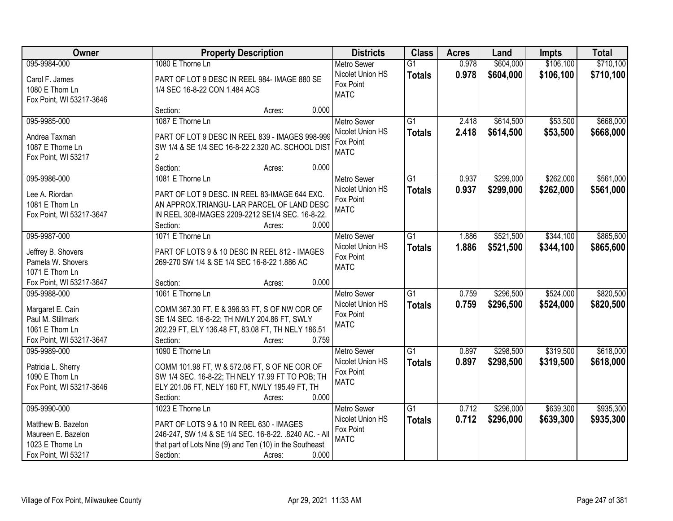| <b>Owner</b>                         | <b>Property Description</b>                              | <b>Districts</b>              | <b>Class</b>    | <b>Acres</b> | Land      | <b>Impts</b> | <b>Total</b> |
|--------------------------------------|----------------------------------------------------------|-------------------------------|-----------------|--------------|-----------|--------------|--------------|
| 095-9984-000                         | 1080 E Thorne Ln                                         | <b>Metro Sewer</b>            | $\overline{G1}$ | 0.978        | \$604,000 | \$106,100    | \$710,100    |
| Carol F. James                       | PART OF LOT 9 DESC IN REEL 984- IMAGE 880 SE             | Nicolet Union HS              | <b>Totals</b>   | 0.978        | \$604,000 | \$106,100    | \$710,100    |
| 1080 E Thorn Ln                      | 1/4 SEC 16-8-22 CON 1.484 ACS                            | Fox Point                     |                 |              |           |              |              |
| Fox Point, WI 53217-3646             |                                                          | <b>MATC</b>                   |                 |              |           |              |              |
|                                      | 0.000<br>Section:<br>Acres:                              |                               |                 |              |           |              |              |
| 095-9985-000                         | 1087 E Thorne Ln                                         | <b>Metro Sewer</b>            | $\overline{G1}$ | 2.418        | \$614,500 | \$53,500     | \$668,000    |
|                                      |                                                          | Nicolet Union HS              | <b>Totals</b>   | 2.418        | \$614,500 | \$53,500     | \$668,000    |
| Andrea Taxman                        | PART OF LOT 9 DESC IN REEL 839 - IMAGES 998-999          | Fox Point                     |                 |              |           |              |              |
| 1087 E Thorne Ln                     | SW 1/4 & SE 1/4 SEC 16-8-22 2.320 AC. SCHOOL DIST        | <b>MATC</b>                   |                 |              |           |              |              |
| Fox Point, WI 53217                  | $\overline{2}$<br>0.000                                  |                               |                 |              |           |              |              |
|                                      | Section:<br>Acres:                                       |                               |                 |              |           |              |              |
| 095-9986-000                         | 1081 E Thorne Ln                                         | <b>Metro Sewer</b>            | G1              | 0.937        | \$299,000 | \$262,000    | \$561,000    |
| Lee A. Riordan                       | PART OF LOT 9 DESC. IN REEL 83-IMAGE 644 EXC.            | Nicolet Union HS              | <b>Totals</b>   | 0.937        | \$299,000 | \$262,000    | \$561,000    |
| 1081 E Thorn Ln                      | AN APPROX.TRIANGU- LAR PARCEL OF LAND DESC.              | Fox Point                     |                 |              |           |              |              |
| Fox Point, WI 53217-3647             | IN REEL 308-IMAGES 2209-2212 SE1/4 SEC. 16-8-22.         | <b>MATC</b>                   |                 |              |           |              |              |
|                                      | 0.000<br>Section:<br>Acres:                              |                               |                 |              |           |              |              |
| 095-9987-000                         | 1071 E Thorne Ln                                         | <b>Metro Sewer</b>            | $\overline{G1}$ | 1.886        | \$521,500 | \$344,100    | \$865,600    |
|                                      |                                                          | Nicolet Union HS              | <b>Totals</b>   | 1.886        | \$521,500 | \$344,100    | \$865,600    |
| Jeffrey B. Shovers                   | PART OF LOTS 9 & 10 DESC IN REEL 812 - IMAGES            | Fox Point                     |                 |              |           |              |              |
| Pamela W. Shovers<br>1071 E Thorn Ln | 269-270 SW 1/4 & SE 1/4 SEC 16-8-22 1.886 AC             | <b>MATC</b>                   |                 |              |           |              |              |
| Fox Point, WI 53217-3647             | 0.000<br>Section:                                        |                               |                 |              |           |              |              |
| 095-9988-000                         | Acres:<br>1061 E Thorne Ln                               |                               | $\overline{G1}$ | 0.759        | \$296,500 | \$524,000    | \$820,500    |
|                                      |                                                          | <b>Metro Sewer</b>            |                 |              |           |              |              |
| Margaret E. Cain                     | COMM 367.30 FT, E & 396.93 FT, S OF NW COR OF            | Nicolet Union HS<br>Fox Point | <b>Totals</b>   | 0.759        | \$296,500 | \$524,000    | \$820,500    |
| Paul M. Stillmark                    | SE 1/4 SEC. 16-8-22; TH NWLY 204.86 FT, SWLY             | <b>MATC</b>                   |                 |              |           |              |              |
| 1061 E Thorn Ln                      | 202.29 FT, ELY 136.48 FT, 83.08 FT, TH NELY 186.51       |                               |                 |              |           |              |              |
| Fox Point, WI 53217-3647             | Section:<br>0.759<br>Acres:                              |                               |                 |              |           |              |              |
| 095-9989-000                         | 1090 E Thorne Ln                                         | <b>Metro Sewer</b>            | $\overline{G1}$ | 0.897        | \$298,500 | \$319,500    | \$618,000    |
| Patricia L. Sherry                   | COMM 101.98 FT, W & 572.08 FT, S OF NE COR OF            | Nicolet Union HS              | <b>Totals</b>   | 0.897        | \$298,500 | \$319,500    | \$618,000    |
| 1090 E Thorn Ln                      | SW 1/4 SEC. 16-8-22; TH NELY 17.99 FT TO POB; TH         | Fox Point                     |                 |              |           |              |              |
| Fox Point, WI 53217-3646             | ELY 201.06 FT, NELY 160 FT, NWLY 195.49 FT, TH           | <b>MATC</b>                   |                 |              |           |              |              |
|                                      | 0.000<br>Section:<br>Acres:                              |                               |                 |              |           |              |              |
| 095-9990-000                         | 1023 E Thorne Ln                                         | <b>Metro Sewer</b>            | $\overline{G1}$ | 0.712        | \$296,000 | \$639,300    | \$935,300    |
|                                      |                                                          | Nicolet Union HS              |                 | 0.712        |           |              |              |
| Matthew B. Bazelon                   | PART OF LOTS 9 & 10 IN REEL 630 - IMAGES                 | Fox Point                     | <b>Totals</b>   |              | \$296,000 | \$639,300    | \$935,300    |
| Maureen E. Bazelon                   | 246-247, SW 1/4 & SE 1/4 SEC. 16-8-22. .8240 AC. - All   | <b>MATC</b>                   |                 |              |           |              |              |
| 1023 E Thorne Ln                     | that part of Lots Nine (9) and Ten (10) in the Southeast |                               |                 |              |           |              |              |
| Fox Point, WI 53217                  | 0.000<br>Section:<br>Acres:                              |                               |                 |              |           |              |              |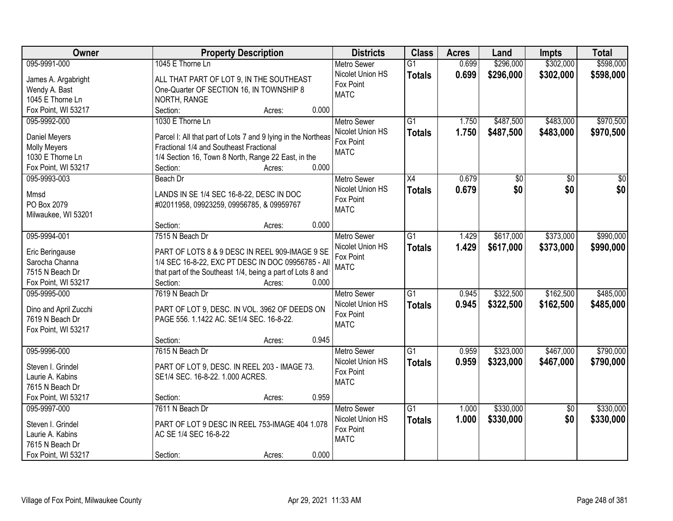| <b>Owner</b>                             | <b>Property Description</b>                                   |       | <b>Districts</b>         | <b>Class</b>    | <b>Acres</b> | Land      | <b>Impts</b>    | <b>Total</b>    |
|------------------------------------------|---------------------------------------------------------------|-------|--------------------------|-----------------|--------------|-----------|-----------------|-----------------|
| 095-9991-000                             | 1045 E Thorne Ln                                              |       | <b>Metro Sewer</b>       | $\overline{G1}$ | 0.699        | \$296,000 | \$302,000       | \$598,000       |
| James A. Argabright                      | ALL THAT PART OF LOT 9, IN THE SOUTHEAST                      |       | Nicolet Union HS         | <b>Totals</b>   | 0.699        | \$296,000 | \$302,000       | \$598,000       |
| Wendy A. Bast                            | One-Quarter OF SECTION 16, IN TOWNSHIP 8                      |       | Fox Point                |                 |              |           |                 |                 |
| 1045 E Thorne Ln                         | NORTH, RANGE                                                  |       | <b>MATC</b>              |                 |              |           |                 |                 |
| Fox Point, WI 53217                      | Section:<br>Acres:                                            | 0.000 |                          |                 |              |           |                 |                 |
| 095-9992-000                             | 1030 E Thorne Ln                                              |       | Metro Sewer              | $\overline{G1}$ | 1.750        | \$487,500 | \$483,000       | \$970,500       |
|                                          |                                                               |       | Nicolet Union HS         | <b>Totals</b>   | 1.750        | \$487,500 | \$483,000       | \$970,500       |
| Daniel Meyers                            | Parcel I: All that part of Lots 7 and 9 lying in the Northeas |       | Fox Point                |                 |              |           |                 |                 |
| Molly Meyers                             | Fractional 1/4 and Southeast Fractional                       |       | <b>MATC</b>              |                 |              |           |                 |                 |
| 1030 E Thorne Ln                         | 1/4 Section 16, Town 8 North, Range 22 East, in the           |       |                          |                 |              |           |                 |                 |
| Fox Point, WI 53217                      | Section:<br>Acres:                                            | 0.000 |                          |                 |              |           |                 |                 |
| 095-9993-003                             | Beach Dr                                                      |       | Metro Sewer              | X4              | 0.679        | \$0       | $\overline{50}$ | $\overline{50}$ |
| Mmsd                                     | LANDS IN SE 1/4 SEC 16-8-22, DESC IN DOC                      |       | Nicolet Union HS         | <b>Totals</b>   | 0.679        | \$0       | \$0             | \$0             |
| PO Box 2079                              | #02011958, 09923259, 09956785, & 09959767                     |       | Fox Point                |                 |              |           |                 |                 |
| Milwaukee, WI 53201                      |                                                               |       | <b>MATC</b>              |                 |              |           |                 |                 |
|                                          | Section:<br>Acres:                                            | 0.000 |                          |                 |              |           |                 |                 |
| 095-9994-001                             | 7515 N Beach Dr                                               |       | <b>Metro Sewer</b>       | $\overline{G1}$ | 1.429        | \$617,000 | \$373,000       | \$990,000       |
|                                          |                                                               |       | Nicolet Union HS         |                 | 1.429        |           |                 |                 |
| Eric Beringause                          | PART OF LOTS 8 & 9 DESC IN REEL 909-IMAGE 9 SE                |       | Fox Point                | <b>Totals</b>   |              | \$617,000 | \$373,000       | \$990,000       |
| Sarocha Channa                           | 1/4 SEC 16-8-22, EXC PT DESC IN DOC 09956785 - All            |       | <b>MATC</b>              |                 |              |           |                 |                 |
| 7515 N Beach Dr                          | that part of the Southeast 1/4, being a part of Lots 8 and    |       |                          |                 |              |           |                 |                 |
| Fox Point, WI 53217                      | Section:<br>Acres:                                            | 0.000 |                          |                 |              |           |                 |                 |
| 095-9995-000                             | 7619 N Beach Dr                                               |       | Metro Sewer              | $\overline{G1}$ | 0.945        | \$322,500 | \$162,500       | \$485,000       |
|                                          |                                                               |       | Nicolet Union HS         | <b>Totals</b>   | 0.945        | \$322,500 | \$162,500       | \$485,000       |
| Dino and April Zucchi<br>7619 N Beach Dr | PART OF LOT 9, DESC. IN VOL. 3962 OF DEEDS ON                 |       | Fox Point                |                 |              |           |                 |                 |
|                                          | PAGE 556. 1.1422 AC. SE1/4 SEC. 16-8-22.                      |       | <b>MATC</b>              |                 |              |           |                 |                 |
| Fox Point, WI 53217                      | Section:                                                      | 0.945 |                          |                 |              |           |                 |                 |
| 095-9996-000                             | Acres:                                                        |       |                          | $\overline{G1}$ |              |           |                 |                 |
|                                          | 7615 N Beach Dr                                               |       | <b>Metro Sewer</b>       |                 | 0.959        | \$323,000 | \$467,000       | \$790,000       |
| Steven I. Grindel                        | PART OF LOT 9, DESC. IN REEL 203 - IMAGE 73.                  |       | Nicolet Union HS         | <b>Totals</b>   | 0.959        | \$323,000 | \$467,000       | \$790,000       |
| Laurie A. Kabins                         | SE1/4 SEC. 16-8-22. 1.000 ACRES.                              |       | Fox Point<br><b>MATC</b> |                 |              |           |                 |                 |
| 7615 N Beach Dr                          |                                                               |       |                          |                 |              |           |                 |                 |
| Fox Point, WI 53217                      | Section:<br>Acres:                                            | 0.959 |                          |                 |              |           |                 |                 |
| 095-9997-000                             | 7611 N Beach Dr                                               |       | <b>Metro Sewer</b>       | $\overline{G1}$ | 1.000        | \$330,000 | $\overline{50}$ | \$330,000       |
|                                          |                                                               |       | Nicolet Union HS         | <b>Totals</b>   | 1.000        | \$330,000 | \$0             | \$330,000       |
| Steven I. Grindel                        | PART OF LOT 9 DESC IN REEL 753-IMAGE 404 1.078                |       | Fox Point                |                 |              |           |                 |                 |
| Laurie A. Kabins                         | AC SE 1/4 SEC 16-8-22                                         |       | <b>MATC</b>              |                 |              |           |                 |                 |
| 7615 N Beach Dr                          |                                                               |       |                          |                 |              |           |                 |                 |
| Fox Point, WI 53217                      | Section:<br>Acres:                                            | 0.000 |                          |                 |              |           |                 |                 |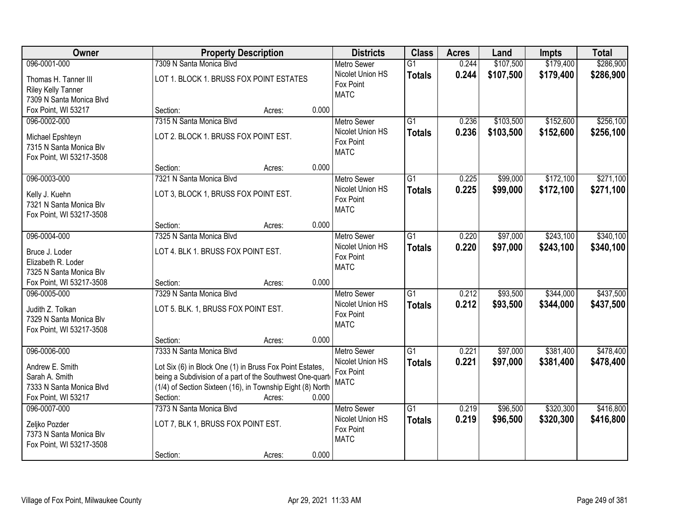| Owner                                                                                   | <b>Property Description</b>                                                                                                                                                                                    | <b>Districts</b>                                                   | <b>Class</b>                     | <b>Acres</b>   | Land                   | <b>Impts</b>           | <b>Total</b>           |
|-----------------------------------------------------------------------------------------|----------------------------------------------------------------------------------------------------------------------------------------------------------------------------------------------------------------|--------------------------------------------------------------------|----------------------------------|----------------|------------------------|------------------------|------------------------|
| 096-0001-000                                                                            | 7309 N Santa Monica Blvd                                                                                                                                                                                       | <b>Metro Sewer</b>                                                 | $\overline{G1}$                  | 0.244          | \$107,500              | \$179,400              | \$286,900              |
| Thomas H. Tanner III<br><b>Riley Kelly Tanner</b><br>7309 N Santa Monica Blvd           | LOT 1. BLOCK 1. BRUSS FOX POINT ESTATES                                                                                                                                                                        | Nicolet Union HS<br>Fox Point<br><b>MATC</b>                       | <b>Totals</b>                    | 0.244          | \$107,500              | \$179,400              | \$286,900              |
| Fox Point, WI 53217                                                                     | 0.000<br>Section:<br>Acres:                                                                                                                                                                                    |                                                                    |                                  |                |                        |                        |                        |
| 096-0002-000<br>Michael Epshteyn<br>7315 N Santa Monica Blv                             | 7315 N Santa Monica Blvd<br>LOT 2. BLOCK 1. BRUSS FOX POINT EST.                                                                                                                                               | <b>Metro Sewer</b><br>Nicolet Union HS<br>Fox Point<br><b>MATC</b> | $\overline{G1}$<br><b>Totals</b> | 0.236<br>0.236 | \$103,500<br>\$103,500 | \$152,600<br>\$152,600 | \$256,100<br>\$256,100 |
| Fox Point, WI 53217-3508                                                                | 0.000<br>Section:<br>Acres:                                                                                                                                                                                    |                                                                    |                                  |                |                        |                        |                        |
| 096-0003-000                                                                            | 7321 N Santa Monica Blvd                                                                                                                                                                                       | Metro Sewer                                                        | $\overline{G1}$                  | 0.225          | \$99,000               | \$172,100              | \$271,100              |
| Kelly J. Kuehn<br>7321 N Santa Monica Blv<br>Fox Point, WI 53217-3508                   | LOT 3, BLOCK 1, BRUSS FOX POINT EST.                                                                                                                                                                           | Nicolet Union HS<br>Fox Point<br><b>MATC</b>                       | <b>Totals</b>                    | 0.225          | \$99,000               | \$172,100              | \$271,100              |
|                                                                                         | 0.000<br>Section:<br>Acres:                                                                                                                                                                                    |                                                                    |                                  |                |                        |                        |                        |
| 096-0004-000                                                                            | 7325 N Santa Monica Blvd                                                                                                                                                                                       | <b>Metro Sewer</b>                                                 | $\overline{G1}$                  | 0.220          | \$97,000               | \$243,100              | \$340,100              |
| Bruce J. Loder<br>Elizabeth R. Loder<br>7325 N Santa Monica Blv                         | LOT 4. BLK 1. BRUSS FOX POINT EST.                                                                                                                                                                             | Nicolet Union HS<br>Fox Point<br><b>MATC</b>                       | <b>Totals</b>                    | 0.220          | \$97,000               | \$243,100              | \$340,100              |
| Fox Point, WI 53217-3508                                                                | 0.000<br>Section:<br>Acres:                                                                                                                                                                                    |                                                                    |                                  |                |                        |                        |                        |
| 096-0005-000<br>Judith Z. Tolkan<br>7329 N Santa Monica Blv<br>Fox Point, WI 53217-3508 | 7329 N Santa Monica Blyd<br>LOT 5. BLK. 1, BRUSS FOX POINT EST.                                                                                                                                                | <b>Metro Sewer</b><br>Nicolet Union HS<br>Fox Point<br><b>MATC</b> | $\overline{G1}$<br><b>Totals</b> | 0.212<br>0.212 | \$93,500<br>\$93,500   | \$344,000<br>\$344,000 | \$437,500<br>\$437,500 |
|                                                                                         | 0.000<br>Section:<br>Acres:                                                                                                                                                                                    |                                                                    |                                  |                |                        |                        |                        |
| 096-0006-000<br>Andrew E. Smith<br>Sarah A. Smith<br>7333 N Santa Monica Blvd           | 7333 N Santa Monica Blvd<br>Lot Six (6) in Block One (1) in Bruss Fox Point Estates,<br>being a Subdivision of a part of the Southwest One-quart<br>(1/4) of Section Sixteen (16), in Township Eight (8) North | <b>Metro Sewer</b><br>Nicolet Union HS<br>Fox Point<br><b>MATC</b> | $\overline{G1}$<br><b>Totals</b> | 0.221<br>0.221 | \$97,000<br>\$97,000   | \$381,400<br>\$381,400 | \$478,400<br>\$478,400 |
| Fox Point, WI 53217<br>096-0007-000                                                     | Section:<br>0.000<br>Acres:<br>7373 N Santa Monica Blvd                                                                                                                                                        | <b>Metro Sewer</b>                                                 | $\overline{G1}$                  | 0.219          | \$96,500               | \$320,300              | \$416,800              |
| Zeljko Pozder<br>7373 N Santa Monica Blv<br>Fox Point, WI 53217-3508                    | LOT 7, BLK 1, BRUSS FOX POINT EST.<br>0.000<br>Section:<br>Acres:                                                                                                                                              | Nicolet Union HS<br>Fox Point<br><b>MATC</b>                       | <b>Totals</b>                    | 0.219          | \$96,500               | \$320,300              | \$416,800              |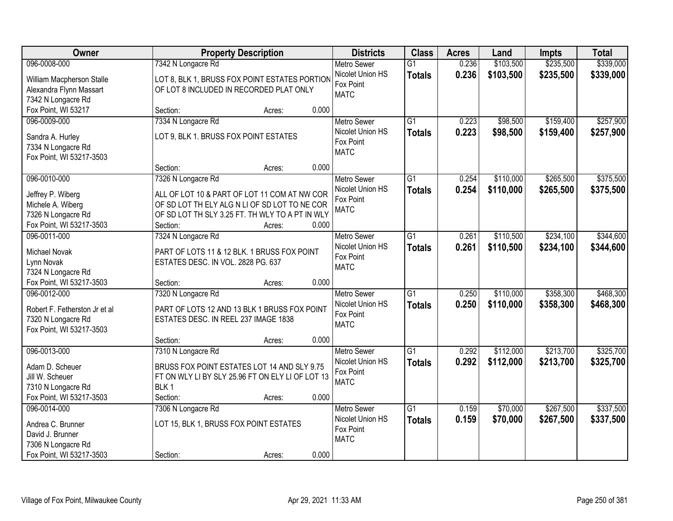| <b>Owner</b>                                   | <b>Property Description</b>                      | <b>Districts</b>         | <b>Class</b>    | <b>Acres</b> | Land      | <b>Impts</b> | <b>Total</b> |
|------------------------------------------------|--------------------------------------------------|--------------------------|-----------------|--------------|-----------|--------------|--------------|
| 096-0008-000                                   | 7342 N Longacre Rd                               | <b>Metro Sewer</b>       | $\overline{G1}$ | 0.236        | \$103,500 | \$235,500    | \$339,000    |
| William Macpherson Stalle                      | LOT 8, BLK 1, BRUSS FOX POINT ESTATES PORTION    | Nicolet Union HS         | <b>Totals</b>   | 0.236        | \$103,500 | \$235,500    | \$339,000    |
| Alexandra Flynn Massart                        | OF LOT 8 INCLUDED IN RECORDED PLAT ONLY          | Fox Point                |                 |              |           |              |              |
| 7342 N Longacre Rd                             |                                                  | <b>MATC</b>              |                 |              |           |              |              |
| Fox Point, WI 53217                            | 0.000<br>Section:<br>Acres:                      |                          |                 |              |           |              |              |
| 096-0009-000                                   | 7334 N Longacre Rd                               | <b>Metro Sewer</b>       | $\overline{G1}$ | 0.223        | \$98,500  | \$159,400    | \$257,900    |
| Sandra A. Hurley                               | LOT 9, BLK 1. BRUSS FOX POINT ESTATES            | Nicolet Union HS         | <b>Totals</b>   | 0.223        | \$98,500  | \$159,400    | \$257,900    |
| 7334 N Longacre Rd                             |                                                  | Fox Point                |                 |              |           |              |              |
| Fox Point, WI 53217-3503                       |                                                  | <b>MATC</b>              |                 |              |           |              |              |
|                                                | 0.000<br>Section:<br>Acres:                      |                          |                 |              |           |              |              |
| 096-0010-000                                   | 7326 N Longacre Rd                               | Metro Sewer              | G1              | 0.254        | \$110,000 | \$265,500    | \$375,500    |
|                                                | ALL OF LOT 10 & PART OF LOT 11 COM AT NW COR     | Nicolet Union HS         | <b>Totals</b>   | 0.254        | \$110,000 | \$265,500    | \$375,500    |
| Jeffrey P. Wiberg<br>Michele A. Wiberg         | OF SD LOT TH ELY ALG N LI OF SD LOT TO NE COR    | Fox Point                |                 |              |           |              |              |
| 7326 N Longacre Rd                             | OF SD LOT TH SLY 3.25 FT. TH WLY TO A PT IN WLY  | <b>MATC</b>              |                 |              |           |              |              |
| Fox Point, WI 53217-3503                       | Section:<br>0.000<br>Acres:                      |                          |                 |              |           |              |              |
| 096-0011-000                                   | 7324 N Longacre Rd                               | <b>Metro Sewer</b>       | G1              | 0.261        | \$110,500 | \$234,100    | \$344,600    |
|                                                |                                                  | Nicolet Union HS         | <b>Totals</b>   | 0.261        | \$110,500 | \$234,100    | \$344,600    |
| Michael Novak                                  | PART OF LOTS 11 & 12 BLK. 1 BRUSS FOX POINT      | Fox Point                |                 |              |           |              |              |
| Lynn Novak                                     | ESTATES DESC. IN VOL. 2828 PG. 637               | <b>MATC</b>              |                 |              |           |              |              |
| 7324 N Longacre Rd<br>Fox Point, WI 53217-3503 | 0.000<br>Section:                                |                          |                 |              |           |              |              |
| 096-0012-000                                   | Acres:<br>7320 N Longacre Rd                     | <b>Metro Sewer</b>       | $\overline{G1}$ | 0.250        | \$110,000 | \$358,300    | \$468,300    |
|                                                |                                                  | Nicolet Union HS         |                 | 0.250        | \$110,000 | \$358,300    | \$468,300    |
| Robert F. Fetherston Jr et al                  | PART OF LOTS 12 AND 13 BLK 1 BRUSS FOX POINT     | Fox Point                | <b>Totals</b>   |              |           |              |              |
| 7320 N Longacre Rd                             | ESTATES DESC. IN REEL 237 IMAGE 1838             | <b>MATC</b>              |                 |              |           |              |              |
| Fox Point, WI 53217-3503                       |                                                  |                          |                 |              |           |              |              |
|                                                | 0.000<br>Section:<br>Acres:                      |                          |                 |              |           |              |              |
| 096-0013-000                                   | 7310 N Longacre Rd                               | <b>Metro Sewer</b>       | $\overline{G1}$ | 0.292        | \$112,000 | \$213,700    | \$325,700    |
| Adam D. Scheuer                                | BRUSS FOX POINT ESTATES LOT 14 AND SLY 9.75      | Nicolet Union HS         | <b>Totals</b>   | 0.292        | \$112,000 | \$213,700    | \$325,700    |
| Jill W. Scheuer                                | FT ON WLY LI BY SLY 25.96 FT ON ELY LI OF LOT 13 | Fox Point<br><b>MATC</b> |                 |              |           |              |              |
| 7310 N Longacre Rd                             | BLK <sub>1</sub>                                 |                          |                 |              |           |              |              |
| Fox Point, WI 53217-3503                       | 0.000<br>Section:<br>Acres:                      |                          |                 |              |           |              |              |
| 096-0014-000                                   | 7306 N Longacre Rd                               | <b>Metro Sewer</b>       | $\overline{G1}$ | 0.159        | \$70,000  | \$267,500    | \$337,500    |
| Andrea C. Brunner                              | LOT 15, BLK 1, BRUSS FOX POINT ESTATES           | Nicolet Union HS         | <b>Totals</b>   | 0.159        | \$70,000  | \$267,500    | \$337,500    |
| David J. Brunner                               |                                                  | Fox Point                |                 |              |           |              |              |
| 7306 N Longacre Rd                             |                                                  | <b>MATC</b>              |                 |              |           |              |              |
| Fox Point, WI 53217-3503                       | 0.000<br>Section:<br>Acres:                      |                          |                 |              |           |              |              |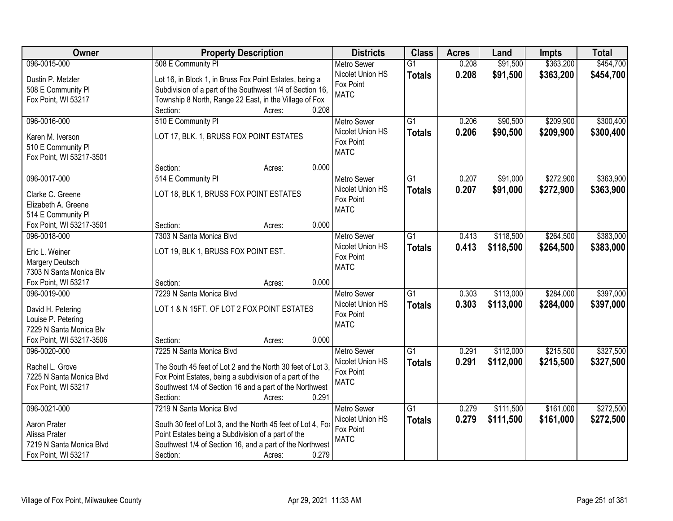| Owner                    | <b>Property Description</b>                                 | <b>Districts</b>   | <b>Class</b>    | <b>Acres</b> | Land      | <b>Impts</b> | <b>Total</b> |
|--------------------------|-------------------------------------------------------------|--------------------|-----------------|--------------|-----------|--------------|--------------|
| 096-0015-000             | 508 E Community PI                                          | <b>Metro Sewer</b> | $\overline{G1}$ | 0.208        | \$91,500  | \$363,200    | \$454,700    |
| Dustin P. Metzler        | Lot 16, in Block 1, in Bruss Fox Point Estates, being a     | Nicolet Union HS   | <b>Totals</b>   | 0.208        | \$91,500  | \$363,200    | \$454,700    |
| 508 E Community PI       | Subdivision of a part of the Southwest 1/4 of Section 16,   | Fox Point          |                 |              |           |              |              |
| Fox Point, WI 53217      | Township 8 North, Range 22 East, in the Village of Fox      | <b>MATC</b>        |                 |              |           |              |              |
|                          | 0.208<br>Section:<br>Acres:                                 |                    |                 |              |           |              |              |
| 096-0016-000             | 510 E Community PI                                          | <b>Metro Sewer</b> | $\overline{G1}$ | 0.206        | \$90,500  | \$209,900    | \$300,400    |
| Karen M. Iverson         | LOT 17, BLK. 1, BRUSS FOX POINT ESTATES                     | Nicolet Union HS   | <b>Totals</b>   | 0.206        | \$90,500  | \$209,900    | \$300,400    |
| 510 E Community PI       |                                                             | Fox Point          |                 |              |           |              |              |
| Fox Point, WI 53217-3501 |                                                             | <b>MATC</b>        |                 |              |           |              |              |
|                          | 0.000<br>Section:<br>Acres:                                 |                    |                 |              |           |              |              |
| 096-0017-000             | 514 E Community PI                                          | <b>Metro Sewer</b> | $\overline{G1}$ | 0.207        | \$91,000  | \$272,900    | \$363,900    |
|                          |                                                             | Nicolet Union HS   | <b>Totals</b>   | 0.207        | \$91,000  | \$272,900    | \$363,900    |
| Clarke C. Greene         | LOT 18, BLK 1, BRUSS FOX POINT ESTATES                      | Fox Point          |                 |              |           |              |              |
| Elizabeth A. Greene      |                                                             | <b>MATC</b>        |                 |              |           |              |              |
| 514 E Community PI       |                                                             |                    |                 |              |           |              |              |
| Fox Point, WI 53217-3501 | 0.000<br>Section:<br>Acres:                                 |                    |                 |              |           |              |              |
| 096-0018-000             | 7303 N Santa Monica Blvd                                    | <b>Metro Sewer</b> | G1              | 0.413        | \$118,500 | \$264,500    | \$383,000    |
| Eric L. Weiner           | LOT 19, BLK 1, BRUSS FOX POINT EST.                         | Nicolet Union HS   | <b>Totals</b>   | 0.413        | \$118,500 | \$264,500    | \$383,000    |
| Margery Deutsch          |                                                             | Fox Point          |                 |              |           |              |              |
| 7303 N Santa Monica Blv  |                                                             | <b>MATC</b>        |                 |              |           |              |              |
| Fox Point, WI 53217      | 0.000<br>Section:<br>Acres:                                 |                    |                 |              |           |              |              |
| 096-0019-000             | 7229 N Santa Monica Blvd                                    | <b>Metro Sewer</b> | $\overline{G1}$ | 0.303        | \$113,000 | \$284,000    | \$397,000    |
| David H. Petering        | LOT 1 & N 15FT. OF LOT 2 FOX POINT ESTATES                  | Nicolet Union HS   | <b>Totals</b>   | 0.303        | \$113,000 | \$284,000    | \$397,000    |
| Louise P. Petering       |                                                             | Fox Point          |                 |              |           |              |              |
| 7229 N Santa Monica Blv  |                                                             | <b>MATC</b>        |                 |              |           |              |              |
| Fox Point, WI 53217-3506 | Section:<br>0.000<br>Acres:                                 |                    |                 |              |           |              |              |
| 096-0020-000             | 7225 N Santa Monica Blvd                                    | <b>Metro Sewer</b> | $\overline{G1}$ | 0.291        | \$112,000 | \$215,500    | \$327,500    |
|                          |                                                             | Nicolet Union HS   | <b>Totals</b>   | 0.291        | \$112,000 | \$215,500    | \$327,500    |
| Rachel L. Grove          | The South 45 feet of Lot 2 and the North 30 feet of Lot 3.  | Fox Point          |                 |              |           |              |              |
| 7225 N Santa Monica Blvd | Fox Point Estates, being a subdivision of a part of the     | <b>MATC</b>        |                 |              |           |              |              |
| Fox Point, WI 53217      | Southwest 1/4 of Section 16 and a part of the Northwest     |                    |                 |              |           |              |              |
|                          | 0.291<br>Section:<br>Acres:                                 |                    |                 |              |           |              |              |
| 096-0021-000             | 7219 N Santa Monica Blvd                                    | <b>Metro Sewer</b> | $\overline{G1}$ | 0.279        | \$111,500 | \$161,000    | \$272,500    |
| Aaron Prater             | South 30 feet of Lot 3, and the North 45 feet of Lot 4, Fox | Nicolet Union HS   | <b>Totals</b>   | 0.279        | \$111,500 | \$161,000    | \$272,500    |
| Alissa Prater            | Point Estates being a Subdivision of a part of the          | Fox Point          |                 |              |           |              |              |
| 7219 N Santa Monica Blvd | Southwest 1/4 of Section 16, and a part of the Northwest    | <b>MATC</b>        |                 |              |           |              |              |
| Fox Point, WI 53217      | 0.279<br>Section:<br>Acres:                                 |                    |                 |              |           |              |              |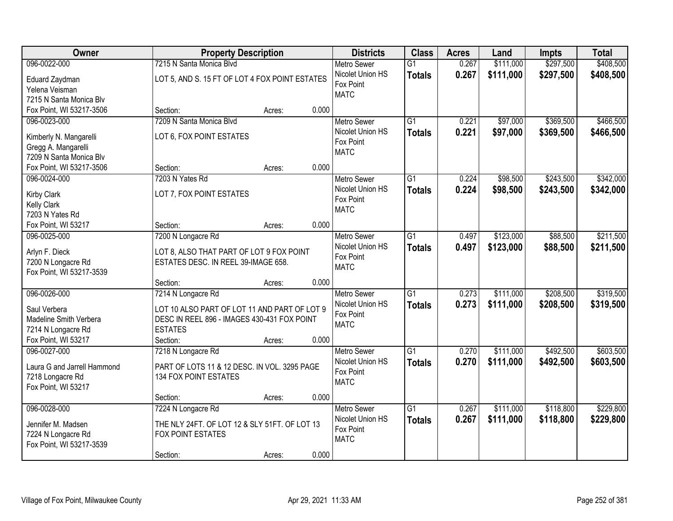| Owner                       |                                                | <b>Property Description</b> |       | <b>Districts</b>              | <b>Class</b>    | <b>Acres</b> | Land      | <b>Impts</b> | <b>Total</b> |
|-----------------------------|------------------------------------------------|-----------------------------|-------|-------------------------------|-----------------|--------------|-----------|--------------|--------------|
| 096-0022-000                | 7215 N Santa Monica Blvd                       |                             |       | <b>Metro Sewer</b>            | $\overline{G1}$ | 0.267        | \$111,000 | \$297,500    | \$408,500    |
| Eduard Zaydman              | LOT 5, AND S. 15 FT OF LOT 4 FOX POINT ESTATES |                             |       | Nicolet Union HS              | <b>Totals</b>   | 0.267        | \$111,000 | \$297,500    | \$408,500    |
| Yelena Veisman              |                                                |                             |       | Fox Point                     |                 |              |           |              |              |
| 7215 N Santa Monica Blv     |                                                |                             |       | <b>MATC</b>                   |                 |              |           |              |              |
| Fox Point, WI 53217-3506    | Section:                                       | Acres:                      | 0.000 |                               |                 |              |           |              |              |
| 096-0023-000                | 7209 N Santa Monica Blvd                       |                             |       | <b>Metro Sewer</b>            | $\overline{G1}$ | 0.221        | \$97,000  | \$369,500    | \$466,500    |
| Kimberly N. Mangarelli      | LOT 6, FOX POINT ESTATES                       |                             |       | Nicolet Union HS              | <b>Totals</b>   | 0.221        | \$97,000  | \$369,500    | \$466,500    |
| Gregg A. Mangarelli         |                                                |                             |       | Fox Point                     |                 |              |           |              |              |
| 7209 N Santa Monica Blv     |                                                |                             |       | <b>MATC</b>                   |                 |              |           |              |              |
| Fox Point, WI 53217-3506    | Section:                                       | Acres:                      | 0.000 |                               |                 |              |           |              |              |
| 096-0024-000                | 7203 N Yates Rd                                |                             |       | <b>Metro Sewer</b>            | G1              | 0.224        | \$98,500  | \$243,500    | \$342,000    |
|                             |                                                |                             |       | Nicolet Union HS              | <b>Totals</b>   | 0.224        | \$98,500  | \$243,500    | \$342,000    |
| <b>Kirby Clark</b>          | LOT 7, FOX POINT ESTATES                       |                             |       | Fox Point                     |                 |              |           |              |              |
| <b>Kelly Clark</b>          |                                                |                             |       | <b>MATC</b>                   |                 |              |           |              |              |
| 7203 N Yates Rd             |                                                |                             |       |                               |                 |              |           |              |              |
| Fox Point, WI 53217         | Section:                                       | Acres:                      | 0.000 |                               |                 |              |           |              |              |
| 096-0025-000                | 7200 N Longacre Rd                             |                             |       | <b>Metro Sewer</b>            | G1              | 0.497        | \$123,000 | \$88,500     | \$211,500    |
| Arlyn F. Dieck              | LOT 8, ALSO THAT PART OF LOT 9 FOX POINT       |                             |       | Nicolet Union HS              | <b>Totals</b>   | 0.497        | \$123,000 | \$88,500     | \$211,500    |
| 7200 N Longacre Rd          | ESTATES DESC. IN REEL 39-IMAGE 658.            |                             |       | Fox Point<br><b>MATC</b>      |                 |              |           |              |              |
| Fox Point, WI 53217-3539    |                                                |                             |       |                               |                 |              |           |              |              |
|                             | Section:                                       | Acres:                      | 0.000 |                               |                 |              |           |              |              |
| 096-0026-000                | 7214 N Longacre Rd                             |                             |       | <b>Metro Sewer</b>            | $\overline{G1}$ | 0.273        | \$111,000 | \$208,500    | \$319,500    |
| Saul Verbera                | LOT 10 ALSO PART OF LOT 11 AND PART OF LOT 9   |                             |       | Nicolet Union HS              | <b>Totals</b>   | 0.273        | \$111,000 | \$208,500    | \$319,500    |
| Madeline Smith Verbera      | DESC IN REEL 896 - IMAGES 430-431 FOX POINT    |                             |       | Fox Point                     |                 |              |           |              |              |
| 7214 N Longacre Rd          | <b>ESTATES</b>                                 |                             |       | <b>MATC</b>                   |                 |              |           |              |              |
| Fox Point, WI 53217         | Section:                                       | Acres:                      | 0.000 |                               |                 |              |           |              |              |
| 096-0027-000                | 7218 N Longacre Rd                             |                             |       | Metro Sewer                   | $\overline{G1}$ | 0.270        | \$111,000 | \$492,500    | \$603,500    |
|                             |                                                |                             |       | Nicolet Union HS              | <b>Totals</b>   | 0.270        | \$111,000 | \$492,500    | \$603,500    |
| Laura G and Jarrell Hammond | PART OF LOTS 11 & 12 DESC. IN VOL. 3295 PAGE   |                             |       | Fox Point                     |                 |              |           |              |              |
| 7218 Longacre Rd            | 134 FOX POINT ESTATES                          |                             |       | <b>MATC</b>                   |                 |              |           |              |              |
| Fox Point, WI 53217         |                                                |                             |       |                               |                 |              |           |              |              |
|                             | Section:                                       | Acres:                      | 0.000 |                               |                 |              |           |              |              |
| 096-0028-000                | 7224 N Longacre Rd                             |                             |       | <b>Metro Sewer</b>            | $\overline{G1}$ | 0.267        | \$111,000 | \$118,800    | \$229,800    |
| Jennifer M. Madsen          | THE NLY 24FT. OF LOT 12 & SLY 51FT. OF LOT 13  |                             |       | Nicolet Union HS<br>Fox Point | <b>Totals</b>   | 0.267        | \$111,000 | \$118,800    | \$229,800    |
| 7224 N Longacre Rd          | FOX POINT ESTATES                              |                             |       | <b>MATC</b>                   |                 |              |           |              |              |
| Fox Point, WI 53217-3539    |                                                |                             |       |                               |                 |              |           |              |              |
|                             | Section:                                       | Acres:                      | 0.000 |                               |                 |              |           |              |              |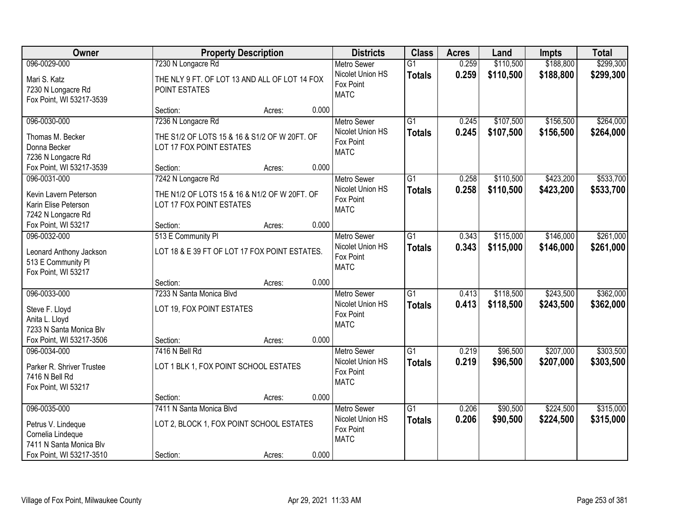| Owner                                                                                                          |                                                                                                 | <b>Property Description</b> |       | <b>Districts</b>                                                   | <b>Class</b>                     | <b>Acres</b>   | Land                   | <b>Impts</b>           | <b>Total</b>           |
|----------------------------------------------------------------------------------------------------------------|-------------------------------------------------------------------------------------------------|-----------------------------|-------|--------------------------------------------------------------------|----------------------------------|----------------|------------------------|------------------------|------------------------|
| 096-0029-000                                                                                                   | 7230 N Longacre Rd                                                                              |                             |       | <b>Metro Sewer</b>                                                 | $\overline{G1}$                  | 0.259          | \$110,500              | \$188,800              | \$299,300              |
| Mari S. Katz<br>7230 N Longacre Rd<br>Fox Point, WI 53217-3539                                                 | THE NLY 9 FT. OF LOT 13 AND ALL OF LOT 14 FOX<br>POINT ESTATES                                  |                             |       | Nicolet Union HS<br>Fox Point<br><b>MATC</b>                       | <b>Totals</b>                    | 0.259          | \$110,500              | \$188,800              | \$299,300              |
|                                                                                                                | Section:                                                                                        | Acres:                      | 0.000 |                                                                    |                                  |                |                        |                        |                        |
| 096-0030-000<br>Thomas M. Becker<br>Donna Becker<br>7236 N Longacre Rd                                         | 7236 N Longacre Rd<br>THE S1/2 OF LOTS 15 & 16 & S1/2 OF W 20FT. OF<br>LOT 17 FOX POINT ESTATES |                             |       | <b>Metro Sewer</b><br>Nicolet Union HS<br>Fox Point<br><b>MATC</b> | $\overline{G1}$<br><b>Totals</b> | 0.245<br>0.245 | \$107,500<br>\$107,500 | \$156,500<br>\$156,500 | \$264,000<br>\$264,000 |
| Fox Point, WI 53217-3539                                                                                       | Section:                                                                                        | Acres:                      | 0.000 |                                                                    |                                  |                |                        |                        |                        |
| 096-0031-000<br>Kevin Lavern Peterson<br>Karin Elise Peterson<br>7242 N Longacre Rd                            | 7242 N Longacre Rd<br>THE N1/2 OF LOTS 15 & 16 & N1/2 OF W 20FT. OF<br>LOT 17 FOX POINT ESTATES |                             |       | <b>Metro Sewer</b><br>Nicolet Union HS<br>Fox Point<br><b>MATC</b> | G1<br><b>Totals</b>              | 0.258<br>0.258 | \$110,500<br>\$110,500 | \$423,200<br>\$423,200 | \$533,700<br>\$533,700 |
| Fox Point, WI 53217                                                                                            | Section:                                                                                        | Acres:                      | 0.000 |                                                                    |                                  |                |                        |                        |                        |
| 096-0032-000<br>Leonard Anthony Jackson<br>513 E Community PI<br>Fox Point, WI 53217                           | 513 E Community PI<br>LOT 18 & E 39 FT OF LOT 17 FOX POINT ESTATES.                             |                             |       | <b>Metro Sewer</b><br>Nicolet Union HS<br>Fox Point<br><b>MATC</b> | $\overline{G1}$<br><b>Totals</b> | 0.343<br>0.343 | \$115,000<br>\$115,000 | \$146,000<br>\$146,000 | \$261,000<br>\$261,000 |
|                                                                                                                | Section:                                                                                        | Acres:                      | 0.000 |                                                                    |                                  |                |                        |                        |                        |
| 096-0033-000<br>Steve F. Lloyd<br>Anita L. Lloyd<br>7233 N Santa Monica Blv<br>Fox Point, WI 53217-3506        | 7233 N Santa Monica Blvd<br>LOT 19, FOX POINT ESTATES<br>Section:                               | Acres:                      | 0.000 | <b>Metro Sewer</b><br>Nicolet Union HS<br>Fox Point<br><b>MATC</b> | $\overline{G1}$<br><b>Totals</b> | 0.413<br>0.413 | \$118,500<br>\$118,500 | \$243,500<br>\$243,500 | \$362,000<br>\$362,000 |
| 096-0034-000                                                                                                   | 7416 N Bell Rd                                                                                  |                             |       | Metro Sewer                                                        | $\overline{G1}$                  | 0.219          | \$96,500               | \$207,000              | \$303,500              |
| Parker R. Shriver Trustee<br>7416 N Bell Rd<br>Fox Point, WI 53217                                             | LOT 1 BLK 1, FOX POINT SCHOOL ESTATES                                                           |                             |       | Nicolet Union HS<br>Fox Point<br><b>MATC</b>                       | <b>Totals</b>                    | 0.219          | \$96,500               | \$207,000              | \$303,500              |
|                                                                                                                | Section:                                                                                        | Acres:                      | 0.000 |                                                                    |                                  |                |                        |                        |                        |
| 096-0035-000<br>Petrus V. Lindeque<br>Cornelia Lindeque<br>7411 N Santa Monica Blv<br>Fox Point, WI 53217-3510 | 7411 N Santa Monica Blvd<br>LOT 2, BLOCK 1, FOX POINT SCHOOL ESTATES<br>Section:                | Acres:                      | 0.000 | Metro Sewer<br>Nicolet Union HS<br>Fox Point<br><b>MATC</b>        | $\overline{G1}$<br><b>Totals</b> | 0.206<br>0.206 | \$90,500<br>\$90,500   | \$224,500<br>\$224,500 | \$315,000<br>\$315,000 |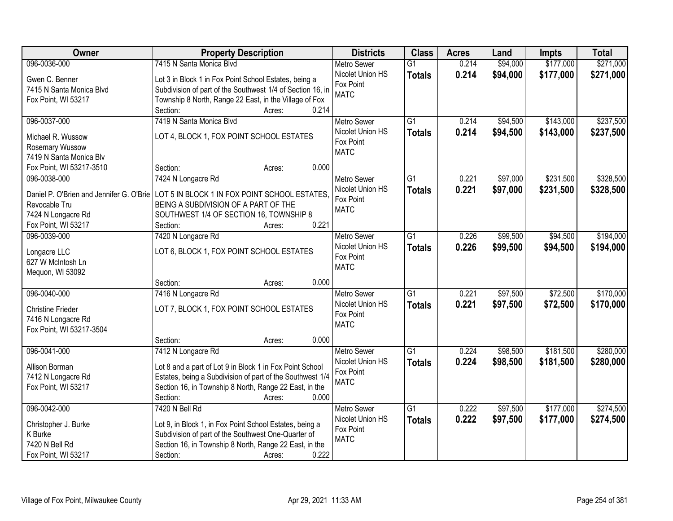| 096-0036-000<br>7415 N Santa Monica Blvd<br>\$94,000<br>\$177,000<br>$\overline{G1}$<br>0.214<br><b>Metro Sewer</b><br>\$177,000<br>Nicolet Union HS<br>0.214<br>\$94,000<br>\$271,000<br><b>Totals</b><br>Gwen C. Benner<br>Lot 3 in Block 1 in Fox Point School Estates, being a<br>Fox Point<br>7415 N Santa Monica Blvd<br>Subdivision of part of the Southwest 1/4 of Section 16, in<br><b>MATC</b><br>Township 8 North, Range 22 East, in the Village of Fox<br>Fox Point, WI 53217<br>0.214<br>Section:<br>Acres:<br>\$143,000<br>\$237,500<br>096-0037-000<br>7419 N Santa Monica Blvd<br>$\overline{G1}$<br>0.214<br>\$94,500<br><b>Metro Sewer</b><br>Nicolet Union HS<br>0.214<br>\$143,000<br>\$94,500<br>\$237,500<br><b>Totals</b><br>LOT 4, BLOCK 1, FOX POINT SCHOOL ESTATES<br>Michael R. Wussow<br>Fox Point<br>Rosemary Wussow<br><b>MATC</b><br>7419 N Santa Monica Blv<br>0.000<br>Fox Point, WI 53217-3510<br>Section:<br>Acres:<br>\$231,500<br>\$328,500<br>096-0038-000<br>7424 N Longacre Rd<br><b>Metro Sewer</b><br>$\overline{G1}$<br>0.221<br>\$97,000<br>Nicolet Union HS<br>0.221<br>\$97,000<br>\$231,500<br><b>Totals</b><br>LOT 5 IN BLOCK 1 IN FOX POINT SCHOOL ESTATES.<br>Daniel P. O'Brien and Jennifer G. O'Brie<br>Fox Point<br>BEING A SUBDIVISION OF A PART OF THE<br>Revocable Tru<br><b>MATC</b><br>SOUTHWEST 1/4 OF SECTION 16, TOWNSHIP 8<br>7424 N Longacre Rd<br>0.221<br>Fox Point, WI 53217<br>Section:<br>Acres:<br>096-0039-000<br>7420 N Longacre Rd<br>$\overline{G1}$<br>\$99,500<br>\$94,500<br>\$194,000<br><b>Metro Sewer</b><br>0.226<br>Nicolet Union HS<br>0.226<br>\$99,500<br>\$94,500<br>\$194,000<br><b>Totals</b><br>LOT 6, BLOCK 1, FOX POINT SCHOOL ESTATES<br>Longacre LLC<br>Fox Point<br>627 W McIntosh Ln<br><b>MATC</b><br>Mequon, WI 53092<br>0.000<br>Section:<br>Acres:<br>096-0040-000<br>7416 N Longacre Rd<br>$\overline{G1}$<br>0.221<br>\$97,500<br>\$72,500<br><b>Metro Sewer</b><br>0.221<br>\$97,500<br>\$72,500<br>Nicolet Union HS<br><b>Totals</b><br>LOT 7, BLOCK 1, FOX POINT SCHOOL ESTATES<br><b>Christine Frieder</b><br>Fox Point<br>7416 N Longacre Rd<br><b>MATC</b><br>Fox Point, WI 53217-3504<br>0.000<br>Section:<br>Acres:<br>$\overline{G1}$<br>\$181,500<br>096-0041-000<br>7412 N Longacre Rd<br>Metro Sewer<br>0.224<br>\$98,500 | Owner          | <b>Property Description</b>                              | <b>Districts</b> | <b>Class</b>  | <b>Acres</b> | Land     | <b>Impts</b> | <b>Total</b> |
|-------------------------------------------------------------------------------------------------------------------------------------------------------------------------------------------------------------------------------------------------------------------------------------------------------------------------------------------------------------------------------------------------------------------------------------------------------------------------------------------------------------------------------------------------------------------------------------------------------------------------------------------------------------------------------------------------------------------------------------------------------------------------------------------------------------------------------------------------------------------------------------------------------------------------------------------------------------------------------------------------------------------------------------------------------------------------------------------------------------------------------------------------------------------------------------------------------------------------------------------------------------------------------------------------------------------------------------------------------------------------------------------------------------------------------------------------------------------------------------------------------------------------------------------------------------------------------------------------------------------------------------------------------------------------------------------------------------------------------------------------------------------------------------------------------------------------------------------------------------------------------------------------------------------------------------------------------------------------------------------------------------------------------------------------------------------------------------------------------------------------------------------------------------------------------------------------------------------------------------------------------------------------------------------------------------------------------------------|----------------|----------------------------------------------------------|------------------|---------------|--------------|----------|--------------|--------------|
|                                                                                                                                                                                                                                                                                                                                                                                                                                                                                                                                                                                                                                                                                                                                                                                                                                                                                                                                                                                                                                                                                                                                                                                                                                                                                                                                                                                                                                                                                                                                                                                                                                                                                                                                                                                                                                                                                                                                                                                                                                                                                                                                                                                                                                                                                                                                           |                |                                                          |                  |               |              |          |              | \$271,000    |
|                                                                                                                                                                                                                                                                                                                                                                                                                                                                                                                                                                                                                                                                                                                                                                                                                                                                                                                                                                                                                                                                                                                                                                                                                                                                                                                                                                                                                                                                                                                                                                                                                                                                                                                                                                                                                                                                                                                                                                                                                                                                                                                                                                                                                                                                                                                                           |                |                                                          |                  |               |              |          |              |              |
| \$328,500<br>\$170,000                                                                                                                                                                                                                                                                                                                                                                                                                                                                                                                                                                                                                                                                                                                                                                                                                                                                                                                                                                                                                                                                                                                                                                                                                                                                                                                                                                                                                                                                                                                                                                                                                                                                                                                                                                                                                                                                                                                                                                                                                                                                                                                                                                                                                                                                                                                    |                |                                                          |                  |               |              |          |              |              |
|                                                                                                                                                                                                                                                                                                                                                                                                                                                                                                                                                                                                                                                                                                                                                                                                                                                                                                                                                                                                                                                                                                                                                                                                                                                                                                                                                                                                                                                                                                                                                                                                                                                                                                                                                                                                                                                                                                                                                                                                                                                                                                                                                                                                                                                                                                                                           |                |                                                          |                  |               |              |          |              |              |
|                                                                                                                                                                                                                                                                                                                                                                                                                                                                                                                                                                                                                                                                                                                                                                                                                                                                                                                                                                                                                                                                                                                                                                                                                                                                                                                                                                                                                                                                                                                                                                                                                                                                                                                                                                                                                                                                                                                                                                                                                                                                                                                                                                                                                                                                                                                                           |                |                                                          |                  |               |              |          |              |              |
|                                                                                                                                                                                                                                                                                                                                                                                                                                                                                                                                                                                                                                                                                                                                                                                                                                                                                                                                                                                                                                                                                                                                                                                                                                                                                                                                                                                                                                                                                                                                                                                                                                                                                                                                                                                                                                                                                                                                                                                                                                                                                                                                                                                                                                                                                                                                           |                |                                                          |                  |               |              |          |              |              |
|                                                                                                                                                                                                                                                                                                                                                                                                                                                                                                                                                                                                                                                                                                                                                                                                                                                                                                                                                                                                                                                                                                                                                                                                                                                                                                                                                                                                                                                                                                                                                                                                                                                                                                                                                                                                                                                                                                                                                                                                                                                                                                                                                                                                                                                                                                                                           |                |                                                          |                  |               |              |          |              |              |
|                                                                                                                                                                                                                                                                                                                                                                                                                                                                                                                                                                                                                                                                                                                                                                                                                                                                                                                                                                                                                                                                                                                                                                                                                                                                                                                                                                                                                                                                                                                                                                                                                                                                                                                                                                                                                                                                                                                                                                                                                                                                                                                                                                                                                                                                                                                                           |                |                                                          |                  |               |              |          |              |              |
|                                                                                                                                                                                                                                                                                                                                                                                                                                                                                                                                                                                                                                                                                                                                                                                                                                                                                                                                                                                                                                                                                                                                                                                                                                                                                                                                                                                                                                                                                                                                                                                                                                                                                                                                                                                                                                                                                                                                                                                                                                                                                                                                                                                                                                                                                                                                           |                |                                                          |                  |               |              |          |              |              |
|                                                                                                                                                                                                                                                                                                                                                                                                                                                                                                                                                                                                                                                                                                                                                                                                                                                                                                                                                                                                                                                                                                                                                                                                                                                                                                                                                                                                                                                                                                                                                                                                                                                                                                                                                                                                                                                                                                                                                                                                                                                                                                                                                                                                                                                                                                                                           |                |                                                          |                  |               |              |          |              |              |
|                                                                                                                                                                                                                                                                                                                                                                                                                                                                                                                                                                                                                                                                                                                                                                                                                                                                                                                                                                                                                                                                                                                                                                                                                                                                                                                                                                                                                                                                                                                                                                                                                                                                                                                                                                                                                                                                                                                                                                                                                                                                                                                                                                                                                                                                                                                                           |                |                                                          |                  |               |              |          |              |              |
|                                                                                                                                                                                                                                                                                                                                                                                                                                                                                                                                                                                                                                                                                                                                                                                                                                                                                                                                                                                                                                                                                                                                                                                                                                                                                                                                                                                                                                                                                                                                                                                                                                                                                                                                                                                                                                                                                                                                                                                                                                                                                                                                                                                                                                                                                                                                           |                |                                                          |                  |               |              |          |              |              |
|                                                                                                                                                                                                                                                                                                                                                                                                                                                                                                                                                                                                                                                                                                                                                                                                                                                                                                                                                                                                                                                                                                                                                                                                                                                                                                                                                                                                                                                                                                                                                                                                                                                                                                                                                                                                                                                                                                                                                                                                                                                                                                                                                                                                                                                                                                                                           |                |                                                          |                  |               |              |          |              |              |
|                                                                                                                                                                                                                                                                                                                                                                                                                                                                                                                                                                                                                                                                                                                                                                                                                                                                                                                                                                                                                                                                                                                                                                                                                                                                                                                                                                                                                                                                                                                                                                                                                                                                                                                                                                                                                                                                                                                                                                                                                                                                                                                                                                                                                                                                                                                                           |                |                                                          |                  |               |              |          |              |              |
|                                                                                                                                                                                                                                                                                                                                                                                                                                                                                                                                                                                                                                                                                                                                                                                                                                                                                                                                                                                                                                                                                                                                                                                                                                                                                                                                                                                                                                                                                                                                                                                                                                                                                                                                                                                                                                                                                                                                                                                                                                                                                                                                                                                                                                                                                                                                           |                |                                                          |                  |               |              |          |              |              |
|                                                                                                                                                                                                                                                                                                                                                                                                                                                                                                                                                                                                                                                                                                                                                                                                                                                                                                                                                                                                                                                                                                                                                                                                                                                                                                                                                                                                                                                                                                                                                                                                                                                                                                                                                                                                                                                                                                                                                                                                                                                                                                                                                                                                                                                                                                                                           |                |                                                          |                  |               |              |          |              |              |
|                                                                                                                                                                                                                                                                                                                                                                                                                                                                                                                                                                                                                                                                                                                                                                                                                                                                                                                                                                                                                                                                                                                                                                                                                                                                                                                                                                                                                                                                                                                                                                                                                                                                                                                                                                                                                                                                                                                                                                                                                                                                                                                                                                                                                                                                                                                                           |                |                                                          |                  |               |              |          |              |              |
|                                                                                                                                                                                                                                                                                                                                                                                                                                                                                                                                                                                                                                                                                                                                                                                                                                                                                                                                                                                                                                                                                                                                                                                                                                                                                                                                                                                                                                                                                                                                                                                                                                                                                                                                                                                                                                                                                                                                                                                                                                                                                                                                                                                                                                                                                                                                           |                |                                                          |                  |               |              |          |              |              |
|                                                                                                                                                                                                                                                                                                                                                                                                                                                                                                                                                                                                                                                                                                                                                                                                                                                                                                                                                                                                                                                                                                                                                                                                                                                                                                                                                                                                                                                                                                                                                                                                                                                                                                                                                                                                                                                                                                                                                                                                                                                                                                                                                                                                                                                                                                                                           |                |                                                          |                  |               |              |          |              |              |
| \$170,000<br>\$280,000                                                                                                                                                                                                                                                                                                                                                                                                                                                                                                                                                                                                                                                                                                                                                                                                                                                                                                                                                                                                                                                                                                                                                                                                                                                                                                                                                                                                                                                                                                                                                                                                                                                                                                                                                                                                                                                                                                                                                                                                                                                                                                                                                                                                                                                                                                                    |                |                                                          |                  |               |              |          |              |              |
|                                                                                                                                                                                                                                                                                                                                                                                                                                                                                                                                                                                                                                                                                                                                                                                                                                                                                                                                                                                                                                                                                                                                                                                                                                                                                                                                                                                                                                                                                                                                                                                                                                                                                                                                                                                                                                                                                                                                                                                                                                                                                                                                                                                                                                                                                                                                           |                |                                                          |                  |               |              |          |              |              |
|                                                                                                                                                                                                                                                                                                                                                                                                                                                                                                                                                                                                                                                                                                                                                                                                                                                                                                                                                                                                                                                                                                                                                                                                                                                                                                                                                                                                                                                                                                                                                                                                                                                                                                                                                                                                                                                                                                                                                                                                                                                                                                                                                                                                                                                                                                                                           |                |                                                          |                  |               |              |          |              |              |
|                                                                                                                                                                                                                                                                                                                                                                                                                                                                                                                                                                                                                                                                                                                                                                                                                                                                                                                                                                                                                                                                                                                                                                                                                                                                                                                                                                                                                                                                                                                                                                                                                                                                                                                                                                                                                                                                                                                                                                                                                                                                                                                                                                                                                                                                                                                                           |                |                                                          |                  |               |              |          |              |              |
|                                                                                                                                                                                                                                                                                                                                                                                                                                                                                                                                                                                                                                                                                                                                                                                                                                                                                                                                                                                                                                                                                                                                                                                                                                                                                                                                                                                                                                                                                                                                                                                                                                                                                                                                                                                                                                                                                                                                                                                                                                                                                                                                                                                                                                                                                                                                           |                |                                                          |                  |               |              |          |              |              |
|                                                                                                                                                                                                                                                                                                                                                                                                                                                                                                                                                                                                                                                                                                                                                                                                                                                                                                                                                                                                                                                                                                                                                                                                                                                                                                                                                                                                                                                                                                                                                                                                                                                                                                                                                                                                                                                                                                                                                                                                                                                                                                                                                                                                                                                                                                                                           |                |                                                          |                  |               |              |          |              |              |
|                                                                                                                                                                                                                                                                                                                                                                                                                                                                                                                                                                                                                                                                                                                                                                                                                                                                                                                                                                                                                                                                                                                                                                                                                                                                                                                                                                                                                                                                                                                                                                                                                                                                                                                                                                                                                                                                                                                                                                                                                                                                                                                                                                                                                                                                                                                                           |                |                                                          |                  |               |              |          |              |              |
|                                                                                                                                                                                                                                                                                                                                                                                                                                                                                                                                                                                                                                                                                                                                                                                                                                                                                                                                                                                                                                                                                                                                                                                                                                                                                                                                                                                                                                                                                                                                                                                                                                                                                                                                                                                                                                                                                                                                                                                                                                                                                                                                                                                                                                                                                                                                           |                |                                                          |                  |               |              |          |              |              |
|                                                                                                                                                                                                                                                                                                                                                                                                                                                                                                                                                                                                                                                                                                                                                                                                                                                                                                                                                                                                                                                                                                                                                                                                                                                                                                                                                                                                                                                                                                                                                                                                                                                                                                                                                                                                                                                                                                                                                                                                                                                                                                                                                                                                                                                                                                                                           | Allison Borman | Lot 8 and a part of Lot 9 in Block 1 in Fox Point School | Nicolet Union HS | <b>Totals</b> | 0.224        | \$98,500 | \$181,500    | \$280,000    |
| Fox Point<br>7412 N Longacre Rd<br>Estates, being a Subdivision of part of the Southwest 1/4                                                                                                                                                                                                                                                                                                                                                                                                                                                                                                                                                                                                                                                                                                                                                                                                                                                                                                                                                                                                                                                                                                                                                                                                                                                                                                                                                                                                                                                                                                                                                                                                                                                                                                                                                                                                                                                                                                                                                                                                                                                                                                                                                                                                                                              |                |                                                          |                  |               |              |          |              |              |
| <b>MATC</b><br>Section 16, in Township 8 North, Range 22 East, in the<br>Fox Point, WI 53217                                                                                                                                                                                                                                                                                                                                                                                                                                                                                                                                                                                                                                                                                                                                                                                                                                                                                                                                                                                                                                                                                                                                                                                                                                                                                                                                                                                                                                                                                                                                                                                                                                                                                                                                                                                                                                                                                                                                                                                                                                                                                                                                                                                                                                              |                |                                                          |                  |               |              |          |              |              |
| Section:<br>0.000<br>Acres:                                                                                                                                                                                                                                                                                                                                                                                                                                                                                                                                                                                                                                                                                                                                                                                                                                                                                                                                                                                                                                                                                                                                                                                                                                                                                                                                                                                                                                                                                                                                                                                                                                                                                                                                                                                                                                                                                                                                                                                                                                                                                                                                                                                                                                                                                                               |                |                                                          |                  |               |              |          |              |              |
| 096-0042-000<br>7420 N Bell Rd<br>$\overline{G1}$<br>0.222<br>\$97,500<br>\$177,000<br>\$274,500<br><b>Metro Sewer</b>                                                                                                                                                                                                                                                                                                                                                                                                                                                                                                                                                                                                                                                                                                                                                                                                                                                                                                                                                                                                                                                                                                                                                                                                                                                                                                                                                                                                                                                                                                                                                                                                                                                                                                                                                                                                                                                                                                                                                                                                                                                                                                                                                                                                                    |                |                                                          |                  |               |              |          |              |              |
| Nicolet Union HS<br>0.222<br>\$177,000<br>\$97,500<br>\$274,500<br><b>Totals</b>                                                                                                                                                                                                                                                                                                                                                                                                                                                                                                                                                                                                                                                                                                                                                                                                                                                                                                                                                                                                                                                                                                                                                                                                                                                                                                                                                                                                                                                                                                                                                                                                                                                                                                                                                                                                                                                                                                                                                                                                                                                                                                                                                                                                                                                          |                |                                                          |                  |               |              |          |              |              |
| Lot 9, in Block 1, in Fox Point School Estates, being a<br>Christopher J. Burke<br>Fox Point<br>Subdivision of part of the Southwest One-Quarter of<br>K Burke                                                                                                                                                                                                                                                                                                                                                                                                                                                                                                                                                                                                                                                                                                                                                                                                                                                                                                                                                                                                                                                                                                                                                                                                                                                                                                                                                                                                                                                                                                                                                                                                                                                                                                                                                                                                                                                                                                                                                                                                                                                                                                                                                                            |                |                                                          |                  |               |              |          |              |              |
| <b>MATC</b><br>7420 N Bell Rd<br>Section 16, in Township 8 North, Range 22 East, in the                                                                                                                                                                                                                                                                                                                                                                                                                                                                                                                                                                                                                                                                                                                                                                                                                                                                                                                                                                                                                                                                                                                                                                                                                                                                                                                                                                                                                                                                                                                                                                                                                                                                                                                                                                                                                                                                                                                                                                                                                                                                                                                                                                                                                                                   |                |                                                          |                  |               |              |          |              |              |
| 0.222<br>Fox Point, WI 53217<br>Section:<br>Acres:                                                                                                                                                                                                                                                                                                                                                                                                                                                                                                                                                                                                                                                                                                                                                                                                                                                                                                                                                                                                                                                                                                                                                                                                                                                                                                                                                                                                                                                                                                                                                                                                                                                                                                                                                                                                                                                                                                                                                                                                                                                                                                                                                                                                                                                                                        |                |                                                          |                  |               |              |          |              |              |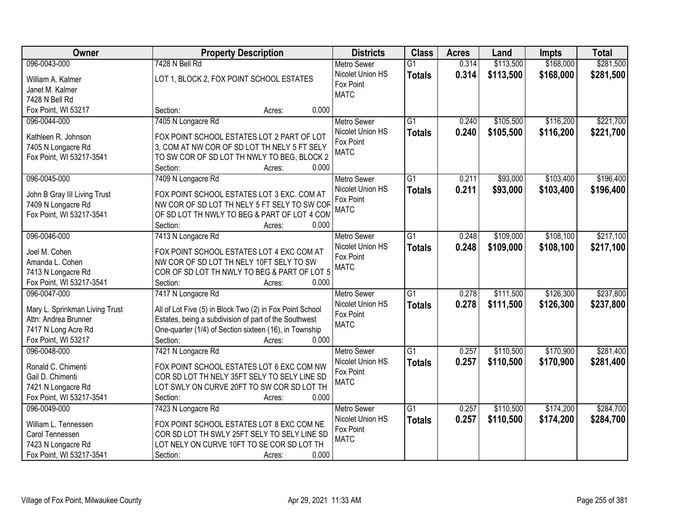| Owner                          | <b>Property Description</b>                              | <b>Districts</b>   | <b>Class</b>    | <b>Acres</b> | Land      | <b>Impts</b> | <b>Total</b> |
|--------------------------------|----------------------------------------------------------|--------------------|-----------------|--------------|-----------|--------------|--------------|
| 096-0043-000                   | 7428 N Bell Rd                                           | <b>Metro Sewer</b> | $\overline{G1}$ | 0.314        | \$113,500 | \$168,000    | \$281,500    |
| William A. Kalmer              | LOT 1, BLOCK 2, FOX POINT SCHOOL ESTATES                 | Nicolet Union HS   | <b>Totals</b>   | 0.314        | \$113,500 | \$168,000    | \$281,500    |
| Janet M. Kalmer                |                                                          | Fox Point          |                 |              |           |              |              |
| 7428 N Bell Rd                 |                                                          | <b>MATC</b>        |                 |              |           |              |              |
| Fox Point, WI 53217            | 0.000<br>Section:<br>Acres:                              |                    |                 |              |           |              |              |
| 096-0044-000                   | 7405 N Longacre Rd                                       | <b>Metro Sewer</b> | $\overline{G1}$ | 0.240        | \$105,500 | \$116,200    | \$221,700    |
|                                |                                                          | Nicolet Union HS   | <b>Totals</b>   | 0.240        | \$105,500 | \$116,200    | \$221,700    |
| Kathleen R. Johnson            | FOX POINT SCHOOL ESTATES LOT 2 PART OF LOT               | Fox Point          |                 |              |           |              |              |
| 7405 N Longacre Rd             | 3, COM AT NW COR OF SD LOT TH NELY 5 FT SELY             | <b>MATC</b>        |                 |              |           |              |              |
| Fox Point, WI 53217-3541       | TO SW COR OF SD LOT TH NWLY TO BEG, BLOCK 2              |                    |                 |              |           |              |              |
|                                | 0.000<br>Section:<br>Acres:                              |                    |                 |              |           |              |              |
| 096-0045-000                   | 7409 N Longacre Rd                                       | <b>Metro Sewer</b> | G1              | 0.211        | \$93,000  | \$103,400    | \$196,400    |
| John B Gray III Living Trust   | FOX POINT SCHOOL ESTATES LOT 3 EXC. COM AT               | Nicolet Union HS   | <b>Totals</b>   | 0.211        | \$93,000  | \$103,400    | \$196,400    |
| 7409 N Longacre Rd             | NW COR OF SD LOT TH NELY 5 FT SELY TO SW COR             | Fox Point          |                 |              |           |              |              |
| Fox Point, WI 53217-3541       | OF SD LOT TH NWLY TO BEG & PART OF LOT 4 COM             | <b>MATC</b>        |                 |              |           |              |              |
|                                | Section:<br>0.000<br>Acres:                              |                    |                 |              |           |              |              |
| 096-0046-000                   | 7413 N Longacre Rd                                       | <b>Metro Sewer</b> | $\overline{G1}$ | 0.248        | \$109,000 | \$108,100    | \$217,100    |
|                                |                                                          | Nicolet Union HS   | <b>Totals</b>   | 0.248        | \$109,000 | \$108,100    | \$217,100    |
| Joel M. Cohen                  | FOX POINT SCHOOL ESTATES LOT 4 EXC COM AT                | Fox Point          |                 |              |           |              |              |
| Amanda L. Cohen                | NW COR OF SD LOT TH NELY 10FT SELY TO SW                 | <b>MATC</b>        |                 |              |           |              |              |
| 7413 N Longacre Rd             | COR OF SD LOT TH NWLY TO BEG & PART OF LOT 5             |                    |                 |              |           |              |              |
| Fox Point, WI 53217-3541       | Section:<br>0.000<br>Acres:                              |                    |                 |              |           |              |              |
| 096-0047-000                   | 7417 N Longacre Rd                                       | Metro Sewer        | $\overline{G1}$ | 0.278        | \$111,500 | \$126,300    | \$237,800    |
| Mary L. Sprinkman Living Trust | All of Lot Five (5) in Block Two (2) in Fox Point School | Nicolet Union HS   | <b>Totals</b>   | 0.278        | \$111,500 | \$126,300    | \$237,800    |
| Attn: Andrea Brunner           | Estates, being a subdivision of part of the Southwest    | Fox Point          |                 |              |           |              |              |
| 7417 N Long Acre Rd            | One-quarter (1/4) of Section sixteen (16), in Township   | <b>MATC</b>        |                 |              |           |              |              |
| Fox Point, WI 53217            | 0.000<br>Section:<br>Acres:                              |                    |                 |              |           |              |              |
| 096-0048-000                   | 7421 N Longacre Rd                                       | Metro Sewer        | $\overline{G1}$ | 0.257        | \$110,500 | \$170,900    | \$281,400    |
| Ronald C. Chimenti             | FOX POINT SCHOOL ESTATES LOT 6 EXC COM NW                | Nicolet Union HS   | <b>Totals</b>   | 0.257        | \$110,500 | \$170,900    | \$281,400    |
| Gail D. Chimenti               | COR SD LOT TH NELY 35FT SELY TO SELY LINE SD             | Fox Point          |                 |              |           |              |              |
| 7421 N Longacre Rd             | LOT SWLY ON CURVE 20FT TO SW COR SD LOT TH               | <b>MATC</b>        |                 |              |           |              |              |
| Fox Point, WI 53217-3541       | 0.000<br>Section:<br>Acres:                              |                    |                 |              |           |              |              |
| 096-0049-000                   | 7423 N Longacre Rd                                       | <b>Metro Sewer</b> | $\overline{G1}$ | 0.257        | \$110,500 | \$174,200    | \$284,700    |
|                                |                                                          | Nicolet Union HS   | <b>Totals</b>   | 0.257        | \$110,500 | \$174,200    | \$284,700    |
| William L. Tennessen           | FOX POINT SCHOOL ESTATES LOT 8 EXC COM NE                | Fox Point          |                 |              |           |              |              |
| Carol Tennessen                | COR SD LOT TH SWLY 25FT SELY TO SELY LINE SD             | <b>MATC</b>        |                 |              |           |              |              |
| 7423 N Longacre Rd             | LOT NELY ON CURVE 10FT TO SE COR SD LOT TH               |                    |                 |              |           |              |              |
| Fox Point, WI 53217-3541       | 0.000<br>Section:<br>Acres:                              |                    |                 |              |           |              |              |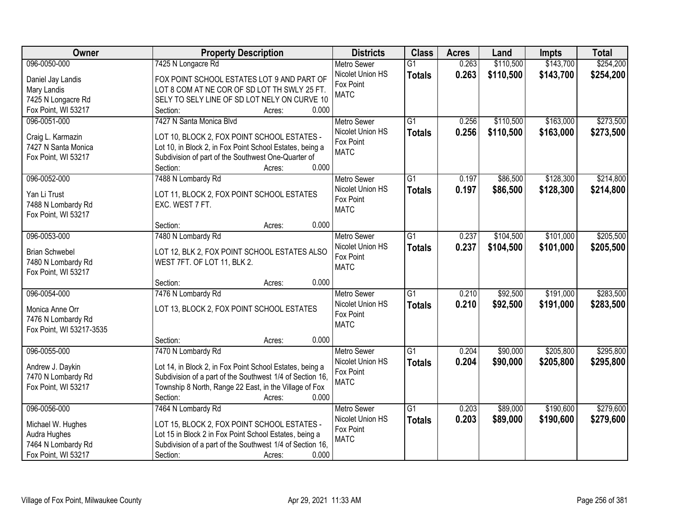| Owner                                    | <b>Property Description</b>                                                                                         | <b>Districts</b>         | <b>Class</b>    | <b>Acres</b> | Land      | Impts     | <b>Total</b> |
|------------------------------------------|---------------------------------------------------------------------------------------------------------------------|--------------------------|-----------------|--------------|-----------|-----------|--------------|
| 096-0050-000                             | 7425 N Longacre Rd                                                                                                  | <b>Metro Sewer</b>       | $\overline{G1}$ | 0.263        | \$110,500 | \$143,700 | \$254,200    |
| Daniel Jay Landis                        | FOX POINT SCHOOL ESTATES LOT 9 AND PART OF                                                                          | Nicolet Union HS         | <b>Totals</b>   | 0.263        | \$110,500 | \$143,700 | \$254,200    |
| Mary Landis                              | LOT 8 COM AT NE COR OF SD LOT TH SWLY 25 FT.                                                                        | Fox Point                |                 |              |           |           |              |
| 7425 N Longacre Rd                       | SELY TO SELY LINE OF SD LOT NELY ON CURVE 10                                                                        | <b>MATC</b>              |                 |              |           |           |              |
| Fox Point, WI 53217                      | Section:<br>0.000<br>Acres:                                                                                         |                          |                 |              |           |           |              |
| 096-0051-000                             | 7427 N Santa Monica Blvd                                                                                            | <b>Metro Sewer</b>       | $\overline{G1}$ | 0.256        | \$110,500 | \$163,000 | \$273,500    |
|                                          |                                                                                                                     | Nicolet Union HS         | <b>Totals</b>   | 0.256        | \$110,500 | \$163,000 | \$273,500    |
| Craig L. Karmazin<br>7427 N Santa Monica | LOT 10, BLOCK 2, FOX POINT SCHOOL ESTATES -<br>Lot 10, in Block 2, in Fox Point School Estates, being a             | Fox Point                |                 |              |           |           |              |
| Fox Point, WI 53217                      | Subdivision of part of the Southwest One-Quarter of                                                                 | <b>MATC</b>              |                 |              |           |           |              |
|                                          | 0.000<br>Section:<br>Acres:                                                                                         |                          |                 |              |           |           |              |
| 096-0052-000                             | 7488 N Lombardy Rd                                                                                                  | <b>Metro Sewer</b>       | $\overline{G1}$ | 0.197        | \$86,500  | \$128,300 | \$214,800    |
|                                          |                                                                                                                     | Nicolet Union HS         | <b>Totals</b>   | 0.197        | \$86,500  | \$128,300 | \$214,800    |
| Yan Li Trust                             | LOT 11, BLOCK 2, FOX POINT SCHOOL ESTATES                                                                           | Fox Point                |                 |              |           |           |              |
| 7488 N Lombardy Rd                       | EXC. WEST 7 FT.                                                                                                     | <b>MATC</b>              |                 |              |           |           |              |
| Fox Point, WI 53217                      |                                                                                                                     |                          |                 |              |           |           |              |
|                                          | 0.000<br>Section:<br>Acres:                                                                                         |                          |                 |              |           |           |              |
| 096-0053-000                             | 7480 N Lombardy Rd                                                                                                  | <b>Metro Sewer</b>       | G1              | 0.237        | \$104,500 | \$101,000 | \$205,500    |
| <b>Brian Schwebel</b>                    | LOT 12, BLK 2, FOX POINT SCHOOL ESTATES ALSO                                                                        | Nicolet Union HS         | <b>Totals</b>   | 0.237        | \$104,500 | \$101,000 | \$205,500    |
| 7480 N Lombardy Rd                       | WEST 7FT. OF LOT 11, BLK 2.                                                                                         | Fox Point<br><b>MATC</b> |                 |              |           |           |              |
| Fox Point, WI 53217                      |                                                                                                                     |                          |                 |              |           |           |              |
|                                          | 0.000<br>Section:<br>Acres:                                                                                         |                          |                 |              |           |           |              |
| 096-0054-000                             | 7476 N Lombardy Rd                                                                                                  | <b>Metro Sewer</b>       | $\overline{G1}$ | 0.210        | \$92,500  | \$191,000 | \$283,500    |
| Monica Anne Orr                          | LOT 13, BLOCK 2, FOX POINT SCHOOL ESTATES                                                                           | Nicolet Union HS         | <b>Totals</b>   | 0.210        | \$92,500  | \$191,000 | \$283,500    |
| 7476 N Lombardy Rd                       |                                                                                                                     | Fox Point                |                 |              |           |           |              |
| Fox Point, WI 53217-3535                 |                                                                                                                     | <b>MATC</b>              |                 |              |           |           |              |
|                                          | Section:<br>0.000<br>Acres:                                                                                         |                          |                 |              |           |           |              |
| 096-0055-000                             | 7470 N Lombardy Rd                                                                                                  | <b>Metro Sewer</b>       | $\overline{G1}$ | 0.204        | \$90,000  | \$205,800 | \$295,800    |
| Andrew J. Daykin                         | Lot 14, in Block 2, in Fox Point School Estates, being a                                                            | Nicolet Union HS         | <b>Totals</b>   | 0.204        | \$90,000  | \$205,800 | \$295,800    |
| 7470 N Lombardy Rd                       | Subdivision of a part of the Southwest 1/4 of Section 16,                                                           | Fox Point                |                 |              |           |           |              |
| Fox Point, WI 53217                      | Township 8 North, Range 22 East, in the Village of Fox                                                              | <b>MATC</b>              |                 |              |           |           |              |
|                                          | 0.000<br>Section:<br>Acres:                                                                                         |                          |                 |              |           |           |              |
| 096-0056-000                             | 7464 N Lombardy Rd                                                                                                  | <b>Metro Sewer</b>       | $\overline{G1}$ | 0.203        | \$89,000  | \$190,600 | \$279,600    |
|                                          |                                                                                                                     | Nicolet Union HS         | <b>Totals</b>   | 0.203        | \$89,000  | \$190,600 | \$279,600    |
| Michael W. Hughes                        | LOT 15, BLOCK 2, FOX POINT SCHOOL ESTATES -                                                                         | Fox Point                |                 |              |           |           |              |
| Audra Hughes<br>7464 N Lombardy Rd       | Lot 15 in Block 2 in Fox Point School Estates, being a<br>Subdivision of a part of the Southwest 1/4 of Section 16, | <b>MATC</b>              |                 |              |           |           |              |
| Fox Point, WI 53217                      | 0.000<br>Section:<br>Acres:                                                                                         |                          |                 |              |           |           |              |
|                                          |                                                                                                                     |                          |                 |              |           |           |              |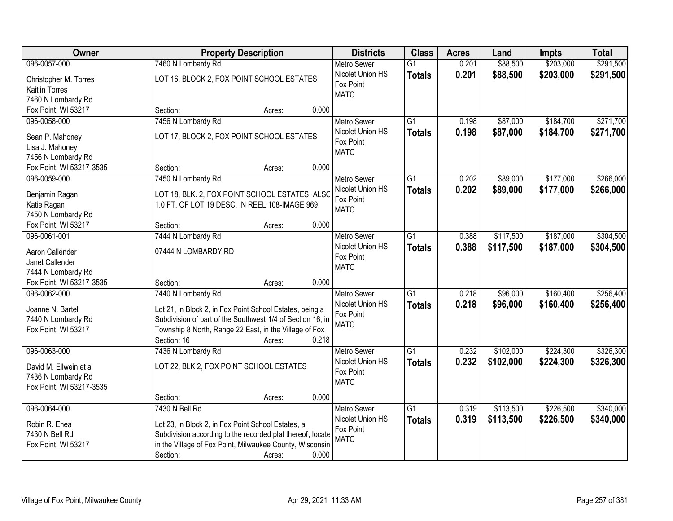| \$203,000<br>\$291,500<br>096-0057-000<br>7460 N Lombardy Rd<br>\$88,500<br>$\overline{G1}$<br>0.201<br><b>Metro Sewer</b><br>Nicolet Union HS<br>0.201<br>\$88,500<br>\$203,000<br>\$291,500<br><b>Totals</b><br>LOT 16, BLOCK 2, FOX POINT SCHOOL ESTATES<br>Christopher M. Torres<br>Fox Point<br><b>Kaitlin Torres</b><br><b>MATC</b><br>7460 N Lombardy Rd<br>0.000<br>Fox Point, WI 53217<br>Section:<br>Acres:<br>$\overline{G1}$<br>\$87,000<br>\$184,700<br>096-0058-000<br>7456 N Lombardy Rd<br>0.198<br><b>Metro Sewer</b><br>Nicolet Union HS<br>0.198<br>\$87,000<br>\$184,700<br><b>Totals</b><br>LOT 17, BLOCK 2, FOX POINT SCHOOL ESTATES<br>Sean P. Mahoney<br>Fox Point<br>Lisa J. Mahoney<br><b>MATC</b><br>7456 N Lombardy Rd<br>0.000<br>Fox Point, WI 53217-3535<br>Section:<br>Acres:<br>096-0059-000<br>7450 N Lombardy Rd<br>G1<br>0.202<br>\$89,000<br>\$177,000<br>Metro Sewer<br>Nicolet Union HS<br>\$89,000<br>0.202<br>\$177,000<br><b>Totals</b><br>LOT 18, BLK. 2, FOX POINT SCHOOL ESTATES, ALSC<br>Benjamin Ragan<br>Fox Point<br>1.0 FT. OF LOT 19 DESC. IN REEL 108-IMAGE 969.<br>Katie Ragan<br><b>MATC</b><br>7450 N Lombardy Rd<br>Fox Point, WI 53217<br>0.000<br>Section:<br>Acres:<br>096-0061-001<br>\$117,500<br>\$187,000<br>7444 N Lombardy Rd<br><b>Metro Sewer</b><br>G1<br>0.388<br>Nicolet Union HS<br>0.388<br>\$117,500<br>\$187,000<br><b>Totals</b><br>Aaron Callender<br>07444 N LOMBARDY RD<br>Fox Point<br>Janet Callender<br><b>MATC</b><br>7444 N Lombardy Rd<br>Fox Point, WI 53217-3535<br>0.000<br>Section:<br>Acres:<br>\$160,400<br>096-0062-000<br>7440 N Lombardy Rd<br>$\overline{G1}$<br>0.218<br>\$96,000<br><b>Metro Sewer</b><br>0.218<br>\$96,000<br>\$160,400<br>Nicolet Union HS<br><b>Totals</b><br>Joanne N. Bartel<br>Lot 21, in Block 2, in Fox Point School Estates, being a<br>Fox Point<br>Subdivision of part of the Southwest 1/4 of Section 16, in<br>7440 N Lombardy Rd<br><b>MATC</b><br>Township 8 North, Range 22 East, in the Village of Fox<br>Fox Point, WI 53217<br>Section: 16<br>0.218<br>Acres:<br>$\overline{G1}$<br>\$224,300<br>096-0063-000<br>7436 N Lombardy Rd<br>0.232<br>\$102,000<br><b>Metro Sewer</b><br>Nicolet Union HS<br>0.232<br>\$102,000<br>\$224,300<br><b>Totals</b><br>LOT 22, BLK 2, FOX POINT SCHOOL ESTATES<br>David M. Ellwein et al<br>Fox Point<br>7436 N Lombardy Rd | Owner | <b>Property Description</b> | <b>Districts</b> | <b>Class</b> | <b>Acres</b> | Land | Impts | <b>Total</b> |
|----------------------------------------------------------------------------------------------------------------------------------------------------------------------------------------------------------------------------------------------------------------------------------------------------------------------------------------------------------------------------------------------------------------------------------------------------------------------------------------------------------------------------------------------------------------------------------------------------------------------------------------------------------------------------------------------------------------------------------------------------------------------------------------------------------------------------------------------------------------------------------------------------------------------------------------------------------------------------------------------------------------------------------------------------------------------------------------------------------------------------------------------------------------------------------------------------------------------------------------------------------------------------------------------------------------------------------------------------------------------------------------------------------------------------------------------------------------------------------------------------------------------------------------------------------------------------------------------------------------------------------------------------------------------------------------------------------------------------------------------------------------------------------------------------------------------------------------------------------------------------------------------------------------------------------------------------------------------------------------------------------------------------------------------------------------------------------------------------------------------------------------------------------------------------------------------------------------------------------------------------------------------------------------------------------------------------------------------------------------------------------------------------|-------|-----------------------------|------------------|--------------|--------------|------|-------|--------------|
|                                                                                                                                                                                                                                                                                                                                                                                                                                                                                                                                                                                                                                                                                                                                                                                                                                                                                                                                                                                                                                                                                                                                                                                                                                                                                                                                                                                                                                                                                                                                                                                                                                                                                                                                                                                                                                                                                                                                                                                                                                                                                                                                                                                                                                                                                                                                                                                                    |       |                             |                  |              |              |      |       |              |
|                                                                                                                                                                                                                                                                                                                                                                                                                                                                                                                                                                                                                                                                                                                                                                                                                                                                                                                                                                                                                                                                                                                                                                                                                                                                                                                                                                                                                                                                                                                                                                                                                                                                                                                                                                                                                                                                                                                                                                                                                                                                                                                                                                                                                                                                                                                                                                                                    |       |                             |                  |              |              |      |       |              |
| \$271,700<br>\$271,700<br>\$304,500<br>\$304,500<br>\$256,400<br>\$326,300                                                                                                                                                                                                                                                                                                                                                                                                                                                                                                                                                                                                                                                                                                                                                                                                                                                                                                                                                                                                                                                                                                                                                                                                                                                                                                                                                                                                                                                                                                                                                                                                                                                                                                                                                                                                                                                                                                                                                                                                                                                                                                                                                                                                                                                                                                                         |       |                             |                  |              |              |      |       |              |
|                                                                                                                                                                                                                                                                                                                                                                                                                                                                                                                                                                                                                                                                                                                                                                                                                                                                                                                                                                                                                                                                                                                                                                                                                                                                                                                                                                                                                                                                                                                                                                                                                                                                                                                                                                                                                                                                                                                                                                                                                                                                                                                                                                                                                                                                                                                                                                                                    |       |                             |                  |              |              |      |       |              |
|                                                                                                                                                                                                                                                                                                                                                                                                                                                                                                                                                                                                                                                                                                                                                                                                                                                                                                                                                                                                                                                                                                                                                                                                                                                                                                                                                                                                                                                                                                                                                                                                                                                                                                                                                                                                                                                                                                                                                                                                                                                                                                                                                                                                                                                                                                                                                                                                    |       |                             |                  |              |              |      |       |              |
|                                                                                                                                                                                                                                                                                                                                                                                                                                                                                                                                                                                                                                                                                                                                                                                                                                                                                                                                                                                                                                                                                                                                                                                                                                                                                                                                                                                                                                                                                                                                                                                                                                                                                                                                                                                                                                                                                                                                                                                                                                                                                                                                                                                                                                                                                                                                                                                                    |       |                             |                  |              |              |      |       |              |
|                                                                                                                                                                                                                                                                                                                                                                                                                                                                                                                                                                                                                                                                                                                                                                                                                                                                                                                                                                                                                                                                                                                                                                                                                                                                                                                                                                                                                                                                                                                                                                                                                                                                                                                                                                                                                                                                                                                                                                                                                                                                                                                                                                                                                                                                                                                                                                                                    |       |                             |                  |              |              |      |       |              |
|                                                                                                                                                                                                                                                                                                                                                                                                                                                                                                                                                                                                                                                                                                                                                                                                                                                                                                                                                                                                                                                                                                                                                                                                                                                                                                                                                                                                                                                                                                                                                                                                                                                                                                                                                                                                                                                                                                                                                                                                                                                                                                                                                                                                                                                                                                                                                                                                    |       |                             |                  |              |              |      |       |              |
|                                                                                                                                                                                                                                                                                                                                                                                                                                                                                                                                                                                                                                                                                                                                                                                                                                                                                                                                                                                                                                                                                                                                                                                                                                                                                                                                                                                                                                                                                                                                                                                                                                                                                                                                                                                                                                                                                                                                                                                                                                                                                                                                                                                                                                                                                                                                                                                                    |       |                             |                  |              |              |      |       |              |
| \$266,000<br>\$266,000<br>\$256,400<br>\$326,300                                                                                                                                                                                                                                                                                                                                                                                                                                                                                                                                                                                                                                                                                                                                                                                                                                                                                                                                                                                                                                                                                                                                                                                                                                                                                                                                                                                                                                                                                                                                                                                                                                                                                                                                                                                                                                                                                                                                                                                                                                                                                                                                                                                                                                                                                                                                                   |       |                             |                  |              |              |      |       |              |
|                                                                                                                                                                                                                                                                                                                                                                                                                                                                                                                                                                                                                                                                                                                                                                                                                                                                                                                                                                                                                                                                                                                                                                                                                                                                                                                                                                                                                                                                                                                                                                                                                                                                                                                                                                                                                                                                                                                                                                                                                                                                                                                                                                                                                                                                                                                                                                                                    |       |                             |                  |              |              |      |       |              |
|                                                                                                                                                                                                                                                                                                                                                                                                                                                                                                                                                                                                                                                                                                                                                                                                                                                                                                                                                                                                                                                                                                                                                                                                                                                                                                                                                                                                                                                                                                                                                                                                                                                                                                                                                                                                                                                                                                                                                                                                                                                                                                                                                                                                                                                                                                                                                                                                    |       |                             |                  |              |              |      |       |              |
|                                                                                                                                                                                                                                                                                                                                                                                                                                                                                                                                                                                                                                                                                                                                                                                                                                                                                                                                                                                                                                                                                                                                                                                                                                                                                                                                                                                                                                                                                                                                                                                                                                                                                                                                                                                                                                                                                                                                                                                                                                                                                                                                                                                                                                                                                                                                                                                                    |       |                             |                  |              |              |      |       |              |
|                                                                                                                                                                                                                                                                                                                                                                                                                                                                                                                                                                                                                                                                                                                                                                                                                                                                                                                                                                                                                                                                                                                                                                                                                                                                                                                                                                                                                                                                                                                                                                                                                                                                                                                                                                                                                                                                                                                                                                                                                                                                                                                                                                                                                                                                                                                                                                                                    |       |                             |                  |              |              |      |       |              |
|                                                                                                                                                                                                                                                                                                                                                                                                                                                                                                                                                                                                                                                                                                                                                                                                                                                                                                                                                                                                                                                                                                                                                                                                                                                                                                                                                                                                                                                                                                                                                                                                                                                                                                                                                                                                                                                                                                                                                                                                                                                                                                                                                                                                                                                                                                                                                                                                    |       |                             |                  |              |              |      |       |              |
|                                                                                                                                                                                                                                                                                                                                                                                                                                                                                                                                                                                                                                                                                                                                                                                                                                                                                                                                                                                                                                                                                                                                                                                                                                                                                                                                                                                                                                                                                                                                                                                                                                                                                                                                                                                                                                                                                                                                                                                                                                                                                                                                                                                                                                                                                                                                                                                                    |       |                             |                  |              |              |      |       |              |
|                                                                                                                                                                                                                                                                                                                                                                                                                                                                                                                                                                                                                                                                                                                                                                                                                                                                                                                                                                                                                                                                                                                                                                                                                                                                                                                                                                                                                                                                                                                                                                                                                                                                                                                                                                                                                                                                                                                                                                                                                                                                                                                                                                                                                                                                                                                                                                                                    |       |                             |                  |              |              |      |       |              |
|                                                                                                                                                                                                                                                                                                                                                                                                                                                                                                                                                                                                                                                                                                                                                                                                                                                                                                                                                                                                                                                                                                                                                                                                                                                                                                                                                                                                                                                                                                                                                                                                                                                                                                                                                                                                                                                                                                                                                                                                                                                                                                                                                                                                                                                                                                                                                                                                    |       |                             |                  |              |              |      |       |              |
|                                                                                                                                                                                                                                                                                                                                                                                                                                                                                                                                                                                                                                                                                                                                                                                                                                                                                                                                                                                                                                                                                                                                                                                                                                                                                                                                                                                                                                                                                                                                                                                                                                                                                                                                                                                                                                                                                                                                                                                                                                                                                                                                                                                                                                                                                                                                                                                                    |       |                             |                  |              |              |      |       |              |
|                                                                                                                                                                                                                                                                                                                                                                                                                                                                                                                                                                                                                                                                                                                                                                                                                                                                                                                                                                                                                                                                                                                                                                                                                                                                                                                                                                                                                                                                                                                                                                                                                                                                                                                                                                                                                                                                                                                                                                                                                                                                                                                                                                                                                                                                                                                                                                                                    |       |                             |                  |              |              |      |       |              |
|                                                                                                                                                                                                                                                                                                                                                                                                                                                                                                                                                                                                                                                                                                                                                                                                                                                                                                                                                                                                                                                                                                                                                                                                                                                                                                                                                                                                                                                                                                                                                                                                                                                                                                                                                                                                                                                                                                                                                                                                                                                                                                                                                                                                                                                                                                                                                                                                    |       |                             |                  |              |              |      |       |              |
|                                                                                                                                                                                                                                                                                                                                                                                                                                                                                                                                                                                                                                                                                                                                                                                                                                                                                                                                                                                                                                                                                                                                                                                                                                                                                                                                                                                                                                                                                                                                                                                                                                                                                                                                                                                                                                                                                                                                                                                                                                                                                                                                                                                                                                                                                                                                                                                                    |       |                             |                  |              |              |      |       |              |
|                                                                                                                                                                                                                                                                                                                                                                                                                                                                                                                                                                                                                                                                                                                                                                                                                                                                                                                                                                                                                                                                                                                                                                                                                                                                                                                                                                                                                                                                                                                                                                                                                                                                                                                                                                                                                                                                                                                                                                                                                                                                                                                                                                                                                                                                                                                                                                                                    |       |                             |                  |              |              |      |       |              |
|                                                                                                                                                                                                                                                                                                                                                                                                                                                                                                                                                                                                                                                                                                                                                                                                                                                                                                                                                                                                                                                                                                                                                                                                                                                                                                                                                                                                                                                                                                                                                                                                                                                                                                                                                                                                                                                                                                                                                                                                                                                                                                                                                                                                                                                                                                                                                                                                    |       |                             |                  |              |              |      |       |              |
|                                                                                                                                                                                                                                                                                                                                                                                                                                                                                                                                                                                                                                                                                                                                                                                                                                                                                                                                                                                                                                                                                                                                                                                                                                                                                                                                                                                                                                                                                                                                                                                                                                                                                                                                                                                                                                                                                                                                                                                                                                                                                                                                                                                                                                                                                                                                                                                                    |       |                             |                  |              |              |      |       |              |
|                                                                                                                                                                                                                                                                                                                                                                                                                                                                                                                                                                                                                                                                                                                                                                                                                                                                                                                                                                                                                                                                                                                                                                                                                                                                                                                                                                                                                                                                                                                                                                                                                                                                                                                                                                                                                                                                                                                                                                                                                                                                                                                                                                                                                                                                                                                                                                                                    |       |                             |                  |              |              |      |       |              |
|                                                                                                                                                                                                                                                                                                                                                                                                                                                                                                                                                                                                                                                                                                                                                                                                                                                                                                                                                                                                                                                                                                                                                                                                                                                                                                                                                                                                                                                                                                                                                                                                                                                                                                                                                                                                                                                                                                                                                                                                                                                                                                                                                                                                                                                                                                                                                                                                    |       |                             |                  |              |              |      |       |              |
|                                                                                                                                                                                                                                                                                                                                                                                                                                                                                                                                                                                                                                                                                                                                                                                                                                                                                                                                                                                                                                                                                                                                                                                                                                                                                                                                                                                                                                                                                                                                                                                                                                                                                                                                                                                                                                                                                                                                                                                                                                                                                                                                                                                                                                                                                                                                                                                                    |       |                             |                  |              |              |      |       |              |
|                                                                                                                                                                                                                                                                                                                                                                                                                                                                                                                                                                                                                                                                                                                                                                                                                                                                                                                                                                                                                                                                                                                                                                                                                                                                                                                                                                                                                                                                                                                                                                                                                                                                                                                                                                                                                                                                                                                                                                                                                                                                                                                                                                                                                                                                                                                                                                                                    |       |                             |                  |              |              |      |       |              |
|                                                                                                                                                                                                                                                                                                                                                                                                                                                                                                                                                                                                                                                                                                                                                                                                                                                                                                                                                                                                                                                                                                                                                                                                                                                                                                                                                                                                                                                                                                                                                                                                                                                                                                                                                                                                                                                                                                                                                                                                                                                                                                                                                                                                                                                                                                                                                                                                    |       |                             |                  |              |              |      |       |              |
|                                                                                                                                                                                                                                                                                                                                                                                                                                                                                                                                                                                                                                                                                                                                                                                                                                                                                                                                                                                                                                                                                                                                                                                                                                                                                                                                                                                                                                                                                                                                                                                                                                                                                                                                                                                                                                                                                                                                                                                                                                                                                                                                                                                                                                                                                                                                                                                                    |       |                             | <b>MATC</b>      |              |              |      |       |              |
| Fox Point, WI 53217-3535                                                                                                                                                                                                                                                                                                                                                                                                                                                                                                                                                                                                                                                                                                                                                                                                                                                                                                                                                                                                                                                                                                                                                                                                                                                                                                                                                                                                                                                                                                                                                                                                                                                                                                                                                                                                                                                                                                                                                                                                                                                                                                                                                                                                                                                                                                                                                                           |       |                             |                  |              |              |      |       |              |
| 0.000<br>Section:<br>Acres:                                                                                                                                                                                                                                                                                                                                                                                                                                                                                                                                                                                                                                                                                                                                                                                                                                                                                                                                                                                                                                                                                                                                                                                                                                                                                                                                                                                                                                                                                                                                                                                                                                                                                                                                                                                                                                                                                                                                                                                                                                                                                                                                                                                                                                                                                                                                                                        |       |                             |                  |              |              |      |       |              |
| 096-0064-000<br>7430 N Bell Rd<br>\$113,500<br>\$226,500<br>\$340,000<br>$\overline{G1}$<br>0.319<br><b>Metro Sewer</b>                                                                                                                                                                                                                                                                                                                                                                                                                                                                                                                                                                                                                                                                                                                                                                                                                                                                                                                                                                                                                                                                                                                                                                                                                                                                                                                                                                                                                                                                                                                                                                                                                                                                                                                                                                                                                                                                                                                                                                                                                                                                                                                                                                                                                                                                            |       |                             |                  |              |              |      |       |              |
| Nicolet Union HS<br>0.319<br>\$226,500<br>\$340,000<br>\$113,500<br><b>Totals</b><br>Robin R. Enea<br>Lot 23, in Block 2, in Fox Point School Estates, a                                                                                                                                                                                                                                                                                                                                                                                                                                                                                                                                                                                                                                                                                                                                                                                                                                                                                                                                                                                                                                                                                                                                                                                                                                                                                                                                                                                                                                                                                                                                                                                                                                                                                                                                                                                                                                                                                                                                                                                                                                                                                                                                                                                                                                           |       |                             |                  |              |              |      |       |              |
| Fox Point<br>7430 N Bell Rd<br>Subdivision according to the recorded plat thereof, locate                                                                                                                                                                                                                                                                                                                                                                                                                                                                                                                                                                                                                                                                                                                                                                                                                                                                                                                                                                                                                                                                                                                                                                                                                                                                                                                                                                                                                                                                                                                                                                                                                                                                                                                                                                                                                                                                                                                                                                                                                                                                                                                                                                                                                                                                                                          |       |                             |                  |              |              |      |       |              |
| <b>MATC</b><br>in the Village of Fox Point, Milwaukee County, Wisconsin<br>Fox Point, WI 53217                                                                                                                                                                                                                                                                                                                                                                                                                                                                                                                                                                                                                                                                                                                                                                                                                                                                                                                                                                                                                                                                                                                                                                                                                                                                                                                                                                                                                                                                                                                                                                                                                                                                                                                                                                                                                                                                                                                                                                                                                                                                                                                                                                                                                                                                                                     |       |                             |                  |              |              |      |       |              |
| 0.000<br>Section:<br>Acres:                                                                                                                                                                                                                                                                                                                                                                                                                                                                                                                                                                                                                                                                                                                                                                                                                                                                                                                                                                                                                                                                                                                                                                                                                                                                                                                                                                                                                                                                                                                                                                                                                                                                                                                                                                                                                                                                                                                                                                                                                                                                                                                                                                                                                                                                                                                                                                        |       |                             |                  |              |              |      |       |              |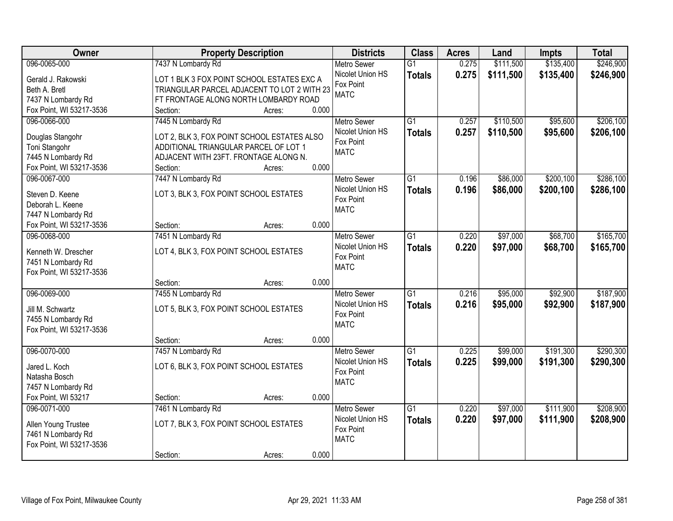| Owner                    |                                             | <b>Property Description</b> |       | <b>Districts</b>   | <b>Class</b>    | <b>Acres</b> | Land      | Impts     | <b>Total</b> |
|--------------------------|---------------------------------------------|-----------------------------|-------|--------------------|-----------------|--------------|-----------|-----------|--------------|
| 096-0065-000             | 7437 N Lombardy Rd                          |                             |       | <b>Metro Sewer</b> | $\overline{G1}$ | 0.275        | \$111,500 | \$135,400 | \$246,900    |
| Gerald J. Rakowski       | LOT 1 BLK 3 FOX POINT SCHOOL ESTATES EXC A  |                             |       | Nicolet Union HS   | <b>Totals</b>   | 0.275        | \$111,500 | \$135,400 | \$246,900    |
| Beth A. Bretl            | TRIANGULAR PARCEL ADJACENT TO LOT 2 WITH 23 |                             |       | Fox Point          |                 |              |           |           |              |
| 7437 N Lombardy Rd       | FT FRONTAGE ALONG NORTH LOMBARDY ROAD       |                             |       | <b>MATC</b>        |                 |              |           |           |              |
| Fox Point, WI 53217-3536 | Section:                                    | Acres:                      | 0.000 |                    |                 |              |           |           |              |
| 096-0066-000             | 7445 N Lombardy Rd                          |                             |       | <b>Metro Sewer</b> | $\overline{G1}$ | 0.257        | \$110,500 | \$95,600  | \$206,100    |
|                          |                                             |                             |       | Nicolet Union HS   | <b>Totals</b>   | 0.257        | \$110,500 | \$95,600  | \$206,100    |
| Douglas Stangohr         | LOT 2, BLK 3, FOX POINT SCHOOL ESTATES ALSO |                             |       | Fox Point          |                 |              |           |           |              |
| Toni Stangohr            | ADDITIONAL TRIANGULAR PARCEL OF LOT 1       |                             |       | <b>MATC</b>        |                 |              |           |           |              |
| 7445 N Lombardy Rd       | ADJACENT WITH 23FT. FRONTAGE ALONG N.       |                             |       |                    |                 |              |           |           |              |
| Fox Point, WI 53217-3536 | Section:                                    | Acres:                      | 0.000 |                    |                 |              |           |           |              |
| 096-0067-000             | 7447 N Lombardy Rd                          |                             |       | Metro Sewer        | G1              | 0.196        | \$86,000  | \$200,100 | \$286,100    |
| Steven D. Keene          | LOT 3, BLK 3, FOX POINT SCHOOL ESTATES      |                             |       | Nicolet Union HS   | <b>Totals</b>   | 0.196        | \$86,000  | \$200,100 | \$286,100    |
| Deborah L. Keene         |                                             |                             |       | Fox Point          |                 |              |           |           |              |
| 7447 N Lombardy Rd       |                                             |                             |       | <b>MATC</b>        |                 |              |           |           |              |
| Fox Point, WI 53217-3536 | Section:                                    | Acres:                      | 0.000 |                    |                 |              |           |           |              |
| 096-0068-000             | 7451 N Lombardy Rd                          |                             |       | <b>Metro Sewer</b> | G1              | 0.220        | \$97,000  | \$68,700  | \$165,700    |
|                          |                                             |                             |       | Nicolet Union HS   | <b>Totals</b>   | 0.220        | \$97,000  | \$68,700  | \$165,700    |
| Kenneth W. Drescher      | LOT 4, BLK 3, FOX POINT SCHOOL ESTATES      |                             |       | Fox Point          |                 |              |           |           |              |
| 7451 N Lombardy Rd       |                                             |                             |       | <b>MATC</b>        |                 |              |           |           |              |
| Fox Point, WI 53217-3536 |                                             |                             |       |                    |                 |              |           |           |              |
|                          | Section:                                    | Acres:                      | 0.000 |                    |                 |              |           |           |              |
| 096-0069-000             | 7455 N Lombardy Rd                          |                             |       | Metro Sewer        | $\overline{G1}$ | 0.216        | \$95,000  | \$92,900  | \$187,900    |
| Jill M. Schwartz         | LOT 5, BLK 3, FOX POINT SCHOOL ESTATES      |                             |       | Nicolet Union HS   | <b>Totals</b>   | 0.216        | \$95,000  | \$92,900  | \$187,900    |
| 7455 N Lombardy Rd       |                                             |                             |       | Fox Point          |                 |              |           |           |              |
| Fox Point, WI 53217-3536 |                                             |                             |       | <b>MATC</b>        |                 |              |           |           |              |
|                          | Section:                                    | Acres:                      | 0.000 |                    |                 |              |           |           |              |
| 096-0070-000             | 7457 N Lombardy Rd                          |                             |       | <b>Metro Sewer</b> | $\overline{G1}$ | 0.225        | \$99,000  | \$191,300 | \$290,300    |
|                          |                                             |                             |       | Nicolet Union HS   | <b>Totals</b>   | 0.225        | \$99,000  | \$191,300 | \$290,300    |
| Jared L. Koch            | LOT 6, BLK 3, FOX POINT SCHOOL ESTATES      |                             |       | Fox Point          |                 |              |           |           |              |
| Natasha Bosch            |                                             |                             |       | <b>MATC</b>        |                 |              |           |           |              |
| 7457 N Lombardy Rd       |                                             |                             |       |                    |                 |              |           |           |              |
| Fox Point, WI 53217      | Section:                                    | Acres:                      | 0.000 |                    |                 |              |           |           |              |
| 096-0071-000             | 7461 N Lombardy Rd                          |                             |       | <b>Metro Sewer</b> | $\overline{G1}$ | 0.220        | \$97,000  | \$111,900 | \$208,900    |
| Allen Young Trustee      | LOT 7, BLK 3, FOX POINT SCHOOL ESTATES      |                             |       | Nicolet Union HS   | <b>Totals</b>   | 0.220        | \$97,000  | \$111,900 | \$208,900    |
| 7461 N Lombardy Rd       |                                             |                             |       | Fox Point          |                 |              |           |           |              |
| Fox Point, WI 53217-3536 |                                             |                             |       | <b>MATC</b>        |                 |              |           |           |              |
|                          | Section:                                    | Acres:                      | 0.000 |                    |                 |              |           |           |              |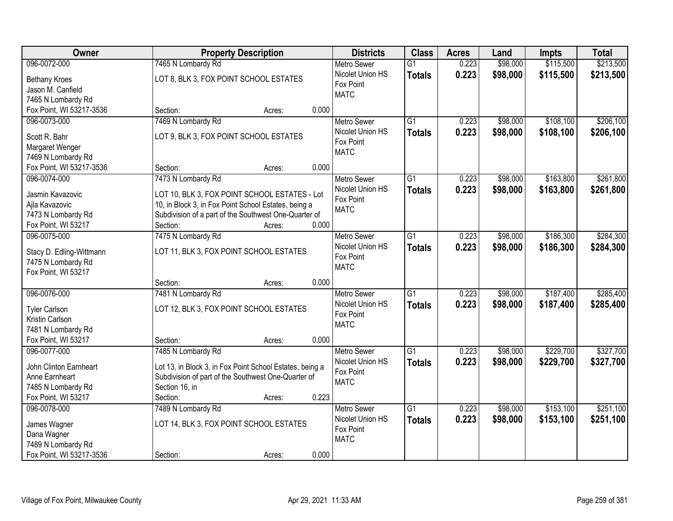| Owner                    | <b>Property Description</b>                              | <b>Districts</b>   | <b>Class</b>    | <b>Acres</b> | Land     | Impts     | <b>Total</b> |
|--------------------------|----------------------------------------------------------|--------------------|-----------------|--------------|----------|-----------|--------------|
| 096-0072-000             | 7465 N Lombardy Rd                                       | <b>Metro Sewer</b> | $\overline{G1}$ | 0.223        | \$98,000 | \$115,500 | \$213,500    |
| <b>Bethany Kroes</b>     | LOT 8, BLK 3, FOX POINT SCHOOL ESTATES                   | Nicolet Union HS   | <b>Totals</b>   | 0.223        | \$98,000 | \$115,500 | \$213,500    |
| Jason M. Canfield        |                                                          | Fox Point          |                 |              |          |           |              |
| 7465 N Lombardy Rd       |                                                          | <b>MATC</b>        |                 |              |          |           |              |
| Fox Point, WI 53217-3536 | 0.000<br>Section:<br>Acres:                              |                    |                 |              |          |           |              |
| 096-0073-000             | 7469 N Lombardy Rd                                       | <b>Metro Sewer</b> | $\overline{G1}$ | 0.223        | \$98,000 | \$108,100 | \$206,100    |
|                          |                                                          | Nicolet Union HS   | <b>Totals</b>   | 0.223        | \$98,000 | \$108,100 | \$206,100    |
| Scott R. Bahr            | LOT 9, BLK 3, FOX POINT SCHOOL ESTATES                   | Fox Point          |                 |              |          |           |              |
| Margaret Wenger          |                                                          | <b>MATC</b>        |                 |              |          |           |              |
| 7469 N Lombardy Rd       |                                                          |                    |                 |              |          |           |              |
| Fox Point, WI 53217-3536 | 0.000<br>Section:<br>Acres:                              |                    |                 |              |          |           |              |
| 096-0074-000             | 7473 N Lombardy Rd                                       | <b>Metro Sewer</b> | G1              | 0.223        | \$98,000 | \$163,800 | \$261,800    |
| Jasmin Kavazovic         | LOT 10, BLK 3, FOX POINT SCHOOL ESTATES - Lot            | Nicolet Union HS   | <b>Totals</b>   | 0.223        | \$98,000 | \$163,800 | \$261,800    |
| Ajla Kavazovic           | 10, in Block 3, in Fox Point School Estates, being a     | Fox Point          |                 |              |          |           |              |
| 7473 N Lombardy Rd       | Subdivision of a part of the Southwest One-Quarter of    | <b>MATC</b>        |                 |              |          |           |              |
| Fox Point, WI 53217      | 0.000<br>Section:<br>Acres:                              |                    |                 |              |          |           |              |
| 096-0075-000             | 7475 N Lombardy Rd                                       | <b>Metro Sewer</b> | G1              | 0.223        | \$98,000 | \$186,300 | \$284,300    |
|                          |                                                          | Nicolet Union HS   | <b>Totals</b>   | 0.223        | \$98,000 | \$186,300 | \$284,300    |
| Stacy D. Edling-Wittmann | LOT 11, BLK 3, FOX POINT SCHOOL ESTATES                  | Fox Point          |                 |              |          |           |              |
| 7475 N Lombardy Rd       |                                                          | <b>MATC</b>        |                 |              |          |           |              |
| Fox Point, WI 53217      |                                                          |                    |                 |              |          |           |              |
|                          | 0.000<br>Section:<br>Acres:                              |                    |                 |              |          |           |              |
| 096-0076-000             | 7481 N Lombardy Rd                                       | <b>Metro Sewer</b> | $\overline{G1}$ | 0.223        | \$98,000 | \$187,400 | \$285,400    |
| <b>Tyler Carlson</b>     | LOT 12, BLK 3, FOX POINT SCHOOL ESTATES                  | Nicolet Union HS   | <b>Totals</b>   | 0.223        | \$98,000 | \$187,400 | \$285,400    |
| Kristin Carlson          |                                                          | Fox Point          |                 |              |          |           |              |
| 7481 N Lombardy Rd       |                                                          | <b>MATC</b>        |                 |              |          |           |              |
| Fox Point, WI 53217      | 0.000<br>Section:<br>Acres:                              |                    |                 |              |          |           |              |
| 096-0077-000             | 7485 N Lombardy Rd                                       | Metro Sewer        | $\overline{G1}$ | 0.223        | \$98,000 | \$229,700 | \$327,700    |
|                          |                                                          | Nicolet Union HS   | <b>Totals</b>   | 0.223        | \$98,000 | \$229,700 | \$327,700    |
| John Clinton Earnheart   | Lot 13, in Block 3, in Fox Point School Estates, being a | Fox Point          |                 |              |          |           |              |
| Anne Earnheart           | Subdivision of part of the Southwest One-Quarter of      | <b>MATC</b>        |                 |              |          |           |              |
| 7485 N Lombardy Rd       | Section 16, in                                           |                    |                 |              |          |           |              |
| Fox Point, WI 53217      | 0.223<br>Section:<br>Acres:                              |                    |                 |              |          |           |              |
| 096-0078-000             | 7489 N Lombardy Rd                                       | <b>Metro Sewer</b> | $\overline{G1}$ | 0.223        | \$98,000 | \$153,100 | \$251,100    |
| James Wagner             | LOT 14, BLK 3, FOX POINT SCHOOL ESTATES                  | Nicolet Union HS   | <b>Totals</b>   | 0.223        | \$98,000 | \$153,100 | \$251,100    |
| Dana Wagner              |                                                          | Fox Point          |                 |              |          |           |              |
| 7489 N Lombardy Rd       |                                                          | <b>MATC</b>        |                 |              |          |           |              |
| Fox Point, WI 53217-3536 | 0.000<br>Section:<br>Acres:                              |                    |                 |              |          |           |              |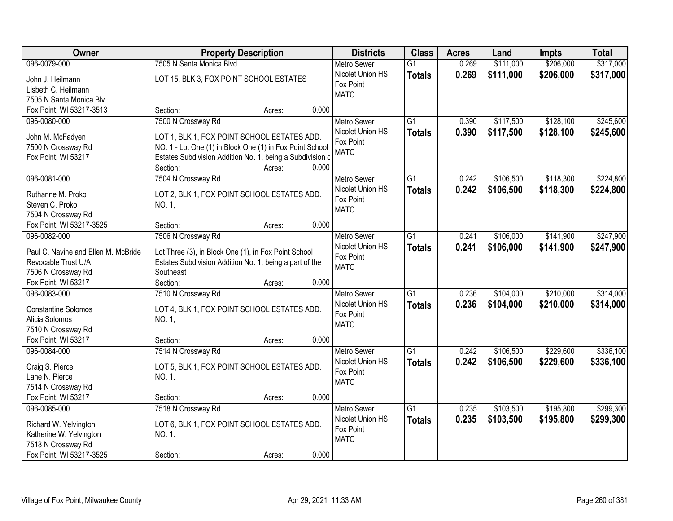| Owner                               | <b>Property Description</b>                               |        |       | <b>Districts</b>   | <b>Class</b>    | <b>Acres</b> | Land      | Impts     | <b>Total</b> |
|-------------------------------------|-----------------------------------------------------------|--------|-------|--------------------|-----------------|--------------|-----------|-----------|--------------|
| 096-0079-000                        | 7505 N Santa Monica Blvd                                  |        |       | <b>Metro Sewer</b> | $\overline{G1}$ | 0.269        | \$111,000 | \$206,000 | \$317,000    |
| John J. Heilmann                    | LOT 15, BLK 3, FOX POINT SCHOOL ESTATES                   |        |       | Nicolet Union HS   | <b>Totals</b>   | 0.269        | \$111,000 | \$206,000 | \$317,000    |
| Lisbeth C. Heilmann                 |                                                           |        |       | Fox Point          |                 |              |           |           |              |
| 7505 N Santa Monica Blv             |                                                           |        |       | <b>MATC</b>        |                 |              |           |           |              |
| Fox Point, WI 53217-3513            | Section:                                                  | Acres: | 0.000 |                    |                 |              |           |           |              |
| 096-0080-000                        | 7500 N Crossway Rd                                        |        |       | <b>Metro Sewer</b> | $\overline{G1}$ | 0.390        | \$117,500 | \$128,100 | \$245,600    |
|                                     |                                                           |        |       | Nicolet Union HS   | <b>Totals</b>   | 0.390        | \$117,500 | \$128,100 | \$245,600    |
| John M. McFadyen                    | LOT 1, BLK 1, FOX POINT SCHOOL ESTATES ADD.               |        |       | Fox Point          |                 |              |           |           |              |
| 7500 N Crossway Rd                  | NO. 1 - Lot One (1) in Block One (1) in Fox Point School  |        |       | <b>MATC</b>        |                 |              |           |           |              |
| Fox Point, WI 53217                 | Estates Subdivision Addition No. 1, being a Subdivision c |        |       |                    |                 |              |           |           |              |
|                                     | Section:                                                  | Acres: | 0.000 |                    |                 |              |           |           |              |
| 096-0081-000                        | 7504 N Crossway Rd                                        |        |       | Metro Sewer        | $\overline{G1}$ | 0.242        | \$106,500 | \$118,300 | \$224,800    |
| Ruthanne M. Proko                   | LOT 2, BLK 1, FOX POINT SCHOOL ESTATES ADD.               |        |       | Nicolet Union HS   | <b>Totals</b>   | 0.242        | \$106,500 | \$118,300 | \$224,800    |
| Steven C. Proko                     | NO. 1,                                                    |        |       | Fox Point          |                 |              |           |           |              |
| 7504 N Crossway Rd                  |                                                           |        |       | <b>MATC</b>        |                 |              |           |           |              |
| Fox Point, WI 53217-3525            | Section:                                                  | Acres: | 0.000 |                    |                 |              |           |           |              |
| 096-0082-000                        | 7506 N Crossway Rd                                        |        |       | <b>Metro Sewer</b> | $\overline{G1}$ | 0.241        | \$106,000 | \$141,900 | \$247,900    |
|                                     |                                                           |        |       | Nicolet Union HS   | <b>Totals</b>   | 0.241        | \$106,000 | \$141,900 | \$247,900    |
| Paul C. Navine and Ellen M. McBride | Lot Three (3), in Block One (1), in Fox Point School      |        |       | Fox Point          |                 |              |           |           |              |
| Revocable Trust U/A                 | Estates Subdivision Addition No. 1, being a part of the   |        |       | <b>MATC</b>        |                 |              |           |           |              |
| 7506 N Crossway Rd                  | Southeast                                                 |        |       |                    |                 |              |           |           |              |
| Fox Point, WI 53217                 | Section:                                                  | Acres: | 0.000 |                    |                 |              |           |           |              |
| 096-0083-000                        | 7510 N Crossway Rd                                        |        |       | <b>Metro Sewer</b> | $\overline{G1}$ | 0.236        | \$104,000 | \$210,000 | \$314,000    |
| <b>Constantine Solomos</b>          | LOT 4, BLK 1, FOX POINT SCHOOL ESTATES ADD.               |        |       | Nicolet Union HS   | <b>Totals</b>   | 0.236        | \$104,000 | \$210,000 | \$314,000    |
| Alicia Solomos                      | NO. 1,                                                    |        |       | Fox Point          |                 |              |           |           |              |
| 7510 N Crossway Rd                  |                                                           |        |       | <b>MATC</b>        |                 |              |           |           |              |
| Fox Point, WI 53217                 | Section:                                                  | Acres: | 0.000 |                    |                 |              |           |           |              |
| 096-0084-000                        | 7514 N Crossway Rd                                        |        |       | Metro Sewer        | $\overline{G1}$ | 0.242        | \$106,500 | \$229,600 | \$336,100    |
|                                     |                                                           |        |       | Nicolet Union HS   | <b>Totals</b>   | 0.242        | \$106,500 | \$229,600 | \$336,100    |
| Craig S. Pierce                     | LOT 5, BLK 1, FOX POINT SCHOOL ESTATES ADD.               |        |       | Fox Point          |                 |              |           |           |              |
| Lane N. Pierce                      | NO. 1.                                                    |        |       | <b>MATC</b>        |                 |              |           |           |              |
| 7514 N Crossway Rd                  |                                                           |        |       |                    |                 |              |           |           |              |
| Fox Point, WI 53217                 | Section:                                                  | Acres: | 0.000 |                    |                 |              |           |           |              |
| 096-0085-000                        | 7518 N Crossway Rd                                        |        |       | <b>Metro Sewer</b> | $\overline{G1}$ | 0.235        | \$103,500 | \$195,800 | \$299,300    |
| Richard W. Yelvington               | LOT 6, BLK 1, FOX POINT SCHOOL ESTATES ADD.               |        |       | Nicolet Union HS   | <b>Totals</b>   | 0.235        | \$103,500 | \$195,800 | \$299,300    |
| Katherine W. Yelvington             | NO. 1.                                                    |        |       | Fox Point          |                 |              |           |           |              |
| 7518 N Crossway Rd                  |                                                           |        |       | <b>MATC</b>        |                 |              |           |           |              |
| Fox Point, WI 53217-3525            | Section:                                                  | Acres: | 0.000 |                    |                 |              |           |           |              |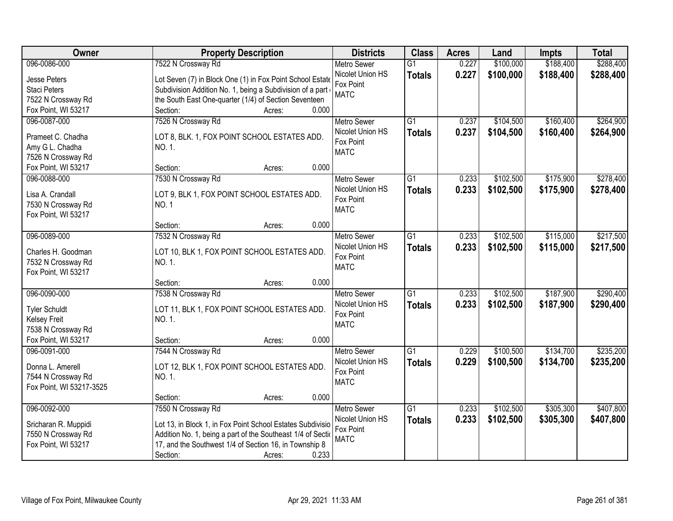| Owner                                 | <b>Property Description</b>                                  | <b>Districts</b>              | <b>Class</b>    | <b>Acres</b> | Land      | Impts     | <b>Total</b> |
|---------------------------------------|--------------------------------------------------------------|-------------------------------|-----------------|--------------|-----------|-----------|--------------|
| 096-0086-000                          | 7522 N Crossway Rd                                           | <b>Metro Sewer</b>            | $\overline{G1}$ | 0.227        | \$100,000 | \$188,400 | \$288,400    |
| Jesse Peters                          | Lot Seven (7) in Block One (1) in Fox Point School Estate    | Nicolet Union HS              | <b>Totals</b>   | 0.227        | \$100,000 | \$188,400 | \$288,400    |
| <b>Staci Peters</b>                   | Subdivision Addition No. 1, being a Subdivision of a part    | Fox Point                     |                 |              |           |           |              |
| 7522 N Crossway Rd                    | the South East One-quarter (1/4) of Section Seventeen        | <b>MATC</b>                   |                 |              |           |           |              |
| Fox Point, WI 53217                   | 0.000<br>Section:<br>Acres:                                  |                               |                 |              |           |           |              |
| 096-0087-000                          | 7526 N Crossway Rd                                           | <b>Metro Sewer</b>            | $\overline{G1}$ | 0.237        | \$104,500 | \$160,400 | \$264,900    |
|                                       |                                                              | Nicolet Union HS              | <b>Totals</b>   | 0.237        | \$104,500 | \$160,400 | \$264,900    |
| Prameet C. Chadha                     | LOT 8, BLK. 1, FOX POINT SCHOOL ESTATES ADD.                 | Fox Point                     |                 |              |           |           |              |
| Amy G L. Chadha<br>7526 N Crossway Rd | NO. 1.                                                       | <b>MATC</b>                   |                 |              |           |           |              |
| Fox Point, WI 53217                   | 0.000<br>Section:<br>Acres:                                  |                               |                 |              |           |           |              |
| 096-0088-000                          | 7530 N Crossway Rd                                           | <b>Metro Sewer</b>            | $\overline{G1}$ | 0.233        | \$102,500 | \$175,900 | \$278,400    |
|                                       |                                                              | Nicolet Union HS              | <b>Totals</b>   | 0.233        | \$102,500 | \$175,900 | \$278,400    |
| Lisa A. Crandall                      | LOT 9, BLK 1, FOX POINT SCHOOL ESTATES ADD.                  | Fox Point                     |                 |              |           |           |              |
| 7530 N Crossway Rd                    | <b>NO.1</b>                                                  | <b>MATC</b>                   |                 |              |           |           |              |
| Fox Point, WI 53217                   |                                                              |                               |                 |              |           |           |              |
|                                       | 0.000<br>Section:<br>Acres:                                  |                               |                 |              |           |           |              |
| 096-0089-000                          | 7532 N Crossway Rd                                           | <b>Metro Sewer</b>            | G1              | 0.233        | \$102,500 | \$115,000 | \$217,500    |
| Charles H. Goodman                    | LOT 10, BLK 1, FOX POINT SCHOOL ESTATES ADD.                 | Nicolet Union HS              | <b>Totals</b>   | 0.233        | \$102,500 | \$115,000 | \$217,500    |
| 7532 N Crossway Rd                    | NO. 1.                                                       | Fox Point                     |                 |              |           |           |              |
| Fox Point, WI 53217                   |                                                              | <b>MATC</b>                   |                 |              |           |           |              |
|                                       | 0.000<br>Section:<br>Acres:                                  |                               |                 |              |           |           |              |
| 096-0090-000                          | 7538 N Crossway Rd                                           | <b>Metro Sewer</b>            | $\overline{G1}$ | 0.233        | \$102,500 | \$187,900 | \$290,400    |
| <b>Tyler Schuldt</b>                  | LOT 11, BLK 1, FOX POINT SCHOOL ESTATES ADD.                 | Nicolet Union HS              | <b>Totals</b>   | 0.233        | \$102,500 | \$187,900 | \$290,400    |
| <b>Kelsey Freit</b>                   | NO. 1.                                                       | Fox Point                     |                 |              |           |           |              |
| 7538 N Crossway Rd                    |                                                              | <b>MATC</b>                   |                 |              |           |           |              |
| Fox Point, WI 53217                   | 0.000<br>Section:<br>Acres:                                  |                               |                 |              |           |           |              |
| 096-0091-000                          | 7544 N Crossway Rd                                           | Metro Sewer                   | G1              | 0.229        | \$100,500 | \$134,700 | \$235,200    |
|                                       |                                                              | Nicolet Union HS              | <b>Totals</b>   | 0.229        | \$100,500 | \$134,700 | \$235,200    |
| Donna L. Amerell                      | LOT 12, BLK 1, FOX POINT SCHOOL ESTATES ADD.                 | Fox Point                     |                 |              |           |           |              |
| 7544 N Crossway Rd                    | NO. 1.                                                       | <b>MATC</b>                   |                 |              |           |           |              |
| Fox Point, WI 53217-3525              |                                                              |                               |                 |              |           |           |              |
|                                       | 0.000<br>Section:<br>Acres:                                  |                               |                 |              |           |           |              |
| 096-0092-000                          | 7550 N Crossway Rd                                           | <b>Metro Sewer</b>            | $\overline{G1}$ | 0.233        | \$102,500 | \$305,300 | \$407,800    |
| Sricharan R. Muppidi                  | Lot 13, in Block 1, in Fox Point School Estates Subdivisio   | Nicolet Union HS<br>Fox Point | <b>Totals</b>   | 0.233        | \$102,500 | \$305,300 | \$407,800    |
| 7550 N Crossway Rd                    | Addition No. 1, being a part of the Southeast 1/4 of Section | <b>MATC</b>                   |                 |              |           |           |              |
| Fox Point, WI 53217                   | 17, and the Southwest 1/4 of Section 16, in Township 8       |                               |                 |              |           |           |              |
|                                       | 0.233<br>Section:<br>Acres:                                  |                               |                 |              |           |           |              |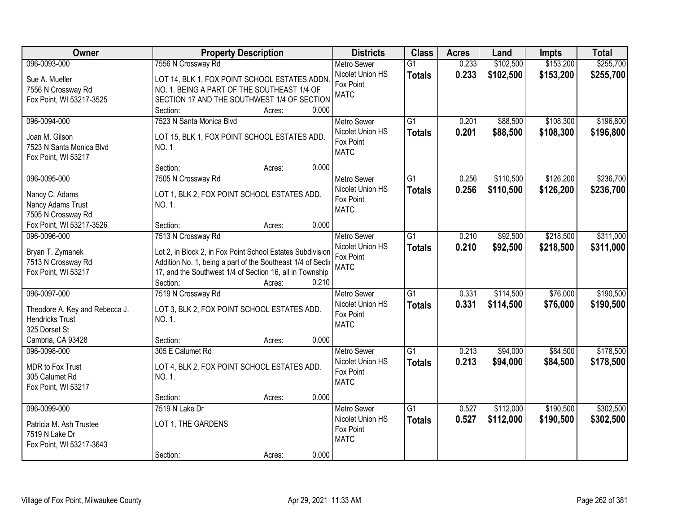| Owner                                     | <b>Property Description</b>                                  | <b>Districts</b>         | <b>Class</b>    | <b>Acres</b> | Land      | <b>Impts</b> | <b>Total</b> |
|-------------------------------------------|--------------------------------------------------------------|--------------------------|-----------------|--------------|-----------|--------------|--------------|
| 096-0093-000                              | 7556 N Crossway Rd                                           | <b>Metro Sewer</b>       | $\overline{G1}$ | 0.233        | \$102,500 | \$153,200    | \$255,700    |
| Sue A. Mueller                            | LOT 14, BLK 1, FOX POINT SCHOOL ESTATES ADDN.                | Nicolet Union HS         | <b>Totals</b>   | 0.233        | \$102,500 | \$153,200    | \$255,700    |
| 7556 N Crossway Rd                        | NO. 1. BEING A PART OF THE SOUTHEAST 1/4 OF                  | Fox Point                |                 |              |           |              |              |
| Fox Point, WI 53217-3525                  | SECTION 17 AND THE SOUTHWEST 1/4 OF SECTION                  | <b>MATC</b>              |                 |              |           |              |              |
|                                           | 0.000<br>Section:<br>Acres:                                  |                          |                 |              |           |              |              |
| 096-0094-000                              | 7523 N Santa Monica Blvd                                     | <b>Metro Sewer</b>       | $\overline{G1}$ | 0.201        | \$88,500  | \$108,300    | \$196,800    |
|                                           |                                                              | Nicolet Union HS         | <b>Totals</b>   | 0.201        | \$88,500  | \$108,300    | \$196,800    |
| Joan M. Gilson                            | LOT 15, BLK 1, FOX POINT SCHOOL ESTATES ADD.                 | Fox Point                |                 |              |           |              |              |
| 7523 N Santa Monica Blvd                  | NO. 1                                                        | <b>MATC</b>              |                 |              |           |              |              |
| Fox Point, WI 53217                       | 0.000                                                        |                          |                 |              |           |              |              |
|                                           | Section:<br>Acres:                                           |                          |                 |              |           |              |              |
| 096-0095-000                              | 7505 N Crossway Rd                                           | Metro Sewer              | G1              | 0.256        | \$110,500 | \$126,200    | \$236,700    |
| Nancy C. Adams                            | LOT 1, BLK 2, FOX POINT SCHOOL ESTATES ADD.                  | Nicolet Union HS         | <b>Totals</b>   | 0.256        | \$110,500 | \$126,200    | \$236,700    |
| Nancy Adams Trust                         | NO. 1.                                                       | Fox Point<br><b>MATC</b> |                 |              |           |              |              |
| 7505 N Crossway Rd                        |                                                              |                          |                 |              |           |              |              |
| Fox Point, WI 53217-3526                  | 0.000<br>Section:<br>Acres:                                  |                          |                 |              |           |              |              |
| 096-0096-000                              | 7513 N Crossway Rd                                           | <b>Metro Sewer</b>       | G1              | 0.210        | \$92,500  | \$218,500    | \$311,000    |
| Bryan T. Zymanek                          | Lot 2, in Block 2, in Fox Point School Estates Subdivision   | Nicolet Union HS         | <b>Totals</b>   | 0.210        | \$92,500  | \$218,500    | \$311,000    |
| 7513 N Crossway Rd                        | Addition No. 1, being a part of the Southeast 1/4 of Section | Fox Point                |                 |              |           |              |              |
| Fox Point, WI 53217                       | 17, and the Southwest 1/4 of Section 16, all in Township     | <b>MATC</b>              |                 |              |           |              |              |
|                                           | Section:<br>0.210<br>Acres:                                  |                          |                 |              |           |              |              |
| 096-0097-000                              | 7519 N Crossway Rd                                           | <b>Metro Sewer</b>       | $\overline{G1}$ | 0.331        | \$114,500 | \$76,000     | \$190,500    |
|                                           |                                                              | Nicolet Union HS         | <b>Totals</b>   | 0.331        | \$114,500 | \$76,000     | \$190,500    |
| Theodore A. Key and Rebecca J.            | LOT 3, BLK 2, FOX POINT SCHOOL ESTATES ADD.                  | Fox Point                |                 |              |           |              |              |
| <b>Hendricks Trust</b>                    | NO. 1.                                                       | <b>MATC</b>              |                 |              |           |              |              |
| 325 Dorset St                             |                                                              |                          |                 |              |           |              |              |
| Cambria, CA 93428                         | 0.000<br>Section:<br>Acres:                                  |                          |                 |              |           |              |              |
| 096-0098-000                              | 305 E Calumet Rd                                             | <b>Metro Sewer</b>       | G1              | 0.213        | \$94,000  | \$84,500     | \$178,500    |
| MDR to Fox Trust                          | LOT 4, BLK 2, FOX POINT SCHOOL ESTATES ADD.                  | Nicolet Union HS         | <b>Totals</b>   | 0.213        | \$94,000  | \$84,500     | \$178,500    |
| 305 Calumet Rd                            | NO. 1.                                                       | Fox Point                |                 |              |           |              |              |
| Fox Point, WI 53217                       |                                                              | <b>MATC</b>              |                 |              |           |              |              |
|                                           | 0.000<br>Section:<br>Acres:                                  |                          |                 |              |           |              |              |
| 096-0099-000                              | 7519 N Lake Dr                                               | <b>Metro Sewer</b>       | $\overline{G1}$ | 0.527        | \$112,000 | \$190,500    | \$302,500    |
|                                           |                                                              | Nicolet Union HS         | <b>Totals</b>   | 0.527        | \$112,000 | \$190,500    | \$302,500    |
| Patricia M. Ash Trustee<br>7519 N Lake Dr | LOT 1, THE GARDENS                                           | Fox Point                |                 |              |           |              |              |
| Fox Point, WI 53217-3643                  |                                                              | <b>MATC</b>              |                 |              |           |              |              |
|                                           | 0.000<br>Section:<br>Acres:                                  |                          |                 |              |           |              |              |
|                                           |                                                              |                          |                 |              |           |              |              |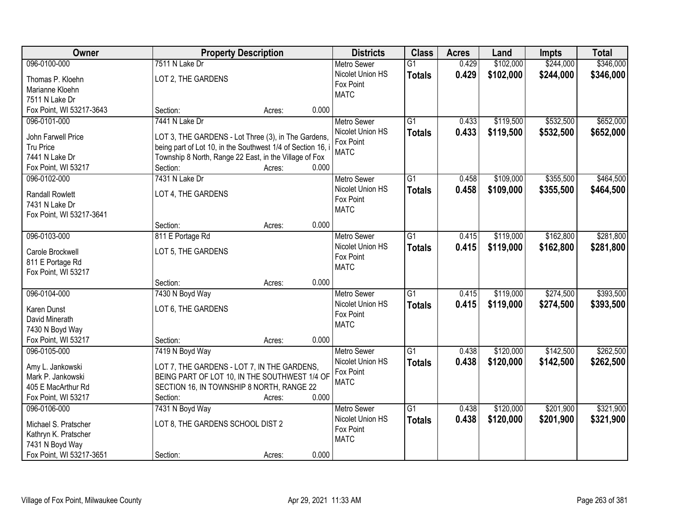| <b>Owner</b>             |                                                             | <b>Property Description</b> |       | <b>Districts</b>   | <b>Class</b>    | <b>Acres</b> | Land      | <b>Impts</b> | <b>Total</b> |
|--------------------------|-------------------------------------------------------------|-----------------------------|-------|--------------------|-----------------|--------------|-----------|--------------|--------------|
| 096-0100-000             | 7511 N Lake Dr                                              |                             |       | <b>Metro Sewer</b> | $\overline{G1}$ | 0.429        | \$102,000 | \$244,000    | \$346,000    |
| Thomas P. Kloehn         | LOT 2, THE GARDENS                                          |                             |       | Nicolet Union HS   | <b>Totals</b>   | 0.429        | \$102,000 | \$244,000    | \$346,000    |
| Marianne Kloehn          |                                                             |                             |       | Fox Point          |                 |              |           |              |              |
| 7511 N Lake Dr           |                                                             |                             |       | <b>MATC</b>        |                 |              |           |              |              |
| Fox Point, WI 53217-3643 | Section:                                                    | Acres:                      | 0.000 |                    |                 |              |           |              |              |
| 096-0101-000             | 7441 N Lake Dr                                              |                             |       | <b>Metro Sewer</b> | $\overline{G1}$ | 0.433        | \$119,500 | \$532,500    | \$652,000    |
|                          |                                                             |                             |       | Nicolet Union HS   | <b>Totals</b>   | 0.433        | \$119,500 | \$532,500    | \$652,000    |
| John Farwell Price       | LOT 3, THE GARDENS - Lot Three (3), in The Gardens,         |                             |       | Fox Point          |                 |              |           |              |              |
| Tru Price                | being part of Lot 10, in the Southwest 1/4 of Section 16, i |                             |       | <b>MATC</b>        |                 |              |           |              |              |
| 7441 N Lake Dr           | Township 8 North, Range 22 East, in the Village of Fox      |                             |       |                    |                 |              |           |              |              |
| Fox Point, WI 53217      | Section:                                                    | Acres:                      | 0.000 |                    |                 |              |           |              |              |
| 096-0102-000             | 7431 N Lake Dr                                              |                             |       | <b>Metro Sewer</b> | G1              | 0.458        | \$109,000 | \$355,500    | \$464,500    |
| <b>Randall Rowlett</b>   | LOT 4, THE GARDENS                                          |                             |       | Nicolet Union HS   | <b>Totals</b>   | 0.458        | \$109,000 | \$355,500    | \$464,500    |
| 7431 N Lake Dr           |                                                             |                             |       | Fox Point          |                 |              |           |              |              |
| Fox Point, WI 53217-3641 |                                                             |                             |       | <b>MATC</b>        |                 |              |           |              |              |
|                          | Section:                                                    | Acres:                      | 0.000 |                    |                 |              |           |              |              |
| 096-0103-000             | 811 E Portage Rd                                            |                             |       | <b>Metro Sewer</b> | G1              | 0.415        | \$119,000 | \$162,800    | \$281,800    |
|                          |                                                             |                             |       | Nicolet Union HS   | <b>Totals</b>   | 0.415        | \$119,000 | \$162,800    | \$281,800    |
| Carole Brockwell         | LOT 5, THE GARDENS                                          |                             |       | Fox Point          |                 |              |           |              |              |
| 811 E Portage Rd         |                                                             |                             |       | <b>MATC</b>        |                 |              |           |              |              |
| Fox Point, WI 53217      |                                                             |                             |       |                    |                 |              |           |              |              |
|                          | Section:                                                    | Acres:                      | 0.000 |                    |                 |              |           |              |              |
| 096-0104-000             | 7430 N Boyd Way                                             |                             |       | <b>Metro Sewer</b> | $\overline{G1}$ | 0.415        | \$119,000 | \$274,500    | \$393,500    |
| Karen Dunst              | LOT 6, THE GARDENS                                          |                             |       | Nicolet Union HS   | <b>Totals</b>   | 0.415        | \$119,000 | \$274,500    | \$393,500    |
| David Minerath           |                                                             |                             |       | Fox Point          |                 |              |           |              |              |
| 7430 N Boyd Way          |                                                             |                             |       | <b>MATC</b>        |                 |              |           |              |              |
| Fox Point, WI 53217      | Section:                                                    | Acres:                      | 0.000 |                    |                 |              |           |              |              |
| 096-0105-000             | 7419 N Boyd Way                                             |                             |       | Metro Sewer        | G1              | 0.438        | \$120,000 | \$142,500    | \$262,500    |
|                          |                                                             |                             |       | Nicolet Union HS   | <b>Totals</b>   | 0.438        | \$120,000 | \$142,500    | \$262,500    |
| Amy L. Jankowski         | LOT 7, THE GARDENS - LOT 7, IN THE GARDENS,                 |                             |       | Fox Point          |                 |              |           |              |              |
| Mark P. Jankowski        | BEING PART OF LOT 10, IN THE SOUTHWEST 1/4 OF               |                             |       | <b>MATC</b>        |                 |              |           |              |              |
| 405 E MacArthur Rd       | SECTION 16, IN TOWNSHIP 8 NORTH, RANGE 22                   |                             |       |                    |                 |              |           |              |              |
| Fox Point, WI 53217      | Section:                                                    | Acres:                      | 0.000 |                    |                 |              |           |              |              |
| 096-0106-000             | 7431 N Boyd Way                                             |                             |       | <b>Metro Sewer</b> | $\overline{G1}$ | 0.438        | \$120,000 | \$201,900    | \$321,900    |
| Michael S. Pratscher     | LOT 8, THE GARDENS SCHOOL DIST 2                            |                             |       | Nicolet Union HS   | <b>Totals</b>   | 0.438        | \$120,000 | \$201,900    | \$321,900    |
| Kathryn K. Pratscher     |                                                             |                             |       | Fox Point          |                 |              |           |              |              |
| 7431 N Boyd Way          |                                                             |                             |       | <b>MATC</b>        |                 |              |           |              |              |
| Fox Point, WI 53217-3651 | Section:                                                    | Acres:                      | 0.000 |                    |                 |              |           |              |              |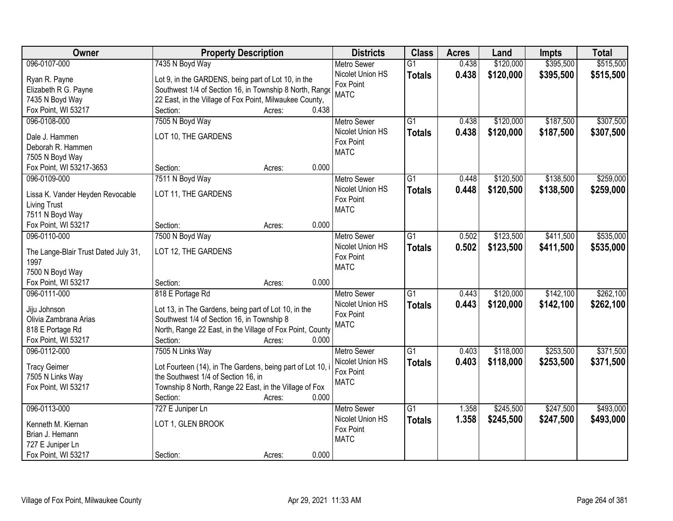| Owner                                  | <b>Property Description</b>                                | <b>Districts</b>              | <b>Class</b>    | <b>Acres</b> | Land      | <b>Impts</b> | <b>Total</b> |
|----------------------------------------|------------------------------------------------------------|-------------------------------|-----------------|--------------|-----------|--------------|--------------|
| 096-0107-000                           | 7435 N Boyd Way                                            | <b>Metro Sewer</b>            | $\overline{G1}$ | 0.438        | \$120,000 | \$395,500    | \$515,500    |
| Ryan R. Payne                          | Lot 9, in the GARDENS, being part of Lot 10, in the        | Nicolet Union HS              | <b>Totals</b>   | 0.438        | \$120,000 | \$395,500    | \$515,500    |
| Elizabeth R G. Payne                   | Southwest 1/4 of Section 16, in Township 8 North, Range    | Fox Point                     |                 |              |           |              |              |
| 7435 N Boyd Way                        | 22 East, in the Village of Fox Point, Milwaukee County,    | <b>MATC</b>                   |                 |              |           |              |              |
| Fox Point, WI 53217                    | 0.438<br>Section:<br>Acres:                                |                               |                 |              |           |              |              |
| 096-0108-000                           | 7505 N Boyd Way                                            | <b>Metro Sewer</b>            | $\overline{G1}$ | 0.438        | \$120,000 | \$187,500    | \$307,500    |
|                                        |                                                            | Nicolet Union HS              | <b>Totals</b>   | 0.438        | \$120,000 | \$187,500    | \$307,500    |
| Dale J. Hammen                         | LOT 10, THE GARDENS                                        | Fox Point                     |                 |              |           |              |              |
| Deborah R. Hammen                      |                                                            | <b>MATC</b>                   |                 |              |           |              |              |
| 7505 N Boyd Way                        |                                                            |                               |                 |              |           |              |              |
| Fox Point, WI 53217-3653               | 0.000<br>Section:<br>Acres:                                |                               |                 |              |           |              |              |
| 096-0109-000                           | 7511 N Boyd Way                                            | <b>Metro Sewer</b>            | G1              | 0.448        | \$120,500 | \$138,500    | \$259,000    |
| Lissa K. Vander Heyden Revocable       | LOT 11, THE GARDENS                                        | Nicolet Union HS              | <b>Totals</b>   | 0.448        | \$120,500 | \$138,500    | \$259,000    |
| <b>Living Trust</b>                    |                                                            | Fox Point                     |                 |              |           |              |              |
| 7511 N Boyd Way                        |                                                            | <b>MATC</b>                   |                 |              |           |              |              |
| Fox Point, WI 53217                    | Section:<br>0.000<br>Acres:                                |                               |                 |              |           |              |              |
| 096-0110-000                           | 7500 N Boyd Way                                            | <b>Metro Sewer</b>            | G1              | 0.502        | \$123,500 | \$411,500    | \$535,000    |
|                                        |                                                            | Nicolet Union HS              | <b>Totals</b>   | 0.502        | \$123,500 | \$411,500    | \$535,000    |
| The Lange-Blair Trust Dated July 31,   | LOT 12, THE GARDENS                                        | Fox Point                     |                 |              |           |              |              |
| 1997                                   |                                                            | <b>MATC</b>                   |                 |              |           |              |              |
| 7500 N Boyd Way<br>Fox Point, WI 53217 | 0.000                                                      |                               |                 |              |           |              |              |
| 096-0111-000                           | Section:<br>Acres:                                         |                               | $\overline{G1}$ | 0.443        |           | \$142,100    | \$262,100    |
|                                        | 818 E Portage Rd                                           | <b>Metro Sewer</b>            |                 |              | \$120,000 |              |              |
| Jiju Johnson                           | Lot 13, in The Gardens, being part of Lot 10, in the       | Nicolet Union HS<br>Fox Point | <b>Totals</b>   | 0.443        | \$120,000 | \$142,100    | \$262,100    |
| Olivia Zambrana Arias                  | Southwest 1/4 of Section 16, in Township 8                 | <b>MATC</b>                   |                 |              |           |              |              |
| 818 E Portage Rd                       | North, Range 22 East, in the Village of Fox Point, County  |                               |                 |              |           |              |              |
| Fox Point, WI 53217                    | 0.000<br>Section:<br>Acres:                                |                               |                 |              |           |              |              |
| 096-0112-000                           | 7505 N Links Way                                           | <b>Metro Sewer</b>            | $\overline{G1}$ | 0.403        | \$118,000 | \$253,500    | \$371,500    |
| <b>Tracy Geimer</b>                    | Lot Fourteen (14), in The Gardens, being part of Lot 10, i | Nicolet Union HS              | <b>Totals</b>   | 0.403        | \$118,000 | \$253,500    | \$371,500    |
| 7505 N Links Way                       | the Southwest 1/4 of Section 16, in                        | Fox Point                     |                 |              |           |              |              |
| Fox Point, WI 53217                    | Township 8 North, Range 22 East, in the Village of Fox     | <b>MATC</b>                   |                 |              |           |              |              |
|                                        | 0.000<br>Section:<br>Acres:                                |                               |                 |              |           |              |              |
| 096-0113-000                           | 727 E Juniper Ln                                           | <b>Metro Sewer</b>            | $\overline{G1}$ | 1.358        | \$245,500 | \$247,500    | \$493,000    |
|                                        |                                                            | Nicolet Union HS              |                 | 1.358        | \$245,500 | \$247,500    | \$493,000    |
| Kenneth M. Kiernan                     | LOT 1, GLEN BROOK                                          | Fox Point                     | <b>Totals</b>   |              |           |              |              |
| Brian J. Hemann                        |                                                            | <b>MATC</b>                   |                 |              |           |              |              |
| 727 E Juniper Ln                       |                                                            |                               |                 |              |           |              |              |
| Fox Point, WI 53217                    | 0.000<br>Section:<br>Acres:                                |                               |                 |              |           |              |              |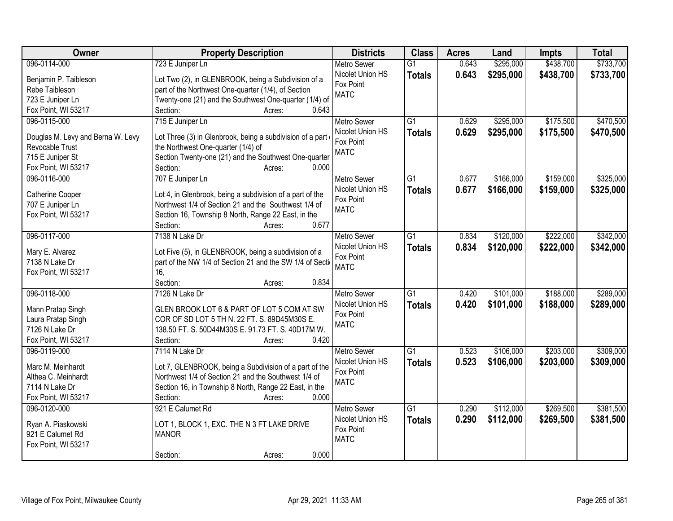| Owner                             | <b>Property Description</b>                                | <b>Districts</b>   | <b>Class</b>    | <b>Acres</b> | Land      | <b>Impts</b> | <b>Total</b> |
|-----------------------------------|------------------------------------------------------------|--------------------|-----------------|--------------|-----------|--------------|--------------|
| 096-0114-000                      | 723 E Juniper Ln                                           | <b>Metro Sewer</b> | $\overline{G1}$ | 0.643        | \$295,000 | \$438,700    | \$733,700    |
| Benjamin P. Taibleson             | Lot Two (2), in GLENBROOK, being a Subdivision of a        | Nicolet Union HS   | <b>Totals</b>   | 0.643        | \$295,000 | \$438,700    | \$733,700    |
| Rebe Taibleson                    | part of the Northwest One-quarter (1/4), of Section        | Fox Point          |                 |              |           |              |              |
| 723 E Juniper Ln                  | Twenty-one (21) and the Southwest One-quarter (1/4) of     | <b>MATC</b>        |                 |              |           |              |              |
| Fox Point, WI 53217               | 0.643<br>Section:<br>Acres:                                |                    |                 |              |           |              |              |
| 096-0115-000                      | 715 E Juniper Ln                                           | <b>Metro Sewer</b> | $\overline{G1}$ | 0.629        | \$295,000 | \$175,500    | \$470,500    |
|                                   |                                                            | Nicolet Union HS   | <b>Totals</b>   | 0.629        | \$295,000 | \$175,500    | \$470,500    |
| Douglas M. Levy and Berna W. Levy | Lot Three (3) in Glenbrook, being a subdivision of a part  | Fox Point          |                 |              |           |              |              |
| Revocable Trust                   | the Northwest One-quarter (1/4) of                         | <b>MATC</b>        |                 |              |           |              |              |
| 715 E Juniper St                  | Section Twenty-one (21) and the Southwest One-quarter      |                    |                 |              |           |              |              |
| Fox Point, WI 53217               | 0.000<br>Section:<br>Acres:                                |                    |                 |              |           |              |              |
| 096-0116-000                      | 707 E Juniper Ln                                           | Metro Sewer        | $\overline{G1}$ | 0.677        | \$166,000 | \$159,000    | \$325,000    |
| Catherine Cooper                  | Lot 4, in Glenbrook, being a subdivision of a part of the  | Nicolet Union HS   | <b>Totals</b>   | 0.677        | \$166,000 | \$159,000    | \$325,000    |
| 707 E Juniper Ln                  | Northwest 1/4 of Section 21 and the Southwest 1/4 of       | Fox Point          |                 |              |           |              |              |
| Fox Point, WI 53217               | Section 16, Township 8 North, Range 22 East, in the        | <b>MATC</b>        |                 |              |           |              |              |
|                                   | 0.677<br>Section:<br>Acres:                                |                    |                 |              |           |              |              |
| 096-0117-000                      | 7138 N Lake Dr                                             | <b>Metro Sewer</b> | G1              | 0.834        | \$120,000 | \$222,000    | \$342,000    |
|                                   |                                                            | Nicolet Union HS   | <b>Totals</b>   | 0.834        | \$120,000 | \$222,000    | \$342,000    |
| Mary E. Alvarez                   | Lot Five (5), in GLENBROOK, being a subdivision of a       | Fox Point          |                 |              |           |              |              |
| 7138 N Lake Dr                    | part of the NW 1/4 of Section 21 and the SW 1/4 of Section | <b>MATC</b>        |                 |              |           |              |              |
| Fox Point, WI 53217               | 16,                                                        |                    |                 |              |           |              |              |
|                                   | 0.834<br>Section:<br>Acres:                                |                    |                 |              |           |              |              |
| 096-0118-000                      | 7126 N Lake Dr                                             | <b>Metro Sewer</b> | $\overline{G1}$ | 0.420        | \$101,000 | \$188,000    | \$289,000    |
| Mann Pratap Singh                 | GLEN BROOK LOT 6 & PART OF LOT 5 COM AT SW                 | Nicolet Union HS   | <b>Totals</b>   | 0.420        | \$101,000 | \$188,000    | \$289,000    |
| Laura Pratap Singh                | COR OF SD LOT 5 TH N. 22 FT. S. 89D45M30S E.               | Fox Point          |                 |              |           |              |              |
| 7126 N Lake Dr                    | 138.50 FT. S. 50D44M30S E. 91.73 FT. S. 40D17M W.          | <b>MATC</b>        |                 |              |           |              |              |
| Fox Point, WI 53217               | 0.420<br>Section:<br>Acres:                                |                    |                 |              |           |              |              |
| 096-0119-000                      | 7114 N Lake Dr                                             | Metro Sewer        | G1              | 0.523        | \$106,000 | \$203,000    | \$309,000    |
|                                   |                                                            | Nicolet Union HS   |                 | 0.523        | \$106,000 |              |              |
| Marc M. Meinhardt                 | Lot 7, GLENBROOK, being a Subdivision of a part of the     | Fox Point          | <b>Totals</b>   |              |           | \$203,000    | \$309,000    |
| Althea C. Meinhardt               | Northwest 1/4 of Section 21 and the Southwest 1/4 of       | <b>MATC</b>        |                 |              |           |              |              |
| 7114 N Lake Dr                    | Section 16, in Township 8 North, Range 22 East, in the     |                    |                 |              |           |              |              |
| Fox Point, WI 53217               | 0.000<br>Section:<br>Acres:                                |                    |                 |              |           |              |              |
| 096-0120-000                      | 921 E Calumet Rd                                           | <b>Metro Sewer</b> | G1              | 0.290        | \$112,000 | \$269,500    | \$381,500    |
| Ryan A. Piaskowski                | LOT 1, BLOCK 1, EXC. THE N 3 FT LAKE DRIVE                 | Nicolet Union HS   | <b>Totals</b>   | 0.290        | \$112,000 | \$269,500    | \$381,500    |
| 921 E Calumet Rd                  | <b>MANOR</b>                                               | Fox Point          |                 |              |           |              |              |
| Fox Point, WI 53217               |                                                            | <b>MATC</b>        |                 |              |           |              |              |
|                                   | 0.000<br>Section:<br>Acres:                                |                    |                 |              |           |              |              |
|                                   |                                                            |                    |                 |              |           |              |              |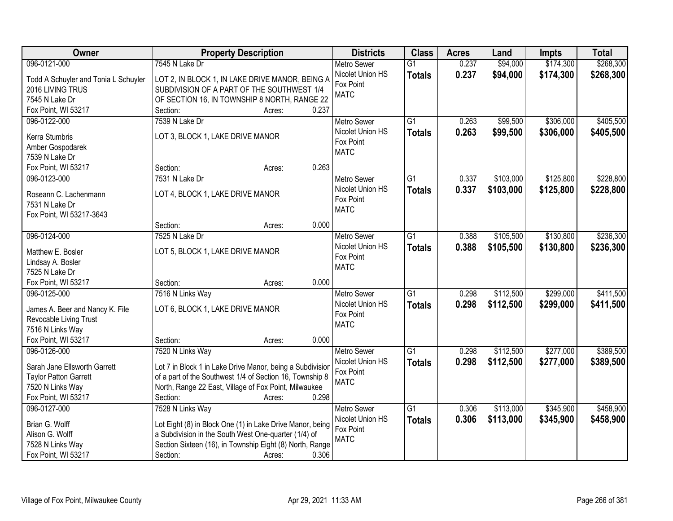| Owner                                | <b>Property Description</b>                               | <b>Districts</b>         | <b>Class</b>    | <b>Acres</b> | Land      | <b>Impts</b> | <b>Total</b> |
|--------------------------------------|-----------------------------------------------------------|--------------------------|-----------------|--------------|-----------|--------------|--------------|
| 096-0121-000                         | 7545 N Lake Dr                                            | <b>Metro Sewer</b>       | $\overline{G1}$ | 0.237        | \$94,000  | \$174,300    | \$268,300    |
| Todd A Schuyler and Tonia L Schuyler | LOT 2, IN BLOCK 1, IN LAKE DRIVE MANOR, BEING A           | Nicolet Union HS         | <b>Totals</b>   | 0.237        | \$94,000  | \$174,300    | \$268,300    |
| 2016 LIVING TRUS                     | SUBDIVISION OF A PART OF THE SOUTHWEST 1/4                | Fox Point                |                 |              |           |              |              |
| 7545 N Lake Dr                       | OF SECTION 16, IN TOWNSHIP 8 NORTH, RANGE 22              | <b>MATC</b>              |                 |              |           |              |              |
| Fox Point, WI 53217                  | 0.237<br>Section:<br>Acres:                               |                          |                 |              |           |              |              |
| 096-0122-000                         | 7539 N Lake Dr                                            | <b>Metro Sewer</b>       | $\overline{G1}$ | 0.263        | \$99,500  | \$306,000    | \$405,500    |
|                                      |                                                           | Nicolet Union HS         | <b>Totals</b>   | 0.263        | \$99,500  | \$306,000    | \$405,500    |
| Kerra Stumbris                       | LOT 3, BLOCK 1, LAKE DRIVE MANOR                          | Fox Point                |                 |              |           |              |              |
| Amber Gospodarek                     |                                                           | <b>MATC</b>              |                 |              |           |              |              |
| 7539 N Lake Dr                       | 0.263                                                     |                          |                 |              |           |              |              |
| Fox Point, WI 53217                  | Section:<br>Acres:                                        |                          |                 |              |           |              |              |
| 096-0123-000                         | 7531 N Lake Dr                                            | <b>Metro Sewer</b>       | $\overline{G1}$ | 0.337        | \$103,000 | \$125,800    | \$228,800    |
| Roseann C. Lachenmann                | LOT 4, BLOCK 1, LAKE DRIVE MANOR                          | Nicolet Union HS         | <b>Totals</b>   | 0.337        | \$103,000 | \$125,800    | \$228,800    |
| 7531 N Lake Dr                       |                                                           | Fox Point<br><b>MATC</b> |                 |              |           |              |              |
| Fox Point, WI 53217-3643             |                                                           |                          |                 |              |           |              |              |
|                                      | 0.000<br>Section:<br>Acres:                               |                          |                 |              |           |              |              |
| 096-0124-000                         | 7525 N Lake Dr                                            | <b>Metro Sewer</b>       | $\overline{G1}$ | 0.388        | \$105,500 | \$130,800    | \$236,300    |
| Matthew E. Bosler                    | LOT 5, BLOCK 1, LAKE DRIVE MANOR                          | Nicolet Union HS         | <b>Totals</b>   | 0.388        | \$105,500 | \$130,800    | \$236,300    |
| Lindsay A. Bosler                    |                                                           | Fox Point                |                 |              |           |              |              |
| 7525 N Lake Dr                       |                                                           | <b>MATC</b>              |                 |              |           |              |              |
| Fox Point, WI 53217                  | 0.000<br>Section:<br>Acres:                               |                          |                 |              |           |              |              |
| 096-0125-000                         | 7516 N Links Way                                          | Metro Sewer              | $\overline{G1}$ | 0.298        | \$112,500 | \$299,000    | \$411,500    |
|                                      |                                                           | Nicolet Union HS         | <b>Totals</b>   | 0.298        | \$112,500 | \$299,000    | \$411,500    |
| James A. Beer and Nancy K. File      | LOT 6, BLOCK 1, LAKE DRIVE MANOR                          | Fox Point                |                 |              |           |              |              |
| Revocable Living Trust               |                                                           | <b>MATC</b>              |                 |              |           |              |              |
| 7516 N Links Way                     |                                                           |                          |                 |              |           |              |              |
| Fox Point, WI 53217                  | 0.000<br>Section:<br>Acres:                               |                          |                 |              |           |              |              |
| 096-0126-000                         | 7520 N Links Way                                          | Metro Sewer              | $\overline{G1}$ | 0.298        | \$112,500 | \$277,000    | \$389,500    |
| Sarah Jane Ellsworth Garrett         | Lot 7 in Block 1 in Lake Drive Manor, being a Subdivision | Nicolet Union HS         | <b>Totals</b>   | 0.298        | \$112,500 | \$277,000    | \$389,500    |
| <b>Taylor Patton Garrett</b>         | of a part of the Southwest 1/4 of Section 16, Township 8  | Fox Point                |                 |              |           |              |              |
| 7520 N Links Way                     | North, Range 22 East, Village of Fox Point, Milwaukee     | <b>MATC</b>              |                 |              |           |              |              |
| Fox Point, WI 53217                  | 0.298<br>Section:<br>Acres:                               |                          |                 |              |           |              |              |
| 096-0127-000                         | 7528 N Links Way                                          | <b>Metro Sewer</b>       | $\overline{G1}$ | 0.306        | \$113,000 | \$345,900    | \$458,900    |
|                                      |                                                           | Nicolet Union HS         | <b>Totals</b>   | 0.306        | \$113,000 | \$345,900    | \$458,900    |
| Brian G. Wolff                       | Lot Eight (8) in Block One (1) in Lake Drive Manor, being | Fox Point                |                 |              |           |              |              |
| Alison G. Wolff                      | a Subdivision in the South West One-quarter (1/4) of      | <b>MATC</b>              |                 |              |           |              |              |
| 7528 N Links Way                     | Section Sixteen (16), in Township Eight (8) North, Range  |                          |                 |              |           |              |              |
| Fox Point, WI 53217                  | 0.306<br>Section:<br>Acres:                               |                          |                 |              |           |              |              |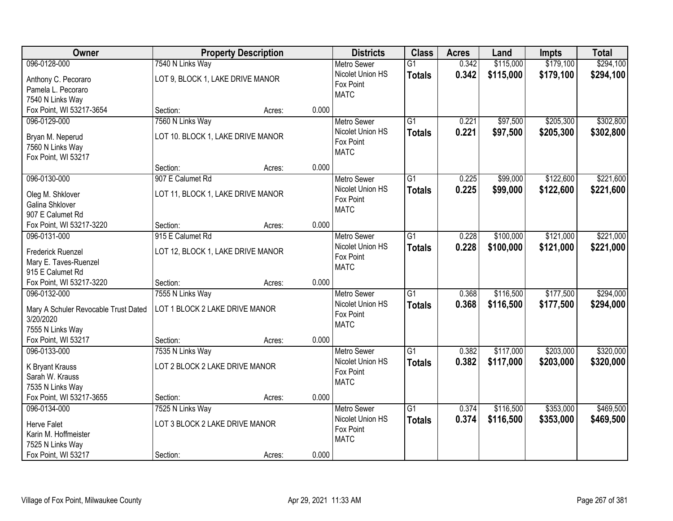| Owner                                |                                   | <b>Property Description</b> |       | <b>Districts</b>              | <b>Class</b>    | <b>Acres</b> | Land      | <b>Impts</b> | <b>Total</b> |
|--------------------------------------|-----------------------------------|-----------------------------|-------|-------------------------------|-----------------|--------------|-----------|--------------|--------------|
| 096-0128-000                         | 7540 N Links Way                  |                             |       | <b>Metro Sewer</b>            | $\overline{G1}$ | 0.342        | \$115,000 | \$179,100    | \$294,100    |
| Anthony C. Pecoraro                  | LOT 9, BLOCK 1, LAKE DRIVE MANOR  |                             |       | Nicolet Union HS              | <b>Totals</b>   | 0.342        | \$115,000 | \$179,100    | \$294,100    |
| Pamela L. Pecoraro                   |                                   |                             |       | Fox Point                     |                 |              |           |              |              |
| 7540 N Links Way                     |                                   |                             |       | <b>MATC</b>                   |                 |              |           |              |              |
| Fox Point, WI 53217-3654             | Section:                          | Acres:                      | 0.000 |                               |                 |              |           |              |              |
| 096-0129-000                         | 7560 N Links Way                  |                             |       | <b>Metro Sewer</b>            | $\overline{G1}$ | 0.221        | \$97,500  | \$205,300    | \$302,800    |
| Bryan M. Neperud                     | LOT 10. BLOCK 1, LAKE DRIVE MANOR |                             |       | Nicolet Union HS              | <b>Totals</b>   | 0.221        | \$97,500  | \$205,300    | \$302,800    |
| 7560 N Links Way                     |                                   |                             |       | Fox Point                     |                 |              |           |              |              |
| Fox Point, WI 53217                  |                                   |                             |       | <b>MATC</b>                   |                 |              |           |              |              |
|                                      | Section:                          | Acres:                      | 0.000 |                               |                 |              |           |              |              |
| 096-0130-000                         | 907 E Calumet Rd                  |                             |       | <b>Metro Sewer</b>            | $\overline{G1}$ | 0.225        | \$99,000  | \$122,600    | \$221,600    |
| Oleg M. Shklover                     | LOT 11, BLOCK 1, LAKE DRIVE MANOR |                             |       | Nicolet Union HS              | <b>Totals</b>   | 0.225        | \$99,000  | \$122,600    | \$221,600    |
| <b>Galina Shklover</b>               |                                   |                             |       | Fox Point                     |                 |              |           |              |              |
| 907 E Calumet Rd                     |                                   |                             |       | <b>MATC</b>                   |                 |              |           |              |              |
| Fox Point, WI 53217-3220             | Section:                          | Acres:                      | 0.000 |                               |                 |              |           |              |              |
| 096-0131-000                         | 915 E Calumet Rd                  |                             |       | <b>Metro Sewer</b>            | $\overline{G1}$ | 0.228        | \$100,000 | \$121,000    | \$221,000    |
|                                      |                                   |                             |       | Nicolet Union HS              | <b>Totals</b>   | 0.228        | \$100,000 | \$121,000    | \$221,000    |
| <b>Frederick Ruenzel</b>             | LOT 12, BLOCK 1, LAKE DRIVE MANOR |                             |       | Fox Point                     |                 |              |           |              |              |
| Mary E. Taves-Ruenzel                |                                   |                             |       | <b>MATC</b>                   |                 |              |           |              |              |
| 915 E Calumet Rd                     |                                   |                             |       |                               |                 |              |           |              |              |
| Fox Point, WI 53217-3220             | Section:                          | Acres:                      | 0.000 |                               | $\overline{G1}$ |              |           |              |              |
| 096-0132-000                         | 7555 N Links Way                  |                             |       | Metro Sewer                   |                 | 0.368        | \$116,500 | \$177,500    | \$294,000    |
| Mary A Schuler Revocable Trust Dated | LOT 1 BLOCK 2 LAKE DRIVE MANOR    |                             |       | Nicolet Union HS<br>Fox Point | <b>Totals</b>   | 0.368        | \$116,500 | \$177,500    | \$294,000    |
| 3/20/2020                            |                                   |                             |       | <b>MATC</b>                   |                 |              |           |              |              |
| 7555 N Links Way                     |                                   |                             |       |                               |                 |              |           |              |              |
| Fox Point, WI 53217                  | Section:                          | Acres:                      | 0.000 |                               |                 |              |           |              |              |
| 096-0133-000                         | 7535 N Links Way                  |                             |       | <b>Metro Sewer</b>            | $\overline{G1}$ | 0.382        | \$117,000 | \$203,000    | \$320,000    |
| K Bryant Krauss                      | LOT 2 BLOCK 2 LAKE DRIVE MANOR    |                             |       | Nicolet Union HS              | <b>Totals</b>   | 0.382        | \$117,000 | \$203,000    | \$320,000    |
| Sarah W. Krauss                      |                                   |                             |       | Fox Point                     |                 |              |           |              |              |
| 7535 N Links Way                     |                                   |                             |       | <b>MATC</b>                   |                 |              |           |              |              |
| Fox Point, WI 53217-3655             | Section:                          | Acres:                      | 0.000 |                               |                 |              |           |              |              |
| 096-0134-000                         | 7525 N Links Way                  |                             |       | <b>Metro Sewer</b>            | $\overline{G1}$ | 0.374        | \$116,500 | \$353,000    | \$469,500    |
| <b>Herve Falet</b>                   | LOT 3 BLOCK 2 LAKE DRIVE MANOR    |                             |       | Nicolet Union HS              | <b>Totals</b>   | 0.374        | \$116,500 | \$353,000    | \$469,500    |
| Karin M. Hoffmeister                 |                                   |                             |       | Fox Point                     |                 |              |           |              |              |
| 7525 N Links Way                     |                                   |                             |       | <b>MATC</b>                   |                 |              |           |              |              |
| Fox Point, WI 53217                  | Section:                          | Acres:                      | 0.000 |                               |                 |              |           |              |              |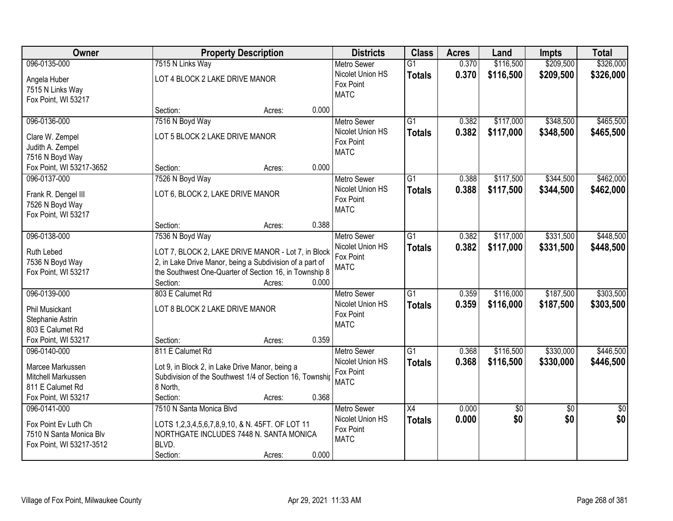| Owner                                                                                                | <b>Property Description</b>                                                                                                                                                                                       |       | <b>Districts</b>                                                   | <b>Class</b>                     | <b>Acres</b>   | Land                   | <b>Impts</b>           | <b>Total</b>           |
|------------------------------------------------------------------------------------------------------|-------------------------------------------------------------------------------------------------------------------------------------------------------------------------------------------------------------------|-------|--------------------------------------------------------------------|----------------------------------|----------------|------------------------|------------------------|------------------------|
| 096-0135-000                                                                                         | 7515 N Links Way                                                                                                                                                                                                  |       | <b>Metro Sewer</b>                                                 | $\overline{G1}$                  | 0.370          | \$116,500              | \$209,500              | \$326,000              |
| Angela Huber<br>7515 N Links Way<br>Fox Point, WI 53217                                              | LOT 4 BLOCK 2 LAKE DRIVE MANOR                                                                                                                                                                                    |       | Nicolet Union HS<br>Fox Point<br><b>MATC</b>                       | <b>Totals</b>                    | 0.370          | \$116,500              | \$209,500              | \$326,000              |
|                                                                                                      | Section:<br>Acres:                                                                                                                                                                                                | 0.000 |                                                                    |                                  |                |                        |                        |                        |
| 096-0136-000<br>Clare W. Zempel<br>Judith A. Zempel<br>7516 N Boyd Way                               | 7516 N Boyd Way<br>LOT 5 BLOCK 2 LAKE DRIVE MANOR                                                                                                                                                                 |       | <b>Metro Sewer</b><br>Nicolet Union HS<br>Fox Point<br><b>MATC</b> | $\overline{G1}$<br><b>Totals</b> | 0.382<br>0.382 | \$117,000<br>\$117,000 | \$348,500<br>\$348,500 | \$465,500<br>\$465,500 |
| Fox Point, WI 53217-3652                                                                             | Section:<br>Acres:                                                                                                                                                                                                | 0.000 |                                                                    |                                  |                |                        |                        |                        |
| 096-0137-000<br>Frank R. Dengel III<br>7526 N Boyd Way<br>Fox Point, WI 53217                        | 7526 N Boyd Way<br>LOT 6, BLOCK 2, LAKE DRIVE MANOR                                                                                                                                                               |       | <b>Metro Sewer</b><br>Nicolet Union HS<br>Fox Point<br><b>MATC</b> | G1<br><b>Totals</b>              | 0.388<br>0.388 | \$117,500<br>\$117,500 | \$344,500<br>\$344,500 | \$462,000<br>\$462,000 |
|                                                                                                      | Section:<br>Acres:                                                                                                                                                                                                | 0.388 |                                                                    |                                  |                |                        |                        |                        |
| 096-0138-000<br>Ruth Lebed<br>7536 N Boyd Way<br>Fox Point, WI 53217                                 | 7536 N Boyd Way<br>LOT 7, BLOCK 2, LAKE DRIVE MANOR - Lot 7, in Block<br>2, in Lake Drive Manor, being a Subdivision of a part of<br>the Southwest One-Quarter of Section 16, in Township 8<br>Section:<br>Acres: | 0.000 | <b>Metro Sewer</b><br>Nicolet Union HS<br>Fox Point<br><b>MATC</b> | $\overline{G1}$<br><b>Totals</b> | 0.382<br>0.382 | \$117,000<br>\$117,000 | \$331,500<br>\$331,500 | \$448,500<br>\$448,500 |
| 096-0139-000<br><b>Phil Musickant</b><br>Stephanie Astrin<br>803 E Calumet Rd<br>Fox Point, WI 53217 | 803 E Calumet Rd<br>LOT 8 BLOCK 2 LAKE DRIVE MANOR<br>Section:                                                                                                                                                    | 0.359 | <b>Metro Sewer</b><br>Nicolet Union HS<br>Fox Point<br><b>MATC</b> | $\overline{G1}$<br><b>Totals</b> | 0.359<br>0.359 | \$116,000<br>\$116,000 | \$187,500<br>\$187,500 | \$303,500<br>\$303,500 |
| 096-0140-000<br>Marcee Markussen<br>Mitchell Markussen<br>811 E Calumet Rd<br>Fox Point, WI 53217    | Acres:<br>811 E Calumet Rd<br>Lot 9, in Block 2, in Lake Drive Manor, being a<br>Subdivision of the Southwest 1/4 of Section 16, Township<br>8 North,<br>Section:<br>Acres:                                       | 0.368 | <b>Metro Sewer</b><br>Nicolet Union HS<br>Fox Point<br><b>MATC</b> | $\overline{G1}$<br><b>Totals</b> | 0.368<br>0.368 | \$116,500<br>\$116,500 | \$330,000<br>\$330,000 | \$446,500<br>\$446,500 |
| 096-0141-000<br>Fox Point Ev Luth Ch<br>7510 N Santa Monica Blv<br>Fox Point, WI 53217-3512          | 7510 N Santa Monica Blvd<br>LOTS 1,2,3,4,5,6,7,8,9,10, & N. 45FT. OF LOT 11<br>NORTHGATE INCLUDES 7448 N. SANTA MONICA<br>BLVD.<br>Section:<br>Acres:                                                             | 0.000 | <b>Metro Sewer</b><br>Nicolet Union HS<br>Fox Point<br><b>MATC</b> | $\overline{X4}$<br><b>Totals</b> | 0.000<br>0.000 | $\overline{50}$<br>\$0 | $\overline{30}$<br>\$0 | $\overline{50}$<br>\$0 |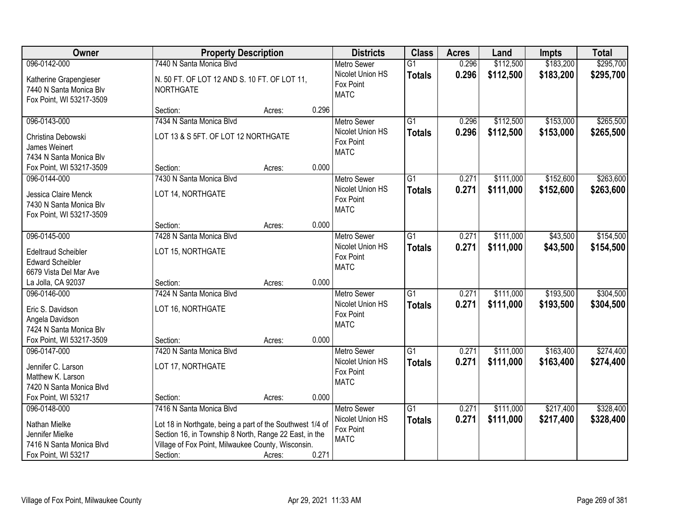| Owner                                                                                                      |                                                                                                                                                                                                                   | <b>Property Description</b> |       | <b>Districts</b>                                                   | <b>Class</b>                     | <b>Acres</b>   | Land                   | <b>Impts</b>           | <b>Total</b>           |
|------------------------------------------------------------------------------------------------------------|-------------------------------------------------------------------------------------------------------------------------------------------------------------------------------------------------------------------|-----------------------------|-------|--------------------------------------------------------------------|----------------------------------|----------------|------------------------|------------------------|------------------------|
| 096-0142-000                                                                                               | 7440 N Santa Monica Blvd                                                                                                                                                                                          |                             |       | <b>Metro Sewer</b>                                                 | $\overline{G1}$                  | 0.296          | \$112,500              | \$183,200              | \$295,700              |
| Katherine Grapengieser<br>7440 N Santa Monica Blv<br>Fox Point, WI 53217-3509                              | N. 50 FT. OF LOT 12 AND S. 10 FT. OF LOT 11,<br>NORTHGATE                                                                                                                                                         |                             |       | Nicolet Union HS<br>Fox Point<br><b>MATC</b>                       | <b>Totals</b>                    | 0.296          | \$112,500              | \$183,200              | \$295,700              |
|                                                                                                            | Section:                                                                                                                                                                                                          | Acres:                      | 0.296 |                                                                    |                                  |                |                        |                        |                        |
| 096-0143-000<br>Christina Debowski<br>James Weinert<br>7434 N Santa Monica Blv                             | 7434 N Santa Monica Blvd<br>LOT 13 & S 5FT. OF LOT 12 NORTHGATE                                                                                                                                                   |                             |       | <b>Metro Sewer</b><br>Nicolet Union HS<br>Fox Point<br><b>MATC</b> | $\overline{G1}$<br><b>Totals</b> | 0.296<br>0.296 | \$112,500<br>\$112,500 | \$153,000<br>\$153,000 | \$265,500<br>\$265,500 |
| Fox Point, WI 53217-3509                                                                                   | Section:                                                                                                                                                                                                          | Acres:                      | 0.000 |                                                                    |                                  |                |                        |                        |                        |
| 096-0144-000<br>Jessica Claire Menck<br>7430 N Santa Monica Blv<br>Fox Point, WI 53217-3509                | 7430 N Santa Monica Blvd<br>LOT 14, NORTHGATE                                                                                                                                                                     |                             |       | Metro Sewer<br>Nicolet Union HS<br>Fox Point<br><b>MATC</b>        | $\overline{G1}$<br><b>Totals</b> | 0.271<br>0.271 | \$111,000<br>\$111,000 | \$152,600<br>\$152,600 | \$263,600<br>\$263,600 |
|                                                                                                            | Section:                                                                                                                                                                                                          | Acres:                      | 0.000 |                                                                    |                                  |                |                        |                        |                        |
| 096-0145-000<br><b>Edeltraud Scheibler</b><br><b>Edward Scheibler</b><br>6679 Vista Del Mar Ave            | 7428 N Santa Monica Blvd<br>LOT 15, NORTHGATE                                                                                                                                                                     |                             |       | <b>Metro Sewer</b><br>Nicolet Union HS<br>Fox Point<br><b>MATC</b> | $\overline{G1}$<br><b>Totals</b> | 0.271<br>0.271 | \$111,000<br>\$111,000 | \$43,500<br>\$43,500   | \$154,500<br>\$154,500 |
| La Jolla, CA 92037                                                                                         | Section:                                                                                                                                                                                                          | Acres:                      | 0.000 |                                                                    |                                  |                |                        |                        |                        |
| 096-0146-000<br>Eric S. Davidson<br>Angela Davidson<br>7424 N Santa Monica Blv<br>Fox Point, WI 53217-3509 | 7424 N Santa Monica Blvd<br>LOT 16, NORTHGATE<br>Section:                                                                                                                                                         |                             | 0.000 | <b>Metro Sewer</b><br>Nicolet Union HS<br>Fox Point<br><b>MATC</b> | $\overline{G1}$<br><b>Totals</b> | 0.271<br>0.271 | \$111,000<br>\$111,000 | \$193,500<br>\$193,500 | \$304,500<br>\$304,500 |
| 096-0147-000                                                                                               | 7420 N Santa Monica Blvd                                                                                                                                                                                          | Acres:                      |       | Metro Sewer                                                        | $\overline{G1}$                  | 0.271          | \$111,000              | \$163,400              | \$274,400              |
| Jennifer C. Larson<br>Matthew K. Larson<br>7420 N Santa Monica Blvd                                        | LOT 17, NORTHGATE                                                                                                                                                                                                 |                             |       | Nicolet Union HS<br>Fox Point<br><b>MATC</b>                       | <b>Totals</b>                    | 0.271          | \$111,000              | \$163,400              | \$274,400              |
| Fox Point, WI 53217                                                                                        | Section:                                                                                                                                                                                                          | Acres:                      | 0.000 |                                                                    |                                  |                |                        |                        |                        |
| 096-0148-000<br>Nathan Mielke<br>Jennifer Mielke<br>7416 N Santa Monica Blvd<br>Fox Point, WI 53217        | 7416 N Santa Monica Blvd<br>Lot 18 in Northgate, being a part of the Southwest 1/4 of<br>Section 16, in Township 8 North, Range 22 East, in the<br>Village of Fox Point, Milwaukee County, Wisconsin.<br>Section: | Acres:                      | 0.271 | <b>Metro Sewer</b><br>Nicolet Union HS<br>Fox Point<br><b>MATC</b> | $\overline{G1}$<br><b>Totals</b> | 0.271<br>0.271 | \$111,000<br>\$111,000 | \$217,400<br>\$217,400 | \$328,400<br>\$328,400 |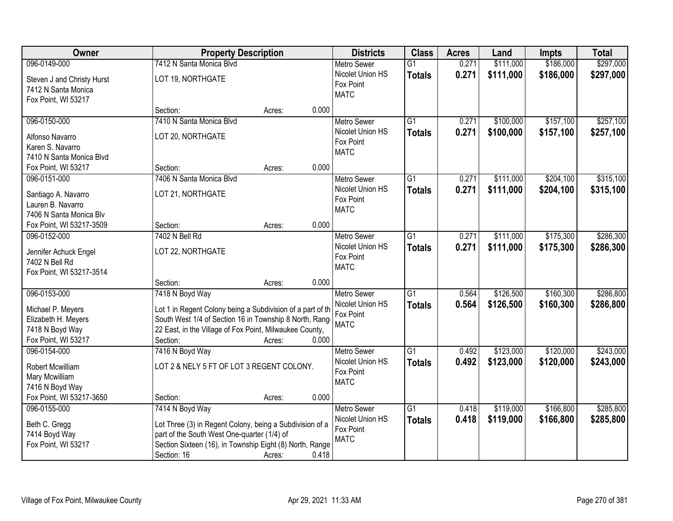| Owner                                                                                              |                                                                                                                                                                                                                 | <b>Property Description</b> |       | <b>Districts</b>                                                   | <b>Class</b>                     | <b>Acres</b>   | Land                   | <b>Impts</b>           | <b>Total</b>           |
|----------------------------------------------------------------------------------------------------|-----------------------------------------------------------------------------------------------------------------------------------------------------------------------------------------------------------------|-----------------------------|-------|--------------------------------------------------------------------|----------------------------------|----------------|------------------------|------------------------|------------------------|
| 096-0149-000                                                                                       | 7412 N Santa Monica Blvd                                                                                                                                                                                        |                             |       | <b>Metro Sewer</b>                                                 | $\overline{G1}$                  | 0.271          | \$111,000              | \$186,000              | \$297,000              |
| Steven J and Christy Hurst<br>7412 N Santa Monica<br>Fox Point, WI 53217                           | LOT 19, NORTHGATE                                                                                                                                                                                               |                             |       | Nicolet Union HS<br>Fox Point<br><b>MATC</b>                       | <b>Totals</b>                    | 0.271          | \$111,000              | \$186,000              | \$297,000              |
|                                                                                                    | Section:                                                                                                                                                                                                        | Acres:                      | 0.000 |                                                                    |                                  |                |                        |                        |                        |
| 096-0150-000<br>Alfonso Navarro<br>Karen S. Navarro<br>7410 N Santa Monica Blvd                    | 7410 N Santa Monica Blyd<br>LOT 20, NORTHGATE                                                                                                                                                                   |                             |       | <b>Metro Sewer</b><br>Nicolet Union HS<br>Fox Point<br><b>MATC</b> | $\overline{G1}$<br><b>Totals</b> | 0.271<br>0.271 | \$100,000<br>\$100,000 | \$157,100<br>\$157,100 | \$257,100<br>\$257,100 |
| Fox Point, WI 53217                                                                                | Section:                                                                                                                                                                                                        | Acres:                      | 0.000 |                                                                    |                                  |                |                        |                        |                        |
| 096-0151-000<br>Santiago A. Navarro<br>Lauren B. Navarro<br>7406 N Santa Monica Blv                | 7406 N Santa Monica Blvd<br>LOT 21, NORTHGATE                                                                                                                                                                   |                             |       | <b>Metro Sewer</b><br>Nicolet Union HS<br>Fox Point<br><b>MATC</b> | $\overline{G1}$<br><b>Totals</b> | 0.271<br>0.271 | \$111,000<br>\$111,000 | \$204,100<br>\$204,100 | \$315,100<br>\$315,100 |
| Fox Point, WI 53217-3509                                                                           | Section:                                                                                                                                                                                                        | Acres:                      | 0.000 |                                                                    |                                  |                |                        |                        |                        |
| 096-0152-000<br>Jennifer Achuck Engel<br>7402 N Bell Rd<br>Fox Point, WI 53217-3514                | 7402 N Bell Rd<br>LOT 22, NORTHGATE                                                                                                                                                                             |                             |       | <b>Metro Sewer</b><br>Nicolet Union HS<br>Fox Point<br><b>MATC</b> | $\overline{G1}$<br><b>Totals</b> | 0.271<br>0.271 | \$111,000<br>\$111,000 | \$175,300<br>\$175,300 | \$286,300<br>\$286,300 |
|                                                                                                    | Section:                                                                                                                                                                                                        | Acres:                      | 0.000 |                                                                    |                                  |                |                        |                        |                        |
| 096-0153-000<br>Michael P. Meyers<br>Elizabeth H. Meyers<br>7418 N Boyd Way<br>Fox Point, WI 53217 | 7418 N Boyd Way<br>Lot 1 in Regent Colony being a Subdivision of a part of th<br>South West 1/4 of Section 16 in Township 8 North, Range<br>22 East, in the Village of Fox Point, Milwaukee County,<br>Section: | Acres:                      | 0.000 | <b>Metro Sewer</b><br>Nicolet Union HS<br>Fox Point<br><b>MATC</b> | $\overline{G1}$<br><b>Totals</b> | 0.564<br>0.564 | \$126,500<br>\$126,500 | \$160,300<br>\$160,300 | \$286,800<br>\$286,800 |
| 096-0154-000<br>Robert Mcwilliam<br>Mary Mcwilliam<br>7416 N Boyd Way<br>Fox Point, WI 53217-3650  | 7416 N Boyd Way<br>LOT 2 & NELY 5 FT OF LOT 3 REGENT COLONY.<br>Section:                                                                                                                                        | Acres:                      | 0.000 | Metro Sewer<br>Nicolet Union HS<br>Fox Point<br><b>MATC</b>        | G1<br><b>Totals</b>              | 0.492<br>0.492 | \$123,000<br>\$123,000 | \$120,000<br>\$120,000 | \$243,000<br>\$243,000 |
| 096-0155-000<br>Beth C. Gregg<br>7414 Boyd Way<br>Fox Point, WI 53217                              | 7414 N Boyd Way<br>Lot Three (3) in Regent Colony, being a Subdivision of a<br>part of the South West One-quarter (1/4) of<br>Section Sixteen (16), in Township Eight (8) North, Range<br>Section: 16           | Acres:                      | 0.418 | <b>Metro Sewer</b><br>Nicolet Union HS<br>Fox Point<br><b>MATC</b> | G1<br><b>Totals</b>              | 0.418<br>0.418 | \$119,000<br>\$119,000 | \$166,800<br>\$166,800 | \$285,800<br>\$285,800 |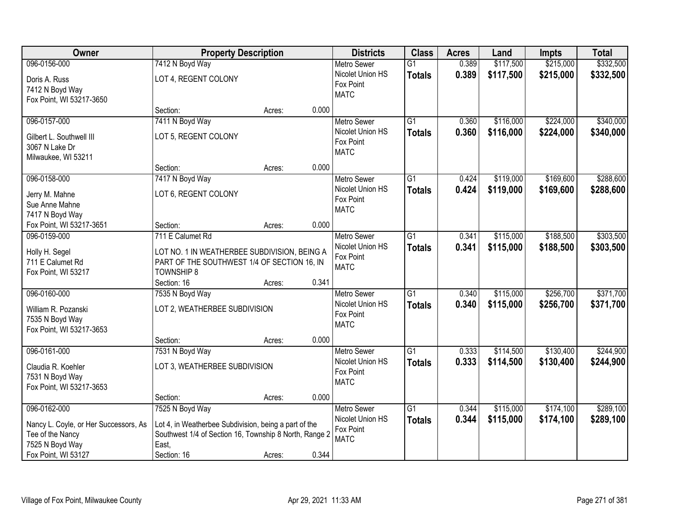| Owner                                 |                                                        | <b>Property Description</b> |       | <b>Districts</b>         | <b>Class</b>    | <b>Acres</b> | Land      | Impts     | <b>Total</b> |
|---------------------------------------|--------------------------------------------------------|-----------------------------|-------|--------------------------|-----------------|--------------|-----------|-----------|--------------|
| 096-0156-000                          | 7412 N Boyd Way                                        |                             |       | Metro Sewer              | $\overline{G1}$ | 0.389        | \$117,500 | \$215,000 | \$332,500    |
| Doris A. Russ                         | LOT 4, REGENT COLONY                                   |                             |       | Nicolet Union HS         | <b>Totals</b>   | 0.389        | \$117,500 | \$215,000 | \$332,500    |
| 7412 N Boyd Way                       |                                                        |                             |       | Fox Point                |                 |              |           |           |              |
| Fox Point, WI 53217-3650              |                                                        |                             |       | <b>MATC</b>              |                 |              |           |           |              |
|                                       | Section:                                               | Acres:                      | 0.000 |                          |                 |              |           |           |              |
| 096-0157-000                          | 7411 N Boyd Way                                        |                             |       | Metro Sewer              | $\overline{G1}$ | 0.360        | \$116,000 | \$224,000 | \$340,000    |
| Gilbert L. Southwell III              | LOT 5, REGENT COLONY                                   |                             |       | Nicolet Union HS         | <b>Totals</b>   | 0.360        | \$116,000 | \$224,000 | \$340,000    |
| 3067 N Lake Dr                        |                                                        |                             |       | Fox Point                |                 |              |           |           |              |
| Milwaukee, WI 53211                   |                                                        |                             |       | <b>MATC</b>              |                 |              |           |           |              |
|                                       | Section:                                               | Acres:                      | 0.000 |                          |                 |              |           |           |              |
| 096-0158-000                          | 7417 N Boyd Way                                        |                             |       | <b>Metro Sewer</b>       | $\overline{G1}$ | 0.424        | \$119,000 | \$169,600 | \$288,600    |
| Jerry M. Mahne                        | LOT 6, REGENT COLONY                                   |                             |       | Nicolet Union HS         | <b>Totals</b>   | 0.424        | \$119,000 | \$169,600 | \$288,600    |
| Sue Anne Mahne                        |                                                        |                             |       | Fox Point                |                 |              |           |           |              |
| 7417 N Boyd Way                       |                                                        |                             |       | <b>MATC</b>              |                 |              |           |           |              |
| Fox Point, WI 53217-3651              | Section:                                               | Acres:                      | 0.000 |                          |                 |              |           |           |              |
| 096-0159-000                          | 711 E Calumet Rd                                       |                             |       | <b>Metro Sewer</b>       | $\overline{G1}$ | 0.341        | \$115,000 | \$188,500 | \$303,500    |
| Holly H. Segel                        | LOT NO. 1 IN WEATHERBEE SUBDIVISION, BEING A           |                             |       | Nicolet Union HS         | <b>Totals</b>   | 0.341        | \$115,000 | \$188,500 | \$303,500    |
| 711 E Calumet Rd                      | PART OF THE SOUTHWEST 1/4 OF SECTION 16, IN            |                             |       | Fox Point                |                 |              |           |           |              |
| Fox Point, WI 53217                   | <b>TOWNSHIP 8</b>                                      |                             |       | <b>MATC</b>              |                 |              |           |           |              |
|                                       | Section: 16                                            | Acres:                      | 0.341 |                          |                 |              |           |           |              |
| 096-0160-000                          | 7535 N Boyd Way                                        |                             |       | <b>Metro Sewer</b>       | $\overline{G1}$ | 0.340        | \$115,000 | \$256,700 | \$371,700    |
|                                       |                                                        |                             |       | Nicolet Union HS         | <b>Totals</b>   | 0.340        | \$115,000 | \$256,700 | \$371,700    |
| William R. Pozanski                   | LOT 2, WEATHERBEE SUBDIVISION                          |                             |       | Fox Point                |                 |              |           |           |              |
| 7535 N Boyd Way                       |                                                        |                             |       | <b>MATC</b>              |                 |              |           |           |              |
| Fox Point, WI 53217-3653              |                                                        |                             |       |                          |                 |              |           |           |              |
| 096-0161-000                          | Section:<br>7531 N Boyd Way                            | Acres:                      | 0.000 | Metro Sewer              | $\overline{G1}$ | 0.333        | \$114,500 | \$130,400 | \$244,900    |
|                                       |                                                        |                             |       | Nicolet Union HS         |                 | 0.333        | \$114,500 | \$130,400 | \$244,900    |
| Claudia R. Koehler                    | LOT 3, WEATHERBEE SUBDIVISION                          |                             |       | Fox Point                | <b>Totals</b>   |              |           |           |              |
| 7531 N Boyd Way                       |                                                        |                             |       | <b>MATC</b>              |                 |              |           |           |              |
| Fox Point, WI 53217-3653              |                                                        |                             |       |                          |                 |              |           |           |              |
|                                       | Section:                                               | Acres:                      | 0.000 |                          |                 |              |           |           |              |
| 096-0162-000                          | 7525 N Boyd Way                                        |                             |       | <b>Metro Sewer</b>       | $\overline{G1}$ | 0.344        | \$115,000 | \$174,100 | \$289,100    |
| Nancy L. Coyle, or Her Successors, As | Lot 4, in Weatherbee Subdivision, being a part of the  |                             |       | Nicolet Union HS         | <b>Totals</b>   | 0.344        | \$115,000 | \$174,100 | \$289,100    |
| Tee of the Nancy                      | Southwest 1/4 of Section 16, Township 8 North, Range 2 |                             |       | Fox Point<br><b>MATC</b> |                 |              |           |           |              |
| 7525 N Boyd Way                       | East,                                                  |                             |       |                          |                 |              |           |           |              |
| Fox Point, WI 53127                   | Section: 16                                            | Acres:                      | 0.344 |                          |                 |              |           |           |              |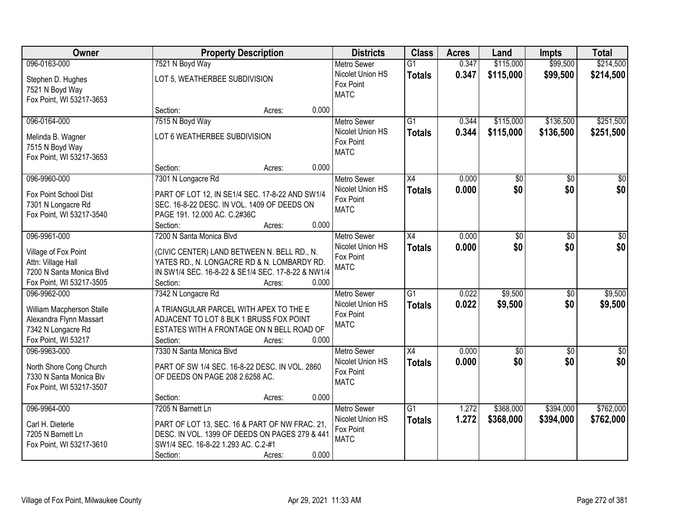| Owner                                                                                              |                                                                                                                                                                          | <b>Property Description</b> |       | <b>Districts</b>                                                   | <b>Class</b>                     | <b>Acres</b>   | Land                   | <b>Impts</b>           | <b>Total</b>           |
|----------------------------------------------------------------------------------------------------|--------------------------------------------------------------------------------------------------------------------------------------------------------------------------|-----------------------------|-------|--------------------------------------------------------------------|----------------------------------|----------------|------------------------|------------------------|------------------------|
| 096-0163-000                                                                                       | 7521 N Boyd Way                                                                                                                                                          |                             |       | <b>Metro Sewer</b>                                                 | $\overline{G1}$                  | 0.347          | \$115,000              | \$99,500               | \$214,500              |
| Stephen D. Hughes<br>7521 N Boyd Way<br>Fox Point, WI 53217-3653                                   | LOT 5, WEATHERBEE SUBDIVISION                                                                                                                                            |                             |       | Nicolet Union HS<br>Fox Point<br><b>MATC</b>                       | <b>Totals</b>                    | 0.347          | \$115,000              | \$99,500               | \$214,500              |
|                                                                                                    | Section:                                                                                                                                                                 | Acres:                      | 0.000 |                                                                    |                                  |                |                        |                        |                        |
| 096-0164-000<br>Melinda B. Wagner                                                                  | 7515 N Boyd Way<br>LOT 6 WEATHERBEE SUBDIVISION                                                                                                                          |                             |       | <b>Metro Sewer</b><br>Nicolet Union HS<br>Fox Point                | $\overline{G1}$<br><b>Totals</b> | 0.344<br>0.344 | \$115,000<br>\$115,000 | \$136,500<br>\$136,500 | \$251,500<br>\$251,500 |
| 7515 N Boyd Way<br>Fox Point, WI 53217-3653                                                        | Section:                                                                                                                                                                 | Acres:                      | 0.000 | <b>MATC</b>                                                        |                                  |                |                        |                        |                        |
| 096-9960-000                                                                                       | 7301 N Longacre Rd                                                                                                                                                       |                             |       | <b>Metro Sewer</b>                                                 | X4                               | 0.000          | \$0                    | \$0                    | $\overline{30}$        |
| Fox Point School Dist<br>7301 N Longacre Rd<br>Fox Point, WI 53217-3540                            | PART OF LOT 12, IN SE1/4 SEC. 17-8-22 AND SW1/4<br>SEC. 16-8-22 DESC. IN VOL. 1409 OF DEEDS ON<br>PAGE 191. 12.000 AC. C.2#36C<br>Section:                               | Acres:                      | 0.000 | Nicolet Union HS<br>Fox Point<br><b>MATC</b>                       | <b>Totals</b>                    | 0.000          | \$0                    | \$0                    | \$0                    |
| 096-9961-000                                                                                       | 7200 N Santa Monica Blvd                                                                                                                                                 |                             |       | <b>Metro Sewer</b>                                                 | X4                               | 0.000          | \$0                    | $\sqrt[6]{3}$          | $\sqrt{50}$            |
| Village of Fox Point<br>Attn: Village Hall<br>7200 N Santa Monica Blvd<br>Fox Point, WI 53217-3505 | (CIVIC CENTER) LAND BETWEEN N. BELL RD., N.<br>YATES RD., N. LONGACRE RD & N. LOMBARDY RD.<br>IN SW1/4 SEC. 16-8-22 & SE1/4 SEC. 17-8-22 & NW1/4<br>Section:             | Acres:                      | 0.000 | Nicolet Union HS<br>Fox Point<br><b>MATC</b>                       | <b>Totals</b>                    | 0.000          | \$0                    | \$0                    | \$0                    |
| 096-9962-000                                                                                       | 7342 N Longacre Rd                                                                                                                                                       |                             |       | <b>Metro Sewer</b>                                                 | $\overline{G1}$                  | 0.022          | \$9,500                | \$0                    | \$9,500                |
| William Macpherson Stalle<br>Alexandra Flynn Massart<br>7342 N Longacre Rd<br>Fox Point, WI 53217  | A TRIANGULAR PARCEL WITH APEX TO THE E<br>ADJACENT TO LOT 8 BLK 1 BRUSS FOX POINT<br>ESTATES WITH A FRONTAGE ON N BELL ROAD OF<br>Section:                               | Acres:                      | 0.000 | Nicolet Union HS<br>Fox Point<br><b>MATC</b>                       | <b>Totals</b>                    | 0.022          | \$9,500                | \$0                    | \$9,500                |
| 096-9963-000                                                                                       | 7330 N Santa Monica Blvd                                                                                                                                                 |                             |       | Metro Sewer                                                        | X4                               | 0.000          | $\overline{50}$        | $\overline{30}$        | $\overline{\$0}$       |
| North Shore Cong Church<br>7330 N Santa Monica Blv<br>Fox Point, WI 53217-3507                     | PART OF SW 1/4 SEC. 16-8-22 DESC. IN VOL. 2860<br>OF DEEDS ON PAGE 208 2.6258 AC.                                                                                        |                             |       | Nicolet Union HS<br>Fox Point<br><b>MATC</b>                       | <b>Totals</b>                    | 0.000          | \$0                    | \$0                    | \$0                    |
|                                                                                                    | Section:                                                                                                                                                                 | Acres:                      | 0.000 |                                                                    |                                  |                |                        |                        |                        |
| 096-9964-000<br>Carl H. Dieterle<br>7205 N Barnett Ln<br>Fox Point, WI 53217-3610                  | 7205 N Barnett Ln<br>PART OF LOT 13, SEC. 16 & PART OF NW FRAC. 21,<br>DESC. IN VOL. 1399 OF DEEDS ON PAGES 279 & 441<br>SW1/4 SEC. 16-8-22 1.293 AC. C.2-#1<br>Section: | Acres:                      | 0.000 | <b>Metro Sewer</b><br>Nicolet Union HS<br>Fox Point<br><b>MATC</b> | $\overline{G1}$<br><b>Totals</b> | 1.272<br>1.272 | \$368,000<br>\$368,000 | \$394,000<br>\$394,000 | \$762,000<br>\$762,000 |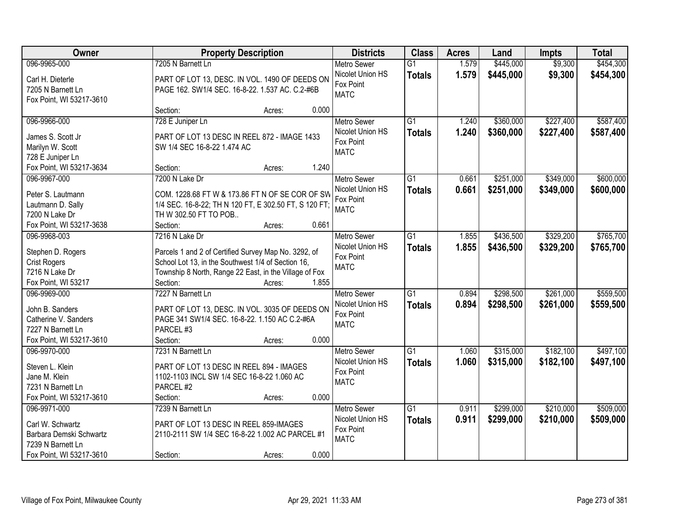| Owner                    |                                                        | <b>Property Description</b> |       | <b>Districts</b>         | <b>Class</b>    | <b>Acres</b> | Land      | <b>Impts</b> | <b>Total</b> |
|--------------------------|--------------------------------------------------------|-----------------------------|-------|--------------------------|-----------------|--------------|-----------|--------------|--------------|
| 096-9965-000             | 7205 N Barnett Ln                                      |                             |       | <b>Metro Sewer</b>       | $\overline{G1}$ | 1.579        | \$445,000 | \$9,300      | \$454,300    |
| Carl H. Dieterle         | PART OF LOT 13, DESC. IN VOL. 1490 OF DEEDS ON         |                             |       | Nicolet Union HS         | <b>Totals</b>   | 1.579        | \$445,000 | \$9,300      | \$454,300    |
| 7205 N Barnett Ln        | PAGE 162. SW1/4 SEC. 16-8-22. 1.537 AC. C.2-#6B        |                             |       | Fox Point                |                 |              |           |              |              |
| Fox Point, WI 53217-3610 |                                                        |                             |       | <b>MATC</b>              |                 |              |           |              |              |
|                          | Section:                                               | Acres:                      | 0.000 |                          |                 |              |           |              |              |
| 096-9966-000             | 728 E Juniper Ln                                       |                             |       | <b>Metro Sewer</b>       | $\overline{G1}$ | 1.240        | \$360,000 | \$227,400    | \$587,400    |
| James S. Scott Jr.       | PART OF LOT 13 DESC IN REEL 872 - IMAGE 1433           |                             |       | Nicolet Union HS         | <b>Totals</b>   | 1.240        | \$360,000 | \$227,400    | \$587,400    |
| Marilyn W. Scott         | SW 1/4 SEC 16-8-22 1.474 AC                            |                             |       | Fox Point                |                 |              |           |              |              |
| 728 E Juniper Ln         |                                                        |                             |       | <b>MATC</b>              |                 |              |           |              |              |
| Fox Point, WI 53217-3634 | Section:                                               | Acres:                      | 1.240 |                          |                 |              |           |              |              |
| 096-9967-000             | 7200 N Lake Dr                                         |                             |       | Metro Sewer              | G1              | 0.661        | \$251,000 | \$349,000    | \$600,000    |
|                          |                                                        |                             |       | Nicolet Union HS         | <b>Totals</b>   | 0.661        | \$251,000 | \$349,000    | \$600,000    |
| Peter S. Lautmann        | COM. 1228.68 FT W & 173.86 FT N OF SE COR OF SW        |                             |       | Fox Point                |                 |              |           |              |              |
| Lautmann D. Sally        | 1/4 SEC. 16-8-22; TH N 120 FT, E 302.50 FT, S 120 FT;  |                             |       | <b>MATC</b>              |                 |              |           |              |              |
| 7200 N Lake Dr           | TH W 302.50 FT TO POB                                  |                             |       |                          |                 |              |           |              |              |
| Fox Point, WI 53217-3638 | Section:                                               | Acres:                      | 0.661 |                          |                 |              |           |              |              |
| 096-9968-003             | 7216 N Lake Dr                                         |                             |       | <b>Metro Sewer</b>       | G1              | 1.855        | \$436,500 | \$329,200    | \$765,700    |
| Stephen D. Rogers        | Parcels 1 and 2 of Certified Survey Map No. 3292, of   |                             |       | Nicolet Union HS         | <b>Totals</b>   | 1.855        | \$436,500 | \$329,200    | \$765,700    |
| <b>Crist Rogers</b>      | School Lot 13, in the Southwest 1/4 of Section 16,     |                             |       | Fox Point                |                 |              |           |              |              |
| 7216 N Lake Dr           | Township 8 North, Range 22 East, in the Village of Fox |                             |       | <b>MATC</b>              |                 |              |           |              |              |
| Fox Point, WI 53217      | Section:                                               | Acres:                      | 1.855 |                          |                 |              |           |              |              |
| 096-9969-000             | 7227 N Barnett Ln                                      |                             |       | <b>Metro Sewer</b>       | $\overline{G1}$ | 0.894        | \$298,500 | \$261,000    | \$559,500    |
| John B. Sanders          | PART OF LOT 13, DESC. IN VOL. 3035 OF DEEDS ON         |                             |       | Nicolet Union HS         | <b>Totals</b>   | 0.894        | \$298,500 | \$261,000    | \$559,500    |
| Catherine V. Sanders     | PAGE 341 SW1/4 SEC. 16-8-22. 1.150 AC C.2-#6A          |                             |       | Fox Point                |                 |              |           |              |              |
| 7227 N Barnett Ln        | PARCEL #3                                              |                             |       | <b>MATC</b>              |                 |              |           |              |              |
| Fox Point, WI 53217-3610 | Section:                                               | Acres:                      | 0.000 |                          |                 |              |           |              |              |
| 096-9970-000             | 7231 N Barnett Ln                                      |                             |       | Metro Sewer              | G1              | 1.060        | \$315,000 | \$182,100    | \$497,100    |
|                          |                                                        |                             |       | Nicolet Union HS         | <b>Totals</b>   | 1.060        | \$315,000 | \$182,100    | \$497,100    |
| Steven L. Klein          | PART OF LOT 13 DESC IN REEL 894 - IMAGES               |                             |       | Fox Point                |                 |              |           |              |              |
| Jane M. Klein            | 1102-1103 INCL SW 1/4 SEC 16-8-22 1.060 AC             |                             |       | <b>MATC</b>              |                 |              |           |              |              |
| 7231 N Barnett Ln        | PARCEL #2                                              |                             |       |                          |                 |              |           |              |              |
| Fox Point, WI 53217-3610 | Section:                                               | Acres:                      | 0.000 |                          |                 |              |           |              |              |
| 096-9971-000             | 7239 N Barnett Ln                                      |                             |       | <b>Metro Sewer</b>       | $\overline{G1}$ | 0.911        | \$299,000 | \$210,000    | \$509,000    |
| Carl W. Schwartz         | PART OF LOT 13 DESC IN REEL 859-IMAGES                 |                             |       | Nicolet Union HS         | <b>Totals</b>   | 0.911        | \$299,000 | \$210,000    | \$509,000    |
| Barbara Demski Schwartz  | 2110-2111 SW 1/4 SEC 16-8-22 1.002 AC PARCEL #1        |                             |       | Fox Point<br><b>MATC</b> |                 |              |           |              |              |
| 7239 N Barnett Ln        |                                                        |                             |       |                          |                 |              |           |              |              |
| Fox Point, WI 53217-3610 | Section:                                               | Acres:                      | 0.000 |                          |                 |              |           |              |              |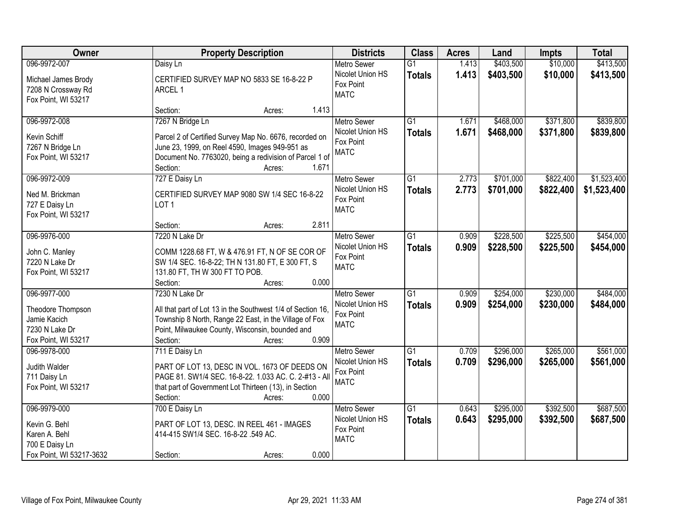| Owner                                 | <b>Property Description</b>                                 | <b>Districts</b>   | <b>Class</b>    | <b>Acres</b> | Land      | <b>Impts</b> | <b>Total</b> |
|---------------------------------------|-------------------------------------------------------------|--------------------|-----------------|--------------|-----------|--------------|--------------|
| 096-9972-007                          | Daisy Ln                                                    | <b>Metro Sewer</b> | $\overline{G1}$ | 1.413        | \$403,500 | \$10,000     | \$413,500    |
| Michael James Brody                   | CERTIFIED SURVEY MAP NO 5833 SE 16-8-22 P                   | Nicolet Union HS   | <b>Totals</b>   | 1.413        | \$403,500 | \$10,000     | \$413,500    |
| 7208 N Crossway Rd                    | ARCEL 1                                                     | Fox Point          |                 |              |           |              |              |
| Fox Point, WI 53217                   |                                                             | <b>MATC</b>        |                 |              |           |              |              |
|                                       | 1.413<br>Section:<br>Acres:                                 |                    |                 |              |           |              |              |
| 096-9972-008                          | 7267 N Bridge Ln                                            | <b>Metro Sewer</b> | $\overline{G1}$ | 1.671        | \$468,000 | \$371,800    | \$839,800    |
| Kevin Schiff                          | Parcel 2 of Certified Survey Map No. 6676, recorded on      | Nicolet Union HS   | <b>Totals</b>   | 1.671        | \$468,000 | \$371,800    | \$839,800    |
| 7267 N Bridge Ln                      | June 23, 1999, on Reel 4590, Images 949-951 as              | Fox Point          |                 |              |           |              |              |
| Fox Point, WI 53217                   | Document No. 7763020, being a redivision of Parcel 1 of     | <b>MATC</b>        |                 |              |           |              |              |
|                                       | 1.671<br>Section:<br>Acres:                                 |                    |                 |              |           |              |              |
| 096-9972-009                          | 727 E Daisy Ln                                              | <b>Metro Sewer</b> | G1              | 2.773        | \$701,000 | \$822,400    | \$1,523,400  |
|                                       | CERTIFIED SURVEY MAP 9080 SW 1/4 SEC 16-8-22                | Nicolet Union HS   | <b>Totals</b>   | 2.773        | \$701,000 | \$822,400    | \$1,523,400  |
| Ned M. Brickman                       | LOT <sub>1</sub>                                            | Fox Point          |                 |              |           |              |              |
| 727 E Daisy Ln<br>Fox Point, WI 53217 |                                                             | <b>MATC</b>        |                 |              |           |              |              |
|                                       | 2.811<br>Section:<br>Acres:                                 |                    |                 |              |           |              |              |
| 096-9976-000                          | 7220 N Lake Dr                                              | <b>Metro Sewer</b> | $\overline{G1}$ | 0.909        | \$228,500 | \$225,500    | \$454,000    |
|                                       |                                                             | Nicolet Union HS   | <b>Totals</b>   | 0.909        | \$228,500 | \$225,500    | \$454,000    |
| John C. Manley                        | COMM 1228.68 FT, W & 476.91 FT, N OF SE COR OF              | Fox Point          |                 |              |           |              |              |
| 7220 N Lake Dr                        | SW 1/4 SEC. 16-8-22; TH N 131.80 FT, E 300 FT, S            | <b>MATC</b>        |                 |              |           |              |              |
| Fox Point, WI 53217                   | 131.80 FT, TH W 300 FT TO POB.                              |                    |                 |              |           |              |              |
|                                       | 0.000<br>Section:<br>Acres:                                 |                    |                 |              |           |              |              |
| 096-9977-000                          | 7230 N Lake Dr                                              | <b>Metro Sewer</b> | $\overline{G1}$ | 0.909        | \$254,000 | \$230,000    | \$484,000    |
| Theodore Thompson                     | All that part of Lot 13 in the Southwest 1/4 of Section 16, | Nicolet Union HS   | <b>Totals</b>   | 0.909        | \$254,000 | \$230,000    | \$484,000    |
| Jamie Kacich                          | Township 8 North, Range 22 East, in the Village of Fox      | Fox Point          |                 |              |           |              |              |
| 7230 N Lake Dr                        | Point, Milwaukee County, Wisconsin, bounded and             | <b>MATC</b>        |                 |              |           |              |              |
| Fox Point, WI 53217                   | 0.909<br>Section:<br>Acres:                                 |                    |                 |              |           |              |              |
| 096-9978-000                          | 711 E Daisy Ln                                              | <b>Metro Sewer</b> | $\overline{G1}$ | 0.709        | \$296,000 | \$265,000    | \$561,000    |
| Judith Walder                         | PART OF LOT 13, DESC IN VOL. 1673 OF DEEDS ON               | Nicolet Union HS   | <b>Totals</b>   | 0.709        | \$296,000 | \$265,000    | \$561,000    |
| 711 Daisy Ln                          | PAGE 81. SW1/4 SEC. 16-8-22. 1.033 AC. C. 2-#13 - All       | Fox Point          |                 |              |           |              |              |
| Fox Point, WI 53217                   | that part of Government Lot Thirteen (13), in Section       | <b>MATC</b>        |                 |              |           |              |              |
|                                       | 0.000<br>Section:<br>Acres:                                 |                    |                 |              |           |              |              |
| 096-9979-000                          | 700 E Daisy Ln                                              | <b>Metro Sewer</b> | $\overline{G1}$ | 0.643        | \$295,000 | \$392,500    | \$687,500    |
|                                       |                                                             | Nicolet Union HS   | <b>Totals</b>   | 0.643        | \$295,000 | \$392,500    | \$687,500    |
| Kevin G. Behl                         | PART OF LOT 13, DESC. IN REEL 461 - IMAGES                  | Fox Point          |                 |              |           |              |              |
| Karen A. Behl                         | 414-415 SW1/4 SEC. 16-8-22 .549 AC.                         | <b>MATC</b>        |                 |              |           |              |              |
| 700 E Daisy Ln                        |                                                             |                    |                 |              |           |              |              |
| Fox Point, WI 53217-3632              | 0.000<br>Section:<br>Acres:                                 |                    |                 |              |           |              |              |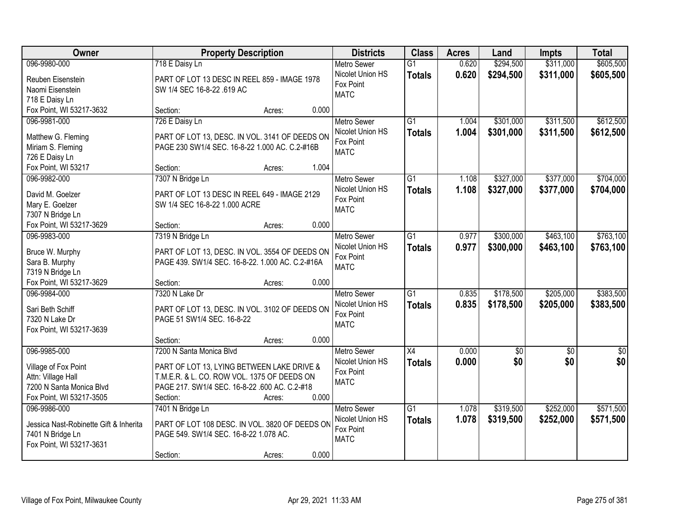| \$605,500<br>096-9980-000<br>0.620<br>\$294,500<br>\$311,000<br>718 E Daisy Ln<br>Metro Sewer<br>$\overline{G1}$<br>Nicolet Union HS<br>0.620<br>\$311,000<br>\$294,500<br>\$605,500<br><b>Totals</b><br>PART OF LOT 13 DESC IN REEL 859 - IMAGE 1978<br>Reuben Eisenstein<br>Fox Point<br>Naomi Eisenstein<br>SW 1/4 SEC 16-8-22 .619 AC<br><b>MATC</b><br>718 E Daisy Ln<br>Fox Point, WI 53217-3632<br>0.000<br>Section:<br>Acres:<br>726 E Daisy Ln<br>$\overline{G1}$<br>\$301,000<br>\$311,500<br>096-9981-000<br><b>Metro Sewer</b><br>1.004<br>Nicolet Union HS<br>1.004<br>\$301,000<br>\$311,500<br>\$612,500<br><b>Totals</b><br>PART OF LOT 13, DESC. IN VOL. 3141 OF DEEDS ON<br>Matthew G. Fleming<br>Fox Point<br>PAGE 230 SW1/4 SEC. 16-8-22 1.000 AC. C.2-#16B<br>Miriam S. Fleming<br><b>MATC</b><br>726 E Daisy Ln<br>1.004<br>Fox Point, WI 53217<br>Section:<br>Acres:<br>\$377,000<br>096-9982-000<br><b>Metro Sewer</b><br>G1<br>\$327,000<br>7307 N Bridge Ln<br>1.108<br>Nicolet Union HS<br>1.108<br>\$327,000<br>\$377,000<br><b>Totals</b><br>David M. Goelzer<br>PART OF LOT 13 DESC IN REEL 649 - IMAGE 2129<br>Fox Point<br>Mary E. Goelzer<br>SW 1/4 SEC 16-8-22 1.000 ACRE<br><b>MATC</b><br>7307 N Bridge Ln<br>0.000<br>Fox Point, WI 53217-3629<br>Section:<br>Acres:<br>096-9983-000<br>7319 N Bridge Ln<br>$\overline{G1}$<br>\$300,000<br>\$463,100<br>0.977<br><b>Metro Sewer</b><br>0.977<br>Nicolet Union HS<br>\$463,100<br>\$300,000<br>\$763,100<br><b>Totals</b><br>PART OF LOT 13, DESC. IN VOL. 3554 OF DEEDS ON<br>Bruce W. Murphy<br>Fox Point<br>PAGE 439. SW1/4 SEC. 16-8-22. 1.000 AC. C.2-#16A<br>Sara B. Murphy<br><b>MATC</b><br>7319 N Bridge Ln<br>0.000<br>Fox Point, WI 53217-3629<br>Section:<br>Acres:<br>\$178,500<br>\$205,000<br>096-9984-000<br>7320 N Lake Dr<br>$\overline{G1}$<br>0.835<br><b>Metro Sewer</b><br>0.835<br>\$178,500<br>\$205,000<br>\$383,500<br>Nicolet Union HS<br><b>Totals</b><br>Sari Beth Schiff<br>PART OF LOT 13, DESC. IN VOL. 3102 OF DEEDS ON<br>Fox Point<br>PAGE 51 SW1/4 SEC. 16-8-22<br>7320 N Lake Dr<br><b>MATC</b><br>Fox Point, WI 53217-3639<br>0.000<br>Section:<br>Acres:<br>7200 N Santa Monica Blvd<br>$\overline{X4}$<br>0.000<br>096-9985-000<br>$\overline{60}$<br>$\overline{50}$<br>Metro Sewer<br>\$0<br>0.000<br>\$0<br>\$0<br>Nicolet Union HS<br><b>Totals</b><br>Village of Fox Point<br>PART OF LOT 13, LYING BETWEEN LAKE DRIVE &<br>Fox Point<br>Attn: Village Hall<br>T.M.E.R. & L. CO. ROW VOL. 1375 OF DEEDS ON<br><b>MATC</b><br>7200 N Santa Monica Blvd<br>PAGE 217. SW1/4 SEC. 16-8-22 .600 AC. C.2-#18<br>Fox Point, WI 53217-3505<br>0.000<br>Section:<br>Acres:<br>$\overline{G1}$<br>\$319,500<br>\$252,000<br>096-9986-000<br>7401 N Bridge Ln<br>1.078<br><b>Metro Sewer</b><br>Nicolet Union HS<br>1.078<br>\$319,500<br>\$252,000<br>\$571,500<br><b>Totals</b><br>Jessica Nast-Robinette Gift & Inherita<br>PART OF LOT 108 DESC. IN VOL. 3820 OF DEEDS ON<br>Fox Point<br>7401 N Bridge Ln<br>PAGE 549. SW1/4 SEC. 16-8-22 1.078 AC.<br><b>MATC</b><br>Fox Point, WI 53217-3631 | Owner | <b>Property Description</b> | <b>Districts</b> | <b>Class</b> | <b>Acres</b> | Land | Impts | <b>Total</b> |
|----------------------------------------------------------------------------------------------------------------------------------------------------------------------------------------------------------------------------------------------------------------------------------------------------------------------------------------------------------------------------------------------------------------------------------------------------------------------------------------------------------------------------------------------------------------------------------------------------------------------------------------------------------------------------------------------------------------------------------------------------------------------------------------------------------------------------------------------------------------------------------------------------------------------------------------------------------------------------------------------------------------------------------------------------------------------------------------------------------------------------------------------------------------------------------------------------------------------------------------------------------------------------------------------------------------------------------------------------------------------------------------------------------------------------------------------------------------------------------------------------------------------------------------------------------------------------------------------------------------------------------------------------------------------------------------------------------------------------------------------------------------------------------------------------------------------------------------------------------------------------------------------------------------------------------------------------------------------------------------------------------------------------------------------------------------------------------------------------------------------------------------------------------------------------------------------------------------------------------------------------------------------------------------------------------------------------------------------------------------------------------------------------------------------------------------------------------------------------------------------------------------------------------------------------------------------------------------------------------------------------------------------------------------------------------------------------------------------------------------------------------------------------------------------------------------------------------------------------------------------------------------------------------------------------------------------------------------------------------------------------------------------------------------------------------------------------------------------------------------------------|-------|-----------------------------|------------------|--------------|--------------|------|-------|--------------|
|                                                                                                                                                                                                                                                                                                                                                                                                                                                                                                                                                                                                                                                                                                                                                                                                                                                                                                                                                                                                                                                                                                                                                                                                                                                                                                                                                                                                                                                                                                                                                                                                                                                                                                                                                                                                                                                                                                                                                                                                                                                                                                                                                                                                                                                                                                                                                                                                                                                                                                                                                                                                                                                                                                                                                                                                                                                                                                                                                                                                                                                                                                                            |       |                             |                  |              |              |      |       |              |
|                                                                                                                                                                                                                                                                                                                                                                                                                                                                                                                                                                                                                                                                                                                                                                                                                                                                                                                                                                                                                                                                                                                                                                                                                                                                                                                                                                                                                                                                                                                                                                                                                                                                                                                                                                                                                                                                                                                                                                                                                                                                                                                                                                                                                                                                                                                                                                                                                                                                                                                                                                                                                                                                                                                                                                                                                                                                                                                                                                                                                                                                                                                            |       |                             |                  |              |              |      |       |              |
| \$612,500                                                                                                                                                                                                                                                                                                                                                                                                                                                                                                                                                                                                                                                                                                                                                                                                                                                                                                                                                                                                                                                                                                                                                                                                                                                                                                                                                                                                                                                                                                                                                                                                                                                                                                                                                                                                                                                                                                                                                                                                                                                                                                                                                                                                                                                                                                                                                                                                                                                                                                                                                                                                                                                                                                                                                                                                                                                                                                                                                                                                                                                                                                                  |       |                             |                  |              |              |      |       |              |
|                                                                                                                                                                                                                                                                                                                                                                                                                                                                                                                                                                                                                                                                                                                                                                                                                                                                                                                                                                                                                                                                                                                                                                                                                                                                                                                                                                                                                                                                                                                                                                                                                                                                                                                                                                                                                                                                                                                                                                                                                                                                                                                                                                                                                                                                                                                                                                                                                                                                                                                                                                                                                                                                                                                                                                                                                                                                                                                                                                                                                                                                                                                            |       |                             |                  |              |              |      |       |              |
|                                                                                                                                                                                                                                                                                                                                                                                                                                                                                                                                                                                                                                                                                                                                                                                                                                                                                                                                                                                                                                                                                                                                                                                                                                                                                                                                                                                                                                                                                                                                                                                                                                                                                                                                                                                                                                                                                                                                                                                                                                                                                                                                                                                                                                                                                                                                                                                                                                                                                                                                                                                                                                                                                                                                                                                                                                                                                                                                                                                                                                                                                                                            |       |                             |                  |              |              |      |       |              |
| \$704,000<br>\$704,000<br>\$763,100                                                                                                                                                                                                                                                                                                                                                                                                                                                                                                                                                                                                                                                                                                                                                                                                                                                                                                                                                                                                                                                                                                                                                                                                                                                                                                                                                                                                                                                                                                                                                                                                                                                                                                                                                                                                                                                                                                                                                                                                                                                                                                                                                                                                                                                                                                                                                                                                                                                                                                                                                                                                                                                                                                                                                                                                                                                                                                                                                                                                                                                                                        |       |                             |                  |              |              |      |       |              |
|                                                                                                                                                                                                                                                                                                                                                                                                                                                                                                                                                                                                                                                                                                                                                                                                                                                                                                                                                                                                                                                                                                                                                                                                                                                                                                                                                                                                                                                                                                                                                                                                                                                                                                                                                                                                                                                                                                                                                                                                                                                                                                                                                                                                                                                                                                                                                                                                                                                                                                                                                                                                                                                                                                                                                                                                                                                                                                                                                                                                                                                                                                                            |       |                             |                  |              |              |      |       |              |
|                                                                                                                                                                                                                                                                                                                                                                                                                                                                                                                                                                                                                                                                                                                                                                                                                                                                                                                                                                                                                                                                                                                                                                                                                                                                                                                                                                                                                                                                                                                                                                                                                                                                                                                                                                                                                                                                                                                                                                                                                                                                                                                                                                                                                                                                                                                                                                                                                                                                                                                                                                                                                                                                                                                                                                                                                                                                                                                                                                                                                                                                                                                            |       |                             |                  |              |              |      |       |              |
|                                                                                                                                                                                                                                                                                                                                                                                                                                                                                                                                                                                                                                                                                                                                                                                                                                                                                                                                                                                                                                                                                                                                                                                                                                                                                                                                                                                                                                                                                                                                                                                                                                                                                                                                                                                                                                                                                                                                                                                                                                                                                                                                                                                                                                                                                                                                                                                                                                                                                                                                                                                                                                                                                                                                                                                                                                                                                                                                                                                                                                                                                                                            |       |                             |                  |              |              |      |       |              |
|                                                                                                                                                                                                                                                                                                                                                                                                                                                                                                                                                                                                                                                                                                                                                                                                                                                                                                                                                                                                                                                                                                                                                                                                                                                                                                                                                                                                                                                                                                                                                                                                                                                                                                                                                                                                                                                                                                                                                                                                                                                                                                                                                                                                                                                                                                                                                                                                                                                                                                                                                                                                                                                                                                                                                                                                                                                                                                                                                                                                                                                                                                                            |       |                             |                  |              |              |      |       |              |
|                                                                                                                                                                                                                                                                                                                                                                                                                                                                                                                                                                                                                                                                                                                                                                                                                                                                                                                                                                                                                                                                                                                                                                                                                                                                                                                                                                                                                                                                                                                                                                                                                                                                                                                                                                                                                                                                                                                                                                                                                                                                                                                                                                                                                                                                                                                                                                                                                                                                                                                                                                                                                                                                                                                                                                                                                                                                                                                                                                                                                                                                                                                            |       |                             |                  |              |              |      |       |              |
|                                                                                                                                                                                                                                                                                                                                                                                                                                                                                                                                                                                                                                                                                                                                                                                                                                                                                                                                                                                                                                                                                                                                                                                                                                                                                                                                                                                                                                                                                                                                                                                                                                                                                                                                                                                                                                                                                                                                                                                                                                                                                                                                                                                                                                                                                                                                                                                                                                                                                                                                                                                                                                                                                                                                                                                                                                                                                                                                                                                                                                                                                                                            |       |                             |                  |              |              |      |       |              |
|                                                                                                                                                                                                                                                                                                                                                                                                                                                                                                                                                                                                                                                                                                                                                                                                                                                                                                                                                                                                                                                                                                                                                                                                                                                                                                                                                                                                                                                                                                                                                                                                                                                                                                                                                                                                                                                                                                                                                                                                                                                                                                                                                                                                                                                                                                                                                                                                                                                                                                                                                                                                                                                                                                                                                                                                                                                                                                                                                                                                                                                                                                                            |       |                             |                  |              |              |      |       |              |
|                                                                                                                                                                                                                                                                                                                                                                                                                                                                                                                                                                                                                                                                                                                                                                                                                                                                                                                                                                                                                                                                                                                                                                                                                                                                                                                                                                                                                                                                                                                                                                                                                                                                                                                                                                                                                                                                                                                                                                                                                                                                                                                                                                                                                                                                                                                                                                                                                                                                                                                                                                                                                                                                                                                                                                                                                                                                                                                                                                                                                                                                                                                            |       |                             |                  |              |              |      |       |              |
|                                                                                                                                                                                                                                                                                                                                                                                                                                                                                                                                                                                                                                                                                                                                                                                                                                                                                                                                                                                                                                                                                                                                                                                                                                                                                                                                                                                                                                                                                                                                                                                                                                                                                                                                                                                                                                                                                                                                                                                                                                                                                                                                                                                                                                                                                                                                                                                                                                                                                                                                                                                                                                                                                                                                                                                                                                                                                                                                                                                                                                                                                                                            |       |                             |                  |              |              |      |       |              |
|                                                                                                                                                                                                                                                                                                                                                                                                                                                                                                                                                                                                                                                                                                                                                                                                                                                                                                                                                                                                                                                                                                                                                                                                                                                                                                                                                                                                                                                                                                                                                                                                                                                                                                                                                                                                                                                                                                                                                                                                                                                                                                                                                                                                                                                                                                                                                                                                                                                                                                                                                                                                                                                                                                                                                                                                                                                                                                                                                                                                                                                                                                                            |       |                             |                  |              |              |      |       |              |
|                                                                                                                                                                                                                                                                                                                                                                                                                                                                                                                                                                                                                                                                                                                                                                                                                                                                                                                                                                                                                                                                                                                                                                                                                                                                                                                                                                                                                                                                                                                                                                                                                                                                                                                                                                                                                                                                                                                                                                                                                                                                                                                                                                                                                                                                                                                                                                                                                                                                                                                                                                                                                                                                                                                                                                                                                                                                                                                                                                                                                                                                                                                            |       |                             |                  |              |              |      |       |              |
|                                                                                                                                                                                                                                                                                                                                                                                                                                                                                                                                                                                                                                                                                                                                                                                                                                                                                                                                                                                                                                                                                                                                                                                                                                                                                                                                                                                                                                                                                                                                                                                                                                                                                                                                                                                                                                                                                                                                                                                                                                                                                                                                                                                                                                                                                                                                                                                                                                                                                                                                                                                                                                                                                                                                                                                                                                                                                                                                                                                                                                                                                                                            |       |                             |                  |              |              |      |       |              |
| \$383,500<br>$\overline{\$0}$<br>\$571,500                                                                                                                                                                                                                                                                                                                                                                                                                                                                                                                                                                                                                                                                                                                                                                                                                                                                                                                                                                                                                                                                                                                                                                                                                                                                                                                                                                                                                                                                                                                                                                                                                                                                                                                                                                                                                                                                                                                                                                                                                                                                                                                                                                                                                                                                                                                                                                                                                                                                                                                                                                                                                                                                                                                                                                                                                                                                                                                                                                                                                                                                                 |       |                             |                  |              |              |      |       |              |
|                                                                                                                                                                                                                                                                                                                                                                                                                                                                                                                                                                                                                                                                                                                                                                                                                                                                                                                                                                                                                                                                                                                                                                                                                                                                                                                                                                                                                                                                                                                                                                                                                                                                                                                                                                                                                                                                                                                                                                                                                                                                                                                                                                                                                                                                                                                                                                                                                                                                                                                                                                                                                                                                                                                                                                                                                                                                                                                                                                                                                                                                                                                            |       |                             |                  |              |              |      |       |              |
|                                                                                                                                                                                                                                                                                                                                                                                                                                                                                                                                                                                                                                                                                                                                                                                                                                                                                                                                                                                                                                                                                                                                                                                                                                                                                                                                                                                                                                                                                                                                                                                                                                                                                                                                                                                                                                                                                                                                                                                                                                                                                                                                                                                                                                                                                                                                                                                                                                                                                                                                                                                                                                                                                                                                                                                                                                                                                                                                                                                                                                                                                                                            |       |                             |                  |              |              |      |       |              |
|                                                                                                                                                                                                                                                                                                                                                                                                                                                                                                                                                                                                                                                                                                                                                                                                                                                                                                                                                                                                                                                                                                                                                                                                                                                                                                                                                                                                                                                                                                                                                                                                                                                                                                                                                                                                                                                                                                                                                                                                                                                                                                                                                                                                                                                                                                                                                                                                                                                                                                                                                                                                                                                                                                                                                                                                                                                                                                                                                                                                                                                                                                                            |       |                             |                  |              |              |      |       |              |
|                                                                                                                                                                                                                                                                                                                                                                                                                                                                                                                                                                                                                                                                                                                                                                                                                                                                                                                                                                                                                                                                                                                                                                                                                                                                                                                                                                                                                                                                                                                                                                                                                                                                                                                                                                                                                                                                                                                                                                                                                                                                                                                                                                                                                                                                                                                                                                                                                                                                                                                                                                                                                                                                                                                                                                                                                                                                                                                                                                                                                                                                                                                            |       |                             |                  |              |              |      |       |              |
|                                                                                                                                                                                                                                                                                                                                                                                                                                                                                                                                                                                                                                                                                                                                                                                                                                                                                                                                                                                                                                                                                                                                                                                                                                                                                                                                                                                                                                                                                                                                                                                                                                                                                                                                                                                                                                                                                                                                                                                                                                                                                                                                                                                                                                                                                                                                                                                                                                                                                                                                                                                                                                                                                                                                                                                                                                                                                                                                                                                                                                                                                                                            |       |                             |                  |              |              |      |       |              |
|                                                                                                                                                                                                                                                                                                                                                                                                                                                                                                                                                                                                                                                                                                                                                                                                                                                                                                                                                                                                                                                                                                                                                                                                                                                                                                                                                                                                                                                                                                                                                                                                                                                                                                                                                                                                                                                                                                                                                                                                                                                                                                                                                                                                                                                                                                                                                                                                                                                                                                                                                                                                                                                                                                                                                                                                                                                                                                                                                                                                                                                                                                                            |       |                             |                  |              |              |      |       |              |
|                                                                                                                                                                                                                                                                                                                                                                                                                                                                                                                                                                                                                                                                                                                                                                                                                                                                                                                                                                                                                                                                                                                                                                                                                                                                                                                                                                                                                                                                                                                                                                                                                                                                                                                                                                                                                                                                                                                                                                                                                                                                                                                                                                                                                                                                                                                                                                                                                                                                                                                                                                                                                                                                                                                                                                                                                                                                                                                                                                                                                                                                                                                            |       |                             |                  |              |              |      |       |              |
|                                                                                                                                                                                                                                                                                                                                                                                                                                                                                                                                                                                                                                                                                                                                                                                                                                                                                                                                                                                                                                                                                                                                                                                                                                                                                                                                                                                                                                                                                                                                                                                                                                                                                                                                                                                                                                                                                                                                                                                                                                                                                                                                                                                                                                                                                                                                                                                                                                                                                                                                                                                                                                                                                                                                                                                                                                                                                                                                                                                                                                                                                                                            |       |                             |                  |              |              |      |       |              |
|                                                                                                                                                                                                                                                                                                                                                                                                                                                                                                                                                                                                                                                                                                                                                                                                                                                                                                                                                                                                                                                                                                                                                                                                                                                                                                                                                                                                                                                                                                                                                                                                                                                                                                                                                                                                                                                                                                                                                                                                                                                                                                                                                                                                                                                                                                                                                                                                                                                                                                                                                                                                                                                                                                                                                                                                                                                                                                                                                                                                                                                                                                                            |       |                             |                  |              |              |      |       |              |
|                                                                                                                                                                                                                                                                                                                                                                                                                                                                                                                                                                                                                                                                                                                                                                                                                                                                                                                                                                                                                                                                                                                                                                                                                                                                                                                                                                                                                                                                                                                                                                                                                                                                                                                                                                                                                                                                                                                                                                                                                                                                                                                                                                                                                                                                                                                                                                                                                                                                                                                                                                                                                                                                                                                                                                                                                                                                                                                                                                                                                                                                                                                            |       |                             |                  |              |              |      |       |              |
|                                                                                                                                                                                                                                                                                                                                                                                                                                                                                                                                                                                                                                                                                                                                                                                                                                                                                                                                                                                                                                                                                                                                                                                                                                                                                                                                                                                                                                                                                                                                                                                                                                                                                                                                                                                                                                                                                                                                                                                                                                                                                                                                                                                                                                                                                                                                                                                                                                                                                                                                                                                                                                                                                                                                                                                                                                                                                                                                                                                                                                                                                                                            |       |                             |                  |              |              |      |       |              |
|                                                                                                                                                                                                                                                                                                                                                                                                                                                                                                                                                                                                                                                                                                                                                                                                                                                                                                                                                                                                                                                                                                                                                                                                                                                                                                                                                                                                                                                                                                                                                                                                                                                                                                                                                                                                                                                                                                                                                                                                                                                                                                                                                                                                                                                                                                                                                                                                                                                                                                                                                                                                                                                                                                                                                                                                                                                                                                                                                                                                                                                                                                                            |       |                             |                  |              |              |      |       |              |
|                                                                                                                                                                                                                                                                                                                                                                                                                                                                                                                                                                                                                                                                                                                                                                                                                                                                                                                                                                                                                                                                                                                                                                                                                                                                                                                                                                                                                                                                                                                                                                                                                                                                                                                                                                                                                                                                                                                                                                                                                                                                                                                                                                                                                                                                                                                                                                                                                                                                                                                                                                                                                                                                                                                                                                                                                                                                                                                                                                                                                                                                                                                            |       |                             |                  |              |              |      |       |              |
|                                                                                                                                                                                                                                                                                                                                                                                                                                                                                                                                                                                                                                                                                                                                                                                                                                                                                                                                                                                                                                                                                                                                                                                                                                                                                                                                                                                                                                                                                                                                                                                                                                                                                                                                                                                                                                                                                                                                                                                                                                                                                                                                                                                                                                                                                                                                                                                                                                                                                                                                                                                                                                                                                                                                                                                                                                                                                                                                                                                                                                                                                                                            |       |                             |                  |              |              |      |       |              |
|                                                                                                                                                                                                                                                                                                                                                                                                                                                                                                                                                                                                                                                                                                                                                                                                                                                                                                                                                                                                                                                                                                                                                                                                                                                                                                                                                                                                                                                                                                                                                                                                                                                                                                                                                                                                                                                                                                                                                                                                                                                                                                                                                                                                                                                                                                                                                                                                                                                                                                                                                                                                                                                                                                                                                                                                                                                                                                                                                                                                                                                                                                                            |       |                             |                  |              |              |      |       |              |
|                                                                                                                                                                                                                                                                                                                                                                                                                                                                                                                                                                                                                                                                                                                                                                                                                                                                                                                                                                                                                                                                                                                                                                                                                                                                                                                                                                                                                                                                                                                                                                                                                                                                                                                                                                                                                                                                                                                                                                                                                                                                                                                                                                                                                                                                                                                                                                                                                                                                                                                                                                                                                                                                                                                                                                                                                                                                                                                                                                                                                                                                                                                            |       |                             |                  |              |              |      |       |              |
|                                                                                                                                                                                                                                                                                                                                                                                                                                                                                                                                                                                                                                                                                                                                                                                                                                                                                                                                                                                                                                                                                                                                                                                                                                                                                                                                                                                                                                                                                                                                                                                                                                                                                                                                                                                                                                                                                                                                                                                                                                                                                                                                                                                                                                                                                                                                                                                                                                                                                                                                                                                                                                                                                                                                                                                                                                                                                                                                                                                                                                                                                                                            |       |                             |                  |              |              |      |       |              |
| 0.000<br>Section:<br>Acres:                                                                                                                                                                                                                                                                                                                                                                                                                                                                                                                                                                                                                                                                                                                                                                                                                                                                                                                                                                                                                                                                                                                                                                                                                                                                                                                                                                                                                                                                                                                                                                                                                                                                                                                                                                                                                                                                                                                                                                                                                                                                                                                                                                                                                                                                                                                                                                                                                                                                                                                                                                                                                                                                                                                                                                                                                                                                                                                                                                                                                                                                                                |       |                             |                  |              |              |      |       |              |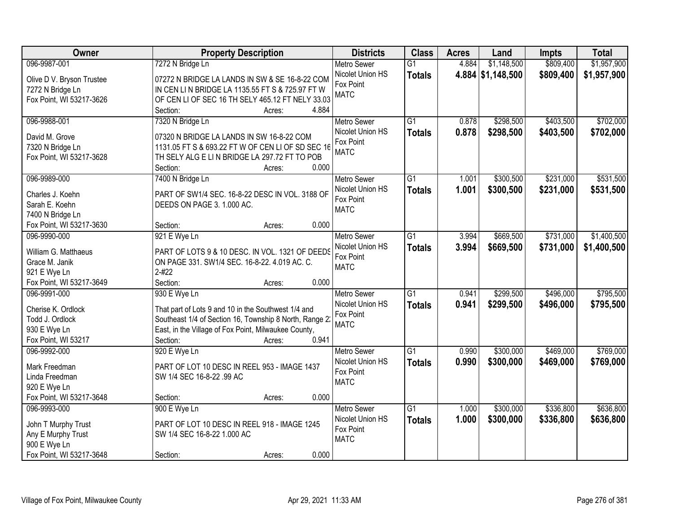| Owner                                    | <b>Property Description</b>                                |       | <b>Districts</b>              | <b>Class</b>    | <b>Acres</b> | Land              | <b>Impts</b> | <b>Total</b> |
|------------------------------------------|------------------------------------------------------------|-------|-------------------------------|-----------------|--------------|-------------------|--------------|--------------|
| 096-9987-001                             | 7272 N Bridge Ln                                           |       | <b>Metro Sewer</b>            | $\overline{G1}$ | 4.884        | \$1,148,500       | \$809,400    | \$1,957,900  |
| Olive D V. Bryson Trustee                | 07272 N BRIDGE LA LANDS IN SW & SE 16-8-22 COM             |       | Nicolet Union HS              | <b>Totals</b>   |              | 4.884 \$1,148,500 | \$809,400    | \$1,957,900  |
| 7272 N Bridge Ln                         | IN CEN LIN BRIDGE LA 1135.55 FT S & 725.97 FT W            |       | Fox Point                     |                 |              |                   |              |              |
| Fox Point, WI 53217-3626                 | OF CEN LI OF SEC 16 TH SELY 465.12 FT NELY 33.03           |       | <b>MATC</b>                   |                 |              |                   |              |              |
|                                          | Section:<br>Acres:                                         | 4.884 |                               |                 |              |                   |              |              |
| 096-9988-001                             | 7320 N Bridge Ln                                           |       | <b>Metro Sewer</b>            | $\overline{G1}$ | 0.878        | \$298,500         | \$403,500    | \$702,000    |
|                                          |                                                            |       | Nicolet Union HS              | <b>Totals</b>   | 0.878        | \$298,500         | \$403,500    | \$702,000    |
| David M. Grove                           | 07320 N BRIDGE LA LANDS IN SW 16-8-22 COM                  |       | Fox Point                     |                 |              |                   |              |              |
| 7320 N Bridge Ln                         | 1131.05 FT S & 693.22 FT W OF CEN LI OF SD SEC 16          |       | <b>MATC</b>                   |                 |              |                   |              |              |
| Fox Point, WI 53217-3628                 | TH SELY ALG E LIN BRIDGE LA 297.72 FT TO POB               | 0.000 |                               |                 |              |                   |              |              |
| 096-9989-000                             | Section:<br>Acres:                                         |       |                               | $\overline{G1}$ |              |                   | \$231,000    | \$531,500    |
|                                          | 7400 N Bridge Ln                                           |       | Metro Sewer                   |                 | 1.001        | \$300,500         |              |              |
| Charles J. Koehn                         | PART OF SW1/4 SEC. 16-8-22 DESC IN VOL. 3188 OF            |       | Nicolet Union HS              | <b>Totals</b>   | 1.001        | \$300,500         | \$231,000    | \$531,500    |
| Sarah E. Koehn                           | DEEDS ON PAGE 3. 1.000 AC.                                 |       | Fox Point                     |                 |              |                   |              |              |
| 7400 N Bridge Ln                         |                                                            |       | <b>MATC</b>                   |                 |              |                   |              |              |
| Fox Point, WI 53217-3630                 | Section:<br>Acres:                                         | 0.000 |                               |                 |              |                   |              |              |
| 096-9990-000                             | 921 E Wye Ln                                               |       | <b>Metro Sewer</b>            | $\overline{G1}$ | 3.994        | \$669,500         | \$731,000    | \$1,400,500  |
|                                          |                                                            |       | Nicolet Union HS              | <b>Totals</b>   | 3.994        | \$669,500         | \$731,000    | \$1,400,500  |
| William G. Matthaeus                     | PART OF LOTS 9 & 10 DESC. IN VOL. 1321 OF DEEDS            |       | Fox Point                     |                 |              |                   |              |              |
| Grace M. Janik                           | ON PAGE 331. SW1/4 SEC. 16-8-22. 4.019 AC. C.<br>$2 - 422$ |       | <b>MATC</b>                   |                 |              |                   |              |              |
| 921 E Wye Ln<br>Fox Point, WI 53217-3649 | Section:                                                   | 0.000 |                               |                 |              |                   |              |              |
| 096-9991-000                             | Acres:                                                     |       |                               | $\overline{G1}$ | 0.941        | \$299,500         | \$496,000    | \$795,500    |
|                                          | 930 E Wye Ln                                               |       | <b>Metro Sewer</b>            |                 |              |                   |              |              |
| Cherise K. Ordlock                       | That part of Lots 9 and 10 in the Southwest 1/4 and        |       | Nicolet Union HS<br>Fox Point | <b>Totals</b>   | 0.941        | \$299,500         | \$496,000    | \$795,500    |
| Todd J. Ordlock                          | Southeast 1/4 of Section 16, Township 8 North, Range 2     |       | <b>MATC</b>                   |                 |              |                   |              |              |
| 930 E Wye Ln                             | East, in the Village of Fox Point, Milwaukee County,       |       |                               |                 |              |                   |              |              |
| Fox Point, WI 53217                      | Section:<br>Acres:                                         | 0.941 |                               |                 |              |                   |              |              |
| 096-9992-000                             | 920 E Wye Ln                                               |       | Metro Sewer                   | $\overline{G1}$ | 0.990        | \$300,000         | \$469,000    | \$769,000    |
| Mark Freedman                            | PART OF LOT 10 DESC IN REEL 953 - IMAGE 1437               |       | Nicolet Union HS              | <b>Totals</b>   | 0.990        | \$300,000         | \$469,000    | \$769,000    |
| Linda Freedman                           | SW 1/4 SEC 16-8-22 .99 AC                                  |       | Fox Point                     |                 |              |                   |              |              |
| 920 E Wye Ln                             |                                                            |       | <b>MATC</b>                   |                 |              |                   |              |              |
| Fox Point, WI 53217-3648                 | Section:                                                   | 0.000 |                               |                 |              |                   |              |              |
| 096-9993-000                             | Acres:<br>900 E Wye Ln                                     |       | <b>Metro Sewer</b>            | $\overline{G1}$ | 1.000        | \$300,000         | \$336,800    | \$636,800    |
|                                          |                                                            |       | Nicolet Union HS              |                 |              |                   |              |              |
| John T Murphy Trust                      | PART OF LOT 10 DESC IN REEL 918 - IMAGE 1245               |       | Fox Point                     | <b>Totals</b>   | 1.000        | \$300,000         | \$336,800    | \$636,800    |
| Any E Murphy Trust                       | SW 1/4 SEC 16-8-22 1.000 AC                                |       | <b>MATC</b>                   |                 |              |                   |              |              |
| 900 E Wye Ln                             |                                                            |       |                               |                 |              |                   |              |              |
| Fox Point, WI 53217-3648                 | Section:<br>Acres:                                         | 0.000 |                               |                 |              |                   |              |              |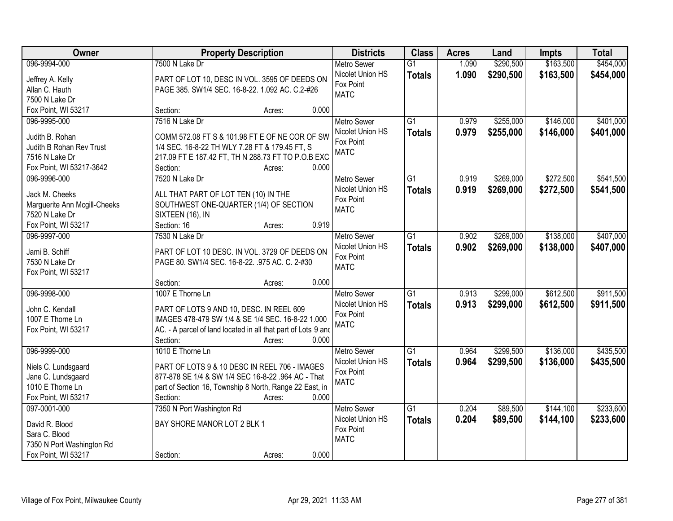| Owner                        |                                                               | <b>Property Description</b> |       | <b>Districts</b>   | <b>Class</b>    | <b>Acres</b> | Land      | <b>Impts</b> | <b>Total</b> |
|------------------------------|---------------------------------------------------------------|-----------------------------|-------|--------------------|-----------------|--------------|-----------|--------------|--------------|
| 096-9994-000                 | 7500 N Lake Dr                                                |                             |       | <b>Metro Sewer</b> | $\overline{G1}$ | 1.090        | \$290,500 | \$163,500    | \$454,000    |
| Jeffrey A. Kelly             | PART OF LOT 10, DESC IN VOL. 3595 OF DEEDS ON                 |                             |       | Nicolet Union HS   | <b>Totals</b>   | 1.090        | \$290,500 | \$163,500    | \$454,000    |
| Allan C. Hauth               | PAGE 385. SW1/4 SEC. 16-8-22. 1.092 AC. C.2-#26               |                             |       | Fox Point          |                 |              |           |              |              |
| 7500 N Lake Dr               |                                                               |                             |       | <b>MATC</b>        |                 |              |           |              |              |
| Fox Point, WI 53217          | Section:                                                      | Acres:                      | 0.000 |                    |                 |              |           |              |              |
| 096-9995-000                 | 7516 N Lake Dr                                                |                             |       | <b>Metro Sewer</b> | $\overline{G1}$ | 0.979        | \$255,000 | \$146,000    | \$401,000    |
|                              |                                                               |                             |       | Nicolet Union HS   | <b>Totals</b>   | 0.979        | \$255,000 | \$146,000    | \$401,000    |
| Judith B. Rohan              | COMM 572.08 FT S & 101.98 FT E OF NE COR OF SW                |                             |       | Fox Point          |                 |              |           |              |              |
| Judith B Rohan Rev Trust     | 1/4 SEC. 16-8-22 TH WLY 7.28 FT & 179.45 FT, S                |                             |       | <b>MATC</b>        |                 |              |           |              |              |
| 7516 N Lake Dr               | 217.09 FT E 187.42 FT, TH N 288.73 FT TO P.O.B EXC            |                             |       |                    |                 |              |           |              |              |
| Fox Point, WI 53217-3642     | Section:                                                      | Acres:                      | 0.000 |                    |                 |              |           |              |              |
| 096-9996-000                 | 7520 N Lake Dr                                                |                             |       | Metro Sewer        | $\overline{G1}$ | 0.919        | \$269,000 | \$272,500    | \$541,500    |
| Jack M. Cheeks               | ALL THAT PART OF LOT TEN (10) IN THE                          |                             |       | Nicolet Union HS   | <b>Totals</b>   | 0.919        | \$269,000 | \$272,500    | \$541,500    |
| Marguerite Ann Mcgill-Cheeks | SOUTHWEST ONE-QUARTER (1/4) OF SECTION                        |                             |       | Fox Point          |                 |              |           |              |              |
| 7520 N Lake Dr               | SIXTEEN (16), IN                                              |                             |       | <b>MATC</b>        |                 |              |           |              |              |
| Fox Point, WI 53217          | Section: 16                                                   | Acres:                      | 0.919 |                    |                 |              |           |              |              |
| 096-9997-000                 | 7530 N Lake Dr                                                |                             |       | <b>Metro Sewer</b> | $\overline{G1}$ | 0.902        | \$269,000 | \$138,000    | \$407,000    |
|                              |                                                               |                             |       | Nicolet Union HS   | <b>Totals</b>   | 0.902        | \$269,000 | \$138,000    | \$407,000    |
| Jami B. Schiff               | PART OF LOT 10 DESC. IN VOL. 3729 OF DEEDS ON                 |                             |       | Fox Point          |                 |              |           |              |              |
| 7530 N Lake Dr               | PAGE 80. SW1/4 SEC. 16-8-22. .975 AC. C. 2-#30                |                             |       | <b>MATC</b>        |                 |              |           |              |              |
| Fox Point, WI 53217          |                                                               |                             |       |                    |                 |              |           |              |              |
|                              | Section:                                                      | Acres:                      | 0.000 |                    |                 |              |           |              |              |
| 096-9998-000                 | 1007 E Thorne Ln                                              |                             |       | Metro Sewer        | $\overline{G1}$ | 0.913        | \$299,000 | \$612,500    | \$911,500    |
| John C. Kendall              | PART OF LOTS 9 AND 10, DESC. IN REEL 609                      |                             |       | Nicolet Union HS   | <b>Totals</b>   | 0.913        | \$299,000 | \$612,500    | \$911,500    |
| 1007 E Thorne Ln             | IMAGES 478-479 SW 1/4 & SE 1/4 SEC. 16-8-22 1.000             |                             |       | Fox Point          |                 |              |           |              |              |
| Fox Point, WI 53217          | AC. - A parcel of land located in all that part of Lots 9 and |                             |       | <b>MATC</b>        |                 |              |           |              |              |
|                              | Section:                                                      | Acres:                      | 0.000 |                    |                 |              |           |              |              |
| 096-9999-000                 | 1010 E Thorne Ln                                              |                             |       | <b>Metro Sewer</b> | $\overline{G1}$ | 0.964        | \$299,500 | \$136,000    | \$435,500    |
|                              |                                                               |                             |       | Nicolet Union HS   | <b>Totals</b>   | 0.964        | \$299,500 | \$136,000    | \$435,500    |
| Niels C. Lundsgaard          | PART OF LOTS 9 & 10 DESC IN REEL 706 - IMAGES                 |                             |       | Fox Point          |                 |              |           |              |              |
| Jane C. Lundsgaard           | 877-878 SE 1/4 & SW 1/4 SEC 16-8-22 .964 AC - That            |                             |       | <b>MATC</b>        |                 |              |           |              |              |
| 1010 E Thorne Ln             | part of Section 16, Township 8 North, Range 22 East, in       |                             |       |                    |                 |              |           |              |              |
| Fox Point, WI 53217          | Section:                                                      | Acres:                      | 0.000 |                    |                 |              |           |              |              |
| 097-0001-000                 | 7350 N Port Washington Rd                                     |                             |       | <b>Metro Sewer</b> | $\overline{G1}$ | 0.204        | \$89,500  | \$144,100    | \$233,600    |
| David R. Blood               | BAY SHORE MANOR LOT 2 BLK 1                                   |                             |       | Nicolet Union HS   | <b>Totals</b>   | 0.204        | \$89,500  | \$144,100    | \$233,600    |
| Sara C. Blood                |                                                               |                             |       | Fox Point          |                 |              |           |              |              |
| 7350 N Port Washington Rd    |                                                               |                             |       | <b>MATC</b>        |                 |              |           |              |              |
| Fox Point, WI 53217          | Section:                                                      | Acres:                      | 0.000 |                    |                 |              |           |              |              |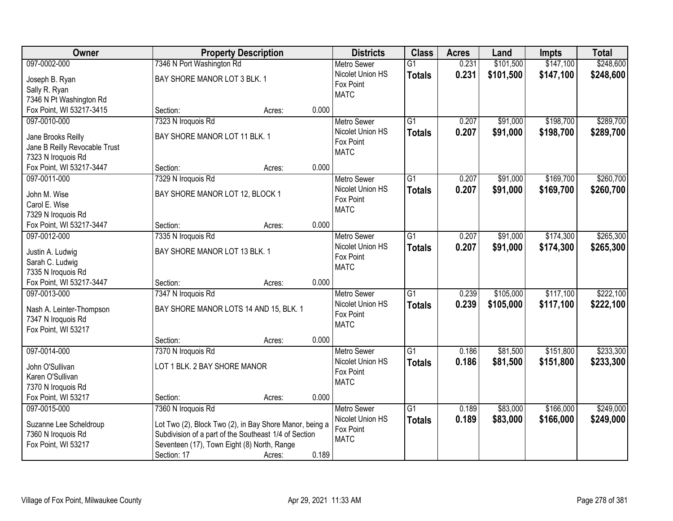| Owner                         |                                                         | <b>Property Description</b> |       | <b>Districts</b>         | <b>Class</b>    | <b>Acres</b> | Land      | <b>Impts</b> | <b>Total</b> |
|-------------------------------|---------------------------------------------------------|-----------------------------|-------|--------------------------|-----------------|--------------|-----------|--------------|--------------|
| 097-0002-000                  | 7346 N Port Washington Rd                               |                             |       | <b>Metro Sewer</b>       | $\overline{G1}$ | 0.231        | \$101,500 | \$147,100    | \$248,600    |
| Joseph B. Ryan                | BAY SHORE MANOR LOT 3 BLK. 1                            |                             |       | Nicolet Union HS         | <b>Totals</b>   | 0.231        | \$101,500 | \$147,100    | \$248,600    |
| Sally R. Ryan                 |                                                         |                             |       | Fox Point                |                 |              |           |              |              |
| 7346 N Pt Washington Rd       |                                                         |                             |       | <b>MATC</b>              |                 |              |           |              |              |
| Fox Point, WI 53217-3415      | Section:                                                | Acres:                      | 0.000 |                          |                 |              |           |              |              |
| 097-0010-000                  | 7323 N Iroquois Rd                                      |                             |       | <b>Metro Sewer</b>       | $\overline{G1}$ | 0.207        | \$91,000  | \$198,700    | \$289,700    |
|                               |                                                         |                             |       | Nicolet Union HS         | <b>Totals</b>   | 0.207        | \$91,000  | \$198,700    | \$289,700    |
| Jane Brooks Reilly            | BAY SHORE MANOR LOT 11 BLK. 1                           |                             |       | Fox Point                |                 |              |           |              |              |
| Jane B Reilly Revocable Trust |                                                         |                             |       | <b>MATC</b>              |                 |              |           |              |              |
| 7323 N Iroquois Rd            |                                                         |                             |       |                          |                 |              |           |              |              |
| Fox Point, WI 53217-3447      | Section:                                                | Acres:                      | 0.000 |                          |                 |              |           |              |              |
| 097-0011-000                  | 7329 N Iroquois Rd                                      |                             |       | <b>Metro Sewer</b>       | $\overline{G1}$ | 0.207        | \$91,000  | \$169,700    | \$260,700    |
| John M. Wise                  | BAY SHORE MANOR LOT 12, BLOCK 1                         |                             |       | Nicolet Union HS         | <b>Totals</b>   | 0.207        | \$91,000  | \$169,700    | \$260,700    |
| Carol E. Wise                 |                                                         |                             |       | Fox Point                |                 |              |           |              |              |
| 7329 N Iroquois Rd            |                                                         |                             |       | <b>MATC</b>              |                 |              |           |              |              |
| Fox Point, WI 53217-3447      | Section:                                                | Acres:                      | 0.000 |                          |                 |              |           |              |              |
| 097-0012-000                  | 7335 N Iroquois Rd                                      |                             |       | <b>Metro Sewer</b>       | $\overline{G1}$ | 0.207        | \$91,000  | \$174,300    | \$265,300    |
|                               |                                                         |                             |       | Nicolet Union HS         | <b>Totals</b>   | 0.207        | \$91,000  | \$174,300    | \$265,300    |
| Justin A. Ludwig              | BAY SHORE MANOR LOT 13 BLK. 1                           |                             |       | Fox Point                |                 |              |           |              |              |
| Sarah C. Ludwig               |                                                         |                             |       | <b>MATC</b>              |                 |              |           |              |              |
| 7335 N Iroquois Rd            |                                                         |                             |       |                          |                 |              |           |              |              |
| Fox Point, WI 53217-3447      | Section:                                                | Acres:                      | 0.000 |                          |                 |              |           |              |              |
| 097-0013-000                  | 7347 N Iroquois Rd                                      |                             |       | <b>Metro Sewer</b>       | $\overline{G1}$ | 0.239        | \$105,000 | \$117,100    | \$222,100    |
| Nash A. Leinter-Thompson      | BAY SHORE MANOR LOTS 14 AND 15, BLK. 1                  |                             |       | Nicolet Union HS         | <b>Totals</b>   | 0.239        | \$105,000 | \$117,100    | \$222,100    |
| 7347 N Iroquois Rd            |                                                         |                             |       | Fox Point<br><b>MATC</b> |                 |              |           |              |              |
| Fox Point, WI 53217           |                                                         |                             |       |                          |                 |              |           |              |              |
|                               | Section:                                                | Acres:                      | 0.000 |                          |                 |              |           |              |              |
| 097-0014-000                  | 7370 N Iroquois Rd                                      |                             |       | Metro Sewer              | $\overline{G1}$ | 0.186        | \$81,500  | \$151,800    | \$233,300    |
| John O'Sullivan               | LOT 1 BLK. 2 BAY SHORE MANOR                            |                             |       | Nicolet Union HS         | <b>Totals</b>   | 0.186        | \$81,500  | \$151,800    | \$233,300    |
| Karen O'Sullivan              |                                                         |                             |       | Fox Point                |                 |              |           |              |              |
| 7370 N Iroquois Rd            |                                                         |                             |       | <b>MATC</b>              |                 |              |           |              |              |
| Fox Point, WI 53217           | Section:                                                | Acres:                      | 0.000 |                          |                 |              |           |              |              |
| 097-0015-000                  | 7360 N Iroquois Rd                                      |                             |       | <b>Metro Sewer</b>       | $\overline{G1}$ | 0.189        | \$83,000  | \$166,000    | \$249,000    |
|                               |                                                         |                             |       | Nicolet Union HS         | <b>Totals</b>   | 0.189        | \$83,000  | \$166,000    | \$249,000    |
| Suzanne Lee Scheldroup        | Lot Two (2), Block Two (2), in Bay Shore Manor, being a |                             |       | Fox Point                |                 |              |           |              |              |
| 7360 N Iroquois Rd            | Subdivision of a part of the Southeast 1/4 of Section   |                             |       | <b>MATC</b>              |                 |              |           |              |              |
| Fox Point, WI 53217           | Seventeen (17), Town Eight (8) North, Range             |                             |       |                          |                 |              |           |              |              |
|                               | Section: 17                                             | Acres:                      | 0.189 |                          |                 |              |           |              |              |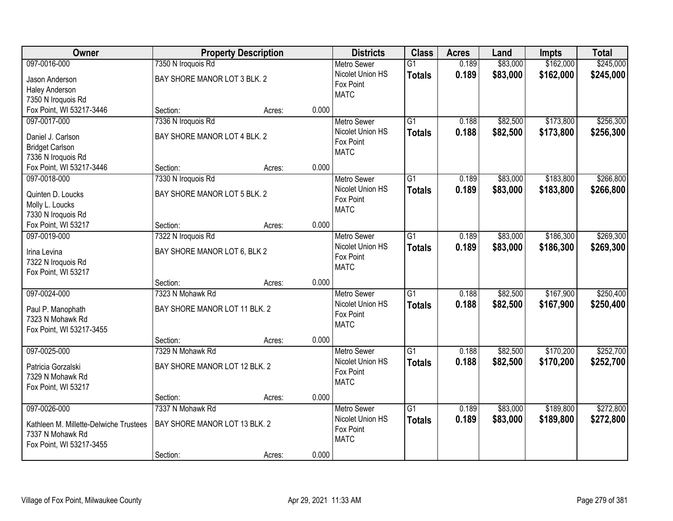| Owner                                          |                               | <b>Property Description</b> |       | <b>Districts</b>         | <b>Class</b>    | <b>Acres</b> | Land     | <b>Impts</b> | <b>Total</b> |
|------------------------------------------------|-------------------------------|-----------------------------|-------|--------------------------|-----------------|--------------|----------|--------------|--------------|
| 097-0016-000                                   | 7350 N Iroquois Rd            |                             |       | <b>Metro Sewer</b>       | $\overline{G1}$ | 0.189        | \$83,000 | \$162,000    | \$245,000    |
| Jason Anderson                                 | BAY SHORE MANOR LOT 3 BLK. 2  |                             |       | Nicolet Union HS         | <b>Totals</b>   | 0.189        | \$83,000 | \$162,000    | \$245,000    |
| <b>Haley Anderson</b>                          |                               |                             |       | Fox Point                |                 |              |          |              |              |
| 7350 N Iroquois Rd                             |                               |                             |       | <b>MATC</b>              |                 |              |          |              |              |
| Fox Point, WI 53217-3446                       | Section:                      | Acres:                      | 0.000 |                          |                 |              |          |              |              |
| 097-0017-000                                   | 7336 N Iroquois Rd            |                             |       | <b>Metro Sewer</b>       | $\overline{G1}$ | 0.188        | \$82,500 | \$173,800    | \$256,300    |
|                                                | BAY SHORE MANOR LOT 4 BLK. 2  |                             |       | Nicolet Union HS         | <b>Totals</b>   | 0.188        | \$82,500 | \$173,800    | \$256,300    |
| Daniel J. Carlson                              |                               |                             |       | Fox Point                |                 |              |          |              |              |
| <b>Bridget Carlson</b>                         |                               |                             |       | <b>MATC</b>              |                 |              |          |              |              |
| 7336 N Iroquois Rd<br>Fox Point, WI 53217-3446 | Section:                      |                             | 0.000 |                          |                 |              |          |              |              |
|                                                |                               | Acres:                      |       |                          |                 |              |          |              |              |
| 097-0018-000                                   | 7330 N Iroquois Rd            |                             |       | Metro Sewer              | $\overline{G1}$ | 0.189        | \$83,000 | \$183,800    | \$266,800    |
| Quinten D. Loucks                              | BAY SHORE MANOR LOT 5 BLK. 2  |                             |       | Nicolet Union HS         | <b>Totals</b>   | 0.189        | \$83,000 | \$183,800    | \$266,800    |
| Molly L. Loucks                                |                               |                             |       | Fox Point                |                 |              |          |              |              |
| 7330 N Iroquois Rd                             |                               |                             |       | <b>MATC</b>              |                 |              |          |              |              |
| Fox Point, WI 53217                            | Section:                      | Acres:                      | 0.000 |                          |                 |              |          |              |              |
| 097-0019-000                                   | 7322 N Iroquois Rd            |                             |       | <b>Metro Sewer</b>       | $\overline{G1}$ | 0.189        | \$83,000 | \$186,300    | \$269,300    |
|                                                |                               |                             |       | Nicolet Union HS         | <b>Totals</b>   | 0.189        | \$83,000 | \$186,300    | \$269,300    |
| Irina Levina                                   | BAY SHORE MANOR LOT 6, BLK 2  |                             |       | Fox Point                |                 |              |          |              |              |
| 7322 N Iroquois Rd                             |                               |                             |       | <b>MATC</b>              |                 |              |          |              |              |
| Fox Point, WI 53217                            | Section:                      |                             | 0.000 |                          |                 |              |          |              |              |
| 097-0024-000                                   | 7323 N Mohawk Rd              | Acres:                      |       |                          | $\overline{G1}$ | 0.188        |          |              | \$250,400    |
|                                                |                               |                             |       | Metro Sewer              |                 |              | \$82,500 | \$167,900    |              |
| Paul P. Manophath                              | BAY SHORE MANOR LOT 11 BLK. 2 |                             |       | Nicolet Union HS         | <b>Totals</b>   | 0.188        | \$82,500 | \$167,900    | \$250,400    |
| 7323 N Mohawk Rd                               |                               |                             |       | Fox Point<br><b>MATC</b> |                 |              |          |              |              |
| Fox Point, WI 53217-3455                       |                               |                             |       |                          |                 |              |          |              |              |
|                                                | Section:                      | Acres:                      | 0.000 |                          |                 |              |          |              |              |
| 097-0025-000                                   | 7329 N Mohawk Rd              |                             |       | <b>Metro Sewer</b>       | $\overline{G1}$ | 0.188        | \$82,500 | \$170,200    | \$252,700    |
| Patricia Gorzalski                             | BAY SHORE MANOR LOT 12 BLK. 2 |                             |       | Nicolet Union HS         | <b>Totals</b>   | 0.188        | \$82,500 | \$170,200    | \$252,700    |
| 7329 N Mohawk Rd                               |                               |                             |       | Fox Point                |                 |              |          |              |              |
| Fox Point, WI 53217                            |                               |                             |       | <b>MATC</b>              |                 |              |          |              |              |
|                                                | Section:                      | Acres:                      | 0.000 |                          |                 |              |          |              |              |
| 097-0026-000                                   | 7337 N Mohawk Rd              |                             |       | <b>Metro Sewer</b>       | $\overline{G1}$ | 0.189        | \$83,000 | \$189,800    | \$272,800    |
|                                                |                               |                             |       | Nicolet Union HS         | <b>Totals</b>   | 0.189        | \$83,000 | \$189,800    | \$272,800    |
| Kathleen M. Millette-Delwiche Trustees         | BAY SHORE MANOR LOT 13 BLK. 2 |                             |       | Fox Point                |                 |              |          |              |              |
| 7337 N Mohawk Rd                               |                               |                             |       | <b>MATC</b>              |                 |              |          |              |              |
| Fox Point, WI 53217-3455                       |                               |                             |       |                          |                 |              |          |              |              |
|                                                | Section:                      | Acres:                      | 0.000 |                          |                 |              |          |              |              |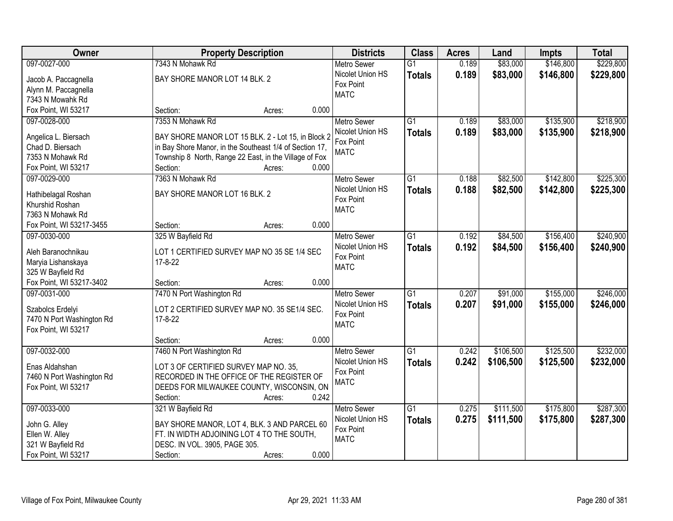| Owner                               | <b>Property Description</b>                                     | <b>Districts</b>              | <b>Class</b>    | <b>Acres</b> | Land      | <b>Impts</b> | <b>Total</b> |
|-------------------------------------|-----------------------------------------------------------------|-------------------------------|-----------------|--------------|-----------|--------------|--------------|
| 097-0027-000                        | 7343 N Mohawk Rd                                                | <b>Metro Sewer</b>            | $\overline{G1}$ | 0.189        | \$83,000  | \$146,800    | \$229,800    |
| Jacob A. Paccagnella                | BAY SHORE MANOR LOT 14 BLK. 2                                   | Nicolet Union HS              | <b>Totals</b>   | 0.189        | \$83,000  | \$146,800    | \$229,800    |
| Alynn M. Paccagnella                |                                                                 | Fox Point                     |                 |              |           |              |              |
| 7343 N Mowahk Rd                    |                                                                 | <b>MATC</b>                   |                 |              |           |              |              |
| Fox Point, WI 53217                 | 0.000<br>Section:<br>Acres:                                     |                               |                 |              |           |              |              |
| 097-0028-000                        | 7353 N Mohawk Rd                                                | <b>Metro Sewer</b>            | $\overline{G1}$ | 0.189        | \$83,000  | \$135,900    | \$218,900    |
|                                     |                                                                 | Nicolet Union HS              | <b>Totals</b>   | 0.189        | \$83,000  | \$135,900    | \$218,900    |
| Angelica L. Biersach                | BAY SHORE MANOR LOT 15 BLK. 2 - Lot 15, in Block 2              | Fox Point                     |                 |              |           |              |              |
| Chad D. Biersach                    | in Bay Shore Manor, in the Southeast 1/4 of Section 17,         | <b>MATC</b>                   |                 |              |           |              |              |
| 7353 N Mohawk Rd                    | Township 8 North, Range 22 East, in the Village of Fox<br>0.000 |                               |                 |              |           |              |              |
| Fox Point, WI 53217<br>097-0029-000 | Section:<br>Acres:<br>7363 N Mohawk Rd                          |                               | $\overline{G1}$ | 0.188        |           |              | \$225,300    |
|                                     |                                                                 | Metro Sewer                   |                 |              | \$82,500  | \$142,800    |              |
| Hathibelagal Roshan                 | BAY SHORE MANOR LOT 16 BLK. 2                                   | Nicolet Union HS<br>Fox Point | <b>Totals</b>   | 0.188        | \$82,500  | \$142,800    | \$225,300    |
| Khurshid Roshan                     |                                                                 | <b>MATC</b>                   |                 |              |           |              |              |
| 7363 N Mohawk Rd                    |                                                                 |                               |                 |              |           |              |              |
| Fox Point, WI 53217-3455            | 0.000<br>Section:<br>Acres:                                     |                               |                 |              |           |              |              |
| 097-0030-000                        | 325 W Bayfield Rd                                               | <b>Metro Sewer</b>            | G1              | 0.192        | \$84,500  | \$156,400    | \$240,900    |
| Aleh Baranochnikau                  | LOT 1 CERTIFIED SURVEY MAP NO 35 SE 1/4 SEC                     | Nicolet Union HS              | <b>Totals</b>   | 0.192        | \$84,500  | \$156,400    | \$240,900    |
| Maryia Lishanskaya                  | 17-8-22                                                         | Fox Point                     |                 |              |           |              |              |
| 325 W Bayfield Rd                   |                                                                 | <b>MATC</b>                   |                 |              |           |              |              |
| Fox Point, WI 53217-3402            | 0.000<br>Section:<br>Acres:                                     |                               |                 |              |           |              |              |
| 097-0031-000                        | 7470 N Port Washington Rd                                       | <b>Metro Sewer</b>            | $\overline{G1}$ | 0.207        | \$91,000  | \$155,000    | \$246,000    |
|                                     |                                                                 | Nicolet Union HS              | <b>Totals</b>   | 0.207        | \$91,000  | \$155,000    | \$246,000    |
| Szabolcs Erdelyi                    | LOT 2 CERTIFIED SURVEY MAP NO. 35 SE1/4 SEC.                    | Fox Point                     |                 |              |           |              |              |
| 7470 N Port Washington Rd           | 17-8-22                                                         | <b>MATC</b>                   |                 |              |           |              |              |
| Fox Point, WI 53217                 |                                                                 |                               |                 |              |           |              |              |
|                                     | 0.000<br>Section:<br>Acres:                                     |                               |                 |              |           |              |              |
| 097-0032-000                        | 7460 N Port Washington Rd                                       | <b>Metro Sewer</b>            | $\overline{G1}$ | 0.242        | \$106,500 | \$125,500    | \$232,000    |
| Enas Aldahshan                      | LOT 3 OF CERTIFIED SURVEY MAP NO. 35.                           | Nicolet Union HS              | <b>Totals</b>   | 0.242        | \$106,500 | \$125,500    | \$232,000    |
| 7460 N Port Washington Rd           | RECORDED IN THE OFFICE OF THE REGISTER OF                       | Fox Point                     |                 |              |           |              |              |
| Fox Point, WI 53217                 | DEEDS FOR MILWAUKEE COUNTY, WISCONSIN, ON                       | <b>MATC</b>                   |                 |              |           |              |              |
|                                     | 0.242<br>Section:<br>Acres:                                     |                               |                 |              |           |              |              |
| 097-0033-000                        | 321 W Bayfield Rd                                               | <b>Metro Sewer</b>            | $\overline{G1}$ | 0.275        | \$111,500 | \$175,800    | \$287,300    |
|                                     |                                                                 | Nicolet Union HS              | <b>Totals</b>   | 0.275        | \$111,500 | \$175,800    | \$287,300    |
| John G. Alley                       | BAY SHORE MANOR, LOT 4, BLK. 3 AND PARCEL 60                    | Fox Point                     |                 |              |           |              |              |
| Ellen W. Alley                      | FT. IN WIDTH ADJOINING LOT 4 TO THE SOUTH,                      | <b>MATC</b>                   |                 |              |           |              |              |
| 321 W Bayfield Rd                   | DESC. IN VOL. 3905, PAGE 305.                                   |                               |                 |              |           |              |              |
| Fox Point, WI 53217                 | 0.000<br>Section:<br>Acres:                                     |                               |                 |              |           |              |              |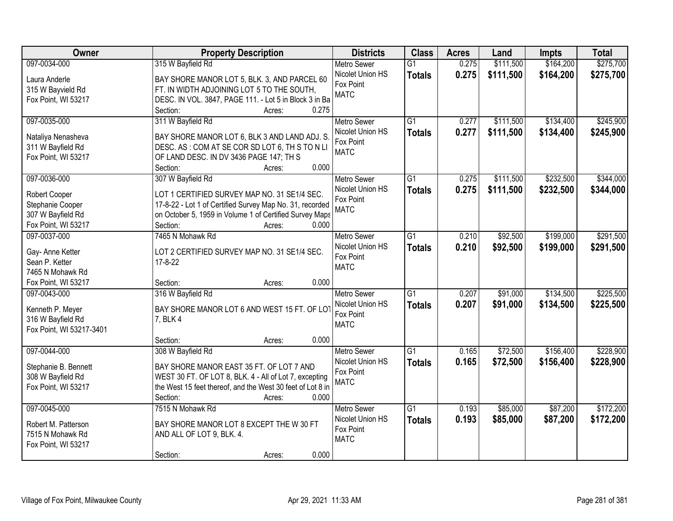| Owner                    | <b>Property Description</b>                                  | <b>Districts</b>   | <b>Class</b>    | <b>Acres</b> | Land      | <b>Impts</b> | <b>Total</b> |
|--------------------------|--------------------------------------------------------------|--------------------|-----------------|--------------|-----------|--------------|--------------|
| 097-0034-000             | 315 W Bayfield Rd                                            | <b>Metro Sewer</b> | $\overline{G1}$ | 0.275        | \$111,500 | \$164,200    | \$275,700    |
| Laura Anderle            | BAY SHORE MANOR LOT 5, BLK. 3, AND PARCEL 60                 | Nicolet Union HS   | <b>Totals</b>   | 0.275        | \$111,500 | \$164,200    | \$275,700    |
| 315 W Bayvield Rd        | FT. IN WIDTH ADJOINING LOT 5 TO THE SOUTH,                   | Fox Point          |                 |              |           |              |              |
| Fox Point, WI 53217      | DESC. IN VOL. 3847, PAGE 111. - Lot 5 in Block 3 in Ba       | <b>MATC</b>        |                 |              |           |              |              |
|                          | 0.275<br>Section:<br>Acres:                                  |                    |                 |              |           |              |              |
| 097-0035-000             | 311 W Bayfield Rd                                            | <b>Metro Sewer</b> | $\overline{G1}$ | 0.277        | \$111,500 | \$134,400    | \$245,900    |
|                          |                                                              | Nicolet Union HS   | <b>Totals</b>   | 0.277        | \$111,500 | \$134,400    | \$245,900    |
| Nataliya Nenasheva       | BAY SHORE MANOR LOT 6, BLK 3 AND LAND ADJ. S.                | Fox Point          |                 |              |           |              |              |
| 311 W Bayfield Rd        | DESC. AS: COM AT SE COR SD LOT 6, TH S TO N LI               | <b>MATC</b>        |                 |              |           |              |              |
| Fox Point, WI 53217      | OF LAND DESC. IN DV 3436 PAGE 147; TH S<br>0.000<br>Section: |                    |                 |              |           |              |              |
| 097-0036-000             | Acres:<br>307 W Bayfield Rd                                  | Metro Sewer        | G1              | 0.275        | \$111,500 | \$232,500    | \$344,000    |
|                          |                                                              | Nicolet Union HS   |                 |              |           |              |              |
| Robert Cooper            | LOT 1 CERTIFIED SURVEY MAP NO. 31 SE1/4 SEC.                 | Fox Point          | <b>Totals</b>   | 0.275        | \$111,500 | \$232,500    | \$344,000    |
| Stephanie Cooper         | 17-8-22 - Lot 1 of Certified Survey Map No. 31, recorded     | <b>MATC</b>        |                 |              |           |              |              |
| 307 W Bayfield Rd        | on October 5, 1959 in Volume 1 of Certified Survey Maps      |                    |                 |              |           |              |              |
| Fox Point, WI 53217      | Section:<br>0.000<br>Acres:                                  |                    |                 |              |           |              |              |
| 097-0037-000             | 7465 N Mohawk Rd                                             | <b>Metro Sewer</b> | G1              | 0.210        | \$92,500  | \$199,000    | \$291,500    |
| Gay- Anne Ketter         | LOT 2 CERTIFIED SURVEY MAP NO. 31 SE1/4 SEC.                 | Nicolet Union HS   | <b>Totals</b>   | 0.210        | \$92,500  | \$199,000    | \$291,500    |
| Sean P. Ketter           | 17-8-22                                                      | Fox Point          |                 |              |           |              |              |
| 7465 N Mohawk Rd         |                                                              | <b>MATC</b>        |                 |              |           |              |              |
| Fox Point, WI 53217      | 0.000<br>Section:<br>Acres:                                  |                    |                 |              |           |              |              |
| 097-0043-000             | 316 W Bayfield Rd                                            | <b>Metro Sewer</b> | $\overline{G1}$ | 0.207        | \$91,000  | \$134,500    | \$225,500    |
|                          |                                                              | Nicolet Union HS   | <b>Totals</b>   | 0.207        | \$91,000  | \$134,500    | \$225,500    |
| Kenneth P. Meyer         | BAY SHORE MANOR LOT 6 AND WEST 15 FT. OF LOT                 | Fox Point          |                 |              |           |              |              |
| 316 W Bayfield Rd        | 7, BLK 4                                                     | <b>MATC</b>        |                 |              |           |              |              |
| Fox Point, WI 53217-3401 |                                                              |                    |                 |              |           |              |              |
|                          | 0.000<br>Section:<br>Acres:                                  |                    |                 |              |           |              |              |
| 097-0044-000             | 308 W Bayfield Rd                                            | Metro Sewer        | G1              | 0.165        | \$72,500  | \$156,400    | \$228,900    |
| Stephanie B. Bennett     | BAY SHORE MANOR EAST 35 FT. OF LOT 7 AND                     | Nicolet Union HS   | <b>Totals</b>   | 0.165        | \$72,500  | \$156,400    | \$228,900    |
| 308 W Bayfield Rd        | WEST 30 FT. OF LOT 8, BLK. 4 - All of Lot 7, excepting       | Fox Point          |                 |              |           |              |              |
| Fox Point, WI 53217      | the West 15 feet thereof, and the West 30 feet of Lot 8 in   | <b>MATC</b>        |                 |              |           |              |              |
|                          | Section:<br>0.000<br>Acres:                                  |                    |                 |              |           |              |              |
| 097-0045-000             | 7515 N Mohawk Rd                                             | <b>Metro Sewer</b> | $\overline{G1}$ | 0.193        | \$85,000  | \$87,200     | \$172,200    |
|                          |                                                              | Nicolet Union HS   | <b>Totals</b>   | 0.193        | \$85,000  | \$87,200     | \$172,200    |
| Robert M. Patterson      | BAY SHORE MANOR LOT 8 EXCEPT THE W 30 FT                     | Fox Point          |                 |              |           |              |              |
| 7515 N Mohawk Rd         | AND ALL OF LOT 9, BLK. 4.                                    | <b>MATC</b>        |                 |              |           |              |              |
| Fox Point, WI 53217      |                                                              |                    |                 |              |           |              |              |
|                          | 0.000<br>Section:<br>Acres:                                  |                    |                 |              |           |              |              |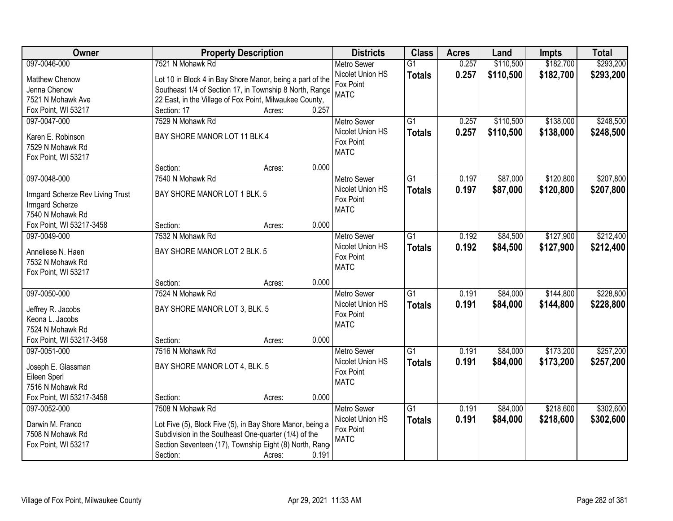| Owner                            | <b>Property Description</b>                               |                 | <b>Districts</b>              | <b>Class</b>    | <b>Acres</b> | Land      | <b>Impts</b> | <b>Total</b> |
|----------------------------------|-----------------------------------------------------------|-----------------|-------------------------------|-----------------|--------------|-----------|--------------|--------------|
| 097-0046-000                     | 7521 N Mohawk Rd                                          |                 | <b>Metro Sewer</b>            | $\overline{G1}$ | 0.257        | \$110,500 | \$182,700    | \$293,200    |
| Matthew Chenow                   | Lot 10 in Block 4 in Bay Shore Manor, being a part of the |                 | Nicolet Union HS              | <b>Totals</b>   | 0.257        | \$110,500 | \$182,700    | \$293,200    |
| Jenna Chenow                     | Southeast 1/4 of Section 17, in Township 8 North, Range   |                 | Fox Point                     |                 |              |           |              |              |
| 7521 N Mohawk Ave                | 22 East, in the Village of Fox Point, Milwaukee County,   |                 | <b>MATC</b>                   |                 |              |           |              |              |
| Fox Point, WI 53217              | Section: 17                                               | 0.257<br>Acres: |                               |                 |              |           |              |              |
| 097-0047-000                     | 7529 N Mohawk Rd                                          |                 | <b>Metro Sewer</b>            | $\overline{G1}$ | 0.257        | \$110,500 | \$138,000    | \$248,500    |
|                                  |                                                           |                 | Nicolet Union HS              | <b>Totals</b>   | 0.257        | \$110,500 | \$138,000    | \$248,500    |
| Karen E. Robinson                | BAY SHORE MANOR LOT 11 BLK.4                              |                 | Fox Point                     |                 |              |           |              |              |
| 7529 N Mohawk Rd                 |                                                           |                 | <b>MATC</b>                   |                 |              |           |              |              |
| Fox Point, WI 53217              | Section:                                                  | 0.000           |                               |                 |              |           |              |              |
| 097-0048-000                     | 7540 N Mohawk Rd                                          | Acres:          | <b>Metro Sewer</b>            | $\overline{G1}$ | 0.197        | \$87,000  | \$120,800    | \$207,800    |
|                                  |                                                           |                 | Nicolet Union HS              |                 |              |           |              |              |
| Irmgard Scherze Rev Living Trust | BAY SHORE MANOR LOT 1 BLK. 5                              |                 | Fox Point                     | <b>Totals</b>   | 0.197        | \$87,000  | \$120,800    | \$207,800    |
| Irmgard Scherze                  |                                                           |                 | <b>MATC</b>                   |                 |              |           |              |              |
| 7540 N Mohawk Rd                 |                                                           |                 |                               |                 |              |           |              |              |
| Fox Point, WI 53217-3458         | Section:                                                  | 0.000<br>Acres: |                               |                 |              |           |              |              |
| 097-0049-000                     | 7532 N Mohawk Rd                                          |                 | <b>Metro Sewer</b>            | $\overline{G1}$ | 0.192        | \$84,500  | \$127,900    | \$212,400    |
| Anneliese N. Haen                | BAY SHORE MANOR LOT 2 BLK. 5                              |                 | Nicolet Union HS              | <b>Totals</b>   | 0.192        | \$84,500  | \$127,900    | \$212,400    |
| 7532 N Mohawk Rd                 |                                                           |                 | Fox Point                     |                 |              |           |              |              |
| Fox Point, WI 53217              |                                                           |                 | <b>MATC</b>                   |                 |              |           |              |              |
|                                  | Section:                                                  | 0.000<br>Acres: |                               |                 |              |           |              |              |
| 097-0050-000                     | 7524 N Mohawk Rd                                          |                 | <b>Metro Sewer</b>            | $\overline{G1}$ | 0.191        | \$84,000  | \$144,800    | \$228,800    |
|                                  |                                                           |                 | Nicolet Union HS              | <b>Totals</b>   | 0.191        | \$84,000  | \$144,800    | \$228,800    |
| Jeffrey R. Jacobs                | BAY SHORE MANOR LOT 3, BLK. 5                             |                 | Fox Point                     |                 |              |           |              |              |
| Keona L. Jacobs                  |                                                           |                 | <b>MATC</b>                   |                 |              |           |              |              |
| 7524 N Mohawk Rd                 |                                                           |                 |                               |                 |              |           |              |              |
| Fox Point, WI 53217-3458         | Section:                                                  | 0.000<br>Acres: |                               |                 |              |           |              |              |
| 097-0051-000                     | 7516 N Mohawk Rd                                          |                 | Metro Sewer                   | $\overline{G1}$ | 0.191        | \$84,000  | \$173,200    | \$257,200    |
| Joseph E. Glassman               | BAY SHORE MANOR LOT 4, BLK. 5                             |                 | Nicolet Union HS<br>Fox Point | <b>Totals</b>   | 0.191        | \$84,000  | \$173,200    | \$257,200    |
| Eileen Sperl                     |                                                           |                 | <b>MATC</b>                   |                 |              |           |              |              |
| 7516 N Mohawk Rd                 |                                                           |                 |                               |                 |              |           |              |              |
| Fox Point, WI 53217-3458         | Section:                                                  | 0.000<br>Acres: |                               |                 |              |           |              |              |
| 097-0052-000                     | 7508 N Mohawk Rd                                          |                 | <b>Metro Sewer</b>            | $\overline{G1}$ | 0.191        | \$84,000  | \$218,600    | \$302,600    |
| Darwin M. Franco                 | Lot Five (5), Block Five (5), in Bay Shore Manor, being a |                 | Nicolet Union HS              | <b>Totals</b>   | 0.191        | \$84,000  | \$218,600    | \$302,600    |
| 7508 N Mohawk Rd                 | Subdivision in the Southeast One-quarter (1/4) of the     |                 | Fox Point                     |                 |              |           |              |              |
| Fox Point, WI 53217              | Section Seventeen (17), Township Eight (8) North, Range   |                 | <b>MATC</b>                   |                 |              |           |              |              |
|                                  | Section:                                                  | 0.191<br>Acres: |                               |                 |              |           |              |              |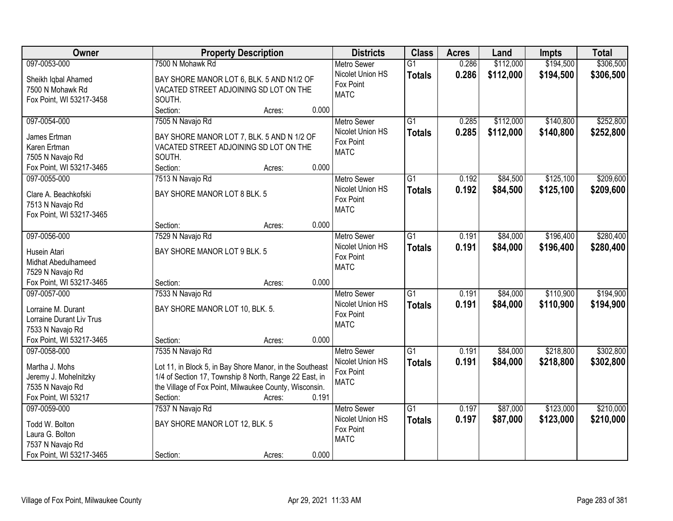| Owner                                          | <b>Property Description</b>                              | <b>Districts</b>   | <b>Class</b>    | <b>Acres</b> | Land      | <b>Impts</b> | <b>Total</b> |
|------------------------------------------------|----------------------------------------------------------|--------------------|-----------------|--------------|-----------|--------------|--------------|
| 097-0053-000                                   | 7500 N Mohawk Rd                                         | <b>Metro Sewer</b> | $\overline{G1}$ | 0.286        | \$112,000 | \$194,500    | \$306,500    |
| Sheikh Iqbal Ahamed                            | BAY SHORE MANOR LOT 6, BLK. 5 AND N1/2 OF                | Nicolet Union HS   | <b>Totals</b>   | 0.286        | \$112,000 | \$194,500    | \$306,500    |
| 7500 N Mohawk Rd                               | VACATED STREET ADJOINING SD LOT ON THE                   | Fox Point          |                 |              |           |              |              |
| Fox Point, WI 53217-3458                       | SOUTH.                                                   | <b>MATC</b>        |                 |              |           |              |              |
|                                                | 0.000<br>Section:<br>Acres:                              |                    |                 |              |           |              |              |
| 097-0054-000                                   | 7505 N Navajo Rd                                         | <b>Metro Sewer</b> | $\overline{G1}$ | 0.285        | \$112,000 | \$140,800    | \$252,800    |
| James Ertman                                   | BAY SHORE MANOR LOT 7, BLK. 5 AND N 1/2 OF               | Nicolet Union HS   | <b>Totals</b>   | 0.285        | \$112,000 | \$140,800    | \$252,800    |
| Karen Ertman                                   | VACATED STREET ADJOINING SD LOT ON THE                   | Fox Point          |                 |              |           |              |              |
| 7505 N Navajo Rd                               | SOUTH.                                                   | <b>MATC</b>        |                 |              |           |              |              |
| Fox Point, WI 53217-3465                       | 0.000<br>Section:<br>Acres:                              |                    |                 |              |           |              |              |
| 097-0055-000                                   | 7513 N Navajo Rd                                         | <b>Metro Sewer</b> | $\overline{G1}$ | 0.192        | \$84,500  | \$125,100    | \$209,600    |
|                                                |                                                          | Nicolet Union HS   | <b>Totals</b>   | 0.192        | \$84,500  | \$125,100    | \$209,600    |
| Clare A. Beachkofski                           | BAY SHORE MANOR LOT 8 BLK. 5                             | Fox Point          |                 |              |           |              |              |
| 7513 N Navajo Rd                               |                                                          | <b>MATC</b>        |                 |              |           |              |              |
| Fox Point, WI 53217-3465                       |                                                          |                    |                 |              |           |              |              |
|                                                | 0.000<br>Section:<br>Acres:                              |                    |                 |              |           |              |              |
| 097-0056-000                                   | 7529 N Navajo Rd                                         | <b>Metro Sewer</b> | $\overline{G1}$ | 0.191        | \$84,000  | \$196,400    | \$280,400    |
| Husein Atari                                   | BAY SHORE MANOR LOT 9 BLK. 5                             | Nicolet Union HS   | <b>Totals</b>   | 0.191        | \$84,000  | \$196,400    | \$280,400    |
| Midhat Abedulhameed                            |                                                          | Fox Point          |                 |              |           |              |              |
| 7529 N Navajo Rd                               |                                                          | <b>MATC</b>        |                 |              |           |              |              |
| Fox Point, WI 53217-3465                       | 0.000<br>Section:<br>Acres:                              |                    |                 |              |           |              |              |
| 097-0057-000                                   | 7533 N Navajo Rd                                         | <b>Metro Sewer</b> | $\overline{G1}$ | 0.191        | \$84,000  | \$110,900    | \$194,900    |
|                                                |                                                          | Nicolet Union HS   | <b>Totals</b>   | 0.191        | \$84,000  | \$110,900    | \$194,900    |
| Lorraine M. Durant<br>Lorraine Durant Liv Trus | BAY SHORE MANOR LOT 10, BLK. 5.                          | Fox Point          |                 |              |           |              |              |
| 7533 N Navajo Rd                               |                                                          | <b>MATC</b>        |                 |              |           |              |              |
| Fox Point, WI 53217-3465                       | 0.000<br>Section:<br>Acres:                              |                    |                 |              |           |              |              |
| 097-0058-000                                   | 7535 N Navajo Rd                                         | <b>Metro Sewer</b> | $\overline{G1}$ | 0.191        | \$84,000  | \$218,800    | \$302,800    |
|                                                |                                                          | Nicolet Union HS   |                 | 0.191        | \$84,000  | \$218,800    |              |
| Martha J. Mohs                                 | Lot 11, in Block 5, in Bay Shore Manor, in the Southeast | Fox Point          | <b>Totals</b>   |              |           |              | \$302,800    |
| Jeremy J. Mohelnitzky                          | 1/4 of Section 17, Township 8 North, Range 22 East, in   | <b>MATC</b>        |                 |              |           |              |              |
| 7535 N Navajo Rd                               | the Village of Fox Point, Milwaukee County, Wisconsin.   |                    |                 |              |           |              |              |
| Fox Point, WI 53217                            | 0.191<br>Section:<br>Acres:                              |                    |                 |              |           |              |              |
| 097-0059-000                                   | 7537 N Navajo Rd                                         | <b>Metro Sewer</b> | $\overline{G1}$ | 0.197        | \$87,000  | \$123,000    | \$210,000    |
| Todd W. Bolton                                 | BAY SHORE MANOR LOT 12, BLK. 5                           | Nicolet Union HS   | <b>Totals</b>   | 0.197        | \$87,000  | \$123,000    | \$210,000    |
| Laura G. Bolton                                |                                                          | Fox Point          |                 |              |           |              |              |
| 7537 N Navajo Rd                               |                                                          | <b>MATC</b>        |                 |              |           |              |              |
| Fox Point, WI 53217-3465                       | 0.000<br>Section:<br>Acres:                              |                    |                 |              |           |              |              |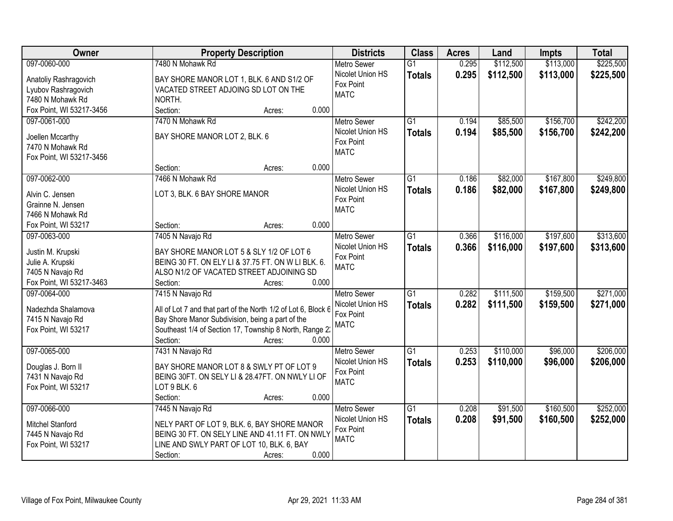| Owner                    | <b>Property Description</b>                                                                    | <b>Districts</b>         | <b>Class</b>    | <b>Acres</b> | Land      | <b>Impts</b> | <b>Total</b> |
|--------------------------|------------------------------------------------------------------------------------------------|--------------------------|-----------------|--------------|-----------|--------------|--------------|
| 097-0060-000             | 7480 N Mohawk Rd                                                                               | <b>Metro Sewer</b>       | $\overline{G1}$ | 0.295        | \$112,500 | \$113,000    | \$225,500    |
| Anatoliy Rashragovich    | BAY SHORE MANOR LOT 1, BLK. 6 AND S1/2 OF                                                      | Nicolet Union HS         | <b>Totals</b>   | 0.295        | \$112,500 | \$113,000    | \$225,500    |
| Lyubov Rashragovich      | VACATED STREET ADJOING SD LOT ON THE                                                           | Fox Point                |                 |              |           |              |              |
| 7480 N Mohawk Rd         | NORTH.                                                                                         | <b>MATC</b>              |                 |              |           |              |              |
| Fox Point, WI 53217-3456 | 0.000<br>Section:<br>Acres:                                                                    |                          |                 |              |           |              |              |
| 097-0061-000             | 7470 N Mohawk Rd                                                                               | <b>Metro Sewer</b>       | $\overline{G1}$ | 0.194        | \$85,500  | \$156,700    | \$242,200    |
|                          |                                                                                                | Nicolet Union HS         | <b>Totals</b>   | 0.194        | \$85,500  | \$156,700    | \$242,200    |
| Joellen Mccarthy         | BAY SHORE MANOR LOT 2, BLK. 6                                                                  | Fox Point                |                 |              |           |              |              |
| 7470 N Mohawk Rd         |                                                                                                | <b>MATC</b>              |                 |              |           |              |              |
| Fox Point, WI 53217-3456 | 0.000                                                                                          |                          |                 |              |           |              |              |
|                          | Section:<br>Acres:                                                                             |                          |                 |              |           |              |              |
| 097-0062-000             | 7466 N Mohawk Rd                                                                               | <b>Metro Sewer</b>       | G1              | 0.186        | \$82,000  | \$167,800    | \$249,800    |
| Alvin C. Jensen          | LOT 3, BLK. 6 BAY SHORE MANOR                                                                  | Nicolet Union HS         | <b>Totals</b>   | 0.186        | \$82,000  | \$167,800    | \$249,800    |
| Grainne N. Jensen        |                                                                                                | Fox Point<br><b>MATC</b> |                 |              |           |              |              |
| 7466 N Mohawk Rd         |                                                                                                |                          |                 |              |           |              |              |
| Fox Point, WI 53217      | 0.000<br>Section:<br>Acres:                                                                    |                          |                 |              |           |              |              |
| 097-0063-000             | 7405 N Navajo Rd                                                                               | <b>Metro Sewer</b>       | G1              | 0.366        | \$116,000 | \$197,600    | \$313,600    |
| Justin M. Krupski        | BAY SHORE MANOR LOT 5 & SLY 1/2 OF LOT 6                                                       | Nicolet Union HS         | <b>Totals</b>   | 0.366        | \$116,000 | \$197,600    | \$313,600    |
| Julie A. Krupski         | BEING 30 FT. ON ELY LI & 37.75 FT. ON W LI BLK. 6.                                             | Fox Point                |                 |              |           |              |              |
| 7405 N Navajo Rd         | ALSO N1/2 OF VACATED STREET ADJOINING SD                                                       | <b>MATC</b>              |                 |              |           |              |              |
| Fox Point, WI 53217-3463 | Section:<br>0.000<br>Acres:                                                                    |                          |                 |              |           |              |              |
| 097-0064-000             | 7415 N Navajo Rd                                                                               | <b>Metro Sewer</b>       | $\overline{G1}$ | 0.282        | \$111,500 | \$159,500    | \$271,000    |
|                          |                                                                                                | Nicolet Union HS         | <b>Totals</b>   | 0.282        | \$111,500 | \$159,500    | \$271,000    |
| Nadezhda Shalamova       | All of Lot 7 and that part of the North 1/2 of Lot 6, Block 6                                  | Fox Point                |                 |              |           |              |              |
| 7415 N Navajo Rd         | Bay Shore Manor Subdivision, being a part of the                                               | <b>MATC</b>              |                 |              |           |              |              |
| Fox Point, WI 53217      | Southeast 1/4 of Section 17, Township 8 North, Range 2:                                        |                          |                 |              |           |              |              |
|                          | 0.000<br>Section:<br>Acres:                                                                    |                          |                 |              |           |              |              |
| 097-0065-000             | 7431 N Navajo Rd                                                                               | <b>Metro Sewer</b>       | $\overline{G1}$ | 0.253        | \$110,000 | \$96,000     | \$206,000    |
| Douglas J. Born II       | BAY SHORE MANOR LOT 8 & SWLY PT OF LOT 9                                                       | Nicolet Union HS         | <b>Totals</b>   | 0.253        | \$110,000 | \$96,000     | \$206,000    |
| 7431 N Navajo Rd         | BEING 30FT. ON SELY LI & 28.47FT. ON NWLY LI OF                                                | Fox Point                |                 |              |           |              |              |
| Fox Point, WI 53217      | LOT 9 BLK. 6                                                                                   | <b>MATC</b>              |                 |              |           |              |              |
|                          | 0.000<br>Section:<br>Acres:                                                                    |                          |                 |              |           |              |              |
| 097-0066-000             | 7445 N Navajo Rd                                                                               | <b>Metro Sewer</b>       | $\overline{G1}$ | 0.208        | \$91,500  | \$160,500    | \$252,000    |
|                          |                                                                                                | Nicolet Union HS         | <b>Totals</b>   | 0.208        | \$91,500  | \$160,500    | \$252,000    |
| Mitchel Stanford         | NELY PART OF LOT 9, BLK. 6, BAY SHORE MANOR<br>BEING 30 FT. ON SELY LINE AND 41.11 FT. ON NWLY | Fox Point                |                 |              |           |              |              |
| 7445 N Navajo Rd         | LINE AND SWLY PART OF LOT 10, BLK. 6, BAY                                                      | <b>MATC</b>              |                 |              |           |              |              |
| Fox Point, WI 53217      | 0.000<br>Section:                                                                              |                          |                 |              |           |              |              |
|                          | Acres:                                                                                         |                          |                 |              |           |              |              |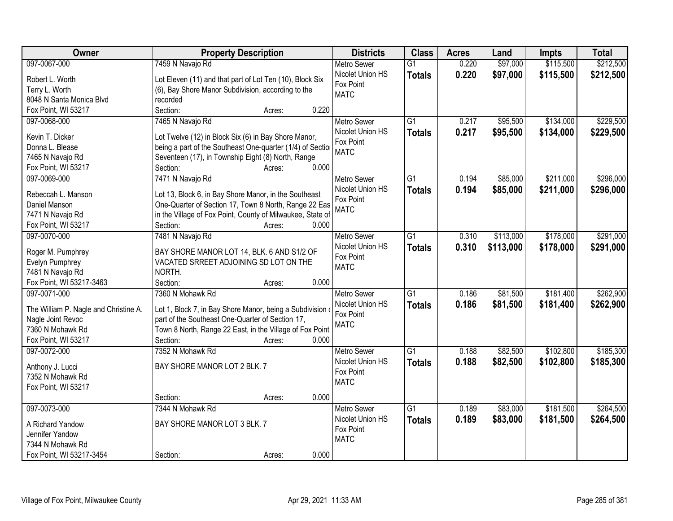| Owner                                                      | <b>Property Description</b>                                                                                 | <b>Districts</b>   | <b>Class</b>    | <b>Acres</b> | Land      | <b>Impts</b> | <b>Total</b> |
|------------------------------------------------------------|-------------------------------------------------------------------------------------------------------------|--------------------|-----------------|--------------|-----------|--------------|--------------|
| 097-0067-000                                               | 7459 N Navajo Rd                                                                                            | <b>Metro Sewer</b> | $\overline{G1}$ | 0.220        | \$97,000  | \$115,500    | \$212,500    |
| Robert L. Worth                                            | Lot Eleven (11) and that part of Lot Ten (10), Block Six                                                    | Nicolet Union HS   | <b>Totals</b>   | 0.220        | \$97,000  | \$115,500    | \$212,500    |
| Terry L. Worth                                             | (6), Bay Shore Manor Subdivision, according to the                                                          | Fox Point          |                 |              |           |              |              |
| 8048 N Santa Monica Blvd                                   | recorded                                                                                                    | <b>MATC</b>        |                 |              |           |              |              |
| Fox Point, WI 53217                                        | Section:<br>0.220<br>Acres:                                                                                 |                    |                 |              |           |              |              |
| 097-0068-000                                               | 7465 N Navajo Rd                                                                                            | <b>Metro Sewer</b> | $\overline{G1}$ | 0.217        | \$95,500  | \$134,000    | \$229,500    |
|                                                            |                                                                                                             | Nicolet Union HS   | <b>Totals</b>   | 0.217        | \$95,500  | \$134,000    | \$229,500    |
| Kevin T. Dicker                                            | Lot Twelve (12) in Block Six (6) in Bay Shore Manor,                                                        | Fox Point          |                 |              |           |              |              |
| Donna L. Blease                                            | being a part of the Southeast One-quarter (1/4) of Section                                                  | <b>MATC</b>        |                 |              |           |              |              |
| 7465 N Navajo Rd                                           | Seventeen (17), in Township Eight (8) North, Range                                                          |                    |                 |              |           |              |              |
| Fox Point, WI 53217                                        | 0.000<br>Section:<br>Acres:                                                                                 |                    |                 |              |           |              |              |
| 097-0069-000                                               | 7471 N Navajo Rd                                                                                            | Metro Sewer        | G1              | 0.194        | \$85,000  | \$211,000    | \$296,000    |
| Rebeccah L. Manson                                         | Lot 13, Block 6, in Bay Shore Manor, in the Southeast                                                       | Nicolet Union HS   | <b>Totals</b>   | 0.194        | \$85,000  | \$211,000    | \$296,000    |
| Daniel Manson                                              | One-Quarter of Section 17, Town 8 North, Range 22 Eas                                                       | Fox Point          |                 |              |           |              |              |
| 7471 N Navajo Rd                                           | in the Village of Fox Point, County of Milwaukee, State of                                                  | <b>MATC</b>        |                 |              |           |              |              |
| Fox Point, WI 53217                                        | Section:<br>0.000<br>Acres:                                                                                 |                    |                 |              |           |              |              |
| 097-0070-000                                               | 7481 N Navajo Rd                                                                                            | <b>Metro Sewer</b> | G1              | 0.310        | \$113,000 | \$178,000    | \$291,000    |
|                                                            |                                                                                                             | Nicolet Union HS   |                 | 0.310        | \$113,000 |              |              |
| Roger M. Pumphrey                                          | BAY SHORE MANOR LOT 14, BLK. 6 AND S1/2 OF                                                                  | Fox Point          | <b>Totals</b>   |              |           | \$178,000    | \$291,000    |
| Evelyn Pumphrey                                            | VACATED SRREET ADJOINING SD LOT ON THE                                                                      | <b>MATC</b>        |                 |              |           |              |              |
| 7481 N Navajo Rd                                           | NORTH.                                                                                                      |                    |                 |              |           |              |              |
| Fox Point, WI 53217-3463                                   | 0.000<br>Section:<br>Acres:                                                                                 |                    |                 |              |           |              |              |
| 097-0071-000                                               | 7360 N Mohawk Rd                                                                                            | <b>Metro Sewer</b> | $\overline{G1}$ | 0.186        | \$81,500  | \$181,400    | \$262,900    |
|                                                            |                                                                                                             | Nicolet Union HS   | <b>Totals</b>   | 0.186        | \$81,500  | \$181,400    | \$262,900    |
| The William P. Nagle and Christine A.<br>Nagle Joint Revoc | Lot 1, Block 7, in Bay Shore Manor, being a Subdivision<br>part of the Southeast One-Quarter of Section 17, | Fox Point          |                 |              |           |              |              |
| 7360 N Mohawk Rd                                           | Town 8 North, Range 22 East, in the Village of Fox Point                                                    | <b>MATC</b>        |                 |              |           |              |              |
| Fox Point, WI 53217                                        | Section:<br>0.000                                                                                           |                    |                 |              |           |              |              |
|                                                            | Acres:<br>7352 N Mohawk Rd                                                                                  |                    |                 |              |           |              |              |
| 097-0072-000                                               |                                                                                                             | <b>Metro Sewer</b> | $\overline{G1}$ | 0.188        | \$82,500  | \$102,800    | \$185,300    |
| Anthony J. Lucci                                           | BAY SHORE MANOR LOT 2 BLK. 7                                                                                | Nicolet Union HS   | <b>Totals</b>   | 0.188        | \$82,500  | \$102,800    | \$185,300    |
| 7352 N Mohawk Rd                                           |                                                                                                             | Fox Point          |                 |              |           |              |              |
| Fox Point, WI 53217                                        |                                                                                                             | <b>MATC</b>        |                 |              |           |              |              |
|                                                            | 0.000<br>Section:<br>Acres:                                                                                 |                    |                 |              |           |              |              |
| 097-0073-000                                               | 7344 N Mohawk Rd                                                                                            | <b>Metro Sewer</b> | $\overline{G1}$ | 0.189        | \$83,000  | \$181,500    | \$264,500    |
|                                                            |                                                                                                             | Nicolet Union HS   | <b>Totals</b>   | 0.189        | \$83,000  | \$181,500    | \$264,500    |
| A Richard Yandow                                           | BAY SHORE MANOR LOT 3 BLK. 7                                                                                | Fox Point          |                 |              |           |              |              |
| Jennifer Yandow                                            |                                                                                                             | <b>MATC</b>        |                 |              |           |              |              |
| 7344 N Mohawk Rd                                           |                                                                                                             |                    |                 |              |           |              |              |
| Fox Point, WI 53217-3454                                   | 0.000<br>Section:<br>Acres:                                                                                 |                    |                 |              |           |              |              |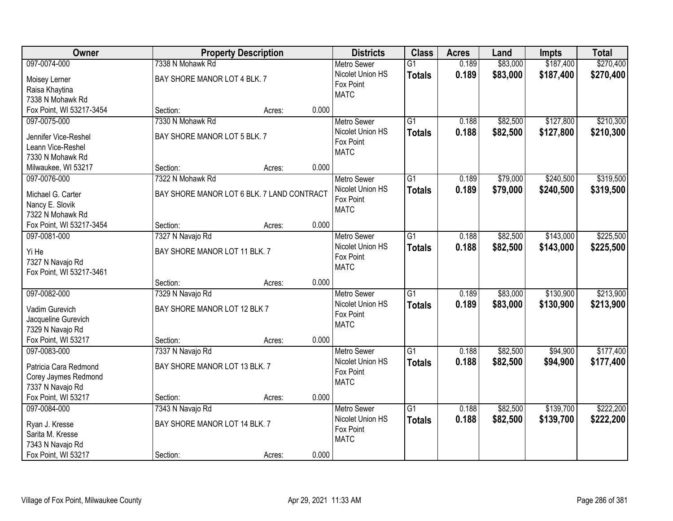| Owner                    |                                            | <b>Property Description</b> |       | <b>Districts</b>   | <b>Class</b>    | <b>Acres</b> | Land     | <b>Impts</b> | <b>Total</b> |
|--------------------------|--------------------------------------------|-----------------------------|-------|--------------------|-----------------|--------------|----------|--------------|--------------|
| 097-0074-000             | 7338 N Mohawk Rd                           |                             |       | <b>Metro Sewer</b> | $\overline{G1}$ | 0.189        | \$83,000 | \$187,400    | \$270,400    |
| Moisey Lerner            | BAY SHORE MANOR LOT 4 BLK. 7               |                             |       | Nicolet Union HS   | <b>Totals</b>   | 0.189        | \$83,000 | \$187,400    | \$270,400    |
| Raisa Khaytina           |                                            |                             |       | Fox Point          |                 |              |          |              |              |
| 7338 N Mohawk Rd         |                                            |                             |       | <b>MATC</b>        |                 |              |          |              |              |
| Fox Point, WI 53217-3454 | Section:                                   | Acres:                      | 0.000 |                    |                 |              |          |              |              |
| 097-0075-000             | 7330 N Mohawk Rd                           |                             |       | <b>Metro Sewer</b> | $\overline{G1}$ | 0.188        | \$82,500 | \$127,800    | \$210,300    |
|                          |                                            |                             |       | Nicolet Union HS   | <b>Totals</b>   | 0.188        | \$82,500 | \$127,800    | \$210,300    |
| Jennifer Vice-Reshel     | BAY SHORE MANOR LOT 5 BLK. 7               |                             |       | Fox Point          |                 |              |          |              |              |
| Leann Vice-Reshel        |                                            |                             |       | <b>MATC</b>        |                 |              |          |              |              |
| 7330 N Mohawk Rd         |                                            |                             |       |                    |                 |              |          |              |              |
| Milwaukee, WI 53217      | Section:                                   | Acres:                      | 0.000 |                    |                 |              |          |              |              |
| 097-0076-000             | 7322 N Mohawk Rd                           |                             |       | Metro Sewer        | $\overline{G1}$ | 0.189        | \$79,000 | \$240,500    | \$319,500    |
| Michael G. Carter        | BAY SHORE MANOR LOT 6 BLK. 7 LAND CONTRACT |                             |       | Nicolet Union HS   | <b>Totals</b>   | 0.189        | \$79,000 | \$240,500    | \$319,500    |
| Nancy E. Slovik          |                                            |                             |       | Fox Point          |                 |              |          |              |              |
| 7322 N Mohawk Rd         |                                            |                             |       | <b>MATC</b>        |                 |              |          |              |              |
| Fox Point, WI 53217-3454 | Section:                                   | Acres:                      | 0.000 |                    |                 |              |          |              |              |
| 097-0081-000             | 7327 N Navajo Rd                           |                             |       | <b>Metro Sewer</b> | $\overline{G1}$ | 0.188        | \$82,500 | \$143,000    | \$225,500    |
|                          |                                            |                             |       | Nicolet Union HS   | <b>Totals</b>   | 0.188        | \$82,500 | \$143,000    | \$225,500    |
| Yi He                    | BAY SHORE MANOR LOT 11 BLK. 7              |                             |       | Fox Point          |                 |              |          |              |              |
| 7327 N Navajo Rd         |                                            |                             |       | <b>MATC</b>        |                 |              |          |              |              |
| Fox Point, WI 53217-3461 | Section:                                   |                             | 0.000 |                    |                 |              |          |              |              |
| 097-0082-000             | 7329 N Navajo Rd                           | Acres:                      |       | <b>Metro Sewer</b> | $\overline{G1}$ | 0.189        | \$83,000 | \$130,900    | \$213,900    |
|                          |                                            |                             |       | Nicolet Union HS   |                 |              |          |              |              |
| Vadim Gurevich           | BAY SHORE MANOR LOT 12 BLK 7               |                             |       | Fox Point          | <b>Totals</b>   | 0.189        | \$83,000 | \$130,900    | \$213,900    |
| Jacqueline Gurevich      |                                            |                             |       | <b>MATC</b>        |                 |              |          |              |              |
| 7329 N Navajo Rd         |                                            |                             |       |                    |                 |              |          |              |              |
| Fox Point, WI 53217      | Section:                                   | Acres:                      | 0.000 |                    |                 |              |          |              |              |
| 097-0083-000             | 7337 N Navajo Rd                           |                             |       | <b>Metro Sewer</b> | $\overline{G1}$ | 0.188        | \$82,500 | \$94,900     | \$177,400    |
| Patricia Cara Redmond    | BAY SHORE MANOR LOT 13 BLK. 7              |                             |       | Nicolet Union HS   | <b>Totals</b>   | 0.188        | \$82,500 | \$94,900     | \$177,400    |
| Corey Jaymes Redmond     |                                            |                             |       | Fox Point          |                 |              |          |              |              |
| 7337 N Navajo Rd         |                                            |                             |       | <b>MATC</b>        |                 |              |          |              |              |
| Fox Point, WI 53217      | Section:                                   | Acres:                      | 0.000 |                    |                 |              |          |              |              |
| 097-0084-000             | 7343 N Navajo Rd                           |                             |       | <b>Metro Sewer</b> | $\overline{G1}$ | 0.188        | \$82,500 | \$139,700    | \$222,200    |
|                          |                                            |                             |       | Nicolet Union HS   |                 | 0.188        | \$82,500 | \$139,700    | \$222,200    |
| Ryan J. Kresse           | BAY SHORE MANOR LOT 14 BLK. 7              |                             |       | Fox Point          | <b>Totals</b>   |              |          |              |              |
| Sarita M. Kresse         |                                            |                             |       | <b>MATC</b>        |                 |              |          |              |              |
| 7343 N Navajo Rd         |                                            |                             |       |                    |                 |              |          |              |              |
| Fox Point, WI 53217      | Section:                                   | Acres:                      | 0.000 |                    |                 |              |          |              |              |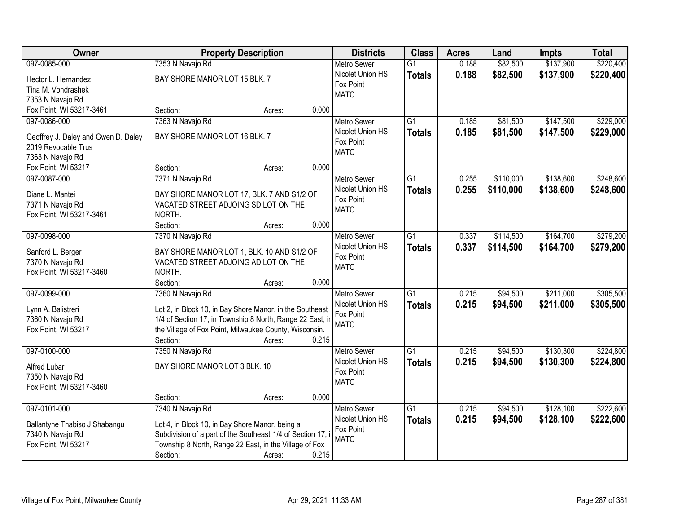| <b>Owner</b>                        | <b>Property Description</b>                                 |                 | <b>Districts</b>              | <b>Class</b>    | <b>Acres</b> | Land      | <b>Impts</b> | <b>Total</b> |
|-------------------------------------|-------------------------------------------------------------|-----------------|-------------------------------|-----------------|--------------|-----------|--------------|--------------|
| 097-0085-000                        | 7353 N Navajo Rd                                            |                 | <b>Metro Sewer</b>            | $\overline{G1}$ | 0.188        | \$82,500  | \$137,900    | \$220,400    |
| Hector L. Hernandez                 | BAY SHORE MANOR LOT 15 BLK. 7                               |                 | Nicolet Union HS              | <b>Totals</b>   | 0.188        | \$82,500  | \$137,900    | \$220,400    |
| Tina M. Vondrashek                  |                                                             |                 | Fox Point                     |                 |              |           |              |              |
| 7353 N Navajo Rd                    |                                                             |                 | <b>MATC</b>                   |                 |              |           |              |              |
| Fox Point, WI 53217-3461            | Section:                                                    | 0.000<br>Acres: |                               |                 |              |           |              |              |
| 097-0086-000                        | 7363 N Navajo Rd                                            |                 | <b>Metro Sewer</b>            | $\overline{G1}$ | 0.185        | \$81,500  | \$147,500    | \$229,000    |
|                                     |                                                             |                 | Nicolet Union HS              | <b>Totals</b>   | 0.185        | \$81,500  | \$147,500    | \$229,000    |
| Geoffrey J. Daley and Gwen D. Daley | BAY SHORE MANOR LOT 16 BLK. 7                               |                 | Fox Point                     |                 |              |           |              |              |
| 2019 Revocable Trus                 |                                                             |                 | <b>MATC</b>                   |                 |              |           |              |              |
| 7363 N Navajo Rd                    |                                                             | 0.000           |                               |                 |              |           |              |              |
| Fox Point, WI 53217                 | Section:                                                    | Acres:          |                               |                 |              |           |              |              |
| 097-0087-000                        | 7371 N Navajo Rd                                            |                 | <b>Metro Sewer</b>            | $\overline{G1}$ | 0.255        | \$110,000 | \$138,600    | \$248,600    |
| Diane L. Mantei                     | BAY SHORE MANOR LOT 17, BLK. 7 AND S1/2 OF                  |                 | Nicolet Union HS              | <b>Totals</b>   | 0.255        | \$110,000 | \$138,600    | \$248,600    |
| 7371 N Navajo Rd                    | VACATED STREET ADJOING SD LOT ON THE                        |                 | Fox Point<br><b>MATC</b>      |                 |              |           |              |              |
| Fox Point, WI 53217-3461            | NORTH.                                                      |                 |                               |                 |              |           |              |              |
|                                     | Section:                                                    | 0.000<br>Acres: |                               |                 |              |           |              |              |
| 097-0098-000                        | 7370 N Navajo Rd                                            |                 | <b>Metro Sewer</b>            | $\overline{G1}$ | 0.337        | \$114,500 | \$164,700    | \$279,200    |
|                                     |                                                             |                 | Nicolet Union HS              | <b>Totals</b>   | 0.337        | \$114,500 | \$164,700    | \$279,200    |
| Sanford L. Berger                   | BAY SHORE MANOR LOT 1, BLK. 10 AND S1/2 OF                  |                 | Fox Point                     |                 |              |           |              |              |
| 7370 N Navajo Rd                    | VACATED STREET ADJOING AD LOT ON THE<br>NORTH.              |                 | <b>MATC</b>                   |                 |              |           |              |              |
| Fox Point, WI 53217-3460            | Section:                                                    | 0.000           |                               |                 |              |           |              |              |
| 097-0099-000                        |                                                             | Acres:          |                               | $\overline{G1}$ | 0.215        |           | \$211,000    | \$305,500    |
|                                     | 7360 N Navajo Rd                                            |                 | <b>Metro Sewer</b>            |                 |              | \$94,500  |              |              |
| Lynn A. Balistreri                  | Lot 2, in Block 10, in Bay Shore Manor, in the Southeast    |                 | Nicolet Union HS<br>Fox Point | <b>Totals</b>   | 0.215        | \$94,500  | \$211,000    | \$305,500    |
| 7360 N Navajo Rd                    | 1/4 of Section 17, in Township 8 North, Range 22 East, in   |                 | <b>MATC</b>                   |                 |              |           |              |              |
| Fox Point, WI 53217                 | the Village of Fox Point, Milwaukee County, Wisconsin.      |                 |                               |                 |              |           |              |              |
|                                     | Section:                                                    | 0.215<br>Acres: |                               |                 |              |           |              |              |
| 097-0100-000                        | 7350 N Navajo Rd                                            |                 | Metro Sewer                   | $\overline{G1}$ | 0.215        | \$94,500  | \$130,300    | \$224,800    |
| Alfred Lubar                        | BAY SHORE MANOR LOT 3 BLK. 10                               |                 | Nicolet Union HS              | <b>Totals</b>   | 0.215        | \$94,500  | \$130,300    | \$224,800    |
| 7350 N Navajo Rd                    |                                                             |                 | Fox Point                     |                 |              |           |              |              |
| Fox Point, WI 53217-3460            |                                                             |                 | <b>MATC</b>                   |                 |              |           |              |              |
|                                     | Section:                                                    | 0.000<br>Acres: |                               |                 |              |           |              |              |
| 097-0101-000                        | 7340 N Navajo Rd                                            |                 | <b>Metro Sewer</b>            | $\overline{G1}$ | 0.215        | \$94,500  | \$128,100    | \$222,600    |
|                                     |                                                             |                 | Nicolet Union HS              |                 | 0.215        | \$94,500  | \$128,100    | \$222,600    |
| Ballantyne Thabiso J Shabangu       | Lot 4, in Block 10, in Bay Shore Manor, being a             |                 | Fox Point                     | <b>Totals</b>   |              |           |              |              |
| 7340 N Navajo Rd                    | Subdivision of a part of the Southeast 1/4 of Section 17, i |                 | <b>MATC</b>                   |                 |              |           |              |              |
| Fox Point, WI 53217                 | Township 8 North, Range 22 East, in the Village of Fox      |                 |                               |                 |              |           |              |              |
|                                     | Section:                                                    | 0.215<br>Acres: |                               |                 |              |           |              |              |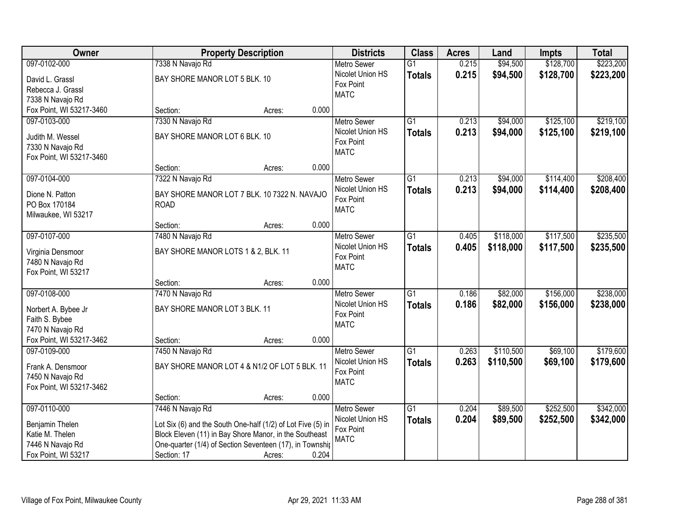| \$128,700<br>\$223,200<br>097-0102-000<br>0.215<br>\$94,500<br>7338 N Navajo Rd<br><b>Metro Sewer</b><br>$\overline{G1}$<br>0.215<br>Nicolet Union HS<br>\$94,500<br>\$128,700<br>\$223,200<br><b>Totals</b><br>BAY SHORE MANOR LOT 5 BLK. 10<br>David L. Grassl<br>Fox Point<br>Rebecca J. Grassl<br><b>MATC</b><br>7338 N Navajo Rd<br>Fox Point, WI 53217-3460<br>0.000<br>Section:<br>Acres:<br>$\overline{G1}$<br>\$125,100<br>\$219,100<br>097-0103-000<br>7330 N Navajo Rd<br>0.213<br>\$94,000<br><b>Metro Sewer</b><br>Nicolet Union HS<br>0.213<br>\$94,000<br>\$125,100<br>\$219,100<br><b>Totals</b><br>BAY SHORE MANOR LOT 6 BLK. 10<br>Judith M. Wessel<br>Fox Point<br>7330 N Navajo Rd<br><b>MATC</b><br>Fox Point, WI 53217-3460<br>0.000<br>Section:<br>Acres:<br>\$114,400<br>\$208,400<br>097-0104-000<br>7322 N Navajo Rd<br>Metro Sewer<br>$\overline{G1}$<br>0.213<br>\$94,000<br>Nicolet Union HS<br>0.213<br>\$94,000<br>\$114,400<br>\$208,400<br><b>Totals</b><br>Dione N. Patton<br>BAY SHORE MANOR LOT 7 BLK. 10 7322 N. NAVAJO<br>Fox Point<br>PO Box 170184<br><b>ROAD</b><br><b>MATC</b><br>Milwaukee, WI 53217<br>0.000<br>Section:<br>Acres:<br>\$235,500<br>097-0107-000<br>7480 N Navajo Rd<br>$\overline{G1}$<br>\$118,000<br>\$117,500<br><b>Metro Sewer</b><br>0.405<br>Nicolet Union HS<br>0.405<br>\$118,000<br>\$117,500<br>\$235,500<br><b>Totals</b><br>BAY SHORE MANOR LOTS 1 & 2, BLK. 11<br>Virginia Densmoor<br>Fox Point<br>7480 N Navajo Rd<br><b>MATC</b><br>Fox Point, WI 53217<br>0.000<br>Section:<br>Acres:<br>\$238,000<br>097-0108-000<br>$\overline{G1}$<br>0.186<br>\$82,000<br>\$156,000<br>7470 N Navajo Rd<br><b>Metro Sewer</b><br>Nicolet Union HS<br>0.186<br>\$82,000<br>\$156,000<br>\$238,000<br><b>Totals</b><br>BAY SHORE MANOR LOT 3 BLK. 11<br>Norbert A. Bybee Jr<br>Fox Point<br>Faith S. Bybee<br><b>MATC</b><br>7470 N Navajo Rd<br>Fox Point, WI 53217-3462<br>0.000<br>Section:<br>Acres:<br>$\overline{G1}$<br>\$110,500<br>\$69,100<br>\$179,600<br>097-0109-000<br>Metro Sewer<br>0.263<br>7450 N Navajo Rd<br>Nicolet Union HS<br>0.263<br>\$110,500<br>\$69,100<br>\$179,600<br><b>Totals</b><br>BAY SHORE MANOR LOT 4 & N1/2 OF LOT 5 BLK. 11<br>Frank A. Densmoor<br>Fox Point<br>7450 N Navajo Rd<br><b>MATC</b><br>Fox Point, WI 53217-3462<br>0.000<br>Section:<br>Acres:<br>\$252,500<br>097-0110-000<br>7446 N Navajo Rd<br>$\overline{G1}$<br>\$89,500<br>\$342,000<br><b>Metro Sewer</b><br>0.204<br>Nicolet Union HS<br>0.204<br>\$89,500<br>\$252,500<br>\$342,000<br><b>Totals</b><br>Benjamin Thelen<br>Lot Six (6) and the South One-half (1/2) of Lot Five (5) in<br>Fox Point<br>Katie M. Thelen<br>Block Eleven (11) in Bay Shore Manor, in the Southeast | Owner            | <b>Property Description</b> | <b>Districts</b> | <b>Class</b> | <b>Acres</b> | Land | <b>Impts</b> | <b>Total</b> |
|---------------------------------------------------------------------------------------------------------------------------------------------------------------------------------------------------------------------------------------------------------------------------------------------------------------------------------------------------------------------------------------------------------------------------------------------------------------------------------------------------------------------------------------------------------------------------------------------------------------------------------------------------------------------------------------------------------------------------------------------------------------------------------------------------------------------------------------------------------------------------------------------------------------------------------------------------------------------------------------------------------------------------------------------------------------------------------------------------------------------------------------------------------------------------------------------------------------------------------------------------------------------------------------------------------------------------------------------------------------------------------------------------------------------------------------------------------------------------------------------------------------------------------------------------------------------------------------------------------------------------------------------------------------------------------------------------------------------------------------------------------------------------------------------------------------------------------------------------------------------------------------------------------------------------------------------------------------------------------------------------------------------------------------------------------------------------------------------------------------------------------------------------------------------------------------------------------------------------------------------------------------------------------------------------------------------------------------------------------------------------------------------------------------------------------------------------------------------------------------------------------------------------------------------------------------------------------------------------------------------------------------------------------------------------------------------------------------------------------------------------------------|------------------|-----------------------------|------------------|--------------|--------------|------|--------------|--------------|
|                                                                                                                                                                                                                                                                                                                                                                                                                                                                                                                                                                                                                                                                                                                                                                                                                                                                                                                                                                                                                                                                                                                                                                                                                                                                                                                                                                                                                                                                                                                                                                                                                                                                                                                                                                                                                                                                                                                                                                                                                                                                                                                                                                                                                                                                                                                                                                                                                                                                                                                                                                                                                                                                                                                                                               |                  |                             |                  |              |              |      |              |              |
|                                                                                                                                                                                                                                                                                                                                                                                                                                                                                                                                                                                                                                                                                                                                                                                                                                                                                                                                                                                                                                                                                                                                                                                                                                                                                                                                                                                                                                                                                                                                                                                                                                                                                                                                                                                                                                                                                                                                                                                                                                                                                                                                                                                                                                                                                                                                                                                                                                                                                                                                                                                                                                                                                                                                                               |                  |                             |                  |              |              |      |              |              |
|                                                                                                                                                                                                                                                                                                                                                                                                                                                                                                                                                                                                                                                                                                                                                                                                                                                                                                                                                                                                                                                                                                                                                                                                                                                                                                                                                                                                                                                                                                                                                                                                                                                                                                                                                                                                                                                                                                                                                                                                                                                                                                                                                                                                                                                                                                                                                                                                                                                                                                                                                                                                                                                                                                                                                               |                  |                             |                  |              |              |      |              |              |
|                                                                                                                                                                                                                                                                                                                                                                                                                                                                                                                                                                                                                                                                                                                                                                                                                                                                                                                                                                                                                                                                                                                                                                                                                                                                                                                                                                                                                                                                                                                                                                                                                                                                                                                                                                                                                                                                                                                                                                                                                                                                                                                                                                                                                                                                                                                                                                                                                                                                                                                                                                                                                                                                                                                                                               |                  |                             |                  |              |              |      |              |              |
|                                                                                                                                                                                                                                                                                                                                                                                                                                                                                                                                                                                                                                                                                                                                                                                                                                                                                                                                                                                                                                                                                                                                                                                                                                                                                                                                                                                                                                                                                                                                                                                                                                                                                                                                                                                                                                                                                                                                                                                                                                                                                                                                                                                                                                                                                                                                                                                                                                                                                                                                                                                                                                                                                                                                                               |                  |                             |                  |              |              |      |              |              |
|                                                                                                                                                                                                                                                                                                                                                                                                                                                                                                                                                                                                                                                                                                                                                                                                                                                                                                                                                                                                                                                                                                                                                                                                                                                                                                                                                                                                                                                                                                                                                                                                                                                                                                                                                                                                                                                                                                                                                                                                                                                                                                                                                                                                                                                                                                                                                                                                                                                                                                                                                                                                                                                                                                                                                               |                  |                             |                  |              |              |      |              |              |
|                                                                                                                                                                                                                                                                                                                                                                                                                                                                                                                                                                                                                                                                                                                                                                                                                                                                                                                                                                                                                                                                                                                                                                                                                                                                                                                                                                                                                                                                                                                                                                                                                                                                                                                                                                                                                                                                                                                                                                                                                                                                                                                                                                                                                                                                                                                                                                                                                                                                                                                                                                                                                                                                                                                                                               |                  |                             |                  |              |              |      |              |              |
|                                                                                                                                                                                                                                                                                                                                                                                                                                                                                                                                                                                                                                                                                                                                                                                                                                                                                                                                                                                                                                                                                                                                                                                                                                                                                                                                                                                                                                                                                                                                                                                                                                                                                                                                                                                                                                                                                                                                                                                                                                                                                                                                                                                                                                                                                                                                                                                                                                                                                                                                                                                                                                                                                                                                                               |                  |                             |                  |              |              |      |              |              |
|                                                                                                                                                                                                                                                                                                                                                                                                                                                                                                                                                                                                                                                                                                                                                                                                                                                                                                                                                                                                                                                                                                                                                                                                                                                                                                                                                                                                                                                                                                                                                                                                                                                                                                                                                                                                                                                                                                                                                                                                                                                                                                                                                                                                                                                                                                                                                                                                                                                                                                                                                                                                                                                                                                                                                               |                  |                             |                  |              |              |      |              |              |
|                                                                                                                                                                                                                                                                                                                                                                                                                                                                                                                                                                                                                                                                                                                                                                                                                                                                                                                                                                                                                                                                                                                                                                                                                                                                                                                                                                                                                                                                                                                                                                                                                                                                                                                                                                                                                                                                                                                                                                                                                                                                                                                                                                                                                                                                                                                                                                                                                                                                                                                                                                                                                                                                                                                                                               |                  |                             |                  |              |              |      |              |              |
|                                                                                                                                                                                                                                                                                                                                                                                                                                                                                                                                                                                                                                                                                                                                                                                                                                                                                                                                                                                                                                                                                                                                                                                                                                                                                                                                                                                                                                                                                                                                                                                                                                                                                                                                                                                                                                                                                                                                                                                                                                                                                                                                                                                                                                                                                                                                                                                                                                                                                                                                                                                                                                                                                                                                                               |                  |                             |                  |              |              |      |              |              |
|                                                                                                                                                                                                                                                                                                                                                                                                                                                                                                                                                                                                                                                                                                                                                                                                                                                                                                                                                                                                                                                                                                                                                                                                                                                                                                                                                                                                                                                                                                                                                                                                                                                                                                                                                                                                                                                                                                                                                                                                                                                                                                                                                                                                                                                                                                                                                                                                                                                                                                                                                                                                                                                                                                                                                               |                  |                             |                  |              |              |      |              |              |
|                                                                                                                                                                                                                                                                                                                                                                                                                                                                                                                                                                                                                                                                                                                                                                                                                                                                                                                                                                                                                                                                                                                                                                                                                                                                                                                                                                                                                                                                                                                                                                                                                                                                                                                                                                                                                                                                                                                                                                                                                                                                                                                                                                                                                                                                                                                                                                                                                                                                                                                                                                                                                                                                                                                                                               |                  |                             |                  |              |              |      |              |              |
|                                                                                                                                                                                                                                                                                                                                                                                                                                                                                                                                                                                                                                                                                                                                                                                                                                                                                                                                                                                                                                                                                                                                                                                                                                                                                                                                                                                                                                                                                                                                                                                                                                                                                                                                                                                                                                                                                                                                                                                                                                                                                                                                                                                                                                                                                                                                                                                                                                                                                                                                                                                                                                                                                                                                                               |                  |                             |                  |              |              |      |              |              |
|                                                                                                                                                                                                                                                                                                                                                                                                                                                                                                                                                                                                                                                                                                                                                                                                                                                                                                                                                                                                                                                                                                                                                                                                                                                                                                                                                                                                                                                                                                                                                                                                                                                                                                                                                                                                                                                                                                                                                                                                                                                                                                                                                                                                                                                                                                                                                                                                                                                                                                                                                                                                                                                                                                                                                               |                  |                             |                  |              |              |      |              |              |
|                                                                                                                                                                                                                                                                                                                                                                                                                                                                                                                                                                                                                                                                                                                                                                                                                                                                                                                                                                                                                                                                                                                                                                                                                                                                                                                                                                                                                                                                                                                                                                                                                                                                                                                                                                                                                                                                                                                                                                                                                                                                                                                                                                                                                                                                                                                                                                                                                                                                                                                                                                                                                                                                                                                                                               |                  |                             |                  |              |              |      |              |              |
|                                                                                                                                                                                                                                                                                                                                                                                                                                                                                                                                                                                                                                                                                                                                                                                                                                                                                                                                                                                                                                                                                                                                                                                                                                                                                                                                                                                                                                                                                                                                                                                                                                                                                                                                                                                                                                                                                                                                                                                                                                                                                                                                                                                                                                                                                                                                                                                                                                                                                                                                                                                                                                                                                                                                                               |                  |                             |                  |              |              |      |              |              |
|                                                                                                                                                                                                                                                                                                                                                                                                                                                                                                                                                                                                                                                                                                                                                                                                                                                                                                                                                                                                                                                                                                                                                                                                                                                                                                                                                                                                                                                                                                                                                                                                                                                                                                                                                                                                                                                                                                                                                                                                                                                                                                                                                                                                                                                                                                                                                                                                                                                                                                                                                                                                                                                                                                                                                               |                  |                             |                  |              |              |      |              |              |
|                                                                                                                                                                                                                                                                                                                                                                                                                                                                                                                                                                                                                                                                                                                                                                                                                                                                                                                                                                                                                                                                                                                                                                                                                                                                                                                                                                                                                                                                                                                                                                                                                                                                                                                                                                                                                                                                                                                                                                                                                                                                                                                                                                                                                                                                                                                                                                                                                                                                                                                                                                                                                                                                                                                                                               |                  |                             |                  |              |              |      |              |              |
|                                                                                                                                                                                                                                                                                                                                                                                                                                                                                                                                                                                                                                                                                                                                                                                                                                                                                                                                                                                                                                                                                                                                                                                                                                                                                                                                                                                                                                                                                                                                                                                                                                                                                                                                                                                                                                                                                                                                                                                                                                                                                                                                                                                                                                                                                                                                                                                                                                                                                                                                                                                                                                                                                                                                                               |                  |                             |                  |              |              |      |              |              |
|                                                                                                                                                                                                                                                                                                                                                                                                                                                                                                                                                                                                                                                                                                                                                                                                                                                                                                                                                                                                                                                                                                                                                                                                                                                                                                                                                                                                                                                                                                                                                                                                                                                                                                                                                                                                                                                                                                                                                                                                                                                                                                                                                                                                                                                                                                                                                                                                                                                                                                                                                                                                                                                                                                                                                               |                  |                             |                  |              |              |      |              |              |
|                                                                                                                                                                                                                                                                                                                                                                                                                                                                                                                                                                                                                                                                                                                                                                                                                                                                                                                                                                                                                                                                                                                                                                                                                                                                                                                                                                                                                                                                                                                                                                                                                                                                                                                                                                                                                                                                                                                                                                                                                                                                                                                                                                                                                                                                                                                                                                                                                                                                                                                                                                                                                                                                                                                                                               |                  |                             |                  |              |              |      |              |              |
|                                                                                                                                                                                                                                                                                                                                                                                                                                                                                                                                                                                                                                                                                                                                                                                                                                                                                                                                                                                                                                                                                                                                                                                                                                                                                                                                                                                                                                                                                                                                                                                                                                                                                                                                                                                                                                                                                                                                                                                                                                                                                                                                                                                                                                                                                                                                                                                                                                                                                                                                                                                                                                                                                                                                                               |                  |                             |                  |              |              |      |              |              |
|                                                                                                                                                                                                                                                                                                                                                                                                                                                                                                                                                                                                                                                                                                                                                                                                                                                                                                                                                                                                                                                                                                                                                                                                                                                                                                                                                                                                                                                                                                                                                                                                                                                                                                                                                                                                                                                                                                                                                                                                                                                                                                                                                                                                                                                                                                                                                                                                                                                                                                                                                                                                                                                                                                                                                               |                  |                             |                  |              |              |      |              |              |
|                                                                                                                                                                                                                                                                                                                                                                                                                                                                                                                                                                                                                                                                                                                                                                                                                                                                                                                                                                                                                                                                                                                                                                                                                                                                                                                                                                                                                                                                                                                                                                                                                                                                                                                                                                                                                                                                                                                                                                                                                                                                                                                                                                                                                                                                                                                                                                                                                                                                                                                                                                                                                                                                                                                                                               |                  |                             |                  |              |              |      |              |              |
|                                                                                                                                                                                                                                                                                                                                                                                                                                                                                                                                                                                                                                                                                                                                                                                                                                                                                                                                                                                                                                                                                                                                                                                                                                                                                                                                                                                                                                                                                                                                                                                                                                                                                                                                                                                                                                                                                                                                                                                                                                                                                                                                                                                                                                                                                                                                                                                                                                                                                                                                                                                                                                                                                                                                                               |                  |                             |                  |              |              |      |              |              |
|                                                                                                                                                                                                                                                                                                                                                                                                                                                                                                                                                                                                                                                                                                                                                                                                                                                                                                                                                                                                                                                                                                                                                                                                                                                                                                                                                                                                                                                                                                                                                                                                                                                                                                                                                                                                                                                                                                                                                                                                                                                                                                                                                                                                                                                                                                                                                                                                                                                                                                                                                                                                                                                                                                                                                               |                  |                             |                  |              |              |      |              |              |
|                                                                                                                                                                                                                                                                                                                                                                                                                                                                                                                                                                                                                                                                                                                                                                                                                                                                                                                                                                                                                                                                                                                                                                                                                                                                                                                                                                                                                                                                                                                                                                                                                                                                                                                                                                                                                                                                                                                                                                                                                                                                                                                                                                                                                                                                                                                                                                                                                                                                                                                                                                                                                                                                                                                                                               |                  |                             |                  |              |              |      |              |              |
|                                                                                                                                                                                                                                                                                                                                                                                                                                                                                                                                                                                                                                                                                                                                                                                                                                                                                                                                                                                                                                                                                                                                                                                                                                                                                                                                                                                                                                                                                                                                                                                                                                                                                                                                                                                                                                                                                                                                                                                                                                                                                                                                                                                                                                                                                                                                                                                                                                                                                                                                                                                                                                                                                                                                                               |                  |                             |                  |              |              |      |              |              |
|                                                                                                                                                                                                                                                                                                                                                                                                                                                                                                                                                                                                                                                                                                                                                                                                                                                                                                                                                                                                                                                                                                                                                                                                                                                                                                                                                                                                                                                                                                                                                                                                                                                                                                                                                                                                                                                                                                                                                                                                                                                                                                                                                                                                                                                                                                                                                                                                                                                                                                                                                                                                                                                                                                                                                               |                  |                             |                  |              |              |      |              |              |
|                                                                                                                                                                                                                                                                                                                                                                                                                                                                                                                                                                                                                                                                                                                                                                                                                                                                                                                                                                                                                                                                                                                                                                                                                                                                                                                                                                                                                                                                                                                                                                                                                                                                                                                                                                                                                                                                                                                                                                                                                                                                                                                                                                                                                                                                                                                                                                                                                                                                                                                                                                                                                                                                                                                                                               |                  |                             |                  |              |              |      |              |              |
|                                                                                                                                                                                                                                                                                                                                                                                                                                                                                                                                                                                                                                                                                                                                                                                                                                                                                                                                                                                                                                                                                                                                                                                                                                                                                                                                                                                                                                                                                                                                                                                                                                                                                                                                                                                                                                                                                                                                                                                                                                                                                                                                                                                                                                                                                                                                                                                                                                                                                                                                                                                                                                                                                                                                                               |                  |                             |                  |              |              |      |              |              |
|                                                                                                                                                                                                                                                                                                                                                                                                                                                                                                                                                                                                                                                                                                                                                                                                                                                                                                                                                                                                                                                                                                                                                                                                                                                                                                                                                                                                                                                                                                                                                                                                                                                                                                                                                                                                                                                                                                                                                                                                                                                                                                                                                                                                                                                                                                                                                                                                                                                                                                                                                                                                                                                                                                                                                               |                  |                             |                  |              |              |      |              |              |
|                                                                                                                                                                                                                                                                                                                                                                                                                                                                                                                                                                                                                                                                                                                                                                                                                                                                                                                                                                                                                                                                                                                                                                                                                                                                                                                                                                                                                                                                                                                                                                                                                                                                                                                                                                                                                                                                                                                                                                                                                                                                                                                                                                                                                                                                                                                                                                                                                                                                                                                                                                                                                                                                                                                                                               |                  |                             |                  |              |              |      |              |              |
| One-quarter (1/4) of Section Seventeen (17), in Townshir                                                                                                                                                                                                                                                                                                                                                                                                                                                                                                                                                                                                                                                                                                                                                                                                                                                                                                                                                                                                                                                                                                                                                                                                                                                                                                                                                                                                                                                                                                                                                                                                                                                                                                                                                                                                                                                                                                                                                                                                                                                                                                                                                                                                                                                                                                                                                                                                                                                                                                                                                                                                                                                                                                      | 7446 N Navajo Rd |                             | <b>MATC</b>      |              |              |      |              |              |
| 0.204<br>Fox Point, WI 53217<br>Section: 17<br>Acres:                                                                                                                                                                                                                                                                                                                                                                                                                                                                                                                                                                                                                                                                                                                                                                                                                                                                                                                                                                                                                                                                                                                                                                                                                                                                                                                                                                                                                                                                                                                                                                                                                                                                                                                                                                                                                                                                                                                                                                                                                                                                                                                                                                                                                                                                                                                                                                                                                                                                                                                                                                                                                                                                                                         |                  |                             |                  |              |              |      |              |              |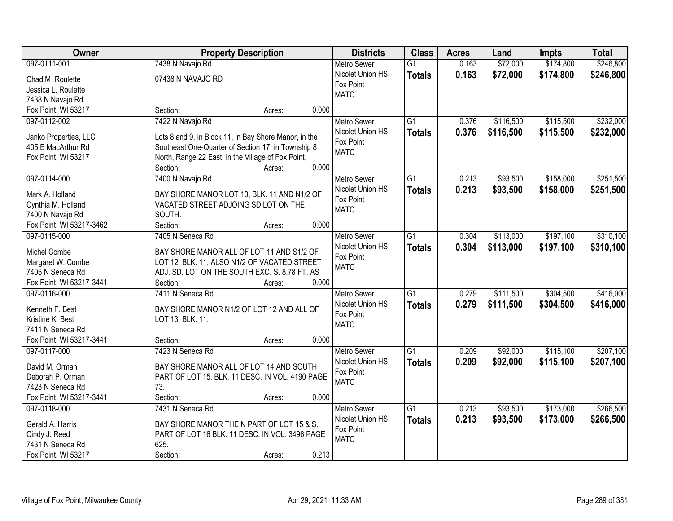| Owner                    |                                                       | <b>Property Description</b> |       | <b>Districts</b>   | <b>Class</b>    | <b>Acres</b> | Land      | <b>Impts</b> | <b>Total</b> |
|--------------------------|-------------------------------------------------------|-----------------------------|-------|--------------------|-----------------|--------------|-----------|--------------|--------------|
| 097-0111-001             | 7438 N Navajo Rd                                      |                             |       | <b>Metro Sewer</b> | $\overline{G1}$ | 0.163        | \$72,000  | \$174,800    | \$246,800    |
| Chad M. Roulette         | 07438 N NAVAJO RD                                     |                             |       | Nicolet Union HS   | <b>Totals</b>   | 0.163        | \$72,000  | \$174,800    | \$246,800    |
| Jessica L. Roulette      |                                                       |                             |       | Fox Point          |                 |              |           |              |              |
| 7438 N Navajo Rd         |                                                       |                             |       | <b>MATC</b>        |                 |              |           |              |              |
| Fox Point, WI 53217      | Section:                                              | Acres:                      | 0.000 |                    |                 |              |           |              |              |
| 097-0112-002             | 7422 N Navajo Rd                                      |                             |       | Metro Sewer        | $\overline{G1}$ | 0.376        | \$116,500 | \$115,500    | \$232,000    |
|                          |                                                       |                             |       | Nicolet Union HS   | <b>Totals</b>   | 0.376        | \$116,500 | \$115,500    | \$232,000    |
| Janko Properties, LLC    | Lots 8 and 9, in Block 11, in Bay Shore Manor, in the |                             |       | Fox Point          |                 |              |           |              |              |
| 405 E MacArthur Rd       | Southeast One-Quarter of Section 17, in Township 8    |                             |       | <b>MATC</b>        |                 |              |           |              |              |
| Fox Point, WI 53217      | North, Range 22 East, in the Village of Fox Point,    |                             |       |                    |                 |              |           |              |              |
|                          | Section:                                              | Acres:                      | 0.000 |                    |                 |              |           |              |              |
| 097-0114-000             | 7400 N Navajo Rd                                      |                             |       | <b>Metro Sewer</b> | G1              | 0.213        | \$93,500  | \$158,000    | \$251,500    |
| Mark A. Holland          | BAY SHORE MANOR LOT 10, BLK. 11 AND N1/2 OF           |                             |       | Nicolet Union HS   | <b>Totals</b>   | 0.213        | \$93,500  | \$158,000    | \$251,500    |
| Cynthia M. Holland       | VACATED STREET ADJOING SD LOT ON THE                  |                             |       | Fox Point          |                 |              |           |              |              |
| 7400 N Navajo Rd         | SOUTH.                                                |                             |       | <b>MATC</b>        |                 |              |           |              |              |
| Fox Point, WI 53217-3462 | Section:                                              | Acres:                      | 0.000 |                    |                 |              |           |              |              |
| 097-0115-000             | 7405 N Seneca Rd                                      |                             |       | <b>Metro Sewer</b> | $\overline{G1}$ | 0.304        | \$113,000 | \$197,100    | \$310,100    |
|                          |                                                       |                             |       | Nicolet Union HS   | <b>Totals</b>   | 0.304        | \$113,000 | \$197,100    | \$310,100    |
| Michel Combe             | BAY SHORE MANOR ALL OF LOT 11 AND S1/2 OF             |                             |       | Fox Point          |                 |              |           |              |              |
| Margaret W. Combe        | LOT 12, BLK. 11. ALSO N1/2 OF VACATED STREET          |                             |       | <b>MATC</b>        |                 |              |           |              |              |
| 7405 N Seneca Rd         | ADJ. SD. LOT ON THE SOUTH EXC. S. 8.78 FT. AS         |                             |       |                    |                 |              |           |              |              |
| Fox Point, WI 53217-3441 | Section:                                              | Acres:                      | 0.000 |                    |                 |              |           |              |              |
| 097-0116-000             | 7411 N Seneca Rd                                      |                             |       | Metro Sewer        | $\overline{G1}$ | 0.279        | \$111,500 | \$304,500    | \$416,000    |
| Kenneth F. Best          | BAY SHORE MANOR N1/2 OF LOT 12 AND ALL OF             |                             |       | Nicolet Union HS   | <b>Totals</b>   | 0.279        | \$111,500 | \$304,500    | \$416,000    |
| Kristine K. Best         | LOT 13, BLK. 11.                                      |                             |       | Fox Point          |                 |              |           |              |              |
| 7411 N Seneca Rd         |                                                       |                             |       | <b>MATC</b>        |                 |              |           |              |              |
| Fox Point, WI 53217-3441 | Section:                                              | Acres:                      | 0.000 |                    |                 |              |           |              |              |
| 097-0117-000             | 7423 N Seneca Rd                                      |                             |       | Metro Sewer        | $\overline{G1}$ | 0.209        | \$92,000  | \$115,100    | \$207,100    |
|                          |                                                       |                             |       | Nicolet Union HS   |                 | 0.209        | \$92,000  | \$115,100    |              |
| David M. Orman           | BAY SHORE MANOR ALL OF LOT 14 AND SOUTH               |                             |       | Fox Point          | <b>Totals</b>   |              |           |              | \$207,100    |
| Deborah P. Orman         | PART OF LOT 15. BLK. 11 DESC. IN VOL. 4190 PAGE       |                             |       | <b>MATC</b>        |                 |              |           |              |              |
| 7423 N Seneca Rd         | 73.                                                   |                             |       |                    |                 |              |           |              |              |
| Fox Point, WI 53217-3441 | Section:                                              | Acres:                      | 0.000 |                    |                 |              |           |              |              |
| 097-0118-000             | 7431 N Seneca Rd                                      |                             |       | <b>Metro Sewer</b> | $\overline{G1}$ | 0.213        | \$93,500  | \$173,000    | \$266,500    |
| Gerald A. Harris         | BAY SHORE MANOR THE N PART OF LOT 15 & S.             |                             |       | Nicolet Union HS   | <b>Totals</b>   | 0.213        | \$93,500  | \$173,000    | \$266,500    |
| Cindy J. Reed            | PART OF LOT 16 BLK. 11 DESC. IN VOL. 3496 PAGE        |                             |       | Fox Point          |                 |              |           |              |              |
| 7431 N Seneca Rd         | 625.                                                  |                             |       | <b>MATC</b>        |                 |              |           |              |              |
| Fox Point, WI 53217      | Section:                                              | Acres:                      | 0.213 |                    |                 |              |           |              |              |
|                          |                                                       |                             |       |                    |                 |              |           |              |              |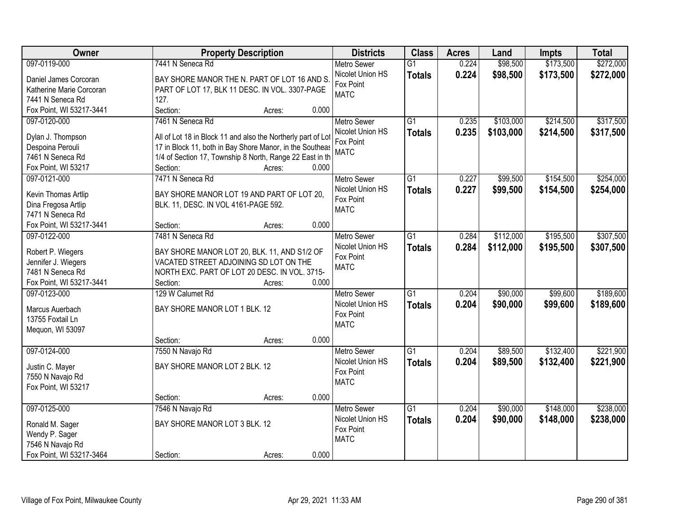| Owner                    | <b>Property Description</b>                                  | <b>Districts</b>   | <b>Class</b>    | <b>Acres</b> | Land      | <b>Impts</b> | <b>Total</b> |
|--------------------------|--------------------------------------------------------------|--------------------|-----------------|--------------|-----------|--------------|--------------|
| 097-0119-000             | 7441 N Seneca Rd                                             | <b>Metro Sewer</b> | $\overline{G1}$ | 0.224        | \$98,500  | \$173,500    | \$272,000    |
| Daniel James Corcoran    | BAY SHORE MANOR THE N. PART OF LOT 16 AND S.                 | Nicolet Union HS   | <b>Totals</b>   | 0.224        | \$98,500  | \$173,500    | \$272,000    |
| Katherine Marie Corcoran | PART OF LOT 17, BLK 11 DESC. IN VOL. 3307-PAGE               | Fox Point          |                 |              |           |              |              |
| 7441 N Seneca Rd         | 127.                                                         | <b>MATC</b>        |                 |              |           |              |              |
| Fox Point, WI 53217-3441 | Section:<br>0.000<br>Acres:                                  |                    |                 |              |           |              |              |
| 097-0120-000             | 7461 N Seneca Rd                                             | <b>Metro Sewer</b> | $\overline{G1}$ | 0.235        | \$103,000 | \$214,500    | \$317,500    |
|                          |                                                              | Nicolet Union HS   | <b>Totals</b>   | 0.235        | \$103,000 | \$214,500    | \$317,500    |
| Dylan J. Thompson        | All of Lot 18 in Block 11 and also the Northerly part of Lot | Fox Point          |                 |              |           |              |              |
| Despoina Perouli         | 17 in Block 11, both in Bay Shore Manor, in the Southeas     | <b>MATC</b>        |                 |              |           |              |              |
| 7461 N Seneca Rd         | 1/4 of Section 17, Township 8 North, Range 22 East in th     |                    |                 |              |           |              |              |
| Fox Point, WI 53217      | Section:<br>0.000<br>Acres:                                  |                    |                 |              |           |              |              |
| 097-0121-000             | 7471 N Seneca Rd                                             | <b>Metro Sewer</b> | G1              | 0.227        | \$99,500  | \$154,500    | \$254,000    |
| Kevin Thomas Artlip      | BAY SHORE MANOR LOT 19 AND PART OF LOT 20,                   | Nicolet Union HS   | <b>Totals</b>   | 0.227        | \$99,500  | \$154,500    | \$254,000    |
| Dina Fregosa Artlip      | BLK. 11, DESC. IN VOL 4161-PAGE 592.                         | Fox Point          |                 |              |           |              |              |
| 7471 N Seneca Rd         |                                                              | <b>MATC</b>        |                 |              |           |              |              |
| Fox Point, WI 53217-3441 | 0.000<br>Section:<br>Acres:                                  |                    |                 |              |           |              |              |
| 097-0122-000             | 7481 N Seneca Rd                                             | <b>Metro Sewer</b> | G1              | 0.284        | \$112,000 | \$195,500    | \$307,500    |
|                          |                                                              | Nicolet Union HS   | <b>Totals</b>   | 0.284        | \$112,000 | \$195,500    | \$307,500    |
| Robert P. Wiegers        | BAY SHORE MANOR LOT 20, BLK. 11, AND S1/2 OF                 | Fox Point          |                 |              |           |              |              |
| Jennifer J. Wiegers      | VACATED STREET ADJOINING SD LOT ON THE                       | <b>MATC</b>        |                 |              |           |              |              |
| 7481 N Seneca Rd         | NORTH EXC. PART OF LOT 20 DESC. IN VOL. 3715-                |                    |                 |              |           |              |              |
| Fox Point, WI 53217-3441 | Section:<br>0.000<br>Acres:                                  |                    |                 |              |           |              |              |
| 097-0123-000             | 129 W Calumet Rd                                             | <b>Metro Sewer</b> | $\overline{G1}$ | 0.204        | \$90,000  | \$99,600     | \$189,600    |
| Marcus Auerbach          | BAY SHORE MANOR LOT 1 BLK. 12                                | Nicolet Union HS   | <b>Totals</b>   | 0.204        | \$90,000  | \$99,600     | \$189,600    |
| 13755 Foxtail Ln         |                                                              | Fox Point          |                 |              |           |              |              |
| Mequon, WI 53097         |                                                              | <b>MATC</b>        |                 |              |           |              |              |
|                          | 0.000<br>Section:<br>Acres:                                  |                    |                 |              |           |              |              |
| 097-0124-000             | 7550 N Navajo Rd                                             | Metro Sewer        | $\overline{G1}$ | 0.204        | \$89,500  | \$132,400    | \$221,900    |
|                          |                                                              | Nicolet Union HS   |                 |              |           |              |              |
| Justin C. Mayer          | BAY SHORE MANOR LOT 2 BLK. 12                                | Fox Point          | <b>Totals</b>   | 0.204        | \$89,500  | \$132,400    | \$221,900    |
| 7550 N Navajo Rd         |                                                              | <b>MATC</b>        |                 |              |           |              |              |
| Fox Point, WI 53217      |                                                              |                    |                 |              |           |              |              |
|                          | 0.000<br>Section:<br>Acres:                                  |                    |                 |              |           |              |              |
| 097-0125-000             | 7546 N Navajo Rd                                             | <b>Metro Sewer</b> | $\overline{G1}$ | 0.204        | \$90,000  | \$148,000    | \$238,000    |
| Ronald M. Sager          | BAY SHORE MANOR LOT 3 BLK. 12                                | Nicolet Union HS   | <b>Totals</b>   | 0.204        | \$90,000  | \$148,000    | \$238,000    |
| Wendy P. Sager           |                                                              | Fox Point          |                 |              |           |              |              |
| 7546 N Navajo Rd         |                                                              | <b>MATC</b>        |                 |              |           |              |              |
| Fox Point, WI 53217-3464 | 0.000                                                        |                    |                 |              |           |              |              |
|                          | Section:<br>Acres:                                           |                    |                 |              |           |              |              |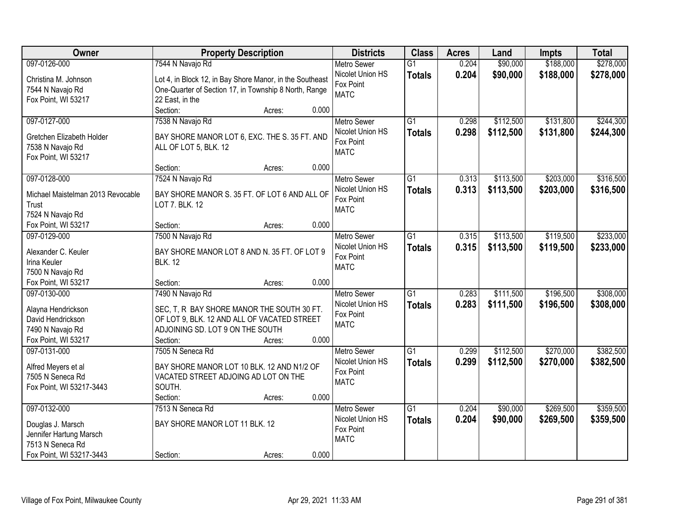| Owner                             | <b>Property Description</b>                              |                 | <b>Districts</b>   | <b>Class</b>    | <b>Acres</b> | Land      | Impts     | <b>Total</b> |
|-----------------------------------|----------------------------------------------------------|-----------------|--------------------|-----------------|--------------|-----------|-----------|--------------|
| 097-0126-000                      | 7544 N Navajo Rd                                         |                 | <b>Metro Sewer</b> | $\overline{G1}$ | 0.204        | \$90,000  | \$188,000 | \$278,000    |
| Christina M. Johnson              | Lot 4, in Block 12, in Bay Shore Manor, in the Southeast |                 | Nicolet Union HS   | <b>Totals</b>   | 0.204        | \$90,000  | \$188,000 | \$278,000    |
| 7544 N Navajo Rd                  | One-Quarter of Section 17, in Township 8 North, Range    |                 | Fox Point          |                 |              |           |           |              |
| Fox Point, WI 53217               | 22 East, in the                                          |                 | <b>MATC</b>        |                 |              |           |           |              |
|                                   | Section:                                                 | 0.000<br>Acres: |                    |                 |              |           |           |              |
| 097-0127-000                      | 7538 N Navajo Rd                                         |                 | <b>Metro Sewer</b> | $\overline{G1}$ | 0.298        | \$112,500 | \$131,800 | \$244,300    |
|                                   |                                                          |                 | Nicolet Union HS   | <b>Totals</b>   | 0.298        | \$112,500 | \$131,800 | \$244,300    |
| Gretchen Elizabeth Holder         | BAY SHORE MANOR LOT 6, EXC. THE S. 35 FT. AND            |                 | Fox Point          |                 |              |           |           |              |
| 7538 N Navajo Rd                  | ALL OF LOT 5, BLK. 12                                    |                 | <b>MATC</b>        |                 |              |           |           |              |
| Fox Point, WI 53217               |                                                          |                 |                    |                 |              |           |           |              |
|                                   | Section:                                                 | 0.000<br>Acres: |                    |                 |              |           |           |              |
| 097-0128-000                      | 7524 N Navajo Rd                                         |                 | <b>Metro Sewer</b> | $\overline{G1}$ | 0.313        | \$113,500 | \$203,000 | \$316,500    |
| Michael Maistelman 2013 Revocable | BAY SHORE MANOR S. 35 FT. OF LOT 6 AND ALL OF            |                 | Nicolet Union HS   | <b>Totals</b>   | 0.313        | \$113,500 | \$203,000 | \$316,500    |
| <b>Trust</b>                      | LOT 7. BLK. 12                                           |                 | Fox Point          |                 |              |           |           |              |
| 7524 N Navajo Rd                  |                                                          |                 | <b>MATC</b>        |                 |              |           |           |              |
| Fox Point, WI 53217               | Section:                                                 | 0.000<br>Acres: |                    |                 |              |           |           |              |
| 097-0129-000                      | 7500 N Navajo Rd                                         |                 | <b>Metro Sewer</b> | $\overline{G1}$ | 0.315        | \$113,500 | \$119,500 | \$233,000    |
| Alexander C. Keuler               | BAY SHORE MANOR LOT 8 AND N. 35 FT. OF LOT 9             |                 | Nicolet Union HS   | <b>Totals</b>   | 0.315        | \$113,500 | \$119,500 | \$233,000    |
| Irina Keuler                      | <b>BLK. 12</b>                                           |                 | Fox Point          |                 |              |           |           |              |
| 7500 N Navajo Rd                  |                                                          |                 | <b>MATC</b>        |                 |              |           |           |              |
| Fox Point, WI 53217               | Section:                                                 | 0.000<br>Acres: |                    |                 |              |           |           |              |
| 097-0130-000                      | 7490 N Navajo Rd                                         |                 | <b>Metro Sewer</b> | $\overline{G1}$ | 0.283        | \$111,500 | \$196,500 | \$308,000    |
|                                   |                                                          |                 | Nicolet Union HS   |                 | 0.283        |           | \$196,500 |              |
| Alayna Hendrickson                | SEC, T, R BAY SHORE MANOR THE SOUTH 30 FT.               |                 | Fox Point          | <b>Totals</b>   |              | \$111,500 |           | \$308,000    |
| David Hendrickson                 | OF LOT 9, BLK. 12 AND ALL OF VACATED STREET              |                 | <b>MATC</b>        |                 |              |           |           |              |
| 7490 N Navajo Rd                  | ADJOINING SD. LOT 9 ON THE SOUTH                         |                 |                    |                 |              |           |           |              |
| Fox Point, WI 53217               | Section:                                                 | 0.000<br>Acres: |                    |                 |              |           |           |              |
| 097-0131-000                      | 7505 N Seneca Rd                                         |                 | <b>Metro Sewer</b> | $\overline{G1}$ | 0.299        | \$112,500 | \$270,000 | \$382,500    |
| Alfred Meyers et al               | BAY SHORE MANOR LOT 10 BLK. 12 AND N1/2 OF               |                 | Nicolet Union HS   | <b>Totals</b>   | 0.299        | \$112,500 | \$270,000 | \$382,500    |
| 7505 N Seneca Rd                  | VACATED STREET ADJOING AD LOT ON THE                     |                 | Fox Point          |                 |              |           |           |              |
| Fox Point, WI 53217-3443          | SOUTH.                                                   |                 | <b>MATC</b>        |                 |              |           |           |              |
|                                   | Section:                                                 | 0.000<br>Acres: |                    |                 |              |           |           |              |
| 097-0132-000                      | 7513 N Seneca Rd                                         |                 | <b>Metro Sewer</b> | $\overline{G1}$ | 0.204        | \$90,000  | \$269,500 | \$359,500    |
|                                   |                                                          |                 | Nicolet Union HS   | <b>Totals</b>   | 0.204        | \$90,000  | \$269,500 | \$359,500    |
| Douglas J. Marsch                 | BAY SHORE MANOR LOT 11 BLK. 12                           |                 | Fox Point          |                 |              |           |           |              |
| Jennifer Hartung Marsch           |                                                          |                 | <b>MATC</b>        |                 |              |           |           |              |
| 7513 N Seneca Rd                  |                                                          |                 |                    |                 |              |           |           |              |
| Fox Point, WI 53217-3443          | Section:                                                 | Acres:          | 0.000              |                 |              |           |           |              |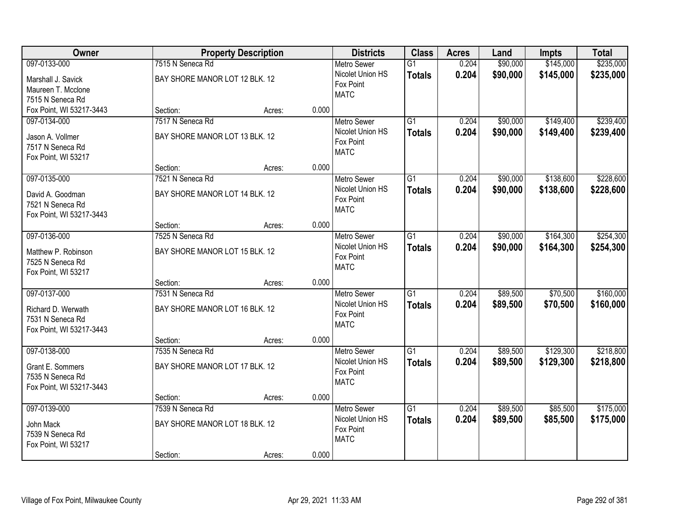| Owner                                                                              | <b>Property Description</b>                                    |        |       | <b>Districts</b>                                                   | <b>Class</b>                     | <b>Acres</b>   | Land                 | <b>Impts</b>           | <b>Total</b>           |
|------------------------------------------------------------------------------------|----------------------------------------------------------------|--------|-------|--------------------------------------------------------------------|----------------------------------|----------------|----------------------|------------------------|------------------------|
| 097-0133-000                                                                       | 7515 N Seneca Rd                                               |        |       | <b>Metro Sewer</b>                                                 | $\overline{G1}$                  | 0.204          | \$90,000             | \$145,000              | \$235,000              |
| Marshall J. Savick<br>Maureen T. Mcclone<br>7515 N Seneca Rd                       | BAY SHORE MANOR LOT 12 BLK. 12                                 |        |       | Nicolet Union HS<br>Fox Point<br><b>MATC</b>                       | <b>Totals</b>                    | 0.204          | \$90,000             | \$145,000              | \$235,000              |
| Fox Point, WI 53217-3443                                                           | Section:                                                       | Acres: | 0.000 |                                                                    |                                  |                |                      |                        |                        |
| 097-0134-000<br>Jason A. Vollmer<br>7517 N Seneca Rd<br>Fox Point, WI 53217        | 7517 N Seneca Rd<br>BAY SHORE MANOR LOT 13 BLK. 12             |        |       | <b>Metro Sewer</b><br>Nicolet Union HS<br>Fox Point<br><b>MATC</b> | $\overline{G1}$<br><b>Totals</b> | 0.204<br>0.204 | \$90,000<br>\$90,000 | \$149,400<br>\$149,400 | \$239,400<br>\$239,400 |
|                                                                                    | Section:                                                       | Acres: | 0.000 |                                                                    |                                  |                |                      |                        |                        |
| 097-0135-000<br>David A. Goodman<br>7521 N Seneca Rd<br>Fox Point, WI 53217-3443   | 7521 N Seneca Rd<br>BAY SHORE MANOR LOT 14 BLK. 12             |        |       | Metro Sewer<br>Nicolet Union HS<br>Fox Point<br><b>MATC</b>        | G1<br><b>Totals</b>              | 0.204<br>0.204 | \$90,000<br>\$90,000 | \$138,600<br>\$138,600 | \$228,600<br>\$228,600 |
|                                                                                    | Section:                                                       | Acres: | 0.000 |                                                                    |                                  |                |                      |                        |                        |
| 097-0136-000<br>Matthew P. Robinson<br>7525 N Seneca Rd<br>Fox Point, WI 53217     | 7525 N Seneca Rd<br>BAY SHORE MANOR LOT 15 BLK. 12             |        |       | <b>Metro Sewer</b><br>Nicolet Union HS<br>Fox Point<br><b>MATC</b> | G1<br><b>Totals</b>              | 0.204<br>0.204 | \$90,000<br>\$90,000 | \$164,300<br>\$164,300 | \$254,300<br>\$254,300 |
|                                                                                    | Section:                                                       | Acres: | 0.000 |                                                                    |                                  |                |                      |                        |                        |
| 097-0137-000<br>Richard D. Werwath<br>7531 N Seneca Rd<br>Fox Point, WI 53217-3443 | 7531 N Seneca Rd<br>BAY SHORE MANOR LOT 16 BLK. 12             |        |       | Metro Sewer<br>Nicolet Union HS<br>Fox Point<br><b>MATC</b>        | $\overline{G1}$<br><b>Totals</b> | 0.204<br>0.204 | \$89,500<br>\$89,500 | \$70,500<br>\$70,500   | \$160,000<br>\$160,000 |
|                                                                                    | Section:                                                       | Acres: | 0.000 |                                                                    |                                  |                |                      |                        |                        |
| 097-0138-000<br>Grant E. Sommers<br>7535 N Seneca Rd<br>Fox Point, WI 53217-3443   | 7535 N Seneca Rd<br>BAY SHORE MANOR LOT 17 BLK. 12             |        |       | Metro Sewer<br>Nicolet Union HS<br>Fox Point<br><b>MATC</b>        | $\overline{G1}$<br><b>Totals</b> | 0.204<br>0.204 | \$89,500<br>\$89,500 | \$129,300<br>\$129,300 | \$218,800<br>\$218,800 |
|                                                                                    | Section:                                                       | Acres: | 0.000 |                                                                    |                                  |                |                      |                        |                        |
| 097-0139-000<br>John Mack<br>7539 N Seneca Rd<br>Fox Point, WI 53217               | 7539 N Seneca Rd<br>BAY SHORE MANOR LOT 18 BLK. 12<br>Section: | Acres: | 0.000 | <b>Metro Sewer</b><br>Nicolet Union HS<br>Fox Point<br><b>MATC</b> | $\overline{G1}$<br><b>Totals</b> | 0.204<br>0.204 | \$89,500<br>\$89,500 | \$85,500<br>\$85,500   | \$175,000<br>\$175,000 |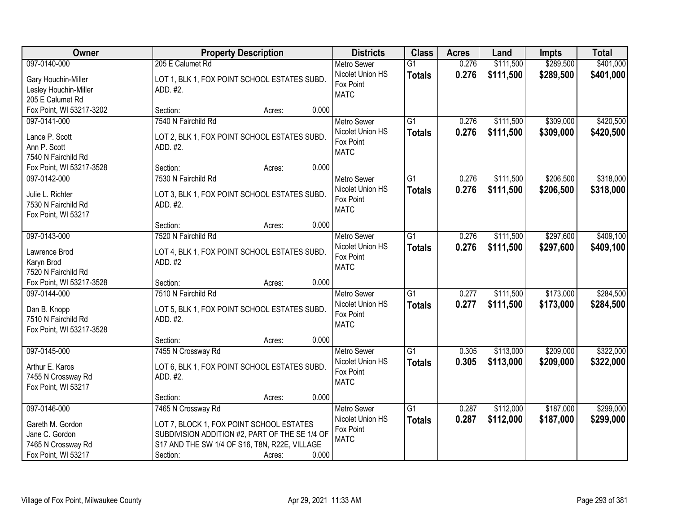| <b>Class</b><br>Owner<br><b>Districts</b><br><b>Acres</b><br><b>Property Description</b><br>Land                               | <b>Impts</b> | <b>Total</b> |
|--------------------------------------------------------------------------------------------------------------------------------|--------------|--------------|
| 097-0140-000<br>205 E Calumet Rd<br>0.276<br>\$111,500<br><b>Metro Sewer</b><br>$\overline{G1}$                                | \$289,500    | \$401,000    |
| 0.276<br>Nicolet Union HS<br>\$111,500<br><b>Totals</b><br>LOT 1, BLK 1, FOX POINT SCHOOL ESTATES SUBD.<br>Gary Houchin-Miller | \$289,500    | \$401,000    |
| Fox Point<br>Lesley Houchin-Miller<br>ADD. #2.                                                                                 |              |              |
| <b>MATC</b><br>205 E Calumet Rd                                                                                                |              |              |
| Fox Point, WI 53217-3202<br>0.000<br>Section:<br>Acres:                                                                        |              |              |
| 7540 N Fairchild Rd<br>$\overline{G1}$<br>0.276<br>\$111,500<br>097-0141-000<br><b>Metro Sewer</b>                             | \$309,000    | \$420,500    |
| 0.276<br>Nicolet Union HS<br>\$111,500<br><b>Totals</b>                                                                        | \$309,000    | \$420,500    |
| Lance P. Scott<br>LOT 2, BLK 1, FOX POINT SCHOOL ESTATES SUBD.<br>Fox Point                                                    |              |              |
| Ann P. Scott<br>ADD. #2.<br><b>MATC</b><br>7540 N Fairchild Rd                                                                 |              |              |
| 0.000<br>Fox Point, WI 53217-3528<br>Section:<br>Acres:                                                                        |              |              |
| 097-0142-000<br>7530 N Fairchild Rd<br>G1<br>0.276<br>\$111,500<br><b>Metro Sewer</b>                                          | \$206,500    | \$318,000    |
| Nicolet Union HS                                                                                                               |              |              |
| 0.276<br>\$111,500<br><b>Totals</b><br>Julie L. Richter<br>LOT 3, BLK 1, FOX POINT SCHOOL ESTATES SUBD.<br>Fox Point           | \$206,500    | \$318,000    |
| 7530 N Fairchild Rd<br>ADD. #2.<br><b>MATC</b>                                                                                 |              |              |
| Fox Point, WI 53217                                                                                                            |              |              |
| 0.000<br>Section:<br>Acres:                                                                                                    |              |              |
| \$111,500<br>097-0143-000<br>7520 N Fairchild Rd<br><b>Metro Sewer</b><br>G1<br>0.276                                          | \$297,600    | \$409,100    |
| Nicolet Union HS<br>0.276<br>\$111,500<br><b>Totals</b><br>LOT 4, BLK 1, FOX POINT SCHOOL ESTATES SUBD.<br>Lawrence Brod       | \$297,600    | \$409,100    |
| Fox Point<br>Karyn Brod<br>ADD. #2                                                                                             |              |              |
| <b>MATC</b><br>7520 N Fairchild Rd                                                                                             |              |              |
| 0.000<br>Fox Point, WI 53217-3528<br>Section:<br>Acres:                                                                        |              |              |
| $\overline{G1}$<br>\$111,500<br>7510 N Fairchild Rd<br>0.277<br>097-0144-000<br><b>Metro Sewer</b>                             | \$173,000    | \$284,500    |
| Nicolet Union HS<br>0.277<br>\$111,500<br><b>Totals</b>                                                                        | \$173,000    | \$284,500    |
| Dan B. Knopp<br>LOT 5, BLK 1, FOX POINT SCHOOL ESTATES SUBD.<br>Fox Point                                                      |              |              |
| 7510 N Fairchild Rd<br>ADD. #2.<br><b>MATC</b>                                                                                 |              |              |
| Fox Point, WI 53217-3528                                                                                                       |              |              |
| 0.000<br>Section:<br>Acres:                                                                                                    |              |              |
| G1<br>\$113,000<br>097-0145-000<br>7455 N Crossway Rd<br><b>Metro Sewer</b><br>0.305                                           | \$209,000    | \$322,000    |
| Nicolet Union HS<br>0.305<br>\$113,000<br><b>Totals</b><br>LOT 6, BLK 1, FOX POINT SCHOOL ESTATES SUBD.<br>Arthur E. Karos     | \$209,000    | \$322,000    |
| Fox Point<br>7455 N Crossway Rd<br>ADD. #2.                                                                                    |              |              |
| <b>MATC</b><br>Fox Point, WI 53217                                                                                             |              |              |
| 0.000<br>Section:<br>Acres:                                                                                                    |              |              |
| 097-0146-000<br>7465 N Crossway Rd<br>\$112,000<br><b>Metro Sewer</b><br>$\overline{G1}$<br>0.287                              | \$187,000    | \$299,000    |
| Nicolet Union HS<br>0.287<br>\$112,000<br><b>Totals</b><br>Gareth M. Gordon<br>LOT 7, BLOCK 1, FOX POINT SCHOOL ESTATES        | \$187,000    | \$299,000    |
| Fox Point<br>Jane C. Gordon<br>SUBDIVISION ADDITION #2, PART OF THE SE 1/4 OF                                                  |              |              |
| <b>MATC</b><br>S17 AND THE SW 1/4 OF S16, T8N, R22E, VILLAGE<br>7465 N Crossway Rd                                             |              |              |
| Fox Point, WI 53217<br>0.000<br>Section:<br>Acres:                                                                             |              |              |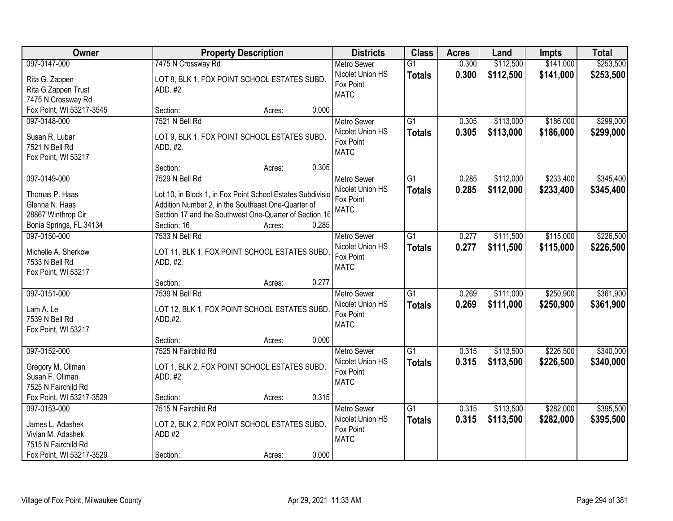| Owner                    | <b>Property Description</b>                                | <b>Districts</b>   | <b>Class</b>    | <b>Acres</b> | Land      | <b>Impts</b> | <b>Total</b> |
|--------------------------|------------------------------------------------------------|--------------------|-----------------|--------------|-----------|--------------|--------------|
| 097-0147-000             | 7475 N Crossway Rd                                         | <b>Metro Sewer</b> | $\overline{G1}$ | 0.300        | \$112,500 | \$141,000    | \$253,500    |
| Rita G. Zappen           | LOT 8, BLK 1, FOX POINT SCHOOL ESTATES SUBD.               | Nicolet Union HS   | <b>Totals</b>   | 0.300        | \$112,500 | \$141,000    | \$253,500    |
| Rita G Zappen Trust      | ADD. #2.                                                   | Fox Point          |                 |              |           |              |              |
| 7475 N Crossway Rd       |                                                            | <b>MATC</b>        |                 |              |           |              |              |
| Fox Point, WI 53217-3545 | 0.000<br>Section:<br>Acres:                                |                    |                 |              |           |              |              |
| 097-0148-000             | 7521 N Bell Rd                                             | <b>Metro Sewer</b> | $\overline{G1}$ | 0.305        | \$113,000 | \$186,000    | \$299,000    |
|                          |                                                            | Nicolet Union HS   | <b>Totals</b>   | 0.305        | \$113,000 | \$186,000    | \$299,000    |
| Susan R. Lubar           | LOT 9, BLK 1, FOX POINT SCHOOL ESTATES SUBD.               | Fox Point          |                 |              |           |              |              |
| 7521 N Bell Rd           | ADD. #2.                                                   | <b>MATC</b>        |                 |              |           |              |              |
| Fox Point, WI 53217      | 0.305<br>Section:<br>Acres:                                |                    |                 |              |           |              |              |
| 097-0149-000             | 7529 N Bell Rd                                             | Metro Sewer        | G1              | 0.285        | \$112,000 | \$233,400    | \$345,400    |
|                          |                                                            | Nicolet Union HS   |                 | 0.285        | \$112,000 | \$233,400    | \$345,400    |
| Thomas P. Haas           | Lot 10, in Block 1, in Fox Point School Estates Subdivisio | Fox Point          | <b>Totals</b>   |              |           |              |              |
| Glenna N. Haas           | Addition Number 2, in the Southeast One-Quarter of         | <b>MATC</b>        |                 |              |           |              |              |
| 28867 Winthrop Cir       | Section 17 and the Southwest One-Quarter of Section 16     |                    |                 |              |           |              |              |
| Bonia Springs, FL 34134  | Section: 16<br>0.285<br>Acres:                             |                    |                 |              |           |              |              |
| 097-0150-000             | 7533 N Bell Rd                                             | <b>Metro Sewer</b> | G1              | 0.277        | \$111,500 | \$115,000    | \$226,500    |
| Michelle A. Sherkow      | LOT 11, BLK 1, FOX POINT SCHOOL ESTATES SUBD.              | Nicolet Union HS   | <b>Totals</b>   | 0.277        | \$111,500 | \$115,000    | \$226,500    |
| 7533 N Bell Rd           | ADD. #2.                                                   | Fox Point          |                 |              |           |              |              |
| Fox Point, WI 53217      |                                                            | <b>MATC</b>        |                 |              |           |              |              |
|                          | 0.277<br>Section:<br>Acres:                                |                    |                 |              |           |              |              |
| 097-0151-000             | 7539 N Bell Rd                                             | <b>Metro Sewer</b> | $\overline{G1}$ | 0.269        | \$111,000 | \$250,900    | \$361,900    |
|                          |                                                            | Nicolet Union HS   | <b>Totals</b>   | 0.269        | \$111,000 | \$250,900    | \$361,900    |
| Lam A. Le                | LOT 12, BLK 1, FOX POINT SCHOOL ESTATES SUBD.              | Fox Point          |                 |              |           |              |              |
| 7539 N Bell Rd           | ADD.#2.                                                    | <b>MATC</b>        |                 |              |           |              |              |
| Fox Point, WI 53217      |                                                            |                    |                 |              |           |              |              |
|                          | 0.000<br>Section:<br>Acres:                                |                    |                 |              |           |              |              |
| 097-0152-000             | 7525 N Fairchild Rd                                        | <b>Metro Sewer</b> | G1              | 0.315        | \$113,500 | \$226,500    | \$340,000    |
| Gregory M. Ollman        | LOT 1, BLK 2, FOX POINT SCHOOL ESTATES SUBD.               | Nicolet Union HS   | <b>Totals</b>   | 0.315        | \$113,500 | \$226,500    | \$340,000    |
| Susan F. Ollman          | ADD. #2.                                                   | Fox Point          |                 |              |           |              |              |
| 7525 N Fairchild Rd      |                                                            | <b>MATC</b>        |                 |              |           |              |              |
| Fox Point, WI 53217-3529 | 0.315<br>Section:<br>Acres:                                |                    |                 |              |           |              |              |
| 097-0153-000             | 7515 N Fairchild Rd                                        | <b>Metro Sewer</b> | $\overline{G1}$ | 0.315        | \$113,500 | \$282,000    | \$395,500    |
|                          |                                                            | Nicolet Union HS   | <b>Totals</b>   | 0.315        | \$113,500 | \$282,000    | \$395,500    |
| James L. Adashek         | LOT 2, BLK 2, FOX POINT SCHOOL ESTATES SUBD.               | Fox Point          |                 |              |           |              |              |
| Vivian M. Adashek        | ADD #2                                                     | <b>MATC</b>        |                 |              |           |              |              |
| 7515 N Fairchild Rd      |                                                            |                    |                 |              |           |              |              |
| Fox Point, WI 53217-3529 | 0.000<br>Section:<br>Acres:                                |                    |                 |              |           |              |              |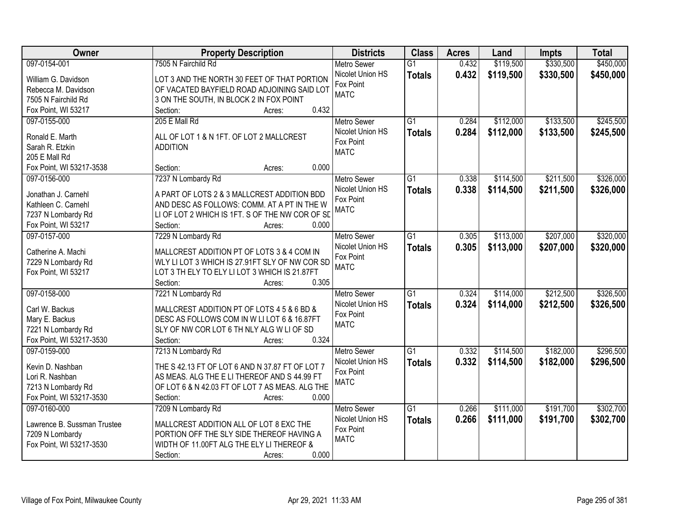| Owner                       | <b>Property Description</b>                                        | <b>Districts</b>                       | <b>Class</b>    | <b>Acres</b> | Land      | <b>Impts</b> | <b>Total</b> |
|-----------------------------|--------------------------------------------------------------------|----------------------------------------|-----------------|--------------|-----------|--------------|--------------|
| 097-0154-001                | 7505 N Fairchild Rd                                                | <b>Metro Sewer</b>                     | $\overline{G1}$ | 0.432        | \$119,500 | \$330,500    | \$450,000    |
| William G. Davidson         | LOT 3 AND THE NORTH 30 FEET OF THAT PORTION                        | Nicolet Union HS                       | <b>Totals</b>   | 0.432        | \$119,500 | \$330,500    | \$450,000    |
| Rebecca M. Davidson         | OF VACATED BAYFIELD ROAD ADJOINING SAID LOT                        | Fox Point                              |                 |              |           |              |              |
| 7505 N Fairchild Rd         | 3 ON THE SOUTH, IN BLOCK 2 IN FOX POINT                            | <b>MATC</b>                            |                 |              |           |              |              |
| Fox Point, WI 53217         | 0.432<br>Section:<br>Acres:                                        |                                        |                 |              |           |              |              |
| 097-0155-000                | 205 E Mall Rd                                                      | <b>Metro Sewer</b>                     | $\overline{G1}$ | 0.284        | \$112,000 | \$133,500    | \$245,500    |
|                             |                                                                    | Nicolet Union HS                       | <b>Totals</b>   | 0.284        | \$112,000 | \$133,500    | \$245,500    |
| Ronald E. Marth             | ALL OF LOT 1 & N 1FT. OF LOT 2 MALLCREST                           | Fox Point                              |                 |              |           |              |              |
| Sarah R. Etzkin             | <b>ADDITION</b>                                                    | <b>MATC</b>                            |                 |              |           |              |              |
| 205 E Mall Rd               |                                                                    |                                        |                 |              |           |              |              |
| Fox Point, WI 53217-3538    | 0.000<br>Section:<br>Acres:                                        |                                        |                 |              |           |              |              |
| 097-0156-000                | 7237 N Lombardy Rd                                                 | Metro Sewer                            | G1              | 0.338        | \$114,500 | \$211,500    | \$326,000    |
| Jonathan J. Carnehl         | A PART OF LOTS 2 & 3 MALLCREST ADDITION BDD                        | Nicolet Union HS                       | <b>Totals</b>   | 0.338        | \$114,500 | \$211,500    | \$326,000    |
| Kathleen C. Carnehl         | AND DESC AS FOLLOWS: COMM. AT A PT IN THE W                        | Fox Point                              |                 |              |           |              |              |
| 7237 N Lombardy Rd          | LI OF LOT 2 WHICH IS 1FT. S OF THE NW COR OF SD                    | <b>MATC</b>                            |                 |              |           |              |              |
| Fox Point, WI 53217         | Section:<br>0.000<br>Acres:                                        |                                        |                 |              |           |              |              |
| 097-0157-000                | 7229 N Lombardy Rd                                                 | <b>Metro Sewer</b>                     | $\overline{G1}$ | 0.305        | \$113,000 | \$207,000    | \$320,000    |
|                             |                                                                    | Nicolet Union HS                       | <b>Totals</b>   | 0.305        | \$113,000 | \$207,000    | \$320,000    |
| Catherine A. Machi          | MALLCREST ADDITION PT OF LOTS 3 & 4 COM IN                         | Fox Point                              |                 |              |           |              |              |
| 7229 N Lombardy Rd          | WLY LI LOT 3 WHICH IS 27.91FT SLY OF NW COR SD                     | <b>MATC</b>                            |                 |              |           |              |              |
| Fox Point, WI 53217         | LOT 3 TH ELY TO ELY LI LOT 3 WHICH IS 21.87FT<br>0.305<br>Section: |                                        |                 |              |           |              |              |
| 097-0158-000                | Acres:<br>7221 N Lombardy Rd                                       |                                        | $\overline{G1}$ | 0.324        | \$114,000 | \$212,500    | \$326,500    |
|                             |                                                                    | <b>Metro Sewer</b><br>Nicolet Union HS |                 |              |           |              |              |
| Carl W. Backus              | MALLCREST ADDITION PT OF LOTS 4 5 & 6 BD &                         | Fox Point                              | <b>Totals</b>   | 0.324        | \$114,000 | \$212,500    | \$326,500    |
| Mary E. Backus              | DESC AS FOLLOWS COM IN W LI LOT 6 & 16.87FT                        | <b>MATC</b>                            |                 |              |           |              |              |
| 7221 N Lombardy Rd          | SLY OF NW COR LOT 6 TH NLY ALG W LI OF SD                          |                                        |                 |              |           |              |              |
| Fox Point, WI 53217-3530    | 0.324<br>Section:<br>Acres:                                        |                                        |                 |              |           |              |              |
| 097-0159-000                | 7213 N Lombardy Rd                                                 | Metro Sewer                            | $\overline{G1}$ | 0.332        | \$114,500 | \$182,000    | \$296,500    |
| Kevin D. Nashban            | THE S 42.13 FT OF LOT 6 AND N 37.87 FT OF LOT 7                    | Nicolet Union HS                       | <b>Totals</b>   | 0.332        | \$114,500 | \$182,000    | \$296,500    |
| Lori R. Nashban             | AS MEAS. ALG THE E LI THEREOF AND S 44.99 FT                       | Fox Point                              |                 |              |           |              |              |
| 7213 N Lombardy Rd          | OF LOT 6 & N 42.03 FT OF LOT 7 AS MEAS. ALG THE                    | <b>MATC</b>                            |                 |              |           |              |              |
| Fox Point, WI 53217-3530    | 0.000<br>Section:<br>Acres:                                        |                                        |                 |              |           |              |              |
| 097-0160-000                | 7209 N Lombardy Rd                                                 | <b>Metro Sewer</b>                     | $\overline{G1}$ | 0.266        | \$111,000 | \$191,700    | \$302,700    |
|                             |                                                                    | Nicolet Union HS                       |                 | 0.266        | \$111,000 | \$191,700    | \$302,700    |
| Lawrence B. Sussman Trustee | MALLCREST ADDITION ALL OF LOT 8 EXC THE                            | Fox Point                              | <b>Totals</b>   |              |           |              |              |
| 7209 N Lombardy             | PORTION OFF THE SLY SIDE THEREOF HAVING A                          | <b>MATC</b>                            |                 |              |           |              |              |
| Fox Point, WI 53217-3530    | WIDTH OF 11.00FT ALG THE ELY LI THEREOF &                          |                                        |                 |              |           |              |              |
|                             | 0.000<br>Section:<br>Acres:                                        |                                        |                 |              |           |              |              |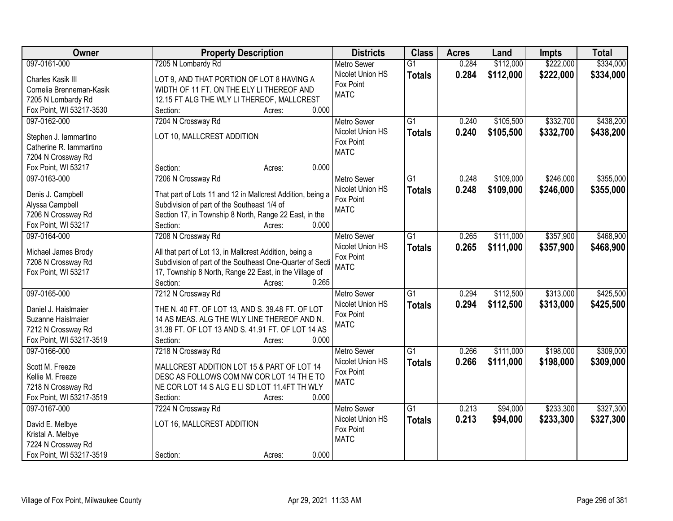| <b>Owner</b>             | <b>Property Description</b>                                                 | <b>Districts</b>   | <b>Class</b>    | <b>Acres</b> | Land      | <b>Impts</b> | <b>Total</b> |
|--------------------------|-----------------------------------------------------------------------------|--------------------|-----------------|--------------|-----------|--------------|--------------|
| 097-0161-000             | 7205 N Lombardy Rd                                                          | <b>Metro Sewer</b> | $\overline{G1}$ | 0.284        | \$112,000 | \$222,000    | \$334,000    |
| Charles Kasik III        | LOT 9, AND THAT PORTION OF LOT 8 HAVING A                                   | Nicolet Union HS   | <b>Totals</b>   | 0.284        | \$112,000 | \$222,000    | \$334,000    |
| Cornelia Brenneman-Kasik | WIDTH OF 11 FT. ON THE ELY LI THEREOF AND                                   | Fox Point          |                 |              |           |              |              |
| 7205 N Lombardy Rd       | 12.15 FT ALG THE WLY LI THEREOF, MALLCREST                                  | <b>MATC</b>        |                 |              |           |              |              |
| Fox Point, WI 53217-3530 | 0.000<br>Section:<br>Acres:                                                 |                    |                 |              |           |              |              |
| 097-0162-000             | 7204 N Crossway Rd                                                          | <b>Metro Sewer</b> | $\overline{G1}$ | 0.240        | \$105,500 | \$332,700    | \$438,200    |
|                          |                                                                             | Nicolet Union HS   | <b>Totals</b>   | 0.240        | \$105,500 | \$332,700    | \$438,200    |
| Stephen J. lammartino    | LOT 10, MALLCREST ADDITION                                                  | Fox Point          |                 |              |           |              |              |
| Catherine R. lammartino  |                                                                             | <b>MATC</b>        |                 |              |           |              |              |
| 7204 N Crossway Rd       |                                                                             |                    |                 |              |           |              |              |
| Fox Point, WI 53217      | 0.000<br>Section:<br>Acres:                                                 |                    |                 |              |           |              |              |
| 097-0163-000             | 7206 N Crossway Rd                                                          | Metro Sewer        | $\overline{G1}$ | 0.248        | \$109,000 | \$246,000    | \$355,000    |
| Denis J. Campbell        | That part of Lots 11 and 12 in Mallcrest Addition, being a                  | Nicolet Union HS   | <b>Totals</b>   | 0.248        | \$109,000 | \$246,000    | \$355,000    |
| Alyssa Campbell          | Subdivision of part of the Southeast 1/4 of                                 | Fox Point          |                 |              |           |              |              |
| 7206 N Crossway Rd       | Section 17, in Township 8 North, Range 22 East, in the                      | <b>MATC</b>        |                 |              |           |              |              |
| Fox Point, WI 53217      | Section:<br>0.000<br>Acres:                                                 |                    |                 |              |           |              |              |
| 097-0164-000             | 7208 N Crossway Rd                                                          | <b>Metro Sewer</b> | $\overline{G1}$ | 0.265        | \$111,000 | \$357,900    | \$468,900    |
|                          |                                                                             | Nicolet Union HS   | <b>Totals</b>   | 0.265        | \$111,000 | \$357,900    | \$468,900    |
| Michael James Brody      | All that part of Lot 13, in Mallcrest Addition, being a                     | Fox Point          |                 |              |           |              |              |
| 7208 N Crossway Rd       | Subdivision of part of the Southeast One-Quarter of Secti                   | <b>MATC</b>        |                 |              |           |              |              |
| Fox Point, WI 53217      | 17, Township 8 North, Range 22 East, in the Village of<br>Section:<br>0.265 |                    |                 |              |           |              |              |
| 097-0165-000             | Acres:<br>7212 N Crossway Rd                                                | <b>Metro Sewer</b> | $\overline{G1}$ | 0.294        | \$112,500 | \$313,000    | \$425,500    |
|                          |                                                                             | Nicolet Union HS   |                 |              |           |              |              |
| Daniel J. Haislmaier     | THE N. 40 FT. OF LOT 13, AND S. 39.48 FT. OF LOT                            | Fox Point          | <b>Totals</b>   | 0.294        | \$112,500 | \$313,000    | \$425,500    |
| Suzanne Haislmaier       | 14 AS MEAS. ALG THE WLY LINE THEREOF AND N.                                 | <b>MATC</b>        |                 |              |           |              |              |
| 7212 N Crossway Rd       | 31.38 FT. OF LOT 13 AND S. 41.91 FT. OF LOT 14 AS                           |                    |                 |              |           |              |              |
| Fox Point, WI 53217-3519 | 0.000<br>Section:<br>Acres:                                                 |                    |                 |              |           |              |              |
| 097-0166-000             | 7218 N Crossway Rd                                                          | <b>Metro Sewer</b> | $\overline{G1}$ | 0.266        | \$111,000 | \$198,000    | \$309,000    |
| Scott M. Freeze          | MALLCREST ADDITION LOT 15 & PART OF LOT 14                                  | Nicolet Union HS   | <b>Totals</b>   | 0.266        | \$111,000 | \$198,000    | \$309,000    |
| Kellie M. Freeze         | DESC AS FOLLOWS COM NW COR LOT 14 TH E TO                                   | Fox Point          |                 |              |           |              |              |
| 7218 N Crossway Rd       | NE COR LOT 14 S ALG E LI SD LOT 11.4FT TH WLY                               | <b>MATC</b>        |                 |              |           |              |              |
| Fox Point, WI 53217-3519 | Section:<br>0.000<br>Acres:                                                 |                    |                 |              |           |              |              |
| 097-0167-000             | 7224 N Crossway Rd                                                          | <b>Metro Sewer</b> | $\overline{G1}$ | 0.213        | \$94,000  | \$233,300    | \$327,300    |
|                          |                                                                             | Nicolet Union HS   | <b>Totals</b>   | 0.213        | \$94,000  | \$233,300    | \$327,300    |
| David E. Melbye          | LOT 16, MALLCREST ADDITION                                                  | Fox Point          |                 |              |           |              |              |
| Kristal A. Melbye        |                                                                             | <b>MATC</b>        |                 |              |           |              |              |
| 7224 N Crossway Rd       |                                                                             |                    |                 |              |           |              |              |
| Fox Point, WI 53217-3519 | 0.000<br>Section:<br>Acres:                                                 |                    |                 |              |           |              |              |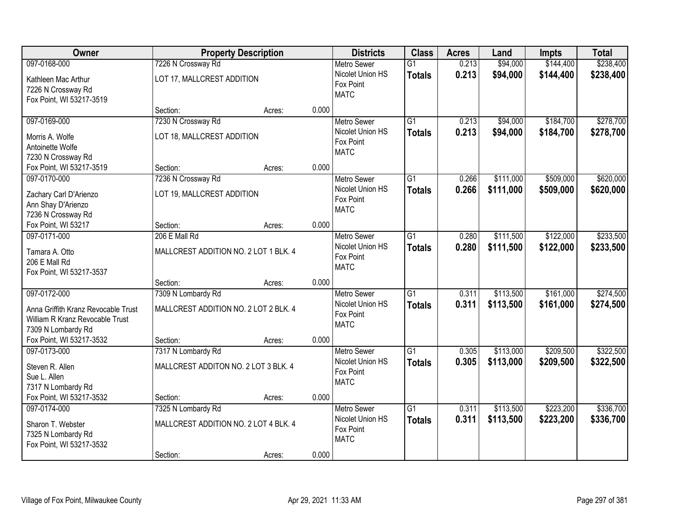| Owner                                                                                                        |                                                                         | <b>Property Description</b> |       | <b>Districts</b>                                                   | <b>Class</b>                     | <b>Acres</b>   | Land                   | <b>Impts</b>           | <b>Total</b>           |
|--------------------------------------------------------------------------------------------------------------|-------------------------------------------------------------------------|-----------------------------|-------|--------------------------------------------------------------------|----------------------------------|----------------|------------------------|------------------------|------------------------|
| 097-0168-000                                                                                                 | 7226 N Crossway Rd                                                      |                             |       | <b>Metro Sewer</b>                                                 | $\overline{G1}$                  | 0.213          | \$94,000               | \$144,400              | \$238,400              |
| Kathleen Mac Arthur<br>7226 N Crossway Rd<br>Fox Point, WI 53217-3519                                        | LOT 17, MALLCREST ADDITION                                              |                             |       | Nicolet Union HS<br>Fox Point<br><b>MATC</b>                       | <b>Totals</b>                    | 0.213          | \$94,000               | \$144,400              | \$238,400              |
|                                                                                                              | Section:                                                                | Acres:                      | 0.000 |                                                                    |                                  |                |                        |                        |                        |
| 097-0169-000<br>Morris A. Wolfe<br>Antoinette Wolfe<br>7230 N Crossway Rd                                    | 7230 N Crossway Rd<br>LOT 18, MALLCREST ADDITION                        |                             |       | <b>Metro Sewer</b><br>Nicolet Union HS<br>Fox Point<br><b>MATC</b> | $\overline{G1}$<br><b>Totals</b> | 0.213<br>0.213 | \$94,000<br>\$94,000   | \$184,700<br>\$184,700 | \$278,700<br>\$278,700 |
| Fox Point, WI 53217-3519                                                                                     | Section:                                                                | Acres:                      | 0.000 |                                                                    |                                  |                |                        |                        |                        |
| 097-0170-000<br>Zachary Carl D'Arienzo<br>Ann Shay D'Arienzo<br>7236 N Crossway Rd                           | 7236 N Crossway Rd<br>LOT 19, MALLCREST ADDITION                        |                             |       | Metro Sewer<br>Nicolet Union HS<br>Fox Point<br><b>MATC</b>        | $\overline{G1}$<br><b>Totals</b> | 0.266<br>0.266 | \$111,000<br>\$111,000 | \$509,000<br>\$509,000 | \$620,000<br>\$620,000 |
| Fox Point, WI 53217                                                                                          | Section:                                                                | Acres:                      | 0.000 |                                                                    |                                  |                |                        |                        |                        |
| 097-0171-000<br>Tamara A. Otto<br>206 E Mall Rd<br>Fox Point, WI 53217-3537                                  | 206 E Mall Rd<br>MALLCREST ADDITION NO. 2 LOT 1 BLK. 4                  |                             |       | <b>Metro Sewer</b><br>Nicolet Union HS<br>Fox Point<br><b>MATC</b> | $\overline{G1}$<br><b>Totals</b> | 0.280<br>0.280 | \$111,500<br>\$111,500 | \$122,000<br>\$122,000 | \$233,500<br>\$233,500 |
|                                                                                                              | Section:                                                                | Acres:                      | 0.000 |                                                                    |                                  |                |                        |                        |                        |
| 097-0172-000<br>Anna Griffith Kranz Revocable Trust<br>William R Kranz Revocable Trust<br>7309 N Lombardy Rd | 7309 N Lombardy Rd<br>MALLCREST ADDITION NO. 2 LOT 2 BLK, 4             |                             |       | Metro Sewer<br>Nicolet Union HS<br>Fox Point<br><b>MATC</b>        | $\overline{G1}$<br><b>Totals</b> | 0.311<br>0.311 | \$113,500<br>\$113,500 | \$161,000<br>\$161,000 | \$274,500<br>\$274,500 |
| Fox Point, WI 53217-3532                                                                                     | Section:                                                                | Acres:                      | 0.000 |                                                                    |                                  |                |                        |                        |                        |
| 097-0173-000<br>Steven R. Allen<br>Sue L. Allen<br>7317 N Lombardy Rd                                        | 7317 N Lombardy Rd<br>MALLCREST ADDITON NO. 2 LOT 3 BLK. 4              |                             |       | <b>Metro Sewer</b><br>Nicolet Union HS<br>Fox Point<br><b>MATC</b> | $\overline{G1}$<br><b>Totals</b> | 0.305<br>0.305 | \$113,000<br>\$113,000 | \$209,500<br>\$209,500 | \$322,500<br>\$322,500 |
| Fox Point, WI 53217-3532                                                                                     | Section:                                                                | Acres:                      | 0.000 |                                                                    |                                  |                |                        |                        |                        |
| 097-0174-000<br>Sharon T. Webster<br>7325 N Lombardy Rd<br>Fox Point, WI 53217-3532                          | 7325 N Lombardy Rd<br>MALLCREST ADDITION NO. 2 LOT 4 BLK. 4<br>Section: | Acres:                      | 0.000 | <b>Metro Sewer</b><br>Nicolet Union HS<br>Fox Point<br><b>MATC</b> | $\overline{G1}$<br><b>Totals</b> | 0.311<br>0.311 | \$113,500<br>\$113,500 | \$223,200<br>\$223,200 | \$336,700<br>\$336,700 |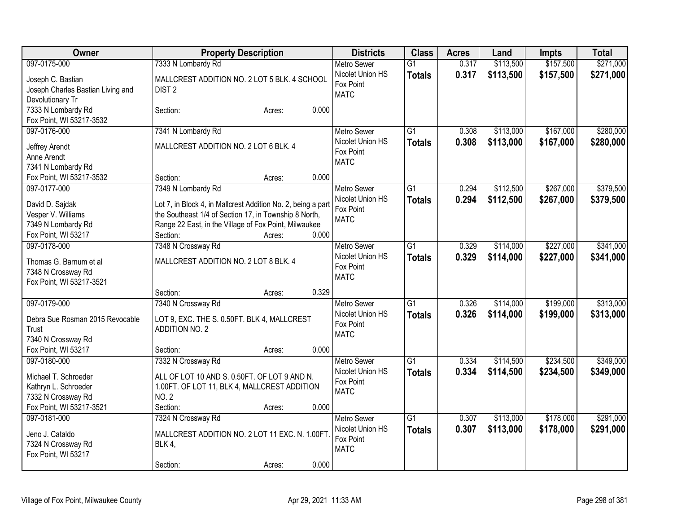| Owner                                          | <b>Property Description</b>                                    | <b>Districts</b>                       | <b>Class</b>    | <b>Acres</b> | Land      | Impts     | <b>Total</b> |
|------------------------------------------------|----------------------------------------------------------------|----------------------------------------|-----------------|--------------|-----------|-----------|--------------|
| 097-0175-000                                   | 7333 N Lombardy Rd                                             | <b>Metro Sewer</b>                     | $\overline{G1}$ | 0.317        | \$113,500 | \$157,500 | \$271,000    |
| Joseph C. Bastian                              | MALLCREST ADDITION NO. 2 LOT 5 BLK. 4 SCHOOL                   | Nicolet Union HS                       | <b>Totals</b>   | 0.317        | \$113,500 | \$157,500 | \$271,000    |
| Joseph Charles Bastian Living and              | DIST <sub>2</sub>                                              | Fox Point                              |                 |              |           |           |              |
| Devolutionary Tr                               |                                                                | <b>MATC</b>                            |                 |              |           |           |              |
| 7333 N Lombardy Rd                             | 0.000<br>Section:<br>Acres:                                    |                                        |                 |              |           |           |              |
| Fox Point, WI 53217-3532                       |                                                                |                                        |                 |              |           |           |              |
| 097-0176-000                                   | 7341 N Lombardy Rd                                             | <b>Metro Sewer</b>                     | $\overline{G1}$ | 0.308        | \$113,000 | \$167,000 | \$280,000    |
| Jeffrey Arendt                                 | MALLCREST ADDITION NO. 2 LOT 6 BLK. 4                          | Nicolet Union HS                       | <b>Totals</b>   | 0.308        | \$113,000 | \$167,000 | \$280,000    |
| Anne Arendt                                    |                                                                | Fox Point                              |                 |              |           |           |              |
| 7341 N Lombardy Rd                             |                                                                | <b>MATC</b>                            |                 |              |           |           |              |
| Fox Point, WI 53217-3532                       | 0.000<br>Section:<br>Acres:                                    |                                        |                 |              |           |           |              |
| 097-0177-000                                   | 7349 N Lombardy Rd                                             | <b>Metro Sewer</b>                     | $\overline{G1}$ | 0.294        | \$112,500 | \$267,000 | \$379,500    |
|                                                |                                                                | Nicolet Union HS                       | <b>Totals</b>   | 0.294        | \$112,500 | \$267,000 | \$379,500    |
| David D. Sajdak                                | Lot 7, in Block 4, in Mallcrest Addition No. 2, being a part   | Fox Point                              |                 |              |           |           |              |
| Vesper V. Williams                             | the Southeast 1/4 of Section 17, in Township 8 North,          | <b>MATC</b>                            |                 |              |           |           |              |
| 7349 N Lombardy Rd                             | Range 22 East, in the Village of Fox Point, Milwaukee<br>0.000 |                                        |                 |              |           |           |              |
| Fox Point, WI 53217                            | Section:<br>Acres:                                             |                                        |                 |              |           |           |              |
| 097-0178-000                                   | 7348 N Crossway Rd                                             | <b>Metro Sewer</b>                     | $\overline{G1}$ | 0.329        | \$114,000 | \$227,000 | \$341,000    |
| Thomas G. Barnum et al                         | MALLCREST ADDITION NO. 2 LOT 8 BLK. 4                          | Nicolet Union HS<br>Fox Point          | <b>Totals</b>   | 0.329        | \$114,000 | \$227,000 | \$341,000    |
| 7348 N Crossway Rd                             |                                                                | <b>MATC</b>                            |                 |              |           |           |              |
| Fox Point, WI 53217-3521                       |                                                                |                                        |                 |              |           |           |              |
|                                                | 0.329<br>Section:<br>Acres:                                    |                                        |                 |              |           |           |              |
| 097-0179-000                                   | 7340 N Crossway Rd                                             | <b>Metro Sewer</b>                     | $\overline{G1}$ | 0.326        | \$114,000 | \$199,000 | \$313,000    |
| Debra Sue Rosman 2015 Revocable                | LOT 9, EXC. THE S. 0.50FT. BLK 4, MALLCREST                    | Nicolet Union HS                       | <b>Totals</b>   | 0.326        | \$114,000 | \$199,000 | \$313,000    |
| <b>Trust</b>                                   | <b>ADDITION NO. 2</b>                                          | Fox Point                              |                 |              |           |           |              |
| 7340 N Crossway Rd                             |                                                                | <b>MATC</b>                            |                 |              |           |           |              |
| Fox Point, WI 53217                            | 0.000<br>Section:<br>Acres:                                    |                                        |                 |              |           |           |              |
| 097-0180-000                                   | 7332 N Crossway Rd                                             | Metro Sewer                            | $\overline{G1}$ | 0.334        | \$114,500 | \$234,500 | \$349,000    |
|                                                |                                                                | Nicolet Union HS                       | <b>Totals</b>   | 0.334        | \$114,500 | \$234,500 | \$349,000    |
| Michael T. Schroeder                           | ALL OF LOT 10 AND S. 0.50FT. OF LOT 9 AND N.                   | Fox Point                              |                 |              |           |           |              |
| Kathryn L. Schroeder                           | 1.00FT. OF LOT 11, BLK 4, MALLCREST ADDITION                   | <b>MATC</b>                            |                 |              |           |           |              |
| 7332 N Crossway Rd<br>Fox Point, WI 53217-3521 | <b>NO. 2</b><br>Section:<br>0.000<br>Acres:                    |                                        |                 |              |           |           |              |
| 097-0181-000                                   |                                                                |                                        | $\overline{G1}$ | 0.307        | \$113,000 | \$178,000 | \$291,000    |
|                                                | 7324 N Crossway Rd                                             | <b>Metro Sewer</b><br>Nicolet Union HS |                 | 0.307        |           |           |              |
| Jeno J. Cataldo                                | MALLCREST ADDITION NO. 2 LOT 11 EXC. N. 1.00FT                 | Fox Point                              | <b>Totals</b>   |              | \$113,000 | \$178,000 | \$291,000    |
| 7324 N Crossway Rd                             | <b>BLK 4,</b>                                                  | <b>MATC</b>                            |                 |              |           |           |              |
| Fox Point, WI 53217                            |                                                                |                                        |                 |              |           |           |              |
|                                                | 0.000<br>Section:<br>Acres:                                    |                                        |                 |              |           |           |              |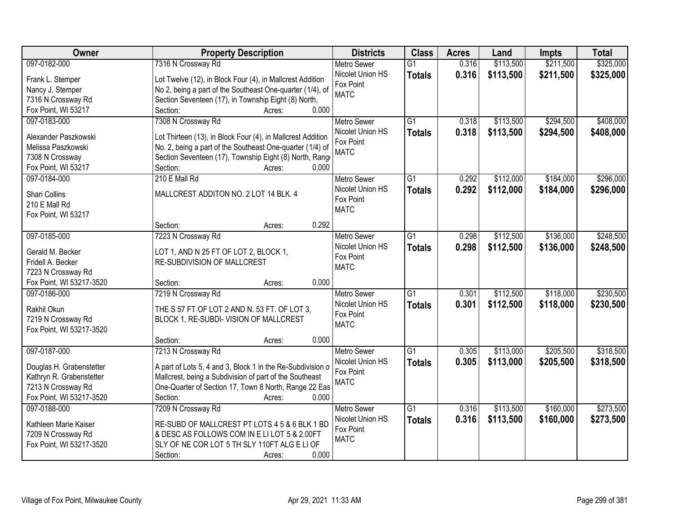| Owner                    | <b>Property Description</b>                                 | <b>Districts</b>   | <b>Class</b>    | <b>Acres</b> | Land      | <b>Impts</b> | <b>Total</b> |
|--------------------------|-------------------------------------------------------------|--------------------|-----------------|--------------|-----------|--------------|--------------|
| 097-0182-000             | 7316 N Crossway Rd                                          | <b>Metro Sewer</b> | $\overline{G1}$ | 0.316        | \$113,500 | \$211,500    | \$325,000    |
| Frank L. Stemper         | Lot Twelve (12), in Block Four (4), in Mallcrest Addition   | Nicolet Union HS   | <b>Totals</b>   | 0.316        | \$113,500 | \$211,500    | \$325,000    |
| Nancy J. Stemper         | No 2, being a part of the Southeast One-quarter (1/4), of   | Fox Point          |                 |              |           |              |              |
| 7316 N Crossway Rd       | Section Seventeen (17), in Township Eight (8) North,        | <b>MATC</b>        |                 |              |           |              |              |
| Fox Point, WI 53217      | 0.000<br>Section:<br>Acres:                                 |                    |                 |              |           |              |              |
| 097-0183-000             | 7308 N Crossway Rd                                          | <b>Metro Sewer</b> | $\overline{G1}$ | 0.318        | \$113,500 | \$294,500    | \$408,000    |
|                          |                                                             | Nicolet Union HS   | <b>Totals</b>   | 0.318        | \$113,500 | \$294,500    | \$408,000    |
| Alexander Paszkowski     | Lot Thirteen (13), in Block Four (4), in Mallcrest Addition | Fox Point          |                 |              |           |              |              |
| Melissa Paszkowski       | No. 2, being a part of the Southeast One-quarter (1/4) of   | <b>MATC</b>        |                 |              |           |              |              |
| 7308 N Crossway          | Section Seventeen (17), Township Eight (8) North, Range     |                    |                 |              |           |              |              |
| Fox Point, WI 53217      | 0.000<br>Section:<br>Acres:                                 |                    |                 |              |           |              |              |
| 097-0184-000             | 210 E Mall Rd                                               | <b>Metro Sewer</b> | G1              | 0.292        | \$112,000 | \$184,000    | \$296,000    |
| <b>Shari Collins</b>     | MALLCREST ADDITON NO. 2 LOT 14 BLK. 4                       | Nicolet Union HS   | <b>Totals</b>   | 0.292        | \$112,000 | \$184,000    | \$296,000    |
| 210 E Mall Rd            |                                                             | Fox Point          |                 |              |           |              |              |
| Fox Point, WI 53217      |                                                             | <b>MATC</b>        |                 |              |           |              |              |
|                          | 0.292<br>Section:<br>Acres:                                 |                    |                 |              |           |              |              |
| 097-0185-000             | 7223 N Crossway Rd                                          | <b>Metro Sewer</b> | G1              | 0.298        | \$112,500 | \$136,000    | \$248,500    |
|                          |                                                             | Nicolet Union HS   | <b>Totals</b>   | 0.298        | \$112,500 | \$136,000    | \$248,500    |
| Gerald M. Becker         | LOT 1, AND N 25 FT OF LOT 2, BLOCK 1,                       | Fox Point          |                 |              |           |              |              |
| Fridell A. Becker        | RE-SUBDIVISION OF MALLCREST                                 | <b>MATC</b>        |                 |              |           |              |              |
| 7223 N Crossway Rd       |                                                             |                    |                 |              |           |              |              |
| Fox Point, WI 53217-3520 | 0.000<br>Section:<br>Acres:                                 |                    |                 |              |           |              |              |
| 097-0186-000             | 7219 N Crossway Rd                                          | <b>Metro Sewer</b> | $\overline{G1}$ | 0.301        | \$112,500 | \$118,000    | \$230,500    |
| Rakhil Okun              | THE S 57 FT OF LOT 2 AND N. 53 FT. OF LOT 3,                | Nicolet Union HS   | <b>Totals</b>   | 0.301        | \$112,500 | \$118,000    | \$230,500    |
| 7219 N Crossway Rd       | BLOCK 1, RE-SUBDI- VISION OF MALLCREST                      | Fox Point          |                 |              |           |              |              |
| Fox Point, WI 53217-3520 |                                                             | <b>MATC</b>        |                 |              |           |              |              |
|                          | 0.000<br>Section:<br>Acres:                                 |                    |                 |              |           |              |              |
| 097-0187-000             | 7213 N Crossway Rd                                          | Metro Sewer        | $\overline{G1}$ | 0.305        | \$113,000 | \$205,500    | \$318,500    |
|                          |                                                             | Nicolet Union HS   | <b>Totals</b>   | 0.305        | \$113,000 | \$205,500    | \$318,500    |
| Douglas H. Grabenstetter | A part of Lots 5, 4 and 3, Block 1 in the Re-Subdivision of | Fox Point          |                 |              |           |              |              |
| Kathryn R. Grabenstetter | Mallcrest, being a Subdivision of part of the Southeast     | <b>MATC</b>        |                 |              |           |              |              |
| 7213 N Crossway Rd       | One-Quarter of Section 17, Town 8 North, Range 22 Eas       |                    |                 |              |           |              |              |
| Fox Point, WI 53217-3520 | Section:<br>0.000<br>Acres:                                 |                    |                 |              |           |              |              |
| 097-0188-000             | 7209 N Crossway Rd                                          | <b>Metro Sewer</b> | $\overline{G1}$ | 0.316        | \$113,500 | \$160,000    | \$273,500    |
| Kathleen Marie Kaiser    | RE-SUBD OF MALLCREST PT LOTS 4 5 & 6 BLK 1 BD               | Nicolet Union HS   | <b>Totals</b>   | 0.316        | \$113,500 | \$160,000    | \$273,500    |
| 7209 N Crossway Rd       | & DESC AS FOLLOWS COM IN E LI LOT 5 & 2.00FT                | Fox Point          |                 |              |           |              |              |
| Fox Point, WI 53217-3520 | SLY OF NE COR LOT 5 TH SLY 110FT ALG E LI OF                | <b>MATC</b>        |                 |              |           |              |              |
|                          | 0.000<br>Section:<br>Acres:                                 |                    |                 |              |           |              |              |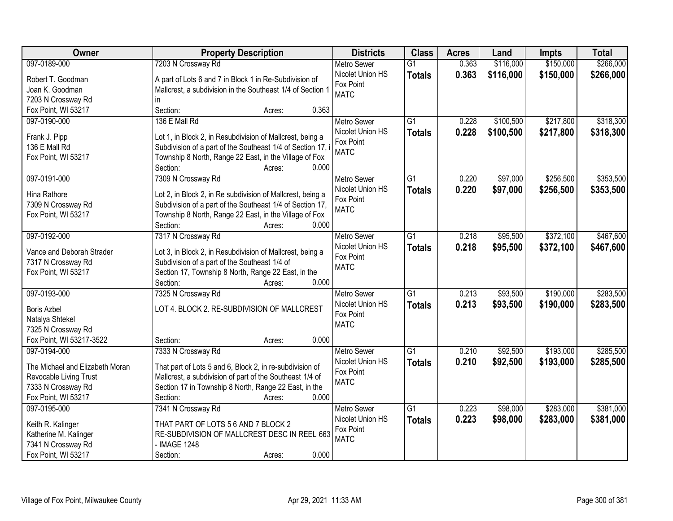| Owner                                     | <b>Property Description</b>                                                 | <b>Districts</b>         | <b>Class</b>    | <b>Acres</b> | Land      | <b>Impts</b> | <b>Total</b> |
|-------------------------------------------|-----------------------------------------------------------------------------|--------------------------|-----------------|--------------|-----------|--------------|--------------|
| 097-0189-000                              | 7203 N Crossway Rd                                                          | <b>Metro Sewer</b>       | $\overline{G1}$ | 0.363        | \$116,000 | \$150,000    | \$266,000    |
| Robert T. Goodman                         | A part of Lots 6 and 7 in Block 1 in Re-Subdivision of                      | Nicolet Union HS         | <b>Totals</b>   | 0.363        | \$116,000 | \$150,000    | \$266,000    |
| Joan K. Goodman                           | Mallcrest, a subdivision in the Southeast 1/4 of Section 1                  | Fox Point                |                 |              |           |              |              |
| 7203 N Crossway Rd                        | in.                                                                         | <b>MATC</b>              |                 |              |           |              |              |
| Fox Point, WI 53217                       | 0.363<br>Section:<br>Acres:                                                 |                          |                 |              |           |              |              |
| 097-0190-000                              | 136 E Mall Rd                                                               | <b>Metro Sewer</b>       | $\overline{G1}$ | 0.228        | \$100,500 | \$217,800    | \$318,300    |
|                                           |                                                                             | Nicolet Union HS         |                 | 0.228        |           |              |              |
| Frank J. Pipp                             | Lot 1, in Block 2, in Resubdivision of Mallcrest, being a                   | Fox Point                | <b>Totals</b>   |              | \$100,500 | \$217,800    | \$318,300    |
| 136 E Mall Rd                             | Subdivision of a part of the Southeast 1/4 of Section 17, i                 | <b>MATC</b>              |                 |              |           |              |              |
| Fox Point, WI 53217                       | Township 8 North, Range 22 East, in the Village of Fox                      |                          |                 |              |           |              |              |
|                                           | 0.000<br>Section:<br>Acres:                                                 |                          |                 |              |           |              |              |
| 097-0191-000                              | 7309 N Crossway Rd                                                          | Metro Sewer              | $\overline{G1}$ | 0.220        | \$97,000  | \$256,500    | \$353,500    |
| Hina Rathore                              |                                                                             | Nicolet Union HS         | <b>Totals</b>   | 0.220        | \$97,000  | \$256,500    | \$353,500    |
|                                           | Lot 2, in Block 2, in Re subdivision of Mallcrest, being a                  | Fox Point                |                 |              |           |              |              |
| 7309 N Crossway Rd<br>Fox Point, WI 53217 | Subdivision of a part of the Southeast 1/4 of Section 17,                   | <b>MATC</b>              |                 |              |           |              |              |
|                                           | Township 8 North, Range 22 East, in the Village of Fox<br>Section:<br>0.000 |                          |                 |              |           |              |              |
|                                           | Acres:                                                                      |                          |                 |              |           |              |              |
| 097-0192-000                              | 7317 N Crossway Rd                                                          | <b>Metro Sewer</b>       | G1              | 0.218        | \$95,500  | \$372,100    | \$467,600    |
| Vance and Deborah Strader                 | Lot 3, in Block 2, in Resubdivision of Mallcrest, being a                   | Nicolet Union HS         | <b>Totals</b>   | 0.218        | \$95,500  | \$372,100    | \$467,600    |
| 7317 N Crossway Rd                        | Subdivision of a part of the Southeast 1/4 of                               | Fox Point<br><b>MATC</b> |                 |              |           |              |              |
| Fox Point, WI 53217                       | Section 17, Township 8 North, Range 22 East, in the                         |                          |                 |              |           |              |              |
|                                           | 0.000<br>Section:<br>Acres:                                                 |                          |                 |              |           |              |              |
| 097-0193-000                              | 7325 N Crossway Rd                                                          | <b>Metro Sewer</b>       | $\overline{G1}$ | 0.213        | \$93,500  | \$190,000    | \$283,500    |
|                                           |                                                                             | Nicolet Union HS         | <b>Totals</b>   | 0.213        | \$93,500  | \$190,000    | \$283,500    |
| <b>Boris Azbel</b>                        | LOT 4. BLOCK 2. RE-SUBDIVISION OF MALLCREST                                 | Fox Point                |                 |              |           |              |              |
| Natalya Shtekel                           |                                                                             | <b>MATC</b>              |                 |              |           |              |              |
| 7325 N Crossway Rd                        |                                                                             |                          |                 |              |           |              |              |
| Fox Point, WI 53217-3522                  | 0.000<br>Section:<br>Acres:                                                 |                          |                 |              |           |              |              |
| 097-0194-000                              | 7333 N Crossway Rd                                                          | <b>Metro Sewer</b>       | G1              | 0.210        | \$92,500  | \$193,000    | \$285,500    |
| The Michael and Elizabeth Moran           | That part of Lots 5 and 6, Block 2, in re-subdivision of                    | Nicolet Union HS         | <b>Totals</b>   | 0.210        | \$92,500  | \$193,000    | \$285,500    |
| Revocable Living Trust                    | Mallcrest, a subdivision of part of the Southeast 1/4 of                    | Fox Point                |                 |              |           |              |              |
| 7333 N Crossway Rd                        | Section 17 in Township 8 North, Range 22 East, in the                       | <b>MATC</b>              |                 |              |           |              |              |
| Fox Point, WI 53217                       | 0.000<br>Section:<br>Acres:                                                 |                          |                 |              |           |              |              |
| 097-0195-000                              | 7341 N Crossway Rd                                                          | <b>Metro Sewer</b>       | $\overline{G1}$ | 0.223        | \$98,000  | \$283,000    | \$381,000    |
|                                           |                                                                             | Nicolet Union HS         | <b>Totals</b>   | 0.223        | \$98,000  | \$283,000    | \$381,000    |
| Keith R. Kalinger                         | THAT PART OF LOTS 5 6 AND 7 BLOCK 2                                         | Fox Point                |                 |              |           |              |              |
| Katherine M. Kalinger                     | RE-SUBDIVISION OF MALLCREST DESC IN REEL 663                                | <b>MATC</b>              |                 |              |           |              |              |
| 7341 N Crossway Rd                        | - IMAGE 1248                                                                |                          |                 |              |           |              |              |
| Fox Point, WI 53217                       | 0.000<br>Section:<br>Acres:                                                 |                          |                 |              |           |              |              |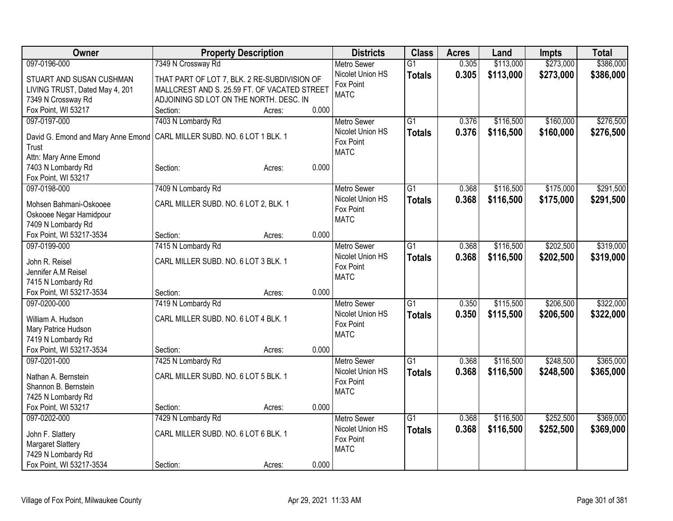| Owner                                     | <b>Property Description</b>                  |       | <b>Districts</b>   | <b>Class</b>    | <b>Acres</b> | Land      | Impts     | <b>Total</b> |
|-------------------------------------------|----------------------------------------------|-------|--------------------|-----------------|--------------|-----------|-----------|--------------|
| 097-0196-000                              | 7349 N Crossway Rd                           |       | <b>Metro Sewer</b> | $\overline{G1}$ | 0.305        | \$113,000 | \$273,000 | \$386,000    |
| STUART AND SUSAN CUSHMAN                  | THAT PART OF LOT 7, BLK. 2 RE-SUBDIVISION OF |       | Nicolet Union HS   | <b>Totals</b>   | 0.305        | \$113,000 | \$273,000 | \$386,000    |
| LIVING TRUST, Dated May 4, 201            | MALLCREST AND S. 25.59 FT. OF VACATED STREET |       | Fox Point          |                 |              |           |           |              |
| 7349 N Crossway Rd                        | ADJOINING SD LOT ON THE NORTH. DESC. IN      |       | <b>MATC</b>        |                 |              |           |           |              |
| Fox Point, WI 53217                       | Section:<br>Acres:                           | 0.000 |                    |                 |              |           |           |              |
| 097-0197-000                              | 7403 N Lombardy Rd                           |       | <b>Metro Sewer</b> | $\overline{G1}$ | 0.376        | \$116,500 | \$160,000 | \$276,500    |
|                                           |                                              |       | Nicolet Union HS   | <b>Totals</b>   | 0.376        | \$116,500 | \$160,000 | \$276,500    |
| David G. Emond and Mary Anne Emond        | CARL MILLER SUBD. NO. 6 LOT 1 BLK. 1         |       | Fox Point          |                 |              |           |           |              |
| Trust                                     |                                              |       | <b>MATC</b>        |                 |              |           |           |              |
| Attn: Mary Anne Emond                     |                                              | 0.000 |                    |                 |              |           |           |              |
| 7403 N Lombardy Rd<br>Fox Point, WI 53217 | Section:<br>Acres:                           |       |                    |                 |              |           |           |              |
| 097-0198-000                              | 7409 N Lombardy Rd                           |       | <b>Metro Sewer</b> | $\overline{G1}$ | 0.368        | \$116,500 | \$175,000 | \$291,500    |
|                                           |                                              |       | Nicolet Union HS   |                 |              |           |           |              |
| Mohsen Bahmani-Oskooee                    | CARL MILLER SUBD. NO. 6 LOT 2, BLK. 1        |       | Fox Point          | <b>Totals</b>   | 0.368        | \$116,500 | \$175,000 | \$291,500    |
| Oskooee Negar Hamidpour                   |                                              |       | <b>MATC</b>        |                 |              |           |           |              |
| 7409 N Lombardy Rd                        |                                              |       |                    |                 |              |           |           |              |
| Fox Point, WI 53217-3534                  | Section:<br>Acres:                           | 0.000 |                    |                 |              |           |           |              |
| 097-0199-000                              | 7415 N Lombardy Rd                           |       | <b>Metro Sewer</b> | $\overline{G1}$ | 0.368        | \$116,500 | \$202,500 | \$319,000    |
| John R. Reisel                            | CARL MILLER SUBD. NO. 6 LOT 3 BLK. 1         |       | Nicolet Union HS   | <b>Totals</b>   | 0.368        | \$116,500 | \$202,500 | \$319,000    |
| Jennifer A.M Reisel                       |                                              |       | Fox Point          |                 |              |           |           |              |
| 7415 N Lombardy Rd                        |                                              |       | <b>MATC</b>        |                 |              |           |           |              |
| Fox Point, WI 53217-3534                  | Section:<br>Acres:                           | 0.000 |                    |                 |              |           |           |              |
| 097-0200-000                              | 7419 N Lombardy Rd                           |       | <b>Metro Sewer</b> | $\overline{G1}$ | 0.350        | \$115,500 | \$206,500 | \$322,000    |
|                                           |                                              |       | Nicolet Union HS   | <b>Totals</b>   | 0.350        | \$115,500 | \$206,500 | \$322,000    |
| William A. Hudson                         | CARL MILLER SUBD. NO. 6 LOT 4 BLK. 1         |       | Fox Point          |                 |              |           |           |              |
| Mary Patrice Hudson                       |                                              |       | <b>MATC</b>        |                 |              |           |           |              |
| 7419 N Lombardy Rd                        |                                              |       |                    |                 |              |           |           |              |
| Fox Point, WI 53217-3534                  | Section:<br>Acres:                           | 0.000 |                    |                 |              |           |           |              |
| 097-0201-000                              | 7425 N Lombardy Rd                           |       | Metro Sewer        | $\overline{G1}$ | 0.368        | \$116,500 | \$248,500 | \$365,000    |
| Nathan A. Bernstein                       | CARL MILLER SUBD. NO. 6 LOT 5 BLK. 1         |       | Nicolet Union HS   | <b>Totals</b>   | 0.368        | \$116,500 | \$248,500 | \$365,000    |
| Shannon B. Bernstein                      |                                              |       | Fox Point          |                 |              |           |           |              |
| 7425 N Lombardy Rd                        |                                              |       | <b>MATC</b>        |                 |              |           |           |              |
| Fox Point, WI 53217                       | Section:<br>Acres:                           | 0.000 |                    |                 |              |           |           |              |
| 097-0202-000                              | 7429 N Lombardy Rd                           |       | <b>Metro Sewer</b> | $\overline{G1}$ | 0.368        | \$116,500 | \$252,500 | \$369,000    |
|                                           |                                              |       | Nicolet Union HS   | <b>Totals</b>   | 0.368        | \$116,500 | \$252,500 | \$369,000    |
| John F. Slattery                          | CARL MILLER SUBD. NO. 6 LOT 6 BLK. 1         |       | Fox Point          |                 |              |           |           |              |
| Margaret Slattery                         |                                              |       | <b>MATC</b>        |                 |              |           |           |              |
| 7429 N Lombardy Rd                        |                                              |       |                    |                 |              |           |           |              |
| Fox Point, WI 53217-3534                  | Section:<br>Acres:                           | 0.000 |                    |                 |              |           |           |              |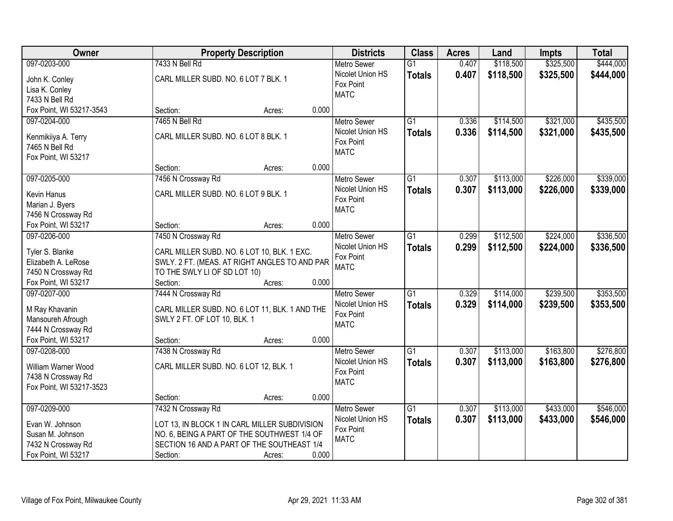| Owner                                 |                                                                                | <b>Property Description</b> |       | <b>Districts</b>   | <b>Class</b>    | <b>Acres</b> | Land      | <b>Impts</b> | <b>Total</b> |
|---------------------------------------|--------------------------------------------------------------------------------|-----------------------------|-------|--------------------|-----------------|--------------|-----------|--------------|--------------|
| 097-0203-000                          | 7433 N Bell Rd                                                                 |                             |       | <b>Metro Sewer</b> | $\overline{G1}$ | 0.407        | \$118,500 | \$325,500    | \$444,000    |
| John K. Conley                        | CARL MILLER SUBD. NO. 6 LOT 7 BLK. 1                                           |                             |       | Nicolet Union HS   | <b>Totals</b>   | 0.407        | \$118,500 | \$325,500    | \$444,000    |
| Lisa K. Conley                        |                                                                                |                             |       | Fox Point          |                 |              |           |              |              |
| 7433 N Bell Rd                        |                                                                                |                             |       | <b>MATC</b>        |                 |              |           |              |              |
| Fox Point, WI 53217-3543              | Section:                                                                       | Acres:                      | 0.000 |                    |                 |              |           |              |              |
| 097-0204-000                          | 7465 N Bell Rd                                                                 |                             |       | <b>Metro Sewer</b> | $\overline{G1}$ | 0.336        | \$114,500 | \$321,000    | \$435,500    |
|                                       | CARL MILLER SUBD. NO. 6 LOT 8 BLK. 1                                           |                             |       | Nicolet Union HS   | <b>Totals</b>   | 0.336        | \$114,500 | \$321,000    | \$435,500    |
| Kenmikiiya A. Terry<br>7465 N Bell Rd |                                                                                |                             |       | Fox Point          |                 |              |           |              |              |
|                                       |                                                                                |                             |       | <b>MATC</b>        |                 |              |           |              |              |
| Fox Point, WI 53217                   | Section:                                                                       | Acres:                      | 0.000 |                    |                 |              |           |              |              |
| 097-0205-000                          | 7456 N Crossway Rd                                                             |                             |       | <b>Metro Sewer</b> | $\overline{G1}$ | 0.307        | \$113,000 | \$226,000    | \$339,000    |
|                                       |                                                                                |                             |       | Nicolet Union HS   | <b>Totals</b>   | 0.307        | \$113,000 | \$226,000    | \$339,000    |
| Kevin Hanus                           | CARL MILLER SUBD. NO. 6 LOT 9 BLK. 1                                           |                             |       | Fox Point          |                 |              |           |              |              |
| Marian J. Byers                       |                                                                                |                             |       | <b>MATC</b>        |                 |              |           |              |              |
| 7456 N Crossway Rd                    |                                                                                |                             |       |                    |                 |              |           |              |              |
| Fox Point, WI 53217                   | Section:                                                                       | Acres:                      | 0.000 |                    |                 |              |           |              |              |
| 097-0206-000                          | 7450 N Crossway Rd                                                             |                             |       | <b>Metro Sewer</b> | $\overline{G1}$ | 0.299        | \$112,500 | \$224,000    | \$336,500    |
| Tyler S. Blanke                       | CARL MILLER SUBD. NO. 6 LOT 10, BLK. 1 EXC.                                    |                             |       | Nicolet Union HS   | <b>Totals</b>   | 0.299        | \$112,500 | \$224,000    | \$336,500    |
| Elizabeth A. LeRose                   | SWLY. 2 FT. (MEAS. AT RIGHT ANGLES TO AND PAR                                  |                             |       | Fox Point          |                 |              |           |              |              |
| 7450 N Crossway Rd                    | TO THE SWLY LI OF SD LOT 10)                                                   |                             |       | <b>MATC</b>        |                 |              |           |              |              |
| Fox Point, WI 53217                   | Section:                                                                       | Acres:                      | 0.000 |                    |                 |              |           |              |              |
| 097-0207-000                          | 7444 N Crossway Rd                                                             |                             |       | <b>Metro Sewer</b> | $\overline{G1}$ | 0.329        | \$114,000 | \$239,500    | \$353,500    |
|                                       |                                                                                |                             |       | Nicolet Union HS   | <b>Totals</b>   | 0.329        | \$114,000 | \$239,500    | \$353,500    |
| M Ray Khavanin<br>Mansoureh Afrough   | CARL MILLER SUBD. NO. 6 LOT 11, BLK. 1 AND THE<br>SWLY 2 FT. OF LOT 10, BLK. 1 |                             |       | Fox Point          |                 |              |           |              |              |
| 7444 N Crossway Rd                    |                                                                                |                             |       | <b>MATC</b>        |                 |              |           |              |              |
| Fox Point, WI 53217                   | Section:                                                                       | Acres:                      | 0.000 |                    |                 |              |           |              |              |
| 097-0208-000                          | 7438 N Crossway Rd                                                             |                             |       | Metro Sewer        | $\overline{G1}$ | 0.307        | \$113,000 | \$163,800    | \$276,800    |
|                                       |                                                                                |                             |       | Nicolet Union HS   | <b>Totals</b>   | 0.307        | \$113,000 | \$163,800    | \$276,800    |
| William Warner Wood                   | CARL MILLER SUBD. NO. 6 LOT 12, BLK. 1                                         |                             |       | Fox Point          |                 |              |           |              |              |
| 7438 N Crossway Rd                    |                                                                                |                             |       | <b>MATC</b>        |                 |              |           |              |              |
| Fox Point, WI 53217-3523              |                                                                                |                             |       |                    |                 |              |           |              |              |
|                                       | Section:                                                                       | Acres:                      | 0.000 |                    |                 |              |           |              |              |
| 097-0209-000                          | 7432 N Crossway Rd                                                             |                             |       | <b>Metro Sewer</b> | $\overline{G1}$ | 0.307        | \$113,000 | \$433,000    | \$546,000    |
| Evan W. Johnson                       | LOT 13, IN BLOCK 1 IN CARL MILLER SUBDIVISION                                  |                             |       | Nicolet Union HS   | <b>Totals</b>   | 0.307        | \$113,000 | \$433,000    | \$546,000    |
| Susan M. Johnson                      | NO. 6, BEING A PART OF THE SOUTHWEST 1/4 OF                                    |                             |       | Fox Point          |                 |              |           |              |              |
| 7432 N Crossway Rd                    | SECTION 16 AND A PART OF THE SOUTHEAST 1/4                                     |                             |       | <b>MATC</b>        |                 |              |           |              |              |
| Fox Point, WI 53217                   | Section:                                                                       | Acres:                      | 0.000 |                    |                 |              |           |              |              |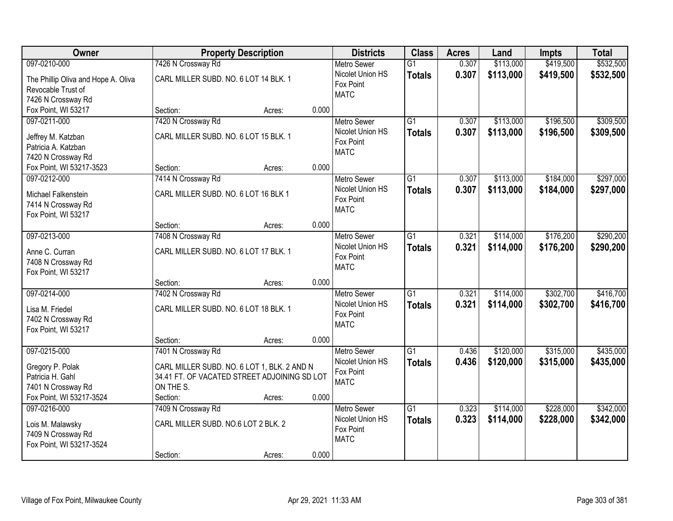| Owner                                                                                                  |                                                                                                                                            | <b>Property Description</b> |       | <b>Districts</b>                                                   | <b>Class</b>                     | <b>Acres</b>   | Land                   | <b>Impts</b>           | <b>Total</b>           |
|--------------------------------------------------------------------------------------------------------|--------------------------------------------------------------------------------------------------------------------------------------------|-----------------------------|-------|--------------------------------------------------------------------|----------------------------------|----------------|------------------------|------------------------|------------------------|
| 097-0210-000                                                                                           | 7426 N Crossway Rd                                                                                                                         |                             |       | <b>Metro Sewer</b>                                                 | $\overline{G1}$                  | 0.307          | \$113,000              | \$419,500              | \$532,500              |
| The Phillip Oliva and Hope A. Oliva<br>Revocable Trust of<br>7426 N Crossway Rd                        | CARL MILLER SUBD. NO. 6 LOT 14 BLK. 1                                                                                                      |                             |       | Nicolet Union HS<br>Fox Point<br><b>MATC</b>                       | <b>Totals</b>                    | 0.307          | \$113,000              | \$419,500              | \$532,500              |
| Fox Point, WI 53217                                                                                    | Section:                                                                                                                                   | Acres:                      | 0.000 |                                                                    |                                  |                |                        |                        |                        |
| 097-0211-000<br>Jeffrey M. Katzban<br>Patricia A. Katzban<br>7420 N Crossway Rd                        | 7420 N Crossway Rd<br>CARL MILLER SUBD. NO. 6 LOT 15 BLK. 1                                                                                |                             |       | <b>Metro Sewer</b><br>Nicolet Union HS<br>Fox Point<br><b>MATC</b> | $\overline{G1}$<br><b>Totals</b> | 0.307<br>0.307 | \$113,000<br>\$113,000 | \$196,500<br>\$196,500 | \$309,500<br>\$309,500 |
| Fox Point, WI 53217-3523                                                                               | Section:                                                                                                                                   | Acres:                      | 0.000 |                                                                    |                                  |                |                        |                        |                        |
| 097-0212-000<br>Michael Falkenstein<br>7414 N Crossway Rd<br>Fox Point, WI 53217                       | 7414 N Crossway Rd<br>CARL MILLER SUBD. NO. 6 LOT 16 BLK 1                                                                                 |                             |       | Metro Sewer<br>Nicolet Union HS<br>Fox Point<br><b>MATC</b>        | $\overline{G1}$<br><b>Totals</b> | 0.307<br>0.307 | \$113,000<br>\$113,000 | \$184,000<br>\$184,000 | \$297,000<br>\$297,000 |
|                                                                                                        | Section:                                                                                                                                   | Acres:                      | 0.000 |                                                                    |                                  |                |                        |                        |                        |
| 097-0213-000<br>Anne C. Curran<br>7408 N Crossway Rd<br>Fox Point, WI 53217                            | 7408 N Crossway Rd<br>CARL MILLER SUBD. NO. 6 LOT 17 BLK. 1                                                                                |                             |       | <b>Metro Sewer</b><br>Nicolet Union HS<br>Fox Point<br><b>MATC</b> | $\overline{G1}$<br><b>Totals</b> | 0.321<br>0.321 | \$114,000<br>\$114,000 | \$176,200<br>\$176,200 | \$290,200<br>\$290,200 |
|                                                                                                        | Section:                                                                                                                                   | Acres:                      | 0.000 |                                                                    |                                  |                |                        |                        |                        |
| 097-0214-000<br>Lisa M. Friedel<br>7402 N Crossway Rd<br>Fox Point, WI 53217                           | 7402 N Crossway Rd<br>CARL MILLER SUBD. NO. 6 LOT 18 BLK. 1                                                                                |                             |       | Metro Sewer<br>Nicolet Union HS<br>Fox Point<br><b>MATC</b>        | $\overline{G1}$<br><b>Totals</b> | 0.321<br>0.321 | \$114,000<br>\$114,000 | \$302,700<br>\$302,700 | \$416,700<br>\$416,700 |
|                                                                                                        | Section:                                                                                                                                   | Acres:                      | 0.000 |                                                                    |                                  |                |                        |                        |                        |
| 097-0215-000<br>Gregory P. Polak<br>Patricia H. Gahl<br>7401 N Crossway Rd<br>Fox Point, WI 53217-3524 | 7401 N Crossway Rd<br>CARL MILLER SUBD. NO. 6 LOT 1, BLK. 2 AND N<br>34.41 FT. OF VACATED STREET ADJOINING SD LOT<br>ON THE S.<br>Section: | Acres:                      | 0.000 | <b>Metro Sewer</b><br>Nicolet Union HS<br>Fox Point<br><b>MATC</b> | $\overline{G1}$<br><b>Totals</b> | 0.436<br>0.436 | \$120,000<br>\$120,000 | \$315,000<br>\$315,000 | \$435,000<br>\$435,000 |
| 097-0216-000<br>Lois M. Malawsky<br>7409 N Crossway Rd<br>Fox Point, WI 53217-3524                     | 7409 N Crossway Rd<br>CARL MILLER SUBD. NO.6 LOT 2 BLK. 2<br>Section:                                                                      | Acres:                      | 0.000 | <b>Metro Sewer</b><br>Nicolet Union HS<br>Fox Point<br><b>MATC</b> | $\overline{G1}$<br><b>Totals</b> | 0.323<br>0.323 | \$114,000<br>\$114,000 | \$228,000<br>\$228,000 | \$342,000<br>\$342,000 |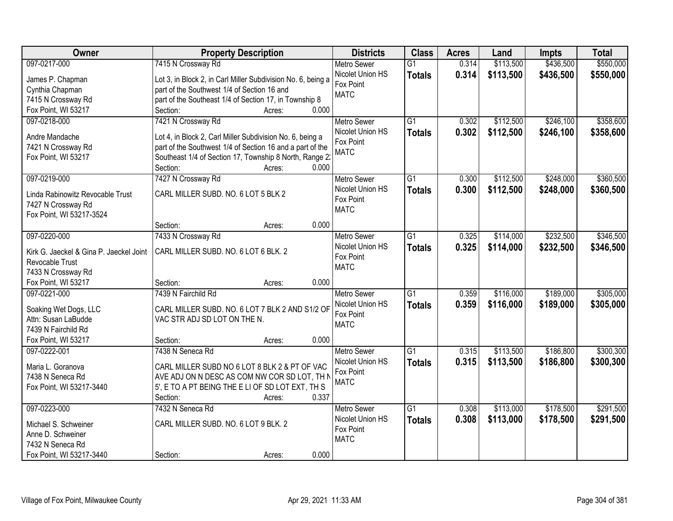| \$550,000<br>097-0217-000<br>7415 N Crossway Rd<br>\$113,500<br>\$436,500<br><b>Metro Sewer</b><br>$\overline{G1}$<br>0.314<br>Nicolet Union HS<br>0.314<br>\$113,500<br>\$436,500<br>\$550,000<br><b>Totals</b><br>Lot 3, in Block 2, in Carl Miller Subdivision No. 6, being a<br>James P. Chapman<br>Fox Point<br>part of the Southwest 1/4 of Section 16 and<br>Cynthia Chapman<br><b>MATC</b><br>7415 N Crossway Rd<br>part of the Southeast 1/4 of Section 17, in Township 8<br>0.000<br>Fox Point, WI 53217<br>Section:<br>Acres:<br>\$112,500<br>\$246,100<br>\$358,600<br>097-0218-000<br>7421 N Crossway Rd<br>$\overline{G1}$<br>0.302<br><b>Metro Sewer</b><br>Nicolet Union HS<br>0.302<br>\$112,500<br>\$246,100<br>\$358,600<br><b>Totals</b><br>Andre Mandache<br>Lot 4, in Block 2, Carl Miller Subdivision No. 6, being a<br>Fox Point<br>part of the Southwest 1/4 of Section 16 and a part of the<br>7421 N Crossway Rd<br><b>MATC</b><br>Southeast 1/4 of Section 17, Township 8 North, Range 2:<br>Fox Point, WI 53217<br>Section:<br>0.000<br>Acres:<br>7427 N Crossway Rd<br>$\overline{G1}$<br>\$112,500<br>\$248,000<br>\$360,500<br>097-0219-000<br>Metro Sewer<br>0.300<br>Nicolet Union HS<br>0.300<br>\$112,500<br>\$248,000<br>\$360,500<br><b>Totals</b><br>CARL MILLER SUBD. NO. 6 LOT 5 BLK 2<br>Linda Rabinowitz Revocable Trust<br>Fox Point<br>7427 N Crossway Rd<br><b>MATC</b><br>Fox Point, WI 53217-3524<br>0.000<br>Section:<br>Acres:<br>\$232,500<br>\$346,500<br>097-0220-000<br>$\overline{G1}$<br>0.325<br>\$114,000<br>7433 N Crossway Rd<br><b>Metro Sewer</b><br>Nicolet Union HS<br>0.325<br>\$114,000<br>\$232,500<br>\$346,500<br><b>Totals</b><br>CARL MILLER SUBD. NO. 6 LOT 6 BLK. 2<br>Kirk G. Jaeckel & Gina P. Jaeckel Joint<br>Fox Point<br>Revocable Trust<br><b>MATC</b><br>7433 N Crossway Rd<br>Fox Point, WI 53217<br>0.000<br>Section:<br>Acres:<br>$\overline{G1}$<br>\$305,000<br>097-0221-000<br>7439 N Fairchild Rd<br>0.359<br>\$116,000<br>\$189,000<br><b>Metro Sewer</b><br>0.359<br>\$116,000<br>\$189,000<br>Nicolet Union HS<br>\$305,000<br><b>Totals</b><br>Soaking Wet Dogs, LLC<br>CARL MILLER SUBD. NO. 6 LOT 7 BLK 2 AND S1/2 OF<br>Fox Point<br>VAC STR ADJ SD LOT ON THE N.<br>Attn: Susan LaBudde<br><b>MATC</b><br>7439 N Fairchild Rd<br>Fox Point, WI 53217<br>0.000<br>Section:<br>Acres:<br>7438 N Seneca Rd<br>\$300,300<br>097-0222-001<br>$\overline{G1}$<br>\$113,500<br>\$186,800<br><b>Metro Sewer</b><br>0.315<br>Nicolet Union HS<br>0.315<br>\$113,500<br>\$186,800<br>\$300,300<br><b>Totals</b><br>Maria L. Goranova<br>CARL MILLER SUBD NO 6 LOT 8 BLK 2 & PT OF VAC<br>Fox Point<br>AVE ADJ ON N DESC AS COM NW COR SD LOT, TH N<br>7438 N Seneca Rd<br><b>MATC</b><br>5', E TO A PT BEING THE E LI OF SD LOT EXT, TH S<br>Fox Point, WI 53217-3440<br>Section:<br>0.337<br>Acres:<br>$\overline{G1}$<br>\$178,500<br>\$291,500<br>097-0223-000<br>7432 N Seneca Rd<br>\$113,000<br><b>Metro Sewer</b><br>0.308 | Owner | <b>Property Description</b> | <b>Districts</b> | <b>Class</b>  | <b>Acres</b> | Land      | <b>Impts</b> | <b>Total</b> |
|-------------------------------------------------------------------------------------------------------------------------------------------------------------------------------------------------------------------------------------------------------------------------------------------------------------------------------------------------------------------------------------------------------------------------------------------------------------------------------------------------------------------------------------------------------------------------------------------------------------------------------------------------------------------------------------------------------------------------------------------------------------------------------------------------------------------------------------------------------------------------------------------------------------------------------------------------------------------------------------------------------------------------------------------------------------------------------------------------------------------------------------------------------------------------------------------------------------------------------------------------------------------------------------------------------------------------------------------------------------------------------------------------------------------------------------------------------------------------------------------------------------------------------------------------------------------------------------------------------------------------------------------------------------------------------------------------------------------------------------------------------------------------------------------------------------------------------------------------------------------------------------------------------------------------------------------------------------------------------------------------------------------------------------------------------------------------------------------------------------------------------------------------------------------------------------------------------------------------------------------------------------------------------------------------------------------------------------------------------------------------------------------------------------------------------------------------------------------------------------------------------------------------------------------------------------------------------------------------------------------------------------------------------------------------------------------------------------------------------------------------------------------------------------------------------------------------------------------------------------------------------------------------------------------------------------------------------------------------------------------------------------------------|-------|-----------------------------|------------------|---------------|--------------|-----------|--------------|--------------|
|                                                                                                                                                                                                                                                                                                                                                                                                                                                                                                                                                                                                                                                                                                                                                                                                                                                                                                                                                                                                                                                                                                                                                                                                                                                                                                                                                                                                                                                                                                                                                                                                                                                                                                                                                                                                                                                                                                                                                                                                                                                                                                                                                                                                                                                                                                                                                                                                                                                                                                                                                                                                                                                                                                                                                                                                                                                                                                                                                                                                                         |       |                             |                  |               |              |           |              |              |
|                                                                                                                                                                                                                                                                                                                                                                                                                                                                                                                                                                                                                                                                                                                                                                                                                                                                                                                                                                                                                                                                                                                                                                                                                                                                                                                                                                                                                                                                                                                                                                                                                                                                                                                                                                                                                                                                                                                                                                                                                                                                                                                                                                                                                                                                                                                                                                                                                                                                                                                                                                                                                                                                                                                                                                                                                                                                                                                                                                                                                         |       |                             |                  |               |              |           |              |              |
|                                                                                                                                                                                                                                                                                                                                                                                                                                                                                                                                                                                                                                                                                                                                                                                                                                                                                                                                                                                                                                                                                                                                                                                                                                                                                                                                                                                                                                                                                                                                                                                                                                                                                                                                                                                                                                                                                                                                                                                                                                                                                                                                                                                                                                                                                                                                                                                                                                                                                                                                                                                                                                                                                                                                                                                                                                                                                                                                                                                                                         |       |                             |                  |               |              |           |              |              |
|                                                                                                                                                                                                                                                                                                                                                                                                                                                                                                                                                                                                                                                                                                                                                                                                                                                                                                                                                                                                                                                                                                                                                                                                                                                                                                                                                                                                                                                                                                                                                                                                                                                                                                                                                                                                                                                                                                                                                                                                                                                                                                                                                                                                                                                                                                                                                                                                                                                                                                                                                                                                                                                                                                                                                                                                                                                                                                                                                                                                                         |       |                             |                  |               |              |           |              |              |
|                                                                                                                                                                                                                                                                                                                                                                                                                                                                                                                                                                                                                                                                                                                                                                                                                                                                                                                                                                                                                                                                                                                                                                                                                                                                                                                                                                                                                                                                                                                                                                                                                                                                                                                                                                                                                                                                                                                                                                                                                                                                                                                                                                                                                                                                                                                                                                                                                                                                                                                                                                                                                                                                                                                                                                                                                                                                                                                                                                                                                         |       |                             |                  |               |              |           |              |              |
|                                                                                                                                                                                                                                                                                                                                                                                                                                                                                                                                                                                                                                                                                                                                                                                                                                                                                                                                                                                                                                                                                                                                                                                                                                                                                                                                                                                                                                                                                                                                                                                                                                                                                                                                                                                                                                                                                                                                                                                                                                                                                                                                                                                                                                                                                                                                                                                                                                                                                                                                                                                                                                                                                                                                                                                                                                                                                                                                                                                                                         |       |                             |                  |               |              |           |              |              |
|                                                                                                                                                                                                                                                                                                                                                                                                                                                                                                                                                                                                                                                                                                                                                                                                                                                                                                                                                                                                                                                                                                                                                                                                                                                                                                                                                                                                                                                                                                                                                                                                                                                                                                                                                                                                                                                                                                                                                                                                                                                                                                                                                                                                                                                                                                                                                                                                                                                                                                                                                                                                                                                                                                                                                                                                                                                                                                                                                                                                                         |       |                             |                  |               |              |           |              |              |
|                                                                                                                                                                                                                                                                                                                                                                                                                                                                                                                                                                                                                                                                                                                                                                                                                                                                                                                                                                                                                                                                                                                                                                                                                                                                                                                                                                                                                                                                                                                                                                                                                                                                                                                                                                                                                                                                                                                                                                                                                                                                                                                                                                                                                                                                                                                                                                                                                                                                                                                                                                                                                                                                                                                                                                                                                                                                                                                                                                                                                         |       |                             |                  |               |              |           |              |              |
|                                                                                                                                                                                                                                                                                                                                                                                                                                                                                                                                                                                                                                                                                                                                                                                                                                                                                                                                                                                                                                                                                                                                                                                                                                                                                                                                                                                                                                                                                                                                                                                                                                                                                                                                                                                                                                                                                                                                                                                                                                                                                                                                                                                                                                                                                                                                                                                                                                                                                                                                                                                                                                                                                                                                                                                                                                                                                                                                                                                                                         |       |                             |                  |               |              |           |              |              |
|                                                                                                                                                                                                                                                                                                                                                                                                                                                                                                                                                                                                                                                                                                                                                                                                                                                                                                                                                                                                                                                                                                                                                                                                                                                                                                                                                                                                                                                                                                                                                                                                                                                                                                                                                                                                                                                                                                                                                                                                                                                                                                                                                                                                                                                                                                                                                                                                                                                                                                                                                                                                                                                                                                                                                                                                                                                                                                                                                                                                                         |       |                             |                  |               |              |           |              |              |
|                                                                                                                                                                                                                                                                                                                                                                                                                                                                                                                                                                                                                                                                                                                                                                                                                                                                                                                                                                                                                                                                                                                                                                                                                                                                                                                                                                                                                                                                                                                                                                                                                                                                                                                                                                                                                                                                                                                                                                                                                                                                                                                                                                                                                                                                                                                                                                                                                                                                                                                                                                                                                                                                                                                                                                                                                                                                                                                                                                                                                         |       |                             |                  |               |              |           |              |              |
|                                                                                                                                                                                                                                                                                                                                                                                                                                                                                                                                                                                                                                                                                                                                                                                                                                                                                                                                                                                                                                                                                                                                                                                                                                                                                                                                                                                                                                                                                                                                                                                                                                                                                                                                                                                                                                                                                                                                                                                                                                                                                                                                                                                                                                                                                                                                                                                                                                                                                                                                                                                                                                                                                                                                                                                                                                                                                                                                                                                                                         |       |                             |                  |               |              |           |              |              |
|                                                                                                                                                                                                                                                                                                                                                                                                                                                                                                                                                                                                                                                                                                                                                                                                                                                                                                                                                                                                                                                                                                                                                                                                                                                                                                                                                                                                                                                                                                                                                                                                                                                                                                                                                                                                                                                                                                                                                                                                                                                                                                                                                                                                                                                                                                                                                                                                                                                                                                                                                                                                                                                                                                                                                                                                                                                                                                                                                                                                                         |       |                             |                  |               |              |           |              |              |
|                                                                                                                                                                                                                                                                                                                                                                                                                                                                                                                                                                                                                                                                                                                                                                                                                                                                                                                                                                                                                                                                                                                                                                                                                                                                                                                                                                                                                                                                                                                                                                                                                                                                                                                                                                                                                                                                                                                                                                                                                                                                                                                                                                                                                                                                                                                                                                                                                                                                                                                                                                                                                                                                                                                                                                                                                                                                                                                                                                                                                         |       |                             |                  |               |              |           |              |              |
|                                                                                                                                                                                                                                                                                                                                                                                                                                                                                                                                                                                                                                                                                                                                                                                                                                                                                                                                                                                                                                                                                                                                                                                                                                                                                                                                                                                                                                                                                                                                                                                                                                                                                                                                                                                                                                                                                                                                                                                                                                                                                                                                                                                                                                                                                                                                                                                                                                                                                                                                                                                                                                                                                                                                                                                                                                                                                                                                                                                                                         |       |                             |                  |               |              |           |              |              |
|                                                                                                                                                                                                                                                                                                                                                                                                                                                                                                                                                                                                                                                                                                                                                                                                                                                                                                                                                                                                                                                                                                                                                                                                                                                                                                                                                                                                                                                                                                                                                                                                                                                                                                                                                                                                                                                                                                                                                                                                                                                                                                                                                                                                                                                                                                                                                                                                                                                                                                                                                                                                                                                                                                                                                                                                                                                                                                                                                                                                                         |       |                             |                  |               |              |           |              |              |
|                                                                                                                                                                                                                                                                                                                                                                                                                                                                                                                                                                                                                                                                                                                                                                                                                                                                                                                                                                                                                                                                                                                                                                                                                                                                                                                                                                                                                                                                                                                                                                                                                                                                                                                                                                                                                                                                                                                                                                                                                                                                                                                                                                                                                                                                                                                                                                                                                                                                                                                                                                                                                                                                                                                                                                                                                                                                                                                                                                                                                         |       |                             |                  |               |              |           |              |              |
|                                                                                                                                                                                                                                                                                                                                                                                                                                                                                                                                                                                                                                                                                                                                                                                                                                                                                                                                                                                                                                                                                                                                                                                                                                                                                                                                                                                                                                                                                                                                                                                                                                                                                                                                                                                                                                                                                                                                                                                                                                                                                                                                                                                                                                                                                                                                                                                                                                                                                                                                                                                                                                                                                                                                                                                                                                                                                                                                                                                                                         |       |                             |                  |               |              |           |              |              |
|                                                                                                                                                                                                                                                                                                                                                                                                                                                                                                                                                                                                                                                                                                                                                                                                                                                                                                                                                                                                                                                                                                                                                                                                                                                                                                                                                                                                                                                                                                                                                                                                                                                                                                                                                                                                                                                                                                                                                                                                                                                                                                                                                                                                                                                                                                                                                                                                                                                                                                                                                                                                                                                                                                                                                                                                                                                                                                                                                                                                                         |       |                             |                  |               |              |           |              |              |
|                                                                                                                                                                                                                                                                                                                                                                                                                                                                                                                                                                                                                                                                                                                                                                                                                                                                                                                                                                                                                                                                                                                                                                                                                                                                                                                                                                                                                                                                                                                                                                                                                                                                                                                                                                                                                                                                                                                                                                                                                                                                                                                                                                                                                                                                                                                                                                                                                                                                                                                                                                                                                                                                                                                                                                                                                                                                                                                                                                                                                         |       |                             |                  |               |              |           |              |              |
|                                                                                                                                                                                                                                                                                                                                                                                                                                                                                                                                                                                                                                                                                                                                                                                                                                                                                                                                                                                                                                                                                                                                                                                                                                                                                                                                                                                                                                                                                                                                                                                                                                                                                                                                                                                                                                                                                                                                                                                                                                                                                                                                                                                                                                                                                                                                                                                                                                                                                                                                                                                                                                                                                                                                                                                                                                                                                                                                                                                                                         |       |                             |                  |               |              |           |              |              |
|                                                                                                                                                                                                                                                                                                                                                                                                                                                                                                                                                                                                                                                                                                                                                                                                                                                                                                                                                                                                                                                                                                                                                                                                                                                                                                                                                                                                                                                                                                                                                                                                                                                                                                                                                                                                                                                                                                                                                                                                                                                                                                                                                                                                                                                                                                                                                                                                                                                                                                                                                                                                                                                                                                                                                                                                                                                                                                                                                                                                                         |       |                             |                  |               |              |           |              |              |
|                                                                                                                                                                                                                                                                                                                                                                                                                                                                                                                                                                                                                                                                                                                                                                                                                                                                                                                                                                                                                                                                                                                                                                                                                                                                                                                                                                                                                                                                                                                                                                                                                                                                                                                                                                                                                                                                                                                                                                                                                                                                                                                                                                                                                                                                                                                                                                                                                                                                                                                                                                                                                                                                                                                                                                                                                                                                                                                                                                                                                         |       |                             |                  |               |              |           |              |              |
|                                                                                                                                                                                                                                                                                                                                                                                                                                                                                                                                                                                                                                                                                                                                                                                                                                                                                                                                                                                                                                                                                                                                                                                                                                                                                                                                                                                                                                                                                                                                                                                                                                                                                                                                                                                                                                                                                                                                                                                                                                                                                                                                                                                                                                                                                                                                                                                                                                                                                                                                                                                                                                                                                                                                                                                                                                                                                                                                                                                                                         |       |                             |                  |               |              |           |              |              |
|                                                                                                                                                                                                                                                                                                                                                                                                                                                                                                                                                                                                                                                                                                                                                                                                                                                                                                                                                                                                                                                                                                                                                                                                                                                                                                                                                                                                                                                                                                                                                                                                                                                                                                                                                                                                                                                                                                                                                                                                                                                                                                                                                                                                                                                                                                                                                                                                                                                                                                                                                                                                                                                                                                                                                                                                                                                                                                                                                                                                                         |       |                             |                  |               |              |           |              |              |
|                                                                                                                                                                                                                                                                                                                                                                                                                                                                                                                                                                                                                                                                                                                                                                                                                                                                                                                                                                                                                                                                                                                                                                                                                                                                                                                                                                                                                                                                                                                                                                                                                                                                                                                                                                                                                                                                                                                                                                                                                                                                                                                                                                                                                                                                                                                                                                                                                                                                                                                                                                                                                                                                                                                                                                                                                                                                                                                                                                                                                         |       |                             |                  |               |              |           |              |              |
|                                                                                                                                                                                                                                                                                                                                                                                                                                                                                                                                                                                                                                                                                                                                                                                                                                                                                                                                                                                                                                                                                                                                                                                                                                                                                                                                                                                                                                                                                                                                                                                                                                                                                                                                                                                                                                                                                                                                                                                                                                                                                                                                                                                                                                                                                                                                                                                                                                                                                                                                                                                                                                                                                                                                                                                                                                                                                                                                                                                                                         |       |                             |                  |               |              |           |              |              |
|                                                                                                                                                                                                                                                                                                                                                                                                                                                                                                                                                                                                                                                                                                                                                                                                                                                                                                                                                                                                                                                                                                                                                                                                                                                                                                                                                                                                                                                                                                                                                                                                                                                                                                                                                                                                                                                                                                                                                                                                                                                                                                                                                                                                                                                                                                                                                                                                                                                                                                                                                                                                                                                                                                                                                                                                                                                                                                                                                                                                                         |       |                             |                  |               |              |           |              |              |
|                                                                                                                                                                                                                                                                                                                                                                                                                                                                                                                                                                                                                                                                                                                                                                                                                                                                                                                                                                                                                                                                                                                                                                                                                                                                                                                                                                                                                                                                                                                                                                                                                                                                                                                                                                                                                                                                                                                                                                                                                                                                                                                                                                                                                                                                                                                                                                                                                                                                                                                                                                                                                                                                                                                                                                                                                                                                                                                                                                                                                         |       |                             |                  |               |              |           |              |              |
|                                                                                                                                                                                                                                                                                                                                                                                                                                                                                                                                                                                                                                                                                                                                                                                                                                                                                                                                                                                                                                                                                                                                                                                                                                                                                                                                                                                                                                                                                                                                                                                                                                                                                                                                                                                                                                                                                                                                                                                                                                                                                                                                                                                                                                                                                                                                                                                                                                                                                                                                                                                                                                                                                                                                                                                                                                                                                                                                                                                                                         |       |                             |                  |               |              |           |              |              |
|                                                                                                                                                                                                                                                                                                                                                                                                                                                                                                                                                                                                                                                                                                                                                                                                                                                                                                                                                                                                                                                                                                                                                                                                                                                                                                                                                                                                                                                                                                                                                                                                                                                                                                                                                                                                                                                                                                                                                                                                                                                                                                                                                                                                                                                                                                                                                                                                                                                                                                                                                                                                                                                                                                                                                                                                                                                                                                                                                                                                                         |       |                             |                  |               |              |           |              |              |
|                                                                                                                                                                                                                                                                                                                                                                                                                                                                                                                                                                                                                                                                                                                                                                                                                                                                                                                                                                                                                                                                                                                                                                                                                                                                                                                                                                                                                                                                                                                                                                                                                                                                                                                                                                                                                                                                                                                                                                                                                                                                                                                                                                                                                                                                                                                                                                                                                                                                                                                                                                                                                                                                                                                                                                                                                                                                                                                                                                                                                         |       |                             |                  |               |              |           |              |              |
|                                                                                                                                                                                                                                                                                                                                                                                                                                                                                                                                                                                                                                                                                                                                                                                                                                                                                                                                                                                                                                                                                                                                                                                                                                                                                                                                                                                                                                                                                                                                                                                                                                                                                                                                                                                                                                                                                                                                                                                                                                                                                                                                                                                                                                                                                                                                                                                                                                                                                                                                                                                                                                                                                                                                                                                                                                                                                                                                                                                                                         |       |                             |                  |               |              |           |              |              |
|                                                                                                                                                                                                                                                                                                                                                                                                                                                                                                                                                                                                                                                                                                                                                                                                                                                                                                                                                                                                                                                                                                                                                                                                                                                                                                                                                                                                                                                                                                                                                                                                                                                                                                                                                                                                                                                                                                                                                                                                                                                                                                                                                                                                                                                                                                                                                                                                                                                                                                                                                                                                                                                                                                                                                                                                                                                                                                                                                                                                                         |       |                             | Nicolet Union HS | <b>Totals</b> | 0.308        | \$113,000 | \$178,500    | \$291,500    |
| CARL MILLER SUBD. NO. 6 LOT 9 BLK. 2<br>Michael S. Schweiner<br>Fox Point<br>Anne D. Schweiner                                                                                                                                                                                                                                                                                                                                                                                                                                                                                                                                                                                                                                                                                                                                                                                                                                                                                                                                                                                                                                                                                                                                                                                                                                                                                                                                                                                                                                                                                                                                                                                                                                                                                                                                                                                                                                                                                                                                                                                                                                                                                                                                                                                                                                                                                                                                                                                                                                                                                                                                                                                                                                                                                                                                                                                                                                                                                                                          |       |                             |                  |               |              |           |              |              |
| <b>MATC</b><br>7432 N Seneca Rd                                                                                                                                                                                                                                                                                                                                                                                                                                                                                                                                                                                                                                                                                                                                                                                                                                                                                                                                                                                                                                                                                                                                                                                                                                                                                                                                                                                                                                                                                                                                                                                                                                                                                                                                                                                                                                                                                                                                                                                                                                                                                                                                                                                                                                                                                                                                                                                                                                                                                                                                                                                                                                                                                                                                                                                                                                                                                                                                                                                         |       |                             |                  |               |              |           |              |              |
| Fox Point, WI 53217-3440<br>0.000<br>Section:<br>Acres:                                                                                                                                                                                                                                                                                                                                                                                                                                                                                                                                                                                                                                                                                                                                                                                                                                                                                                                                                                                                                                                                                                                                                                                                                                                                                                                                                                                                                                                                                                                                                                                                                                                                                                                                                                                                                                                                                                                                                                                                                                                                                                                                                                                                                                                                                                                                                                                                                                                                                                                                                                                                                                                                                                                                                                                                                                                                                                                                                                 |       |                             |                  |               |              |           |              |              |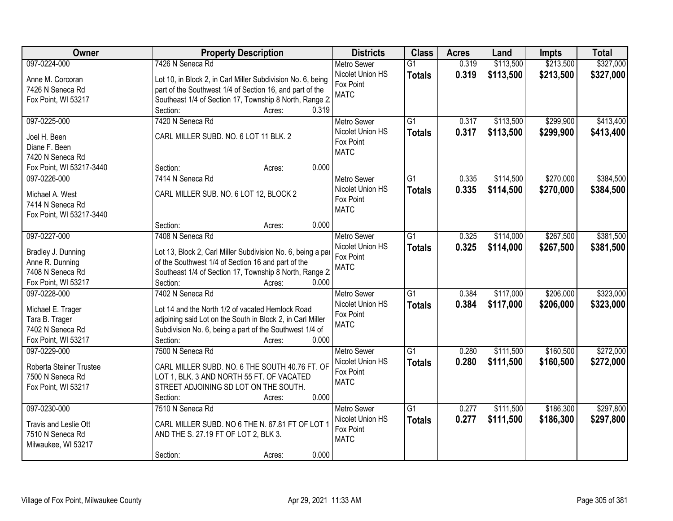| Owner                             | <b>Property Description</b>                                 | <b>Districts</b>   | <b>Class</b>    | <b>Acres</b> | Land      | <b>Impts</b> | <b>Total</b> |
|-----------------------------------|-------------------------------------------------------------|--------------------|-----------------|--------------|-----------|--------------|--------------|
| 097-0224-000                      | 7426 N Seneca Rd                                            | <b>Metro Sewer</b> | $\overline{G1}$ | 0.319        | \$113,500 | \$213,500    | \$327,000    |
| Anne M. Corcoran                  | Lot 10, in Block 2, in Carl Miller Subdivision No. 6, being | Nicolet Union HS   | <b>Totals</b>   | 0.319        | \$113,500 | \$213,500    | \$327,000    |
| 7426 N Seneca Rd                  | part of the Southwest 1/4 of Section 16, and part of the    | Fox Point          |                 |              |           |              |              |
| Fox Point, WI 53217               | Southeast 1/4 of Section 17, Township 8 North, Range 2:     | <b>MATC</b>        |                 |              |           |              |              |
|                                   | 0.319<br>Section:<br>Acres:                                 |                    |                 |              |           |              |              |
| 097-0225-000                      | 7420 N Seneca Rd                                            | <b>Metro Sewer</b> | G1              | 0.317        | \$113,500 | \$299,900    | \$413,400    |
|                                   |                                                             | Nicolet Union HS   | <b>Totals</b>   | 0.317        | \$113,500 | \$299,900    | \$413,400    |
| Joel H. Been                      | CARL MILLER SUBD. NO. 6 LOT 11 BLK. 2                       | Fox Point          |                 |              |           |              |              |
| Diane F. Been<br>7420 N Seneca Rd |                                                             | <b>MATC</b>        |                 |              |           |              |              |
| Fox Point, WI 53217-3440          | 0.000<br>Section:<br>Acres:                                 |                    |                 |              |           |              |              |
| 097-0226-000                      | 7414 N Seneca Rd                                            | Metro Sewer        | G1              | 0.335        | \$114,500 | \$270,000    | \$384,500    |
|                                   |                                                             | Nicolet Union HS   |                 |              |           |              |              |
| Michael A. West                   | CARL MILLER SUB. NO. 6 LOT 12, BLOCK 2                      | Fox Point          | <b>Totals</b>   | 0.335        | \$114,500 | \$270,000    | \$384,500    |
| 7414 N Seneca Rd                  |                                                             | <b>MATC</b>        |                 |              |           |              |              |
| Fox Point, WI 53217-3440          |                                                             |                    |                 |              |           |              |              |
|                                   | 0.000<br>Section:<br>Acres:                                 |                    |                 |              |           |              |              |
| 097-0227-000                      | 7408 N Seneca Rd                                            | <b>Metro Sewer</b> | $\overline{G1}$ | 0.325        | \$114,000 | \$267,500    | \$381,500    |
| Bradley J. Dunning                | Lot 13, Block 2, Carl Miller Subdivision No. 6, being a par | Nicolet Union HS   | <b>Totals</b>   | 0.325        | \$114,000 | \$267,500    | \$381,500    |
| Anne R. Dunning                   | of the Southwest 1/4 of Section 16 and part of the          | Fox Point          |                 |              |           |              |              |
| 7408 N Seneca Rd                  | Southeast 1/4 of Section 17, Township 8 North, Range 2:     | <b>MATC</b>        |                 |              |           |              |              |
| Fox Point, WI 53217               | Section:<br>0.000<br>Acres:                                 |                    |                 |              |           |              |              |
| 097-0228-000                      | 7402 N Seneca Rd                                            | <b>Metro Sewer</b> | $\overline{G1}$ | 0.384        | \$117,000 | \$206,000    | \$323,000    |
|                                   |                                                             | Nicolet Union HS   | <b>Totals</b>   | 0.384        | \$117,000 | \$206,000    | \$323,000    |
| Michael E. Trager                 | Lot 14 and the North 1/2 of vacated Hemlock Road            | Fox Point          |                 |              |           |              |              |
| Tara B. Trager                    | adjoining said Lot on the South in Block 2, in Carl Miller  | <b>MATC</b>        |                 |              |           |              |              |
| 7402 N Seneca Rd                  | Subdivision No. 6, being a part of the Southwest 1/4 of     |                    |                 |              |           |              |              |
| Fox Point, WI 53217               | Section:<br>0.000<br>Acres:                                 |                    |                 |              |           |              |              |
| 097-0229-000                      | 7500 N Seneca Rd                                            | <b>Metro Sewer</b> | G1              | 0.280        | \$111,500 | \$160,500    | \$272,000    |
| Roberta Steiner Trustee           | CARL MILLER SUBD. NO. 6 THE SOUTH 40.76 FT. OF              | Nicolet Union HS   | <b>Totals</b>   | 0.280        | \$111,500 | \$160,500    | \$272,000    |
| 7500 N Seneca Rd                  | LOT 1, BLK. 3 AND NORTH 55 FT. OF VACATED                   | Fox Point          |                 |              |           |              |              |
| Fox Point, WI 53217               | STREET ADJOINING SD LOT ON THE SOUTH.                       | <b>MATC</b>        |                 |              |           |              |              |
|                                   | 0.000<br>Section:<br>Acres:                                 |                    |                 |              |           |              |              |
| 097-0230-000                      | 7510 N Seneca Rd                                            | <b>Metro Sewer</b> | $\overline{G1}$ | 0.277        | \$111,500 | \$186,300    | \$297,800    |
|                                   |                                                             | Nicolet Union HS   | <b>Totals</b>   | 0.277        | \$111,500 | \$186,300    | \$297,800    |
| Travis and Leslie Ott             | CARL MILLER SUBD. NO 6 THE N. 67.81 FT OF LOT 1             | Fox Point          |                 |              |           |              |              |
| 7510 N Seneca Rd                  | AND THE S. 27.19 FT OF LOT 2, BLK 3.                        | <b>MATC</b>        |                 |              |           |              |              |
| Milwaukee, WI 53217               |                                                             |                    |                 |              |           |              |              |
|                                   | 0.000<br>Section:<br>Acres:                                 |                    |                 |              |           |              |              |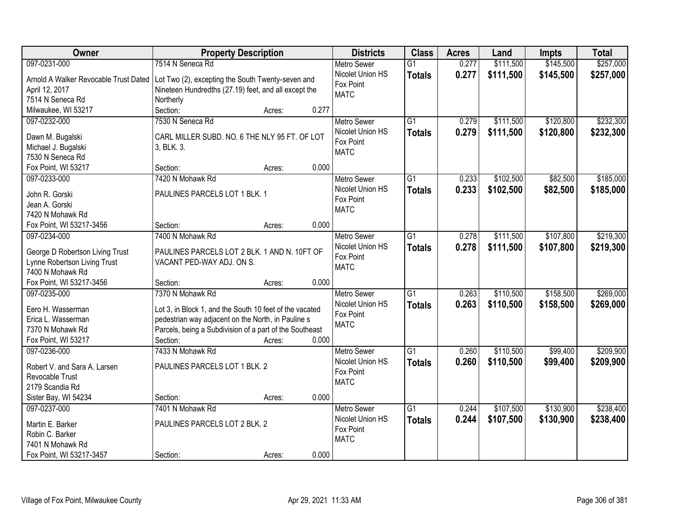| Owner                                 | <b>Property Description</b>                             |        |       | <b>Districts</b>         | <b>Class</b>    | <b>Acres</b> | Land      | <b>Impts</b> | <b>Total</b> |
|---------------------------------------|---------------------------------------------------------|--------|-------|--------------------------|-----------------|--------------|-----------|--------------|--------------|
| 097-0231-000                          | 7514 N Seneca Rd                                        |        |       | <b>Metro Sewer</b>       | $\overline{G1}$ | 0.277        | \$111,500 | \$145,500    | \$257,000    |
| Arnold A Walker Revocable Trust Dated | Lot Two (2), excepting the South Twenty-seven and       |        |       | Nicolet Union HS         | <b>Totals</b>   | 0.277        | \$111,500 | \$145,500    | \$257,000    |
| April 12, 2017                        | Nineteen Hundredths (27.19) feet, and all except the    |        |       | Fox Point                |                 |              |           |              |              |
| 7514 N Seneca Rd                      | Northerly                                               |        |       | <b>MATC</b>              |                 |              |           |              |              |
| Milwaukee, WI 53217                   | Section:                                                | Acres: | 0.277 |                          |                 |              |           |              |              |
| 097-0232-000                          | 7530 N Seneca Rd                                        |        |       | <b>Metro Sewer</b>       | $\overline{G1}$ | 0.279        | \$111,500 | \$120,800    | \$232,300    |
|                                       |                                                         |        |       | Nicolet Union HS         | <b>Totals</b>   | 0.279        | \$111,500 | \$120,800    | \$232,300    |
| Dawn M. Bugalski                      | CARL MILLER SUBD. NO. 6 THE NLY 95 FT. OF LOT           |        |       | Fox Point                |                 |              |           |              |              |
| Michael J. Bugalski                   | 3, BLK. 3.                                              |        |       | <b>MATC</b>              |                 |              |           |              |              |
| 7530 N Seneca Rd                      |                                                         |        |       |                          |                 |              |           |              |              |
| Fox Point, WI 53217                   | Section:                                                | Acres: | 0.000 |                          |                 |              |           |              |              |
| 097-0233-000                          | 7420 N Mohawk Rd                                        |        |       | <b>Metro Sewer</b>       | $\overline{G1}$ | 0.233        | \$102,500 | \$82,500     | \$185,000    |
| John R. Gorski                        | PAULINES PARCELS LOT 1 BLK. 1                           |        |       | Nicolet Union HS         | <b>Totals</b>   | 0.233        | \$102,500 | \$82,500     | \$185,000    |
| Jean A. Gorski                        |                                                         |        |       | Fox Point                |                 |              |           |              |              |
| 7420 N Mohawk Rd                      |                                                         |        |       | <b>MATC</b>              |                 |              |           |              |              |
| Fox Point, WI 53217-3456              | Section:                                                | Acres: | 0.000 |                          |                 |              |           |              |              |
| 097-0234-000                          | 7400 N Mohawk Rd                                        |        |       | <b>Metro Sewer</b>       | $\overline{G1}$ | 0.278        | \$111,500 | \$107,800    | \$219,300    |
|                                       |                                                         |        |       | Nicolet Union HS         | <b>Totals</b>   | 0.278        | \$111,500 | \$107,800    | \$219,300    |
| George D Robertson Living Trust       | PAULINES PARCELS LOT 2 BLK. 1 AND N. 10FT OF            |        |       | Fox Point                |                 |              |           |              |              |
| Lynne Robertson Living Trust          | VACANT PED-WAY ADJ. ON S.                               |        |       | <b>MATC</b>              |                 |              |           |              |              |
| 7400 N Mohawk Rd                      |                                                         |        |       |                          |                 |              |           |              |              |
| Fox Point, WI 53217-3456              | Section:                                                | Acres: | 0.000 |                          |                 |              |           |              |              |
| 097-0235-000                          | 7370 N Mohawk Rd                                        |        |       | <b>Metro Sewer</b>       | $\overline{G1}$ | 0.263        | \$110,500 | \$158,500    | \$269,000    |
| Eero H. Wasserman                     | Lot 3, in Block 1, and the South 10 feet of the vacated |        |       | Nicolet Union HS         | <b>Totals</b>   | 0.263        | \$110,500 | \$158,500    | \$269,000    |
| Erica L. Wasserman                    | pedestrian way adjacent on the North, in Pauline s      |        |       | Fox Point<br><b>MATC</b> |                 |              |           |              |              |
| 7370 N Mohawk Rd                      | Parcels, being a Subdivision of a part of the Southeast |        |       |                          |                 |              |           |              |              |
| Fox Point, WI 53217                   | Section:                                                | Acres: | 0.000 |                          |                 |              |           |              |              |
| 097-0236-000                          | 7433 N Mohawk Rd                                        |        |       | <b>Metro Sewer</b>       | $\overline{G1}$ | 0.260        | \$110,500 | \$99,400     | \$209,900    |
| Robert V. and Sara A. Larsen          | PAULINES PARCELS LOT 1 BLK. 2                           |        |       | Nicolet Union HS         | <b>Totals</b>   | 0.260        | \$110,500 | \$99,400     | \$209,900    |
| Revocable Trust                       |                                                         |        |       | Fox Point                |                 |              |           |              |              |
| 2179 Scandia Rd                       |                                                         |        |       | <b>MATC</b>              |                 |              |           |              |              |
| Sister Bay, WI 54234                  | Section:                                                | Acres: | 0.000 |                          |                 |              |           |              |              |
| 097-0237-000                          | 7401 N Mohawk Rd                                        |        |       | <b>Metro Sewer</b>       | $\overline{G1}$ | 0.244        | \$107,500 | \$130,900    | \$238,400    |
|                                       |                                                         |        |       | Nicolet Union HS         | <b>Totals</b>   | 0.244        | \$107,500 | \$130,900    | \$238,400    |
| Martin E. Barker                      | PAULINES PARCELS LOT 2 BLK. 2                           |        |       | Fox Point                |                 |              |           |              |              |
| Robin C. Barker                       |                                                         |        |       | <b>MATC</b>              |                 |              |           |              |              |
| 7401 N Mohawk Rd                      |                                                         |        |       |                          |                 |              |           |              |              |
| Fox Point, WI 53217-3457              | Section:                                                | Acres: | 0.000 |                          |                 |              |           |              |              |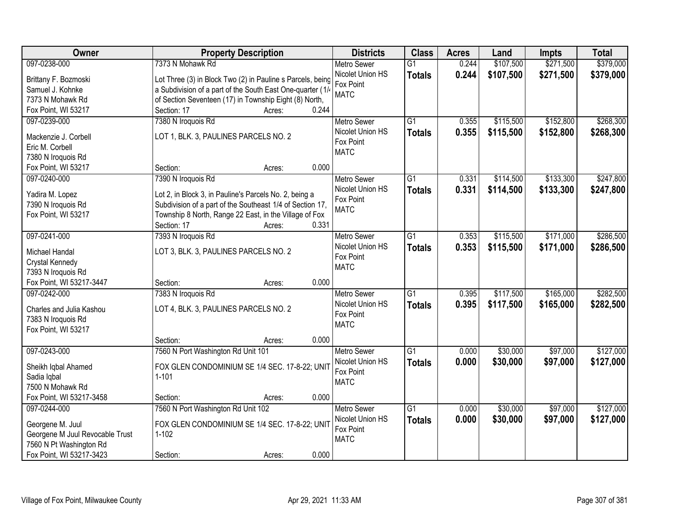| Owner                           | <b>Property Description</b>                                | <b>Districts</b>         | <b>Class</b>    | <b>Acres</b> | Land      | <b>Impts</b> | <b>Total</b> |
|---------------------------------|------------------------------------------------------------|--------------------------|-----------------|--------------|-----------|--------------|--------------|
| 097-0238-000                    | 7373 N Mohawk Rd                                           | <b>Metro Sewer</b>       | $\overline{G1}$ | 0.244        | \$107,500 | \$271,500    | \$379,000    |
| Brittany F. Bozmoski            | Lot Three (3) in Block Two (2) in Pauline s Parcels, being | Nicolet Union HS         | <b>Totals</b>   | 0.244        | \$107,500 | \$271,500    | \$379,000    |
| Samuel J. Kohnke                | a Subdivision of a part of the South East One-quarter (1/  | Fox Point                |                 |              |           |              |              |
| 7373 N Mohawk Rd                | of Section Seventeen (17) in Township Eight (8) North,     | <b>MATC</b>              |                 |              |           |              |              |
| Fox Point, WI 53217             | 0.244<br>Section: 17<br>Acres:                             |                          |                 |              |           |              |              |
| 097-0239-000                    | 7380 N Iroquois Rd                                         | <b>Metro Sewer</b>       | $\overline{G1}$ | 0.355        | \$115,500 | \$152,800    | \$268,300    |
|                                 |                                                            | Nicolet Union HS         | <b>Totals</b>   | 0.355        | \$115,500 | \$152,800    | \$268,300    |
| Mackenzie J. Corbell            | LOT 1, BLK. 3, PAULINES PARCELS NO. 2                      | Fox Point                |                 |              |           |              |              |
| Eric M. Corbell                 |                                                            | <b>MATC</b>              |                 |              |           |              |              |
| 7380 N Iroquois Rd              | 0.000                                                      |                          |                 |              |           |              |              |
| Fox Point, WI 53217             | Section:<br>Acres:                                         |                          |                 |              |           |              |              |
| 097-0240-000                    | 7390 N Iroquois Rd                                         | Metro Sewer              | $\overline{G1}$ | 0.331        | \$114,500 | \$133,300    | \$247,800    |
| Yadira M. Lopez                 | Lot 2, in Block 3, in Pauline's Parcels No. 2, being a     | Nicolet Union HS         | <b>Totals</b>   | 0.331        | \$114,500 | \$133,300    | \$247,800    |
| 7390 N Iroquois Rd              | Subdivision of a part of the Southeast 1/4 of Section 17,  | Fox Point<br><b>MATC</b> |                 |              |           |              |              |
| Fox Point, WI 53217             | Township 8 North, Range 22 East, in the Village of Fox     |                          |                 |              |           |              |              |
|                                 | Section: 17<br>0.331<br>Acres:                             |                          |                 |              |           |              |              |
| 097-0241-000                    | 7393 N Iroquois Rd                                         | <b>Metro Sewer</b>       | $\overline{G1}$ | 0.353        | \$115,500 | \$171,000    | \$286,500    |
| Michael Handal                  | LOT 3, BLK. 3, PAULINES PARCELS NO. 2                      | Nicolet Union HS         | <b>Totals</b>   | 0.353        | \$115,500 | \$171,000    | \$286,500    |
| Crystal Kennedy                 |                                                            | Fox Point                |                 |              |           |              |              |
| 7393 N Iroquois Rd              |                                                            | <b>MATC</b>              |                 |              |           |              |              |
| Fox Point, WI 53217-3447        | 0.000<br>Section:<br>Acres:                                |                          |                 |              |           |              |              |
| 097-0242-000                    | 7383 N Iroquois Rd                                         | <b>Metro Sewer</b>       | $\overline{G1}$ | 0.395        | \$117,500 | \$165,000    | \$282,500    |
|                                 |                                                            | Nicolet Union HS         | <b>Totals</b>   | 0.395        | \$117,500 | \$165,000    | \$282,500    |
| Charles and Julia Kashou        | LOT 4, BLK. 3, PAULINES PARCELS NO. 2                      | Fox Point                |                 |              |           |              |              |
| 7383 N Iroquois Rd              |                                                            | <b>MATC</b>              |                 |              |           |              |              |
| Fox Point, WI 53217             |                                                            |                          |                 |              |           |              |              |
|                                 | 0.000<br>Section:<br>Acres:                                |                          |                 |              |           |              |              |
| 097-0243-000                    | 7560 N Port Washington Rd Unit 101                         | Metro Sewer              | $\overline{G1}$ | 0.000        | \$30,000  | \$97,000     | \$127,000    |
| Sheikh Iqbal Ahamed             | FOX GLEN CONDOMINIUM SE 1/4 SEC. 17-8-22; UNIT             | Nicolet Union HS         | <b>Totals</b>   | 0.000        | \$30,000  | \$97,000     | \$127,000    |
| Sadia Iqbal                     | $1 - 101$                                                  | Fox Point                |                 |              |           |              |              |
| 7500 N Mohawk Rd                |                                                            | <b>MATC</b>              |                 |              |           |              |              |
| Fox Point, WI 53217-3458        | 0.000<br>Section:<br>Acres:                                |                          |                 |              |           |              |              |
| 097-0244-000                    | 7560 N Port Washington Rd Unit 102                         | <b>Metro Sewer</b>       | $\overline{G1}$ | 0.000        | \$30,000  | \$97,000     | \$127,000    |
|                                 |                                                            | Nicolet Union HS         | <b>Totals</b>   | 0.000        | \$30,000  | \$97,000     | \$127,000    |
| Georgene M. Juul                | FOX GLEN CONDOMINIUM SE 1/4 SEC. 17-8-22; UNIT             | Fox Point                |                 |              |           |              |              |
| Georgene M Juul Revocable Trust | $1 - 102$                                                  | <b>MATC</b>              |                 |              |           |              |              |
| 7560 N Pt Washington Rd         |                                                            |                          |                 |              |           |              |              |
| Fox Point, WI 53217-3423        | 0.000<br>Section:<br>Acres:                                |                          |                 |              |           |              |              |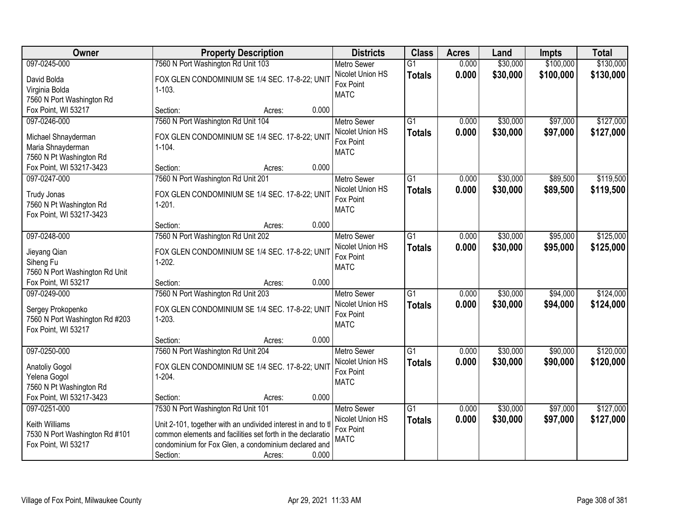| <b>Owner</b>                                        | <b>Property Description</b>                                  | <b>Districts</b>         | <b>Class</b>    | <b>Acres</b> | Land     | <b>Impts</b> | <b>Total</b> |
|-----------------------------------------------------|--------------------------------------------------------------|--------------------------|-----------------|--------------|----------|--------------|--------------|
| 097-0245-000                                        | 7560 N Port Washington Rd Unit 103                           | <b>Metro Sewer</b>       | $\overline{G1}$ | 0.000        | \$30,000 | \$100,000    | \$130,000    |
| David Bolda                                         | FOX GLEN CONDOMINIUM SE 1/4 SEC. 17-8-22; UNIT               | Nicolet Union HS         | <b>Totals</b>   | 0.000        | \$30,000 | \$100,000    | \$130,000    |
| Virginia Bolda                                      | $1 - 103.$                                                   | Fox Point                |                 |              |          |              |              |
| 7560 N Port Washington Rd                           |                                                              | <b>MATC</b>              |                 |              |          |              |              |
| Fox Point, WI 53217                                 | 0.000<br>Section:<br>Acres:                                  |                          |                 |              |          |              |              |
| 097-0246-000                                        | 7560 N Port Washington Rd Unit 104                           | <b>Metro Sewer</b>       | $\overline{G1}$ | 0.000        | \$30,000 | \$97,000     | \$127,000    |
|                                                     |                                                              | Nicolet Union HS         | <b>Totals</b>   | 0.000        | \$30,000 | \$97,000     | \$127,000    |
| Michael Shnayderman                                 | FOX GLEN CONDOMINIUM SE 1/4 SEC. 17-8-22; UNIT               | Fox Point                |                 |              |          |              |              |
| Maria Shnayderman                                   | $1 - 104.$                                                   | <b>MATC</b>              |                 |              |          |              |              |
| 7560 N Pt Washington Rd<br>Fox Point, WI 53217-3423 | 0.000<br>Section:<br>Acres:                                  |                          |                 |              |          |              |              |
| 097-0247-000                                        | 7560 N Port Washington Rd Unit 201                           | <b>Metro Sewer</b>       | G1              | 0.000        | \$30,000 | \$89,500     | \$119,500    |
|                                                     |                                                              | Nicolet Union HS         |                 |              |          |              |              |
| <b>Trudy Jonas</b>                                  | FOX GLEN CONDOMINIUM SE 1/4 SEC. 17-8-22; UNIT               | Fox Point                | <b>Totals</b>   | 0.000        | \$30,000 | \$89,500     | \$119,500    |
| 7560 N Pt Washington Rd                             | $1-201.$                                                     | <b>MATC</b>              |                 |              |          |              |              |
| Fox Point, WI 53217-3423                            |                                                              |                          |                 |              |          |              |              |
|                                                     | 0.000<br>Section:<br>Acres:                                  |                          |                 |              |          |              |              |
| 097-0248-000                                        | 7560 N Port Washington Rd Unit 202                           | <b>Metro Sewer</b>       | $\overline{G1}$ | 0.000        | \$30,000 | \$95,000     | \$125,000    |
| Jieyang Qian                                        | FOX GLEN CONDOMINIUM SE 1/4 SEC. 17-8-22; UNIT               | Nicolet Union HS         | <b>Totals</b>   | 0.000        | \$30,000 | \$95,000     | \$125,000    |
| Siheng Fu                                           | $1-202.$                                                     | Fox Point                |                 |              |          |              |              |
| 7560 N Port Washington Rd Unit                      |                                                              | <b>MATC</b>              |                 |              |          |              |              |
| Fox Point, WI 53217                                 | 0.000<br>Section:<br>Acres:                                  |                          |                 |              |          |              |              |
| 097-0249-000                                        | 7560 N Port Washington Rd Unit 203                           | <b>Metro Sewer</b>       | $\overline{G1}$ | 0.000        | \$30,000 | \$94,000     | \$124,000    |
|                                                     |                                                              | Nicolet Union HS         | <b>Totals</b>   | 0.000        | \$30,000 | \$94,000     | \$124,000    |
| Sergey Prokopenko                                   | FOX GLEN CONDOMINIUM SE 1/4 SEC. 17-8-22; UNIT               | Fox Point                |                 |              |          |              |              |
| 7560 N Port Washington Rd #203                      | $1 - 203$ .                                                  | <b>MATC</b>              |                 |              |          |              |              |
| Fox Point, WI 53217                                 |                                                              |                          |                 |              |          |              |              |
|                                                     | 0.000<br>Section:<br>Acres:                                  |                          |                 |              |          |              |              |
| 097-0250-000                                        | 7560 N Port Washington Rd Unit 204                           | Metro Sewer              | $\overline{G1}$ | 0.000        | \$30,000 | \$90,000     | \$120,000    |
| <b>Anatoliy Gogol</b>                               | FOX GLEN CONDOMINIUM SE 1/4 SEC. 17-8-22; UNIT               | Nicolet Union HS         | <b>Totals</b>   | 0.000        | \$30,000 | \$90,000     | \$120,000    |
| Yelena Gogol                                        | $1-204.$                                                     | Fox Point<br><b>MATC</b> |                 |              |          |              |              |
| 7560 N Pt Washington Rd                             |                                                              |                          |                 |              |          |              |              |
| Fox Point, WI 53217-3423                            | 0.000<br>Section:<br>Acres:                                  |                          |                 |              |          |              |              |
| 097-0251-000                                        | 7530 N Port Washington Rd Unit 101                           | <b>Metro Sewer</b>       | $\overline{G1}$ | 0.000        | \$30,000 | \$97,000     | \$127,000    |
| Keith Williams                                      | Unit 2-101, together with an undivided interest in and to tl | Nicolet Union HS         | <b>Totals</b>   | 0.000        | \$30,000 | \$97,000     | \$127,000    |
| 7530 N Port Washington Rd #101                      | common elements and facilities set forth in the declaratio   | Fox Point                |                 |              |          |              |              |
| Fox Point, WI 53217                                 | condominium for Fox Glen, a condominium declared and         | <b>MATC</b>              |                 |              |          |              |              |
|                                                     | 0.000<br>Section:<br>Acres:                                  |                          |                 |              |          |              |              |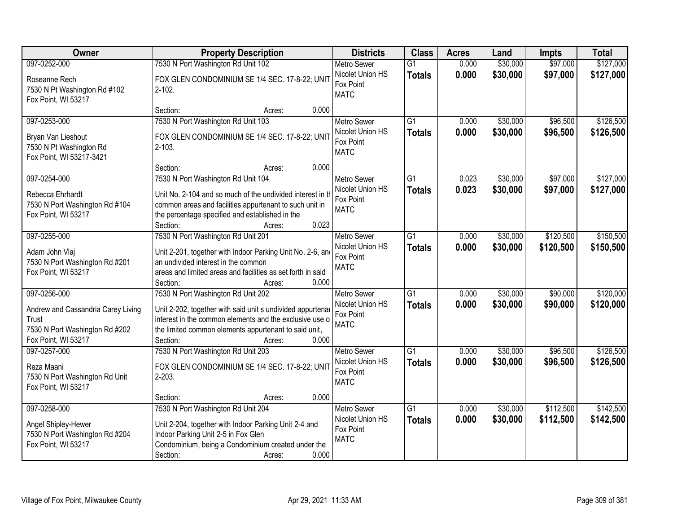| Owner                                                                                                                | <b>Property Description</b>                                                                                                                                                                                                                          | <b>Districts</b>                                                   | <b>Class</b>                     | <b>Acres</b>   | Land                 | <b>Impts</b>           | <b>Total</b>           |
|----------------------------------------------------------------------------------------------------------------------|------------------------------------------------------------------------------------------------------------------------------------------------------------------------------------------------------------------------------------------------------|--------------------------------------------------------------------|----------------------------------|----------------|----------------------|------------------------|------------------------|
| 097-0252-000                                                                                                         | 7530 N Port Washington Rd Unit 102                                                                                                                                                                                                                   | <b>Metro Sewer</b>                                                 | $\overline{G1}$                  | 0.000          | \$30,000             | \$97,000               | \$127,000              |
| Roseanne Rech<br>7530 N Pt Washington Rd #102<br>Fox Point, WI 53217                                                 | FOX GLEN CONDOMINIUM SE 1/4 SEC. 17-8-22; UNIT<br>$2 - 102$ .                                                                                                                                                                                        | Nicolet Union HS<br>Fox Point<br><b>MATC</b>                       | <b>Totals</b>                    | 0.000          | \$30,000             | \$97,000               | \$127,000              |
|                                                                                                                      | 0.000<br>Section:<br>Acres:                                                                                                                                                                                                                          |                                                                    |                                  |                |                      |                        |                        |
| 097-0253-000<br>Bryan Van Lieshout<br>7530 N Pt Washington Rd<br>Fox Point, WI 53217-3421                            | 7530 N Port Washington Rd Unit 103<br>FOX GLEN CONDOMINIUM SE 1/4 SEC. 17-8-22; UNIT<br>$2 - 103.$                                                                                                                                                   | <b>Metro Sewer</b><br>Nicolet Union HS<br>Fox Point<br><b>MATC</b> | $\overline{G1}$<br><b>Totals</b> | 0.000<br>0.000 | \$30,000<br>\$30,000 | \$96,500<br>\$96,500   | \$126,500<br>\$126,500 |
|                                                                                                                      | 0.000<br>Section:<br>Acres:                                                                                                                                                                                                                          |                                                                    |                                  |                |                      |                        |                        |
| 097-0254-000<br>Rebecca Ehrhardt<br>7530 N Port Washington Rd #104<br>Fox Point, WI 53217                            | 7530 N Port Washington Rd Unit 104<br>Unit No. 2-104 and so much of the undivided interest in tl<br>common areas and facilities appurtenant to such unit in<br>the percentage specified and established in the<br>0.023<br>Section:<br>Acres:        | Metro Sewer<br>Nicolet Union HS<br>Fox Point<br><b>MATC</b>        | $\overline{G1}$<br><b>Totals</b> | 0.023<br>0.023 | \$30,000<br>\$30,000 | \$97,000<br>\$97,000   | \$127,000<br>\$127,000 |
| 097-0255-000                                                                                                         | 7530 N Port Washington Rd Unit 201                                                                                                                                                                                                                   | <b>Metro Sewer</b>                                                 | G1                               | 0.000          | \$30,000             | \$120,500              | \$150,500              |
| Adam John Vlaj<br>7530 N Port Washington Rd #201<br>Fox Point, WI 53217                                              | Unit 2-201, together with Indoor Parking Unit No. 2-6, and<br>an undivided interest in the common<br>areas and limited areas and facilities as set forth in said<br>0.000<br>Section:<br>Acres:                                                      | Nicolet Union HS<br>Fox Point<br><b>MATC</b>                       | <b>Totals</b>                    | 0.000          | \$30,000             | \$120,500              | \$150,500              |
| 097-0256-000<br>Andrew and Cassandria Carey Living<br>Trust<br>7530 N Port Washington Rd #202<br>Fox Point, WI 53217 | 7530 N Port Washington Rd Unit 202<br>Unit 2-202, together with said unit s undivided appurtenar<br>interest in the common elements and the exclusive use of<br>the limited common elements appurtenant to said unit,<br>0.000<br>Section:<br>Acres: | <b>Metro Sewer</b><br>Nicolet Union HS<br>Fox Point<br><b>MATC</b> | $\overline{G1}$<br><b>Totals</b> | 0.000<br>0.000 | \$30,000<br>\$30,000 | \$90,000<br>\$90,000   | \$120,000<br>\$120,000 |
| 097-0257-000<br>Reza Maani<br>7530 N Port Washington Rd Unit<br>Fox Point, WI 53217                                  | 7530 N Port Washington Rd Unit 203<br>FOX GLEN CONDOMINIUM SE 1/4 SEC. 17-8-22; UNIT<br>$2 - 203$ .<br>0.000<br>Section:<br>Acres:                                                                                                                   | Metro Sewer<br>Nicolet Union HS<br>Fox Point<br><b>MATC</b>        | G1<br><b>Totals</b>              | 0.000<br>0.000 | \$30,000<br>\$30,000 | \$96,500<br>\$96,500   | \$126,500<br>\$126,500 |
| 097-0258-000<br>Angel Shipley-Hewer<br>7530 N Port Washington Rd #204<br>Fox Point, WI 53217                         | 7530 N Port Washington Rd Unit 204<br>Unit 2-204, together with Indoor Parking Unit 2-4 and<br>Indoor Parking Unit 2-5 in Fox Glen<br>Condominium, being a Condominium created under the<br>Section:<br>0.000<br>Acres:                              | <b>Metro Sewer</b><br>Nicolet Union HS<br>Fox Point<br><b>MATC</b> | $\overline{G1}$<br><b>Totals</b> | 0.000<br>0.000 | \$30,000<br>\$30,000 | \$112,500<br>\$112,500 | \$142,500<br>\$142,500 |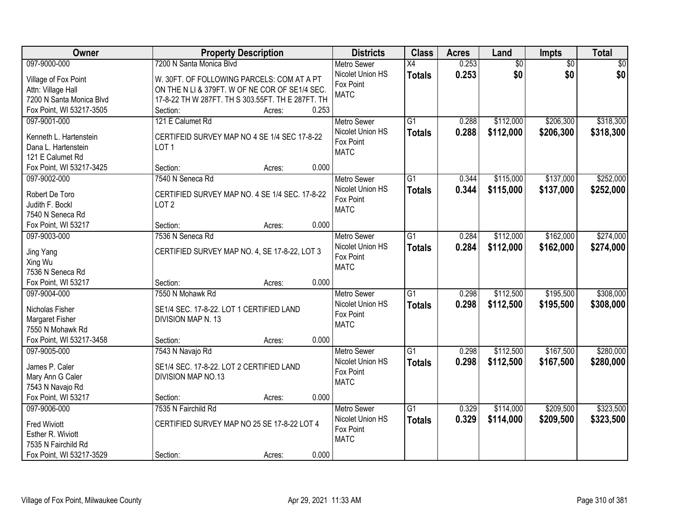| Owner                       | <b>Property Description</b>                       | <b>Districts</b>              | <b>Class</b>    | <b>Acres</b> | Land            | Impts           | <b>Total</b> |
|-----------------------------|---------------------------------------------------|-------------------------------|-----------------|--------------|-----------------|-----------------|--------------|
| 097-9000-000                | 7200 N Santa Monica Blvd                          | <b>Metro Sewer</b>            | $\overline{X4}$ | 0.253        | $\overline{50}$ | $\overline{50}$ | \$0          |
| Village of Fox Point        | W. 30FT. OF FOLLOWING PARCELS: COM AT A PT        | Nicolet Union HS              | <b>Totals</b>   | 0.253        | \$0             | \$0             | \$0          |
| Attn: Village Hall          | ON THE N LI & 379FT. W OF NE COR OF SE1/4 SEC.    | Fox Point                     |                 |              |                 |                 |              |
| 7200 N Santa Monica Blvd    | 17-8-22 TH W 287FT. TH S 303.55FT. TH E 287FT. TH | <b>MATC</b>                   |                 |              |                 |                 |              |
| Fox Point, WI 53217-3505    | 0.253<br>Section:<br>Acres:                       |                               |                 |              |                 |                 |              |
| 097-9001-000                | 121 E Calumet Rd                                  | <b>Metro Sewer</b>            | $\overline{G1}$ | 0.288        | \$112,000       | \$206,300       | \$318,300    |
|                             |                                                   | Nicolet Union HS              | <b>Totals</b>   | 0.288        | \$112,000       | \$206,300       | \$318,300    |
| Kenneth L. Hartenstein      | CERTIFEID SURVEY MAP NO 4 SE 1/4 SEC 17-8-22      | Fox Point                     |                 |              |                 |                 |              |
| Dana L. Hartenstein         | LOT <sub>1</sub>                                  | <b>MATC</b>                   |                 |              |                 |                 |              |
| 121 E Calumet Rd            |                                                   |                               |                 |              |                 |                 |              |
| Fox Point, WI 53217-3425    | 0.000<br>Section:<br>Acres:                       |                               |                 |              |                 |                 |              |
| 097-9002-000                | 7540 N Seneca Rd                                  | Metro Sewer                   | G1              | 0.344        | \$115,000       | \$137,000       | \$252,000    |
| Robert De Toro              | CERTIFIED SURVEY MAP NO. 4 SE 1/4 SEC. 17-8-22    | Nicolet Union HS              | <b>Totals</b>   | 0.344        | \$115,000       | \$137,000       | \$252,000    |
| Judith F. Bockl             | LOT <sub>2</sub>                                  | Fox Point                     |                 |              |                 |                 |              |
| 7540 N Seneca Rd            |                                                   | <b>MATC</b>                   |                 |              |                 |                 |              |
| Fox Point, WI 53217         | 0.000<br>Section:<br>Acres:                       |                               |                 |              |                 |                 |              |
| 097-9003-000                | 7536 N Seneca Rd                                  | <b>Metro Sewer</b>            | G1              | 0.284        | \$112,000       | \$162,000       | \$274,000    |
|                             |                                                   | Nicolet Union HS              | <b>Totals</b>   | 0.284        | \$112,000       | \$162,000       | \$274,000    |
| Jing Yang                   | CERTIFIED SURVEY MAP NO. 4, SE 17-8-22, LOT 3     | Fox Point                     |                 |              |                 |                 |              |
| Xing Wu<br>7536 N Seneca Rd |                                                   | <b>MATC</b>                   |                 |              |                 |                 |              |
| Fox Point, WI 53217         | 0.000                                             |                               |                 |              |                 |                 |              |
| 097-9004-000                | Section:<br>Acres:<br>7550 N Mohawk Rd            |                               | $\overline{G1}$ | 0.298        |                 | \$195,500       |              |
|                             |                                                   | <b>Metro Sewer</b>            |                 |              | \$112,500       |                 | \$308,000    |
| Nicholas Fisher             | SE1/4 SEC. 17-8-22. LOT 1 CERTIFIED LAND          | Nicolet Union HS<br>Fox Point | <b>Totals</b>   | 0.298        | \$112,500       | \$195,500       | \$308,000    |
| <b>Margaret Fisher</b>      | DIVISION MAP N. 13                                | <b>MATC</b>                   |                 |              |                 |                 |              |
| 7550 N Mohawk Rd            |                                                   |                               |                 |              |                 |                 |              |
| Fox Point, WI 53217-3458    | 0.000<br>Section:<br>Acres:                       |                               |                 |              |                 |                 |              |
| 097-9005-000                | 7543 N Navajo Rd                                  | Metro Sewer                   | $\overline{G1}$ | 0.298        | \$112,500       | \$167,500       | \$280,000    |
| James P. Caler              | SE1/4 SEC. 17-8-22. LOT 2 CERTIFIED LAND          | Nicolet Union HS              | <b>Totals</b>   | 0.298        | \$112,500       | \$167,500       | \$280,000    |
| Mary Ann G Caler            | DIVISION MAP NO.13                                | Fox Point                     |                 |              |                 |                 |              |
| 7543 N Navajo Rd            |                                                   | <b>MATC</b>                   |                 |              |                 |                 |              |
| Fox Point, WI 53217         | 0.000<br>Section:<br>Acres:                       |                               |                 |              |                 |                 |              |
| 097-9006-000                | 7535 N Fairchild Rd                               | <b>Metro Sewer</b>            | $\overline{G1}$ | 0.329        | \$114,000       | \$209,500       | \$323,500    |
|                             |                                                   | Nicolet Union HS              | <b>Totals</b>   | 0.329        | \$114,000       | \$209,500       | \$323,500    |
| <b>Fred Wiviott</b>         | CERTIFIED SURVEY MAP NO 25 SE 17-8-22 LOT 4       | Fox Point                     |                 |              |                 |                 |              |
| Esther R. Wiviott           |                                                   | <b>MATC</b>                   |                 |              |                 |                 |              |
| 7535 N Fairchild Rd         |                                                   |                               |                 |              |                 |                 |              |
| Fox Point, WI 53217-3529    | 0.000<br>Section:<br>Acres:                       |                               |                 |              |                 |                 |              |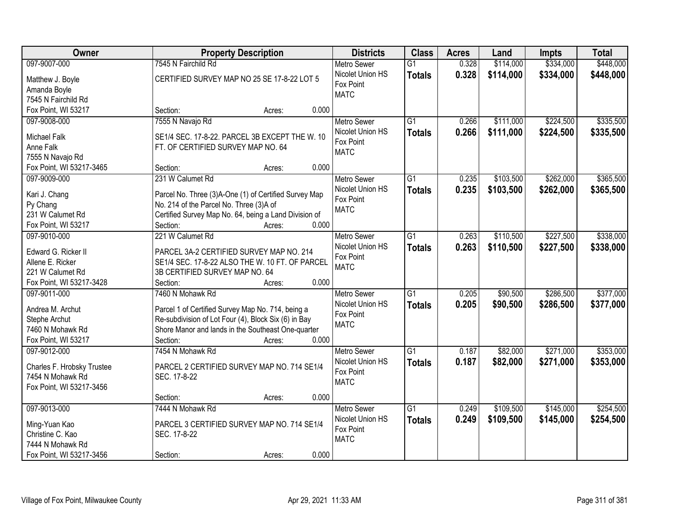| Owner                             | <b>Property Description</b>                           | <b>Districts</b>   | <b>Class</b>    | <b>Acres</b> | Land      | <b>Impts</b> | <b>Total</b> |
|-----------------------------------|-------------------------------------------------------|--------------------|-----------------|--------------|-----------|--------------|--------------|
| 097-9007-000                      | 7545 N Fairchild Rd                                   | <b>Metro Sewer</b> | $\overline{G1}$ | 0.328        | \$114,000 | \$334,000    | \$448,000    |
| Matthew J. Boyle                  | CERTIFIED SURVEY MAP NO 25 SE 17-8-22 LOT 5           | Nicolet Union HS   | <b>Totals</b>   | 0.328        | \$114,000 | \$334,000    | \$448,000    |
| Amanda Boyle                      |                                                       | Fox Point          |                 |              |           |              |              |
| 7545 N Fairchild Rd               |                                                       | <b>MATC</b>        |                 |              |           |              |              |
| Fox Point, WI 53217               | 0.000<br>Section:<br>Acres:                           |                    |                 |              |           |              |              |
| 097-9008-000                      | 7555 N Navajo Rd                                      | <b>Metro Sewer</b> | $\overline{G1}$ | 0.266        | \$111,000 | \$224,500    | \$335,500    |
|                                   |                                                       | Nicolet Union HS   | <b>Totals</b>   | 0.266        | \$111,000 | \$224,500    | \$335,500    |
| <b>Michael Falk</b>               | SE1/4 SEC. 17-8-22. PARCEL 3B EXCEPT THE W. 10        | Fox Point          |                 |              |           |              |              |
| Anne Falk                         | FT. OF CERTIFIED SURVEY MAP NO. 64                    | <b>MATC</b>        |                 |              |           |              |              |
| 7555 N Navajo Rd                  |                                                       |                    |                 |              |           |              |              |
| Fox Point, WI 53217-3465          | 0.000<br>Section:<br>Acres:                           |                    |                 |              |           |              |              |
| 097-9009-000                      | 231 W Calumet Rd                                      | <b>Metro Sewer</b> | $\overline{G1}$ | 0.235        | \$103,500 | \$262,000    | \$365,500    |
| Kari J. Chang                     | Parcel No. Three (3)A-One (1) of Certified Survey Map | Nicolet Union HS   | <b>Totals</b>   | 0.235        | \$103,500 | \$262,000    | \$365,500    |
| Py Chang                          | No. 214 of the Parcel No. Three (3)A of               | Fox Point          |                 |              |           |              |              |
| 231 W Calumet Rd                  | Certified Survey Map No. 64, being a Land Division of | <b>MATC</b>        |                 |              |           |              |              |
| Fox Point, WI 53217               | Section:<br>0.000<br>Acres:                           |                    |                 |              |           |              |              |
| 097-9010-000                      | 221 W Calumet Rd                                      | <b>Metro Sewer</b> | G1              | 0.263        | \$110,500 | \$227,500    | \$338,000    |
|                                   |                                                       | Nicolet Union HS   | <b>Totals</b>   | 0.263        | \$110,500 | \$227,500    | \$338,000    |
| Edward G. Ricker II               | PARCEL 3A-2 CERTIFIED SURVEY MAP NO. 214              | Fox Point          |                 |              |           |              |              |
| Allene E. Ricker                  | SE1/4 SEC. 17-8-22 ALSO THE W. 10 FT. OF PARCEL       | <b>MATC</b>        |                 |              |           |              |              |
| 221 W Calumet Rd                  | 3B CERTIFIED SURVEY MAP NO. 64                        |                    |                 |              |           |              |              |
| Fox Point, WI 53217-3428          | 0.000<br>Section:<br>Acres:                           |                    |                 |              |           |              |              |
| 097-9011-000                      | 7460 N Mohawk Rd                                      | <b>Metro Sewer</b> | $\overline{G1}$ | 0.205        | \$90,500  | \$286,500    | \$377,000    |
| Andrea M. Archut                  | Parcel 1 of Certified Survey Map No. 714, being a     | Nicolet Union HS   | <b>Totals</b>   | 0.205        | \$90,500  | \$286,500    | \$377,000    |
| Stephe Archut                     | Re-subdivision of Lot Four (4), Block Six (6) in Bay  | Fox Point          |                 |              |           |              |              |
| 7460 N Mohawk Rd                  | Shore Manor and lands in the Southeast One-quarter    | <b>MATC</b>        |                 |              |           |              |              |
| Fox Point, WI 53217               | Section:<br>0.000<br>Acres:                           |                    |                 |              |           |              |              |
| 097-9012-000                      | 7454 N Mohawk Rd                                      | Metro Sewer        | G1              | 0.187        | \$82,000  | \$271,000    | \$353,000    |
|                                   |                                                       | Nicolet Union HS   |                 |              |           |              |              |
| Charles F. Hrobsky Trustee        | PARCEL 2 CERTIFIED SURVEY MAP NO. 714 SE1/4           | Fox Point          | <b>Totals</b>   | 0.187        | \$82,000  | \$271,000    | \$353,000    |
| 7454 N Mohawk Rd                  | SEC. 17-8-22                                          | <b>MATC</b>        |                 |              |           |              |              |
| Fox Point, WI 53217-3456          |                                                       |                    |                 |              |           |              |              |
|                                   | 0.000<br>Section:<br>Acres:                           |                    |                 |              |           |              |              |
| 097-9013-000                      | 7444 N Mohawk Rd                                      | <b>Metro Sewer</b> | $\overline{G1}$ | 0.249        | \$109,500 | \$145,000    | \$254,500    |
|                                   | PARCEL 3 CERTIFIED SURVEY MAP NO. 714 SE1/4           | Nicolet Union HS   | <b>Totals</b>   | 0.249        | \$109,500 | \$145,000    | \$254,500    |
| Ming-Yuan Kao<br>Christine C. Kao | SEC. 17-8-22                                          | Fox Point          |                 |              |           |              |              |
| 7444 N Mohawk Rd                  |                                                       | <b>MATC</b>        |                 |              |           |              |              |
| Fox Point, WI 53217-3456          | 0.000                                                 |                    |                 |              |           |              |              |
|                                   | Section:<br>Acres:                                    |                    |                 |              |           |              |              |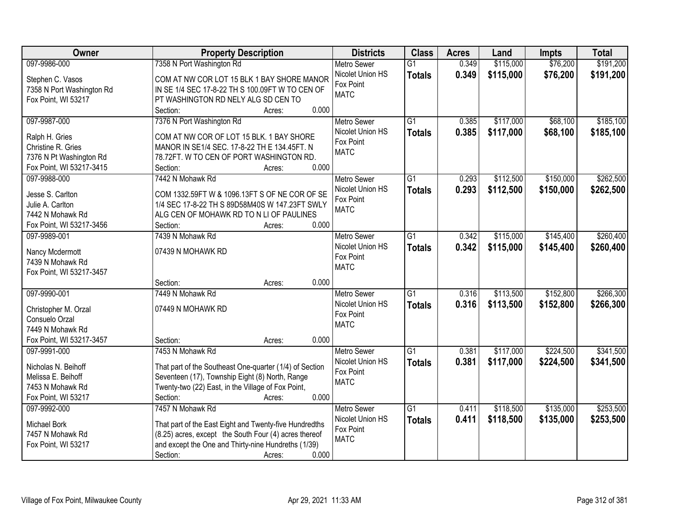| \$191,200<br>097-9986-000<br>7358 N Port Washington Rd<br>\$115,000<br>\$76,200<br><b>Metro Sewer</b><br>$\overline{G1}$<br>0.349<br>0.349<br>Nicolet Union HS<br>\$115,000<br>\$76,200<br><b>Totals</b><br>COM AT NW COR LOT 15 BLK 1 BAY SHORE MANOR<br>Stephen C. Vasos<br>Fox Point<br>7358 N Port Washington Rd<br>IN SE 1/4 SEC 17-8-22 TH S 100.09FT W TO CEN OF<br><b>MATC</b><br>PT WASHINGTON RD NELY ALG SD CEN TO<br>Fox Point, WI 53217<br>0.000<br>Section:<br>Acres:<br>\$117,000<br>\$68,100<br>097-9987-000<br>7376 N Port Washington Rd<br>$\overline{G1}$<br>0.385<br><b>Metro Sewer</b><br>Nicolet Union HS<br>0.385<br>\$117,000<br>\$68,100<br><b>Totals</b><br>Ralph H. Gries<br>COM AT NW COR OF LOT 15 BLK. 1 BAY SHORE<br>Fox Point<br>Christine R. Gries<br>MANOR IN SE1/4 SEC. 17-8-22 TH E 134.45FT. N<br><b>MATC</b><br>7376 N Pt Washington Rd<br>78.72FT. W TO CEN OF PORT WASHINGTON RD.<br>0.000<br>Fox Point, WI 53217-3415<br>Section:<br>Acres:<br>\$112,500<br>\$150,000<br>097-9988-000<br>7442 N Mohawk Rd<br><b>Metro Sewer</b><br>$\overline{G1}$<br>0.293<br>Nicolet Union HS<br>0.293<br>\$112,500<br>\$150,000<br><b>Totals</b><br>Jesse S. Carlton<br>COM 1332.59FT W & 1096.13FT S OF NE COR OF SE<br>Fox Point<br>1/4 SEC 17-8-22 TH S 89D58M40S W 147.23FT SWLY<br>Julie A. Carlton<br><b>MATC</b><br>7442 N Mohawk Rd<br>ALG CEN OF MOHAWK RD TO N LI OF PAULINES<br>Fox Point, WI 53217-3456<br>0.000<br>Section:<br>Acres: |
|--------------------------------------------------------------------------------------------------------------------------------------------------------------------------------------------------------------------------------------------------------------------------------------------------------------------------------------------------------------------------------------------------------------------------------------------------------------------------------------------------------------------------------------------------------------------------------------------------------------------------------------------------------------------------------------------------------------------------------------------------------------------------------------------------------------------------------------------------------------------------------------------------------------------------------------------------------------------------------------------------------------------------------------------------------------------------------------------------------------------------------------------------------------------------------------------------------------------------------------------------------------------------------------------------------------------------------------------------------------------------------------------------------------------------------------------------------------------------------|
| \$191,200                                                                                                                                                                                                                                                                                                                                                                                                                                                                                                                                                                                                                                                                                                                                                                                                                                                                                                                                                                                                                                                                                                                                                                                                                                                                                                                                                                                                                                                                      |
|                                                                                                                                                                                                                                                                                                                                                                                                                                                                                                                                                                                                                                                                                                                                                                                                                                                                                                                                                                                                                                                                                                                                                                                                                                                                                                                                                                                                                                                                                |
| \$185,100<br>\$185,100<br>\$262,500<br>\$262,500                                                                                                                                                                                                                                                                                                                                                                                                                                                                                                                                                                                                                                                                                                                                                                                                                                                                                                                                                                                                                                                                                                                                                                                                                                                                                                                                                                                                                               |
|                                                                                                                                                                                                                                                                                                                                                                                                                                                                                                                                                                                                                                                                                                                                                                                                                                                                                                                                                                                                                                                                                                                                                                                                                                                                                                                                                                                                                                                                                |
|                                                                                                                                                                                                                                                                                                                                                                                                                                                                                                                                                                                                                                                                                                                                                                                                                                                                                                                                                                                                                                                                                                                                                                                                                                                                                                                                                                                                                                                                                |
|                                                                                                                                                                                                                                                                                                                                                                                                                                                                                                                                                                                                                                                                                                                                                                                                                                                                                                                                                                                                                                                                                                                                                                                                                                                                                                                                                                                                                                                                                |
|                                                                                                                                                                                                                                                                                                                                                                                                                                                                                                                                                                                                                                                                                                                                                                                                                                                                                                                                                                                                                                                                                                                                                                                                                                                                                                                                                                                                                                                                                |
|                                                                                                                                                                                                                                                                                                                                                                                                                                                                                                                                                                                                                                                                                                                                                                                                                                                                                                                                                                                                                                                                                                                                                                                                                                                                                                                                                                                                                                                                                |
|                                                                                                                                                                                                                                                                                                                                                                                                                                                                                                                                                                                                                                                                                                                                                                                                                                                                                                                                                                                                                                                                                                                                                                                                                                                                                                                                                                                                                                                                                |
|                                                                                                                                                                                                                                                                                                                                                                                                                                                                                                                                                                                                                                                                                                                                                                                                                                                                                                                                                                                                                                                                                                                                                                                                                                                                                                                                                                                                                                                                                |
|                                                                                                                                                                                                                                                                                                                                                                                                                                                                                                                                                                                                                                                                                                                                                                                                                                                                                                                                                                                                                                                                                                                                                                                                                                                                                                                                                                                                                                                                                |
|                                                                                                                                                                                                                                                                                                                                                                                                                                                                                                                                                                                                                                                                                                                                                                                                                                                                                                                                                                                                                                                                                                                                                                                                                                                                                                                                                                                                                                                                                |
|                                                                                                                                                                                                                                                                                                                                                                                                                                                                                                                                                                                                                                                                                                                                                                                                                                                                                                                                                                                                                                                                                                                                                                                                                                                                                                                                                                                                                                                                                |
|                                                                                                                                                                                                                                                                                                                                                                                                                                                                                                                                                                                                                                                                                                                                                                                                                                                                                                                                                                                                                                                                                                                                                                                                                                                                                                                                                                                                                                                                                |
|                                                                                                                                                                                                                                                                                                                                                                                                                                                                                                                                                                                                                                                                                                                                                                                                                                                                                                                                                                                                                                                                                                                                                                                                                                                                                                                                                                                                                                                                                |
|                                                                                                                                                                                                                                                                                                                                                                                                                                                                                                                                                                                                                                                                                                                                                                                                                                                                                                                                                                                                                                                                                                                                                                                                                                                                                                                                                                                                                                                                                |
| \$260,400<br>097-9989-001<br>7439 N Mohawk Rd<br>$\overline{G1}$<br>\$115,000<br>\$145,400<br><b>Metro Sewer</b><br>0.342                                                                                                                                                                                                                                                                                                                                                                                                                                                                                                                                                                                                                                                                                                                                                                                                                                                                                                                                                                                                                                                                                                                                                                                                                                                                                                                                                      |
| Nicolet Union HS<br>0.342<br>\$115,000<br>\$145,400<br>\$260,400<br><b>Totals</b><br>07439 N MOHAWK RD<br>Nancy Mcdermott                                                                                                                                                                                                                                                                                                                                                                                                                                                                                                                                                                                                                                                                                                                                                                                                                                                                                                                                                                                                                                                                                                                                                                                                                                                                                                                                                      |
| Fox Point<br>7439 N Mohawk Rd                                                                                                                                                                                                                                                                                                                                                                                                                                                                                                                                                                                                                                                                                                                                                                                                                                                                                                                                                                                                                                                                                                                                                                                                                                                                                                                                                                                                                                                  |
| <b>MATC</b><br>Fox Point, WI 53217-3457                                                                                                                                                                                                                                                                                                                                                                                                                                                                                                                                                                                                                                                                                                                                                                                                                                                                                                                                                                                                                                                                                                                                                                                                                                                                                                                                                                                                                                        |
| 0.000<br>Section:<br>Acres:                                                                                                                                                                                                                                                                                                                                                                                                                                                                                                                                                                                                                                                                                                                                                                                                                                                                                                                                                                                                                                                                                                                                                                                                                                                                                                                                                                                                                                                    |
| \$266,300<br>097-9990-001<br>7449 N Mohawk Rd<br>$\overline{G1}$<br>0.316<br>\$113,500<br>\$152,800<br><b>Metro Sewer</b>                                                                                                                                                                                                                                                                                                                                                                                                                                                                                                                                                                                                                                                                                                                                                                                                                                                                                                                                                                                                                                                                                                                                                                                                                                                                                                                                                      |
| 0.316<br>\$113,500<br>\$152,800<br>Nicolet Union HS<br><b>Totals</b><br>\$266,300                                                                                                                                                                                                                                                                                                                                                                                                                                                                                                                                                                                                                                                                                                                                                                                                                                                                                                                                                                                                                                                                                                                                                                                                                                                                                                                                                                                              |
| 07449 N MOHAWK RD<br>Christopher M. Orzal<br>Fox Point                                                                                                                                                                                                                                                                                                                                                                                                                                                                                                                                                                                                                                                                                                                                                                                                                                                                                                                                                                                                                                                                                                                                                                                                                                                                                                                                                                                                                         |
| Consuelo Orzal<br><b>MATC</b>                                                                                                                                                                                                                                                                                                                                                                                                                                                                                                                                                                                                                                                                                                                                                                                                                                                                                                                                                                                                                                                                                                                                                                                                                                                                                                                                                                                                                                                  |
| 7449 N Mohawk Rd                                                                                                                                                                                                                                                                                                                                                                                                                                                                                                                                                                                                                                                                                                                                                                                                                                                                                                                                                                                                                                                                                                                                                                                                                                                                                                                                                                                                                                                               |
| Fox Point, WI 53217-3457<br>0.000<br>Section:<br>Acres:                                                                                                                                                                                                                                                                                                                                                                                                                                                                                                                                                                                                                                                                                                                                                                                                                                                                                                                                                                                                                                                                                                                                                                                                                                                                                                                                                                                                                        |
| $\overline{G1}$<br>\$224,500<br>\$341,500<br>097-9991-000<br>7453 N Mohawk Rd<br>Metro Sewer<br>0.381<br>\$117,000                                                                                                                                                                                                                                                                                                                                                                                                                                                                                                                                                                                                                                                                                                                                                                                                                                                                                                                                                                                                                                                                                                                                                                                                                                                                                                                                                             |
| Nicolet Union HS<br>0.381<br>\$117,000<br>\$224,500<br>\$341,500<br><b>Totals</b><br>That part of the Southeast One-quarter (1/4) of Section<br>Nicholas N. Beihoff                                                                                                                                                                                                                                                                                                                                                                                                                                                                                                                                                                                                                                                                                                                                                                                                                                                                                                                                                                                                                                                                                                                                                                                                                                                                                                            |
| Fox Point<br>Seventeen (17), Township Eight (8) North, Range<br>Melissa E. Beihoff<br><b>MATC</b>                                                                                                                                                                                                                                                                                                                                                                                                                                                                                                                                                                                                                                                                                                                                                                                                                                                                                                                                                                                                                                                                                                                                                                                                                                                                                                                                                                              |
| Twenty-two (22) East, in the Village of Fox Point,<br>7453 N Mohawk Rd                                                                                                                                                                                                                                                                                                                                                                                                                                                                                                                                                                                                                                                                                                                                                                                                                                                                                                                                                                                                                                                                                                                                                                                                                                                                                                                                                                                                         |
| 0.000<br>Fox Point, WI 53217<br>Section:<br>Acres:                                                                                                                                                                                                                                                                                                                                                                                                                                                                                                                                                                                                                                                                                                                                                                                                                                                                                                                                                                                                                                                                                                                                                                                                                                                                                                                                                                                                                             |
| 7457 N Mohawk Rd<br>\$253,500<br>$\overline{G1}$<br>\$118,500<br>\$135,000<br>097-9992-000<br><b>Metro Sewer</b><br>0.411                                                                                                                                                                                                                                                                                                                                                                                                                                                                                                                                                                                                                                                                                                                                                                                                                                                                                                                                                                                                                                                                                                                                                                                                                                                                                                                                                      |
| Nicolet Union HS<br>0.411<br>\$118,500<br>\$135,000<br>\$253,500<br><b>Totals</b><br>That part of the East Eight and Twenty-five Hundredths<br>Michael Bork                                                                                                                                                                                                                                                                                                                                                                                                                                                                                                                                                                                                                                                                                                                                                                                                                                                                                                                                                                                                                                                                                                                                                                                                                                                                                                                    |
| Fox Point<br>(8.25) acres, except the South Four (4) acres thereof<br>7457 N Mohawk Rd                                                                                                                                                                                                                                                                                                                                                                                                                                                                                                                                                                                                                                                                                                                                                                                                                                                                                                                                                                                                                                                                                                                                                                                                                                                                                                                                                                                         |
| <b>MATC</b><br>and except the One and Thirty-nine Hundreths (1/39)<br>Fox Point, WI 53217                                                                                                                                                                                                                                                                                                                                                                                                                                                                                                                                                                                                                                                                                                                                                                                                                                                                                                                                                                                                                                                                                                                                                                                                                                                                                                                                                                                      |
| 0.000<br>Section:<br>Acres:                                                                                                                                                                                                                                                                                                                                                                                                                                                                                                                                                                                                                                                                                                                                                                                                                                                                                                                                                                                                                                                                                                                                                                                                                                                                                                                                                                                                                                                    |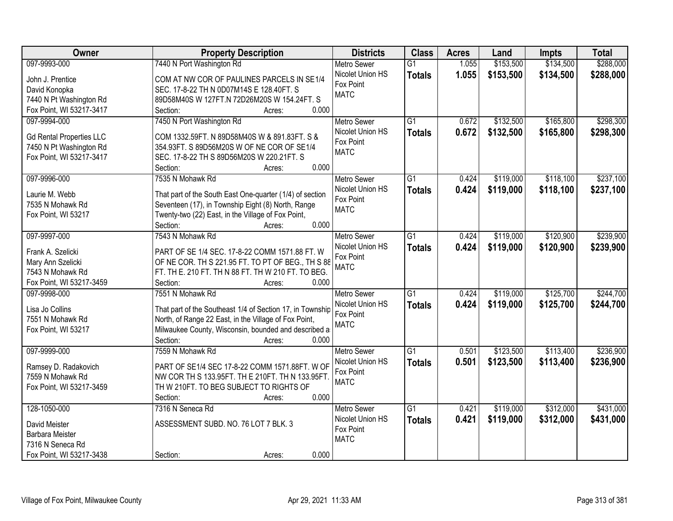| Owner                           | <b>Property Description</b>                               | <b>Districts</b>   | <b>Class</b>    | <b>Acres</b> | Land      | <b>Impts</b> | <b>Total</b> |
|---------------------------------|-----------------------------------------------------------|--------------------|-----------------|--------------|-----------|--------------|--------------|
| 097-9993-000                    | 7440 N Port Washington Rd                                 | <b>Metro Sewer</b> | $\overline{G1}$ | 1.055        | \$153,500 | \$134,500    | \$288,000    |
| John J. Prentice                | COM AT NW COR OF PAULINES PARCELS IN SE1/4                | Nicolet Union HS   | <b>Totals</b>   | 1.055        | \$153,500 | \$134,500    | \$288,000    |
| David Konopka                   | SEC. 17-8-22 TH N 0D07M14S E 128.40FT. S                  | Fox Point          |                 |              |           |              |              |
| 7440 N Pt Washington Rd         | 89D58M40S W 127FT.N 72D26M20S W 154.24FT. S               | <b>MATC</b>        |                 |              |           |              |              |
| Fox Point, WI 53217-3417        | 0.000<br>Section:<br>Acres:                               |                    |                 |              |           |              |              |
| 097-9994-000                    | 7450 N Port Washington Rd                                 | <b>Metro Sewer</b> | $\overline{G1}$ | 0.672        | \$132,500 | \$165,800    | \$298,300    |
|                                 |                                                           | Nicolet Union HS   | <b>Totals</b>   | 0.672        | \$132,500 | \$165,800    | \$298,300    |
| <b>Gd Rental Properties LLC</b> | COM 1332.59FT. N 89D58M40S W & 891.83FT. S &              | Fox Point          |                 |              |           |              |              |
| 7450 N Pt Washington Rd         | 354.93FT. S 89D56M20S W OF NE COR OF SE1/4                | <b>MATC</b>        |                 |              |           |              |              |
| Fox Point, WI 53217-3417        | SEC. 17-8-22 TH S 89D56M20S W 220.21FT. S                 |                    |                 |              |           |              |              |
|                                 | 0.000<br>Section:<br>Acres:                               |                    |                 |              |           |              |              |
| 097-9996-000                    | 7535 N Mohawk Rd                                          | Metro Sewer        | G1              | 0.424        | \$119,000 | \$118,100    | \$237,100    |
| Laurie M. Webb                  | That part of the South East One-quarter (1/4) of section  | Nicolet Union HS   | <b>Totals</b>   | 0.424        | \$119,000 | \$118,100    | \$237,100    |
| 7535 N Mohawk Rd                | Seventeen (17), in Township Eight (8) North, Range        | Fox Point          |                 |              |           |              |              |
| Fox Point, WI 53217             | Twenty-two (22) East, in the Village of Fox Point,        | <b>MATC</b>        |                 |              |           |              |              |
|                                 | 0.000<br>Section:<br>Acres:                               |                    |                 |              |           |              |              |
| 097-9997-000                    | 7543 N Mohawk Rd                                          | <b>Metro Sewer</b> | G1              | 0.424        | \$119,000 | \$120,900    | \$239,900    |
|                                 |                                                           | Nicolet Union HS   | <b>Totals</b>   | 0.424        | \$119,000 | \$120,900    | \$239,900    |
| Frank A. Szelicki               | PART OF SE 1/4 SEC. 17-8-22 COMM 1571.88 FT. W            | Fox Point          |                 |              |           |              |              |
| Mary Ann Szelicki               | OF NE COR. TH S 221.95 FT. TO PT OF BEG., TH S 88         | <b>MATC</b>        |                 |              |           |              |              |
| 7543 N Mohawk Rd                | FT. TH E. 210 FT. TH N 88 FT. TH W 210 FT. TO BEG.        |                    |                 |              |           |              |              |
| Fox Point, WI 53217-3459        | Section:<br>0.000<br>Acres:                               |                    |                 |              |           |              |              |
| 097-9998-000                    | 7551 N Mohawk Rd                                          | <b>Metro Sewer</b> | $\overline{G1}$ | 0.424        | \$119,000 | \$125,700    | \$244,700    |
| Lisa Jo Collins                 | That part of the Southeast 1/4 of Section 17, in Township | Nicolet Union HS   | <b>Totals</b>   | 0.424        | \$119,000 | \$125,700    | \$244,700    |
| 7551 N Mohawk Rd                | North, of Range 22 East, in the Village of Fox Point,     | Fox Point          |                 |              |           |              |              |
| Fox Point, WI 53217             | Milwaukee County, Wisconsin, bounded and described a      | <b>MATC</b>        |                 |              |           |              |              |
|                                 | Section:<br>0.000<br>Acres:                               |                    |                 |              |           |              |              |
| 097-9999-000                    | 7559 N Mohawk Rd                                          | Metro Sewer        | $\overline{G1}$ | 0.501        | \$123,500 | \$113,400    | \$236,900    |
|                                 |                                                           | Nicolet Union HS   | <b>Totals</b>   | 0.501        | \$123,500 | \$113,400    | \$236,900    |
| Ramsey D. Radakovich            | PART OF SE1/4 SEC 17-8-22 COMM 1571.88FT. W OF            | Fox Point          |                 |              |           |              |              |
| 7559 N Mohawk Rd                | NW COR TH S 133.95FT. TH E 210FT. TH N 133.95FT           | <b>MATC</b>        |                 |              |           |              |              |
| Fox Point, WI 53217-3459        | TH W 210FT. TO BEG SUBJECT TO RIGHTS OF                   |                    |                 |              |           |              |              |
|                                 | 0.000<br>Section:<br>Acres:                               |                    |                 |              |           |              |              |
| 128-1050-000                    | 7316 N Seneca Rd                                          | <b>Metro Sewer</b> | $\overline{G1}$ | 0.421        | \$119,000 | \$312,000    | \$431,000    |
| David Meister                   | ASSESSMENT SUBD. NO. 76 LOT 7 BLK. 3                      | Nicolet Union HS   | <b>Totals</b>   | 0.421        | \$119,000 | \$312,000    | \$431,000    |
| <b>Barbara Meister</b>          |                                                           | Fox Point          |                 |              |           |              |              |
| 7316 N Seneca Rd                |                                                           | <b>MATC</b>        |                 |              |           |              |              |
| Fox Point, WI 53217-3438        | 0.000<br>Section:<br>Acres:                               |                    |                 |              |           |              |              |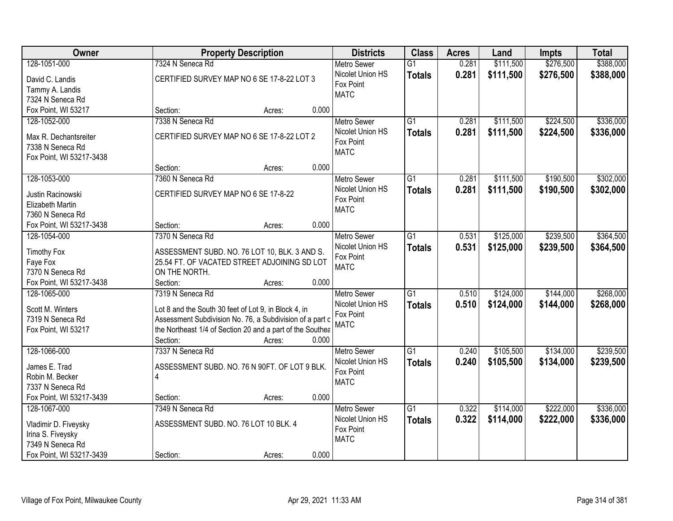| Owner                    | <b>Property Description</b>                               | <b>Districts</b>                | <b>Class</b>    | <b>Acres</b> | Land      | <b>Impts</b> | <b>Total</b> |
|--------------------------|-----------------------------------------------------------|---------------------------------|-----------------|--------------|-----------|--------------|--------------|
| 128-1051-000             | 7324 N Seneca Rd                                          | <b>Metro Sewer</b>              | $\overline{G1}$ | 0.281        | \$111,500 | \$276,500    | \$388,000    |
| David C. Landis          | CERTIFIED SURVEY MAP NO 6 SE 17-8-22 LOT 3                | Nicolet Union HS                | <b>Totals</b>   | 0.281        | \$111,500 | \$276,500    | \$388,000    |
| Tammy A. Landis          |                                                           | Fox Point                       |                 |              |           |              |              |
| 7324 N Seneca Rd         |                                                           | <b>MATC</b>                     |                 |              |           |              |              |
| Fox Point, WI 53217      | 0.000<br>Section:<br>Acres:                               |                                 |                 |              |           |              |              |
| 128-1052-000             | 7338 N Seneca Rd                                          | <b>Metro Sewer</b>              | $\overline{G1}$ | 0.281        | \$111,500 | \$224,500    | \$336,000    |
|                          |                                                           | Nicolet Union HS                | <b>Totals</b>   | 0.281        | \$111,500 | \$224,500    | \$336,000    |
| Max R. Dechantsreiter    | CERTIFIED SURVEY MAP NO 6 SE 17-8-22 LOT 2                | Fox Point                       |                 |              |           |              |              |
| 7338 N Seneca Rd         |                                                           | <b>MATC</b>                     |                 |              |           |              |              |
| Fox Point, WI 53217-3438 | 0.000<br>Section:                                         |                                 |                 |              |           |              |              |
|                          | Acres:                                                    |                                 |                 |              |           | \$190,500    |              |
| 128-1053-000             | 7360 N Seneca Rd                                          | Metro Sewer<br>Nicolet Union HS | G1              | 0.281        | \$111,500 |              | \$302,000    |
| Justin Racinowski        | CERTIFIED SURVEY MAP NO 6 SE 17-8-22                      | Fox Point                       | <b>Totals</b>   | 0.281        | \$111,500 | \$190,500    | \$302,000    |
| Elizabeth Martin         |                                                           | <b>MATC</b>                     |                 |              |           |              |              |
| 7360 N Seneca Rd         |                                                           |                                 |                 |              |           |              |              |
| Fox Point, WI 53217-3438 | 0.000<br>Section:<br>Acres:                               |                                 |                 |              |           |              |              |
| 128-1054-000             | 7370 N Seneca Rd                                          | <b>Metro Sewer</b>              | G1              | 0.531        | \$125,000 | \$239,500    | \$364,500    |
| <b>Timothy Fox</b>       | ASSESSMENT SUBD. NO. 76 LOT 10, BLK. 3 AND S.             | Nicolet Union HS                | <b>Totals</b>   | 0.531        | \$125,000 | \$239,500    | \$364,500    |
| Faye Fox                 | 25.54 FT. OF VACATED STREET ADJOINING SD LOT              | Fox Point                       |                 |              |           |              |              |
| 7370 N Seneca Rd         | ON THE NORTH.                                             | <b>MATC</b>                     |                 |              |           |              |              |
| Fox Point, WI 53217-3438 | 0.000<br>Section:<br>Acres:                               |                                 |                 |              |           |              |              |
| 128-1065-000             | 7319 N Seneca Rd                                          | <b>Metro Sewer</b>              | $\overline{G1}$ | 0.510        | \$124,000 | \$144,000    | \$268,000    |
|                          |                                                           | Nicolet Union HS                | <b>Totals</b>   | 0.510        | \$124,000 | \$144,000    | \$268,000    |
| Scott M. Winters         | Lot 8 and the South 30 feet of Lot 9, in Block 4, in      | Fox Point                       |                 |              |           |              |              |
| 7319 N Seneca Rd         | Assessment Subdivision No. 76, a Subdivision of a part c  | <b>MATC</b>                     |                 |              |           |              |              |
| Fox Point, WI 53217      | the Northeast 1/4 of Section 20 and a part of the Southea |                                 |                 |              |           |              |              |
|                          | Section:<br>0.000<br>Acres:                               |                                 |                 |              |           |              |              |
| 128-1066-000             | 7337 N Seneca Rd                                          | Metro Sewer                     | $\overline{G1}$ | 0.240        | \$105,500 | \$134,000    | \$239,500    |
| James E. Trad            | ASSESSMENT SUBD. NO. 76 N 90FT. OF LOT 9 BLK.             | Nicolet Union HS                | <b>Totals</b>   | 0.240        | \$105,500 | \$134,000    | \$239,500    |
| Robin M. Becker          | $\overline{4}$                                            | Fox Point                       |                 |              |           |              |              |
| 7337 N Seneca Rd         |                                                           | <b>MATC</b>                     |                 |              |           |              |              |
| Fox Point, WI 53217-3439 | 0.000<br>Section:<br>Acres:                               |                                 |                 |              |           |              |              |
| 128-1067-000             | 7349 N Seneca Rd                                          | <b>Metro Sewer</b>              | $\overline{G1}$ | 0.322        | \$114,000 | \$222,000    | \$336,000    |
|                          |                                                           | Nicolet Union HS                | <b>Totals</b>   | 0.322        | \$114,000 | \$222,000    | \$336,000    |
| Vladimir D. Fiveysky     | ASSESSMENT SUBD. NO. 76 LOT 10 BLK. 4                     | Fox Point                       |                 |              |           |              |              |
| Irina S. Fiveysky        |                                                           | <b>MATC</b>                     |                 |              |           |              |              |
| 7349 N Seneca Rd         |                                                           |                                 |                 |              |           |              |              |
| Fox Point, WI 53217-3439 | 0.000<br>Section:<br>Acres:                               |                                 |                 |              |           |              |              |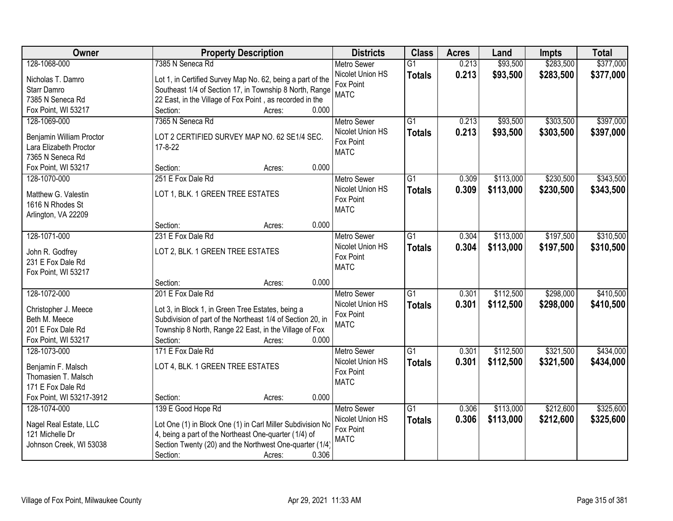| Owner                    | <b>Property Description</b>                                | <b>Districts</b>                       | <b>Class</b>    | <b>Acres</b> | Land      | <b>Impts</b> | <b>Total</b> |
|--------------------------|------------------------------------------------------------|----------------------------------------|-----------------|--------------|-----------|--------------|--------------|
| 128-1068-000             | 7385 N Seneca Rd                                           | <b>Metro Sewer</b>                     | $\overline{G1}$ | 0.213        | \$93,500  | \$283,500    | \$377,000    |
| Nicholas T. Damro        | Lot 1, in Certified Survey Map No. 62, being a part of the | Nicolet Union HS                       | <b>Totals</b>   | 0.213        | \$93,500  | \$283,500    | \$377,000    |
| Starr Damro              | Southeast 1/4 of Section 17, in Township 8 North, Range    | Fox Point                              |                 |              |           |              |              |
| 7385 N Seneca Rd         | 22 East, in the Village of Fox Point, as recorded in the   | <b>MATC</b>                            |                 |              |           |              |              |
| Fox Point, WI 53217      | 0.000<br>Section:<br>Acres:                                |                                        |                 |              |           |              |              |
| 128-1069-000             | 7365 N Seneca Rd                                           | <b>Metro Sewer</b>                     | $\overline{G1}$ | 0.213        | \$93,500  | \$303,500    | \$397,000    |
|                          |                                                            | Nicolet Union HS                       | <b>Totals</b>   | 0.213        | \$93,500  | \$303,500    | \$397,000    |
| Benjamin William Proctor | LOT 2 CERTIFIED SURVEY MAP NO. 62 SE1/4 SEC.               | Fox Point                              |                 |              |           |              |              |
| Lara Elizabeth Proctor   | $17 - 8 - 22$                                              | <b>MATC</b>                            |                 |              |           |              |              |
| 7365 N Seneca Rd         |                                                            |                                        |                 |              |           |              |              |
| Fox Point, WI 53217      | 0.000<br>Section:<br>Acres:                                |                                        |                 |              |           |              |              |
| 128-1070-000             | 251 E Fox Dale Rd                                          | <b>Metro Sewer</b>                     | G1              | 0.309        | \$113,000 | \$230,500    | \$343,500    |
| Matthew G. Valestin      | LOT 1, BLK. 1 GREEN TREE ESTATES                           | Nicolet Union HS                       | <b>Totals</b>   | 0.309        | \$113,000 | \$230,500    | \$343,500    |
| 1616 N Rhodes St         |                                                            | Fox Point                              |                 |              |           |              |              |
| Arlington, VA 22209      |                                                            | <b>MATC</b>                            |                 |              |           |              |              |
|                          | 0.000<br>Section:<br>Acres:                                |                                        |                 |              |           |              |              |
| 128-1071-000             | 231 E Fox Dale Rd                                          | <b>Metro Sewer</b>                     | G1              | 0.304        | \$113,000 | \$197,500    | \$310,500    |
|                          |                                                            | Nicolet Union HS                       | <b>Totals</b>   | 0.304        | \$113,000 | \$197,500    | \$310,500    |
| John R. Godfrey          | LOT 2, BLK. 1 GREEN TREE ESTATES                           | Fox Point                              |                 |              |           |              |              |
| 231 E Fox Dale Rd        |                                                            | <b>MATC</b>                            |                 |              |           |              |              |
| Fox Point, WI 53217      | 0.000<br>Section:                                          |                                        |                 |              |           |              |              |
| 128-1072-000             | Acres:<br>201 E Fox Dale Rd                                |                                        | $\overline{G1}$ | 0.301        | \$112,500 | \$298,000    | \$410,500    |
|                          |                                                            | <b>Metro Sewer</b><br>Nicolet Union HS |                 |              |           |              |              |
| Christopher J. Meece     | Lot 3, in Block 1, in Green Tree Estates, being a          | Fox Point                              | <b>Totals</b>   | 0.301        | \$112,500 | \$298,000    | \$410,500    |
| Beth M. Meece            | Subdivision of part of the Northeast 1/4 of Section 20, in | <b>MATC</b>                            |                 |              |           |              |              |
| 201 E Fox Dale Rd        | Township 8 North, Range 22 East, in the Village of Fox     |                                        |                 |              |           |              |              |
| Fox Point, WI 53217      | Section:<br>0.000<br>Acres:                                |                                        |                 |              |           |              |              |
| 128-1073-000             | 171 E Fox Dale Rd                                          | Metro Sewer                            | G1              | 0.301        | \$112,500 | \$321,500    | \$434,000    |
| Benjamin F. Malsch       | LOT 4, BLK. 1 GREEN TREE ESTATES                           | Nicolet Union HS                       | <b>Totals</b>   | 0.301        | \$112,500 | \$321,500    | \$434,000    |
| Thomasien T. Malsch      |                                                            | Fox Point                              |                 |              |           |              |              |
| 171 E Fox Dale Rd        |                                                            | <b>MATC</b>                            |                 |              |           |              |              |
| Fox Point, WI 53217-3912 | 0.000<br>Section:<br>Acres:                                |                                        |                 |              |           |              |              |
| 128-1074-000             | 139 E Good Hope Rd                                         | <b>Metro Sewer</b>                     | $\overline{G1}$ | 0.306        | \$113,000 | \$212,600    | \$325,600    |
|                          |                                                            | Nicolet Union HS                       |                 | 0.306        | \$113,000 | \$212,600    | \$325,600    |
| Nagel Real Estate, LLC   | Lot One (1) in Block One (1) in Carl Miller Subdivision No | Fox Point                              | <b>Totals</b>   |              |           |              |              |
| 121 Michelle Dr          | 4, being a part of the Northeast One-quarter (1/4) of      | <b>MATC</b>                            |                 |              |           |              |              |
| Johnson Creek, WI 53038  | Section Twenty (20) and the Northwest One-quarter (1/4)    |                                        |                 |              |           |              |              |
|                          | 0.306<br>Section:<br>Acres:                                |                                        |                 |              |           |              |              |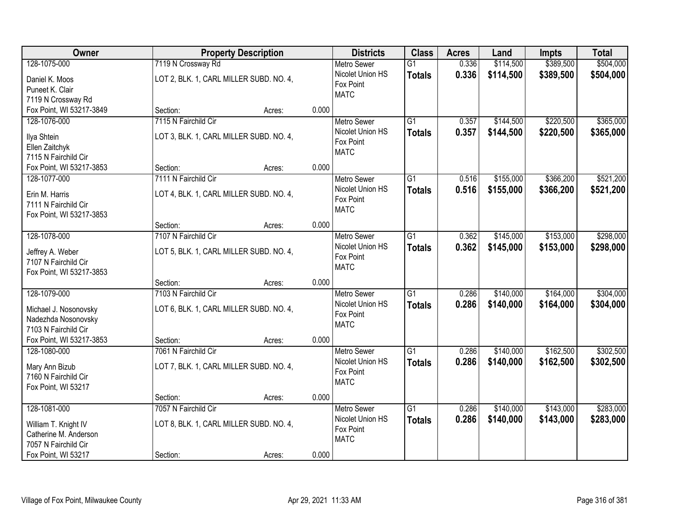| Owner                                  | <b>Property Description</b>             |                 | <b>Districts</b>              | <b>Class</b>    | <b>Acres</b> | Land      | <b>Impts</b> | <b>Total</b> |
|----------------------------------------|-----------------------------------------|-----------------|-------------------------------|-----------------|--------------|-----------|--------------|--------------|
| 128-1075-000                           | 7119 N Crossway Rd                      |                 | <b>Metro Sewer</b>            | $\overline{G1}$ | 0.336        | \$114,500 | \$389,500    | \$504,000    |
| Daniel K. Moos                         | LOT 2, BLK. 1, CARL MILLER SUBD. NO. 4, |                 | Nicolet Union HS              | <b>Totals</b>   | 0.336        | \$114,500 | \$389,500    | \$504,000    |
| Puneet K. Clair                        |                                         |                 | Fox Point                     |                 |              |           |              |              |
| 7119 N Crossway Rd                     |                                         |                 | <b>MATC</b>                   |                 |              |           |              |              |
| Fox Point, WI 53217-3849               | Section:                                | 0.000<br>Acres: |                               |                 |              |           |              |              |
| 128-1076-000                           | 7115 N Fairchild Cir                    |                 | <b>Metro Sewer</b>            | $\overline{G1}$ | 0.357        | \$144,500 | \$220,500    | \$365,000    |
| Ilya Shtein                            | LOT 3, BLK. 1, CARL MILLER SUBD. NO. 4, |                 | Nicolet Union HS              | <b>Totals</b>   | 0.357        | \$144,500 | \$220,500    | \$365,000    |
| Ellen Zaitchyk                         |                                         |                 | Fox Point                     |                 |              |           |              |              |
| 7115 N Fairchild Cir                   |                                         |                 | <b>MATC</b>                   |                 |              |           |              |              |
| Fox Point, WI 53217-3853               | Section:                                | 0.000<br>Acres: |                               |                 |              |           |              |              |
| 128-1077-000                           | 7111 N Fairchild Cir                    |                 | Metro Sewer                   | G1              | 0.516        | \$155,000 | \$366,200    | \$521,200    |
|                                        |                                         |                 | Nicolet Union HS              | <b>Totals</b>   | 0.516        | \$155,000 | \$366,200    | \$521,200    |
| Erin M. Harris<br>7111 N Fairchild Cir | LOT 4, BLK. 1, CARL MILLER SUBD. NO. 4, |                 | Fox Point                     |                 |              |           |              |              |
| Fox Point, WI 53217-3853               |                                         |                 | <b>MATC</b>                   |                 |              |           |              |              |
|                                        | Section:                                | 0.000<br>Acres: |                               |                 |              |           |              |              |
| 128-1078-000                           | 7107 N Fairchild Cir                    |                 | <b>Metro Sewer</b>            | G1              | 0.362        | \$145,000 | \$153,000    | \$298,000    |
|                                        |                                         |                 | Nicolet Union HS              | <b>Totals</b>   | 0.362        | \$145,000 | \$153,000    | \$298,000    |
| Jeffrey A. Weber                       | LOT 5, BLK. 1, CARL MILLER SUBD. NO. 4, |                 | Fox Point                     |                 |              |           |              |              |
| 7107 N Fairchild Cir                   |                                         |                 | <b>MATC</b>                   |                 |              |           |              |              |
| Fox Point, WI 53217-3853               |                                         |                 |                               |                 |              |           |              |              |
| 128-1079-000                           | Section:<br>7103 N Fairchild Cir        | 0.000<br>Acres: |                               | $\overline{G1}$ | 0.286        | \$140,000 | \$164,000    | \$304,000    |
|                                        |                                         |                 | <b>Metro Sewer</b>            |                 |              |           |              |              |
| Michael J. Nosonovsky                  | LOT 6, BLK. 1, CARL MILLER SUBD. NO. 4, |                 | Nicolet Union HS<br>Fox Point | <b>Totals</b>   | 0.286        | \$140,000 | \$164,000    | \$304,000    |
| Nadezhda Nosonovsky                    |                                         |                 | <b>MATC</b>                   |                 |              |           |              |              |
| 7103 N Fairchild Cir                   |                                         |                 |                               |                 |              |           |              |              |
| Fox Point, WI 53217-3853               | Section:                                | 0.000<br>Acres: |                               |                 |              |           |              |              |
| 128-1080-000                           | 7061 N Fairchild Cir                    |                 | <b>Metro Sewer</b>            | $\overline{G1}$ | 0.286        | \$140,000 | \$162,500    | \$302,500    |
| Mary Ann Bizub                         | LOT 7, BLK. 1, CARL MILLER SUBD. NO. 4, |                 | Nicolet Union HS              | <b>Totals</b>   | 0.286        | \$140,000 | \$162,500    | \$302,500    |
| 7160 N Fairchild Cir                   |                                         |                 | Fox Point                     |                 |              |           |              |              |
| Fox Point, WI 53217                    |                                         |                 | <b>MATC</b>                   |                 |              |           |              |              |
|                                        | Section:                                | 0.000<br>Acres: |                               |                 |              |           |              |              |
| 128-1081-000                           | 7057 N Fairchild Cir                    |                 | <b>Metro Sewer</b>            | $\overline{G1}$ | 0.286        | \$140,000 | \$143,000    | \$283,000    |
| William T. Knight IV                   | LOT 8, BLK. 1, CARL MILLER SUBD. NO. 4, |                 | Nicolet Union HS              | <b>Totals</b>   | 0.286        | \$140,000 | \$143,000    | \$283,000    |
| Catherine M. Anderson                  |                                         |                 | Fox Point                     |                 |              |           |              |              |
| 7057 N Fairchild Cir                   |                                         |                 | <b>MATC</b>                   |                 |              |           |              |              |
| Fox Point, WI 53217                    | Section:                                | 0.000<br>Acres: |                               |                 |              |           |              |              |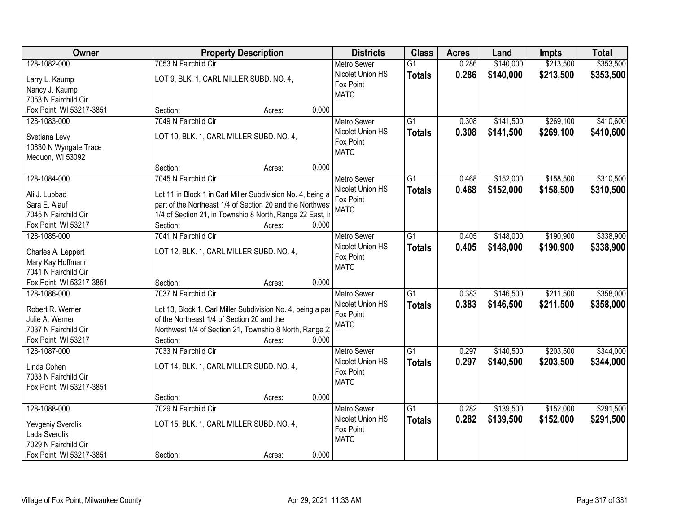| Owner                    | <b>Property Description</b>                                 | <b>Districts</b>                       | <b>Class</b>    | <b>Acres</b> | Land      | <b>Impts</b> | <b>Total</b> |
|--------------------------|-------------------------------------------------------------|----------------------------------------|-----------------|--------------|-----------|--------------|--------------|
| 128-1082-000             | 7053 N Fairchild Cir                                        | <b>Metro Sewer</b>                     | $\overline{G1}$ | 0.286        | \$140,000 | \$213,500    | \$353,500    |
| Larry L. Kaump           | LOT 9, BLK. 1, CARL MILLER SUBD. NO. 4,                     | Nicolet Union HS                       | <b>Totals</b>   | 0.286        | \$140,000 | \$213,500    | \$353,500    |
| Nancy J. Kaump           |                                                             | Fox Point                              |                 |              |           |              |              |
| 7053 N Fairchild Cir     |                                                             | <b>MATC</b>                            |                 |              |           |              |              |
| Fox Point, WI 53217-3851 | 0.000<br>Section:<br>Acres:                                 |                                        |                 |              |           |              |              |
| 128-1083-000             | 7049 N Fairchild Cir                                        | <b>Metro Sewer</b>                     | $\overline{G1}$ | 0.308        | \$141,500 | \$269,100    | \$410,600    |
|                          |                                                             | Nicolet Union HS                       | <b>Totals</b>   | 0.308        | \$141,500 | \$269,100    | \$410,600    |
| Svetlana Levy            | LOT 10, BLK. 1, CARL MILLER SUBD. NO. 4,                    | Fox Point                              |                 |              |           |              |              |
| 10830 N Wyngate Trace    |                                                             | <b>MATC</b>                            |                 |              |           |              |              |
| Mequon, WI 53092         | 0.000<br>Section:                                           |                                        |                 |              |           |              |              |
| 128-1084-000             | Acres:<br>7045 N Fairchild Cir                              |                                        | G1              | 0.468        | \$152,000 | \$158,500    | \$310,500    |
|                          |                                                             | <b>Metro Sewer</b><br>Nicolet Union HS |                 |              |           |              |              |
| Ali J. Lubbad            | Lot 11 in Block 1 in Carl Miller Subdivision No. 4, being a | Fox Point                              | <b>Totals</b>   | 0.468        | \$152,000 | \$158,500    | \$310,500    |
| Sara E. Alauf            | part of the Northeast 1/4 of Section 20 and the Northwest   | <b>MATC</b>                            |                 |              |           |              |              |
| 7045 N Fairchild Cir     | 1/4 of Section 21, in Township 8 North, Range 22 East, ir   |                                        |                 |              |           |              |              |
| Fox Point, WI 53217      | Section:<br>0.000<br>Acres:                                 |                                        |                 |              |           |              |              |
| 128-1085-000             | 7041 N Fairchild Cir                                        | <b>Metro Sewer</b>                     | G1              | 0.405        | \$148,000 | \$190,900    | \$338,900    |
| Charles A. Leppert       | LOT 12, BLK. 1, CARL MILLER SUBD. NO. 4,                    | Nicolet Union HS                       | <b>Totals</b>   | 0.405        | \$148,000 | \$190,900    | \$338,900    |
| Mary Kay Hoffmann        |                                                             | Fox Point                              |                 |              |           |              |              |
| 7041 N Fairchild Cir     |                                                             | <b>MATC</b>                            |                 |              |           |              |              |
| Fox Point, WI 53217-3851 | 0.000<br>Section:<br>Acres:                                 |                                        |                 |              |           |              |              |
| 128-1086-000             | 7037 N Fairchild Cir                                        | <b>Metro Sewer</b>                     | $\overline{G1}$ | 0.383        | \$146,500 | \$211,500    | \$358,000    |
|                          |                                                             | Nicolet Union HS                       | <b>Totals</b>   | 0.383        | \$146,500 | \$211,500    | \$358,000    |
| Robert R. Werner         | Lot 13, Block 1, Carl Miller Subdivision No. 4, being a par | Fox Point                              |                 |              |           |              |              |
| Julie A. Werner          | of the Northeast 1/4 of Section 20 and the                  | <b>MATC</b>                            |                 |              |           |              |              |
| 7037 N Fairchild Cir     | Northwest 1/4 of Section 21, Township 8 North, Range 2.     |                                        |                 |              |           |              |              |
| Fox Point, WI 53217      | 0.000<br>Section:<br>Acres:                                 |                                        |                 |              |           |              |              |
| 128-1087-000             | 7033 N Fairchild Cir                                        | <b>Metro Sewer</b>                     | $\overline{G1}$ | 0.297        | \$140,500 | \$203,500    | \$344,000    |
| Linda Cohen              | LOT 14, BLK. 1, CARL MILLER SUBD. NO. 4,                    | Nicolet Union HS                       | <b>Totals</b>   | 0.297        | \$140,500 | \$203,500    | \$344,000    |
| 7033 N Fairchild Cir     |                                                             | Fox Point                              |                 |              |           |              |              |
| Fox Point, WI 53217-3851 |                                                             | <b>MATC</b>                            |                 |              |           |              |              |
|                          | 0.000<br>Section:<br>Acres:                                 |                                        |                 |              |           |              |              |
| 128-1088-000             | 7029 N Fairchild Cir                                        | <b>Metro Sewer</b>                     | $\overline{G1}$ | 0.282        | \$139,500 | \$152,000    | \$291,500    |
|                          |                                                             | Nicolet Union HS                       | <b>Totals</b>   | 0.282        | \$139,500 | \$152,000    | \$291,500    |
| Yevgeniy Sverdlik        | LOT 15, BLK. 1, CARL MILLER SUBD. NO. 4,                    | Fox Point                              |                 |              |           |              |              |
| Lada Sverdlik            |                                                             | <b>MATC</b>                            |                 |              |           |              |              |
| 7029 N Fairchild Cir     |                                                             |                                        |                 |              |           |              |              |
| Fox Point, WI 53217-3851 | 0.000<br>Section:<br>Acres:                                 |                                        |                 |              |           |              |              |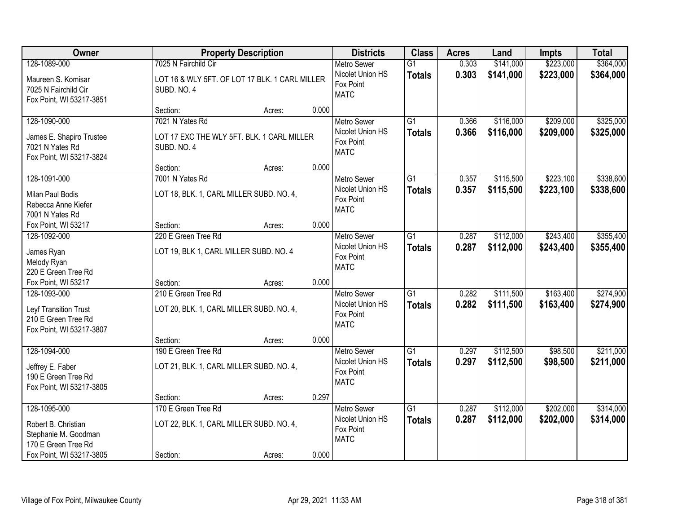| Owner                                                                                    |                                                                 | <b>Property Description</b>                    |       | <b>Districts</b>                                                   | <b>Class</b>                     | <b>Acres</b>   | Land                   | <b>Impts</b>           | <b>Total</b>           |
|------------------------------------------------------------------------------------------|-----------------------------------------------------------------|------------------------------------------------|-------|--------------------------------------------------------------------|----------------------------------|----------------|------------------------|------------------------|------------------------|
| 128-1089-000                                                                             | 7025 N Fairchild Cir                                            |                                                |       | <b>Metro Sewer</b>                                                 | $\overline{G1}$                  | 0.303          | \$141,000              | \$223,000              | \$364,000              |
| Maureen S. Komisar<br>7025 N Fairchild Cir<br>Fox Point, WI 53217-3851                   | SUBD. NO. 4                                                     | LOT 16 & WLY 5FT. OF LOT 17 BLK. 1 CARL MILLER |       | Nicolet Union HS<br>Fox Point<br><b>MATC</b>                       | <b>Totals</b>                    | 0.303          | \$141,000              | \$223,000              | \$364,000              |
|                                                                                          | Section:                                                        | Acres:                                         | 0.000 |                                                                    |                                  |                |                        |                        |                        |
| 128-1090-000                                                                             | 7021 N Yates Rd                                                 |                                                |       | <b>Metro Sewer</b>                                                 | $\overline{G1}$                  | 0.366          | \$116,000              | \$209,000              | \$325,000              |
| James E. Shapiro Trustee<br>7021 N Yates Rd<br>Fox Point, WI 53217-3824                  | SUBD. NO. 4                                                     | LOT 17 EXC THE WLY 5FT. BLK. 1 CARL MILLER     |       | Nicolet Union HS<br>Fox Point<br><b>MATC</b>                       | <b>Totals</b>                    | 0.366          | \$116,000              | \$209,000              | \$325,000              |
|                                                                                          | Section:                                                        | Acres:                                         | 0.000 |                                                                    |                                  |                |                        |                        |                        |
| 128-1091-000                                                                             | 7001 N Yates Rd                                                 |                                                |       | Metro Sewer                                                        | G1                               | 0.357          | \$115,500              | \$223,100              | \$338,600              |
| Milan Paul Bodis<br>Rebecca Anne Kiefer<br>7001 N Yates Rd                               | LOT 18, BLK. 1, CARL MILLER SUBD. NO. 4,                        |                                                |       | Nicolet Union HS<br>Fox Point<br><b>MATC</b>                       | <b>Totals</b>                    | 0.357          | \$115,500              | \$223,100              | \$338,600              |
| Fox Point, WI 53217                                                                      | Section:                                                        | Acres:                                         | 0.000 |                                                                    |                                  |                |                        |                        |                        |
| 128-1092-000                                                                             | 220 E Green Tree Rd                                             |                                                |       | <b>Metro Sewer</b>                                                 | G1                               | 0.287          | \$112,000              | \$243,400              | \$355,400              |
| James Ryan<br>Melody Ryan<br>220 E Green Tree Rd                                         | LOT 19, BLK 1, CARL MILLER SUBD. NO. 4                          |                                                |       | Nicolet Union HS<br>Fox Point<br><b>MATC</b>                       | <b>Totals</b>                    | 0.287          | \$112,000              | \$243,400              | \$355,400              |
| Fox Point, WI 53217                                                                      | Section:                                                        | Acres:                                         | 0.000 |                                                                    |                                  |                |                        |                        |                        |
| 128-1093-000<br>Leyf Transition Trust<br>210 E Green Tree Rd<br>Fox Point, WI 53217-3807 | 210 E Green Tree Rd<br>LOT 20, BLK. 1, CARL MILLER SUBD. NO. 4, |                                                |       | <b>Metro Sewer</b><br>Nicolet Union HS<br>Fox Point<br><b>MATC</b> | $\overline{G1}$<br><b>Totals</b> | 0.282<br>0.282 | \$111,500<br>\$111,500 | \$163,400<br>\$163,400 | \$274,900<br>\$274,900 |
|                                                                                          | Section:                                                        | Acres:                                         | 0.000 |                                                                    |                                  |                |                        |                        |                        |
| 128-1094-000                                                                             | 190 E Green Tree Rd                                             |                                                |       | Metro Sewer                                                        | $\overline{G1}$                  | 0.297          | \$112,500              | \$98,500               | \$211,000              |
| Jeffrey E. Faber<br>190 E Green Tree Rd<br>Fox Point, WI 53217-3805                      | LOT 21, BLK. 1, CARL MILLER SUBD. NO. 4,                        |                                                |       | Nicolet Union HS<br>Fox Point<br><b>MATC</b>                       | <b>Totals</b>                    | 0.297          | \$112,500              | \$98,500               | \$211,000              |
|                                                                                          | Section:                                                        | Acres:                                         | 0.297 |                                                                    |                                  |                |                        |                        |                        |
| 128-1095-000                                                                             | 170 E Green Tree Rd                                             |                                                |       | <b>Metro Sewer</b>                                                 | $\overline{G1}$                  | 0.287          | \$112,000              | \$202,000              | \$314,000              |
| Robert B. Christian<br>Stephanie M. Goodman<br>170 E Green Tree Rd                       | LOT 22, BLK. 1, CARL MILLER SUBD. NO. 4,                        |                                                |       | Nicolet Union HS<br>Fox Point<br><b>MATC</b>                       | <b>Totals</b>                    | 0.287          | \$112,000              | \$202,000              | \$314,000              |
| Fox Point, WI 53217-3805                                                                 | Section:                                                        | Acres:                                         | 0.000 |                                                                    |                                  |                |                        |                        |                        |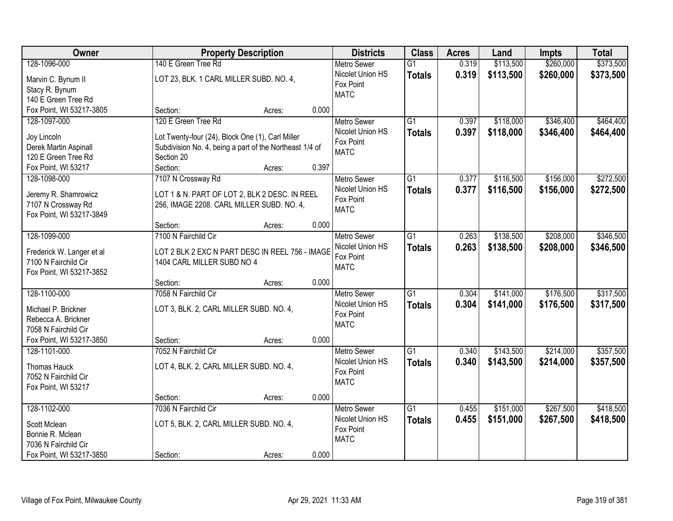| Owner                                        |                                                                       | <b>Property Description</b> |       | <b>Districts</b>   | <b>Class</b>    | <b>Acres</b> | Land      | <b>Impts</b> | <b>Total</b> |
|----------------------------------------------|-----------------------------------------------------------------------|-----------------------------|-------|--------------------|-----------------|--------------|-----------|--------------|--------------|
| 128-1096-000                                 | 140 E Green Tree Rd                                                   |                             |       | <b>Metro Sewer</b> | $\overline{G1}$ | 0.319        | \$113,500 | \$260,000    | \$373,500    |
| Marvin C. Bynum II                           | LOT 23, BLK. 1 CARL MILLER SUBD. NO. 4,                               |                             |       | Nicolet Union HS   | <b>Totals</b>   | 0.319        | \$113,500 | \$260,000    | \$373,500    |
| Stacy R. Bynum                               |                                                                       |                             |       | Fox Point          |                 |              |           |              |              |
| 140 E Green Tree Rd                          |                                                                       |                             |       | <b>MATC</b>        |                 |              |           |              |              |
| Fox Point, WI 53217-3805                     | Section:                                                              | Acres:                      | 0.000 |                    |                 |              |           |              |              |
| 128-1097-000                                 | 120 E Green Tree Rd                                                   |                             |       | <b>Metro Sewer</b> | $\overline{G1}$ | 0.397        | \$118,000 | \$346,400    | \$464,400    |
|                                              |                                                                       |                             |       | Nicolet Union HS   | <b>Totals</b>   | 0.397        | \$118,000 | \$346,400    | \$464,400    |
| Joy Lincoln                                  | Lot Twenty-four (24), Block One (1), Carl Miller                      |                             |       | Fox Point          |                 |              |           |              |              |
| Derek Martin Aspinall<br>120 E Green Tree Rd | Subdivision No. 4, being a part of the Northeast 1/4 of<br>Section 20 |                             |       | <b>MATC</b>        |                 |              |           |              |              |
|                                              | Section:                                                              |                             | 0.397 |                    |                 |              |           |              |              |
| Fox Point, WI 53217                          |                                                                       | Acres:                      |       |                    |                 |              |           |              |              |
| 128-1098-000                                 | 7107 N Crossway Rd                                                    |                             |       | Metro Sewer        | $\overline{G1}$ | 0.377        | \$116,500 | \$156,000    | \$272,500    |
| Jeremy R. Shamrowicz                         | LOT 1 & N. PART OF LOT 2, BLK 2 DESC. IN REEL                         |                             |       | Nicolet Union HS   | <b>Totals</b>   | 0.377        | \$116,500 | \$156,000    | \$272,500    |
| 7107 N Crossway Rd                           | 256, IMAGE 2208. CARL MILLER SUBD. NO. 4,                             |                             |       | Fox Point          |                 |              |           |              |              |
| Fox Point, WI 53217-3849                     |                                                                       |                             |       | <b>MATC</b>        |                 |              |           |              |              |
|                                              | Section:                                                              | Acres:                      | 0.000 |                    |                 |              |           |              |              |
| 128-1099-000                                 | 7100 N Fairchild Cir                                                  |                             |       | <b>Metro Sewer</b> | $\overline{G1}$ | 0.263        | \$138,500 | \$208,000    | \$346,500    |
| Frederick W. Langer et al                    | LOT 2 BLK 2 EXC N PART DESC IN REEL 756 - IMAGE                       |                             |       | Nicolet Union HS   | <b>Totals</b>   | 0.263        | \$138,500 | \$208,000    | \$346,500    |
| 7100 N Fairchild Cir                         | 1404 CARL MILLER SUBD NO 4                                            |                             |       | Fox Point          |                 |              |           |              |              |
| Fox Point, WI 53217-3852                     |                                                                       |                             |       | <b>MATC</b>        |                 |              |           |              |              |
|                                              | Section:                                                              | Acres:                      | 0.000 |                    |                 |              |           |              |              |
| 128-1100-000                                 | 7058 N Fairchild Cir                                                  |                             |       | <b>Metro Sewer</b> | $\overline{G1}$ | 0.304        | \$141,000 | \$176,500    | \$317,500    |
|                                              |                                                                       |                             |       | Nicolet Union HS   |                 | 0.304        | \$141,000 | \$176,500    | \$317,500    |
| Michael P. Brickner                          | LOT 3, BLK. 2, CARL MILLER SUBD. NO. 4,                               |                             |       | Fox Point          | <b>Totals</b>   |              |           |              |              |
| Rebecca A. Brickner                          |                                                                       |                             |       | <b>MATC</b>        |                 |              |           |              |              |
| 7058 N Fairchild Cir                         |                                                                       |                             |       |                    |                 |              |           |              |              |
| Fox Point, WI 53217-3850                     | Section:                                                              | Acres:                      | 0.000 |                    |                 |              |           |              |              |
| 128-1101-000                                 | 7052 N Fairchild Cir                                                  |                             |       | <b>Metro Sewer</b> | $\overline{G1}$ | 0.340        | \$143,500 | \$214,000    | \$357,500    |
| Thomas Hauck                                 | LOT 4, BLK. 2, CARL MILLER SUBD. NO. 4,                               |                             |       | Nicolet Union HS   | <b>Totals</b>   | 0.340        | \$143,500 | \$214,000    | \$357,500    |
| 7052 N Fairchild Cir                         |                                                                       |                             |       | Fox Point          |                 |              |           |              |              |
| Fox Point, WI 53217                          |                                                                       |                             |       | <b>MATC</b>        |                 |              |           |              |              |
|                                              | Section:                                                              | Acres:                      | 0.000 |                    |                 |              |           |              |              |
| 128-1102-000                                 | 7036 N Fairchild Cir                                                  |                             |       | <b>Metro Sewer</b> | $\overline{G1}$ | 0.455        | \$151,000 | \$267,500    | \$418,500    |
|                                              |                                                                       |                             |       | Nicolet Union HS   | <b>Totals</b>   | 0.455        | \$151,000 | \$267,500    | \$418,500    |
| Scott Mclean                                 | LOT 5, BLK. 2, CARL MILLER SUBD. NO. 4,                               |                             |       | Fox Point          |                 |              |           |              |              |
| Bonnie R. Mclean                             |                                                                       |                             |       | <b>MATC</b>        |                 |              |           |              |              |
| 7036 N Fairchild Cir                         |                                                                       |                             |       |                    |                 |              |           |              |              |
| Fox Point, WI 53217-3850                     | Section:                                                              | Acres:                      | 0.000 |                    |                 |              |           |              |              |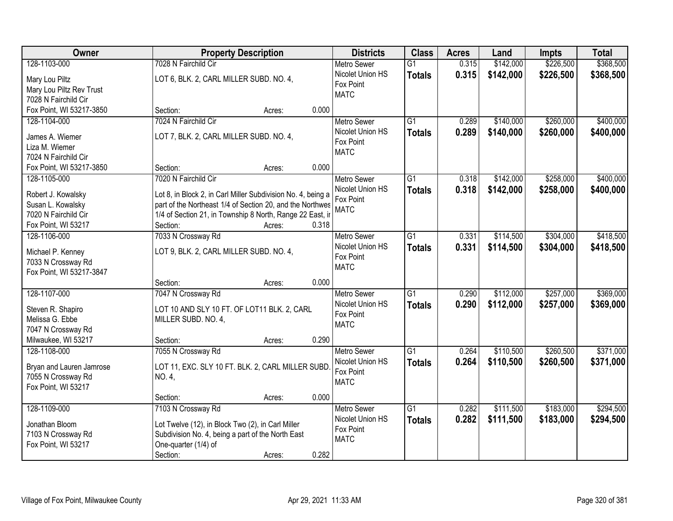| Owner                    | <b>Property Description</b>                                  | <b>Districts</b>   | <b>Class</b>    | <b>Acres</b> | Land      | <b>Impts</b> | <b>Total</b> |
|--------------------------|--------------------------------------------------------------|--------------------|-----------------|--------------|-----------|--------------|--------------|
| 128-1103-000             | 7028 N Fairchild Cir                                         | <b>Metro Sewer</b> | $\overline{G1}$ | 0.315        | \$142,000 | \$226,500    | \$368,500    |
| Mary Lou Piltz           | LOT 6, BLK. 2, CARL MILLER SUBD. NO. 4,                      | Nicolet Union HS   | <b>Totals</b>   | 0.315        | \$142,000 | \$226,500    | \$368,500    |
| Mary Lou Piltz Rev Trust |                                                              | Fox Point          |                 |              |           |              |              |
| 7028 N Fairchild Cir     |                                                              | <b>MATC</b>        |                 |              |           |              |              |
| Fox Point, WI 53217-3850 | 0.000<br>Section:<br>Acres:                                  |                    |                 |              |           |              |              |
| 128-1104-000             | 7024 N Fairchild Cir                                         | <b>Metro Sewer</b> | $\overline{G1}$ | 0.289        | \$140,000 | \$260,000    | \$400,000    |
|                          |                                                              | Nicolet Union HS   |                 |              |           |              |              |
| James A. Wiemer          | LOT 7, BLK. 2, CARL MILLER SUBD. NO. 4,                      | Fox Point          | <b>Totals</b>   | 0.289        | \$140,000 | \$260,000    | \$400,000    |
| Liza M. Wiemer           |                                                              | <b>MATC</b>        |                 |              |           |              |              |
| 7024 N Fairchild Cir     |                                                              |                    |                 |              |           |              |              |
| Fox Point, WI 53217-3850 | 0.000<br>Section:<br>Acres:                                  |                    |                 |              |           |              |              |
| 128-1105-000             | 7020 N Fairchild Cir                                         | <b>Metro Sewer</b> | G1              | 0.318        | \$142,000 | \$258,000    | \$400,000    |
|                          |                                                              | Nicolet Union HS   | <b>Totals</b>   | 0.318        | \$142,000 | \$258,000    | \$400,000    |
| Robert J. Kowalsky       | Lot 8, in Block 2, in Carl Miller Subdivision No. 4, being a | Fox Point          |                 |              |           |              |              |
| Susan L. Kowalsky        | part of the Northeast 1/4 of Section 20, and the Northwes    | <b>MATC</b>        |                 |              |           |              |              |
| 7020 N Fairchild Cir     | 1/4 of Section 21, in Township 8 North, Range 22 East, ir    |                    |                 |              |           |              |              |
| Fox Point, WI 53217      | Section:<br>0.318<br>Acres:                                  |                    |                 |              |           |              |              |
| 128-1106-000             | 7033 N Crossway Rd                                           | <b>Metro Sewer</b> | $\overline{G1}$ | 0.331        | \$114,500 | \$304,000    | \$418,500    |
| Michael P. Kenney        | LOT 9, BLK. 2, CARL MILLER SUBD. NO. 4,                      | Nicolet Union HS   | <b>Totals</b>   | 0.331        | \$114,500 | \$304,000    | \$418,500    |
| 7033 N Crossway Rd       |                                                              | Fox Point          |                 |              |           |              |              |
| Fox Point, WI 53217-3847 |                                                              | <b>MATC</b>        |                 |              |           |              |              |
|                          | 0.000<br>Section:<br>Acres:                                  |                    |                 |              |           |              |              |
| 128-1107-000             | 7047 N Crossway Rd                                           | <b>Metro Sewer</b> | $\overline{G1}$ | 0.290        | \$112,000 | \$257,000    | \$369,000    |
|                          |                                                              | Nicolet Union HS   | <b>Totals</b>   | 0.290        | \$112,000 | \$257,000    | \$369,000    |
| Steven R. Shapiro        | LOT 10 AND SLY 10 FT. OF LOT11 BLK. 2, CARL                  | Fox Point          |                 |              |           |              |              |
| Melissa G. Ebbe          | MILLER SUBD. NO. 4,                                          | <b>MATC</b>        |                 |              |           |              |              |
| 7047 N Crossway Rd       |                                                              |                    |                 |              |           |              |              |
| Milwaukee, WI 53217      | 0.290<br>Section:<br>Acres:                                  |                    |                 |              |           |              |              |
| 128-1108-000             | 7055 N Crossway Rd                                           | Metro Sewer        | $\overline{G1}$ | 0.264        | \$110,500 | \$260,500    | \$371,000    |
| Bryan and Lauren Jamrose | LOT 11, EXC. SLY 10 FT. BLK. 2, CARL MILLER SUBD             | Nicolet Union HS   | <b>Totals</b>   | 0.264        | \$110,500 | \$260,500    | \$371,000    |
| 7055 N Crossway Rd       | NO. 4,                                                       | Fox Point          |                 |              |           |              |              |
| Fox Point, WI 53217      |                                                              | <b>MATC</b>        |                 |              |           |              |              |
|                          | 0.000<br>Section:<br>Acres:                                  |                    |                 |              |           |              |              |
| 128-1109-000             | 7103 N Crossway Rd                                           | <b>Metro Sewer</b> | $\overline{G1}$ | 0.282        | \$111,500 | \$183,000    | \$294,500    |
|                          |                                                              | Nicolet Union HS   |                 |              |           |              |              |
| Jonathan Bloom           | Lot Twelve (12), in Block Two (2), in Carl Miller            | Fox Point          | <b>Totals</b>   | 0.282        | \$111,500 | \$183,000    | \$294,500    |
| 7103 N Crossway Rd       | Subdivision No. 4, being a part of the North East            | <b>MATC</b>        |                 |              |           |              |              |
| Fox Point, WI 53217      | One-quarter (1/4) of                                         |                    |                 |              |           |              |              |
|                          | 0.282<br>Section:<br>Acres:                                  |                    |                 |              |           |              |              |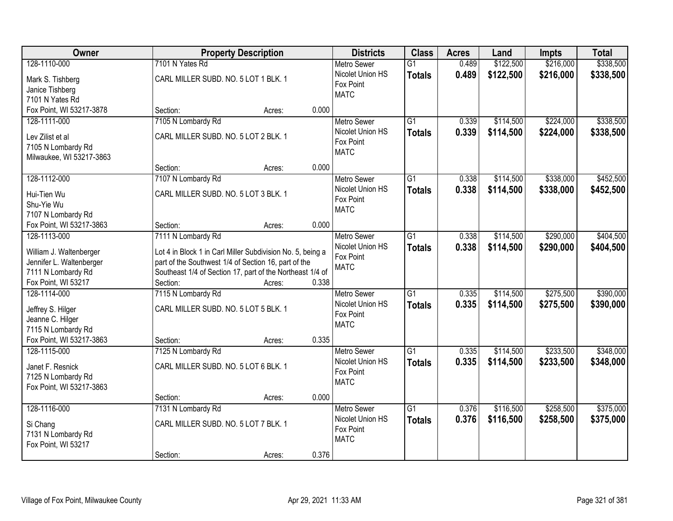| Owner                                          |                                      | <b>Property Description</b>                                                                                       |       | <b>Districts</b>                       | <b>Class</b>    | <b>Acres</b> | Land      | <b>Impts</b> | <b>Total</b> |
|------------------------------------------------|--------------------------------------|-------------------------------------------------------------------------------------------------------------------|-------|----------------------------------------|-----------------|--------------|-----------|--------------|--------------|
| 128-1110-000                                   | 7101 N Yates Rd                      |                                                                                                                   |       | <b>Metro Sewer</b>                     | $\overline{G1}$ | 0.489        | \$122,500 | \$216,000    | \$338,500    |
| Mark S. Tishberg                               | CARL MILLER SUBD. NO. 5 LOT 1 BLK. 1 |                                                                                                                   |       | Nicolet Union HS                       | <b>Totals</b>   | 0.489        | \$122,500 | \$216,000    | \$338,500    |
| Janice Tishberg                                |                                      |                                                                                                                   |       | Fox Point                              |                 |              |           |              |              |
| 7101 N Yates Rd                                |                                      |                                                                                                                   |       | <b>MATC</b>                            |                 |              |           |              |              |
| Fox Point, WI 53217-3878                       | Section:                             | Acres:                                                                                                            | 0.000 |                                        |                 |              |           |              |              |
| 128-1111-000                                   | 7105 N Lombardy Rd                   |                                                                                                                   |       | <b>Metro Sewer</b>                     | $\overline{G1}$ | 0.339        | \$114,500 | \$224,000    | \$338,500    |
| Lev Zilist et al                               | CARL MILLER SUBD. NO. 5 LOT 2 BLK. 1 |                                                                                                                   |       | Nicolet Union HS                       | <b>Totals</b>   | 0.339        | \$114,500 | \$224,000    | \$338,500    |
| 7105 N Lombardy Rd                             |                                      |                                                                                                                   |       | Fox Point                              |                 |              |           |              |              |
| Milwaukee, WI 53217-3863                       |                                      |                                                                                                                   |       | <b>MATC</b>                            |                 |              |           |              |              |
|                                                | Section:                             | Acres:                                                                                                            | 0.000 |                                        |                 |              |           |              |              |
| 128-1112-000                                   | 7107 N Lombardy Rd                   |                                                                                                                   |       | Metro Sewer                            | $\overline{G1}$ | 0.338        | \$114,500 | \$338,000    | \$452,500    |
| Hui-Tien Wu                                    | CARL MILLER SUBD. NO. 5 LOT 3 BLK. 1 |                                                                                                                   |       | Nicolet Union HS                       | <b>Totals</b>   | 0.338        | \$114,500 | \$338,000    | \$452,500    |
| Shu-Yie Wu                                     |                                      |                                                                                                                   |       | Fox Point                              |                 |              |           |              |              |
| 7107 N Lombardy Rd                             |                                      |                                                                                                                   |       | <b>MATC</b>                            |                 |              |           |              |              |
| Fox Point, WI 53217-3863                       | Section:                             | Acres:                                                                                                            | 0.000 |                                        |                 |              |           |              |              |
| 128-1113-000                                   | 7111 N Lombardy Rd                   |                                                                                                                   |       | <b>Metro Sewer</b>                     | $\overline{G1}$ | 0.338        | \$114,500 | \$290,000    | \$404,500    |
|                                                |                                      |                                                                                                                   |       | Nicolet Union HS                       | <b>Totals</b>   | 0.338        | \$114,500 | \$290,000    | \$404,500    |
| William J. Waltenberger                        |                                      | Lot 4 in Block 1 in Carl Miller Subdivision No. 5, being a                                                        |       | Fox Point                              |                 |              |           |              |              |
| Jennifer L. Waltenberger<br>7111 N Lombardy Rd |                                      | part of the Southwest 1/4 of Section 16, part of the<br>Southeast 1/4 of Section 17, part of the Northeast 1/4 of |       | <b>MATC</b>                            |                 |              |           |              |              |
| Fox Point, WI 53217                            | Section:                             | Acres:                                                                                                            | 0.338 |                                        |                 |              |           |              |              |
| 128-1114-000                                   | 7115 N Lombardy Rd                   |                                                                                                                   |       | Metro Sewer                            | $\overline{G1}$ | 0.335        | \$114,500 | \$275,500    | \$390,000    |
|                                                |                                      |                                                                                                                   |       | Nicolet Union HS                       | <b>Totals</b>   | 0.335        | \$114,500 | \$275,500    | \$390,000    |
| Jeffrey S. Hilger                              | CARL MILLER SUBD. NO. 5 LOT 5 BLK. 1 |                                                                                                                   |       | Fox Point                              |                 |              |           |              |              |
| Jeanne C. Hilger                               |                                      |                                                                                                                   |       | <b>MATC</b>                            |                 |              |           |              |              |
| 7115 N Lombardy Rd<br>Fox Point, WI 53217-3863 | Section:                             |                                                                                                                   | 0.335 |                                        |                 |              |           |              |              |
| 128-1115-000                                   | 7125 N Lombardy Rd                   | Acres:                                                                                                            |       | <b>Metro Sewer</b>                     | $\overline{G1}$ | 0.335        | \$114,500 | \$233,500    | \$348,000    |
|                                                |                                      |                                                                                                                   |       | Nicolet Union HS                       | <b>Totals</b>   | 0.335        | \$114,500 | \$233,500    | \$348,000    |
| Janet F. Resnick                               | CARL MILLER SUBD. NO. 5 LOT 6 BLK. 1 |                                                                                                                   |       | Fox Point                              |                 |              |           |              |              |
| 7125 N Lombardy Rd                             |                                      |                                                                                                                   |       | <b>MATC</b>                            |                 |              |           |              |              |
| Fox Point, WI 53217-3863                       |                                      |                                                                                                                   |       |                                        |                 |              |           |              |              |
|                                                | Section:                             | Acres:                                                                                                            | 0.000 |                                        |                 |              |           |              |              |
| 128-1116-000                                   | 7131 N Lombardy Rd                   |                                                                                                                   |       | <b>Metro Sewer</b><br>Nicolet Union HS | $\overline{G1}$ | 0.376        | \$116,500 | \$258,500    | \$375,000    |
| Si Chang                                       | CARL MILLER SUBD. NO. 5 LOT 7 BLK. 1 |                                                                                                                   |       | Fox Point                              | <b>Totals</b>   | 0.376        | \$116,500 | \$258,500    | \$375,000    |
| 7131 N Lombardy Rd                             |                                      |                                                                                                                   |       | <b>MATC</b>                            |                 |              |           |              |              |
| Fox Point, WI 53217                            |                                      |                                                                                                                   |       |                                        |                 |              |           |              |              |
|                                                | Section:                             | Acres:                                                                                                            | 0.376 |                                        |                 |              |           |              |              |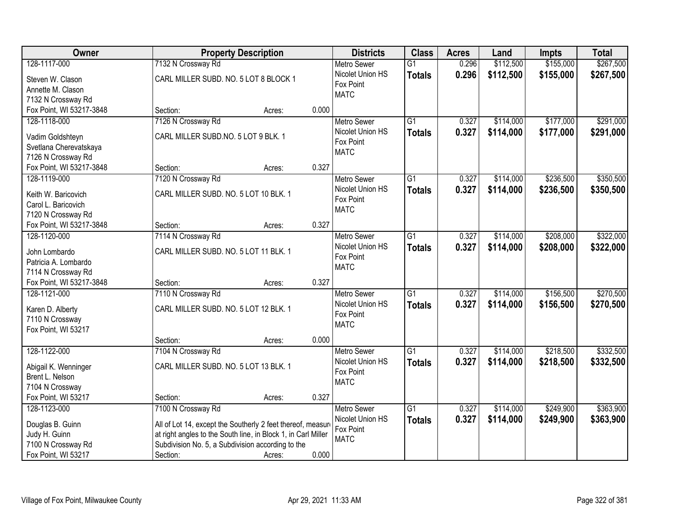| Owner                                          | <b>Property Description</b>                                   |                 | <b>Districts</b>         | <b>Class</b>    | <b>Acres</b> | Land      | Impts     | <b>Total</b> |
|------------------------------------------------|---------------------------------------------------------------|-----------------|--------------------------|-----------------|--------------|-----------|-----------|--------------|
| 128-1117-000                                   | 7132 N Crossway Rd                                            |                 | <b>Metro Sewer</b>       | $\overline{G1}$ | 0.296        | \$112,500 | \$155,000 | \$267,500    |
| Steven W. Clason                               | CARL MILLER SUBD. NO. 5 LOT 8 BLOCK 1                         |                 | Nicolet Union HS         | <b>Totals</b>   | 0.296        | \$112,500 | \$155,000 | \$267,500    |
| Annette M. Clason                              |                                                               |                 | Fox Point                |                 |              |           |           |              |
| 7132 N Crossway Rd                             |                                                               |                 | <b>MATC</b>              |                 |              |           |           |              |
| Fox Point, WI 53217-3848                       | Section:                                                      | 0.000<br>Acres: |                          |                 |              |           |           |              |
| 128-1118-000                                   | 7126 N Crossway Rd                                            |                 | <b>Metro Sewer</b>       | $\overline{G1}$ | 0.327        | \$114,000 | \$177,000 | \$291,000    |
|                                                | CARL MILLER SUBD.NO. 5 LOT 9 BLK. 1                           |                 | Nicolet Union HS         | <b>Totals</b>   | 0.327        | \$114,000 | \$177,000 | \$291,000    |
| Vadim Goldshteyn                               |                                                               |                 | Fox Point                |                 |              |           |           |              |
| Svetlana Cherevatskaya                         |                                                               |                 | <b>MATC</b>              |                 |              |           |           |              |
| 7126 N Crossway Rd                             |                                                               | 0.327           |                          |                 |              |           |           |              |
| Fox Point, WI 53217-3848                       | Section:                                                      | Acres:          |                          | $\overline{G1}$ |              |           |           |              |
| 128-1119-000                                   | 7120 N Crossway Rd                                            |                 | Metro Sewer              |                 | 0.327        | \$114,000 | \$236,500 | \$350,500    |
| Keith W. Baricovich                            | CARL MILLER SUBD. NO. 5 LOT 10 BLK. 1                         |                 | Nicolet Union HS         | <b>Totals</b>   | 0.327        | \$114,000 | \$236,500 | \$350,500    |
| Carol L. Baricovich                            |                                                               |                 | Fox Point<br><b>MATC</b> |                 |              |           |           |              |
| 7120 N Crossway Rd                             |                                                               |                 |                          |                 |              |           |           |              |
| Fox Point, WI 53217-3848                       | Section:                                                      | 0.327<br>Acres: |                          |                 |              |           |           |              |
| 128-1120-000                                   | 7114 N Crossway Rd                                            |                 | <b>Metro Sewer</b>       | $\overline{G1}$ | 0.327        | \$114,000 | \$208,000 | \$322,000    |
|                                                |                                                               |                 | Nicolet Union HS         | <b>Totals</b>   | 0.327        | \$114,000 | \$208,000 | \$322,000    |
| John Lombardo                                  | CARL MILLER SUBD. NO. 5 LOT 11 BLK. 1                         |                 | Fox Point                |                 |              |           |           |              |
| Patricia A. Lombardo                           |                                                               |                 | <b>MATC</b>              |                 |              |           |           |              |
| 7114 N Crossway Rd<br>Fox Point, WI 53217-3848 | Section:                                                      | 0.327           |                          |                 |              |           |           |              |
| 128-1121-000                                   |                                                               | Acres:          |                          | $\overline{G1}$ |              |           | \$156,500 |              |
|                                                | 7110 N Crossway Rd                                            |                 | <b>Metro Sewer</b>       |                 | 0.327        | \$114,000 |           | \$270,500    |
| Karen D. Alberty                               | CARL MILLER SUBD. NO. 5 LOT 12 BLK. 1                         |                 | Nicolet Union HS         | Totals          | 0.327        | \$114,000 | \$156,500 | \$270,500    |
| 7110 N Crossway                                |                                                               |                 | Fox Point<br><b>MATC</b> |                 |              |           |           |              |
| Fox Point, WI 53217                            |                                                               |                 |                          |                 |              |           |           |              |
|                                                | Section:                                                      | 0.000<br>Acres: |                          |                 |              |           |           |              |
| 128-1122-000                                   | 7104 N Crossway Rd                                            |                 | Metro Sewer              | $\overline{G1}$ | 0.327        | \$114,000 | \$218,500 | \$332,500    |
| Abigail K. Wenninger                           | CARL MILLER SUBD. NO. 5 LOT 13 BLK. 1                         |                 | Nicolet Union HS         | <b>Totals</b>   | 0.327        | \$114,000 | \$218,500 | \$332,500    |
| Brent L. Nelson                                |                                                               |                 | Fox Point                |                 |              |           |           |              |
| 7104 N Crossway                                |                                                               |                 | <b>MATC</b>              |                 |              |           |           |              |
| Fox Point, WI 53217                            | Section:                                                      | 0.327<br>Acres: |                          |                 |              |           |           |              |
| 128-1123-000                                   | 7100 N Crossway Rd                                            |                 | <b>Metro Sewer</b>       | $\overline{G1}$ | 0.327        | \$114,000 | \$249,900 | \$363,900    |
|                                                |                                                               |                 | Nicolet Union HS         | <b>Totals</b>   | 0.327        | \$114,000 | \$249,900 | \$363,900    |
| Douglas B. Guinn                               | All of Lot 14, except the Southerly 2 feet thereof, measure   |                 | Fox Point                |                 |              |           |           |              |
| Judy H. Guinn                                  | at right angles to the South line, in Block 1, in Carl Miller |                 | <b>MATC</b>              |                 |              |           |           |              |
| 7100 N Crossway Rd                             | Subdivision No. 5, a Subdivision according to the             |                 |                          |                 |              |           |           |              |
| Fox Point, WI 53217                            | Section:                                                      | 0.000<br>Acres: |                          |                 |              |           |           |              |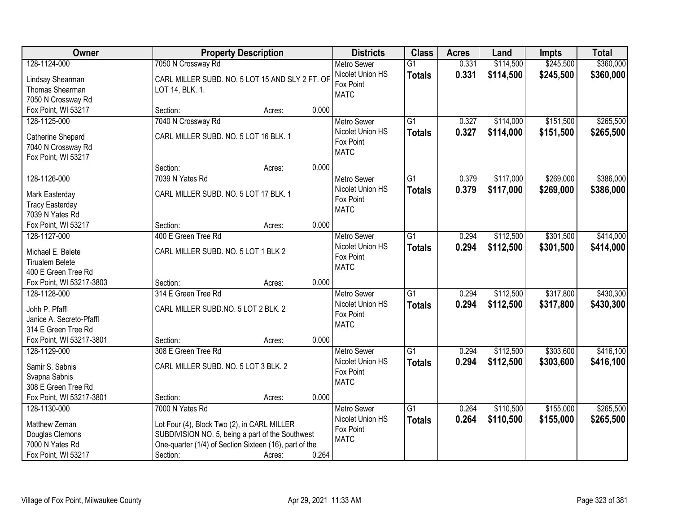| Owner                                   |                                                        | <b>Property Description</b> |       | <b>Districts</b>         | <b>Class</b>    | <b>Acres</b> | Land      | Impts     | <b>Total</b> |
|-----------------------------------------|--------------------------------------------------------|-----------------------------|-------|--------------------------|-----------------|--------------|-----------|-----------|--------------|
| 128-1124-000                            | 7050 N Crossway Rd                                     |                             |       | <b>Metro Sewer</b>       | $\overline{G1}$ | 0.331        | \$114,500 | \$245,500 | \$360,000    |
| Lindsay Shearman                        | CARL MILLER SUBD. NO. 5 LOT 15 AND SLY 2 FT. OF        |                             |       | Nicolet Union HS         | <b>Totals</b>   | 0.331        | \$114,500 | \$245,500 | \$360,000    |
| Thomas Shearman                         | LOT 14, BLK. 1.                                        |                             |       | Fox Point                |                 |              |           |           |              |
| 7050 N Crossway Rd                      |                                                        |                             |       | <b>MATC</b>              |                 |              |           |           |              |
| Fox Point, WI 53217                     | Section:                                               | Acres:                      | 0.000 |                          |                 |              |           |           |              |
| 128-1125-000                            | 7040 N Crossway Rd                                     |                             |       | <b>Metro Sewer</b>       | $\overline{G1}$ | 0.327        | \$114,000 | \$151,500 | \$265,500    |
|                                         | CARL MILLER SUBD. NO. 5 LOT 16 BLK. 1                  |                             |       | Nicolet Union HS         | <b>Totals</b>   | 0.327        | \$114,000 | \$151,500 | \$265,500    |
| Catherine Shepard<br>7040 N Crossway Rd |                                                        |                             |       | Fox Point                |                 |              |           |           |              |
| Fox Point, WI 53217                     |                                                        |                             |       | <b>MATC</b>              |                 |              |           |           |              |
|                                         | Section:                                               | Acres:                      | 0.000 |                          |                 |              |           |           |              |
| 128-1126-000                            | 7039 N Yates Rd                                        |                             |       | <b>Metro Sewer</b>       | G1              | 0.379        | \$117,000 | \$269,000 | \$386,000    |
|                                         |                                                        |                             |       | Nicolet Union HS         | <b>Totals</b>   | 0.379        | \$117,000 | \$269,000 | \$386,000    |
| Mark Easterday                          | CARL MILLER SUBD. NO. 5 LOT 17 BLK. 1                  |                             |       | Fox Point                |                 |              |           |           |              |
| <b>Tracy Easterday</b>                  |                                                        |                             |       | <b>MATC</b>              |                 |              |           |           |              |
| 7039 N Yates Rd                         |                                                        |                             |       |                          |                 |              |           |           |              |
| Fox Point, WI 53217                     | Section:                                               | Acres:                      | 0.000 |                          |                 |              |           |           |              |
| 128-1127-000                            | 400 E Green Tree Rd                                    |                             |       | <b>Metro Sewer</b>       | $\overline{G1}$ | 0.294        | \$112,500 | \$301,500 | \$414,000    |
| Michael E. Belete                       | CARL MILLER SUBD. NO. 5 LOT 1 BLK 2                    |                             |       | Nicolet Union HS         | <b>Totals</b>   | 0.294        | \$112,500 | \$301,500 | \$414,000    |
| <b>Tirualem Belete</b>                  |                                                        |                             |       | Fox Point<br><b>MATC</b> |                 |              |           |           |              |
| 400 E Green Tree Rd                     |                                                        |                             |       |                          |                 |              |           |           |              |
| Fox Point, WI 53217-3803                | Section:                                               | Acres:                      | 0.000 |                          |                 |              |           |           |              |
| 128-1128-000                            | 314 E Green Tree Rd                                    |                             |       | <b>Metro Sewer</b>       | $\overline{G1}$ | 0.294        | \$112,500 | \$317,800 | \$430,300    |
| Johh P. Pfaffl                          | CARL MILLER SUBD.NO. 5 LOT 2 BLK. 2                    |                             |       | Nicolet Union HS         | <b>Totals</b>   | 0.294        | \$112,500 | \$317,800 | \$430,300    |
| Janice A. Secreto-Pfaffl                |                                                        |                             |       | Fox Point                |                 |              |           |           |              |
| 314 E Green Tree Rd                     |                                                        |                             |       | <b>MATC</b>              |                 |              |           |           |              |
| Fox Point, WI 53217-3801                | Section:                                               | Acres:                      | 0.000 |                          |                 |              |           |           |              |
| 128-1129-000                            | 308 E Green Tree Rd                                    |                             |       | Metro Sewer              | $\overline{G1}$ | 0.294        | \$112,500 | \$303,600 | \$416,100    |
|                                         |                                                        |                             |       | Nicolet Union HS         | <b>Totals</b>   | 0.294        | \$112,500 | \$303,600 | \$416,100    |
| Samir S. Sabnis                         | CARL MILLER SUBD. NO. 5 LOT 3 BLK. 2                   |                             |       | Fox Point                |                 |              |           |           |              |
| Svapna Sabnis                           |                                                        |                             |       | <b>MATC</b>              |                 |              |           |           |              |
| 308 E Green Tree Rd                     |                                                        |                             |       |                          |                 |              |           |           |              |
| Fox Point, WI 53217-3801                | Section:                                               | Acres:                      | 0.000 |                          |                 |              |           |           |              |
| 128-1130-000                            | 7000 N Yates Rd                                        |                             |       | <b>Metro Sewer</b>       | $\overline{G1}$ | 0.264        | \$110,500 | \$155,000 | \$265,500    |
| Matthew Zeman                           | Lot Four (4), Block Two (2), in CARL MILLER            |                             |       | Nicolet Union HS         | <b>Totals</b>   | 0.264        | \$110,500 | \$155,000 | \$265,500    |
| Douglas Clemons                         | SUBDIVISION NO. 5, being a part of the Southwest       |                             |       | Fox Point                |                 |              |           |           |              |
| 7000 N Yates Rd                         | One-quarter (1/4) of Section Sixteen (16), part of the |                             |       | <b>MATC</b>              |                 |              |           |           |              |
| Fox Point, WI 53217                     | Section:                                               | Acres:                      | 0.264 |                          |                 |              |           |           |              |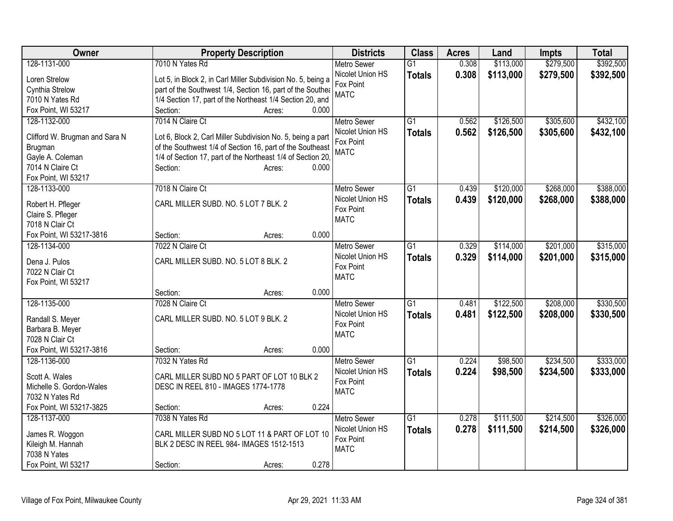| Owner                                | <b>Property Description</b>                                                      | <b>Districts</b>   | <b>Class</b>    | <b>Acres</b> | Land      | <b>Impts</b> | <b>Total</b> |
|--------------------------------------|----------------------------------------------------------------------------------|--------------------|-----------------|--------------|-----------|--------------|--------------|
| 128-1131-000                         | 7010 N Yates Rd                                                                  | <b>Metro Sewer</b> | $\overline{G1}$ | 0.308        | \$113,000 | \$279,500    | \$392,500    |
| Loren Strelow                        | Lot 5, in Block 2, in Carl Miller Subdivision No. 5, being a                     | Nicolet Union HS   | <b>Totals</b>   | 0.308        | \$113,000 | \$279,500    | \$392,500    |
| Cynthia Strelow                      | part of the Southwest 1/4, Section 16, part of the Southea                       | Fox Point          |                 |              |           |              |              |
| 7010 N Yates Rd                      | 1/4 Section 17, part of the Northeast 1/4 Section 20, and                        | <b>MATC</b>        |                 |              |           |              |              |
| Fox Point, WI 53217                  | 0.000<br>Section:<br>Acres:                                                      |                    |                 |              |           |              |              |
| 128-1132-000                         | 7014 N Claire Ct                                                                 | <b>Metro Sewer</b> | $\overline{G1}$ | 0.562        | \$126,500 | \$305,600    | \$432,100    |
|                                      |                                                                                  | Nicolet Union HS   | <b>Totals</b>   | 0.562        | \$126,500 | \$305,600    | \$432,100    |
| Clifford W. Brugman and Sara N       | Lot 6, Block 2, Carl Miller Subdivision No. 5, being a part                      | Fox Point          |                 |              |           |              |              |
| Brugman                              | of the Southwest 1/4 of Section 16, part of the Southeast                        | <b>MATC</b>        |                 |              |           |              |              |
| Gayle A. Coleman<br>7014 N Claire Ct | 1/4 of Section 17, part of the Northeast 1/4 of Section 20,<br>Section:<br>0.000 |                    |                 |              |           |              |              |
| Fox Point, WI 53217                  | Acres:                                                                           |                    |                 |              |           |              |              |
| 128-1133-000                         | 7018 N Claire Ct                                                                 | <b>Metro Sewer</b> | $\overline{G1}$ | 0.439        | \$120,000 | \$268,000    | \$388,000    |
|                                      |                                                                                  | Nicolet Union HS   |                 |              |           |              |              |
| Robert H. Pfleger                    | CARL MILLER SUBD. NO. 5 LOT 7 BLK. 2                                             | Fox Point          | <b>Totals</b>   | 0.439        | \$120,000 | \$268,000    | \$388,000    |
| Claire S. Pfleger                    |                                                                                  | <b>MATC</b>        |                 |              |           |              |              |
| 7018 N Clair Ct                      |                                                                                  |                    |                 |              |           |              |              |
| Fox Point, WI 53217-3816             | 0.000<br>Section:<br>Acres:                                                      |                    |                 |              |           |              |              |
| 128-1134-000                         | 7022 N Claire Ct                                                                 | <b>Metro Sewer</b> | $\overline{G1}$ | 0.329        | \$114,000 | \$201,000    | \$315,000    |
| Dena J. Pulos                        | CARL MILLER SUBD. NO. 5 LOT 8 BLK. 2                                             | Nicolet Union HS   | <b>Totals</b>   | 0.329        | \$114,000 | \$201,000    | \$315,000    |
| 7022 N Clair Ct                      |                                                                                  | Fox Point          |                 |              |           |              |              |
| Fox Point, WI 53217                  |                                                                                  | <b>MATC</b>        |                 |              |           |              |              |
|                                      | 0.000<br>Section:<br>Acres:                                                      |                    |                 |              |           |              |              |
| 128-1135-000                         | 7028 N Claire Ct                                                                 | <b>Metro Sewer</b> | $\overline{G1}$ | 0.481        | \$122,500 | \$208,000    | \$330,500    |
|                                      |                                                                                  | Nicolet Union HS   | <b>Totals</b>   | 0.481        | \$122,500 | \$208,000    | \$330,500    |
| Randall S. Meyer                     | CARL MILLER SUBD. NO. 5 LOT 9 BLK. 2                                             | Fox Point          |                 |              |           |              |              |
| Barbara B. Meyer                     |                                                                                  | <b>MATC</b>        |                 |              |           |              |              |
| 7028 N Clair Ct                      |                                                                                  |                    |                 |              |           |              |              |
| Fox Point, WI 53217-3816             | 0.000<br>Section:<br>Acres:                                                      |                    |                 |              |           |              |              |
| 128-1136-000                         | 7032 N Yates Rd                                                                  | <b>Metro Sewer</b> | $\overline{G1}$ | 0.224        | \$98,500  | \$234,500    | \$333,000    |
| Scott A. Wales                       | CARL MILLER SUBD NO 5 PART OF LOT 10 BLK 2                                       | Nicolet Union HS   | <b>Totals</b>   | 0.224        | \$98,500  | \$234,500    | \$333,000    |
| Michelle S. Gordon-Wales             | DESC IN REEL 810 - IMAGES 1774-1778                                              | Fox Point          |                 |              |           |              |              |
| 7032 N Yates Rd                      |                                                                                  | <b>MATC</b>        |                 |              |           |              |              |
| Fox Point, WI 53217-3825             | 0.224<br>Section:<br>Acres:                                                      |                    |                 |              |           |              |              |
| 128-1137-000                         | 7038 N Yates Rd                                                                  | Metro Sewer        | $\overline{G1}$ | 0.278        | \$111,500 | \$214,500    | \$326,000    |
|                                      |                                                                                  | Nicolet Union HS   | <b>Totals</b>   | 0.278        | \$111,500 | \$214,500    | \$326,000    |
| James R. Woggon                      | CARL MILLER SUBD NO 5 LOT 11 & PART OF LOT 10                                    | Fox Point          |                 |              |           |              |              |
| Kileigh M. Hannah                    | BLK 2 DESC IN REEL 984- IMAGES 1512-1513                                         | <b>MATC</b>        |                 |              |           |              |              |
| 7038 N Yates                         |                                                                                  |                    |                 |              |           |              |              |
| Fox Point, WI 53217                  | 0.278<br>Section:<br>Acres:                                                      |                    |                 |              |           |              |              |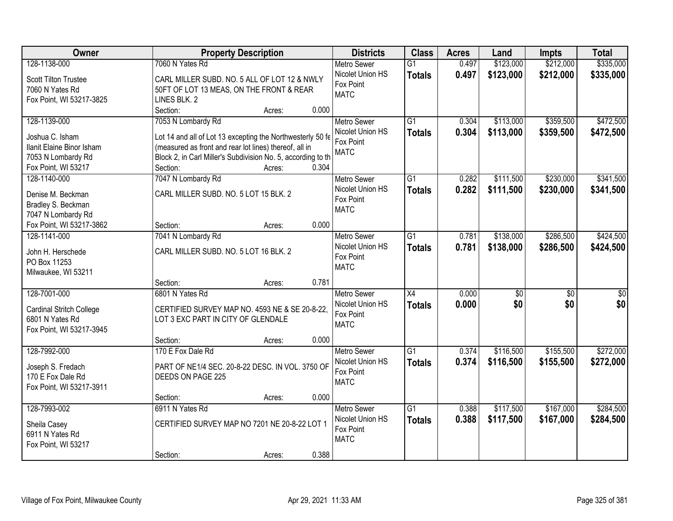| Owner                     | <b>Property Description</b>                                  |       | <b>Districts</b>   | <b>Class</b>    | <b>Acres</b> | Land      | <b>Impts</b>    | <b>Total</b>    |
|---------------------------|--------------------------------------------------------------|-------|--------------------|-----------------|--------------|-----------|-----------------|-----------------|
| 128-1138-000              | 7060 N Yates Rd                                              |       | <b>Metro Sewer</b> | $\overline{G1}$ | 0.497        | \$123,000 | \$212,000       | \$335,000       |
| Scott Tilton Trustee      | CARL MILLER SUBD. NO. 5 ALL OF LOT 12 & NWLY                 |       | Nicolet Union HS   | <b>Totals</b>   | 0.497        | \$123,000 | \$212,000       | \$335,000       |
| 7060 N Yates Rd           | 50FT OF LOT 13 MEAS, ON THE FRONT & REAR                     |       | Fox Point          |                 |              |           |                 |                 |
| Fox Point, WI 53217-3825  | LINES BLK. 2                                                 |       | <b>MATC</b>        |                 |              |           |                 |                 |
|                           | Section:<br>Acres:                                           | 0.000 |                    |                 |              |           |                 |                 |
| 128-1139-000              | 7053 N Lombardy Rd                                           |       | <b>Metro Sewer</b> | $\overline{G1}$ | 0.304        | \$113,000 | \$359,500       | \$472,500       |
|                           |                                                              |       | Nicolet Union HS   | <b>Totals</b>   | 0.304        | \$113,000 | \$359,500       | \$472,500       |
| Joshua C. Isham           | Lot 14 and all of Lot 13 excepting the Northwesterly 50 fe   |       | Fox Point          |                 |              |           |                 |                 |
| Ilanit Elaine Binor Isham | (measured as front and rear lot lines) thereof, all in       |       | <b>MATC</b>        |                 |              |           |                 |                 |
| 7053 N Lombardy Rd        | Block 2, in Carl Miller's Subdivision No. 5, according to th |       |                    |                 |              |           |                 |                 |
| Fox Point, WI 53217       | Section:<br>Acres:                                           | 0.304 |                    |                 |              |           |                 |                 |
| 128-1140-000              | 7047 N Lombardy Rd                                           |       | Metro Sewer        | $\overline{G1}$ | 0.282        | \$111,500 | \$230,000       | \$341,500       |
| Denise M. Beckman         | CARL MILLER SUBD. NO. 5 LOT 15 BLK. 2                        |       | Nicolet Union HS   | <b>Totals</b>   | 0.282        | \$111,500 | \$230,000       | \$341,500       |
| Bradley S. Beckman        |                                                              |       | Fox Point          |                 |              |           |                 |                 |
| 7047 N Lombardy Rd        |                                                              |       | <b>MATC</b>        |                 |              |           |                 |                 |
| Fox Point, WI 53217-3862  | Section:<br>Acres:                                           | 0.000 |                    |                 |              |           |                 |                 |
| 128-1141-000              | 7041 N Lombardy Rd                                           |       | <b>Metro Sewer</b> | $\overline{G1}$ | 0.781        | \$138,000 | \$286,500       | \$424,500       |
|                           |                                                              |       | Nicolet Union HS   | <b>Totals</b>   | 0.781        | \$138,000 | \$286,500       | \$424,500       |
| John H. Herschede         | CARL MILLER SUBD. NO. 5 LOT 16 BLK. 2                        |       | Fox Point          |                 |              |           |                 |                 |
| PO Box 11253              |                                                              |       | <b>MATC</b>        |                 |              |           |                 |                 |
| Milwaukee, WI 53211       |                                                              |       |                    |                 |              |           |                 |                 |
|                           | Section:<br>Acres:                                           | 0.781 |                    |                 |              |           |                 |                 |
| 128-7001-000              | 6801 N Yates Rd                                              |       | <b>Metro Sewer</b> | X4              | 0.000        | \$0       | $\overline{50}$ | $\overline{50}$ |
| Cardinal Stritch College  | CERTIFIED SURVEY MAP NO. 4593 NE & SE 20-8-22,               |       | Nicolet Union HS   | <b>Totals</b>   | 0.000        | \$0       | \$0             | \$0             |
| 6801 N Yates Rd           | LOT 3 EXC PART IN CITY OF GLENDALE                           |       | Fox Point          |                 |              |           |                 |                 |
| Fox Point, WI 53217-3945  |                                                              |       | <b>MATC</b>        |                 |              |           |                 |                 |
|                           | Section:<br>Acres:                                           | 0.000 |                    |                 |              |           |                 |                 |
| 128-7992-000              | 170 E Fox Dale Rd                                            |       | <b>Metro Sewer</b> | $\overline{G1}$ | 0.374        | \$116,500 | \$155,500       | \$272,000       |
|                           |                                                              |       | Nicolet Union HS   | <b>Totals</b>   | 0.374        | \$116,500 | \$155,500       | \$272,000       |
| Joseph S. Fredach         | PART OF NE1/4 SEC. 20-8-22 DESC. IN VOL. 3750 OF             |       | Fox Point          |                 |              |           |                 |                 |
| 170 E Fox Dale Rd         | DEEDS ON PAGE 225                                            |       | <b>MATC</b>        |                 |              |           |                 |                 |
| Fox Point, WI 53217-3911  |                                                              |       |                    |                 |              |           |                 |                 |
|                           | Section:<br>Acres:                                           | 0.000 |                    |                 |              |           |                 |                 |
| 128-7993-002              | 6911 N Yates Rd                                              |       | <b>Metro Sewer</b> | $\overline{G1}$ | 0.388        | \$117,500 | \$167,000       | \$284,500       |
| Sheila Casey              | CERTIFIED SURVEY MAP NO 7201 NE 20-8-22 LOT 1                |       | Nicolet Union HS   | <b>Totals</b>   | 0.388        | \$117,500 | \$167,000       | \$284,500       |
| 6911 N Yates Rd           |                                                              |       | Fox Point          |                 |              |           |                 |                 |
| Fox Point, WI 53217       |                                                              |       | <b>MATC</b>        |                 |              |           |                 |                 |
|                           | Section:<br>Acres:                                           | 0.388 |                    |                 |              |           |                 |                 |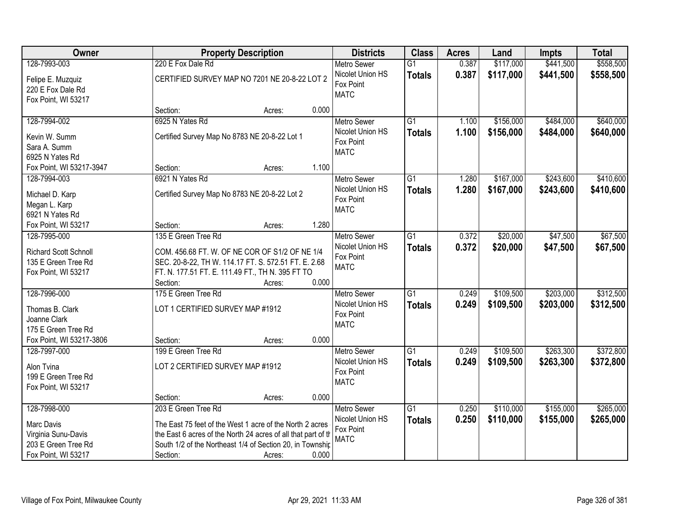| Owner                                                                           | <b>Property Description</b>                                                                                                                                                                                           | <b>Districts</b>                                                   | <b>Class</b>                     | <b>Acres</b>   | Land                   | <b>Impts</b>           | <b>Total</b>           |
|---------------------------------------------------------------------------------|-----------------------------------------------------------------------------------------------------------------------------------------------------------------------------------------------------------------------|--------------------------------------------------------------------|----------------------------------|----------------|------------------------|------------------------|------------------------|
| 128-7993-003                                                                    | 220 E Fox Dale Rd                                                                                                                                                                                                     | <b>Metro Sewer</b>                                                 | $\overline{G1}$                  | 0.387          | \$117,000              | \$441,500              | \$558,500              |
| Felipe E. Muzquiz<br>220 E Fox Dale Rd<br>Fox Point, WI 53217                   | CERTIFIED SURVEY MAP NO 7201 NE 20-8-22 LOT 2                                                                                                                                                                         | Nicolet Union HS<br>Fox Point<br><b>MATC</b>                       | <b>Totals</b>                    | 0.387          | \$117,000              | \$441,500              | \$558,500              |
|                                                                                 | 0.000<br>Section:<br>Acres:                                                                                                                                                                                           |                                                                    |                                  |                |                        |                        |                        |
| 128-7994-002<br>Kevin W. Summ                                                   | 6925 N Yates Rd<br>Certified Survey Map No 8783 NE 20-8-22 Lot 1                                                                                                                                                      | <b>Metro Sewer</b><br>Nicolet Union HS<br>Fox Point                | $\overline{G1}$<br><b>Totals</b> | 1.100<br>1.100 | \$156,000<br>\$156,000 | \$484,000<br>\$484,000 | \$640,000<br>\$640,000 |
| Sara A. Summ<br>6925 N Yates Rd                                                 |                                                                                                                                                                                                                       | <b>MATC</b>                                                        |                                  |                |                        |                        |                        |
| Fox Point, WI 53217-3947                                                        | 1.100<br>Section:<br>Acres:                                                                                                                                                                                           |                                                                    |                                  |                |                        |                        |                        |
| 128-7994-003                                                                    | 6921 N Yates Rd                                                                                                                                                                                                       | <b>Metro Sewer</b>                                                 | $\overline{G1}$                  | 1.280          | \$167,000              | \$243,600              | \$410,600              |
| Michael D. Karp<br>Megan L. Karp                                                | Certified Survey Map No 8783 NE 20-8-22 Lot 2                                                                                                                                                                         | Nicolet Union HS<br>Fox Point<br><b>MATC</b>                       | <b>Totals</b>                    | 1.280          | \$167,000              | \$243,600              | \$410,600              |
| 6921 N Yates Rd                                                                 |                                                                                                                                                                                                                       |                                                                    |                                  |                |                        |                        |                        |
| Fox Point, WI 53217<br>128-7995-000                                             | 1.280<br>Section:<br>Acres:<br>135 E Green Tree Rd                                                                                                                                                                    |                                                                    |                                  |                |                        |                        | \$67,500               |
| <b>Richard Scott Schnoll</b><br>135 E Green Tree Rd<br>Fox Point, WI 53217      | COM. 456.68 FT. W. OF NE COR OF S1/2 OF NE 1/4<br>SEC. 20-8-22, TH W. 114.17 FT. S. 572.51 FT. E. 2.68<br>FT. N. 177.51 FT. E. 111.49 FT., TH N. 395 FT TO                                                            | <b>Metro Sewer</b><br>Nicolet Union HS<br>Fox Point<br><b>MATC</b> | $\overline{G1}$<br><b>Totals</b> | 0.372<br>0.372 | \$20,000<br>\$20,000   | \$47,500<br>\$47,500   | \$67,500               |
|                                                                                 | Section:<br>0.000<br>Acres:                                                                                                                                                                                           |                                                                    |                                  |                |                        |                        |                        |
| 128-7996-000<br>Thomas B. Clark<br>Joanne Clark<br>175 E Green Tree Rd          | 175 E Green Tree Rd<br>LOT 1 CERTIFIED SURVEY MAP #1912                                                                                                                                                               | Metro Sewer<br>Nicolet Union HS<br>Fox Point<br><b>MATC</b>        | $\overline{G1}$<br><b>Totals</b> | 0.249<br>0.249 | \$109,500<br>\$109,500 | \$203,000<br>\$203,000 | \$312,500<br>\$312,500 |
| Fox Point, WI 53217-3806                                                        | 0.000<br>Section:<br>Acres:                                                                                                                                                                                           |                                                                    |                                  |                |                        |                        |                        |
| 128-7997-000<br>Alon Tvina<br>199 E Green Tree Rd<br>Fox Point, WI 53217        | 199 E Green Tree Rd<br>LOT 2 CERTIFIED SURVEY MAP #1912                                                                                                                                                               | Metro Sewer<br>Nicolet Union HS<br>Fox Point<br><b>MATC</b>        | $\overline{G1}$<br><b>Totals</b> | 0.249<br>0.249 | \$109,500<br>\$109,500 | \$263,300<br>\$263,300 | \$372,800<br>\$372,800 |
|                                                                                 | 0.000<br>Section:<br>Acres:                                                                                                                                                                                           |                                                                    |                                  |                |                        |                        |                        |
| 128-7998-000                                                                    | 203 E Green Tree Rd                                                                                                                                                                                                   | <b>Metro Sewer</b><br>Nicolet Union HS                             | $\overline{G1}$                  | 0.250          | \$110,000              | \$155,000              | \$265,000              |
| Marc Davis<br>Virginia Sunu-Davis<br>203 E Green Tree Rd<br>Fox Point, WI 53217 | The East 75 feet of the West 1 acre of the North 2 acres<br>the East 6 acres of the North 24 acres of all that part of th<br>South 1/2 of the Northeast 1/4 of Section 20, in Township<br>0.000<br>Section:<br>Acres: | Fox Point<br><b>MATC</b>                                           | <b>Totals</b>                    | 0.250          | \$110,000              | \$155,000              | \$265,000              |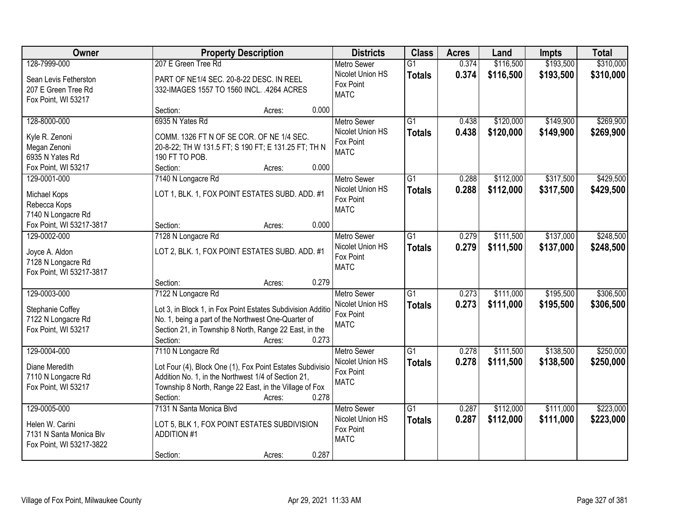| Owner                                     |                                                                                                                  | <b>Property Description</b> |       | <b>Districts</b>   | <b>Class</b>    | <b>Acres</b> | Land      | <b>Impts</b> | <b>Total</b> |
|-------------------------------------------|------------------------------------------------------------------------------------------------------------------|-----------------------------|-------|--------------------|-----------------|--------------|-----------|--------------|--------------|
| 128-7999-000                              | 207 E Green Tree Rd                                                                                              |                             |       | <b>Metro Sewer</b> | $\overline{G1}$ | 0.374        | \$116,500 | \$193,500    | \$310,000    |
| Sean Levis Fetherston                     | PART OF NE1/4 SEC. 20-8-22 DESC. IN REEL                                                                         |                             |       | Nicolet Union HS   | <b>Totals</b>   | 0.374        | \$116,500 | \$193,500    | \$310,000    |
| 207 E Green Tree Rd                       | 332-IMAGES 1557 TO 1560 INCL. .4264 ACRES                                                                        |                             |       | Fox Point          |                 |              |           |              |              |
| Fox Point, WI 53217                       |                                                                                                                  |                             |       | <b>MATC</b>        |                 |              |           |              |              |
|                                           | Section:                                                                                                         | Acres:                      | 0.000 |                    |                 |              |           |              |              |
| 128-8000-000                              | 6935 N Yates Rd                                                                                                  |                             |       | <b>Metro Sewer</b> | $\overline{G1}$ | 0.438        | \$120,000 | \$149,900    | \$269,900    |
| Kyle R. Zenoni                            | COMM. 1326 FT N OF SE COR. OF NE 1/4 SEC.                                                                        |                             |       | Nicolet Union HS   | <b>Totals</b>   | 0.438        | \$120,000 | \$149,900    | \$269,900    |
| Megan Zenoni                              | 20-8-22; TH W 131.5 FT; S 190 FT; E 131.25 FT; TH N                                                              |                             |       | Fox Point          |                 |              |           |              |              |
| 6935 N Yates Rd                           | 190 FT TO POB.                                                                                                   |                             |       | <b>MATC</b>        |                 |              |           |              |              |
| Fox Point, WI 53217                       | Section:                                                                                                         | Acres:                      | 0.000 |                    |                 |              |           |              |              |
| 129-0001-000                              | 7140 N Longacre Rd                                                                                               |                             |       | Metro Sewer        | G1              | 0.288        | \$112,000 | \$317,500    | \$429,500    |
| Michael Kops                              | LOT 1, BLK. 1, FOX POINT ESTATES SUBD. ADD. #1                                                                   |                             |       | Nicolet Union HS   | <b>Totals</b>   | 0.288        | \$112,000 | \$317,500    | \$429,500    |
| Rebecca Kops                              |                                                                                                                  |                             |       | Fox Point          |                 |              |           |              |              |
| 7140 N Longacre Rd                        |                                                                                                                  |                             |       | <b>MATC</b>        |                 |              |           |              |              |
| Fox Point, WI 53217-3817                  | Section:                                                                                                         | Acres:                      | 0.000 |                    |                 |              |           |              |              |
| 129-0002-000                              | 7128 N Longacre Rd                                                                                               |                             |       | <b>Metro Sewer</b> | G1              | 0.279        | \$111,500 | \$137,000    | \$248,500    |
| Joyce A. Aldon                            | LOT 2, BLK. 1, FOX POINT ESTATES SUBD. ADD. #1                                                                   |                             |       | Nicolet Union HS   | <b>Totals</b>   | 0.279        | \$111,500 | \$137,000    | \$248,500    |
| 7128 N Longacre Rd                        |                                                                                                                  |                             |       | Fox Point          |                 |              |           |              |              |
| Fox Point, WI 53217-3817                  |                                                                                                                  |                             |       | <b>MATC</b>        |                 |              |           |              |              |
|                                           | Section:                                                                                                         | Acres:                      | 0.279 |                    |                 |              |           |              |              |
| 129-0003-000                              | 7122 N Longacre Rd                                                                                               |                             |       | <b>Metro Sewer</b> | $\overline{G1}$ | 0.273        | \$111,000 | \$195,500    | \$306,500    |
|                                           | Lot 3, in Block 1, in Fox Point Estates Subdivision Additio                                                      |                             |       | Nicolet Union HS   | <b>Totals</b>   | 0.273        | \$111,000 | \$195,500    | \$306,500    |
| Stephanie Coffey<br>7122 N Longacre Rd    | No. 1, being a part of the Northwest One-Quarter of                                                              |                             |       | Fox Point          |                 |              |           |              |              |
| Fox Point, WI 53217                       | Section 21, in Township 8 North, Range 22 East, in the                                                           |                             |       | <b>MATC</b>        |                 |              |           |              |              |
|                                           | Section:                                                                                                         | Acres:                      | 0.273 |                    |                 |              |           |              |              |
| 129-0004-000                              | 7110 N Longacre Rd                                                                                               |                             |       | <b>Metro Sewer</b> | $\overline{G1}$ | 0.278        | \$111,500 | \$138,500    | \$250,000    |
|                                           |                                                                                                                  |                             |       | Nicolet Union HS   | <b>Totals</b>   | 0.278        | \$111,500 | \$138,500    | \$250,000    |
| Diane Meredith                            | Lot Four (4), Block One (1), Fox Point Estates Subdivisio<br>Addition No. 1, in the Northwest 1/4 of Section 21, |                             |       | Fox Point          |                 |              |           |              |              |
| 7110 N Longacre Rd<br>Fox Point, WI 53217 | Township 8 North, Range 22 East, in the Village of Fox                                                           |                             |       | <b>MATC</b>        |                 |              |           |              |              |
|                                           | Section:                                                                                                         | Acres:                      | 0.278 |                    |                 |              |           |              |              |
| 129-0005-000                              | 7131 N Santa Monica Blvd                                                                                         |                             |       | <b>Metro Sewer</b> | $\overline{G1}$ | 0.287        | \$112,000 | \$111,000    | \$223,000    |
|                                           |                                                                                                                  |                             |       | Nicolet Union HS   | <b>Totals</b>   | 0.287        | \$112,000 | \$111,000    | \$223,000    |
| Helen W. Carini                           | LOT 5, BLK 1, FOX POINT ESTATES SUBDIVISION                                                                      |                             |       | Fox Point          |                 |              |           |              |              |
| 7131 N Santa Monica Blv                   | <b>ADDITION #1</b>                                                                                               |                             |       | <b>MATC</b>        |                 |              |           |              |              |
| Fox Point, WI 53217-3822                  | Section:                                                                                                         | Acres:                      | 0.287 |                    |                 |              |           |              |              |
|                                           |                                                                                                                  |                             |       |                    |                 |              |           |              |              |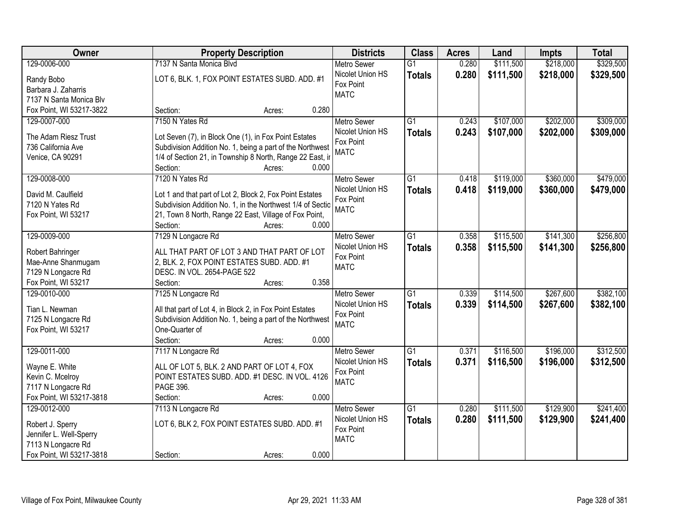| Owner                    | <b>Property Description</b>                                | <b>Districts</b>   | <b>Class</b>    | <b>Acres</b> | Land      | <b>Impts</b> | <b>Total</b> |
|--------------------------|------------------------------------------------------------|--------------------|-----------------|--------------|-----------|--------------|--------------|
| 129-0006-000             | 7137 N Santa Monica Blvd                                   | <b>Metro Sewer</b> | $\overline{G1}$ | 0.280        | \$111,500 | \$218,000    | \$329,500    |
| Randy Bobo               | LOT 6, BLK. 1, FOX POINT ESTATES SUBD. ADD. #1             | Nicolet Union HS   | <b>Totals</b>   | 0.280        | \$111,500 | \$218,000    | \$329,500    |
| Barbara J. Zaharris      |                                                            | Fox Point          |                 |              |           |              |              |
| 7137 N Santa Monica Blv  |                                                            | <b>MATC</b>        |                 |              |           |              |              |
| Fox Point, WI 53217-3822 | 0.280<br>Section:<br>Acres:                                |                    |                 |              |           |              |              |
| 129-0007-000             | 7150 N Yates Rd                                            | <b>Metro Sewer</b> | $\overline{G1}$ | 0.243        | \$107,000 | \$202,000    | \$309,000    |
|                          |                                                            | Nicolet Union HS   | <b>Totals</b>   | 0.243        | \$107,000 | \$202,000    | \$309,000    |
| The Adam Riesz Trust     | Lot Seven (7), in Block One (1), in Fox Point Estates      | Fox Point          |                 |              |           |              |              |
| 736 California Ave       | Subdivision Addition No. 1, being a part of the Northwest  | <b>MATC</b>        |                 |              |           |              |              |
| Venice, CA 90291         | 1/4 of Section 21, in Township 8 North, Range 22 East, ir  |                    |                 |              |           |              |              |
|                          | 0.000<br>Section:<br>Acres:                                |                    |                 |              |           |              |              |
| 129-0008-000             | 7120 N Yates Rd                                            | <b>Metro Sewer</b> | G1              | 0.418        | \$119,000 | \$360,000    | \$479,000    |
| David M. Caulfield       | Lot 1 and that part of Lot 2, Block 2, Fox Point Estates   | Nicolet Union HS   | <b>Totals</b>   | 0.418        | \$119,000 | \$360,000    | \$479,000    |
| 7120 N Yates Rd          | Subdivision Addition No. 1, in the Northwest 1/4 of Sectio | Fox Point          |                 |              |           |              |              |
| Fox Point, WI 53217      | 21, Town 8 North, Range 22 East, Village of Fox Point,     | <b>MATC</b>        |                 |              |           |              |              |
|                          | Section:<br>0.000<br>Acres:                                |                    |                 |              |           |              |              |
| 129-0009-000             | 7129 N Longacre Rd                                         | <b>Metro Sewer</b> | G1              | 0.358        | \$115,500 | \$141,300    | \$256,800    |
|                          |                                                            | Nicolet Union HS   | <b>Totals</b>   | 0.358        | \$115,500 | \$141,300    | \$256,800    |
| Robert Bahringer         | ALL THAT PART OF LOT 3 AND THAT PART OF LOT                | Fox Point          |                 |              |           |              |              |
| Mae-Anne Shanmugam       | 2, BLK. 2, FOX POINT ESTATES SUBD. ADD. #1                 | <b>MATC</b>        |                 |              |           |              |              |
| 7129 N Longacre Rd       | DESC. IN VOL. 2654-PAGE 522                                |                    |                 |              |           |              |              |
| Fox Point, WI 53217      | 0.358<br>Section:<br>Acres:                                |                    |                 |              |           |              |              |
| 129-0010-000             | 7125 N Longacre Rd                                         | <b>Metro Sewer</b> | $\overline{G1}$ | 0.339        | \$114,500 | \$267,600    | \$382,100    |
| Tian L. Newman           | All that part of Lot 4, in Block 2, in Fox Point Estates   | Nicolet Union HS   | <b>Totals</b>   | 0.339        | \$114,500 | \$267,600    | \$382,100    |
| 7125 N Longacre Rd       | Subdivision Addition No. 1, being a part of the Northwest  | Fox Point          |                 |              |           |              |              |
| Fox Point, WI 53217      | One-Quarter of                                             | <b>MATC</b>        |                 |              |           |              |              |
|                          | Section:<br>0.000<br>Acres:                                |                    |                 |              |           |              |              |
| 129-0011-000             | 7117 N Longacre Rd                                         | <b>Metro Sewer</b> | $\overline{G1}$ | 0.371        | \$116,500 | \$196,000    | \$312,500    |
| Wayne E. White           | ALL OF LOT 5, BLK. 2 AND PART OF LOT 4, FOX                | Nicolet Union HS   | <b>Totals</b>   | 0.371        | \$116,500 | \$196,000    | \$312,500    |
| Kevin C. Mcelroy         | POINT ESTATES SUBD. ADD. #1 DESC. IN VOL. 4126             | Fox Point          |                 |              |           |              |              |
| 7117 N Longacre Rd       | PAGE 396.                                                  | <b>MATC</b>        |                 |              |           |              |              |
| Fox Point, WI 53217-3818 | 0.000<br>Section:<br>Acres:                                |                    |                 |              |           |              |              |
| 129-0012-000             | 7113 N Longacre Rd                                         | <b>Metro Sewer</b> | $\overline{G1}$ | 0.280        | \$111,500 | \$129,900    | \$241,400    |
|                          |                                                            | Nicolet Union HS   | <b>Totals</b>   | 0.280        | \$111,500 | \$129,900    | \$241,400    |
| Robert J. Sperry         | LOT 6, BLK 2, FOX POINT ESTATES SUBD. ADD. #1              | Fox Point          |                 |              |           |              |              |
| Jennifer L. Well-Sperry  |                                                            | <b>MATC</b>        |                 |              |           |              |              |
| 7113 N Longacre Rd       |                                                            |                    |                 |              |           |              |              |
| Fox Point, WI 53217-3818 | 0.000<br>Section:<br>Acres:                                |                    |                 |              |           |              |              |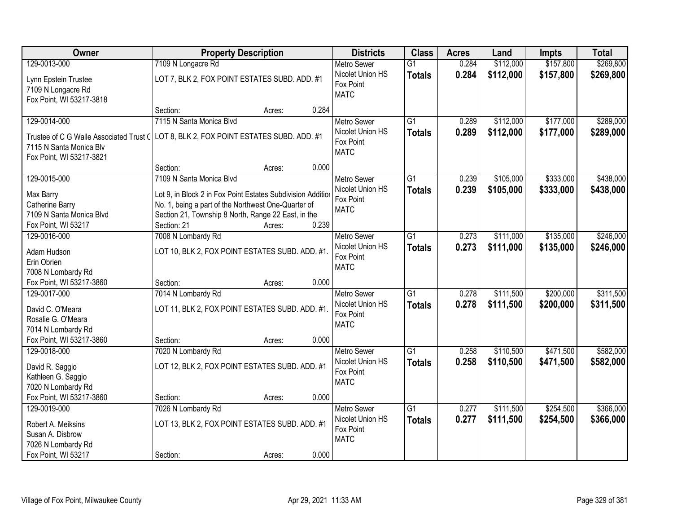| Owner                                       | <b>Property Description</b>                                                                                | <b>Districts</b>   | <b>Class</b>    | <b>Acres</b> | Land      | <b>Impts</b> | <b>Total</b> |
|---------------------------------------------|------------------------------------------------------------------------------------------------------------|--------------------|-----------------|--------------|-----------|--------------|--------------|
| 129-0013-000                                | 7109 N Longacre Rd                                                                                         | <b>Metro Sewer</b> | $\overline{G1}$ | 0.284        | \$112,000 | \$157,800    | \$269,800    |
| Lynn Epstein Trustee                        | LOT 7, BLK 2, FOX POINT ESTATES SUBD. ADD. #1                                                              | Nicolet Union HS   | <b>Totals</b>   | 0.284        | \$112,000 | \$157,800    | \$269,800    |
| 7109 N Longacre Rd                          |                                                                                                            | Fox Point          |                 |              |           |              |              |
| Fox Point, WI 53217-3818                    |                                                                                                            | <b>MATC</b>        |                 |              |           |              |              |
|                                             | 0.284<br>Section:<br>Acres:                                                                                |                    |                 |              |           |              |              |
| 129-0014-000                                | 7115 N Santa Monica Blvd                                                                                   | <b>Metro Sewer</b> | $\overline{G1}$ | 0.289        | \$112,000 | \$177,000    | \$289,000    |
|                                             | Trustee of C G Walle Associated Trust C LOT 8, BLK 2, FOX POINT ESTATES SUBD. ADD. #1                      | Nicolet Union HS   | <b>Totals</b>   | 0.289        | \$112,000 | \$177,000    | \$289,000    |
| 7115 N Santa Monica Blv                     |                                                                                                            | Fox Point          |                 |              |           |              |              |
| Fox Point, WI 53217-3821                    |                                                                                                            | <b>MATC</b>        |                 |              |           |              |              |
|                                             | 0.000<br>Section:<br>Acres:                                                                                |                    |                 |              |           |              |              |
| 129-0015-000                                | 7109 N Santa Monica Blvd                                                                                   | <b>Metro Sewer</b> | G1              | 0.239        | \$105,000 | \$333,000    | \$438,000    |
|                                             |                                                                                                            | Nicolet Union HS   | <b>Totals</b>   | 0.239        | \$105,000 | \$333,000    | \$438,000    |
| Max Barry                                   | Lot 9, in Block 2 in Fox Point Estates Subdivision Addition                                                | Fox Point          |                 |              |           |              |              |
| Catherine Barry<br>7109 N Santa Monica Blvd | No. 1, being a part of the Northwest One-Quarter of<br>Section 21, Township 8 North, Range 22 East, in the | <b>MATC</b>        |                 |              |           |              |              |
| Fox Point, WI 53217                         | 0.239<br>Section: 21<br>Acres:                                                                             |                    |                 |              |           |              |              |
| 129-0016-000                                | 7008 N Lombardy Rd                                                                                         | <b>Metro Sewer</b> | G1              | 0.273        | \$111,000 | \$135,000    | \$246,000    |
|                                             |                                                                                                            | Nicolet Union HS   | <b>Totals</b>   | 0.273        | \$111,000 | \$135,000    | \$246,000    |
| Adam Hudson                                 | LOT 10, BLK 2, FOX POINT ESTATES SUBD. ADD. #1.                                                            | Fox Point          |                 |              |           |              |              |
| Erin Obrien                                 |                                                                                                            | <b>MATC</b>        |                 |              |           |              |              |
| 7008 N Lombardy Rd                          |                                                                                                            |                    |                 |              |           |              |              |
| Fox Point, WI 53217-3860                    | 0.000<br>Section:<br>Acres:                                                                                |                    |                 |              |           |              |              |
| 129-0017-000                                | 7014 N Lombardy Rd                                                                                         | <b>Metro Sewer</b> | $\overline{G1}$ | 0.278        | \$111,500 | \$200,000    | \$311,500    |
| David C. O'Meara                            | LOT 11, BLK 2, FOX POINT ESTATES SUBD. ADD. #1.                                                            | Nicolet Union HS   | <b>Totals</b>   | 0.278        | \$111,500 | \$200,000    | \$311,500    |
| Rosalie G. O'Meara                          |                                                                                                            | Fox Point          |                 |              |           |              |              |
| 7014 N Lombardy Rd                          |                                                                                                            | <b>MATC</b>        |                 |              |           |              |              |
| Fox Point, WI 53217-3860                    | 0.000<br>Section:<br>Acres:                                                                                |                    |                 |              |           |              |              |
| 129-0018-000                                | 7020 N Lombardy Rd                                                                                         | <b>Metro Sewer</b> | $\overline{G1}$ | 0.258        | \$110,500 | \$471,500    | \$582,000    |
| David R. Saggio                             | LOT 12, BLK 2, FOX POINT ESTATES SUBD. ADD. #1                                                             | Nicolet Union HS   | <b>Totals</b>   | 0.258        | \$110,500 | \$471,500    | \$582,000    |
| Kathleen G. Saggio                          |                                                                                                            | Fox Point          |                 |              |           |              |              |
| 7020 N Lombardy Rd                          |                                                                                                            | <b>MATC</b>        |                 |              |           |              |              |
| Fox Point, WI 53217-3860                    | 0.000<br>Section:<br>Acres:                                                                                |                    |                 |              |           |              |              |
| 129-0019-000                                | 7026 N Lombardy Rd                                                                                         | <b>Metro Sewer</b> | $\overline{G1}$ | 0.277        | \$111,500 | \$254,500    | \$366,000    |
|                                             |                                                                                                            | Nicolet Union HS   | <b>Totals</b>   | 0.277        | \$111,500 | \$254,500    | \$366,000    |
| Robert A. Meiksins                          | LOT 13, BLK 2, FOX POINT ESTATES SUBD. ADD. #1                                                             | Fox Point          |                 |              |           |              |              |
| Susan A. Disbrow                            |                                                                                                            | <b>MATC</b>        |                 |              |           |              |              |
| 7026 N Lombardy Rd<br>Fox Point, WI 53217   | 0.000                                                                                                      |                    |                 |              |           |              |              |
|                                             | Section:<br>Acres:                                                                                         |                    |                 |              |           |              |              |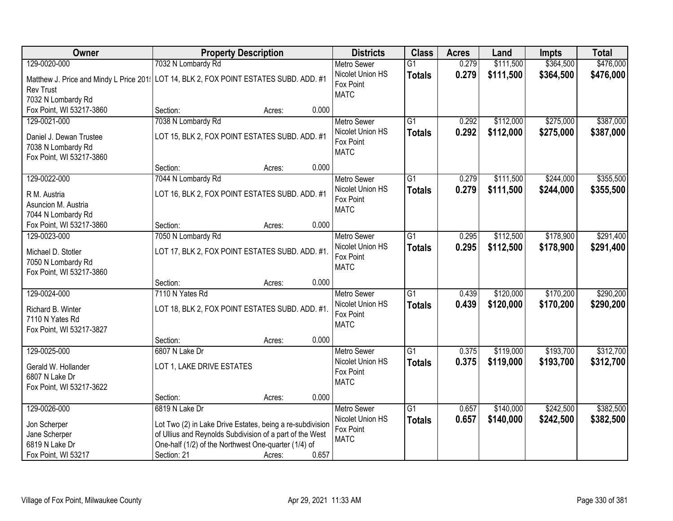| Owner                                                                                  | <b>Property Description</b>                               |        |       | <b>Districts</b>                       | <b>Class</b>    | <b>Acres</b> | Land      | <b>Impts</b> | <b>Total</b> |
|----------------------------------------------------------------------------------------|-----------------------------------------------------------|--------|-------|----------------------------------------|-----------------|--------------|-----------|--------------|--------------|
| 129-0020-000                                                                           | 7032 N Lombardy Rd                                        |        |       | <b>Metro Sewer</b>                     | $\overline{G1}$ | 0.279        | \$111,500 | \$364,500    | \$476,000    |
| Matthew J. Price and Mindy L Price 201: LOT 14, BLK 2, FOX POINT ESTATES SUBD. ADD. #1 |                                                           |        |       | Nicolet Union HS<br>Fox Point          | <b>Totals</b>   | 0.279        | \$111,500 | \$364,500    | \$476,000    |
| <b>Rev Trust</b>                                                                       |                                                           |        |       | <b>MATC</b>                            |                 |              |           |              |              |
| 7032 N Lombardy Rd                                                                     |                                                           |        |       |                                        |                 |              |           |              |              |
| Fox Point, WI 53217-3860                                                               | Section:                                                  | Acres: | 0.000 |                                        |                 |              |           |              |              |
| 129-0021-000                                                                           | 7038 N Lombardy Rd                                        |        |       | <b>Metro Sewer</b>                     | $\overline{G1}$ | 0.292        | \$112,000 | \$275,000    | \$387,000    |
| Daniel J. Dewan Trustee                                                                | LOT 15, BLK 2, FOX POINT ESTATES SUBD. ADD. #1            |        |       | Nicolet Union HS                       | <b>Totals</b>   | 0.292        | \$112,000 | \$275,000    | \$387,000    |
| 7038 N Lombardy Rd                                                                     |                                                           |        |       | Fox Point                              |                 |              |           |              |              |
| Fox Point, WI 53217-3860                                                               |                                                           |        |       | <b>MATC</b>                            |                 |              |           |              |              |
|                                                                                        | Section:                                                  | Acres: | 0.000 |                                        |                 |              |           |              |              |
| 129-0022-000                                                                           | 7044 N Lombardy Rd                                        |        |       | <b>Metro Sewer</b>                     | G1              | 0.279        | \$111,500 | \$244,000    | \$355,500    |
| R M. Austria                                                                           | LOT 16, BLK 2, FOX POINT ESTATES SUBD. ADD. #1            |        |       | Nicolet Union HS                       | <b>Totals</b>   | 0.279        | \$111,500 | \$244,000    | \$355,500    |
| Asuncion M. Austria                                                                    |                                                           |        |       | Fox Point                              |                 |              |           |              |              |
| 7044 N Lombardy Rd                                                                     |                                                           |        |       | <b>MATC</b>                            |                 |              |           |              |              |
| Fox Point, WI 53217-3860                                                               | Section:                                                  | Acres: | 0.000 |                                        |                 |              |           |              |              |
| 129-0023-000                                                                           | 7050 N Lombardy Rd                                        |        |       | <b>Metro Sewer</b>                     | $\overline{G1}$ | 0.295        | \$112,500 | \$178,900    | \$291,400    |
|                                                                                        |                                                           |        |       | Nicolet Union HS                       | <b>Totals</b>   | 0.295        | \$112,500 | \$178,900    | \$291,400    |
| Michael D. Stotler                                                                     | LOT 17, BLK 2, FOX POINT ESTATES SUBD. ADD. #1.           |        |       | Fox Point                              |                 |              |           |              |              |
| 7050 N Lombardy Rd                                                                     |                                                           |        |       | <b>MATC</b>                            |                 |              |           |              |              |
| Fox Point, WI 53217-3860                                                               | Section:                                                  |        | 0.000 |                                        |                 |              |           |              |              |
| 129-0024-000                                                                           | 7110 N Yates Rd                                           | Acres: |       |                                        | $\overline{G1}$ | 0.439        | \$120,000 | \$170,200    | \$290,200    |
|                                                                                        |                                                           |        |       | <b>Metro Sewer</b><br>Nicolet Union HS |                 |              |           |              |              |
| Richard B. Winter                                                                      | LOT 18, BLK 2, FOX POINT ESTATES SUBD. ADD. #1.           |        |       | Fox Point                              | <b>Totals</b>   | 0.439        | \$120,000 | \$170,200    | \$290,200    |
| 7110 N Yates Rd                                                                        |                                                           |        |       | <b>MATC</b>                            |                 |              |           |              |              |
| Fox Point, WI 53217-3827                                                               |                                                           |        |       |                                        |                 |              |           |              |              |
|                                                                                        | Section:                                                  | Acres: | 0.000 |                                        |                 |              |           |              |              |
| 129-0025-000                                                                           | 6807 N Lake Dr                                            |        |       | Metro Sewer                            | $\overline{G1}$ | 0.375        | \$119,000 | \$193,700    | \$312,700    |
| Gerald W. Hollander                                                                    | LOT 1, LAKE DRIVE ESTATES                                 |        |       | Nicolet Union HS                       | <b>Totals</b>   | 0.375        | \$119,000 | \$193,700    | \$312,700    |
| 6807 N Lake Dr                                                                         |                                                           |        |       | Fox Point                              |                 |              |           |              |              |
| Fox Point, WI 53217-3622                                                               |                                                           |        |       | <b>MATC</b>                            |                 |              |           |              |              |
|                                                                                        | Section:                                                  | Acres: | 0.000 |                                        |                 |              |           |              |              |
| 129-0026-000                                                                           | 6819 N Lake Dr                                            |        |       | <b>Metro Sewer</b>                     | $\overline{G1}$ | 0.657        | \$140,000 | \$242,500    | \$382,500    |
| Jon Scherper                                                                           | Lot Two (2) in Lake Drive Estates, being a re-subdivision |        |       | Nicolet Union HS                       | <b>Totals</b>   | 0.657        | \$140,000 | \$242,500    | \$382,500    |
| Jane Scherper                                                                          | of Ullius and Reynolds Subdivision of a part of the West  |        |       | Fox Point                              |                 |              |           |              |              |
| 6819 N Lake Dr                                                                         | One-half (1/2) of the Northwest One-quarter (1/4) of      |        |       | <b>MATC</b>                            |                 |              |           |              |              |
| Fox Point, WI 53217                                                                    | Section: 21                                               | Acres: | 0.657 |                                        |                 |              |           |              |              |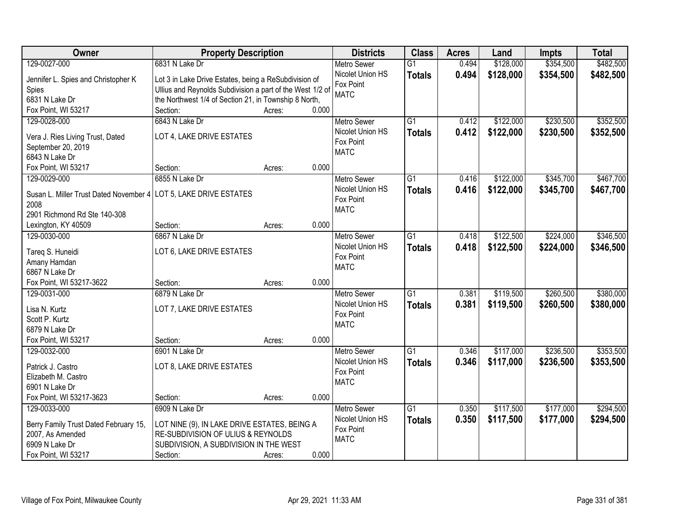| Owner                                                            | <b>Property Description</b>                                                                                        |        |       | <b>Districts</b>                             | <b>Class</b>    | <b>Acres</b> | Land      | <b>Impts</b> | <b>Total</b> |
|------------------------------------------------------------------|--------------------------------------------------------------------------------------------------------------------|--------|-------|----------------------------------------------|-----------------|--------------|-----------|--------------|--------------|
| 129-0027-000                                                     | 6831 N Lake Dr                                                                                                     |        |       | <b>Metro Sewer</b>                           | $\overline{G1}$ | 0.494        | \$128,000 | \$354,500    | \$482,500    |
| Jennifer L. Spies and Christopher K<br>Spies                     | Lot 3 in Lake Drive Estates, being a ReSubdivision of<br>Ullius and Reynolds Subdivision a part of the West 1/2 of |        |       | Nicolet Union HS<br>Fox Point<br><b>MATC</b> | <b>Totals</b>   | 0.494        | \$128,000 | \$354,500    | \$482,500    |
| 6831 N Lake Dr                                                   | the Northwest 1/4 of Section 21, in Township 8 North,                                                              |        |       |                                              |                 |              |           |              |              |
| Fox Point, WI 53217                                              | Section:                                                                                                           | Acres: | 0.000 |                                              |                 |              |           |              |              |
| 129-0028-000                                                     | 6843 N Lake Dr                                                                                                     |        |       | <b>Metro Sewer</b>                           | $\overline{G1}$ | 0.412        | \$122,000 | \$230,500    | \$352,500    |
| Vera J. Ries Living Trust, Dated                                 | LOT 4, LAKE DRIVE ESTATES                                                                                          |        |       | Nicolet Union HS                             | <b>Totals</b>   | 0.412        | \$122,000 | \$230,500    | \$352,500    |
| September 20, 2019                                               |                                                                                                                    |        |       | Fox Point                                    |                 |              |           |              |              |
| 6843 N Lake Dr                                                   |                                                                                                                    |        |       | <b>MATC</b>                                  |                 |              |           |              |              |
| Fox Point, WI 53217                                              | Section:                                                                                                           | Acres: | 0.000 |                                              |                 |              |           |              |              |
| 129-0029-000                                                     | 6855 N Lake Dr                                                                                                     |        |       | Metro Sewer                                  | $\overline{G1}$ | 0.416        | \$122,000 | \$345,700    | \$467,700    |
|                                                                  |                                                                                                                    |        |       | Nicolet Union HS                             | <b>Totals</b>   | 0.416        | \$122,000 | \$345,700    | \$467,700    |
| Susan L. Miller Trust Dated November 4 LOT 5, LAKE DRIVE ESTATES |                                                                                                                    |        |       | Fox Point                                    |                 |              |           |              |              |
| 2008                                                             |                                                                                                                    |        |       | <b>MATC</b>                                  |                 |              |           |              |              |
| 2901 Richmond Rd Ste 140-308                                     |                                                                                                                    |        |       |                                              |                 |              |           |              |              |
| Lexington, KY 40509                                              | Section:                                                                                                           | Acres: | 0.000 |                                              |                 |              |           |              |              |
| 129-0030-000                                                     | 6867 N Lake Dr                                                                                                     |        |       | <b>Metro Sewer</b>                           | $\overline{G1}$ | 0.418        | \$122,500 | \$224,000    | \$346,500    |
| Tareq S. Huneidi                                                 | LOT 6, LAKE DRIVE ESTATES                                                                                          |        |       | Nicolet Union HS<br>Fox Point                | <b>Totals</b>   | 0.418        | \$122,500 | \$224,000    | \$346,500    |
| Amany Hamdan                                                     |                                                                                                                    |        |       | <b>MATC</b>                                  |                 |              |           |              |              |
| 6867 N Lake Dr                                                   |                                                                                                                    |        |       |                                              |                 |              |           |              |              |
| Fox Point, WI 53217-3622                                         | Section:                                                                                                           | Acres: | 0.000 |                                              |                 |              |           |              |              |
| 129-0031-000                                                     | 6879 N Lake Dr                                                                                                     |        |       | <b>Metro Sewer</b>                           | $\overline{G1}$ | 0.381        | \$119,500 | \$260,500    | \$380,000    |
| Lisa N. Kurtz                                                    | LOT 7, LAKE DRIVE ESTATES                                                                                          |        |       | Nicolet Union HS                             | <b>Totals</b>   | 0.381        | \$119,500 | \$260,500    | \$380,000    |
| Scott P. Kurtz                                                   |                                                                                                                    |        |       | Fox Point                                    |                 |              |           |              |              |
| 6879 N Lake Dr                                                   |                                                                                                                    |        |       | <b>MATC</b>                                  |                 |              |           |              |              |
| Fox Point, WI 53217                                              | Section:                                                                                                           | Acres: | 0.000 |                                              |                 |              |           |              |              |
| 129-0032-000                                                     | 6901 N Lake Dr                                                                                                     |        |       | <b>Metro Sewer</b>                           | $\overline{G1}$ | 0.346        | \$117,000 | \$236,500    | \$353,500    |
|                                                                  |                                                                                                                    |        |       | Nicolet Union HS                             | <b>Totals</b>   | 0.346        | \$117,000 | \$236,500    | \$353,500    |
| Patrick J. Castro                                                | LOT 8, LAKE DRIVE ESTATES                                                                                          |        |       | Fox Point                                    |                 |              |           |              |              |
| Elizabeth M. Castro                                              |                                                                                                                    |        |       | <b>MATC</b>                                  |                 |              |           |              |              |
| 6901 N Lake Dr<br>Fox Point, WI 53217-3623                       | Section:                                                                                                           |        | 0.000 |                                              |                 |              |           |              |              |
|                                                                  | 6909 N Lake Dr                                                                                                     | Acres: |       |                                              | $\overline{G1}$ | 0.350        | \$117,500 | \$177,000    | \$294,500    |
| 129-0033-000                                                     |                                                                                                                    |        |       | <b>Metro Sewer</b><br>Nicolet Union HS       |                 |              |           |              |              |
| Berry Family Trust Dated February 15,                            | LOT NINE (9), IN LAKE DRIVE ESTATES, BEING A                                                                       |        |       | Fox Point                                    | <b>Totals</b>   | 0.350        | \$117,500 | \$177,000    | \$294,500    |
| 2007, As Amended                                                 | RE-SUBDIVISION OF ULIUS & REYNOLDS                                                                                 |        |       | <b>MATC</b>                                  |                 |              |           |              |              |
| 6909 N Lake Dr                                                   | SUBDIVISION, A SUBDIVISION IN THE WEST                                                                             |        |       |                                              |                 |              |           |              |              |
| Fox Point, WI 53217                                              | Section:                                                                                                           | Acres: | 0.000 |                                              |                 |              |           |              |              |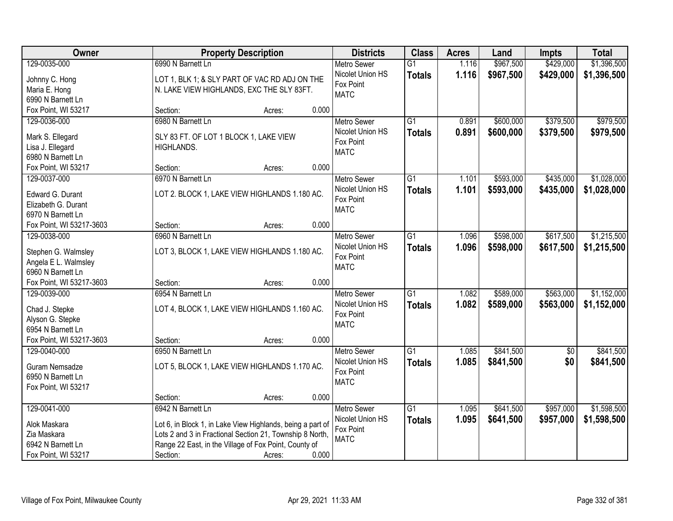| Owner                                     |                                        | <b>Property Description</b>                                |       | <b>Districts</b>         | <b>Class</b>    | <b>Acres</b> | Land      | <b>Impts</b>           | <b>Total</b> |
|-------------------------------------------|----------------------------------------|------------------------------------------------------------|-------|--------------------------|-----------------|--------------|-----------|------------------------|--------------|
| 129-0035-000                              | 6990 N Barnett Ln                      |                                                            |       | <b>Metro Sewer</b>       | $\overline{G1}$ | 1.116        | \$967,500 | \$429,000              | \$1,396,500  |
| Johnny C. Hong                            |                                        | LOT 1, BLK 1; & SLY PART OF VAC RD ADJ ON THE              |       | Nicolet Union HS         | <b>Totals</b>   | 1.116        | \$967,500 | \$429,000              | \$1,396,500  |
| Maria E. Hong                             |                                        | N. LAKE VIEW HIGHLANDS, EXC THE SLY 83FT.                  |       | Fox Point                |                 |              |           |                        |              |
| 6990 N Barnett Ln                         |                                        |                                                            |       | <b>MATC</b>              |                 |              |           |                        |              |
| Fox Point, WI 53217                       | Section:                               | Acres:                                                     | 0.000 |                          |                 |              |           |                        |              |
| 129-0036-000                              | 6980 N Barnett Ln                      |                                                            |       | <b>Metro Sewer</b>       | $\overline{G1}$ | 0.891        | \$600,000 | \$379,500              | \$979,500    |
| Mark S. Ellegard                          | SLY 83 FT. OF LOT 1 BLOCK 1, LAKE VIEW |                                                            |       | Nicolet Union HS         | <b>Totals</b>   | 0.891        | \$600,000 | \$379,500              | \$979,500    |
| Lisa J. Ellegard                          | <b>HIGHLANDS.</b>                      |                                                            |       | Fox Point                |                 |              |           |                        |              |
| 6980 N Barnett Ln                         |                                        |                                                            |       | <b>MATC</b>              |                 |              |           |                        |              |
| Fox Point, WI 53217                       | Section:                               | Acres:                                                     | 0.000 |                          |                 |              |           |                        |              |
| 129-0037-000                              | 6970 N Barnett Ln                      |                                                            |       | <b>Metro Sewer</b>       | $\overline{G1}$ | 1.101        | \$593,000 | \$435,000              | \$1,028,000  |
|                                           |                                        | LOT 2. BLOCK 1, LAKE VIEW HIGHLANDS 1.180 AC.              |       | Nicolet Union HS         | <b>Totals</b>   | 1.101        | \$593,000 | \$435,000              | \$1,028,000  |
| Edward G. Durant<br>Elizabeth G. Durant   |                                        |                                                            |       | Fox Point                |                 |              |           |                        |              |
| 6970 N Barnett Ln                         |                                        |                                                            |       | <b>MATC</b>              |                 |              |           |                        |              |
| Fox Point, WI 53217-3603                  | Section:                               | Acres:                                                     | 0.000 |                          |                 |              |           |                        |              |
| 129-0038-000                              | 6960 N Barnett Ln                      |                                                            |       | <b>Metro Sewer</b>       | $\overline{G1}$ | 1.096        | \$598,000 | \$617,500              | \$1,215,500  |
|                                           |                                        |                                                            |       | Nicolet Union HS         | <b>Totals</b>   | 1.096        | \$598,000 | \$617,500              | \$1,215,500  |
| Stephen G. Walmsley                       |                                        | LOT 3, BLOCK 1, LAKE VIEW HIGHLANDS 1.180 AC.              |       | Fox Point                |                 |              |           |                        |              |
| Angela E L. Walmsley<br>6960 N Barnett Ln |                                        |                                                            |       | <b>MATC</b>              |                 |              |           |                        |              |
| Fox Point, WI 53217-3603                  | Section:                               | Acres:                                                     | 0.000 |                          |                 |              |           |                        |              |
| 129-0039-000                              | 6954 N Barnett Ln                      |                                                            |       | <b>Metro Sewer</b>       | $\overline{G1}$ | 1.082        | \$589,000 | \$563,000              | \$1,152,000  |
|                                           |                                        |                                                            |       | Nicolet Union HS         | <b>Totals</b>   | 1.082        | \$589,000 | \$563,000              | \$1,152,000  |
| Chad J. Stepke                            |                                        | LOT 4, BLOCK 1, LAKE VIEW HIGHLANDS 1.160 AC.              |       | Fox Point                |                 |              |           |                        |              |
| Alyson G. Stepke                          |                                        |                                                            |       | <b>MATC</b>              |                 |              |           |                        |              |
| 6954 N Barnett Ln                         |                                        |                                                            | 0.000 |                          |                 |              |           |                        |              |
| Fox Point, WI 53217-3603<br>129-0040-000  | Section:<br>6950 N Barnett Ln          | Acres:                                                     |       | Metro Sewer              | $\overline{G1}$ | 1.085        | \$841,500 |                        | \$841,500    |
|                                           |                                        |                                                            |       | Nicolet Union HS         |                 | 1.085        | \$841,500 | $\overline{60}$<br>\$0 |              |
| Guram Nemsadze                            |                                        | LOT 5, BLOCK 1, LAKE VIEW HIGHLANDS 1.170 AC.              |       | Fox Point                | <b>Totals</b>   |              |           |                        | \$841,500    |
| 6950 N Barnett Ln                         |                                        |                                                            |       | <b>MATC</b>              |                 |              |           |                        |              |
| Fox Point, WI 53217                       |                                        |                                                            |       |                          |                 |              |           |                        |              |
|                                           | Section:                               | Acres:                                                     | 0.000 |                          |                 |              |           |                        |              |
| 129-0041-000                              | 6942 N Barnett Ln                      |                                                            |       | <b>Metro Sewer</b>       | $\overline{G1}$ | 1.095        | \$641,500 | \$957,000              | \$1,598,500  |
| Alok Maskara                              |                                        | Lot 6, in Block 1, in Lake View Highlands, being a part of |       | Nicolet Union HS         | <b>Totals</b>   | 1.095        | \$641,500 | \$957,000              | \$1,598,500  |
| Zia Maskara                               |                                        | Lots 2 and 3 in Fractional Section 21, Township 8 North,   |       | Fox Point<br><b>MATC</b> |                 |              |           |                        |              |
| 6942 N Barnett Ln                         |                                        | Range 22 East, in the Village of Fox Point, County of      |       |                          |                 |              |           |                        |              |
| Fox Point, WI 53217                       | Section:                               | Acres:                                                     | 0.000 |                          |                 |              |           |                        |              |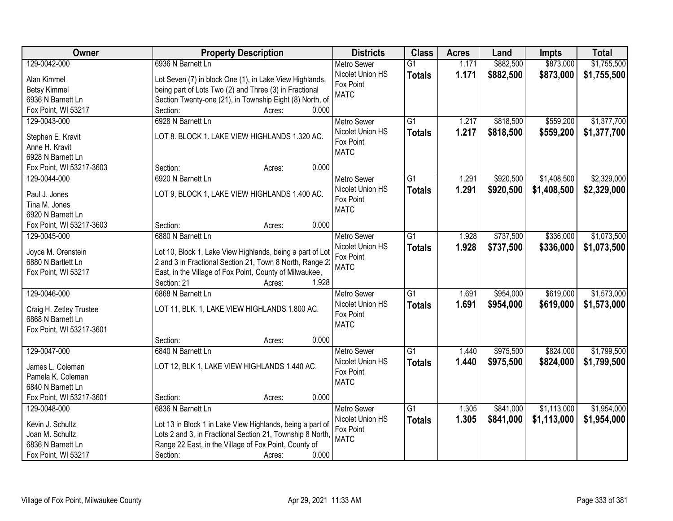| Owner                    | <b>Property Description</b>                               | <b>Districts</b>   | <b>Class</b>    | <b>Acres</b> | Land      | <b>Impts</b> | <b>Total</b> |
|--------------------------|-----------------------------------------------------------|--------------------|-----------------|--------------|-----------|--------------|--------------|
| 129-0042-000             | 6936 N Barnett Ln                                         | <b>Metro Sewer</b> | $\overline{G1}$ | 1.171        | \$882,500 | \$873,000    | \$1,755,500  |
| Alan Kimmel              | Lot Seven (7) in block One (1), in Lake View Highlands,   | Nicolet Union HS   | <b>Totals</b>   | 1.171        | \$882,500 | \$873,000    | \$1,755,500  |
| <b>Betsy Kimmel</b>      | being part of Lots Two (2) and Three (3) in Fractional    | Fox Point          |                 |              |           |              |              |
| 6936 N Barnett Ln        | Section Twenty-one (21), in Township Eight (8) North, of  | <b>MATC</b>        |                 |              |           |              |              |
| Fox Point, WI 53217      | 0.000<br>Section:<br>Acres:                               |                    |                 |              |           |              |              |
| 129-0043-000             | 6928 N Barnett Ln                                         | <b>Metro Sewer</b> | $\overline{G1}$ | 1.217        | \$818,500 | \$559,200    | \$1,377,700  |
|                          |                                                           | Nicolet Union HS   | <b>Totals</b>   | 1.217        | \$818,500 | \$559,200    | \$1,377,700  |
| Stephen E. Kravit        | LOT 8. BLOCK 1. LAKE VIEW HIGHLANDS 1.320 AC.             | Fox Point          |                 |              |           |              |              |
| Anne H. Kravit           |                                                           | <b>MATC</b>        |                 |              |           |              |              |
| 6928 N Barnett Ln        |                                                           |                    |                 |              |           |              |              |
| Fox Point, WI 53217-3603 | 0.000<br>Section:<br>Acres:                               |                    |                 |              |           |              |              |
| 129-0044-000             | 6920 N Barnett Ln                                         | Metro Sewer        | $\overline{G1}$ | 1.291        | \$920,500 | \$1,408,500  | \$2,329,000  |
| Paul J. Jones            | LOT 9, BLOCK 1, LAKE VIEW HIGHLANDS 1.400 AC.             | Nicolet Union HS   | <b>Totals</b>   | 1.291        | \$920,500 | \$1,408,500  | \$2,329,000  |
| Tina M. Jones            |                                                           | Fox Point          |                 |              |           |              |              |
| 6920 N Barnett Ln        |                                                           | <b>MATC</b>        |                 |              |           |              |              |
| Fox Point, WI 53217-3603 | 0.000<br>Section:<br>Acres:                               |                    |                 |              |           |              |              |
| 129-0045-000             | 6880 N Barnett Ln                                         | <b>Metro Sewer</b> | $\overline{G1}$ | 1.928        | \$737,500 | \$336,000    | \$1,073,500  |
|                          |                                                           | Nicolet Union HS   | <b>Totals</b>   | 1.928        | \$737,500 | \$336,000    | \$1,073,500  |
| Joyce M. Orenstein       | Lot 10, Block 1, Lake View Highlands, being a part of Lot | Fox Point          |                 |              |           |              |              |
| 6880 N Bartlett Ln       | 2 and 3 in Fractional Section 21, Town 8 North, Range 22  | <b>MATC</b>        |                 |              |           |              |              |
| Fox Point, WI 53217      | East, in the Village of Fox Point, County of Milwaukee,   |                    |                 |              |           |              |              |
|                          | Section: 21<br>1.928<br>Acres:                            |                    |                 |              |           |              |              |
| 129-0046-000             | 6868 N Barnett Ln                                         | <b>Metro Sewer</b> | $\overline{G1}$ | 1.691        | \$954,000 | \$619,000    | \$1,573,000  |
| Craig H. Zetley Trustee  | LOT 11, BLK. 1, LAKE VIEW HIGHLANDS 1.800 AC.             | Nicolet Union HS   | <b>Totals</b>   | 1.691        | \$954,000 | \$619,000    | \$1,573,000  |
| 6868 N Barnett Ln        |                                                           | Fox Point          |                 |              |           |              |              |
| Fox Point, WI 53217-3601 |                                                           | <b>MATC</b>        |                 |              |           |              |              |
|                          | 0.000<br>Section:<br>Acres:                               |                    |                 |              |           |              |              |
| 129-0047-000             | 6840 N Barnett Ln                                         | Metro Sewer        | $\overline{G1}$ | 1.440        | \$975,500 | \$824,000    | \$1,799,500  |
|                          |                                                           | Nicolet Union HS   | <b>Totals</b>   | 1.440        | \$975,500 | \$824,000    | \$1,799,500  |
| James L. Coleman         | LOT 12, BLK 1, LAKE VIEW HIGHLANDS 1.440 AC.              | Fox Point          |                 |              |           |              |              |
| Pamela K. Coleman        |                                                           | <b>MATC</b>        |                 |              |           |              |              |
| 6840 N Barnett Ln        |                                                           |                    |                 |              |           |              |              |
| Fox Point, WI 53217-3601 | 0.000<br>Section:<br>Acres:                               |                    |                 |              |           |              |              |
| 129-0048-000             | 6836 N Barnett Ln                                         | <b>Metro Sewer</b> | $\overline{G1}$ | 1.305        | \$841,000 | \$1,113,000  | \$1,954,000  |
| Kevin J. Schultz         | Lot 13 in Block 1 in Lake View Highlands, being a part of | Nicolet Union HS   | <b>Totals</b>   | 1.305        | \$841,000 | \$1,113,000  | \$1,954,000  |
| Joan M. Schultz          | Lots 2 and 3, in Fractional Section 21, Township 8 North, | Fox Point          |                 |              |           |              |              |
| 6836 N Barnett Ln        | Range 22 East, in the Village of Fox Point, County of     | <b>MATC</b>        |                 |              |           |              |              |
| Fox Point, WI 53217      | 0.000<br>Section:<br>Acres:                               |                    |                 |              |           |              |              |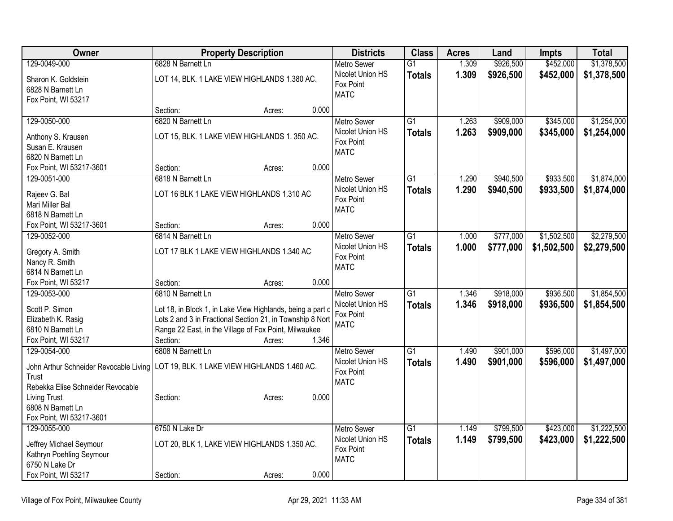| Owner                                  | <b>Property Description</b>                                | <b>Districts</b>         | <b>Class</b>    | <b>Acres</b> | Land      | <b>Impts</b> | <b>Total</b> |
|----------------------------------------|------------------------------------------------------------|--------------------------|-----------------|--------------|-----------|--------------|--------------|
| 129-0049-000                           | 6828 N Barnett Ln                                          | <b>Metro Sewer</b>       | $\overline{G1}$ | 1.309        | \$926,500 | \$452,000    | \$1,378,500  |
| Sharon K. Goldstein                    | LOT 14, BLK. 1 LAKE VIEW HIGHLANDS 1.380 AC.               | Nicolet Union HS         | <b>Totals</b>   | 1.309        | \$926,500 | \$452,000    | \$1,378,500  |
| 6828 N Barnett Ln                      |                                                            | Fox Point                |                 |              |           |              |              |
| Fox Point, WI 53217                    |                                                            | <b>MATC</b>              |                 |              |           |              |              |
|                                        | 0.000<br>Section:<br>Acres:                                |                          |                 |              |           |              |              |
| 129-0050-000                           | 6820 N Barnett Ln                                          | Metro Sewer              | $\overline{G1}$ | 1.263        | \$909,000 | \$345,000    | \$1,254,000  |
| Anthony S. Krausen                     | LOT 15, BLK. 1 LAKE VIEW HIGHLANDS 1. 350 AC.              | Nicolet Union HS         | <b>Totals</b>   | 1.263        | \$909,000 | \$345,000    | \$1,254,000  |
| Susan E. Krausen                       |                                                            | Fox Point                |                 |              |           |              |              |
| 6820 N Barnett Ln                      |                                                            | <b>MATC</b>              |                 |              |           |              |              |
| Fox Point, WI 53217-3601               | 0.000<br>Section:<br>Acres:                                |                          |                 |              |           |              |              |
| 129-0051-000                           | 6818 N Barnett Ln                                          | <b>Metro Sewer</b>       | $\overline{G1}$ | 1.290        | \$940,500 | \$933,500    | \$1,874,000  |
|                                        |                                                            | Nicolet Union HS         | <b>Totals</b>   | 1.290        | \$940,500 | \$933,500    | \$1,874,000  |
| Rajeev G. Bal<br>Mari Miller Bal       | LOT 16 BLK 1 LAKE VIEW HIGHLANDS 1.310 AC                  | Fox Point                |                 |              |           |              |              |
| 6818 N Barnett Ln                      |                                                            | <b>MATC</b>              |                 |              |           |              |              |
| Fox Point, WI 53217-3601               | 0.000<br>Section:<br>Acres:                                |                          |                 |              |           |              |              |
| 129-0052-000                           | 6814 N Barnett Ln                                          | <b>Metro Sewer</b>       | $\overline{G1}$ | 1.000        | \$777,000 | \$1,502,500  | \$2,279,500  |
|                                        |                                                            | Nicolet Union HS         | <b>Totals</b>   | 1.000        | \$777,000 | \$1,502,500  | \$2,279,500  |
| Gregory A. Smith                       | LOT 17 BLK 1 LAKE VIEW HIGHLANDS 1.340 AC                  | Fox Point                |                 |              |           |              |              |
| Nancy R. Smith                         |                                                            | <b>MATC</b>              |                 |              |           |              |              |
| 6814 N Barnett Ln                      |                                                            |                          |                 |              |           |              |              |
| Fox Point, WI 53217                    | 0.000<br>Section:<br>Acres:                                |                          |                 |              |           |              |              |
| 129-0053-000                           | 6810 N Barnett Ln                                          | <b>Metro Sewer</b>       | $\overline{G1}$ | 1.346        | \$918,000 | \$936,500    | \$1,854,500  |
| Scott P. Simon                         | Lot 18, in Block 1, in Lake View Highlands, being a part o | Nicolet Union HS         | <b>Totals</b>   | 1.346        | \$918,000 | \$936,500    | \$1,854,500  |
| Elizabeth K. Rasig                     | Lots 2 and 3 in Fractional Section 21, in Township 8 Nort  | Fox Point<br><b>MATC</b> |                 |              |           |              |              |
| 6810 N Barnett Ln                      | Range 22 East, in the Village of Fox Point, Milwaukee      |                          |                 |              |           |              |              |
| Fox Point, WI 53217                    | Section:<br>1.346<br>Acres:                                |                          |                 |              |           |              |              |
| 129-0054-000                           | 6808 N Barnett Ln                                          | <b>Metro Sewer</b>       | $\overline{G1}$ | 1.490        | \$901,000 | \$596,000    | \$1,497,000  |
| John Arthur Schneider Revocable Living | LOT 19, BLK. 1 LAKE VIEW HIGHLANDS 1.460 AC.               | Nicolet Union HS         | <b>Totals</b>   | 1.490        | \$901,000 | \$596,000    | \$1,497,000  |
| Trust                                  |                                                            | Fox Point                |                 |              |           |              |              |
| Rebekka Elise Schneider Revocable      |                                                            | <b>MATC</b>              |                 |              |           |              |              |
| <b>Living Trust</b>                    | 0.000<br>Section:<br>Acres:                                |                          |                 |              |           |              |              |
| 6808 N Barnett Ln                      |                                                            |                          |                 |              |           |              |              |
| Fox Point, WI 53217-3601               |                                                            |                          |                 |              |           |              |              |
| 129-0055-000                           | 6750 N Lake Dr                                             | Metro Sewer              | $\overline{G1}$ | 1.149        | \$799,500 | \$423,000    | \$1,222,500  |
| Jeffrey Michael Seymour                | LOT 20, BLK 1, LAKE VIEW HIGHLANDS 1.350 AC.               | Nicolet Union HS         | <b>Totals</b>   | 1.149        | \$799,500 | \$423,000    | \$1,222,500  |
| Kathryn Poehling Seymour               |                                                            | Fox Point                |                 |              |           |              |              |
| 6750 N Lake Dr                         |                                                            | <b>MATC</b>              |                 |              |           |              |              |
| Fox Point, WI 53217                    | 0.000<br>Section:<br>Acres:                                |                          |                 |              |           |              |              |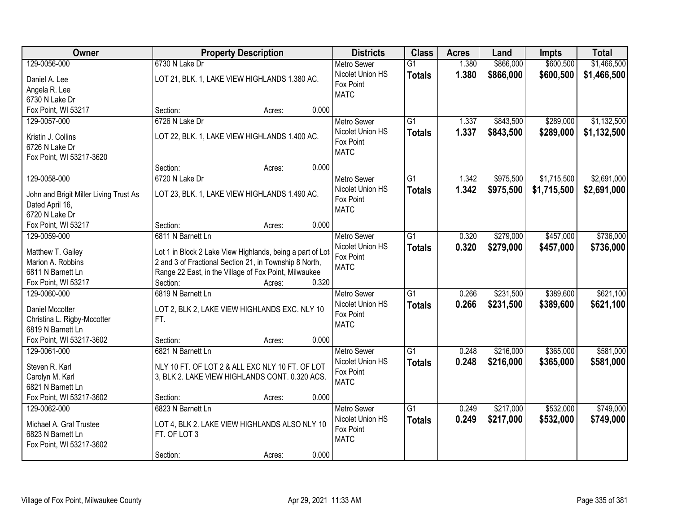| Owner                                  | <b>Property Description</b>                                | <b>Districts</b>         | <b>Class</b>    | <b>Acres</b> | Land      | <b>Impts</b> | <b>Total</b> |
|----------------------------------------|------------------------------------------------------------|--------------------------|-----------------|--------------|-----------|--------------|--------------|
| 129-0056-000                           | 6730 N Lake Dr                                             | <b>Metro Sewer</b>       | $\overline{G1}$ | 1.380        | \$866,000 | \$600,500    | \$1,466,500  |
| Daniel A. Lee                          | LOT 21, BLK. 1, LAKE VIEW HIGHLANDS 1.380 AC.              | Nicolet Union HS         | <b>Totals</b>   | 1.380        | \$866,000 | \$600,500    | \$1,466,500  |
| Angela R. Lee                          |                                                            | Fox Point                |                 |              |           |              |              |
| 6730 N Lake Dr                         |                                                            | <b>MATC</b>              |                 |              |           |              |              |
| Fox Point, WI 53217                    | 0.000<br>Section:<br>Acres:                                |                          |                 |              |           |              |              |
| 129-0057-000                           | 6726 N Lake Dr                                             | <b>Metro Sewer</b>       | $\overline{G1}$ | 1.337        | \$843,500 | \$289,000    | \$1,132,500  |
|                                        |                                                            | Nicolet Union HS         | <b>Totals</b>   | 1.337        | \$843,500 | \$289,000    | \$1,132,500  |
| Kristin J. Collins                     | LOT 22, BLK. 1, LAKE VIEW HIGHLANDS 1.400 AC.              | Fox Point                |                 |              |           |              |              |
| 6726 N Lake Dr                         |                                                            | <b>MATC</b>              |                 |              |           |              |              |
| Fox Point, WI 53217-3620               |                                                            |                          |                 |              |           |              |              |
|                                        | 0.000<br>Section:<br>Acres:                                |                          |                 |              |           |              |              |
| 129-0058-000                           | 6720 N Lake Dr                                             | <b>Metro Sewer</b>       | $\overline{G1}$ | 1.342        | \$975,500 | \$1,715,500  | \$2,691,000  |
| John and Brigit Miller Living Trust As | LOT 23, BLK. 1, LAKE VIEW HIGHLANDS 1.490 AC.              | Nicolet Union HS         | <b>Totals</b>   | 1.342        | \$975,500 | \$1,715,500  | \$2,691,000  |
| Dated April 16,                        |                                                            | Fox Point                |                 |              |           |              |              |
| 6720 N Lake Dr                         |                                                            | <b>MATC</b>              |                 |              |           |              |              |
| Fox Point, WI 53217                    | 0.000<br>Section:<br>Acres:                                |                          |                 |              |           |              |              |
| 129-0059-000                           | 6811 N Barnett Ln                                          | <b>Metro Sewer</b>       | $\overline{G1}$ | 0.320        | \$279,000 | \$457,000    | \$736,000    |
|                                        |                                                            | Nicolet Union HS         | <b>Totals</b>   | 0.320        | \$279,000 | \$457,000    | \$736,000    |
| Matthew T. Gailey                      | Lot 1 in Block 2 Lake View Highlands, being a part of Lots | Fox Point                |                 |              |           |              |              |
| Marion A. Robbins                      | 2 and 3 of Fractional Section 21, in Township 8 North,     | <b>MATC</b>              |                 |              |           |              |              |
| 6811 N Barnett Ln                      | Range 22 East, in the Village of Fox Point, Milwaukee      |                          |                 |              |           |              |              |
| Fox Point, WI 53217                    | 0.320<br>Section:<br>Acres:                                |                          |                 |              |           |              |              |
| 129-0060-000                           | 6819 N Barnett Ln                                          | Metro Sewer              | $\overline{G1}$ | 0.266        | \$231,500 | \$389,600    | \$621,100    |
| <b>Daniel Mccotter</b>                 | LOT 2, BLK 2, LAKE VIEW HIGHLANDS EXC. NLY 10              | Nicolet Union HS         | <b>Totals</b>   | 0.266        | \$231,500 | \$389,600    | \$621,100    |
| Christina L. Rigby-Mccotter            | FT.                                                        | Fox Point<br><b>MATC</b> |                 |              |           |              |              |
| 6819 N Barnett Ln                      |                                                            |                          |                 |              |           |              |              |
| Fox Point, WI 53217-3602               | Section:<br>0.000<br>Acres:                                |                          |                 |              |           |              |              |
| 129-0061-000                           | 6821 N Barnett Ln                                          | <b>Metro Sewer</b>       | $\overline{G1}$ | 0.248        | \$216,000 | \$365,000    | \$581,000    |
| Steven R. Karl                         | NLY 10 FT. OF LOT 2 & ALL EXC NLY 10 FT. OF LOT            | Nicolet Union HS         | <b>Totals</b>   | 0.248        | \$216,000 | \$365,000    | \$581,000    |
| Carolyn M. Karl                        | 3, BLK 2. LAKE VIEW HIGHLANDS CONT. 0.320 ACS.             | Fox Point                |                 |              |           |              |              |
| 6821 N Barnett Ln                      |                                                            | <b>MATC</b>              |                 |              |           |              |              |
| Fox Point, WI 53217-3602               | 0.000<br>Section:<br>Acres:                                |                          |                 |              |           |              |              |
| 129-0062-000                           | 6823 N Barnett Ln                                          | <b>Metro Sewer</b>       | $\overline{G1}$ | 0.249        | \$217,000 | \$532,000    | \$749,000    |
|                                        |                                                            | Nicolet Union HS         | <b>Totals</b>   | 0.249        | \$217,000 | \$532,000    | \$749,000    |
| Michael A. Gral Trustee                | LOT 4, BLK 2. LAKE VIEW HIGHLANDS ALSO NLY 10              | Fox Point                |                 |              |           |              |              |
| 6823 N Barnett Ln                      | FT. OF LOT 3                                               | <b>MATC</b>              |                 |              |           |              |              |
| Fox Point, WI 53217-3602               |                                                            |                          |                 |              |           |              |              |
|                                        | 0.000<br>Section:<br>Acres:                                |                          |                 |              |           |              |              |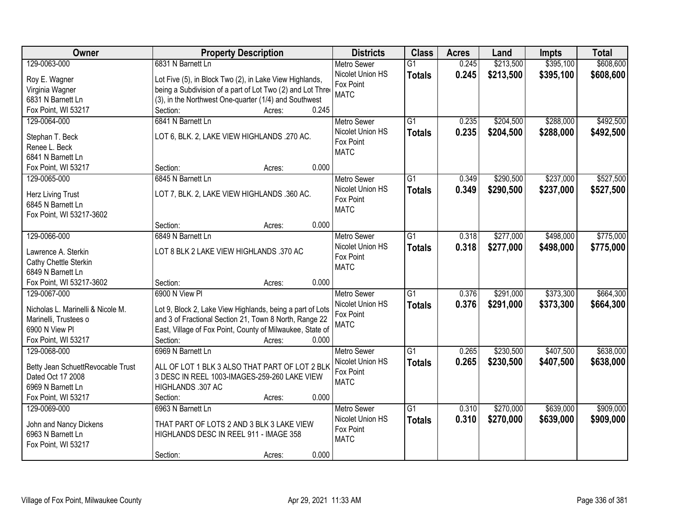| Owner                             | <b>Property Description</b>                                | <b>Districts</b>         | <b>Class</b>    | <b>Acres</b> | Land      | <b>Impts</b> | <b>Total</b> |
|-----------------------------------|------------------------------------------------------------|--------------------------|-----------------|--------------|-----------|--------------|--------------|
| 129-0063-000                      | 6831 N Barnett Ln                                          | <b>Metro Sewer</b>       | $\overline{G1}$ | 0.245        | \$213,500 | \$395,100    | \$608,600    |
| Roy E. Wagner                     | Lot Five (5), in Block Two (2), in Lake View Highlands,    | Nicolet Union HS         | <b>Totals</b>   | 0.245        | \$213,500 | \$395,100    | \$608,600    |
| Virginia Wagner                   | being a Subdivision of a part of Lot Two (2) and Lot Three | Fox Point                |                 |              |           |              |              |
| 6831 N Barnett Ln                 | (3), in the Northwest One-quarter (1/4) and Southwest      | <b>MATC</b>              |                 |              |           |              |              |
| Fox Point, WI 53217               | Section:<br>0.245<br>Acres:                                |                          |                 |              |           |              |              |
| 129-0064-000                      | 6841 N Barnett Ln                                          | <b>Metro Sewer</b>       | $\overline{G1}$ | 0.235        | \$204,500 | \$288,000    | \$492,500    |
| Stephan T. Beck                   | LOT 6, BLK. 2, LAKE VIEW HIGHLANDS .270 AC.                | Nicolet Union HS         | <b>Totals</b>   | 0.235        | \$204,500 | \$288,000    | \$492,500    |
| Renee L. Beck                     |                                                            | Fox Point                |                 |              |           |              |              |
| 6841 N Barnett Ln                 |                                                            | <b>MATC</b>              |                 |              |           |              |              |
| Fox Point, WI 53217               | 0.000<br>Section:<br>Acres:                                |                          |                 |              |           |              |              |
| 129-0065-000                      | 6845 N Barnett Ln                                          | <b>Metro Sewer</b>       | G1              | 0.349        | \$290,500 | \$237,000    | \$527,500    |
|                                   |                                                            | Nicolet Union HS         | <b>Totals</b>   | 0.349        | \$290,500 | \$237,000    | \$527,500    |
| <b>Herz Living Trust</b>          | LOT 7, BLK. 2, LAKE VIEW HIGHLANDS .360 AC.                | Fox Point                |                 |              |           |              |              |
| 6845 N Barnett Ln                 |                                                            | <b>MATC</b>              |                 |              |           |              |              |
| Fox Point, WI 53217-3602          |                                                            |                          |                 |              |           |              |              |
|                                   | 0.000<br>Section:<br>Acres:                                |                          |                 |              |           |              |              |
| 129-0066-000                      | 6849 N Barnett Ln                                          | <b>Metro Sewer</b>       | G1              | 0.318        | \$277,000 | \$498,000    | \$775,000    |
| Lawrence A. Sterkin               | LOT 8 BLK 2 LAKE VIEW HIGHLANDS .370 AC                    | Nicolet Union HS         | <b>Totals</b>   | 0.318        | \$277,000 | \$498,000    | \$775,000    |
| Cathy Chettle Sterkin             |                                                            | Fox Point<br><b>MATC</b> |                 |              |           |              |              |
| 6849 N Barnett Ln                 |                                                            |                          |                 |              |           |              |              |
| Fox Point, WI 53217-3602          | 0.000<br>Section:<br>Acres:                                |                          |                 |              |           |              |              |
| 129-0067-000                      | 6900 N View PI                                             | <b>Metro Sewer</b>       | $\overline{G1}$ | 0.376        | \$291,000 | \$373,300    | \$664,300    |
| Nicholas L. Marinelli & Nicole M. | Lot 9, Block 2, Lake View Highlands, being a part of Lots  | Nicolet Union HS         | <b>Totals</b>   | 0.376        | \$291,000 | \$373,300    | \$664,300    |
| Marinelli, Trustees o             | and 3 of Fractional Section 21, Town 8 North, Range 22     | Fox Point                |                 |              |           |              |              |
| 6900 N View Pl                    | East, Village of Fox Point, County of Milwaukee, State of  | <b>MATC</b>              |                 |              |           |              |              |
| Fox Point, WI 53217               | 0.000<br>Section:<br>Acres:                                |                          |                 |              |           |              |              |
| 129-0068-000                      | 6969 N Barnett Ln                                          | <b>Metro Sewer</b>       | $\overline{G1}$ | 0.265        | \$230,500 | \$407,500    | \$638,000    |
|                                   |                                                            | Nicolet Union HS         | <b>Totals</b>   | 0.265        | \$230,500 | \$407,500    | \$638,000    |
| Betty Jean SchuettRevocable Trust | ALL OF LOT 1 BLK 3 ALSO THAT PART OF LOT 2 BLK             | Fox Point                |                 |              |           |              |              |
| Dated Oct 17 2008                 | 3 DESC IN REEL 1003-IMAGES-259-260 LAKE VIEW               | <b>MATC</b>              |                 |              |           |              |              |
| 6969 N Barnett Ln                 | HIGHLANDS .307 AC                                          |                          |                 |              |           |              |              |
| Fox Point, WI 53217               | 0.000<br>Section:<br>Acres:                                |                          |                 |              |           |              |              |
| 129-0069-000                      | 6963 N Barnett Ln                                          | <b>Metro Sewer</b>       | $\overline{G1}$ | 0.310        | \$270,000 | \$639,000    | \$909,000    |
| John and Nancy Dickens            | THAT PART OF LOTS 2 AND 3 BLK 3 LAKE VIEW                  | Nicolet Union HS         | <b>Totals</b>   | 0.310        | \$270,000 | \$639,000    | \$909,000    |
| 6963 N Barnett Ln                 | HIGHLANDS DESC IN REEL 911 - IMAGE 358                     | Fox Point                |                 |              |           |              |              |
| Fox Point, WI 53217               |                                                            | <b>MATC</b>              |                 |              |           |              |              |
|                                   | 0.000<br>Section:<br>Acres:                                |                          |                 |              |           |              |              |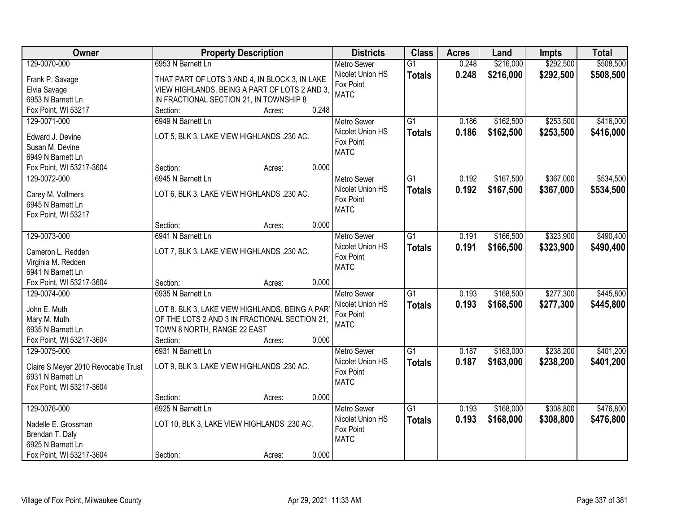| Owner                               | <b>Property Description</b>                                                                     | <b>Districts</b>   | <b>Class</b>    | <b>Acres</b> | Land      | <b>Impts</b> | <b>Total</b> |
|-------------------------------------|-------------------------------------------------------------------------------------------------|--------------------|-----------------|--------------|-----------|--------------|--------------|
| 129-0070-000                        | 6953 N Barnett Ln                                                                               | <b>Metro Sewer</b> | $\overline{G1}$ | 0.248        | \$216,000 | \$292,500    | \$508,500    |
| Frank P. Savage                     | THAT PART OF LOTS 3 AND 4, IN BLOCK 3, IN LAKE                                                  | Nicolet Union HS   | <b>Totals</b>   | 0.248        | \$216,000 | \$292,500    | \$508,500    |
| Elvia Savage                        | VIEW HIGHLANDS, BEING A PART OF LOTS 2 AND 3,                                                   | Fox Point          |                 |              |           |              |              |
| 6953 N Barnett Ln                   | IN FRACTIONAL SECTION 21, IN TOWNSHIP 8                                                         | <b>MATC</b>        |                 |              |           |              |              |
| Fox Point, WI 53217                 | 0.248<br>Section:<br>Acres:                                                                     |                    |                 |              |           |              |              |
| 129-0071-000                        | 6949 N Barnett Ln                                                                               | <b>Metro Sewer</b> | $\overline{G1}$ | 0.186        | \$162,500 | \$253,500    | \$416,000    |
|                                     | LOT 5, BLK 3, LAKE VIEW HIGHLANDS .230 AC.                                                      | Nicolet Union HS   | <b>Totals</b>   | 0.186        | \$162,500 | \$253,500    | \$416,000    |
| Edward J. Devine<br>Susan M. Devine |                                                                                                 | Fox Point          |                 |              |           |              |              |
| 6949 N Barnett Ln                   |                                                                                                 | <b>MATC</b>        |                 |              |           |              |              |
| Fox Point, WI 53217-3604            | 0.000<br>Section:<br>Acres:                                                                     |                    |                 |              |           |              |              |
| 129-0072-000                        | 6945 N Barnett Ln                                                                               | Metro Sewer        | G1              | 0.192        | \$167,500 | \$367,000    | \$534,500    |
|                                     |                                                                                                 | Nicolet Union HS   | <b>Totals</b>   | 0.192        | \$167,500 | \$367,000    | \$534,500    |
| Carey M. Vollmers                   | LOT 6, BLK 3, LAKE VIEW HIGHLANDS .230 AC.                                                      | Fox Point          |                 |              |           |              |              |
| 6945 N Barnett Ln                   |                                                                                                 | <b>MATC</b>        |                 |              |           |              |              |
| Fox Point, WI 53217                 |                                                                                                 |                    |                 |              |           |              |              |
|                                     | 0.000<br>Section:<br>Acres:                                                                     |                    |                 |              |           |              |              |
| 129-0073-000                        | 6941 N Barnett Ln                                                                               | <b>Metro Sewer</b> | G1              | 0.191        | \$166,500 | \$323,900    | \$490,400    |
| Cameron L. Redden                   | LOT 7, BLK 3, LAKE VIEW HIGHLANDS .230 AC.                                                      | Nicolet Union HS   | <b>Totals</b>   | 0.191        | \$166,500 | \$323,900    | \$490,400    |
| Virginia M. Redden                  |                                                                                                 | Fox Point          |                 |              |           |              |              |
| 6941 N Barnett Ln                   |                                                                                                 | <b>MATC</b>        |                 |              |           |              |              |
| Fox Point, WI 53217-3604            | 0.000<br>Section:<br>Acres:                                                                     |                    |                 |              |           |              |              |
| 129-0074-000                        | 6935 N Barnett Ln                                                                               | <b>Metro Sewer</b> | $\overline{G1}$ | 0.193        | \$168,500 | \$277,300    | \$445,800    |
| John E. Muth                        |                                                                                                 | Nicolet Union HS   | <b>Totals</b>   | 0.193        | \$168,500 | \$277,300    | \$445,800    |
| Mary M. Muth                        | LOT 8. BLK 3, LAKE VIEW HIGHLANDS, BEING A PAR<br>OF THE LOTS 2 AND 3 IN FRACTIONAL SECTION 21, | Fox Point          |                 |              |           |              |              |
| 6935 N Barnett Ln                   | TOWN 8 NORTH, RANGE 22 EAST                                                                     | <b>MATC</b>        |                 |              |           |              |              |
| Fox Point, WI 53217-3604            | Section:<br>0.000<br>Acres:                                                                     |                    |                 |              |           |              |              |
| 129-0075-000                        | 6931 N Barnett Ln                                                                               | Metro Sewer        | $\overline{G1}$ | 0.187        | \$163,000 | \$238,200    | \$401,200    |
|                                     |                                                                                                 | Nicolet Union HS   | <b>Totals</b>   | 0.187        | \$163,000 | \$238,200    | \$401,200    |
| Claire S Meyer 2010 Revocable Trust | LOT 9, BLK 3, LAKE VIEW HIGHLANDS .230 AC.                                                      | Fox Point          |                 |              |           |              |              |
| 6931 N Barnett Ln                   |                                                                                                 | <b>MATC</b>        |                 |              |           |              |              |
| Fox Point, WI 53217-3604            |                                                                                                 |                    |                 |              |           |              |              |
|                                     | 0.000<br>Section:<br>Acres:                                                                     |                    |                 |              |           |              |              |
| 129-0076-000                        | 6925 N Barnett Ln                                                                               | <b>Metro Sewer</b> | $\overline{G1}$ | 0.193        | \$168,000 | \$308,800    | \$476,800    |
| Nadelle E. Grossman                 | LOT 10, BLK 3, LAKE VIEW HIGHLANDS .230 AC.                                                     | Nicolet Union HS   | <b>Totals</b>   | 0.193        | \$168,000 | \$308,800    | \$476,800    |
| Brendan T. Daly                     |                                                                                                 | Fox Point          |                 |              |           |              |              |
| 6925 N Barnett Ln                   |                                                                                                 | <b>MATC</b>        |                 |              |           |              |              |
| Fox Point, WI 53217-3604            | 0.000<br>Section:<br>Acres:                                                                     |                    |                 |              |           |              |              |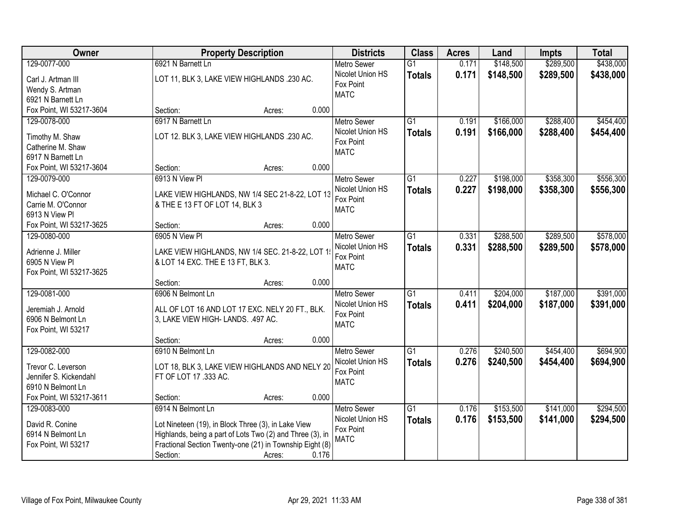| Owner                    | <b>Property Description</b>                               | <b>Districts</b>              | <b>Class</b>    | <b>Acres</b> | Land      | <b>Impts</b> | <b>Total</b> |
|--------------------------|-----------------------------------------------------------|-------------------------------|-----------------|--------------|-----------|--------------|--------------|
| 129-0077-000             | 6921 N Barnett Ln                                         | <b>Metro Sewer</b>            | $\overline{G1}$ | 0.171        | \$148,500 | \$289,500    | \$438,000    |
| Carl J. Artman III       | LOT 11, BLK 3, LAKE VIEW HIGHLANDS .230 AC.               | Nicolet Union HS              | <b>Totals</b>   | 0.171        | \$148,500 | \$289,500    | \$438,000    |
| Wendy S. Artman          |                                                           | Fox Point                     |                 |              |           |              |              |
| 6921 N Barnett Ln        |                                                           | <b>MATC</b>                   |                 |              |           |              |              |
| Fox Point, WI 53217-3604 | 0.000<br>Section:<br>Acres:                               |                               |                 |              |           |              |              |
| 129-0078-000             | 6917 N Barnett Ln                                         | <b>Metro Sewer</b>            | $\overline{G1}$ | 0.191        | \$166,000 | \$288,400    | \$454,400    |
| Timothy M. Shaw          | LOT 12. BLK 3, LAKE VIEW HIGHLANDS .230 AC.               | Nicolet Union HS              | <b>Totals</b>   | 0.191        | \$166,000 | \$288,400    | \$454,400    |
| Catherine M. Shaw        |                                                           | Fox Point                     |                 |              |           |              |              |
| 6917 N Barnett Ln        |                                                           | <b>MATC</b>                   |                 |              |           |              |              |
| Fox Point, WI 53217-3604 | 0.000<br>Section:<br>Acres:                               |                               |                 |              |           |              |              |
| 129-0079-000             | 6913 N View PI                                            | <b>Metro Sewer</b>            | $\overline{G1}$ | 0.227        | \$198,000 | \$358,300    | \$556,300    |
|                          |                                                           | Nicolet Union HS              | <b>Totals</b>   | 0.227        | \$198,000 | \$358,300    | \$556,300    |
| Michael C. O'Connor      | LAKE VIEW HIGHLANDS, NW 1/4 SEC 21-8-22, LOT 13           | Fox Point                     |                 |              |           |              |              |
| Carrie M. O'Connor       | & THE E 13 FT OF LOT 14, BLK 3                            | <b>MATC</b>                   |                 |              |           |              |              |
| 6913 N View Pl           |                                                           |                               |                 |              |           |              |              |
| Fox Point, WI 53217-3625 | 0.000<br>Section:<br>Acres:                               |                               |                 |              |           |              |              |
| 129-0080-000             | 6905 N View PI                                            | <b>Metro Sewer</b>            | G1              | 0.331        | \$288,500 | \$289,500    | \$578,000    |
| Adrienne J. Miller       | LAKE VIEW HIGHLANDS, NW 1/4 SEC. 21-8-22, LOT 1           | Nicolet Union HS<br>Fox Point | <b>Totals</b>   | 0.331        | \$288,500 | \$289,500    | \$578,000    |
| 6905 N View Pl           | & LOT 14 EXC. THE E 13 FT, BLK 3.                         | <b>MATC</b>                   |                 |              |           |              |              |
| Fox Point, WI 53217-3625 |                                                           |                               |                 |              |           |              |              |
|                          | 0.000<br>Section:<br>Acres:                               |                               |                 |              |           |              |              |
| 129-0081-000             | 6906 N Belmont Ln                                         | Metro Sewer                   | $\overline{G1}$ | 0.411        | \$204,000 | \$187,000    | \$391,000    |
| Jeremiah J. Arnold       | ALL OF LOT 16 AND LOT 17 EXC. NELY 20 FT., BLK.           | Nicolet Union HS              | <b>Totals</b>   | 0.411        | \$204,000 | \$187,000    | \$391,000    |
| 6906 N Belmont Ln        | 3, LAKE VIEW HIGH- LANDS. .497 AC.                        | Fox Point                     |                 |              |           |              |              |
| Fox Point, WI 53217      |                                                           | <b>MATC</b>                   |                 |              |           |              |              |
|                          | 0.000<br>Section:<br>Acres:                               |                               |                 |              |           |              |              |
| 129-0082-000             | 6910 N Belmont Ln                                         | <b>Metro Sewer</b>            | $\overline{G1}$ | 0.276        | \$240,500 | \$454,400    | \$694,900    |
| Trevor C. Leverson       | LOT 18, BLK 3, LAKE VIEW HIGHLANDS AND NELY 20            | Nicolet Union HS              | <b>Totals</b>   | 0.276        | \$240,500 | \$454,400    | \$694,900    |
| Jennifer S. Kickendahl   | FT OF LOT 17 .333 AC.                                     | Fox Point                     |                 |              |           |              |              |
| 6910 N Belmont Ln        |                                                           | <b>MATC</b>                   |                 |              |           |              |              |
| Fox Point, WI 53217-3611 | 0.000<br>Section:<br>Acres:                               |                               |                 |              |           |              |              |
| 129-0083-000             | 6914 N Belmont Ln                                         | <b>Metro Sewer</b>            | G1              | 0.176        | \$153,500 | \$141,000    | \$294,500    |
|                          |                                                           | Nicolet Union HS              | <b>Totals</b>   | 0.176        | \$153,500 | \$141,000    | \$294,500    |
| David R. Conine          | Lot Nineteen (19), in Block Three (3), in Lake View       | Fox Point                     |                 |              |           |              |              |
| 6914 N Belmont Ln        | Highlands, being a part of Lots Two (2) and Three (3), in | <b>MATC</b>                   |                 |              |           |              |              |
| Fox Point, WI 53217      | Fractional Section Twenty-one (21) in Township Eight (8)  |                               |                 |              |           |              |              |
|                          | 0.176<br>Section:<br>Acres:                               |                               |                 |              |           |              |              |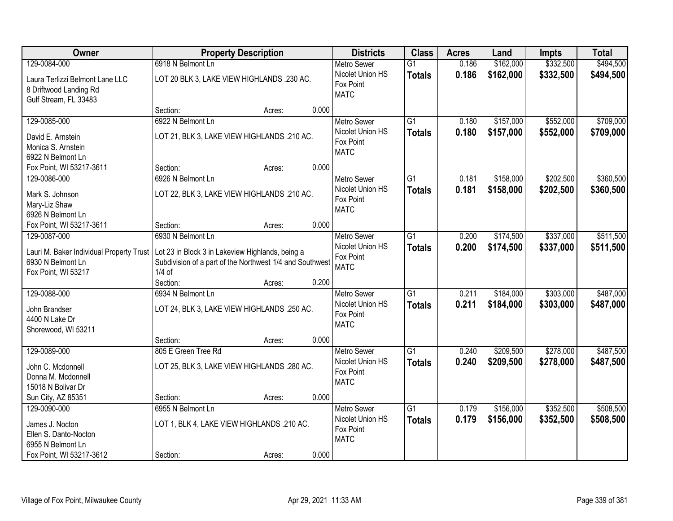| Owner                                                                              | <b>Property Description</b>                                                                                  |        |       | <b>Districts</b>                             | <b>Class</b>    | <b>Acres</b> | Land      | <b>Impts</b> | <b>Total</b> |
|------------------------------------------------------------------------------------|--------------------------------------------------------------------------------------------------------------|--------|-------|----------------------------------------------|-----------------|--------------|-----------|--------------|--------------|
| 129-0084-000                                                                       | 6918 N Belmont Ln                                                                                            |        |       | <b>Metro Sewer</b>                           | $\overline{G1}$ | 0.186        | \$162,000 | \$332,500    | \$494,500    |
| Laura Terlizzi Belmont Lane LLC<br>8 Driftwood Landing Rd<br>Gulf Stream, FL 33483 | LOT 20 BLK 3, LAKE VIEW HIGHLANDS .230 AC.                                                                   |        |       | Nicolet Union HS<br>Fox Point<br><b>MATC</b> | <b>Totals</b>   | 0.186        | \$162,000 | \$332,500    | \$494,500    |
|                                                                                    | Section:                                                                                                     | Acres: | 0.000 |                                              |                 |              |           |              |              |
| 129-0085-000                                                                       | 6922 N Belmont Ln                                                                                            |        |       | <b>Metro Sewer</b>                           | $\overline{G1}$ | 0.180        | \$157,000 | \$552,000    | \$709,000    |
| David E. Arnstein<br>Monica S. Arnstein                                            | LOT 21, BLK 3, LAKE VIEW HIGHLANDS .210 AC.                                                                  |        |       | Nicolet Union HS<br>Fox Point<br><b>MATC</b> | <b>Totals</b>   | 0.180        | \$157,000 | \$552,000    | \$709,000    |
| 6922 N Belmont Ln                                                                  |                                                                                                              |        |       |                                              |                 |              |           |              |              |
| Fox Point, WI 53217-3611                                                           | Section:                                                                                                     | Acres: | 0.000 |                                              |                 |              |           |              |              |
| 129-0086-000                                                                       | 6926 N Belmont Ln                                                                                            |        |       | <b>Metro Sewer</b>                           | G1              | 0.181        | \$158,000 | \$202,500    | \$360,500    |
| Mark S. Johnson                                                                    | LOT 22, BLK 3, LAKE VIEW HIGHLANDS .210 AC.                                                                  |        |       | Nicolet Union HS                             | <b>Totals</b>   | 0.181        | \$158,000 | \$202,500    | \$360,500    |
| Mary-Liz Shaw                                                                      |                                                                                                              |        |       | Fox Point<br><b>MATC</b>                     |                 |              |           |              |              |
| 6926 N Belmont Ln                                                                  |                                                                                                              |        |       |                                              |                 |              |           |              |              |
| Fox Point, WI 53217-3611                                                           | Section:                                                                                                     | Acres: | 0.000 |                                              |                 |              |           |              |              |
| 129-0087-000                                                                       | 6930 N Belmont Ln                                                                                            |        |       | <b>Metro Sewer</b>                           | G1              | 0.200        | \$174,500 | \$337,000    | \$511,500    |
| Lauri M. Baker Individual Property Trust<br>6930 N Belmont Ln                      | Lot 23 in Block 3 in Lakeview Highlands, being a<br>Subdivision of a part of the Northwest 1/4 and Southwest |        |       | Nicolet Union HS<br>Fox Point                | <b>Totals</b>   | 0.200        | \$174,500 | \$337,000    | \$511,500    |
| Fox Point, WI 53217                                                                | $1/4$ of                                                                                                     |        |       | <b>MATC</b>                                  |                 |              |           |              |              |
|                                                                                    | Section:                                                                                                     | Acres: | 0.200 |                                              |                 |              |           |              |              |
| 129-0088-000                                                                       | 6934 N Belmont Ln                                                                                            |        |       | <b>Metro Sewer</b>                           | $\overline{G1}$ | 0.211        | \$184,000 | \$303,000    | \$487,000    |
|                                                                                    |                                                                                                              |        |       | Nicolet Union HS                             | <b>Totals</b>   | 0.211        | \$184,000 | \$303,000    | \$487,000    |
| John Brandser                                                                      | LOT 24, BLK 3, LAKE VIEW HIGHLANDS .250 AC.                                                                  |        |       | Fox Point                                    |                 |              |           |              |              |
| 4400 N Lake Dr<br>Shorewood, WI 53211                                              |                                                                                                              |        |       | <b>MATC</b>                                  |                 |              |           |              |              |
|                                                                                    | Section:                                                                                                     | Acres: | 0.000 |                                              |                 |              |           |              |              |
| 129-0089-000                                                                       | 805 E Green Tree Rd                                                                                          |        |       | Metro Sewer                                  | $\overline{G1}$ | 0.240        | \$209,500 | \$278,000    | \$487,500    |
|                                                                                    |                                                                                                              |        |       | Nicolet Union HS                             | <b>Totals</b>   | 0.240        | \$209,500 | \$278,000    | \$487,500    |
| John C. Mcdonnell                                                                  | LOT 25, BLK 3, LAKE VIEW HIGHLANDS .280 AC.                                                                  |        |       | Fox Point                                    |                 |              |           |              |              |
| Donna M. Mcdonnell                                                                 |                                                                                                              |        |       | <b>MATC</b>                                  |                 |              |           |              |              |
| 15018 N Bolivar Dr                                                                 |                                                                                                              |        |       |                                              |                 |              |           |              |              |
| Sun City, AZ 85351                                                                 | Section:                                                                                                     | Acres: | 0.000 |                                              |                 |              |           |              |              |
| 129-0090-000                                                                       | 6955 N Belmont Ln                                                                                            |        |       | <b>Metro Sewer</b><br>Nicolet Union HS       | $\overline{G1}$ | 0.179        | \$156,000 | \$352,500    | \$508,500    |
| James J. Nocton                                                                    | LOT 1, BLK 4, LAKE VIEW HIGHLANDS .210 AC.                                                                   |        |       | Fox Point                                    | <b>Totals</b>   | 0.179        | \$156,000 | \$352,500    | \$508,500    |
| Ellen S. Danto-Nocton                                                              |                                                                                                              |        |       | <b>MATC</b>                                  |                 |              |           |              |              |
| 6955 N Belmont Ln                                                                  |                                                                                                              |        |       |                                              |                 |              |           |              |              |
| Fox Point, WI 53217-3612                                                           | Section:                                                                                                     | Acres: | 0.000 |                                              |                 |              |           |              |              |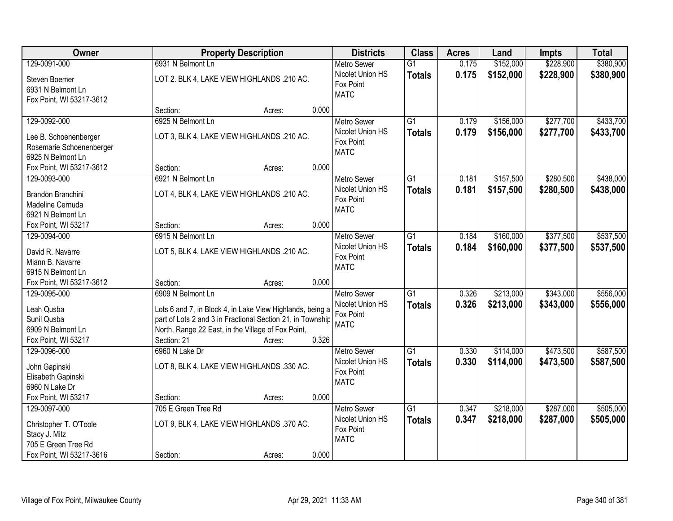| Owner                                 |                                                            | <b>Property Description</b> |       | <b>Districts</b>         | <b>Class</b>    | <b>Acres</b> | Land      | <b>Impts</b> | <b>Total</b> |
|---------------------------------------|------------------------------------------------------------|-----------------------------|-------|--------------------------|-----------------|--------------|-----------|--------------|--------------|
| 129-0091-000                          | 6931 N Belmont Ln                                          |                             |       | <b>Metro Sewer</b>       | $\overline{G1}$ | 0.175        | \$152,000 | \$228,900    | \$380,900    |
| Steven Boemer                         | LOT 2. BLK 4, LAKE VIEW HIGHLANDS .210 AC.                 |                             |       | Nicolet Union HS         | <b>Totals</b>   | 0.175        | \$152,000 | \$228,900    | \$380,900    |
| 6931 N Belmont Ln                     |                                                            |                             |       | Fox Point                |                 |              |           |              |              |
| Fox Point, WI 53217-3612              |                                                            |                             |       | <b>MATC</b>              |                 |              |           |              |              |
|                                       | Section:                                                   | Acres:                      | 0.000 |                          |                 |              |           |              |              |
| 129-0092-000                          | 6925 N Belmont Ln                                          |                             |       | <b>Metro Sewer</b>       | $\overline{G1}$ | 0.179        | \$156,000 | \$277,700    | \$433,700    |
| Lee B. Schoenenberger                 | LOT 3, BLK 4, LAKE VIEW HIGHLANDS .210 AC.                 |                             |       | Nicolet Union HS         | <b>Totals</b>   | 0.179        | \$156,000 | \$277,700    | \$433,700    |
| Rosemarie Schoenenberger              |                                                            |                             |       | Fox Point                |                 |              |           |              |              |
| 6925 N Belmont Ln                     |                                                            |                             |       | <b>MATC</b>              |                 |              |           |              |              |
| Fox Point, WI 53217-3612              | Section:                                                   | Acres:                      | 0.000 |                          |                 |              |           |              |              |
| 129-0093-000                          | 6921 N Belmont Ln                                          |                             |       | <b>Metro Sewer</b>       | G1              | 0.181        | \$157,500 | \$280,500    | \$438,000    |
|                                       |                                                            |                             |       | Nicolet Union HS         | <b>Totals</b>   | 0.181        | \$157,500 | \$280,500    | \$438,000    |
| Brandon Branchini                     | LOT 4, BLK 4, LAKE VIEW HIGHLANDS .210 AC.                 |                             |       | Fox Point                |                 |              |           |              |              |
| Madeline Cernuda<br>6921 N Belmont Ln |                                                            |                             |       | <b>MATC</b>              |                 |              |           |              |              |
| Fox Point, WI 53217                   | Section:                                                   | Acres:                      | 0.000 |                          |                 |              |           |              |              |
| 129-0094-000                          | 6915 N Belmont Ln                                          |                             |       | <b>Metro Sewer</b>       | G1              | 0.184        | \$160,000 | \$377,500    | \$537,500    |
|                                       |                                                            |                             |       | Nicolet Union HS         |                 |              |           |              |              |
| David R. Navarre                      | LOT 5, BLK 4, LAKE VIEW HIGHLANDS .210 AC.                 |                             |       | Fox Point                | <b>Totals</b>   | 0.184        | \$160,000 | \$377,500    | \$537,500    |
| Miann B. Navarre                      |                                                            |                             |       | <b>MATC</b>              |                 |              |           |              |              |
| 6915 N Belmont Ln                     |                                                            |                             |       |                          |                 |              |           |              |              |
| Fox Point, WI 53217-3612              | Section:                                                   | Acres:                      | 0.000 |                          |                 |              |           |              |              |
| 129-0095-000                          | 6909 N Belmont Ln                                          |                             |       | <b>Metro Sewer</b>       | $\overline{G1}$ | 0.326        | \$213,000 | \$343,000    | \$556,000    |
| Leah Qusba                            | Lots 6 and 7, in Block 4, in Lake View Highlands, being a  |                             |       | Nicolet Union HS         | <b>Totals</b>   | 0.326        | \$213,000 | \$343,000    | \$556,000    |
| Sunil Qusba                           | part of Lots 2 and 3 in Fractional Section 21, in Township |                             |       | Fox Point                |                 |              |           |              |              |
| 6909 N Belmont Ln                     | North, Range 22 East, in the Village of Fox Point,         |                             |       | <b>MATC</b>              |                 |              |           |              |              |
| Fox Point, WI 53217                   | Section: 21                                                | Acres:                      | 0.326 |                          |                 |              |           |              |              |
| 129-0096-000                          | 6960 N Lake Dr                                             |                             |       | <b>Metro Sewer</b>       | $\overline{G1}$ | 0.330        | \$114,000 | \$473,500    | \$587,500    |
|                                       |                                                            |                             |       | Nicolet Union HS         | <b>Totals</b>   | 0.330        | \$114,000 | \$473,500    | \$587,500    |
| John Gapinski                         | LOT 8, BLK 4, LAKE VIEW HIGHLANDS .330 AC.                 |                             |       | Fox Point                |                 |              |           |              |              |
| Elisabeth Gapinski                    |                                                            |                             |       | <b>MATC</b>              |                 |              |           |              |              |
| 6960 N Lake Dr                        |                                                            |                             |       |                          |                 |              |           |              |              |
| Fox Point, WI 53217                   | Section:                                                   | Acres:                      | 0.000 |                          |                 |              |           |              |              |
| 129-0097-000                          | 705 E Green Tree Rd                                        |                             |       | <b>Metro Sewer</b>       | $\overline{G1}$ | 0.347        | \$218,000 | \$287,000    | \$505,000    |
| Christopher T. O'Toole                | LOT 9, BLK 4, LAKE VIEW HIGHLANDS .370 AC.                 |                             |       | Nicolet Union HS         | <b>Totals</b>   | 0.347        | \$218,000 | \$287,000    | \$505,000    |
| Stacy J. Mitz                         |                                                            |                             |       | Fox Point<br><b>MATC</b> |                 |              |           |              |              |
| 705 E Green Tree Rd                   |                                                            |                             |       |                          |                 |              |           |              |              |
| Fox Point, WI 53217-3616              | Section:                                                   | Acres:                      | 0.000 |                          |                 |              |           |              |              |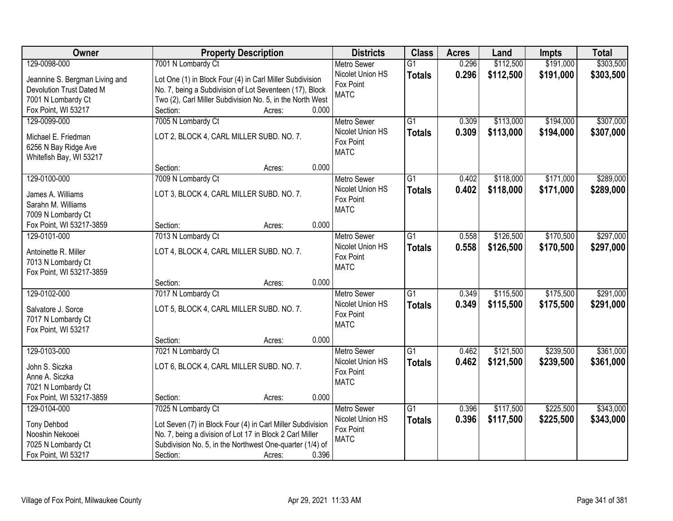| <b>Owner</b>                                    | <b>Property Description</b>                                | <b>Districts</b>                       | <b>Class</b>    | <b>Acres</b> | Land      | <b>Impts</b> | <b>Total</b> |
|-------------------------------------------------|------------------------------------------------------------|----------------------------------------|-----------------|--------------|-----------|--------------|--------------|
| 129-0098-000                                    | 7001 N Lombardy Ct                                         | <b>Metro Sewer</b>                     | $\overline{G1}$ | 0.296        | \$112,500 | \$191,000    | \$303,500    |
| Jeannine S. Bergman Living and                  | Lot One (1) in Block Four (4) in Carl Miller Subdivision   | Nicolet Union HS                       | <b>Totals</b>   | 0.296        | \$112,500 | \$191,000    | \$303,500    |
| Devolution Trust Dated M                        | No. 7, being a Subdivision of Lot Seventeen (17), Block    | Fox Point                              |                 |              |           |              |              |
| 7001 N Lombardy Ct                              | Two (2), Carl Miller Subdivision No. 5, in the North West  | <b>MATC</b>                            |                 |              |           |              |              |
| Fox Point, WI 53217                             | 0.000<br>Section:<br>Acres:                                |                                        |                 |              |           |              |              |
| 129-0099-000                                    | 7005 N Lombardy Ct                                         | <b>Metro Sewer</b>                     | $\overline{G1}$ | 0.309        | \$113,000 | \$194,000    | \$307,000    |
|                                                 |                                                            | Nicolet Union HS                       | <b>Totals</b>   | 0.309        | \$113,000 | \$194,000    | \$307,000    |
| Michael E. Friedman                             | LOT 2, BLOCK 4, CARL MILLER SUBD. NO. 7.                   | Fox Point                              |                 |              |           |              |              |
| 6256 N Bay Ridge Ave<br>Whitefish Bay, WI 53217 |                                                            | <b>MATC</b>                            |                 |              |           |              |              |
|                                                 | 0.000<br>Section:<br>Acres:                                |                                        |                 |              |           |              |              |
| 129-0100-000                                    | 7009 N Lombardy Ct                                         | Metro Sewer                            | G1              | 0.402        | \$118,000 | \$171,000    | \$289,000    |
|                                                 |                                                            | Nicolet Union HS                       | <b>Totals</b>   | 0.402        | \$118,000 | \$171,000    | \$289,000    |
| James A. Williams                               | LOT 3, BLOCK 4, CARL MILLER SUBD. NO. 7.                   | Fox Point                              |                 |              |           |              |              |
| Sarahn M. Williams                              |                                                            | <b>MATC</b>                            |                 |              |           |              |              |
| 7009 N Lombardy Ct                              |                                                            |                                        |                 |              |           |              |              |
| Fox Point, WI 53217-3859                        | 0.000<br>Section:<br>Acres:                                |                                        |                 |              |           |              |              |
| 129-0101-000                                    | 7013 N Lombardy Ct                                         | <b>Metro Sewer</b><br>Nicolet Union HS | G1              | 0.558        | \$126,500 | \$170,500    | \$297,000    |
| Antoinette R. Miller                            | LOT 4, BLOCK 4, CARL MILLER SUBD. NO. 7.                   | Fox Point                              | <b>Totals</b>   | 0.558        | \$126,500 | \$170,500    | \$297,000    |
| 7013 N Lombardy Ct                              |                                                            | <b>MATC</b>                            |                 |              |           |              |              |
| Fox Point, WI 53217-3859                        |                                                            |                                        |                 |              |           |              |              |
|                                                 | 0.000<br>Section:<br>Acres:                                |                                        |                 |              |           |              |              |
| 129-0102-000                                    | 7017 N Lombardy Ct                                         | <b>Metro Sewer</b>                     | $\overline{G1}$ | 0.349        | \$115,500 | \$175,500    | \$291,000    |
| Salvatore J. Sorce                              | LOT 5, BLOCK 4, CARL MILLER SUBD. NO. 7.                   | Nicolet Union HS                       | <b>Totals</b>   | 0.349        | \$115,500 | \$175,500    | \$291,000    |
| 7017 N Lombardy Ct                              |                                                            | Fox Point                              |                 |              |           |              |              |
| Fox Point, WI 53217                             |                                                            | <b>MATC</b>                            |                 |              |           |              |              |
|                                                 | 0.000<br>Section:<br>Acres:                                |                                        |                 |              |           |              |              |
| 129-0103-000                                    | 7021 N Lombardy Ct                                         | Metro Sewer                            | $\overline{G1}$ | 0.462        | \$121,500 | \$239,500    | \$361,000    |
| John S. Siczka                                  | LOT 6, BLOCK 4, CARL MILLER SUBD. NO. 7.                   | Nicolet Union HS                       | <b>Totals</b>   | 0.462        | \$121,500 | \$239,500    | \$361,000    |
| Anne A. Siczka                                  |                                                            | Fox Point                              |                 |              |           |              |              |
| 7021 N Lombardy Ct                              |                                                            | <b>MATC</b>                            |                 |              |           |              |              |
| Fox Point, WI 53217-3859                        | 0.000<br>Section:<br>Acres:                                |                                        |                 |              |           |              |              |
| 129-0104-000                                    | 7025 N Lombardy Ct                                         | <b>Metro Sewer</b>                     | $\overline{G1}$ | 0.396        | \$117,500 | \$225,500    | \$343,000    |
|                                                 |                                                            | Nicolet Union HS                       | <b>Totals</b>   | 0.396        | \$117,500 | \$225,500    | \$343,000    |
| <b>Tony Dehbod</b>                              | Lot Seven (7) in Block Four (4) in Carl Miller Subdivision | Fox Point                              |                 |              |           |              |              |
| Nooshin Nekooei                                 | No. 7, being a division of Lot 17 in Block 2 Carl Miller   | <b>MATC</b>                            |                 |              |           |              |              |
| 7025 N Lombardy Ct                              | Subdivision No. 5, in the Northwest One-quarter (1/4) of   |                                        |                 |              |           |              |              |
| Fox Point, WI 53217                             | 0.396<br>Section:<br>Acres:                                |                                        |                 |              |           |              |              |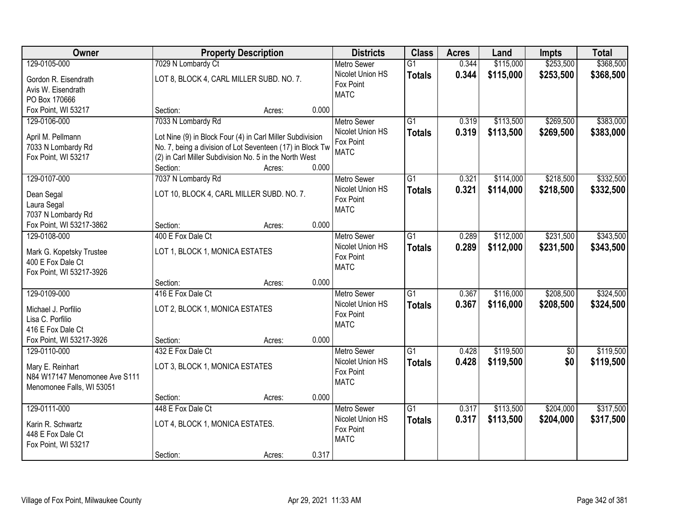| Owner                                         |                                 | <b>Property Description</b>                               |       | <b>Districts</b>         | <b>Class</b>    | <b>Acres</b> | Land      | <b>Impts</b>    | <b>Total</b> |
|-----------------------------------------------|---------------------------------|-----------------------------------------------------------|-------|--------------------------|-----------------|--------------|-----------|-----------------|--------------|
| 129-0105-000                                  | 7029 N Lombardy Ct              |                                                           |       | <b>Metro Sewer</b>       | $\overline{G1}$ | 0.344        | \$115,000 | \$253,500       | \$368,500    |
| Gordon R. Eisendrath                          |                                 | LOT 8, BLOCK 4, CARL MILLER SUBD. NO. 7.                  |       | Nicolet Union HS         | <b>Totals</b>   | 0.344        | \$115,000 | \$253,500       | \$368,500    |
| Avis W. Eisendrath                            |                                 |                                                           |       | Fox Point                |                 |              |           |                 |              |
| PO Box 170666                                 |                                 |                                                           |       | <b>MATC</b>              |                 |              |           |                 |              |
| Fox Point, WI 53217                           | Section:                        | Acres:                                                    | 0.000 |                          |                 |              |           |                 |              |
| 129-0106-000                                  | 7033 N Lombardy Rd              |                                                           |       | <b>Metro Sewer</b>       | $\overline{G1}$ | 0.319        | \$113,500 | \$269,500       | \$383,000    |
|                                               |                                 |                                                           |       | Nicolet Union HS         | <b>Totals</b>   | 0.319        | \$113,500 | \$269,500       | \$383,000    |
| April M. Pellmann                             |                                 | Lot Nine (9) in Block Four (4) in Carl Miller Subdivision |       | Fox Point                |                 |              |           |                 |              |
| 7033 N Lombardy Rd                            |                                 | No. 7, being a division of Lot Seventeen (17) in Block Tw |       | <b>MATC</b>              |                 |              |           |                 |              |
| Fox Point, WI 53217                           | Section:                        | (2) in Carl Miller Subdivision No. 5 in the North West    | 0.000 |                          |                 |              |           |                 |              |
| 129-0107-000                                  |                                 | Acres:                                                    |       | Metro Sewer              | $\overline{G1}$ | 0.321        | \$114,000 | \$218,500       | \$332,500    |
|                                               | 7037 N Lombardy Rd              |                                                           |       |                          |                 |              |           |                 |              |
| Dean Segal                                    |                                 | LOT 10, BLOCK 4, CARL MILLER SUBD. NO. 7.                 |       | Nicolet Union HS         | <b>Totals</b>   | 0.321        | \$114,000 | \$218,500       | \$332,500    |
| Laura Segal                                   |                                 |                                                           |       | Fox Point<br><b>MATC</b> |                 |              |           |                 |              |
| 7037 N Lombardy Rd                            |                                 |                                                           |       |                          |                 |              |           |                 |              |
| Fox Point, WI 53217-3862                      | Section:                        | Acres:                                                    | 0.000 |                          |                 |              |           |                 |              |
| 129-0108-000                                  | 400 E Fox Dale Ct               |                                                           |       | <b>Metro Sewer</b>       | $\overline{G1}$ | 0.289        | \$112,000 | \$231,500       | \$343,500    |
|                                               | LOT 1, BLOCK 1, MONICA ESTATES  |                                                           |       | Nicolet Union HS         | <b>Totals</b>   | 0.289        | \$112,000 | \$231,500       | \$343,500    |
| Mark G. Kopetsky Trustee<br>400 E Fox Dale Ct |                                 |                                                           |       | Fox Point                |                 |              |           |                 |              |
| Fox Point, WI 53217-3926                      |                                 |                                                           |       | <b>MATC</b>              |                 |              |           |                 |              |
|                                               | Section:                        | Acres:                                                    | 0.000 |                          |                 |              |           |                 |              |
| 129-0109-000                                  | 416 E Fox Dale Ct               |                                                           |       | <b>Metro Sewer</b>       | $\overline{G1}$ | 0.367        | \$116,000 | \$208,500       | \$324,500    |
|                                               |                                 |                                                           |       | Nicolet Union HS         |                 | 0.367        |           |                 |              |
| Michael J. Porfilio                           | LOT 2, BLOCK 1, MONICA ESTATES  |                                                           |       | Fox Point                | <b>Totals</b>   |              | \$116,000 | \$208,500       | \$324,500    |
| Lisa C. Porfilio                              |                                 |                                                           |       | <b>MATC</b>              |                 |              |           |                 |              |
| 416 E Fox Dale Ct                             |                                 |                                                           |       |                          |                 |              |           |                 |              |
| Fox Point, WI 53217-3926                      | Section:                        | Acres:                                                    | 0.000 |                          |                 |              |           |                 |              |
| 129-0110-000                                  | 432 E Fox Dale Ct               |                                                           |       | <b>Metro Sewer</b>       | $\overline{G1}$ | 0.428        | \$119,500 | $\overline{50}$ | \$119,500    |
| Mary E. Reinhart                              | LOT 3, BLOCK 1, MONICA ESTATES  |                                                           |       | Nicolet Union HS         | <b>Totals</b>   | 0.428        | \$119,500 | \$0             | \$119,500    |
| N84 W17147 Menomonee Ave S111                 |                                 |                                                           |       | Fox Point                |                 |              |           |                 |              |
| Menomonee Falls, WI 53051                     |                                 |                                                           |       | <b>MATC</b>              |                 |              |           |                 |              |
|                                               | Section:                        | Acres:                                                    | 0.000 |                          |                 |              |           |                 |              |
| 129-0111-000                                  | 448 E Fox Dale Ct               |                                                           |       | <b>Metro Sewer</b>       | $\overline{G1}$ | 0.317        | \$113,500 | \$204,000       | \$317,500    |
|                                               |                                 |                                                           |       | Nicolet Union HS         | <b>Totals</b>   | 0.317        | \$113,500 | \$204,000       | \$317,500    |
| Karin R. Schwartz                             | LOT 4, BLOCK 1, MONICA ESTATES. |                                                           |       | Fox Point                |                 |              |           |                 |              |
| 448 E Fox Dale Ct                             |                                 |                                                           |       | <b>MATC</b>              |                 |              |           |                 |              |
| Fox Point, WI 53217                           |                                 |                                                           |       |                          |                 |              |           |                 |              |
|                                               | Section:                        | Acres:                                                    | 0.317 |                          |                 |              |           |                 |              |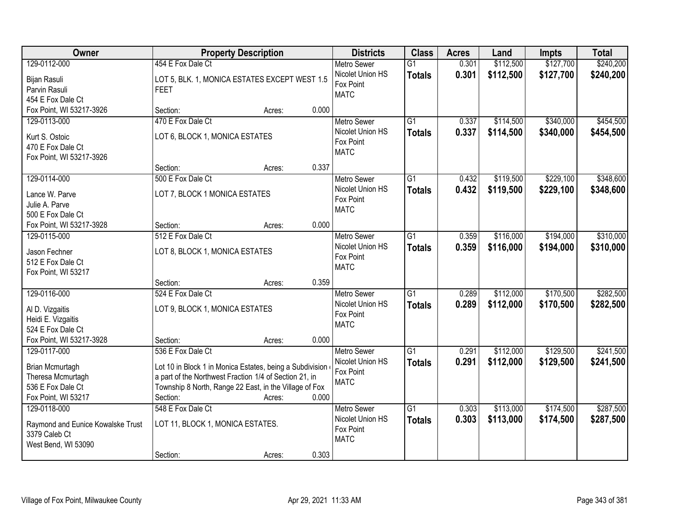| Owner                             | <b>Property Description</b>                              |        |       | <b>Districts</b>         | <b>Class</b>    | <b>Acres</b> | Land      | <b>Impts</b> | <b>Total</b> |
|-----------------------------------|----------------------------------------------------------|--------|-------|--------------------------|-----------------|--------------|-----------|--------------|--------------|
| 129-0112-000                      | 454 E Fox Dale Ct                                        |        |       | <b>Metro Sewer</b>       | $\overline{G1}$ | 0.301        | \$112,500 | \$127,700    | \$240,200    |
| Bijan Rasuli                      | LOT 5, BLK. 1, MONICA ESTATES EXCEPT WEST 1.5            |        |       | Nicolet Union HS         | <b>Totals</b>   | 0.301        | \$112,500 | \$127,700    | \$240,200    |
| Parvin Rasuli                     | <b>FEET</b>                                              |        |       | Fox Point                |                 |              |           |              |              |
| 454 E Fox Dale Ct                 |                                                          |        |       | <b>MATC</b>              |                 |              |           |              |              |
| Fox Point, WI 53217-3926          | Section:                                                 | Acres: | 0.000 |                          |                 |              |           |              |              |
| 129-0113-000                      | 470 E Fox Dale Ct                                        |        |       | <b>Metro Sewer</b>       | $\overline{G1}$ | 0.337        | \$114,500 | \$340,000    | \$454,500    |
| Kurt S. Ostoic                    | LOT 6, BLOCK 1, MONICA ESTATES                           |        |       | Nicolet Union HS         | <b>Totals</b>   | 0.337        | \$114,500 | \$340,000    | \$454,500    |
| 470 E Fox Dale Ct                 |                                                          |        |       | Fox Point                |                 |              |           |              |              |
| Fox Point, WI 53217-3926          |                                                          |        |       | <b>MATC</b>              |                 |              |           |              |              |
|                                   | Section:                                                 | Acres: | 0.337 |                          |                 |              |           |              |              |
| 129-0114-000                      | 500 E Fox Dale Ct                                        |        |       | Metro Sewer              | $\overline{G1}$ | 0.432        | \$119,500 | \$229,100    | \$348,600    |
|                                   |                                                          |        |       | Nicolet Union HS         | <b>Totals</b>   | 0.432        | \$119,500 | \$229,100    | \$348,600    |
| Lance W. Parve                    | LOT 7, BLOCK 1 MONICA ESTATES                            |        |       | Fox Point                |                 |              |           |              |              |
| Julie A. Parve                    |                                                          |        |       | <b>MATC</b>              |                 |              |           |              |              |
| 500 E Fox Dale Ct                 |                                                          |        |       |                          |                 |              |           |              |              |
| Fox Point, WI 53217-3928          | Section:                                                 | Acres: | 0.000 |                          |                 |              |           |              |              |
| 129-0115-000                      | 512 E Fox Dale Ct                                        |        |       | <b>Metro Sewer</b>       | $\overline{G1}$ | 0.359        | \$116,000 | \$194,000    | \$310,000    |
| Jason Fechner                     | LOT 8, BLOCK 1, MONICA ESTATES                           |        |       | Nicolet Union HS         | <b>Totals</b>   | 0.359        | \$116,000 | \$194,000    | \$310,000    |
| 512 E Fox Dale Ct                 |                                                          |        |       | Fox Point<br><b>MATC</b> |                 |              |           |              |              |
| Fox Point, WI 53217               |                                                          |        |       |                          |                 |              |           |              |              |
|                                   | Section:                                                 | Acres: | 0.359 |                          |                 |              |           |              |              |
| 129-0116-000                      | 524 E Fox Dale Ct                                        |        |       | <b>Metro Sewer</b>       | $\overline{G1}$ | 0.289        | \$112,000 | \$170,500    | \$282,500    |
| Al D. Vizgaitis                   | LOT 9, BLOCK 1, MONICA ESTATES                           |        |       | Nicolet Union HS         | <b>Totals</b>   | 0.289        | \$112,000 | \$170,500    | \$282,500    |
| Heidi E. Vizgaitis                |                                                          |        |       | Fox Point                |                 |              |           |              |              |
| 524 E Fox Dale Ct                 |                                                          |        |       | <b>MATC</b>              |                 |              |           |              |              |
| Fox Point, WI 53217-3928          | Section:                                                 | Acres: | 0.000 |                          |                 |              |           |              |              |
| 129-0117-000                      | 536 E Fox Dale Ct                                        |        |       | <b>Metro Sewer</b>       | G1              | 0.291        | \$112,000 | \$129,500    | \$241,500    |
|                                   |                                                          |        |       | Nicolet Union HS         | <b>Totals</b>   | 0.291        | \$112,000 | \$129,500    | \$241,500    |
| Brian Mcmurtagh                   | Lot 10 in Block 1 in Monica Estates, being a Subdivision |        |       | Fox Point                |                 |              |           |              |              |
| Theresa Mcmurtagh                 | a part of the Northwest Fraction 1/4 of Section 21, in   |        |       | <b>MATC</b>              |                 |              |           |              |              |
| 536 E Fox Dale Ct                 | Township 8 North, Range 22 East, in the Village of Fox   |        |       |                          |                 |              |           |              |              |
| Fox Point, WI 53217               | Section:                                                 | Acres: | 0.000 |                          |                 |              |           |              |              |
| 129-0118-000                      | 548 E Fox Dale Ct                                        |        |       | <b>Metro Sewer</b>       | G1              | 0.303        | \$113,000 | \$174,500    | \$287,500    |
| Raymond and Eunice Kowalske Trust | LOT 11, BLOCK 1, MONICA ESTATES.                         |        |       | Nicolet Union HS         | <b>Totals</b>   | 0.303        | \$113,000 | \$174,500    | \$287,500    |
| 3379 Caleb Ct                     |                                                          |        |       | Fox Point                |                 |              |           |              |              |
| West Bend, WI 53090               |                                                          |        |       | <b>MATC</b>              |                 |              |           |              |              |
|                                   | Section:                                                 | Acres: | 0.303 |                          |                 |              |           |              |              |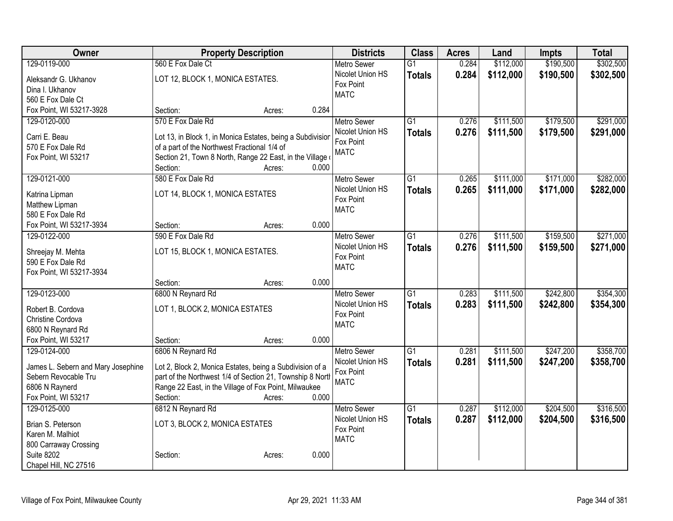| \$190,500<br>\$302,500<br>129-0119-000<br>560 E Fox Dale Ct<br>0.284<br>\$112,000<br>$\overline{G1}$<br><b>Metro Sewer</b><br>Nicolet Union HS<br>\$302,500<br>0.284<br>\$112,000<br>\$190,500<br><b>Totals</b><br>LOT 12, BLOCK 1, MONICA ESTATES.<br>Aleksandr G. Ukhanov<br>Fox Point<br>Dina I. Ukhanov<br><b>MATC</b><br>560 E Fox Dale Ct<br>0.284<br>Fox Point, WI 53217-3928<br>Section:<br>Acres:<br>570 E Fox Dale Rd<br>\$291,000<br>129-0120-000<br>$\overline{G1}$<br>\$111,500<br>\$179,500<br><b>Metro Sewer</b><br>0.276<br>Nicolet Union HS<br>0.276<br>\$111,500<br>\$179,500<br>\$291,000<br><b>Totals</b><br>Carri E. Beau<br>Lot 13, in Block 1, in Monica Estates, being a Subdivisior<br>Fox Point<br>of a part of the Northwest Fractional 1/4 of<br>570 E Fox Dale Rd<br><b>MATC</b><br>Section 21, Town 8 North, Range 22 East, in the Village<br>Fox Point, WI 53217 |
|-------------------------------------------------------------------------------------------------------------------------------------------------------------------------------------------------------------------------------------------------------------------------------------------------------------------------------------------------------------------------------------------------------------------------------------------------------------------------------------------------------------------------------------------------------------------------------------------------------------------------------------------------------------------------------------------------------------------------------------------------------------------------------------------------------------------------------------------------------------------------------------------------|
|                                                                                                                                                                                                                                                                                                                                                                                                                                                                                                                                                                                                                                                                                                                                                                                                                                                                                                 |
|                                                                                                                                                                                                                                                                                                                                                                                                                                                                                                                                                                                                                                                                                                                                                                                                                                                                                                 |
|                                                                                                                                                                                                                                                                                                                                                                                                                                                                                                                                                                                                                                                                                                                                                                                                                                                                                                 |
|                                                                                                                                                                                                                                                                                                                                                                                                                                                                                                                                                                                                                                                                                                                                                                                                                                                                                                 |
|                                                                                                                                                                                                                                                                                                                                                                                                                                                                                                                                                                                                                                                                                                                                                                                                                                                                                                 |
|                                                                                                                                                                                                                                                                                                                                                                                                                                                                                                                                                                                                                                                                                                                                                                                                                                                                                                 |
|                                                                                                                                                                                                                                                                                                                                                                                                                                                                                                                                                                                                                                                                                                                                                                                                                                                                                                 |
|                                                                                                                                                                                                                                                                                                                                                                                                                                                                                                                                                                                                                                                                                                                                                                                                                                                                                                 |
|                                                                                                                                                                                                                                                                                                                                                                                                                                                                                                                                                                                                                                                                                                                                                                                                                                                                                                 |
| Section:<br>0.000<br>Acres:                                                                                                                                                                                                                                                                                                                                                                                                                                                                                                                                                                                                                                                                                                                                                                                                                                                                     |
| 580 E Fox Dale Rd<br>\$171,000<br>\$282,000<br>129-0121-000<br>$\overline{G1}$<br>\$111,000<br><b>Metro Sewer</b><br>0.265                                                                                                                                                                                                                                                                                                                                                                                                                                                                                                                                                                                                                                                                                                                                                                      |
| Nicolet Union HS<br>0.265<br>\$111,000<br>\$171,000<br>\$282,000<br><b>Totals</b>                                                                                                                                                                                                                                                                                                                                                                                                                                                                                                                                                                                                                                                                                                                                                                                                               |
| LOT 14, BLOCK 1, MONICA ESTATES<br>Katrina Lipman<br>Fox Point                                                                                                                                                                                                                                                                                                                                                                                                                                                                                                                                                                                                                                                                                                                                                                                                                                  |
| Matthew Lipman<br><b>MATC</b>                                                                                                                                                                                                                                                                                                                                                                                                                                                                                                                                                                                                                                                                                                                                                                                                                                                                   |
| 580 E Fox Dale Rd<br>0.000                                                                                                                                                                                                                                                                                                                                                                                                                                                                                                                                                                                                                                                                                                                                                                                                                                                                      |
| Fox Point, WI 53217-3934<br>Section:<br>Acres:<br>\$159,500<br>\$271,000<br>129-0122-000<br>590 E Fox Dale Rd<br>$\overline{G1}$                                                                                                                                                                                                                                                                                                                                                                                                                                                                                                                                                                                                                                                                                                                                                                |
| 0.276<br>\$111,500<br><b>Metro Sewer</b>                                                                                                                                                                                                                                                                                                                                                                                                                                                                                                                                                                                                                                                                                                                                                                                                                                                        |
| 0.276<br>Nicolet Union HS<br>\$111,500<br>\$159,500<br>\$271,000<br><b>Totals</b><br>LOT 15, BLOCK 1, MONICA ESTATES.<br>Shreejay M. Mehta<br>Fox Point                                                                                                                                                                                                                                                                                                                                                                                                                                                                                                                                                                                                                                                                                                                                         |
| 590 E Fox Dale Rd<br><b>MATC</b>                                                                                                                                                                                                                                                                                                                                                                                                                                                                                                                                                                                                                                                                                                                                                                                                                                                                |
| Fox Point, WI 53217-3934                                                                                                                                                                                                                                                                                                                                                                                                                                                                                                                                                                                                                                                                                                                                                                                                                                                                        |
| 0.000<br>Section:<br>Acres:                                                                                                                                                                                                                                                                                                                                                                                                                                                                                                                                                                                                                                                                                                                                                                                                                                                                     |
| 129-0123-000<br>6800 N Reynard Rd<br>$\overline{G1}$<br>\$111,500<br>\$242,800<br>\$354,300<br>0.283<br>Metro Sewer                                                                                                                                                                                                                                                                                                                                                                                                                                                                                                                                                                                                                                                                                                                                                                             |
| Nicolet Union HS<br>0.283<br>\$111,500<br>\$242,800<br>\$354,300<br><b>Totals</b><br>LOT 1, BLOCK 2, MONICA ESTATES<br>Robert B. Cordova                                                                                                                                                                                                                                                                                                                                                                                                                                                                                                                                                                                                                                                                                                                                                        |
| Fox Point<br>Christine Cordova                                                                                                                                                                                                                                                                                                                                                                                                                                                                                                                                                                                                                                                                                                                                                                                                                                                                  |
| <b>MATC</b><br>6800 N Reynard Rd                                                                                                                                                                                                                                                                                                                                                                                                                                                                                                                                                                                                                                                                                                                                                                                                                                                                |
| Fox Point, WI 53217<br>0.000<br>Section:<br>Acres:                                                                                                                                                                                                                                                                                                                                                                                                                                                                                                                                                                                                                                                                                                                                                                                                                                              |
| 6806 N Reynard Rd<br>$\overline{G1}$<br>\$111,500<br>\$247,200<br>\$358,700<br>129-0124-000<br><b>Metro Sewer</b><br>0.281                                                                                                                                                                                                                                                                                                                                                                                                                                                                                                                                                                                                                                                                                                                                                                      |
| Nicolet Union HS<br>0.281<br>\$111,500<br>\$247,200<br>\$358,700<br><b>Totals</b><br>Lot 2, Block 2, Monica Estates, being a Subdivision of a<br>James L. Sebern and Mary Josephine                                                                                                                                                                                                                                                                                                                                                                                                                                                                                                                                                                                                                                                                                                             |
| Fox Point<br>Sebern Revocable Tru<br>part of the Northwest 1/4 of Section 21, Township 8 North                                                                                                                                                                                                                                                                                                                                                                                                                                                                                                                                                                                                                                                                                                                                                                                                  |
| <b>MATC</b><br>6806 N Raynerd<br>Range 22 East, in the Village of Fox Point, Milwaukee                                                                                                                                                                                                                                                                                                                                                                                                                                                                                                                                                                                                                                                                                                                                                                                                          |
| Fox Point, WI 53217<br>0.000<br>Section:<br>Acres:                                                                                                                                                                                                                                                                                                                                                                                                                                                                                                                                                                                                                                                                                                                                                                                                                                              |
| 6812 N Reynard Rd<br>$\overline{G1}$<br>\$112,000<br>\$204,500<br>\$316,500<br>129-0125-000<br><b>Metro Sewer</b><br>0.287                                                                                                                                                                                                                                                                                                                                                                                                                                                                                                                                                                                                                                                                                                                                                                      |
| Nicolet Union HS<br>0.287<br>\$112,000<br>\$204,500<br>\$316,500<br><b>Totals</b>                                                                                                                                                                                                                                                                                                                                                                                                                                                                                                                                                                                                                                                                                                                                                                                                               |
| LOT 3, BLOCK 2, MONICA ESTATES<br>Brian S. Peterson<br>Fox Point                                                                                                                                                                                                                                                                                                                                                                                                                                                                                                                                                                                                                                                                                                                                                                                                                                |
| Karen M. Malhiot<br><b>MATC</b>                                                                                                                                                                                                                                                                                                                                                                                                                                                                                                                                                                                                                                                                                                                                                                                                                                                                 |
| 800 Carraway Crossing<br><b>Suite 8202</b><br>Section:<br>0.000                                                                                                                                                                                                                                                                                                                                                                                                                                                                                                                                                                                                                                                                                                                                                                                                                                 |
| Acres:<br>Chapel Hill, NC 27516                                                                                                                                                                                                                                                                                                                                                                                                                                                                                                                                                                                                                                                                                                                                                                                                                                                                 |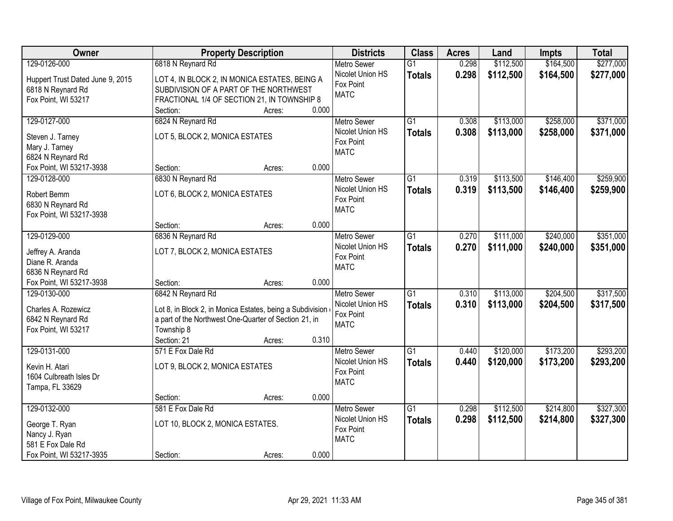| Owner                                | <b>Property Description</b>                               | <b>Districts</b>   | <b>Class</b>    | <b>Acres</b> | Land      | <b>Impts</b> | <b>Total</b> |
|--------------------------------------|-----------------------------------------------------------|--------------------|-----------------|--------------|-----------|--------------|--------------|
| 129-0126-000                         | 6818 N Reynard Rd                                         | <b>Metro Sewer</b> | $\overline{G1}$ | 0.298        | \$112,500 | \$164,500    | \$277,000    |
| Huppert Trust Dated June 9, 2015     | LOT 4, IN BLOCK 2, IN MONICA ESTATES, BEING A             | Nicolet Union HS   | <b>Totals</b>   | 0.298        | \$112,500 | \$164,500    | \$277,000    |
| 6818 N Reynard Rd                    | SUBDIVISION OF A PART OF THE NORTHWEST                    | Fox Point          |                 |              |           |              |              |
| Fox Point, WI 53217                  | FRACTIONAL 1/4 OF SECTION 21, IN TOWNSHIP 8               | <b>MATC</b>        |                 |              |           |              |              |
|                                      | 0.000<br>Section:<br>Acres:                               |                    |                 |              |           |              |              |
| 129-0127-000                         | 6824 N Reynard Rd                                         | <b>Metro Sewer</b> | $\overline{G1}$ | 0.308        | \$113,000 | \$258,000    | \$371,000    |
| Steven J. Tarney                     | LOT 5, BLOCK 2, MONICA ESTATES                            | Nicolet Union HS   | <b>Totals</b>   | 0.308        | \$113,000 | \$258,000    | \$371,000    |
| Mary J. Tarney                       |                                                           | Fox Point          |                 |              |           |              |              |
| 6824 N Reynard Rd                    |                                                           | <b>MATC</b>        |                 |              |           |              |              |
| Fox Point, WI 53217-3938             | 0.000<br>Section:<br>Acres:                               |                    |                 |              |           |              |              |
| 129-0128-000                         | 6830 N Reynard Rd                                         | Metro Sewer        | $\overline{G1}$ | 0.319        | \$113,500 | \$146,400    | \$259,900    |
| Robert Bemm                          | LOT 6, BLOCK 2, MONICA ESTATES                            | Nicolet Union HS   | <b>Totals</b>   | 0.319        | \$113,500 | \$146,400    | \$259,900    |
| 6830 N Reynard Rd                    |                                                           | Fox Point          |                 |              |           |              |              |
| Fox Point, WI 53217-3938             |                                                           | <b>MATC</b>        |                 |              |           |              |              |
|                                      | 0.000<br>Section:<br>Acres:                               |                    |                 |              |           |              |              |
| 129-0129-000                         | 6836 N Reynard Rd                                         | <b>Metro Sewer</b> | $\overline{G1}$ | 0.270        | \$111,000 | \$240,000    | \$351,000    |
|                                      |                                                           | Nicolet Union HS   | <b>Totals</b>   | 0.270        | \$111,000 | \$240,000    | \$351,000    |
| Jeffrey A. Aranda<br>Diane R. Aranda | LOT 7, BLOCK 2, MONICA ESTATES                            | Fox Point          |                 |              |           |              |              |
| 6836 N Reynard Rd                    |                                                           | <b>MATC</b>        |                 |              |           |              |              |
| Fox Point, WI 53217-3938             | 0.000<br>Section:<br>Acres:                               |                    |                 |              |           |              |              |
| 129-0130-000                         | 6842 N Reynard Rd                                         | <b>Metro Sewer</b> | $\overline{G1}$ | 0.310        | \$113,000 | \$204,500    | \$317,500    |
|                                      |                                                           | Nicolet Union HS   | <b>Totals</b>   | 0.310        | \$113,000 | \$204,500    | \$317,500    |
| Charles A. Rozewicz                  | Lot 8, in Block 2, in Monica Estates, being a Subdivision | Fox Point          |                 |              |           |              |              |
| 6842 N Reynard Rd                    | a part of the Northwest One-Quarter of Section 21, in     | <b>MATC</b>        |                 |              |           |              |              |
| Fox Point, WI 53217                  | Township 8                                                |                    |                 |              |           |              |              |
|                                      | 0.310<br>Section: 21<br>Acres:                            |                    |                 |              |           |              |              |
| 129-0131-000                         | 571 E Fox Dale Rd                                         | Metro Sewer        | $\overline{G1}$ | 0.440        | \$120,000 | \$173,200    | \$293,200    |
| Kevin H. Atari                       | LOT 9, BLOCK 2, MONICA ESTATES                            | Nicolet Union HS   | <b>Totals</b>   | 0.440        | \$120,000 | \$173,200    | \$293,200    |
| 1604 Culbreath Isles Dr              |                                                           | Fox Point          |                 |              |           |              |              |
| Tampa, FL 33629                      |                                                           | <b>MATC</b>        |                 |              |           |              |              |
|                                      | 0.000<br>Section:<br>Acres:                               |                    |                 |              |           |              |              |
| 129-0132-000                         | 581 E Fox Dale Rd                                         | <b>Metro Sewer</b> | $\overline{G1}$ | 0.298        | \$112,500 | \$214,800    | \$327,300    |
| George T. Ryan                       | LOT 10, BLOCK 2, MONICA ESTATES.                          | Nicolet Union HS   | <b>Totals</b>   | 0.298        | \$112,500 | \$214,800    | \$327,300    |
| Nancy J. Ryan                        |                                                           | Fox Point          |                 |              |           |              |              |
| 581 E Fox Dale Rd                    |                                                           | <b>MATC</b>        |                 |              |           |              |              |
| Fox Point, WI 53217-3935             | 0.000<br>Section:<br>Acres:                               |                    |                 |              |           |              |              |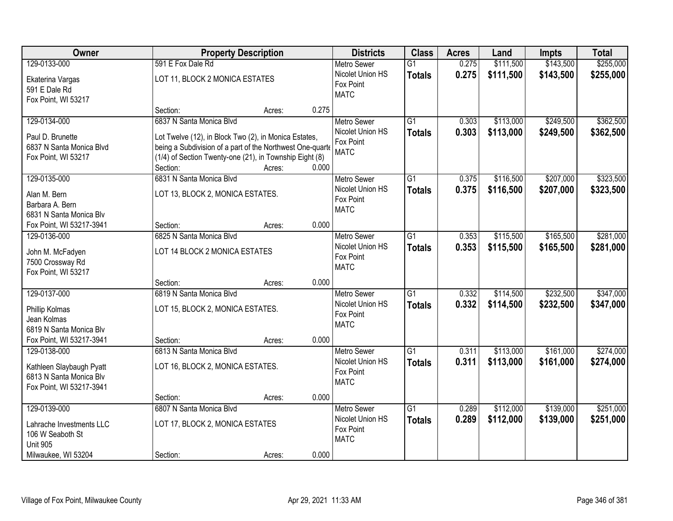| \$255,000<br>129-0133-000<br>591 E Fox Dale Rd<br>\$111,500<br>\$143,500<br>$\overline{G1}$<br>0.275<br><b>Metro Sewer</b><br>0.275<br>Nicolet Union HS<br>\$111,500<br>\$143,500<br>\$255,000<br><b>Totals</b><br>LOT 11, BLOCK 2 MONICA ESTATES<br>Ekaterina Vargas<br>Fox Point<br>591 E Dale Rd<br><b>MATC</b><br>Fox Point, WI 53217<br>0.275<br>Section:<br>Acres:<br>129-0134-000<br>$\overline{G1}$<br>\$113,000<br>\$249,500<br>\$362,500<br>6837 N Santa Monica Blvd<br>0.303<br><b>Metro Sewer</b><br>Nicolet Union HS<br>0.303<br>\$113,000<br>\$249,500<br>\$362,500<br><b>Totals</b><br>Paul D. Brunette<br>Lot Twelve (12), in Block Two (2), in Monica Estates,<br>Fox Point<br>6837 N Santa Monica Blvd<br>being a Subdivision of a part of the Northwest One-quarte<br><b>MATC</b><br>(1/4) of Section Twenty-one (21), in Township Eight (8)<br>Fox Point, WI 53217<br>0.000<br>Section:<br>Acres:<br>6831 N Santa Monica Blvd<br>\$207,000<br>\$323,500<br>129-0135-000<br>G1<br>0.375<br>\$116,500<br><b>Metro Sewer</b><br>Nicolet Union HS<br>0.375<br>\$116,500<br>\$207,000<br>\$323,500<br><b>Totals</b><br>Alan M. Bern<br>LOT 13, BLOCK 2, MONICA ESTATES.<br>Fox Point<br>Barbara A. Bern<br><b>MATC</b><br>6831 N Santa Monica Blv<br>0.000<br>Fox Point, WI 53217-3941<br>Section:<br>Acres:<br>6825 N Santa Monica Blvd<br>\$115,500<br>\$165,500<br>\$281,000<br>129-0136-000<br><b>Metro Sewer</b><br>G1<br>0.353<br>Nicolet Union HS<br>0.353<br>\$115,500<br>\$165,500<br>\$281,000<br><b>Totals</b><br>LOT 14 BLOCK 2 MONICA ESTATES<br>John M. McFadyen<br>Fox Point<br>7500 Crossway Rd<br><b>MATC</b><br>Fox Point, WI 53217<br>0.000<br>Section:<br>Acres:<br>\$232,500<br>\$347,000<br>129-0137-000<br>6819 N Santa Monica Blvd<br>$\overline{G1}$<br>0.332<br>\$114,500<br><b>Metro Sewer</b><br>Nicolet Union HS<br>0.332<br>\$114,500<br>\$232,500<br>\$347,000<br><b>Totals</b><br>LOT 15, BLOCK 2, MONICA ESTATES.<br>Phillip Kolmas<br>Fox Point<br>Jean Kolmas<br><b>MATC</b><br>6819 N Santa Monica Blv<br>Fox Point, WI 53217-3941<br>0.000<br>Section:<br>Acres:<br>$\overline{G1}$<br>\$161,000<br>\$274,000<br>129-0138-000<br>6813 N Santa Monica Blvd<br>0.311<br>\$113,000<br><b>Metro Sewer</b><br>Nicolet Union HS<br>0.311<br>\$113,000<br>\$161,000<br>\$274,000<br><b>Totals</b><br>Kathleen Slaybaugh Pyatt<br>LOT 16, BLOCK 2, MONICA ESTATES.<br>Fox Point<br>6813 N Santa Monica Blv<br><b>MATC</b><br>Fox Point, WI 53217-3941<br>0.000<br>Section:<br>Acres:<br>129-0139-000<br>6807 N Santa Monica Blvd<br>$\overline{G1}$<br>\$112,000<br>\$139,000<br>\$251,000<br>0.289<br><b>Metro Sewer</b><br>Nicolet Union HS<br>0.289<br>\$112,000<br>\$139,000<br>\$251,000<br><b>Totals</b><br>LOT 17, BLOCK 2, MONICA ESTATES<br>Lahrache Investments LLC<br>Fox Point<br>106 W Seaboth St<br><b>MATC</b><br><b>Unit 905</b> | Owner               |          | <b>Property Description</b> |       | <b>Districts</b> | <b>Class</b> | <b>Acres</b> | Land | <b>Impts</b> | <b>Total</b> |
|----------------------------------------------------------------------------------------------------------------------------------------------------------------------------------------------------------------------------------------------------------------------------------------------------------------------------------------------------------------------------------------------------------------------------------------------------------------------------------------------------------------------------------------------------------------------------------------------------------------------------------------------------------------------------------------------------------------------------------------------------------------------------------------------------------------------------------------------------------------------------------------------------------------------------------------------------------------------------------------------------------------------------------------------------------------------------------------------------------------------------------------------------------------------------------------------------------------------------------------------------------------------------------------------------------------------------------------------------------------------------------------------------------------------------------------------------------------------------------------------------------------------------------------------------------------------------------------------------------------------------------------------------------------------------------------------------------------------------------------------------------------------------------------------------------------------------------------------------------------------------------------------------------------------------------------------------------------------------------------------------------------------------------------------------------------------------------------------------------------------------------------------------------------------------------------------------------------------------------------------------------------------------------------------------------------------------------------------------------------------------------------------------------------------------------------------------------------------------------------------------------------------------------------------------------------------------------------------------------------------------------------------------------------------------------------------------------------------------------------------------------------------------------------------------------------------------------------------------------------------------------------------|---------------------|----------|-----------------------------|-------|------------------|--------------|--------------|------|--------------|--------------|
|                                                                                                                                                                                                                                                                                                                                                                                                                                                                                                                                                                                                                                                                                                                                                                                                                                                                                                                                                                                                                                                                                                                                                                                                                                                                                                                                                                                                                                                                                                                                                                                                                                                                                                                                                                                                                                                                                                                                                                                                                                                                                                                                                                                                                                                                                                                                                                                                                                                                                                                                                                                                                                                                                                                                                                                                                                                                                              |                     |          |                             |       |                  |              |              |      |              |              |
|                                                                                                                                                                                                                                                                                                                                                                                                                                                                                                                                                                                                                                                                                                                                                                                                                                                                                                                                                                                                                                                                                                                                                                                                                                                                                                                                                                                                                                                                                                                                                                                                                                                                                                                                                                                                                                                                                                                                                                                                                                                                                                                                                                                                                                                                                                                                                                                                                                                                                                                                                                                                                                                                                                                                                                                                                                                                                              |                     |          |                             |       |                  |              |              |      |              |              |
|                                                                                                                                                                                                                                                                                                                                                                                                                                                                                                                                                                                                                                                                                                                                                                                                                                                                                                                                                                                                                                                                                                                                                                                                                                                                                                                                                                                                                                                                                                                                                                                                                                                                                                                                                                                                                                                                                                                                                                                                                                                                                                                                                                                                                                                                                                                                                                                                                                                                                                                                                                                                                                                                                                                                                                                                                                                                                              |                     |          |                             |       |                  |              |              |      |              |              |
|                                                                                                                                                                                                                                                                                                                                                                                                                                                                                                                                                                                                                                                                                                                                                                                                                                                                                                                                                                                                                                                                                                                                                                                                                                                                                                                                                                                                                                                                                                                                                                                                                                                                                                                                                                                                                                                                                                                                                                                                                                                                                                                                                                                                                                                                                                                                                                                                                                                                                                                                                                                                                                                                                                                                                                                                                                                                                              |                     |          |                             |       |                  |              |              |      |              |              |
|                                                                                                                                                                                                                                                                                                                                                                                                                                                                                                                                                                                                                                                                                                                                                                                                                                                                                                                                                                                                                                                                                                                                                                                                                                                                                                                                                                                                                                                                                                                                                                                                                                                                                                                                                                                                                                                                                                                                                                                                                                                                                                                                                                                                                                                                                                                                                                                                                                                                                                                                                                                                                                                                                                                                                                                                                                                                                              |                     |          |                             |       |                  |              |              |      |              |              |
|                                                                                                                                                                                                                                                                                                                                                                                                                                                                                                                                                                                                                                                                                                                                                                                                                                                                                                                                                                                                                                                                                                                                                                                                                                                                                                                                                                                                                                                                                                                                                                                                                                                                                                                                                                                                                                                                                                                                                                                                                                                                                                                                                                                                                                                                                                                                                                                                                                                                                                                                                                                                                                                                                                                                                                                                                                                                                              |                     |          |                             |       |                  |              |              |      |              |              |
|                                                                                                                                                                                                                                                                                                                                                                                                                                                                                                                                                                                                                                                                                                                                                                                                                                                                                                                                                                                                                                                                                                                                                                                                                                                                                                                                                                                                                                                                                                                                                                                                                                                                                                                                                                                                                                                                                                                                                                                                                                                                                                                                                                                                                                                                                                                                                                                                                                                                                                                                                                                                                                                                                                                                                                                                                                                                                              |                     |          |                             |       |                  |              |              |      |              |              |
|                                                                                                                                                                                                                                                                                                                                                                                                                                                                                                                                                                                                                                                                                                                                                                                                                                                                                                                                                                                                                                                                                                                                                                                                                                                                                                                                                                                                                                                                                                                                                                                                                                                                                                                                                                                                                                                                                                                                                                                                                                                                                                                                                                                                                                                                                                                                                                                                                                                                                                                                                                                                                                                                                                                                                                                                                                                                                              |                     |          |                             |       |                  |              |              |      |              |              |
|                                                                                                                                                                                                                                                                                                                                                                                                                                                                                                                                                                                                                                                                                                                                                                                                                                                                                                                                                                                                                                                                                                                                                                                                                                                                                                                                                                                                                                                                                                                                                                                                                                                                                                                                                                                                                                                                                                                                                                                                                                                                                                                                                                                                                                                                                                                                                                                                                                                                                                                                                                                                                                                                                                                                                                                                                                                                                              |                     |          |                             |       |                  |              |              |      |              |              |
|                                                                                                                                                                                                                                                                                                                                                                                                                                                                                                                                                                                                                                                                                                                                                                                                                                                                                                                                                                                                                                                                                                                                                                                                                                                                                                                                                                                                                                                                                                                                                                                                                                                                                                                                                                                                                                                                                                                                                                                                                                                                                                                                                                                                                                                                                                                                                                                                                                                                                                                                                                                                                                                                                                                                                                                                                                                                                              |                     |          |                             |       |                  |              |              |      |              |              |
|                                                                                                                                                                                                                                                                                                                                                                                                                                                                                                                                                                                                                                                                                                                                                                                                                                                                                                                                                                                                                                                                                                                                                                                                                                                                                                                                                                                                                                                                                                                                                                                                                                                                                                                                                                                                                                                                                                                                                                                                                                                                                                                                                                                                                                                                                                                                                                                                                                                                                                                                                                                                                                                                                                                                                                                                                                                                                              |                     |          |                             |       |                  |              |              |      |              |              |
|                                                                                                                                                                                                                                                                                                                                                                                                                                                                                                                                                                                                                                                                                                                                                                                                                                                                                                                                                                                                                                                                                                                                                                                                                                                                                                                                                                                                                                                                                                                                                                                                                                                                                                                                                                                                                                                                                                                                                                                                                                                                                                                                                                                                                                                                                                                                                                                                                                                                                                                                                                                                                                                                                                                                                                                                                                                                                              |                     |          |                             |       |                  |              |              |      |              |              |
|                                                                                                                                                                                                                                                                                                                                                                                                                                                                                                                                                                                                                                                                                                                                                                                                                                                                                                                                                                                                                                                                                                                                                                                                                                                                                                                                                                                                                                                                                                                                                                                                                                                                                                                                                                                                                                                                                                                                                                                                                                                                                                                                                                                                                                                                                                                                                                                                                                                                                                                                                                                                                                                                                                                                                                                                                                                                                              |                     |          |                             |       |                  |              |              |      |              |              |
|                                                                                                                                                                                                                                                                                                                                                                                                                                                                                                                                                                                                                                                                                                                                                                                                                                                                                                                                                                                                                                                                                                                                                                                                                                                                                                                                                                                                                                                                                                                                                                                                                                                                                                                                                                                                                                                                                                                                                                                                                                                                                                                                                                                                                                                                                                                                                                                                                                                                                                                                                                                                                                                                                                                                                                                                                                                                                              |                     |          |                             |       |                  |              |              |      |              |              |
|                                                                                                                                                                                                                                                                                                                                                                                                                                                                                                                                                                                                                                                                                                                                                                                                                                                                                                                                                                                                                                                                                                                                                                                                                                                                                                                                                                                                                                                                                                                                                                                                                                                                                                                                                                                                                                                                                                                                                                                                                                                                                                                                                                                                                                                                                                                                                                                                                                                                                                                                                                                                                                                                                                                                                                                                                                                                                              |                     |          |                             |       |                  |              |              |      |              |              |
|                                                                                                                                                                                                                                                                                                                                                                                                                                                                                                                                                                                                                                                                                                                                                                                                                                                                                                                                                                                                                                                                                                                                                                                                                                                                                                                                                                                                                                                                                                                                                                                                                                                                                                                                                                                                                                                                                                                                                                                                                                                                                                                                                                                                                                                                                                                                                                                                                                                                                                                                                                                                                                                                                                                                                                                                                                                                                              |                     |          |                             |       |                  |              |              |      |              |              |
|                                                                                                                                                                                                                                                                                                                                                                                                                                                                                                                                                                                                                                                                                                                                                                                                                                                                                                                                                                                                                                                                                                                                                                                                                                                                                                                                                                                                                                                                                                                                                                                                                                                                                                                                                                                                                                                                                                                                                                                                                                                                                                                                                                                                                                                                                                                                                                                                                                                                                                                                                                                                                                                                                                                                                                                                                                                                                              |                     |          |                             |       |                  |              |              |      |              |              |
|                                                                                                                                                                                                                                                                                                                                                                                                                                                                                                                                                                                                                                                                                                                                                                                                                                                                                                                                                                                                                                                                                                                                                                                                                                                                                                                                                                                                                                                                                                                                                                                                                                                                                                                                                                                                                                                                                                                                                                                                                                                                                                                                                                                                                                                                                                                                                                                                                                                                                                                                                                                                                                                                                                                                                                                                                                                                                              |                     |          |                             |       |                  |              |              |      |              |              |
|                                                                                                                                                                                                                                                                                                                                                                                                                                                                                                                                                                                                                                                                                                                                                                                                                                                                                                                                                                                                                                                                                                                                                                                                                                                                                                                                                                                                                                                                                                                                                                                                                                                                                                                                                                                                                                                                                                                                                                                                                                                                                                                                                                                                                                                                                                                                                                                                                                                                                                                                                                                                                                                                                                                                                                                                                                                                                              |                     |          |                             |       |                  |              |              |      |              |              |
|                                                                                                                                                                                                                                                                                                                                                                                                                                                                                                                                                                                                                                                                                                                                                                                                                                                                                                                                                                                                                                                                                                                                                                                                                                                                                                                                                                                                                                                                                                                                                                                                                                                                                                                                                                                                                                                                                                                                                                                                                                                                                                                                                                                                                                                                                                                                                                                                                                                                                                                                                                                                                                                                                                                                                                                                                                                                                              |                     |          |                             |       |                  |              |              |      |              |              |
|                                                                                                                                                                                                                                                                                                                                                                                                                                                                                                                                                                                                                                                                                                                                                                                                                                                                                                                                                                                                                                                                                                                                                                                                                                                                                                                                                                                                                                                                                                                                                                                                                                                                                                                                                                                                                                                                                                                                                                                                                                                                                                                                                                                                                                                                                                                                                                                                                                                                                                                                                                                                                                                                                                                                                                                                                                                                                              |                     |          |                             |       |                  |              |              |      |              |              |
|                                                                                                                                                                                                                                                                                                                                                                                                                                                                                                                                                                                                                                                                                                                                                                                                                                                                                                                                                                                                                                                                                                                                                                                                                                                                                                                                                                                                                                                                                                                                                                                                                                                                                                                                                                                                                                                                                                                                                                                                                                                                                                                                                                                                                                                                                                                                                                                                                                                                                                                                                                                                                                                                                                                                                                                                                                                                                              |                     |          |                             |       |                  |              |              |      |              |              |
|                                                                                                                                                                                                                                                                                                                                                                                                                                                                                                                                                                                                                                                                                                                                                                                                                                                                                                                                                                                                                                                                                                                                                                                                                                                                                                                                                                                                                                                                                                                                                                                                                                                                                                                                                                                                                                                                                                                                                                                                                                                                                                                                                                                                                                                                                                                                                                                                                                                                                                                                                                                                                                                                                                                                                                                                                                                                                              |                     |          |                             |       |                  |              |              |      |              |              |
|                                                                                                                                                                                                                                                                                                                                                                                                                                                                                                                                                                                                                                                                                                                                                                                                                                                                                                                                                                                                                                                                                                                                                                                                                                                                                                                                                                                                                                                                                                                                                                                                                                                                                                                                                                                                                                                                                                                                                                                                                                                                                                                                                                                                                                                                                                                                                                                                                                                                                                                                                                                                                                                                                                                                                                                                                                                                                              |                     |          |                             |       |                  |              |              |      |              |              |
|                                                                                                                                                                                                                                                                                                                                                                                                                                                                                                                                                                                                                                                                                                                                                                                                                                                                                                                                                                                                                                                                                                                                                                                                                                                                                                                                                                                                                                                                                                                                                                                                                                                                                                                                                                                                                                                                                                                                                                                                                                                                                                                                                                                                                                                                                                                                                                                                                                                                                                                                                                                                                                                                                                                                                                                                                                                                                              |                     |          |                             |       |                  |              |              |      |              |              |
|                                                                                                                                                                                                                                                                                                                                                                                                                                                                                                                                                                                                                                                                                                                                                                                                                                                                                                                                                                                                                                                                                                                                                                                                                                                                                                                                                                                                                                                                                                                                                                                                                                                                                                                                                                                                                                                                                                                                                                                                                                                                                                                                                                                                                                                                                                                                                                                                                                                                                                                                                                                                                                                                                                                                                                                                                                                                                              |                     |          |                             |       |                  |              |              |      |              |              |
|                                                                                                                                                                                                                                                                                                                                                                                                                                                                                                                                                                                                                                                                                                                                                                                                                                                                                                                                                                                                                                                                                                                                                                                                                                                                                                                                                                                                                                                                                                                                                                                                                                                                                                                                                                                                                                                                                                                                                                                                                                                                                                                                                                                                                                                                                                                                                                                                                                                                                                                                                                                                                                                                                                                                                                                                                                                                                              |                     |          |                             |       |                  |              |              |      |              |              |
|                                                                                                                                                                                                                                                                                                                                                                                                                                                                                                                                                                                                                                                                                                                                                                                                                                                                                                                                                                                                                                                                                                                                                                                                                                                                                                                                                                                                                                                                                                                                                                                                                                                                                                                                                                                                                                                                                                                                                                                                                                                                                                                                                                                                                                                                                                                                                                                                                                                                                                                                                                                                                                                                                                                                                                                                                                                                                              |                     |          |                             |       |                  |              |              |      |              |              |
|                                                                                                                                                                                                                                                                                                                                                                                                                                                                                                                                                                                                                                                                                                                                                                                                                                                                                                                                                                                                                                                                                                                                                                                                                                                                                                                                                                                                                                                                                                                                                                                                                                                                                                                                                                                                                                                                                                                                                                                                                                                                                                                                                                                                                                                                                                                                                                                                                                                                                                                                                                                                                                                                                                                                                                                                                                                                                              |                     |          |                             |       |                  |              |              |      |              |              |
|                                                                                                                                                                                                                                                                                                                                                                                                                                                                                                                                                                                                                                                                                                                                                                                                                                                                                                                                                                                                                                                                                                                                                                                                                                                                                                                                                                                                                                                                                                                                                                                                                                                                                                                                                                                                                                                                                                                                                                                                                                                                                                                                                                                                                                                                                                                                                                                                                                                                                                                                                                                                                                                                                                                                                                                                                                                                                              |                     |          |                             |       |                  |              |              |      |              |              |
|                                                                                                                                                                                                                                                                                                                                                                                                                                                                                                                                                                                                                                                                                                                                                                                                                                                                                                                                                                                                                                                                                                                                                                                                                                                                                                                                                                                                                                                                                                                                                                                                                                                                                                                                                                                                                                                                                                                                                                                                                                                                                                                                                                                                                                                                                                                                                                                                                                                                                                                                                                                                                                                                                                                                                                                                                                                                                              |                     |          |                             |       |                  |              |              |      |              |              |
|                                                                                                                                                                                                                                                                                                                                                                                                                                                                                                                                                                                                                                                                                                                                                                                                                                                                                                                                                                                                                                                                                                                                                                                                                                                                                                                                                                                                                                                                                                                                                                                                                                                                                                                                                                                                                                                                                                                                                                                                                                                                                                                                                                                                                                                                                                                                                                                                                                                                                                                                                                                                                                                                                                                                                                                                                                                                                              |                     |          |                             |       |                  |              |              |      |              |              |
|                                                                                                                                                                                                                                                                                                                                                                                                                                                                                                                                                                                                                                                                                                                                                                                                                                                                                                                                                                                                                                                                                                                                                                                                                                                                                                                                                                                                                                                                                                                                                                                                                                                                                                                                                                                                                                                                                                                                                                                                                                                                                                                                                                                                                                                                                                                                                                                                                                                                                                                                                                                                                                                                                                                                                                                                                                                                                              |                     |          |                             |       |                  |              |              |      |              |              |
|                                                                                                                                                                                                                                                                                                                                                                                                                                                                                                                                                                                                                                                                                                                                                                                                                                                                                                                                                                                                                                                                                                                                                                                                                                                                                                                                                                                                                                                                                                                                                                                                                                                                                                                                                                                                                                                                                                                                                                                                                                                                                                                                                                                                                                                                                                                                                                                                                                                                                                                                                                                                                                                                                                                                                                                                                                                                                              |                     |          |                             |       |                  |              |              |      |              |              |
|                                                                                                                                                                                                                                                                                                                                                                                                                                                                                                                                                                                                                                                                                                                                                                                                                                                                                                                                                                                                                                                                                                                                                                                                                                                                                                                                                                                                                                                                                                                                                                                                                                                                                                                                                                                                                                                                                                                                                                                                                                                                                                                                                                                                                                                                                                                                                                                                                                                                                                                                                                                                                                                                                                                                                                                                                                                                                              |                     |          |                             |       |                  |              |              |      |              |              |
|                                                                                                                                                                                                                                                                                                                                                                                                                                                                                                                                                                                                                                                                                                                                                                                                                                                                                                                                                                                                                                                                                                                                                                                                                                                                                                                                                                                                                                                                                                                                                                                                                                                                                                                                                                                                                                                                                                                                                                                                                                                                                                                                                                                                                                                                                                                                                                                                                                                                                                                                                                                                                                                                                                                                                                                                                                                                                              | Milwaukee, WI 53204 | Section: | Acres:                      | 0.000 |                  |              |              |      |              |              |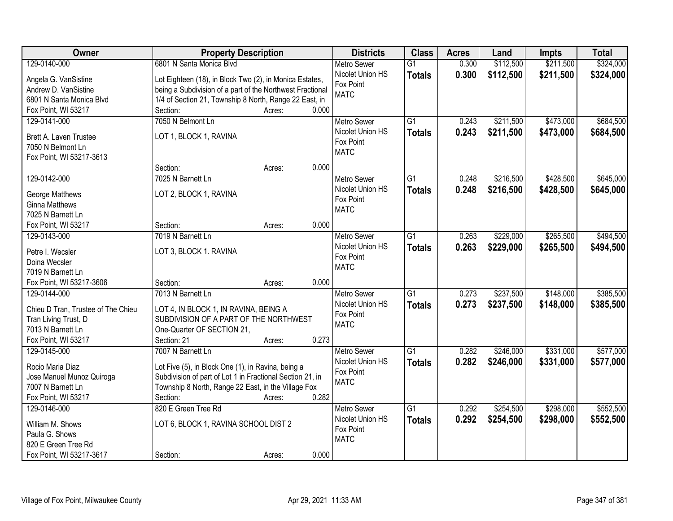| Owner                              | <b>Property Description</b>                               | <b>Districts</b>   | <b>Class</b>    | <b>Acres</b> | Land      | <b>Impts</b> | <b>Total</b> |
|------------------------------------|-----------------------------------------------------------|--------------------|-----------------|--------------|-----------|--------------|--------------|
| 129-0140-000                       | 6801 N Santa Monica Blvd                                  | <b>Metro Sewer</b> | $\overline{G1}$ | 0.300        | \$112,500 | \$211,500    | \$324,000    |
| Angela G. VanSistine               | Lot Eighteen (18), in Block Two (2), in Monica Estates,   | Nicolet Union HS   | <b>Totals</b>   | 0.300        | \$112,500 | \$211,500    | \$324,000    |
| Andrew D. VanSistine               | being a Subdivision of a part of the Northwest Fractional | Fox Point          |                 |              |           |              |              |
| 6801 N Santa Monica Blvd           | 1/4 of Section 21, Township 8 North, Range 22 East, in    | <b>MATC</b>        |                 |              |           |              |              |
| Fox Point, WI 53217                | 0.000<br>Section:<br>Acres:                               |                    |                 |              |           |              |              |
| 129-0141-000                       | 7050 N Belmont Ln                                         | <b>Metro Sewer</b> | $\overline{G1}$ | 0.243        | \$211,500 | \$473,000    | \$684,500    |
|                                    |                                                           | Nicolet Union HS   | <b>Totals</b>   | 0.243        | \$211,500 | \$473,000    | \$684,500    |
| Brett A. Laven Trustee             | LOT 1, BLOCK 1, RAVINA                                    | Fox Point          |                 |              |           |              |              |
| 7050 N Belmont Ln                  |                                                           | <b>MATC</b>        |                 |              |           |              |              |
| Fox Point, WI 53217-3613           |                                                           |                    |                 |              |           |              |              |
|                                    | 0.000<br>Section:<br>Acres:                               |                    |                 |              |           |              |              |
| 129-0142-000                       | 7025 N Barnett Ln                                         | <b>Metro Sewer</b> | G1              | 0.248        | \$216,500 | \$428,500    | \$645,000    |
| George Matthews                    | LOT 2, BLOCK 1, RAVINA                                    | Nicolet Union HS   | <b>Totals</b>   | 0.248        | \$216,500 | \$428,500    | \$645,000    |
| <b>Ginna Matthews</b>              |                                                           | Fox Point          |                 |              |           |              |              |
| 7025 N Barnett Ln                  |                                                           | <b>MATC</b>        |                 |              |           |              |              |
| Fox Point, WI 53217                | 0.000<br>Section:<br>Acres:                               |                    |                 |              |           |              |              |
| 129-0143-000                       | 7019 N Barnett Ln                                         | <b>Metro Sewer</b> | G1              | 0.263        | \$229,000 | \$265,500    | \$494,500    |
|                                    |                                                           | Nicolet Union HS   | <b>Totals</b>   | 0.263        | \$229,000 | \$265,500    | \$494,500    |
| Petre I. Wecsler                   | LOT 3, BLOCK 1. RAVINA                                    | Fox Point          |                 |              |           |              |              |
| Doina Wecsler                      |                                                           | <b>MATC</b>        |                 |              |           |              |              |
| 7019 N Barnett Ln                  |                                                           |                    |                 |              |           |              |              |
| Fox Point, WI 53217-3606           | 0.000<br>Section:<br>Acres:                               |                    |                 |              |           |              |              |
| 129-0144-000                       | 7013 N Barnett Ln                                         | <b>Metro Sewer</b> | $\overline{G1}$ | 0.273        | \$237,500 | \$148,000    | \$385,500    |
| Chieu D Tran, Trustee of The Chieu | LOT 4, IN BLOCK 1, IN RAVINA, BEING A                     | Nicolet Union HS   | <b>Totals</b>   | 0.273        | \$237,500 | \$148,000    | \$385,500    |
| Tran Living Trust, D               | SUBDIVISION OF A PART OF THE NORTHWEST                    | Fox Point          |                 |              |           |              |              |
| 7013 N Barnett Ln                  | One-Quarter OF SECTION 21,                                | <b>MATC</b>        |                 |              |           |              |              |
| Fox Point, WI 53217                | Section: 21<br>0.273<br>Acres:                            |                    |                 |              |           |              |              |
| 129-0145-000                       | 7007 N Barnett Ln                                         | Metro Sewer        | $\overline{G1}$ | 0.282        | \$246,000 | \$331,000    | \$577,000    |
|                                    |                                                           | Nicolet Union HS   | <b>Totals</b>   | 0.282        | \$246,000 | \$331,000    | \$577,000    |
| Rocio Maria Diaz                   | Lot Five (5), in Block One (1), in Ravina, being a        | Fox Point          |                 |              |           |              |              |
| Jose Manuel Munoz Quiroga          | Subdivision of part of Lot 1 in Fractional Section 21, in | <b>MATC</b>        |                 |              |           |              |              |
| 7007 N Barnett Ln                  | Township 8 North, Range 22 East, in the Village Fox       |                    |                 |              |           |              |              |
| Fox Point, WI 53217                | 0.282<br>Section:<br>Acres:                               |                    |                 |              |           |              |              |
| 129-0146-000                       | 820 E Green Tree Rd                                       | <b>Metro Sewer</b> | $\overline{G1}$ | 0.292        | \$254,500 | \$298,000    | \$552,500    |
| William M. Shows                   | LOT 6, BLOCK 1, RAVINA SCHOOL DIST 2                      | Nicolet Union HS   | <b>Totals</b>   | 0.292        | \$254,500 | \$298,000    | \$552,500    |
| Paula G. Shows                     |                                                           | Fox Point          |                 |              |           |              |              |
| 820 E Green Tree Rd                |                                                           | <b>MATC</b>        |                 |              |           |              |              |
| Fox Point, WI 53217-3617           | 0.000<br>Section:<br>Acres:                               |                    |                 |              |           |              |              |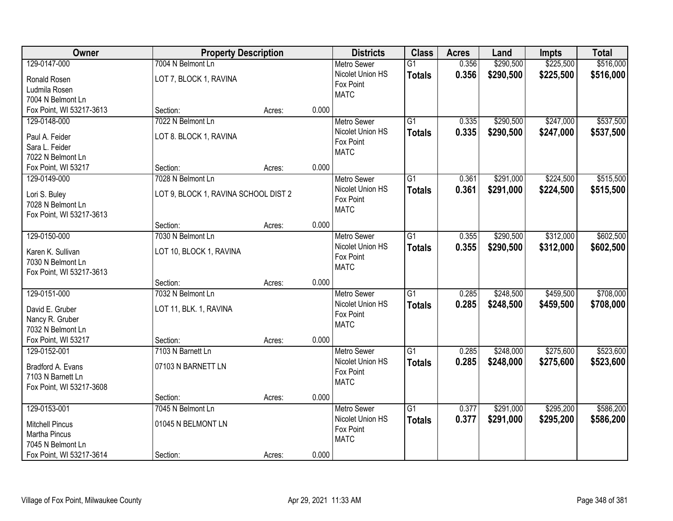| Owner                    |                                      | <b>Property Description</b> |       | <b>Districts</b>   | <b>Class</b>    | <b>Acres</b> | Land      | <b>Impts</b> | <b>Total</b> |
|--------------------------|--------------------------------------|-----------------------------|-------|--------------------|-----------------|--------------|-----------|--------------|--------------|
| 129-0147-000             | 7004 N Belmont Ln                    |                             |       | <b>Metro Sewer</b> | $\overline{G1}$ | 0.356        | \$290,500 | \$225,500    | \$516,000    |
| Ronald Rosen             | LOT 7, BLOCK 1, RAVINA               |                             |       | Nicolet Union HS   | <b>Totals</b>   | 0.356        | \$290,500 | \$225,500    | \$516,000    |
| Ludmila Rosen            |                                      |                             |       | Fox Point          |                 |              |           |              |              |
| 7004 N Belmont Ln        |                                      |                             |       | <b>MATC</b>        |                 |              |           |              |              |
| Fox Point, WI 53217-3613 | Section:                             | Acres:                      | 0.000 |                    |                 |              |           |              |              |
| 129-0148-000             | 7022 N Belmont Ln                    |                             |       | <b>Metro Sewer</b> | $\overline{G1}$ | 0.335        | \$290,500 | \$247,000    | \$537,500    |
| Paul A. Feider           | LOT 8. BLOCK 1, RAVINA               |                             |       | Nicolet Union HS   | <b>Totals</b>   | 0.335        | \$290,500 | \$247,000    | \$537,500    |
| Sara L. Feider           |                                      |                             |       | Fox Point          |                 |              |           |              |              |
| 7022 N Belmont Ln        |                                      |                             |       | <b>MATC</b>        |                 |              |           |              |              |
| Fox Point, WI 53217      | Section:                             | Acres:                      | 0.000 |                    |                 |              |           |              |              |
| 129-0149-000             | 7028 N Belmont Ln                    |                             |       | Metro Sewer        | $\overline{G1}$ | 0.361        | \$291,000 | \$224,500    | \$515,500    |
| Lori S. Buley            | LOT 9, BLOCK 1, RAVINA SCHOOL DIST 2 |                             |       | Nicolet Union HS   | <b>Totals</b>   | 0.361        | \$291,000 | \$224,500    | \$515,500    |
| 7028 N Belmont Ln        |                                      |                             |       | Fox Point          |                 |              |           |              |              |
| Fox Point, WI 53217-3613 |                                      |                             |       | <b>MATC</b>        |                 |              |           |              |              |
|                          | Section:                             | Acres:                      | 0.000 |                    |                 |              |           |              |              |
| 129-0150-000             | 7030 N Belmont Ln                    |                             |       | <b>Metro Sewer</b> | $\overline{G1}$ | 0.355        | \$290,500 | \$312,000    | \$602,500    |
| Karen K. Sullivan        | LOT 10, BLOCK 1, RAVINA              |                             |       | Nicolet Union HS   | <b>Totals</b>   | 0.355        | \$290,500 | \$312,000    | \$602,500    |
| 7030 N Belmont Ln        |                                      |                             |       | Fox Point          |                 |              |           |              |              |
| Fox Point, WI 53217-3613 |                                      |                             |       | <b>MATC</b>        |                 |              |           |              |              |
|                          | Section:                             | Acres:                      | 0.000 |                    |                 |              |           |              |              |
| 129-0151-000             | 7032 N Belmont Ln                    |                             |       | Metro Sewer        | $\overline{G1}$ | 0.285        | \$248,500 | \$459,500    | \$708,000    |
| David E. Gruber          | LOT 11, BLK. 1, RAVINA               |                             |       | Nicolet Union HS   | <b>Totals</b>   | 0.285        | \$248,500 | \$459,500    | \$708,000    |
| Nancy R. Gruber          |                                      |                             |       | Fox Point          |                 |              |           |              |              |
| 7032 N Belmont Ln        |                                      |                             |       | <b>MATC</b>        |                 |              |           |              |              |
| Fox Point, WI 53217      | Section:                             | Acres:                      | 0.000 |                    |                 |              |           |              |              |
| 129-0152-001             | 7103 N Barnett Ln                    |                             |       | <b>Metro Sewer</b> | $\overline{G1}$ | 0.285        | \$248,000 | \$275,600    | \$523,600    |
| Bradford A. Evans        | 07103 N BARNETT LN                   |                             |       | Nicolet Union HS   | <b>Totals</b>   | 0.285        | \$248,000 | \$275,600    | \$523,600    |
| 7103 N Barnett Ln        |                                      |                             |       | Fox Point          |                 |              |           |              |              |
| Fox Point, WI 53217-3608 |                                      |                             |       | <b>MATC</b>        |                 |              |           |              |              |
|                          | Section:                             | Acres:                      | 0.000 |                    |                 |              |           |              |              |
| 129-0153-001             | 7045 N Belmont Ln                    |                             |       | <b>Metro Sewer</b> | $\overline{G1}$ | 0.377        | \$291,000 | \$295,200    | \$586,200    |
| <b>Mitchell Pincus</b>   | 01045 N BELMONT LN                   |                             |       | Nicolet Union HS   | <b>Totals</b>   | 0.377        | \$291,000 | \$295,200    | \$586,200    |
| Martha Pincus            |                                      |                             |       | Fox Point          |                 |              |           |              |              |
| 7045 N Belmont Ln        |                                      |                             |       | <b>MATC</b>        |                 |              |           |              |              |
| Fox Point, WI 53217-3614 | Section:                             | Acres:                      | 0.000 |                    |                 |              |           |              |              |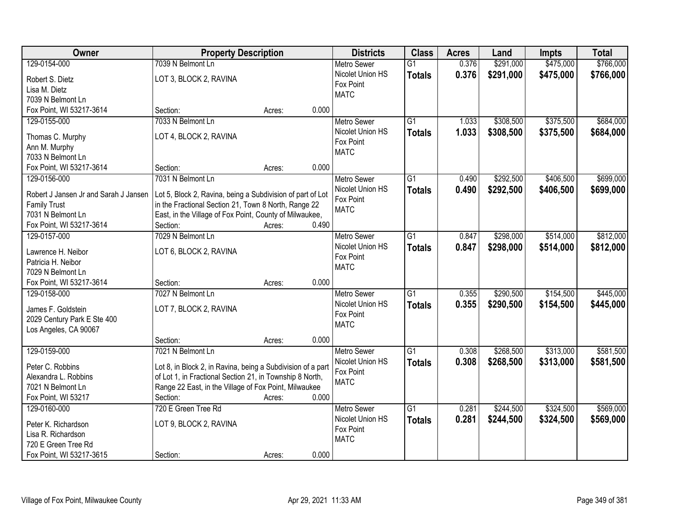| Owner                                    | <b>Property Description</b>                                 |        |       | <b>Districts</b>   | <b>Class</b>    | <b>Acres</b> | Land      | Impts     | <b>Total</b> |
|------------------------------------------|-------------------------------------------------------------|--------|-------|--------------------|-----------------|--------------|-----------|-----------|--------------|
| 129-0154-000                             | 7039 N Belmont Ln                                           |        |       | <b>Metro Sewer</b> | $\overline{G1}$ | 0.376        | \$291,000 | \$475,000 | \$766,000    |
| Robert S. Dietz                          | LOT 3, BLOCK 2, RAVINA                                      |        |       | Nicolet Union HS   | <b>Totals</b>   | 0.376        | \$291,000 | \$475,000 | \$766,000    |
| Lisa M. Dietz                            |                                                             |        |       | Fox Point          |                 |              |           |           |              |
| 7039 N Belmont Ln                        |                                                             |        |       | <b>MATC</b>        |                 |              |           |           |              |
| Fox Point, WI 53217-3614                 | Section:                                                    | Acres: | 0.000 |                    |                 |              |           |           |              |
| 129-0155-000                             | 7033 N Belmont Ln                                           |        |       | <b>Metro Sewer</b> | $\overline{G1}$ | 1.033        | \$308,500 | \$375,500 | \$684,000    |
|                                          |                                                             |        |       | Nicolet Union HS   | <b>Totals</b>   | 1.033        | \$308,500 | \$375,500 | \$684,000    |
| Thomas C. Murphy                         | LOT 4, BLOCK 2, RAVINA                                      |        |       | Fox Point          |                 |              |           |           |              |
| Ann M. Murphy                            |                                                             |        |       | <b>MATC</b>        |                 |              |           |           |              |
| 7033 N Belmont Ln                        |                                                             |        |       |                    |                 |              |           |           |              |
| Fox Point, WI 53217-3614                 | Section:                                                    | Acres: | 0.000 |                    |                 |              |           |           |              |
| 129-0156-000                             | 7031 N Belmont Ln                                           |        |       | Metro Sewer        | $\overline{G1}$ | 0.490        | \$292,500 | \$406,500 | \$699,000    |
| Robert J Jansen Jr and Sarah J Jansen    | Lot 5, Block 2, Ravina, being a Subdivision of part of Lot  |        |       | Nicolet Union HS   | <b>Totals</b>   | 0.490        | \$292,500 | \$406,500 | \$699,000    |
| <b>Family Trust</b>                      | in the Fractional Section 21, Town 8 North, Range 22        |        |       | Fox Point          |                 |              |           |           |              |
| 7031 N Belmont Ln                        | East, in the Village of Fox Point, County of Milwaukee,     |        |       | <b>MATC</b>        |                 |              |           |           |              |
| Fox Point, WI 53217-3614                 | Section:                                                    | Acres: | 0.490 |                    |                 |              |           |           |              |
| 129-0157-000                             | 7029 N Belmont Ln                                           |        |       | <b>Metro Sewer</b> | $\overline{G1}$ | 0.847        | \$298,000 | \$514,000 | \$812,000    |
|                                          |                                                             |        |       | Nicolet Union HS   | <b>Totals</b>   | 0.847        | \$298,000 | \$514,000 | \$812,000    |
| Lawrence H. Neibor<br>Patricia H. Neibor | LOT 6, BLOCK 2, RAVINA                                      |        |       | Fox Point          |                 |              |           |           |              |
| 7029 N Belmont Ln                        |                                                             |        |       | <b>MATC</b>        |                 |              |           |           |              |
| Fox Point, WI 53217-3614                 | Section:                                                    | Acres: | 0.000 |                    |                 |              |           |           |              |
| 129-0158-000                             | 7027 N Belmont Ln                                           |        |       | Metro Sewer        | $\overline{G1}$ | 0.355        | \$290,500 | \$154,500 | \$445,000    |
|                                          |                                                             |        |       | Nicolet Union HS   |                 | 0.355        | \$290,500 | \$154,500 |              |
| James F. Goldstein                       | LOT 7, BLOCK 2, RAVINA                                      |        |       | Fox Point          | <b>Totals</b>   |              |           |           | \$445,000    |
| 2029 Century Park E Ste 400              |                                                             |        |       | <b>MATC</b>        |                 |              |           |           |              |
| Los Angeles, CA 90067                    |                                                             |        |       |                    |                 |              |           |           |              |
|                                          | Section:                                                    | Acres: | 0.000 |                    |                 |              |           |           |              |
| 129-0159-000                             | 7021 N Belmont Ln                                           |        |       | <b>Metro Sewer</b> | $\overline{G1}$ | 0.308        | \$268,500 | \$313,000 | \$581,500    |
| Peter C. Robbins                         | Lot 8, in Block 2, in Ravina, being a Subdivision of a part |        |       | Nicolet Union HS   | <b>Totals</b>   | 0.308        | \$268,500 | \$313,000 | \$581,500    |
| Alexandra L. Robbins                     | of Lot 1, in Fractional Section 21, in Township 8 North,    |        |       | Fox Point          |                 |              |           |           |              |
| 7021 N Belmont Ln                        | Range 22 East, in the Village of Fox Point, Milwaukee       |        |       | <b>MATC</b>        |                 |              |           |           |              |
| Fox Point, WI 53217                      | Section:                                                    | Acres: | 0.000 |                    |                 |              |           |           |              |
| 129-0160-000                             | 720 E Green Tree Rd                                         |        |       | <b>Metro Sewer</b> | $\overline{G1}$ | 0.281        | \$244,500 | \$324,500 | \$569,000    |
|                                          |                                                             |        |       | Nicolet Union HS   | <b>Totals</b>   | 0.281        | \$244,500 | \$324,500 | \$569,000    |
| Peter K. Richardson                      | LOT 9, BLOCK 2, RAVINA                                      |        |       | Fox Point          |                 |              |           |           |              |
| Lisa R. Richardson                       |                                                             |        |       | <b>MATC</b>        |                 |              |           |           |              |
| 720 E Green Tree Rd                      |                                                             |        |       |                    |                 |              |           |           |              |
| Fox Point, WI 53217-3615                 | Section:                                                    | Acres: | 0.000 |                    |                 |              |           |           |              |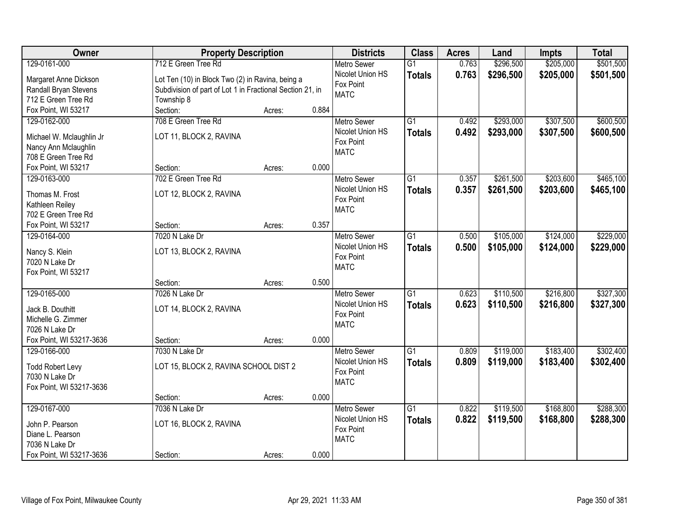| Owner                                       | <b>Property Description</b>                               |        |       | <b>Districts</b>   | <b>Class</b>    | <b>Acres</b> | Land      | <b>Impts</b> | <b>Total</b> |
|---------------------------------------------|-----------------------------------------------------------|--------|-------|--------------------|-----------------|--------------|-----------|--------------|--------------|
| 129-0161-000                                | 712 E Green Tree Rd                                       |        |       | <b>Metro Sewer</b> | $\overline{G1}$ | 0.763        | \$296,500 | \$205,000    | \$501,500    |
| Margaret Anne Dickson                       | Lot Ten (10) in Block Two (2) in Ravina, being a          |        |       | Nicolet Union HS   | <b>Totals</b>   | 0.763        | \$296,500 | \$205,000    | \$501,500    |
| Randall Bryan Stevens                       | Subdivision of part of Lot 1 in Fractional Section 21, in |        |       | Fox Point          |                 |              |           |              |              |
| 712 E Green Tree Rd                         | Township 8                                                |        |       | <b>MATC</b>        |                 |              |           |              |              |
| Fox Point, WI 53217                         | Section:                                                  | Acres: | 0.884 |                    |                 |              |           |              |              |
| 129-0162-000                                | 708 E Green Tree Rd                                       |        |       | <b>Metro Sewer</b> | $\overline{G1}$ | 0.492        | \$293,000 | \$307,500    | \$600,500    |
|                                             |                                                           |        |       | Nicolet Union HS   | <b>Totals</b>   | 0.492        | \$293,000 | \$307,500    | \$600,500    |
| Michael W. Mclaughlin Jr                    | LOT 11, BLOCK 2, RAVINA                                   |        |       | Fox Point          |                 |              |           |              |              |
| Nancy Ann Mclaughlin<br>708 E Green Tree Rd |                                                           |        |       | <b>MATC</b>        |                 |              |           |              |              |
| Fox Point, WI 53217                         | Section:                                                  | Acres: | 0.000 |                    |                 |              |           |              |              |
| 129-0163-000                                | 702 E Green Tree Rd                                       |        |       | Metro Sewer        | $\overline{G1}$ | 0.357        | \$261,500 | \$203,600    | \$465,100    |
|                                             |                                                           |        |       | Nicolet Union HS   |                 |              |           |              |              |
| Thomas M. Frost                             | LOT 12, BLOCK 2, RAVINA                                   |        |       | Fox Point          | <b>Totals</b>   | 0.357        | \$261,500 | \$203,600    | \$465,100    |
| Kathleen Reiley                             |                                                           |        |       | <b>MATC</b>        |                 |              |           |              |              |
| 702 E Green Tree Rd                         |                                                           |        |       |                    |                 |              |           |              |              |
| Fox Point, WI 53217                         | Section:                                                  | Acres: | 0.357 |                    |                 |              |           |              |              |
| 129-0164-000                                | 7020 N Lake Dr                                            |        |       | <b>Metro Sewer</b> | $\overline{G1}$ | 0.500        | \$105,000 | \$124,000    | \$229,000    |
| Nancy S. Klein                              | LOT 13, BLOCK 2, RAVINA                                   |        |       | Nicolet Union HS   | <b>Totals</b>   | 0.500        | \$105,000 | \$124,000    | \$229,000    |
| 7020 N Lake Dr                              |                                                           |        |       | Fox Point          |                 |              |           |              |              |
| Fox Point, WI 53217                         |                                                           |        |       | <b>MATC</b>        |                 |              |           |              |              |
|                                             | Section:                                                  | Acres: | 0.500 |                    |                 |              |           |              |              |
| 129-0165-000                                | 7026 N Lake Dr                                            |        |       | Metro Sewer        | $\overline{G1}$ | 0.623        | \$110,500 | \$216,800    | \$327,300    |
|                                             |                                                           |        |       | Nicolet Union HS   | <b>Totals</b>   | 0.623        | \$110,500 | \$216,800    | \$327,300    |
| Jack B. Douthitt                            | LOT 14, BLOCK 2, RAVINA                                   |        |       | Fox Point          |                 |              |           |              |              |
| Michelle G. Zimmer                          |                                                           |        |       | <b>MATC</b>        |                 |              |           |              |              |
| 7026 N Lake Dr                              |                                                           |        |       |                    |                 |              |           |              |              |
| Fox Point, WI 53217-3636                    | Section:                                                  | Acres: | 0.000 |                    |                 |              |           |              |              |
| 129-0166-000                                | 7030 N Lake Dr                                            |        |       | Metro Sewer        | $\overline{G1}$ | 0.809        | \$119,000 | \$183,400    | \$302,400    |
| <b>Todd Robert Levy</b>                     | LOT 15, BLOCK 2, RAVINA SCHOOL DIST 2                     |        |       | Nicolet Union HS   | <b>Totals</b>   | 0.809        | \$119,000 | \$183,400    | \$302,400    |
| 7030 N Lake Dr                              |                                                           |        |       | Fox Point          |                 |              |           |              |              |
| Fox Point, WI 53217-3636                    |                                                           |        |       | <b>MATC</b>        |                 |              |           |              |              |
|                                             | Section:                                                  | Acres: | 0.000 |                    |                 |              |           |              |              |
| 129-0167-000                                | 7036 N Lake Dr                                            |        |       | <b>Metro Sewer</b> | $\overline{G1}$ | 0.822        | \$119,500 | \$168,800    | \$288,300    |
|                                             |                                                           |        |       | Nicolet Union HS   | <b>Totals</b>   | 0.822        | \$119,500 | \$168,800    | \$288,300    |
| John P. Pearson<br>Diane L. Pearson         | LOT 16, BLOCK 2, RAVINA                                   |        |       | Fox Point          |                 |              |           |              |              |
| 7036 N Lake Dr                              |                                                           |        |       | <b>MATC</b>        |                 |              |           |              |              |
| Fox Point, WI 53217-3636                    | Section:                                                  |        | 0.000 |                    |                 |              |           |              |              |
|                                             |                                                           | Acres: |       |                    |                 |              |           |              |              |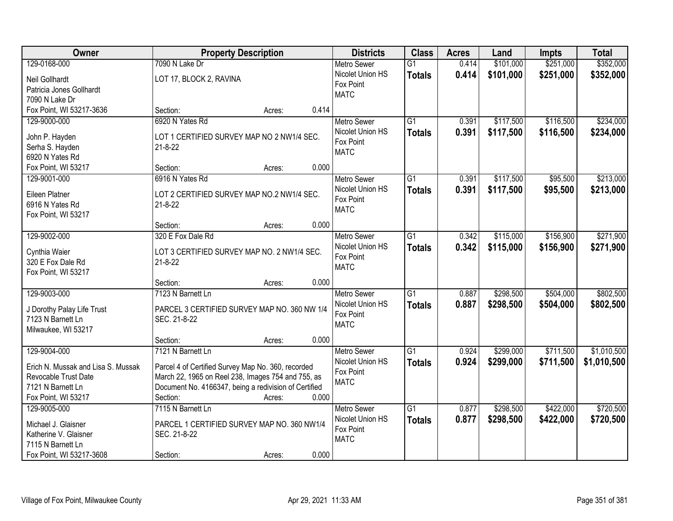| Owner                              | <b>Property Description</b>                           |        |       | <b>Districts</b>   | <b>Class</b>    | <b>Acres</b> | Land      | <b>Impts</b> | <b>Total</b> |
|------------------------------------|-------------------------------------------------------|--------|-------|--------------------|-----------------|--------------|-----------|--------------|--------------|
| 129-0168-000                       | 7090 N Lake Dr                                        |        |       | <b>Metro Sewer</b> | $\overline{G1}$ | 0.414        | \$101,000 | \$251,000    | \$352,000    |
| Neil Gollhardt                     | LOT 17, BLOCK 2, RAVINA                               |        |       | Nicolet Union HS   | <b>Totals</b>   | 0.414        | \$101,000 | \$251,000    | \$352,000    |
| Patricia Jones Gollhardt           |                                                       |        |       | Fox Point          |                 |              |           |              |              |
| 7090 N Lake Dr                     |                                                       |        |       | <b>MATC</b>        |                 |              |           |              |              |
| Fox Point, WI 53217-3636           | Section:                                              | Acres: | 0.414 |                    |                 |              |           |              |              |
| 129-9000-000                       | 6920 N Yates Rd                                       |        |       | Metro Sewer        | $\overline{G1}$ | 0.391        | \$117,500 | \$116,500    | \$234,000    |
|                                    |                                                       |        |       | Nicolet Union HS   | <b>Totals</b>   | 0.391        | \$117,500 | \$116,500    | \$234,000    |
| John P. Hayden                     | LOT 1 CERTIFIED SURVEY MAP NO 2 NW1/4 SEC.            |        |       | Fox Point          |                 |              |           |              |              |
| Serha S. Hayden                    | $21 - 8 - 22$                                         |        |       | <b>MATC</b>        |                 |              |           |              |              |
| 6920 N Yates Rd                    |                                                       |        |       |                    |                 |              |           |              |              |
| Fox Point, WI 53217                | Section:                                              | Acres: | 0.000 |                    |                 |              |           |              |              |
| 129-9001-000                       | 6916 N Yates Rd                                       |        |       | <b>Metro Sewer</b> | $\overline{G1}$ | 0.391        | \$117,500 | \$95,500     | \$213,000    |
| Eileen Platner                     | LOT 2 CERTIFIED SURVEY MAP NO.2 NW1/4 SEC.            |        |       | Nicolet Union HS   | <b>Totals</b>   | 0.391        | \$117,500 | \$95,500     | \$213,000    |
| 6916 N Yates Rd                    | $21 - 8 - 22$                                         |        |       | Fox Point          |                 |              |           |              |              |
| Fox Point, WI 53217                |                                                       |        |       | <b>MATC</b>        |                 |              |           |              |              |
|                                    | Section:                                              | Acres: | 0.000 |                    |                 |              |           |              |              |
| 129-9002-000                       | 320 E Fox Dale Rd                                     |        |       | <b>Metro Sewer</b> | $\overline{G1}$ | 0.342        | \$115,000 | \$156,900    | \$271,900    |
|                                    |                                                       |        |       | Nicolet Union HS   | <b>Totals</b>   | 0.342        | \$115,000 | \$156,900    | \$271,900    |
| Cynthia Waier                      | LOT 3 CERTIFIED SURVEY MAP NO. 2 NW1/4 SEC.           |        |       | Fox Point          |                 |              |           |              |              |
| 320 E Fox Dale Rd                  | $21 - 8 - 22$                                         |        |       | <b>MATC</b>        |                 |              |           |              |              |
| Fox Point, WI 53217                |                                                       |        |       |                    |                 |              |           |              |              |
|                                    | Section:                                              | Acres: | 0.000 |                    |                 |              |           |              |              |
| 129-9003-000                       | 7123 N Barnett Ln                                     |        |       | Metro Sewer        | $\overline{G1}$ | 0.887        | \$298,500 | \$504,000    | \$802,500    |
| J Dorothy Palay Life Trust         | PARCEL 3 CERTIFIED SURVEY MAP NO. 360 NW 1/4          |        |       | Nicolet Union HS   | <b>Totals</b>   | 0.887        | \$298,500 | \$504,000    | \$802,500    |
| 7123 N Barnett Ln                  | SEC. 21-8-22                                          |        |       | Fox Point          |                 |              |           |              |              |
| Milwaukee, WI 53217                |                                                       |        |       | <b>MATC</b>        |                 |              |           |              |              |
|                                    | Section:                                              | Acres: | 0.000 |                    |                 |              |           |              |              |
| 129-9004-000                       | 7121 N Barnett Ln                                     |        |       | Metro Sewer        | G1              | 0.924        | \$299,000 | \$711,500    | \$1,010,500  |
| Erich N. Mussak and Lisa S. Mussak | Parcel 4 of Certified Survey Map No. 360, recorded    |        |       | Nicolet Union HS   | <b>Totals</b>   | 0.924        | \$299,000 | \$711,500    | \$1,010,500  |
| Revocable Trust Date               | March 22, 1965 on Reel 238, Images 754 and 755, as    |        |       | Fox Point          |                 |              |           |              |              |
| 7121 N Barnett Ln                  | Document No. 4166347, being a redivision of Certified |        |       | <b>MATC</b>        |                 |              |           |              |              |
| Fox Point, WI 53217                | Section:                                              | Acres: | 0.000 |                    |                 |              |           |              |              |
| 129-9005-000                       | 7115 N Barnett Ln                                     |        |       | <b>Metro Sewer</b> | $\overline{G1}$ | 0.877        | \$298,500 | \$422,000    | \$720,500    |
|                                    |                                                       |        |       | Nicolet Union HS   | <b>Totals</b>   | 0.877        | \$298,500 | \$422,000    | \$720,500    |
| Michael J. Glaisner                | PARCEL 1 CERTIFIED SURVEY MAP NO. 360 NW1/4           |        |       | Fox Point          |                 |              |           |              |              |
| Katherine V. Glaisner              | SEC. 21-8-22                                          |        |       | <b>MATC</b>        |                 |              |           |              |              |
| 7115 N Barnett Ln                  |                                                       |        |       |                    |                 |              |           |              |              |
| Fox Point, WI 53217-3608           | Section:                                              | Acres: | 0.000 |                    |                 |              |           |              |              |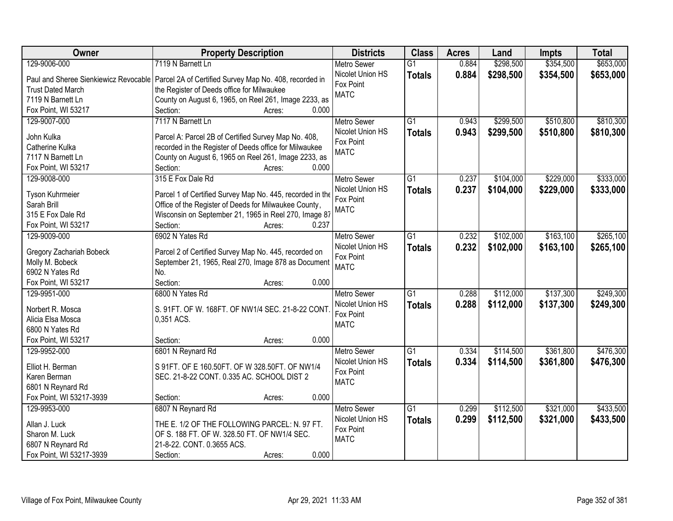| Owner                    | <b>Property Description</b>                                                                    | <b>Districts</b>   | <b>Class</b>    | <b>Acres</b> | Land      | Impts     | <b>Total</b> |
|--------------------------|------------------------------------------------------------------------------------------------|--------------------|-----------------|--------------|-----------|-----------|--------------|
| 129-9006-000             | 7119 N Barnett Ln                                                                              | <b>Metro Sewer</b> | $\overline{G1}$ | 0.884        | \$298,500 | \$354,500 | \$653,000    |
|                          | Paul and Sheree Sienkiewicz Revocable   Parcel 2A of Certified Survey Map No. 408, recorded in | Nicolet Union HS   | <b>Totals</b>   | 0.884        | \$298,500 | \$354,500 | \$653,000    |
| <b>Trust Dated March</b> | the Register of Deeds office for Milwaukee                                                     | Fox Point          |                 |              |           |           |              |
| 7119 N Barnett Ln        | County on August 6, 1965, on Reel 261, Image 2233, as                                          | <b>MATC</b>        |                 |              |           |           |              |
| Fox Point, WI 53217      | Section:<br>0.000<br>Acres:                                                                    |                    |                 |              |           |           |              |
| 129-9007-000             | 7117 N Barnett Ln                                                                              | Metro Sewer        | $\overline{G1}$ | 0.943        | \$299,500 | \$510,800 | \$810,300    |
|                          |                                                                                                | Nicolet Union HS   | <b>Totals</b>   | 0.943        | \$299,500 | \$510,800 | \$810,300    |
| John Kulka               | Parcel A: Parcel 2B of Certified Survey Map No. 408,                                           | Fox Point          |                 |              |           |           |              |
| Catherine Kulka          | recorded in the Register of Deeds office for Milwaukee                                         | <b>MATC</b>        |                 |              |           |           |              |
| 7117 N Barnett Ln        | County on August 6, 1965 on Reel 261, Image 2233, as                                           |                    |                 |              |           |           |              |
| Fox Point, WI 53217      | 0.000<br>Section:<br>Acres:                                                                    |                    |                 |              |           |           |              |
| 129-9008-000             | 315 E Fox Dale Rd                                                                              | <b>Metro Sewer</b> | $\overline{G1}$ | 0.237        | \$104,000 | \$229,000 | \$333,000    |
|                          |                                                                                                | Nicolet Union HS   | <b>Totals</b>   | 0.237        | \$104,000 | \$229,000 | \$333,000    |
| Tyson Kuhrmeier          | Parcel 1 of Certified Survey Map No. 445, recorded in the                                      | Fox Point          |                 |              |           |           |              |
| Sarah Brill              | Office of the Register of Deeds for Milwaukee County,                                          | <b>MATC</b>        |                 |              |           |           |              |
| 315 E Fox Dale Rd        | Wisconsin on September 21, 1965 in Reel 270, Image 87                                          |                    |                 |              |           |           |              |
| Fox Point, WI 53217      | Section:<br>0.237<br>Acres:                                                                    |                    |                 |              |           |           |              |
| 129-9009-000             | 6902 N Yates Rd                                                                                | <b>Metro Sewer</b> | $\overline{G1}$ | 0.232        | \$102,000 | \$163,100 | \$265,100    |
| Gregory Zachariah Bobeck | Parcel 2 of Certified Survey Map No. 445, recorded on                                          | Nicolet Union HS   | <b>Totals</b>   | 0.232        | \$102,000 | \$163,100 | \$265,100    |
| Molly M. Bobeck          | September 21, 1965, Real 270, Image 878 as Document                                            | Fox Point          |                 |              |           |           |              |
| 6902 N Yates Rd          | No.                                                                                            | <b>MATC</b>        |                 |              |           |           |              |
| Fox Point, WI 53217      | Section:<br>0.000<br>Acres:                                                                    |                    |                 |              |           |           |              |
| 129-9951-000             | 6800 N Yates Rd                                                                                | <b>Metro Sewer</b> | $\overline{G1}$ | 0.288        | \$112,000 | \$137,300 | \$249,300    |
|                          |                                                                                                | Nicolet Union HS   | <b>Totals</b>   | 0.288        | \$112,000 | \$137,300 | \$249,300    |
| Norbert R. Mosca         | S. 91FT. OF W. 168FT. OF NW1/4 SEC. 21-8-22 CONT                                               | Fox Point          |                 |              |           |           |              |
| Alicia Elsa Mosca        | 0,351 ACS.                                                                                     | <b>MATC</b>        |                 |              |           |           |              |
| 6800 N Yates Rd          |                                                                                                |                    |                 |              |           |           |              |
| Fox Point, WI 53217      | 0.000<br>Section:<br>Acres:                                                                    |                    |                 |              |           |           |              |
| 129-9952-000             | 6801 N Reynard Rd                                                                              | <b>Metro Sewer</b> | $\overline{G1}$ | 0.334        | \$114,500 | \$361,800 | \$476,300    |
| Elliot H. Berman         | S 91FT. OF E 160.50FT. OF W 328.50FT. OF NW1/4                                                 | Nicolet Union HS   | <b>Totals</b>   | 0.334        | \$114,500 | \$361,800 | \$476,300    |
| Karen Berman             | SEC. 21-8-22 CONT. 0.335 AC. SCHOOL DIST 2                                                     | Fox Point          |                 |              |           |           |              |
| 6801 N Reynard Rd        |                                                                                                | <b>MATC</b>        |                 |              |           |           |              |
| Fox Point, WI 53217-3939 | 0.000<br>Section:<br>Acres:                                                                    |                    |                 |              |           |           |              |
| 129-9953-000             | 6807 N Reynard Rd                                                                              | <b>Metro Sewer</b> | G1              | 0.299        | \$112,500 | \$321,000 | \$433,500    |
|                          |                                                                                                | Nicolet Union HS   | <b>Totals</b>   | 0.299        | \$112,500 | \$321,000 | \$433,500    |
| Allan J. Luck            | THE E. 1/2 OF THE FOLLOWING PARCEL: N. 97 FT.                                                  | Fox Point          |                 |              |           |           |              |
| Sharon M. Luck           | OF S. 188 FT. OF W. 328.50 FT. OF NW1/4 SEC.                                                   | <b>MATC</b>        |                 |              |           |           |              |
| 6807 N Reynard Rd        | 21-8-22. CONT. 0.3655 ACS.                                                                     |                    |                 |              |           |           |              |
| Fox Point, WI 53217-3939 | 0.000<br>Section:<br>Acres:                                                                    |                    |                 |              |           |           |              |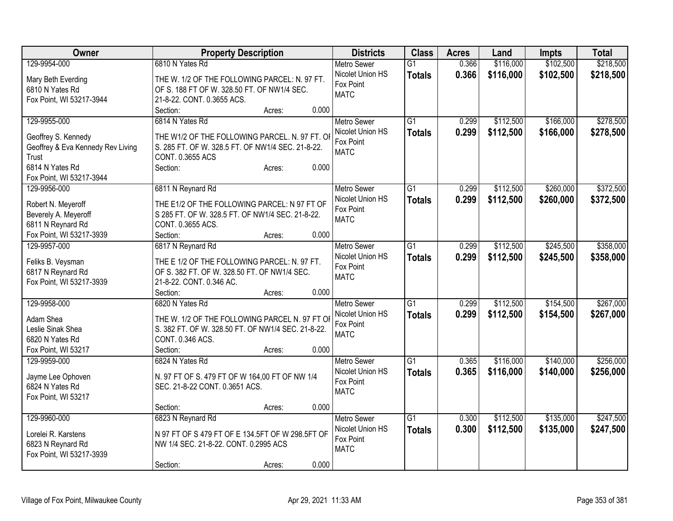| <b>Owner</b>                                  | <b>Property Description</b>                                                                  | <b>Districts</b>         | <b>Class</b>    | <b>Acres</b> | Land      | <b>Impts</b> | <b>Total</b> |
|-----------------------------------------------|----------------------------------------------------------------------------------------------|--------------------------|-----------------|--------------|-----------|--------------|--------------|
| 129-9954-000                                  | 6810 N Yates Rd                                                                              | <b>Metro Sewer</b>       | $\overline{G1}$ | 0.366        | \$116,000 | \$102,500    | \$218,500    |
| Mary Beth Everding                            | THE W. 1/2 OF THE FOLLOWING PARCEL: N. 97 FT.                                                | Nicolet Union HS         | <b>Totals</b>   | 0.366        | \$116,000 | \$102,500    | \$218,500    |
| 6810 N Yates Rd                               | OF S. 188 FT OF W. 328.50 FT. OF NW1/4 SEC.                                                  | Fox Point                |                 |              |           |              |              |
| Fox Point, WI 53217-3944                      | 21-8-22. CONT. 0.3655 ACS.                                                                   | <b>MATC</b>              |                 |              |           |              |              |
|                                               | 0.000<br>Section:<br>Acres:                                                                  |                          |                 |              |           |              |              |
| 129-9955-000                                  | 6814 N Yates Rd                                                                              | <b>Metro Sewer</b>       | $\overline{G1}$ | 0.299        | \$112,500 | \$166,000    | \$278,500    |
|                                               |                                                                                              | Nicolet Union HS         | <b>Totals</b>   | 0.299        | \$112,500 | \$166,000    | \$278,500    |
| Geoffrey S. Kennedy                           | THE W1/2 OF THE FOLLOWING PARCEL. N. 97 FT. OI                                               | Fox Point                |                 |              |           |              |              |
| Geoffrey & Eva Kennedy Rev Living             | S. 285 FT. OF W. 328.5 FT. OF NW1/4 SEC. 21-8-22.                                            | <b>MATC</b>              |                 |              |           |              |              |
| Trust                                         | CONT. 0.3655 ACS                                                                             |                          |                 |              |           |              |              |
| 6814 N Yates Rd                               | 0.000<br>Section:<br>Acres:                                                                  |                          |                 |              |           |              |              |
| Fox Point, WI 53217-3944                      |                                                                                              |                          |                 |              |           |              |              |
| 129-9956-000                                  | 6811 N Reynard Rd                                                                            | Metro Sewer              | $\overline{G1}$ | 0.299        | \$112,500 | \$260,000    | \$372,500    |
| Robert N. Meyeroff                            | THE E1/2 OF THE FOLLOWING PARCEL: N 97 FT OF                                                 | Nicolet Union HS         | <b>Totals</b>   | 0.299        | \$112,500 | \$260,000    | \$372,500    |
| Beverely A. Meyeroff                          | S 285 FT. OF W. 328.5 FT. OF NW1/4 SEC. 21-8-22.                                             | Fox Point<br><b>MATC</b> |                 |              |           |              |              |
| 6811 N Reynard Rd                             | CONT. 0.3655 ACS.                                                                            |                          |                 |              |           |              |              |
| Fox Point, WI 53217-3939                      | Section:<br>0.000<br>Acres:                                                                  |                          |                 |              |           |              |              |
| 129-9957-000                                  | 6817 N Reynard Rd                                                                            | Metro Sewer              | $\overline{G1}$ | 0.299        | \$112,500 | \$245,500    | \$358,000    |
|                                               |                                                                                              | Nicolet Union HS         | <b>Totals</b>   | 0.299        | \$112,500 | \$245,500    | \$358,000    |
| Feliks B. Veysman                             | THE E 1/2 OF THE FOLLOWING PARCEL: N. 97 FT.<br>OF S. 382 FT. OF W. 328.50 FT. OF NW1/4 SEC. | Fox Point                |                 |              |           |              |              |
| 6817 N Reynard Rd<br>Fox Point, WI 53217-3939 | 21-8-22. CONT. 0.346 AC.                                                                     | <b>MATC</b>              |                 |              |           |              |              |
|                                               | 0.000<br>Section:<br>Acres:                                                                  |                          |                 |              |           |              |              |
| 129-9958-000                                  | 6820 N Yates Rd                                                                              | <b>Metro Sewer</b>       | G1              | 0.299        | \$112,500 | \$154,500    | \$267,000    |
|                                               |                                                                                              | Nicolet Union HS         |                 |              |           |              |              |
| Adam Shea                                     | THE W. 1/2 OF THE FOLLOWING PARCEL N. 97 FT OI                                               | Fox Point                | <b>Totals</b>   | 0.299        | \$112,500 | \$154,500    | \$267,000    |
| Leslie Sinak Shea                             | S. 382 FT. OF W. 328.50 FT. OF NW1/4 SEC. 21-8-22.                                           | <b>MATC</b>              |                 |              |           |              |              |
| 6820 N Yates Rd                               | CONT. 0.346 ACS.                                                                             |                          |                 |              |           |              |              |
| Fox Point, WI 53217                           | Section:<br>0.000<br>Acres:                                                                  |                          |                 |              |           |              |              |
| 129-9959-000                                  | 6824 N Yates Rd                                                                              | Metro Sewer              | $\overline{G1}$ | 0.365        | \$116,000 | \$140,000    | \$256,000    |
| Jayme Lee Ophoven                             | N. 97 FT OF S. 479 FT OF W 164,00 FT OF NW 1/4                                               | Nicolet Union HS         | <b>Totals</b>   | 0.365        | \$116,000 | \$140,000    | \$256,000    |
| 6824 N Yates Rd                               | SEC. 21-8-22 CONT. 0.3651 ACS.                                                               | Fox Point                |                 |              |           |              |              |
| Fox Point, WI 53217                           |                                                                                              | <b>MATC</b>              |                 |              |           |              |              |
|                                               | 0.000<br>Section:<br>Acres:                                                                  |                          |                 |              |           |              |              |
| 129-9960-000                                  | 6823 N Reynard Rd                                                                            | Metro Sewer              | $\overline{G1}$ | 0.300        | \$112,500 | \$135,000    | \$247,500    |
|                                               |                                                                                              | Nicolet Union HS         | <b>Totals</b>   | 0.300        | \$112,500 | \$135,000    | \$247,500    |
| Lorelei R. Karstens                           | N 97 FT OF S 479 FT OF E 134.5FT OF W 298.5FT OF                                             | Fox Point                |                 |              |           |              |              |
| 6823 N Reynard Rd                             | NW 1/4 SEC. 21-8-22. CONT. 0.2995 ACS                                                        | <b>MATC</b>              |                 |              |           |              |              |
| Fox Point, WI 53217-3939                      |                                                                                              |                          |                 |              |           |              |              |
|                                               | 0.000<br>Section:<br>Acres:                                                                  |                          |                 |              |           |              |              |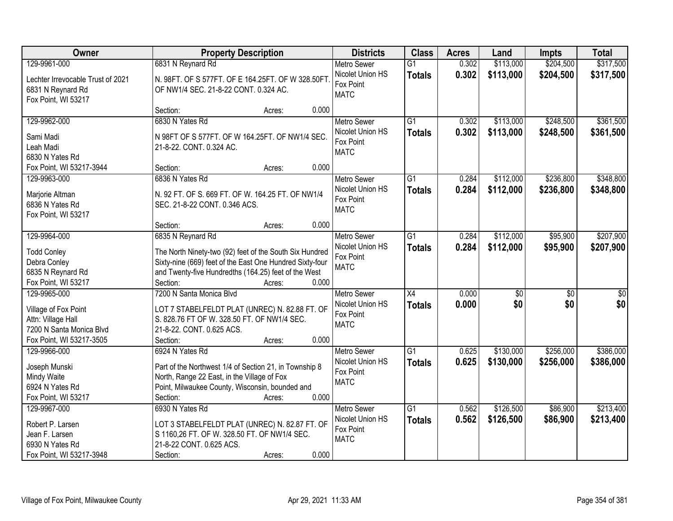| Owner                                                  | <b>Property Description</b>                                                                           | <b>Districts</b>                             | <b>Class</b>    | <b>Acres</b> | Land            | Impts           | <b>Total</b>     |
|--------------------------------------------------------|-------------------------------------------------------------------------------------------------------|----------------------------------------------|-----------------|--------------|-----------------|-----------------|------------------|
| 129-9961-000                                           | 6831 N Reynard Rd                                                                                     | <b>Metro Sewer</b>                           | $\overline{G1}$ | 0.302        | \$113,000       | \$204,500       | \$317,500        |
| Lechter Irrevocable Trust of 2021<br>6831 N Reynard Rd | N. 98FT. OF S 577FT. OF E 164.25FT. OF W 328.50FT<br>OF NW1/4 SEC. 21-8-22 CONT. 0.324 AC.            | Nicolet Union HS<br>Fox Point<br><b>MATC</b> | <b>Totals</b>   | 0.302        | \$113,000       | \$204,500       | \$317,500        |
| Fox Point, WI 53217                                    |                                                                                                       |                                              |                 |              |                 |                 |                  |
|                                                        | 0.000<br>Section:<br>Acres:                                                                           |                                              |                 |              |                 |                 |                  |
| 129-9962-000                                           | 6830 N Yates Rd                                                                                       | <b>Metro Sewer</b>                           | $\overline{G1}$ | 0.302        | \$113,000       | \$248,500       | \$361,500        |
| Sami Madi                                              | N 98FT OF S 577FT. OF W 164.25FT. OF NW1/4 SEC.                                                       | Nicolet Union HS                             | <b>Totals</b>   | 0.302        | \$113,000       | \$248,500       | \$361,500        |
| Leah Madi                                              | 21-8-22. CONT. 0.324 AC.                                                                              | Fox Point                                    |                 |              |                 |                 |                  |
| 6830 N Yates Rd                                        |                                                                                                       | <b>MATC</b>                                  |                 |              |                 |                 |                  |
| Fox Point, WI 53217-3944                               | 0.000<br>Section:<br>Acres:                                                                           |                                              |                 |              |                 |                 |                  |
| 129-9963-000                                           | 6836 N Yates Rd                                                                                       | <b>Metro Sewer</b>                           | $\overline{G1}$ | 0.284        | \$112,000       | \$236,800       | \$348,800        |
|                                                        |                                                                                                       | Nicolet Union HS                             | <b>Totals</b>   | 0.284        | \$112,000       | \$236,800       | \$348,800        |
| Marjorie Altman                                        | N. 92 FT. OF S. 669 FT. OF W. 164.25 FT. OF NW1/4                                                     | Fox Point                                    |                 |              |                 |                 |                  |
| 6836 N Yates Rd                                        | SEC. 21-8-22 CONT. 0.346 ACS.                                                                         | <b>MATC</b>                                  |                 |              |                 |                 |                  |
| Fox Point, WI 53217                                    | 0.000<br>Section:<br>Acres:                                                                           |                                              |                 |              |                 |                 |                  |
| 129-9964-000                                           | 6835 N Reynard Rd                                                                                     | <b>Metro Sewer</b>                           | $\overline{G1}$ | 0.284        | \$112,000       | \$95,900        | \$207,900        |
|                                                        |                                                                                                       | Nicolet Union HS                             |                 | 0.284        | \$112,000       |                 |                  |
| <b>Todd Conley</b>                                     | The North Ninety-two (92) feet of the South Six Hundred                                               | Fox Point                                    | <b>Totals</b>   |              |                 | \$95,900        | \$207,900        |
| Debra Conley                                           | Sixty-nine (669) feet of the East One Hundred Sixty-four                                              | <b>MATC</b>                                  |                 |              |                 |                 |                  |
| 6835 N Reynard Rd                                      | and Twenty-five Hundredths (164.25) feet of the West                                                  |                                              |                 |              |                 |                 |                  |
| Fox Point, WI 53217                                    | Section:<br>0.000<br>Acres:                                                                           |                                              |                 |              |                 |                 |                  |
| 129-9965-000                                           | 7200 N Santa Monica Blvd                                                                              | <b>Metro Sewer</b>                           | X4              | 0.000        | $\overline{50}$ | $\overline{50}$ | $\overline{\$0}$ |
| Village of Fox Point                                   | LOT 7 STABELFELDT PLAT (UNREC) N. 82.88 FT. OF                                                        | Nicolet Union HS                             | <b>Totals</b>   | 0.000        | \$0             | \$0             | \$0              |
| Attn: Village Hall                                     | S. 828.76 FT OF W. 328.50 FT. OF NW1/4 SEC.                                                           | Fox Point                                    |                 |              |                 |                 |                  |
| 7200 N Santa Monica Blvd                               | 21-8-22. CONT. 0.625 ACS.                                                                             | <b>MATC</b>                                  |                 |              |                 |                 |                  |
| Fox Point, WI 53217-3505                               | 0.000<br>Section:<br>Acres:                                                                           |                                              |                 |              |                 |                 |                  |
| 129-9966-000                                           | 6924 N Yates Rd                                                                                       | Metro Sewer                                  | $\overline{G1}$ | 0.625        | \$130,000       | \$256,000       | \$386,000        |
|                                                        |                                                                                                       | Nicolet Union HS                             | <b>Totals</b>   | 0.625        | \$130,000       | \$256,000       | \$386,000        |
| Joseph Munski<br>Mindy Waite                           | Part of the Northwest 1/4 of Section 21, in Township 8<br>North, Range 22 East, in the Village of Fox | Fox Point                                    |                 |              |                 |                 |                  |
| 6924 N Yates Rd                                        | Point, Milwaukee County, Wisconsin, bounded and                                                       | <b>MATC</b>                                  |                 |              |                 |                 |                  |
| Fox Point, WI 53217                                    | 0.000<br>Section:<br>Acres:                                                                           |                                              |                 |              |                 |                 |                  |
| 129-9967-000                                           | 6930 N Yates Rd                                                                                       | <b>Metro Sewer</b>                           | $\overline{G1}$ | 0.562        | \$126,500       | \$86,900        | \$213,400        |
|                                                        |                                                                                                       | Nicolet Union HS                             | <b>Totals</b>   | 0.562        | \$126,500       | \$86,900        | \$213,400        |
| Robert P. Larsen                                       | LOT 3 STABELFELDT PLAT (UNREC) N. 82.87 FT. OF                                                        | Fox Point                                    |                 |              |                 |                 |                  |
| Jean F. Larsen                                         | S 1160,26 FT. OF W. 328.50 FT. OF NW1/4 SEC.                                                          | <b>MATC</b>                                  |                 |              |                 |                 |                  |
| 6930 N Yates Rd                                        | 21-8-22 CONT. 0.625 ACS.                                                                              |                                              |                 |              |                 |                 |                  |
| Fox Point, WI 53217-3948                               | 0.000<br>Section:<br>Acres:                                                                           |                                              |                 |              |                 |                 |                  |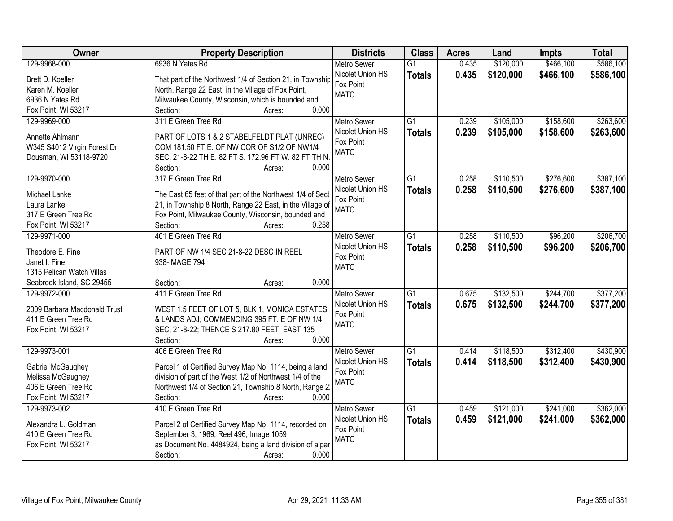|                                                                                                                                                                             | <b>Total</b> |
|-----------------------------------------------------------------------------------------------------------------------------------------------------------------------------|--------------|
| 129-9968-000<br>6936 N Yates Rd<br>\$120,000<br>\$466,100<br><b>Metro Sewer</b><br>$\overline{G1}$<br>0.435                                                                 | \$586,100    |
| Nicolet Union HS<br>0.435<br>\$120,000<br>\$466,100<br><b>Totals</b><br>Brett D. Koeller<br>That part of the Northwest 1/4 of Section 21, in Township                       | \$586,100    |
| Fox Point<br>Karen M. Koeller<br>North, Range 22 East, in the Village of Fox Point,                                                                                         |              |
| <b>MATC</b><br>Milwaukee County, Wisconsin, which is bounded and<br>6936 N Yates Rd                                                                                         |              |
| 0.000<br>Fox Point, WI 53217<br>Section:<br>Acres:                                                                                                                          |              |
| \$158,600<br>311 E Green Tree Rd<br>$\overline{G1}$<br>0.239<br>\$105,000<br>129-9969-000<br><b>Metro Sewer</b>                                                             | \$263,600    |
| Nicolet Union HS<br>0.239<br>\$105,000<br>\$158,600<br><b>Totals</b>                                                                                                        | \$263,600    |
| Annette Ahlmann<br>PART OF LOTS 1 & 2 STABELFELDT PLAT (UNREC)<br>Fox Point                                                                                                 |              |
| COM 181.50 FT E. OF NW COR OF S1/2 OF NW1/4<br>W345 S4012 Virgin Forest Dr<br><b>MATC</b><br>Dousman, WI 53118-9720<br>SEC. 21-8-22 TH E. 82 FT S. 172.96 FT W. 82 FT TH N. |              |
| 0.000<br>Section:                                                                                                                                                           |              |
| Acres:<br>\$110,500<br>\$276,600<br>129-9970-000<br>317 E Green Tree Rd<br><b>Metro Sewer</b><br>$\overline{G1}$<br>0.258                                                   | \$387,100    |
| Nicolet Union HS<br>0.258<br>\$110,500<br>\$276,600                                                                                                                         | \$387,100    |
| <b>Totals</b><br>Michael Lanke<br>The East 65 feet of that part of the Northwest 1/4 of Sect<br>Fox Point                                                                   |              |
| 21, in Township 8 North, Range 22 East, in the Village of<br>Laura Lanke<br><b>MATC</b>                                                                                     |              |
| 317 E Green Tree Rd<br>Fox Point, Milwaukee County, Wisconsin, bounded and                                                                                                  |              |
| 0.258<br>Fox Point, WI 53217<br>Section:<br>Acres:                                                                                                                          |              |
| 129-9971-000<br>401 E Green Tree Rd<br>\$110,500<br>\$96,200<br><b>Metro Sewer</b><br>G1<br>0.258                                                                           | \$206,700    |
| Nicolet Union HS<br>0.258<br>\$110,500<br>\$96,200<br><b>Totals</b><br>Theodore E. Fine<br>PART OF NW 1/4 SEC 21-8-22 DESC IN REEL                                          | \$206,700    |
| Fox Point<br>Janet I. Fine<br>938-IMAGE 794                                                                                                                                 |              |
| <b>MATC</b><br>1315 Pelican Watch Villas                                                                                                                                    |              |
| 0.000<br>Seabrook Island, SC 29455<br>Section:<br>Acres:                                                                                                                    |              |
| 411 E Green Tree Rd<br>$\overline{G1}$<br>0.675<br>\$132,500<br>\$244,700<br>129-9972-000<br>Metro Sewer                                                                    | \$377,200    |
| 0.675<br>\$132,500<br>\$244,700<br>Nicolet Union HS<br><b>Totals</b>                                                                                                        | \$377,200    |
| 2009 Barbara Macdonald Trust<br>WEST 1.5 FEET OF LOT 5, BLK 1, MONICA ESTATES<br>Fox Point                                                                                  |              |
| 411 E Green Tree Rd<br>& LANDS ADJ; COMMENCING 395 FT. E OF NW 1/4<br><b>MATC</b>                                                                                           |              |
| SEC, 21-8-22; THENCE S 217.80 FEET, EAST 135<br>Fox Point, WI 53217<br>0.000                                                                                                |              |
| Section:<br>Acres:<br>406 E Green Tree Rd<br>$\overline{G1}$<br>\$312,400<br>129-9973-001                                                                                   | \$430,900    |
| Metro Sewer<br>\$118,500<br>0.414                                                                                                                                           |              |
| 0.414<br>\$118,500<br>\$312,400<br>Nicolet Union HS<br><b>Totals</b><br>Parcel 1 of Certified Survey Map No. 1114, being a land<br>Gabriel McGaughey<br>Fox Point           | \$430,900    |
| division of part of the West 1/2 of Northwest 1/4 of the<br>Melissa McGaughey<br><b>MATC</b>                                                                                |              |
| 406 E Green Tree Rd<br>Northwest 1/4 of Section 21, Township 8 North, Range 2:                                                                                              |              |
| Fox Point, WI 53217<br>Section:<br>0.000<br>Acres:                                                                                                                          |              |
| 129-9973-002<br>410 E Green Tree Rd<br>$\overline{G1}$<br>\$121,000<br>\$241,000<br><b>Metro Sewer</b><br>0.459                                                             | \$362,000    |
| Nicolet Union HS<br>0.459<br>\$121,000<br>\$241,000<br><b>Totals</b><br>Alexandra L. Goldman<br>Parcel 2 of Certified Survey Map No. 1114, recorded on                      | \$362,000    |
| Fox Point<br>September 3, 1969, Reel 496, Image 1059<br>410 E Green Tree Rd                                                                                                 |              |
| <b>MATC</b><br>as Document No. 4484924, being a land division of a par<br>Fox Point, WI 53217                                                                               |              |
| 0.000<br>Section:<br>Acres:                                                                                                                                                 |              |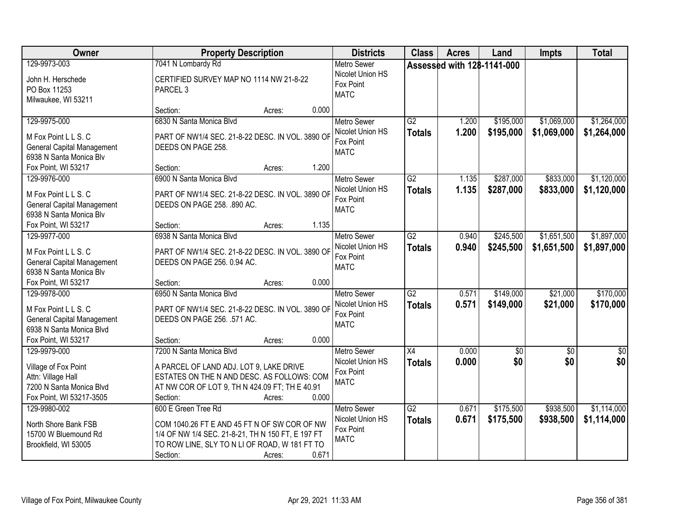| <b>Owner</b>                                                                                                                 | <b>Property Description</b>                                                                                                                                                                              | <b>Districts</b>                                                   | <b>Class</b>                     | <b>Acres</b>               | Land                   | <b>Impts</b>               | <b>Total</b>               |
|------------------------------------------------------------------------------------------------------------------------------|----------------------------------------------------------------------------------------------------------------------------------------------------------------------------------------------------------|--------------------------------------------------------------------|----------------------------------|----------------------------|------------------------|----------------------------|----------------------------|
| 129-9973-003<br>John H. Herschede<br>PO Box 11253<br>Milwaukee, WI 53211                                                     | 7041 N Lombardy Rd<br>CERTIFIED SURVEY MAP NO 1114 NW 21-8-22<br>PARCEL <sub>3</sub>                                                                                                                     | <b>Metro Sewer</b><br>Nicolet Union HS<br>Fox Point<br><b>MATC</b> |                                  | Assessed with 128-1141-000 |                        |                            |                            |
|                                                                                                                              | 0.000<br>Section:<br>Acres:                                                                                                                                                                              |                                                                    |                                  |                            |                        |                            |                            |
| 129-9975-000<br>M Fox Point L L S. C<br><b>General Capital Management</b><br>6938 N Santa Monica Blv                         | 6830 N Santa Monica Blvd<br>PART OF NW1/4 SEC. 21-8-22 DESC. IN VOL. 3890 OF<br>DEEDS ON PAGE 258.<br>1.200                                                                                              | <b>Metro Sewer</b><br>Nicolet Union HS<br>Fox Point<br><b>MATC</b> | $\overline{G2}$<br><b>Totals</b> | 1.200<br>1.200             | \$195,000<br>\$195,000 | \$1,069,000<br>\$1,069,000 | \$1,264,000<br>\$1,264,000 |
| Fox Point, WI 53217<br>129-9976-000                                                                                          | Section:<br>Acres:<br>6900 N Santa Monica Blvd                                                                                                                                                           | Metro Sewer                                                        | $\overline{G2}$                  | 1.135                      | \$287,000              | \$833,000                  | \$1,120,000                |
| M Fox Point L L S. C<br><b>General Capital Management</b><br>6938 N Santa Monica Blv                                         | PART OF NW1/4 SEC. 21-8-22 DESC. IN VOL. 3890 OF<br>DEEDS ON PAGE 258. .890 AC.                                                                                                                          | Nicolet Union HS<br>Fox Point<br><b>MATC</b>                       | <b>Totals</b>                    | 1.135                      | \$287,000              | \$833,000                  | \$1,120,000                |
| Fox Point, WI 53217                                                                                                          | 1.135<br>Section:<br>Acres:                                                                                                                                                                              |                                                                    |                                  |                            |                        |                            |                            |
| 129-9977-000<br>M Fox Point L L S. C<br><b>General Capital Management</b><br>6938 N Santa Monica Blv                         | 6938 N Santa Monica Blvd<br>PART OF NW1/4 SEC. 21-8-22 DESC. IN VOL. 3890 OF<br>DEEDS ON PAGE 256. 0.94 AC.                                                                                              | <b>Metro Sewer</b><br>Nicolet Union HS<br>Fox Point<br><b>MATC</b> | $\overline{G2}$<br><b>Totals</b> | 0.940<br>0.940             | \$245,500<br>\$245,500 | \$1,651,500<br>\$1,651,500 | \$1,897,000<br>\$1,897,000 |
| Fox Point, WI 53217                                                                                                          | 0.000<br>Section:<br>Acres:                                                                                                                                                                              |                                                                    |                                  |                            |                        |                            |                            |
| 129-9978-000<br>M Fox Point L L S. C<br><b>General Capital Management</b><br>6938 N Santa Monica Blvd<br>Fox Point, WI 53217 | 6950 N Santa Monica Blvd<br>PART OF NW1/4 SEC. 21-8-22 DESC. IN VOL. 3890 OF<br>DEEDS ON PAGE 256. .571 AC.<br>0.000<br>Section:<br>Acres:                                                               | <b>Metro Sewer</b><br>Nicolet Union HS<br>Fox Point<br><b>MATC</b> | $\overline{G2}$<br><b>Totals</b> | 0.571<br>0.571             | \$149,000<br>\$149,000 | \$21,000<br>\$21,000       | \$170,000<br>\$170,000     |
| 129-9979-000                                                                                                                 | 7200 N Santa Monica Blvd                                                                                                                                                                                 | Metro Sewer                                                        | X4                               | 0.000                      | $\sqrt{6}$             | $\overline{50}$            | \$0                        |
| Village of Fox Point<br>Attn: Village Hall<br>7200 N Santa Monica Blvd<br>Fox Point, WI 53217-3505                           | A PARCEL OF LAND ADJ. LOT 9, LAKE DRIVE<br>ESTATES ON THE N AND DESC. AS FOLLOWS: COM<br>AT NW COR OF LOT 9, TH N 424.09 FT; TH E 40.91<br>0.000<br>Section:<br>Acres:                                   | Nicolet Union HS<br>Fox Point<br><b>MATC</b>                       | <b>Totals</b>                    | 0.000                      | \$0                    | \$0                        | \$0                        |
| 129-9980-002<br>North Shore Bank FSB<br>15700 W Bluemound Rd<br>Brookfield, WI 53005                                         | 600 E Green Tree Rd<br>COM 1040.26 FT E AND 45 FT N OF SW COR OF NW<br>1/4 OF NW 1/4 SEC. 21-8-21, TH N 150 FT, E 197 FT<br>TO ROW LINE, SLY TO N LI OF ROAD, W 181 FT TO<br>0.671<br>Section:<br>Acres: | <b>Metro Sewer</b><br>Nicolet Union HS<br>Fox Point<br><b>MATC</b> | $\overline{G2}$<br><b>Totals</b> | 0.671<br>0.671             | \$175,500<br>\$175,500 | \$938,500<br>\$938,500     | \$1,114,000<br>\$1,114,000 |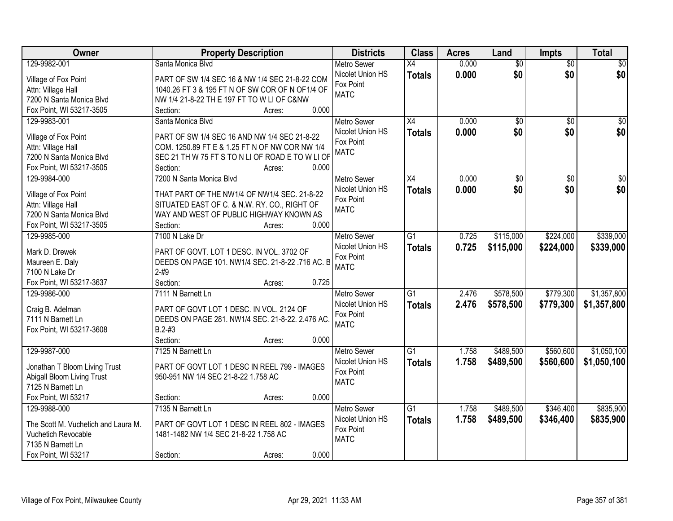| Owner                               | <b>Property Description</b>                      | <b>Districts</b>   | <b>Class</b>    | <b>Acres</b> | Land            | <b>Impts</b>    | <b>Total</b>    |
|-------------------------------------|--------------------------------------------------|--------------------|-----------------|--------------|-----------------|-----------------|-----------------|
| 129-9982-001                        | Santa Monica Blvd                                | <b>Metro Sewer</b> | $\overline{X4}$ | 0.000        | $\overline{60}$ | $\overline{60}$ | \$0             |
| Village of Fox Point                | PART OF SW 1/4 SEC 16 & NW 1/4 SEC 21-8-22 COM   | Nicolet Union HS   | <b>Totals</b>   | 0.000        | \$0             | \$0             | \$0             |
| Attn: Village Hall                  | 1040.26 FT 3 & 195 FT N OF SW COR OF N OF1/4 OF  | Fox Point          |                 |              |                 |                 |                 |
| 7200 N Santa Monica Blvd            | NW 1/4 21-8-22 TH E 197 FT TO W LI OF C&NW       | <b>MATC</b>        |                 |              |                 |                 |                 |
| Fox Point, WI 53217-3505            | 0.000<br>Section:<br>Acres:                      |                    |                 |              |                 |                 |                 |
| 129-9983-001                        | Santa Monica Blvd                                | <b>Metro Sewer</b> | X4              | 0.000        | $\overline{50}$ | $\overline{50}$ | \$0             |
|                                     |                                                  | Nicolet Union HS   | <b>Totals</b>   | 0.000        | \$0             | \$0             | \$0             |
| Village of Fox Point                | PART OF SW 1/4 SEC 16 AND NW 1/4 SEC 21-8-22     | Fox Point          |                 |              |                 |                 |                 |
| Attn: Village Hall                  | COM. 1250.89 FT E & 1.25 FT N OF NW COR NW 1/4   | <b>MATC</b>        |                 |              |                 |                 |                 |
| 7200 N Santa Monica Blvd            | SEC 21 TH W 75 FT S TO N LI OF ROAD E TO W LI OF |                    |                 |              |                 |                 |                 |
| Fox Point, WI 53217-3505            | 0.000<br>Section:<br>Acres:                      |                    |                 |              |                 |                 |                 |
| 129-9984-000                        | 7200 N Santa Monica Blvd                         | <b>Metro Sewer</b> | X4              | 0.000        | $\overline{50}$ | $\sqrt{6}$      | $\overline{30}$ |
| Village of Fox Point                | THAT PART OF THE NW1/4 OF NW1/4 SEC. 21-8-22     | Nicolet Union HS   | <b>Totals</b>   | 0.000        | \$0             | \$0             | \$0             |
| Attn: Village Hall                  | SITUATED EAST OF C. & N.W. RY. CO., RIGHT OF     | Fox Point          |                 |              |                 |                 |                 |
| 7200 N Santa Monica Blvd            | WAY AND WEST OF PUBLIC HIGHWAY KNOWN AS          | <b>MATC</b>        |                 |              |                 |                 |                 |
| Fox Point, WI 53217-3505            | 0.000<br>Section:<br>Acres:                      |                    |                 |              |                 |                 |                 |
| 129-9985-000                        | 7100 N Lake Dr                                   | <b>Metro Sewer</b> | $\overline{G1}$ | 0.725        | \$115,000       | \$224,000       | \$339,000       |
|                                     |                                                  | Nicolet Union HS   | <b>Totals</b>   | 0.725        | \$115,000       | \$224,000       | \$339,000       |
| Mark D. Drewek                      | PART OF GOVT. LOT 1 DESC. IN VOL. 3702 OF        | Fox Point          |                 |              |                 |                 |                 |
| Maureen E. Daly                     | DEEDS ON PAGE 101. NW1/4 SEC. 21-8-22 .716 AC. B | <b>MATC</b>        |                 |              |                 |                 |                 |
| 7100 N Lake Dr                      | $2 - #9$                                         |                    |                 |              |                 |                 |                 |
| Fox Point, WI 53217-3637            | Section:<br>0.725<br>Acres:                      |                    |                 |              |                 |                 |                 |
| 129-9986-000                        | 7111 N Barnett Ln                                | <b>Metro Sewer</b> | $\overline{G1}$ | 2.476        | \$578,500       | \$779,300       | \$1,357,800     |
| Craig B. Adelman                    | PART OF GOVT LOT 1 DESC. IN VOL. 2124 OF         | Nicolet Union HS   | <b>Totals</b>   | 2.476        | \$578,500       | \$779,300       | \$1,357,800     |
| 7111 N Barnett Ln                   | DEEDS ON PAGE 281. NW1/4 SEC. 21-8-22. 2.476 AC  | Fox Point          |                 |              |                 |                 |                 |
| Fox Point, WI 53217-3608            | $B.2 - #3$                                       | <b>MATC</b>        |                 |              |                 |                 |                 |
|                                     | Section:<br>0.000<br>Acres:                      |                    |                 |              |                 |                 |                 |
| 129-9987-000                        | 7125 N Barnett Ln                                | Metro Sewer        | $\overline{G1}$ | 1.758        | \$489,500       | \$560,600       | \$1,050,100     |
|                                     |                                                  | Nicolet Union HS   | <b>Totals</b>   | 1.758        | \$489,500       | \$560,600       | \$1,050,100     |
| Jonathan T Bloom Living Trust       | PART OF GOVT LOT 1 DESC IN REEL 799 - IMAGES     | Fox Point          |                 |              |                 |                 |                 |
| Abigall Bloom Living Trust          | 950-951 NW 1/4 SEC 21-8-22 1.758 AC              | <b>MATC</b>        |                 |              |                 |                 |                 |
| 7125 N Barnett Ln                   |                                                  |                    |                 |              |                 |                 |                 |
| Fox Point, WI 53217                 | 0.000<br>Section:<br>Acres:                      |                    |                 |              |                 |                 |                 |
| 129-9988-000                        | 7135 N Barnett Ln                                | <b>Metro Sewer</b> | G1              | 1.758        | \$489,500       | \$346,400       | \$835,900       |
| The Scott M. Vuchetich and Laura M. | PART OF GOVT LOT 1 DESC IN REEL 802 - IMAGES     | Nicolet Union HS   | <b>Totals</b>   | 1.758        | \$489,500       | \$346,400       | \$835,900       |
| Vuchetich Revocable                 | 1481-1482 NW 1/4 SEC 21-8-22 1.758 AC            | Fox Point          |                 |              |                 |                 |                 |
| 7135 N Barnett Ln                   |                                                  | <b>MATC</b>        |                 |              |                 |                 |                 |
| Fox Point, WI 53217                 | 0.000<br>Section:<br>Acres:                      |                    |                 |              |                 |                 |                 |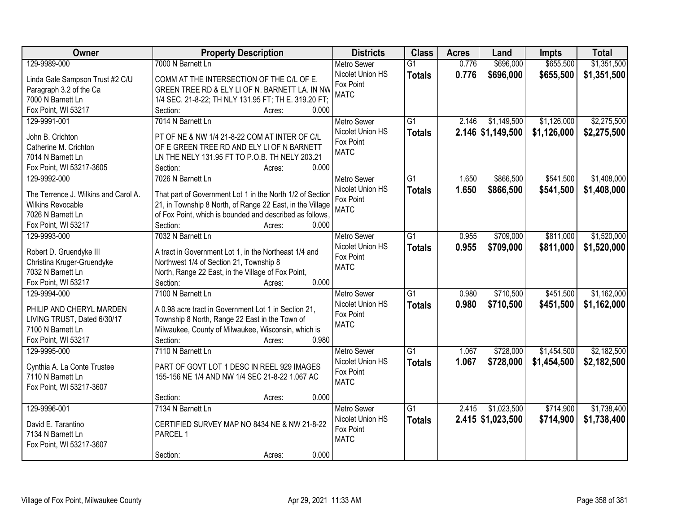| \$1,351,500<br>129-9989-000<br>7000 N Barnett Ln<br>\$696,000<br>\$655,500<br><b>Metro Sewer</b><br>$\overline{G1}$<br>0.776<br>Nicolet Union HS<br>0.776<br>\$655,500<br>\$696,000<br>\$1,351,500<br><b>Totals</b><br>Linda Gale Sampson Trust #2 C/U<br>COMM AT THE INTERSECTION OF THE C/L OF E.<br>Fox Point<br>GREEN TREE RD & ELY LI OF N. BARNETT LA. IN NW<br>Paragraph 3.2 of the Ca<br><b>MATC</b><br>1/4 SEC. 21-8-22; TH NLY 131.95 FT; TH E. 319.20 FT;<br>7000 N Barnett Ln<br>Fox Point, WI 53217<br>Section:<br>0.000<br>Acres:<br>\$2,275,500<br>$\overline{G1}$<br>\$1,149,500<br>\$1,126,000<br>129-9991-001<br>7014 N Barnett Ln<br>2.146<br><b>Metro Sewer</b><br>Nicolet Union HS<br>2.146 \$1,149,500<br>\$1,126,000<br>\$2,275,500<br><b>Totals</b><br>PT OF NE & NW 1/4 21-8-22 COM AT INTER OF C/L<br>John B. Crichton<br>Fox Point<br>OF E GREEN TREE RD AND ELY LI OF N BARNETT<br>Catherine M. Crichton<br><b>MATC</b><br>7014 N Barnett Ln<br>LN THE NELY 131.95 FT TO P.O.B. TH NELY 203.21<br>0.000<br>Fox Point, WI 53217-3605<br>Section:<br>Acres:<br>\$1,408,000<br>129-9992-000<br>7026 N Barnett Ln<br>G1<br>1.650<br>\$866,500<br>\$541,500<br><b>Metro Sewer</b><br>Nicolet Union HS<br>1.650<br>\$866,500<br>\$541,500<br>\$1,408,000<br><b>Totals</b><br>The Terrence J. Wilkins and Carol A.<br>That part of Government Lot 1 in the North 1/2 of Section<br>Fox Point<br>21, in Township 8 North, of Range 22 East, in the Village<br><b>Wilkins Revocable</b><br><b>MATC</b> | Owner | <b>Property Description</b> | <b>Districts</b> | <b>Class</b> | <b>Acres</b> | Land | Impts | <b>Total</b> |
|---------------------------------------------------------------------------------------------------------------------------------------------------------------------------------------------------------------------------------------------------------------------------------------------------------------------------------------------------------------------------------------------------------------------------------------------------------------------------------------------------------------------------------------------------------------------------------------------------------------------------------------------------------------------------------------------------------------------------------------------------------------------------------------------------------------------------------------------------------------------------------------------------------------------------------------------------------------------------------------------------------------------------------------------------------------------------------------------------------------------------------------------------------------------------------------------------------------------------------------------------------------------------------------------------------------------------------------------------------------------------------------------------------------------------------------------------------------------------------------------------------------------------|-------|-----------------------------|------------------|--------------|--------------|------|-------|--------------|
|                                                                                                                                                                                                                                                                                                                                                                                                                                                                                                                                                                                                                                                                                                                                                                                                                                                                                                                                                                                                                                                                                                                                                                                                                                                                                                                                                                                                                                                                                                                           |       |                             |                  |              |              |      |       |              |
|                                                                                                                                                                                                                                                                                                                                                                                                                                                                                                                                                                                                                                                                                                                                                                                                                                                                                                                                                                                                                                                                                                                                                                                                                                                                                                                                                                                                                                                                                                                           |       |                             |                  |              |              |      |       |              |
|                                                                                                                                                                                                                                                                                                                                                                                                                                                                                                                                                                                                                                                                                                                                                                                                                                                                                                                                                                                                                                                                                                                                                                                                                                                                                                                                                                                                                                                                                                                           |       |                             |                  |              |              |      |       |              |
|                                                                                                                                                                                                                                                                                                                                                                                                                                                                                                                                                                                                                                                                                                                                                                                                                                                                                                                                                                                                                                                                                                                                                                                                                                                                                                                                                                                                                                                                                                                           |       |                             |                  |              |              |      |       |              |
|                                                                                                                                                                                                                                                                                                                                                                                                                                                                                                                                                                                                                                                                                                                                                                                                                                                                                                                                                                                                                                                                                                                                                                                                                                                                                                                                                                                                                                                                                                                           |       |                             |                  |              |              |      |       |              |
|                                                                                                                                                                                                                                                                                                                                                                                                                                                                                                                                                                                                                                                                                                                                                                                                                                                                                                                                                                                                                                                                                                                                                                                                                                                                                                                                                                                                                                                                                                                           |       |                             |                  |              |              |      |       |              |
|                                                                                                                                                                                                                                                                                                                                                                                                                                                                                                                                                                                                                                                                                                                                                                                                                                                                                                                                                                                                                                                                                                                                                                                                                                                                                                                                                                                                                                                                                                                           |       |                             |                  |              |              |      |       |              |
|                                                                                                                                                                                                                                                                                                                                                                                                                                                                                                                                                                                                                                                                                                                                                                                                                                                                                                                                                                                                                                                                                                                                                                                                                                                                                                                                                                                                                                                                                                                           |       |                             |                  |              |              |      |       |              |
|                                                                                                                                                                                                                                                                                                                                                                                                                                                                                                                                                                                                                                                                                                                                                                                                                                                                                                                                                                                                                                                                                                                                                                                                                                                                                                                                                                                                                                                                                                                           |       |                             |                  |              |              |      |       |              |
|                                                                                                                                                                                                                                                                                                                                                                                                                                                                                                                                                                                                                                                                                                                                                                                                                                                                                                                                                                                                                                                                                                                                                                                                                                                                                                                                                                                                                                                                                                                           |       |                             |                  |              |              |      |       |              |
|                                                                                                                                                                                                                                                                                                                                                                                                                                                                                                                                                                                                                                                                                                                                                                                                                                                                                                                                                                                                                                                                                                                                                                                                                                                                                                                                                                                                                                                                                                                           |       |                             |                  |              |              |      |       |              |
|                                                                                                                                                                                                                                                                                                                                                                                                                                                                                                                                                                                                                                                                                                                                                                                                                                                                                                                                                                                                                                                                                                                                                                                                                                                                                                                                                                                                                                                                                                                           |       |                             |                  |              |              |      |       |              |
|                                                                                                                                                                                                                                                                                                                                                                                                                                                                                                                                                                                                                                                                                                                                                                                                                                                                                                                                                                                                                                                                                                                                                                                                                                                                                                                                                                                                                                                                                                                           |       |                             |                  |              |              |      |       |              |
|                                                                                                                                                                                                                                                                                                                                                                                                                                                                                                                                                                                                                                                                                                                                                                                                                                                                                                                                                                                                                                                                                                                                                                                                                                                                                                                                                                                                                                                                                                                           |       |                             |                  |              |              |      |       |              |
| of Fox Point, which is bounded and described as follows,<br>7026 N Barnett Ln                                                                                                                                                                                                                                                                                                                                                                                                                                                                                                                                                                                                                                                                                                                                                                                                                                                                                                                                                                                                                                                                                                                                                                                                                                                                                                                                                                                                                                             |       |                             |                  |              |              |      |       |              |
| Section:<br>0.000<br>Fox Point, WI 53217<br>Acres:                                                                                                                                                                                                                                                                                                                                                                                                                                                                                                                                                                                                                                                                                                                                                                                                                                                                                                                                                                                                                                                                                                                                                                                                                                                                                                                                                                                                                                                                        |       |                             |                  |              |              |      |       |              |
| \$1,520,000<br>7032 N Barnett Ln<br>\$709,000<br>\$811,000<br>129-9993-000<br>G1<br>0.955<br><b>Metro Sewer</b>                                                                                                                                                                                                                                                                                                                                                                                                                                                                                                                                                                                                                                                                                                                                                                                                                                                                                                                                                                                                                                                                                                                                                                                                                                                                                                                                                                                                           |       |                             |                  |              |              |      |       |              |
| Nicolet Union HS<br>0.955<br>\$709,000<br>\$811,000<br>\$1,520,000<br><b>Totals</b>                                                                                                                                                                                                                                                                                                                                                                                                                                                                                                                                                                                                                                                                                                                                                                                                                                                                                                                                                                                                                                                                                                                                                                                                                                                                                                                                                                                                                                       |       |                             |                  |              |              |      |       |              |
| Robert D. Gruendyke III<br>A tract in Government Lot 1, in the Northeast 1/4 and<br>Fox Point                                                                                                                                                                                                                                                                                                                                                                                                                                                                                                                                                                                                                                                                                                                                                                                                                                                                                                                                                                                                                                                                                                                                                                                                                                                                                                                                                                                                                             |       |                             |                  |              |              |      |       |              |
| Christina Kruger-Gruendyke<br>Northwest 1/4 of Section 21, Township 8<br><b>MATC</b>                                                                                                                                                                                                                                                                                                                                                                                                                                                                                                                                                                                                                                                                                                                                                                                                                                                                                                                                                                                                                                                                                                                                                                                                                                                                                                                                                                                                                                      |       |                             |                  |              |              |      |       |              |
| 7032 N Barnett Ln<br>North, Range 22 East, in the Village of Fox Point,                                                                                                                                                                                                                                                                                                                                                                                                                                                                                                                                                                                                                                                                                                                                                                                                                                                                                                                                                                                                                                                                                                                                                                                                                                                                                                                                                                                                                                                   |       |                             |                  |              |              |      |       |              |
| 0.000<br>Fox Point, WI 53217<br>Section:<br>Acres:                                                                                                                                                                                                                                                                                                                                                                                                                                                                                                                                                                                                                                                                                                                                                                                                                                                                                                                                                                                                                                                                                                                                                                                                                                                                                                                                                                                                                                                                        |       |                             |                  |              |              |      |       |              |
| 7100 N Barnett Ln<br>\$1,162,000<br>$\overline{G1}$<br>0.980<br>\$710,500<br>\$451,500<br>129-9994-000<br><b>Metro Sewer</b>                                                                                                                                                                                                                                                                                                                                                                                                                                                                                                                                                                                                                                                                                                                                                                                                                                                                                                                                                                                                                                                                                                                                                                                                                                                                                                                                                                                              |       |                             |                  |              |              |      |       |              |
| Nicolet Union HS<br>0.980<br>\$710,500<br>\$451,500<br>\$1,162,000<br><b>Totals</b><br>PHILIP AND CHERYL MARDEN<br>A 0.98 acre tract in Government Lot 1 in Section 21,                                                                                                                                                                                                                                                                                                                                                                                                                                                                                                                                                                                                                                                                                                                                                                                                                                                                                                                                                                                                                                                                                                                                                                                                                                                                                                                                                   |       |                             |                  |              |              |      |       |              |
| Fox Point<br>Township 8 North, Range 22 East in the Town of<br>LIVING TRUST, Dated 6/30/17                                                                                                                                                                                                                                                                                                                                                                                                                                                                                                                                                                                                                                                                                                                                                                                                                                                                                                                                                                                                                                                                                                                                                                                                                                                                                                                                                                                                                                |       |                             |                  |              |              |      |       |              |
| <b>MATC</b><br>Milwaukee, County of Milwaukee, Wisconsin, which is<br>7100 N Barnett Ln                                                                                                                                                                                                                                                                                                                                                                                                                                                                                                                                                                                                                                                                                                                                                                                                                                                                                                                                                                                                                                                                                                                                                                                                                                                                                                                                                                                                                                   |       |                             |                  |              |              |      |       |              |
| Fox Point, WI 53217<br>Section:<br>0.980<br>Acres:                                                                                                                                                                                                                                                                                                                                                                                                                                                                                                                                                                                                                                                                                                                                                                                                                                                                                                                                                                                                                                                                                                                                                                                                                                                                                                                                                                                                                                                                        |       |                             |                  |              |              |      |       |              |
| $\overline{G1}$<br>\$2,182,500<br>129-9995-000<br>7110 N Barnett Ln<br>1.067<br>\$728,000<br>\$1,454,500<br><b>Metro Sewer</b>                                                                                                                                                                                                                                                                                                                                                                                                                                                                                                                                                                                                                                                                                                                                                                                                                                                                                                                                                                                                                                                                                                                                                                                                                                                                                                                                                                                            |       |                             |                  |              |              |      |       |              |
| Nicolet Union HS<br>1.067<br>\$728,000<br>\$2,182,500<br>\$1,454,500<br><b>Totals</b>                                                                                                                                                                                                                                                                                                                                                                                                                                                                                                                                                                                                                                                                                                                                                                                                                                                                                                                                                                                                                                                                                                                                                                                                                                                                                                                                                                                                                                     |       |                             |                  |              |              |      |       |              |
| Cynthia A. La Conte Trustee<br>PART OF GOVT LOT 1 DESC IN REEL 929 IMAGES<br>Fox Point                                                                                                                                                                                                                                                                                                                                                                                                                                                                                                                                                                                                                                                                                                                                                                                                                                                                                                                                                                                                                                                                                                                                                                                                                                                                                                                                                                                                                                    |       |                             |                  |              |              |      |       |              |
| 7110 N Barnett Ln<br>155-156 NE 1/4 AND NW 1/4 SEC 21-8-22 1.067 AC<br><b>MATC</b>                                                                                                                                                                                                                                                                                                                                                                                                                                                                                                                                                                                                                                                                                                                                                                                                                                                                                                                                                                                                                                                                                                                                                                                                                                                                                                                                                                                                                                        |       |                             |                  |              |              |      |       |              |
| Fox Point, WI 53217-3607                                                                                                                                                                                                                                                                                                                                                                                                                                                                                                                                                                                                                                                                                                                                                                                                                                                                                                                                                                                                                                                                                                                                                                                                                                                                                                                                                                                                                                                                                                  |       |                             |                  |              |              |      |       |              |
| 0.000<br>Section:<br>Acres:                                                                                                                                                                                                                                                                                                                                                                                                                                                                                                                                                                                                                                                                                                                                                                                                                                                                                                                                                                                                                                                                                                                                                                                                                                                                                                                                                                                                                                                                                               |       |                             |                  |              |              |      |       |              |
| 129-9996-001<br>7134 N Barnett Ln<br>\$1,023,500<br>\$714,900<br>\$1,738,400<br>$\overline{G1}$<br>2.415<br><b>Metro Sewer</b>                                                                                                                                                                                                                                                                                                                                                                                                                                                                                                                                                                                                                                                                                                                                                                                                                                                                                                                                                                                                                                                                                                                                                                                                                                                                                                                                                                                            |       |                             |                  |              |              |      |       |              |
| Nicolet Union HS<br>2.415 \$1,023,500<br>\$1,738,400<br>\$714,900<br><b>Totals</b><br>David E. Tarantino<br>CERTIFIED SURVEY MAP NO 8434 NE & NW 21-8-22                                                                                                                                                                                                                                                                                                                                                                                                                                                                                                                                                                                                                                                                                                                                                                                                                                                                                                                                                                                                                                                                                                                                                                                                                                                                                                                                                                  |       |                             |                  |              |              |      |       |              |
| Fox Point<br>7134 N Barnett Ln<br>PARCEL 1                                                                                                                                                                                                                                                                                                                                                                                                                                                                                                                                                                                                                                                                                                                                                                                                                                                                                                                                                                                                                                                                                                                                                                                                                                                                                                                                                                                                                                                                                |       |                             |                  |              |              |      |       |              |
| <b>MATC</b><br>Fox Point, WI 53217-3607                                                                                                                                                                                                                                                                                                                                                                                                                                                                                                                                                                                                                                                                                                                                                                                                                                                                                                                                                                                                                                                                                                                                                                                                                                                                                                                                                                                                                                                                                   |       |                             |                  |              |              |      |       |              |
| 0.000<br>Section:<br>Acres:                                                                                                                                                                                                                                                                                                                                                                                                                                                                                                                                                                                                                                                                                                                                                                                                                                                                                                                                                                                                                                                                                                                                                                                                                                                                                                                                                                                                                                                                                               |       |                             |                  |              |              |      |       |              |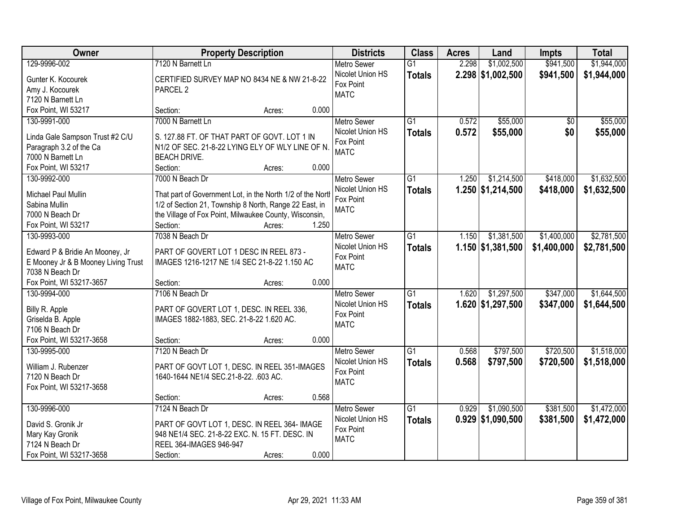| Owner                                                                  | <b>Property Description</b>                                                             | <b>Districts</b>   | <b>Class</b>    | <b>Acres</b> | Land                | <b>Impts</b>    | <b>Total</b> |
|------------------------------------------------------------------------|-----------------------------------------------------------------------------------------|--------------------|-----------------|--------------|---------------------|-----------------|--------------|
| 129-9996-002                                                           | 7120 N Barnett Ln                                                                       | <b>Metro Sewer</b> | $\overline{G1}$ | 2.298        | \$1,002,500         | \$941,500       | \$1,944,000  |
| Gunter K. Kocourek                                                     | CERTIFIED SURVEY MAP NO 8434 NE & NW 21-8-22                                            | Nicolet Union HS   | <b>Totals</b>   |              | $2.298$ \$1,002,500 | \$941,500       | \$1,944,000  |
| Amy J. Kocourek                                                        | PARCEL <sub>2</sub>                                                                     | Fox Point          |                 |              |                     |                 |              |
| 7120 N Barnett Ln                                                      |                                                                                         | <b>MATC</b>        |                 |              |                     |                 |              |
| Fox Point, WI 53217                                                    | 0.000<br>Section:<br>Acres:                                                             |                    |                 |              |                     |                 |              |
| 130-9991-000                                                           | 7000 N Barnett Ln                                                                       | <b>Metro Sewer</b> | $\overline{G1}$ | 0.572        | \$55,000            | $\overline{50}$ | \$55,000     |
|                                                                        |                                                                                         | Nicolet Union HS   | <b>Totals</b>   | 0.572        | \$55,000            | \$0             | \$55,000     |
| Linda Gale Sampson Trust #2 C/U                                        | S. 127.88 FT. OF THAT PART OF GOVT. LOT 1 IN                                            | Fox Point          |                 |              |                     |                 |              |
| Paragraph 3.2 of the Ca                                                | N1/2 OF SEC. 21-8-22 LYING ELY OF WLY LINE OF N.                                        | <b>MATC</b>        |                 |              |                     |                 |              |
| 7000 N Barnett Ln                                                      | <b>BEACH DRIVE.</b>                                                                     |                    |                 |              |                     |                 |              |
| Fox Point, WI 53217                                                    | Section:<br>Acres:                                                                      | 0.000              |                 |              |                     |                 |              |
| 130-9992-000                                                           | 7000 N Beach Dr                                                                         | <b>Metro Sewer</b> | $\overline{G1}$ | 1.250        | \$1,214,500         | \$418,000       | \$1,632,500  |
| Michael Paul Mullin                                                    | That part of Government Lot, in the North 1/2 of the North                              | Nicolet Union HS   | <b>Totals</b>   |              | 1.250 \$1,214,500   | \$418,000       | \$1,632,500  |
| Sabina Mullin                                                          | 1/2 of Section 21, Township 8 North, Range 22 East, in                                  | Fox Point          |                 |              |                     |                 |              |
| 7000 N Beach Dr                                                        | the Village of Fox Point, Milwaukee County, Wisconsin,                                  | <b>MATC</b>        |                 |              |                     |                 |              |
| Fox Point, WI 53217                                                    | Section:<br>Acres:                                                                      | 1.250              |                 |              |                     |                 |              |
| 130-9993-000                                                           | 7038 N Beach Dr                                                                         | <b>Metro Sewer</b> | $\overline{G1}$ | 1.150        | \$1,381,500         | \$1,400,000     | \$2,781,500  |
|                                                                        |                                                                                         | Nicolet Union HS   | <b>Totals</b>   |              | 1.150 \$1,381,500   | \$1,400,000     | \$2,781,500  |
| Edward P & Bridie An Mooney, Jr<br>E Mooney Jr & B Mooney Living Trust | PART OF GOVERT LOT 1 DESC IN REEL 873 -<br>IMAGES 1216-1217 NE 1/4 SEC 21-8-22 1.150 AC | Fox Point          |                 |              |                     |                 |              |
| 7038 N Beach Dr                                                        |                                                                                         | <b>MATC</b>        |                 |              |                     |                 |              |
| Fox Point, WI 53217-3657                                               | 0.000<br>Section:<br>Acres:                                                             |                    |                 |              |                     |                 |              |
| 130-9994-000                                                           | 7106 N Beach Dr                                                                         | <b>Metro Sewer</b> | $\overline{G1}$ | 1.620        | \$1,297,500         | \$347,000       | \$1,644,500  |
|                                                                        |                                                                                         | Nicolet Union HS   |                 |              | 1.620 \$1,297,500   | \$347,000       | \$1,644,500  |
| Billy R. Apple                                                         | PART OF GOVERT LOT 1, DESC. IN REEL 336,                                                | Fox Point          | <b>Totals</b>   |              |                     |                 |              |
| Griselda B. Apple                                                      | IMAGES 1882-1883, SEC. 21-8-22 1.620 AC.                                                | <b>MATC</b>        |                 |              |                     |                 |              |
| 7106 N Beach Dr                                                        |                                                                                         |                    |                 |              |                     |                 |              |
| Fox Point, WI 53217-3658                                               | Section:<br>Acres:                                                                      | 0.000              |                 |              |                     |                 |              |
| 130-9995-000                                                           | 7120 N Beach Dr                                                                         | Metro Sewer        | $\overline{G1}$ | 0.568        | \$797,500           | \$720,500       | \$1,518,000  |
| William J. Rubenzer                                                    | PART OF GOVT LOT 1, DESC. IN REEL 351-IMAGES                                            | Nicolet Union HS   | <b>Totals</b>   | 0.568        | \$797,500           | \$720,500       | \$1,518,000  |
| 7120 N Beach Dr                                                        | 1640-1644 NE1/4 SEC.21-8-22. .603 AC.                                                   | Fox Point          |                 |              |                     |                 |              |
| Fox Point, WI 53217-3658                                               |                                                                                         | <b>MATC</b>        |                 |              |                     |                 |              |
|                                                                        | Section:<br>Acres:                                                                      | 0.568              |                 |              |                     |                 |              |
| 130-9996-000                                                           | 7124 N Beach Dr                                                                         | <b>Metro Sewer</b> | $\overline{G1}$ | 0.929        | \$1,090,500         | \$381,500       | \$1,472,000  |
|                                                                        |                                                                                         | Nicolet Union HS   | <b>Totals</b>   |              | $0.929$ \$1,090,500 | \$381,500       | \$1,472,000  |
| David S. Gronik Jr                                                     | PART OF GOVT LOT 1, DESC. IN REEL 364- IMAGE                                            | Fox Point          |                 |              |                     |                 |              |
| Mary Kay Gronik                                                        | 948 NE1/4 SEC. 21-8-22 EXC. N. 15 FT. DESC. IN                                          | <b>MATC</b>        |                 |              |                     |                 |              |
| 7124 N Beach Dr                                                        | REEL 364-IMAGES 946-947                                                                 |                    |                 |              |                     |                 |              |
| Fox Point, WI 53217-3658                                               | Section:<br>Acres:                                                                      | 0.000              |                 |              |                     |                 |              |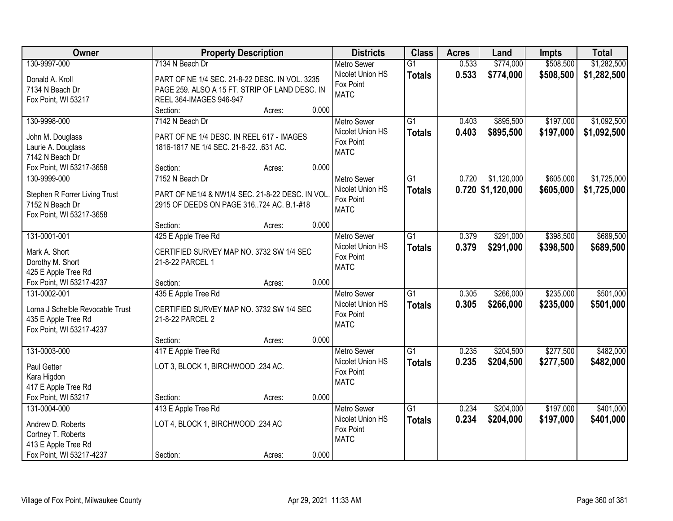| \$508,500<br>\$1,282,500<br>130-9997-000<br>7134 N Beach Dr<br>0.533<br>\$774,000<br><b>Metro Sewer</b><br>$\overline{G1}$<br>Nicolet Union HS<br>0.533<br>\$774,000<br>\$508,500<br><b>Totals</b><br>Donald A. Kroll<br>PART OF NE 1/4 SEC. 21-8-22 DESC. IN VOL. 3235<br>Fox Point<br>PAGE 259. ALSO A 15 FT. STRIP OF LAND DESC. IN<br>7134 N Beach Dr<br><b>MATC</b><br>REEL 364-IMAGES 946-947<br>Fox Point, WI 53217<br>0.000<br>Section:<br>Acres:<br>130-9998-000<br>$\overline{G1}$<br>\$895,500<br>\$197,000<br>7142 N Beach Dr<br>0.403<br><b>Metro Sewer</b><br>Nicolet Union HS<br>0.403<br>\$895,500<br>\$197,000<br><b>Totals</b><br>PART OF NE 1/4 DESC. IN REEL 617 - IMAGES<br>John M. Douglass<br>Fox Point<br>Laurie A. Douglass<br>1816-1817 NE 1/4 SEC. 21-8-22. .631 AC.<br><b>MATC</b><br>7142 N Beach Dr<br>0.000<br>Fox Point, WI 53217-3658<br>Section:<br>Acres:<br>\$1,120,000<br>130-9999-000<br>7152 N Beach Dr<br>G1<br>0.720<br>\$605,000<br>Metro Sewer<br>Nicolet Union HS<br>$0.720$ \$1,120,000<br>\$605,000<br><b>Totals</b><br>Stephen R Forrer Living Trust<br>PART OF NE1/4 & NW1/4 SEC. 21-8-22 DESC. IN VOL<br>Fox Point<br>2915 OF DEEDS ON PAGE 316724 AC. B.1-#18<br>7152 N Beach Dr<br><b>MATC</b><br>Fox Point, WI 53217-3658<br>0.000<br>Section:<br>Acres:<br>131-0001-001<br>\$291,000<br>\$398,500<br>425 E Apple Tree Rd<br><b>Metro Sewer</b><br>G1<br>0.379<br>Nicolet Union HS<br>0.379<br>\$291,000<br>\$398,500<br><b>Totals</b><br>Mark A. Short<br>CERTIFIED SURVEY MAP NO. 3732 SW 1/4 SEC<br>Fox Point<br>Dorothy M. Short<br>21-8-22 PARCEL 1<br><b>MATC</b><br>425 E Apple Tree Rd<br>0.000<br>Fox Point, WI 53217-4237<br>Section:<br>Acres:<br>\$235,000<br>131-0002-001<br>435 E Apple Tree Rd<br>$\overline{G1}$<br>0.305<br>\$266,000<br><b>Metro Sewer</b><br>Nicolet Union HS<br>0.305<br>\$266,000<br>\$235,000<br><b>Totals</b><br>Lorna J Schelble Revocable Trust<br>CERTIFIED SURVEY MAP NO. 3732 SW 1/4 SEC<br>Fox Point<br>435 E Apple Tree Rd<br>21-8-22 PARCEL 2<br><b>MATC</b><br>Fox Point, WI 53217-4237<br>0.000<br>Section:<br>Acres:<br>$\overline{G1}$<br>\$204,500<br>\$277,500<br>131-0003-000<br>417 E Apple Tree Rd<br>Metro Sewer<br>0.235<br>Nicolet Union HS<br>0.235<br>\$204,500<br>\$277,500<br><b>Totals</b><br>Paul Getter<br>LOT 3, BLOCK 1, BIRCHWOOD .234 AC.<br>Fox Point<br>Kara Higdon<br><b>MATC</b><br>417 E Apple Tree Rd<br>0.000<br>Fox Point, WI 53217<br>Section:<br>Acres:<br>$\overline{G1}$<br>\$204,000<br>\$197,000<br>131-0004-000<br>413 E Apple Tree Rd<br>0.234<br><b>Metro Sewer</b><br>Nicolet Union HS<br>0.234<br>\$204,000<br>\$197,000 | Owner             | <b>Property Description</b>       | <b>Districts</b> | <b>Class</b>  | <b>Acres</b> | Land | Impts | <b>Total</b> |
|-----------------------------------------------------------------------------------------------------------------------------------------------------------------------------------------------------------------------------------------------------------------------------------------------------------------------------------------------------------------------------------------------------------------------------------------------------------------------------------------------------------------------------------------------------------------------------------------------------------------------------------------------------------------------------------------------------------------------------------------------------------------------------------------------------------------------------------------------------------------------------------------------------------------------------------------------------------------------------------------------------------------------------------------------------------------------------------------------------------------------------------------------------------------------------------------------------------------------------------------------------------------------------------------------------------------------------------------------------------------------------------------------------------------------------------------------------------------------------------------------------------------------------------------------------------------------------------------------------------------------------------------------------------------------------------------------------------------------------------------------------------------------------------------------------------------------------------------------------------------------------------------------------------------------------------------------------------------------------------------------------------------------------------------------------------------------------------------------------------------------------------------------------------------------------------------------------------------------------------------------------------------------------------------------------------------------------------------------------------------------------------------------------------------------------------------------------------------------------------------------------------------------------------------------------------------------------------------------------------------------------------------------------------------------|-------------------|-----------------------------------|------------------|---------------|--------------|------|-------|--------------|
|                                                                                                                                                                                                                                                                                                                                                                                                                                                                                                                                                                                                                                                                                                                                                                                                                                                                                                                                                                                                                                                                                                                                                                                                                                                                                                                                                                                                                                                                                                                                                                                                                                                                                                                                                                                                                                                                                                                                                                                                                                                                                                                                                                                                                                                                                                                                                                                                                                                                                                                                                                                                                                                                       |                   |                                   |                  |               |              |      |       |              |
| \$1,092,500<br>\$1,092,500<br>\$1,725,000<br>\$1,725,000<br>\$689,500<br>\$689,500<br>\$482,000                                                                                                                                                                                                                                                                                                                                                                                                                                                                                                                                                                                                                                                                                                                                                                                                                                                                                                                                                                                                                                                                                                                                                                                                                                                                                                                                                                                                                                                                                                                                                                                                                                                                                                                                                                                                                                                                                                                                                                                                                                                                                                                                                                                                                                                                                                                                                                                                                                                                                                                                                                       |                   |                                   |                  |               |              |      |       | \$1,282,500  |
|                                                                                                                                                                                                                                                                                                                                                                                                                                                                                                                                                                                                                                                                                                                                                                                                                                                                                                                                                                                                                                                                                                                                                                                                                                                                                                                                                                                                                                                                                                                                                                                                                                                                                                                                                                                                                                                                                                                                                                                                                                                                                                                                                                                                                                                                                                                                                                                                                                                                                                                                                                                                                                                                       |                   |                                   |                  |               |              |      |       |              |
|                                                                                                                                                                                                                                                                                                                                                                                                                                                                                                                                                                                                                                                                                                                                                                                                                                                                                                                                                                                                                                                                                                                                                                                                                                                                                                                                                                                                                                                                                                                                                                                                                                                                                                                                                                                                                                                                                                                                                                                                                                                                                                                                                                                                                                                                                                                                                                                                                                                                                                                                                                                                                                                                       |                   |                                   |                  |               |              |      |       |              |
|                                                                                                                                                                                                                                                                                                                                                                                                                                                                                                                                                                                                                                                                                                                                                                                                                                                                                                                                                                                                                                                                                                                                                                                                                                                                                                                                                                                                                                                                                                                                                                                                                                                                                                                                                                                                                                                                                                                                                                                                                                                                                                                                                                                                                                                                                                                                                                                                                                                                                                                                                                                                                                                                       |                   |                                   |                  |               |              |      |       |              |
|                                                                                                                                                                                                                                                                                                                                                                                                                                                                                                                                                                                                                                                                                                                                                                                                                                                                                                                                                                                                                                                                                                                                                                                                                                                                                                                                                                                                                                                                                                                                                                                                                                                                                                                                                                                                                                                                                                                                                                                                                                                                                                                                                                                                                                                                                                                                                                                                                                                                                                                                                                                                                                                                       |                   |                                   |                  |               |              |      |       |              |
|                                                                                                                                                                                                                                                                                                                                                                                                                                                                                                                                                                                                                                                                                                                                                                                                                                                                                                                                                                                                                                                                                                                                                                                                                                                                                                                                                                                                                                                                                                                                                                                                                                                                                                                                                                                                                                                                                                                                                                                                                                                                                                                                                                                                                                                                                                                                                                                                                                                                                                                                                                                                                                                                       |                   |                                   |                  |               |              |      |       |              |
|                                                                                                                                                                                                                                                                                                                                                                                                                                                                                                                                                                                                                                                                                                                                                                                                                                                                                                                                                                                                                                                                                                                                                                                                                                                                                                                                                                                                                                                                                                                                                                                                                                                                                                                                                                                                                                                                                                                                                                                                                                                                                                                                                                                                                                                                                                                                                                                                                                                                                                                                                                                                                                                                       |                   |                                   |                  |               |              |      |       |              |
|                                                                                                                                                                                                                                                                                                                                                                                                                                                                                                                                                                                                                                                                                                                                                                                                                                                                                                                                                                                                                                                                                                                                                                                                                                                                                                                                                                                                                                                                                                                                                                                                                                                                                                                                                                                                                                                                                                                                                                                                                                                                                                                                                                                                                                                                                                                                                                                                                                                                                                                                                                                                                                                                       |                   |                                   |                  |               |              |      |       |              |
|                                                                                                                                                                                                                                                                                                                                                                                                                                                                                                                                                                                                                                                                                                                                                                                                                                                                                                                                                                                                                                                                                                                                                                                                                                                                                                                                                                                                                                                                                                                                                                                                                                                                                                                                                                                                                                                                                                                                                                                                                                                                                                                                                                                                                                                                                                                                                                                                                                                                                                                                                                                                                                                                       |                   |                                   |                  |               |              |      |       |              |
|                                                                                                                                                                                                                                                                                                                                                                                                                                                                                                                                                                                                                                                                                                                                                                                                                                                                                                                                                                                                                                                                                                                                                                                                                                                                                                                                                                                                                                                                                                                                                                                                                                                                                                                                                                                                                                                                                                                                                                                                                                                                                                                                                                                                                                                                                                                                                                                                                                                                                                                                                                                                                                                                       |                   |                                   |                  |               |              |      |       |              |
|                                                                                                                                                                                                                                                                                                                                                                                                                                                                                                                                                                                                                                                                                                                                                                                                                                                                                                                                                                                                                                                                                                                                                                                                                                                                                                                                                                                                                                                                                                                                                                                                                                                                                                                                                                                                                                                                                                                                                                                                                                                                                                                                                                                                                                                                                                                                                                                                                                                                                                                                                                                                                                                                       |                   |                                   |                  |               |              |      |       |              |
|                                                                                                                                                                                                                                                                                                                                                                                                                                                                                                                                                                                                                                                                                                                                                                                                                                                                                                                                                                                                                                                                                                                                                                                                                                                                                                                                                                                                                                                                                                                                                                                                                                                                                                                                                                                                                                                                                                                                                                                                                                                                                                                                                                                                                                                                                                                                                                                                                                                                                                                                                                                                                                                                       |                   |                                   |                  |               |              |      |       |              |
|                                                                                                                                                                                                                                                                                                                                                                                                                                                                                                                                                                                                                                                                                                                                                                                                                                                                                                                                                                                                                                                                                                                                                                                                                                                                                                                                                                                                                                                                                                                                                                                                                                                                                                                                                                                                                                                                                                                                                                                                                                                                                                                                                                                                                                                                                                                                                                                                                                                                                                                                                                                                                                                                       |                   |                                   |                  |               |              |      |       |              |
|                                                                                                                                                                                                                                                                                                                                                                                                                                                                                                                                                                                                                                                                                                                                                                                                                                                                                                                                                                                                                                                                                                                                                                                                                                                                                                                                                                                                                                                                                                                                                                                                                                                                                                                                                                                                                                                                                                                                                                                                                                                                                                                                                                                                                                                                                                                                                                                                                                                                                                                                                                                                                                                                       |                   |                                   |                  |               |              |      |       |              |
|                                                                                                                                                                                                                                                                                                                                                                                                                                                                                                                                                                                                                                                                                                                                                                                                                                                                                                                                                                                                                                                                                                                                                                                                                                                                                                                                                                                                                                                                                                                                                                                                                                                                                                                                                                                                                                                                                                                                                                                                                                                                                                                                                                                                                                                                                                                                                                                                                                                                                                                                                                                                                                                                       |                   |                                   |                  |               |              |      |       |              |
|                                                                                                                                                                                                                                                                                                                                                                                                                                                                                                                                                                                                                                                                                                                                                                                                                                                                                                                                                                                                                                                                                                                                                                                                                                                                                                                                                                                                                                                                                                                                                                                                                                                                                                                                                                                                                                                                                                                                                                                                                                                                                                                                                                                                                                                                                                                                                                                                                                                                                                                                                                                                                                                                       |                   |                                   |                  |               |              |      |       |              |
|                                                                                                                                                                                                                                                                                                                                                                                                                                                                                                                                                                                                                                                                                                                                                                                                                                                                                                                                                                                                                                                                                                                                                                                                                                                                                                                                                                                                                                                                                                                                                                                                                                                                                                                                                                                                                                                                                                                                                                                                                                                                                                                                                                                                                                                                                                                                                                                                                                                                                                                                                                                                                                                                       |                   |                                   |                  |               |              |      |       |              |
| \$501,000<br>\$501,000<br>\$482,000<br>\$401,000                                                                                                                                                                                                                                                                                                                                                                                                                                                                                                                                                                                                                                                                                                                                                                                                                                                                                                                                                                                                                                                                                                                                                                                                                                                                                                                                                                                                                                                                                                                                                                                                                                                                                                                                                                                                                                                                                                                                                                                                                                                                                                                                                                                                                                                                                                                                                                                                                                                                                                                                                                                                                      |                   |                                   |                  |               |              |      |       |              |
|                                                                                                                                                                                                                                                                                                                                                                                                                                                                                                                                                                                                                                                                                                                                                                                                                                                                                                                                                                                                                                                                                                                                                                                                                                                                                                                                                                                                                                                                                                                                                                                                                                                                                                                                                                                                                                                                                                                                                                                                                                                                                                                                                                                                                                                                                                                                                                                                                                                                                                                                                                                                                                                                       |                   |                                   |                  |               |              |      |       |              |
|                                                                                                                                                                                                                                                                                                                                                                                                                                                                                                                                                                                                                                                                                                                                                                                                                                                                                                                                                                                                                                                                                                                                                                                                                                                                                                                                                                                                                                                                                                                                                                                                                                                                                                                                                                                                                                                                                                                                                                                                                                                                                                                                                                                                                                                                                                                                                                                                                                                                                                                                                                                                                                                                       |                   |                                   |                  |               |              |      |       |              |
|                                                                                                                                                                                                                                                                                                                                                                                                                                                                                                                                                                                                                                                                                                                                                                                                                                                                                                                                                                                                                                                                                                                                                                                                                                                                                                                                                                                                                                                                                                                                                                                                                                                                                                                                                                                                                                                                                                                                                                                                                                                                                                                                                                                                                                                                                                                                                                                                                                                                                                                                                                                                                                                                       |                   |                                   |                  |               |              |      |       |              |
|                                                                                                                                                                                                                                                                                                                                                                                                                                                                                                                                                                                                                                                                                                                                                                                                                                                                                                                                                                                                                                                                                                                                                                                                                                                                                                                                                                                                                                                                                                                                                                                                                                                                                                                                                                                                                                                                                                                                                                                                                                                                                                                                                                                                                                                                                                                                                                                                                                                                                                                                                                                                                                                                       |                   |                                   |                  |               |              |      |       |              |
|                                                                                                                                                                                                                                                                                                                                                                                                                                                                                                                                                                                                                                                                                                                                                                                                                                                                                                                                                                                                                                                                                                                                                                                                                                                                                                                                                                                                                                                                                                                                                                                                                                                                                                                                                                                                                                                                                                                                                                                                                                                                                                                                                                                                                                                                                                                                                                                                                                                                                                                                                                                                                                                                       |                   |                                   |                  |               |              |      |       |              |
|                                                                                                                                                                                                                                                                                                                                                                                                                                                                                                                                                                                                                                                                                                                                                                                                                                                                                                                                                                                                                                                                                                                                                                                                                                                                                                                                                                                                                                                                                                                                                                                                                                                                                                                                                                                                                                                                                                                                                                                                                                                                                                                                                                                                                                                                                                                                                                                                                                                                                                                                                                                                                                                                       |                   |                                   |                  |               |              |      |       |              |
|                                                                                                                                                                                                                                                                                                                                                                                                                                                                                                                                                                                                                                                                                                                                                                                                                                                                                                                                                                                                                                                                                                                                                                                                                                                                                                                                                                                                                                                                                                                                                                                                                                                                                                                                                                                                                                                                                                                                                                                                                                                                                                                                                                                                                                                                                                                                                                                                                                                                                                                                                                                                                                                                       |                   |                                   |                  |               |              |      |       |              |
|                                                                                                                                                                                                                                                                                                                                                                                                                                                                                                                                                                                                                                                                                                                                                                                                                                                                                                                                                                                                                                                                                                                                                                                                                                                                                                                                                                                                                                                                                                                                                                                                                                                                                                                                                                                                                                                                                                                                                                                                                                                                                                                                                                                                                                                                                                                                                                                                                                                                                                                                                                                                                                                                       |                   |                                   |                  |               |              |      |       |              |
|                                                                                                                                                                                                                                                                                                                                                                                                                                                                                                                                                                                                                                                                                                                                                                                                                                                                                                                                                                                                                                                                                                                                                                                                                                                                                                                                                                                                                                                                                                                                                                                                                                                                                                                                                                                                                                                                                                                                                                                                                                                                                                                                                                                                                                                                                                                                                                                                                                                                                                                                                                                                                                                                       |                   |                                   |                  |               |              |      |       |              |
|                                                                                                                                                                                                                                                                                                                                                                                                                                                                                                                                                                                                                                                                                                                                                                                                                                                                                                                                                                                                                                                                                                                                                                                                                                                                                                                                                                                                                                                                                                                                                                                                                                                                                                                                                                                                                                                                                                                                                                                                                                                                                                                                                                                                                                                                                                                                                                                                                                                                                                                                                                                                                                                                       |                   |                                   |                  |               |              |      |       |              |
|                                                                                                                                                                                                                                                                                                                                                                                                                                                                                                                                                                                                                                                                                                                                                                                                                                                                                                                                                                                                                                                                                                                                                                                                                                                                                                                                                                                                                                                                                                                                                                                                                                                                                                                                                                                                                                                                                                                                                                                                                                                                                                                                                                                                                                                                                                                                                                                                                                                                                                                                                                                                                                                                       |                   |                                   |                  |               |              |      |       |              |
|                                                                                                                                                                                                                                                                                                                                                                                                                                                                                                                                                                                                                                                                                                                                                                                                                                                                                                                                                                                                                                                                                                                                                                                                                                                                                                                                                                                                                                                                                                                                                                                                                                                                                                                                                                                                                                                                                                                                                                                                                                                                                                                                                                                                                                                                                                                                                                                                                                                                                                                                                                                                                                                                       |                   |                                   |                  |               |              |      |       |              |
|                                                                                                                                                                                                                                                                                                                                                                                                                                                                                                                                                                                                                                                                                                                                                                                                                                                                                                                                                                                                                                                                                                                                                                                                                                                                                                                                                                                                                                                                                                                                                                                                                                                                                                                                                                                                                                                                                                                                                                                                                                                                                                                                                                                                                                                                                                                                                                                                                                                                                                                                                                                                                                                                       |                   |                                   |                  |               |              |      |       |              |
|                                                                                                                                                                                                                                                                                                                                                                                                                                                                                                                                                                                                                                                                                                                                                                                                                                                                                                                                                                                                                                                                                                                                                                                                                                                                                                                                                                                                                                                                                                                                                                                                                                                                                                                                                                                                                                                                                                                                                                                                                                                                                                                                                                                                                                                                                                                                                                                                                                                                                                                                                                                                                                                                       |                   |                                   |                  |               |              |      |       |              |
|                                                                                                                                                                                                                                                                                                                                                                                                                                                                                                                                                                                                                                                                                                                                                                                                                                                                                                                                                                                                                                                                                                                                                                                                                                                                                                                                                                                                                                                                                                                                                                                                                                                                                                                                                                                                                                                                                                                                                                                                                                                                                                                                                                                                                                                                                                                                                                                                                                                                                                                                                                                                                                                                       |                   | LOT 4, BLOCK 1, BIRCHWOOD .234 AC |                  | <b>Totals</b> |              |      |       | \$401,000    |
| Fox Point                                                                                                                                                                                                                                                                                                                                                                                                                                                                                                                                                                                                                                                                                                                                                                                                                                                                                                                                                                                                                                                                                                                                                                                                                                                                                                                                                                                                                                                                                                                                                                                                                                                                                                                                                                                                                                                                                                                                                                                                                                                                                                                                                                                                                                                                                                                                                                                                                                                                                                                                                                                                                                                             | Andrew D. Roberts |                                   |                  |               |              |      |       |              |
| Cortney T. Roberts<br><b>MATC</b><br>413 E Apple Tree Rd                                                                                                                                                                                                                                                                                                                                                                                                                                                                                                                                                                                                                                                                                                                                                                                                                                                                                                                                                                                                                                                                                                                                                                                                                                                                                                                                                                                                                                                                                                                                                                                                                                                                                                                                                                                                                                                                                                                                                                                                                                                                                                                                                                                                                                                                                                                                                                                                                                                                                                                                                                                                              |                   |                                   |                  |               |              |      |       |              |
| Fox Point, WI 53217-4237<br>0.000<br>Section:<br>Acres:                                                                                                                                                                                                                                                                                                                                                                                                                                                                                                                                                                                                                                                                                                                                                                                                                                                                                                                                                                                                                                                                                                                                                                                                                                                                                                                                                                                                                                                                                                                                                                                                                                                                                                                                                                                                                                                                                                                                                                                                                                                                                                                                                                                                                                                                                                                                                                                                                                                                                                                                                                                                               |                   |                                   |                  |               |              |      |       |              |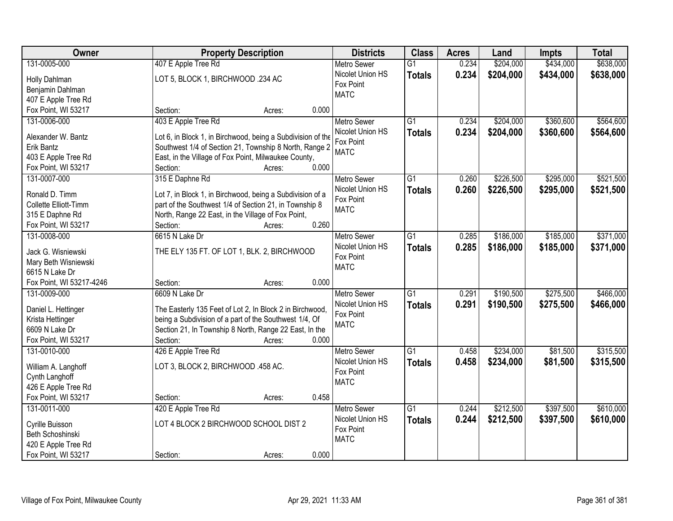| Owner                    | <b>Property Description</b>                                 | <b>Districts</b>   | <b>Class</b>    | <b>Acres</b> | Land      | <b>Impts</b> | <b>Total</b> |
|--------------------------|-------------------------------------------------------------|--------------------|-----------------|--------------|-----------|--------------|--------------|
| 131-0005-000             | 407 E Apple Tree Rd                                         | <b>Metro Sewer</b> | $\overline{G1}$ | 0.234        | \$204,000 | \$434,000    | \$638,000    |
| Holly Dahlman            | LOT 5, BLOCK 1, BIRCHWOOD .234 AC                           | Nicolet Union HS   | <b>Totals</b>   | 0.234        | \$204,000 | \$434,000    | \$638,000    |
| Benjamin Dahlman         |                                                             | Fox Point          |                 |              |           |              |              |
| 407 E Apple Tree Rd      |                                                             | <b>MATC</b>        |                 |              |           |              |              |
| Fox Point, WI 53217      | 0.000<br>Section:<br>Acres:                                 |                    |                 |              |           |              |              |
| 131-0006-000             | 403 E Apple Tree Rd                                         | <b>Metro Sewer</b> | $\overline{G1}$ | 0.234        | \$204,000 | \$360,600    | \$564,600    |
|                          |                                                             | Nicolet Union HS   | <b>Totals</b>   | 0.234        | \$204,000 | \$360,600    | \$564,600    |
| Alexander W. Bantz       | Lot 6, in Block 1, in Birchwood, being a Subdivision of the | Fox Point          |                 |              |           |              |              |
| Erik Bantz               | Southwest 1/4 of Section 21, Township 8 North, Range 2      | <b>MATC</b>        |                 |              |           |              |              |
| 403 E Apple Tree Rd      | East, in the Village of Fox Point, Milwaukee County,        |                    |                 |              |           |              |              |
| Fox Point, WI 53217      | 0.000<br>Section:<br>Acres:                                 |                    |                 |              |           |              |              |
| 131-0007-000             | 315 E Daphne Rd                                             | <b>Metro Sewer</b> | G1              | 0.260        | \$226,500 | \$295,000    | \$521,500    |
| Ronald D. Timm           | Lot 7, in Block 1, in Birchwood, being a Subdivision of a   | Nicolet Union HS   | <b>Totals</b>   | 0.260        | \$226,500 | \$295,000    | \$521,500    |
| Collette Elliott-Timm    | part of the Southwest 1/4 of Section 21, in Township 8      | Fox Point          |                 |              |           |              |              |
| 315 E Daphne Rd          | North, Range 22 East, in the Village of Fox Point,          | <b>MATC</b>        |                 |              |           |              |              |
| Fox Point, WI 53217      | 0.260<br>Section:<br>Acres:                                 |                    |                 |              |           |              |              |
| 131-0008-000             | 6615 N Lake Dr                                              | <b>Metro Sewer</b> | G1              | 0.285        | \$186,000 | \$185,000    | \$371,000    |
|                          |                                                             | Nicolet Union HS   | <b>Totals</b>   | 0.285        | \$186,000 | \$185,000    | \$371,000    |
| Jack G. Wisniewski       | THE ELY 135 FT. OF LOT 1, BLK. 2, BIRCHWOOD                 | Fox Point          |                 |              |           |              |              |
| Mary Beth Wisniewski     |                                                             | <b>MATC</b>        |                 |              |           |              |              |
| 6615 N Lake Dr           |                                                             |                    |                 |              |           |              |              |
| Fox Point, WI 53217-4246 | 0.000<br>Section:<br>Acres:                                 |                    |                 |              |           |              |              |
| 131-0009-000             | 6609 N Lake Dr                                              | <b>Metro Sewer</b> | $\overline{G1}$ | 0.291        | \$190,500 | \$275,500    | \$466,000    |
| Daniel L. Hettinger      | The Easterly 135 Feet of Lot 2, In Block 2 in Birchwood,    | Nicolet Union HS   | <b>Totals</b>   | 0.291        | \$190,500 | \$275,500    | \$466,000    |
| Krista Hettinger         | being a Subdivision of a part of the Southwest 1/4, Of      | Fox Point          |                 |              |           |              |              |
| 6609 N Lake Dr           | Section 21, In Township 8 North, Range 22 East, In the      | <b>MATC</b>        |                 |              |           |              |              |
| Fox Point, WI 53217      | 0.000<br>Section:<br>Acres:                                 |                    |                 |              |           |              |              |
| 131-0010-000             | 426 E Apple Tree Rd                                         | Metro Sewer        | $\overline{G1}$ | 0.458        | \$234,000 | \$81,500     | \$315,500    |
|                          |                                                             | Nicolet Union HS   | <b>Totals</b>   | 0.458        | \$234,000 | \$81,500     | \$315,500    |
| William A. Langhoff      | LOT 3, BLOCK 2, BIRCHWOOD .458 AC.                          | Fox Point          |                 |              |           |              |              |
| Cynth Langhoff           |                                                             | <b>MATC</b>        |                 |              |           |              |              |
| 426 E Apple Tree Rd      |                                                             |                    |                 |              |           |              |              |
| Fox Point, WI 53217      | 0.458<br>Section:<br>Acres:                                 |                    |                 |              |           |              |              |
| 131-0011-000             | 420 E Apple Tree Rd                                         | <b>Metro Sewer</b> | $\overline{G1}$ | 0.244        | \$212,500 | \$397,500    | \$610,000    |
| Cyrille Buisson          | LOT 4 BLOCK 2 BIRCHWOOD SCHOOL DIST 2                       | Nicolet Union HS   | <b>Totals</b>   | 0.244        | \$212,500 | \$397,500    | \$610,000    |
| Beth Schoshinski         |                                                             | Fox Point          |                 |              |           |              |              |
| 420 E Apple Tree Rd      |                                                             | <b>MATC</b>        |                 |              |           |              |              |
| Fox Point, WI 53217      | 0.000<br>Section:<br>Acres:                                 |                    |                 |              |           |              |              |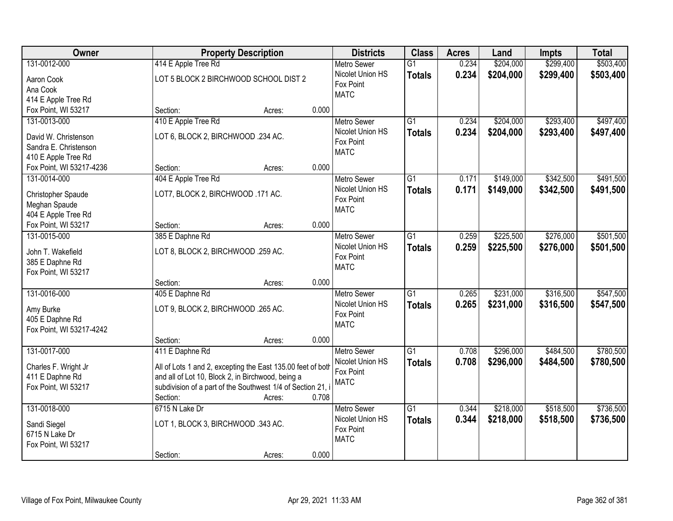| <b>Owner</b>             | <b>Property Description</b>                                 | <b>Districts</b> | <b>Class</b> | <b>Acres</b>                           | Land            | <b>Impts</b> | <b>Total</b> |           |           |
|--------------------------|-------------------------------------------------------------|------------------|--------------|----------------------------------------|-----------------|--------------|--------------|-----------|-----------|
| 131-0012-000             | 414 E Apple Tree Rd                                         |                  |              | <b>Metro Sewer</b>                     | $\overline{G1}$ | 0.234        | \$204,000    | \$299,400 | \$503,400 |
| Aaron Cook               | LOT 5 BLOCK 2 BIRCHWOOD SCHOOL DIST 2                       |                  |              | Nicolet Union HS                       | <b>Totals</b>   | 0.234        | \$204,000    | \$299,400 | \$503,400 |
| Ana Cook                 |                                                             |                  |              | Fox Point                              |                 |              |              |           |           |
| 414 E Apple Tree Rd      |                                                             |                  |              | <b>MATC</b>                            |                 |              |              |           |           |
| Fox Point, WI 53217      | Section:                                                    | Acres:           | 0.000        |                                        |                 |              |              |           |           |
| 131-0013-000             | 410 E Apple Tree Rd                                         |                  |              | <b>Metro Sewer</b>                     | $\overline{G1}$ | 0.234        | \$204,000    | \$293,400 | \$497,400 |
| David W. Christenson     | LOT 6, BLOCK 2, BIRCHWOOD .234 AC.                          |                  |              | Nicolet Union HS                       | <b>Totals</b>   | 0.234        | \$204,000    | \$293,400 | \$497,400 |
| Sandra E. Christenson    |                                                             |                  |              | Fox Point                              |                 |              |              |           |           |
| 410 E Apple Tree Rd      |                                                             |                  |              | <b>MATC</b>                            |                 |              |              |           |           |
| Fox Point, WI 53217-4236 | Section:                                                    | Acres:           | 0.000        |                                        |                 |              |              |           |           |
| 131-0014-000             | 404 E Apple Tree Rd                                         |                  |              | Metro Sewer                            | G1              | 0.171        | \$149,000    | \$342,500 | \$491,500 |
|                          |                                                             |                  |              | Nicolet Union HS                       | <b>Totals</b>   | 0.171        | \$149,000    | \$342,500 | \$491,500 |
| Christopher Spaude       | LOT7, BLOCK 2, BIRCHWOOD .171 AC.                           |                  |              | Fox Point                              |                 |              |              |           |           |
| Meghan Spaude            |                                                             |                  |              | <b>MATC</b>                            |                 |              |              |           |           |
| 404 E Apple Tree Rd      |                                                             |                  |              |                                        |                 |              |              |           |           |
| Fox Point, WI 53217      | Section:                                                    | Acres:           | 0.000        |                                        |                 |              |              |           |           |
| 131-0015-000             | 385 E Daphne Rd                                             |                  |              | <b>Metro Sewer</b>                     | G1              | 0.259        | \$225,500    | \$276,000 | \$501,500 |
| John T. Wakefield        | LOT 8, BLOCK 2, BIRCHWOOD .259 AC.                          |                  |              | Nicolet Union HS                       | <b>Totals</b>   | 0.259        | \$225,500    | \$276,000 | \$501,500 |
| 385 E Daphne Rd          |                                                             |                  |              | Fox Point                              |                 |              |              |           |           |
| Fox Point, WI 53217      |                                                             |                  |              | <b>MATC</b>                            |                 |              |              |           |           |
|                          | Section:                                                    | Acres:           | 0.000        |                                        |                 |              |              |           |           |
| 131-0016-000             | 405 E Daphne Rd                                             |                  |              | <b>Metro Sewer</b>                     | $\overline{G1}$ | 0.265        | \$231,000    | \$316,500 | \$547,500 |
| Amy Burke                | LOT 9, BLOCK 2, BIRCHWOOD .265 AC.                          |                  |              | Nicolet Union HS                       | <b>Totals</b>   | 0.265        | \$231,000    | \$316,500 | \$547,500 |
| 405 E Daphne Rd          |                                                             |                  |              | Fox Point                              |                 |              |              |           |           |
| Fox Point, WI 53217-4242 |                                                             |                  |              | <b>MATC</b>                            |                 |              |              |           |           |
|                          | Section:                                                    | Acres:           | 0.000        |                                        |                 |              |              |           |           |
| 131-0017-000             | 411 E Daphne Rd                                             |                  |              | <b>Metro Sewer</b>                     | $\overline{G1}$ | 0.708        | \$296,000    | \$484,500 | \$780,500 |
|                          |                                                             |                  |              | Nicolet Union HS                       | <b>Totals</b>   | 0.708        | \$296,000    | \$484,500 | \$780,500 |
| Charles F. Wright Jr     | All of Lots 1 and 2, excepting the East 135.00 feet of both |                  |              | Fox Point                              |                 |              |              |           |           |
| 411 E Daphne Rd          | and all of Lot 10, Block 2, in Birchwood, being a           |                  |              | <b>MATC</b>                            |                 |              |              |           |           |
| Fox Point, WI 53217      | subdivision of a part of the Southwest 1/4 of Section 21, i |                  | 0.708        |                                        |                 |              |              |           |           |
|                          | Section:                                                    | Acres:           |              |                                        | $\overline{G1}$ |              | \$218,000    | \$518,500 | \$736,500 |
| 131-0018-000             | 6715 N Lake Dr                                              |                  |              | <b>Metro Sewer</b><br>Nicolet Union HS |                 | 0.344        |              |           |           |
| Sandi Siegel             | LOT 1, BLOCK 3, BIRCHWOOD .343 AC.                          |                  |              | Fox Point                              | <b>Totals</b>   | 0.344        | \$218,000    | \$518,500 | \$736,500 |
| 6715 N Lake Dr           |                                                             |                  |              | <b>MATC</b>                            |                 |              |              |           |           |
| Fox Point, WI 53217      |                                                             |                  |              |                                        |                 |              |              |           |           |
|                          | Section:                                                    | Acres:           | 0.000        |                                        |                 |              |              |           |           |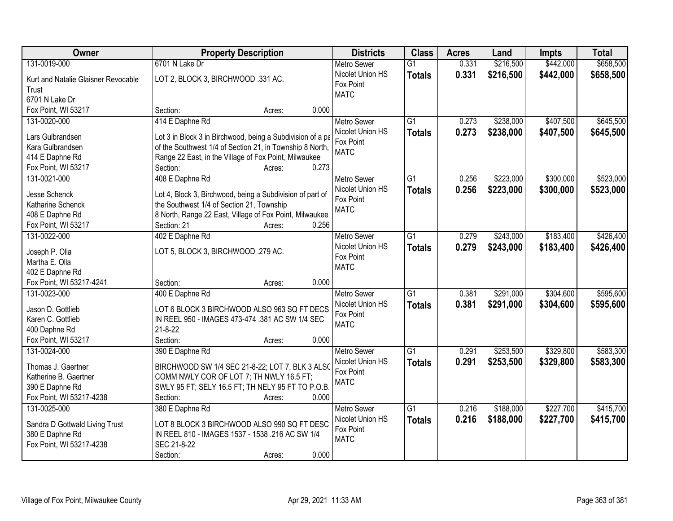| Owner                                                                                                      | <b>Property Description</b>                                                                                                                                                                                            | <b>Districts</b>                                                   | <b>Class</b>                     | <b>Acres</b>   | Land                   | <b>Impts</b>           | <b>Total</b>           |
|------------------------------------------------------------------------------------------------------------|------------------------------------------------------------------------------------------------------------------------------------------------------------------------------------------------------------------------|--------------------------------------------------------------------|----------------------------------|----------------|------------------------|------------------------|------------------------|
| 131-0019-000                                                                                               | 6701 N Lake Dr                                                                                                                                                                                                         | <b>Metro Sewer</b>                                                 | $\overline{G1}$                  | 0.331          | \$216,500              | \$442,000              | \$658,500              |
| Kurt and Natalie Glaisner Revocable<br>Trust<br>6701 N Lake Dr                                             | LOT 2, BLOCK 3, BIRCHWOOD .331 AC.                                                                                                                                                                                     | Nicolet Union HS<br>Fox Point<br><b>MATC</b>                       | <b>Totals</b>                    | 0.331          | \$216,500              | \$442,000              | \$658,500              |
| Fox Point, WI 53217                                                                                        | 0.000<br>Section:<br>Acres:                                                                                                                                                                                            |                                                                    |                                  |                |                        |                        |                        |
| 131-0020-000<br>Lars Gulbrandsen<br>Kara Gulbrandsen<br>414 E Daphne Rd                                    | 414 E Daphne Rd<br>Lot 3 in Block 3 in Birchwood, being a Subdivision of a pa<br>of the Southwest 1/4 of Section 21, in Township 8 North,<br>Range 22 East, in the Village of Fox Point, Milwaukee                     | <b>Metro Sewer</b><br>Nicolet Union HS<br>Fox Point<br><b>MATC</b> | $\overline{G1}$<br><b>Totals</b> | 0.273<br>0.273 | \$238,000<br>\$238,000 | \$407,500<br>\$407,500 | \$645,500<br>\$645,500 |
| Fox Point, WI 53217                                                                                        | 0.273<br>Section:<br>Acres:                                                                                                                                                                                            |                                                                    |                                  |                |                        |                        |                        |
| 131-0021-000<br>Jesse Schenck<br>Katharine Schenck<br>408 E Daphne Rd<br>Fox Point, WI 53217               | 408 E Daphne Rd<br>Lot 4, Block 3, Birchwood, being a Subdivision of part of<br>the Southwest 1/4 of Section 21, Township<br>8 North, Range 22 East, Village of Fox Point, Milwaukee<br>Section: 21<br>0.256<br>Acres: | <b>Metro Sewer</b><br>Nicolet Union HS<br>Fox Point<br><b>MATC</b> | G1<br><b>Totals</b>              | 0.256<br>0.256 | \$223,000<br>\$223,000 | \$300,000<br>\$300,000 | \$523,000<br>\$523,000 |
| 131-0022-000<br>Joseph P. Olla                                                                             | 402 E Daphne Rd<br>LOT 5, BLOCK 3, BIRCHWOOD .279 AC.                                                                                                                                                                  | <b>Metro Sewer</b><br>Nicolet Union HS<br>Fox Point                | G1<br><b>Totals</b>              | 0.279<br>0.279 | \$243,000<br>\$243,000 | \$183,400<br>\$183,400 | \$426,400<br>\$426,400 |
| Martha E. Olla<br>402 E Daphne Rd<br>Fox Point, WI 53217-4241                                              | 0.000<br>Section:<br>Acres:                                                                                                                                                                                            | <b>MATC</b>                                                        |                                  |                |                        |                        |                        |
| 131-0023-000<br>Jason D. Gottlieb<br>Karen C. Gottlieb<br>400 Daphne Rd<br>Fox Point, WI 53217             | 400 E Daphne Rd<br>LOT 6 BLOCK 3 BIRCHWOOD ALSO 963 SQ FT DECS<br>IN REEL 950 - IMAGES 473-474 .381 AC SW 1/4 SEC<br>$21 - 8 - 22$<br>Section:<br>0.000<br>Acres:                                                      | <b>Metro Sewer</b><br>Nicolet Union HS<br>Fox Point<br><b>MATC</b> | $\overline{G1}$<br><b>Totals</b> | 0.381<br>0.381 | \$291,000<br>\$291,000 | \$304,600<br>\$304,600 | \$595,600<br>\$595,600 |
| 131-0024-000<br>Thomas J. Gaertner<br>Katherine B. Gaertner<br>390 E Daphne Rd<br>Fox Point, WI 53217-4238 | 390 E Daphne Rd<br>BIRCHWOOD SW 1/4 SEC 21-8-22; LOT 7, BLK 3 ALSO<br>COMM NWLY COR OF LOT 7; TH NWLY 16.5 FT;<br>SWLY 95 FT; SELY 16.5 FT; TH NELY 95 FT TO P.O.B.<br>0.000<br>Section:<br>Acres:                     | Metro Sewer<br>Nicolet Union HS<br>Fox Point<br><b>MATC</b>        | $\overline{G1}$<br><b>Totals</b> | 0.291<br>0.291 | \$253,500<br>\$253,500 | \$329,800<br>\$329,800 | \$583,300<br>\$583,300 |
| 131-0025-000<br>Sandra D Gottwald Living Trust<br>380 E Daphne Rd<br>Fox Point, WI 53217-4238              | 380 E Daphne Rd<br>LOT 8 BLOCK 3 BIRCHWOOD ALSO 990 SQ FT DESC<br>IN REEL 810 - IMAGES 1537 - 1538 .216 AC SW 1/4<br>SEC 21-8-22<br>0.000<br>Section:<br>Acres:                                                        | <b>Metro Sewer</b><br>Nicolet Union HS<br>Fox Point<br><b>MATC</b> | G1<br><b>Totals</b>              | 0.216<br>0.216 | \$188,000<br>\$188,000 | \$227,700<br>\$227,700 | \$415,700<br>\$415,700 |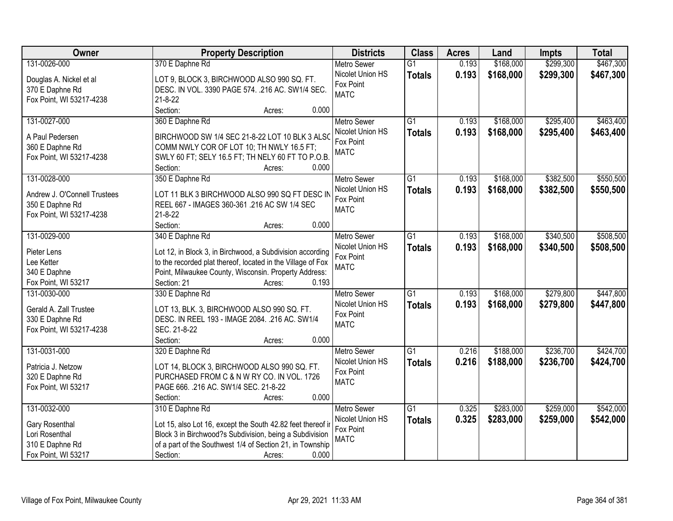| Owner                        | <b>Property Description</b>                                    | <b>Districts</b>                       | <b>Class</b>    | <b>Acres</b> | Land      | <b>Impts</b> | <b>Total</b> |
|------------------------------|----------------------------------------------------------------|----------------------------------------|-----------------|--------------|-----------|--------------|--------------|
| 131-0026-000                 | 370 E Daphne Rd                                                | <b>Metro Sewer</b>                     | $\overline{G1}$ | 0.193        | \$168,000 | \$299,300    | \$467,300    |
| Douglas A. Nickel et al      | LOT 9, BLOCK 3, BIRCHWOOD ALSO 990 SQ. FT.                     | Nicolet Union HS                       | <b>Totals</b>   | 0.193        | \$168,000 | \$299,300    | \$467,300    |
| 370 E Daphne Rd              | DESC. IN VOL. 3390 PAGE 574. . 216 AC. SW1/4 SEC.              | Fox Point                              |                 |              |           |              |              |
| Fox Point, WI 53217-4238     | $21 - 8 - 22$                                                  | <b>MATC</b>                            |                 |              |           |              |              |
|                              | Section:<br>0.000<br>Acres:                                    |                                        |                 |              |           |              |              |
| 131-0027-000                 | 360 E Daphne Rd                                                | <b>Metro Sewer</b>                     | $\overline{G1}$ | 0.193        | \$168,000 | \$295,400    | \$463,400    |
|                              |                                                                | Nicolet Union HS                       | <b>Totals</b>   | 0.193        | \$168,000 | \$295,400    | \$463,400    |
| A Paul Pedersen              | BIRCHWOOD SW 1/4 SEC 21-8-22 LOT 10 BLK 3 ALSO                 | Fox Point                              |                 |              |           |              |              |
| 360 E Daphne Rd              | COMM NWLY COR OF LOT 10; TH NWLY 16.5 FT;                      | <b>MATC</b>                            |                 |              |           |              |              |
| Fox Point, WI 53217-4238     | SWLY 60 FT; SELY 16.5 FT; TH NELY 60 FT TO P.O.B.<br>0.000     |                                        |                 |              |           |              |              |
| 131-0028-000                 | Section:<br>Acres:<br>350 E Daphne Rd                          | <b>Metro Sewer</b>                     | $\overline{G1}$ | 0.193        | \$168,000 | \$382,500    | \$550,500    |
|                              |                                                                | Nicolet Union HS                       |                 | 0.193        | \$168,000 | \$382,500    | \$550,500    |
| Andrew J. O'Connell Trustees | LOT 11 BLK 3 BIRCHWOOD ALSO 990 SQ FT DESC IN                  | Fox Point                              | <b>Totals</b>   |              |           |              |              |
| 350 E Daphne Rd              | REEL 667 - IMAGES 360-361.216 AC SW 1/4 SEC                    | <b>MATC</b>                            |                 |              |           |              |              |
| Fox Point, WI 53217-4238     | $21 - 8 - 22$                                                  |                                        |                 |              |           |              |              |
|                              | Section:<br>0.000<br>Acres:                                    |                                        |                 |              |           |              |              |
| 131-0029-000                 | 340 E Daphne Rd                                                | <b>Metro Sewer</b>                     | G1              | 0.193        | \$168,000 | \$340,500    | \$508,500    |
| Pieter Lens                  | Lot 12, in Block 3, in Birchwood, a Subdivision according      | Nicolet Union HS                       | <b>Totals</b>   | 0.193        | \$168,000 | \$340,500    | \$508,500    |
| Lee Ketter                   | to the recorded plat thereof, located in the Village of Fox    | Fox Point                              |                 |              |           |              |              |
| 340 E Daphne                 | Point, Milwaukee County, Wisconsin. Property Address:          | <b>MATC</b>                            |                 |              |           |              |              |
| Fox Point, WI 53217          | Section: 21<br>0.193<br>Acres:                                 |                                        |                 |              |           |              |              |
| 131-0030-000                 | 330 E Daphne Rd                                                | <b>Metro Sewer</b>                     | $\overline{G1}$ | 0.193        | \$168,000 | \$279,800    | \$447,800    |
|                              |                                                                | Nicolet Union HS                       | <b>Totals</b>   | 0.193        | \$168,000 | \$279,800    | \$447,800    |
| Gerald A. Zall Trustee       | LOT 13, BLK. 3, BIRCHWOOD ALSO 990 SQ. FT.                     | Fox Point                              |                 |              |           |              |              |
| 330 E Daphne Rd              | DESC. IN REEL 193 - IMAGE 2084. .216 AC. SW1/4<br>SEC. 21-8-22 | <b>MATC</b>                            |                 |              |           |              |              |
| Fox Point, WI 53217-4238     | Section:<br>0.000                                              |                                        |                 |              |           |              |              |
|                              | Acres:                                                         |                                        | $\overline{G1}$ |              | \$188,000 |              | \$424,700    |
| 131-0031-000                 | 320 E Daphne Rd                                                | <b>Metro Sewer</b><br>Nicolet Union HS |                 | 0.216        |           | \$236,700    |              |
| Patricia J. Netzow           | LOT 14, BLOCK 3, BIRCHWOOD ALSO 990 SQ. FT.                    | Fox Point                              | <b>Totals</b>   | 0.216        | \$188,000 | \$236,700    | \$424,700    |
| 320 E Daphne Rd              | PURCHASED FROM C & N W RY CO. IN VOL. 1726                     | <b>MATC</b>                            |                 |              |           |              |              |
| Fox Point, WI 53217          | PAGE 666. .216 AC. SW1/4 SEC. 21-8-22                          |                                        |                 |              |           |              |              |
|                              | 0.000<br>Section:<br>Acres:                                    |                                        |                 |              |           |              |              |
| 131-0032-000                 | 310 E Daphne Rd                                                | <b>Metro Sewer</b>                     | $\overline{G1}$ | 0.325        | \$283,000 | \$259,000    | \$542,000    |
| Gary Rosenthal               | Lot 15, also Lot 16, except the South 42.82 feet thereof ir    | Nicolet Union HS                       | <b>Totals</b>   | 0.325        | \$283,000 | \$259,000    | \$542,000    |
| Lori Rosenthal               | Block 3 in Birchwood?s Subdivision, being a Subdivision        | Fox Point                              |                 |              |           |              |              |
| 310 E Daphne Rd              | of a part of the Southwest 1/4 of Section 21, in Township      | <b>MATC</b>                            |                 |              |           |              |              |
| Fox Point, WI 53217          | Section:<br>0.000<br>Acres:                                    |                                        |                 |              |           |              |              |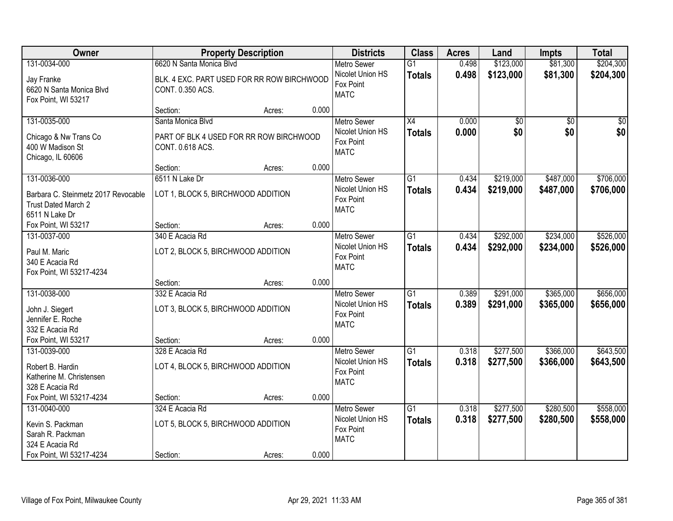| Owner                                                                                               |                                                                                            | <b>Property Description</b> |       | <b>Districts</b>                                                   | <b>Class</b>                     | <b>Acres</b>   | Land                   | <b>Impts</b>           | <b>Total</b>           |
|-----------------------------------------------------------------------------------------------------|--------------------------------------------------------------------------------------------|-----------------------------|-------|--------------------------------------------------------------------|----------------------------------|----------------|------------------------|------------------------|------------------------|
| 131-0034-000<br>Jay Franke<br>6620 N Santa Monica Blvd<br>Fox Point, WI 53217                       | 6620 N Santa Monica Blvd<br>BLK. 4 EXC. PART USED FOR RR ROW BIRCHWOOD<br>CONT. 0.350 ACS. |                             |       | <b>Metro Sewer</b><br>Nicolet Union HS<br>Fox Point<br><b>MATC</b> | $\overline{G1}$<br><b>Totals</b> | 0.498<br>0.498 | \$123,000<br>\$123,000 | \$81,300<br>\$81,300   | \$204,300<br>\$204,300 |
|                                                                                                     | Section:                                                                                   | Acres:                      | 0.000 |                                                                    |                                  |                |                        |                        |                        |
| 131-0035-000<br>Chicago & Nw Trans Co<br>400 W Madison St<br>Chicago, IL 60606                      | Santa Monica Blvd<br>PART OF BLK 4 USED FOR RR ROW BIRCHWOOD<br>CONT. 0.618 ACS.           |                             |       | <b>Metro Sewer</b><br>Nicolet Union HS<br>Fox Point<br><b>MATC</b> | $\overline{X4}$<br><b>Totals</b> | 0.000<br>0.000 | \$0<br>\$0             | $\overline{50}$<br>\$0 | $\overline{50}$<br>\$0 |
|                                                                                                     | Section:                                                                                   | Acres:                      | 0.000 |                                                                    |                                  |                |                        |                        |                        |
| 131-0036-000<br>Barbara C. Steinmetz 2017 Revocable<br>Trust Dated March 2<br>6511 N Lake Dr        | 6511 N Lake Dr<br>LOT 1, BLOCK 5, BIRCHWOOD ADDITION                                       |                             |       | <b>Metro Sewer</b><br>Nicolet Union HS<br>Fox Point<br><b>MATC</b> | G1<br><b>Totals</b>              | 0.434<br>0.434 | \$219,000<br>\$219,000 | \$487,000<br>\$487,000 | \$706,000<br>\$706,000 |
| Fox Point, WI 53217                                                                                 | Section:                                                                                   | Acres:                      | 0.000 |                                                                    |                                  |                |                        |                        |                        |
| 131-0037-000<br>Paul M. Maric<br>340 E Acacia Rd<br>Fox Point, WI 53217-4234                        | 340 E Acacia Rd<br>LOT 2, BLOCK 5, BIRCHWOOD ADDITION                                      |                             |       | <b>Metro Sewer</b><br>Nicolet Union HS<br>Fox Point<br><b>MATC</b> | G1<br><b>Totals</b>              | 0.434<br>0.434 | \$292,000<br>\$292,000 | \$234,000<br>\$234,000 | \$526,000<br>\$526,000 |
|                                                                                                     | Section:                                                                                   | Acres:                      | 0.000 |                                                                    |                                  |                |                        |                        |                        |
| 131-0038-000<br>John J. Siegert<br>Jennifer E. Roche<br>332 E Acacia Rd                             | 332 E Acacia Rd<br>LOT 3, BLOCK 5, BIRCHWOOD ADDITION                                      |                             |       | Metro Sewer<br>Nicolet Union HS<br>Fox Point<br><b>MATC</b>        | $\overline{G1}$<br><b>Totals</b> | 0.389<br>0.389 | \$291,000<br>\$291,000 | \$365,000<br>\$365,000 | \$656,000<br>\$656,000 |
| Fox Point, WI 53217                                                                                 | Section:                                                                                   | Acres:                      | 0.000 |                                                                    |                                  |                |                        |                        |                        |
| 131-0039-000<br>Robert B. Hardin<br>Katherine M. Christensen<br>328 E Acacia Rd                     | 328 E Acacia Rd<br>LOT 4, BLOCK 5, BIRCHWOOD ADDITION                                      |                             |       | Metro Sewer<br>Nicolet Union HS<br>Fox Point<br><b>MATC</b>        | $\overline{G1}$<br><b>Totals</b> | 0.318<br>0.318 | \$277,500<br>\$277,500 | \$366,000<br>\$366,000 | \$643,500<br>\$643,500 |
| Fox Point, WI 53217-4234                                                                            | Section:                                                                                   | Acres:                      | 0.000 |                                                                    |                                  |                |                        |                        |                        |
| 131-0040-000<br>Kevin S. Packman<br>Sarah R. Packman<br>324 E Acacia Rd<br>Fox Point, WI 53217-4234 | 324 E Acacia Rd<br>LOT 5, BLOCK 5, BIRCHWOOD ADDITION<br>Section:                          | Acres:                      | 0.000 | <b>Metro Sewer</b><br>Nicolet Union HS<br>Fox Point<br><b>MATC</b> | $\overline{G1}$<br><b>Totals</b> | 0.318<br>0.318 | \$277,500<br>\$277,500 | \$280,500<br>\$280,500 | \$558,000<br>\$558,000 |
|                                                                                                     |                                                                                            |                             |       |                                                                    |                                  |                |                        |                        |                        |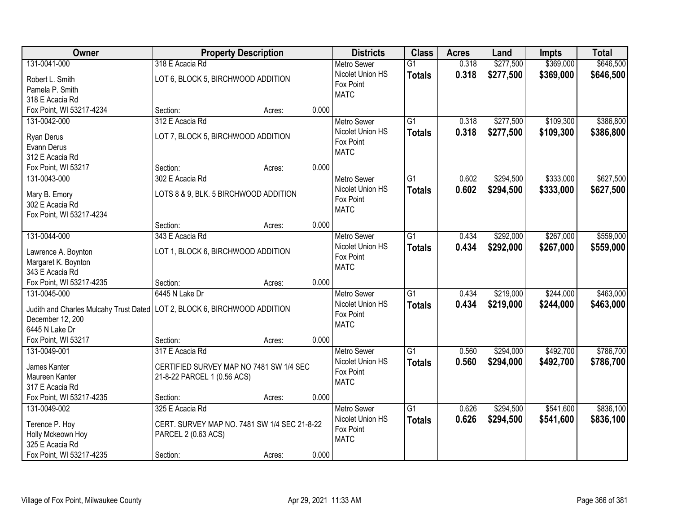| Owner                                                                       |                                              | <b>Property Description</b> |       | <b>Districts</b>   | <b>Class</b>    | <b>Acres</b> | Land      | <b>Impts</b> | <b>Total</b> |
|-----------------------------------------------------------------------------|----------------------------------------------|-----------------------------|-------|--------------------|-----------------|--------------|-----------|--------------|--------------|
| 131-0041-000                                                                | 318 E Acacia Rd                              |                             |       | <b>Metro Sewer</b> | $\overline{G1}$ | 0.318        | \$277,500 | \$369,000    | \$646,500    |
| Robert L. Smith                                                             | LOT 6, BLOCK 5, BIRCHWOOD ADDITION           |                             |       | Nicolet Union HS   | <b>Totals</b>   | 0.318        | \$277,500 | \$369,000    | \$646,500    |
| Pamela P. Smith                                                             |                                              |                             |       | Fox Point          |                 |              |           |              |              |
| 318 E Acacia Rd                                                             |                                              |                             |       | <b>MATC</b>        |                 |              |           |              |              |
| Fox Point, WI 53217-4234                                                    | Section:                                     | Acres:                      | 0.000 |                    |                 |              |           |              |              |
| 131-0042-000                                                                | 312 E Acacia Rd                              |                             |       | <b>Metro Sewer</b> | $\overline{G1}$ | 0.318        | \$277,500 | \$109,300    | \$386,800    |
|                                                                             |                                              |                             |       | Nicolet Union HS   | <b>Totals</b>   | 0.318        | \$277,500 | \$109,300    | \$386,800    |
| Ryan Derus                                                                  | LOT 7, BLOCK 5, BIRCHWOOD ADDITION           |                             |       | Fox Point          |                 |              |           |              |              |
| Evann Derus                                                                 |                                              |                             |       | <b>MATC</b>        |                 |              |           |              |              |
| 312 E Acacia Rd                                                             |                                              |                             |       |                    |                 |              |           |              |              |
| Fox Point, WI 53217                                                         | Section:                                     | Acres:                      | 0.000 |                    |                 |              |           |              |              |
| 131-0043-000                                                                | 302 E Acacia Rd                              |                             |       | Metro Sewer        | G1              | 0.602        | \$294,500 | \$333,000    | \$627,500    |
| Mary B. Emory                                                               | LOTS 8 & 9, BLK. 5 BIRCHWOOD ADDITION        |                             |       | Nicolet Union HS   | <b>Totals</b>   | 0.602        | \$294,500 | \$333,000    | \$627,500    |
| 302 E Acacia Rd                                                             |                                              |                             |       | Fox Point          |                 |              |           |              |              |
| Fox Point, WI 53217-4234                                                    |                                              |                             |       | <b>MATC</b>        |                 |              |           |              |              |
|                                                                             | Section:                                     | Acres:                      | 0.000 |                    |                 |              |           |              |              |
| 131-0044-000                                                                | 343 E Acacia Rd                              |                             |       | <b>Metro Sewer</b> | G1              | 0.434        | \$292,000 | \$267,000    | \$559,000    |
|                                                                             |                                              |                             |       | Nicolet Union HS   | <b>Totals</b>   | 0.434        | \$292,000 | \$267,000    | \$559,000    |
| Lawrence A. Boynton                                                         | LOT 1, BLOCK 6, BIRCHWOOD ADDITION           |                             |       | Fox Point          |                 |              |           |              |              |
| Margaret K. Boynton                                                         |                                              |                             |       | <b>MATC</b>        |                 |              |           |              |              |
| 343 E Acacia Rd                                                             |                                              |                             |       |                    |                 |              |           |              |              |
| Fox Point, WI 53217-4235                                                    | Section:                                     | Acres:                      | 0.000 |                    |                 |              |           |              |              |
| 131-0045-000                                                                | 6445 N Lake Dr                               |                             |       | <b>Metro Sewer</b> | $\overline{G1}$ | 0.434        | \$219,000 | \$244,000    | \$463,000    |
| Judith and Charles Mulcahy Trust Dated   LOT 2, BLOCK 6, BIRCHWOOD ADDITION |                                              |                             |       | Nicolet Union HS   | <b>Totals</b>   | 0.434        | \$219,000 | \$244,000    | \$463,000    |
| December 12, 200                                                            |                                              |                             |       | Fox Point          |                 |              |           |              |              |
| 6445 N Lake Dr                                                              |                                              |                             |       | <b>MATC</b>        |                 |              |           |              |              |
| Fox Point, WI 53217                                                         | Section:                                     | Acres:                      | 0.000 |                    |                 |              |           |              |              |
| 131-0049-001                                                                | 317 E Acacia Rd                              |                             |       | Metro Sewer        | G1              | 0.560        | \$294,000 | \$492,700    | \$786,700    |
|                                                                             |                                              |                             |       | Nicolet Union HS   | <b>Totals</b>   | 0.560        | \$294,000 | \$492,700    | \$786,700    |
| James Kanter                                                                | CERTIFIED SURVEY MAP NO 7481 SW 1/4 SEC      |                             |       | Fox Point          |                 |              |           |              |              |
| Maureen Kanter                                                              | 21-8-22 PARCEL 1 (0.56 ACS)                  |                             |       | <b>MATC</b>        |                 |              |           |              |              |
| 317 E Acacia Rd                                                             |                                              |                             |       |                    |                 |              |           |              |              |
| Fox Point, WI 53217-4235                                                    | Section:                                     | Acres:                      | 0.000 |                    |                 |              |           |              |              |
| 131-0049-002                                                                | 325 E Acacia Rd                              |                             |       | <b>Metro Sewer</b> | $\overline{G1}$ | 0.626        | \$294,500 | \$541,600    | \$836,100    |
| Terence P. Hoy                                                              | CERT. SURVEY MAP NO. 7481 SW 1/4 SEC 21-8-22 |                             |       | Nicolet Union HS   | <b>Totals</b>   | 0.626        | \$294,500 | \$541,600    | \$836,100    |
| Holly Mckeown Hoy                                                           | PARCEL 2 (0.63 ACS)                          |                             |       | Fox Point          |                 |              |           |              |              |
| 325 E Acacia Rd                                                             |                                              |                             |       | <b>MATC</b>        |                 |              |           |              |              |
| Fox Point, WI 53217-4235                                                    | Section:                                     | Acres:                      | 0.000 |                    |                 |              |           |              |              |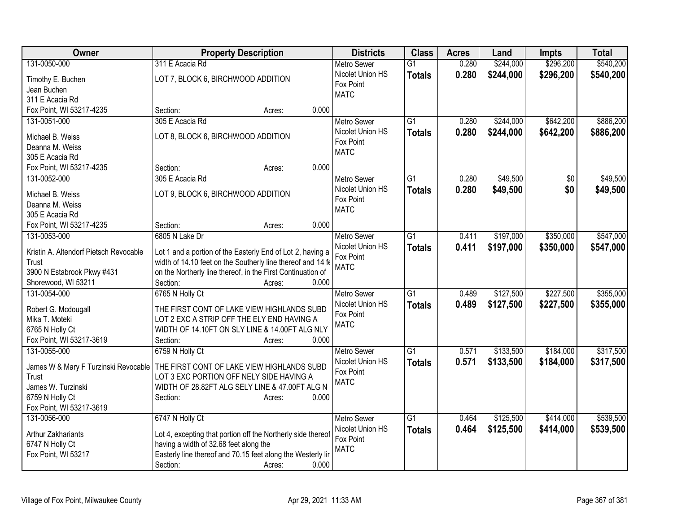| Owner                                  | <b>Property Description</b>                                                                           | <b>Districts</b>              | <b>Class</b>    | <b>Acres</b> | Land      | <b>Impts</b> | <b>Total</b> |
|----------------------------------------|-------------------------------------------------------------------------------------------------------|-------------------------------|-----------------|--------------|-----------|--------------|--------------|
| 131-0050-000                           | 311 E Acacia Rd                                                                                       | <b>Metro Sewer</b>            | $\overline{G1}$ | 0.280        | \$244,000 | \$296,200    | \$540,200    |
| Timothy E. Buchen                      | LOT 7, BLOCK 6, BIRCHWOOD ADDITION                                                                    | Nicolet Union HS              | <b>Totals</b>   | 0.280        | \$244,000 | \$296,200    | \$540,200    |
| Jean Buchen                            |                                                                                                       | Fox Point                     |                 |              |           |              |              |
| 311 E Acacia Rd                        |                                                                                                       | <b>MATC</b>                   |                 |              |           |              |              |
| Fox Point, WI 53217-4235               | 0.000<br>Section:<br>Acres:                                                                           |                               |                 |              |           |              |              |
| 131-0051-000                           | 305 E Acacia Rd                                                                                       | <b>Metro Sewer</b>            | G1              | 0.280        | \$244,000 | \$642,200    | \$886,200    |
| Michael B. Weiss                       | LOT 8, BLOCK 6, BIRCHWOOD ADDITION                                                                    | Nicolet Union HS              | <b>Totals</b>   | 0.280        | \$244,000 | \$642,200    | \$886,200    |
| Deanna M. Weiss                        |                                                                                                       | Fox Point                     |                 |              |           |              |              |
| 305 E Acacia Rd                        |                                                                                                       | <b>MATC</b>                   |                 |              |           |              |              |
| Fox Point, WI 53217-4235               | 0.000<br>Section:<br>Acres:                                                                           |                               |                 |              |           |              |              |
| 131-0052-000                           | 305 E Acacia Rd                                                                                       | <b>Metro Sewer</b>            | $\overline{G1}$ | 0.280        | \$49,500  | \$0          | \$49,500     |
|                                        |                                                                                                       | Nicolet Union HS              | <b>Totals</b>   | 0.280        | \$49,500  | \$0          | \$49,500     |
| Michael B. Weiss                       | LOT 9, BLOCK 6, BIRCHWOOD ADDITION                                                                    | Fox Point                     |                 |              |           |              |              |
| Deanna M. Weiss                        |                                                                                                       | <b>MATC</b>                   |                 |              |           |              |              |
| 305 E Acacia Rd                        |                                                                                                       |                               |                 |              |           |              |              |
| Fox Point, WI 53217-4235               | 0.000<br>Section:<br>Acres:                                                                           |                               | $\overline{G1}$ |              |           |              | \$547,000    |
| 131-0053-000                           | 6805 N Lake Dr                                                                                        | <b>Metro Sewer</b>            |                 | 0.411        | \$197,000 | \$350,000    |              |
| Kristin A. Altendorf Pietsch Revocable | Lot 1 and a portion of the Easterly End of Lot 2, having a                                            | Nicolet Union HS<br>Fox Point | <b>Totals</b>   | 0.411        | \$197,000 | \$350,000    | \$547,000    |
| Trust                                  | width of 14.10 feet on the Southerly line thereof and 14 fe                                           | <b>MATC</b>                   |                 |              |           |              |              |
| 3900 N Estabrook Pkwy #431             | on the Northerly line thereof, in the First Continuation of                                           |                               |                 |              |           |              |              |
| Shorewood, WI 53211                    | 0.000<br>Section:<br>Acres:                                                                           |                               |                 |              |           |              |              |
| 131-0054-000                           | 6765 N Holly Ct                                                                                       | <b>Metro Sewer</b>            | $\overline{G1}$ | 0.489        | \$127,500 | \$227,500    | \$355,000    |
| Robert G. Mcdougall                    | THE FIRST CONT OF LAKE VIEW HIGHLANDS SUBD                                                            | Nicolet Union HS              | <b>Totals</b>   | 0.489        | \$127,500 | \$227,500    | \$355,000    |
| Mika T. Moteki                         | LOT 2 EXC A STRIP OFF THE ELY END HAVING A                                                            | Fox Point                     |                 |              |           |              |              |
| 6765 N Holly Ct                        | WIDTH OF 14.10FT ON SLY LINE & 14.00FT ALG NLY                                                        | <b>MATC</b>                   |                 |              |           |              |              |
| Fox Point, WI 53217-3619               | 0.000<br>Section:<br>Acres:                                                                           |                               |                 |              |           |              |              |
| 131-0055-000                           | 6759 N Holly Ct                                                                                       | <b>Metro Sewer</b>            | $\overline{G1}$ | 0.571        | \$133,500 | \$184,000    | \$317,500    |
| James W & Mary F Turzinski Revocable   | THE FIRST CONT OF LAKE VIEW HIGHLANDS SUBD                                                            | Nicolet Union HS              | <b>Totals</b>   | 0.571        | \$133,500 | \$184,000    | \$317,500    |
| Trust                                  | LOT 3 EXC PORTION OFF NELY SIDE HAVING A                                                              | Fox Point                     |                 |              |           |              |              |
| James W. Turzinski                     | WIDTH OF 28.82FT ALG SELY LINE & 47.00FT ALG N                                                        | <b>MATC</b>                   |                 |              |           |              |              |
| 6759 N Holly Ct                        | 0.000<br>Section:<br>Acres:                                                                           |                               |                 |              |           |              |              |
| Fox Point, WI 53217-3619               |                                                                                                       |                               |                 |              |           |              |              |
| 131-0056-000                           | 6747 N Holly Ct                                                                                       | <b>Metro Sewer</b>            | $\overline{G1}$ | 0.464        | \$125,500 | \$414,000    | \$539,500    |
|                                        |                                                                                                       | Nicolet Union HS              | <b>Totals</b>   | 0.464        | \$125,500 | \$414,000    | \$539,500    |
| Arthur Zakhariants                     | Lot 4, excepting that portion off the Northerly side thereof                                          | Fox Point                     |                 |              |           |              |              |
| 6747 N Holly Ct<br>Fox Point, WI 53217 | having a width of 32.68 feet along the<br>Easterly line thereof and 70.15 feet along the Westerly lin | <b>MATC</b>                   |                 |              |           |              |              |
|                                        | 0.000<br>Section:<br>Acres:                                                                           |                               |                 |              |           |              |              |
|                                        |                                                                                                       |                               |                 |              |           |              |              |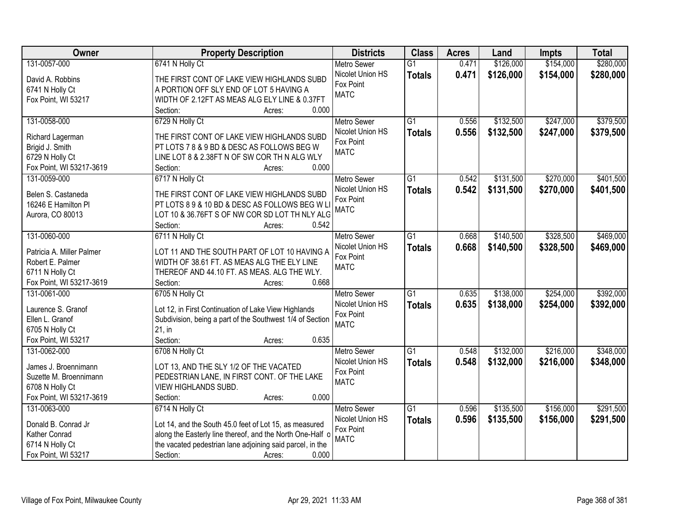| Owner                     | <b>Property Description</b>                               | <b>Districts</b>   | <b>Class</b>    | <b>Acres</b> | Land      | <b>Impts</b> | <b>Total</b> |
|---------------------------|-----------------------------------------------------------|--------------------|-----------------|--------------|-----------|--------------|--------------|
| 131-0057-000              | 6741 N Holly Ct                                           | <b>Metro Sewer</b> | $\overline{G1}$ | 0.471        | \$126,000 | \$154,000    | \$280,000    |
| David A. Robbins          | THE FIRST CONT OF LAKE VIEW HIGHLANDS SUBD                | Nicolet Union HS   | <b>Totals</b>   | 0.471        | \$126,000 | \$154,000    | \$280,000    |
| 6741 N Holly Ct           | A PORTION OFF SLY END OF LOT 5 HAVING A                   | Fox Point          |                 |              |           |              |              |
| Fox Point, WI 53217       | WIDTH OF 2.12FT AS MEAS ALG ELY LINE & 0.37FT             | <b>MATC</b>        |                 |              |           |              |              |
|                           | 0.000<br>Section:<br>Acres:                               |                    |                 |              |           |              |              |
| 131-0058-000              | 6729 N Holly Ct                                           | <b>Metro Sewer</b> | $\overline{G1}$ | 0.556        | \$132,500 | \$247,000    | \$379,500    |
|                           |                                                           | Nicolet Union HS   | <b>Totals</b>   | 0.556        | \$132,500 | \$247,000    | \$379,500    |
| Richard Lagerman          | THE FIRST CONT OF LAKE VIEW HIGHLANDS SUBD                | Fox Point          |                 |              |           |              |              |
| Brigid J. Smith           | PT LOTS 7 8 & 9 BD & DESC AS FOLLOWS BEG W                | <b>MATC</b>        |                 |              |           |              |              |
| 6729 N Holly Ct           | LINE LOT 8 & 2.38FT N OF SW COR TH N ALG WLY              |                    |                 |              |           |              |              |
| Fox Point, WI 53217-3619  | 0.000<br>Section:<br>Acres:                               |                    |                 |              |           |              |              |
| 131-0059-000              | 6717 N Holly Ct                                           | <b>Metro Sewer</b> | $\overline{G1}$ | 0.542        | \$131,500 | \$270,000    | \$401,500    |
| Belen S. Castaneda        | THE FIRST CONT OF LAKE VIEW HIGHLANDS SUBD                | Nicolet Union HS   | <b>Totals</b>   | 0.542        | \$131,500 | \$270,000    | \$401,500    |
| 16246 E Hamilton Pl       | PT LOTS 8 9 & 10 BD & DESC AS FOLLOWS BEG W LI            | Fox Point          |                 |              |           |              |              |
| Aurora, CO 80013          | LOT 10 & 36.76FT S OF NW COR SD LOT TH NLY ALG            | <b>MATC</b>        |                 |              |           |              |              |
|                           | Section:<br>0.542<br>Acres:                               |                    |                 |              |           |              |              |
| 131-0060-000              | 6711 N Holly Ct                                           | <b>Metro Sewer</b> | G1              | 0.668        | \$140,500 | \$328,500    | \$469,000    |
|                           |                                                           | Nicolet Union HS   | <b>Totals</b>   | 0.668        | \$140,500 | \$328,500    | \$469,000    |
| Patricia A. Miller Palmer | LOT 11 AND THE SOUTH PART OF LOT 10 HAVING A              | Fox Point          |                 |              |           |              |              |
| Robert E. Palmer          | WIDTH OF 38.61 FT. AS MEAS ALG THE ELY LINE               | <b>MATC</b>        |                 |              |           |              |              |
| 6711 N Holly Ct           | THEREOF AND 44.10 FT. AS MEAS. ALG THE WLY.               |                    |                 |              |           |              |              |
| Fox Point, WI 53217-3619  | 0.668<br>Section:<br>Acres:                               |                    |                 |              |           |              |              |
| 131-0061-000              | 6705 N Holly Ct                                           | <b>Metro Sewer</b> | $\overline{G1}$ | 0.635        | \$138,000 | \$254,000    | \$392,000    |
| Laurence S. Granof        | Lot 12, in First Continuation of Lake View Highlands      | Nicolet Union HS   | <b>Totals</b>   | 0.635        | \$138,000 | \$254,000    | \$392,000    |
| Ellen L. Granof           | Subdivision, being a part of the Southwest 1/4 of Section | Fox Point          |                 |              |           |              |              |
| 6705 N Holly Ct           | 21, in                                                    | <b>MATC</b>        |                 |              |           |              |              |
| Fox Point, WI 53217       | Section:<br>0.635<br>Acres:                               |                    |                 |              |           |              |              |
| 131-0062-000              | 6708 N Holly Ct                                           | Metro Sewer        | $\overline{G1}$ | 0.548        | \$132,000 | \$216,000    | \$348,000    |
|                           |                                                           | Nicolet Union HS   | <b>Totals</b>   | 0.548        | \$132,000 | \$216,000    | \$348,000    |
| James J. Broennimann      | LOT 13, AND THE SLY 1/2 OF THE VACATED                    | Fox Point          |                 |              |           |              |              |
| Suzette M. Broennimann    | PEDESTRIAN LANE, IN FIRST CONT. OF THE LAKE               | <b>MATC</b>        |                 |              |           |              |              |
| 6708 N Holly Ct           | <b>VIEW HIGHLANDS SUBD.</b>                               |                    |                 |              |           |              |              |
| Fox Point, WI 53217-3619  | 0.000<br>Section:<br>Acres:                               |                    |                 |              |           |              |              |
| 131-0063-000              | 6714 N Holly Ct                                           | <b>Metro Sewer</b> | $\overline{G1}$ | 0.596        | \$135,500 | \$156,000    | \$291,500    |
| Donald B. Conrad Jr       | Lot 14, and the South 45.0 feet of Lot 15, as measured    | Nicolet Union HS   | <b>Totals</b>   | 0.596        | \$135,500 | \$156,000    | \$291,500    |
| Kather Conrad             | along the Easterly line thereof, and the North One-Half o | Fox Point          |                 |              |           |              |              |
| 6714 N Holly Ct           | the vacated pedestrian lane adjoining said parcel, in the | <b>MATC</b>        |                 |              |           |              |              |
|                           | 0.000                                                     |                    |                 |              |           |              |              |
| Fox Point, WI 53217       | Section:<br>Acres:                                        |                    |                 |              |           |              |              |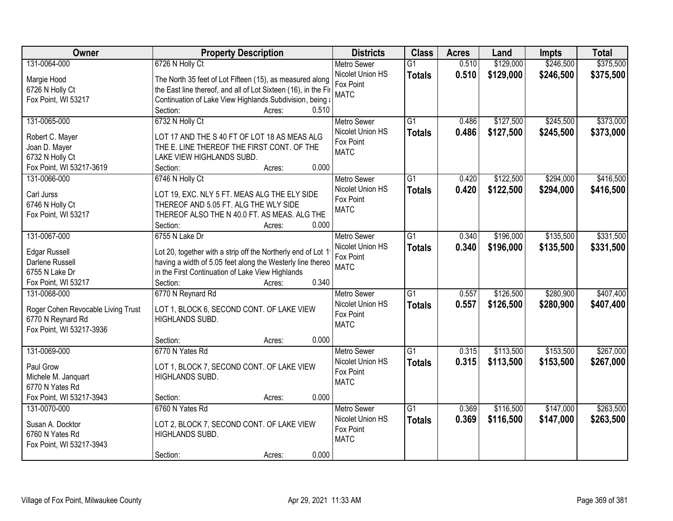| Owner                              | <b>Property Description</b>                                    | <b>Districts</b>   | <b>Class</b>    | <b>Acres</b> | Land      | <b>Impts</b> | <b>Total</b> |
|------------------------------------|----------------------------------------------------------------|--------------------|-----------------|--------------|-----------|--------------|--------------|
| 131-0064-000                       | 6726 N Holly Ct                                                | <b>Metro Sewer</b> | $\overline{G1}$ | 0.510        | \$129,000 | \$246,500    | \$375,500    |
| Margie Hood                        | The North 35 feet of Lot Fifteen (15), as measured along       | Nicolet Union HS   | <b>Totals</b>   | 0.510        | \$129,000 | \$246,500    | \$375,500    |
| 6726 N Holly Ct                    | the East line thereof, and all of Lot Sixteen (16), in the Fir | Fox Point          |                 |              |           |              |              |
| Fox Point, WI 53217                | Continuation of Lake View Highlands Subdivision, being a       | <b>MATC</b>        |                 |              |           |              |              |
|                                    | Section:<br>Acres:                                             | 0.510              |                 |              |           |              |              |
| 131-0065-000                       | 6732 N Holly Ct                                                | <b>Metro Sewer</b> | $\overline{G1}$ | 0.486        | \$127,500 | \$245,500    | \$373,000    |
|                                    |                                                                | Nicolet Union HS   | <b>Totals</b>   | 0.486        | \$127,500 | \$245,500    | \$373,000    |
| Robert C. Mayer                    | LOT 17 AND THE S 40 FT OF LOT 18 AS MEAS ALG                   | Fox Point          |                 |              |           |              |              |
| Joan D. Mayer                      | THE E. LINE THEREOF THE FIRST CONT. OF THE                     | <b>MATC</b>        |                 |              |           |              |              |
| 6732 N Holly Ct                    | LAKE VIEW HIGHLANDS SUBD.                                      |                    |                 |              |           |              |              |
| Fox Point, WI 53217-3619           | Section:<br>Acres:                                             | 0.000              |                 |              |           |              |              |
| 131-0066-000                       | 6746 N Holly Ct                                                | <b>Metro Sewer</b> | $\overline{G1}$ | 0.420        | \$122,500 | \$294,000    | \$416,500    |
| Carl Jurss                         | LOT 19, EXC. NLY 5 FT. MEAS ALG THE ELY SIDE                   | Nicolet Union HS   | <b>Totals</b>   | 0.420        | \$122,500 | \$294,000    | \$416,500    |
| 6746 N Holly Ct                    | THEREOF AND 5.05 FT. ALG THE WLY SIDE                          | Fox Point          |                 |              |           |              |              |
| Fox Point, WI 53217                | THEREOF ALSO THE N 40.0 FT. AS MEAS. ALG THE                   | <b>MATC</b>        |                 |              |           |              |              |
|                                    | Section:<br>Acres:                                             | 0.000              |                 |              |           |              |              |
| 131-0067-000                       | 6755 N Lake Dr                                                 | <b>Metro Sewer</b> | G1              | 0.340        | \$196,000 | \$135,500    | \$331,500    |
|                                    |                                                                | Nicolet Union HS   | <b>Totals</b>   | 0.340        | \$196,000 | \$135,500    | \$331,500    |
| <b>Edgar Russell</b>               | Lot 20, together with a strip off the Northerly end of Lot 1   | Fox Point          |                 |              |           |              |              |
| Darlene Russell                    | having a width of 5.05 feet along the Westerly line thereo     | <b>MATC</b>        |                 |              |           |              |              |
| 6755 N Lake Dr                     | in the First Continuation of Lake View Highlands               |                    |                 |              |           |              |              |
| Fox Point, WI 53217                | Section:<br>Acres:                                             | 0.340              |                 |              |           |              |              |
| 131-0068-000                       | 6770 N Reynard Rd                                              | <b>Metro Sewer</b> | $\overline{G1}$ | 0.557        | \$126,500 | \$280,900    | \$407,400    |
| Roger Cohen Revocable Living Trust | LOT 1, BLOCK 6, SECOND CONT. OF LAKE VIEW                      | Nicolet Union HS   | <b>Totals</b>   | 0.557        | \$126,500 | \$280,900    | \$407,400    |
| 6770 N Reynard Rd                  | <b>HIGHLANDS SUBD.</b>                                         | Fox Point          |                 |              |           |              |              |
| Fox Point, WI 53217-3936           |                                                                | <b>MATC</b>        |                 |              |           |              |              |
|                                    | Section:<br>Acres:                                             | 0.000              |                 |              |           |              |              |
| 131-0069-000                       | 6770 N Yates Rd                                                | Metro Sewer        | $\overline{G1}$ | 0.315        | \$113,500 | \$153,500    | \$267,000    |
| Paul Grow                          | LOT 1, BLOCK 7, SECOND CONT. OF LAKE VIEW                      | Nicolet Union HS   | <b>Totals</b>   | 0.315        | \$113,500 | \$153,500    | \$267,000    |
| Michele M. Janquart                | HIGHLANDS SUBD.                                                | Fox Point          |                 |              |           |              |              |
| 6770 N Yates Rd                    |                                                                | <b>MATC</b>        |                 |              |           |              |              |
| Fox Point, WI 53217-3943           | Section:<br>Acres:                                             | 0.000              |                 |              |           |              |              |
| 131-0070-000                       | 6760 N Yates Rd                                                | <b>Metro Sewer</b> | $\overline{G1}$ | 0.369        | \$116,500 | \$147,000    | \$263,500    |
|                                    |                                                                | Nicolet Union HS   | <b>Totals</b>   | 0.369        | \$116,500 | \$147,000    | \$263,500    |
| Susan A. Docktor                   | LOT 2, BLOCK 7, SECOND CONT. OF LAKE VIEW                      | Fox Point          |                 |              |           |              |              |
| 6760 N Yates Rd                    | HIGHLANDS SUBD.                                                | <b>MATC</b>        |                 |              |           |              |              |
| Fox Point, WI 53217-3943           |                                                                |                    |                 |              |           |              |              |
|                                    | Section:<br>Acres:                                             | 0.000              |                 |              |           |              |              |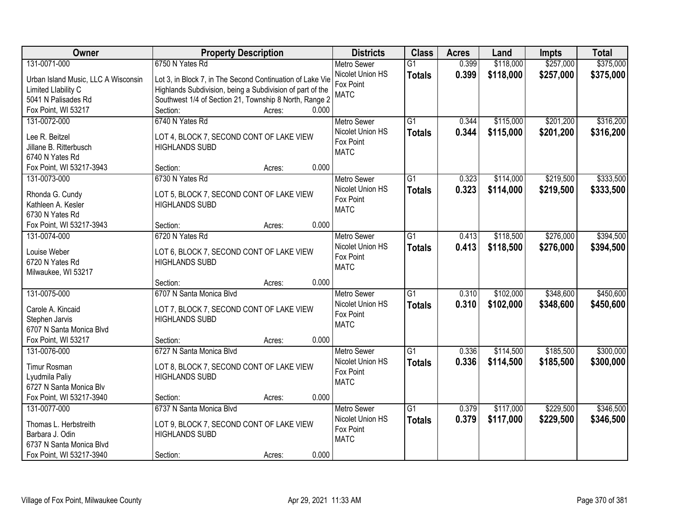| Owner                               | <b>Property Description</b>                                       |        |                    | <b>Districts</b> | <b>Class</b>    | <b>Acres</b> | Land      | <b>Impts</b> | <b>Total</b> |
|-------------------------------------|-------------------------------------------------------------------|--------|--------------------|------------------|-----------------|--------------|-----------|--------------|--------------|
| 131-0071-000                        | 6750 N Yates Rd                                                   |        | <b>Metro Sewer</b> |                  | $\overline{G1}$ | 0.399        | \$118,000 | \$257,000    | \$375,000    |
| Urban Island Music, LLC A Wisconsin | Lot 3, in Block 7, in The Second Continuation of Lake Vie         |        |                    | Nicolet Union HS | <b>Totals</b>   | 0.399        | \$118,000 | \$257,000    | \$375,000    |
| Limited Llability C                 | Highlands Subdivision, being a Subdivision of part of the         |        | Fox Point          |                  |                 |              |           |              |              |
| 5041 N Palisades Rd                 | Southwest 1/4 of Section 21, Township 8 North, Range 2            |        | <b>MATC</b>        |                  |                 |              |           |              |              |
| Fox Point, WI 53217                 | Section:                                                          | Acres: | 0.000              |                  |                 |              |           |              |              |
| 131-0072-000                        | 6740 N Yates Rd                                                   |        | <b>Metro Sewer</b> |                  | $\overline{G1}$ | 0.344        | \$115,000 | \$201,200    | \$316,200    |
| Lee R. Beitzel                      |                                                                   |        |                    | Nicolet Union HS | <b>Totals</b>   | 0.344        | \$115,000 | \$201,200    | \$316,200    |
| Jillane B. Ritterbusch              | LOT 4, BLOCK 7, SECOND CONT OF LAKE VIEW<br><b>HIGHLANDS SUBD</b> |        | Fox Point          |                  |                 |              |           |              |              |
| 6740 N Yates Rd                     |                                                                   |        | <b>MATC</b>        |                  |                 |              |           |              |              |
| Fox Point, WI 53217-3943            | Section:                                                          | Acres: | 0.000              |                  |                 |              |           |              |              |
| 131-0073-000                        | 6730 N Yates Rd                                                   |        | Metro Sewer        |                  | $\overline{G1}$ | 0.323        | \$114,000 | \$219,500    | \$333,500    |
|                                     |                                                                   |        |                    | Nicolet Union HS | <b>Totals</b>   | 0.323        | \$114,000 | \$219,500    | \$333,500    |
| Rhonda G. Cundy                     | LOT 5, BLOCK 7, SECOND CONT OF LAKE VIEW                          |        | Fox Point          |                  |                 |              |           |              |              |
| Kathleen A. Kesler                  | <b>HIGHLANDS SUBD</b>                                             |        | <b>MATC</b>        |                  |                 |              |           |              |              |
| 6730 N Yates Rd                     |                                                                   |        |                    |                  |                 |              |           |              |              |
| Fox Point, WI 53217-3943            | Section:                                                          | Acres: | 0.000              |                  |                 |              |           |              |              |
| 131-0074-000                        | 6720 N Yates Rd                                                   |        | <b>Metro Sewer</b> |                  | G1              | 0.413        | \$118,500 | \$276,000    | \$394,500    |
| Louise Weber                        | LOT 6, BLOCK 7, SECOND CONT OF LAKE VIEW                          |        |                    | Nicolet Union HS | <b>Totals</b>   | 0.413        | \$118,500 | \$276,000    | \$394,500    |
| 6720 N Yates Rd                     | <b>HIGHLANDS SUBD</b>                                             |        | Fox Point          |                  |                 |              |           |              |              |
| Milwaukee, WI 53217                 |                                                                   |        | <b>MATC</b>        |                  |                 |              |           |              |              |
|                                     | Section:                                                          | Acres: | 0.000              |                  |                 |              |           |              |              |
| 131-0075-000                        | 6707 N Santa Monica Blvd                                          |        | <b>Metro Sewer</b> |                  | $\overline{G1}$ | 0.310        | \$102,000 | \$348,600    | \$450,600    |
| Carole A. Kincaid                   | LOT 7, BLOCK 7, SECOND CONT OF LAKE VIEW                          |        |                    | Nicolet Union HS | <b>Totals</b>   | 0.310        | \$102,000 | \$348,600    | \$450,600    |
| Stephen Jarvis                      | <b>HIGHLANDS SUBD</b>                                             |        | Fox Point          |                  |                 |              |           |              |              |
| 6707 N Santa Monica Blvd            |                                                                   |        | <b>MATC</b>        |                  |                 |              |           |              |              |
| Fox Point, WI 53217                 | Section:                                                          | Acres: | 0.000              |                  |                 |              |           |              |              |
| 131-0076-000                        | 6727 N Santa Monica Blvd                                          |        | <b>Metro Sewer</b> |                  | $\overline{G1}$ | 0.336        | \$114,500 | \$185,500    | \$300,000    |
|                                     |                                                                   |        |                    | Nicolet Union HS | <b>Totals</b>   | 0.336        | \$114,500 | \$185,500    | \$300,000    |
| <b>Timur Rosman</b>                 | LOT 8, BLOCK 7, SECOND CONT OF LAKE VIEW                          |        | Fox Point          |                  |                 |              |           |              |              |
| Lyudmila Paliy                      | <b>HIGHLANDS SUBD</b>                                             |        | <b>MATC</b>        |                  |                 |              |           |              |              |
| 6727 N Santa Monica Blv             |                                                                   |        | 0.000              |                  |                 |              |           |              |              |
| Fox Point, WI 53217-3940            | Section:                                                          | Acres: |                    |                  |                 |              |           |              |              |
| 131-0077-000                        | 6737 N Santa Monica Blvd                                          |        | <b>Metro Sewer</b> |                  | $\overline{G1}$ | 0.379        | \$117,000 | \$229,500    | \$346,500    |
| Thomas L. Herbstreith               | LOT 9, BLOCK 7, SECOND CONT OF LAKE VIEW                          |        | Fox Point          | Nicolet Union HS | <b>Totals</b>   | 0.379        | \$117,000 | \$229,500    | \$346,500    |
| Barbara J. Odin                     | <b>HIGHLANDS SUBD</b>                                             |        | <b>MATC</b>        |                  |                 |              |           |              |              |
| 6737 N Santa Monica Blvd            |                                                                   |        |                    |                  |                 |              |           |              |              |
| Fox Point, WI 53217-3940            | Section:                                                          | Acres: | 0.000              |                  |                 |              |           |              |              |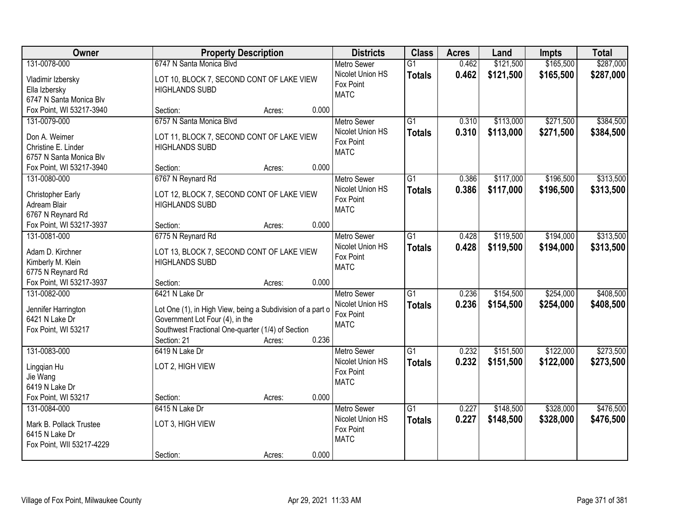| Owner                             |                                                                    | <b>Property Description</b> |       | <b>Districts</b>                       | <b>Class</b>    | <b>Acres</b> | Land      | <b>Impts</b> | <b>Total</b> |
|-----------------------------------|--------------------------------------------------------------------|-----------------------------|-------|----------------------------------------|-----------------|--------------|-----------|--------------|--------------|
| 131-0078-000                      | 6747 N Santa Monica Blvd                                           |                             |       | <b>Metro Sewer</b><br>Nicolet Union HS | $\overline{G1}$ | 0.462        | \$121,500 | \$165,500    | \$287,000    |
| Vladimir Izbersky                 | LOT 10, BLOCK 7, SECOND CONT OF LAKE VIEW                          |                             |       | Fox Point                              | <b>Totals</b>   | 0.462        | \$121,500 | \$165,500    | \$287,000    |
| Ella Izbersky                     | <b>HIGHLANDS SUBD</b>                                              |                             |       | <b>MATC</b>                            |                 |              |           |              |              |
| 6747 N Santa Monica Blv           |                                                                    |                             |       |                                        |                 |              |           |              |              |
| Fox Point, WI 53217-3940          | Section:                                                           | Acres:                      | 0.000 |                                        |                 |              |           |              |              |
| 131-0079-000                      | 6757 N Santa Monica Blvd                                           |                             |       | <b>Metro Sewer</b>                     | $\overline{G1}$ | 0.310        | \$113,000 | \$271,500    | \$384,500    |
| Don A. Weimer                     | LOT 11, BLOCK 7, SECOND CONT OF LAKE VIEW                          |                             |       | Nicolet Union HS                       | <b>Totals</b>   | 0.310        | \$113,000 | \$271,500    | \$384,500    |
| Christine E. Linder               | <b>HIGHLANDS SUBD</b>                                              |                             |       | Fox Point                              |                 |              |           |              |              |
| 6757 N Santa Monica Blv           |                                                                    |                             |       | <b>MATC</b>                            |                 |              |           |              |              |
| Fox Point, WI 53217-3940          | Section:                                                           | Acres:                      | 0.000 |                                        |                 |              |           |              |              |
| 131-0080-000                      | 6767 N Reynard Rd                                                  |                             |       | <b>Metro Sewer</b>                     | G1              | 0.386        | \$117,000 | \$196,500    | \$313,500    |
|                                   |                                                                    |                             |       | Nicolet Union HS                       | <b>Totals</b>   | 0.386        | \$117,000 | \$196,500    | \$313,500    |
| Christopher Early<br>Adream Blair | LOT 12, BLOCK 7, SECOND CONT OF LAKE VIEW<br><b>HIGHLANDS SUBD</b> |                             |       | Fox Point                              |                 |              |           |              |              |
| 6767 N Reynard Rd                 |                                                                    |                             |       | <b>MATC</b>                            |                 |              |           |              |              |
| Fox Point, WI 53217-3937          | Section:                                                           | Acres:                      | 0.000 |                                        |                 |              |           |              |              |
| 131-0081-000                      | 6775 N Reynard Rd                                                  |                             |       | <b>Metro Sewer</b>                     | G1              | 0.428        | \$119,500 | \$194,000    | \$313,500    |
|                                   |                                                                    |                             |       | Nicolet Union HS                       | <b>Totals</b>   | 0.428        | \$119,500 | \$194,000    | \$313,500    |
| Adam D. Kirchner                  | LOT 13, BLOCK 7, SECOND CONT OF LAKE VIEW                          |                             |       | Fox Point                              |                 |              |           |              |              |
| Kimberly M. Klein                 | <b>HIGHLANDS SUBD</b>                                              |                             |       | <b>MATC</b>                            |                 |              |           |              |              |
| 6775 N Reynard Rd                 |                                                                    |                             |       |                                        |                 |              |           |              |              |
| Fox Point, WI 53217-3937          | Section:                                                           | Acres:                      | 0.000 |                                        |                 |              |           |              |              |
| 131-0082-000                      | 6421 N Lake Dr                                                     |                             |       | <b>Metro Sewer</b>                     | $\overline{G1}$ | 0.236        | \$154,500 | \$254,000    | \$408,500    |
| Jennifer Harrington               | Lot One (1), in High View, being a Subdivision of a part o         |                             |       | Nicolet Union HS                       | <b>Totals</b>   | 0.236        | \$154,500 | \$254,000    | \$408,500    |
| 6421 N Lake Dr                    | Government Lot Four (4), in the                                    |                             |       | Fox Point                              |                 |              |           |              |              |
| Fox Point, WI 53217               | Southwest Fractional One-quarter (1/4) of Section                  |                             |       | <b>MATC</b>                            |                 |              |           |              |              |
|                                   | Section: 21                                                        | Acres:                      | 0.236 |                                        |                 |              |           |              |              |
| 131-0083-000                      | 6419 N Lake Dr                                                     |                             |       | Metro Sewer                            | $\overline{G1}$ | 0.232        | \$151,500 | \$122,000    | \$273,500    |
|                                   | LOT 2, HIGH VIEW                                                   |                             |       | Nicolet Union HS                       | <b>Totals</b>   | 0.232        | \$151,500 | \$122,000    | \$273,500    |
| Lingqian Hu<br>Jie Wang           |                                                                    |                             |       | Fox Point                              |                 |              |           |              |              |
| 6419 N Lake Dr                    |                                                                    |                             |       | <b>MATC</b>                            |                 |              |           |              |              |
| Fox Point, WI 53217               | Section:                                                           | Acres:                      | 0.000 |                                        |                 |              |           |              |              |
| 131-0084-000                      | 6415 N Lake Dr                                                     |                             |       | <b>Metro Sewer</b>                     | $\overline{G1}$ | 0.227        | \$148,500 | \$328,000    | \$476,500    |
|                                   |                                                                    |                             |       | Nicolet Union HS                       | <b>Totals</b>   | 0.227        | \$148,500 | \$328,000    | \$476,500    |
| Mark B. Pollack Trustee           | LOT 3, HIGH VIEW                                                   |                             |       | Fox Point                              |                 |              |           |              |              |
| 6415 N Lake Dr                    |                                                                    |                             |       | <b>MATC</b>                            |                 |              |           |              |              |
| Fox Point, WII 53217-4229         |                                                                    |                             |       |                                        |                 |              |           |              |              |
|                                   | Section:                                                           | Acres:                      | 0.000 |                                        |                 |              |           |              |              |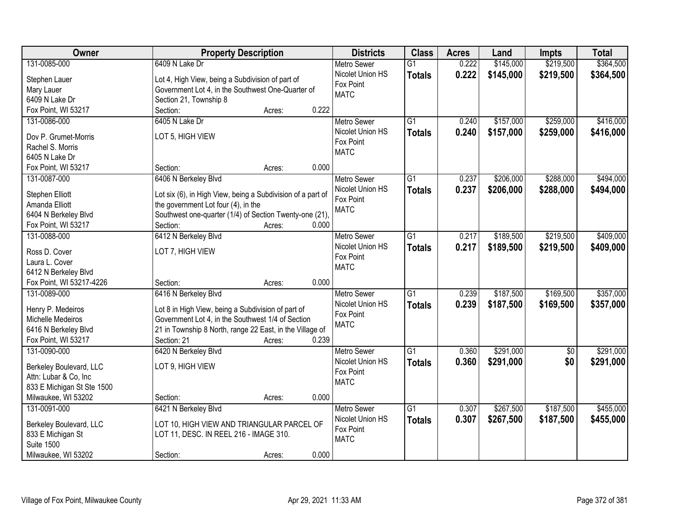| Owner                                  | <b>Property Description</b>                                 |       | <b>Districts</b>         | <b>Class</b>    | <b>Acres</b> | Land      | <b>Impts</b> | <b>Total</b> |
|----------------------------------------|-------------------------------------------------------------|-------|--------------------------|-----------------|--------------|-----------|--------------|--------------|
| 131-0085-000                           | 6409 N Lake Dr                                              |       | <b>Metro Sewer</b>       | $\overline{G1}$ | 0.222        | \$145,000 | \$219,500    | \$364,500    |
| Stephen Lauer                          | Lot 4, High View, being a Subdivision of part of            |       | Nicolet Union HS         | <b>Totals</b>   | 0.222        | \$145,000 | \$219,500    | \$364,500    |
| Mary Lauer                             | Government Lot 4, in the Southwest One-Quarter of           |       | Fox Point                |                 |              |           |              |              |
| 6409 N Lake Dr                         | Section 21, Township 8                                      |       | <b>MATC</b>              |                 |              |           |              |              |
| Fox Point, WI 53217                    | Section:<br>Acres:                                          | 0.222 |                          |                 |              |           |              |              |
| 131-0086-000                           | 6405 N Lake Dr                                              |       | <b>Metro Sewer</b>       | $\overline{G1}$ | 0.240        | \$157,000 | \$259,000    | \$416,000    |
|                                        |                                                             |       | Nicolet Union HS         | <b>Totals</b>   | 0.240        | \$157,000 | \$259,000    | \$416,000    |
| Dov P. Grumet-Morris                   | LOT 5, HIGH VIEW                                            |       | Fox Point                |                 |              |           |              |              |
| Rachel S. Morris                       |                                                             |       | <b>MATC</b>              |                 |              |           |              |              |
| 6405 N Lake Dr                         |                                                             | 0.000 |                          |                 |              |           |              |              |
| Fox Point, WI 53217                    | Section:<br>Acres:                                          |       |                          |                 |              |           |              |              |
| 131-0087-000                           | 6406 N Berkeley Blvd                                        |       | Metro Sewer              | $\overline{G1}$ | 0.237        | \$206,000 | \$288,000    | \$494,000    |
| Stephen Elliott                        | Lot six (6), in High View, being a Subdivision of a part of |       | Nicolet Union HS         | <b>Totals</b>   | 0.237        | \$206,000 | \$288,000    | \$494,000    |
| Amanda Elliott                         | the government Lot four (4), in the                         |       | Fox Point<br><b>MATC</b> |                 |              |           |              |              |
| 6404 N Berkeley Blvd                   | Southwest one-quarter (1/4) of Section Twenty-one (21),     |       |                          |                 |              |           |              |              |
| Fox Point, WI 53217                    | Section:<br>Acres:                                          | 0.000 |                          |                 |              |           |              |              |
| 131-0088-000                           | 6412 N Berkeley Blvd                                        |       | <b>Metro Sewer</b>       | G1              | 0.217        | \$189,500 | \$219,500    | \$409,000    |
| Ross D. Cover                          | LOT 7, HIGH VIEW                                            |       | Nicolet Union HS         | <b>Totals</b>   | 0.217        | \$189,500 | \$219,500    | \$409,000    |
| Laura L. Cover                         |                                                             |       | Fox Point                |                 |              |           |              |              |
| 6412 N Berkeley Blvd                   |                                                             |       | <b>MATC</b>              |                 |              |           |              |              |
| Fox Point, WI 53217-4226               | Section:<br>Acres:                                          | 0.000 |                          |                 |              |           |              |              |
| 131-0089-000                           | 6416 N Berkeley Blvd                                        |       | <b>Metro Sewer</b>       | $\overline{G1}$ | 0.239        | \$187,500 | \$169,500    | \$357,000    |
|                                        |                                                             |       | Nicolet Union HS         | <b>Totals</b>   | 0.239        | \$187,500 | \$169,500    | \$357,000    |
| Henry P. Medeiros                      | Lot 8 in High View, being a Subdivision of part of          |       | Fox Point                |                 |              |           |              |              |
| Michelle Medeiros                      | Government Lot 4, in the Southwest 1/4 of Section           |       | <b>MATC</b>              |                 |              |           |              |              |
| 6416 N Berkeley Blvd                   | 21 in Township 8 North, range 22 East, in the Village of    |       |                          |                 |              |           |              |              |
| Fox Point, WI 53217                    | Section: 21<br>Acres:                                       | 0.239 |                          |                 |              |           |              |              |
| 131-0090-000                           | 6420 N Berkeley Blvd                                        |       | Metro Sewer              | G1              | 0.360        | \$291,000 | $\sqrt{6}$   | \$291,000    |
| Berkeley Boulevard, LLC                | LOT 9, HIGH VIEW                                            |       | Nicolet Union HS         | <b>Totals</b>   | 0.360        | \$291,000 | \$0          | \$291,000    |
| Attn: Lubar & Co, Inc                  |                                                             |       | Fox Point                |                 |              |           |              |              |
| 833 E Michigan St Ste 1500             |                                                             |       | <b>MATC</b>              |                 |              |           |              |              |
| Milwaukee, WI 53202                    | Section:<br>Acres:                                          | 0.000 |                          |                 |              |           |              |              |
| 131-0091-000                           | 6421 N Berkeley Blvd                                        |       | <b>Metro Sewer</b>       | $\overline{G1}$ | 0.307        | \$267,500 | \$187,500    | \$455,000    |
|                                        |                                                             |       | Nicolet Union HS         | <b>Totals</b>   | 0.307        | \$267,500 | \$187,500    | \$455,000    |
| Berkeley Boulevard, LLC                | LOT 10, HIGH VIEW AND TRIANGULAR PARCEL OF                  |       | Fox Point                |                 |              |           |              |              |
| 833 E Michigan St<br><b>Suite 1500</b> | LOT 11, DESC. IN REEL 216 - IMAGE 310.                      |       | <b>MATC</b>              |                 |              |           |              |              |
|                                        |                                                             | 0.000 |                          |                 |              |           |              |              |
| Milwaukee, WI 53202                    | Section:<br>Acres:                                          |       |                          |                 |              |           |              |              |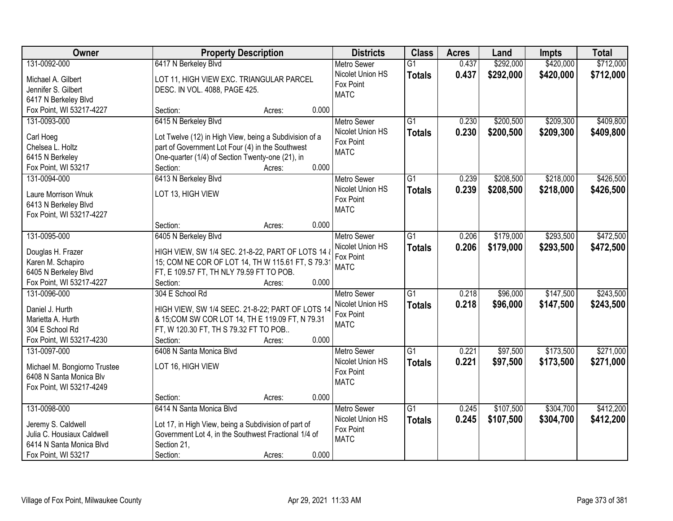| Owner                        |                                                        | <b>Property Description</b> |       | <b>Districts</b>         | <b>Class</b>    | <b>Acres</b> | Land      | <b>Impts</b> | <b>Total</b> |
|------------------------------|--------------------------------------------------------|-----------------------------|-------|--------------------------|-----------------|--------------|-----------|--------------|--------------|
| 131-0092-000                 | 6417 N Berkeley Blvd                                   |                             |       | <b>Metro Sewer</b>       | $\overline{G1}$ | 0.437        | \$292,000 | \$420,000    | \$712,000    |
| Michael A. Gilbert           | LOT 11, HIGH VIEW EXC. TRIANGULAR PARCEL               |                             |       | Nicolet Union HS         | <b>Totals</b>   | 0.437        | \$292,000 | \$420,000    | \$712,000    |
| Jennifer S. Gilbert          | DESC. IN VOL. 4088, PAGE 425.                          |                             |       | Fox Point                |                 |              |           |              |              |
| 6417 N Berkeley Blvd         |                                                        |                             |       | <b>MATC</b>              |                 |              |           |              |              |
| Fox Point, WI 53217-4227     | Section:                                               | Acres:                      | 0.000 |                          |                 |              |           |              |              |
| 131-0093-000                 | 6415 N Berkeley Blvd                                   |                             |       | <b>Metro Sewer</b>       | $\overline{G1}$ | 0.230        | \$200,500 | \$209,300    | \$409,800    |
|                              |                                                        |                             |       | Nicolet Union HS         | <b>Totals</b>   | 0.230        | \$200,500 | \$209,300    | \$409,800    |
| Carl Hoeg                    | Lot Twelve (12) in High View, being a Subdivision of a |                             |       | Fox Point                |                 |              |           |              |              |
| Chelsea L. Holtz             | part of Government Lot Four (4) in the Southwest       |                             |       | <b>MATC</b>              |                 |              |           |              |              |
| 6415 N Berkeley              | One-quarter (1/4) of Section Twenty-one (21), in       |                             | 0.000 |                          |                 |              |           |              |              |
| Fox Point, WI 53217          | Section:                                               | Acres:                      |       |                          |                 |              |           |              |              |
| 131-0094-000                 | 6413 N Berkeley Blvd                                   |                             |       | Metro Sewer              | $\overline{G1}$ | 0.239        | \$208,500 | \$218,000    | \$426,500    |
| Laure Morrison Wnuk          | LOT 13, HIGH VIEW                                      |                             |       | Nicolet Union HS         | <b>Totals</b>   | 0.239        | \$208,500 | \$218,000    | \$426,500    |
| 6413 N Berkeley Blvd         |                                                        |                             |       | Fox Point<br><b>MATC</b> |                 |              |           |              |              |
| Fox Point, WI 53217-4227     |                                                        |                             |       |                          |                 |              |           |              |              |
|                              | Section:                                               | Acres:                      | 0.000 |                          |                 |              |           |              |              |
| 131-0095-000                 | 6405 N Berkeley Blvd                                   |                             |       | <b>Metro Sewer</b>       | G1              | 0.206        | \$179,000 | \$293,500    | \$472,500    |
| Douglas H. Frazer            | HIGH VIEW, SW 1/4 SEC. 21-8-22, PART OF LOTS 14 &      |                             |       | Nicolet Union HS         | <b>Totals</b>   | 0.206        | \$179,000 | \$293,500    | \$472,500    |
| Karen M. Schapiro            | 15; COM NE COR OF LOT 14, TH W 115.61 FT, S 79.3       |                             |       | Fox Point                |                 |              |           |              |              |
| 6405 N Berkeley Blvd         | FT, E 109.57 FT, TH NLY 79.59 FT TO POB.               |                             |       | <b>MATC</b>              |                 |              |           |              |              |
| Fox Point, WI 53217-4227     | Section:                                               | Acres:                      | 0.000 |                          |                 |              |           |              |              |
| 131-0096-000                 | 304 E School Rd                                        |                             |       | <b>Metro Sewer</b>       | $\overline{G1}$ | 0.218        | \$96,000  | \$147,500    | \$243,500    |
|                              |                                                        |                             |       | Nicolet Union HS         | <b>Totals</b>   | 0.218        | \$96,000  | \$147,500    | \$243,500    |
| Daniel J. Hurth              | HIGH VIEW, SW 1/4 SEEC. 21-8-22; PART OF LOTS 14       |                             |       | Fox Point                |                 |              |           |              |              |
| Marietta A. Hurth            | & 15; COM SW COR LOT 14, TH E 119.09 FT, N 79.31       |                             |       | <b>MATC</b>              |                 |              |           |              |              |
| 304 E School Rd              | FT, W 120.30 FT, TH S 79.32 FT TO POB                  |                             |       |                          |                 |              |           |              |              |
| Fox Point, WI 53217-4230     | Section:                                               | Acres:                      | 0.000 |                          |                 |              |           |              |              |
| 131-0097-000                 | 6408 N Santa Monica Blvd                               |                             |       | Metro Sewer              | $\overline{G1}$ | 0.221        | \$97,500  | \$173,500    | \$271,000    |
| Michael M. Bongiorno Trustee | LOT 16, HIGH VIEW                                      |                             |       | Nicolet Union HS         | <b>Totals</b>   | 0.221        | \$97,500  | \$173,500    | \$271,000    |
| 6408 N Santa Monica Blv      |                                                        |                             |       | Fox Point                |                 |              |           |              |              |
| Fox Point, WI 53217-4249     |                                                        |                             |       | <b>MATC</b>              |                 |              |           |              |              |
|                              | Section:                                               | Acres:                      | 0.000 |                          |                 |              |           |              |              |
| 131-0098-000                 | 6414 N Santa Monica Blvd                               |                             |       | <b>Metro Sewer</b>       | $\overline{G1}$ | 0.245        | \$107,500 | \$304,700    | \$412,200    |
|                              |                                                        |                             |       | Nicolet Union HS         | <b>Totals</b>   | 0.245        | \$107,500 | \$304,700    | \$412,200    |
| Jeremy S. Caldwell           | Lot 17, in High View, being a Subdivision of part of   |                             |       | Fox Point                |                 |              |           |              |              |
| Julia C. Housiaux Caldwell   | Government Lot 4, in the Southwest Fractional 1/4 of   |                             |       | <b>MATC</b>              |                 |              |           |              |              |
| 6414 N Santa Monica Blvd     | Section 21,                                            |                             |       |                          |                 |              |           |              |              |
| Fox Point, WI 53217          | Section:                                               | Acres:                      | 0.000 |                          |                 |              |           |              |              |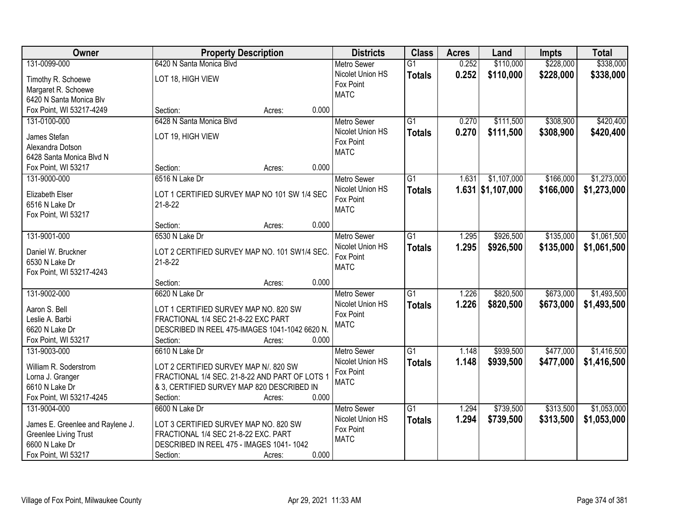| Owner                            | <b>Property Description</b>                    | <b>Districts</b>   | <b>Class</b>    | <b>Acres</b> | Land                | <b>Impts</b> | <b>Total</b> |
|----------------------------------|------------------------------------------------|--------------------|-----------------|--------------|---------------------|--------------|--------------|
| 131-0099-000                     | 6420 N Santa Monica Blvd                       | <b>Metro Sewer</b> | $\overline{G1}$ | 0.252        | \$110,000           | \$228,000    | \$338,000    |
| Timothy R. Schoewe               | LOT 18, HIGH VIEW                              | Nicolet Union HS   | <b>Totals</b>   | 0.252        | \$110,000           | \$228,000    | \$338,000    |
| Margaret R. Schoewe              |                                                | Fox Point          |                 |              |                     |              |              |
| 6420 N Santa Monica Blv          |                                                | <b>MATC</b>        |                 |              |                     |              |              |
| Fox Point, WI 53217-4249         | 0.000<br>Section:<br>Acres:                    |                    |                 |              |                     |              |              |
| 131-0100-000                     | 6428 N Santa Monica Blvd                       | <b>Metro Sewer</b> | $\overline{G1}$ | 0.270        | \$111,500           | \$308,900    | \$420,400    |
|                                  |                                                | Nicolet Union HS   | <b>Totals</b>   | 0.270        | \$111,500           | \$308,900    | \$420,400    |
| James Stefan                     | LOT 19, HIGH VIEW                              | Fox Point          |                 |              |                     |              |              |
| Alexandra Dotson                 |                                                | <b>MATC</b>        |                 |              |                     |              |              |
| 6428 Santa Monica Blvd N         |                                                |                    |                 |              |                     |              |              |
| Fox Point, WI 53217              | 0.000<br>Section:<br>Acres:                    |                    |                 |              |                     |              |              |
| 131-9000-000                     | 6516 N Lake Dr                                 | Metro Sewer        | G1              | 1.631        | \$1,107,000         | \$166,000    | \$1,273,000  |
| Elizabeth Elser                  | LOT 1 CERTIFIED SURVEY MAP NO 101 SW 1/4 SEC   | Nicolet Union HS   | <b>Totals</b>   |              | $1.631$ \$1,107,000 | \$166,000    | \$1,273,000  |
| 6516 N Lake Dr                   | $21 - 8 - 22$                                  | Fox Point          |                 |              |                     |              |              |
| Fox Point, WI 53217              |                                                | <b>MATC</b>        |                 |              |                     |              |              |
|                                  | 0.000<br>Section:<br>Acres:                    |                    |                 |              |                     |              |              |
| 131-9001-000                     | 6530 N Lake Dr                                 | <b>Metro Sewer</b> | G1              | 1.295        | \$926,500           | \$135,000    | \$1,061,500  |
|                                  |                                                | Nicolet Union HS   | <b>Totals</b>   | 1.295        | \$926,500           | \$135,000    | \$1,061,500  |
| Daniel W. Bruckner               | LOT 2 CERTIFIED SURVEY MAP NO. 101 SW1/4 SEC.  | Fox Point          |                 |              |                     |              |              |
| 6530 N Lake Dr                   | $21 - 8 - 22$                                  | <b>MATC</b>        |                 |              |                     |              |              |
| Fox Point, WI 53217-4243         | 0.000                                          |                    |                 |              |                     |              |              |
|                                  | Section:<br>Acres:                             |                    |                 |              |                     |              |              |
| 131-9002-000                     | 6620 N Lake Dr                                 | <b>Metro Sewer</b> | $\overline{G1}$ | 1.226        | \$820,500           | \$673,000    | \$1,493,500  |
| Aaron S. Bell                    | LOT 1 CERTIFIED SURVEY MAP NO. 820 SW          | Nicolet Union HS   | <b>Totals</b>   | 1.226        | \$820,500           | \$673,000    | \$1,493,500  |
| Leslie A. Barbi                  | FRACTIONAL 1/4 SEC 21-8-22 EXC PART            | Fox Point          |                 |              |                     |              |              |
| 6620 N Lake Dr                   | DESCRIBED IN REEL 475-IMAGES 1041-1042 6620 N. | <b>MATC</b>        |                 |              |                     |              |              |
| Fox Point, WI 53217              | Section:<br>0.000<br>Acres:                    |                    |                 |              |                     |              |              |
| 131-9003-000                     | 6610 N Lake Dr                                 | <b>Metro Sewer</b> | G1              | 1.148        | \$939,500           | \$477,000    | \$1,416,500  |
| William R. Soderstrom            | LOT 2 CERTIFIED SURVEY MAP N/. 820 SW          | Nicolet Union HS   | <b>Totals</b>   | 1.148        | \$939,500           | \$477,000    | \$1,416,500  |
| Lorna J. Granger                 | FRACTIONAL 1/4 SEC. 21-8-22 AND PART OF LOTS 1 | Fox Point          |                 |              |                     |              |              |
| 6610 N Lake Dr                   | & 3, CERTIFIED SURVEY MAP 820 DESCRIBED IN     | <b>MATC</b>        |                 |              |                     |              |              |
| Fox Point, WI 53217-4245         | 0.000<br>Section:<br>Acres:                    |                    |                 |              |                     |              |              |
| 131-9004-000                     | 6600 N Lake Dr                                 | <b>Metro Sewer</b> | $\overline{G1}$ | 1.294        | \$739,500           | \$313,500    | \$1,053,000  |
|                                  |                                                | Nicolet Union HS   | <b>Totals</b>   | 1.294        | \$739,500           | \$313,500    | \$1,053,000  |
| James E. Greenlee and Raylene J. | LOT 3 CERTIFIED SURVEY MAP NO. 820 SW          | Fox Point          |                 |              |                     |              |              |
| <b>Greenlee Living Trust</b>     | FRACTIONAL 1/4 SEC 21-8-22 EXC. PART           | <b>MATC</b>        |                 |              |                     |              |              |
| 6600 N Lake Dr                   | DESCRIBED IN REEL 475 - IMAGES 1041-1042       |                    |                 |              |                     |              |              |
| Fox Point, WI 53217              | 0.000<br>Section:<br>Acres:                    |                    |                 |              |                     |              |              |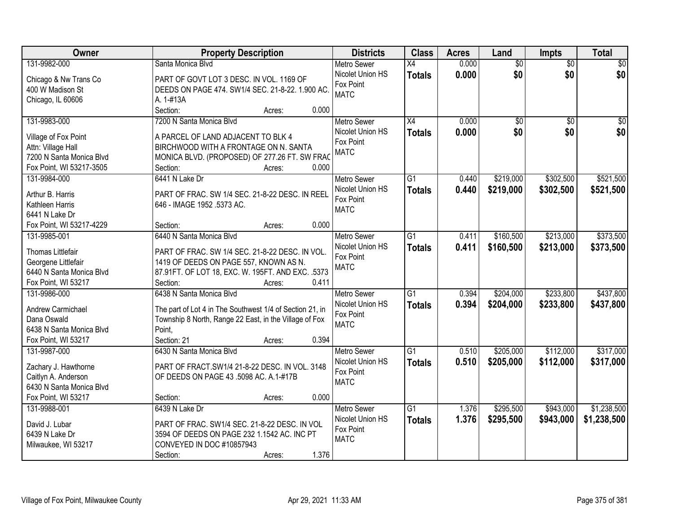| Owner                    | <b>Property Description</b>                              | <b>Districts</b>   | <b>Class</b>    | <b>Acres</b> | Land            | <b>Impts</b>    | <b>Total</b>    |
|--------------------------|----------------------------------------------------------|--------------------|-----------------|--------------|-----------------|-----------------|-----------------|
| 131-9982-000             | Santa Monica Blvd                                        | <b>Metro Sewer</b> | $\overline{X4}$ | 0.000        | $\overline{60}$ | $\overline{50}$ | \$0             |
| Chicago & Nw Trans Co    | PART OF GOVT LOT 3 DESC. IN VOL. 1169 OF                 | Nicolet Union HS   | <b>Totals</b>   | 0.000        | \$0             | \$0             | \$0             |
| 400 W Madison St         | DEEDS ON PAGE 474. SW1/4 SEC. 21-8-22. 1.900 AC.         | Fox Point          |                 |              |                 |                 |                 |
| Chicago, IL 60606        | A. 1-#13A                                                | <b>MATC</b>        |                 |              |                 |                 |                 |
|                          | Section:<br>0.000<br>Acres:                              |                    |                 |              |                 |                 |                 |
| 131-9983-000             | 7200 N Santa Monica Blvd                                 | <b>Metro Sewer</b> | $\overline{X4}$ | 0.000        | $\overline{50}$ | $\overline{50}$ | $\overline{50}$ |
|                          |                                                          | Nicolet Union HS   | <b>Totals</b>   | 0.000        | \$0             | \$0             | \$0             |
| Village of Fox Point     | A PARCEL OF LAND ADJACENT TO BLK 4                       | Fox Point          |                 |              |                 |                 |                 |
| Attn: Village Hall       | BIRCHWOOD WITH A FRONTAGE ON N. SANTA                    | <b>MATC</b>        |                 |              |                 |                 |                 |
| 7200 N Santa Monica Blvd | MONICA BLVD. (PROPOSED) OF 277.26 FT. SW FRAC            |                    |                 |              |                 |                 |                 |
| Fox Point, WI 53217-3505 | Section:<br>0.000<br>Acres:                              |                    |                 |              |                 |                 |                 |
| 131-9984-000             | 6441 N Lake Dr                                           | <b>Metro Sewer</b> | G1              | 0.440        | \$219,000       | \$302,500       | \$521,500       |
| Arthur B. Harris         | PART OF FRAC. SW 1/4 SEC. 21-8-22 DESC. IN REEL          | Nicolet Union HS   | <b>Totals</b>   | 0.440        | \$219,000       | \$302,500       | \$521,500       |
| Kathleen Harris          | 646 - IMAGE 1952 .5373 AC.                               | Fox Point          |                 |              |                 |                 |                 |
| 6441 N Lake Dr           |                                                          | <b>MATC</b>        |                 |              |                 |                 |                 |
| Fox Point, WI 53217-4229 | 0.000<br>Section:<br>Acres:                              |                    |                 |              |                 |                 |                 |
| 131-9985-001             | 6440 N Santa Monica Blvd                                 | <b>Metro Sewer</b> | G1              | 0.411        | \$160,500       | \$213,000       | \$373,500       |
|                          |                                                          | Nicolet Union HS   | <b>Totals</b>   | 0.411        | \$160,500       | \$213,000       | \$373,500       |
| Thomas Littlefair        | PART OF FRAC. SW 1/4 SEC. 21-8-22 DESC. IN VOL.          | Fox Point          |                 |              |                 |                 |                 |
| Georgene Littlefair      | 1419 OF DEEDS ON PAGE 557, KNOWN AS N.                   | <b>MATC</b>        |                 |              |                 |                 |                 |
| 6440 N Santa Monica Blvd | 87.91FT. OF LOT 18, EXC. W. 195FT. AND EXC. .5373        |                    |                 |              |                 |                 |                 |
| Fox Point, WI 53217      | 0.411<br>Section:<br>Acres:                              |                    |                 |              |                 |                 |                 |
| 131-9986-000             | 6438 N Santa Monica Blvd                                 | <b>Metro Sewer</b> | $\overline{G1}$ | 0.394        | \$204,000       | \$233,800       | \$437,800       |
| Andrew Carmichael        | The part of Lot 4 in The Southwest 1/4 of Section 21, in | Nicolet Union HS   | <b>Totals</b>   | 0.394        | \$204,000       | \$233,800       | \$437,800       |
| Dana Oswald              | Township 8 North, Range 22 East, in the Village of Fox   | Fox Point          |                 |              |                 |                 |                 |
| 6438 N Santa Monica Blvd | Point.                                                   | <b>MATC</b>        |                 |              |                 |                 |                 |
| Fox Point, WI 53217      | Section: 21<br>0.394<br>Acres:                           |                    |                 |              |                 |                 |                 |
| 131-9987-000             | 6430 N Santa Monica Blvd                                 | <b>Metro Sewer</b> | $\overline{G1}$ | 0.510        | \$205,000       | \$112,000       | \$317,000       |
|                          |                                                          | Nicolet Union HS   | <b>Totals</b>   | 0.510        | \$205,000       | \$112,000       | \$317,000       |
| Zachary J. Hawthorne     | PART OF FRACT.SW1/4 21-8-22 DESC. IN VOL. 3148           | Fox Point          |                 |              |                 |                 |                 |
| Caitlyn A. Anderson      | OF DEEDS ON PAGE 43 .5098 AC. A.1-#17B                   | <b>MATC</b>        |                 |              |                 |                 |                 |
| 6430 N Santa Monica Blvd |                                                          |                    |                 |              |                 |                 |                 |
| Fox Point, WI 53217      | 0.000<br>Section:<br>Acres:                              |                    |                 |              |                 |                 |                 |
| 131-9988-001             | 6439 N Lake Dr                                           | <b>Metro Sewer</b> | $\overline{G1}$ | 1.376        | \$295,500       | \$943,000       | \$1,238,500     |
| David J. Lubar           | PART OF FRAC. SW1/4 SEC. 21-8-22 DESC. IN VOL            | Nicolet Union HS   | <b>Totals</b>   | 1.376        | \$295,500       | \$943,000       | \$1,238,500     |
| 6439 N Lake Dr           | 3594 OF DEEDS ON PAGE 232 1.1542 AC. INC PT              | Fox Point          |                 |              |                 |                 |                 |
| Milwaukee, WI 53217      | CONVEYED IN DOC #10857943                                | <b>MATC</b>        |                 |              |                 |                 |                 |
|                          | 1.376<br>Section:<br>Acres:                              |                    |                 |              |                 |                 |                 |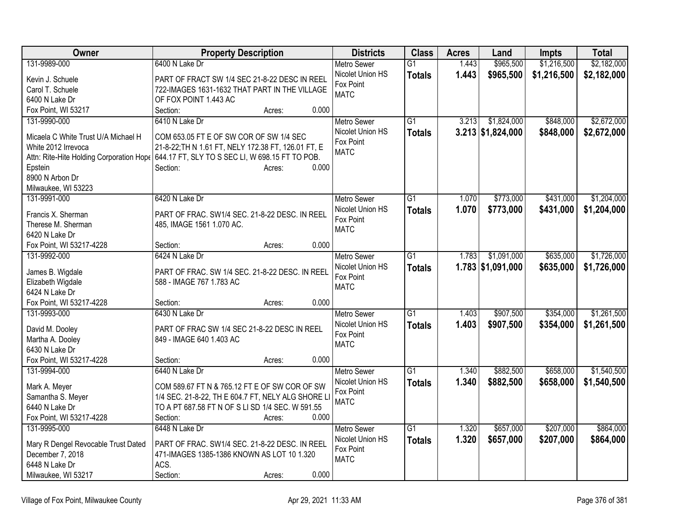| Owner                                    | <b>Property Description</b>                         | <b>Districts</b>   | <b>Class</b>    | <b>Acres</b> | Land                | <b>Impts</b> | <b>Total</b> |
|------------------------------------------|-----------------------------------------------------|--------------------|-----------------|--------------|---------------------|--------------|--------------|
| 131-9989-000                             | 6400 N Lake Dr                                      | Metro Sewer        | $\overline{G1}$ | 1.443        | \$965,500           | \$1,216,500  | \$2,182,000  |
| Kevin J. Schuele                         | PART OF FRACT SW 1/4 SEC 21-8-22 DESC IN REEL       | Nicolet Union HS   | <b>Totals</b>   | 1.443        | \$965,500           | \$1,216,500  | \$2,182,000  |
| Carol T. Schuele                         | 722-IMAGES 1631-1632 THAT PART IN THE VILLAGE       | Fox Point          |                 |              |                     |              |              |
| 6400 N Lake Dr                           | OF FOX POINT 1.443 AC                               | <b>MATC</b>        |                 |              |                     |              |              |
| Fox Point, WI 53217                      | Section:<br>0.000<br>Acres:                         |                    |                 |              |                     |              |              |
| 131-9990-000                             | 6410 N Lake Dr                                      | <b>Metro Sewer</b> | $\overline{G1}$ | 3.213        | \$1,824,000         | \$848,000    | \$2,672,000  |
| Micaela C White Trust U/A Michael H      | COM 653.05 FT E OF SW COR OF SW 1/4 SEC             | Nicolet Union HS   | <b>Totals</b>   |              | $3.213$ \$1,824,000 | \$848,000    | \$2,672,000  |
| White 2012 Irrevoca                      | 21-8-22; TH N 1.61 FT, NELY 172.38 FT, 126.01 FT, E | Fox Point          |                 |              |                     |              |              |
| Attn: Rite-Hite Holding Corporation Hope | 644.17 FT, SLY TO S SEC LI, W 698.15 FT TO POB.     | <b>MATC</b>        |                 |              |                     |              |              |
| Epstein                                  | 0.000<br>Section:<br>Acres:                         |                    |                 |              |                     |              |              |
| 8900 N Arbon Dr                          |                                                     |                    |                 |              |                     |              |              |
| Milwaukee, WI 53223                      |                                                     |                    |                 |              |                     |              |              |
| 131-9991-000                             | 6420 N Lake Dr                                      | <b>Metro Sewer</b> | $\overline{G1}$ | 1.070        | \$773,000           | \$431,000    | \$1,204,000  |
| Francis X. Sherman                       | PART OF FRAC. SW1/4 SEC. 21-8-22 DESC. IN REEL      | Nicolet Union HS   | <b>Totals</b>   | 1.070        | \$773,000           | \$431,000    | \$1,204,000  |
| Therese M. Sherman                       | 485, IMAGE 1561 1.070 AC.                           | Fox Point          |                 |              |                     |              |              |
| 6420 N Lake Dr                           |                                                     | <b>MATC</b>        |                 |              |                     |              |              |
| Fox Point, WI 53217-4228                 | 0.000<br>Section:<br>Acres:                         |                    |                 |              |                     |              |              |
| 131-9992-000                             | 6424 N Lake Dr                                      | Metro Sewer        | G1              | 1.783        | \$1,091,000         | \$635,000    | \$1,726,000  |
|                                          |                                                     | Nicolet Union HS   | <b>Totals</b>   |              | $1.783$ \$1,091,000 | \$635,000    | \$1,726,000  |
| James B. Wigdale                         | PART OF FRAC. SW 1/4 SEC. 21-8-22 DESC. IN REEL     | Fox Point          |                 |              |                     |              |              |
| Elizabeth Wigdale                        | 588 - IMAGE 767 1.783 AC                            | <b>MATC</b>        |                 |              |                     |              |              |
| 6424 N Lake Dr                           | 0.000                                               |                    |                 |              |                     |              |              |
| Fox Point, WI 53217-4228<br>131-9993-000 | Section:<br>Acres:<br>6430 N Lake Dr                | Metro Sewer        | G1              | 1.403        | \$907,500           | \$354,000    | \$1,261,500  |
|                                          |                                                     | Nicolet Union HS   | <b>Totals</b>   | 1.403        | \$907,500           | \$354,000    | \$1,261,500  |
| David M. Dooley                          | PART OF FRAC SW 1/4 SEC 21-8-22 DESC IN REEL        | Fox Point          |                 |              |                     |              |              |
| Martha A. Dooley                         | 849 - IMAGE 640 1.403 AC                            | <b>MATC</b>        |                 |              |                     |              |              |
| 6430 N Lake Dr                           |                                                     |                    |                 |              |                     |              |              |
| Fox Point, WI 53217-4228                 | 0.000<br>Section:<br>Acres:                         |                    |                 |              |                     |              |              |
| 131-9994-000                             | 6440 N Lake Dr                                      | Metro Sewer        | $\overline{G1}$ | 1.340        | \$882,500           | \$658,000    | \$1,540,500  |
| Mark A. Meyer                            | COM 589.67 FT N & 765.12 FT E OF SW COR OF SW       | Nicolet Union HS   | <b>Totals</b>   | 1.340        | \$882,500           | \$658,000    | \$1,540,500  |
| Samantha S. Meyer                        | 1/4 SEC. 21-8-22, TH E 604.7 FT, NELY ALG SHORE LI  | Fox Point          |                 |              |                     |              |              |
| 6440 N Lake Dr                           | TO A PT 687.58 FT N OF S LI SD 1/4 SEC. W 591.55    | <b>MATC</b>        |                 |              |                     |              |              |
| Fox Point, WI 53217-4228                 | 0.000<br>Section:<br>Acres:                         |                    |                 |              |                     |              |              |
| 131-9995-000                             | 6448 N Lake Dr                                      | Metro Sewer        | $\overline{G1}$ | 1.320        | \$657,000           | \$207,000    | \$864,000    |
| Mary R Dengel Revocable Trust Dated      | PART OF FRAC. SW1/4 SEC. 21-8-22 DESC. IN REEL      | Nicolet Union HS   | <b>Totals</b>   | 1.320        | \$657,000           | \$207,000    | \$864,000    |
| December 7, 2018                         | 471-IMAGES 1385-1386 KNOWN AS LOT 10 1.320          | Fox Point          |                 |              |                     |              |              |
| 6448 N Lake Dr                           | ACS.                                                | <b>MATC</b>        |                 |              |                     |              |              |
| Milwaukee, WI 53217                      | 0.000<br>Section:<br>Acres:                         |                    |                 |              |                     |              |              |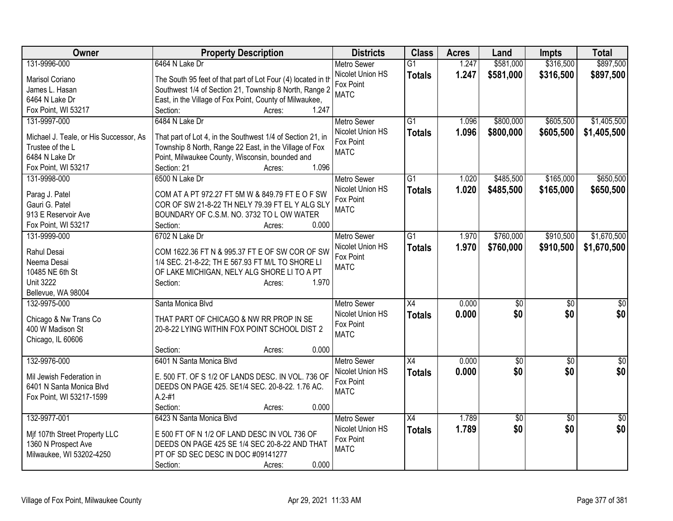| Owner                                  | <b>Property Description</b>                                  | <b>Districts</b>   | <b>Class</b>    | <b>Acres</b> | Land         | <b>Impts</b>    | <b>Total</b>    |
|----------------------------------------|--------------------------------------------------------------|--------------------|-----------------|--------------|--------------|-----------------|-----------------|
| 131-9996-000                           | 6464 N Lake Dr                                               | <b>Metro Sewer</b> | $\overline{G1}$ | 1.247        | \$581,000    | \$316,500       | \$897,500       |
| Marisol Coriano                        | The South 95 feet of that part of Lot Four (4) located in th | Nicolet Union HS   | <b>Totals</b>   | 1.247        | \$581,000    | \$316,500       | \$897,500       |
| James L. Hasan                         | Southwest 1/4 of Section 21, Township 8 North, Range 2       | Fox Point          |                 |              |              |                 |                 |
| 6464 N Lake Dr                         | East, in the Village of Fox Point, County of Milwaukee,      | <b>MATC</b>        |                 |              |              |                 |                 |
| Fox Point, WI 53217                    | 1.247<br>Section:<br>Acres:                                  |                    |                 |              |              |                 |                 |
| 131-9997-000                           | 6484 N Lake Dr                                               | <b>Metro Sewer</b> | G1              | 1.096        | \$800,000    | \$605,500       | \$1,405,500     |
|                                        |                                                              | Nicolet Union HS   | <b>Totals</b>   | 1.096        | \$800,000    | \$605,500       | \$1,405,500     |
| Michael J. Teale, or His Successor, As | That part of Lot 4, in the Southwest 1/4 of Section 21, in   | Fox Point          |                 |              |              |                 |                 |
| Trustee of the L                       | Township 8 North, Range 22 East, in the Village of Fox       | <b>MATC</b>        |                 |              |              |                 |                 |
| 6484 N Lake Dr                         | Point, Milwaukee County, Wisconsin, bounded and              |                    |                 |              |              |                 |                 |
| Fox Point, WI 53217                    | 1.096<br>Section: 21<br>Acres:                               |                    |                 |              |              |                 |                 |
| 131-9998-000                           | 6500 N Lake Dr                                               | <b>Metro Sewer</b> | G1              | 1.020        | \$485,500    | \$165,000       | \$650,500       |
| Parag J. Patel                         | COM AT A PT 972.27 FT 5M W & 849.79 FT E O F SW              | Nicolet Union HS   | <b>Totals</b>   | 1.020        | \$485,500    | \$165,000       | \$650,500       |
| Gauri G. Patel                         | COR OF SW 21-8-22 TH NELY 79.39 FT EL Y ALG SLY              | Fox Point          |                 |              |              |                 |                 |
| 913 E Reservoir Ave                    | BOUNDARY OF C.S.M. NO. 3732 TO L OW WATER                    | <b>MATC</b>        |                 |              |              |                 |                 |
| Fox Point, WI 53217                    | 0.000<br>Section:<br>Acres:                                  |                    |                 |              |              |                 |                 |
| 131-9999-000                           | 6702 N Lake Dr                                               | <b>Metro Sewer</b> | $\overline{G1}$ | 1.970        | \$760,000    | \$910,500       | \$1,670,500     |
|                                        |                                                              | Nicolet Union HS   | <b>Totals</b>   | 1.970        | \$760,000    | \$910,500       | \$1,670,500     |
| Rahul Desai                            | COM 1622.36 FT N & 995.37 FT E OF SW COR OF SW               | Fox Point          |                 |              |              |                 |                 |
| Neema Desai                            | 1/4 SEC. 21-8-22; TH E 567.93 FT M/L TO SHORE LI             | <b>MATC</b>        |                 |              |              |                 |                 |
| 10485 NE 6th St                        | OF LAKE MICHIGAN, NELY ALG SHORE LI TO A PT                  |                    |                 |              |              |                 |                 |
| <b>Unit 3222</b>                       | 1.970<br>Section:<br>Acres:                                  |                    |                 |              |              |                 |                 |
| Bellevue, WA 98004                     |                                                              |                    |                 |              |              |                 |                 |
| 132-9975-000                           | Santa Monica Blvd                                            | <b>Metro Sewer</b> | X4              | 0.000        | $\sqrt[6]{}$ | $\sqrt[6]{}$    | $\frac{1}{6}$   |
| Chicago & Nw Trans Co                  | THAT PART OF CHICAGO & NW RR PROP IN SE                      | Nicolet Union HS   | <b>Totals</b>   | 0.000        | \$0          | \$0             | \$0             |
| 400 W Madison St                       | 20-8-22 LYING WITHIN FOX POINT SCHOOL DIST 2                 | Fox Point          |                 |              |              |                 |                 |
| Chicago, IL 60606                      |                                                              | <b>MATC</b>        |                 |              |              |                 |                 |
|                                        | 0.000<br>Section:<br>Acres:                                  |                    |                 |              |              |                 |                 |
| 132-9976-000                           | 6401 N Santa Monica Blvd                                     | <b>Metro Sewer</b> | $\overline{X4}$ | 0.000        | \$0          | $\overline{50}$ | $\overline{30}$ |
|                                        |                                                              | Nicolet Union HS   | <b>Totals</b>   | 0.000        | \$0          | \$0             | \$0             |
| Mil Jewish Federation in               | E. 500 FT. OF S 1/2 OF LANDS DESC. IN VOL. 736 OF            | Fox Point          |                 |              |              |                 |                 |
| 6401 N Santa Monica Blvd               | DEEDS ON PAGE 425. SE1/4 SEC. 20-8-22. 1.76 AC.              | <b>MATC</b>        |                 |              |              |                 |                 |
| Fox Point, WI 53217-1599               | $A.2 - #1$                                                   |                    |                 |              |              |                 |                 |
|                                        | 0.000<br>Section:<br>Acres:                                  |                    |                 |              |              |                 |                 |
| 132-9977-001                           | 6423 N Santa Monica Blvd                                     | Metro Sewer        | $\overline{X4}$ | 1.789        | \$0          | $\overline{30}$ | \$0             |
| Mif 107th Street Property LLC          | E 500 FT OF N 1/2 OF LAND DESC IN VOL 736 OF                 | Nicolet Union HS   | <b>Totals</b>   | 1.789        | \$0          | \$0             | \$0             |
| 1360 N Prospect Ave                    | DEEDS ON PAGE 425 SE 1/4 SEC 20-8-22 AND THAT                | Fox Point          |                 |              |              |                 |                 |
| Milwaukee, WI 53202-4250               | PT OF SD SEC DESC IN DOC #09141277                           | <b>MATC</b>        |                 |              |              |                 |                 |
|                                        | 0.000<br>Section:<br>Acres:                                  |                    |                 |              |              |                 |                 |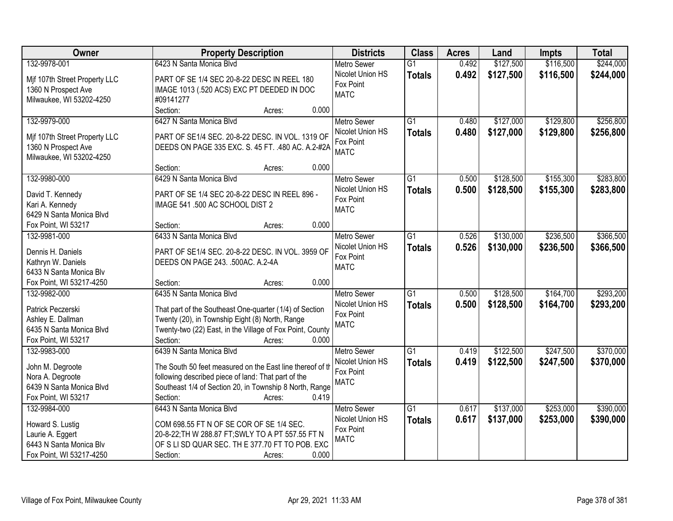| Owner                                               | <b>Property Description</b>                                                                                    | <b>Districts</b>              | <b>Class</b>    | <b>Acres</b> | Land      | <b>Impts</b> | <b>Total</b> |
|-----------------------------------------------------|----------------------------------------------------------------------------------------------------------------|-------------------------------|-----------------|--------------|-----------|--------------|--------------|
| 132-9978-001                                        | 6423 N Santa Monica Blvd                                                                                       | <b>Metro Sewer</b>            | $\overline{G1}$ | 0.492        | \$127,500 | \$116,500    | \$244,000    |
| Mif 107th Street Property LLC                       | PART OF SE 1/4 SEC 20-8-22 DESC IN REEL 180                                                                    | Nicolet Union HS              | <b>Totals</b>   | 0.492        | \$127,500 | \$116,500    | \$244,000    |
| 1360 N Prospect Ave                                 | IMAGE 1013 (.520 ACS) EXC PT DEEDED IN DOC                                                                     | Fox Point                     |                 |              |           |              |              |
| Milwaukee, WI 53202-4250                            | #09141277                                                                                                      | <b>MATC</b>                   |                 |              |           |              |              |
|                                                     | Section:<br>0.000<br>Acres:                                                                                    |                               |                 |              |           |              |              |
| 132-9979-000                                        | 6427 N Santa Monica Blyd                                                                                       | <b>Metro Sewer</b>            | $\overline{G1}$ | 0.480        | \$127,000 | \$129,800    | \$256,800    |
|                                                     |                                                                                                                | Nicolet Union HS              | <b>Totals</b>   | 0.480        | \$127,000 | \$129,800    | \$256,800    |
| Mif 107th Street Property LLC                       | PART OF SE1/4 SEC. 20-8-22 DESC. IN VOL. 1319 OF                                                               | Fox Point                     |                 |              |           |              |              |
| 1360 N Prospect Ave                                 | DEEDS ON PAGE 335 EXC. S. 45 FT. . 480 AC. A.2-#2A                                                             | <b>MATC</b>                   |                 |              |           |              |              |
| Milwaukee, WI 53202-4250                            | 0.000                                                                                                          |                               |                 |              |           |              |              |
|                                                     | Section:<br>Acres:                                                                                             |                               |                 |              |           |              |              |
| 132-9980-000                                        | 6429 N Santa Monica Blvd                                                                                       | <b>Metro Sewer</b>            | G1              | 0.500        | \$128,500 | \$155,300    | \$283,800    |
| David T. Kennedy                                    | PART OF SE 1/4 SEC 20-8-22 DESC IN REEL 896 -                                                                  | Nicolet Union HS              | <b>Totals</b>   | 0.500        | \$128,500 | \$155,300    | \$283,800    |
| Kari A. Kennedy                                     | IMAGE 541 .500 AC SCHOOL DIST 2                                                                                | Fox Point<br><b>MATC</b>      |                 |              |           |              |              |
| 6429 N Santa Monica Blvd                            |                                                                                                                |                               |                 |              |           |              |              |
| Fox Point, WI 53217                                 | 0.000<br>Section:<br>Acres:                                                                                    |                               |                 |              |           |              |              |
| 132-9981-000                                        | 6433 N Santa Monica Blyd                                                                                       | <b>Metro Sewer</b>            | $\overline{G1}$ | 0.526        | \$130,000 | \$236,500    | \$366,500    |
|                                                     |                                                                                                                | Nicolet Union HS              | <b>Totals</b>   | 0.526        | \$130,000 | \$236,500    | \$366,500    |
| Dennis H. Daniels                                   | PART OF SE1/4 SEC. 20-8-22 DESC. IN VOL. 3959 OF                                                               | Fox Point                     |                 |              |           |              |              |
| Kathryn W. Daniels                                  | DEEDS ON PAGE 243. .500AC. A.2-4A                                                                              | <b>MATC</b>                   |                 |              |           |              |              |
| 6433 N Santa Monica Blv<br>Fox Point, WI 53217-4250 | 0.000<br>Section:                                                                                              |                               |                 |              |           |              |              |
|                                                     | Acres:<br>6435 N Santa Monica Blvd                                                                             |                               | $\overline{G1}$ |              | \$128,500 | \$164,700    | \$293,200    |
| 132-9982-000                                        |                                                                                                                | <b>Metro Sewer</b>            |                 | 0.500        |           |              |              |
| Patrick Peczerski                                   | That part of the Southeast One-quarter (1/4) of Section                                                        | Nicolet Union HS<br>Fox Point | <b>Totals</b>   | 0.500        | \$128,500 | \$164,700    | \$293,200    |
| Ashley E. Dallman                                   | Twenty (20), in Township Eight (8) North, Range                                                                | <b>MATC</b>                   |                 |              |           |              |              |
| 6435 N Santa Monica Blvd                            | Twenty-two (22) East, in the Village of Fox Point, County                                                      |                               |                 |              |           |              |              |
| Fox Point, WI 53217                                 | 0.000<br>Section:<br>Acres:                                                                                    |                               |                 |              |           |              |              |
| 132-9983-000                                        | 6439 N Santa Monica Blyd                                                                                       | Metro Sewer                   | $\overline{G1}$ | 0.419        | \$122,500 | \$247,500    | \$370,000    |
| John M. Degroote                                    | The South 50 feet measured on the East line thereof of th                                                      | Nicolet Union HS              | <b>Totals</b>   | 0.419        | \$122,500 | \$247,500    | \$370,000    |
|                                                     |                                                                                                                | Fox Point                     |                 |              |           |              |              |
| Nora A. Degroote<br>6439 N Santa Monica Blvd        | following described piece of land: That part of the<br>Southeast 1/4 of Section 20, in Township 8 North, Range | <b>MATC</b>                   |                 |              |           |              |              |
|                                                     | 0.419<br>Section:                                                                                              |                               |                 |              |           |              |              |
| Fox Point, WI 53217                                 | Acres:                                                                                                         |                               |                 |              | \$137,000 | \$253,000    | \$390,000    |
| 132-9984-000                                        | 6443 N Santa Monica Blvd                                                                                       | <b>Metro Sewer</b>            | $\overline{G1}$ | 0.617        |           |              |              |
| Howard S. Lustig                                    | COM 698.55 FT N OF SE COR OF SE 1/4 SEC.                                                                       | Nicolet Union HS<br>Fox Point | <b>Totals</b>   | 0.617        | \$137,000 | \$253,000    | \$390,000    |
| Laurie A. Eggert                                    | 20-8-22; TH W 288.87 FT; SWLY TO A PT 557.55 FT N                                                              | <b>MATC</b>                   |                 |              |           |              |              |
| 6443 N Santa Monica Blv                             | OF S LI SD QUAR SEC. TH E 377.70 FT TO POB. EXC                                                                |                               |                 |              |           |              |              |
| Fox Point, WI 53217-4250                            | 0.000<br>Section:<br>Acres:                                                                                    |                               |                 |              |           |              |              |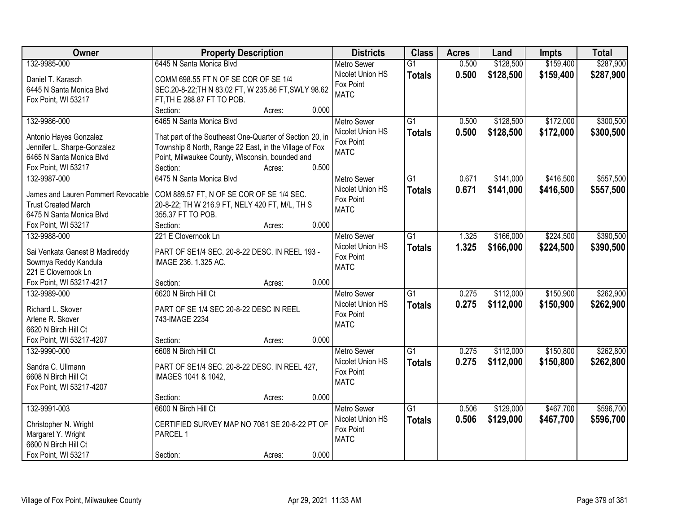| Owner                              | <b>Property Description</b>                              |       | <b>Districts</b>              | <b>Class</b>    | <b>Acres</b> | Land      | <b>Impts</b> | <b>Total</b> |
|------------------------------------|----------------------------------------------------------|-------|-------------------------------|-----------------|--------------|-----------|--------------|--------------|
| 132-9985-000                       | 6445 N Santa Monica Blvd                                 |       | <b>Metro Sewer</b>            | $\overline{G1}$ | 0.500        | \$128,500 | \$159,400    | \$287,900    |
| Daniel T. Karasch                  | COMM 698.55 FT N OF SE COR OF SE 1/4                     |       | Nicolet Union HS              | <b>Totals</b>   | 0.500        | \$128,500 | \$159,400    | \$287,900    |
| 6445 N Santa Monica Blvd           | SEC.20-8-22; TH N 83.02 FT, W 235.86 FT, SWLY 98.62      |       | Fox Point                     |                 |              |           |              |              |
| Fox Point, WI 53217                | FT, TH E 288.87 FT TO POB.                               |       | <b>MATC</b>                   |                 |              |           |              |              |
|                                    | Section:<br>Acres:                                       | 0.000 |                               |                 |              |           |              |              |
| 132-9986-000                       | 6465 N Santa Monica Blvd                                 |       | <b>Metro Sewer</b>            | $\overline{G1}$ | 0.500        | \$128,500 | \$172,000    | \$300,500    |
|                                    |                                                          |       | Nicolet Union HS              | <b>Totals</b>   | 0.500        | \$128,500 | \$172,000    | \$300,500    |
| Antonio Hayes Gonzalez             | That part of the Southeast One-Quarter of Section 20, in |       | Fox Point                     |                 |              |           |              |              |
| Jennifer L. Sharpe-Gonzalez        | Township 8 North, Range 22 East, in the Village of Fox   |       | <b>MATC</b>                   |                 |              |           |              |              |
| 6465 N Santa Monica Blvd           | Point, Milwaukee County, Wisconsin, bounded and          | 0.500 |                               |                 |              |           |              |              |
| Fox Point, WI 53217                | Section:<br>Acres:<br>6475 N Santa Monica Blvd           |       |                               | $\overline{G1}$ | 0.671        |           | \$416,500    | \$557,500    |
| 132-9987-000                       |                                                          |       | Metro Sewer                   |                 |              | \$141,000 |              |              |
| James and Lauren Pommert Revocable | COM 889.57 FT, N OF SE COR OF SE 1/4 SEC.                |       | Nicolet Union HS<br>Fox Point | <b>Totals</b>   | 0.671        | \$141,000 | \$416,500    | \$557,500    |
| <b>Trust Created March</b>         | 20-8-22; TH W 216.9 FT, NELY 420 FT, M/L, TH S           |       | <b>MATC</b>                   |                 |              |           |              |              |
| 6475 N Santa Monica Blvd           | 355.37 FT TO POB.                                        |       |                               |                 |              |           |              |              |
| Fox Point, WI 53217                | Section:<br>Acres:                                       | 0.000 |                               |                 |              |           |              |              |
| 132-9988-000                       | 221 E Clovernook Ln                                      |       | <b>Metro Sewer</b>            | G1              | 1.325        | \$166,000 | \$224,500    | \$390,500    |
| Sai Venkata Ganest B Madireddy     | PART OF SE1/4 SEC. 20-8-22 DESC. IN REEL 193 -           |       | Nicolet Union HS              | <b>Totals</b>   | 1.325        | \$166,000 | \$224,500    | \$390,500    |
| Sowmya Reddy Kandula               | IMAGE 236. 1.325 AC.                                     |       | Fox Point                     |                 |              |           |              |              |
| 221 E Clovernook Ln                |                                                          |       | <b>MATC</b>                   |                 |              |           |              |              |
| Fox Point, WI 53217-4217           | Section:<br>Acres:                                       | 0.000 |                               |                 |              |           |              |              |
| 132-9989-000                       | 6620 N Birch Hill Ct                                     |       | <b>Metro Sewer</b>            | $\overline{G1}$ | 0.275        | \$112,000 | \$150,900    | \$262,900    |
|                                    |                                                          |       | Nicolet Union HS              | <b>Totals</b>   | 0.275        | \$112,000 | \$150,900    | \$262,900    |
| Richard L. Skover                  | PART OF SE 1/4 SEC 20-8-22 DESC IN REEL                  |       | Fox Point                     |                 |              |           |              |              |
| Arlene R. Skover                   | 743-IMAGE 2234                                           |       | <b>MATC</b>                   |                 |              |           |              |              |
| 6620 N Birch Hill Ct               |                                                          |       |                               |                 |              |           |              |              |
| Fox Point, WI 53217-4207           | Section:<br>Acres:                                       | 0.000 |                               |                 |              |           |              |              |
| 132-9990-000                       | 6608 N Birch Hill Ct                                     |       | Metro Sewer                   | G1              | 0.275        | \$112,000 | \$150,800    | \$262,800    |
| Sandra C. Ullmann                  | PART OF SE1/4 SEC. 20-8-22 DESC. IN REEL 427,            |       | Nicolet Union HS              | <b>Totals</b>   | 0.275        | \$112,000 | \$150,800    | \$262,800    |
| 6608 N Birch Hill Ct               | IMAGES 1041 & 1042,                                      |       | Fox Point                     |                 |              |           |              |              |
| Fox Point, WI 53217-4207           |                                                          |       | <b>MATC</b>                   |                 |              |           |              |              |
|                                    | Section:<br>Acres:                                       | 0.000 |                               |                 |              |           |              |              |
| 132-9991-003                       | 6600 N Birch Hill Ct                                     |       | <b>Metro Sewer</b>            | $\overline{G1}$ | 0.506        | \$129,000 | \$467,700    | \$596,700    |
|                                    |                                                          |       | Nicolet Union HS              | <b>Totals</b>   | 0.506        | \$129,000 | \$467,700    | \$596,700    |
| Christopher N. Wright              | CERTIFIED SURVEY MAP NO 7081 SE 20-8-22 PT OF            |       | Fox Point                     |                 |              |           |              |              |
| Margaret Y. Wright                 | PARCEL 1                                                 |       | <b>MATC</b>                   |                 |              |           |              |              |
| 6600 N Birch Hill Ct               |                                                          |       |                               |                 |              |           |              |              |
| Fox Point, WI 53217                | Section:<br>Acres:                                       | 0.000 |                               |                 |              |           |              |              |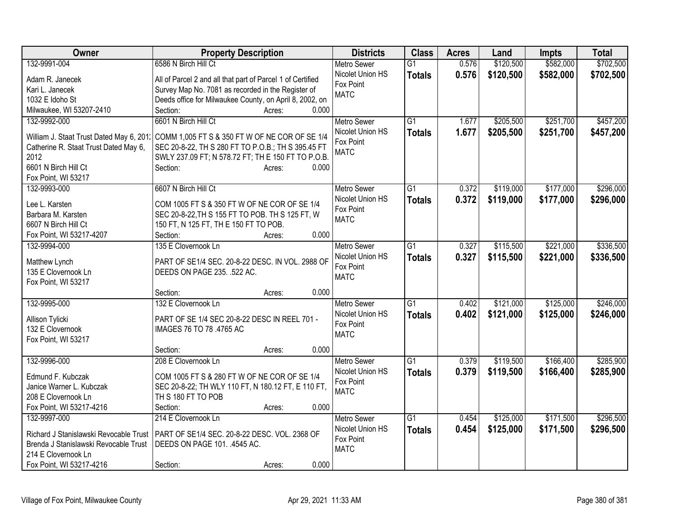| Owner                                    | <b>Property Description</b>                                | <b>Districts</b>   | <b>Class</b>    | <b>Acres</b> | Land      | Impts     | <b>Total</b> |
|------------------------------------------|------------------------------------------------------------|--------------------|-----------------|--------------|-----------|-----------|--------------|
| 132-9991-004                             | 6586 N Birch Hill Ct                                       | <b>Metro Sewer</b> | $\overline{G1}$ | 0.576        | \$120,500 | \$582,000 | \$702,500    |
| Adam R. Janecek                          | All of Parcel 2 and all that part of Parcel 1 of Certified | Nicolet Union HS   | <b>Totals</b>   | 0.576        | \$120,500 | \$582,000 | \$702,500    |
| Kari L. Janecek                          | Survey Map No. 7081 as recorded in the Register of         | Fox Point          |                 |              |           |           |              |
| 1032 E Idoho St                          | Deeds office for Milwaukee County, on April 8, 2002, on    | <b>MATC</b>        |                 |              |           |           |              |
| Milwaukee, WI 53207-2410                 | Section:<br>0.000<br>Acres:                                |                    |                 |              |           |           |              |
| 132-9992-000                             | 6601 N Birch Hill Ct                                       | <b>Metro Sewer</b> | $\overline{G1}$ | 1.677        | \$205,500 | \$251,700 | \$457,200    |
|                                          |                                                            | Nicolet Union HS   | <b>Totals</b>   | 1.677        | \$205,500 | \$251,700 | \$457,200    |
| William J. Staat Trust Dated May 6, 201. | COMM 1,005 FT S & 350 FT W OF NE COR OF SE 1/4             | Fox Point          |                 |              |           |           |              |
| Catherine R. Staat Trust Dated May 6,    | SEC 20-8-22, TH S 280 FT TO P.O.B.; TH S 395.45 FT         | <b>MATC</b>        |                 |              |           |           |              |
| 2012                                     | SWLY 237.09 FT; N 578.72 FT; TH E 150 FT TO P.O.B.         |                    |                 |              |           |           |              |
| 6601 N Birch Hill Ct                     | Section:<br>0.000<br>Acres:                                |                    |                 |              |           |           |              |
| Fox Point, WI 53217                      |                                                            |                    |                 |              |           |           |              |
| 132-9993-000                             | 6607 N Birch Hill Ct                                       | Metro Sewer        | $\overline{G1}$ | 0.372        | \$119,000 | \$177,000 | \$296,000    |
| Lee L. Karsten                           | COM 1005 FT S & 350 FT W OF NE COR OF SE 1/4               | Nicolet Union HS   | <b>Totals</b>   | 0.372        | \$119,000 | \$177,000 | \$296,000    |
| Barbara M. Karsten                       | SEC 20-8-22, TH S 155 FT TO POB. TH S 125 FT, W            | Fox Point          |                 |              |           |           |              |
| 6607 N Birch Hill Ct                     | 150 FT, N 125 FT, TH E 150 FT TO POB.                      | <b>MATC</b>        |                 |              |           |           |              |
| Fox Point, WI 53217-4207                 | 0.000<br>Section:<br>Acres:                                |                    |                 |              |           |           |              |
| 132-9994-000                             | 135 E Clovernook Ln                                        | Metro Sewer        | G1              | 0.327        | \$115,500 | \$221,000 | \$336,500    |
|                                          |                                                            | Nicolet Union HS   | <b>Totals</b>   | 0.327        | \$115,500 | \$221,000 | \$336,500    |
| Matthew Lynch                            | PART OF SE1/4 SEC. 20-8-22 DESC. IN VOL. 2988 OF           | Fox Point          |                 |              |           |           |              |
| 135 E Clovernook Ln                      | DEEDS ON PAGE 235. .522 AC.                                | <b>MATC</b>        |                 |              |           |           |              |
| Fox Point, WI 53217                      |                                                            |                    |                 |              |           |           |              |
|                                          | 0.000<br>Section:<br>Acres:                                |                    |                 |              |           |           |              |
| 132-9995-000                             | 132 E Clovernook Ln                                        | <b>Metro Sewer</b> | $\overline{G1}$ | 0.402        | \$121,000 | \$125,000 | \$246,000    |
| Allison Tylicki                          | PART OF SE 1/4 SEC 20-8-22 DESC IN REEL 701 -              | Nicolet Union HS   | <b>Totals</b>   | 0.402        | \$121,000 | \$125,000 | \$246,000    |
| 132 E Clovernook                         | IMAGES 76 TO 78 .4765 AC                                   | Fox Point          |                 |              |           |           |              |
| Fox Point, WI 53217                      |                                                            | <b>MATC</b>        |                 |              |           |           |              |
|                                          | 0.000<br>Section:<br>Acres:                                |                    |                 |              |           |           |              |
| 132-9996-000                             | 208 E Clovernook Ln                                        | <b>Metro Sewer</b> | $\overline{G1}$ | 0.379        | \$119,500 | \$166,400 | \$285,900    |
|                                          |                                                            | Nicolet Union HS   | <b>Totals</b>   | 0.379        | \$119,500 | \$166,400 | \$285,900    |
| Edmund F. Kubczak                        | COM 1005 FT S & 280 FT W OF NE COR OF SE 1/4               | Fox Point          |                 |              |           |           |              |
| Janice Warner L. Kubczak                 | SEC 20-8-22; TH WLY 110 FT, N 180.12 FT, E 110 FT,         | <b>MATC</b>        |                 |              |           |           |              |
| 208 E Clovernook Ln                      | TH S 180 FT TO POB                                         |                    |                 |              |           |           |              |
| Fox Point, WI 53217-4216                 | Section:<br>0.000<br>Acres:                                |                    |                 |              |           |           |              |
| 132-9997-000                             | 214 E Clovernook Ln                                        | <b>Metro Sewer</b> | $\overline{G1}$ | 0.454        | \$125,000 | \$171,500 | \$296,500    |
| Richard J Stanislawski Revocable Trust   | PART OF SE1/4 SEC. 20-8-22 DESC. VOL. 2368 OF              | Nicolet Union HS   | <b>Totals</b>   | 0.454        | \$125,000 | \$171,500 | \$296,500    |
| Brenda J Stanislawski Revocable Trust    | DEEDS ON PAGE 101. .4545 AC.                               | Fox Point          |                 |              |           |           |              |
| 214 E Clovernook Ln                      |                                                            | <b>MATC</b>        |                 |              |           |           |              |
| Fox Point, WI 53217-4216                 | 0.000<br>Section:<br>Acres:                                |                    |                 |              |           |           |              |